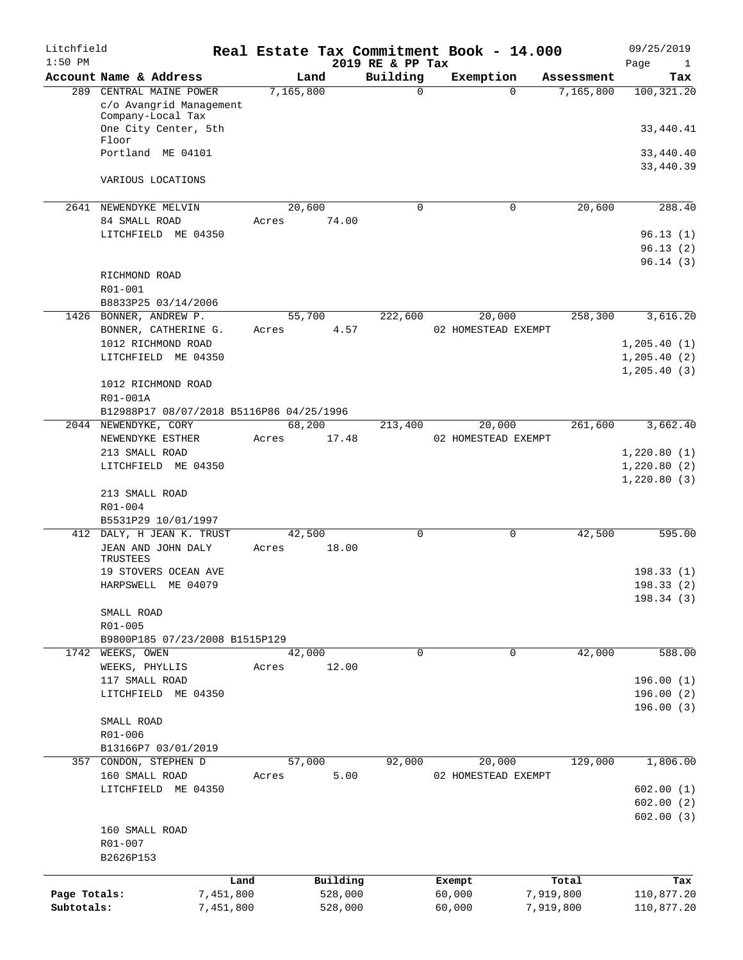| Litchfield<br>$1:50$ PM |                                              |           |                | 2019 RE & PP Tax | Real Estate Tax Commitment Book - 14.000 |            | 09/25/2019<br>Page<br>$\mathbf{1}$ |
|-------------------------|----------------------------------------------|-----------|----------------|------------------|------------------------------------------|------------|------------------------------------|
|                         | Account Name & Address                       |           | Land           | Building         | Exemption                                | Assessment | Tax                                |
| 289                     | CENTRAL MAINE POWER                          |           | 7,165,800      | 0                | $\Omega$                                 | 7,165,800  | 100, 321.20                        |
|                         | c/o Avangrid Management                      |           |                |                  |                                          |            |                                    |
|                         | Company-Local Tax                            |           |                |                  |                                          |            |                                    |
|                         | One City Center, 5th                         |           |                |                  |                                          |            | 33,440.41                          |
|                         | Floor<br>Portland ME 04101                   |           |                |                  |                                          |            |                                    |
|                         |                                              |           |                |                  |                                          |            | 33,440.40<br>33,440.39             |
|                         | VARIOUS LOCATIONS                            |           |                |                  |                                          |            |                                    |
|                         |                                              |           |                |                  |                                          |            |                                    |
| 2641                    | NEWENDYKE MELVIN                             |           | 20,600         | $\mathbf 0$      | $\mathbf 0$                              | 20,600     | 288.40                             |
|                         | 84 SMALL ROAD                                |           | 74.00<br>Acres |                  |                                          |            |                                    |
|                         | LITCHFIELD ME 04350                          |           |                |                  |                                          |            | 96.13(1)                           |
|                         |                                              |           |                |                  |                                          |            | 96.13(2)                           |
|                         |                                              |           |                |                  |                                          |            | 96.14(3)                           |
|                         | RICHMOND ROAD                                |           |                |                  |                                          |            |                                    |
|                         | R01-001                                      |           |                |                  |                                          |            |                                    |
|                         | B8833P25 03/14/2006                          |           |                |                  |                                          |            |                                    |
| 1426                    | BONNER, ANDREW P.                            |           | 55,700         | 222,600          | 20,000                                   | 258,300    | 3,616.20                           |
|                         | BONNER, CATHERINE G.                         |           | 4.57<br>Acres  |                  | 02 HOMESTEAD EXEMPT                      |            |                                    |
|                         | 1012 RICHMOND ROAD                           |           |                |                  |                                          |            | 1,205.40(1)                        |
|                         | LITCHFIELD ME 04350                          |           |                |                  |                                          |            | 1,205.40(2)                        |
|                         |                                              |           |                |                  |                                          |            | 1, 205.40(3)                       |
|                         | 1012 RICHMOND ROAD                           |           |                |                  |                                          |            |                                    |
|                         | R01-001A                                     |           |                |                  |                                          |            |                                    |
|                         | B12988P17 08/07/2018 B5116P86 04/25/1996     |           |                |                  |                                          |            |                                    |
|                         | 2044 NEWENDYKE, CORY                         |           | 68,200         | 213,400          | 20,000                                   | 261,600    | 3,662.40                           |
|                         | NEWENDYKE ESTHER                             |           | Acres<br>17.48 |                  | 02 HOMESTEAD EXEMPT                      |            |                                    |
|                         | 213 SMALL ROAD                               |           |                |                  |                                          |            | 1,220.80(1)                        |
|                         | LITCHFIELD ME 04350                          |           |                |                  |                                          |            | 1,220.80(2)                        |
|                         |                                              |           |                |                  |                                          |            | 1,220.80(3)                        |
|                         | 213 SMALL ROAD                               |           |                |                  |                                          |            |                                    |
|                         | $R01 - 004$                                  |           |                |                  |                                          |            |                                    |
| 412                     | B5531P29 10/01/1997<br>DALY, H JEAN K. TRUST |           | 42,500         | 0                | 0                                        | 42,500     | 595.00                             |
|                         | JEAN AND JOHN DALY                           |           | 18.00<br>Acres |                  |                                          |            |                                    |
|                         | TRUSTEES                                     |           |                |                  |                                          |            |                                    |
|                         | 19 STOVERS OCEAN AVE                         |           |                |                  |                                          |            | 198.33(1)                          |
|                         | HARPSWELL ME 04079                           |           |                |                  |                                          |            | 198.33(2)                          |
|                         |                                              |           |                |                  |                                          |            | 198.34(3)                          |
|                         | SMALL ROAD                                   |           |                |                  |                                          |            |                                    |
|                         | R01-005                                      |           |                |                  |                                          |            |                                    |
|                         | B9800P185 07/23/2008 B1515P129               |           |                |                  |                                          |            |                                    |
|                         | 1742 WEEKS, OWEN                             |           | 42,000         | 0                | $\Omega$                                 | 42,000     | 588.00                             |
|                         | WEEKS, PHYLLIS                               |           | 12.00<br>Acres |                  |                                          |            |                                    |
|                         | 117 SMALL ROAD                               |           |                |                  |                                          |            | 196.00(1)                          |
|                         | LITCHFIELD ME 04350                          |           |                |                  |                                          |            | 196.00(2)                          |
|                         |                                              |           |                |                  |                                          |            | 196.00(3)                          |
|                         | SMALL ROAD                                   |           |                |                  |                                          |            |                                    |
|                         | R01-006                                      |           |                |                  |                                          |            |                                    |
|                         | B13166P7 03/01/2019                          |           |                |                  |                                          |            |                                    |
| 357                     | CONDON, STEPHEN D                            |           | 57,000         | 92,000           | 20,000                                   | 129,000    | 1,806.00                           |
|                         | 160 SMALL ROAD<br>LITCHFIELD ME 04350        |           | 5.00<br>Acres  |                  | 02 HOMESTEAD EXEMPT                      |            | 602.00(1)                          |
|                         |                                              |           |                |                  |                                          |            | 602.00(2)                          |
|                         |                                              |           |                |                  |                                          |            | 602.00(3)                          |
|                         | 160 SMALL ROAD                               |           |                |                  |                                          |            |                                    |
|                         | R01-007                                      |           |                |                  |                                          |            |                                    |
|                         | B2626P153                                    |           |                |                  |                                          |            |                                    |
|                         |                                              |           |                |                  |                                          |            |                                    |
|                         |                                              | Land      | Building       |                  | Exempt                                   | Total      | Tax                                |
| Page Totals:            |                                              | 7,451,800 | 528,000        |                  | 60,000                                   | 7,919,800  | 110,877.20                         |
| Subtotals:              |                                              | 7,451,800 | 528,000        |                  | 60,000                                   | 7,919,800  | 110,877.20                         |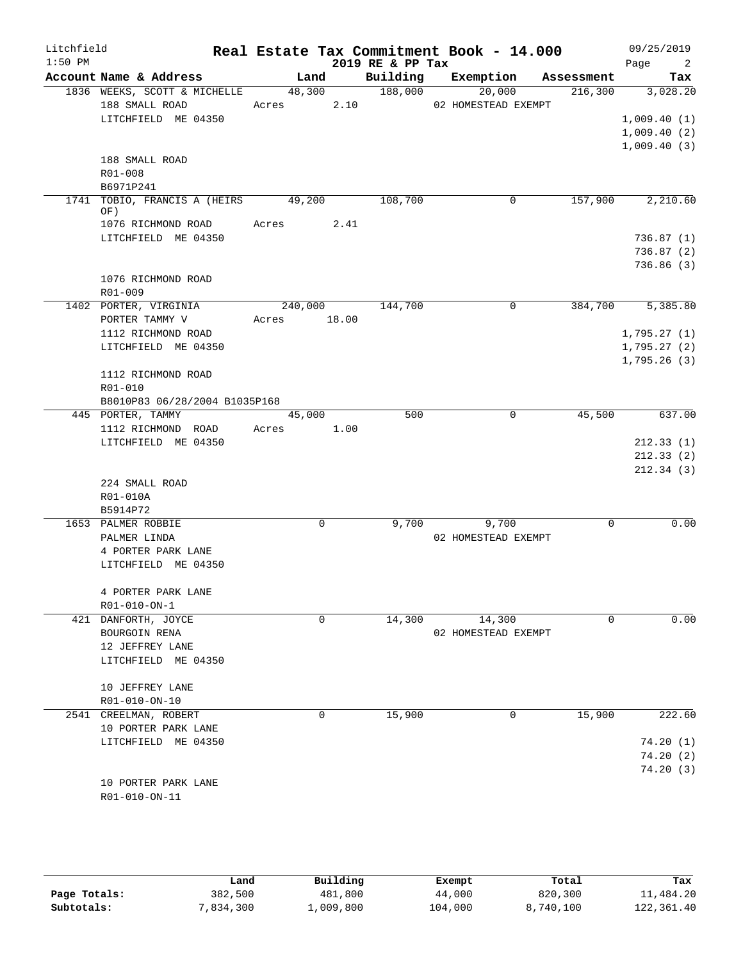| Litchfield<br>$1:50$ PM |                                                                                                       |                  |             | 2019 RE & PP Tax     | Real Estate Tax Commitment Book - 14.000 |            | 09/25/2019<br>Page<br>$\overline{\phantom{a}}^2$ |
|-------------------------|-------------------------------------------------------------------------------------------------------|------------------|-------------|----------------------|------------------------------------------|------------|--------------------------------------------------|
|                         | Account Name & Address                                                                                | Land             |             | Building             | Exemption                                | Assessment | Tax                                              |
|                         | 1836 WEEKS, SCOTT & MICHELLE<br>188 SMALL ROAD<br>LITCHFIELD ME 04350                                 | 48,300<br>Acres  | 2.10        | $\overline{188,000}$ | 20,000<br>02 HOMESTEAD EXEMPT            | 216,300    | 3,028.20<br>1,009.40(1)<br>1,009.40(2)           |
|                         | 188 SMALL ROAD<br>R01-008<br>B6971P241                                                                |                  |             |                      |                                          |            | 1,009.40(3)                                      |
|                         | 1741 TOBIO, FRANCIS A (HEIRS<br>OF)                                                                   | 49,200           | 2.41        | 108,700              | 0                                        | 157,900    | 2,210.60                                         |
|                         | 1076 RICHMOND ROAD<br>LITCHFIELD ME 04350                                                             | Acres            |             |                      |                                          |            | 736.87(1)<br>736.87(2)<br>736.86(3)              |
|                         | 1076 RICHMOND ROAD<br>$R01 - 009$                                                                     |                  |             |                      |                                          |            |                                                  |
|                         | 1402 PORTER, VIRGINIA<br>PORTER TAMMY V<br>1112 RICHMOND ROAD                                         | 240,000<br>Acres | 18.00       | 144,700              | $\mathbf 0$                              | 384,700    | 5,385.80<br>1,795.27(1)                          |
|                         | LITCHFIELD ME 04350                                                                                   |                  |             |                      |                                          |            | 1,795.27(2)<br>1,795.26(3)                       |
|                         | 1112 RICHMOND ROAD<br>R01-010<br>B8010P83 06/28/2004 B1035P168                                        |                  |             |                      |                                          |            |                                                  |
|                         | 445 PORTER, TAMMY<br>1112 RICHMOND ROAD<br>LITCHFIELD ME 04350                                        | 45,000<br>Acres  | 1.00        | 500                  | 0                                        | 45,500     | 637.00<br>212.33(1)<br>212.33(2)<br>212.34(3)    |
|                         | 224 SMALL ROAD<br>R01-010A<br>B5914P72                                                                |                  |             |                      |                                          |            |                                                  |
|                         | 1653 PALMER ROBBIE<br>PALMER LINDA<br>4 PORTER PARK LANE<br>LITCHFIELD ME 04350<br>4 PORTER PARK LANE |                  | $\mathbf 0$ | 9,700                | 9,700<br>02 HOMESTEAD EXEMPT             | 0          | 0.00                                             |
|                         | R01-010-ON-1<br>421 DANFORTH, JOYCE                                                                   |                  | 0           | 14,300               | 14,300                                   | 0          | 0.00                                             |
|                         | BOURGOIN RENA<br>12 JEFFREY LANE<br>LITCHFIELD ME 04350<br>10 JEFFREY LANE                            |                  |             |                      | 02 HOMESTEAD EXEMPT                      |            |                                                  |
|                         | R01-010-ON-10<br>2541 CREELMAN, ROBERT                                                                |                  | 0           | 15,900               | 0                                        | 15,900     | 222.60                                           |
|                         | 10 PORTER PARK LANE<br>LITCHFIELD ME 04350                                                            |                  |             |                      |                                          |            | 74.20(1)<br>74.20(2)<br>74.20(3)                 |
|                         | 10 PORTER PARK LANE<br>R01-010-ON-11                                                                  |                  |             |                      |                                          |            |                                                  |

|              | Land      | Building  | Exempt  | Total     | Tax        |
|--------------|-----------|-----------|---------|-----------|------------|
| Page Totals: | 382,500   | 481,800   | 44,000  | 820,300   | 11,484.20  |
| Subtotals:   | 7,834,300 | 1,009,800 | 104,000 | 8,740,100 | 122,361.40 |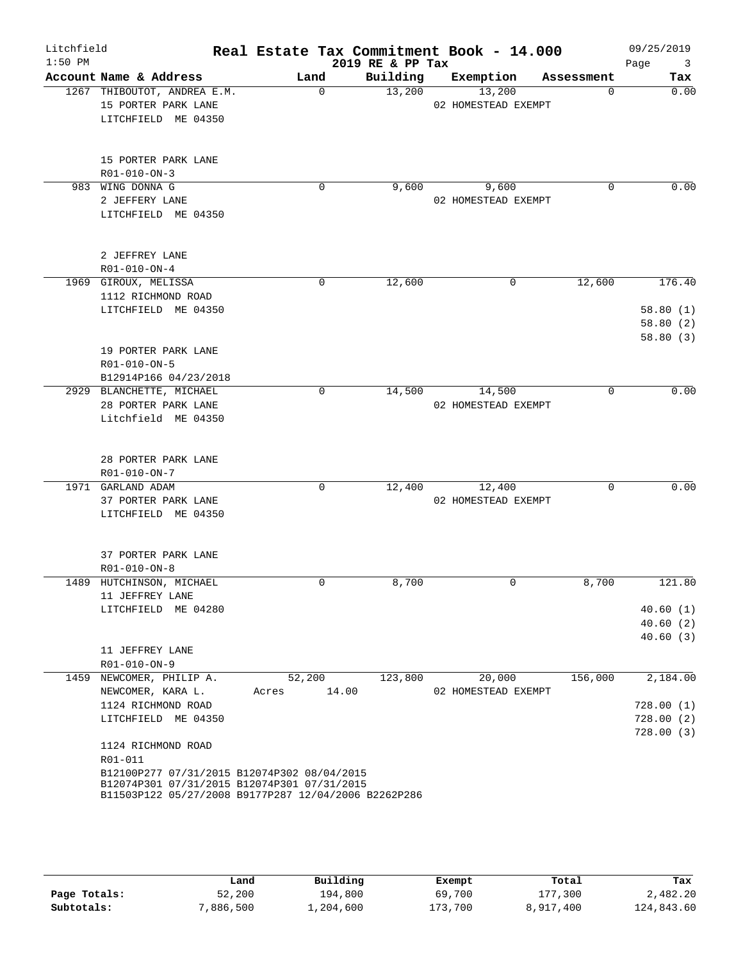| Litchfield<br>$1:50$ PM |                                                                                                                                                                                                                                                                                   |                          | 2019 RE & PP Tax | Real Estate Tax Commitment Book - 14.000 |             | 09/25/2019<br>Page<br>$\overline{\mathbf{3}}$   |
|-------------------------|-----------------------------------------------------------------------------------------------------------------------------------------------------------------------------------------------------------------------------------------------------------------------------------|--------------------------|------------------|------------------------------------------|-------------|-------------------------------------------------|
|                         | Account Name & Address                                                                                                                                                                                                                                                            | Land                     | Building         | Exemption                                | Assessment  | Tax                                             |
|                         | 1267 THIBOUTOT, ANDREA E.M.<br>15 PORTER PARK LANE<br>LITCHFIELD ME 04350                                                                                                                                                                                                         | $\Omega$                 | 13,200           | 13,200<br>02 HOMESTEAD EXEMPT            | $\Omega$    | 0.00                                            |
|                         | 15 PORTER PARK LANE<br>R01-010-ON-3                                                                                                                                                                                                                                               |                          |                  |                                          |             |                                                 |
|                         | 983 WING DONNA G<br>2 JEFFERY LANE<br>LITCHFIELD ME 04350                                                                                                                                                                                                                         | 0                        | 9,600            | 9,600<br>02 HOMESTEAD EXEMPT             | $\Omega$    | 0.00                                            |
|                         | 2 JEFFREY LANE<br>R01-010-ON-4                                                                                                                                                                                                                                                    |                          |                  |                                          |             |                                                 |
|                         | 1969 GIROUX, MELISSA<br>1112 RICHMOND ROAD<br>LITCHFIELD ME 04350<br>19 PORTER PARK LANE<br>R01-010-ON-5                                                                                                                                                                          | $\Omega$                 | 12,600           | 0                                        | 12,600      | 176.40<br>58.80(1)<br>58.80(2)<br>58.80(3)      |
|                         | B12914P166 04/23/2018<br>2929 BLANCHETTE, MICHAEL<br>28 PORTER PARK LANE<br>Litchfield ME 04350                                                                                                                                                                                   | $\mathbf 0$              | 14,500           | 14,500<br>02 HOMESTEAD EXEMPT            | $\mathbf 0$ | 0.00                                            |
|                         | 28 PORTER PARK LANE<br>R01-010-ON-7<br>1971 GARLAND ADAM<br>37 PORTER PARK LANE<br>LITCHFIELD ME 04350                                                                                                                                                                            | $\mathbf 0$              | 12,400           | 12,400<br>02 HOMESTEAD EXEMPT            | $\mathbf 0$ | 0.00                                            |
|                         | 37 PORTER PARK LANE<br>R01-010-ON-8                                                                                                                                                                                                                                               | 0                        |                  | $\Omega$                                 |             |                                                 |
| 1489                    | HUTCHINSON, MICHAEL<br>11 JEFFREY LANE<br>LITCHFIELD ME 04280                                                                                                                                                                                                                     |                          | 8,700            |                                          | 8,700       | 121.80<br>40.60(1)<br>40.60(2)<br>40.60(3)      |
|                         | 11 JEFFREY LANE<br>R01-010-ON-9                                                                                                                                                                                                                                                   |                          |                  |                                          |             |                                                 |
|                         | 1459 NEWCOMER, PHILIP A.<br>NEWCOMER, KARA L.<br>1124 RICHMOND ROAD<br>LITCHFIELD ME 04350<br>1124 RICHMOND ROAD<br>R01-011<br>B12100P277 07/31/2015 B12074P302 08/04/2015<br>B12074P301 07/31/2015 B12074P301 07/31/2015<br>B11503P122 05/27/2008 B9177P287 12/04/2006 B2262P286 | 52,200<br>14.00<br>Acres | 123,800          | 20,000<br>02 HOMESTEAD EXEMPT            | 156,000     | 2,184.00<br>728.00(1)<br>728.00(2)<br>728.00(3) |

|              | Land     | Building  | Exempt  | Total     | Tax        |
|--------------|----------|-----------|---------|-----------|------------|
| Page Totals: | 52,200   | 194,800   | 69,700  | 177,300   | 2,482.20   |
| Subtotals:   | ,886,500 | 1,204,600 | 173,700 | 8,917,400 | 124,843.60 |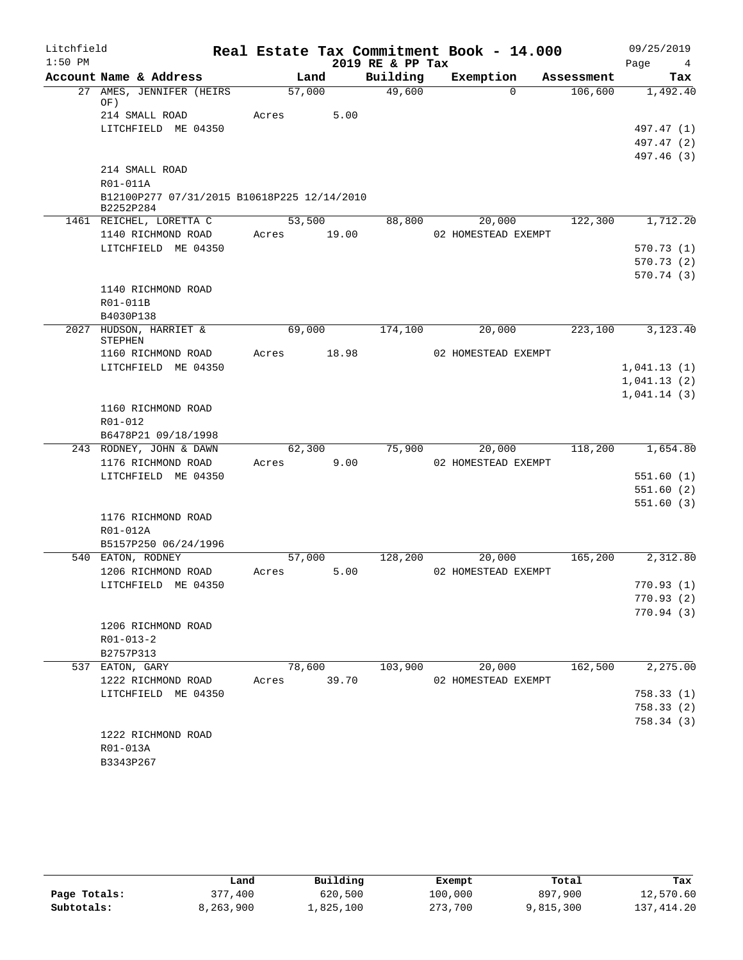| Litchfield<br>$1:50$ PM |                 |                                             |       |        |       | 2019 RE & PP Tax | Real Estate Tax Commitment Book - 14.000 |            | 09/25/2019<br>Page<br>4 |
|-------------------------|-----------------|---------------------------------------------|-------|--------|-------|------------------|------------------------------------------|------------|-------------------------|
|                         |                 | Account Name & Address                      |       | Land   |       | Building         | Exemption                                | Assessment | Tax                     |
| 27                      | OF)             | AMES, JENNIFER (HEIRS)                      |       | 57,000 |       | 49,600           | $\Omega$                                 | 106,600    | 1,492.40                |
|                         |                 | 214 SMALL ROAD                              | Acres |        | 5.00  |                  |                                          |            |                         |
|                         |                 | LITCHFIELD ME 04350                         |       |        |       |                  |                                          |            | 497.47 (1)              |
|                         |                 |                                             |       |        |       |                  |                                          |            | 497.47 (2)              |
|                         |                 |                                             |       |        |       |                  |                                          |            | 497.46 (3)              |
|                         |                 | 214 SMALL ROAD                              |       |        |       |                  |                                          |            |                         |
|                         | R01-011A        |                                             |       |        |       |                  |                                          |            |                         |
|                         | B2252P284       | B12100P277 07/31/2015 B10618P225 12/14/2010 |       |        |       |                  |                                          |            |                         |
|                         |                 | 1461 REICHEL, LORETTA C                     |       | 53,500 |       | 88,800           | 20,000                                   | 122,300    | 1,712.20                |
|                         |                 | 1140 RICHMOND ROAD                          | Acres |        | 19.00 |                  | 02 HOMESTEAD EXEMPT                      |            |                         |
|                         |                 | LITCHFIELD ME 04350                         |       |        |       |                  |                                          |            | 570.73(1)               |
|                         |                 |                                             |       |        |       |                  |                                          |            | 570.73(2)               |
|                         |                 |                                             |       |        |       |                  |                                          |            | 570.74(3)               |
|                         |                 | 1140 RICHMOND ROAD                          |       |        |       |                  |                                          |            |                         |
|                         | R01-011B        |                                             |       |        |       |                  |                                          |            |                         |
|                         | B4030P138       |                                             |       |        |       |                  |                                          |            |                         |
|                         | STEPHEN         | 2027 HUDSON, HARRIET &                      |       | 69,000 |       | 174,100          | 20,000                                   | 223,100    | 3,123.40                |
|                         |                 | 1160 RICHMOND ROAD                          | Acres |        | 18.98 |                  | 02 HOMESTEAD EXEMPT                      |            |                         |
|                         |                 | LITCHFIELD ME 04350                         |       |        |       |                  |                                          |            | 1,041.13(1)             |
|                         |                 |                                             |       |        |       |                  |                                          |            | 1,041.13(2)             |
|                         |                 |                                             |       |        |       |                  |                                          |            | 1,041.14(3)             |
|                         |                 | 1160 RICHMOND ROAD                          |       |        |       |                  |                                          |            |                         |
|                         | R01-012         |                                             |       |        |       |                  |                                          |            |                         |
|                         |                 | B6478P21 09/18/1998                         |       |        |       |                  |                                          |            |                         |
|                         |                 | 243 RODNEY, JOHN & DAWN                     |       | 62,300 |       | 75,900           | 20,000                                   | 118,200    | 1,654.80                |
|                         |                 | 1176 RICHMOND ROAD                          | Acres |        | 9.00  |                  | 02 HOMESTEAD EXEMPT                      |            |                         |
|                         |                 | LITCHFIELD ME 04350                         |       |        |       |                  |                                          |            | 551.60(1)               |
|                         |                 |                                             |       |        |       |                  |                                          |            | 551.60(2)               |
|                         |                 |                                             |       |        |       |                  |                                          |            | 551.60(3)               |
|                         |                 | 1176 RICHMOND ROAD                          |       |        |       |                  |                                          |            |                         |
|                         | R01-012A        |                                             |       |        |       |                  |                                          |            |                         |
|                         |                 | B5157P250 06/24/1996                        |       |        |       |                  |                                          |            |                         |
|                         |                 | 540 EATON, RODNEY                           |       | 57,000 |       | 128,200          | 20,000                                   | 165,200    | 2,312.80                |
|                         |                 | 1206 RICHMOND ROAD                          | Acres |        | 5.00  |                  | 02 HOMESTEAD EXEMPT                      |            |                         |
|                         |                 | LITCHFIELD ME 04350                         |       |        |       |                  |                                          |            | 770.93(1)               |
|                         |                 |                                             |       |        |       |                  |                                          |            | 770.93(2)               |
|                         |                 |                                             |       |        |       |                  |                                          |            | 770.94(3)               |
|                         |                 | 1206 RICHMOND ROAD                          |       |        |       |                  |                                          |            |                         |
|                         | R01-013-2       |                                             |       |        |       |                  |                                          |            |                         |
|                         | B2757P313       |                                             |       |        |       |                  |                                          |            |                         |
|                         | 537 EATON, GARY |                                             |       | 78,600 |       | 103,900          | 20,000                                   | 162,500    | 2, 275.00               |
|                         |                 | 1222 RICHMOND ROAD                          | Acres |        | 39.70 |                  | 02 HOMESTEAD EXEMPT                      |            |                         |
|                         |                 | LITCHFIELD ME 04350                         |       |        |       |                  |                                          |            | 758.33(1)               |
|                         |                 |                                             |       |        |       |                  |                                          |            | 758.33 (2)              |
|                         |                 |                                             |       |        |       |                  |                                          |            | 758.34 (3)              |
|                         |                 | 1222 RICHMOND ROAD                          |       |        |       |                  |                                          |            |                         |
|                         | R01-013A        |                                             |       |        |       |                  |                                          |            |                         |
|                         | B3343P267       |                                             |       |        |       |                  |                                          |            |                         |

|              | Land      | Building  | Exempt  | Total     | Tax         |
|--------------|-----------|-----------|---------|-----------|-------------|
| Page Totals: | 377,400   | 620,500   | 100,000 | 897,900   | 12,570.60   |
| Subtotals:   | 8,263,900 | 1,825,100 | 273,700 | 9,815,300 | 137, 414.20 |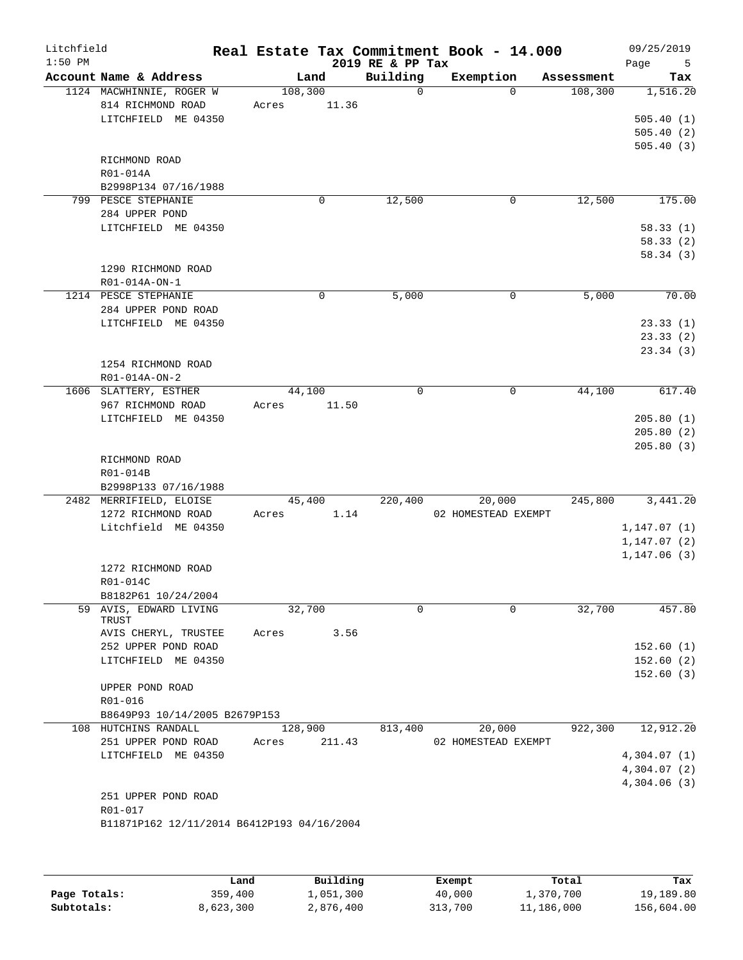| Litchfield<br>$1:50$ PM |                                                                      |                  |        | 2019 RE & PP Tax | Real Estate Tax Commitment Book - 14.000 |                   | 09/25/2019<br>Page<br>5 |
|-------------------------|----------------------------------------------------------------------|------------------|--------|------------------|------------------------------------------|-------------------|-------------------------|
|                         | Account Name & Address                                               |                  | Land   | Building         | Exemption                                | Assessment        | Tax                     |
|                         | 1124 MACWHINNIE, ROGER W<br>814 RICHMOND ROAD<br>LITCHFIELD ME 04350 | 108,300<br>Acres | 11.36  | $\Omega$         | $\Omega$                                 | 108,300           | 1,516.20<br>505.40(1)   |
|                         |                                                                      |                  |        |                  |                                          |                   | 505.40(2)<br>505.40(3)  |
|                         | RICHMOND ROAD                                                        |                  |        |                  |                                          |                   |                         |
|                         | R01-014A                                                             |                  |        |                  |                                          |                   |                         |
|                         | B2998P134 07/16/1988                                                 |                  |        |                  |                                          |                   |                         |
|                         | 799 PESCE STEPHANIE<br>284 UPPER POND                                |                  | 0      | 12,500           | 0                                        | 12,500            | 175.00                  |
|                         | LITCHFIELD ME 04350                                                  |                  |        |                  |                                          |                   | 58.33(1)                |
|                         |                                                                      |                  |        |                  |                                          |                   | 58.33(2)                |
|                         | 1290 RICHMOND ROAD<br>R01-014A-ON-1                                  |                  |        |                  |                                          |                   | 58.34(3)                |
|                         | 1214 PESCE STEPHANIE                                                 |                  | 0      | 5,000            | 0                                        | $\frac{1}{5,000}$ | 70.00                   |
|                         | 284 UPPER POND ROAD                                                  |                  |        |                  |                                          |                   |                         |
|                         | LITCHFIELD ME 04350                                                  |                  |        |                  |                                          |                   | 23.33(1)                |
|                         |                                                                      |                  |        |                  |                                          |                   | 23.33(2)                |
|                         |                                                                      |                  |        |                  |                                          |                   | 23.34(3)                |
|                         | 1254 RICHMOND ROAD<br>R01-014A-ON-2                                  |                  |        |                  |                                          |                   |                         |
|                         | 1606 SLATTERY, ESTHER                                                | 44,100           |        | 0                | 0                                        | 44,100            | 617.40                  |
|                         | 967 RICHMOND ROAD                                                    | Acres            | 11.50  |                  |                                          |                   |                         |
|                         | LITCHFIELD ME 04350                                                  |                  |        |                  |                                          |                   | 205.80(1)               |
|                         |                                                                      |                  |        |                  |                                          |                   | 205.80(2)               |
|                         |                                                                      |                  |        |                  |                                          |                   | 205.80(3)               |
|                         | RICHMOND ROAD<br>R01-014B                                            |                  |        |                  |                                          |                   |                         |
|                         | B2998P133 07/16/1988                                                 |                  |        |                  |                                          |                   |                         |
|                         | 2482 MERRIFIELD, ELOISE                                              |                  | 45,400 | 220,400          | 20,000                                   | 245,800           | 3,441.20                |
|                         | 1272 RICHMOND ROAD                                                   | Acres            | 1.14   |                  | 02 HOMESTEAD EXEMPT                      |                   |                         |
|                         | Litchfield ME 04350                                                  |                  |        |                  |                                          |                   | 1, 147.07(1)            |
|                         |                                                                      |                  |        |                  |                                          |                   | 1, 147.07(2)            |
|                         |                                                                      |                  |        |                  |                                          |                   | 1, 147.06(3)            |
|                         | 1272 RICHMOND ROAD<br>R01-014C                                       |                  |        |                  |                                          |                   |                         |
|                         | B8182P61 10/24/2004                                                  |                  |        |                  |                                          |                   |                         |
|                         | 59 AVIS, EDWARD LIVING<br>TRUST                                      | 32,700           |        | $\Omega$         | $\Omega$                                 | 32,700            | 457.80                  |
|                         | AVIS CHERYL, TRUSTEE                                                 | Acres            | 3.56   |                  |                                          |                   |                         |
|                         | 252 UPPER POND ROAD<br>LITCHFIELD ME 04350                           |                  |        |                  |                                          |                   | 152.60(1)               |
|                         |                                                                      |                  |        |                  |                                          |                   | 152.60(2)<br>152.60(3)  |
|                         | UPPER POND ROAD                                                      |                  |        |                  |                                          |                   |                         |
|                         | R01-016                                                              |                  |        |                  |                                          |                   |                         |
|                         | B8649P93 10/14/2005 B2679P153                                        |                  |        |                  |                                          |                   |                         |
|                         | 108 HUTCHINS RANDALL                                                 | 128,900          |        | 813,400          | 20,000                                   | 922,300           | 12,912.20               |
|                         | 251 UPPER POND ROAD                                                  | Acres            | 211.43 |                  | 02 HOMESTEAD EXEMPT                      |                   |                         |
|                         | LITCHFIELD ME 04350                                                  |                  |        |                  |                                          |                   | 4,304.07(1)             |
|                         |                                                                      |                  |        |                  |                                          |                   | 4,304.07(2)             |
|                         | 251 UPPER POND ROAD                                                  |                  |        |                  |                                          |                   | 4,304.06(3)             |
|                         | R01-017<br>B11871P162 12/11/2014 B6412P193 04/16/2004                |                  |        |                  |                                          |                   |                         |
|                         |                                                                      |                  |        |                  |                                          |                   |                         |
|                         |                                                                      |                  |        |                  |                                          |                   |                         |

|              | Land      | Building  | Exempt  | Total      | Tax        |
|--------------|-----------|-----------|---------|------------|------------|
| Page Totals: | 359,400   | 1,051,300 | 40,000  | 1,370,700  | 19,189.80  |
| Subtotals:   | 8,623,300 | 2,876,400 | 313,700 | 11,186,000 | 156,604.00 |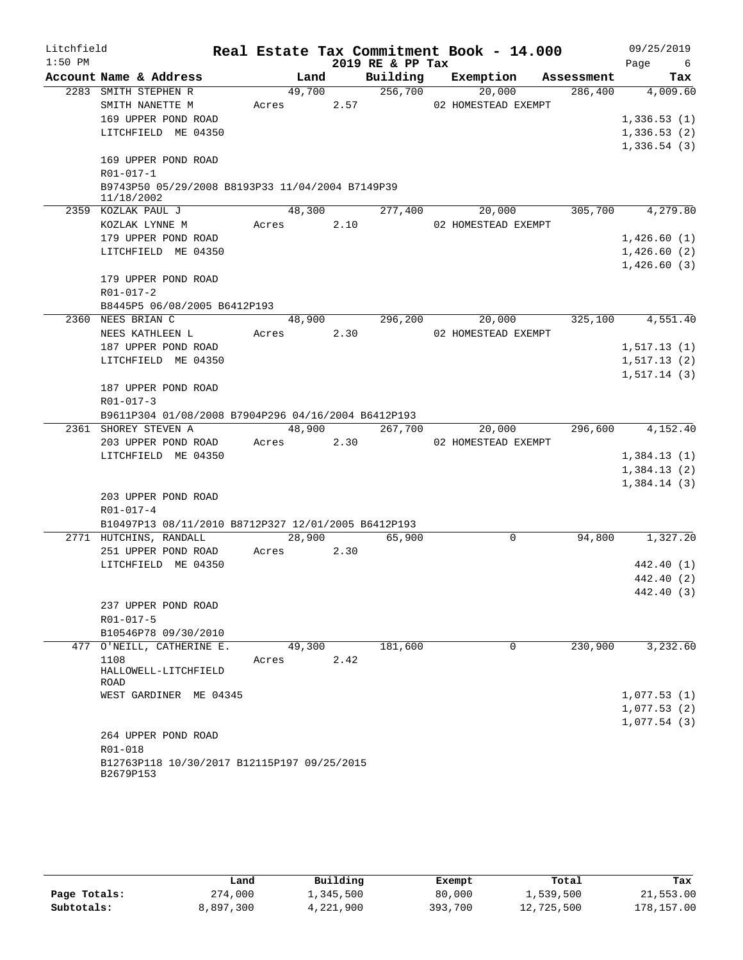| Litchfield |                                                                |            |        |        |                  | Real Estate Tax Commitment Book - 14.000 |            | 09/25/2019            |
|------------|----------------------------------------------------------------|------------|--------|--------|------------------|------------------------------------------|------------|-----------------------|
| $1:50$ PM  |                                                                |            |        |        | 2019 RE & PP Tax |                                          |            | Page<br>6             |
|            | Account Name & Address                                         |            | Land   |        | Building         | Exemption                                | Assessment | Tax                   |
|            | 2283 SMITH STEPHEN R                                           |            | 49,700 |        | 256,700          | 20,000                                   | 286,400    | $\overline{4,009.60}$ |
|            | SMITH NANETTE M                                                | Acres      |        | 2.57   |                  | 02 HOMESTEAD EXEMPT                      |            |                       |
|            | 169 UPPER POND ROAD                                            |            |        |        |                  |                                          |            | 1,336.53(1)           |
|            | LITCHFIELD ME 04350                                            |            |        |        |                  |                                          |            | 1,336.53(2)           |
|            |                                                                |            |        |        |                  |                                          |            | 1,336.54(3)           |
|            | 169 UPPER POND ROAD                                            |            |        |        |                  |                                          |            |                       |
|            | R01-017-1                                                      |            |        |        |                  |                                          |            |                       |
|            | B9743P50 05/29/2008 B8193P33 11/04/2004 B7149P39<br>11/18/2002 |            |        |        |                  |                                          |            |                       |
|            | 2359 KOZLAK PAUL J                                             |            | 48,300 |        | 277,400          | 20,000                                   | 305,700    | 4,279.80              |
|            | KOZLAK LYNNE M                                                 | Acres 2.10 |        |        |                  | 02 HOMESTEAD EXEMPT                      |            |                       |
|            | 179 UPPER POND ROAD                                            |            |        |        |                  |                                          |            | 1,426.60(1)           |
|            | LITCHFIELD ME 04350                                            |            |        |        |                  |                                          |            | 1,426.60(2)           |
|            |                                                                |            |        |        |                  |                                          |            | 1,426.60(3)           |
|            | 179 UPPER POND ROAD                                            |            |        |        |                  |                                          |            |                       |
|            | R01-017-2                                                      |            |        |        |                  |                                          |            |                       |
|            | B8445P5 06/08/2005 B6412P193                                   |            |        |        |                  |                                          |            |                       |
|            | 2360 NEES BRIAN C                                              |            | 48,900 |        | 296,200          | 20,000                                   | 325,100    | $\overline{4,551.40}$ |
|            | NEES KATHLEEN L                                                | Acres      |        | 2.30   |                  | 02 HOMESTEAD EXEMPT                      |            |                       |
|            | 187 UPPER POND ROAD                                            |            |        |        |                  |                                          |            | 1, 517.13(1)          |
|            | LITCHFIELD ME 04350                                            |            |        |        |                  |                                          |            | 1,517.13(2)           |
|            |                                                                |            |        |        |                  |                                          |            | 1, 517.14(3)          |
|            | 187 UPPER POND ROAD                                            |            |        |        |                  |                                          |            |                       |
|            | $R01 - 017 - 3$                                                |            |        |        |                  |                                          |            |                       |
|            | B9611P304 01/08/2008 B7904P296 04/16/2004 B6412P193            |            |        |        |                  |                                          |            |                       |
|            | 2361 SHOREY STEVEN A                                           |            |        | 48,900 | 267,700          | 20,000                                   |            | 296,600 4,152.40      |
|            | 203 UPPER POND ROAD                                            | Acres      |        | 2.30   |                  | 02 HOMESTEAD EXEMPT                      |            |                       |
|            | LITCHFIELD ME 04350                                            |            |        |        |                  |                                          |            | 1,384.13(1)           |
|            |                                                                |            |        |        |                  |                                          |            | 1,384.13(2)           |
|            | 203 UPPER POND ROAD                                            |            |        |        |                  |                                          |            | 1,384.14(3)           |
|            | R01-017-4                                                      |            |        |        |                  |                                          |            |                       |
|            | B10497P13 08/11/2010 B8712P327 12/01/2005 B6412P193            |            |        |        |                  |                                          |            |                       |
|            | 2771 HUTCHINS, RANDALL                                         |            |        | 28,900 | 65,900           | $\mathsf{O}$                             | 94,800     | 1,327.20              |
|            | 251 UPPER POND ROAD                                            | Acres      |        | 2.30   |                  |                                          |            |                       |
|            | LITCHFIELD ME 04350                                            |            |        |        |                  |                                          |            | 442.40 (1)            |
|            |                                                                |            |        |        |                  |                                          |            | 442.40 (2)            |
|            |                                                                |            |        |        |                  |                                          |            | 442.40 (3)            |
|            | 237 UPPER POND ROAD                                            |            |        |        |                  |                                          |            |                       |
|            | R01-017-5                                                      |            |        |        |                  |                                          |            |                       |
|            | B10546P78 09/30/2010                                           |            |        |        |                  |                                          |            |                       |
|            | 477 O'NEILL, CATHERINE E.                                      |            | 49,300 |        | 181,600          | 0                                        | 230,900    | 3,232.60              |
|            | 1108                                                           | Acres      |        | 2.42   |                  |                                          |            |                       |
|            | HALLOWELL-LITCHFIELD                                           |            |        |        |                  |                                          |            |                       |
|            | ROAD<br>WEST GARDINER ME 04345                                 |            |        |        |                  |                                          |            | 1,077.53(1)           |
|            |                                                                |            |        |        |                  |                                          |            | 1,077.53(2)           |
|            |                                                                |            |        |        |                  |                                          |            | 1,077.54(3)           |
|            | 264 UPPER POND ROAD                                            |            |        |        |                  |                                          |            |                       |
|            | R01-018                                                        |            |        |        |                  |                                          |            |                       |
|            | B12763P118 10/30/2017 B12115P197 09/25/2015                    |            |        |        |                  |                                          |            |                       |
|            | B2679P153                                                      |            |        |        |                  |                                          |            |                       |

|              | Land      | Building  | Exempt  | Total      | Tax        |
|--------------|-----------|-----------|---------|------------|------------|
| Page Totals: | 274,000   | ⊥,345,500 | 80,000  | 1,539,500  | 21,553.00  |
| Subtotals:   | 8,897,300 | 4,221,900 | 393,700 | 12,725,500 | 178,157.00 |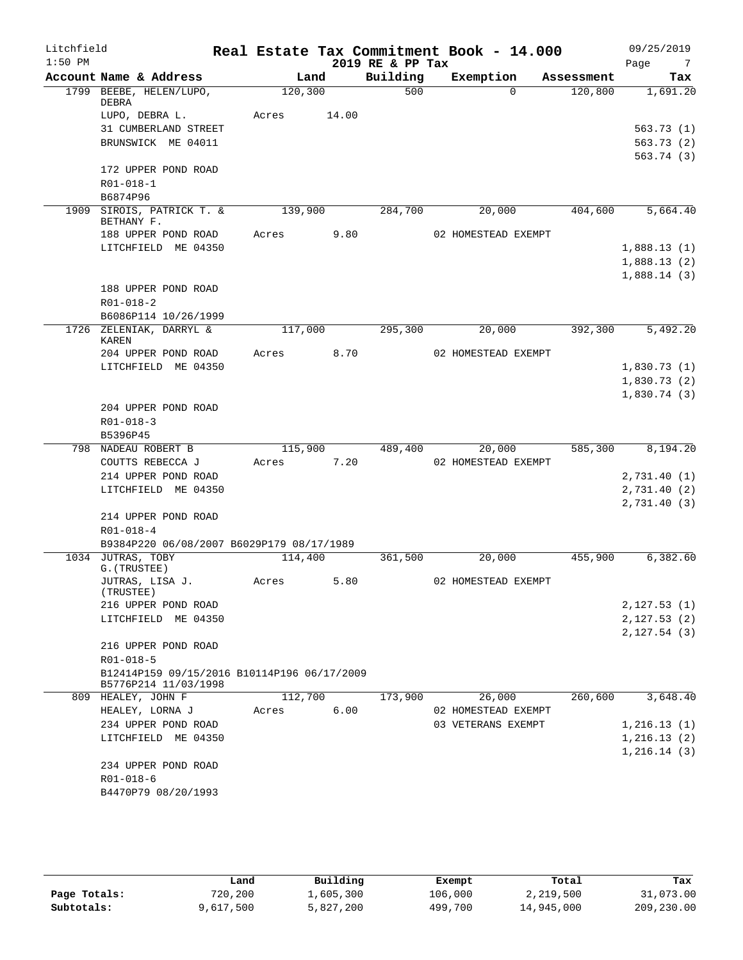| Litchfield<br>$1:50$ PM |                                                                     |         |       | 2019 RE & PP Tax | Real Estate Tax Commitment Book - 14.000 |            | 09/25/2019<br>Page<br>- 7 |
|-------------------------|---------------------------------------------------------------------|---------|-------|------------------|------------------------------------------|------------|---------------------------|
|                         | Account Name & Address                                              |         | Land  | Building         | Exemption                                | Assessment | Tax                       |
|                         | 1799 BEEBE, HELEN/LUPO,<br>DEBRA                                    | 120,300 |       | 500              | $\Omega$                                 | 120,800    | 1,691.20                  |
|                         | LUPO, DEBRA L.                                                      | Acres   | 14.00 |                  |                                          |            |                           |
|                         | 31 CUMBERLAND STREET                                                |         |       |                  |                                          |            | 563.73(1)                 |
|                         | BRUNSWICK ME 04011                                                  |         |       |                  |                                          |            | 563.73(2)                 |
|                         |                                                                     |         |       |                  |                                          |            | 563.74 (3)                |
|                         | 172 UPPER POND ROAD                                                 |         |       |                  |                                          |            |                           |
|                         | $R01 - 018 - 1$                                                     |         |       |                  |                                          |            |                           |
|                         | B6874P96                                                            |         |       |                  |                                          |            |                           |
|                         | 1909 SIROIS, PATRICK T. &<br>BETHANY F.                             | 139,900 |       | 284,700          | 20,000                                   | 404,600    | 5,664.40                  |
|                         | 188 UPPER POND ROAD                                                 | Acres   | 9.80  |                  | 02 HOMESTEAD EXEMPT                      |            |                           |
|                         | LITCHFIELD ME 04350                                                 |         |       |                  |                                          |            | 1,888.13(1)               |
|                         |                                                                     |         |       |                  |                                          |            | 1,888.13(2)               |
|                         |                                                                     |         |       |                  |                                          |            | 1,888.14(3)               |
|                         | 188 UPPER POND ROAD<br>$R01 - 018 - 2$                              |         |       |                  |                                          |            |                           |
|                         | B6086P114 10/26/1999                                                |         |       |                  |                                          |            |                           |
|                         | 1726 ZELENIAK, DARRYL &<br><b>KAREN</b>                             | 117,000 |       | 295,300          | 20,000                                   | 392,300    | 5,492.20                  |
|                         | 204 UPPER POND ROAD                                                 | Acres   | 8.70  |                  | 02 HOMESTEAD EXEMPT                      |            |                           |
|                         | LITCHFIELD ME 04350                                                 |         |       |                  |                                          |            | 1,830.73(1)               |
|                         |                                                                     |         |       |                  |                                          |            | 1,830.73(2)               |
|                         |                                                                     |         |       |                  |                                          |            | 1,830.74(3)               |
|                         | 204 UPPER POND ROAD                                                 |         |       |                  |                                          |            |                           |
|                         | $R01 - 018 - 3$                                                     |         |       |                  |                                          |            |                           |
|                         | B5396P45<br>798 NADEAU ROBERT B                                     | 115,900 |       | 489,400          | 20,000                                   | 585,300    | 8,194.20                  |
|                         | COUTTS REBECCA J                                                    | Acres   | 7.20  |                  | 02 HOMESTEAD EXEMPT                      |            |                           |
|                         | 214 UPPER POND ROAD                                                 |         |       |                  |                                          |            | 2,731.40 (1)              |
|                         | LITCHFIELD ME 04350                                                 |         |       |                  |                                          |            | 2,731.40(2)               |
|                         |                                                                     |         |       |                  |                                          |            | 2,731.40(3)               |
|                         | 214 UPPER POND ROAD                                                 |         |       |                  |                                          |            |                           |
|                         | $R01 - 018 - 4$                                                     |         |       |                  |                                          |            |                           |
|                         | B9384P220 06/08/2007 B6029P179 08/17/1989                           |         |       |                  |                                          |            |                           |
|                         | 1034 JUTRAS, TOBY<br>G. (TRUSTEE)                                   | 114,400 |       | 361,500          | 20,000                                   | 455,900    | 6,382.60                  |
|                         | JUTRAS, LISA J.                                                     | Acres   | 5.80  |                  | 02 HOMESTEAD EXEMPT                      |            |                           |
|                         | (TRUSTEE)<br>216 UPPER POND ROAD                                    |         |       |                  |                                          |            | 2,127.53(1)               |
|                         | LITCHFIELD ME 04350                                                 |         |       |                  |                                          |            | 2,127.53(2)               |
|                         |                                                                     |         |       |                  |                                          |            | 2,127.54(3)               |
|                         | 216 UPPER POND ROAD                                                 |         |       |                  |                                          |            |                           |
|                         | R01-018-5                                                           |         |       |                  |                                          |            |                           |
|                         | B12414P159 09/15/2016 B10114P196 06/17/2009<br>B5776P214 11/03/1998 |         |       |                  |                                          |            |                           |
|                         | 809 HEALEY, JOHN F                                                  | 112,700 |       | 173,900          | 26,000                                   | 260,600    | 3,648.40                  |
|                         | HEALEY, LORNA J                                                     | Acres   | 6.00  |                  | 02 HOMESTEAD EXEMPT                      |            |                           |
|                         | 234 UPPER POND ROAD                                                 |         |       |                  | 03 VETERANS EXEMPT                       |            | 1,216.13(1)               |
|                         | LITCHFIELD ME 04350                                                 |         |       |                  |                                          |            | 1, 216.13(2)              |
|                         | 234 UPPER POND ROAD                                                 |         |       |                  |                                          |            | 1, 216.14(3)              |
|                         | $R01 - 018 - 6$                                                     |         |       |                  |                                          |            |                           |
|                         | B4470P79 08/20/1993                                                 |         |       |                  |                                          |            |                           |
|                         |                                                                     |         |       |                  |                                          |            |                           |

|              | Land      | Building  | Exempt  | Total      | Tax        |
|--------------|-----------|-----------|---------|------------|------------|
| Page Totals: | 720,200   | 1,605,300 | 106,000 | 2,219,500  | 31,073.00  |
| Subtotals:   | 9,617,500 | 5,827,200 | 499,700 | 14,945,000 | 209,230.00 |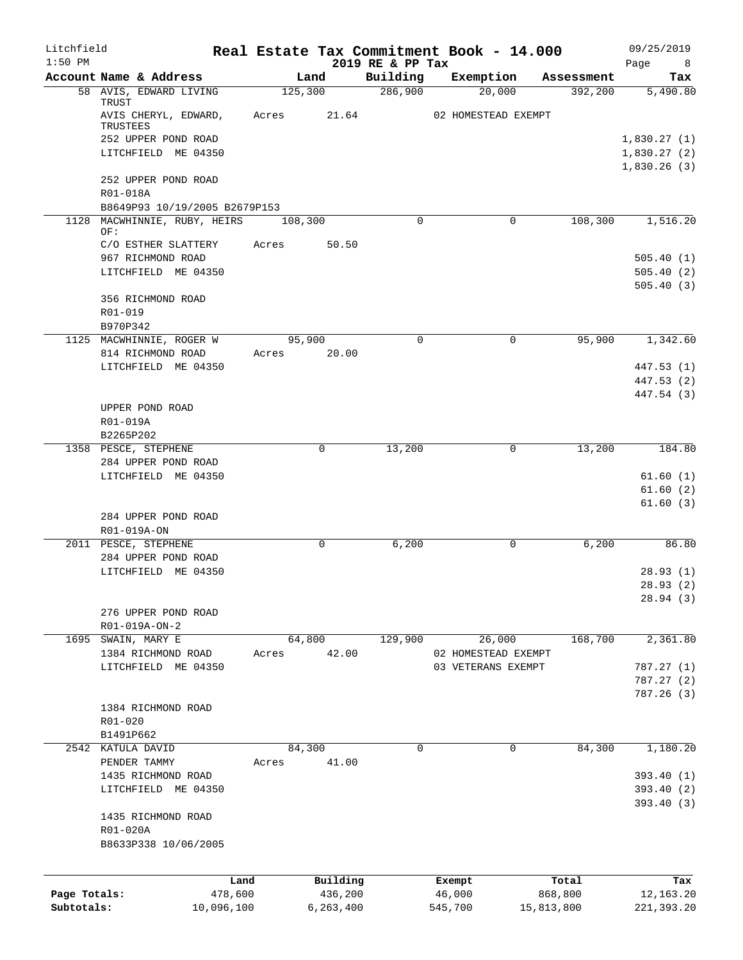| Litchfield<br>$1:50$ PM |                                               |       |                       | 2019 RE & PP Tax | Real Estate Tax Commitment Book - 14.000 |            | 09/25/2019<br>Page<br>8 <sup>8</sup> |
|-------------------------|-----------------------------------------------|-------|-----------------------|------------------|------------------------------------------|------------|--------------------------------------|
|                         | Account Name & Address                        |       | Land                  | Building         | Exemption                                | Assessment | Tax                                  |
|                         | 58 AVIS, EDWARD LIVING                        |       | 125,300               | 286,900          | 20,000                                   | 392,200    | 5,490.80                             |
|                         | TRUST<br>AVIS CHERYL, EDWARD,<br>TRUSTEES     | Acres | 21.64                 |                  | 02 HOMESTEAD EXEMPT                      |            |                                      |
|                         | 252 UPPER POND ROAD                           |       |                       |                  |                                          |            | 1,830.27(1)                          |
|                         | LITCHFIELD ME 04350                           |       |                       |                  |                                          |            | 1,830.27(2)                          |
|                         |                                               |       |                       |                  |                                          |            | 1,830.26(3)                          |
|                         | 252 UPPER POND ROAD                           |       |                       |                  |                                          |            |                                      |
|                         | R01-018A                                      |       |                       |                  |                                          |            |                                      |
|                         | B8649P93 10/19/2005 B2679P153                 |       |                       |                  |                                          |            |                                      |
|                         | 1128 MACWHINNIE, RUBY, HEIRS                  |       | 108,300               | $\mathbf 0$      | $\mathbf 0$                              | 108,300    | 1,516.20                             |
|                         | OF:                                           |       |                       |                  |                                          |            |                                      |
|                         | C/O ESTHER SLATTERY                           | Acres | 50.50                 |                  |                                          |            |                                      |
|                         | 967 RICHMOND ROAD                             |       |                       |                  |                                          |            | 505.40(1)                            |
|                         | LITCHFIELD ME 04350                           |       |                       |                  |                                          |            | 505.40(2)                            |
|                         |                                               |       |                       |                  |                                          |            | 505.40(3)                            |
|                         | 356 RICHMOND ROAD                             |       |                       |                  |                                          |            |                                      |
|                         | R01-019                                       |       |                       |                  |                                          |            |                                      |
|                         | B970P342                                      |       |                       |                  |                                          |            |                                      |
|                         | 1125 MACWHINNIE, ROGER W<br>814 RICHMOND ROAD |       | 95,900<br>Acres 20.00 | $\Omega$         | $\Omega$                                 | 95,900     | 1,342.60                             |
|                         |                                               |       |                       |                  |                                          |            | 447.53 (1)                           |
|                         | LITCHFIELD ME 04350                           |       |                       |                  |                                          |            |                                      |
|                         |                                               |       |                       |                  |                                          |            | 447.53 (2)<br>447.54 (3)             |
|                         | UPPER POND ROAD                               |       |                       |                  |                                          |            |                                      |
|                         | R01-019A                                      |       |                       |                  |                                          |            |                                      |
|                         | B2265P202                                     |       |                       |                  |                                          |            |                                      |
|                         | 1358 PESCE, STEPHENE                          |       | 0                     | 13,200           | 0                                        | 13,200     | 184.80                               |
|                         | 284 UPPER POND ROAD                           |       |                       |                  |                                          |            |                                      |
|                         | LITCHFIELD ME 04350                           |       |                       |                  |                                          |            | 61.60(1)                             |
|                         |                                               |       |                       |                  |                                          |            | 61.60(2)                             |
|                         |                                               |       |                       |                  |                                          |            | 61.60(3)                             |
|                         | 284 UPPER POND ROAD                           |       |                       |                  |                                          |            |                                      |
|                         | R01-019A-ON                                   |       |                       |                  |                                          |            |                                      |
|                         | 2011 PESCE, STEPHENE                          |       | $\Omega$              | 6,200            | $\mathbf 0$                              | 6,200      | 86.80                                |
|                         | 284 UPPER POND ROAD                           |       |                       |                  |                                          |            |                                      |
|                         | LITCHFIELD ME 04350                           |       |                       |                  |                                          |            | 28.93(1)                             |
|                         |                                               |       |                       |                  |                                          |            | 28.93 (2)                            |
|                         |                                               |       |                       |                  |                                          |            | 28.94(3)                             |
|                         | 276 UPPER POND ROAD                           |       |                       |                  |                                          |            |                                      |
|                         | R01-019A-ON-2                                 |       |                       |                  |                                          |            |                                      |
|                         | 1695 SWAIN, MARY E                            |       | 64,800                | 129,900          | 26,000                                   | 168,700    | 2,361.80                             |
|                         | 1384 RICHMOND ROAD                            | Acres | 42.00                 |                  | 02 HOMESTEAD EXEMPT                      |            |                                      |
|                         | LITCHFIELD ME 04350                           |       |                       |                  | 03 VETERANS EXEMPT                       |            | 787.27(1)                            |
|                         |                                               |       |                       |                  |                                          |            | 787.27(2)                            |
|                         |                                               |       |                       |                  |                                          |            | 787.26(3)                            |
|                         | 1384 RICHMOND ROAD                            |       |                       |                  |                                          |            |                                      |
|                         | R01-020                                       |       |                       |                  |                                          |            |                                      |
|                         | B1491P662                                     |       |                       |                  |                                          |            |                                      |
|                         | 2542 KATULA DAVID                             |       | 84,300                | 0                | 0                                        | 84,300     | 1,180.20                             |
|                         | PENDER TAMMY                                  | Acres | 41.00                 |                  |                                          |            |                                      |
|                         | 1435 RICHMOND ROAD                            |       |                       |                  |                                          |            | 393.40 (1)                           |
|                         | LITCHFIELD ME 04350                           |       |                       |                  |                                          |            | 393.40 (2)                           |
|                         |                                               |       |                       |                  |                                          |            | 393.40 (3)                           |
|                         | 1435 RICHMOND ROAD                            |       |                       |                  |                                          |            |                                      |
|                         | R01-020A                                      |       |                       |                  |                                          |            |                                      |
|                         | B8633P338 10/06/2005                          |       |                       |                  |                                          |            |                                      |
|                         |                                               |       |                       |                  |                                          |            |                                      |
|                         |                                               | Land  | Building              |                  | Exempt                                   | Total      | Tax                                  |
| Page Totals:            | 478,600                                       |       | 436,200               |                  | 46,000                                   | 868,800    | 12,163.20                            |
| Subtotals:              | 10,096,100                                    |       | 6, 263, 400           |                  | 545,700                                  | 15,813,800 | 221,393.20                           |
|                         |                                               |       |                       |                  |                                          |            |                                      |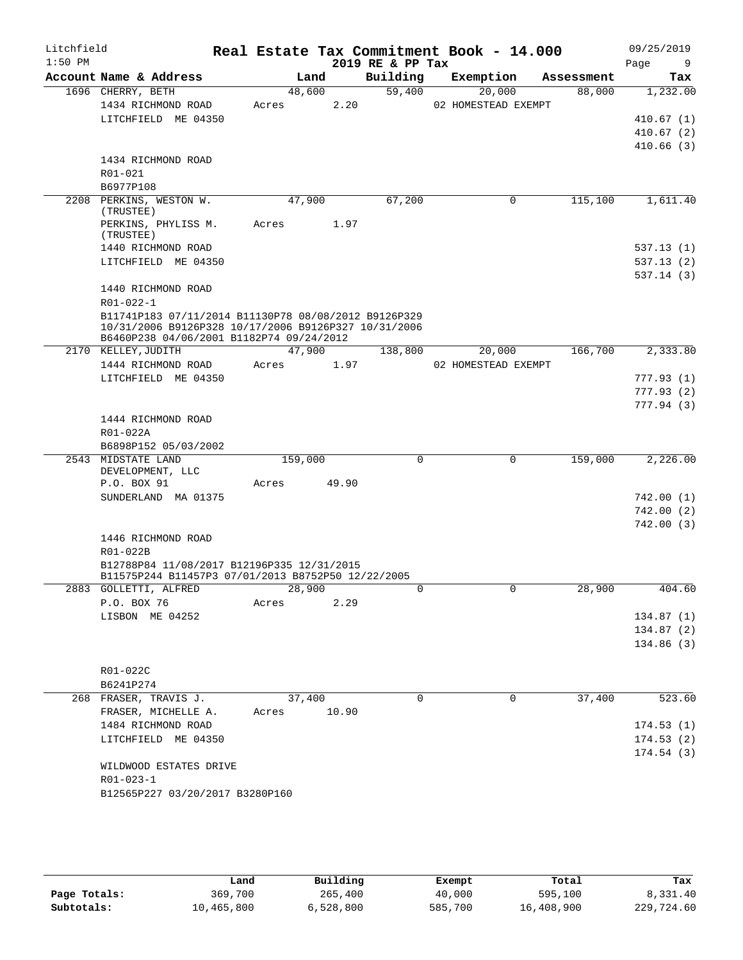| Litchfield<br>$1:50$ PM |                                                                                                                                                          |                      |       | 2019 RE & PP Tax | Real Estate Tax Commitment Book - 14.000 |            | 09/25/2019<br>Page<br>9 |
|-------------------------|----------------------------------------------------------------------------------------------------------------------------------------------------------|----------------------|-------|------------------|------------------------------------------|------------|-------------------------|
|                         | Account Name & Address                                                                                                                                   |                      | Land  | Building         | Exemption                                | Assessment | Tax                     |
|                         | 1696 CHERRY, BETH                                                                                                                                        | 48,600               |       | 59,400           | 20,000                                   | 88,000     | 1,232.00                |
|                         | 1434 RICHMOND ROAD                                                                                                                                       | Acres                | 2.20  |                  | 02 HOMESTEAD EXEMPT                      |            |                         |
|                         | LITCHFIELD ME 04350                                                                                                                                      |                      |       |                  |                                          |            | 410.67(1)               |
|                         |                                                                                                                                                          |                      |       |                  |                                          |            | 410.67(2)               |
|                         |                                                                                                                                                          |                      |       |                  |                                          |            | 410.66(3)               |
|                         | 1434 RICHMOND ROAD                                                                                                                                       |                      |       |                  |                                          |            |                         |
|                         | R01-021                                                                                                                                                  |                      |       |                  |                                          |            |                         |
|                         | B6977P108                                                                                                                                                |                      |       |                  |                                          |            |                         |
|                         | 2208 PERKINS, WESTON W.<br>(TRUSTEE)                                                                                                                     | 47,900               |       | 67,200           | $\mathbf 0$                              | 115,100    | 1,611.40                |
|                         | PERKINS, PHYLISS M.<br>(TRUSTEE)                                                                                                                         | Acres                | 1.97  |                  |                                          |            |                         |
|                         | 1440 RICHMOND ROAD                                                                                                                                       |                      |       |                  |                                          |            | 537.13(1)               |
|                         | LITCHFIELD ME 04350                                                                                                                                      |                      |       |                  |                                          |            | 537.13(2)<br>537.14(3)  |
|                         | 1440 RICHMOND ROAD                                                                                                                                       |                      |       |                  |                                          |            |                         |
|                         | R01-022-1                                                                                                                                                |                      |       |                  |                                          |            |                         |
|                         | B11741P183 07/11/2014 B11130P78 08/08/2012 B9126P329<br>10/31/2006 B9126P328 10/17/2006 B9126P327 10/31/2006<br>B6460P238 04/06/2001 B1182P74 09/24/2012 |                      |       |                  |                                          |            |                         |
|                         | 2170 KELLEY, JUDITH                                                                                                                                      | 47,900               |       | 138,800          | 20,000                                   | 166,700    | 2,333.80                |
|                         | 1444 RICHMOND ROAD                                                                                                                                       | Acres                | 1.97  |                  | 02 HOMESTEAD EXEMPT                      |            |                         |
|                         | LITCHFIELD ME 04350                                                                                                                                      |                      |       |                  |                                          |            | 777.93(1)               |
|                         |                                                                                                                                                          |                      |       |                  |                                          |            | 777.93(2)               |
|                         |                                                                                                                                                          |                      |       |                  |                                          |            | 777.94(3)               |
|                         | 1444 RICHMOND ROAD                                                                                                                                       |                      |       |                  |                                          |            |                         |
|                         | R01-022A                                                                                                                                                 |                      |       |                  |                                          |            |                         |
|                         | B6898P152 05/03/2002                                                                                                                                     |                      |       |                  |                                          |            |                         |
|                         | 2543 MIDSTATE LAND                                                                                                                                       | $1\overline{59,000}$ |       | $\Omega$         | $\Omega$                                 | 159,000    | 2,226.00                |
|                         | DEVELOPMENT, LLC<br>P.O. BOX 91                                                                                                                          | Acres                | 49.90 |                  |                                          |            |                         |
|                         | SUNDERLAND MA 01375                                                                                                                                      |                      |       |                  |                                          |            | 742.00(1)               |
|                         |                                                                                                                                                          |                      |       |                  |                                          |            | 742.00(2)               |
|                         |                                                                                                                                                          |                      |       |                  |                                          |            | 742.00(3)               |
|                         | 1446 RICHMOND ROAD                                                                                                                                       |                      |       |                  |                                          |            |                         |
|                         | R01-022B                                                                                                                                                 |                      |       |                  |                                          |            |                         |
|                         | B12788P84 11/08/2017 B12196P335 12/31/2015                                                                                                               |                      |       |                  |                                          |            |                         |
|                         | B11575P244 B11457P3 07/01/2013 B8752P50 12/22/2005                                                                                                       |                      |       |                  |                                          |            |                         |
|                         | 2883 GOLLETTI, ALFRED                                                                                                                                    | 28,900               |       | 0                | 0                                        | 28,900     | 404.60                  |
|                         | P.O. BOX 76                                                                                                                                              | Acres                | 2.29  |                  |                                          |            |                         |
|                         | LISBON ME 04252                                                                                                                                          |                      |       |                  |                                          |            | 134.87(1)               |
|                         |                                                                                                                                                          |                      |       |                  |                                          |            | 134.87(2)               |
|                         |                                                                                                                                                          |                      |       |                  |                                          |            | 134.86 (3)              |
|                         |                                                                                                                                                          |                      |       |                  |                                          |            |                         |
|                         | R01-022C                                                                                                                                                 |                      |       |                  |                                          |            |                         |
|                         | B6241P274                                                                                                                                                |                      |       |                  |                                          |            |                         |
|                         | 268 FRASER, TRAVIS J.                                                                                                                                    | 37,400               |       | $\Omega$         | $\Omega$                                 | 37,400     | 523.60                  |
|                         | FRASER, MICHELLE A.<br>1484 RICHMOND ROAD                                                                                                                | Acres                | 10.90 |                  |                                          |            |                         |
|                         |                                                                                                                                                          |                      |       |                  |                                          |            | 174.53(1)               |
|                         | LITCHFIELD ME 04350                                                                                                                                      |                      |       |                  |                                          |            | 174.53(2)<br>174.54(3)  |
|                         | WILDWOOD ESTATES DRIVE                                                                                                                                   |                      |       |                  |                                          |            |                         |
|                         | R01-023-1                                                                                                                                                |                      |       |                  |                                          |            |                         |
|                         | B12565P227 03/20/2017 B3280P160                                                                                                                          |                      |       |                  |                                          |            |                         |
|                         |                                                                                                                                                          |                      |       |                  |                                          |            |                         |

|              | Land       | Building  | Exempt  | Total      | Tax        |
|--------------|------------|-----------|---------|------------|------------|
| Page Totals: | 369,700    | 265,400   | 40,000  | 595,100    | 8,331.40   |
| Subtotals:   | 10,465,800 | 6,528,800 | 585,700 | 16,408,900 | 229,724.60 |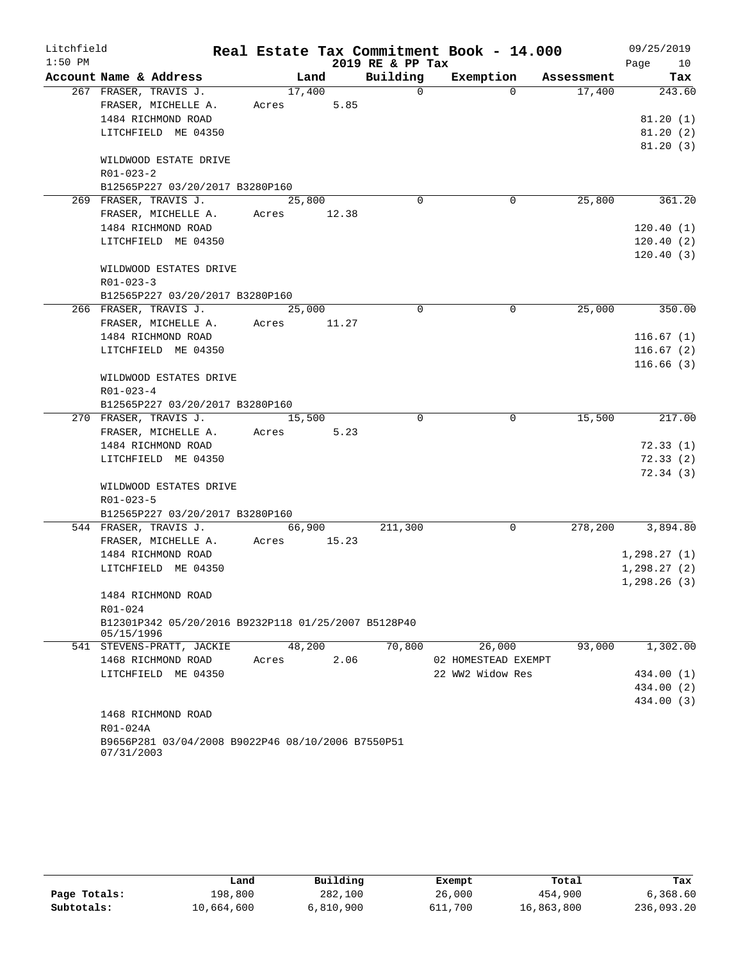| Litchfield |                                                                 |             |        |                  | Real Estate Tax Commitment Book - 14.000 |            | 09/25/2019   |
|------------|-----------------------------------------------------------------|-------------|--------|------------------|------------------------------------------|------------|--------------|
| $1:50$ PM  |                                                                 |             |        | 2019 RE & PP Tax |                                          |            | Page 10      |
|            | Account Name & Address                                          |             | Land   | Building         | Exemption                                | Assessment | Tax          |
|            | 267 FRASER, TRAVIS J.                                           |             | 17,400 | $\Omega$         | $\Omega$                                 | 17,400     | 243.60       |
|            | FRASER, MICHELLE A.                                             | Acres       | 5.85   |                  |                                          |            |              |
|            | 1484 RICHMOND ROAD                                              |             |        |                  |                                          |            | 81.20(1)     |
|            | LITCHFIELD ME 04350                                             |             |        |                  |                                          |            | 81.20(2)     |
|            |                                                                 |             |        |                  |                                          |            | 81.20(3)     |
|            | WILDWOOD ESTATE DRIVE                                           |             |        |                  |                                          |            |              |
|            | $R01 - 023 - 2$                                                 |             |        |                  |                                          |            |              |
|            | B12565P227 03/20/2017 B3280P160                                 |             |        |                  |                                          |            |              |
|            | 269 FRASER, TRAVIS J.                                           |             | 25,800 | $\Omega$         | 0                                        | 25,800     | 361.20       |
|            | FRASER, MICHELLE A.                                             | Acres 12.38 |        |                  |                                          |            |              |
|            | 1484 RICHMOND ROAD                                              |             |        |                  |                                          |            | 120.40(1)    |
|            | LITCHFIELD ME 04350                                             |             |        |                  |                                          |            | 120.40(2)    |
|            |                                                                 |             |        |                  |                                          |            | 120.40(3)    |
|            | WILDWOOD ESTATES DRIVE                                          |             |        |                  |                                          |            |              |
|            | $R01 - 023 - 3$                                                 |             |        |                  |                                          |            |              |
|            | B12565P227 03/20/2017 B3280P160                                 |             |        |                  |                                          |            |              |
|            | 266 FRASER, TRAVIS J.                                           |             | 25,000 | $\Omega$         | 0                                        | 25,000     | 350.00       |
|            | FRASER, MICHELLE A.                                             | Acres       | 11.27  |                  |                                          |            |              |
|            | 1484 RICHMOND ROAD                                              |             |        |                  |                                          |            | 116.67(1)    |
|            | LITCHFIELD ME 04350                                             |             |        |                  |                                          |            | 116.67(2)    |
|            |                                                                 |             |        |                  |                                          |            | 116.66(3)    |
|            | WILDWOOD ESTATES DRIVE                                          |             |        |                  |                                          |            |              |
|            | $R01 - 023 - 4$                                                 |             |        |                  |                                          |            |              |
|            | B12565P227 03/20/2017 B3280P160<br>270 FRASER, TRAVIS J.        |             | 15,500 | $\mathbf 0$      | $\mathbf 0$                              | 15,500     | 217.00       |
|            | FRASER, MICHELLE A.                                             | Acres       | 5.23   |                  |                                          |            |              |
|            | 1484 RICHMOND ROAD                                              |             |        |                  |                                          |            | 72.33(1)     |
|            | LITCHFIELD ME 04350                                             |             |        |                  |                                          |            | 72.33(2)     |
|            |                                                                 |             |        |                  |                                          |            | 72.34(3)     |
|            | WILDWOOD ESTATES DRIVE                                          |             |        |                  |                                          |            |              |
|            | $R01 - 023 - 5$                                                 |             |        |                  |                                          |            |              |
|            | B12565P227 03/20/2017 B3280P160                                 |             |        |                  |                                          |            |              |
|            | 544 FRASER, TRAVIS J.                                           |             | 66,900 | 211,300          | 0                                        | 278,200    | 3,894.80     |
|            | FRASER, MICHELLE A.                                             | Acres       | 15.23  |                  |                                          |            |              |
|            | 1484 RICHMOND ROAD                                              |             |        |                  |                                          |            | 1,298.27(1)  |
|            | LITCHFIELD ME 04350                                             |             |        |                  |                                          |            | 1,298.27(2)  |
|            |                                                                 |             |        |                  |                                          |            | 1, 298.26(3) |
|            | 1484 RICHMOND ROAD                                              |             |        |                  |                                          |            |              |
|            | R01-024                                                         |             |        |                  |                                          |            |              |
|            | B12301P342 05/20/2016 B9232P118 01/25/2007 B5128P40             |             |        |                  |                                          |            |              |
|            | 05/15/1996                                                      |             |        |                  |                                          |            |              |
|            | 541 STEVENS-PRATT, JACKIE                                       |             | 48,200 | 70,800           | 26,000                                   | 93,000     | 1,302.00     |
|            | 1468 RICHMOND ROAD                                              | Acres       | 2.06   |                  | 02 HOMESTEAD EXEMPT                      |            |              |
|            | LITCHFIELD ME 04350                                             |             |        |                  | 22 WW2 Widow Res                         |            | 434.00 (1)   |
|            |                                                                 |             |        |                  |                                          |            | 434.00 (2)   |
|            |                                                                 |             |        |                  |                                          |            | 434.00 (3)   |
|            | 1468 RICHMOND ROAD                                              |             |        |                  |                                          |            |              |
|            | R01-024A                                                        |             |        |                  |                                          |            |              |
|            | B9656P281 03/04/2008 B9022P46 08/10/2006 B7550P51<br>07/31/2003 |             |        |                  |                                          |            |              |

|              | Land       | Building  | Exempt  | Total      | Tax        |
|--------------|------------|-----------|---------|------------|------------|
| Page Totals: | 198,800    | 282,100   | 26,000  | 454,900    | 6,368.60   |
| Subtotals:   | 10,664,600 | 6,810,900 | 611,700 | 16,863,800 | 236,093.20 |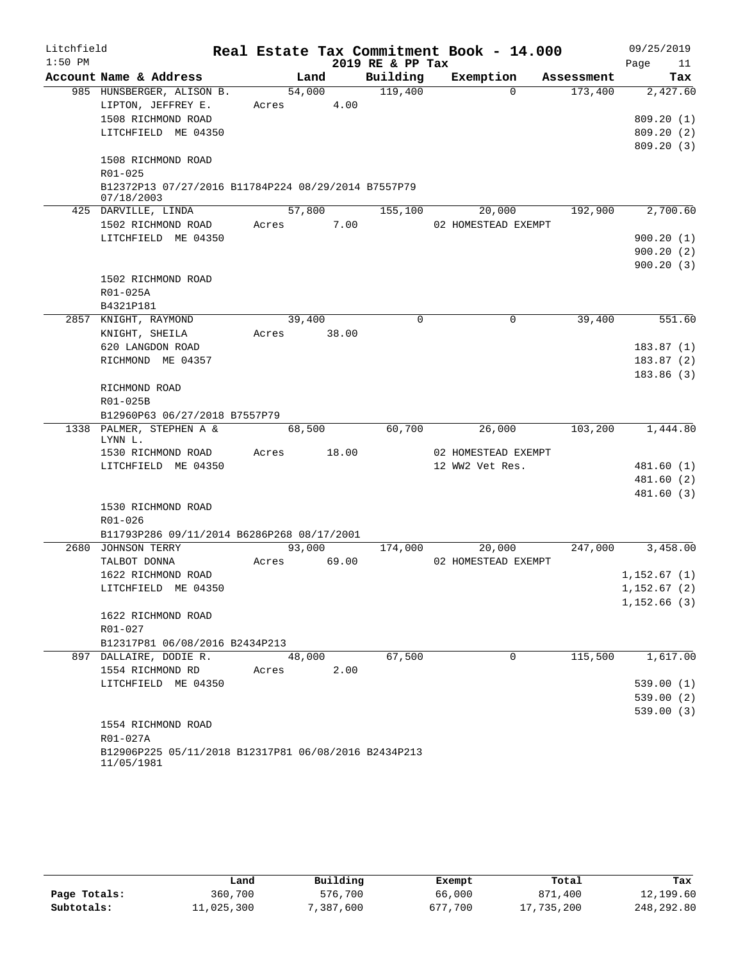| Litchfield |                                                                    |        |        | Real Estate Tax Commitment Book - 14.000 |                     |            | 09/25/2019    |
|------------|--------------------------------------------------------------------|--------|--------|------------------------------------------|---------------------|------------|---------------|
| $1:50$ PM  |                                                                    |        |        | 2019 RE & PP Tax                         |                     |            | Page<br>11    |
|            | Account Name & Address                                             | Land   |        | Building                                 | Exemption           | Assessment | Tax           |
|            | 985 HUNSBERGER, ALISON B.                                          | 54,000 |        | 119,400                                  | $\Omega$            | 173,400    | 2,427.60      |
|            | LIPTON, JEFFREY E.                                                 | Acres  | 4.00   |                                          |                     |            |               |
|            | 1508 RICHMOND ROAD                                                 |        |        |                                          |                     |            | 809.20(1)     |
|            | LITCHFIELD ME 04350                                                |        |        |                                          |                     |            | 809.20(2)     |
|            |                                                                    |        |        |                                          |                     |            | 809.20(3)     |
|            | 1508 RICHMOND ROAD<br>$R01 - 025$                                  |        |        |                                          |                     |            |               |
|            | B12372P13 07/27/2016 B11784P224 08/29/2014 B7557P79                |        |        |                                          |                     |            |               |
|            | 07/18/2003                                                         |        |        |                                          |                     |            |               |
|            | 425 DARVILLE, LINDA                                                |        | 57,800 | 155,100                                  | 20,000              | 192,900    | 2,700.60      |
|            | 1502 RICHMOND ROAD                                                 | Acres  | 7.00   |                                          | 02 HOMESTEAD EXEMPT |            |               |
|            | LITCHFIELD ME 04350                                                |        |        |                                          |                     |            | 900.20(1)     |
|            |                                                                    |        |        |                                          |                     |            | 900.20(2)     |
|            |                                                                    |        |        |                                          |                     |            | 900.20(3)     |
|            | 1502 RICHMOND ROAD                                                 |        |        |                                          |                     |            |               |
|            | R01-025A                                                           |        |        |                                          |                     |            |               |
|            | B4321P181                                                          |        |        |                                          |                     |            |               |
|            | 2857 KNIGHT, RAYMOND                                               | 39,400 |        | 0                                        | $\mathbf 0$         | 39,400     | 551.60        |
|            | KNIGHT, SHEILA                                                     | Acres  | 38.00  |                                          |                     |            |               |
|            | 620 LANGDON ROAD                                                   |        |        |                                          |                     |            | 183.87(1)     |
|            | RICHMOND ME 04357                                                  |        |        |                                          |                     |            | 183.87(2)     |
|            | RICHMOND ROAD                                                      |        |        |                                          |                     |            | 183.86(3)     |
|            | R01-025B                                                           |        |        |                                          |                     |            |               |
|            | B12960P63 06/27/2018 B7557P79                                      |        |        |                                          |                     |            |               |
|            | 1338 PALMER, STEPHEN A &                                           | 68,500 |        | 60,700                                   | 26,000              | 103,200    | 1,444.80      |
|            | LYNN L.                                                            |        |        |                                          |                     |            |               |
|            | 1530 RICHMOND ROAD                                                 | Acres  | 18.00  |                                          | 02 HOMESTEAD EXEMPT |            |               |
|            | LITCHFIELD ME 04350                                                |        |        |                                          | 12 WW2 Vet Res.     |            | 481.60 (1)    |
|            |                                                                    |        |        |                                          |                     |            | 481.60 (2)    |
|            |                                                                    |        |        |                                          |                     |            | 481.60(3)     |
|            | 1530 RICHMOND ROAD                                                 |        |        |                                          |                     |            |               |
|            | R01-026                                                            |        |        |                                          |                     |            |               |
|            | B11793P286 09/11/2014 B6286P268 08/17/2001                         |        |        |                                          |                     |            |               |
|            | 2680 JOHNSON TERRY                                                 | 93,000 |        | 174,000                                  | 20,000              | 247,000    | 3,458.00      |
|            | TALBOT DONNA                                                       | Acres  | 69.00  |                                          | 02 HOMESTEAD EXEMPT |            |               |
|            | 1622 RICHMOND ROAD                                                 |        |        |                                          |                     |            | 1,152.67(1)   |
|            | LITCHFIELD ME 04350                                                |        |        |                                          |                     |            | 1, 152.67 (2) |
|            | 1622 RICHMOND ROAD                                                 |        |        |                                          |                     |            | 1,152.66(3)   |
|            | R01-027                                                            |        |        |                                          |                     |            |               |
|            | B12317P81 06/08/2016 B2434P213                                     |        |        |                                          |                     |            |               |
|            | 897 DALLAIRE, DODIE R.                                             | 48,000 |        | 67,500                                   | 0                   | 115,500    | 1,617.00      |
|            | 1554 RICHMOND RD                                                   | Acres  | 2.00   |                                          |                     |            |               |
|            | LITCHFIELD ME 04350                                                |        |        |                                          |                     |            | 539.00(1)     |
|            |                                                                    |        |        |                                          |                     |            | 539.00(2)     |
|            |                                                                    |        |        |                                          |                     |            | 539.00(3)     |
|            | 1554 RICHMOND ROAD                                                 |        |        |                                          |                     |            |               |
|            | R01-027A                                                           |        |        |                                          |                     |            |               |
|            | B12906P225 05/11/2018 B12317P81 06/08/2016 B2434P213<br>11/05/1981 |        |        |                                          |                     |            |               |

|              | Land       | Building  | Exempt  | Total      | Tax        |
|--------------|------------|-----------|---------|------------|------------|
| Page Totals: | 360,700    | 576,700   | 66,000  | 871,400    | 12,199.60  |
| Subtotals:   | 11,025,300 | 7,387,600 | 677,700 | 17,735,200 | 248,292.80 |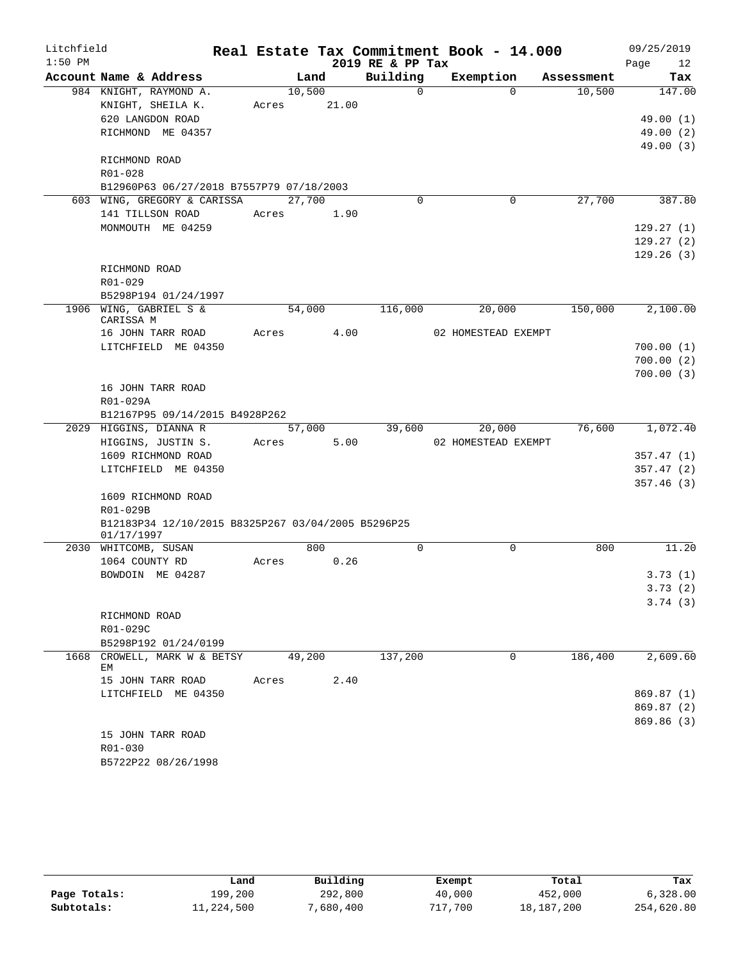| Litchfield |                                                          |       |        |             |                  | Real Estate Tax Commitment Book - 14.000 |            | 09/25/2019 |
|------------|----------------------------------------------------------|-------|--------|-------------|------------------|------------------------------------------|------------|------------|
| $1:50$ PM  |                                                          |       |        |             | 2019 RE & PP Tax |                                          |            | Page<br>12 |
|            | Account Name & Address                                   |       | Land   |             | Building         | Exemption                                | Assessment | Tax        |
|            | 984 KNIGHT, RAYMOND A.                                   |       | 10,500 |             | $\Omega$         | $\Omega$                                 | 10,500     | 147.00     |
|            | KNIGHT, SHEILA K.                                        |       |        | Acres 21.00 |                  |                                          |            |            |
|            | 620 LANGDON ROAD                                         |       |        |             |                  |                                          |            | 49.00 (1)  |
|            | RICHMOND ME 04357                                        |       |        |             |                  |                                          |            | 49.00(2)   |
|            |                                                          |       |        |             |                  |                                          |            | 49.00(3)   |
|            | RICHMOND ROAD                                            |       |        |             |                  |                                          |            |            |
|            | R01-028                                                  |       |        |             |                  |                                          |            |            |
|            | B12960P63 06/27/2018 B7557P79 07/18/2003                 |       | 27,700 |             | $\Omega$         | $\Omega$                                 | 27,700     | 387.80     |
|            | 603 WING, GREGORY & CARISSA<br>141 TILLSON ROAD          | Acres |        | 1.90        |                  |                                          |            |            |
|            | MONMOUTH ME 04259                                        |       |        |             |                  |                                          |            | 129.27(1)  |
|            |                                                          |       |        |             |                  |                                          |            | 129.27(2)  |
|            |                                                          |       |        |             |                  |                                          |            | 129.26(3)  |
|            | RICHMOND ROAD                                            |       |        |             |                  |                                          |            |            |
|            | R01-029                                                  |       |        |             |                  |                                          |            |            |
|            | B5298P194 01/24/1997                                     |       |        |             |                  |                                          |            |            |
|            | 1906 WING, GABRIEL S &                                   |       | 54,000 |             | 116,000          | 20,000                                   | 150,000    | 2,100.00   |
|            | CARISSA M                                                |       |        |             |                  |                                          |            |            |
|            | 16 JOHN TARR ROAD                                        | Acres |        | 4.00        |                  | 02 HOMESTEAD EXEMPT                      |            |            |
|            | LITCHFIELD ME 04350                                      |       |        |             |                  |                                          |            | 700.00(1)  |
|            |                                                          |       |        |             |                  |                                          |            | 700.00(2)  |
|            |                                                          |       |        |             |                  |                                          |            | 700.00(3)  |
|            | 16 JOHN TARR ROAD                                        |       |        |             |                  |                                          |            |            |
|            | R01-029A                                                 |       |        |             |                  |                                          |            |            |
|            | B12167P95 09/14/2015 B4928P262<br>2029 HIGGINS, DIANNA R |       | 57,000 |             | 39,600           | 20,000                                   | 76,600     | 1,072.40   |
|            |                                                          | Acres |        | 5.00        |                  | 02 HOMESTEAD EXEMPT                      |            |            |
|            | HIGGINS, JUSTIN S.<br>1609 RICHMOND ROAD                 |       |        |             |                  |                                          |            | 357.47(1)  |
|            | LITCHFIELD ME 04350                                      |       |        |             |                  |                                          |            | 357.47(2)  |
|            |                                                          |       |        |             |                  |                                          |            | 357.46(3)  |
|            | 1609 RICHMOND ROAD                                       |       |        |             |                  |                                          |            |            |
|            | R01-029B                                                 |       |        |             |                  |                                          |            |            |
|            | B12183P34 12/10/2015 B8325P267 03/04/2005 B5296P25       |       |        |             |                  |                                          |            |            |
|            | 01/17/1997                                               |       |        |             |                  |                                          |            |            |
|            | 2030 WHITCOMB, SUSAN                                     |       | 800    |             | $\mathbf 0$      | 0                                        | 800        | 11.20      |
|            | 1064 COUNTY RD                                           | Acres |        | 0.26        |                  |                                          |            |            |
|            | BOWDOIN ME 04287                                         |       |        |             |                  |                                          |            | 3.73(1)    |
|            |                                                          |       |        |             |                  |                                          |            | 3.73(2)    |
|            |                                                          |       |        |             |                  |                                          |            | 3.74(3)    |
|            | RICHMOND ROAD                                            |       |        |             |                  |                                          |            |            |
|            | R01-029C                                                 |       |        |             |                  |                                          |            |            |
|            | B5298P192 01/24/0199<br>1668 CROWELL, MARK W & BETSY     |       | 49,200 |             | 137,200          | $\mathbf 0$                              | 186,400    | 2,609.60   |
|            | EM                                                       |       |        |             |                  |                                          |            |            |
|            | 15 JOHN TARR ROAD                                        | Acres |        | 2.40        |                  |                                          |            |            |
|            | LITCHFIELD ME 04350                                      |       |        |             |                  |                                          |            | 869.87(1)  |
|            |                                                          |       |        |             |                  |                                          |            | 869.87 (2) |
|            |                                                          |       |        |             |                  |                                          |            | 869.86 (3) |
|            | 15 JOHN TARR ROAD                                        |       |        |             |                  |                                          |            |            |
|            | R01-030                                                  |       |        |             |                  |                                          |            |            |
|            | B5722P22 08/26/1998                                      |       |        |             |                  |                                          |            |            |

|              | Land       | Building  | Exempt  | Total      | Tax        |
|--------------|------------|-----------|---------|------------|------------|
| Page Totals: | 199,200    | 292,800   | 40,000  | 452,000    | 6,328.00   |
| Subtotals:   | 11,224,500 | 7,680,400 | 717,700 | 18,187,200 | 254,620.80 |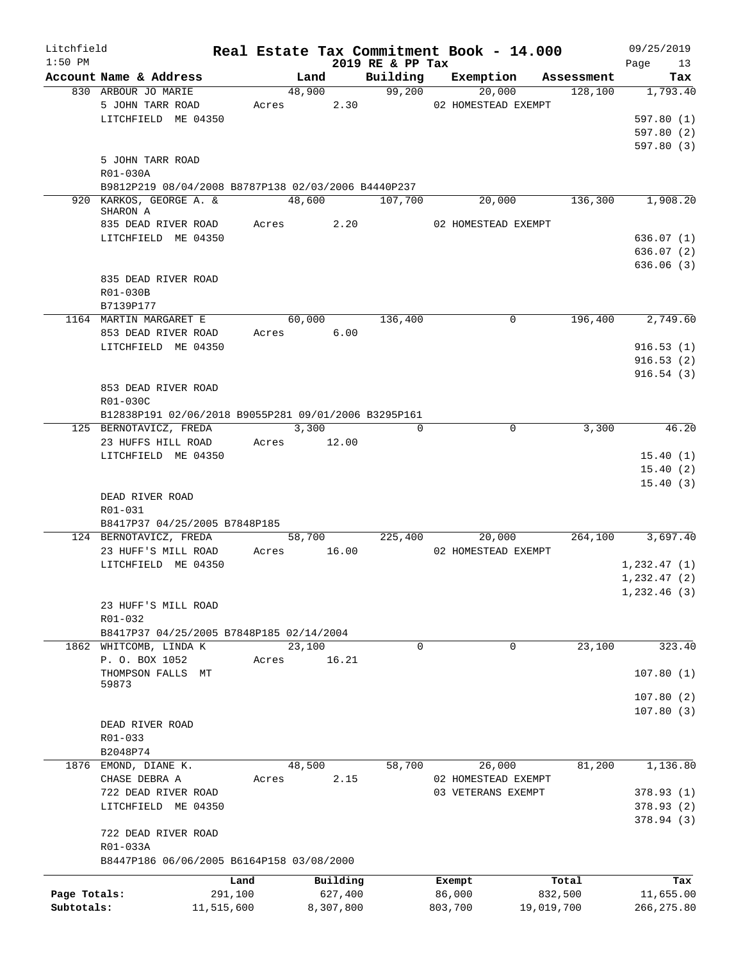| Litchfield   |                                                      |            |       |            |           |                  | Real Estate Tax Commitment Book - 14.000 |            | 09/25/2019   |
|--------------|------------------------------------------------------|------------|-------|------------|-----------|------------------|------------------------------------------|------------|--------------|
| $1:50$ PM    |                                                      |            |       |            |           | 2019 RE & PP Tax |                                          |            | 13<br>Page   |
|              | Account Name & Address                               |            |       | Land       |           | Building         | Exemption                                | Assessment | Tax          |
|              | 830 ARBOUR JO MARIE                                  |            |       | 48,900     |           | 99,200           | 20,000                                   | 128,100    | 1,793.40     |
|              | 5 JOHN TARR ROAD                                     |            |       | Acres      | 2.30      |                  | 02 HOMESTEAD EXEMPT                      |            |              |
|              | LITCHFIELD ME 04350                                  |            |       |            |           |                  |                                          |            | 597.80(1)    |
|              |                                                      |            |       |            |           |                  |                                          |            | 597.80(2)    |
|              |                                                      |            |       |            |           |                  |                                          |            | 597.80 (3)   |
|              | 5 JOHN TARR ROAD                                     |            |       |            |           |                  |                                          |            |              |
|              | R01-030A                                             |            |       |            |           |                  |                                          |            |              |
|              | B9812P219 08/04/2008 B8787P138 02/03/2006 B4440P237  |            |       |            |           |                  |                                          |            |              |
|              | 920 KARKOS, GEORGE A. &<br>SHARON A                  |            |       | 48,600     |           | 107,700          | 20,000                                   | 136,300    | 1,908.20     |
|              | 835 DEAD RIVER ROAD                                  |            |       | Acres 2.20 |           |                  | 02 HOMESTEAD EXEMPT                      |            |              |
|              | LITCHFIELD ME 04350                                  |            |       |            |           |                  |                                          |            | 636.07(1)    |
|              |                                                      |            |       |            |           |                  |                                          |            | 636.07(2)    |
|              |                                                      |            |       |            |           |                  |                                          |            | 636.06(3)    |
|              | 835 DEAD RIVER ROAD                                  |            |       |            |           |                  |                                          |            |              |
|              |                                                      |            |       |            |           |                  |                                          |            |              |
|              | R01-030B                                             |            |       |            |           |                  |                                          |            |              |
|              | B7139P177                                            |            |       |            |           |                  |                                          |            |              |
|              | 1164 MARTIN MARGARET E                               |            |       | 60,000     |           | 136,400          | 0                                        | 196,400    | 2,749.60     |
|              | 853 DEAD RIVER ROAD                                  |            |       | Acres 6.00 |           |                  |                                          |            |              |
|              | LITCHFIELD ME 04350                                  |            |       |            |           |                  |                                          |            | 916.53(1)    |
|              |                                                      |            |       |            |           |                  |                                          |            | 916.53(2)    |
|              |                                                      |            |       |            |           |                  |                                          |            | 916.54(3)    |
|              | 853 DEAD RIVER ROAD                                  |            |       |            |           |                  |                                          |            |              |
|              | R01-030C                                             |            |       |            |           |                  |                                          |            |              |
|              | B12838P191 02/06/2018 B9055P281 09/01/2006 B3295P161 |            |       |            |           |                  |                                          |            |              |
|              | 125 BERNOTAVICZ, FREDA                               |            | 3,300 |            |           | $\Omega$         | 0                                        | 3,300      | 46.20        |
|              | 23 HUFFS HILL ROAD                                   |            | Acres |            | 12.00     |                  |                                          |            |              |
|              | LITCHFIELD ME 04350                                  |            |       |            |           |                  |                                          |            | 15.40(1)     |
|              |                                                      |            |       |            |           |                  |                                          |            | 15.40(2)     |
|              |                                                      |            |       |            |           |                  |                                          |            | 15.40(3)     |
|              | DEAD RIVER ROAD                                      |            |       |            |           |                  |                                          |            |              |
|              | R01-031                                              |            |       |            |           |                  |                                          |            |              |
|              | B8417P37 04/25/2005 B7848P185                        |            |       |            |           |                  |                                          |            |              |
|              | 124 BERNOTAVICZ, FREDA                               |            |       | 58,700     |           | 225,400          | 20,000                                   | 264,100    | 3,697.40     |
|              | 23 HUFF'S MILL ROAD                                  |            | Acres |            | 16.00     |                  | 02 HOMESTEAD EXEMPT                      |            |              |
|              | LITCHFIELD ME 04350                                  |            |       |            |           |                  |                                          |            | 1,232.47(1)  |
|              |                                                      |            |       |            |           |                  |                                          |            | 1, 232.47(2) |
|              |                                                      |            |       |            |           |                  |                                          |            | 1,232.46(3)  |
|              | 23 HUFF'S MILL ROAD                                  |            |       |            |           |                  |                                          |            |              |
|              | R01-032                                              |            |       |            |           |                  |                                          |            |              |
|              | B8417P37 04/25/2005 B7848P185 02/14/2004             |            |       |            |           |                  |                                          |            |              |
|              | 1862 WHITCOMB, LINDA K                               |            |       | 23,100     |           | $\mathbf 0$      | $\mathbf 0$                              | 23,100     | 323.40       |
|              | P. O. BOX 1052                                       |            | Acres |            | 16.21     |                  |                                          |            |              |
|              | THOMPSON FALLS MT                                    |            |       |            |           |                  |                                          |            | 107.80(1)    |
|              | 59873                                                |            |       |            |           |                  |                                          |            |              |
|              |                                                      |            |       |            |           |                  |                                          |            | 107.80(2)    |
|              |                                                      |            |       |            |           |                  |                                          |            | 107.80(3)    |
|              | DEAD RIVER ROAD                                      |            |       |            |           |                  |                                          |            |              |
|              | R01-033                                              |            |       |            |           |                  |                                          |            |              |
|              | B2048P74                                             |            |       |            |           |                  |                                          |            |              |
|              | 1876 EMOND, DIANE K.                                 |            |       | 48,500     |           | 58,700           | 26,000                                   | 81,200     | 1,136.80     |
|              | CHASE DEBRA A                                        |            | Acres |            | 2.15      |                  | 02 HOMESTEAD EXEMPT                      |            |              |
|              | 722 DEAD RIVER ROAD                                  |            |       |            |           |                  | 03 VETERANS EXEMPT                       |            | 378.93(1)    |
|              | LITCHFIELD ME 04350                                  |            |       |            |           |                  |                                          |            | 378.93(2)    |
|              |                                                      |            |       |            |           |                  |                                          |            | 378.94 (3)   |
|              | 722 DEAD RIVER ROAD                                  |            |       |            |           |                  |                                          |            |              |
|              | R01-033A                                             |            |       |            |           |                  |                                          |            |              |
|              | B8447P186 06/06/2005 B6164P158 03/08/2000            |            |       |            |           |                  |                                          |            |              |
|              |                                                      | Land       |       |            | Building  |                  | Exempt                                   | Total      | Tax          |
| Page Totals: |                                                      | 291,100    |       |            | 627,400   |                  | 86,000                                   | 832,500    | 11,655.00    |
| Subtotals:   |                                                      | 11,515,600 |       |            | 8,307,800 |                  | 803,700                                  | 19,019,700 | 266, 275.80  |
|              |                                                      |            |       |            |           |                  |                                          |            |              |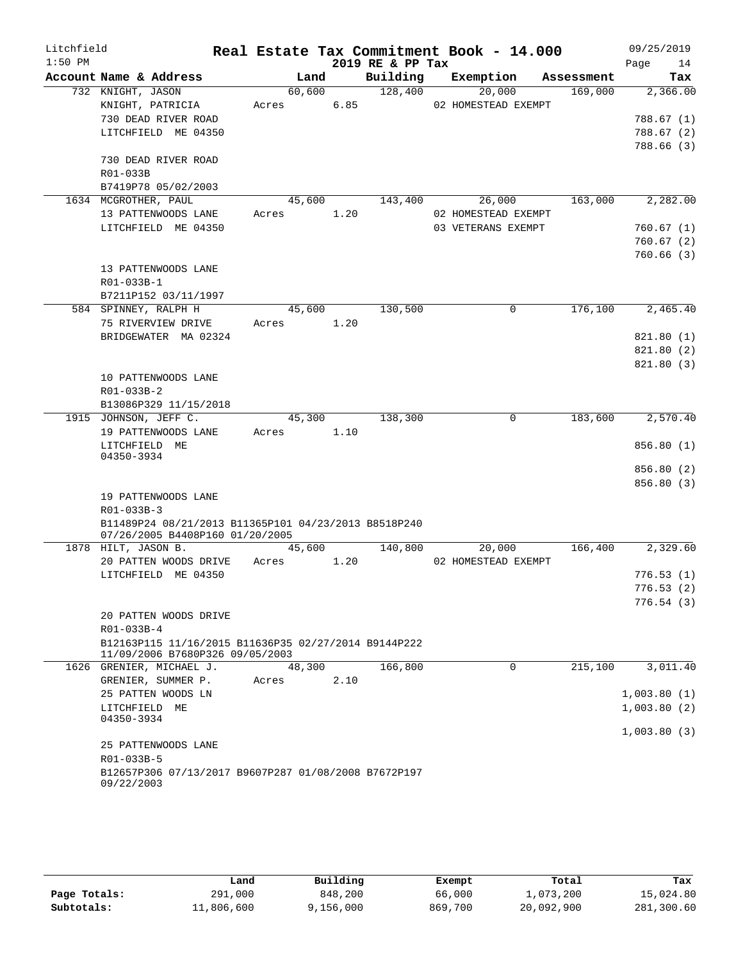| Litchfield |                                                                                         |       |        |      |                  | Real Estate Tax Commitment Book - 14.000 |            | 09/25/2019  |
|------------|-----------------------------------------------------------------------------------------|-------|--------|------|------------------|------------------------------------------|------------|-------------|
| $1:50$ PM  |                                                                                         |       |        |      | 2019 RE & PP Tax |                                          |            | Page<br>14  |
|            | Account Name & Address                                                                  |       | Land   |      | Building         | Exemption                                | Assessment | Tax         |
|            | 732 KNIGHT, JASON                                                                       |       | 60,600 |      | 128,400          | 20,000                                   | 169,000    | 2,366.00    |
|            | KNIGHT, PATRICIA                                                                        | Acres |        | 6.85 |                  | 02 HOMESTEAD EXEMPT                      |            |             |
|            | 730 DEAD RIVER ROAD                                                                     |       |        |      |                  |                                          |            | 788.67 (1)  |
|            | LITCHFIELD ME 04350                                                                     |       |        |      |                  |                                          |            | 788.67 (2)  |
|            |                                                                                         |       |        |      |                  |                                          |            | 788.66 (3)  |
|            | 730 DEAD RIVER ROAD                                                                     |       |        |      |                  |                                          |            |             |
|            | R01-033B                                                                                |       |        |      |                  |                                          |            |             |
|            | B7419P78 05/02/2003                                                                     |       |        |      |                  |                                          |            |             |
|            | 1634 MCGROTHER, PAUL                                                                    |       | 45,600 |      | 143,400          | 26,000                                   | 163,000    | 2,282.00    |
|            | 13 PATTENWOODS LANE                                                                     | Acres |        | 1.20 |                  | 02 HOMESTEAD EXEMPT                      |            |             |
|            | LITCHFIELD ME 04350                                                                     |       |        |      |                  | 03 VETERANS EXEMPT                       |            | 760.67(1)   |
|            |                                                                                         |       |        |      |                  |                                          |            | 760.67(2)   |
|            |                                                                                         |       |        |      |                  |                                          |            | 760.66(3)   |
|            | 13 PATTENWOODS LANE                                                                     |       |        |      |                  |                                          |            |             |
|            | R01-033B-1                                                                              |       |        |      |                  |                                          |            |             |
|            | B7211P152 03/11/1997                                                                    |       |        |      |                  |                                          |            |             |
|            | 584 SPINNEY, RALPH H                                                                    |       | 45,600 |      | 130,500          | 0                                        | 176,100    | 2,465.40    |
|            | 75 RIVERVIEW DRIVE                                                                      | Acres |        | 1.20 |                  |                                          |            |             |
|            | BRIDGEWATER MA 02324                                                                    |       |        |      |                  |                                          |            | 821.80(1)   |
|            |                                                                                         |       |        |      |                  |                                          |            | 821.80 (2)  |
|            |                                                                                         |       |        |      |                  |                                          |            | 821.80 (3)  |
|            | 10 PATTENWOODS LANE<br>R01-033B-2                                                       |       |        |      |                  |                                          |            |             |
|            | B13086P329 11/15/2018                                                                   |       |        |      |                  |                                          |            |             |
|            | 1915 JOHNSON, JEFF C.                                                                   |       | 45,300 |      | 138,300          | 0                                        | 183,600    | 2,570.40    |
|            | 19 PATTENWOODS LANE                                                                     | Acres |        | 1.10 |                  |                                          |            |             |
|            | LITCHFIELD ME                                                                           |       |        |      |                  |                                          |            | 856.80(1)   |
|            | 04350-3934                                                                              |       |        |      |                  |                                          |            |             |
|            |                                                                                         |       |        |      |                  |                                          |            | 856.80 (2)  |
|            |                                                                                         |       |        |      |                  |                                          |            | 856.80 (3)  |
|            | 19 PATTENWOODS LANE                                                                     |       |        |      |                  |                                          |            |             |
|            | R01-033B-3                                                                              |       |        |      |                  |                                          |            |             |
|            | B11489P24 08/21/2013 B11365P101 04/23/2013 B8518P240<br>07/26/2005 B4408P160 01/20/2005 |       |        |      |                  |                                          |            |             |
|            | 1878 HILT, JASON B.                                                                     |       | 45,600 |      | 140,800          | 20,000                                   | 166,400    | 2,329.60    |
|            | 20 PATTEN WOODS DRIVE                                                                   | Acres |        | 1.20 |                  | 02 HOMESTEAD EXEMPT                      |            |             |
|            | LITCHFIELD ME 04350                                                                     |       |        |      |                  |                                          |            | 776.53(1)   |
|            |                                                                                         |       |        |      |                  |                                          |            | 776.53(2)   |
|            |                                                                                         |       |        |      |                  |                                          |            | 776.54(3)   |
|            | 20 PATTEN WOODS DRIVE                                                                   |       |        |      |                  |                                          |            |             |
|            | $R01 - 033B - 4$                                                                        |       |        |      |                  |                                          |            |             |
|            | B12163P115 11/16/2015 B11636P35 02/27/2014 B9144P222<br>11/09/2006 B7680P326 09/05/2003 |       |        |      |                  |                                          |            |             |
|            | 1626 GRENIER, MICHAEL J.                                                                |       | 48,300 |      | 166,800          | $\Omega$                                 | 215,100    | 3,011.40    |
|            | GRENIER, SUMMER P.                                                                      | Acres |        | 2.10 |                  |                                          |            |             |
|            | 25 PATTEN WOODS LN                                                                      |       |        |      |                  |                                          |            | 1,003.80(1) |
|            | LITCHFIELD ME<br>04350-3934                                                             |       |        |      |                  |                                          |            | 1,003.80(2) |
|            |                                                                                         |       |        |      |                  |                                          |            | 1,003.80(3) |
|            | 25 PATTENWOODS LANE                                                                     |       |        |      |                  |                                          |            |             |
|            | R01-033B-5                                                                              |       |        |      |                  |                                          |            |             |
|            | B12657P306 07/13/2017 B9607P287 01/08/2008 B7672P197<br>09/22/2003                      |       |        |      |                  |                                          |            |             |

|              | Land       | Building  | Exempt  | Total      | Tax        |
|--------------|------------|-----------|---------|------------|------------|
| Page Totals: | 291,000    | 848,200   | 66,000  | 1,073,200  | 15,024.80  |
| Subtotals:   | 11,806,600 | 9,156,000 | 869,700 | 20,092,900 | 281,300.60 |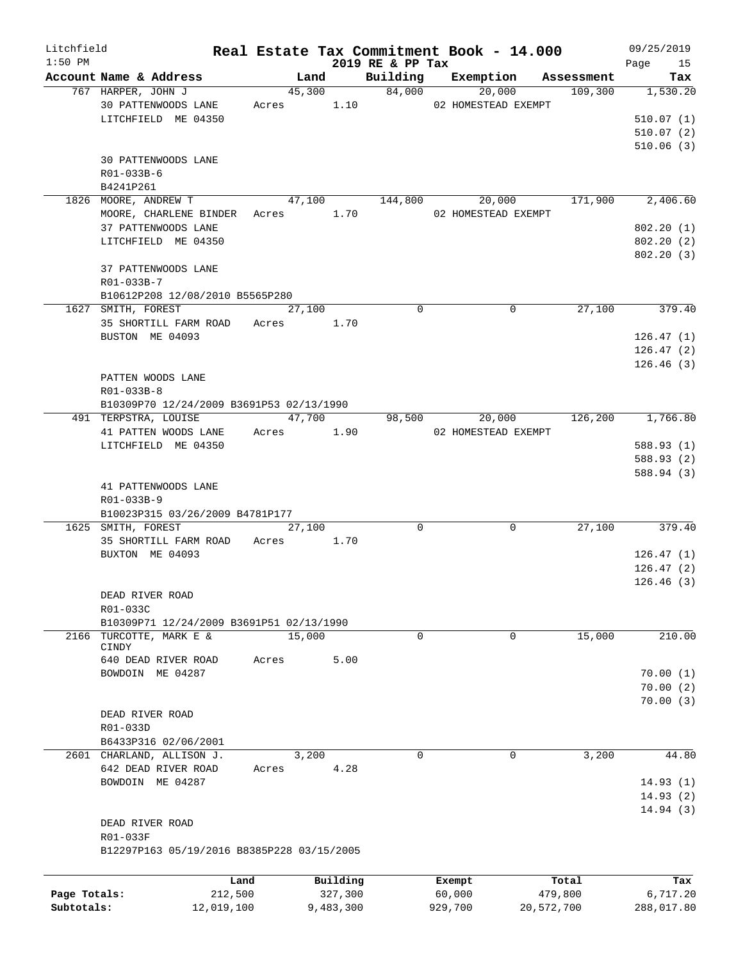| Litchfield   |                                            |            |                     |           |                              | Real Estate Tax Commitment Book - 14.000 |             |                       | 09/25/2019     |
|--------------|--------------------------------------------|------------|---------------------|-----------|------------------------------|------------------------------------------|-------------|-----------------------|----------------|
| $1:50$ PM    | Account Name & Address                     |            |                     |           | 2019 RE & PP Tax<br>Building |                                          |             |                       | Page 15<br>Tax |
|              | 767 HARPER, JOHN J                         |            | Land                | 45,300    |                              | Exemption<br>84,000                      | 20,000      | Assessment<br>109,300 | 1,530.20       |
|              |                                            |            |                     |           |                              |                                          |             |                       |                |
|              | 30 PATTENWOODS LANE                        |            |                     |           |                              | Acres 1.10 02 HOMESTEAD EXEMPT           |             |                       |                |
|              | LITCHFIELD ME 04350                        |            |                     |           |                              |                                          |             |                       | 510.07(1)      |
|              |                                            |            |                     |           |                              |                                          |             |                       | 510.07(2)      |
|              |                                            |            |                     |           |                              |                                          |             |                       | 510.06(3)      |
|              | 30 PATTENWOODS LANE                        |            |                     |           |                              |                                          |             |                       |                |
|              | R01-033B-6                                 |            |                     |           |                              |                                          |             |                       |                |
|              | B4241P261                                  |            |                     |           |                              |                                          |             |                       |                |
|              | 1826 MOORE, ANDREW T                       |            |                     |           | 47,100   144,800             |                                          |             | 20,000 171,900        | 2,406.60       |
|              | MOORE, CHARLENE BINDER Acres 1.70          |            |                     |           |                              | 02 HOMESTEAD EXEMPT                      |             |                       |                |
|              | 37 PATTENWOODS LANE                        |            |                     |           |                              |                                          |             |                       | 802.20(1)      |
|              | LITCHFIELD ME 04350                        |            |                     |           |                              |                                          |             |                       | 802.20(2)      |
|              |                                            |            |                     |           |                              |                                          |             |                       | 802.20(3)      |
|              | 37 PATTENWOODS LANE                        |            |                     |           |                              |                                          |             |                       |                |
|              | R01-033B-7                                 |            |                     |           |                              |                                          |             |                       |                |
|              | B10612P208 12/08/2010 B5565P280            |            |                     |           |                              |                                          |             |                       |                |
|              | 1627 SMITH, FOREST                         |            | $\overline{27,100}$ |           | $\Omega$                     |                                          | $\mathbf 0$ | 27,100                | 379.40         |
|              | 35 SHORTILL FARM ROAD                      | Acres 1.70 |                     |           |                              |                                          |             |                       |                |
|              | BUSTON ME 04093                            |            |                     |           |                              |                                          |             |                       | 126.47(1)      |
|              |                                            |            |                     |           |                              |                                          |             |                       | 126.47(2)      |
|              |                                            |            |                     |           |                              |                                          |             |                       | 126.46(3)      |
|              | PATTEN WOODS LANE                          |            |                     |           |                              |                                          |             |                       |                |
|              | R01-033B-8                                 |            |                     |           |                              |                                          |             |                       |                |
|              | B10309P70 12/24/2009 B3691P53 02/13/1990   |            |                     |           |                              |                                          |             |                       |                |
|              | 491 TERPSTRA, LOUISE                       |            | 47,700              |           |                              | 98,500                                   | 20,000      | 126,200               | 1,766.80       |
|              | 41 PATTEN WOODS LANE                       | Acres 1.90 |                     |           |                              | 02 HOMESTEAD EXEMPT                      |             |                       |                |
|              |                                            |            |                     |           |                              |                                          |             |                       |                |
|              | LITCHFIELD ME 04350                        |            |                     |           |                              |                                          |             |                       | 588.93 (1)     |
|              |                                            |            |                     |           |                              |                                          |             |                       | 588.93 (2)     |
|              |                                            |            |                     |           |                              |                                          |             |                       | 588.94 (3)     |
|              | 41 PATTENWOODS LANE                        |            |                     |           |                              |                                          |             |                       |                |
|              | R01-033B-9                                 |            |                     |           |                              |                                          |             |                       |                |
|              | B10023P315 03/26/2009 B4781P177            |            |                     |           |                              |                                          |             |                       |                |
|              | 1625 SMITH, FOREST                         |            | 27,100              |           | $\Omega$                     |                                          | 0           | 27,100                | 379.40         |
|              | 35 SHORTILL FARM ROAD                      | Acres 1.70 |                     |           |                              |                                          |             |                       |                |
|              | BUXTON ME 04093                            |            |                     |           |                              |                                          |             |                       | 126.47(1)      |
|              |                                            |            |                     |           |                              |                                          |             |                       | 126.47(2)      |
|              |                                            |            |                     |           |                              |                                          |             |                       | 126.46(3)      |
|              | DEAD RIVER ROAD                            |            |                     |           |                              |                                          |             |                       |                |
|              | R01-033C                                   |            |                     |           |                              |                                          |             |                       |                |
|              | B10309P71 12/24/2009 B3691P51 02/13/1990   |            |                     |           |                              |                                          |             |                       |                |
| 2166         | TURCOTTE, MARK E &                         |            | 15,000              |           | 0                            |                                          | 0           | 15,000                | 210.00         |
|              | CINDY                                      |            |                     |           |                              |                                          |             |                       |                |
|              | 640 DEAD RIVER ROAD                        | Acres      |                     | 5.00      |                              |                                          |             |                       |                |
|              | BOWDOIN ME 04287                           |            |                     |           |                              |                                          |             |                       | 70.00(1)       |
|              |                                            |            |                     |           |                              |                                          |             |                       | 70.00(2)       |
|              |                                            |            |                     |           |                              |                                          |             |                       | 70.00(3)       |
|              | DEAD RIVER ROAD                            |            |                     |           |                              |                                          |             |                       |                |
|              | R01-033D                                   |            |                     |           |                              |                                          |             |                       |                |
|              | B6433P316 02/06/2001                       |            |                     |           |                              |                                          |             |                       |                |
|              | 2601 CHARLAND, ALLISON J.                  |            | 3,200               |           | 0                            |                                          | 0           | 3,200                 | 44.80          |
|              | 642 DEAD RIVER ROAD                        | Acres      |                     | 4.28      |                              |                                          |             |                       |                |
|              | BOWDOIN ME 04287                           |            |                     |           |                              |                                          |             |                       | 14.93(1)       |
|              |                                            |            |                     |           |                              |                                          |             |                       | 14.93(2)       |
|              |                                            |            |                     |           |                              |                                          |             |                       | 14.94(3)       |
|              | DEAD RIVER ROAD                            |            |                     |           |                              |                                          |             |                       |                |
|              | R01-033F                                   |            |                     |           |                              |                                          |             |                       |                |
|              | B12297P163 05/19/2016 B8385P228 03/15/2005 |            |                     |           |                              |                                          |             |                       |                |
|              |                                            |            |                     |           |                              |                                          |             |                       |                |
|              |                                            |            |                     |           |                              |                                          |             |                       |                |
|              |                                            | Land       |                     | Building  |                              | Exempt                                   |             | Total                 | Tax            |
| Page Totals: | 212,500                                    |            |                     | 327,300   |                              | 60,000                                   |             | 479,800               | 6,717.20       |
| Subtotals:   | 12,019,100                                 |            |                     | 9,483,300 |                              | 929,700                                  |             | 20,572,700            | 288,017.80     |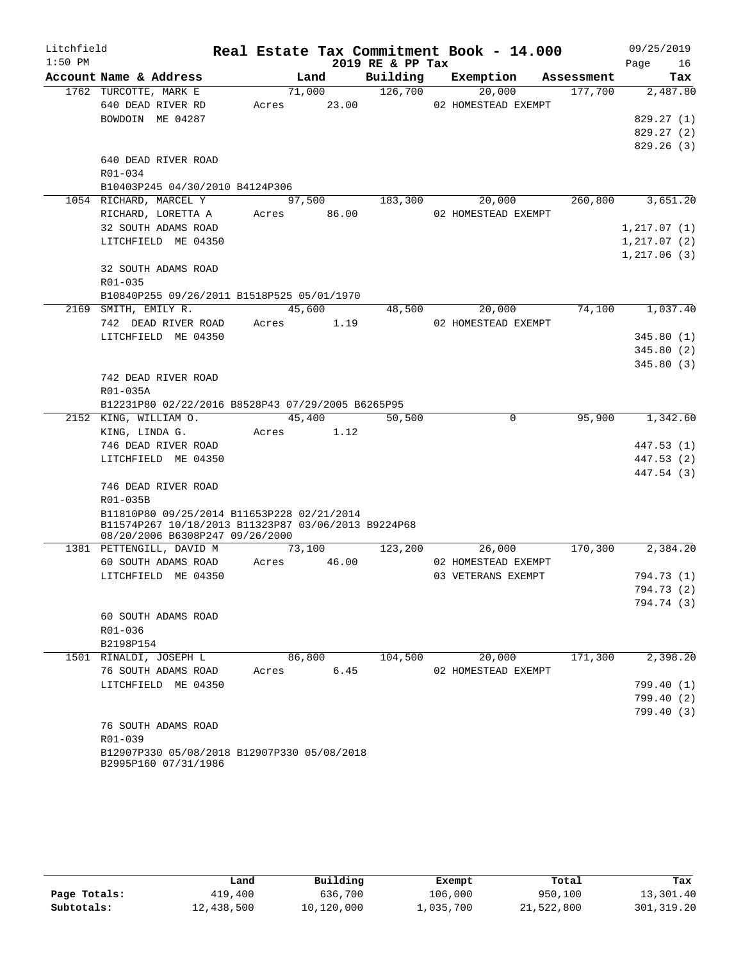| Litchfield |                                                                                        |       |        |             |                  | Real Estate Tax Commitment Book - 14.000 |            |              | 09/25/2019 |
|------------|----------------------------------------------------------------------------------------|-------|--------|-------------|------------------|------------------------------------------|------------|--------------|------------|
| $1:50$ PM  |                                                                                        |       |        |             | 2019 RE & PP Tax |                                          |            | Page         | 16         |
|            | Account Name & Address                                                                 |       | Land   |             | Building         | Exemption                                | Assessment |              | Tax        |
|            | 1762 TURCOTTE, MARK E                                                                  |       | 71,000 |             | 126,700          | 20,000                                   | 177,700    |              | 2,487.80   |
|            | 640 DEAD RIVER RD                                                                      | Acres |        | 23.00       |                  | 02 HOMESTEAD EXEMPT                      |            |              |            |
|            | BOWDOIN ME 04287                                                                       |       |        |             |                  |                                          |            |              | 829.27(1)  |
|            |                                                                                        |       |        |             |                  |                                          |            |              | 829.27(2)  |
|            |                                                                                        |       |        |             |                  |                                          |            |              | 829.26(3)  |
|            | 640 DEAD RIVER ROAD                                                                    |       |        |             |                  |                                          |            |              |            |
|            | R01-034                                                                                |       |        |             |                  |                                          |            |              |            |
|            | B10403P245 04/30/2010 B4124P306                                                        |       |        |             |                  |                                          |            |              |            |
|            | 1054 RICHARD, MARCEL Y                                                                 |       | 97,500 |             | 183,300          | 20,000                                   | 260,800    |              | 3,651.20   |
|            | RICHARD, LORETTA A                                                                     |       |        | Acres 86.00 |                  | 02 HOMESTEAD EXEMPT                      |            |              |            |
|            | 32 SOUTH ADAMS ROAD                                                                    |       |        |             |                  |                                          |            | 1, 217.07(1) |            |
|            | LITCHFIELD ME 04350                                                                    |       |        |             |                  |                                          |            | 1,217.07(2)  |            |
|            | 32 SOUTH ADAMS ROAD                                                                    |       |        |             |                  |                                          |            | 1,217.06(3)  |            |
|            | R01-035                                                                                |       |        |             |                  |                                          |            |              |            |
|            | B10840P255 09/26/2011 B1518P525 05/01/1970                                             |       |        |             |                  |                                          |            |              |            |
|            | 2169 SMITH, EMILY R.                                                                   |       | 45,600 |             | 48,500           | 20,000                                   | 74,100     |              | 1,037.40   |
|            | 742 DEAD RIVER ROAD                                                                    | Acres |        | 1.19        |                  | 02 HOMESTEAD EXEMPT                      |            |              |            |
|            | LITCHFIELD ME 04350                                                                    |       |        |             |                  |                                          |            |              | 345.80(1)  |
|            |                                                                                        |       |        |             |                  |                                          |            |              | 345.80(2)  |
|            |                                                                                        |       |        |             |                  |                                          |            |              | 345.80(3)  |
|            | 742 DEAD RIVER ROAD                                                                    |       |        |             |                  |                                          |            |              |            |
|            | R01-035A                                                                               |       |        |             |                  |                                          |            |              |            |
|            | B12231P80 02/22/2016 B8528P43 07/29/2005 B6265P95                                      |       |        |             |                  |                                          |            |              |            |
|            | 2152 KING, WILLIAM O.                                                                  |       | 45,400 |             | 50,500           | $\mathbf 0$                              | 95,900     |              | 1,342.60   |
|            | KING, LINDA G.                                                                         |       |        | Acres 1.12  |                  |                                          |            |              |            |
|            | 746 DEAD RIVER ROAD                                                                    |       |        |             |                  |                                          |            |              | 447.53 (1) |
|            | LITCHFIELD ME 04350                                                                    |       |        |             |                  |                                          |            |              | 447.53 (2) |
|            |                                                                                        |       |        |             |                  |                                          |            |              | 447.54 (3) |
|            | 746 DEAD RIVER ROAD                                                                    |       |        |             |                  |                                          |            |              |            |
|            | R01-035B                                                                               |       |        |             |                  |                                          |            |              |            |
|            | B11810P80 09/25/2014 B11653P228 02/21/2014                                             |       |        |             |                  |                                          |            |              |            |
|            | B11574P267 10/18/2013 B11323P87 03/06/2013 B9224P68<br>08/20/2006 B6308P247 09/26/2000 |       |        |             |                  |                                          |            |              |            |
|            | 1381 PETTENGILL, DAVID M                                                               |       | 73,100 |             | 123,200          | 26,000                                   | 170,300    |              | 2,384.20   |
|            | 60 SOUTH ADAMS ROAD                                                                    | Acres |        | 46.00       |                  | 02 HOMESTEAD EXEMPT                      |            |              |            |
|            | LITCHFIELD ME 04350                                                                    |       |        |             |                  | 03 VETERANS EXEMPT                       |            |              | 794.73 (1) |
|            |                                                                                        |       |        |             |                  |                                          |            |              | 794.73 (2) |
|            |                                                                                        |       |        |             |                  |                                          |            |              | 794.74 (3) |
|            | 60 SOUTH ADAMS ROAD                                                                    |       |        |             |                  |                                          |            |              |            |
|            | R01-036                                                                                |       |        |             |                  |                                          |            |              |            |
|            | B2198P154                                                                              |       |        |             |                  |                                          |            |              |            |
|            | 1501 RINALDI, JOSEPH L                                                                 |       | 86,800 |             | 104,500          | 20,000                                   | 171,300    |              | 2,398.20   |
|            | 76 SOUTH ADAMS ROAD                                                                    | Acres |        | 6.45        |                  | 02 HOMESTEAD EXEMPT                      |            |              |            |
|            | LITCHFIELD ME 04350                                                                    |       |        |             |                  |                                          |            |              | 799.40 (1) |
|            |                                                                                        |       |        |             |                  |                                          |            |              | 799.40 (2) |
|            |                                                                                        |       |        |             |                  |                                          |            |              | 799.40(3)  |
|            | 76 SOUTH ADAMS ROAD                                                                    |       |        |             |                  |                                          |            |              |            |
|            | R01-039                                                                                |       |        |             |                  |                                          |            |              |            |
|            | B12907P330 05/08/2018 B12907P330 05/08/2018                                            |       |        |             |                  |                                          |            |              |            |
|            | B2995P160 07/31/1986                                                                   |       |        |             |                  |                                          |            |              |            |

|              | Land       | Building   | Exempt    | Total      | Tax          |
|--------------|------------|------------|-----------|------------|--------------|
| Page Totals: | 419,400    | 636,700    | 106,000   | 950,100    | 13,301.40    |
| Subtotals:   | 12,438,500 | 10,120,000 | 1,035,700 | 21,522,800 | 301, 319, 20 |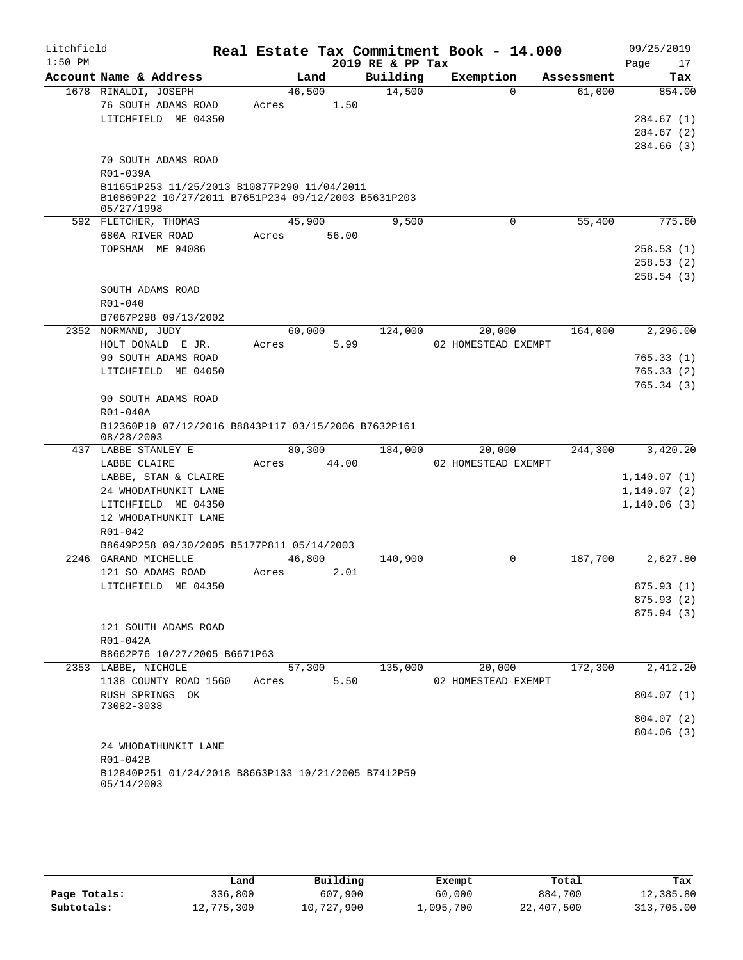| Litchfield |                                                                                                    |       |        |       |                  | Real Estate Tax Commitment Book - 14.000 |          |            |      | 09/25/2019                 |
|------------|----------------------------------------------------------------------------------------------------|-------|--------|-------|------------------|------------------------------------------|----------|------------|------|----------------------------|
| $1:50$ PM  |                                                                                                    |       |        |       | 2019 RE & PP Tax |                                          |          |            | Page | 17                         |
|            | Account Name & Address                                                                             |       | Land   |       | Building         | Exemption                                |          | Assessment |      | Tax                        |
|            | 1678 RINALDI, JOSEPH                                                                               |       | 46,500 |       | 14,500           |                                          | $\Omega$ | 61,000     |      | 854.00                     |
|            | 76 SOUTH ADAMS ROAD                                                                                | Acres |        | 1.50  |                  |                                          |          |            |      |                            |
|            | LITCHFIELD ME 04350                                                                                |       |        |       |                  |                                          |          |            |      | 284.67 (1)                 |
|            |                                                                                                    |       |        |       |                  |                                          |          |            |      | 284.67 (2)                 |
|            |                                                                                                    |       |        |       |                  |                                          |          |            |      | 284.66 (3)                 |
|            | 70 SOUTH ADAMS ROAD                                                                                |       |        |       |                  |                                          |          |            |      |                            |
|            | R01-039A                                                                                           |       |        |       |                  |                                          |          |            |      |                            |
|            | B11651P253 11/25/2013 B10877P290 11/04/2011<br>B10869P22 10/27/2011 B7651P234 09/12/2003 B5631P203 |       |        |       |                  |                                          |          |            |      |                            |
|            | 05/27/1998                                                                                         |       |        |       |                  |                                          |          |            |      |                            |
|            | 592 FLETCHER, THOMAS                                                                               |       | 45,900 |       | 9,500            |                                          | 0        | 55,400     |      | 775.60                     |
|            | 680A RIVER ROAD                                                                                    | Acres |        | 56.00 |                  |                                          |          |            |      |                            |
|            | TOPSHAM ME 04086                                                                                   |       |        |       |                  |                                          |          |            |      | 258.53(1)                  |
|            |                                                                                                    |       |        |       |                  |                                          |          |            |      | 258.53 (2)                 |
|            |                                                                                                    |       |        |       |                  |                                          |          |            |      | 258.54(3)                  |
|            | SOUTH ADAMS ROAD                                                                                   |       |        |       |                  |                                          |          |            |      |                            |
|            | R01-040                                                                                            |       |        |       |                  |                                          |          |            |      |                            |
|            | B7067P298 09/13/2002<br>NORMAND, JUDY                                                              |       | 60,000 |       | 124,000          | 20,000                                   |          | 164,000    |      | 2,296.00                   |
| 2352       | HOLT DONALD E JR.                                                                                  | Acres |        | 5.99  |                  | 02 HOMESTEAD EXEMPT                      |          |            |      |                            |
|            | 90 SOUTH ADAMS ROAD                                                                                |       |        |       |                  |                                          |          |            |      | 765.33(1)                  |
|            | LITCHFIELD ME 04050                                                                                |       |        |       |                  |                                          |          |            |      | 765.33(2)                  |
|            |                                                                                                    |       |        |       |                  |                                          |          |            |      | 765.34(3)                  |
|            | 90 SOUTH ADAMS ROAD                                                                                |       |        |       |                  |                                          |          |            |      |                            |
|            | R01-040A                                                                                           |       |        |       |                  |                                          |          |            |      |                            |
|            | B12360P10 07/12/2016 B8843P117 03/15/2006 B7632P161                                                |       |        |       |                  |                                          |          |            |      |                            |
|            | 08/28/2003                                                                                         |       |        |       |                  |                                          |          |            |      |                            |
|            | 437 LABBE STANLEY E                                                                                |       | 80,300 |       | 184,000          | 20,000                                   |          | 244,300    |      | 3,420.20                   |
|            | LABBE CLAIRE                                                                                       | Acres |        | 44.00 |                  | 02 HOMESTEAD EXEMPT                      |          |            |      |                            |
|            | LABBE, STAN & CLAIRE<br>24 WHODATHUNKIT LANE                                                       |       |        |       |                  |                                          |          |            |      | 1,140.07(1)<br>1,140.07(2) |
|            | LITCHFIELD ME 04350                                                                                |       |        |       |                  |                                          |          |            |      | 1,140.06(3)                |
|            | 12 WHODATHUNKIT LANE                                                                               |       |        |       |                  |                                          |          |            |      |                            |
|            | R01-042                                                                                            |       |        |       |                  |                                          |          |            |      |                            |
|            | B8649P258 09/30/2005 B5177P811 05/14/2003                                                          |       |        |       |                  |                                          |          |            |      |                            |
|            | 2246 GARAND MICHELLE                                                                               |       | 46,800 |       | 140,900          |                                          | 0        | 187,700    |      | 2,627.80                   |
|            | 121 SO ADAMS ROAD                                                                                  | Acres |        | 2.01  |                  |                                          |          |            |      |                            |
|            | LITCHFIELD ME 04350                                                                                |       |        |       |                  |                                          |          |            |      | 875.93 (1)                 |
|            |                                                                                                    |       |        |       |                  |                                          |          |            |      | 875.93(2)                  |
|            |                                                                                                    |       |        |       |                  |                                          |          |            |      | 875.94(3)                  |
|            | 121 SOUTH ADAMS ROAD                                                                               |       |        |       |                  |                                          |          |            |      |                            |
|            | R01-042A                                                                                           |       |        |       |                  |                                          |          |            |      |                            |
|            | B8662P76 10/27/2005 B6671P63                                                                       |       |        |       |                  |                                          |          |            |      |                            |
|            | 2353 LABBE, NICHOLE                                                                                |       | 57,300 |       | 135,000          | 20,000                                   |          | 172,300    |      | 2,412.20                   |
|            | 1138 COUNTY ROAD 1560                                                                              | Acres |        | 5.50  |                  | 02 HOMESTEAD EXEMPT                      |          |            |      |                            |
|            | RUSH SPRINGS OK<br>73082-3038                                                                      |       |        |       |                  |                                          |          |            |      | 804.07 (1)                 |
|            |                                                                                                    |       |        |       |                  |                                          |          |            |      | 804.07(2)                  |
|            |                                                                                                    |       |        |       |                  |                                          |          |            |      | 804.06(3)                  |
|            | 24 WHODATHUNKIT LANE                                                                               |       |        |       |                  |                                          |          |            |      |                            |
|            | R01-042B                                                                                           |       |        |       |                  |                                          |          |            |      |                            |
|            | B12840P251 01/24/2018 B8663P133 10/21/2005 B7412P59                                                |       |        |       |                  |                                          |          |            |      |                            |
|            | 05/14/2003                                                                                         |       |        |       |                  |                                          |          |            |      |                            |

|              | Land       | Building   | Exempt    | Total      | Tax        |
|--------------|------------|------------|-----------|------------|------------|
| Page Totals: | 336,800    | 607,900    | 60,000    | 884,700    | 12,385.80  |
| Subtotals:   | 12,775,300 | 10,727,900 | 1,095,700 | 22,407,500 | 313,705.00 |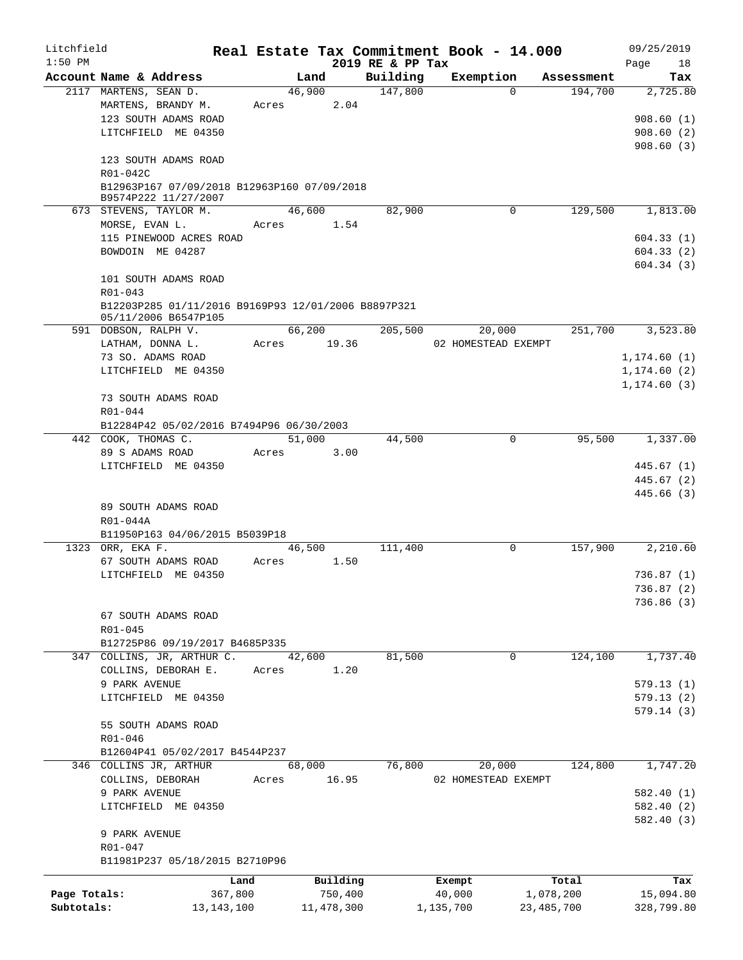| Litchfield   |                        |                                                                     |                 |            |                  | Real Estate Tax Commitment Book - 14.000 |              | 09/25/2019             |
|--------------|------------------------|---------------------------------------------------------------------|-----------------|------------|------------------|------------------------------------------|--------------|------------------------|
| $1:50$ PM    |                        |                                                                     |                 |            | 2019 RE & PP Tax |                                          |              | Page<br>18             |
|              | Account Name & Address |                                                                     |                 | Land       | Building         | Exemption<br>$\Omega$                    | Assessment   | Tax                    |
|              | 2117 MARTENS, SEAN D.  | MARTENS, BRANDY M.                                                  | 46,900<br>Acres | 2.04       | 147,800          |                                          | 194,700      | 2,725.80               |
|              |                        | 123 SOUTH ADAMS ROAD                                                |                 |            |                  |                                          |              | 908.60(1)              |
|              |                        | LITCHFIELD ME 04350                                                 |                 |            |                  |                                          |              | 908.60(2)              |
|              |                        |                                                                     |                 |            |                  |                                          |              | 908.60(3)              |
|              |                        | 123 SOUTH ADAMS ROAD                                                |                 |            |                  |                                          |              |                        |
|              | R01-042C               |                                                                     |                 |            |                  |                                          |              |                        |
|              |                        | B12963P167 07/09/2018 B12963P160 07/09/2018<br>B9574P222 11/27/2007 |                 |            |                  |                                          |              |                        |
|              |                        | 673 STEVENS, TAYLOR M.                                              |                 | 46,600     | 82,900           | 0                                        | 129,500      | 1,813.00               |
|              | MORSE, EVAN L.         |                                                                     | Acres           | 1.54       |                  |                                          |              |                        |
|              |                        | 115 PINEWOOD ACRES ROAD                                             |                 |            |                  |                                          |              | 604.33(1)              |
|              |                        | BOWDOIN ME 04287                                                    |                 |            |                  |                                          |              | 604.33(2)              |
|              |                        |                                                                     |                 |            |                  |                                          |              | 604.34(3)              |
|              |                        | 101 SOUTH ADAMS ROAD                                                |                 |            |                  |                                          |              |                        |
|              | R01-043                |                                                                     |                 |            |                  |                                          |              |                        |
|              |                        | B12203P285 01/11/2016 B9169P93 12/01/2006 B8897P321                 |                 |            |                  |                                          |              |                        |
|              | 591 DOBSON, RALPH V.   | 05/11/2006 B6547P105                                                |                 | 66,200     | 205,500          | 20,000                                   | 251,700      | 3,523.80               |
|              | LATHAM, DONNA L.       |                                                                     | Acres           | 19.36      |                  | 02 HOMESTEAD EXEMPT                      |              |                        |
|              |                        | 73 SO. ADAMS ROAD                                                   |                 |            |                  |                                          |              | 1,174.60(1)            |
|              |                        | LITCHFIELD ME 04350                                                 |                 |            |                  |                                          |              | 1, 174.60(2)           |
|              |                        |                                                                     |                 |            |                  |                                          |              | 1, 174.60(3)           |
|              |                        | 73 SOUTH ADAMS ROAD                                                 |                 |            |                  |                                          |              |                        |
|              | R01-044                |                                                                     |                 |            |                  |                                          |              |                        |
|              |                        | B12284P42 05/02/2016 B7494P96 06/30/2003                            |                 |            |                  |                                          |              |                        |
|              | 442 COOK, THOMAS C.    |                                                                     | 51,000          |            | 44,500           | 0                                        | 95,500       | 1,337.00               |
|              | 89 S ADAMS ROAD        |                                                                     | Acres           | 3.00       |                  |                                          |              |                        |
|              |                        | LITCHFIELD ME 04350                                                 |                 |            |                  |                                          |              | 445.67(1)              |
|              |                        |                                                                     |                 |            |                  |                                          |              | 445.67 (2)             |
|              |                        |                                                                     |                 |            |                  |                                          |              | 445.66 (3)             |
|              |                        | 89 SOUTH ADAMS ROAD                                                 |                 |            |                  |                                          |              |                        |
|              | $R01-044A$             |                                                                     |                 |            |                  |                                          |              |                        |
|              |                        | B11950P163 04/06/2015 B5039P18                                      |                 |            |                  |                                          |              |                        |
| 1323         | ORR, EKA F.            |                                                                     | 46,500          |            | 111,400          | 0                                        | 157,900      | 2,210.60               |
|              |                        | 67 SOUTH ADAMS ROAD                                                 | Acres           | 1.50       |                  |                                          |              |                        |
|              |                        | LITCHFIELD ME 04350                                                 |                 |            |                  |                                          |              | 736.87(1)              |
|              |                        |                                                                     |                 |            |                  |                                          |              | 736.87 (2)             |
|              |                        |                                                                     |                 |            |                  |                                          |              | 736.86 (3)             |
|              |                        | 67 SOUTH ADAMS ROAD                                                 |                 |            |                  |                                          |              |                        |
|              | R01-045                |                                                                     |                 |            |                  |                                          |              |                        |
|              |                        | B12725P86 09/19/2017 B4685P335                                      |                 |            |                  |                                          |              |                        |
|              |                        | 347 COLLINS, JR, ARTHUR C.                                          | 42,600          |            | 81,500           | 0                                        | 124,100      | 1,737.40               |
|              |                        | COLLINS, DEBORAH E.                                                 | Acres           | 1.20       |                  |                                          |              |                        |
|              | 9 PARK AVENUE          | LITCHFIELD ME 04350                                                 |                 |            |                  |                                          |              | 579.13(1)              |
|              |                        |                                                                     |                 |            |                  |                                          |              | 579.13(2)<br>579.14(3) |
|              |                        | 55 SOUTH ADAMS ROAD                                                 |                 |            |                  |                                          |              |                        |
|              | R01-046                |                                                                     |                 |            |                  |                                          |              |                        |
|              |                        | B12604P41 05/02/2017 B4544P237                                      |                 |            |                  |                                          |              |                        |
|              |                        | 346 COLLINS JR, ARTHUR                                              | 68,000          |            | 76,800           | 20,000                                   | 124,800      | 1,747.20               |
|              | COLLINS, DEBORAH       |                                                                     | Acres           | 16.95      |                  | 02 HOMESTEAD EXEMPT                      |              |                        |
|              | 9 PARK AVENUE          |                                                                     |                 |            |                  |                                          |              | 582.40(1)              |
|              |                        | LITCHFIELD ME 04350                                                 |                 |            |                  |                                          |              | 582.40 (2)             |
|              |                        |                                                                     |                 |            |                  |                                          |              | 582.40 (3)             |
|              | 9 PARK AVENUE          |                                                                     |                 |            |                  |                                          |              |                        |
|              | R01-047                |                                                                     |                 |            |                  |                                          |              |                        |
|              |                        | B11981P237 05/18/2015 B2710P96                                      |                 |            |                  |                                          |              |                        |
|              |                        | Land                                                                |                 | Building   |                  | Exempt                                   | Total        | Tax                    |
| Page Totals: |                        | 367,800                                                             |                 | 750,400    |                  | 40,000                                   | 1,078,200    | 15,094.80              |
| Subtotals:   |                        | 13, 143, 100                                                        |                 | 11,478,300 |                  | 1,135,700                                | 23, 485, 700 | 328,799.80             |
|              |                        |                                                                     |                 |            |                  |                                          |              |                        |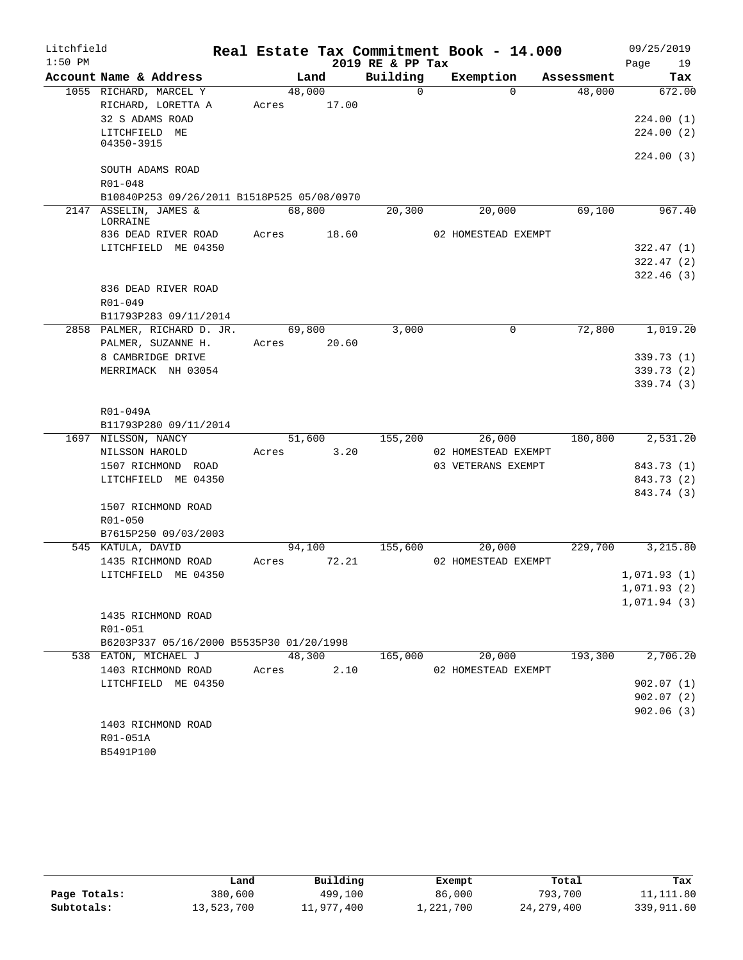| Litchfield |                             |                                            |       |        |       | Real Estate Tax Commitment Book - 14.000 |           |                               |            | 09/25/2019  |                        |
|------------|-----------------------------|--------------------------------------------|-------|--------|-------|------------------------------------------|-----------|-------------------------------|------------|-------------|------------------------|
| $1:50$ PM  |                             |                                            |       |        |       | 2019 RE & PP Tax                         |           |                               |            | Page        | 19                     |
|            |                             | Account Name & Address                     |       | Land   |       | Building                                 | Exemption |                               | Assessment |             | Tax                    |
|            |                             | 1055 RICHARD, MARCEL Y                     |       | 48,000 |       | $\Omega$                                 |           | $\Omega$                      | 48,000     |             | 672.00                 |
|            |                             | RICHARD, LORETTA A                         | Acres |        | 17.00 |                                          |           |                               |            |             |                        |
|            | 32 S ADAMS ROAD             |                                            |       |        |       |                                          |           |                               |            |             | 224.00(1)              |
|            | LITCHFIELD ME<br>04350-3915 |                                            |       |        |       |                                          |           |                               |            |             | 224.00(2)              |
|            |                             |                                            |       |        |       |                                          |           |                               |            |             | 224.00 (3)             |
|            |                             | SOUTH ADAMS ROAD                           |       |        |       |                                          |           |                               |            |             |                        |
|            | R01-048                     |                                            |       |        |       |                                          |           |                               |            |             |                        |
|            |                             | B10840P253 09/26/2011 B1518P525 05/08/0970 |       |        |       |                                          |           |                               |            |             |                        |
|            | 2147 ASSELIN, JAMES &       |                                            |       | 68,800 |       | 20,300                                   |           | 20,000                        | 69,100     |             | 967.40                 |
|            | LORRAINE                    |                                            |       |        |       |                                          |           |                               |            |             |                        |
|            |                             | 836 DEAD RIVER ROAD                        | Acres |        | 18.60 |                                          |           | 02 HOMESTEAD EXEMPT           |            |             |                        |
|            |                             | LITCHFIELD ME 04350                        |       |        |       |                                          |           |                               |            |             | 322.47 (1)             |
|            |                             |                                            |       |        |       |                                          |           |                               |            |             | 322.47(2)<br>322.46(3) |
|            |                             | 836 DEAD RIVER ROAD                        |       |        |       |                                          |           |                               |            |             |                        |
|            | R01-049                     |                                            |       |        |       |                                          |           |                               |            |             |                        |
|            |                             | B11793P283 09/11/2014                      |       |        |       |                                          |           |                               |            |             |                        |
|            |                             | 2858 PALMER, RICHARD D. JR.                |       | 69,800 |       | 3,000                                    |           | $\mathbf 0$                   | 72,800     |             | 1,019.20               |
|            |                             | PALMER, SUZANNE H.                         | Acres |        | 20.60 |                                          |           |                               |            |             |                        |
|            |                             | 8 CAMBRIDGE DRIVE                          |       |        |       |                                          |           |                               |            |             | 339.73 (1)             |
|            |                             | MERRIMACK NH 03054                         |       |        |       |                                          |           |                               |            |             | 339.73 (2)             |
|            |                             |                                            |       |        |       |                                          |           |                               |            |             | 339.74 (3)             |
|            |                             |                                            |       |        |       |                                          |           |                               |            |             |                        |
|            | R01-049A                    |                                            |       |        |       |                                          |           |                               |            |             |                        |
|            |                             | B11793P280 09/11/2014                      |       |        |       |                                          |           |                               |            |             |                        |
|            | 1697 NILSSON, NANCY         |                                            |       | 51,600 |       | 155,200                                  |           | 26,000                        | 180,800    |             | 2,531.20               |
|            | NILSSON HAROLD              |                                            | Acres |        | 3.20  |                                          |           | 02 HOMESTEAD EXEMPT           |            |             |                        |
|            |                             | 1507 RICHMOND ROAD                         |       |        |       |                                          |           | 03 VETERANS EXEMPT            |            |             | 843.73 (1)             |
|            |                             | LITCHFIELD ME 04350                        |       |        |       |                                          |           |                               |            |             | 843.73 (2)             |
|            |                             |                                            |       |        |       |                                          |           |                               |            |             | 843.74 (3)             |
|            |                             | 1507 RICHMOND ROAD                         |       |        |       |                                          |           |                               |            |             |                        |
|            | R01-050                     |                                            |       |        |       |                                          |           |                               |            |             |                        |
|            | 545 KATULA, DAVID           | B7615P250 09/03/2003                       |       |        |       | 155,600                                  |           |                               | 229,700    |             | 3,215.80               |
|            |                             | 1435 RICHMOND ROAD                         | Acres | 94,100 | 72.21 |                                          |           | 20,000<br>02 HOMESTEAD EXEMPT |            |             |                        |
|            |                             | LITCHFIELD ME 04350                        |       |        |       |                                          |           |                               |            | 1,071.93(1) |                        |
|            |                             |                                            |       |        |       |                                          |           |                               |            | 1,071.93(2) |                        |
|            |                             |                                            |       |        |       |                                          |           |                               |            | 1,071.94(3) |                        |
|            |                             | 1435 RICHMOND ROAD                         |       |        |       |                                          |           |                               |            |             |                        |
|            | R01-051                     |                                            |       |        |       |                                          |           |                               |            |             |                        |
|            |                             | B6203P337 05/16/2000 B5535P30 01/20/1998   |       |        |       |                                          |           |                               |            |             |                        |
|            | 538 EATON, MICHAEL J        |                                            |       | 48,300 |       | 165,000                                  |           | 20,000                        | 193,300    |             | 2,706.20               |
|            |                             | 1403 RICHMOND ROAD                         | Acres |        | 2.10  |                                          |           | 02 HOMESTEAD EXEMPT           |            |             |                        |
|            |                             | LITCHFIELD ME 04350                        |       |        |       |                                          |           |                               |            |             | 902.07(1)              |
|            |                             |                                            |       |        |       |                                          |           |                               |            |             | 902.07(2)              |
|            |                             |                                            |       |        |       |                                          |           |                               |            |             | 902.06(3)              |
|            |                             | 1403 RICHMOND ROAD                         |       |        |       |                                          |           |                               |            |             |                        |
|            | R01-051A                    |                                            |       |        |       |                                          |           |                               |            |             |                        |
|            | B5491P100                   |                                            |       |        |       |                                          |           |                               |            |             |                        |

|              | Land       | Building   | Exempt    | Total        | Tax        |
|--------------|------------|------------|-----------|--------------|------------|
| Page Totals: | 380,600    | 499,100    | 86,000    | 793,700      | 11,111.80  |
| Subtotals:   | 13,523,700 | 11,977,400 | 1,221,700 | 24, 279, 400 | 339,911.60 |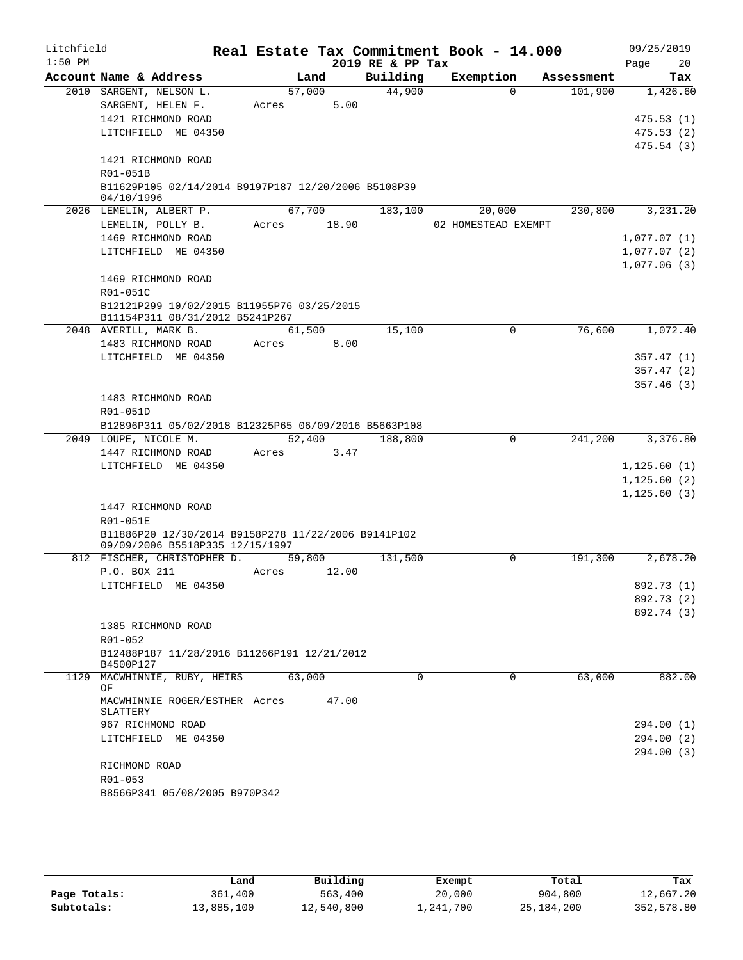| Litchfield |                                                                               |        |       |                  | Real Estate Tax Commitment Book - 14.000 |            | 09/25/2019   |
|------------|-------------------------------------------------------------------------------|--------|-------|------------------|------------------------------------------|------------|--------------|
| $1:50$ PM  |                                                                               |        |       | 2019 RE & PP Tax |                                          |            | 20<br>Page   |
|            | Account Name & Address                                                        | Land   |       | Building         | Exemption                                | Assessment | Tax          |
|            | 2010 SARGENT, NELSON L.                                                       | 57,000 |       | 44,900           | $\Omega$                                 | 101,900    | 1,426.60     |
|            | SARGENT, HELEN F.                                                             | Acres  | 5.00  |                  |                                          |            |              |
|            | 1421 RICHMOND ROAD                                                            |        |       |                  |                                          |            | 475.53(1)    |
|            | LITCHFIELD ME 04350                                                           |        |       |                  |                                          |            | 475.53(2)    |
|            |                                                                               |        |       |                  |                                          |            | 475.54(3)    |
|            | 1421 RICHMOND ROAD<br>R01-051B                                                |        |       |                  |                                          |            |              |
|            | B11629P105 02/14/2014 B9197P187 12/20/2006 B5108P39                           |        |       |                  |                                          |            |              |
|            | 04/10/1996                                                                    |        |       |                  |                                          |            |              |
|            | 2026 LEMELIN, ALBERT P.                                                       | 67,700 |       | 183,100          | 20,000                                   | 230,800    | 3,231.20     |
|            | LEMELIN, POLLY B.                                                             | Acres  | 18.90 |                  | 02 HOMESTEAD EXEMPT                      |            |              |
|            | 1469 RICHMOND ROAD                                                            |        |       |                  |                                          |            | 1,077.07(1)  |
|            | LITCHFIELD ME 04350                                                           |        |       |                  |                                          |            | 1,077.07(2)  |
|            |                                                                               |        |       |                  |                                          |            | 1,077.06(3)  |
|            | 1469 RICHMOND ROAD                                                            |        |       |                  |                                          |            |              |
|            | R01-051C                                                                      |        |       |                  |                                          |            |              |
|            | B12121P299 10/02/2015 B11955P76 03/25/2015<br>B11154P311 08/31/2012 B5241P267 |        |       |                  |                                          |            |              |
|            | 2048 AVERILL, MARK B.                                                         | 61,500 |       | 15,100           | 0                                        | 76,600     | 1,072.40     |
|            | 1483 RICHMOND ROAD                                                            | Acres  | 8.00  |                  |                                          |            |              |
|            | LITCHFIELD ME 04350                                                           |        |       |                  |                                          |            | 357.47(1)    |
|            |                                                                               |        |       |                  |                                          |            | 357.47(2)    |
|            |                                                                               |        |       |                  |                                          |            | 357.46(3)    |
|            | 1483 RICHMOND ROAD                                                            |        |       |                  |                                          |            |              |
|            | R01-051D                                                                      |        |       |                  |                                          |            |              |
|            | B12896P311 05/02/2018 B12325P65 06/09/2016 B5663P108                          |        |       |                  |                                          |            |              |
|            | 2049 LOUPE, NICOLE M.                                                         | 52,400 |       | 188,800          | $\mathbf 0$                              | 241,200    | 3,376.80     |
|            | 1447 RICHMOND ROAD                                                            | Acres  | 3.47  |                  |                                          |            |              |
|            | LITCHFIELD ME 04350                                                           |        |       |                  |                                          |            | 1,125.60(1)  |
|            |                                                                               |        |       |                  |                                          |            | 1, 125.60(2) |
|            | 1447 RICHMOND ROAD                                                            |        |       |                  |                                          |            | 1,125.60(3)  |
|            | R01-051E                                                                      |        |       |                  |                                          |            |              |
|            | B11886P20 12/30/2014 B9158P278 11/22/2006 B9141P102                           |        |       |                  |                                          |            |              |
|            | 09/09/2006 B5518P335 12/15/1997                                               |        |       |                  |                                          |            |              |
|            | 812 FISCHER, CHRISTOPHER D.                                                   | 59,800 |       | 131,500          | $\Omega$                                 | 191,300    | 2,678.20     |
|            | P.O. BOX 211                                                                  | Acres  | 12.00 |                  |                                          |            |              |
|            | LITCHFIELD ME 04350                                                           |        |       |                  |                                          |            | 892.73 (1)   |
|            |                                                                               |        |       |                  |                                          |            | 892.73 (2)   |
|            |                                                                               |        |       |                  |                                          |            | 892.74 (3)   |
|            | 1385 RICHMOND ROAD                                                            |        |       |                  |                                          |            |              |
|            | R01-052                                                                       |        |       |                  |                                          |            |              |
|            | B12488P187 11/28/2016 B11266P191 12/21/2012<br>B4500P127                      |        |       |                  |                                          |            |              |
| 1129       | MACWHINNIE, RUBY, HEIRS                                                       | 63,000 |       | 0                | 0                                        | 63,000     | 882.00       |
|            | ΟF                                                                            |        |       |                  |                                          |            |              |
|            | MACWHINNIE ROGER/ESTHER Acres                                                 |        | 47.00 |                  |                                          |            |              |
|            | SLATTERY<br>967 RICHMOND ROAD                                                 |        |       |                  |                                          |            | 294.00 (1)   |
|            | LITCHFIELD ME 04350                                                           |        |       |                  |                                          |            | 294.00(2)    |
|            |                                                                               |        |       |                  |                                          |            | 294.00(3)    |
|            | RICHMOND ROAD                                                                 |        |       |                  |                                          |            |              |
|            | R01-053                                                                       |        |       |                  |                                          |            |              |
|            | B8566P341 05/08/2005 B970P342                                                 |        |       |                  |                                          |            |              |
|            |                                                                               |        |       |                  |                                          |            |              |

|              | Land       | Building   | Exempt    | Total        | Tax        |
|--------------|------------|------------|-----------|--------------|------------|
| Page Totals: | 361,400    | 563,400    | 20,000    | 904,800      | 12,667.20  |
| Subtotals:   | 13,885,100 | 12,540,800 | 1,241,700 | 25, 184, 200 | 352,578.80 |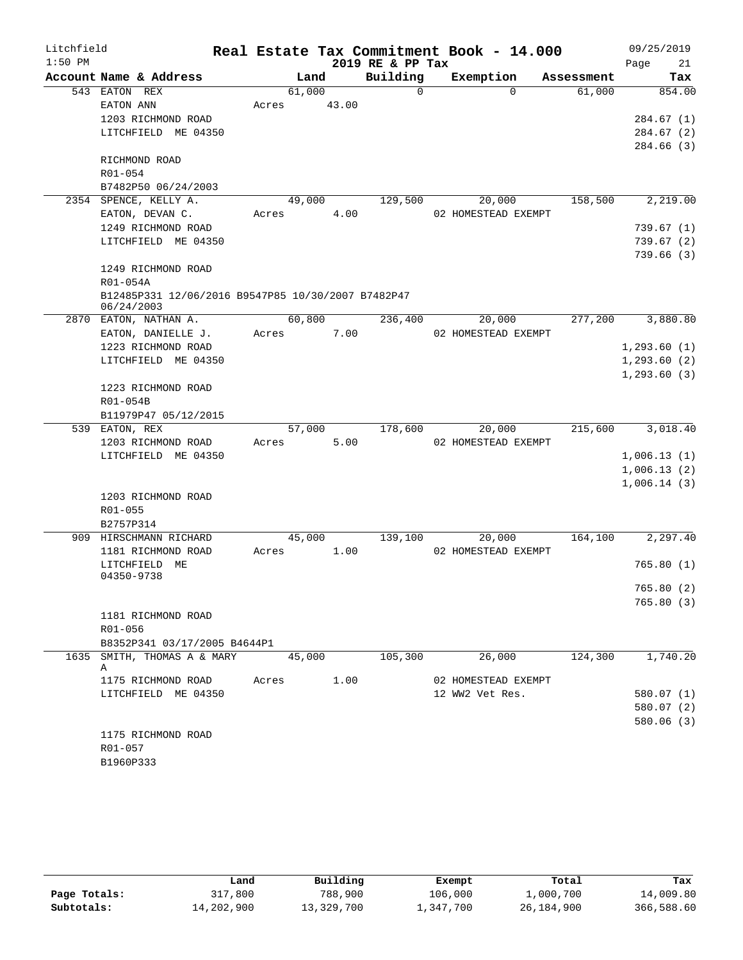| Litchfield |                                                                  |       |        |       |      |                  | Real Estate Tax Commitment Book - 14.000 |            |      | 09/25/2019   |
|------------|------------------------------------------------------------------|-------|--------|-------|------|------------------|------------------------------------------|------------|------|--------------|
| $1:50$ PM  |                                                                  |       |        |       |      | 2019 RE & PP Tax |                                          |            | Page | 21           |
|            | Account Name & Address                                           |       | Land   |       |      | Building         | Exemption                                | Assessment |      | Tax          |
|            | 543 EATON REX                                                    |       | 61,000 |       |      | 0                | $\Omega$                                 | 61,000     |      | 854.00       |
|            | EATON ANN                                                        | Acres |        | 43.00 |      |                  |                                          |            |      |              |
|            | 1203 RICHMOND ROAD                                               |       |        |       |      |                  |                                          |            |      | 284.67(1)    |
|            | LITCHFIELD ME 04350                                              |       |        |       |      |                  |                                          |            |      | 284.67 (2)   |
|            | RICHMOND ROAD                                                    |       |        |       |      |                  |                                          |            |      | 284.66 (3)   |
|            | $R01 - 054$                                                      |       |        |       |      |                  |                                          |            |      |              |
|            | B7482P50 06/24/2003                                              |       |        |       |      |                  |                                          |            |      |              |
|            | 2354 SPENCE, KELLY A.                                            |       | 49,000 |       |      | 129,500          | 20,000                                   | 158,500    |      | 2,219.00     |
|            | EATON, DEVAN C.                                                  | Acres |        |       | 4.00 |                  | 02 HOMESTEAD EXEMPT                      |            |      |              |
|            | 1249 RICHMOND ROAD                                               |       |        |       |      |                  |                                          |            |      | 739.67 (1)   |
|            | LITCHFIELD ME 04350                                              |       |        |       |      |                  |                                          |            |      | 739.67(2)    |
|            |                                                                  |       |        |       |      |                  |                                          |            |      | 739.66(3)    |
|            | 1249 RICHMOND ROAD                                               |       |        |       |      |                  |                                          |            |      |              |
|            | R01-054A                                                         |       |        |       |      |                  |                                          |            |      |              |
|            | B12485P331 12/06/2016 B9547P85 10/30/2007 B7482P47<br>06/24/2003 |       |        |       |      |                  |                                          |            |      |              |
|            | 2870 EATON, NATHAN A.                                            |       | 60,800 |       |      | 236,400          | 20,000                                   | 277,200    |      | 3,880.80     |
|            | EATON, DANIELLE J.                                               | Acres |        |       | 7.00 |                  | 02 HOMESTEAD EXEMPT                      |            |      |              |
|            | 1223 RICHMOND ROAD                                               |       |        |       |      |                  |                                          |            |      | 1,293.60(1)  |
|            | LITCHFIELD ME 04350                                              |       |        |       |      |                  |                                          |            |      | 1, 293.60(2) |
|            |                                                                  |       |        |       |      |                  |                                          |            |      | 1, 293.60(3) |
|            | 1223 RICHMOND ROAD                                               |       |        |       |      |                  |                                          |            |      |              |
|            | R01-054B                                                         |       |        |       |      |                  |                                          |            |      |              |
|            | B11979P47 05/12/2015                                             |       |        |       |      |                  |                                          |            |      |              |
|            | 539 EATON, REX                                                   |       | 57,000 |       |      | 178,600          | 20,000                                   | 215,600    |      | 3,018.40     |
|            | 1203 RICHMOND ROAD                                               | Acres |        |       | 5.00 |                  | 02 HOMESTEAD EXEMPT                      |            |      |              |
|            | LITCHFIELD ME 04350                                              |       |        |       |      |                  |                                          |            |      | 1,006.13(1)  |
|            |                                                                  |       |        |       |      |                  |                                          |            |      | 1,006.13(2)  |
|            | 1203 RICHMOND ROAD                                               |       |        |       |      |                  |                                          |            |      | 1,006.14(3)  |
|            | R01-055                                                          |       |        |       |      |                  |                                          |            |      |              |
|            | B2757P314                                                        |       |        |       |      |                  |                                          |            |      |              |
|            | 909 HIRSCHMANN RICHARD                                           |       | 45,000 |       |      | 139,100          | 20,000                                   | 164,100    |      | 2,297.40     |
|            | 1181 RICHMOND ROAD                                               | Acres |        |       | 1.00 |                  | 02 HOMESTEAD EXEMPT                      |            |      |              |
|            | LITCHFIELD<br>MЕ                                                 |       |        |       |      |                  |                                          |            |      | 765.80(1)    |
|            | 04350-9738                                                       |       |        |       |      |                  |                                          |            |      |              |
|            |                                                                  |       |        |       |      |                  |                                          |            |      | 765.80 (2)   |
|            |                                                                  |       |        |       |      |                  |                                          |            |      | 765.80 (3)   |
|            | 1181 RICHMOND ROAD                                               |       |        |       |      |                  |                                          |            |      |              |
|            | R01-056                                                          |       |        |       |      |                  |                                          |            |      |              |
|            | B8352P341 03/17/2005 B4644P1                                     |       |        |       |      |                  |                                          |            |      |              |
| 1635       | SMITH, THOMAS A & MARY<br>Α                                      |       | 45,000 |       |      | 105,300          | 26,000                                   | 124,300    |      | 1,740.20     |
|            | 1175 RICHMOND ROAD                                               | Acres |        |       | 1.00 |                  | 02 HOMESTEAD EXEMPT                      |            |      |              |
|            | LITCHFIELD ME 04350                                              |       |        |       |      |                  | 12 WW2 Vet Res.                          |            |      | 580.07 (1)   |
|            |                                                                  |       |        |       |      |                  |                                          |            |      | 580.07 (2)   |
|            |                                                                  |       |        |       |      |                  |                                          |            |      | 580.06(3)    |
|            | 1175 RICHMOND ROAD                                               |       |        |       |      |                  |                                          |            |      |              |
|            | R01-057                                                          |       |        |       |      |                  |                                          |            |      |              |
|            | B1960P333                                                        |       |        |       |      |                  |                                          |            |      |              |

|              | Land       | Building   | Exempt    | Total      | Tax        |
|--------------|------------|------------|-----------|------------|------------|
| Page Totals: | 317,800    | 788,900    | 106,000   | 1,000,700  | 14,009.80  |
| Subtotals:   | 14,202,900 | 13,329,700 | 1,347,700 | 26,184,900 | 366,588.60 |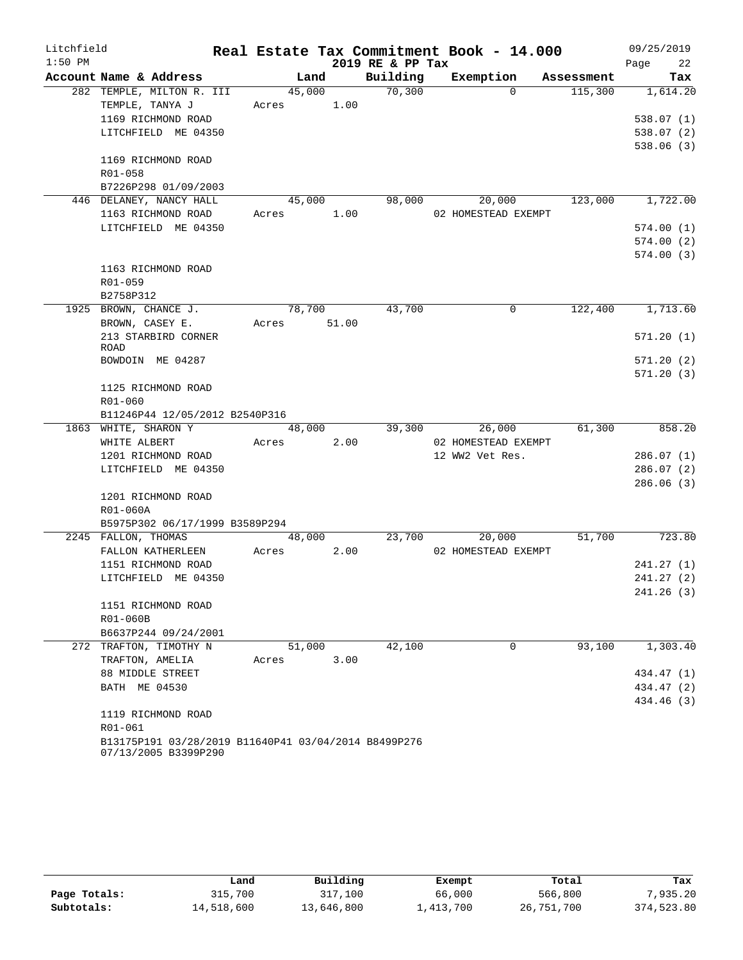| Litchfield |                                                                              |                       |      |                    | Real Estate Tax Commitment Book - 14.000 |         | 09/25/2019         |
|------------|------------------------------------------------------------------------------|-----------------------|------|--------------------|------------------------------------------|---------|--------------------|
| $1:50$ PM  |                                                                              |                       |      | 2019 RE & PP Tax   |                                          |         | Page<br>22         |
|            | Account Name & Address                                                       | Land                  |      |                    | Building Exemption Assessment            |         | Tax                |
|            | 282 TEMPLE, MILTON R. III                                                    | 45,000                |      | $\frac{70,300}{ }$ | $\Omega$                                 | 115,300 | 1,614.20           |
|            | TEMPLE, TANYA J                                                              | Acres 1.00            |      |                    |                                          |         |                    |
|            | 1169 RICHMOND ROAD                                                           |                       |      |                    |                                          |         | 538.07(1)          |
|            | LITCHFIELD ME 04350                                                          |                       |      |                    |                                          |         | 538.07(2)          |
|            |                                                                              |                       |      |                    |                                          |         | 538.06(3)          |
|            | 1169 RICHMOND ROAD                                                           |                       |      |                    |                                          |         |                    |
|            | R01-058                                                                      |                       |      |                    |                                          |         |                    |
|            | B7226P298 01/09/2003                                                         |                       |      |                    |                                          |         |                    |
|            | 446 DELANEY, NANCY HALL                                                      | 45,000 98,000         |      |                    | 20,000                                   | 123,000 | 1,722.00           |
|            | 1163 RICHMOND ROAD                                                           | Acres 1.00            |      |                    | 02 HOMESTEAD EXEMPT                      |         |                    |
|            | LITCHFIELD ME 04350                                                          |                       |      |                    |                                          |         | 574.00(1)          |
|            |                                                                              |                       |      |                    |                                          |         | 574.00(2)          |
|            |                                                                              |                       |      |                    |                                          |         | 574.00(3)          |
|            | 1163 RICHMOND ROAD                                                           |                       |      |                    |                                          |         |                    |
|            | $R01 - 059$                                                                  |                       |      |                    |                                          |         |                    |
|            | B2758P312<br>1925 BROWN, CHANCE J.                                           |                       |      |                    | $\Omega$                                 |         | 122,400 1,713.60   |
|            | BROWN, CASEY E.                                                              | 78,700<br>Acres 51.00 |      | 43,700             |                                          |         |                    |
|            | 213 STARBIRD CORNER                                                          |                       |      |                    |                                          |         | 571.20(1)          |
|            | ROAD                                                                         |                       |      |                    |                                          |         |                    |
|            | BOWDOIN ME 04287                                                             |                       |      |                    |                                          |         | 571.20(2)          |
|            |                                                                              |                       |      |                    |                                          |         | 571.20(3)          |
|            | 1125 RICHMOND ROAD                                                           |                       |      |                    |                                          |         |                    |
|            | R01-060                                                                      |                       |      |                    |                                          |         |                    |
|            | B11246P44 12/05/2012 B2540P316                                               |                       |      |                    |                                          |         |                    |
|            | 1863 WHITE, SHARON Y                                                         | 48,000                |      | 39,300             | 26,000                                   | 61,300  | 858.20             |
|            | WHITE ALBERT                                                                 | Acres                 | 2.00 |                    | 02 HOMESTEAD EXEMPT                      |         |                    |
|            | 1201 RICHMOND ROAD                                                           |                       |      |                    | 12 WW2 Vet Res.                          |         | 286.07(1)          |
|            | LITCHFIELD ME 04350                                                          |                       |      |                    |                                          |         | 286.07(2)          |
|            |                                                                              |                       |      |                    |                                          |         | 286.06(3)          |
|            | 1201 RICHMOND ROAD                                                           |                       |      |                    |                                          |         |                    |
|            | R01-060A                                                                     |                       |      |                    |                                          |         |                    |
|            | B5975P302 06/17/1999 B3589P294                                               |                       |      |                    |                                          |         |                    |
|            | 2245 FALLON, THOMAS                                                          | 48,000                |      |                    | 23,700<br>20,000                         | 51,700  | $\frac{1}{723.80}$ |
|            | FALLON KATHERLEEN                                                            | Acres                 | 2.00 |                    | 02 HOMESTEAD EXEMPT                      |         |                    |
|            | 1151 RICHMOND ROAD                                                           |                       |      |                    |                                          |         | 241.27(1)          |
|            | LITCHFIELD ME 04350                                                          |                       |      |                    |                                          |         | 241.27(2)          |
|            |                                                                              |                       |      |                    |                                          |         | 241.26 (3)         |
|            | 1151 RICHMOND ROAD                                                           |                       |      |                    |                                          |         |                    |
|            | R01-060B                                                                     |                       |      |                    |                                          |         |                    |
|            | B6637P244 09/24/2001                                                         |                       |      |                    |                                          |         |                    |
|            | 272 TRAFTON, TIMOTHY N                                                       | 51,000                |      | 42,100             | 0                                        | 93,100  | 1,303.40           |
|            | TRAFTON, AMELIA                                                              | Acres                 | 3.00 |                    |                                          |         |                    |
|            | 88 MIDDLE STREET                                                             |                       |      |                    |                                          |         | 434.47 (1)         |
|            | BATH ME 04530                                                                |                       |      |                    |                                          |         | 434.47 (2)         |
|            |                                                                              |                       |      |                    |                                          |         | 434.46 (3)         |
|            | 1119 RICHMOND ROAD                                                           |                       |      |                    |                                          |         |                    |
|            | R01-061                                                                      |                       |      |                    |                                          |         |                    |
|            | B13175P191 03/28/2019 B11640P41 03/04/2014 B8499P276<br>07/13/2005 B3399P290 |                       |      |                    |                                          |         |                    |

|              | Land       | Building   | Exempt    | Total      | Tax        |
|--------------|------------|------------|-----------|------------|------------|
| Page Totals: | 315,700    | 317,100    | 66,000    | 566,800    | 7,935.20   |
| Subtotals:   | 14,518,600 | 13,646,800 | 1,413,700 | 26,751,700 | 374,523.80 |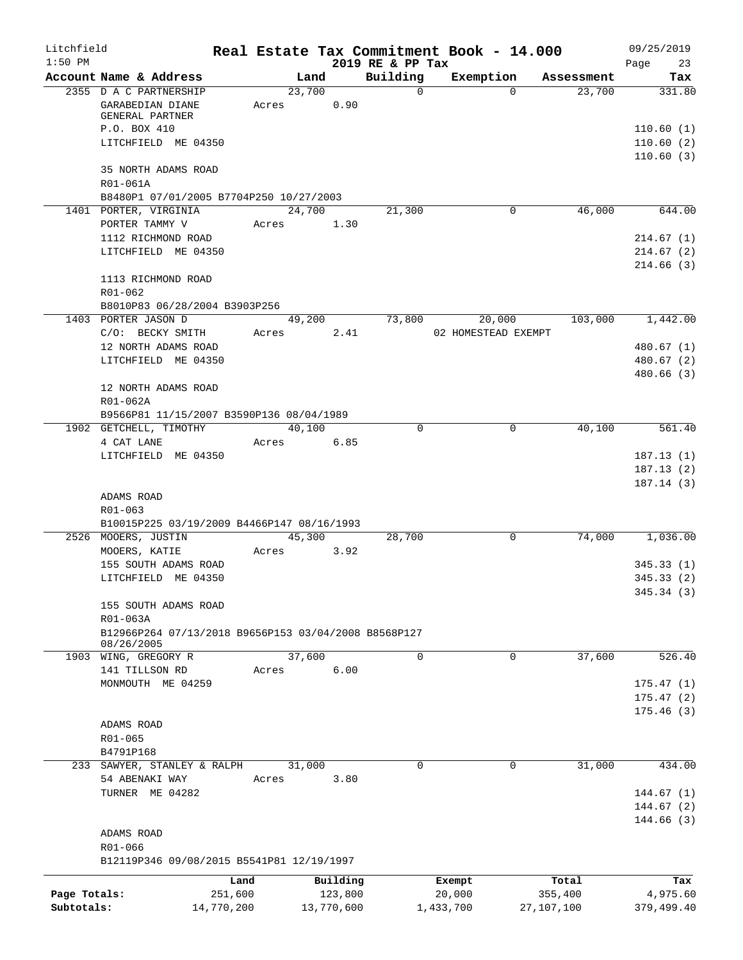| Litchfield   |                                                      |         |        |            |                              | Real Estate Tax Commitment Book - 14.000 |              |            | 09/25/2019             |
|--------------|------------------------------------------------------|---------|--------|------------|------------------------------|------------------------------------------|--------------|------------|------------------------|
| $1:50$ PM    | Account Name & Address                               |         | Land   |            | 2019 RE & PP Tax<br>Building | Exemption                                |              | Assessment | 23<br>Page<br>Tax      |
|              | 2355 D A C PARTNERSHIP                               |         | 23,700 |            | $\mathbf 0$                  |                                          | $\Omega$     | 23,700     | 331.80                 |
|              | GARABEDIAN DIANE                                     | Acres   |        | 0.90       |                              |                                          |              |            |                        |
|              | GENERAL PARTNER                                      |         |        |            |                              |                                          |              |            |                        |
|              | P.O. BOX 410                                         |         |        |            |                              |                                          |              |            | 110.60(1)              |
|              | LITCHFIELD ME 04350                                  |         |        |            |                              |                                          |              |            | 110.60(2)<br>110.60(3) |
|              | 35 NORTH ADAMS ROAD                                  |         |        |            |                              |                                          |              |            |                        |
|              | R01-061A                                             |         |        |            |                              |                                          |              |            |                        |
|              | B8480P1 07/01/2005 B7704P250 10/27/2003              |         |        |            |                              |                                          |              |            |                        |
|              | 1401 PORTER, VIRGINIA                                |         | 24,700 |            | 21,300                       |                                          | $\mathbf{0}$ | 46,000     | 644.00                 |
|              | PORTER TAMMY V                                       | Acres   |        | 1.30       |                              |                                          |              |            |                        |
|              | 1112 RICHMOND ROAD                                   |         |        |            |                              |                                          |              |            | 214.67(1)              |
|              | LITCHFIELD ME 04350                                  |         |        |            |                              |                                          |              |            | 214.67(2)<br>214.66(3) |
|              | 1113 RICHMOND ROAD                                   |         |        |            |                              |                                          |              |            |                        |
|              | R01-062                                              |         |        |            |                              |                                          |              |            |                        |
|              | B8010P83 06/28/2004 B3903P256                        |         |        |            |                              |                                          |              |            |                        |
|              | 1403 PORTER JASON D                                  |         | 49,200 |            | 73,800                       |                                          | 20,000       | 103,000    | 1,442.00               |
|              | C/O: BECKY SMITH                                     | Acres   |        | 2.41       |                              | 02 HOMESTEAD EXEMPT                      |              |            |                        |
|              | 12 NORTH ADAMS ROAD                                  |         |        |            |                              |                                          |              |            | 480.67 (1)             |
|              | LITCHFIELD ME 04350                                  |         |        |            |                              |                                          |              |            | 480.67 (2)             |
|              | 12 NORTH ADAMS ROAD                                  |         |        |            |                              |                                          |              |            | 480.66 (3)             |
|              | R01-062A                                             |         |        |            |                              |                                          |              |            |                        |
|              | B9566P81 11/15/2007 B3590P136 08/04/1989             |         |        |            |                              |                                          |              |            |                        |
|              | 1902 GETCHELL, TIMOTHY                               |         | 40,100 |            | $\Omega$                     |                                          | $\Omega$     | 40,100     | 561.40                 |
|              | 4 CAT LANE                                           | Acres   |        | 6.85       |                              |                                          |              |            |                        |
|              | LITCHFIELD ME 04350                                  |         |        |            |                              |                                          |              |            | 187.13(1)              |
|              |                                                      |         |        |            |                              |                                          |              |            | 187.13(2)              |
|              |                                                      |         |        |            |                              |                                          |              |            | 187.14(3)              |
|              | ADAMS ROAD<br>R01-063                                |         |        |            |                              |                                          |              |            |                        |
|              | B10015P225 03/19/2009 B4466P147 08/16/1993           |         |        |            |                              |                                          |              |            |                        |
|              | 2526 MOOERS, JUSTIN                                  |         | 45,300 |            | 28,700                       |                                          | 0            | 74,000     | 1,036.00               |
|              | MOOERS, KATIE                                        | Acres   |        | 3.92       |                              |                                          |              |            |                        |
|              | 155 SOUTH ADAMS ROAD                                 |         |        |            |                              |                                          |              |            | 345.33(1)              |
|              | LITCHFIELD ME 04350                                  |         |        |            |                              |                                          |              |            | 345.33(2)              |
|              |                                                      |         |        |            |                              |                                          |              |            | 345.34 (3)             |
|              | 155 SOUTH ADAMS ROAD<br>R01-063A                     |         |        |            |                              |                                          |              |            |                        |
|              | B12966P264 07/13/2018 B9656P153 03/04/2008 B8568P127 |         |        |            |                              |                                          |              |            |                        |
|              | 08/26/2005                                           |         |        |            |                              |                                          |              |            |                        |
|              | 1903 WING, GREGORY R                                 |         | 37,600 |            | $\Omega$                     |                                          | 0            | 37,600     | 526.40                 |
|              | 141 TILLSON RD                                       | Acres   |        | 6.00       |                              |                                          |              |            |                        |
|              | MONMOUTH ME 04259                                    |         |        |            |                              |                                          |              |            | 175.47(1)              |
|              |                                                      |         |        |            |                              |                                          |              |            | 175.47(2)<br>175.46(3) |
|              | ADAMS ROAD                                           |         |        |            |                              |                                          |              |            |                        |
|              | R01-065                                              |         |        |            |                              |                                          |              |            |                        |
|              | B4791P168                                            |         |        |            |                              |                                          |              |            |                        |
| 233          | SAWYER, STANLEY & RALPH                              |         | 31,000 |            | 0                            |                                          | 0            | 31,000     | 434.00                 |
|              | 54 ABENAKI WAY                                       | Acres   |        | 3.80       |                              |                                          |              |            |                        |
|              | TURNER ME 04282                                      |         |        |            |                              |                                          |              |            | 144.67(1)              |
|              |                                                      |         |        |            |                              |                                          |              |            | 144.67 (2)             |
|              | ADAMS ROAD                                           |         |        |            |                              |                                          |              |            | 144.66 (3)             |
|              | R01-066                                              |         |        |            |                              |                                          |              |            |                        |
|              | B12119P346 09/08/2015 B5541P81 12/19/1997            |         |        |            |                              |                                          |              |            |                        |
|              |                                                      | Land    |        | Building   |                              | Exempt                                   |              | Total      | Tax                    |
| Page Totals: |                                                      | 251,600 |        | 123,800    |                              | 20,000                                   |              | 355,400    | 4,975.60               |
| Subtotals:   | 14,770,200                                           |         |        | 13,770,600 |                              | 1,433,700                                |              | 27,107,100 | 379,499.40             |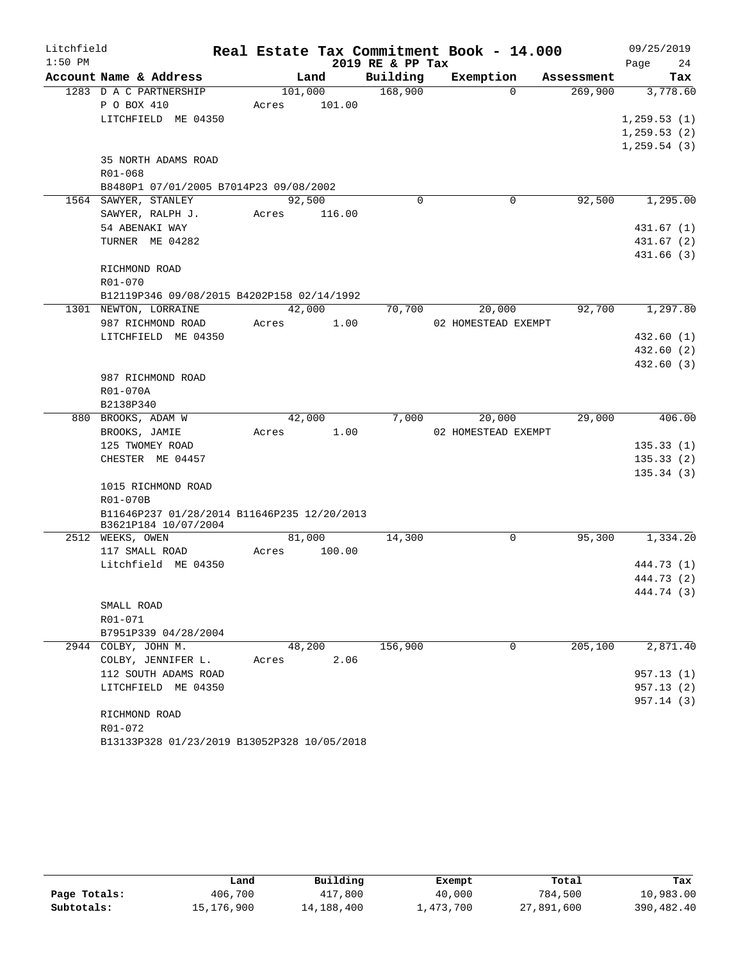| 2019 RE & PP Tax<br>24<br>Page<br>Account Name & Address<br>Building<br>Exemption<br>Land<br>Assessment<br>Tax<br>1283 D A C PARTNERSHIP<br>168,900<br>101,000<br>$\Omega$<br>269,900<br>3,778.60<br>P O BOX 410<br>101.00<br>Acres<br>LITCHFIELD ME 04350<br>1, 259.53(1)<br>1, 259.53(2)<br>1, 259.54(3)<br>35 NORTH ADAMS ROAD<br>R01-068<br>B8480P1 07/01/2005 B7014P23 09/08/2002<br>1564 SAWYER, STANLEY<br>$\mathbf 0$<br>$\mathbf 0$<br>92,500<br>92,500<br>1,295.00<br>SAWYER, RALPH J.<br>116.00<br>Acres<br>54 ABENAKI WAY<br>431.67 (1)<br>TURNER ME 04282<br>RICHMOND ROAD<br>R01-070<br>B12119P346 09/08/2015 B4202P158 02/14/1992<br>42,000<br>20,000<br>92,700<br>1301 NEWTON, LORRAINE<br>70,700<br>987 RICHMOND ROAD<br>1.00<br>Acres<br>02 HOMESTEAD EXEMPT<br>LITCHFIELD ME 04350<br>987 RICHMOND ROAD<br>R01-070A<br>B2138P340<br>880 BROOKS, ADAM W<br>42,000<br>7,000<br>20,000<br>29,000<br>BROOKS, JAMIE<br>1.00<br>02 HOMESTEAD EXEMPT<br>Acres<br>125 TWOMEY ROAD<br>CHESTER ME 04457<br>1015 RICHMOND ROAD<br>R01-070B<br>B11646P237 01/28/2014 B11646P235 12/20/2013<br>B3621P184 10/07/2004<br>14,300<br>95,300<br>2512 WEEKS, OWEN<br>81,000<br>0<br>117 SMALL ROAD<br>Acres<br>100.00<br>Litchfield ME 04350<br>SMALL ROAD<br>R01-071<br>B7951P339 04/28/2004<br>205,100<br>2944 COLBY, JOHN M.<br>48,200<br>156,900<br>0<br>COLBY, JENNIFER L.<br>2.06<br>Acres<br>112 SOUTH ADAMS ROAD<br>LITCHFIELD ME 04350<br>RICHMOND ROAD<br>R01-072 | Litchfield |  |  | Real Estate Tax Commitment Book - 14.000 |  | 09/25/2019 |
|-----------------------------------------------------------------------------------------------------------------------------------------------------------------------------------------------------------------------------------------------------------------------------------------------------------------------------------------------------------------------------------------------------------------------------------------------------------------------------------------------------------------------------------------------------------------------------------------------------------------------------------------------------------------------------------------------------------------------------------------------------------------------------------------------------------------------------------------------------------------------------------------------------------------------------------------------------------------------------------------------------------------------------------------------------------------------------------------------------------------------------------------------------------------------------------------------------------------------------------------------------------------------------------------------------------------------------------------------------------------------------------------------------------------------------------------------------------------------------|------------|--|--|------------------------------------------|--|------------|
|                                                                                                                                                                                                                                                                                                                                                                                                                                                                                                                                                                                                                                                                                                                                                                                                                                                                                                                                                                                                                                                                                                                                                                                                                                                                                                                                                                                                                                                                             | $1:50$ PM  |  |  |                                          |  |            |
|                                                                                                                                                                                                                                                                                                                                                                                                                                                                                                                                                                                                                                                                                                                                                                                                                                                                                                                                                                                                                                                                                                                                                                                                                                                                                                                                                                                                                                                                             |            |  |  |                                          |  |            |
|                                                                                                                                                                                                                                                                                                                                                                                                                                                                                                                                                                                                                                                                                                                                                                                                                                                                                                                                                                                                                                                                                                                                                                                                                                                                                                                                                                                                                                                                             |            |  |  |                                          |  |            |
|                                                                                                                                                                                                                                                                                                                                                                                                                                                                                                                                                                                                                                                                                                                                                                                                                                                                                                                                                                                                                                                                                                                                                                                                                                                                                                                                                                                                                                                                             |            |  |  |                                          |  |            |
|                                                                                                                                                                                                                                                                                                                                                                                                                                                                                                                                                                                                                                                                                                                                                                                                                                                                                                                                                                                                                                                                                                                                                                                                                                                                                                                                                                                                                                                                             |            |  |  |                                          |  |            |
|                                                                                                                                                                                                                                                                                                                                                                                                                                                                                                                                                                                                                                                                                                                                                                                                                                                                                                                                                                                                                                                                                                                                                                                                                                                                                                                                                                                                                                                                             |            |  |  |                                          |  |            |
|                                                                                                                                                                                                                                                                                                                                                                                                                                                                                                                                                                                                                                                                                                                                                                                                                                                                                                                                                                                                                                                                                                                                                                                                                                                                                                                                                                                                                                                                             |            |  |  |                                          |  |            |
|                                                                                                                                                                                                                                                                                                                                                                                                                                                                                                                                                                                                                                                                                                                                                                                                                                                                                                                                                                                                                                                                                                                                                                                                                                                                                                                                                                                                                                                                             |            |  |  |                                          |  |            |
|                                                                                                                                                                                                                                                                                                                                                                                                                                                                                                                                                                                                                                                                                                                                                                                                                                                                                                                                                                                                                                                                                                                                                                                                                                                                                                                                                                                                                                                                             |            |  |  |                                          |  |            |
|                                                                                                                                                                                                                                                                                                                                                                                                                                                                                                                                                                                                                                                                                                                                                                                                                                                                                                                                                                                                                                                                                                                                                                                                                                                                                                                                                                                                                                                                             |            |  |  |                                          |  |            |
|                                                                                                                                                                                                                                                                                                                                                                                                                                                                                                                                                                                                                                                                                                                                                                                                                                                                                                                                                                                                                                                                                                                                                                                                                                                                                                                                                                                                                                                                             |            |  |  |                                          |  |            |
| 431.67 (2)<br>431.66 (3)<br>1,297.80<br>432.60 (1)<br>432.60 (2)<br>432.60(3)<br>406.00<br>135.33(1)<br>135.33(2)<br>135.34(3)<br>1,334.20<br>444.73 (1)<br>444.73 (2)<br>444.74 (3)<br>2,871.40<br>957.13(1)<br>957.13(2)<br>957.14 (3)                                                                                                                                                                                                                                                                                                                                                                                                                                                                                                                                                                                                                                                                                                                                                                                                                                                                                                                                                                                                                                                                                                                                                                                                                                    |            |  |  |                                          |  |            |
|                                                                                                                                                                                                                                                                                                                                                                                                                                                                                                                                                                                                                                                                                                                                                                                                                                                                                                                                                                                                                                                                                                                                                                                                                                                                                                                                                                                                                                                                             |            |  |  |                                          |  |            |
|                                                                                                                                                                                                                                                                                                                                                                                                                                                                                                                                                                                                                                                                                                                                                                                                                                                                                                                                                                                                                                                                                                                                                                                                                                                                                                                                                                                                                                                                             |            |  |  |                                          |  |            |
|                                                                                                                                                                                                                                                                                                                                                                                                                                                                                                                                                                                                                                                                                                                                                                                                                                                                                                                                                                                                                                                                                                                                                                                                                                                                                                                                                                                                                                                                             |            |  |  |                                          |  |            |
|                                                                                                                                                                                                                                                                                                                                                                                                                                                                                                                                                                                                                                                                                                                                                                                                                                                                                                                                                                                                                                                                                                                                                                                                                                                                                                                                                                                                                                                                             |            |  |  |                                          |  |            |
|                                                                                                                                                                                                                                                                                                                                                                                                                                                                                                                                                                                                                                                                                                                                                                                                                                                                                                                                                                                                                                                                                                                                                                                                                                                                                                                                                                                                                                                                             |            |  |  |                                          |  |            |
|                                                                                                                                                                                                                                                                                                                                                                                                                                                                                                                                                                                                                                                                                                                                                                                                                                                                                                                                                                                                                                                                                                                                                                                                                                                                                                                                                                                                                                                                             |            |  |  |                                          |  |            |
|                                                                                                                                                                                                                                                                                                                                                                                                                                                                                                                                                                                                                                                                                                                                                                                                                                                                                                                                                                                                                                                                                                                                                                                                                                                                                                                                                                                                                                                                             |            |  |  |                                          |  |            |
|                                                                                                                                                                                                                                                                                                                                                                                                                                                                                                                                                                                                                                                                                                                                                                                                                                                                                                                                                                                                                                                                                                                                                                                                                                                                                                                                                                                                                                                                             |            |  |  |                                          |  |            |
|                                                                                                                                                                                                                                                                                                                                                                                                                                                                                                                                                                                                                                                                                                                                                                                                                                                                                                                                                                                                                                                                                                                                                                                                                                                                                                                                                                                                                                                                             |            |  |  |                                          |  |            |
|                                                                                                                                                                                                                                                                                                                                                                                                                                                                                                                                                                                                                                                                                                                                                                                                                                                                                                                                                                                                                                                                                                                                                                                                                                                                                                                                                                                                                                                                             |            |  |  |                                          |  |            |
|                                                                                                                                                                                                                                                                                                                                                                                                                                                                                                                                                                                                                                                                                                                                                                                                                                                                                                                                                                                                                                                                                                                                                                                                                                                                                                                                                                                                                                                                             |            |  |  |                                          |  |            |
|                                                                                                                                                                                                                                                                                                                                                                                                                                                                                                                                                                                                                                                                                                                                                                                                                                                                                                                                                                                                                                                                                                                                                                                                                                                                                                                                                                                                                                                                             |            |  |  |                                          |  |            |
|                                                                                                                                                                                                                                                                                                                                                                                                                                                                                                                                                                                                                                                                                                                                                                                                                                                                                                                                                                                                                                                                                                                                                                                                                                                                                                                                                                                                                                                                             |            |  |  |                                          |  |            |
|                                                                                                                                                                                                                                                                                                                                                                                                                                                                                                                                                                                                                                                                                                                                                                                                                                                                                                                                                                                                                                                                                                                                                                                                                                                                                                                                                                                                                                                                             |            |  |  |                                          |  |            |
|                                                                                                                                                                                                                                                                                                                                                                                                                                                                                                                                                                                                                                                                                                                                                                                                                                                                                                                                                                                                                                                                                                                                                                                                                                                                                                                                                                                                                                                                             |            |  |  |                                          |  |            |
|                                                                                                                                                                                                                                                                                                                                                                                                                                                                                                                                                                                                                                                                                                                                                                                                                                                                                                                                                                                                                                                                                                                                                                                                                                                                                                                                                                                                                                                                             |            |  |  |                                          |  |            |
|                                                                                                                                                                                                                                                                                                                                                                                                                                                                                                                                                                                                                                                                                                                                                                                                                                                                                                                                                                                                                                                                                                                                                                                                                                                                                                                                                                                                                                                                             |            |  |  |                                          |  |            |
|                                                                                                                                                                                                                                                                                                                                                                                                                                                                                                                                                                                                                                                                                                                                                                                                                                                                                                                                                                                                                                                                                                                                                                                                                                                                                                                                                                                                                                                                             |            |  |  |                                          |  |            |
|                                                                                                                                                                                                                                                                                                                                                                                                                                                                                                                                                                                                                                                                                                                                                                                                                                                                                                                                                                                                                                                                                                                                                                                                                                                                                                                                                                                                                                                                             |            |  |  |                                          |  |            |
|                                                                                                                                                                                                                                                                                                                                                                                                                                                                                                                                                                                                                                                                                                                                                                                                                                                                                                                                                                                                                                                                                                                                                                                                                                                                                                                                                                                                                                                                             |            |  |  |                                          |  |            |
|                                                                                                                                                                                                                                                                                                                                                                                                                                                                                                                                                                                                                                                                                                                                                                                                                                                                                                                                                                                                                                                                                                                                                                                                                                                                                                                                                                                                                                                                             |            |  |  |                                          |  |            |
|                                                                                                                                                                                                                                                                                                                                                                                                                                                                                                                                                                                                                                                                                                                                                                                                                                                                                                                                                                                                                                                                                                                                                                                                                                                                                                                                                                                                                                                                             |            |  |  |                                          |  |            |
|                                                                                                                                                                                                                                                                                                                                                                                                                                                                                                                                                                                                                                                                                                                                                                                                                                                                                                                                                                                                                                                                                                                                                                                                                                                                                                                                                                                                                                                                             |            |  |  |                                          |  |            |
|                                                                                                                                                                                                                                                                                                                                                                                                                                                                                                                                                                                                                                                                                                                                                                                                                                                                                                                                                                                                                                                                                                                                                                                                                                                                                                                                                                                                                                                                             |            |  |  |                                          |  |            |
|                                                                                                                                                                                                                                                                                                                                                                                                                                                                                                                                                                                                                                                                                                                                                                                                                                                                                                                                                                                                                                                                                                                                                                                                                                                                                                                                                                                                                                                                             |            |  |  |                                          |  |            |
|                                                                                                                                                                                                                                                                                                                                                                                                                                                                                                                                                                                                                                                                                                                                                                                                                                                                                                                                                                                                                                                                                                                                                                                                                                                                                                                                                                                                                                                                             |            |  |  |                                          |  |            |
|                                                                                                                                                                                                                                                                                                                                                                                                                                                                                                                                                                                                                                                                                                                                                                                                                                                                                                                                                                                                                                                                                                                                                                                                                                                                                                                                                                                                                                                                             |            |  |  |                                          |  |            |
|                                                                                                                                                                                                                                                                                                                                                                                                                                                                                                                                                                                                                                                                                                                                                                                                                                                                                                                                                                                                                                                                                                                                                                                                                                                                                                                                                                                                                                                                             |            |  |  |                                          |  |            |
|                                                                                                                                                                                                                                                                                                                                                                                                                                                                                                                                                                                                                                                                                                                                                                                                                                                                                                                                                                                                                                                                                                                                                                                                                                                                                                                                                                                                                                                                             |            |  |  |                                          |  |            |
|                                                                                                                                                                                                                                                                                                                                                                                                                                                                                                                                                                                                                                                                                                                                                                                                                                                                                                                                                                                                                                                                                                                                                                                                                                                                                                                                                                                                                                                                             |            |  |  |                                          |  |            |
|                                                                                                                                                                                                                                                                                                                                                                                                                                                                                                                                                                                                                                                                                                                                                                                                                                                                                                                                                                                                                                                                                                                                                                                                                                                                                                                                                                                                                                                                             |            |  |  |                                          |  |            |
|                                                                                                                                                                                                                                                                                                                                                                                                                                                                                                                                                                                                                                                                                                                                                                                                                                                                                                                                                                                                                                                                                                                                                                                                                                                                                                                                                                                                                                                                             |            |  |  |                                          |  |            |
|                                                                                                                                                                                                                                                                                                                                                                                                                                                                                                                                                                                                                                                                                                                                                                                                                                                                                                                                                                                                                                                                                                                                                                                                                                                                                                                                                                                                                                                                             |            |  |  |                                          |  |            |
|                                                                                                                                                                                                                                                                                                                                                                                                                                                                                                                                                                                                                                                                                                                                                                                                                                                                                                                                                                                                                                                                                                                                                                                                                                                                                                                                                                                                                                                                             |            |  |  |                                          |  |            |
|                                                                                                                                                                                                                                                                                                                                                                                                                                                                                                                                                                                                                                                                                                                                                                                                                                                                                                                                                                                                                                                                                                                                                                                                                                                                                                                                                                                                                                                                             |            |  |  |                                          |  |            |
|                                                                                                                                                                                                                                                                                                                                                                                                                                                                                                                                                                                                                                                                                                                                                                                                                                                                                                                                                                                                                                                                                                                                                                                                                                                                                                                                                                                                                                                                             |            |  |  |                                          |  |            |
| B13133P328 01/23/2019 B13052P328 10/05/2018                                                                                                                                                                                                                                                                                                                                                                                                                                                                                                                                                                                                                                                                                                                                                                                                                                                                                                                                                                                                                                                                                                                                                                                                                                                                                                                                                                                                                                 |            |  |  |                                          |  |            |

|              | Land       | Building   | Exempt    | Total      | Tax        |
|--------------|------------|------------|-----------|------------|------------|
| Page Totals: | 406,700    | 417,800    | 40,000    | 784,500    | 10,983.00  |
| Subtotals:   | 15,176,900 | 14,188,400 | 1,473,700 | 27,891,600 | 390,482.40 |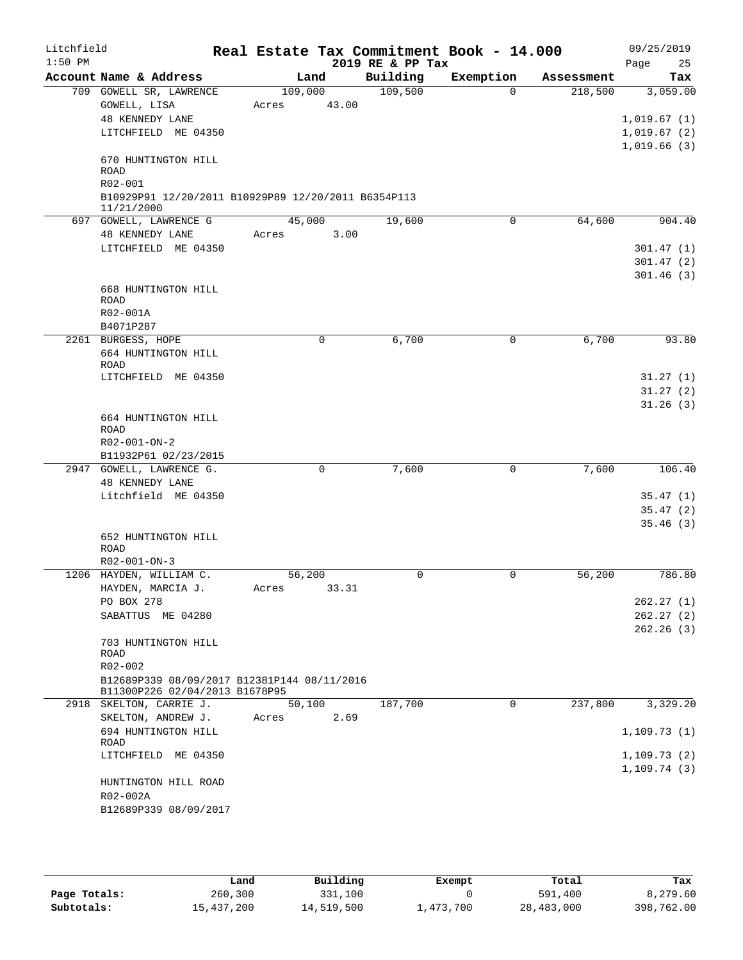| Litchfield<br>$1:50$ PM |                                                                                                                           | Real Estate Tax Commitment Book - 14.000 | 2019 RE & PP Tax |             |            | 09/25/2019<br>25<br>Page                      |
|-------------------------|---------------------------------------------------------------------------------------------------------------------------|------------------------------------------|------------------|-------------|------------|-----------------------------------------------|
|                         | Account Name & Address                                                                                                    | Land                                     | Building         | Exemption   | Assessment | Tax                                           |
|                         | 709 GOWELL SR, LAWRENCE<br>GOWELL, LISA<br><b>48 KENNEDY LANE</b><br>LITCHFIELD ME 04350                                  | 109,000<br>43.00<br>Acres                | 109,500          | $\Omega$    | 218,500    | 3,059.00<br>1,019.67(1)<br>1,019.67(2)        |
|                         | 670 HUNTINGTON HILL<br><b>ROAD</b><br>R02-001<br>B10929P91 12/20/2011 B10929P89 12/20/2011 B6354P113<br>11/21/2000        |                                          |                  |             |            | 1,019.66(3)                                   |
|                         | 697 GOWELL, LAWRENCE G<br><b>48 KENNEDY LANE</b><br>LITCHFIELD ME 04350<br>668 HUNTINGTON HILL                            | 45,000<br>3.00<br>Acres                  | 19,600           | $\mathbf 0$ | 64,600     | 904.40<br>301.47(1)<br>301.47(2)<br>301.46(3) |
|                         | <b>ROAD</b><br>R02-001A<br>B4071P287                                                                                      |                                          |                  |             |            |                                               |
|                         | 2261 BURGESS, HOPE<br>664 HUNTINGTON HILL<br>ROAD<br>LITCHFIELD ME 04350                                                  | 0                                        | 6,700            | 0           | 6,700      | 93.80<br>31.27(1)<br>31.27(2)                 |
|                         | 664 HUNTINGTON HILL<br>ROAD<br>$R02 - 001 - ON - 2$<br>B11932P61 02/23/2015                                               |                                          |                  |             |            | 31.26(3)                                      |
|                         | 2947 GOWELL, LAWRENCE G.<br><b>48 KENNEDY LANE</b><br>Litchfield ME 04350                                                 | 0                                        | 7,600            | $\mathbf 0$ | 7,600      | 106.40<br>35.47(1)<br>35.47(2)<br>35.46(3)    |
|                         | 652 HUNTINGTON HILL<br>ROAD<br>$R02 - 001 - ON - 3$                                                                       |                                          |                  |             |            |                                               |
|                         | 1206 HAYDEN, WILLIAM C.<br>HAYDEN, MARCIA J.<br>PO BOX 278<br>SABATTUS ME 04280<br>703 HUNTINGTON HILL<br>ROAD<br>R02-002 | 56,200<br>33.31<br>Acres                 | 0                | 0           | 56,200     | 786.80<br>262.27(1)<br>262.27(2)<br>262.26(3) |
|                         | B12689P339 08/09/2017 B12381P144 08/11/2016<br>B11300P226 02/04/2013 B1678P95<br>2918 SKELTON, CARRIE J.                  | 50,100                                   | 187,700          | 0           | 237,800    | 3,329.20                                      |
|                         | SKELTON, ANDREW J.<br>694 HUNTINGTON HILL                                                                                 | 2.69<br>Acres                            |                  |             |            | 1, 109.73(1)                                  |
|                         | ROAD<br>LITCHFIELD ME 04350<br>HUNTINGTON HILL ROAD<br>R02-002A                                                           |                                          |                  |             |            | 1, 109.73(2)<br>1, 109.74(3)                  |
|                         | B12689P339 08/09/2017                                                                                                     |                                          |                  |             |            |                                               |

|              | Land       | Building   | Exempt    | Total      | Tax        |
|--------------|------------|------------|-----------|------------|------------|
| Page Totals: | 260,300    | 331,100    |           | 591,400    | 8,279.60   |
| Subtotals:   | 15,437,200 | 14,519,500 | 1,473,700 | 28,483,000 | 398,762.00 |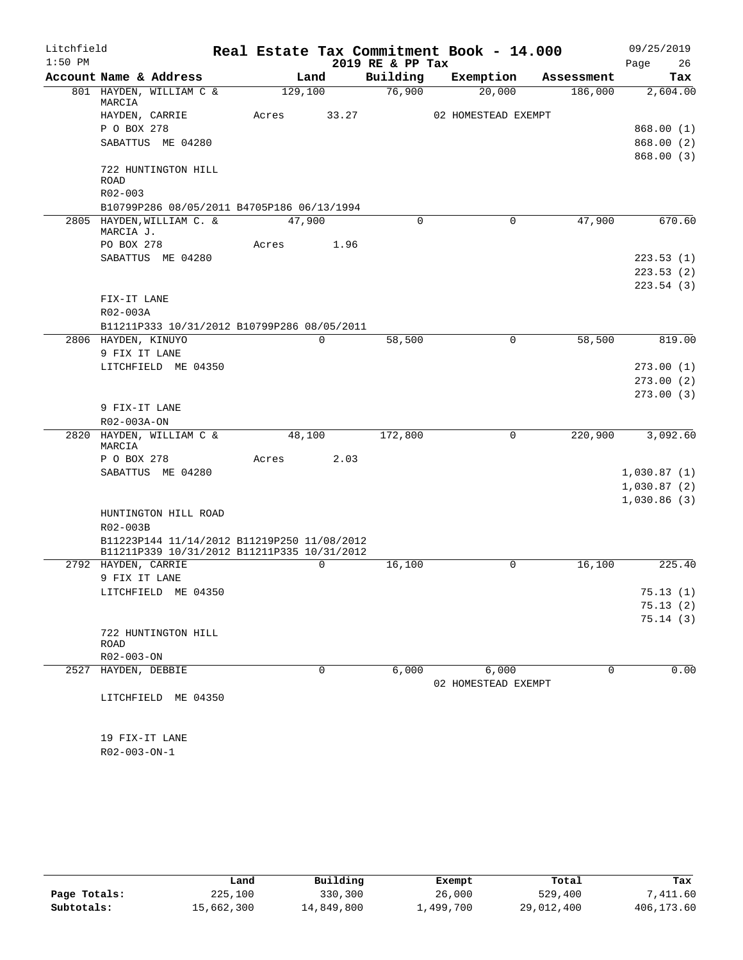| Litchfield |                                                         |         |       |                  | Real Estate Tax Commitment Book - 14.000 |            | 09/25/2019  |
|------------|---------------------------------------------------------|---------|-------|------------------|------------------------------------------|------------|-------------|
| $1:50$ PM  |                                                         |         |       | 2019 RE & PP Tax |                                          |            | 26<br>Page  |
|            | Account Name & Address                                  |         | Land  | Building         | Exemption                                | Assessment | Tax         |
|            | 801 HAYDEN, WILLIAM C &<br>MARCIA                       | 129,100 |       | 76,900           | 20,000                                   | 186,000    | 2,604.00    |
|            | HAYDEN, CARRIE                                          | Acres   | 33.27 |                  | 02 HOMESTEAD EXEMPT                      |            |             |
|            | P O BOX 278                                             |         |       |                  |                                          |            | 868.00(1)   |
|            | SABATTUS ME 04280                                       |         |       |                  |                                          |            | 868.00 (2)  |
|            |                                                         |         |       |                  |                                          |            | 868.00(3)   |
|            | 722 HUNTINGTON HILL                                     |         |       |                  |                                          |            |             |
|            | <b>ROAD</b><br>R02-003                                  |         |       |                  |                                          |            |             |
|            | B10799P286 08/05/2011 B4705P186 06/13/1994              |         |       |                  |                                          |            |             |
|            | 2805 HAYDEN, WILLIAM C. &                               | 47,900  |       | 0                | $\mathbf 0$                              | 47,900     | 670.60      |
|            | MARCIA J.                                               |         |       |                  |                                          |            |             |
|            | PO BOX 278                                              | Acres   | 1.96  |                  |                                          |            |             |
|            | SABATTUS ME 04280                                       |         |       |                  |                                          |            | 223.53(1)   |
|            |                                                         |         |       |                  |                                          |            | 223.53(2)   |
|            | FIX-IT LANE                                             |         |       |                  |                                          |            | 223.54(3)   |
|            | R02-003A                                                |         |       |                  |                                          |            |             |
|            | B11211P333 10/31/2012 B10799P286 08/05/2011             |         |       |                  |                                          |            |             |
|            | 2806 HAYDEN, KINUYO                                     |         | 0     | 58,500           | $\Omega$                                 | 58,500     | 819.00      |
|            | 9 FIX IT LANE                                           |         |       |                  |                                          |            |             |
|            | LITCHFIELD ME 04350                                     |         |       |                  |                                          |            | 273.00(1)   |
|            |                                                         |         |       |                  |                                          |            | 273.00(2)   |
|            |                                                         |         |       |                  |                                          |            | 273.00(3)   |
|            | 9 FIX-IT LANE                                           |         |       |                  |                                          |            |             |
|            | R02-003A-ON<br>2820 HAYDEN, WILLIAM C &                 | 48,100  |       | 172,800          | 0                                        | 220,900    | 3,092.60    |
|            | MARCIA                                                  |         |       |                  |                                          |            |             |
|            | P O BOX 278                                             | Acres   | 2.03  |                  |                                          |            |             |
|            | SABATTUS ME 04280                                       |         |       |                  |                                          |            | 1,030.87(1) |
|            |                                                         |         |       |                  |                                          |            | 1,030.87(2) |
|            |                                                         |         |       |                  |                                          |            | 1,030.86(3) |
|            | HUNTINGTON HILL ROAD                                    |         |       |                  |                                          |            |             |
|            | R02-003B<br>B11223P144 11/14/2012 B11219P250 11/08/2012 |         |       |                  |                                          |            |             |
|            | B11211P339 10/31/2012 B11211P335 10/31/2012             |         |       |                  |                                          |            |             |
|            | 2792 HAYDEN, CARRIE                                     |         | 0     | 16,100           | 0                                        | 16,100     | 225.40      |
|            | 9 FIX IT LANE                                           |         |       |                  |                                          |            |             |
|            | LITCHFIELD ME 04350                                     |         |       |                  |                                          |            | 75.13(1)    |
|            |                                                         |         |       |                  |                                          |            | 75.13(2)    |
|            |                                                         |         |       |                  |                                          |            | 75.14(3)    |
|            | 722 HUNTINGTON HILL<br><b>ROAD</b>                      |         |       |                  |                                          |            |             |
|            | R02-003-ON                                              |         |       |                  |                                          |            |             |
|            | 2527 HAYDEN, DEBBIE                                     |         | 0     | 6,000            | 6,000                                    | $\Omega$   | 0.00        |
|            |                                                         |         |       |                  | 02 HOMESTEAD EXEMPT                      |            |             |
|            | LITCHFIELD ME 04350                                     |         |       |                  |                                          |            |             |
|            |                                                         |         |       |                  |                                          |            |             |
|            |                                                         |         |       |                  |                                          |            |             |
|            | 19 FIX-IT LANE<br>R02-003-ON-1                          |         |       |                  |                                          |            |             |
|            |                                                         |         |       |                  |                                          |            |             |

|              | Land       | Building   | Exempt    | Total      | Tax        |
|--------------|------------|------------|-----------|------------|------------|
| Page Totals: | 225,100    | 330,300    | 26,000    | 529,400    | 7,411.60   |
| Subtotals:   | 15,662,300 | 14,849,800 | 1,499,700 | 29,012,400 | 406,173.60 |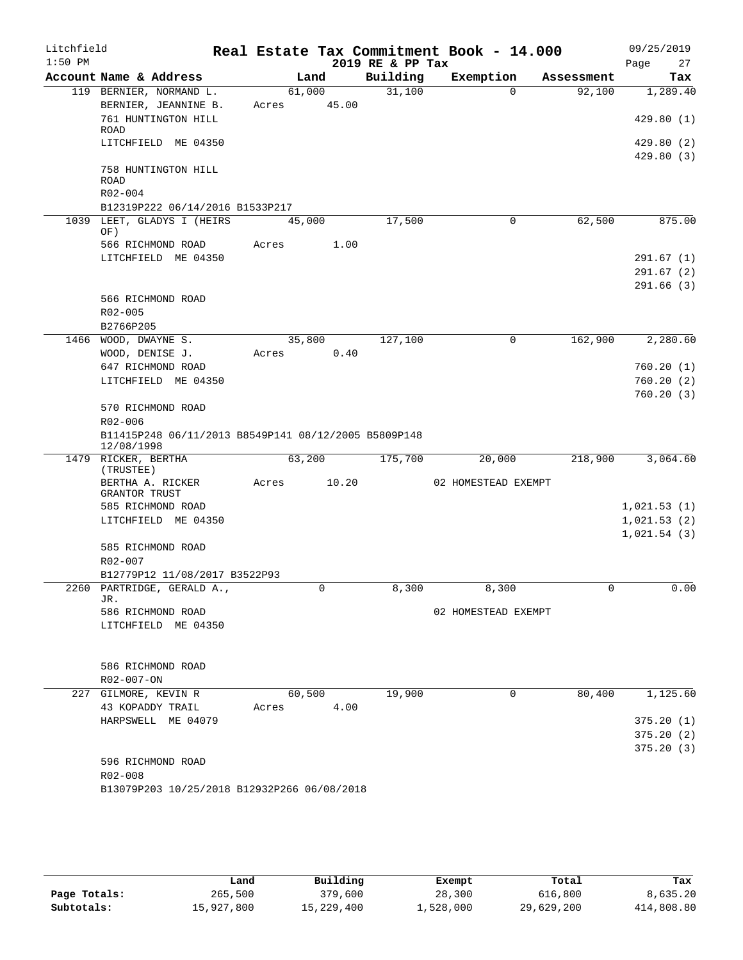| Litchfield<br>$1:50$ PM |                                                      |       |        |       | 2019 RE & PP Tax | Real Estate Tax Commitment Book - 14.000 |            | 09/25/2019<br>Page     | 27     |
|-------------------------|------------------------------------------------------|-------|--------|-------|------------------|------------------------------------------|------------|------------------------|--------|
|                         | Account Name & Address                               |       | Land   |       | Building         | Exemption                                | Assessment |                        | Tax    |
|                         | 119 BERNIER, NORMAND L.                              |       | 61,000 |       | 31,100           | $\Omega$                                 | 92,100     | 1,289.40               |        |
|                         | BERNIER, JEANNINE B.                                 | Acres |        | 45.00 |                  |                                          |            |                        |        |
|                         | 761 HUNTINGTON HILL                                  |       |        |       |                  |                                          |            | 429.80(1)              |        |
|                         | ROAD<br>LITCHFIELD ME 04350                          |       |        |       |                  |                                          |            | 429.80 (2)             |        |
|                         |                                                      |       |        |       |                  |                                          |            | 429.80(3)              |        |
|                         | 758 HUNTINGTON HILL                                  |       |        |       |                  |                                          |            |                        |        |
|                         | <b>ROAD</b><br>R02-004                               |       |        |       |                  |                                          |            |                        |        |
|                         | B12319P222 06/14/2016 B1533P217                      |       |        |       |                  |                                          |            |                        |        |
|                         | 1039 LEET, GLADYS I (HEIRS                           |       | 45,000 |       | 17,500           | $\mathbf 0$                              | 62,500     |                        | 875.00 |
|                         | OF)                                                  |       |        |       |                  |                                          |            |                        |        |
|                         | 566 RICHMOND ROAD                                    | Acres |        | 1.00  |                  |                                          |            |                        |        |
|                         | LITCHFIELD ME 04350                                  |       |        |       |                  |                                          |            | 291.67(1)              |        |
|                         |                                                      |       |        |       |                  |                                          |            | 291.67(2)<br>291.66(3) |        |
|                         | 566 RICHMOND ROAD                                    |       |        |       |                  |                                          |            |                        |        |
|                         | $R02 - 005$                                          |       |        |       |                  |                                          |            |                        |        |
|                         | B2766P205                                            |       |        |       |                  |                                          |            |                        |        |
|                         | 1466 WOOD, DWAYNE S.                                 |       | 35,800 |       | 127,100          | 0                                        | 162,900    | 2,280.60               |        |
|                         | WOOD, DENISE J.                                      | Acres |        | 0.40  |                  |                                          |            |                        |        |
|                         | 647 RICHMOND ROAD                                    |       |        |       |                  |                                          |            | 760.20(1)              |        |
|                         | LITCHFIELD ME 04350                                  |       |        |       |                  |                                          |            | 760.20(2)              |        |
|                         | 570 RICHMOND ROAD                                    |       |        |       |                  |                                          |            | 760.20(3)              |        |
|                         | R02-006                                              |       |        |       |                  |                                          |            |                        |        |
|                         | B11415P248 06/11/2013 B8549P141 08/12/2005 B5809P148 |       |        |       |                  |                                          |            |                        |        |
|                         | 12/08/1998<br>1479 RICKER, BERTHA                    |       | 63,200 |       | 175,700          | 20,000                                   | 218,900    | 3,064.60               |        |
|                         | (TRUSTEE)                                            |       |        |       |                  |                                          |            |                        |        |
|                         | BERTHA A. RICKER                                     | Acres |        | 10.20 |                  | 02 HOMESTEAD EXEMPT                      |            |                        |        |
|                         | GRANTOR TRUST<br>585 RICHMOND ROAD                   |       |        |       |                  |                                          |            | 1,021.53(1)            |        |
|                         | LITCHFIELD ME 04350                                  |       |        |       |                  |                                          |            | 1,021.53(2)            |        |
|                         |                                                      |       |        |       |                  |                                          |            | 1,021.54(3)            |        |
|                         | 585 RICHMOND ROAD                                    |       |        |       |                  |                                          |            |                        |        |
|                         | R02-007                                              |       |        |       |                  |                                          |            |                        |        |
|                         | B12779P12 11/08/2017 B3522P93                        |       |        |       |                  |                                          |            |                        |        |
|                         | 2260 PARTRIDGE, GERALD A.,<br>JR.                    |       |        | 0     | 8,300            | 8,300                                    | 0          |                        | 0.00   |
|                         | 586 RICHMOND ROAD                                    |       |        |       |                  | 02 HOMESTEAD EXEMPT                      |            |                        |        |
|                         | LITCHFIELD ME 04350                                  |       |        |       |                  |                                          |            |                        |        |
|                         |                                                      |       |        |       |                  |                                          |            |                        |        |
|                         |                                                      |       |        |       |                  |                                          |            |                        |        |
|                         | 586 RICHMOND ROAD<br>R02-007-ON                      |       |        |       |                  |                                          |            |                        |        |
|                         | 227 GILMORE, KEVIN R                                 |       | 60,500 |       | 19,900           | $\mathsf{O}$                             | 80,400     | 1,125.60               |        |
|                         | 43 KOPADDY TRAIL                                     | Acres |        | 4.00  |                  |                                          |            |                        |        |
|                         | HARPSWELL ME 04079                                   |       |        |       |                  |                                          |            | 375.20(1)              |        |
|                         |                                                      |       |        |       |                  |                                          |            | 375.20(2)              |        |
|                         |                                                      |       |        |       |                  |                                          |            | 375.20(3)              |        |
|                         | 596 RICHMOND ROAD                                    |       |        |       |                  |                                          |            |                        |        |
|                         | R02-008                                              |       |        |       |                  |                                          |            |                        |        |
|                         | B13079P203 10/25/2018 B12932P266 06/08/2018          |       |        |       |                  |                                          |            |                        |        |

|              | Land       | Building   | Exempt    | Total      | Tax        |
|--------------|------------|------------|-----------|------------|------------|
| Page Totals: | 265,500    | 379,600    | 28,300    | 616,800    | 8,635.20   |
| Subtotals:   | 15,927,800 | 15,229,400 | 1,528,000 | 29,629,200 | 414,808.80 |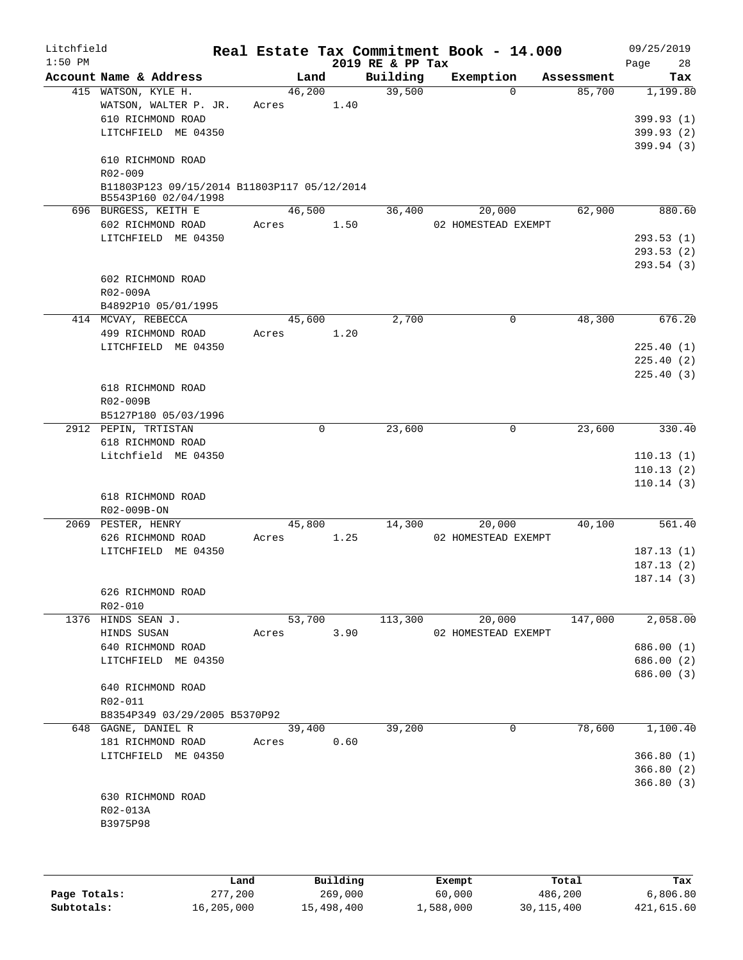| Litchfield<br>$1:50$ PM |                                              |        |             | 2019 RE & PP Tax | Real Estate Tax Commitment Book - 14.000 |            | 09/25/2019<br>Page<br>28 |
|-------------------------|----------------------------------------------|--------|-------------|------------------|------------------------------------------|------------|--------------------------|
|                         | Account Name & Address                       |        | Land        | Building         | Exemption                                | Assessment | Tax                      |
|                         | 415 WATSON, KYLE H.                          | 46,200 |             | 39,500           | $\Omega$                                 | 85,700     | 1,199.80                 |
|                         | WATSON, WALTER P. JR.                        | Acres  | 1.40        |                  |                                          |            |                          |
|                         | 610 RICHMOND ROAD                            |        |             |                  |                                          |            | 399.93 (1)               |
|                         | LITCHFIELD ME 04350                          |        |             |                  |                                          |            | 399.93(2)                |
|                         |                                              |        |             |                  |                                          |            | 399.94 (3)               |
|                         | 610 RICHMOND ROAD                            |        |             |                  |                                          |            |                          |
|                         | R02-009                                      |        |             |                  |                                          |            |                          |
|                         | B11803P123 09/15/2014 B11803P117 05/12/2014  |        |             |                  |                                          |            |                          |
|                         | B5543P160 02/04/1998<br>696 BURGESS, KEITH E | 46,500 |             | 36,400           | 20,000                                   | 62,900     | 880.60                   |
|                         | 602 RICHMOND ROAD                            | Acres  | 1.50        |                  | 02 HOMESTEAD EXEMPT                      |            |                          |
|                         | LITCHFIELD ME 04350                          |        |             |                  |                                          |            | 293.53(1)                |
|                         |                                              |        |             |                  |                                          |            | 293.53(2)                |
|                         |                                              |        |             |                  |                                          |            | 293.54(3)                |
|                         | 602 RICHMOND ROAD                            |        |             |                  |                                          |            |                          |
|                         | R02-009A                                     |        |             |                  |                                          |            |                          |
|                         | B4892P10 05/01/1995                          |        |             |                  |                                          |            |                          |
|                         | 414 MCVAY, REBECCA                           | 45,600 |             | 2,700            | 0                                        | 48,300     | 676.20                   |
|                         | 499 RICHMOND ROAD                            | Acres  | 1.20        |                  |                                          |            |                          |
|                         | LITCHFIELD ME 04350                          |        |             |                  |                                          |            | 225.40(1)                |
|                         |                                              |        |             |                  |                                          |            | 225.40(2)                |
|                         |                                              |        |             |                  |                                          |            | 225.40(3)                |
|                         | 618 RICHMOND ROAD                            |        |             |                  |                                          |            |                          |
|                         | R02-009B                                     |        |             |                  |                                          |            |                          |
|                         | B5127P180 05/03/1996                         |        |             |                  |                                          |            |                          |
|                         | 2912 PEPIN, TRTISTAN                         |        | $\mathbf 0$ | 23,600           | $\mathbf 0$                              | 23,600     | 330.40                   |
|                         | 618 RICHMOND ROAD                            |        |             |                  |                                          |            |                          |
|                         | Litchfield ME 04350                          |        |             |                  |                                          |            | 110.13(1)                |
|                         |                                              |        |             |                  |                                          |            | 110.13(2)                |
|                         |                                              |        |             |                  |                                          |            | 110.14(3)                |
|                         | 618 RICHMOND ROAD                            |        |             |                  |                                          |            |                          |
|                         | R02-009B-ON                                  |        |             |                  |                                          |            |                          |
|                         | 2069 PESTER, HENRY                           | 45,800 |             | 14,300           | 20,000                                   | 40,100     | 561.40                   |
|                         | 626 RICHMOND ROAD                            | Acres  | 1.25        |                  | 02 HOMESTEAD EXEMPT                      |            |                          |
|                         | LITCHFIELD ME 04350                          |        |             |                  |                                          |            | 187.13(1)                |
|                         |                                              |        |             |                  |                                          |            | 187.13(2)                |
|                         |                                              |        |             |                  |                                          |            | 187.14(3)                |
|                         | 626 RICHMOND ROAD                            |        |             |                  |                                          |            |                          |
|                         | R02-010                                      |        |             |                  |                                          |            |                          |
|                         | 1376 HINDS SEAN J.                           | 53,700 |             | 113,300          | 20,000                                   | 147,000    | 2,058.00                 |
|                         | HINDS SUSAN                                  | Acres  | 3.90        |                  | 02 HOMESTEAD EXEMPT                      |            |                          |
|                         | 640 RICHMOND ROAD                            |        |             |                  |                                          |            | 686.00(1)                |
|                         | LITCHFIELD ME 04350                          |        |             |                  |                                          |            | 686.00 (2)               |
|                         | 640 RICHMOND ROAD                            |        |             |                  |                                          |            | 686.00 (3)               |
|                         | R02-011                                      |        |             |                  |                                          |            |                          |
|                         | B8354P349 03/29/2005 B5370P92                |        |             |                  |                                          |            |                          |
|                         | 648 GAGNE, DANIEL R                          | 39,400 |             | 39,200           | 0                                        | 78,600     | 1,100.40                 |
|                         | 181 RICHMOND ROAD                            | Acres  | 0.60        |                  |                                          |            |                          |
|                         | LITCHFIELD ME 04350                          |        |             |                  |                                          |            | 366.80(1)                |
|                         |                                              |        |             |                  |                                          |            | 366.80(2)                |
|                         |                                              |        |             |                  |                                          |            | 366.80(3)                |
|                         | 630 RICHMOND ROAD                            |        |             |                  |                                          |            |                          |
|                         | R02-013A                                     |        |             |                  |                                          |            |                          |
|                         | B3975P98                                     |        |             |                  |                                          |            |                          |
|                         |                                              |        |             |                  |                                          |            |                          |
|                         |                                              |        |             |                  |                                          |            |                          |
|                         |                                              |        |             |                  |                                          |            |                          |

|              | Land       | Building   | Exempt    | Total        | Tax        |
|--------------|------------|------------|-----------|--------------|------------|
| Page Totals: | 277,200    | 269,000    | 60,000    | 486,200      | 6,806.80   |
| Subtotals:   | 16,205,000 | 15,498,400 | 1,588,000 | 30, 115, 400 | 421,615.60 |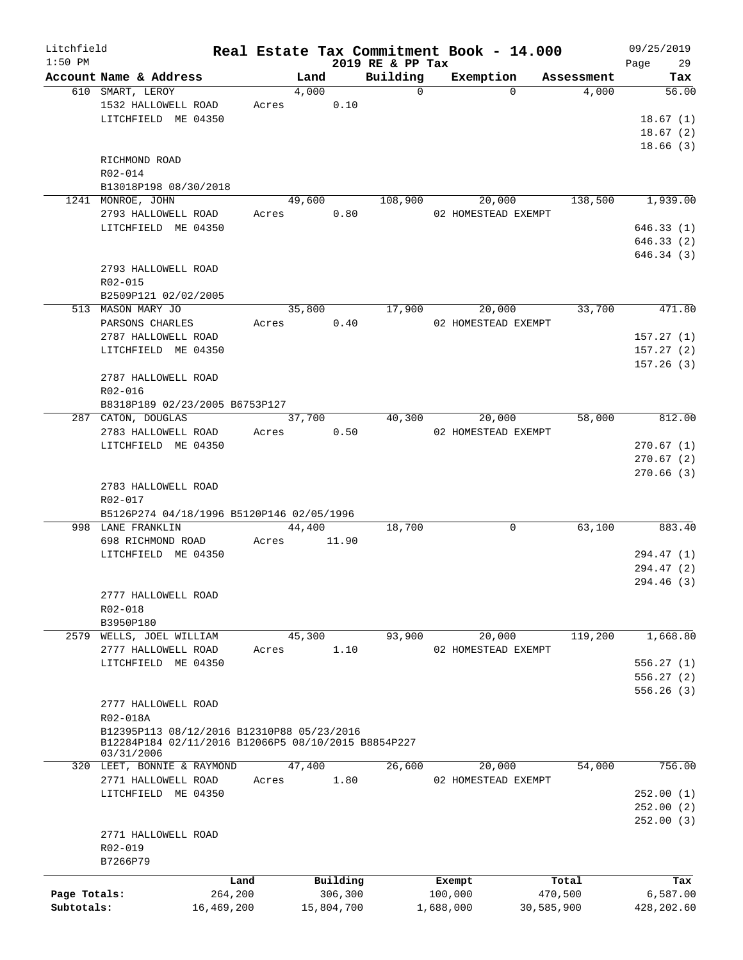| Litchfield   |                                                     |            |        |            |                  | Real Estate Tax Commitment Book - 14.000 |            | 09/25/2019  |
|--------------|-----------------------------------------------------|------------|--------|------------|------------------|------------------------------------------|------------|-------------|
| $1:50$ PM    |                                                     |            |        |            | 2019 RE & PP Tax |                                          |            | 29<br>Page  |
|              | Account Name & Address                              |            | Land   |            | Building         | Exemption                                | Assessment | Tax         |
|              | 610 SMART, LEROY                                    |            | 4,000  |            | $\Omega$         | $\Omega$                                 | 4,000      | 56.00       |
|              | 1532 HALLOWELL ROAD                                 |            | Acres  | 0.10       |                  |                                          |            |             |
|              | LITCHFIELD ME 04350                                 |            |        |            |                  |                                          |            | 18.67(1)    |
|              |                                                     |            |        |            |                  |                                          |            | 18.67(2)    |
|              |                                                     |            |        |            |                  |                                          |            | 18.66(3)    |
|              | RICHMOND ROAD                                       |            |        |            |                  |                                          |            |             |
|              | R02-014                                             |            |        |            |                  |                                          |            |             |
|              | B13018P198 08/30/2018                               |            |        |            |                  |                                          |            |             |
|              | 1241 MONROE, JOHN                                   |            | 49,600 |            | 108,900          | 20,000                                   | 138,500    | 1,939.00    |
|              | 2793 HALLOWELL ROAD                                 |            | Acres  | 0.80       |                  | 02 HOMESTEAD EXEMPT                      |            |             |
|              | LITCHFIELD ME 04350                                 |            |        |            |                  |                                          |            | 646.33(1)   |
|              |                                                     |            |        |            |                  |                                          |            | 646.33(2)   |
|              |                                                     |            |        |            |                  |                                          |            | 646.34(3)   |
|              | 2793 HALLOWELL ROAD                                 |            |        |            |                  |                                          |            |             |
|              |                                                     |            |        |            |                  |                                          |            |             |
|              | R02-015                                             |            |        |            |                  |                                          |            |             |
|              | B2509P121 02/02/2005                                |            |        |            |                  |                                          |            |             |
|              | 513 MASON MARY JO                                   |            | 35,800 |            | 17,900           | 20,000                                   | 33,700     | 471.80      |
|              | PARSONS CHARLES                                     |            | Acres  | 0.40       |                  | 02 HOMESTEAD EXEMPT                      |            |             |
|              | 2787 HALLOWELL ROAD                                 |            |        |            |                  |                                          |            | 157.27(1)   |
|              | LITCHFIELD ME 04350                                 |            |        |            |                  |                                          |            | 157.27(2)   |
|              |                                                     |            |        |            |                  |                                          |            | 157.26(3)   |
|              | 2787 HALLOWELL ROAD                                 |            |        |            |                  |                                          |            |             |
|              | R02-016                                             |            |        |            |                  |                                          |            |             |
|              | B8318P189 02/23/2005 B6753P127                      |            |        |            |                  |                                          |            |             |
|              | 287 CATON, DOUGLAS                                  |            | 37,700 |            | 40,300           | 20,000                                   | 58,000     | 812.00      |
|              | 2783 HALLOWELL ROAD                                 |            | Acres  | 0.50       |                  | 02 HOMESTEAD EXEMPT                      |            |             |
|              | LITCHFIELD ME 04350                                 |            |        |            |                  |                                          |            | 270.67(1)   |
|              |                                                     |            |        |            |                  |                                          |            | 270.67(2)   |
|              |                                                     |            |        |            |                  |                                          |            | 270.66(3)   |
|              | 2783 HALLOWELL ROAD                                 |            |        |            |                  |                                          |            |             |
|              | R02-017                                             |            |        |            |                  |                                          |            |             |
|              | B5126P274 04/18/1996 B5120P146 02/05/1996           |            |        |            |                  |                                          |            |             |
|              | 998 LANE FRANKLIN                                   |            | 44,400 |            | 18,700           | 0                                        | 63,100     | 883.40      |
|              | 698 RICHMOND ROAD                                   |            |        |            |                  |                                          |            |             |
|              |                                                     |            | Acres  | 11.90      |                  |                                          |            |             |
|              | LITCHFIELD ME 04350                                 |            |        |            |                  |                                          |            | 294.47 (1)  |
|              |                                                     |            |        |            |                  |                                          |            | 294.47 (2)  |
|              |                                                     |            |        |            |                  |                                          |            | 294.46 (3)  |
|              | 2777 HALLOWELL ROAD                                 |            |        |            |                  |                                          |            |             |
|              | R02-018                                             |            |        |            |                  |                                          |            |             |
|              | B3950P180                                           |            |        |            |                  |                                          |            |             |
| 2579         | WELLS, JOEL WILLIAM                                 |            | 45,300 |            | 93,900           | 20,000                                   | 119,200    | 1,668.80    |
|              | 2777 HALLOWELL ROAD                                 |            | Acres  | 1.10       |                  | 02 HOMESTEAD EXEMPT                      |            |             |
|              | LITCHFIELD ME 04350                                 |            |        |            |                  |                                          |            | 556.27(1)   |
|              |                                                     |            |        |            |                  |                                          |            | 556.27(2)   |
|              |                                                     |            |        |            |                  |                                          |            | 556.26(3)   |
|              | 2777 HALLOWELL ROAD                                 |            |        |            |                  |                                          |            |             |
|              | R02-018A                                            |            |        |            |                  |                                          |            |             |
|              | B12395P113 08/12/2016 B12310P88 05/23/2016          |            |        |            |                  |                                          |            |             |
|              | B12284P184 02/11/2016 B12066P5 08/10/2015 B8854P227 |            |        |            |                  |                                          |            |             |
|              | 03/31/2006                                          |            |        |            |                  |                                          |            |             |
|              | 320 LEET, BONNIE & RAYMOND                          |            | 47,400 |            | 26,600           | 20,000                                   | 54,000     | 756.00      |
|              | 2771 HALLOWELL ROAD                                 |            | Acres  | 1.80       |                  | 02 HOMESTEAD EXEMPT                      |            |             |
|              | LITCHFIELD ME 04350                                 |            |        |            |                  |                                          |            | 252.00(1)   |
|              |                                                     |            |        |            |                  |                                          |            | 252.00(2)   |
|              |                                                     |            |        |            |                  |                                          |            | 252.00(3)   |
|              | 2771 HALLOWELL ROAD                                 |            |        |            |                  |                                          |            |             |
|              | R02-019                                             |            |        |            |                  |                                          |            |             |
|              | B7266P79                                            |            |        |            |                  |                                          |            |             |
|              |                                                     |            |        |            |                  |                                          |            |             |
|              |                                                     | Land       |        | Building   |                  | Exempt                                   | Total      | Tax         |
| Page Totals: |                                                     | 264,200    |        | 306,300    |                  | 100,000                                  | 470,500    | 6,587.00    |
| Subtotals:   |                                                     | 16,469,200 |        | 15,804,700 |                  | 1,688,000                                | 30,585,900 | 428, 202.60 |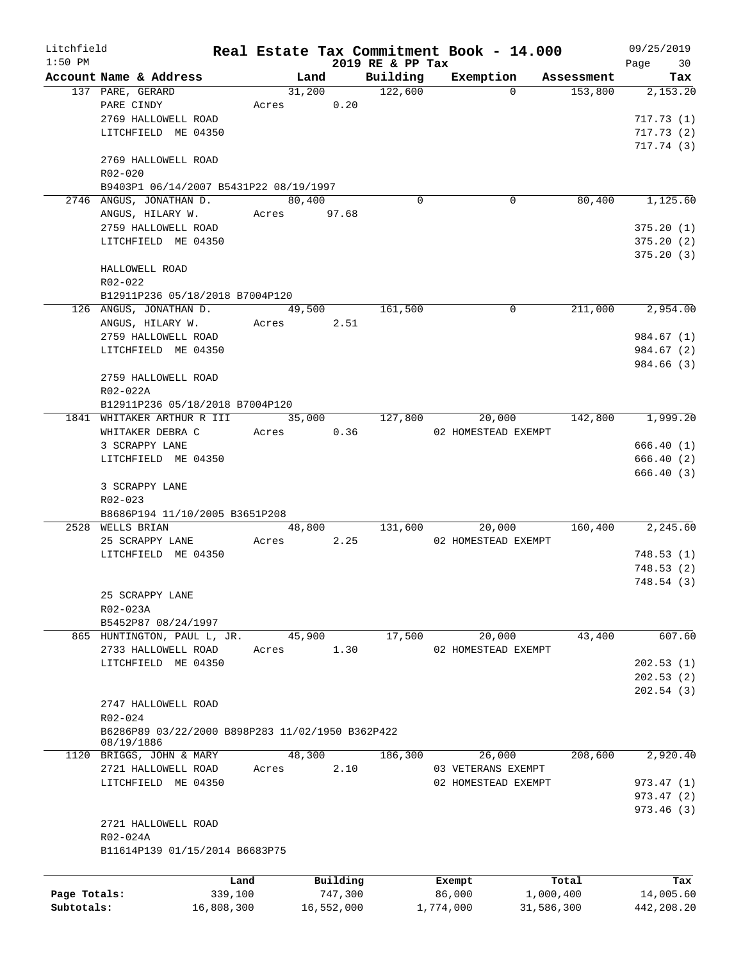| Litchfield   |                                                  |            |             |            |                      | Real Estate Tax Commitment Book - 14.000 |            |            | 09/25/2019 |
|--------------|--------------------------------------------------|------------|-------------|------------|----------------------|------------------------------------------|------------|------------|------------|
| $1:50$ PM    |                                                  |            |             |            | 2019 RE & PP Tax     |                                          |            |            | 30<br>Page |
|              | Account Name & Address                           |            | Land        |            | Building             | Exemption                                |            | Assessment | Tax        |
|              | 137 PARE, GERARD                                 |            | 31,200      |            | 122,600              |                                          | $\Omega$   | 153,800    | 2,153.20   |
|              | PARE CINDY                                       | Acres      |             | 0.20       |                      |                                          |            |            |            |
|              | 2769 HALLOWELL ROAD                              |            |             |            |                      |                                          |            |            | 717.73(1)  |
|              | LITCHFIELD ME 04350                              |            |             |            |                      |                                          |            |            | 717.73(2)  |
|              |                                                  |            |             |            |                      |                                          |            |            | 717.74(3)  |
|              | 2769 HALLOWELL ROAD                              |            |             |            |                      |                                          |            |            |            |
|              | R02-020                                          |            |             |            |                      |                                          |            |            |            |
|              | B9403P1 06/14/2007 B5431P22 08/19/1997           |            |             |            |                      |                                          |            |            |            |
|              | 2746 ANGUS, JONATHAN D.                          |            | 80,400      |            | $\Omega$             |                                          | 0          | 80,400     | 1,125.60   |
|              | ANGUS, HILARY W.                                 |            | Acres 97.68 |            |                      |                                          |            |            |            |
|              | 2759 HALLOWELL ROAD                              |            |             |            |                      |                                          |            |            | 375.20(1)  |
|              | LITCHFIELD ME 04350                              |            |             |            |                      |                                          |            |            | 375.20(2)  |
|              |                                                  |            |             |            |                      |                                          |            |            | 375.20(3)  |
|              | HALLOWELL ROAD                                   |            |             |            |                      |                                          |            |            |            |
|              | $R02 - 022$                                      |            |             |            |                      |                                          |            |            |            |
|              | B12911P236 05/18/2018 B7004P120                  |            |             |            |                      |                                          |            |            |            |
|              | 126 ANGUS, JONATHAN D.                           |            | 49,500      |            | 161,500              |                                          | 0          | 211,000    | 2,954.00   |
|              | ANGUS, HILARY W.                                 |            | Acres 2.51  |            |                      |                                          |            |            |            |
|              | 2759 HALLOWELL ROAD                              |            |             |            |                      |                                          |            |            | 984.67 (1) |
|              | LITCHFIELD ME 04350                              |            |             |            |                      |                                          |            |            | 984.67 (2) |
|              |                                                  |            |             |            |                      |                                          |            |            | 984.66 (3) |
|              | 2759 HALLOWELL ROAD                              |            |             |            |                      |                                          |            |            |            |
|              | R02-022A                                         |            |             |            |                      |                                          |            |            |            |
|              | B12911P236 05/18/2018 B7004P120                  |            |             |            |                      |                                          |            |            |            |
|              |                                                  |            | 35,000      |            | $1\overline{27,800}$ |                                          |            | 142,800    | 1,999.20   |
|              | 1841 WHITAKER ARTHUR R III                       |            |             |            |                      | 20,000                                   |            |            |            |
|              | WHITAKER DEBRA C                                 |            | Acres 0.36  |            |                      | 02 HOMESTEAD EXEMPT                      |            |            |            |
|              | 3 SCRAPPY LANE                                   |            |             |            |                      |                                          |            |            | 666.40 (1) |
|              | LITCHFIELD ME 04350                              |            |             |            |                      |                                          |            |            | 666.40 (2) |
|              |                                                  |            |             |            |                      |                                          |            |            | 666.40 (3) |
|              | 3 SCRAPPY LANE                                   |            |             |            |                      |                                          |            |            |            |
|              | $R02 - 023$                                      |            |             |            |                      |                                          |            |            |            |
|              | B8686P194 11/10/2005 B3651P208                   |            |             |            |                      |                                          |            |            |            |
|              | 2528 WELLS BRIAN                                 |            | 48,800      |            | 131,600              | 20,000                                   |            | 160,400    | 2,245.60   |
|              | 25 SCRAPPY LANE                                  | Acres      |             | 2.25       |                      | 02 HOMESTEAD EXEMPT                      |            |            |            |
|              | LITCHFIELD ME 04350                              |            |             |            |                      |                                          |            |            | 748.53(1)  |
|              |                                                  |            |             |            |                      |                                          |            |            | 748.53 (2) |
|              |                                                  |            |             |            |                      |                                          |            |            | 748.54 (3) |
|              | 25 SCRAPPY LANE                                  |            |             |            |                      |                                          |            |            |            |
|              | R02-023A                                         |            |             |            |                      |                                          |            |            |            |
|              | B5452P87 08/24/1997                              |            |             |            |                      |                                          |            |            |            |
|              | 865 HUNTINGTON, PAUL L, JR.                      |            | 45,900      |            | 17,500               | 20,000                                   |            | 43,400     | 607.60     |
|              | 2733 HALLOWELL ROAD                              | Acres      |             | 1.30       |                      | 02 HOMESTEAD EXEMPT                      |            |            |            |
|              | LITCHFIELD ME 04350                              |            |             |            |                      |                                          |            |            | 202.53(1)  |
|              |                                                  |            |             |            |                      |                                          |            |            | 202.53(2)  |
|              |                                                  |            |             |            |                      |                                          |            |            | 202.54(3)  |
|              | 2747 HALLOWELL ROAD                              |            |             |            |                      |                                          |            |            |            |
|              | R02-024                                          |            |             |            |                      |                                          |            |            |            |
|              | B6286P89 03/22/2000 B898P283 11/02/1950 B362P422 |            |             |            |                      |                                          |            |            |            |
|              | 08/19/1886                                       |            |             |            |                      |                                          |            |            |            |
|              | 1120 BRIGGS, JOHN & MARY                         |            | 48,300      |            | 186,300              | 26,000                                   |            | 208,600    | 2,920.40   |
|              | 2721 HALLOWELL ROAD                              | Acres      |             | 2.10       |                      | 03 VETERANS EXEMPT                       |            |            |            |
|              | LITCHFIELD ME 04350                              |            |             |            |                      | 02 HOMESTEAD EXEMPT                      |            |            | 973.47(1)  |
|              |                                                  |            |             |            |                      |                                          |            |            | 973.47 (2) |
|              |                                                  |            |             |            |                      |                                          |            |            | 973.46 (3) |
|              | 2721 HALLOWELL ROAD                              |            |             |            |                      |                                          |            |            |            |
|              | R02-024A                                         |            |             |            |                      |                                          |            |            |            |
|              | B11614P139 01/15/2014 B6683P75                   |            |             |            |                      |                                          |            |            |            |
|              |                                                  |            |             |            |                      |                                          |            |            |            |
|              |                                                  |            |             |            |                      |                                          |            |            |            |
|              |                                                  | Land       |             | Building   |                      | Exempt                                   |            | Total      | Tax        |
| Page Totals: |                                                  | 339,100    |             | 747,300    |                      | 86,000                                   | 1,000,400  |            | 14,005.60  |
| Subtotals:   |                                                  | 16,808,300 |             | 16,552,000 |                      | 1,774,000                                | 31,586,300 |            | 442,208.20 |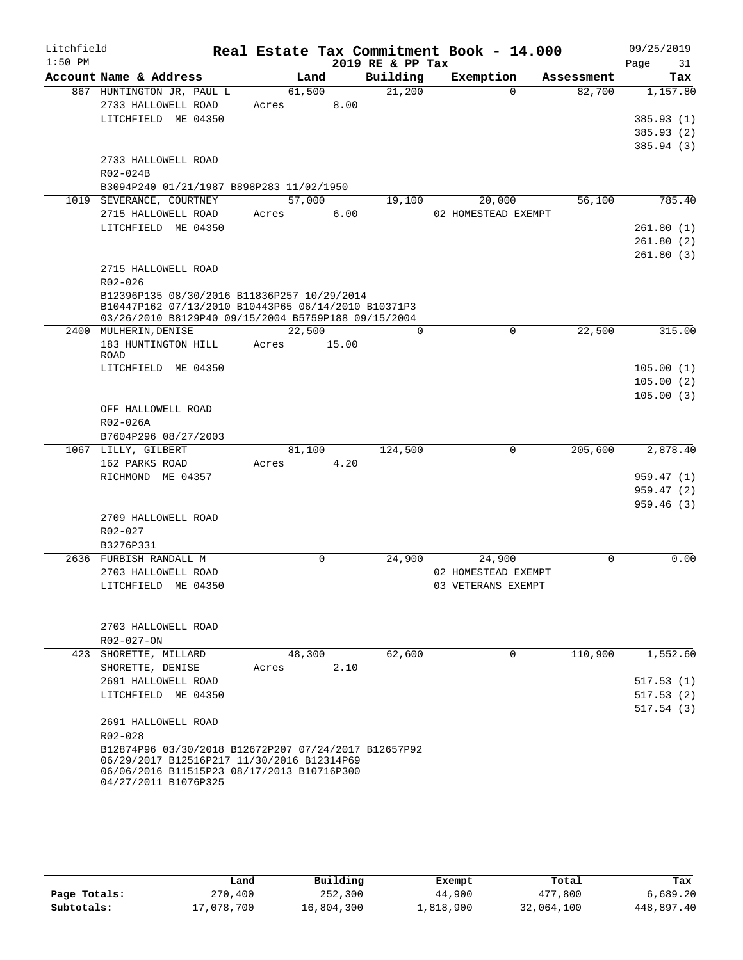| Litchfield |                                                                              |       |             |       | Real Estate Tax Commitment Book - 14.000 |                     |             |            | 09/25/2019              |
|------------|------------------------------------------------------------------------------|-------|-------------|-------|------------------------------------------|---------------------|-------------|------------|-------------------------|
| $1:50$ PM  |                                                                              |       |             |       | 2019 RE & PP Tax                         |                     |             |            | Page<br>31              |
|            | Account Name & Address                                                       |       | Land        |       | Building                                 |                     | Exemption   | Assessment | Tax                     |
|            | 867 HUNTINGTON JR, PAUL L                                                    |       | 61,500      |       | 21,200                                   |                     | $\Omega$    | 82,700     | 1,157.80                |
|            | 2733 HALLOWELL ROAD                                                          | Acres |             | 8.00  |                                          |                     |             |            |                         |
|            | LITCHFIELD ME 04350                                                          |       |             |       |                                          |                     |             |            | 385.93 (1)              |
|            |                                                                              |       |             |       |                                          |                     |             |            | 385.93(2)               |
|            | 2733 HALLOWELL ROAD                                                          |       |             |       |                                          |                     |             |            | 385.94 (3)              |
|            | R02-024B                                                                     |       |             |       |                                          |                     |             |            |                         |
|            | B3094P240 01/21/1987 B898P283 11/02/1950                                     |       |             |       |                                          |                     |             |            |                         |
|            | 1019 SEVERANCE, COURTNEY                                                     |       | 57,000      |       | 19,100                                   |                     | 20,000      | 56,100     | 785.40                  |
|            | 2715 HALLOWELL ROAD                                                          | Acres |             | 6.00  |                                          | 02 HOMESTEAD EXEMPT |             |            |                         |
|            | LITCHFIELD ME 04350                                                          |       |             |       |                                          |                     |             |            | 261.80(1)               |
|            |                                                                              |       |             |       |                                          |                     |             |            | 261.80(2)               |
|            |                                                                              |       |             |       |                                          |                     |             |            | 261.80(3)               |
|            | 2715 HALLOWELL ROAD                                                          |       |             |       |                                          |                     |             |            |                         |
|            | $R02 - 026$                                                                  |       |             |       |                                          |                     |             |            |                         |
|            | B12396P135 08/30/2016 B11836P257 10/29/2014                                  |       |             |       |                                          |                     |             |            |                         |
|            | B10447P162 07/13/2010 B10443P65 06/14/2010 B10371P3                          |       |             |       |                                          |                     |             |            |                         |
|            | 03/26/2010 B8129P40 09/15/2004 B5759P188 09/15/2004<br>2400 MULHERIN, DENISE |       | 22,500      |       | 0                                        |                     | $\mathbf 0$ | 22,500     | 315.00                  |
|            | 183 HUNTINGTON HILL                                                          | Acres |             | 15.00 |                                          |                     |             |            |                         |
|            | <b>ROAD</b>                                                                  |       |             |       |                                          |                     |             |            |                         |
|            | LITCHFIELD ME 04350                                                          |       |             |       |                                          |                     |             |            | 105.00(1)               |
|            |                                                                              |       |             |       |                                          |                     |             |            | 105.00(2)               |
|            |                                                                              |       |             |       |                                          |                     |             |            | 105.00(3)               |
|            | OFF HALLOWELL ROAD                                                           |       |             |       |                                          |                     |             |            |                         |
|            | R02-026A                                                                     |       |             |       |                                          |                     |             |            |                         |
|            | B7604P296 08/27/2003                                                         |       |             |       |                                          |                     |             |            |                         |
|            | 1067 LILLY, GILBERT                                                          |       | 81,100      |       | 124,500                                  |                     | 0           | 205,600    | 2,878.40                |
|            | 162 PARKS ROAD<br>RICHMOND ME 04357                                          | Acres |             | 4.20  |                                          |                     |             |            |                         |
|            |                                                                              |       |             |       |                                          |                     |             |            | 959.47 (1)<br>959.47(2) |
|            |                                                                              |       |             |       |                                          |                     |             |            | 959.46(3)               |
|            | 2709 HALLOWELL ROAD                                                          |       |             |       |                                          |                     |             |            |                         |
|            | R02-027                                                                      |       |             |       |                                          |                     |             |            |                         |
|            | B3276P331                                                                    |       |             |       |                                          |                     |             |            |                         |
|            | 2636 FURBISH RANDALL M                                                       |       | $\mathbf 0$ |       | 24,900                                   |                     | 24,900      | $\Omega$   | 0.00                    |
|            | 2703 HALLOWELL ROAD                                                          |       |             |       |                                          | 02 HOMESTEAD EXEMPT |             |            |                         |
|            | LITCHFIELD ME 04350                                                          |       |             |       |                                          | 03 VETERANS EXEMPT  |             |            |                         |
|            |                                                                              |       |             |       |                                          |                     |             |            |                         |
|            |                                                                              |       |             |       |                                          |                     |             |            |                         |
|            | 2703 HALLOWELL ROAD                                                          |       |             |       |                                          |                     |             |            |                         |
|            | $R02 - 027 - ON$                                                             |       |             |       |                                          |                     |             |            |                         |
|            | 423 SHORETTE, MILLARD                                                        |       | 48,300      |       | 62,600                                   |                     | $\Omega$    | 110,900    | 1,552.60                |
|            | SHORETTE, DENISE                                                             | Acres |             | 2.10  |                                          |                     |             |            |                         |
|            | 2691 HALLOWELL ROAD<br>LITCHFIELD ME 04350                                   |       |             |       |                                          |                     |             |            | 517.53(1)               |
|            |                                                                              |       |             |       |                                          |                     |             |            | 517.53(2)<br>517.54(3)  |
|            | 2691 HALLOWELL ROAD                                                          |       |             |       |                                          |                     |             |            |                         |
|            | R02-028                                                                      |       |             |       |                                          |                     |             |            |                         |
|            | B12874P96 03/30/2018 B12672P207 07/24/2017 B12657P92                         |       |             |       |                                          |                     |             |            |                         |
|            | 06/29/2017 B12516P217 11/30/2016 B12314P69                                   |       |             |       |                                          |                     |             |            |                         |
|            | 06/06/2016 B11515P23 08/17/2013 B10716P300                                   |       |             |       |                                          |                     |             |            |                         |
|            | 04/27/2011 B1076P325                                                         |       |             |       |                                          |                     |             |            |                         |

|              | Land       | Building   | Exempt    | Total      | Tax        |
|--------------|------------|------------|-----------|------------|------------|
| Page Totals: | 270,400    | 252,300    | 44,900    | 477,800    | 6,689.20   |
| Subtotals:   | 17,078,700 | 16,804,300 | 1,818,900 | 32,064,100 | 448,897.40 |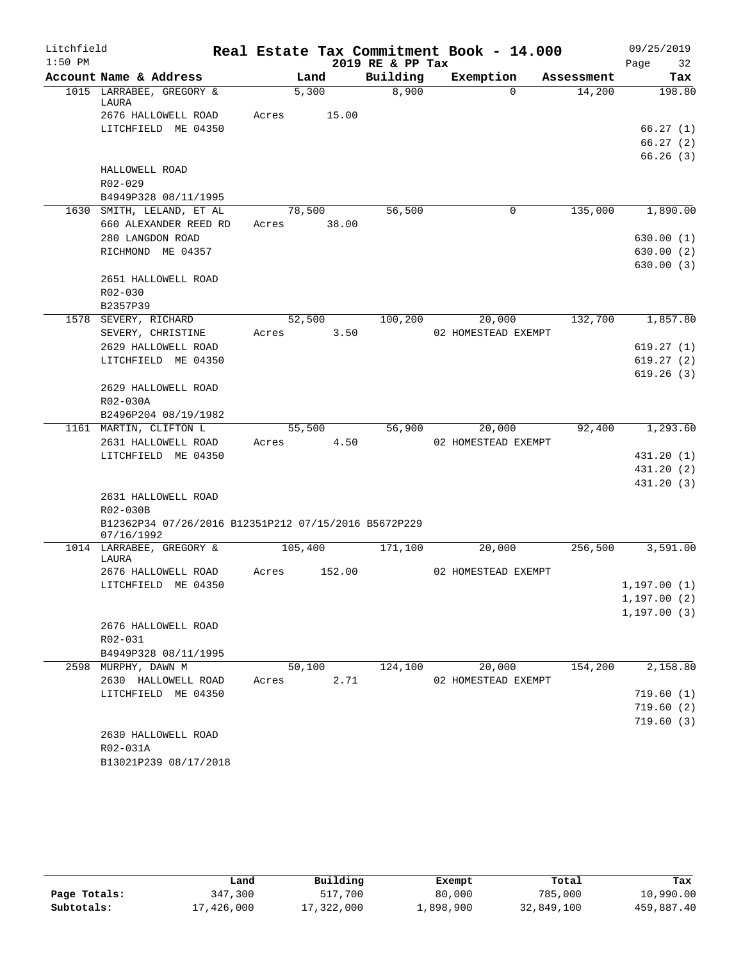| Litchfield |                                                                  |       |         |        |                  | Real Estate Tax Commitment Book - 14.000 |          |            |      | 09/25/2019             |
|------------|------------------------------------------------------------------|-------|---------|--------|------------------|------------------------------------------|----------|------------|------|------------------------|
| $1:50$ PM  |                                                                  |       |         |        | 2019 RE & PP Tax |                                          |          |            | Page | 32                     |
|            | Account Name & Address                                           |       | Land    |        | Building         | Exemption                                |          | Assessment |      | Tax                    |
|            | 1015 LARRABEE, GREGORY &<br>LAURA                                |       | 5,300   |        | 8,900            |                                          | $\Omega$ | 14,200     |      | 198.80                 |
|            | 2676 HALLOWELL ROAD                                              | Acres |         | 15.00  |                  |                                          |          |            |      |                        |
|            | LITCHFIELD ME 04350                                              |       |         |        |                  |                                          |          |            |      | 66.27(1)               |
|            |                                                                  |       |         |        |                  |                                          |          |            |      | 66.27(2)               |
|            |                                                                  |       |         |        |                  |                                          |          |            |      | 66.26(3)               |
|            | HALLOWELL ROAD                                                   |       |         |        |                  |                                          |          |            |      |                        |
|            | R02-029                                                          |       |         |        |                  |                                          |          |            |      |                        |
|            | B4949P328 08/11/1995                                             |       |         |        |                  |                                          |          |            |      |                        |
|            | 1630 SMITH, LELAND, ET AL                                        |       | 78,500  |        | 56,500           |                                          | 0        | 135,000    |      | 1,890.00               |
|            | 660 ALEXANDER REED RD                                            | Acres |         | 38.00  |                  |                                          |          |            |      |                        |
|            | 280 LANGDON ROAD                                                 |       |         |        |                  |                                          |          |            |      | 630.00(1)              |
|            | RICHMOND ME 04357                                                |       |         |        |                  |                                          |          |            |      | 630.00 (2)             |
|            |                                                                  |       |         |        |                  |                                          |          |            |      | 630.00(3)              |
|            | 2651 HALLOWELL ROAD                                              |       |         |        |                  |                                          |          |            |      |                        |
|            | R02-030                                                          |       |         |        |                  |                                          |          |            |      |                        |
|            | B2357P39                                                         |       |         |        |                  |                                          |          |            |      |                        |
|            | 1578 SEVERY, RICHARD                                             |       | 52,500  |        | 100, 200         | 20,000                                   |          | 132,700    |      | 1,857.80               |
|            | SEVERY, CHRISTINE                                                | Acres |         | 3.50   |                  | 02 HOMESTEAD EXEMPT                      |          |            |      |                        |
|            | 2629 HALLOWELL ROAD                                              |       |         |        |                  |                                          |          |            |      | 619.27(1)              |
|            | LITCHFIELD ME 04350                                              |       |         |        |                  |                                          |          |            |      | 619.27(2)              |
|            |                                                                  |       |         |        |                  |                                          |          |            |      | 619.26(3)              |
|            | 2629 HALLOWELL ROAD                                              |       |         |        |                  |                                          |          |            |      |                        |
|            | R02-030A                                                         |       |         |        |                  |                                          |          |            |      |                        |
|            | B2496P204 08/19/1982                                             |       |         |        |                  |                                          |          |            |      |                        |
|            | 1161 MARTIN, CLIFTON L                                           |       | 55,500  |        | 56,900           | 20,000                                   |          | 92,400     |      | 1,293.60               |
|            | 2631 HALLOWELL ROAD                                              | Acres |         | 4.50   |                  | 02 HOMESTEAD EXEMPT                      |          |            |      |                        |
|            | LITCHFIELD ME 04350                                              |       |         |        |                  |                                          |          |            |      | 431.20 (1)             |
|            |                                                                  |       |         |        |                  |                                          |          |            |      | 431.20 (2)             |
|            |                                                                  |       |         |        |                  |                                          |          |            |      | 431.20 (3)             |
|            | 2631 HALLOWELL ROAD                                              |       |         |        |                  |                                          |          |            |      |                        |
|            | R02-030B<br>B12362P34 07/26/2016 B12351P212 07/15/2016 B5672P229 |       |         |        |                  |                                          |          |            |      |                        |
|            | 07/16/1992                                                       |       |         |        |                  |                                          |          |            |      |                        |
|            | 1014 LARRABEE, GREGORY &                                         |       | 105,400 |        | 171,100          | 20,000                                   |          | 256,500    |      | 3,591.00               |
|            | LAURA                                                            |       |         |        |                  |                                          |          |            |      |                        |
|            | 2676 HALLOWELL ROAD                                              | Acres |         | 152.00 |                  | 02 HOMESTEAD EXEMPT                      |          |            |      |                        |
|            | LITCHFIELD ME 04350                                              |       |         |        |                  |                                          |          |            |      | 1,197.00(1)            |
|            |                                                                  |       |         |        |                  |                                          |          |            |      | 1,197.00(2)            |
|            |                                                                  |       |         |        |                  |                                          |          |            |      | 1, 197.00(3)           |
|            | 2676 HALLOWELL ROAD                                              |       |         |        |                  |                                          |          |            |      |                        |
|            | R02-031                                                          |       |         |        |                  |                                          |          |            |      |                        |
|            | B4949P328 08/11/1995                                             |       |         |        |                  |                                          |          |            |      |                        |
|            | 2598 MURPHY, DAWN M                                              |       | 50,100  |        | 124,100          | 20,000                                   |          | 154,200    |      | 2,158.80               |
|            | 2630 HALLOWELL ROAD                                              | Acres |         | 2.71   |                  | 02 HOMESTEAD EXEMPT                      |          |            |      |                        |
|            | LITCHFIELD ME 04350                                              |       |         |        |                  |                                          |          |            |      | 719.60(1)              |
|            |                                                                  |       |         |        |                  |                                          |          |            |      | 719.60(2)<br>719.60(3) |
|            | 2630 HALLOWELL ROAD                                              |       |         |        |                  |                                          |          |            |      |                        |
|            | R02-031A                                                         |       |         |        |                  |                                          |          |            |      |                        |
|            | B13021P239 08/17/2018                                            |       |         |        |                  |                                          |          |            |      |                        |
|            |                                                                  |       |         |        |                  |                                          |          |            |      |                        |

|              | Land       | Building   | Exempt    | Total      | Tax        |
|--------------|------------|------------|-----------|------------|------------|
| Page Totals: | 347,300    | 517,700    | 80,000    | 785,000    | 10,990.00  |
| Subtotals:   | 17,426,000 | 17,322,000 | 1,898,900 | 32,849,100 | 459,887.40 |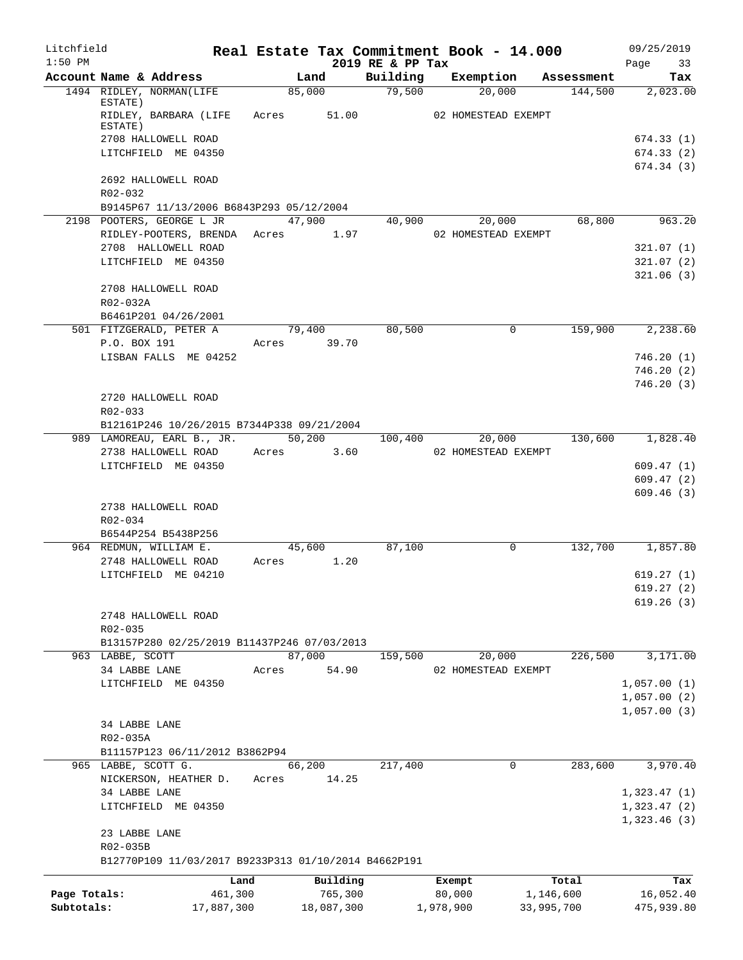| Litchfield<br>$1:50$ PM |                                                      |            |       |                 | 2019 RE & PP Tax |           | Real Estate Tax Commitment Book - 14.000 |            | 09/25/2019             |
|-------------------------|------------------------------------------------------|------------|-------|-----------------|------------------|-----------|------------------------------------------|------------|------------------------|
|                         | Account Name & Address                               |            |       | Land            | Building         |           | Exemption                                | Assessment | 33<br>Page<br>Tax      |
|                         | 1494 RIDLEY, NORMAN(LIFE                             |            |       | 85,000          | 79,500           |           | 20,000                                   | 144,500    | 2,023.00               |
|                         | ESTATE)<br>RIDLEY, BARBARA (LIFE<br>ESTATE)          |            | Acres | 51.00           |                  |           | 02 HOMESTEAD EXEMPT                      |            |                        |
|                         | 2708 HALLOWELL ROAD                                  |            |       |                 |                  |           |                                          |            | 674.33(1)              |
|                         | LITCHFIELD ME 04350                                  |            |       |                 |                  |           |                                          |            | 674.33(2)              |
|                         |                                                      |            |       |                 |                  |           |                                          |            | 674.34(3)              |
|                         | 2692 HALLOWELL ROAD<br>R02-032                       |            |       |                 |                  |           |                                          |            |                        |
|                         | B9145P67 11/13/2006 B6843P293 05/12/2004             |            |       |                 |                  |           |                                          |            |                        |
|                         | 2198 POOTERS, GEORGE L JR                            |            |       | 47,900          | 40,900           |           | 20,000                                   | 68,800     | 963.20                 |
|                         | RIDLEY-POOTERS, BRENDA<br>2708 HALLOWELL ROAD        |            |       | Acres 1.97      |                  |           | 02 HOMESTEAD EXEMPT                      |            | 321.07(1)              |
|                         | LITCHFIELD ME 04350                                  |            |       |                 |                  |           |                                          |            | 321.07(2)              |
|                         |                                                      |            |       |                 |                  |           |                                          |            | 321.06(3)              |
|                         | 2708 HALLOWELL ROAD<br>R02-032A                      |            |       |                 |                  |           |                                          |            |                        |
|                         | B6461P201 04/26/2001                                 |            |       |                 |                  |           |                                          |            |                        |
|                         | 501 FITZGERALD, PETER A<br>P.O. BOX 191              |            |       | 79,400          | 80,500           |           | 0                                        | 159,900    | 2,238.60               |
|                         | LISBAN FALLS ME 04252                                |            |       | Acres 39.70     |                  |           |                                          |            | 746.20(1)              |
|                         |                                                      |            |       |                 |                  |           |                                          |            | 746.20(2)              |
|                         |                                                      |            |       |                 |                  |           |                                          |            | 746.20(3)              |
|                         | 2720 HALLOWELL ROAD<br>R02-033                       |            |       |                 |                  |           |                                          |            |                        |
|                         | B12161P246 10/26/2015 B7344P338 09/21/2004           |            |       |                 |                  |           |                                          |            |                        |
|                         | 989 LAMOREAU, EARL B., JR.                           |            |       | 50,200          | 100,400          |           | 20,000                                   | 130,600    | 1,828.40               |
|                         | 2738 HALLOWELL ROAD                                  |            | Acres | 3.60            |                  |           | 02 HOMESTEAD EXEMPT                      |            |                        |
|                         | LITCHFIELD ME 04350                                  |            |       |                 |                  |           |                                          |            | 609.47(1)<br>609.47(2) |
|                         |                                                      |            |       |                 |                  |           |                                          |            | 609.46(3)              |
|                         | 2738 HALLOWELL ROAD                                  |            |       |                 |                  |           |                                          |            |                        |
|                         | R02-034                                              |            |       |                 |                  |           |                                          |            |                        |
|                         | B6544P254 B5438P256                                  |            |       |                 |                  |           |                                          |            |                        |
|                         | 964 REDMUN, WILLIAM E.                               |            |       | 45,600          | 87,100           |           | 0                                        | 132,700    | 1,857.80               |
|                         | 2748 HALLOWELL ROAD<br>LITCHFIELD ME 04210           |            | Acres | 1.20            |                  |           |                                          |            | 619.27(1)              |
|                         |                                                      |            |       |                 |                  |           |                                          |            | 619.27(2)              |
|                         |                                                      |            |       |                 |                  |           |                                          |            | 619.26(3)              |
|                         | 2748 HALLOWELL ROAD                                  |            |       |                 |                  |           |                                          |            |                        |
|                         | $R02 - 035$                                          |            |       |                 |                  |           |                                          |            |                        |
|                         | B13157P280 02/25/2019 B11437P246 07/03/2013          |            |       |                 |                  |           |                                          |            |                        |
|                         | 963 LABBE, SCOTT<br>34 LABBE LANE                    |            |       | 87,000          | 159,500          |           | 20,000                                   | 226,500    | 3,171.00               |
|                         | LITCHFIELD ME 04350                                  |            | Acres | 54.90           |                  |           | 02 HOMESTEAD EXEMPT                      |            | 1,057.00(1)            |
|                         |                                                      |            |       |                 |                  |           |                                          |            | 1,057.00(2)            |
|                         |                                                      |            |       |                 |                  |           |                                          |            | 1,057.00(3)            |
|                         | 34 LABBE LANE                                        |            |       |                 |                  |           |                                          |            |                        |
|                         | R02-035A                                             |            |       |                 |                  |           |                                          |            |                        |
|                         | B11157P123 06/11/2012 B3862P94                       |            |       |                 |                  |           |                                          |            |                        |
|                         | 965 LABBE, SCOTT G.<br>NICKERSON, HEATHER D.         |            | Acres | 66,200<br>14.25 | 217,400          |           | 0                                        | 283,600    | 3,970.40               |
|                         | 34 LABBE LANE                                        |            |       |                 |                  |           |                                          |            | 1,323.47(1)            |
|                         | LITCHFIELD ME 04350                                  |            |       |                 |                  |           |                                          |            | 1,323.47(2)            |
|                         | 23 LABBE LANE                                        |            |       |                 |                  |           |                                          |            | 1,323.46(3)            |
|                         | R02-035B                                             |            |       |                 |                  |           |                                          |            |                        |
|                         | B12770P109 11/03/2017 B9233P313 01/10/2014 B4662P191 |            |       |                 |                  |           |                                          |            |                        |
|                         |                                                      | Land       |       | Building        |                  | Exempt    |                                          | Total      | Tax                    |
| Page Totals:            |                                                      | 461,300    |       | 765,300         |                  | 80,000    |                                          | 1,146,600  | 16,052.40              |
| Subtotals:              |                                                      | 17,887,300 |       | 18,087,300      |                  | 1,978,900 |                                          | 33,995,700 | 475,939.80             |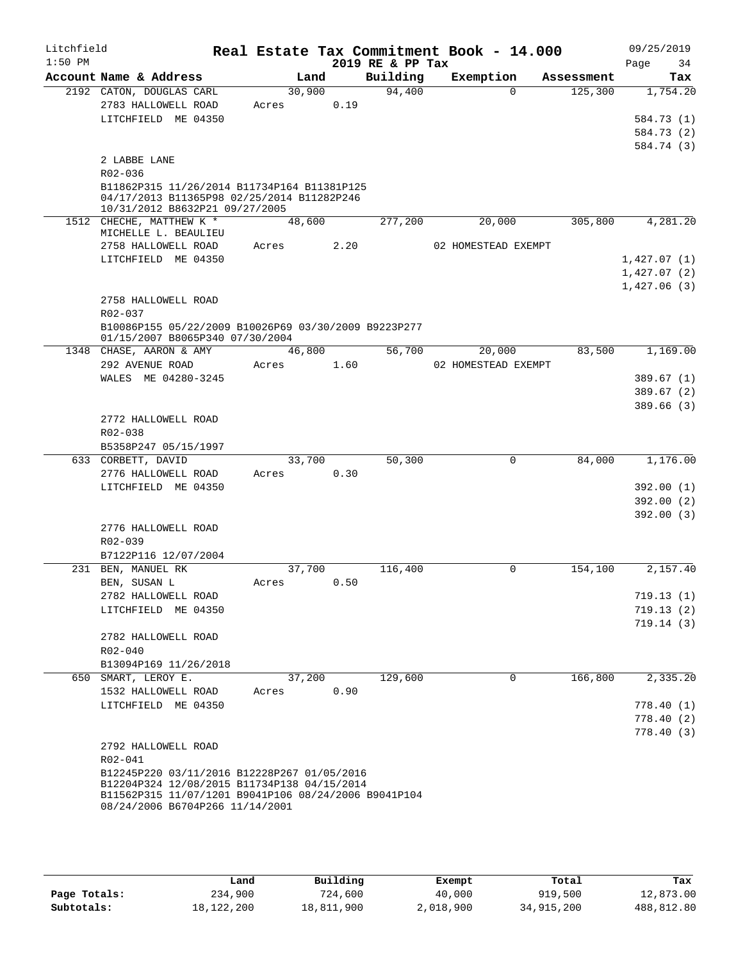| Litchfield<br>$1:50$ PM |                                                                                                     |        |      | 2019 RE & PP Tax | Real Estate Tax Commitment Book - 14.000 |            | 09/25/2019<br>34<br>Page |
|-------------------------|-----------------------------------------------------------------------------------------------------|--------|------|------------------|------------------------------------------|------------|--------------------------|
|                         | Account Name & Address                                                                              | Land   |      | Building         | Exemption                                | Assessment | Tax                      |
|                         | 2192 CATON, DOUGLAS CARL                                                                            | 30,900 |      | 94,400           | $\Omega$                                 | 125,300    | 1,754.20                 |
|                         | 2783 HALLOWELL ROAD                                                                                 | Acres  | 0.19 |                  |                                          |            |                          |
|                         | LITCHFIELD ME 04350                                                                                 |        |      |                  |                                          |            | 584.73 (1)               |
|                         |                                                                                                     |        |      |                  |                                          |            | 584.73 (2)               |
|                         |                                                                                                     |        |      |                  |                                          |            | 584.74 (3)               |
|                         | 2 LABBE LANE<br>R02-036                                                                             |        |      |                  |                                          |            |                          |
|                         | B11862P315 11/26/2014 B11734P164 B11381P125                                                         |        |      |                  |                                          |            |                          |
|                         | 04/17/2013 B11365P98 02/25/2014 B11282P246                                                          |        |      |                  |                                          |            |                          |
|                         | 10/31/2012 B8632P21 09/27/2005                                                                      |        |      |                  |                                          |            |                          |
|                         | 1512 CHECHE, MATTHEW K *<br>MICHELLE L. BEAULIEU                                                    | 48,600 |      | 277,200          | 20,000                                   | 305,800    | 4,281.20                 |
|                         | 2758 HALLOWELL ROAD                                                                                 | Acres  | 2.20 |                  | 02 HOMESTEAD EXEMPT                      |            |                          |
|                         | LITCHFIELD ME 04350                                                                                 |        |      |                  |                                          |            | 1,427.07(1)              |
|                         |                                                                                                     |        |      |                  |                                          |            | 1,427.07(2)              |
|                         |                                                                                                     |        |      |                  |                                          |            | 1,427.06(3)              |
|                         | 2758 HALLOWELL ROAD                                                                                 |        |      |                  |                                          |            |                          |
|                         | $R02 - 037$                                                                                         |        |      |                  |                                          |            |                          |
|                         | B10086P155 05/22/2009 B10026P69 03/30/2009 B9223P277                                                |        |      |                  |                                          |            |                          |
|                         | 01/15/2007 B8065P340 07/30/2004<br>1348 CHASE, AARON & AMY                                          | 46,800 |      | 56,700           | 20,000                                   | 83,500     | 1,169.00                 |
|                         | 292 AVENUE ROAD                                                                                     | Acres  | 1.60 |                  | 02 HOMESTEAD EXEMPT                      |            |                          |
|                         | WALES ME 04280-3245                                                                                 |        |      |                  |                                          |            | 389.67(1)                |
|                         |                                                                                                     |        |      |                  |                                          |            | 389.67(2)                |
|                         |                                                                                                     |        |      |                  |                                          |            | 389.66(3)                |
|                         | 2772 HALLOWELL ROAD                                                                                 |        |      |                  |                                          |            |                          |
|                         | R02-038                                                                                             |        |      |                  |                                          |            |                          |
|                         | B5358P247 05/15/1997                                                                                |        |      |                  |                                          |            |                          |
|                         | 633 CORBETT, DAVID                                                                                  | 33,700 |      | 50,300           | $\mathbf 0$                              | 84,000     | 1,176.00                 |
|                         | 2776 HALLOWELL ROAD                                                                                 | Acres  | 0.30 |                  |                                          |            |                          |
|                         | LITCHFIELD ME 04350                                                                                 |        |      |                  |                                          |            | 392.00(1)                |
|                         |                                                                                                     |        |      |                  |                                          |            | 392.00(2)<br>392.00(3)   |
|                         | 2776 HALLOWELL ROAD                                                                                 |        |      |                  |                                          |            |                          |
|                         | R02-039                                                                                             |        |      |                  |                                          |            |                          |
|                         | B7122P116 12/07/2004                                                                                |        |      |                  |                                          |            |                          |
|                         | 231 BEN, MANUEL RK                                                                                  | 37,700 |      | 116,400          | 0                                        | 154,100    | 2,157.40                 |
|                         | BEN, SUSAN L                                                                                        | Acres  | 0.50 |                  |                                          |            |                          |
|                         | 2782 HALLOWELL ROAD                                                                                 |        |      |                  |                                          |            | 719.13(1)                |
|                         | LITCHFIELD ME 04350                                                                                 |        |      |                  |                                          |            | 719.13(2)                |
|                         |                                                                                                     |        |      |                  |                                          |            | 719.14(3)                |
|                         | 2782 HALLOWELL ROAD                                                                                 |        |      |                  |                                          |            |                          |
|                         | $R02 - 040$<br>B13094P169 11/26/2018                                                                |        |      |                  |                                          |            |                          |
|                         | 650 SMART, LEROY E.                                                                                 | 37,200 |      | 129,600          | $\mathbf 0$                              | 166,800    | 2,335.20                 |
|                         | 1532 HALLOWELL ROAD                                                                                 | Acres  | 0.90 |                  |                                          |            |                          |
|                         | LITCHFIELD ME 04350                                                                                 |        |      |                  |                                          |            | 778.40(1)                |
|                         |                                                                                                     |        |      |                  |                                          |            | 778.40 (2)               |
|                         |                                                                                                     |        |      |                  |                                          |            | 778.40(3)                |
|                         | 2792 HALLOWELL ROAD                                                                                 |        |      |                  |                                          |            |                          |
|                         | R02-041                                                                                             |        |      |                  |                                          |            |                          |
|                         | B12245P220 03/11/2016 B12228P267 01/05/2016                                                         |        |      |                  |                                          |            |                          |
|                         | B12204P324 12/08/2015 B11734P138 04/15/2014<br>B11562P315 11/07/1201 B9041P106 08/24/2006 B9041P104 |        |      |                  |                                          |            |                          |
|                         | 08/24/2006 B6704P266 11/14/2001                                                                     |        |      |                  |                                          |            |                          |
|                         |                                                                                                     |        |      |                  |                                          |            |                          |

|              | Land       | Building   | Exempt    | Total      | Tax        |
|--------------|------------|------------|-----------|------------|------------|
| Page Totals: | 234,900    | 724,600    | 40,000    | 919,500    | 12,873.00  |
| Subtotals:   | 18,122,200 | 18,811,900 | 2,018,900 | 34,915,200 | 488,812.80 |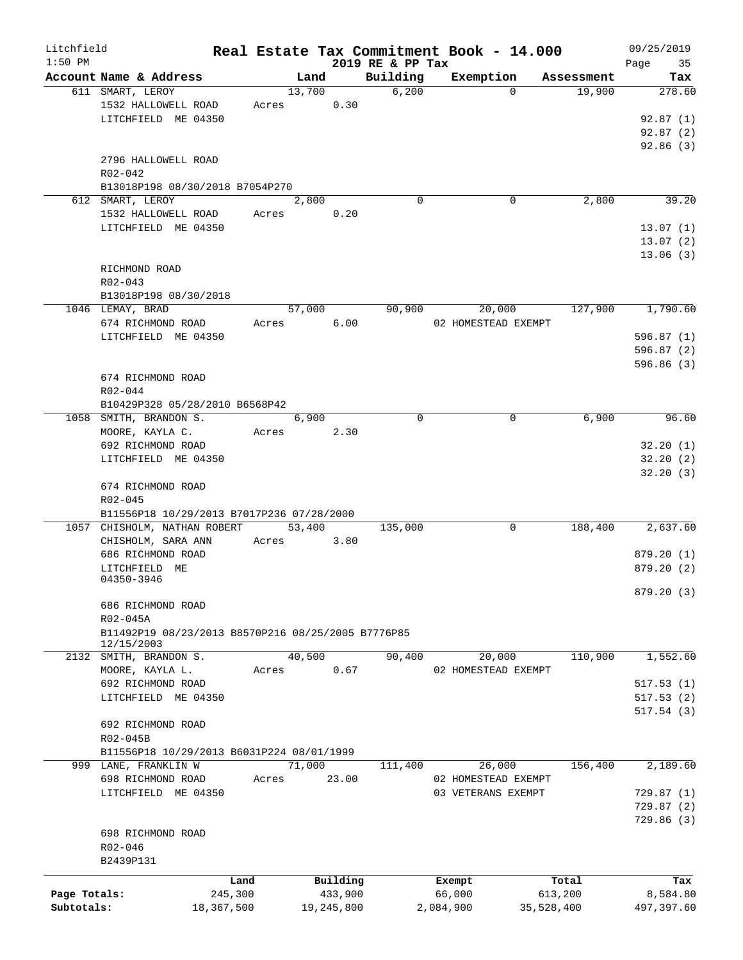| Litchfield   |                                                    |            |                |            |                   | Real Estate Tax Commitment Book - 14.000 |             |                      | 09/25/2019    |
|--------------|----------------------------------------------------|------------|----------------|------------|-------------------|------------------------------------------|-------------|----------------------|---------------|
| $1:50$ PM    | Account Name & Address                             |            |                |            | 2019 RE & PP Tax  | Exemption                                |             |                      | 35<br>Page    |
|              | 611 SMART, LEROY                                   |            | Land<br>13,700 |            | Building<br>6,200 |                                          | $\Omega$    | Assessment<br>19,900 | Tax<br>278.60 |
|              |                                                    |            |                |            |                   |                                          |             |                      |               |
|              | 1532 HALLOWELL ROAD                                | Acres      |                | 0.30       |                   |                                          |             |                      |               |
|              | LITCHFIELD ME 04350                                |            |                |            |                   |                                          |             |                      | 92.87(1)      |
|              |                                                    |            |                |            |                   |                                          |             |                      | 92.87(2)      |
|              |                                                    |            |                |            |                   |                                          |             |                      | 92.86(3)      |
|              | 2796 HALLOWELL ROAD                                |            |                |            |                   |                                          |             |                      |               |
|              | R02-042                                            |            |                |            |                   |                                          |             |                      |               |
|              | B13018P198 08/30/2018 B7054P270                    |            |                |            |                   |                                          |             |                      |               |
|              | 612 SMART, LEROY                                   |            | 2,800          |            | $\Omega$          |                                          | $\mathbf 0$ | 2,800                | 39.20         |
|              | 1532 HALLOWELL ROAD                                | Acres      |                | 0.20       |                   |                                          |             |                      |               |
|              | LITCHFIELD ME 04350                                |            |                |            |                   |                                          |             |                      | 13.07(1)      |
|              |                                                    |            |                |            |                   |                                          |             |                      | 13.07(2)      |
|              |                                                    |            |                |            |                   |                                          |             |                      | 13.06(3)      |
|              | RICHMOND ROAD                                      |            |                |            |                   |                                          |             |                      |               |
|              | $R02 - 043$                                        |            |                |            |                   |                                          |             |                      |               |
|              | B13018P198 08/30/2018                              |            |                |            |                   |                                          |             |                      |               |
|              | 1046 LEMAY, BRAD                                   |            | 57,000         |            | 90,900            | 20,000                                   |             | 127,900              | 1,790.60      |
|              | 674 RICHMOND ROAD                                  | Acres      |                | 6.00       |                   | 02 HOMESTEAD EXEMPT                      |             |                      |               |
|              | LITCHFIELD ME 04350                                |            |                |            |                   |                                          |             |                      | 596.87(1)     |
|              |                                                    |            |                |            |                   |                                          |             |                      | 596.87(2)     |
|              |                                                    |            |                |            |                   |                                          |             |                      | 596.86(3)     |
|              |                                                    |            |                |            |                   |                                          |             |                      |               |
|              | 674 RICHMOND ROAD                                  |            |                |            |                   |                                          |             |                      |               |
|              | R02-044                                            |            |                |            |                   |                                          |             |                      |               |
|              | B10429P328 05/28/2010 B6568P42                     |            |                |            |                   |                                          |             |                      |               |
| 1058         | SMITH, BRANDON S.                                  |            | 6,900          |            | $\mathbf 0$       |                                          | $\mathbf 0$ | 6,900                | 96.60         |
|              | MOORE, KAYLA C.                                    | Acres      |                | 2.30       |                   |                                          |             |                      |               |
|              | 692 RICHMOND ROAD                                  |            |                |            |                   |                                          |             |                      | 32.20(1)      |
|              | LITCHFIELD ME 04350                                |            |                |            |                   |                                          |             |                      | 32.20(2)      |
|              |                                                    |            |                |            |                   |                                          |             |                      | 32.20(3)      |
|              | 674 RICHMOND ROAD                                  |            |                |            |                   |                                          |             |                      |               |
|              | $R02 - 045$                                        |            |                |            |                   |                                          |             |                      |               |
|              | B11556P18 10/29/2013 B7017P236 07/28/2000          |            |                |            |                   |                                          |             |                      |               |
|              | 1057 CHISHOLM, NATHAN ROBERT                       |            | 53,400         |            | 135,000           |                                          | 0           | 188,400              | 2,637.60      |
|              | CHISHOLM, SARA ANN                                 | Acres      |                | 3.80       |                   |                                          |             |                      |               |
|              | 686 RICHMOND ROAD                                  |            |                |            |                   |                                          |             |                      | 879.20(1)     |
|              | LITCHFIELD ME                                      |            |                |            |                   |                                          |             |                      | 879.20(2)     |
|              | 04350-3946                                         |            |                |            |                   |                                          |             |                      |               |
|              |                                                    |            |                |            |                   |                                          |             |                      | 879.20 (3)    |
|              | 686 RICHMOND ROAD                                  |            |                |            |                   |                                          |             |                      |               |
|              | R02-045A                                           |            |                |            |                   |                                          |             |                      |               |
|              | B11492P19 08/23/2013 B8570P216 08/25/2005 B7776P85 |            |                |            |                   |                                          |             |                      |               |
|              | 12/15/2003                                         |            |                |            |                   |                                          |             |                      |               |
| 2132         | SMITH, BRANDON S.                                  |            | 40,500         |            | 90,400            | 20,000                                   |             | 110,900              | 1,552.60      |
|              | MOORE, KAYLA L.                                    | Acres      |                | 0.67       |                   | 02 HOMESTEAD EXEMPT                      |             |                      |               |
|              | 692 RICHMOND ROAD                                  |            |                |            |                   |                                          |             |                      | 517.53(1)     |
|              | LITCHFIELD ME 04350                                |            |                |            |                   |                                          |             |                      | 517.53(2)     |
|              |                                                    |            |                |            |                   |                                          |             |                      | 517.54(3)     |
|              | 692 RICHMOND ROAD                                  |            |                |            |                   |                                          |             |                      |               |
|              | R02-045B                                           |            |                |            |                   |                                          |             |                      |               |
|              | B11556P18 10/29/2013 B6031P224 08/01/1999          |            |                |            |                   |                                          |             |                      |               |
|              |                                                    |            |                |            |                   |                                          |             |                      | 2,189.60      |
|              | 999 LANE, FRANKLIN W                               |            | 71,000         |            | 111,400           | 26,000                                   |             | 156,400              |               |
|              | 698 RICHMOND ROAD                                  | Acres      |                | 23.00      |                   | 02 HOMESTEAD EXEMPT                      |             |                      |               |
|              | LITCHFIELD ME 04350                                |            |                |            |                   | 03 VETERANS EXEMPT                       |             |                      | 729.87 (1)    |
|              |                                                    |            |                |            |                   |                                          |             |                      | 729.87 (2)    |
|              |                                                    |            |                |            |                   |                                          |             |                      | 729.86 (3)    |
|              | 698 RICHMOND ROAD                                  |            |                |            |                   |                                          |             |                      |               |
|              | R02-046                                            |            |                |            |                   |                                          |             |                      |               |
|              | B2439P131                                          |            |                |            |                   |                                          |             |                      |               |
|              |                                                    | Land       |                | Building   |                   | Exempt                                   |             | Total                | Tax           |
| Page Totals: |                                                    | 245,300    |                | 433,900    |                   | 66,000                                   |             | 613,200              | 8,584.80      |
| Subtotals:   |                                                    | 18,367,500 |                | 19,245,800 |                   | 2,084,900                                | 35,528,400  |                      | 497,397.60    |
|              |                                                    |            |                |            |                   |                                          |             |                      |               |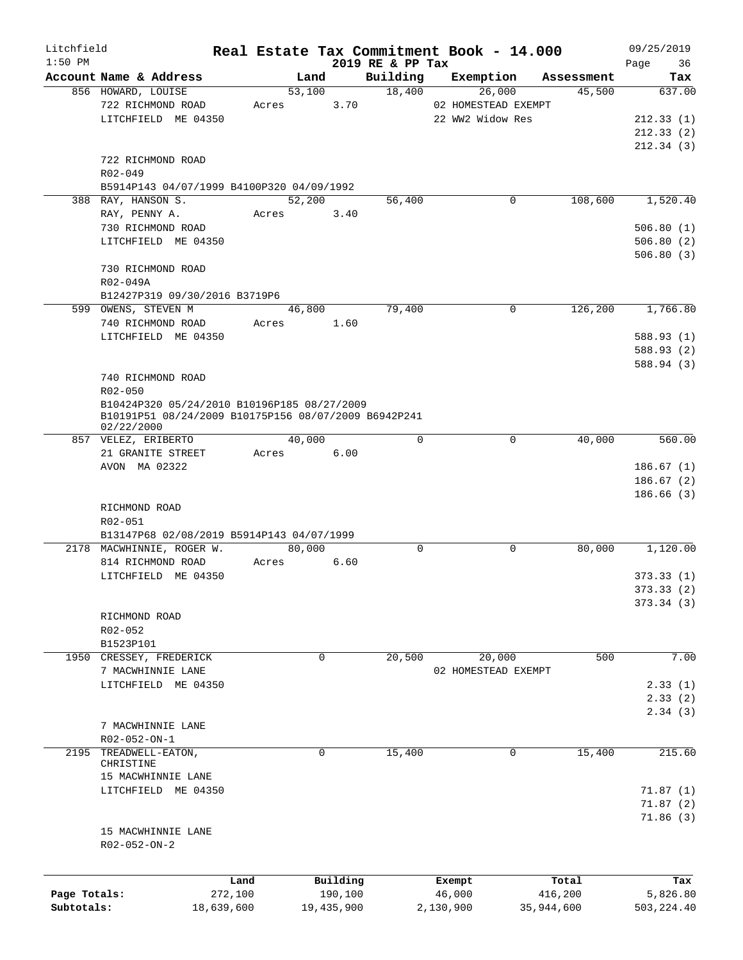| Litchfield   |                                                      |            |        |            |                              | Real Estate Tax Commitment Book - 14.000 |             |            | 09/25/2019        |
|--------------|------------------------------------------------------|------------|--------|------------|------------------------------|------------------------------------------|-------------|------------|-------------------|
| $1:50$ PM    | Account Name & Address                               |            | Land   |            | 2019 RE & PP Tax<br>Building | Exemption                                |             | Assessment | 36<br>Page<br>Tax |
|              | 856 HOWARD, LOUISE                                   |            | 53,100 |            | 18,400                       | 26,000                                   |             | 45,500     | 637.00            |
|              | 722 RICHMOND ROAD                                    | Acres      |        | 3.70       |                              | 02 HOMESTEAD EXEMPT                      |             |            |                   |
|              | LITCHFIELD ME 04350                                  |            |        |            |                              | 22 WW2 Widow Res                         |             |            | 212.33(1)         |
|              |                                                      |            |        |            |                              |                                          |             |            | 212.33(2)         |
|              |                                                      |            |        |            |                              |                                          |             |            | 212.34(3)         |
|              | 722 RICHMOND ROAD                                    |            |        |            |                              |                                          |             |            |                   |
|              | R02-049                                              |            |        |            |                              |                                          |             |            |                   |
|              | B5914P143 04/07/1999 B4100P320 04/09/1992            |            |        |            |                              |                                          |             |            |                   |
|              | 388 RAY, HANSON S.                                   |            | 52,200 |            | 56,400                       |                                          | 0           | 108,600    | 1,520.40          |
|              | RAY, PENNY A.                                        | Acres      |        | 3.40       |                              |                                          |             |            |                   |
|              | 730 RICHMOND ROAD                                    |            |        |            |                              |                                          |             |            | 506.80(1)         |
|              | LITCHFIELD ME 04350                                  |            |        |            |                              |                                          |             |            | 506.80(2)         |
|              |                                                      |            |        |            |                              |                                          |             |            | 506.80(3)         |
|              | 730 RICHMOND ROAD                                    |            |        |            |                              |                                          |             |            |                   |
|              | R02-049A                                             |            |        |            |                              |                                          |             |            |                   |
|              | B12427P319 09/30/2016 B3719P6                        |            |        |            |                              |                                          |             |            |                   |
|              | 599 OWENS, STEVEN M                                  |            | 46,800 |            | 79,400                       |                                          | $\mathbf 0$ | 126,200    | 1,766.80          |
|              | 740 RICHMOND ROAD                                    | Acres      |        | 1.60       |                              |                                          |             |            |                   |
|              | LITCHFIELD ME 04350                                  |            |        |            |                              |                                          |             |            | 588.93 (1)        |
|              |                                                      |            |        |            |                              |                                          |             |            | 588.93 (2)        |
|              |                                                      |            |        |            |                              |                                          |             |            | 588.94 (3)        |
|              | 740 RICHMOND ROAD                                    |            |        |            |                              |                                          |             |            |                   |
|              | R02-050                                              |            |        |            |                              |                                          |             |            |                   |
|              | B10424P320 05/24/2010 B10196P185 08/27/2009          |            |        |            |                              |                                          |             |            |                   |
|              | B10191P51 08/24/2009 B10175P156 08/07/2009 B6942P241 |            |        |            |                              |                                          |             |            |                   |
|              | 02/22/2000                                           |            |        |            |                              |                                          |             |            |                   |
|              | 857 VELEZ, ERIBERTO                                  |            | 40,000 |            | $\mathbf 0$                  |                                          | $\mathbf 0$ | 40,000     | 560.00            |
|              | 21 GRANITE STREET                                    | Acres      |        | 6.00       |                              |                                          |             |            |                   |
|              | AVON MA 02322                                        |            |        |            |                              |                                          |             |            | 186.67(1)         |
|              |                                                      |            |        |            |                              |                                          |             |            | 186.67(2)         |
|              |                                                      |            |        |            |                              |                                          |             |            | 186.66(3)         |
|              | RICHMOND ROAD                                        |            |        |            |                              |                                          |             |            |                   |
|              | R02-051                                              |            |        |            |                              |                                          |             |            |                   |
|              | B13147P68 02/08/2019 B5914P143 04/07/1999            |            |        |            |                              |                                          |             |            |                   |
|              | 2178 MACWHINNIE, ROGER W.                            |            | 80,000 |            | $\mathbf 0$                  |                                          | 0           | 80,000     | 1,120.00          |
|              | 814 RICHMOND ROAD                                    | Acres      |        | 6.60       |                              |                                          |             |            |                   |
|              | LITCHFIELD ME 04350                                  |            |        |            |                              |                                          |             |            | 373.33(1)         |
|              |                                                      |            |        |            |                              |                                          |             |            | 373.33 (2)        |
|              |                                                      |            |        |            |                              |                                          |             |            | 373.34(3)         |
|              | RICHMOND ROAD                                        |            |        |            |                              |                                          |             |            |                   |
|              | R02-052                                              |            |        |            |                              |                                          |             |            |                   |
|              | B1523P101                                            |            |        |            |                              |                                          |             |            |                   |
| 1950         | CRESSEY, FREDERICK                                   |            | 0      |            | 20,500                       | 20,000                                   |             | 500        | 7.00              |
|              | 7 MACWHINNIE LANE                                    |            |        |            |                              | 02 HOMESTEAD EXEMPT                      |             |            |                   |
|              | LITCHFIELD ME 04350                                  |            |        |            |                              |                                          |             |            | 2.33(1)           |
|              |                                                      |            |        |            |                              |                                          |             |            | 2.33(2)           |
|              |                                                      |            |        |            |                              |                                          |             |            | 2.34(3)           |
|              | 7 MACWHINNIE LANE                                    |            |        |            |                              |                                          |             |            |                   |
|              | R02-052-ON-1                                         |            |        |            |                              |                                          |             |            |                   |
| 2195         | TREADWELL-EATON,                                     |            | 0      |            | 15,400                       |                                          | 0           | 15,400     | 215.60            |
|              | CHRISTINE                                            |            |        |            |                              |                                          |             |            |                   |
|              | 15 MACWHINNIE LANE                                   |            |        |            |                              |                                          |             |            |                   |
|              | LITCHFIELD ME 04350                                  |            |        |            |                              |                                          |             |            | 71.87(1)          |
|              |                                                      |            |        |            |                              |                                          |             |            | 71.87(2)          |
|              |                                                      |            |        |            |                              |                                          |             |            | 71.86(3)          |
|              | 15 MACWHINNIE LANE                                   |            |        |            |                              |                                          |             |            |                   |
|              | $R02 - 052 - ON - 2$                                 |            |        |            |                              |                                          |             |            |                   |
|              |                                                      |            |        |            |                              |                                          |             |            |                   |
|              |                                                      | Land       |        | Building   |                              | Exempt                                   |             | Total      | Tax               |
| Page Totals: |                                                      | 272,100    |        | 190,100    |                              | 46,000                                   |             | 416,200    | 5,826.80          |
| Subtotals:   |                                                      | 18,639,600 |        | 19,435,900 |                              | 2,130,900                                |             | 35,944,600 | 503, 224.40       |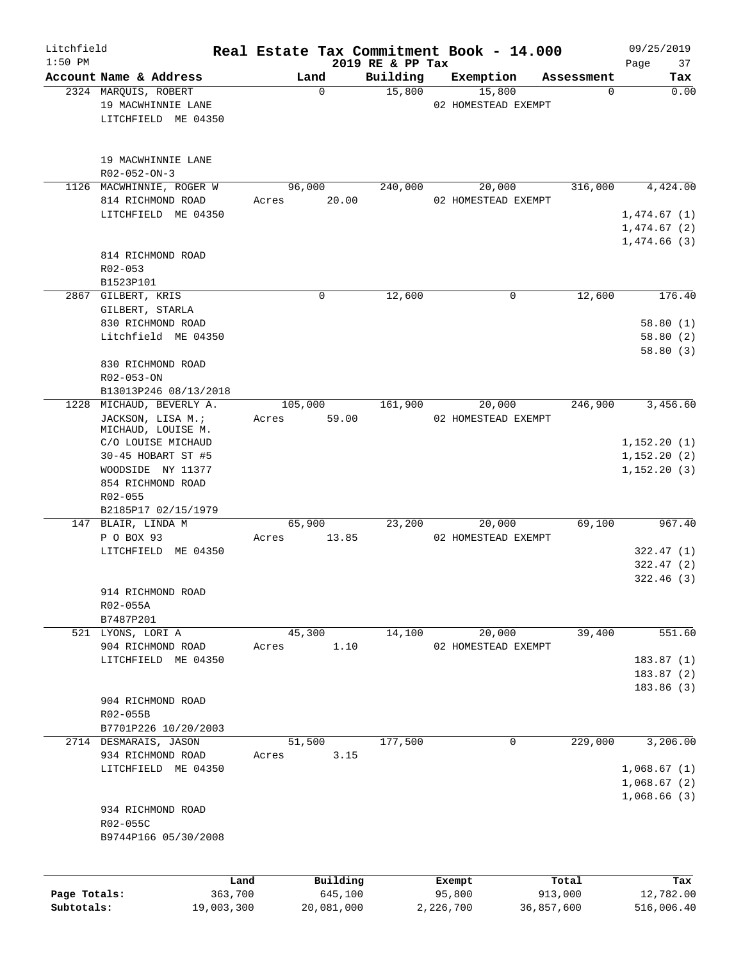| Litchfield<br>$1:50$ PM |                                              |                 |                 |                     | 2019 RE & PP Tax | Real Estate Tax Commitment Book - 14.000 |                  | 09/25/2019<br>Page<br>37 |
|-------------------------|----------------------------------------------|-----------------|-----------------|---------------------|------------------|------------------------------------------|------------------|--------------------------|
|                         | Account Name & Address                       |                 |                 | Land                | Building         | Exemption                                | Assessment       | Tax                      |
|                         | 2324 MARQUIS, ROBERT                         |                 |                 | $\mathbf 0$         | 15,800           | 15,800                                   | 0                | 0.00                     |
|                         | 19 MACWHINNIE LANE                           |                 |                 |                     |                  | 02 HOMESTEAD EXEMPT                      |                  |                          |
|                         | LITCHFIELD ME 04350                          |                 |                 |                     |                  |                                          |                  |                          |
|                         |                                              |                 |                 |                     |                  |                                          |                  |                          |
|                         | 19 MACWHINNIE LANE<br>$R02 - 052 - ON - 3$   |                 |                 |                     |                  |                                          |                  |                          |
|                         | 1126 MACWHINNIE, ROGER W                     |                 | 96,000          |                     | 240,000          | 20,000                                   | 316,000          | 4,424.00                 |
|                         | 814 RICHMOND ROAD                            |                 | Acres           | 20.00               |                  | 02 HOMESTEAD EXEMPT                      |                  |                          |
|                         | LITCHFIELD ME 04350                          |                 |                 |                     |                  |                                          |                  | 1,474.67(1)              |
|                         |                                              |                 |                 |                     |                  |                                          |                  | 1,474.67(2)              |
|                         |                                              |                 |                 |                     |                  |                                          |                  | 1,474.66(3)              |
|                         | 814 RICHMOND ROAD                            |                 |                 |                     |                  |                                          |                  |                          |
|                         | $R02 - 053$                                  |                 |                 |                     |                  |                                          |                  |                          |
|                         | B1523P101                                    |                 |                 |                     |                  |                                          |                  |                          |
|                         | 2867 GILBERT, KRIS                           |                 |                 | 0                   | 12,600           | $\mathbf 0$                              | 12,600           | 176.40                   |
|                         | GILBERT, STARLA                              |                 |                 |                     |                  |                                          |                  |                          |
|                         | 830 RICHMOND ROAD                            |                 |                 |                     |                  |                                          |                  | 58.80(1)                 |
|                         | Litchfield ME 04350                          |                 |                 |                     |                  |                                          |                  | 58.80(2)                 |
|                         |                                              |                 |                 |                     |                  |                                          |                  | 58.80(3)                 |
|                         | 830 RICHMOND ROAD                            |                 |                 |                     |                  |                                          |                  |                          |
|                         | R02-053-ON                                   |                 |                 |                     |                  |                                          |                  |                          |
| 1228                    | B13013P246 08/13/2018<br>MICHAUD, BEVERLY A. |                 | 105,000         |                     | 161,900          | 20,000                                   | 246,900          | 3,456.60                 |
|                         | JACKSON, LISA M.;                            |                 | Acres           | 59.00               |                  | 02 HOMESTEAD EXEMPT                      |                  |                          |
|                         | MICHAUD, LOUISE M.                           |                 |                 |                     |                  |                                          |                  |                          |
|                         | C/O LOUISE MICHAUD                           |                 |                 |                     |                  |                                          |                  | 1,152.20(1)              |
|                         | 30-45 HOBART ST #5                           |                 |                 |                     |                  |                                          |                  | 1,152.20(2)              |
|                         | WOODSIDE NY 11377                            |                 |                 |                     |                  |                                          |                  | 1, 152.20(3)             |
|                         | 854 RICHMOND ROAD                            |                 |                 |                     |                  |                                          |                  |                          |
|                         | R02-055                                      |                 |                 |                     |                  |                                          |                  |                          |
|                         | B2185P17 02/15/1979                          |                 |                 |                     |                  |                                          |                  |                          |
|                         | 147 BLAIR, LINDA M                           |                 |                 | 65,900              | 23,200           | 20,000                                   | 69,100           | 967.40                   |
|                         | P O BOX 93                                   |                 | Acres           | 13.85               |                  | 02 HOMESTEAD EXEMPT                      |                  |                          |
|                         | LITCHFIELD ME 04350                          |                 |                 |                     |                  |                                          |                  | 322.47(1)                |
|                         |                                              |                 |                 |                     |                  |                                          |                  | 322.47(2)                |
|                         |                                              |                 |                 |                     |                  |                                          |                  | 322.46(3)                |
|                         | 914 RICHMOND ROAD                            |                 |                 |                     |                  |                                          |                  |                          |
|                         | R02-055A                                     |                 |                 |                     |                  |                                          |                  |                          |
|                         | B7487P201                                    |                 |                 |                     |                  |                                          |                  |                          |
|                         | 521 LYONS, LORI A                            |                 | 45,300<br>Acres |                     | 14,100           | 20,000                                   | 39,400           | 551.60                   |
|                         | 904 RICHMOND ROAD<br>LITCHFIELD ME 04350     |                 |                 | 1.10                |                  | 02 HOMESTEAD EXEMPT                      |                  | 183.87(1)                |
|                         |                                              |                 |                 |                     |                  |                                          |                  | 183.87(2)                |
|                         |                                              |                 |                 |                     |                  |                                          |                  | 183.86(3)                |
|                         | 904 RICHMOND ROAD                            |                 |                 |                     |                  |                                          |                  |                          |
|                         | R02-055B                                     |                 |                 |                     |                  |                                          |                  |                          |
|                         | B7701P226 10/20/2003                         |                 |                 |                     |                  |                                          |                  |                          |
|                         | 2714 DESMARAIS, JASON                        |                 |                 | 51,500              | 177,500          | 0                                        | 229,000          | 3,206.00                 |
|                         | 934 RICHMOND ROAD                            |                 | Acres           | 3.15                |                  |                                          |                  |                          |
|                         | LITCHFIELD ME 04350                          |                 |                 |                     |                  |                                          |                  | 1,068.67(1)              |
|                         |                                              |                 |                 |                     |                  |                                          |                  | 1,068.67(2)              |
|                         |                                              |                 |                 |                     |                  |                                          |                  | 1,068.66(3)              |
|                         | 934 RICHMOND ROAD                            |                 |                 |                     |                  |                                          |                  |                          |
|                         | R02-055C                                     |                 |                 |                     |                  |                                          |                  |                          |
|                         | B9744P166 05/30/2008                         |                 |                 |                     |                  |                                          |                  |                          |
|                         |                                              |                 |                 |                     |                  |                                          |                  |                          |
| Page Totals:            |                                              | Land<br>363,700 |                 | Building<br>645,100 |                  | Exempt<br>95,800                         | Total<br>913,000 | Tax<br>12,782.00         |
| Subtotals:              |                                              | 19,003,300      |                 | 20,081,000          |                  | 2,226,700                                | 36,857,600       | 516,006.40               |
|                         |                                              |                 |                 |                     |                  |                                          |                  |                          |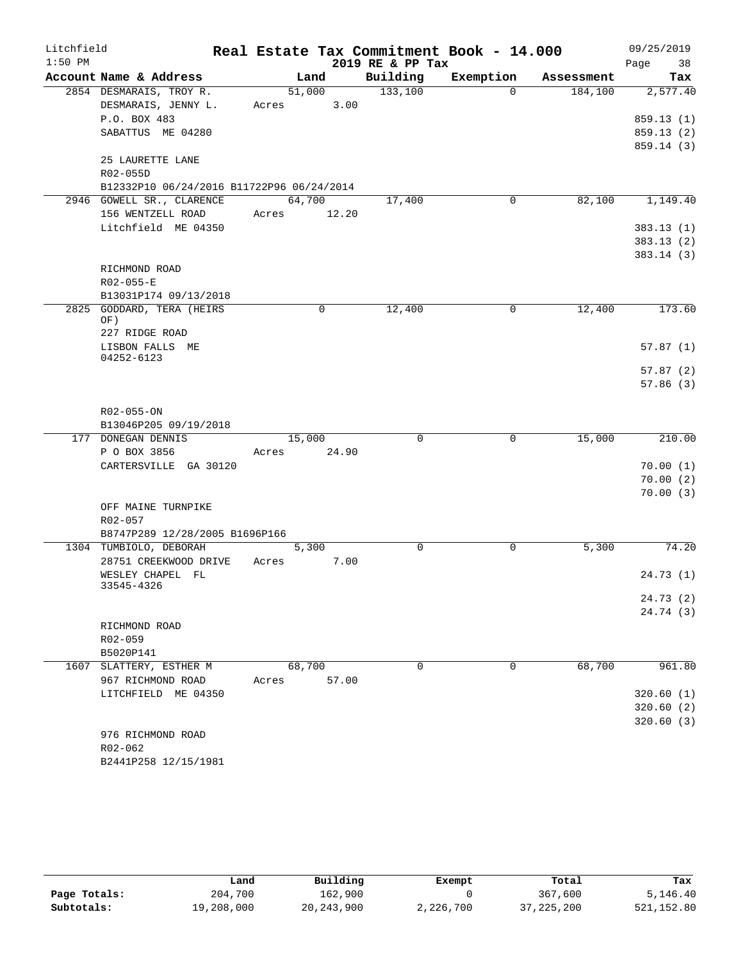| Litchfield |                                                | Real Estate Tax Commitment Book - 14.000 |                  |           |            | 09/25/2019 |
|------------|------------------------------------------------|------------------------------------------|------------------|-----------|------------|------------|
| $1:50$ PM  |                                                |                                          | 2019 RE & PP Tax |           |            | Page<br>38 |
|            | Account Name & Address                         | Land                                     | Building         | Exemption | Assessment | Tax        |
|            | 2854 DESMARAIS, TROY R.<br>DESMARAIS, JENNY L. | 51,000<br>3.00                           | 133,100          | $\Omega$  | 184,100    | 2,577.40   |
|            | P.O. BOX 483                                   | Acres                                    |                  |           |            | 859.13(1)  |
|            | SABATTUS ME 04280                              |                                          |                  |           |            | 859.13(2)  |
|            |                                                |                                          |                  |           |            | 859.14 (3) |
|            | 25 LAURETTE LANE                               |                                          |                  |           |            |            |
|            | R02-055D                                       |                                          |                  |           |            |            |
|            | B12332P10 06/24/2016 B11722P96 06/24/2014      |                                          |                  |           |            |            |
|            | 2946 GOWELL SR., CLARENCE                      | 64,700                                   | 17,400           | 0         | 82,100     | 1,149.40   |
|            | 156 WENTZELL ROAD                              | Acres 12.20                              |                  |           |            |            |
|            | Litchfield ME 04350                            |                                          |                  |           |            | 383.13(1)  |
|            |                                                |                                          |                  |           |            | 383.13(2)  |
|            |                                                |                                          |                  |           |            | 383.14(3)  |
|            | RICHMOND ROAD                                  |                                          |                  |           |            |            |
|            | R02-055-E                                      |                                          |                  |           |            |            |
|            | B13031P174 09/13/2018                          |                                          |                  |           |            |            |
|            | 2825 GODDARD, TERA (HEIRS<br>OF)               | 0                                        | 12,400           | 0         | 12,400     | 173.60     |
|            | 227 RIDGE ROAD                                 |                                          |                  |           |            |            |
|            | LISBON FALLS ME<br>04252-6123                  |                                          |                  |           |            | 57.87(1)   |
|            |                                                |                                          |                  |           |            | 57.87(2)   |
|            |                                                |                                          |                  |           |            | 57.86(3)   |
|            |                                                |                                          |                  |           |            |            |
|            | R02-055-ON                                     |                                          |                  |           |            |            |
|            | B13046P205 09/19/2018                          |                                          |                  |           |            |            |
|            | 177 DONEGAN DENNIS                             | 15,000                                   | $\mathbf 0$      | 0         | 15,000     | 210.00     |
|            | P O BOX 3856                                   | 24.90<br>Acres                           |                  |           |            |            |
|            | CARTERSVILLE GA 30120                          |                                          |                  |           |            | 70.00(1)   |
|            |                                                |                                          |                  |           |            | 70.00(2)   |
|            |                                                |                                          |                  |           |            | 70.00(3)   |
|            | OFF MAINE TURNPIKE                             |                                          |                  |           |            |            |
|            | R02-057                                        |                                          |                  |           |            |            |
|            | B8747P289 12/28/2005 B1696P166                 |                                          |                  |           |            |            |
|            | 1304 TUMBIOLO, DEBORAH                         | 5,300                                    | $\mathbf 0$      | 0         | 5,300      | 74.20      |
|            | 28751 CREEKWOOD DRIVE<br>WESLEY CHAPEL FL      | 7.00<br>Acres                            |                  |           |            | 24.73(1)   |
|            | 33545-4326                                     |                                          |                  |           |            |            |
|            |                                                |                                          |                  |           |            | 24.73(2)   |
|            |                                                |                                          |                  |           |            | 24.74 (3)  |
|            | RICHMOND ROAD                                  |                                          |                  |           |            |            |
|            | R02-059                                        |                                          |                  |           |            |            |
|            | B5020P141                                      |                                          |                  |           |            |            |
|            | 1607 SLATTERY, ESTHER M                        | 68,700                                   | $\Omega$         | 0         | 68,700     | 961.80     |
|            | 967 RICHMOND ROAD                              | 57.00<br>Acres                           |                  |           |            |            |
|            | LITCHFIELD ME 04350                            |                                          |                  |           |            | 320.60(1)  |
|            |                                                |                                          |                  |           |            | 320.60(2)  |
|            |                                                |                                          |                  |           |            | 320.60(3)  |
|            | 976 RICHMOND ROAD                              |                                          |                  |           |            |            |
|            | $R02 - 062$                                    |                                          |                  |           |            |            |
|            | B2441P258 12/15/1981                           |                                          |                  |           |            |            |

|              | Land       | Building     | Exempt    | Total        | Tax         |
|--------------|------------|--------------|-----------|--------------|-------------|
| Page Totals: | 204,700    | 162,900      |           | 367,600      | 5,146.40    |
| Subtotals:   | 19,208,000 | 20, 243, 900 | 2,226,700 | 37, 225, 200 | 521, 152.80 |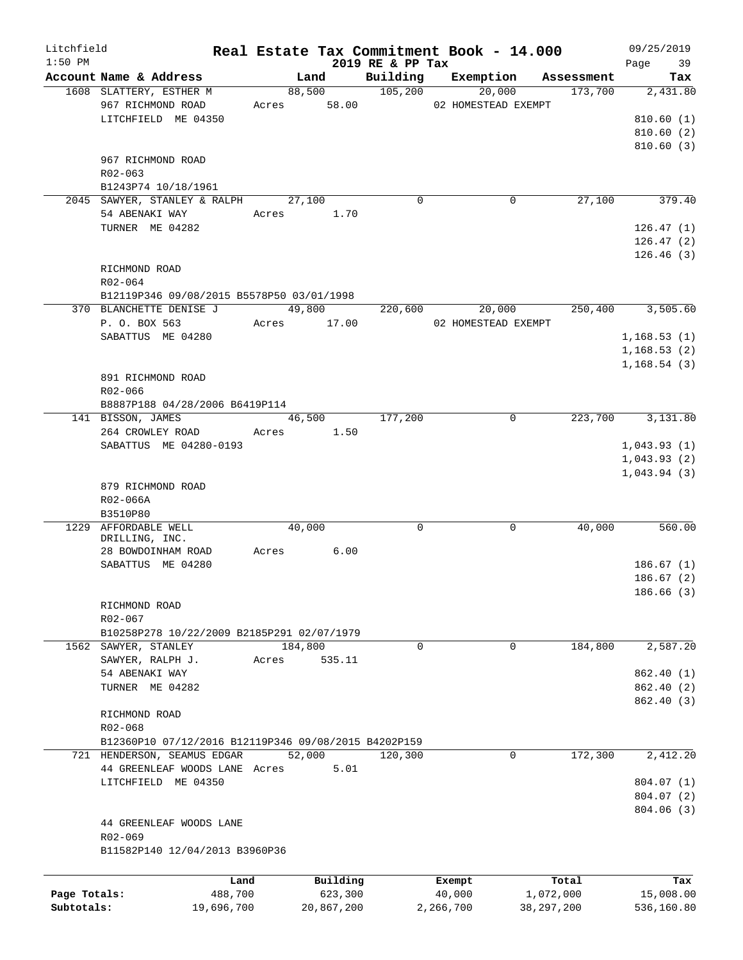| Litchfield   |                                                      |       |               |                      | Real Estate Tax Commitment Book - 14.000 |              |            | 09/25/2019   |
|--------------|------------------------------------------------------|-------|---------------|----------------------|------------------------------------------|--------------|------------|--------------|
| $1:50$ PM    |                                                      |       |               | 2019 RE & PP Tax     |                                          |              |            | Page<br>39   |
|              | Account Name & Address                               |       | Land          | Building             | Exemption                                |              | Assessment | Tax          |
|              | 1608 SLATTERY, ESTHER M                              |       | 88,500        | $\overline{105,200}$ | 20,000                                   |              | 173,700    | 2,431.80     |
|              | 967 RICHMOND ROAD                                    |       | Acres 58.00   |                      | 02 HOMESTEAD EXEMPT                      |              |            |              |
|              | LITCHFIELD ME 04350                                  |       |               |                      |                                          |              |            | 810.60(1)    |
|              |                                                      |       |               |                      |                                          |              |            | 810.60(2)    |
|              |                                                      |       |               |                      |                                          |              |            | 810.60(3)    |
|              | 967 RICHMOND ROAD                                    |       |               |                      |                                          |              |            |              |
|              | R02-063                                              |       |               |                      |                                          |              |            |              |
|              | B1243P74 10/18/1961                                  |       |               |                      |                                          |              |            |              |
|              | 2045 SAWYER, STANLEY & RALPH                         |       | 27,100        | $\mathbf 0$          |                                          | 0            | 27,100     | 379.40       |
|              | 54 ABENAKI WAY                                       |       | Acres 1.70    |                      |                                          |              |            |              |
|              | TURNER ME 04282                                      |       |               |                      |                                          |              |            | 126.47(1)    |
|              |                                                      |       |               |                      |                                          |              |            | 126.47(2)    |
|              |                                                      |       |               |                      |                                          |              |            | 126.46(3)    |
|              | RICHMOND ROAD                                        |       |               |                      |                                          |              |            |              |
|              | R02-064                                              |       |               |                      |                                          |              |            |              |
|              | B12119P346 09/08/2015 B5578P50 03/01/1998            |       |               |                      |                                          |              |            |              |
|              | 370 BLANCHETTE DENISE J                              |       | 49,800        |                      | 20,000<br>220,600                        |              | 250,400    | 3,505.60     |
|              | P. O. BOX 563                                        |       | Acres 17.00   |                      | 02 HOMESTEAD EXEMPT                      |              |            |              |
|              | SABATTUS ME 04280                                    |       |               |                      |                                          |              |            | 1, 168.53(1) |
|              |                                                      |       |               |                      |                                          |              |            | 1, 168.53(2) |
|              |                                                      |       |               |                      |                                          |              |            | 1, 168.54(3) |
|              | 891 RICHMOND ROAD                                    |       |               |                      |                                          |              |            |              |
|              |                                                      |       |               |                      |                                          |              |            |              |
|              | R02-066                                              |       |               |                      |                                          |              |            |              |
|              | B8887P188 04/28/2006 B6419P114                       |       |               |                      |                                          |              |            |              |
|              | 141 BISSON, JAMES                                    |       | 46,500        | 177,200              |                                          | 0            | 223,700    | 3,131.80     |
|              | 264 CROWLEY ROAD                                     |       | Acres 1.50    |                      |                                          |              |            |              |
|              | SABATTUS ME 04280-0193                               |       |               |                      |                                          |              |            | 1,043.93(1)  |
|              |                                                      |       |               |                      |                                          |              |            | 1,043.93(2)  |
|              |                                                      |       |               |                      |                                          |              |            | 1,043.94(3)  |
|              | 879 RICHMOND ROAD                                    |       |               |                      |                                          |              |            |              |
|              | R02-066A                                             |       |               |                      |                                          |              |            |              |
|              | B3510P80                                             |       |               |                      |                                          |              |            |              |
|              | 1229 AFFORDABLE WELL                                 |       | 40,000        | 0                    |                                          | 0            | 40,000     | 560.00       |
|              | DRILLING, INC.                                       |       |               |                      |                                          |              |            |              |
|              | 28 BOWDOINHAM ROAD                                   |       | 6.00<br>Acres |                      |                                          |              |            |              |
|              | SABATTUS ME 04280                                    |       |               |                      |                                          |              |            | 186.67(1)    |
|              |                                                      |       |               |                      |                                          |              |            | 186.67(2)    |
|              |                                                      |       |               |                      |                                          |              |            | 186.66(3)    |
|              | RICHMOND ROAD                                        |       |               |                      |                                          |              |            |              |
|              | R02-067                                              |       |               |                      |                                          |              |            |              |
|              | B10258P278 10/22/2009 B2185P291 02/07/1979           |       |               |                      |                                          |              |            |              |
|              | 1562 SAWYER, STANLEY                                 |       | 184,800       | 0                    |                                          | 0            | 184,800    | 2,587.20     |
|              | SAWYER, RALPH J.                                     | Acres | 535.11        |                      |                                          |              |            |              |
|              | 54 ABENAKI WAY                                       |       |               |                      |                                          |              |            | 862.40 (1)   |
|              | TURNER ME 04282                                      |       |               |                      |                                          |              |            | 862.40 (2)   |
|              |                                                      |       |               |                      |                                          |              |            | 862.40 (3)   |
|              | RICHMOND ROAD                                        |       |               |                      |                                          |              |            |              |
|              |                                                      |       |               |                      |                                          |              |            |              |
|              | R02-068                                              |       |               |                      |                                          |              |            |              |
|              | B12360P10 07/12/2016 B12119P346 09/08/2015 B4202P159 |       |               |                      |                                          |              |            |              |
|              | 721 HENDERSON, SEAMUS EDGAR                          |       | 52,000        | 120,300              |                                          | $\mathbf 0$  | 172,300    | 2,412.20     |
|              | 44 GREENLEAF WOODS LANE Acres                        |       | 5.01          |                      |                                          |              |            |              |
|              | LITCHFIELD ME 04350                                  |       |               |                      |                                          |              |            | 804.07 (1)   |
|              |                                                      |       |               |                      |                                          |              |            | 804.07 (2)   |
|              |                                                      |       |               |                      |                                          |              |            | 804.06 (3)   |
|              | 44 GREENLEAF WOODS LANE                              |       |               |                      |                                          |              |            |              |
|              | R02-069                                              |       |               |                      |                                          |              |            |              |
|              | B11582P140 12/04/2013 B3960P36                       |       |               |                      |                                          |              |            |              |
|              |                                                      |       |               |                      |                                          |              |            |              |
|              | Land                                                 |       | Building      |                      | Exempt                                   | Total        |            | Tax          |
| Page Totals: | 488,700                                              |       | 623,300       |                      | 40,000                                   | 1,072,000    |            | 15,008.00    |
| Subtotals:   | 19,696,700                                           |       | 20,867,200    |                      | 2,266,700                                | 38, 297, 200 |            | 536,160.80   |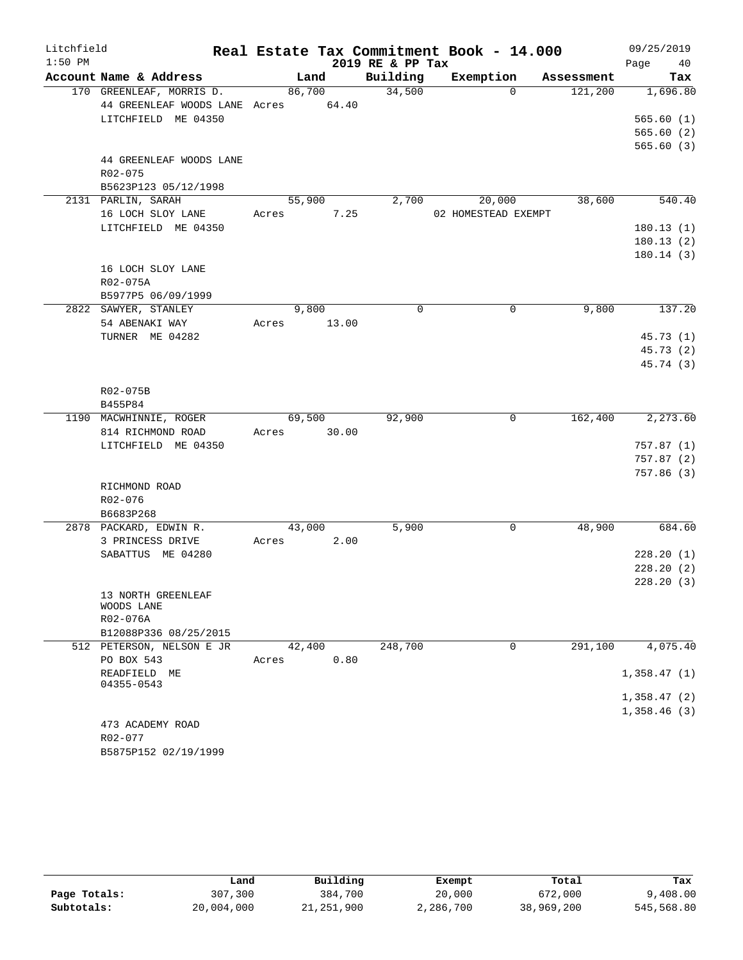| Litchfield |                                                                                        |       |        |       |                  | Real Estate Tax Commitment Book - 14.000 |            | 09/25/2019                         |
|------------|----------------------------------------------------------------------------------------|-------|--------|-------|------------------|------------------------------------------|------------|------------------------------------|
| $1:50$ PM  |                                                                                        |       |        |       | 2019 RE & PP Tax |                                          |            | 40<br>Page                         |
|            | Account Name & Address                                                                 |       | Land   |       | Building         | Exemption                                | Assessment | Tax                                |
|            | 170 GREENLEAF, MORRIS D.<br>44 GREENLEAF WOODS LANE Acres 64.40<br>LITCHFIELD ME 04350 |       | 86,700 |       | 34,500           | $\Omega$                                 | 121,200    | 1,696.80<br>565.60(1)<br>565.60(2) |
|            | 44 GREENLEAF WOODS LANE<br>R02-075<br>B5623P123 05/12/1998                             |       |        |       |                  |                                          |            | 565.60(3)                          |
|            | 2131 PARLIN, SARAH                                                                     |       | 55,900 |       | 2,700            | 20,000                                   | 38,600     | 540.40                             |
|            | 16 LOCH SLOY LANE                                                                      | Acres |        | 7.25  |                  | 02 HOMESTEAD EXEMPT                      |            |                                    |
|            | LITCHFIELD ME 04350                                                                    |       |        |       |                  |                                          |            | 180.13(1)                          |
|            |                                                                                        |       |        |       |                  |                                          |            | 180.13(2)                          |
|            | 16 LOCH SLOY LANE<br>R02-075A<br>B5977P5 06/09/1999                                    |       |        |       |                  |                                          |            | 180.14(3)                          |
|            | 2822 SAWYER, STANLEY                                                                   |       | 9,800  |       | $\Omega$         | 0                                        | 9,800      | 137.20                             |
|            | 54 ABENAKI WAY                                                                         | Acres |        | 13.00 |                  |                                          |            |                                    |
|            | TURNER ME 04282                                                                        |       |        |       |                  |                                          |            | 45.73(1)                           |
|            |                                                                                        |       |        |       |                  |                                          |            | 45.73 (2)                          |
|            |                                                                                        |       |        |       |                  |                                          |            | 45.74 (3)                          |
|            |                                                                                        |       |        |       |                  |                                          |            |                                    |
|            | R02-075B                                                                               |       |        |       |                  |                                          |            |                                    |
|            | B455P84<br>1190 MACWHINNIE, ROGER                                                      |       | 69,500 |       | 92,900           | 0                                        | 162,400    | 2,273.60                           |
|            | 814 RICHMOND ROAD                                                                      | Acres |        | 30.00 |                  |                                          |            |                                    |
|            | LITCHFIELD ME 04350                                                                    |       |        |       |                  |                                          |            | 757.87(1)                          |
|            |                                                                                        |       |        |       |                  |                                          |            | 757.87(2)                          |
|            |                                                                                        |       |        |       |                  |                                          |            | 757.86(3)                          |
|            | RICHMOND ROAD                                                                          |       |        |       |                  |                                          |            |                                    |
|            | R02-076                                                                                |       |        |       |                  |                                          |            |                                    |
|            | B6683P268                                                                              |       |        |       |                  |                                          |            |                                    |
|            | 2878 PACKARD, EDWIN R.                                                                 |       | 43,000 |       | 5,900            | 0                                        | 48,900     | 684.60                             |
|            | 3 PRINCESS DRIVE                                                                       | Acres |        | 2.00  |                  |                                          |            |                                    |
|            | SABATTUS ME 04280                                                                      |       |        |       |                  |                                          |            | 228.20(1)                          |
|            |                                                                                        |       |        |       |                  |                                          |            | 228.20(2)                          |
|            | 13 NORTH GREENLEAF<br>WOODS LANE                                                       |       |        |       |                  |                                          |            | 228.20(3)                          |
|            | R02-076A                                                                               |       |        |       |                  |                                          |            |                                    |
|            | B12088P336 08/25/2015                                                                  |       |        |       |                  |                                          |            |                                    |
|            | 512 PETERSON, NELSON E JR                                                              |       | 42,400 |       | 248,700          | $\mathbf 0$                              | 291,100    | 4,075.40                           |
|            | PO BOX 543                                                                             | Acres |        | 0.80  |                  |                                          |            |                                    |
|            | READFIELD ME                                                                           |       |        |       |                  |                                          |            | 1,358.47(1)                        |
|            | 04355-0543                                                                             |       |        |       |                  |                                          |            |                                    |
|            |                                                                                        |       |        |       |                  |                                          |            | 1,358.47(2)<br>1,358.46(3)         |
|            | 473 ACADEMY ROAD                                                                       |       |        |       |                  |                                          |            |                                    |
|            | R02-077                                                                                |       |        |       |                  |                                          |            |                                    |
|            | B5875P152 02/19/1999                                                                   |       |        |       |                  |                                          |            |                                    |

|              | Land       | Building   | Exempt    | Total      | Tax        |
|--------------|------------|------------|-----------|------------|------------|
| Page Totals: | 307,300    | 384,700    | 20,000    | 672,000    | 9,408.00   |
| Subtotals:   | 20,004,000 | 21,251,900 | 2,286,700 | 38,969,200 | 545,568.80 |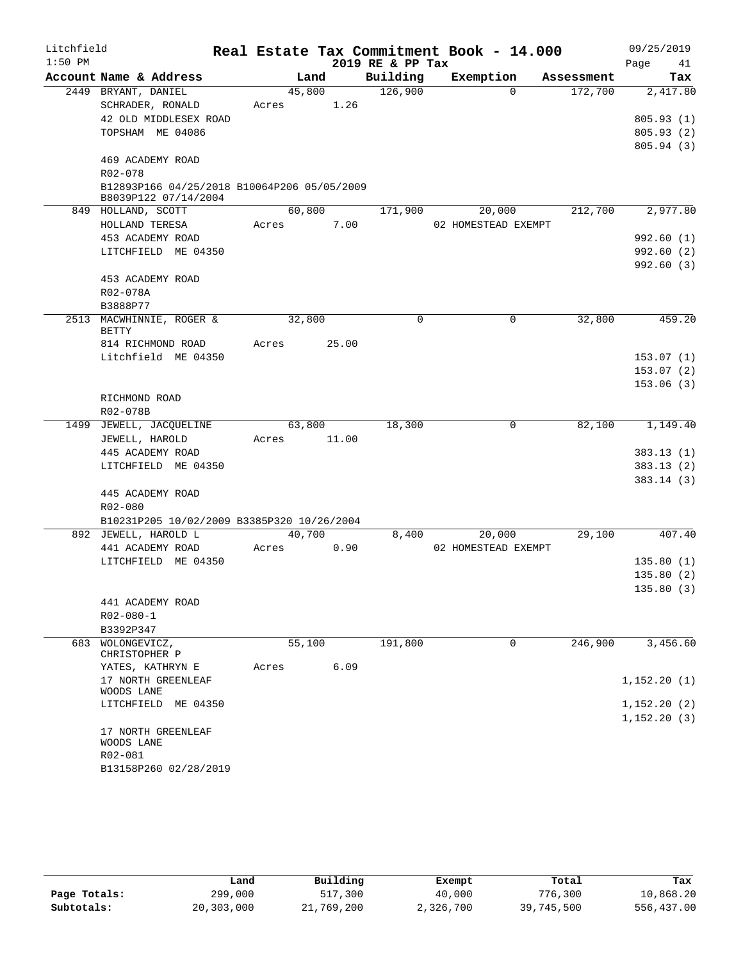| Litchfield |                                                                     |        |      |        |                  | Real Estate Tax Commitment Book - 14.000 |          |            | 09/25/2019  |                       |
|------------|---------------------------------------------------------------------|--------|------|--------|------------------|------------------------------------------|----------|------------|-------------|-----------------------|
| $1:50$ PM  |                                                                     |        |      |        | 2019 RE & PP Tax |                                          |          |            | Page        | 41                    |
|            | Account Name & Address                                              |        | Land |        | Building         | Exemption                                |          | Assessment |             | Tax                   |
|            | 2449 BRYANT, DANIEL                                                 | 45,800 |      |        | 126,900          |                                          | $\Omega$ | 172,700    |             | 2,417.80              |
|            | SCHRADER, RONALD                                                    | Acres  |      | 1.26   |                  |                                          |          |            |             |                       |
|            | 42 OLD MIDDLESEX ROAD                                               |        |      |        |                  |                                          |          |            |             | 805.93(1)             |
|            | TOPSHAM ME 04086                                                    |        |      |        |                  |                                          |          |            |             | 805.93 (2)            |
|            |                                                                     |        |      |        |                  |                                          |          |            |             | 805.94 (3)            |
|            | 469 ACADEMY ROAD                                                    |        |      |        |                  |                                          |          |            |             |                       |
|            | R02-078                                                             |        |      |        |                  |                                          |          |            |             |                       |
|            | B12893P166 04/25/2018 B10064P206 05/05/2009<br>B8039P122 07/14/2004 |        |      |        |                  |                                          |          |            |             |                       |
|            | 849 HOLLAND, SCOTT                                                  |        |      | 60,800 | 171,900          | 20,000                                   |          | 212,700    |             | $\overline{2,977.80}$ |
|            | HOLLAND TERESA                                                      | Acres  |      | 7.00   |                  | 02 HOMESTEAD EXEMPT                      |          |            |             |                       |
|            | 453 ACADEMY ROAD                                                    |        |      |        |                  |                                          |          |            |             | 992.60(1)             |
|            | LITCHFIELD ME 04350                                                 |        |      |        |                  |                                          |          |            |             | 992.60 (2)            |
|            |                                                                     |        |      |        |                  |                                          |          |            |             | 992.60 (3)            |
|            | 453 ACADEMY ROAD                                                    |        |      |        |                  |                                          |          |            |             |                       |
|            | R02-078A                                                            |        |      |        |                  |                                          |          |            |             |                       |
|            | B3888P77                                                            |        |      |        |                  |                                          |          |            |             |                       |
|            | 2513 MACWHINNIE, ROGER &                                            | 32,800 |      |        | $\mathbf 0$      | 0                                        |          | 32,800     |             | 459.20                |
|            | BETTY                                                               |        |      |        |                  |                                          |          |            |             |                       |
|            | 814 RICHMOND ROAD                                                   | Acres  |      | 25.00  |                  |                                          |          |            |             |                       |
|            | Litchfield ME 04350                                                 |        |      |        |                  |                                          |          |            |             | 153.07(1)             |
|            |                                                                     |        |      |        |                  |                                          |          |            |             | 153.07(2)             |
|            |                                                                     |        |      |        |                  |                                          |          |            |             | 153.06(3)             |
|            | RICHMOND ROAD                                                       |        |      |        |                  |                                          |          |            |             |                       |
|            | R02-078B                                                            |        |      |        |                  |                                          |          |            |             |                       |
|            | 1499 JEWELL, JACQUELINE                                             | 63,800 |      |        | 18,300           | 0                                        |          | 82,100     |             | 1,149.40              |
|            | JEWELL, HAROLD                                                      | Acres  |      | 11.00  |                  |                                          |          |            |             |                       |
|            | 445 ACADEMY ROAD                                                    |        |      |        |                  |                                          |          |            |             | 383.13(1)             |
|            | LITCHFIELD ME 04350                                                 |        |      |        |                  |                                          |          |            |             | 383.13(2)             |
|            |                                                                     |        |      |        |                  |                                          |          |            |             | 383.14(3)             |
|            | 445 ACADEMY ROAD                                                    |        |      |        |                  |                                          |          |            |             |                       |
|            | R02-080                                                             |        |      |        |                  |                                          |          |            |             |                       |
|            | B10231P205 10/02/2009 B3385P320 10/26/2004                          |        |      |        |                  |                                          |          |            |             |                       |
|            | 892 JEWELL, HAROLD L                                                | 40,700 |      |        | 8,400            | 20,000                                   |          | 29,100     |             | 407.40                |
|            | 441 ACADEMY ROAD                                                    | Acres  |      | 0.90   |                  | 02 HOMESTEAD EXEMPT                      |          |            |             |                       |
|            | LITCHFIELD ME 04350                                                 |        |      |        |                  |                                          |          |            |             | 135.80(1)             |
|            |                                                                     |        |      |        |                  |                                          |          |            |             | 135.80(2)             |
|            |                                                                     |        |      |        |                  |                                          |          |            |             | 135.80 (3)            |
|            | 441 ACADEMY ROAD                                                    |        |      |        |                  |                                          |          |            |             |                       |
|            | $R02 - 080 - 1$                                                     |        |      |        |                  |                                          |          |            |             |                       |
|            | B3392P347                                                           |        |      |        |                  |                                          |          |            |             |                       |
| 683        | WOLONGEVICZ,                                                        | 55,100 |      |        | 191,800          |                                          | 0        | 246,900    |             | 3,456.60              |
|            | CHRISTOPHER P                                                       |        |      |        |                  |                                          |          |            |             |                       |
|            | YATES, KATHRYN E                                                    | Acres  |      | 6.09   |                  |                                          |          |            |             |                       |
|            | 17 NORTH GREENLEAF<br>WOODS LANE                                    |        |      |        |                  |                                          |          |            | 1,152.20(1) |                       |
|            | LITCHFIELD ME 04350                                                 |        |      |        |                  |                                          |          |            | 1,152.20(2) |                       |
|            |                                                                     |        |      |        |                  |                                          |          |            | 1,152.20(3) |                       |
|            | 17 NORTH GREENLEAF                                                  |        |      |        |                  |                                          |          |            |             |                       |
|            | WOODS LANE                                                          |        |      |        |                  |                                          |          |            |             |                       |
|            | R02-081                                                             |        |      |        |                  |                                          |          |            |             |                       |
|            | B13158P260 02/28/2019                                               |        |      |        |                  |                                          |          |            |             |                       |

|              | Land       | Building   | Exempt    | Total      | Tax        |
|--------------|------------|------------|-----------|------------|------------|
| Page Totals: | 299,000    | 517,300    | 40,000    | 776,300    | 10,868.20  |
| Subtotals:   | 20,303,000 | 21,769,200 | 2,326,700 | 39,745,500 | 556,437.00 |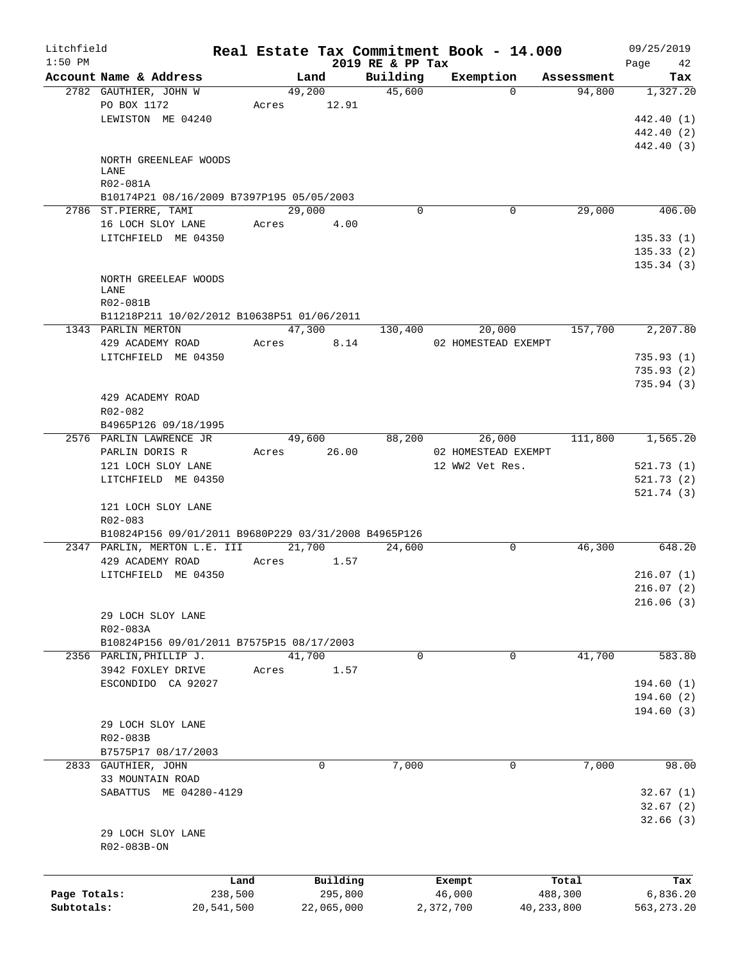| Litchfield   |                                                      |            |                |                              | Real Estate Tax Commitment Book - 14.000 |                      | 09/25/2019        |
|--------------|------------------------------------------------------|------------|----------------|------------------------------|------------------------------------------|----------------------|-------------------|
| $1:50$ PM    | Account Name & Address                               |            |                | 2019 RE & PP Tax<br>Building |                                          |                      | 42<br>Page<br>Tax |
|              | 2782 GAUTHIER, JOHN W                                |            | Land<br>49,200 | 45,600                       | Exemption<br>$\Omega$                    | Assessment<br>94,800 | 1,327.20          |
|              | PO BOX 1172                                          | Acres      | 12.91          |                              |                                          |                      |                   |
|              | LEWISTON ME 04240                                    |            |                |                              |                                          |                      | 442.40 (1)        |
|              |                                                      |            |                |                              |                                          |                      | 442.40 (2)        |
|              |                                                      |            |                |                              |                                          |                      | 442.40 (3)        |
|              | NORTH GREENLEAF WOODS                                |            |                |                              |                                          |                      |                   |
|              | LANE                                                 |            |                |                              |                                          |                      |                   |
|              | R02-081A                                             |            |                |                              |                                          |                      |                   |
|              | B10174P21 08/16/2009 B7397P195 05/05/2003            |            |                |                              |                                          |                      |                   |
|              | 2786 ST.PIERRE, TAMI                                 |            | 29,000         | $\Omega$                     | 0                                        | 29,000               | 406.00            |
|              | 16 LOCH SLOY LANE                                    |            | Acres 4.00     |                              |                                          |                      |                   |
|              | LITCHFIELD ME 04350                                  |            |                |                              |                                          |                      | 135.33(1)         |
|              |                                                      |            |                |                              |                                          |                      | 135.33(2)         |
|              |                                                      |            |                |                              |                                          |                      | 135.34(3)         |
|              | NORTH GREELEAF WOODS                                 |            |                |                              |                                          |                      |                   |
|              | LANE                                                 |            |                |                              |                                          |                      |                   |
|              | R02-081B                                             |            |                |                              |                                          |                      |                   |
|              | B11218P211 10/02/2012 B10638P51 01/06/2011           |            |                |                              |                                          |                      |                   |
|              | 1343 PARLIN MERTON                                   |            | 47,300         | 130,400                      | 20,000                                   | 157,700              | 2,207.80          |
|              | 429 ACADEMY ROAD                                     |            | Acres 8.14     |                              | 02 HOMESTEAD EXEMPT                      |                      |                   |
|              | LITCHFIELD ME 04350                                  |            |                |                              |                                          |                      | 735.93(1)         |
|              |                                                      |            |                |                              |                                          |                      | 735.93(2)         |
|              |                                                      |            |                |                              |                                          |                      | 735.94(3)         |
|              | 429 ACADEMY ROAD                                     |            |                |                              |                                          |                      |                   |
|              | R02-082                                              |            |                |                              |                                          |                      |                   |
|              | B4965P126 09/18/1995                                 |            |                |                              |                                          |                      |                   |
|              | 2576 PARLIN LAWRENCE JR                              |            | 49,600         |                              | 88,200<br>26,000                         | 111,800              | 1,565.20          |
|              | PARLIN DORIS R                                       | Acres      | 26.00          |                              | 02 HOMESTEAD EXEMPT                      |                      |                   |
|              | 121 LOCH SLOY LANE                                   |            |                |                              | 12 WW2 Vet Res.                          |                      | 521.73(1)         |
|              | LITCHFIELD ME 04350                                  |            |                |                              |                                          |                      | 521.73(2)         |
|              |                                                      |            |                |                              |                                          |                      | 521.74(3)         |
|              | 121 LOCH SLOY LANE                                   |            |                |                              |                                          |                      |                   |
|              | R02-083                                              |            |                |                              |                                          |                      |                   |
|              | B10824P156 09/01/2011 B9680P229 03/31/2008 B4965P126 |            |                |                              |                                          |                      |                   |
|              | 2347 PARLIN, MERTON L.E. III                         |            | 21,700         | 24,600                       | 0                                        | 46,300               | 648.20            |
|              | 429 ACADEMY ROAD                                     | Acres      | 1.57           |                              |                                          |                      |                   |
|              | LITCHFIELD ME 04350                                  |            |                |                              |                                          |                      | 216.07(1)         |
|              |                                                      |            |                |                              |                                          |                      | 216.07(2)         |
|              |                                                      |            |                |                              |                                          |                      | 216.06(3)         |
|              | 29 LOCH SLOY LANE                                    |            |                |                              |                                          |                      |                   |
|              | R02-083A                                             |            |                |                              |                                          |                      |                   |
|              | B10824P156 09/01/2011 B7575P15 08/17/2003            |            |                |                              |                                          |                      |                   |
|              | 2356 PARLIN, PHILLIP J.                              |            | 41,700         | 0                            | 0                                        | 41,700               | 583.80            |
|              | 3942 FOXLEY DRIVE                                    | Acres      | 1.57           |                              |                                          |                      |                   |
|              | ESCONDIDO CA 92027                                   |            |                |                              |                                          |                      | 194.60(1)         |
|              |                                                      |            |                |                              |                                          |                      | 194.60(2)         |
|              |                                                      |            |                |                              |                                          |                      | 194.60(3)         |
|              | 29 LOCH SLOY LANE                                    |            |                |                              |                                          |                      |                   |
|              | R02-083B                                             |            |                |                              |                                          |                      |                   |
|              | B7575P17 08/17/2003                                  |            |                |                              |                                          |                      |                   |
|              | 2833 GAUTHIER, JOHN                                  |            | 0              | 7,000                        | 0                                        | 7,000                | 98.00             |
|              | 33 MOUNTAIN ROAD                                     |            |                |                              |                                          |                      |                   |
|              | SABATTUS ME 04280-4129                               |            |                |                              |                                          |                      | 32.67(1)          |
|              |                                                      |            |                |                              |                                          |                      | 32.67(2)          |
|              |                                                      |            |                |                              |                                          |                      | 32.66(3)          |
|              | 29 LOCH SLOY LANE                                    |            |                |                              |                                          |                      |                   |
|              | R02-083B-ON                                          |            |                |                              |                                          |                      |                   |
|              |                                                      |            |                |                              |                                          |                      |                   |
|              |                                                      | Land       | Building       |                              | Exempt                                   | Total                | Tax               |
| Page Totals: |                                                      | 238,500    | 295,800        |                              | 46,000                                   | 488,300              | 6,836.20          |
| Subtotals:   |                                                      | 20,541,500 | 22,065,000     |                              | 2,372,700                                | 40, 233, 800         | 563, 273. 20      |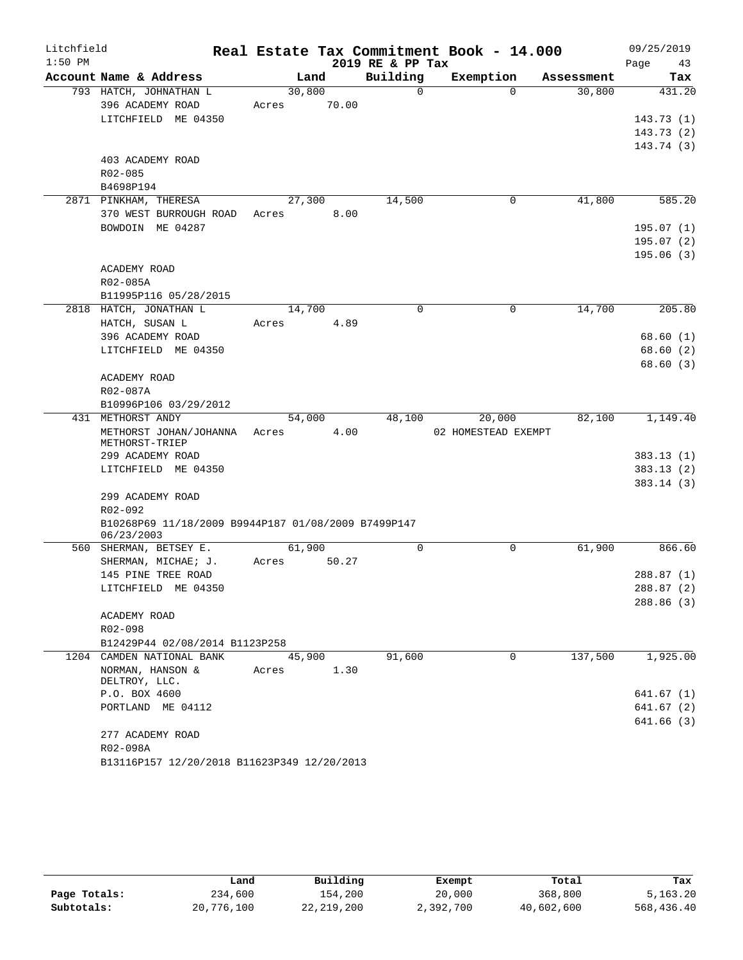| Litchfield |                                                                   |       |        |       |                  | Real Estate Tax Commitment Book - 14.000 |            | 09/25/2019 |
|------------|-------------------------------------------------------------------|-------|--------|-------|------------------|------------------------------------------|------------|------------|
| $1:50$ PM  |                                                                   |       |        |       | 2019 RE & PP Tax |                                          |            | Page<br>43 |
|            | Account Name & Address                                            |       | Land   |       | Building         | Exemption                                | Assessment | Tax        |
|            | 793 HATCH, JOHNATHAN L                                            |       | 30,800 |       | $\Omega$         | $\Omega$                                 | 30,800     | 431.20     |
|            | 396 ACADEMY ROAD                                                  | Acres |        | 70.00 |                  |                                          |            |            |
|            | LITCHFIELD ME 04350                                               |       |        |       |                  |                                          |            | 143.73(1)  |
|            |                                                                   |       |        |       |                  |                                          |            | 143.73(2)  |
|            |                                                                   |       |        |       |                  |                                          |            | 143.74(3)  |
|            | 403 ACADEMY ROAD                                                  |       |        |       |                  |                                          |            |            |
|            | R02-085                                                           |       |        |       |                  |                                          |            |            |
|            | B4698P194                                                         |       |        |       |                  |                                          |            |            |
|            | 2871 PINKHAM, THERESA                                             |       | 27,300 |       | 14,500           | 0                                        | 41,800     | 585.20     |
|            | 370 WEST BURROUGH ROAD                                            | Acres |        | 8.00  |                  |                                          |            |            |
|            | BOWDOIN ME 04287                                                  |       |        |       |                  |                                          |            | 195.07(1)  |
|            |                                                                   |       |        |       |                  |                                          |            | 195.07(2)  |
|            |                                                                   |       |        |       |                  |                                          |            | 195.06(3)  |
|            | ACADEMY ROAD                                                      |       |        |       |                  |                                          |            |            |
|            | R02-085A<br>B11995P116 05/28/2015                                 |       |        |       |                  |                                          |            |            |
|            | 2818 HATCH, JONATHAN L                                            |       | 14,700 |       | $\Omega$         | $\Omega$                                 | 14,700     | 205.80     |
|            | HATCH, SUSAN L                                                    | Acres |        | 4.89  |                  |                                          |            |            |
|            | 396 ACADEMY ROAD                                                  |       |        |       |                  |                                          |            | 68.60(1)   |
|            | LITCHFIELD ME 04350                                               |       |        |       |                  |                                          |            | 68.60(2)   |
|            |                                                                   |       |        |       |                  |                                          |            | 68.60(3)   |
|            | ACADEMY ROAD                                                      |       |        |       |                  |                                          |            |            |
|            | R02-087A                                                          |       |        |       |                  |                                          |            |            |
|            | B10996P106 03/29/2012                                             |       |        |       |                  |                                          |            |            |
|            | 431 METHORST ANDY                                                 |       | 54,000 |       | 48,100           | 20,000                                   | 82,100     | 1,149.40   |
|            | METHORST JOHAN/JOHANNA                                            | Acres |        | 4.00  |                  | 02 HOMESTEAD EXEMPT                      |            |            |
|            | METHORST-TRIEP                                                    |       |        |       |                  |                                          |            |            |
|            | 299 ACADEMY ROAD                                                  |       |        |       |                  |                                          |            | 383.13(1)  |
|            | LITCHFIELD ME 04350                                               |       |        |       |                  |                                          |            | 383.13(2)  |
|            |                                                                   |       |        |       |                  |                                          |            | 383.14(3)  |
|            | 299 ACADEMY ROAD                                                  |       |        |       |                  |                                          |            |            |
|            | R02-092                                                           |       |        |       |                  |                                          |            |            |
|            | B10268P69 11/18/2009 B9944P187 01/08/2009 B7499P147<br>06/23/2003 |       |        |       |                  |                                          |            |            |
|            | 560 SHERMAN, BETSEY E.                                            |       | 61,900 |       | $\mathbf 0$      | 0                                        | 61,900     | 866.60     |
|            | SHERMAN, MICHAE; J.                                               | Acres |        | 50.27 |                  |                                          |            |            |
|            | 145 PINE TREE ROAD                                                |       |        |       |                  |                                          |            | 288.87 (1) |
|            | LITCHFIELD ME 04350                                               |       |        |       |                  |                                          |            | 288.87 (2) |
|            |                                                                   |       |        |       |                  |                                          |            | 288.86(3)  |
|            | ACADEMY ROAD                                                      |       |        |       |                  |                                          |            |            |
|            | R02-098                                                           |       |        |       |                  |                                          |            |            |
|            | B12429P44 02/08/2014 B1123P258                                    |       |        |       |                  |                                          |            |            |
|            | 1204 CAMDEN NATIONAL BANK                                         |       | 45,900 |       | 91,600           | $\Omega$                                 | 137,500    | 1,925.00   |
|            | NORMAN, HANSON &                                                  | Acres |        | 1.30  |                  |                                          |            |            |
|            | DELTROY, LLC.                                                     |       |        |       |                  |                                          |            |            |
|            | P.O. BOX 4600                                                     |       |        |       |                  |                                          |            | 641.67(1)  |
|            | PORTLAND ME 04112                                                 |       |        |       |                  |                                          |            | 641.67(2)  |
|            |                                                                   |       |        |       |                  |                                          |            | 641.66(3)  |
|            | 277 ACADEMY ROAD                                                  |       |        |       |                  |                                          |            |            |
|            | R02-098A                                                          |       |        |       |                  |                                          |            |            |
|            | B13116P157 12/20/2018 B11623P349 12/20/2013                       |       |        |       |                  |                                          |            |            |

|              | Land       | Building     | Exempt    | Total      | Tax        |
|--------------|------------|--------------|-----------|------------|------------|
| Page Totals: | 234,600    | 154,200      | 20,000    | 368,800    | 5,163.20   |
| Subtotals:   | 20,776,100 | 22, 219, 200 | 2,392,700 | 40,602,600 | 568,436.40 |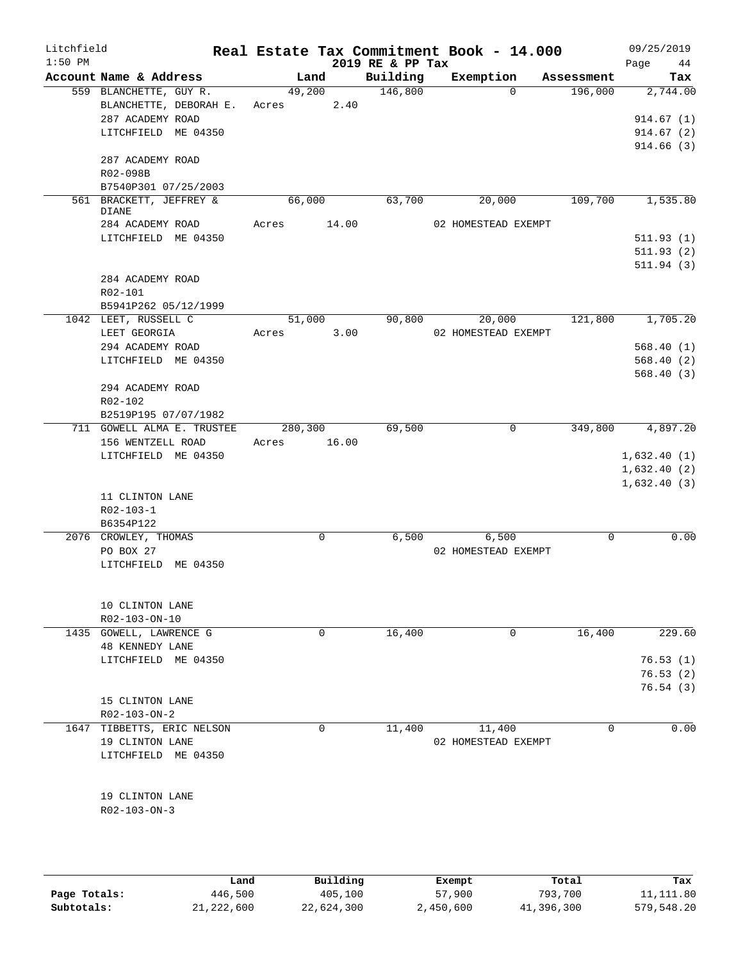| Litchfield<br>$1:50$ PM |                                   |             |             | 2019 RE & PP Tax    | Real Estate Tax Commitment Book - 14.000 |             | 09/25/2019<br>Page<br>44 |
|-------------------------|-----------------------------------|-------------|-------------|---------------------|------------------------------------------|-------------|--------------------------|
|                         | Account Name & Address            |             | Land        | Building            | Exemption                                | Assessment  | Tax                      |
|                         | 559 BLANCHETTE, GUY R.            |             | 49,200      | $\frac{146,800}{ }$ | $\Omega$                                 | 196,000     | 2,744.00                 |
|                         | BLANCHETTE, DEBORAH E. Acres 2.40 |             |             |                     |                                          |             |                          |
|                         | 287 ACADEMY ROAD                  |             |             |                     |                                          |             | 914.67(1)                |
|                         | LITCHFIELD ME 04350               |             |             |                     |                                          |             | 914.67(2)                |
|                         |                                   |             |             |                     |                                          |             | 914.66(3)                |
|                         | 287 ACADEMY ROAD                  |             |             |                     |                                          |             |                          |
|                         | R02-098B                          |             |             |                     |                                          |             |                          |
|                         | B7540P301 07/25/2003              |             |             |                     |                                          |             |                          |
|                         | 561 BRACKETT, JEFFREY &           | 66,000      |             | 63,700              | 20,000                                   | 109,700     | 1,535.80                 |
|                         | DIANE                             |             |             |                     |                                          |             |                          |
|                         | 284 ACADEMY ROAD                  | Acres       | 14.00       |                     | 02 HOMESTEAD EXEMPT                      |             |                          |
|                         | LITCHFIELD ME 04350               |             |             |                     |                                          |             | 511.93(1)                |
|                         |                                   |             |             |                     |                                          |             | 511.93(2)                |
|                         |                                   |             |             |                     |                                          |             | 511.94(3)                |
|                         | 284 ACADEMY ROAD                  |             |             |                     |                                          |             |                          |
|                         | R02-101                           |             |             |                     |                                          |             |                          |
|                         | B5941P262 05/12/1999              |             |             |                     |                                          |             |                          |
|                         | 1042 LEET, RUSSELL C              |             | 51,000      |                     | 90,800<br>20,000                         | 121,800     | 1,705.20                 |
|                         | LEET GEORGIA                      | Acres       | 3.00        |                     | 02 HOMESTEAD EXEMPT                      |             |                          |
|                         | 294 ACADEMY ROAD                  |             |             |                     |                                          |             | 568.40(1)                |
|                         | LITCHFIELD ME 04350               |             |             |                     |                                          |             | 568.40(2)                |
|                         |                                   |             |             |                     |                                          |             | 568.40(3)                |
|                         | 294 ACADEMY ROAD                  |             |             |                     |                                          |             |                          |
|                         | R02-102                           |             |             |                     |                                          |             |                          |
|                         | B2519P195 07/07/1982              |             |             |                     |                                          |             |                          |
|                         | 711 GOWELL ALMA E. TRUSTEE        | 280,300     |             | 69,500              | $\mathbf 0$                              | 349,800     | 4,897.20                 |
|                         | 156 WENTZELL ROAD                 | Acres 16.00 |             |                     |                                          |             |                          |
|                         | LITCHFIELD ME 04350               |             |             |                     |                                          |             | 1,632.40(1)              |
|                         |                                   |             |             |                     |                                          |             | 1,632.40(2)              |
|                         |                                   |             |             |                     |                                          |             | 1,632.40(3)              |
|                         | 11 CLINTON LANE                   |             |             |                     |                                          |             |                          |
|                         | $R02 - 103 - 1$                   |             |             |                     |                                          |             |                          |
|                         | B6354P122                         |             |             |                     |                                          |             |                          |
|                         | 2076 CROWLEY, THOMAS              |             | $\mathbf 0$ | 6,500               | 6,500                                    | $\mathbf 0$ | 0.00                     |
|                         | PO BOX 27                         |             |             |                     | 02 HOMESTEAD EXEMPT                      |             |                          |
|                         | LITCHFIELD ME 04350               |             |             |                     |                                          |             |                          |
|                         |                                   |             |             |                     |                                          |             |                          |
|                         |                                   |             |             |                     |                                          |             |                          |
|                         | 10 CLINTON LANE                   |             |             |                     |                                          |             |                          |
|                         | R02-103-ON-10                     |             |             |                     |                                          |             |                          |
|                         | 1435 GOWELL, LAWRENCE G           |             | 0           | 16,400              | 0                                        | 16,400      | 229.60                   |
|                         | 48 KENNEDY LANE                   |             |             |                     |                                          |             |                          |
|                         | LITCHFIELD ME 04350               |             |             |                     |                                          |             | 76.53(1)                 |
|                         |                                   |             |             |                     |                                          |             | 76.53(2)                 |
|                         |                                   |             |             |                     |                                          |             | 76.54(3)                 |
|                         | 15 CLINTON LANE                   |             |             |                     |                                          |             |                          |
|                         | $R02 - 103 - ON - 2$              |             |             |                     |                                          |             |                          |
|                         | 1647 TIBBETTS, ERIC NELSON        |             | 0           | 11, 400             | 11,400                                   | 0           | 0.00                     |
|                         | 19 CLINTON LANE                   |             |             |                     | 02 HOMESTEAD EXEMPT                      |             |                          |
|                         | LITCHFIELD ME 04350               |             |             |                     |                                          |             |                          |
|                         |                                   |             |             |                     |                                          |             |                          |
|                         |                                   |             |             |                     |                                          |             |                          |
|                         | 19 CLINTON LANE                   |             |             |                     |                                          |             |                          |
|                         | $R02 - 103 - ON - 3$              |             |             |                     |                                          |             |                          |
|                         |                                   |             |             |                     |                                          |             |                          |
|                         |                                   |             |             |                     |                                          |             |                          |

|              | Land       | Building   | Exempt    | Total      | Tax        |
|--------------|------------|------------|-----------|------------|------------|
| Page Totals: | 446,500    | 405,100    | 57,900    | 793,700    | 11,111.80  |
| Subtotals:   | 21,222,600 | 22,624,300 | 2,450,600 | 41,396,300 | 579,548.20 |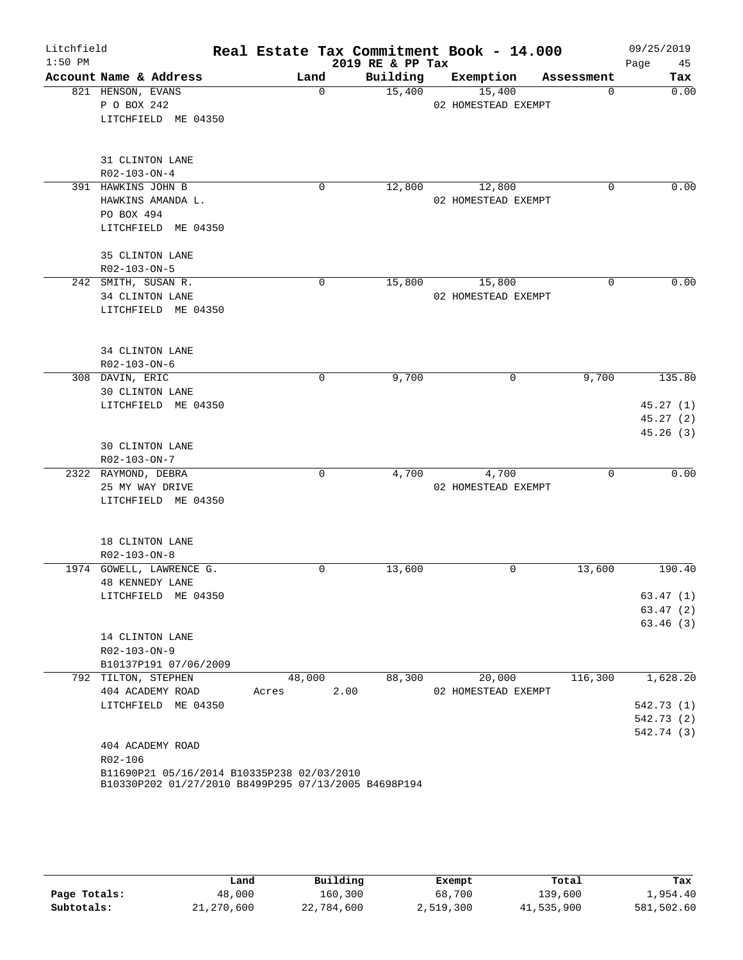| Litchfield |                                                                                                    |               |                  | Real Estate Tax Commitment Book - 14.000 |            | 09/25/2019 |
|------------|----------------------------------------------------------------------------------------------------|---------------|------------------|------------------------------------------|------------|------------|
| $1:50$ PM  |                                                                                                    |               | 2019 RE & PP Tax |                                          |            | Page<br>45 |
|            | Account Name & Address                                                                             | Land          | Building         | Exemption                                | Assessment | Tax        |
|            | 821 HENSON, EVANS                                                                                  | $\mathbf 0$   | 15,400           | 15,400                                   | $\Omega$   | 0.00       |
|            | P O BOX 242                                                                                        |               |                  | 02 HOMESTEAD EXEMPT                      |            |            |
|            | LITCHFIELD ME 04350                                                                                |               |                  |                                          |            |            |
|            | 31 CLINTON LANE                                                                                    |               |                  |                                          |            |            |
|            | R02-103-ON-4                                                                                       |               |                  |                                          |            |            |
|            | 391 HAWKINS JOHN B                                                                                 | 0             | 12,800           | 12,800                                   | 0          | 0.00       |
|            | HAWKINS AMANDA L.                                                                                  |               |                  | 02 HOMESTEAD EXEMPT                      |            |            |
|            | PO BOX 494                                                                                         |               |                  |                                          |            |            |
|            | LITCHFIELD ME 04350                                                                                |               |                  |                                          |            |            |
|            | 35 CLINTON LANE                                                                                    |               |                  |                                          |            |            |
|            | R02-103-ON-5                                                                                       |               |                  |                                          |            |            |
|            | 242 SMITH, SUSAN R.                                                                                | $\Omega$      | 15,800           | 15,800                                   | 0          | 0.00       |
|            | 34 CLINTON LANE                                                                                    |               |                  | 02 HOMESTEAD EXEMPT                      |            |            |
|            | LITCHFIELD ME 04350                                                                                |               |                  |                                          |            |            |
|            | 34 CLINTON LANE                                                                                    |               |                  |                                          |            |            |
|            | R02-103-ON-6                                                                                       |               |                  |                                          |            |            |
|            | 308 DAVIN, ERIC                                                                                    | 0             | 9,700            | 0                                        | 9,700      | 135.80     |
|            | 30 CLINTON LANE                                                                                    |               |                  |                                          |            |            |
|            | LITCHFIELD ME 04350                                                                                |               |                  |                                          |            | 45.27(1)   |
|            |                                                                                                    |               |                  |                                          |            | 45.27(2)   |
|            |                                                                                                    |               |                  |                                          |            | 45.26(3)   |
|            | <b>30 CLINTON LANE</b>                                                                             |               |                  |                                          |            |            |
|            | R02-103-ON-7                                                                                       |               |                  |                                          |            |            |
|            | 2322 RAYMOND, DEBRA                                                                                | $\mathbf 0$   | 4,700            | 4,700                                    | $\Omega$   | 0.00       |
|            | 25 MY WAY DRIVE                                                                                    |               |                  | 02 HOMESTEAD EXEMPT                      |            |            |
|            | LITCHFIELD ME 04350                                                                                |               |                  |                                          |            |            |
|            | 18 CLINTON LANE                                                                                    |               |                  |                                          |            |            |
|            | R02-103-ON-8                                                                                       |               |                  |                                          |            |            |
|            | 1974 GOWELL, LAWRENCE G.                                                                           | 0             | 13,600           | 0                                        | 13,600     | 190.40     |
|            | <b>48 KENNEDY LANE</b>                                                                             |               |                  |                                          |            |            |
|            | LITCHFIELD ME 04350                                                                                |               |                  |                                          |            | 63.47(1)   |
|            |                                                                                                    |               |                  |                                          |            | 63.47(2)   |
|            |                                                                                                    |               |                  |                                          |            | 63.46(3)   |
|            | 14 CLINTON LANE                                                                                    |               |                  |                                          |            |            |
|            | R02-103-ON-9                                                                                       |               |                  |                                          |            |            |
|            | B10137P191 07/06/2009                                                                              |               |                  |                                          |            |            |
|            | 792 TILTON, STEPHEN                                                                                | 48,000        | 88,300           | 20,000                                   | 116,300    | 1,628.20   |
|            | 404 ACADEMY ROAD                                                                                   | 2.00<br>Acres |                  | 02 HOMESTEAD EXEMPT                      |            |            |
|            | LITCHFIELD ME 04350                                                                                |               |                  |                                          |            | 542.73 (1) |
|            |                                                                                                    |               |                  |                                          |            | 542.73 (2) |
|            |                                                                                                    |               |                  |                                          |            | 542.74 (3) |
|            | 404 ACADEMY ROAD                                                                                   |               |                  |                                          |            |            |
|            | R02-106                                                                                            |               |                  |                                          |            |            |
|            | B11690P21 05/16/2014 B10335P238 02/03/2010<br>B10330P202 01/27/2010 B8499P295 07/13/2005 B4698P194 |               |                  |                                          |            |            |

|              | Land       | Building   | Exempt    | Total      | Tax        |
|--------------|------------|------------|-----------|------------|------------|
| Page Totals: | 48,000     | 160,300    | 68,700    | 139,600    | 1,954.40   |
| Subtotals:   | 21,270,600 | 22,784,600 | 2,519,300 | 41,535,900 | 581,502.60 |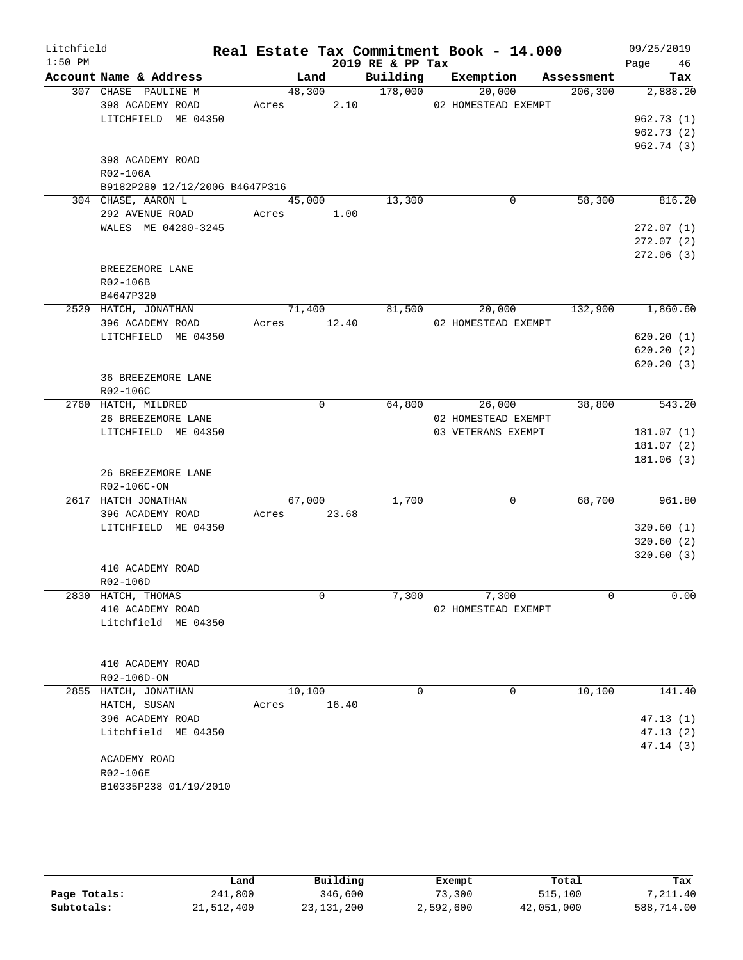| Litchfield |                                 |             |             |                      | Real Estate Tax Commitment Book - 14.000 |          | 09/25/2019 |
|------------|---------------------------------|-------------|-------------|----------------------|------------------------------------------|----------|------------|
| $1:50$ PM  |                                 |             |             | 2019 RE & PP Tax     |                                          |          | Page 46    |
|            | Account Name & Address          | Land        |             | Building             | Exemption Assessment                     |          | Tax        |
|            | 307 CHASE PAULINE M             | 48,300      |             | $\overline{178,000}$ | 20,000                                   | 206, 300 | 2,888.20   |
|            | 398 ACADEMY ROAD                | Acres 2.10  |             |                      | 02 HOMESTEAD EXEMPT                      |          |            |
|            | LITCHFIELD ME 04350             |             |             |                      |                                          |          | 962.73(1)  |
|            |                                 |             |             |                      |                                          |          | 962.73(2)  |
|            |                                 |             |             |                      |                                          |          | 962.74(3)  |
|            | 398 ACADEMY ROAD                |             |             |                      |                                          |          |            |
|            | R02-106A                        |             |             |                      |                                          |          |            |
|            | B9182P280 12/12/2006 B4647P316  |             |             |                      |                                          |          |            |
|            | 304 CHASE, AARON L              | 45,000      |             | 13,300               | 0                                        | 58,300   | 816.20     |
|            | 292 AVENUE ROAD                 | Acres       | 1.00        |                      |                                          |          |            |
|            | WALES ME 04280-3245             |             |             |                      |                                          |          | 272.07(1)  |
|            |                                 |             |             |                      |                                          |          | 272.07(2)  |
|            |                                 |             |             |                      |                                          |          | 272.06 (3) |
|            | BREEZEMORE LANE                 |             |             |                      |                                          |          |            |
|            | R02-106B                        |             |             |                      |                                          |          |            |
|            | B4647P320                       |             |             |                      |                                          |          |            |
|            | 2529 HATCH, JONATHAN            | 71,400      |             | 81,500               | 20,000                                   | 132,900  | 1,860.60   |
|            | 396 ACADEMY ROAD                | Acres 12.40 |             |                      | 02 HOMESTEAD EXEMPT                      |          |            |
|            | LITCHFIELD ME 04350             |             |             |                      |                                          |          | 620.20(1)  |
|            |                                 |             |             |                      |                                          |          | 620.20(2)  |
|            |                                 |             |             |                      |                                          |          | 620.20(3)  |
|            | 36 BREEZEMORE LANE              |             |             |                      |                                          |          |            |
|            | R02-106C<br>2760 HATCH, MILDRED |             | $\mathbf 0$ | 64,800               | 26,000                                   | 38,800   |            |
|            | 26 BREEZEMORE LANE              |             |             |                      | 02 HOMESTEAD EXEMPT                      |          | 543.20     |
|            | LITCHFIELD ME 04350             |             |             |                      | 03 VETERANS EXEMPT                       |          | 181.07(1)  |
|            |                                 |             |             |                      |                                          |          | 181.07(2)  |
|            |                                 |             |             |                      |                                          |          | 181.06 (3) |
|            | 26 BREEZEMORE LANE              |             |             |                      |                                          |          |            |
|            | R02-106C-ON                     |             |             |                      |                                          |          |            |
|            | 2617 HATCH JONATHAN             | 67,000      |             | 1,700                | 0                                        | 68,700   | 961.80     |
|            | 396 ACADEMY ROAD                | Acres 23.68 |             |                      |                                          |          |            |
|            | LITCHFIELD ME 04350             |             |             |                      |                                          |          | 320.60(1)  |
|            |                                 |             |             |                      |                                          |          | 320.60(2)  |
|            |                                 |             |             |                      |                                          |          | 320.60(3)  |
|            | 410 ACADEMY ROAD                |             |             |                      |                                          |          |            |
|            | $R02 - 106D$                    |             |             |                      |                                          |          |            |
|            | 2830 HATCH, THOMAS              |             | $\mathbf 0$ | 7,300                | 7,300                                    | 0        | 0.00       |
|            | 410 ACADEMY ROAD                |             |             |                      | 02 HOMESTEAD EXEMPT                      |          |            |
|            | Litchfield ME 04350             |             |             |                      |                                          |          |            |
|            |                                 |             |             |                      |                                          |          |            |
|            |                                 |             |             |                      |                                          |          |            |
|            | 410 ACADEMY ROAD                |             |             |                      |                                          |          |            |
|            | R02-106D-ON                     |             |             |                      |                                          |          |            |
|            | 2855 HATCH, JONATHAN            | 10,100      |             | 0                    | 0                                        | 10,100   | 141.40     |
|            | HATCH, SUSAN                    | Acres       | 16.40       |                      |                                          |          |            |
|            | 396 ACADEMY ROAD                |             |             |                      |                                          |          | 47.13(1)   |
|            | Litchfield ME 04350             |             |             |                      |                                          |          | 47.13(2)   |
|            |                                 |             |             |                      |                                          |          | 47.14(3)   |
|            | ACADEMY ROAD                    |             |             |                      |                                          |          |            |
|            | R02-106E                        |             |             |                      |                                          |          |            |
|            | B10335P238 01/19/2010           |             |             |                      |                                          |          |            |
|            |                                 |             |             |                      |                                          |          |            |

|              | Land       | Building     | Exempt    | Total      | Tax        |
|--------------|------------|--------------|-----------|------------|------------|
| Page Totals: | 241,800    | 346,600      | 73,300    | 515,100    | 7,211.40   |
| Subtotals:   | 21,512,400 | 23, 131, 200 | 2,592,600 | 42,051,000 | 588,714.00 |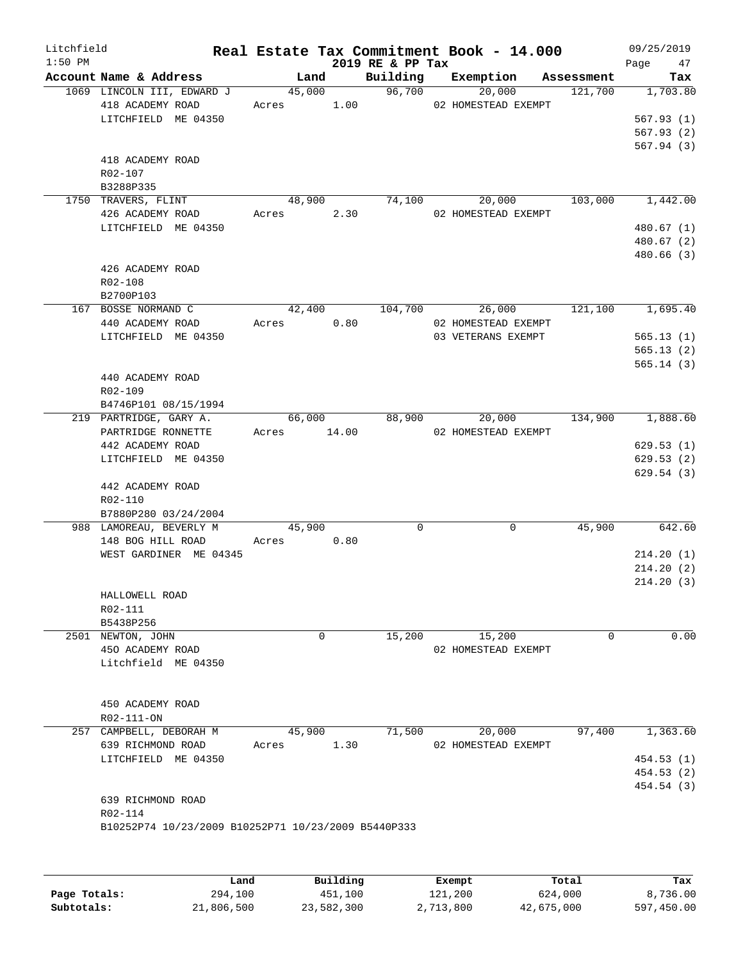| Litchfield<br>$1:50$ PM |                                                     |             |        | 2019 RE & PP Tax | Real Estate Tax Commitment Book - 14.000 |                | 09/25/2019<br>Page 47 |
|-------------------------|-----------------------------------------------------|-------------|--------|------------------|------------------------------------------|----------------|-----------------------|
|                         | Account Name & Address                              |             | Land   |                  | Building Exemption Assessment            |                | Tax                   |
|                         | 1069 LINCOLN III, EDWARD J                          |             |        | 45,000 96,700    | 20,000                                   | 121,700        | 1,703.80              |
|                         | 418 ACADEMY ROAD                                    |             |        |                  | Acres 1.00 02 HOMESTEAD EXEMPT           |                |                       |
|                         | LITCHFIELD ME 04350                                 |             |        |                  |                                          |                | 567.93(1)             |
|                         |                                                     |             |        |                  |                                          |                | 567.93(2)             |
|                         | 418 ACADEMY ROAD                                    |             |        |                  |                                          |                | 567.94(3)             |
|                         | R02-107                                             |             |        |                  |                                          |                |                       |
|                         | B3288P335                                           |             |        |                  |                                          |                |                       |
|                         | 1750 TRAVERS, FLINT                                 | 48,900      |        | 74,100           |                                          | 20,000 103,000 | 1,442.00              |
|                         | 426 ACADEMY ROAD                                    | Acres 2.30  |        |                  | 02 HOMESTEAD EXEMPT                      |                |                       |
|                         | LITCHFIELD ME 04350                                 |             |        |                  |                                          |                | 480.67(1)             |
|                         |                                                     |             |        |                  |                                          |                | 480.67 (2)            |
|                         |                                                     |             |        |                  |                                          |                | 480.66(3)             |
|                         | 426 ACADEMY ROAD                                    |             |        |                  |                                          |                |                       |
|                         | R02-108                                             |             |        |                  |                                          |                |                       |
|                         | B2700P103                                           |             |        |                  |                                          |                |                       |
|                         | 167 BOSSE NORMAND C                                 |             | 42,400 | 104,700          |                                          | 26,000 121,100 | 1,695.40              |
|                         | 440 ACADEMY ROAD                                    | Acres 0.80  |        |                  | 02 HOMESTEAD EXEMPT                      |                |                       |
|                         | LITCHFIELD ME 04350                                 |             |        |                  | 03 VETERANS EXEMPT                       |                | 565.13(1)             |
|                         |                                                     |             |        |                  |                                          |                | 565.13(2)             |
|                         |                                                     |             |        |                  |                                          |                | 565.14(3)             |
|                         | 440 ACADEMY ROAD                                    |             |        |                  |                                          |                |                       |
|                         | R02-109<br>B4746P101 08/15/1994                     |             |        |                  |                                          |                |                       |
|                         | 219 PARTRIDGE, GARY A.                              |             | 66,000 | 88,900           |                                          | 20,000 134,900 | 1,888.60              |
|                         | PARTRIDGE RONNETTE                                  | Acres 14.00 |        |                  | 02 HOMESTEAD EXEMPT                      |                |                       |
|                         | 442 ACADEMY ROAD                                    |             |        |                  |                                          |                | 629.53(1)             |
|                         | LITCHFIELD ME 04350                                 |             |        |                  |                                          |                | 629.53(2)             |
|                         |                                                     |             |        |                  |                                          |                | 629.54(3)             |
|                         | 442 ACADEMY ROAD                                    |             |        |                  |                                          |                |                       |
|                         | R02-110                                             |             |        |                  |                                          |                |                       |
|                         | B7880P280 03/24/2004                                |             |        |                  |                                          |                |                       |
|                         | 988 LAMOREAU, BEVERLY M                             | 45,900      |        | $\mathbf 0$      | 0                                        | 45,900         | 642.60                |
|                         | 148 BOG HILL ROAD                                   | Acres 0.80  |        |                  |                                          |                |                       |
|                         | WEST GARDINER ME 04345                              |             |        |                  |                                          |                | 214.20(1)             |
|                         |                                                     |             |        |                  |                                          |                | 214.20(2)             |
|                         |                                                     |             |        |                  |                                          |                | 214.20(3)             |
|                         | HALLOWELL ROAD<br>R02-111                           |             |        |                  |                                          |                |                       |
|                         | B5438P256                                           |             |        |                  |                                          |                |                       |
|                         | 2501 NEWTON, JOHN                                   |             | 0      | 15,200           | 15,200                                   | $\mathbf 0$    | 0.00                  |
|                         | 450 ACADEMY ROAD                                    |             |        |                  | 02 HOMESTEAD EXEMPT                      |                |                       |
|                         | Litchfield ME 04350                                 |             |        |                  |                                          |                |                       |
|                         |                                                     |             |        |                  |                                          |                |                       |
|                         |                                                     |             |        |                  |                                          |                |                       |
|                         | 450 ACADEMY ROAD                                    |             |        |                  |                                          |                |                       |
|                         | R02-111-ON                                          |             |        |                  |                                          |                |                       |
|                         | 257 CAMPBELL, DEBORAH M                             | 45,900      |        | 71,500           | 20,000                                   | 97,400         | 1,363.60              |
|                         | 639 RICHMOND ROAD                                   | Acres       | 1.30   |                  | 02 HOMESTEAD EXEMPT                      |                |                       |
|                         | LITCHFIELD ME 04350                                 |             |        |                  |                                          |                | 454.53(1)             |
|                         |                                                     |             |        |                  |                                          |                | 454.53(2)             |
|                         |                                                     |             |        |                  |                                          |                | 454.54 (3)            |
|                         | 639 RICHMOND ROAD                                   |             |        |                  |                                          |                |                       |
|                         | R02-114                                             |             |        |                  |                                          |                |                       |
|                         | B10252P74 10/23/2009 B10252P71 10/23/2009 B5440P333 |             |        |                  |                                          |                |                       |
|                         |                                                     |             |        |                  |                                          |                |                       |
|                         |                                                     |             |        |                  |                                          |                |                       |

|              | Land       | Building   | Exempt    | Total      | Tax        |
|--------------|------------|------------|-----------|------------|------------|
| Page Totals: | 294,100    | 451,100    | 121,200   | 624,000    | 8,736.00   |
| Subtotals:   | 21,806,500 | 23,582,300 | 2,713,800 | 42,675,000 | 597,450.00 |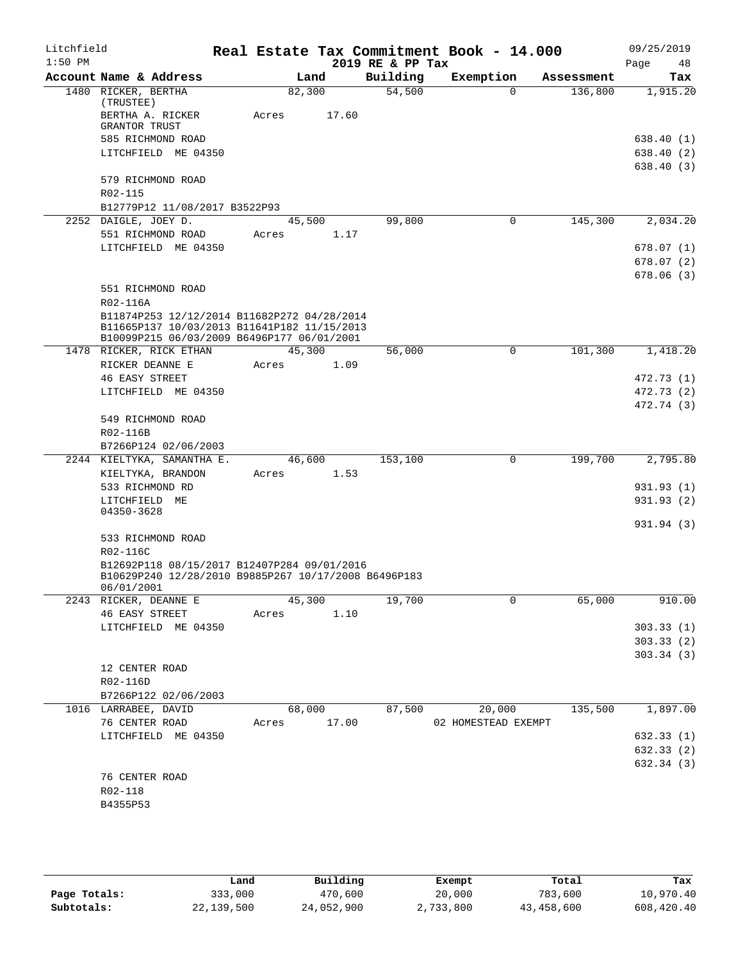| Litchfield |                                                         |             |       |                  | Real Estate Tax Commitment Book - 14.000 |            | 09/25/2019 |
|------------|---------------------------------------------------------|-------------|-------|------------------|------------------------------------------|------------|------------|
| $1:50$ PM  |                                                         |             |       | 2019 RE & PP Tax |                                          |            | Page<br>48 |
|            | Account Name & Address                                  |             | Land  | Building         | Exemption                                | Assessment | Tax        |
|            | 1480 RICKER, BERTHA<br>(TRUSTEE)                        | 82,300      |       | 54,500           | $\Omega$                                 | 136,800    | 1,915.20   |
|            | BERTHA A. RICKER                                        | Acres       | 17.60 |                  |                                          |            |            |
|            | <b>GRANTOR TRUST</b>                                    |             |       |                  |                                          |            |            |
|            | 585 RICHMOND ROAD                                       |             |       |                  |                                          |            | 638.40 (1) |
|            | LITCHFIELD ME 04350                                     |             |       |                  |                                          |            | 638.40 (2) |
|            |                                                         |             |       |                  |                                          |            | 638.40(3)  |
|            | 579 RICHMOND ROAD                                       |             |       |                  |                                          |            |            |
|            | R02-115                                                 |             |       |                  |                                          |            |            |
|            | B12779P12 11/08/2017 B3522P93                           |             |       |                  |                                          |            |            |
|            | 2252 DAIGLE, JOEY D.                                    | 45,500      |       | 99,800           | 0                                        | 145,300    | 2,034.20   |
|            | 551 RICHMOND ROAD                                       | Acres       | 1.17  |                  |                                          |            |            |
|            | LITCHFIELD ME 04350                                     |             |       |                  |                                          |            | 678.07(1)  |
|            |                                                         |             |       |                  |                                          |            | 678.07(2)  |
|            |                                                         |             |       |                  |                                          |            | 678.06(3)  |
|            | 551 RICHMOND ROAD                                       |             |       |                  |                                          |            |            |
|            | R02-116A<br>B11874P253 12/12/2014 B11682P272 04/28/2014 |             |       |                  |                                          |            |            |
|            | B11665P137 10/03/2013 B11641P182 11/15/2013             |             |       |                  |                                          |            |            |
|            | B10099P215 06/03/2009 B6496P177 06/01/2001              |             |       |                  |                                          |            |            |
|            | 1478 RICKER, RICK ETHAN                                 | 45,300      |       | 56,000           | 0                                        | 101,300    | 1,418.20   |
|            | RICKER DEANNE E                                         | Acres       | 1.09  |                  |                                          |            |            |
|            | <b>46 EASY STREET</b>                                   |             |       |                  |                                          |            | 472.73 (1) |
|            | LITCHFIELD ME 04350                                     |             |       |                  |                                          |            | 472.73 (2) |
|            |                                                         |             |       |                  |                                          |            | 472.74 (3) |
|            | 549 RICHMOND ROAD                                       |             |       |                  |                                          |            |            |
|            | R02-116B                                                |             |       |                  |                                          |            |            |
|            | B7266P124 02/06/2003                                    |             |       |                  |                                          |            |            |
|            | 2244 KIELTYKA, SAMANTHA E.                              | 46,600      |       | 153,100          | 0                                        | 199,700    | 2,795.80   |
|            | KIELTYKA, BRANDON                                       | Acres       | 1.53  |                  |                                          |            |            |
|            | 533 RICHMOND RD                                         |             |       |                  |                                          |            | 931.93 (1) |
|            | LITCHFIELD ME<br>04350-3628                             |             |       |                  |                                          |            | 931.93 (2) |
|            |                                                         |             |       |                  |                                          |            | 931.94 (3) |
|            | 533 RICHMOND ROAD                                       |             |       |                  |                                          |            |            |
|            | R02-116C                                                |             |       |                  |                                          |            |            |
|            | B12692P118 08/15/2017 B12407P284 09/01/2016             |             |       |                  |                                          |            |            |
|            | B10629P240 12/28/2010 B9885P267 10/17/2008 B6496P183    |             |       |                  |                                          |            |            |
|            | 06/01/2001                                              |             |       |                  |                                          |            |            |
|            | 2243 RICKER, DEANNE E                                   | 45,300      |       | 19,700           | 0                                        | 65,000     | 910.00     |
|            | <b>46 EASY STREET</b>                                   | Acres       | 1.10  |                  |                                          |            |            |
|            | LITCHFIELD ME 04350                                     |             |       |                  |                                          |            | 303.33(1)  |
|            |                                                         |             |       |                  |                                          |            | 303.33(2)  |
|            |                                                         |             |       |                  |                                          |            | 303.34(3)  |
|            | 12 CENTER ROAD                                          |             |       |                  |                                          |            |            |
|            | R02-116D                                                |             |       |                  |                                          |            |            |
|            | B7266P122 02/06/2003                                    | 68,000      |       |                  | 20,000                                   | 135,500    |            |
|            | 1016 LARRABEE, DAVID<br>76 CENTER ROAD                  | Acres 17.00 |       | 87,500           | 02 HOMESTEAD EXEMPT                      |            | 1,897.00   |
|            | LITCHFIELD ME 04350                                     |             |       |                  |                                          |            | 632.33(1)  |
|            |                                                         |             |       |                  |                                          |            | 632.33 (2) |
|            |                                                         |             |       |                  |                                          |            | 632.34 (3) |
|            | 76 CENTER ROAD                                          |             |       |                  |                                          |            |            |
|            | R02-118                                                 |             |       |                  |                                          |            |            |
|            | B4355P53                                                |             |       |                  |                                          |            |            |
|            |                                                         |             |       |                  |                                          |            |            |

|              | Land       | Building   | Exempt    | Total      | Tax        |
|--------------|------------|------------|-----------|------------|------------|
| Page Totals: | 333,000    | 470,600    | 20,000    | 783,600    | 10,970.40  |
| Subtotals:   | 22,139,500 | 24,052,900 | 2,733,800 | 43,458,600 | 608,420.40 |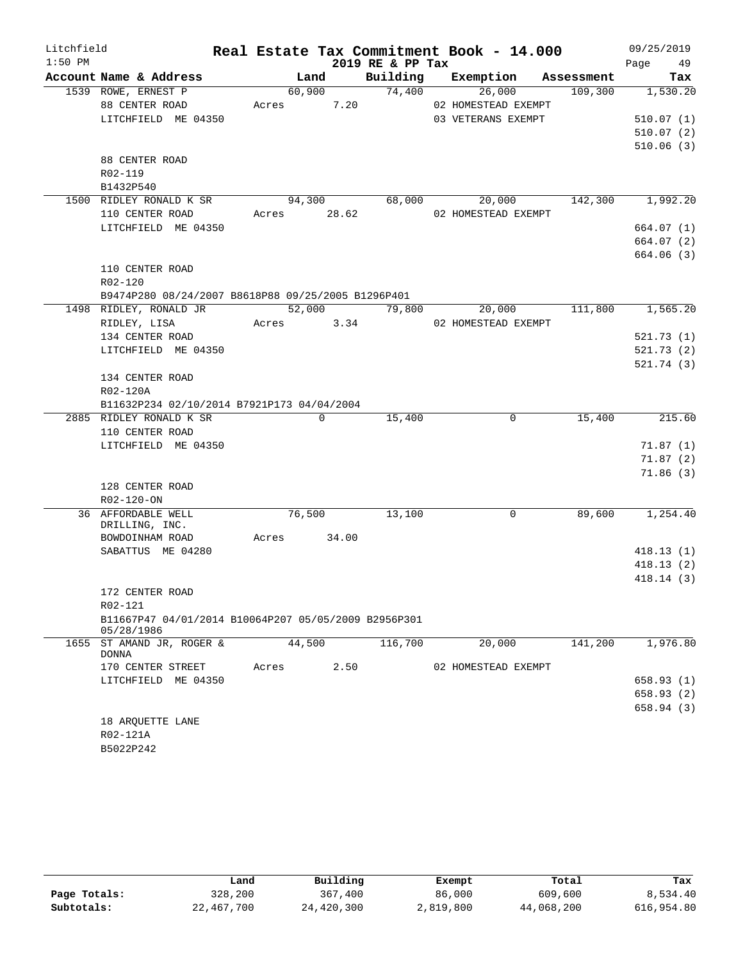| Litchfield |                                                                    |             |             |       |                  | Real Estate Tax Commitment Book - 14.000 |                               | 09/25/2019           |
|------------|--------------------------------------------------------------------|-------------|-------------|-------|------------------|------------------------------------------|-------------------------------|----------------------|
| $1:50$ PM  |                                                                    |             |             |       | 2019 RE & PP Tax |                                          |                               | Page 49              |
|            | Account Name & Address                                             |             | Land        |       |                  |                                          | Building Exemption Assessment | Tax                  |
|            | 1539 ROWE, ERNEST P                                                |             | 60,900      |       | 74,400           | 26,000                                   | 109,300                       | 1,530.20             |
|            | 88 CENTER ROAD                                                     | Acres       |             | 7.20  |                  | 02 HOMESTEAD EXEMPT                      |                               |                      |
|            | LITCHFIELD ME 04350                                                |             |             |       |                  | 03 VETERANS EXEMPT                       |                               | 510.07(1)            |
|            |                                                                    |             |             |       |                  |                                          |                               | 510.07(2)            |
|            |                                                                    |             |             |       |                  |                                          |                               | 510.06(3)            |
|            | 88 CENTER ROAD<br>R02-119                                          |             |             |       |                  |                                          |                               |                      |
|            | B1432P540                                                          |             |             |       |                  |                                          |                               |                      |
|            | 1500 RIDLEY RONALD K SR                                            | 94,300      |             |       |                  | 68,000 20,000                            |                               | 142,300 1,992.20     |
|            | 110 CENTER ROAD                                                    | Acres 28.62 |             |       |                  | 02 HOMESTEAD EXEMPT                      |                               |                      |
|            | LITCHFIELD ME 04350                                                |             |             |       |                  |                                          |                               | 664.07 (1)           |
|            |                                                                    |             |             |       |                  |                                          |                               | 664.07 (2)           |
|            |                                                                    |             |             |       |                  |                                          |                               | 664.06 (3)           |
|            | 110 CENTER ROAD                                                    |             |             |       |                  |                                          |                               |                      |
|            | R02-120                                                            |             |             |       |                  |                                          |                               |                      |
|            | B9474P280 08/24/2007 B8618P88 09/25/2005 B1296P401                 |             |             |       |                  |                                          |                               |                      |
|            | 1498 RIDLEY, RONALD JR                                             |             |             |       | 52,000 79,800    | 20,000                                   |                               | 111,800 1,565.20     |
|            | RIDLEY, LISA                                                       | Acres 3.34  |             |       |                  | 02 HOMESTEAD EXEMPT                      |                               |                      |
|            | 134 CENTER ROAD                                                    |             |             |       |                  |                                          |                               | 521.73(1)            |
|            | LITCHFIELD ME 04350                                                |             |             |       |                  |                                          |                               | 521.73(2)            |
|            |                                                                    |             |             |       |                  |                                          |                               | 521.74(3)            |
|            | 134 CENTER ROAD                                                    |             |             |       |                  |                                          |                               |                      |
|            | R02-120A                                                           |             |             |       |                  |                                          |                               |                      |
|            | B11632P234 02/10/2014 B7921P173 04/04/2004                         |             |             |       |                  |                                          |                               |                      |
|            | 2885 RIDLEY RONALD K SR                                            |             | $\mathbf 0$ |       | 15,400           | $\mathbf 0$                              | 15,400                        | 215.60               |
|            | 110 CENTER ROAD                                                    |             |             |       |                  |                                          |                               |                      |
|            | LITCHFIELD ME 04350                                                |             |             |       |                  |                                          |                               | 71.87(1)             |
|            |                                                                    |             |             |       |                  |                                          |                               | 71.87(2)<br>71.86(3) |
|            | 128 CENTER ROAD                                                    |             |             |       |                  |                                          |                               |                      |
|            | R02-120-ON                                                         |             |             |       |                  |                                          |                               |                      |
|            | 36 AFFORDABLE WELL                                                 |             | 76,500      |       | 13,100           | $\Omega$                                 | 89,600                        | 1,254.40             |
|            | DRILLING, INC.                                                     |             |             |       |                  |                                          |                               |                      |
|            | BOWDOINHAM ROAD                                                    | Acres       |             | 34.00 |                  |                                          |                               |                      |
|            | SABATTUS ME 04280                                                  |             |             |       |                  |                                          |                               | 418.13(1)            |
|            |                                                                    |             |             |       |                  |                                          |                               | 418.13(2)            |
|            |                                                                    |             |             |       |                  |                                          |                               | 418.14(3)            |
|            | 172 CENTER ROAD                                                    |             |             |       |                  |                                          |                               |                      |
|            | R02-121                                                            |             |             |       |                  |                                          |                               |                      |
|            | B11667P47 04/01/2014 B10064P207 05/05/2009 B2956P301<br>05/28/1986 |             |             |       |                  |                                          |                               |                      |
|            | 1655 ST AMAND JR, ROGER &<br><b>DONNA</b>                          |             | 44,500      |       | 116,700          | 20,000                                   | 141,200                       | 1,976.80             |
|            | 170 CENTER STREET                                                  | Acres       |             | 2.50  |                  | 02 HOMESTEAD EXEMPT                      |                               |                      |
|            | LITCHFIELD ME 04350                                                |             |             |       |                  |                                          |                               | 658.93 (1)           |
|            |                                                                    |             |             |       |                  |                                          |                               | 658.93 (2)           |
|            |                                                                    |             |             |       |                  |                                          |                               | 658.94 (3)           |
|            | 18 ARQUETTE LANE                                                   |             |             |       |                  |                                          |                               |                      |
|            | R02-121A                                                           |             |             |       |                  |                                          |                               |                      |
|            | B5022P242                                                          |             |             |       |                  |                                          |                               |                      |

|              | Land       | Building   | Exempt    | Total      | Tax        |
|--------------|------------|------------|-----------|------------|------------|
| Page Totals: | 328,200    | 367,400    | 86,000    | 609,600    | 8,534.40   |
| Subtotals:   | 22,467,700 | 24,420,300 | 2,819,800 | 44,068,200 | 616,954.80 |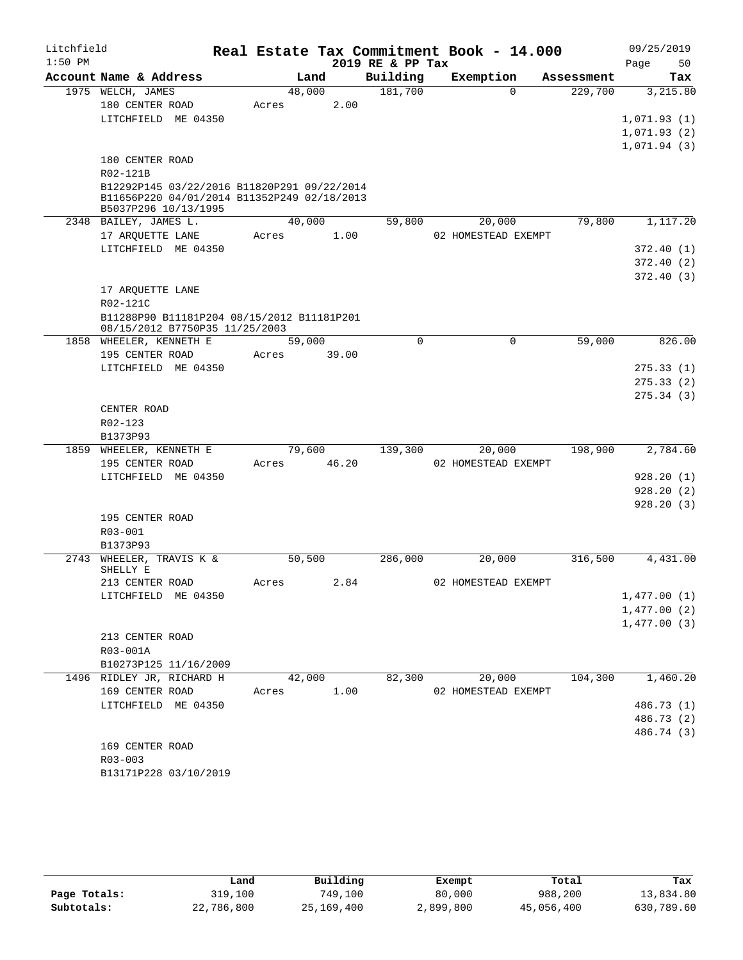| Litchfield |                                                                              |             |           |       |                  | Real Estate Tax Commitment Book - 14.000 |            | 09/25/2019  |            |
|------------|------------------------------------------------------------------------------|-------------|-----------|-------|------------------|------------------------------------------|------------|-------------|------------|
| $1:50$ PM  |                                                                              |             |           |       | 2019 RE & PP Tax |                                          |            | Page        | 50         |
|            | Account Name & Address                                                       |             | Land      |       | Building         | Exemption                                | Assessment |             | Tax        |
|            | 1975 WELCH, JAMES                                                            |             | 48,000    |       | 181,700          | $\Omega$                                 | 229,700    |             | 3,215.80   |
|            | 180 CENTER ROAD                                                              | Acres       |           | 2.00  |                  |                                          |            |             |            |
|            | LITCHFIELD ME 04350                                                          |             |           |       |                  |                                          |            | 1,071.93(1) |            |
|            |                                                                              |             |           |       |                  |                                          |            | 1,071.93(2) |            |
|            | 180 CENTER ROAD                                                              |             |           |       |                  |                                          |            | 1,071.94(3) |            |
|            | R02-121B                                                                     |             |           |       |                  |                                          |            |             |            |
|            | B12292P145 03/22/2016 B11820P291 09/22/2014                                  |             |           |       |                  |                                          |            |             |            |
|            | B11656P220 04/01/2014 B11352P249 02/18/2013                                  |             |           |       |                  |                                          |            |             |            |
|            | B5037P296 10/13/1995                                                         |             |           |       |                  |                                          |            |             |            |
|            | 2348 BAILEY, JAMES L.                                                        |             | 40,000    |       | 59,800           | 20,000                                   | 79,800     |             | 1,117.20   |
|            | 17 ARQUETTE LANE                                                             | Acres       |           | 1.00  |                  | 02 HOMESTEAD EXEMPT                      |            |             |            |
|            | LITCHFIELD ME 04350                                                          |             |           |       |                  |                                          |            |             | 372.40(1)  |
|            |                                                                              |             |           |       |                  |                                          |            |             | 372.40(2)  |
|            |                                                                              |             |           |       |                  |                                          |            |             | 372.40(3)  |
|            | 17 ARQUETTE LANE                                                             |             |           |       |                  |                                          |            |             |            |
|            | R02-121C                                                                     |             |           |       |                  |                                          |            |             |            |
|            | B11288P90 B11181P204 08/15/2012 B11181P201<br>08/15/2012 B7750P35 11/25/2003 |             |           |       |                  |                                          |            |             |            |
|            | 1858 WHEELER, KENNETH E                                                      |             | 59,000    |       | $\Omega$         | 0                                        | 59,000     |             | 826.00     |
|            | 195 CENTER ROAD                                                              | Acres       |           | 39.00 |                  |                                          |            |             |            |
|            | LITCHFIELD ME 04350                                                          |             |           |       |                  |                                          |            |             | 275.33(1)  |
|            |                                                                              |             |           |       |                  |                                          |            |             | 275.33(2)  |
|            |                                                                              |             |           |       |                  |                                          |            |             | 275.34(3)  |
|            | CENTER ROAD                                                                  |             |           |       |                  |                                          |            |             |            |
|            | R02-123                                                                      |             |           |       |                  |                                          |            |             |            |
|            | B1373P93                                                                     |             |           |       |                  |                                          |            |             |            |
|            | 1859 WHEELER, KENNETH E                                                      |             | 79,600 79 |       | 139,300          | 20,000                                   | 198,900    |             | 2,784.60   |
|            | 195 CENTER ROAD                                                              | Acres 46.20 |           |       |                  | 02 HOMESTEAD EXEMPT                      |            |             |            |
|            | LITCHFIELD ME 04350                                                          |             |           |       |                  |                                          |            |             | 928.20(1)  |
|            |                                                                              |             |           |       |                  |                                          |            |             | 928.20(2)  |
|            |                                                                              |             |           |       |                  |                                          |            |             | 928.20(3)  |
|            | 195 CENTER ROAD                                                              |             |           |       |                  |                                          |            |             |            |
|            | R03-001<br>B1373P93                                                          |             |           |       |                  |                                          |            |             |            |
|            | 2743 WHEELER, TRAVIS K &                                                     |             | 50,500    |       | 286,000          | 20,000                                   | 316,500    |             | 4,431.00   |
|            | SHELLY E                                                                     |             |           |       |                  |                                          |            |             |            |
|            | 213 CENTER ROAD                                                              | Acres       |           | 2.84  |                  | 02 HOMESTEAD EXEMPT                      |            |             |            |
|            | LITCHFIELD ME 04350                                                          |             |           |       |                  |                                          |            | 1,477.00(1) |            |
|            |                                                                              |             |           |       |                  |                                          |            | 1,477.00(2) |            |
|            |                                                                              |             |           |       |                  |                                          |            | 1,477.00(3) |            |
|            | 213 CENTER ROAD                                                              |             |           |       |                  |                                          |            |             |            |
|            | R03-001A                                                                     |             |           |       |                  |                                          |            |             |            |
|            | B10273P125 11/16/2009                                                        |             |           |       |                  |                                          |            |             |            |
|            | 1496 RIDLEY JR, RICHARD H                                                    |             | 42,000    |       | 82,300           | 20,000                                   | 104,300    |             | 1,460.20   |
|            | 169 CENTER ROAD                                                              | Acres       |           | 1.00  |                  | 02 HOMESTEAD EXEMPT                      |            |             |            |
|            | LITCHFIELD ME 04350                                                          |             |           |       |                  |                                          |            |             | 486.73 (1) |
|            |                                                                              |             |           |       |                  |                                          |            |             | 486.73 (2) |
|            |                                                                              |             |           |       |                  |                                          |            |             | 486.74 (3) |
|            | 169 CENTER ROAD                                                              |             |           |       |                  |                                          |            |             |            |
|            | $R03 - 003$<br>B13171P228 03/10/2019                                         |             |           |       |                  |                                          |            |             |            |
|            |                                                                              |             |           |       |                  |                                          |            |             |            |

|              | Land       | Building   | Exempt    | Total      | Tax        |
|--------------|------------|------------|-----------|------------|------------|
| Page Totals: | 319,100    | 749,100    | 80,000    | 988,200    | 13,834.80  |
| Subtotals:   | 22,786,800 | 25,169,400 | 2,899,800 | 45,056,400 | 630,789.60 |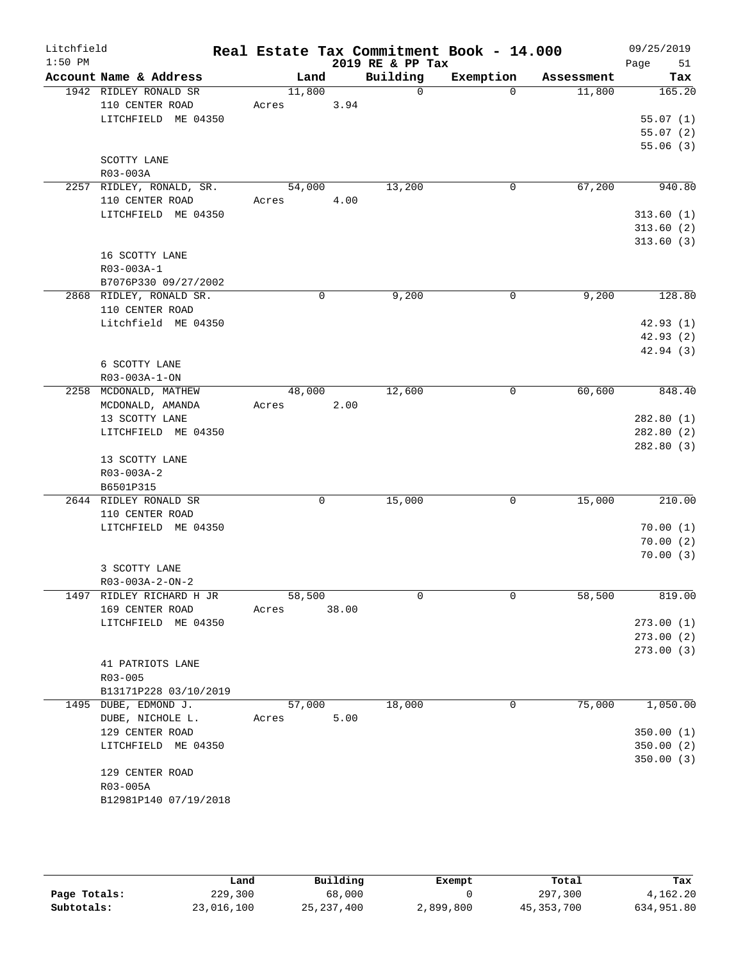| Litchfield |                                        |        |       |                            | Real Estate Tax Commitment Book - 14.000 |            | 09/25/2019 |
|------------|----------------------------------------|--------|-------|----------------------------|------------------------------------------|------------|------------|
| $1:50$ PM  | Account Name & Address                 | Land   |       | 2019 RE & PP Tax           |                                          |            | Page<br>51 |
|            |                                        |        |       | Building<br>$\overline{0}$ | Exemption                                | Assessment | Tax        |
|            | 1942 RIDLEY RONALD SR                  | 11,800 |       |                            | $\Omega$                                 | 11,800     | 165.20     |
|            | 110 CENTER ROAD                        | Acres  | 3.94  |                            |                                          |            |            |
|            | LITCHFIELD ME 04350                    |        |       |                            |                                          |            | 55.07(1)   |
|            |                                        |        |       |                            |                                          |            | 55.07(2)   |
|            |                                        |        |       |                            |                                          |            | 55.06(3)   |
|            | SCOTTY LANE                            |        |       |                            |                                          |            |            |
|            | R03-003A                               |        |       |                            |                                          |            |            |
|            | 2257 RIDLEY, RONALD, SR.               | 54,000 | 4.00  | 13,200                     | 0                                        | 67,200     | 940.80     |
|            | 110 CENTER ROAD<br>LITCHFIELD ME 04350 | Acres  |       |                            |                                          |            | 313.60(1)  |
|            |                                        |        |       |                            |                                          |            | 313.60(2)  |
|            |                                        |        |       |                            |                                          |            | 313.60(3)  |
|            | 16 SCOTTY LANE                         |        |       |                            |                                          |            |            |
|            | R03-003A-1                             |        |       |                            |                                          |            |            |
|            | B7076P330 09/27/2002                   |        |       |                            |                                          |            |            |
|            | 2868 RIDLEY, RONALD SR.                |        | 0     | 9,200                      | 0                                        | 9,200      | 128.80     |
|            | 110 CENTER ROAD                        |        |       |                            |                                          |            |            |
|            | Litchfield ME 04350                    |        |       |                            |                                          |            | 42.93(1)   |
|            |                                        |        |       |                            |                                          |            | 42.93(2)   |
|            |                                        |        |       |                            |                                          |            | 42.94(3)   |
|            | 6 SCOTTY LANE                          |        |       |                            |                                          |            |            |
|            | R03-003A-1-ON                          |        |       |                            |                                          |            |            |
|            | 2258 MCDONALD, MATHEW                  | 48,000 |       | 12,600                     | 0                                        | 60,600     | 848.40     |
|            | MCDONALD, AMANDA                       | Acres  | 2.00  |                            |                                          |            |            |
|            | 13 SCOTTY LANE                         |        |       |                            |                                          |            | 282.80(1)  |
|            | LITCHFIELD ME 04350                    |        |       |                            |                                          |            | 282.80(2)  |
|            |                                        |        |       |                            |                                          |            | 282.80 (3) |
|            | 13 SCOTTY LANE                         |        |       |                            |                                          |            |            |
|            | R03-003A-2                             |        |       |                            |                                          |            |            |
|            | B6501P315                              |        |       |                            |                                          |            |            |
|            | 2644 RIDLEY RONALD SR                  |        | 0     | 15,000                     | $\mathbf 0$                              | 15,000     | 210.00     |
|            | 110 CENTER ROAD                        |        |       |                            |                                          |            |            |
|            | LITCHFIELD ME 04350                    |        |       |                            |                                          |            | 70.00(1)   |
|            |                                        |        |       |                            |                                          |            | 70.00(2)   |
|            |                                        |        |       |                            |                                          |            | 70.00(3)   |
|            | 3 SCOTTY LANE                          |        |       |                            |                                          |            |            |
|            | R03-003A-2-ON-2                        |        |       |                            |                                          |            |            |
|            | 1497 RIDLEY RICHARD H JR               | 58,500 |       | 0                          | 0                                        | 58,500     | 819.00     |
|            | 169 CENTER ROAD                        | Acres  | 38.00 |                            |                                          |            |            |
|            | LITCHFIELD ME 04350                    |        |       |                            |                                          |            | 273.00(1)  |
|            |                                        |        |       |                            |                                          |            | 273.00(2)  |
|            |                                        |        |       |                            |                                          |            | 273.00(3)  |
|            | 41 PATRIOTS LANE                       |        |       |                            |                                          |            |            |
|            | R03-005                                |        |       |                            |                                          |            |            |
|            | B13171P228 03/10/2019                  |        |       |                            |                                          |            |            |
|            | 1495 DUBE, EDMOND J.                   | 57,000 |       | 18,000                     | 0                                        | 75,000     | 1,050.00   |
|            | DUBE, NICHOLE L.                       | Acres  | 5.00  |                            |                                          |            |            |
|            | 129 CENTER ROAD                        |        |       |                            |                                          |            | 350.00(1)  |
|            | LITCHFIELD ME 04350                    |        |       |                            |                                          |            | 350.00(2)  |
|            |                                        |        |       |                            |                                          |            | 350.00(3)  |
|            | 129 CENTER ROAD                        |        |       |                            |                                          |            |            |
|            | R03-005A                               |        |       |                            |                                          |            |            |
|            | B12981P140 07/19/2018                  |        |       |                            |                                          |            |            |
|            |                                        |        |       |                            |                                          |            |            |

|              | Land       | Building     | Exempt    | Total        | Tax        |
|--------------|------------|--------------|-----------|--------------|------------|
| Page Totals: | 229,300    | 68,000       |           | 297,300      | 4,162.20   |
| Subtotals:   | 23,016,100 | 25, 237, 400 | 2,899,800 | 45, 353, 700 | 634,951.80 |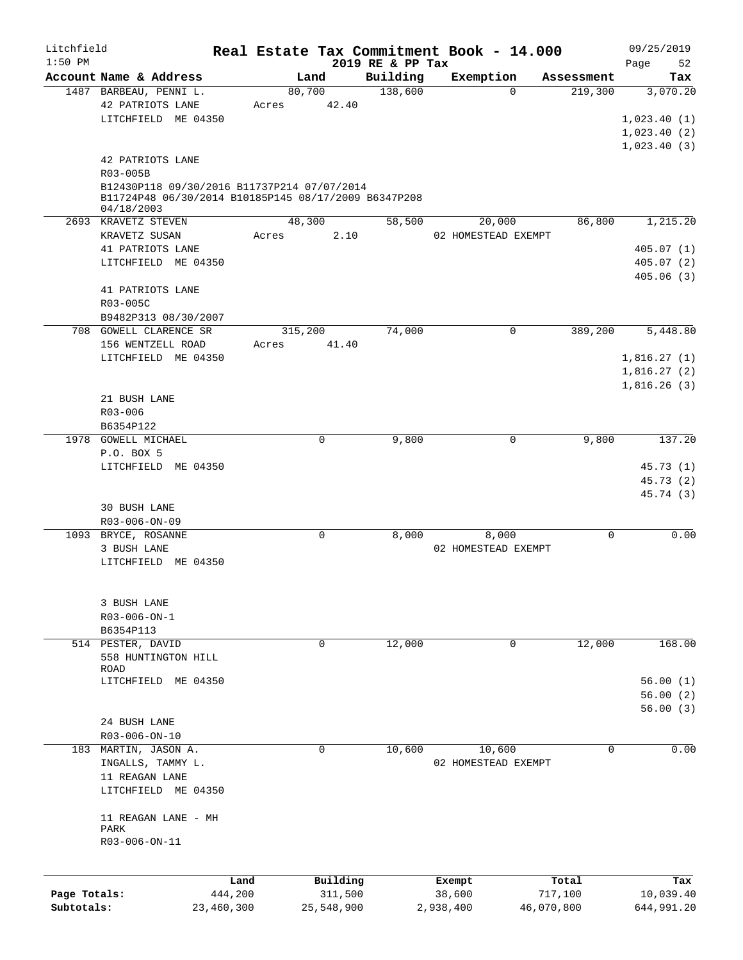| Litchfield   |                                                      |            |         |             |                              | Real Estate Tax Commitment Book - 14.000 |            |            | 09/25/2019        |
|--------------|------------------------------------------------------|------------|---------|-------------|------------------------------|------------------------------------------|------------|------------|-------------------|
| $1:50$ PM    | Account Name & Address                               |            |         | Land        | 2019 RE & PP Tax<br>Building | Exemption                                |            | Assessment | Page<br>52<br>Tax |
|              | 1487 BARBEAU, PENNI L.                               |            |         | 80,700      | 138,600                      |                                          | $\Omega$   | 219,300    | 3,070.20          |
|              | 42 PATRIOTS LANE                                     |            | Acres   | 42.40       |                              |                                          |            |            |                   |
|              | LITCHFIELD ME 04350                                  |            |         |             |                              |                                          |            |            | 1,023.40(1)       |
|              |                                                      |            |         |             |                              |                                          |            |            | 1,023.40(2)       |
|              |                                                      |            |         |             |                              |                                          |            |            | 1,023.40(3)       |
|              | 42 PATRIOTS LANE                                     |            |         |             |                              |                                          |            |            |                   |
|              | R03-005B                                             |            |         |             |                              |                                          |            |            |                   |
|              | B12430P118 09/30/2016 B11737P214 07/07/2014          |            |         |             |                              |                                          |            |            |                   |
|              | B11724P48 06/30/2014 B10185P145 08/17/2009 B6347P208 |            |         |             |                              |                                          |            |            |                   |
|              | 04/18/2003                                           |            |         |             |                              |                                          |            |            |                   |
|              | 2693 KRAVETZ STEVEN                                  |            |         | 48,300      | 58,500                       | 20,000                                   |            | 86,800     | 1,215.20          |
|              | KRAVETZ SUSAN                                        |            | Acres   | 2.10        |                              | 02 HOMESTEAD EXEMPT                      |            |            |                   |
|              | 41 PATRIOTS LANE                                     |            |         |             |                              |                                          |            |            | 405.07(1)         |
|              | LITCHFIELD ME 04350                                  |            |         |             |                              |                                          |            |            | 405.07(2)         |
|              |                                                      |            |         |             |                              |                                          |            |            | 405.06(3)         |
|              | 41 PATRIOTS LANE                                     |            |         |             |                              |                                          |            |            |                   |
|              | R03-005C                                             |            |         |             |                              |                                          |            |            |                   |
|              | B9482P313 08/30/2007                                 |            |         |             |                              |                                          |            |            |                   |
|              | 708 GOWELL CLARENCE SR                               |            | 315,200 |             | 74,000                       |                                          | 0          | 389,200    | 5,448.80          |
|              | 156 WENTZELL ROAD                                    |            | Acres   | 41.40       |                              |                                          |            |            |                   |
|              | LITCHFIELD ME 04350                                  |            |         |             |                              |                                          |            |            | 1,816.27(1)       |
|              |                                                      |            |         |             |                              |                                          |            |            | 1,816.27(2)       |
|              |                                                      |            |         |             |                              |                                          |            |            | 1,816.26(3)       |
|              | 21 BUSH LANE                                         |            |         |             |                              |                                          |            |            |                   |
|              | R03-006                                              |            |         |             |                              |                                          |            |            |                   |
|              | B6354P122                                            |            |         |             |                              |                                          |            |            |                   |
|              | 1978 GOWELL MICHAEL                                  |            |         | 0           | 9,800                        |                                          | 0          | 9,800      | 137.20            |
|              | P.O. BOX 5                                           |            |         |             |                              |                                          |            |            |                   |
|              | LITCHFIELD ME 04350                                  |            |         |             |                              |                                          |            |            | 45.73 (1)         |
|              |                                                      |            |         |             |                              |                                          |            |            | 45.73 (2)         |
|              |                                                      |            |         |             |                              |                                          |            |            | 45.74 (3)         |
|              | <b>30 BUSH LANE</b>                                  |            |         |             |                              |                                          |            |            |                   |
|              | R03-006-ON-09                                        |            |         |             |                              |                                          |            |            |                   |
|              | 1093 BRYCE, ROSANNE                                  |            |         | 0           | 8,000                        | 8,000                                    |            | 0          | 0.00              |
|              | 3 BUSH LANE                                          |            |         |             |                              | 02 HOMESTEAD EXEMPT                      |            |            |                   |
|              | LITCHFIELD ME 04350                                  |            |         |             |                              |                                          |            |            |                   |
|              |                                                      |            |         |             |                              |                                          |            |            |                   |
|              |                                                      |            |         |             |                              |                                          |            |            |                   |
|              | 3 BUSH LANE                                          |            |         |             |                              |                                          |            |            |                   |
|              | R03-006-ON-1                                         |            |         |             |                              |                                          |            |            |                   |
|              | B6354P113                                            |            |         |             |                              |                                          |            |            |                   |
|              | 514 PESTER, DAVID                                    |            |         | $\mathbf 0$ | 12,000                       |                                          | 0          | 12,000     | 168.00            |
|              | 558 HUNTINGTON HILL                                  |            |         |             |                              |                                          |            |            |                   |
|              | <b>ROAD</b>                                          |            |         |             |                              |                                          |            |            |                   |
|              | LITCHFIELD ME 04350                                  |            |         |             |                              |                                          |            |            | 56.00(1)          |
|              |                                                      |            |         |             |                              |                                          |            |            | 56.00(2)          |
|              |                                                      |            |         |             |                              |                                          |            |            | 56.00(3)          |
|              | 24 BUSH LANE                                         |            |         |             |                              |                                          |            |            |                   |
|              | R03-006-ON-10                                        |            |         |             |                              |                                          |            |            |                   |
|              | 183 MARTIN, JASON A.                                 |            |         | 0           | 10,600                       | 10,600                                   |            | 0          | 0.00              |
|              | INGALLS, TAMMY L.                                    |            |         |             |                              | 02 HOMESTEAD EXEMPT                      |            |            |                   |
|              | 11 REAGAN LANE                                       |            |         |             |                              |                                          |            |            |                   |
|              | LITCHFIELD ME 04350                                  |            |         |             |                              |                                          |            |            |                   |
|              |                                                      |            |         |             |                              |                                          |            |            |                   |
|              | 11 REAGAN LANE - MH                                  |            |         |             |                              |                                          |            |            |                   |
|              | PARK                                                 |            |         |             |                              |                                          |            |            |                   |
|              | R03-006-ON-11                                        |            |         |             |                              |                                          |            |            |                   |
|              |                                                      |            |         |             |                              |                                          |            |            |                   |
|              |                                                      | Land       |         | Building    |                              | Exempt                                   |            | Total      | Tax               |
| Page Totals: |                                                      | 444,200    |         | 311,500     |                              | 38,600                                   |            | 717,100    | 10,039.40         |
| Subtotals:   |                                                      | 23,460,300 |         | 25,548,900  |                              | 2,938,400                                | 46,070,800 |            | 644,991.20        |
|              |                                                      |            |         |             |                              |                                          |            |            |                   |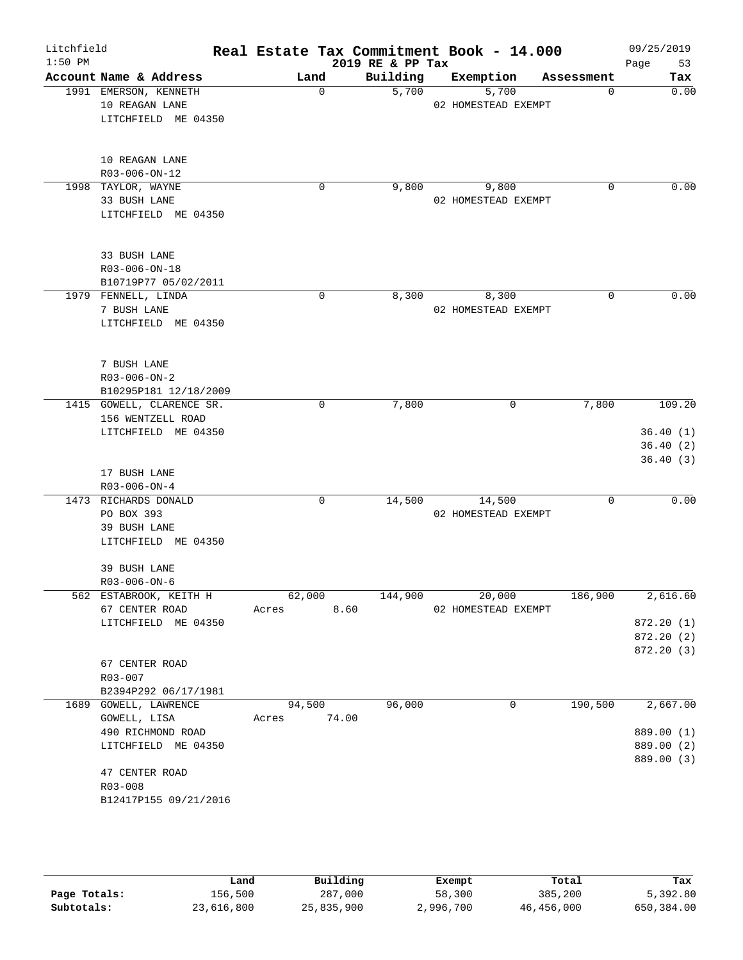| Litchfield |                                   | Real Estate Tax Commitment Book - 14.000 |                  |                     |            | 09/25/2019 |
|------------|-----------------------------------|------------------------------------------|------------------|---------------------|------------|------------|
| $1:50$ PM  |                                   |                                          | 2019 RE & PP Tax |                     |            | Page<br>53 |
|            | Account Name & Address            | Land                                     | Building         | Exemption           | Assessment | Tax        |
|            | 1991 EMERSON, KENNETH             | $\Omega$                                 | 5,700            | 5,700               | $\Omega$   | 0.00       |
|            | 10 REAGAN LANE                    |                                          |                  | 02 HOMESTEAD EXEMPT |            |            |
|            | LITCHFIELD ME 04350               |                                          |                  |                     |            |            |
|            |                                   |                                          |                  |                     |            |            |
|            |                                   |                                          |                  |                     |            |            |
|            | 10 REAGAN LANE                    |                                          |                  |                     |            |            |
|            | R03-006-ON-12                     |                                          |                  |                     |            |            |
|            | 1998 TAYLOR, WAYNE                | 0                                        | 9,800            | 9,800               | 0          | 0.00       |
|            | 33 BUSH LANE                      |                                          |                  | 02 HOMESTEAD EXEMPT |            |            |
|            | LITCHFIELD ME 04350               |                                          |                  |                     |            |            |
|            |                                   |                                          |                  |                     |            |            |
|            | 33 BUSH LANE                      |                                          |                  |                     |            |            |
|            | R03-006-ON-18                     |                                          |                  |                     |            |            |
|            | B10719P77 05/02/2011              |                                          |                  |                     |            |            |
|            | 1979 FENNELL, LINDA               | 0                                        | 8,300            | 8,300               | 0          | 0.00       |
|            | 7 BUSH LANE                       |                                          |                  | 02 HOMESTEAD EXEMPT |            |            |
|            | LITCHFIELD ME 04350               |                                          |                  |                     |            |            |
|            |                                   |                                          |                  |                     |            |            |
|            |                                   |                                          |                  |                     |            |            |
|            | 7 BUSH LANE                       |                                          |                  |                     |            |            |
|            | $R03 - 006 - ON - 2$              |                                          |                  |                     |            |            |
|            | B10295P181 12/18/2009             |                                          |                  |                     |            |            |
|            | 1415 GOWELL, CLARENCE SR.         | 0                                        | 7,800            | 0                   | 7,800      | 109.20     |
|            | 156 WENTZELL ROAD                 |                                          |                  |                     |            |            |
|            | LITCHFIELD ME 04350               |                                          |                  |                     |            | 36.40(1)   |
|            |                                   |                                          |                  |                     |            | 36.40(2)   |
|            | 17 BUSH LANE                      |                                          |                  |                     |            | 36.40(3)   |
|            | $R03 - 006 - ON - 4$              |                                          |                  |                     |            |            |
|            | 1473 RICHARDS DONALD              | 0                                        | 14,500           | 14,500              | 0          | 0.00       |
|            | PO BOX 393                        |                                          |                  | 02 HOMESTEAD EXEMPT |            |            |
|            | 39 BUSH LANE                      |                                          |                  |                     |            |            |
|            | LITCHFIELD ME 04350               |                                          |                  |                     |            |            |
|            |                                   |                                          |                  |                     |            |            |
|            | 39 BUSH LANE                      |                                          |                  |                     |            |            |
|            | $R03 - 006 - ON - 6$              |                                          |                  |                     |            |            |
|            | 562 ESTABROOK, KEITH H            | 62,000                                   | 144,900          | 20,000              | 186,900    | 2,616.60   |
|            | 67 CENTER ROAD                    | Acres                                    | 8.60             | 02 HOMESTEAD EXEMPT |            |            |
|            | LITCHFIELD ME 04350               |                                          |                  |                     |            | 872.20 (1) |
|            |                                   |                                          |                  |                     |            | 872.20 (2) |
|            |                                   |                                          |                  |                     |            | 872.20 (3) |
|            | 67 CENTER ROAD                    |                                          |                  |                     |            |            |
|            | R03-007                           |                                          |                  |                     |            |            |
|            | B2394P292 06/17/1981              |                                          |                  |                     |            |            |
|            | 1689 GOWELL, LAWRENCE             | 94,500<br>74.00<br>Acres                 | 96,000           | 0                   | 190,500    | 2,667.00   |
|            | GOWELL, LISA<br>490 RICHMOND ROAD |                                          |                  |                     |            | 889.00 (1) |
|            | LITCHFIELD ME 04350               |                                          |                  |                     |            | 889.00 (2) |
|            |                                   |                                          |                  |                     |            | 889.00 (3) |
|            | 47 CENTER ROAD                    |                                          |                  |                     |            |            |
|            | R03-008                           |                                          |                  |                     |            |            |
|            | B12417P155 09/21/2016             |                                          |                  |                     |            |            |
|            |                                   |                                          |                  |                     |            |            |

|              | Land       | Building   | Exempt    | Total      | Tax        |
|--------------|------------|------------|-----------|------------|------------|
| Page Totals: | 156,500    | 287,000    | 58,300    | 385,200    | 5,392.80   |
| Subtotals:   | 23,616,800 | 25,835,900 | 2,996,700 | 46,456,000 | 650,384.00 |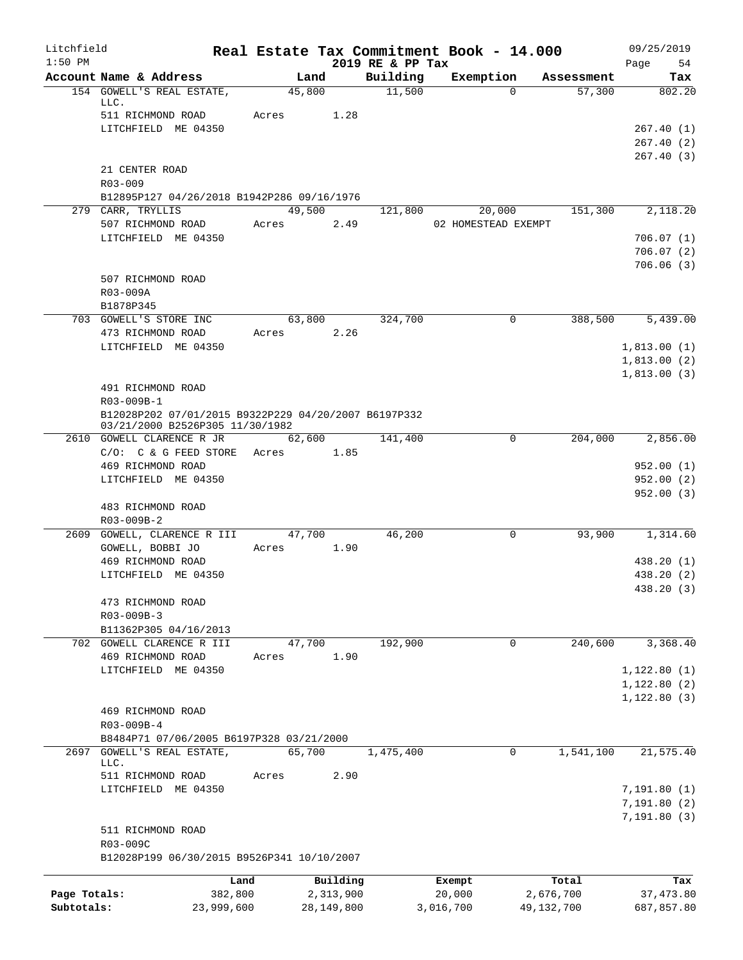| Litchfield<br>$1:50$ PM |                                                                                         | Real Estate Tax Commitment Book - 14.000 |              | 2019 RE & PP Tax |                     |             |            | 09/25/2019               |
|-------------------------|-----------------------------------------------------------------------------------------|------------------------------------------|--------------|------------------|---------------------|-------------|------------|--------------------------|
|                         | Account Name & Address                                                                  | Land                                     |              | Building         | Exemption           |             | Assessment | Page<br>54<br>Tax        |
|                         | 154 GOWELL'S REAL ESTATE,<br>LLC.                                                       | 45,800                                   |              | 11,500           |                     | $\Omega$    | 57,300     | 802.20                   |
|                         | 511 RICHMOND ROAD                                                                       | Acres                                    | 1.28         |                  |                     |             |            |                          |
|                         | LITCHFIELD ME 04350                                                                     |                                          |              |                  |                     |             |            | 267.40(1)<br>267.40(2)   |
|                         |                                                                                         |                                          |              |                  |                     |             |            | 267.40(3)                |
|                         | 21 CENTER ROAD                                                                          |                                          |              |                  |                     |             |            |                          |
|                         | $R03 - 009$                                                                             |                                          |              |                  |                     |             |            |                          |
|                         | B12895P127 04/26/2018 B1942P286 09/16/1976                                              |                                          |              |                  |                     |             |            |                          |
|                         | 279 CARR, TRYLLIS                                                                       | 49,500                                   |              | 121,800          |                     | 20,000      | 151,300    | 2,118.20                 |
|                         | 507 RICHMOND ROAD<br>LITCHFIELD ME 04350                                                | Acres                                    | 2.49         |                  | 02 HOMESTEAD EXEMPT |             |            | 706.07(1)                |
|                         |                                                                                         |                                          |              |                  |                     |             |            | 706.07(2)                |
|                         |                                                                                         |                                          |              |                  |                     |             |            | 706.06(3)                |
|                         | 507 RICHMOND ROAD                                                                       |                                          |              |                  |                     |             |            |                          |
|                         | R03-009A                                                                                |                                          |              |                  |                     |             |            |                          |
|                         | B1878P345<br>703 GOWELL'S STORE INC                                                     | 63,800                                   |              | 324,700          |                     | 0           | 388,500    | 5,439.00                 |
|                         | 473 RICHMOND ROAD                                                                       | Acres                                    | 2.26         |                  |                     |             |            |                          |
|                         | LITCHFIELD ME 04350                                                                     |                                          |              |                  |                     |             |            | 1,813.00(1)              |
|                         |                                                                                         |                                          |              |                  |                     |             |            | 1,813.00(2)              |
|                         |                                                                                         |                                          |              |                  |                     |             |            | 1,813.00(3)              |
|                         | 491 RICHMOND ROAD                                                                       |                                          |              |                  |                     |             |            |                          |
|                         | R03-009B-1                                                                              |                                          |              |                  |                     |             |            |                          |
|                         | B12028P202 07/01/2015 B9322P229 04/20/2007 B6197P332<br>03/21/2000 B2526P305 11/30/1982 |                                          |              |                  |                     |             |            |                          |
|                         | 2610 GOWELL CLARENCE R JR                                                               |                                          | 62,600       | 141,400          |                     | 0           | 204,000    | 2,856.00                 |
|                         | $C/O:$ $C \& G$ FEED STORE                                                              | Acres 1.85                               |              |                  |                     |             |            |                          |
|                         | 469 RICHMOND ROAD                                                                       |                                          |              |                  |                     |             |            | 952.00(1)                |
|                         | LITCHFIELD ME 04350                                                                     |                                          |              |                  |                     |             |            | 952.00(2)<br>952.00(3)   |
|                         | 483 RICHMOND ROAD                                                                       |                                          |              |                  |                     |             |            |                          |
|                         | R03-009B-2                                                                              |                                          |              |                  |                     |             |            |                          |
| 2609                    | GOWELL, CLARENCE R III                                                                  | 47,700                                   |              | 46,200           |                     | 0           | 93,900     | 1,314.60                 |
|                         | GOWELL, BOBBI JO                                                                        | Acres                                    | 1.90         |                  |                     |             |            |                          |
|                         | 469 RICHMOND ROAD                                                                       |                                          |              |                  |                     |             |            | 438.20 (1)               |
|                         | LITCHFIELD ME 04350                                                                     |                                          |              |                  |                     |             |            | 438.20 (2)<br>438.20 (3) |
|                         | 473 RICHMOND ROAD                                                                       |                                          |              |                  |                     |             |            |                          |
|                         | R03-009B-3                                                                              |                                          |              |                  |                     |             |            |                          |
|                         | B11362P305 04/16/2013                                                                   |                                          |              |                  |                     |             |            |                          |
|                         | 702 GOWELL CLARENCE R III                                                               | 47,700                                   |              | 192,900          |                     | $\mathbf 0$ | 240,600    | 3,368.40                 |
|                         | 469 RICHMOND ROAD<br>LITCHFIELD ME 04350                                                | Acres                                    | 1.90         |                  |                     |             |            | 1,122.80(1)              |
|                         |                                                                                         |                                          |              |                  |                     |             |            | 1,122.80(2)              |
|                         |                                                                                         |                                          |              |                  |                     |             |            | 1, 122.80(3)             |
|                         | 469 RICHMOND ROAD                                                                       |                                          |              |                  |                     |             |            |                          |
|                         | R03-009B-4                                                                              |                                          |              |                  |                     |             |            |                          |
|                         | B8484P71 07/06/2005 B6197P328 03/21/2000                                                |                                          |              |                  |                     |             |            |                          |
| 2697                    | GOWELL'S REAL ESTATE,<br>LLC.                                                           | 65,700                                   |              | 1,475,400        |                     | 0           | 1,541,100  | 21, 575.40               |
|                         | 511 RICHMOND ROAD                                                                       | Acres                                    | 2.90         |                  |                     |             |            |                          |
|                         | LITCHFIELD ME 04350                                                                     |                                          |              |                  |                     |             |            | 7,191.80(1)              |
|                         |                                                                                         |                                          |              |                  |                     |             |            | 7,191.80(2)              |
|                         |                                                                                         |                                          |              |                  |                     |             |            | 7,191.80(3)              |
|                         | 511 RICHMOND ROAD<br>R03-009C                                                           |                                          |              |                  |                     |             |            |                          |
|                         | B12028P199 06/30/2015 B9526P341 10/10/2007                                              |                                          |              |                  |                     |             |            |                          |
|                         |                                                                                         | Land                                     | Building     |                  | Exempt              |             | Total      | Tax                      |
| Page Totals:            |                                                                                         | 382,800                                  | 2,313,900    |                  | 20,000              |             | 2,676,700  | 37,473.80                |
| Subtotals:              | 23,999,600                                                                              |                                          | 28, 149, 800 |                  | 3,016,700           |             | 49,132,700 | 687,857.80               |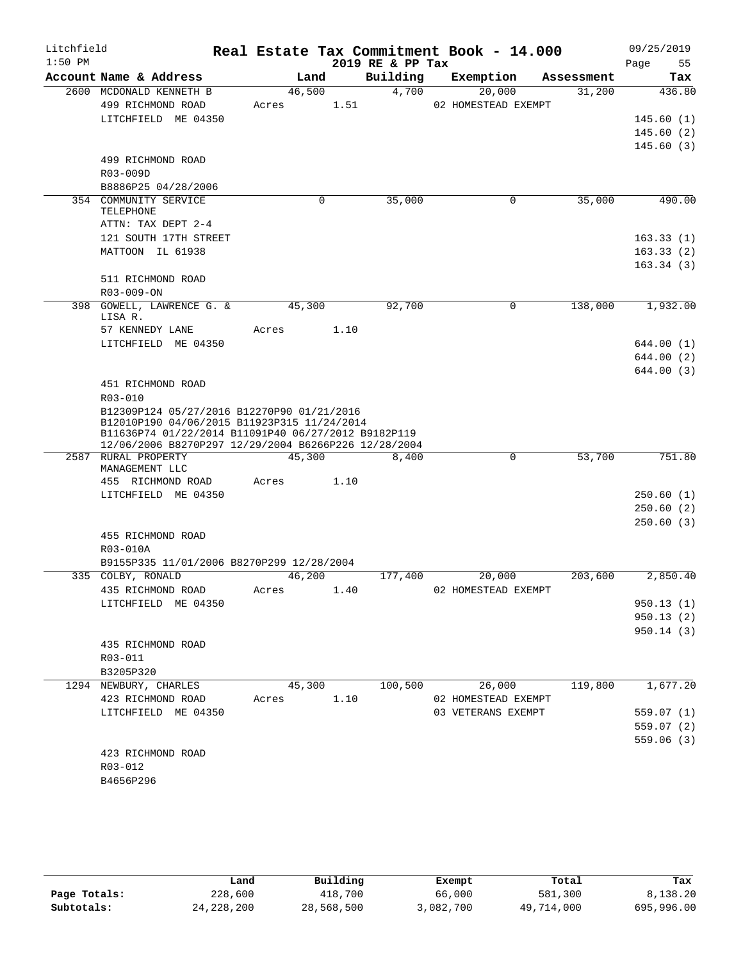| Litchfield<br>$1:50$ PM |                                                                                                                                                                                                          |        |             | 2019 RE & PP Tax | Real Estate Tax Commitment Book - 14.000 |            | 09/25/2019<br>55<br>Page |
|-------------------------|----------------------------------------------------------------------------------------------------------------------------------------------------------------------------------------------------------|--------|-------------|------------------|------------------------------------------|------------|--------------------------|
|                         | Account Name & Address                                                                                                                                                                                   | Land   |             | Building         | Exemption                                | Assessment | Tax                      |
|                         | 2600 MCDONALD KENNETH B                                                                                                                                                                                  | 46,500 |             | 4,700            | 20,000                                   | 31,200     | 436.80                   |
|                         | 499 RICHMOND ROAD                                                                                                                                                                                        | Acres  | 1.51        |                  | 02 HOMESTEAD EXEMPT                      |            |                          |
|                         | LITCHFIELD ME 04350                                                                                                                                                                                      |        |             |                  |                                          |            | 145.60(1)                |
|                         |                                                                                                                                                                                                          |        |             |                  |                                          |            | 145.60(2)                |
|                         |                                                                                                                                                                                                          |        |             |                  |                                          |            | 145.60(3)                |
|                         | 499 RICHMOND ROAD                                                                                                                                                                                        |        |             |                  |                                          |            |                          |
|                         | R03-009D                                                                                                                                                                                                 |        |             |                  |                                          |            |                          |
|                         | B8886P25 04/28/2006                                                                                                                                                                                      |        |             | 35,000           |                                          |            | 490.00                   |
|                         | 354 COMMUNITY SERVICE<br><b>TELEPHONE</b>                                                                                                                                                                |        | $\mathbf 0$ |                  | $\mathbf 0$                              | 35,000     |                          |
|                         | ATTN: TAX DEPT 2-4                                                                                                                                                                                       |        |             |                  |                                          |            |                          |
|                         | 121 SOUTH 17TH STREET                                                                                                                                                                                    |        |             |                  |                                          |            | 163.33(1)                |
|                         | MATTOON IL 61938                                                                                                                                                                                         |        |             |                  |                                          |            | 163.33(2)                |
|                         |                                                                                                                                                                                                          |        |             |                  |                                          |            | 163.34(3)                |
|                         | 511 RICHMOND ROAD                                                                                                                                                                                        |        |             |                  |                                          |            |                          |
|                         | R03-009-ON                                                                                                                                                                                               |        |             |                  |                                          |            |                          |
|                         | 398 GOWELL, LAWRENCE G. &                                                                                                                                                                                | 45,300 |             | 92,700           | $\mathbf 0$                              | 138,000    | 1,932.00                 |
|                         | LISA R.<br>57 KENNEDY LANE                                                                                                                                                                               | Acres  | 1.10        |                  |                                          |            |                          |
|                         | LITCHFIELD ME 04350                                                                                                                                                                                      |        |             |                  |                                          |            | 644.00 (1)               |
|                         |                                                                                                                                                                                                          |        |             |                  |                                          |            | 644.00(2)                |
|                         |                                                                                                                                                                                                          |        |             |                  |                                          |            | 644.00(3)                |
|                         | 451 RICHMOND ROAD                                                                                                                                                                                        |        |             |                  |                                          |            |                          |
|                         | R03-010                                                                                                                                                                                                  |        |             |                  |                                          |            |                          |
|                         | B12309P124 05/27/2016 B12270P90 01/21/2016<br>B12010P190 04/06/2015 B11923P315 11/24/2014<br>B11636P74 01/22/2014 B11091P40 06/27/2012 B9182P119<br>12/06/2006 B8270P297 12/29/2004 B6266P226 12/28/2004 |        |             |                  |                                          |            |                          |
|                         | 2587 RURAL PROPERTY                                                                                                                                                                                      | 45,300 |             | 8,400            | $\Omega$                                 | 53,700     | 751.80                   |
|                         | MANAGEMENT LLC                                                                                                                                                                                           |        |             |                  |                                          |            |                          |
|                         | 455 RICHMOND ROAD                                                                                                                                                                                        | Acres  | 1.10        |                  |                                          |            |                          |
|                         | LITCHFIELD ME 04350                                                                                                                                                                                      |        |             |                  |                                          |            | 250.60(1)                |
|                         |                                                                                                                                                                                                          |        |             |                  |                                          |            | 250.60(2)                |
|                         |                                                                                                                                                                                                          |        |             |                  |                                          |            | 250.60(3)                |
|                         | 455 RICHMOND ROAD                                                                                                                                                                                        |        |             |                  |                                          |            |                          |
|                         | R03-010A                                                                                                                                                                                                 |        |             |                  |                                          |            |                          |
|                         | B9155P335 11/01/2006 B8270P299 12/28/2004<br>335 COLBY, RONALD                                                                                                                                           | 46,200 |             | 177,400          | 20,000                                   | 203,600    | 2,850.40                 |
|                         | 435 RICHMOND ROAD                                                                                                                                                                                        | Acres  | 1.40        |                  | 02 HOMESTEAD EXEMPT                      |            |                          |
|                         | LITCHFIELD ME 04350                                                                                                                                                                                      |        |             |                  |                                          |            | 950.13(1)                |
|                         |                                                                                                                                                                                                          |        |             |                  |                                          |            | 950.13(2)                |
|                         |                                                                                                                                                                                                          |        |             |                  |                                          |            | 950.14(3)                |
|                         | 435 RICHMOND ROAD                                                                                                                                                                                        |        |             |                  |                                          |            |                          |
|                         | R03-011                                                                                                                                                                                                  |        |             |                  |                                          |            |                          |
|                         | B3205P320                                                                                                                                                                                                |        |             |                  |                                          |            |                          |
|                         | 1294 NEWBURY, CHARLES                                                                                                                                                                                    | 45,300 |             | 100,500          | 26,000                                   | 119,800    | 1,677.20                 |
|                         | 423 RICHMOND ROAD                                                                                                                                                                                        | Acres  | 1.10        |                  | 02 HOMESTEAD EXEMPT                      |            |                          |
|                         | LITCHFIELD ME 04350                                                                                                                                                                                      |        |             |                  | 03 VETERANS EXEMPT                       |            | 559.07(1)                |
|                         |                                                                                                                                                                                                          |        |             |                  |                                          |            | 559.07(2)                |
|                         |                                                                                                                                                                                                          |        |             |                  |                                          |            | 559.06(3)                |
|                         | 423 RICHMOND ROAD                                                                                                                                                                                        |        |             |                  |                                          |            |                          |
|                         | R03-012<br>B4656P296                                                                                                                                                                                     |        |             |                  |                                          |            |                          |
|                         |                                                                                                                                                                                                          |        |             |                  |                                          |            |                          |
|                         |                                                                                                                                                                                                          |        |             |                  |                                          |            |                          |

|              | Land         | Building   | Exempt    | Total      | Tax        |
|--------------|--------------|------------|-----------|------------|------------|
| Page Totals: | 228,600      | 418,700    | 66,000    | 581,300    | 8,138.20   |
| Subtotals:   | 24, 228, 200 | 28,568,500 | 3,082,700 | 49,714,000 | 695,996.00 |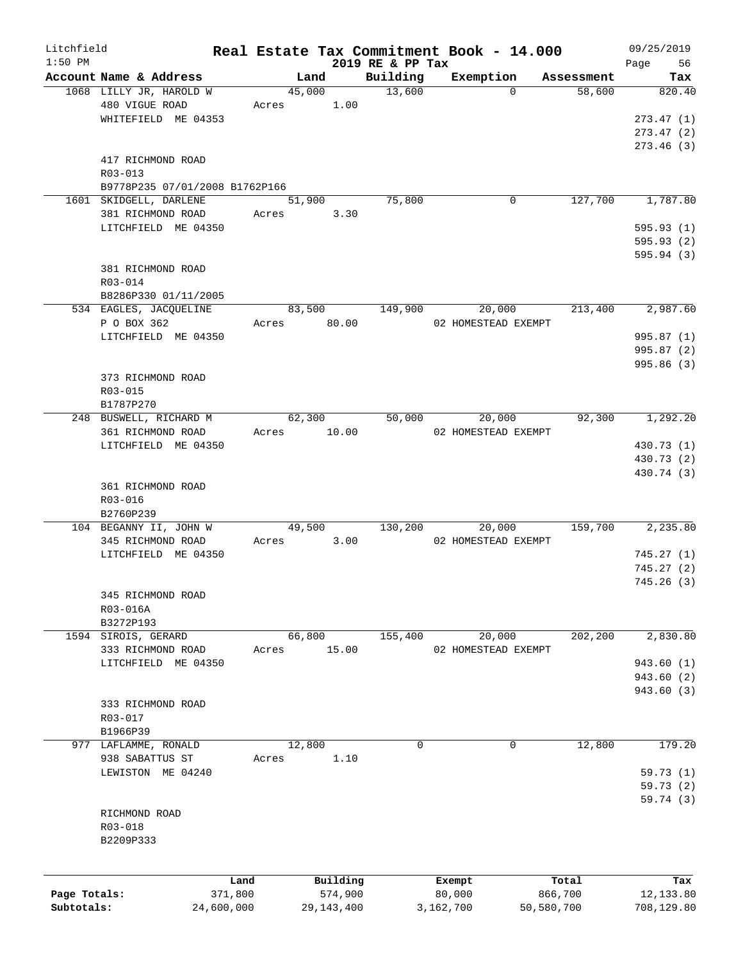| Litchfield<br>$1:50$ PM |                                |         |               |                              | Real Estate Tax Commitment Book - 14.000 |            | 09/25/2019        |
|-------------------------|--------------------------------|---------|---------------|------------------------------|------------------------------------------|------------|-------------------|
|                         | Account Name & Address         |         | Land          | 2019 RE & PP Tax<br>Building | Exemption                                | Assessment | Page<br>56<br>Tax |
|                         | 1068 LILLY JR, HAROLD W        |         | 45,000        | 13,600                       | $\Omega$                                 | 58,600     | 820.40            |
|                         | 480 VIGUE ROAD                 |         | 1.00<br>Acres |                              |                                          |            |                   |
|                         | WHITEFIELD ME 04353            |         |               |                              |                                          |            | 273.47(1)         |
|                         |                                |         |               |                              |                                          |            | 273.47(2)         |
|                         |                                |         |               |                              |                                          |            | 273.46(3)         |
|                         | 417 RICHMOND ROAD              |         |               |                              |                                          |            |                   |
|                         | $R03 - 013$                    |         |               |                              |                                          |            |                   |
|                         | B9778P235 07/01/2008 B1762P166 |         |               |                              |                                          |            |                   |
|                         | 1601 SKIDGELL, DARLENE         |         | 51,900        | 75,800                       | 0                                        | 127,700    | 1,787.80          |
|                         | 381 RICHMOND ROAD              |         | Acres<br>3.30 |                              |                                          |            |                   |
|                         | LITCHFIELD ME 04350            |         |               |                              |                                          |            | 595.93(1)         |
|                         |                                |         |               |                              |                                          |            | 595.93(2)         |
|                         |                                |         |               |                              |                                          |            | 595.94 (3)        |
|                         | 381 RICHMOND ROAD              |         |               |                              |                                          |            |                   |
|                         | $R03 - 014$                    |         |               |                              |                                          |            |                   |
|                         |                                |         |               |                              |                                          |            |                   |
|                         | B8286P330 01/11/2005           |         |               |                              |                                          |            |                   |
|                         | 534 EAGLES, JACQUELINE         |         | 83,500        | 149,900                      | 20,000                                   | 213,400    | 2,987.60          |
|                         | P O BOX 362                    |         | Acres 80.00   |                              | 02 HOMESTEAD EXEMPT                      |            |                   |
|                         | LITCHFIELD ME 04350            |         |               |                              |                                          |            | 995.87 (1)        |
|                         |                                |         |               |                              |                                          |            | 995.87 (2)        |
|                         |                                |         |               |                              |                                          |            | 995.86 (3)        |
|                         | 373 RICHMOND ROAD              |         |               |                              |                                          |            |                   |
|                         | R03-015                        |         |               |                              |                                          |            |                   |
|                         | B1787P270                      |         |               |                              |                                          |            |                   |
|                         | 248 BUSWELL, RICHARD M         |         | 62,300        | 50,000                       | 20,000                                   | 92,300     | 1,292.20          |
|                         | 361 RICHMOND ROAD              |         | Acres 10.00   |                              | 02 HOMESTEAD EXEMPT                      |            |                   |
|                         | LITCHFIELD ME 04350            |         |               |                              |                                          |            | 430.73 (1)        |
|                         |                                |         |               |                              |                                          |            | 430.73 (2)        |
|                         |                                |         |               |                              |                                          |            | 430.74 (3)        |
|                         | 361 RICHMOND ROAD              |         |               |                              |                                          |            |                   |
|                         | R03-016                        |         |               |                              |                                          |            |                   |
|                         | B2760P239                      |         |               |                              |                                          |            |                   |
|                         | 104 BEGANNY II, JOHN W         |         | 49,500        | 130,200                      | 20,000                                   | 159,700    | 2,235.80          |
|                         | 345 RICHMOND ROAD              |         | 3.00<br>Acres |                              | 02 HOMESTEAD EXEMPT                      |            |                   |
|                         | LITCHFIELD ME 04350            |         |               |                              |                                          |            | 745.27(1)         |
|                         |                                |         |               |                              |                                          |            | 745.27(2)         |
|                         |                                |         |               |                              |                                          |            | 745.26(3)         |
|                         | 345 RICHMOND ROAD              |         |               |                              |                                          |            |                   |
|                         | R03-016A                       |         |               |                              |                                          |            |                   |
|                         | B3272P193                      |         |               |                              |                                          |            |                   |
|                         | 1594 SIROIS, GERARD            |         | 66,800        | 155,400                      | 20,000                                   | 202,200    | 2,830.80          |
|                         | 333 RICHMOND ROAD              | Acres   | 15.00         |                              | 02 HOMESTEAD EXEMPT                      |            |                   |
|                         | LITCHFIELD ME 04350            |         |               |                              |                                          |            | 943.60 (1)        |
|                         |                                |         |               |                              |                                          |            | 943.60 (2)        |
|                         |                                |         |               |                              |                                          |            | 943.60 (3)        |
|                         | 333 RICHMOND ROAD              |         |               |                              |                                          |            |                   |
|                         | R03-017                        |         |               |                              |                                          |            |                   |
|                         | B1966P39                       |         |               |                              |                                          |            |                   |
|                         | 977 LAFLAMME, RONALD           |         | 12,800        | 0                            | 0                                        | 12,800     | 179.20            |
|                         | 938 SABATTUS ST                | Acres   | 1.10          |                              |                                          |            |                   |
|                         | LEWISTON ME 04240              |         |               |                              |                                          |            | 59.73(1)          |
|                         |                                |         |               |                              |                                          |            | 59.73(2)          |
|                         |                                |         |               |                              |                                          |            | 59.74(3)          |
|                         | RICHMOND ROAD                  |         |               |                              |                                          |            |                   |
|                         |                                |         |               |                              |                                          |            |                   |
|                         | R03-018                        |         |               |                              |                                          |            |                   |
|                         | B2209P333                      |         |               |                              |                                          |            |                   |
|                         |                                |         |               |                              |                                          |            |                   |
|                         |                                | Land    | Building      |                              | Exempt                                   | Total      | Tax               |
| Page Totals:            |                                | 371,800 | 574,900       |                              | 80,000                                   | 866,700    | 12,133.80         |
| Subtotals:              | 24,600,000                     |         | 29, 143, 400  |                              | 3,162,700                                | 50,580,700 | 708,129.80        |
|                         |                                |         |               |                              |                                          |            |                   |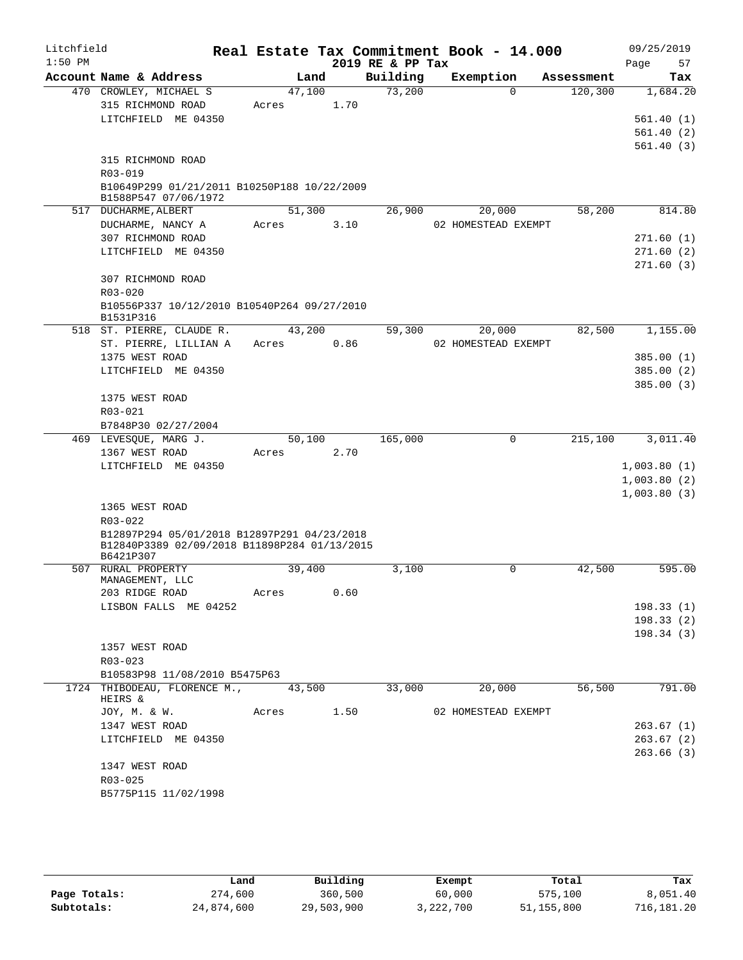| Litchfield |                                                                                             |       |            |      |      | Real Estate Tax Commitment Book - 14.000 |                     |          |            | 09/25/2019  |          |
|------------|---------------------------------------------------------------------------------------------|-------|------------|------|------|------------------------------------------|---------------------|----------|------------|-------------|----------|
| $1:50$ PM  |                                                                                             |       |            |      |      | 2019 RE & PP Tax                         |                     |          |            | Page        | 57       |
|            | Account Name & Address                                                                      |       |            | Land |      | Building                                 | Exemption           |          | Assessment |             | Tax      |
|            | 470 CROWLEY, MICHAEL S                                                                      |       | 47,100     |      |      | 73,200                                   |                     | $\Omega$ | 120,300    |             | 1,684.20 |
|            | 315 RICHMOND ROAD                                                                           | Acres |            |      | 1.70 |                                          |                     |          |            |             |          |
|            | LITCHFIELD ME 04350                                                                         |       |            |      |      |                                          |                     |          |            | 561.40(1)   |          |
|            |                                                                                             |       |            |      |      |                                          |                     |          |            | 561.40(2)   |          |
|            |                                                                                             |       |            |      |      |                                          |                     |          |            | 561.40(3)   |          |
|            | 315 RICHMOND ROAD                                                                           |       |            |      |      |                                          |                     |          |            |             |          |
|            | R03-019                                                                                     |       |            |      |      |                                          |                     |          |            |             |          |
|            | B10649P299 01/21/2011 B10250P188 10/22/2009<br>B1588P547 07/06/1972                         |       |            |      |      |                                          |                     |          |            |             |          |
|            | 517 DUCHARME, ALBERT                                                                        |       | 51,300     |      |      | 26,900                                   |                     | 20,000   | 58,200     |             | 814.80   |
|            | DUCHARME, NANCY A                                                                           | Acres |            |      | 3.10 |                                          | 02 HOMESTEAD EXEMPT |          |            |             |          |
|            | 307 RICHMOND ROAD                                                                           |       |            |      |      |                                          |                     |          |            | 271.60(1)   |          |
|            | LITCHFIELD ME 04350                                                                         |       |            |      |      |                                          |                     |          |            | 271.60(2)   |          |
|            |                                                                                             |       |            |      |      |                                          |                     |          |            | 271.60(3)   |          |
|            | 307 RICHMOND ROAD                                                                           |       |            |      |      |                                          |                     |          |            |             |          |
|            | R03-020                                                                                     |       |            |      |      |                                          |                     |          |            |             |          |
|            | B10556P337 10/12/2010 B10540P264 09/27/2010                                                 |       |            |      |      |                                          |                     |          |            |             |          |
|            | B1531P316                                                                                   |       |            |      |      |                                          |                     |          |            |             |          |
|            | 518 ST. PIERRE, CLAUDE R.                                                                   |       | 43,200     |      |      | 59,300                                   |                     | 20,000   | 82,500     |             | 1,155.00 |
|            | ST. PIERRE, LILLIAN A                                                                       | Acres |            |      | 0.86 |                                          | 02 HOMESTEAD EXEMPT |          |            |             |          |
|            | 1375 WEST ROAD                                                                              |       |            |      |      |                                          |                     |          |            | 385.00(1)   |          |
|            | LITCHFIELD ME 04350                                                                         |       |            |      |      |                                          |                     |          |            | 385.00(2)   |          |
|            |                                                                                             |       |            |      |      |                                          |                     |          |            | 385.00(3)   |          |
|            | 1375 WEST ROAD                                                                              |       |            |      |      |                                          |                     |          |            |             |          |
|            | R03-021                                                                                     |       |            |      |      |                                          |                     |          |            |             |          |
|            | B7848P30 02/27/2004                                                                         |       |            |      |      |                                          |                     |          |            |             |          |
|            | 469 LEVESQUE, MARG J.                                                                       |       | 50,100     |      |      | 165,000                                  |                     | 0        | 215,100    |             | 3,011.40 |
|            | 1367 WEST ROAD                                                                              | Acres |            |      | 2.70 |                                          |                     |          |            |             |          |
|            | LITCHFIELD ME 04350                                                                         |       |            |      |      |                                          |                     |          |            | 1,003.80(1) |          |
|            |                                                                                             |       |            |      |      |                                          |                     |          |            | 1,003.80(2) |          |
|            |                                                                                             |       |            |      |      |                                          |                     |          |            | 1,003.80(3) |          |
|            | 1365 WEST ROAD                                                                              |       |            |      |      |                                          |                     |          |            |             |          |
|            | R03-022                                                                                     |       |            |      |      |                                          |                     |          |            |             |          |
|            |                                                                                             |       |            |      |      |                                          |                     |          |            |             |          |
|            | B12897P294 05/01/2018 B12897P291 04/23/2018<br>B12840P3389 02/09/2018 B11898P284 01/13/2015 |       |            |      |      |                                          |                     |          |            |             |          |
|            | B6421P307                                                                                   |       |            |      |      |                                          |                     |          |            |             |          |
| 507        | RURAL PROPERTY                                                                              |       | 39,400     |      |      | 3,100                                    |                     | 0        | 42,500     |             | 595.00   |
|            | MANAGEMENT, LLC                                                                             |       |            |      |      |                                          |                     |          |            |             |          |
|            | 203 RIDGE ROAD                                                                              | Acres |            |      | 0.60 |                                          |                     |          |            |             |          |
|            | LISBON FALLS ME 04252                                                                       |       |            |      |      |                                          |                     |          |            | 198.33(1)   |          |
|            |                                                                                             |       |            |      |      |                                          |                     |          |            | 198.33(2)   |          |
|            |                                                                                             |       |            |      |      |                                          |                     |          |            | 198.34(3)   |          |
|            | 1357 WEST ROAD                                                                              |       |            |      |      |                                          |                     |          |            |             |          |
|            | R03-023                                                                                     |       |            |      |      |                                          |                     |          |            |             |          |
|            | B10583P98 11/08/2010 B5475P63                                                               |       |            |      |      |                                          |                     |          |            |             |          |
|            | 1724 THIBODEAU, FLORENCE M., 43,500<br>HEIRS &                                              |       |            |      |      | 33,000                                   |                     | 20,000   | 56,500     |             | 791.00   |
|            | JOY, M. & W.                                                                                |       | Acres 1.50 |      |      |                                          | 02 HOMESTEAD EXEMPT |          |            |             |          |
|            | 1347 WEST ROAD                                                                              |       |            |      |      |                                          |                     |          |            | 263.67(1)   |          |
|            | LITCHFIELD ME 04350                                                                         |       |            |      |      |                                          |                     |          |            | 263.67(2)   |          |
|            |                                                                                             |       |            |      |      |                                          |                     |          |            | 263.66(3)   |          |
|            | 1347 WEST ROAD                                                                              |       |            |      |      |                                          |                     |          |            |             |          |
|            | R03-025                                                                                     |       |            |      |      |                                          |                     |          |            |             |          |
|            | B5775P115 11/02/1998                                                                        |       |            |      |      |                                          |                     |          |            |             |          |
|            |                                                                                             |       |            |      |      |                                          |                     |          |            |             |          |
|            |                                                                                             |       |            |      |      |                                          |                     |          |            |             |          |

|              |            | Building   |           | Total      | Tax        |
|--------------|------------|------------|-----------|------------|------------|
|              | Land       |            | Exempt    |            |            |
| Page Totals: | 274,600    | 360,500    | 60,000    | 575,100    | 8,051.40   |
| Subtotals:   | 24,874,600 | 29,503,900 | 3,222,700 | 51,155,800 | 716,181.20 |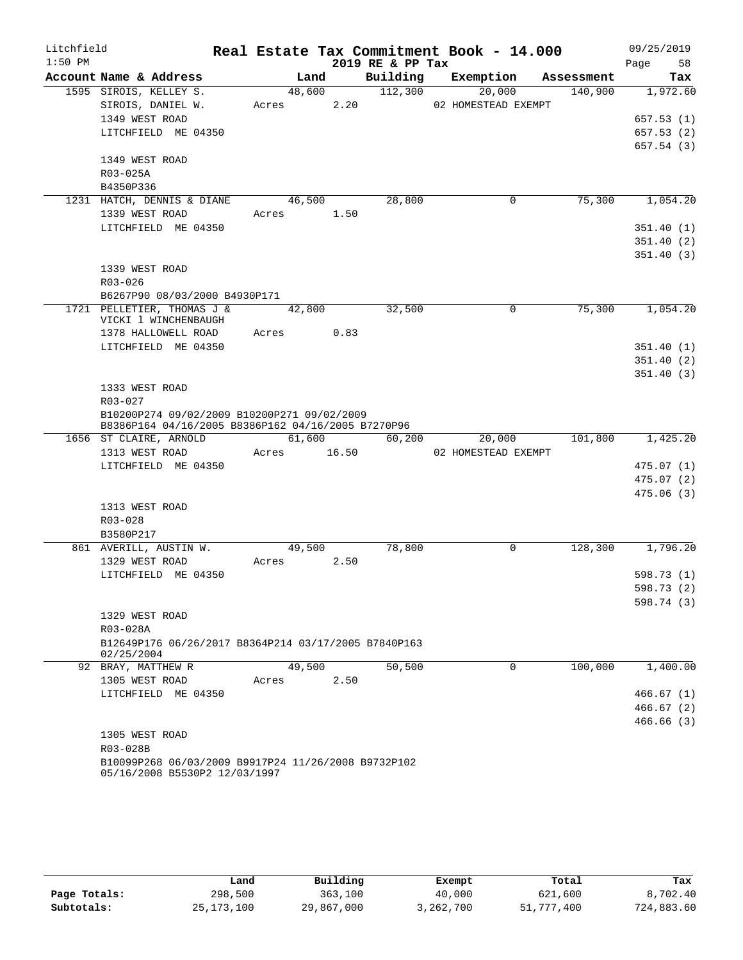| Litchfield |                                                                                      |        |       |                  | Real Estate Tax Commitment Book - 14.000 |                     | 09/25/2019 |
|------------|--------------------------------------------------------------------------------------|--------|-------|------------------|------------------------------------------|---------------------|------------|
| $1:50$ PM  |                                                                                      |        |       | 2019 RE & PP Tax |                                          |                     | Page<br>58 |
|            | Account Name & Address                                                               | Land   |       | Building         | Exemption                                | Assessment          | Tax        |
|            | 1595 SIROIS, KELLEY S.                                                               | 48,600 |       | 112,300          | 20,000                                   | 140,900             | 1,972.60   |
|            | SIROIS, DANIEL W.                                                                    | Acres  | 2.20  |                  | 02 HOMESTEAD EXEMPT                      |                     |            |
|            | 1349 WEST ROAD                                                                       |        |       |                  |                                          |                     | 657.53(1)  |
|            | LITCHFIELD ME 04350                                                                  |        |       |                  |                                          |                     | 657.53(2)  |
|            |                                                                                      |        |       |                  |                                          |                     | 657.54(3)  |
|            | 1349 WEST ROAD                                                                       |        |       |                  |                                          |                     |            |
|            | R03-025A                                                                             |        |       |                  |                                          |                     |            |
|            | B4350P336                                                                            |        |       |                  |                                          |                     |            |
|            | 1231 HATCH, DENNIS & DIANE                                                           | 46,500 |       | 28,800           | 0                                        | 75,300              | 1,054.20   |
|            | 1339 WEST ROAD                                                                       | Acres  | 1.50  |                  |                                          |                     |            |
|            | LITCHFIELD ME 04350                                                                  |        |       |                  |                                          |                     | 351.40(1)  |
|            |                                                                                      |        |       |                  |                                          |                     | 351.40(2)  |
|            |                                                                                      |        |       |                  |                                          |                     | 351.40(3)  |
|            | 1339 WEST ROAD                                                                       |        |       |                  |                                          |                     |            |
|            | $R03 - 026$                                                                          |        |       |                  |                                          |                     |            |
|            | B6267P90 08/03/2000 B4930P171                                                        |        |       |                  |                                          |                     |            |
|            | 1721 PELLETIER, THOMAS J &                                                           | 42,800 |       | 32,500           | 0                                        | $7\overline{5,300}$ | 1,054.20   |
|            | VICKI 1 WINCHENBAUGH<br>1378 HALLOWELL ROAD                                          | Acres  | 0.83  |                  |                                          |                     |            |
|            | LITCHFIELD ME 04350                                                                  |        |       |                  |                                          |                     | 351.40(1)  |
|            |                                                                                      |        |       |                  |                                          |                     | 351.40(2)  |
|            |                                                                                      |        |       |                  |                                          |                     | 351.40(3)  |
|            | 1333 WEST ROAD                                                                       |        |       |                  |                                          |                     |            |
|            | R03-027                                                                              |        |       |                  |                                          |                     |            |
|            | B10200P274 09/02/2009 B10200P271 09/02/2009                                          |        |       |                  |                                          |                     |            |
|            | B8386P164 04/16/2005 B8386P162 04/16/2005 B7270P96                                   |        |       |                  |                                          |                     |            |
|            | 1656 ST CLAIRE, ARNOLD                                                               | 61,600 |       | 60,200           | 20,000                                   | 101,800             | 1,425.20   |
|            | 1313 WEST ROAD                                                                       | Acres  | 16.50 |                  | 02 HOMESTEAD EXEMPT                      |                     |            |
|            | LITCHFIELD ME 04350                                                                  |        |       |                  |                                          |                     | 475.07(1)  |
|            |                                                                                      |        |       |                  |                                          |                     | 475.07(2)  |
|            |                                                                                      |        |       |                  |                                          |                     | 475.06(3)  |
|            | 1313 WEST ROAD                                                                       |        |       |                  |                                          |                     |            |
|            | R03-028                                                                              |        |       |                  |                                          |                     |            |
|            | B3580P217                                                                            |        |       |                  |                                          |                     |            |
|            | 861 AVERILL, AUSTIN W.                                                               | 49,500 |       | 78,800           | $\mathbf 0$                              | 128,300             | 1,796.20   |
|            | 1329 WEST ROAD                                                                       | Acres  | 2.50  |                  |                                          |                     |            |
|            | LITCHFIELD ME 04350                                                                  |        |       |                  |                                          |                     | 598.73(1)  |
|            |                                                                                      |        |       |                  |                                          |                     | 598.73 (2) |
|            |                                                                                      |        |       |                  |                                          |                     | 598.74(3)  |
|            | 1329 WEST ROAD                                                                       |        |       |                  |                                          |                     |            |
|            | R03-028A                                                                             |        |       |                  |                                          |                     |            |
|            | B12649P176 06/26/2017 B8364P214 03/17/2005 B7840P163<br>02/25/2004                   |        |       |                  |                                          |                     |            |
|            | 92 BRAY, MATTHEW R                                                                   | 49,500 |       | 50,500           | $\Omega$                                 | 100,000             | 1,400.00   |
|            | 1305 WEST ROAD                                                                       | Acres  | 2.50  |                  |                                          |                     |            |
|            | LITCHFIELD ME 04350                                                                  |        |       |                  |                                          |                     | 466.67(1)  |
|            |                                                                                      |        |       |                  |                                          |                     | 466.67(2)  |
|            |                                                                                      |        |       |                  |                                          |                     | 466.66(3)  |
|            | 1305 WEST ROAD                                                                       |        |       |                  |                                          |                     |            |
|            | R03-028B                                                                             |        |       |                  |                                          |                     |            |
|            | B10099P268 06/03/2009 B9917P24 11/26/2008 B9732P102<br>05/16/2008 B5530P2 12/03/1997 |        |       |                  |                                          |                     |            |

|              | Land         | Building   | Exempt    | Total      | Tax        |
|--------------|--------------|------------|-----------|------------|------------|
| Page Totals: | 298,500      | 363,100    | 40,000    | 621,600    | 8,702.40   |
| Subtotals:   | 25, 173, 100 | 29,867,000 | 3,262,700 | 51,777,400 | 724,883.60 |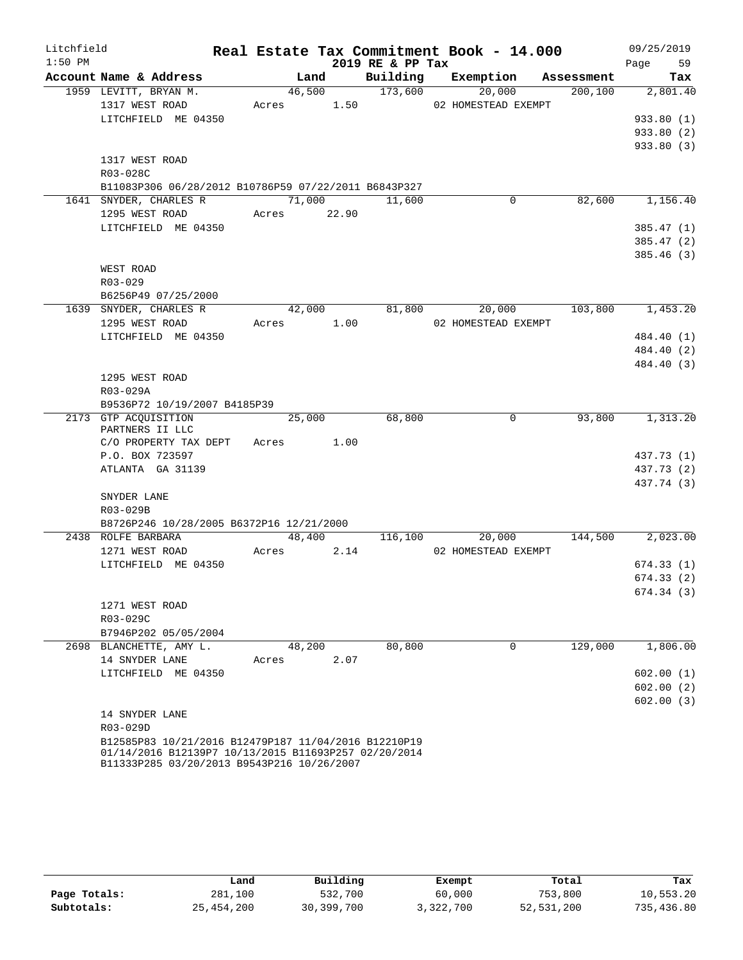| Litchfield |                                                                                                    |       |             |                  | Real Estate Tax Commitment Book - 14.000 |            | 09/25/2019               |
|------------|----------------------------------------------------------------------------------------------------|-------|-------------|------------------|------------------------------------------|------------|--------------------------|
| $1:50$ PM  |                                                                                                    |       |             | 2019 RE & PP Tax |                                          |            | 59<br>Page               |
|            | Account Name & Address                                                                             |       | Land        | Building         | Exemption                                | Assessment | Tax                      |
|            | 1959 LEVITT, BRYAN M.                                                                              |       | 46,500      | 173,600          | 20,000                                   | 200, 100   | 2,801.40                 |
|            | 1317 WEST ROAD                                                                                     | Acres | 1.50        |                  | 02 HOMESTEAD EXEMPT                      |            |                          |
|            | LITCHFIELD ME 04350                                                                                |       |             |                  |                                          |            | 933.80 (1)               |
|            |                                                                                                    |       |             |                  |                                          |            | 933.80 (2)               |
|            |                                                                                                    |       |             |                  |                                          |            | 933.80 (3)               |
|            | 1317 WEST ROAD                                                                                     |       |             |                  |                                          |            |                          |
|            | R03-028C                                                                                           |       |             |                  |                                          |            |                          |
|            | B11083P306 06/28/2012 B10786P59 07/22/2011 B6843P327                                               |       |             |                  |                                          |            |                          |
|            | 1641 SNYDER, CHARLES R                                                                             |       | 71,000      | 11,600           | $\mathbf 0$                              | 82,600     | 1,156.40                 |
|            | 1295 WEST ROAD                                                                                     |       | Acres 22.90 |                  |                                          |            |                          |
|            | LITCHFIELD ME 04350                                                                                |       |             |                  |                                          |            | 385.47(1)                |
|            |                                                                                                    |       |             |                  |                                          |            | 385.47 (2)               |
|            |                                                                                                    |       |             |                  |                                          |            | 385.46 (3)               |
|            | WEST ROAD                                                                                          |       |             |                  |                                          |            |                          |
|            | R03-029                                                                                            |       |             |                  |                                          |            |                          |
|            | B6256P49 07/25/2000                                                                                |       |             |                  |                                          |            |                          |
|            | 1639 SNYDER, CHARLES R                                                                             |       | 42,000      | 81,800           | 20,000                                   | 103,800    | 1,453.20                 |
|            | 1295 WEST ROAD                                                                                     | Acres | 1.00        |                  | 02 HOMESTEAD EXEMPT                      |            |                          |
|            | LITCHFIELD ME 04350                                                                                |       |             |                  |                                          |            | 484.40 (1)               |
|            |                                                                                                    |       |             |                  |                                          |            | 484.40 (2)<br>484.40 (3) |
|            | 1295 WEST ROAD                                                                                     |       |             |                  |                                          |            |                          |
|            | R03-029A                                                                                           |       |             |                  |                                          |            |                          |
|            | B9536P72 10/19/2007 B4185P39                                                                       |       |             |                  |                                          |            |                          |
|            | 2173 GTP ACOUISITION                                                                               |       | 25,000      | 68,800           | $\mathbf 0$                              | 93,800     | 1,313.20                 |
|            | PARTNERS II LLC                                                                                    |       |             |                  |                                          |            |                          |
|            | C/O PROPERTY TAX DEPT                                                                              | Acres | 1.00        |                  |                                          |            |                          |
|            | P.O. BOX 723597                                                                                    |       |             |                  |                                          |            | 437.73 (1)               |
|            | ATLANTA GA 31139                                                                                   |       |             |                  |                                          |            | 437.73 (2)               |
|            |                                                                                                    |       |             |                  |                                          |            | 437.74 (3)               |
|            | SNYDER LANE                                                                                        |       |             |                  |                                          |            |                          |
|            | R03-029B                                                                                           |       |             |                  |                                          |            |                          |
|            | B8726P246 10/28/2005 B6372P16 12/21/2000                                                           |       |             |                  |                                          |            |                          |
|            | 2438 ROLFE BARBARA                                                                                 |       | 48,400      | 116,100          | 20,000                                   | 144,500    | 2,023.00                 |
|            | 1271 WEST ROAD                                                                                     | Acres | 2.14        |                  | 02 HOMESTEAD EXEMPT                      |            |                          |
|            | LITCHFIELD ME 04350                                                                                |       |             |                  |                                          |            | 674.33(1)                |
|            |                                                                                                    |       |             |                  |                                          |            | 674.33(2)                |
|            |                                                                                                    |       |             |                  |                                          |            | 674.34 (3)               |
|            | 1271 WEST ROAD                                                                                     |       |             |                  |                                          |            |                          |
|            | R03-029C                                                                                           |       |             |                  |                                          |            |                          |
|            | B7946P202 05/05/2004                                                                               |       |             |                  |                                          |            |                          |
|            | 2698 BLANCHETTE, AMY L.                                                                            |       | 48,200      | 80,800           | 0                                        | 129,000    | 1,806.00                 |
|            | 14 SNYDER LANE                                                                                     | Acres | 2.07        |                  |                                          |            |                          |
|            | LITCHFIELD ME 04350                                                                                |       |             |                  |                                          |            | 602.00(1)                |
|            |                                                                                                    |       |             |                  |                                          |            | 602.00(2)                |
|            |                                                                                                    |       |             |                  |                                          |            | 602.00(3)                |
|            | 14 SNYDER LANE                                                                                     |       |             |                  |                                          |            |                          |
|            | R03-029D<br>B12585P83 10/21/2016 B12479P187 11/04/2016 B12210P19                                   |       |             |                  |                                          |            |                          |
|            | 01/14/2016 B12139P7 10/13/2015 B11693P257 02/20/2014<br>B11333P285 03/20/2013 B9543P216 10/26/2007 |       |             |                  |                                          |            |                          |

|              | Land         | Building   | Exempt    | Total      | Tax        |
|--------------|--------------|------------|-----------|------------|------------|
| Page Totals: | 281,100      | 532,700    | 60,000    | 753,800    | 10,553.20  |
| Subtotals:   | 25, 454, 200 | 30,399,700 | 3,322,700 | 52,531,200 | 735,436.80 |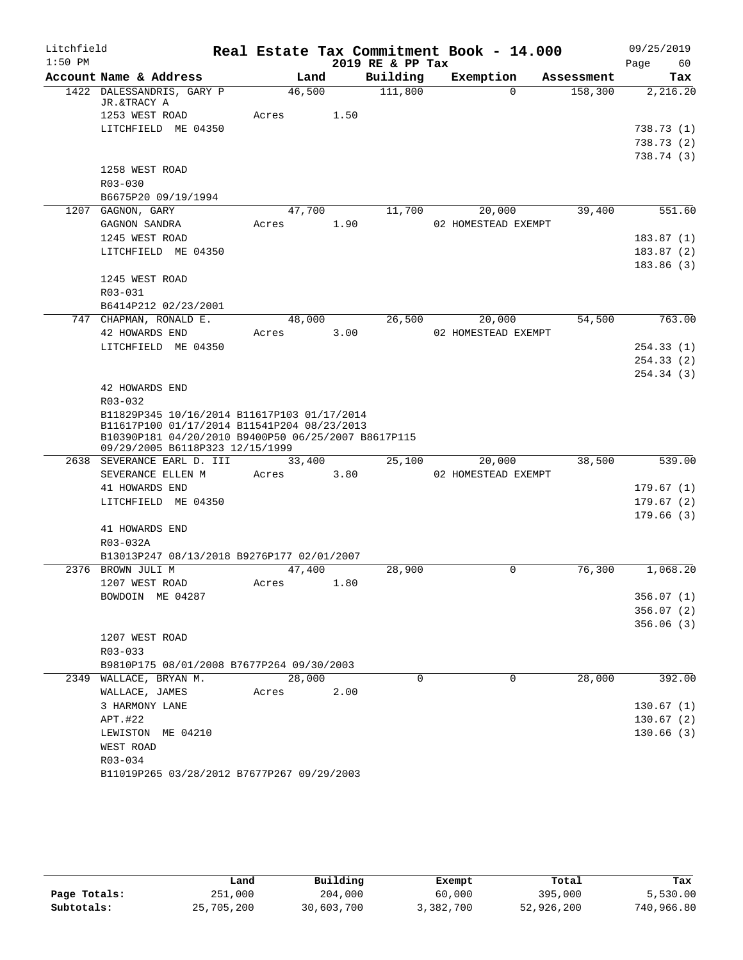| Litchfield |                                                                                                                                                                                      |            |      |                  | Real Estate Tax Commitment Book - 14.000 |            | 09/25/2019 |
|------------|--------------------------------------------------------------------------------------------------------------------------------------------------------------------------------------|------------|------|------------------|------------------------------------------|------------|------------|
| $1:50$ PM  |                                                                                                                                                                                      |            |      | 2019 RE & PP Tax |                                          |            | Page<br>60 |
|            | Account Name & Address                                                                                                                                                               | Land       |      | Building         | Exemption                                | Assessment | Tax        |
|            | 1422 DALESSANDRIS, GARY P<br>JR.&TRACY A                                                                                                                                             | 46,500     |      | 111,800          | $\Omega$                                 | 158,300    | 2,216.20   |
|            | 1253 WEST ROAD                                                                                                                                                                       | Acres      | 1.50 |                  |                                          |            |            |
|            | LITCHFIELD ME 04350                                                                                                                                                                  |            |      |                  |                                          |            | 738.73(1)  |
|            |                                                                                                                                                                                      |            |      |                  |                                          |            | 738.73(2)  |
|            |                                                                                                                                                                                      |            |      |                  |                                          |            | 738.74(3)  |
|            | 1258 WEST ROAD                                                                                                                                                                       |            |      |                  |                                          |            |            |
|            | $R03 - 030$                                                                                                                                                                          |            |      |                  |                                          |            |            |
|            | B6675P20 09/19/1994                                                                                                                                                                  |            |      |                  |                                          |            |            |
|            | 1207 GAGNON, GARY                                                                                                                                                                    | 47,700     |      | 11,700           | 20,000                                   | 39,400     | 551.60     |
|            | GAGNON SANDRA                                                                                                                                                                        | Acres      | 1.90 |                  | 02 HOMESTEAD EXEMPT                      |            |            |
|            | 1245 WEST ROAD                                                                                                                                                                       |            |      |                  |                                          |            | 183.87(1)  |
|            | LITCHFIELD ME 04350                                                                                                                                                                  |            |      |                  |                                          |            | 183.87(2)  |
|            |                                                                                                                                                                                      |            |      |                  |                                          |            | 183.86(3)  |
|            | 1245 WEST ROAD                                                                                                                                                                       |            |      |                  |                                          |            |            |
|            | R03-031                                                                                                                                                                              |            |      |                  |                                          |            |            |
|            | B6414P212 02/23/2001                                                                                                                                                                 |            |      |                  |                                          |            |            |
|            | 747 CHAPMAN, RONALD E.                                                                                                                                                               | 48,000     |      | 26,500           | 20,000                                   | 54,500     | 763.00     |
|            | 42 HOWARDS END                                                                                                                                                                       | Acres      | 3.00 |                  | 02 HOMESTEAD EXEMPT                      |            |            |
|            | LITCHFIELD ME 04350                                                                                                                                                                  |            |      |                  |                                          |            | 254.33(1)  |
|            |                                                                                                                                                                                      |            |      |                  |                                          |            | 254.33(2)  |
|            |                                                                                                                                                                                      |            |      |                  |                                          |            | 254.34(3)  |
|            | 42 HOWARDS END                                                                                                                                                                       |            |      |                  |                                          |            |            |
|            | R03-032                                                                                                                                                                              |            |      |                  |                                          |            |            |
|            | B11829P345 10/16/2014 B11617P103 01/17/2014<br>B11617P100 01/17/2014 B11541P204 08/23/2013<br>B10390P181 04/20/2010 B9400P50 06/25/2007 B8617P115<br>09/29/2005 B6118P323 12/15/1999 |            |      |                  |                                          |            |            |
|            | 2638 SEVERANCE EARL D. III                                                                                                                                                           | 33,400     |      | 25,100           | 20,000                                   | 38,500     | 539.00     |
|            | SEVERANCE ELLEN M                                                                                                                                                                    | Acres      | 3.80 |                  | 02 HOMESTEAD EXEMPT                      |            |            |
|            | 41 HOWARDS END                                                                                                                                                                       |            |      |                  |                                          |            | 179.67(1)  |
|            | LITCHFIELD ME 04350                                                                                                                                                                  |            |      |                  |                                          |            | 179.67(2)  |
|            |                                                                                                                                                                                      |            |      |                  |                                          |            | 179.66(3)  |
|            | 41 HOWARDS END                                                                                                                                                                       |            |      |                  |                                          |            |            |
|            | R03-032A                                                                                                                                                                             |            |      |                  |                                          |            |            |
|            | B13013P247 08/13/2018 B9276P177 02/01/2007                                                                                                                                           |            |      |                  |                                          |            |            |
|            | 2376 BROWN JULI M                                                                                                                                                                    | 47,400     |      | 28,900           | 0                                        | 76,300     | 1,068.20   |
|            | 1207 WEST ROAD                                                                                                                                                                       | Acres 1.80 |      |                  |                                          |            |            |
|            | BOWDOIN ME 04287                                                                                                                                                                     |            |      |                  |                                          |            | 356.07(1)  |
|            |                                                                                                                                                                                      |            |      |                  |                                          |            | 356.07(2)  |
|            |                                                                                                                                                                                      |            |      |                  |                                          |            | 356.06(3)  |
|            | 1207 WEST ROAD                                                                                                                                                                       |            |      |                  |                                          |            |            |
|            | R03-033                                                                                                                                                                              |            |      |                  |                                          |            |            |
|            | B9810P175 08/01/2008 B7677P264 09/30/2003                                                                                                                                            |            |      |                  |                                          |            |            |
|            | 2349 WALLACE, BRYAN M.                                                                                                                                                               | 28,000     |      | $\mathbf 0$      | 0                                        | 28,000     | 392.00     |
|            | WALLACE, JAMES                                                                                                                                                                       | Acres      | 2.00 |                  |                                          |            |            |
|            | 3 HARMONY LANE                                                                                                                                                                       |            |      |                  |                                          |            | 130.67(1)  |
|            | APT.#22                                                                                                                                                                              |            |      |                  |                                          |            | 130.67(2)  |
|            | LEWISTON ME 04210                                                                                                                                                                    |            |      |                  |                                          |            | 130.66(3)  |
|            | WEST ROAD                                                                                                                                                                            |            |      |                  |                                          |            |            |
|            | R03-034                                                                                                                                                                              |            |      |                  |                                          |            |            |
|            | B11019P265 03/28/2012 B7677P267 09/29/2003                                                                                                                                           |            |      |                  |                                          |            |            |

|              | Land       | Building   | Exempt    | Total      | Tax        |
|--------------|------------|------------|-----------|------------|------------|
| Page Totals: | 251,000    | 204,000    | 60,000    | 395,000    | 5,530.00   |
| Subtotals:   | 25,705,200 | 30,603,700 | 3,382,700 | 52,926,200 | 740,966.80 |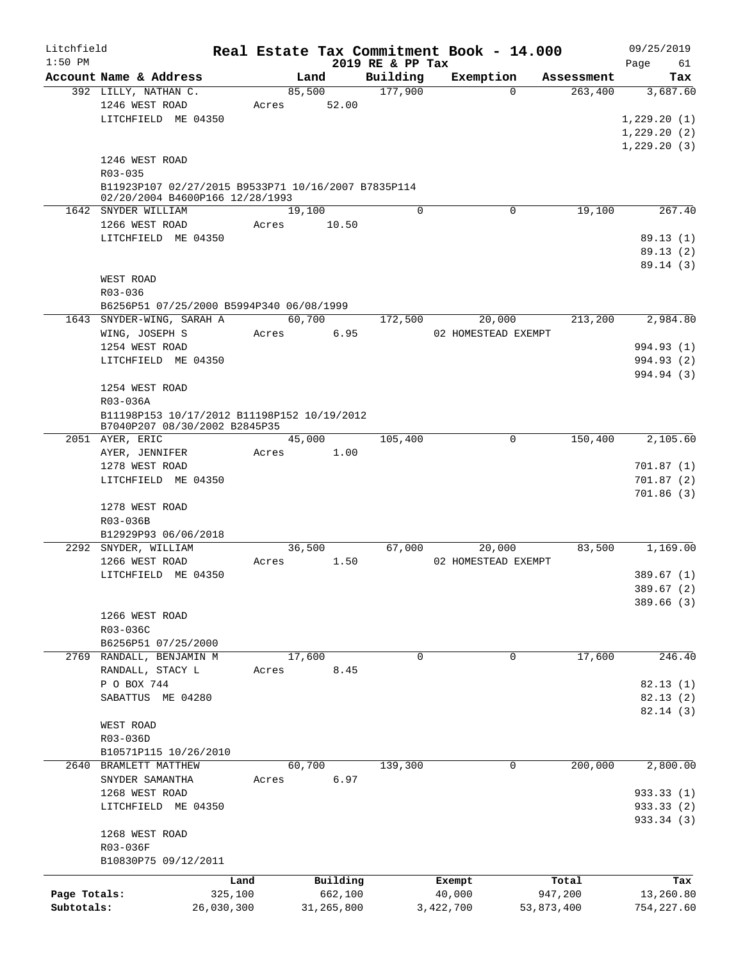| Litchfield<br>$1:50$ PM |                                                     |         |            | 2019 RE & PP Tax | Real Estate Tax Commitment Book - 14.000 |             |            | 09/25/2019<br>Page<br>61 |
|-------------------------|-----------------------------------------------------|---------|------------|------------------|------------------------------------------|-------------|------------|--------------------------|
|                         | Account Name & Address                              |         | Land       | Building         | Exemption                                |             | Assessment | Tax                      |
|                         | 392 LILLY, NATHAN C.                                |         | 85,500     | 177,900          |                                          | $\Omega$    | 263,400    | 3,687.60                 |
|                         | 1246 WEST ROAD                                      | Acres   | 52.00      |                  |                                          |             |            |                          |
|                         | LITCHFIELD ME 04350                                 |         |            |                  |                                          |             |            | 1,229.20(1)              |
|                         |                                                     |         |            |                  |                                          |             |            | 1,229.20(2)              |
|                         |                                                     |         |            |                  |                                          |             |            | 1, 229.20(3)             |
|                         | 1246 WEST ROAD                                      |         |            |                  |                                          |             |            |                          |
|                         | R03-035                                             |         |            |                  |                                          |             |            |                          |
|                         | B11923P107 02/27/2015 B9533P71 10/16/2007 B7835P114 |         |            |                  |                                          |             |            |                          |
|                         | 02/20/2004 B4600P166 12/28/1993                     |         |            |                  |                                          |             |            |                          |
|                         | 1642 SNYDER WILLIAM                                 |         | 19,100     | $\Omega$         |                                          | 0           | 19,100     | 267.40                   |
|                         | 1266 WEST ROAD                                      | Acres   | 10.50      |                  |                                          |             |            |                          |
|                         | LITCHFIELD ME 04350                                 |         |            |                  |                                          |             |            | 89.13(1)                 |
|                         |                                                     |         |            |                  |                                          |             |            | 89.13 (2)                |
|                         |                                                     |         |            |                  |                                          |             |            | 89.14(3)                 |
|                         | WEST ROAD                                           |         |            |                  |                                          |             |            |                          |
|                         | R03-036                                             |         |            |                  |                                          |             |            |                          |
|                         | B6256P51 07/25/2000 B5994P340 06/08/1999            |         |            |                  |                                          |             |            |                          |
|                         | 1643 SNYDER-WING, SARAH A                           |         | 60,700     | 172,500          | 20,000                                   |             | 213,200    | 2,984.80                 |
|                         | WING, JOSEPH S                                      | Acres   | 6.95       |                  | 02 HOMESTEAD EXEMPT                      |             |            |                          |
|                         | 1254 WEST ROAD                                      |         |            |                  |                                          |             |            | 994.93 (1)               |
|                         | LITCHFIELD ME 04350                                 |         |            |                  |                                          |             |            | 994.93 (2)               |
|                         |                                                     |         |            |                  |                                          |             |            | 994.94 (3)               |
|                         | 1254 WEST ROAD                                      |         |            |                  |                                          |             |            |                          |
|                         | R03-036A                                            |         |            |                  |                                          |             |            |                          |
|                         | B11198P153 10/17/2012 B11198P152 10/19/2012         |         |            |                  |                                          |             |            |                          |
|                         | B7040P207 08/30/2002 B2845P35                       |         |            |                  |                                          |             |            |                          |
|                         | 2051 AYER, ERIC                                     |         | 45,000     | 105,400          |                                          | 0           | 150,400    | 2,105.60                 |
|                         | AYER, JENNIFER                                      | Acres   | 1.00       |                  |                                          |             |            |                          |
|                         | 1278 WEST ROAD                                      |         |            |                  |                                          |             |            | 701.87(1)                |
|                         | LITCHFIELD ME 04350                                 |         |            |                  |                                          |             |            | 701.87(2)                |
|                         |                                                     |         |            |                  |                                          |             |            | 701.86(3)                |
|                         | 1278 WEST ROAD                                      |         |            |                  |                                          |             |            |                          |
|                         | R03-036B                                            |         |            |                  |                                          |             |            |                          |
|                         | B12929P93 06/06/2018                                |         |            |                  |                                          |             |            |                          |
|                         | 2292 SNYDER, WILLIAM                                |         | 36,500     | 67,000           | 20,000                                   |             | 83,500     | 1,169.00                 |
|                         | 1266 WEST ROAD                                      | Acres   | 1.50       |                  | 02 HOMESTEAD EXEMPT                      |             |            |                          |
|                         | LITCHFIELD ME 04350                                 |         |            |                  |                                          |             |            | 389.67 (1)               |
|                         |                                                     |         |            |                  |                                          |             |            | 389.67 (2)               |
|                         |                                                     |         |            |                  |                                          |             |            | 389.66(3)                |
|                         | 1266 WEST ROAD                                      |         |            |                  |                                          |             |            |                          |
|                         | R03-036C                                            |         |            |                  |                                          |             |            |                          |
|                         | B6256P51 07/25/2000                                 |         |            |                  |                                          |             |            |                          |
| 2769                    | RANDALL, BENJAMIN M                                 |         | 17,600     | $\mathbf 0$      |                                          | $\mathbf 0$ | 17,600     | 246.40                   |
|                         | RANDALL, STACY L                                    | Acres   | 8.45       |                  |                                          |             |            |                          |
|                         | P O BOX 744                                         |         |            |                  |                                          |             |            | 82.13(1)                 |
|                         | SABATTUS ME 04280                                   |         |            |                  |                                          |             |            | 82.13 (2)                |
|                         |                                                     |         |            |                  |                                          |             |            | 82.14(3)                 |
|                         | WEST ROAD                                           |         |            |                  |                                          |             |            |                          |
|                         | R03-036D                                            |         |            |                  |                                          |             |            |                          |
|                         | B10571P115 10/26/2010                               |         |            |                  |                                          |             |            |                          |
| 2640                    | BRAMLETT MATTHEW                                    |         | 60,700     | 139,300          |                                          | $\mathbf 0$ | 200,000    | 2,800.00                 |
|                         | SNYDER SAMANTHA                                     | Acres   | 6.97       |                  |                                          |             |            |                          |
|                         | 1268 WEST ROAD                                      |         |            |                  |                                          |             |            | 933.33 (1)               |
|                         | LITCHFIELD ME 04350                                 |         |            |                  |                                          |             |            | 933.33 (2)               |
|                         |                                                     |         |            |                  |                                          |             |            | 933.34 (3)               |
|                         | 1268 WEST ROAD                                      |         |            |                  |                                          |             |            |                          |
|                         | R03-036F                                            |         |            |                  |                                          |             |            |                          |
|                         | B10830P75 09/12/2011                                |         |            |                  |                                          |             |            |                          |
|                         |                                                     | Land    | Building   |                  | Exempt                                   |             | Total      | Tax                      |
| Page Totals:            |                                                     | 325,100 | 662,100    |                  | 40,000                                   |             | 947,200    | 13,260.80                |
| Subtotals:              | 26,030,300                                          |         | 31,265,800 |                  | 3,422,700                                |             | 53,873,400 | 754,227.60               |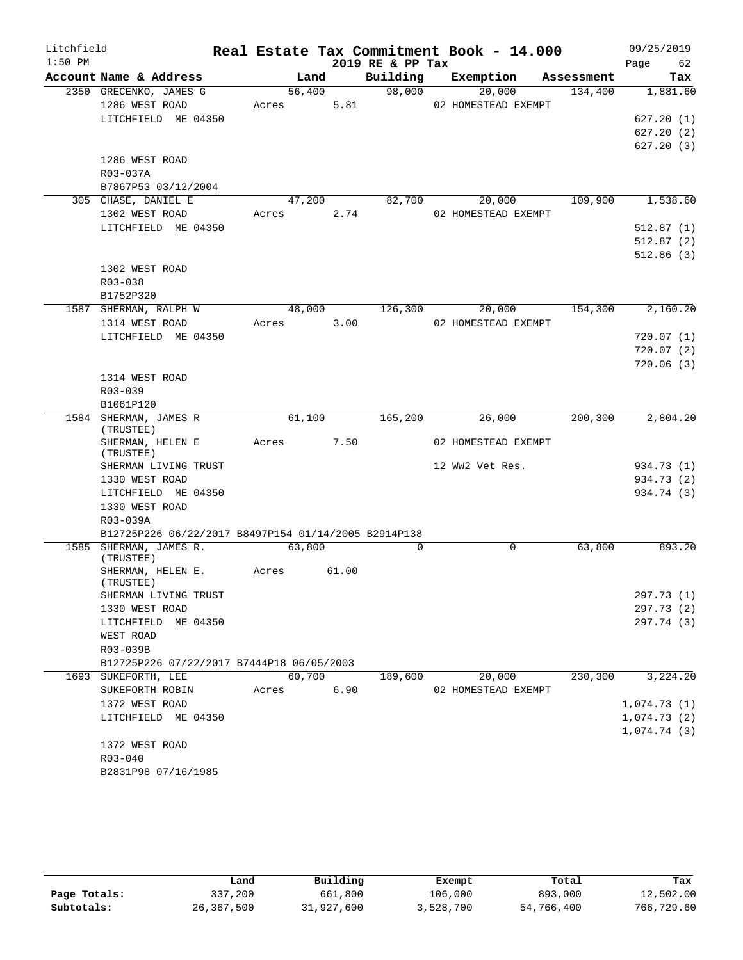| Litchfield |                                                      |       |             |      | Real Estate Tax Commitment Book - 14.000 |                     |            | 09/25/2019  |
|------------|------------------------------------------------------|-------|-------------|------|------------------------------------------|---------------------|------------|-------------|
| $1:50$ PM  |                                                      |       |             |      | 2019 RE & PP Tax                         |                     |            | Page<br>62  |
|            | Account Name & Address                               |       | Land        |      | Building                                 | Exemption           | Assessment | Tax         |
|            | 2350 GRECENKO, JAMES G                               |       | 56,400      |      | 98,000                                   | 20,000              | 134,400    | 1,881.60    |
|            | 1286 WEST ROAD                                       |       | Acres       | 5.81 |                                          | 02 HOMESTEAD EXEMPT |            |             |
|            | LITCHFIELD ME 04350                                  |       |             |      |                                          |                     |            | 627.20(1)   |
|            |                                                      |       |             |      |                                          |                     |            | 627.20(2)   |
|            |                                                      |       |             |      |                                          |                     |            | 627.20(3)   |
|            | 1286 WEST ROAD                                       |       |             |      |                                          |                     |            |             |
|            | R03-037A                                             |       |             |      |                                          |                     |            |             |
|            | B7867P53 03/12/2004                                  |       |             |      |                                          |                     |            |             |
|            | 305 CHASE, DANIEL E                                  |       | 47,200      |      | 82,700                                   | 20,000              | 109,900    | 1,538.60    |
|            | 1302 WEST ROAD                                       |       | Acres       | 2.74 |                                          | 02 HOMESTEAD EXEMPT |            |             |
|            | LITCHFIELD ME 04350                                  |       |             |      |                                          |                     |            | 512.87(1)   |
|            |                                                      |       |             |      |                                          |                     |            | 512.87(2)   |
|            |                                                      |       |             |      |                                          |                     |            | 512.86(3)   |
|            | 1302 WEST ROAD<br>$R03 - 038$                        |       |             |      |                                          |                     |            |             |
|            |                                                      |       |             |      |                                          |                     |            |             |
|            | B1752P320<br>1587 SHERMAN, RALPH W                   |       | 48,000      |      | 126,300                                  | 20,000              | 154,300    | 2,160.20    |
|            | 1314 WEST ROAD                                       |       | Acres       | 3.00 |                                          | 02 HOMESTEAD EXEMPT |            |             |
|            | LITCHFIELD ME 04350                                  |       |             |      |                                          |                     |            | 720.07(1)   |
|            |                                                      |       |             |      |                                          |                     |            | 720.07(2)   |
|            |                                                      |       |             |      |                                          |                     |            | 720.06(3)   |
|            | 1314 WEST ROAD                                       |       |             |      |                                          |                     |            |             |
|            | $R03 - 039$                                          |       |             |      |                                          |                     |            |             |
|            | B1061P120                                            |       |             |      |                                          |                     |            |             |
|            | 1584 SHERMAN, JAMES R                                |       | 61,100      |      | 165,200                                  | 26,000              | 200, 300   | 2,804.20    |
|            | (TRUSTEE)                                            |       |             |      |                                          |                     |            |             |
|            | SHERMAN, HELEN E                                     |       | Acres       | 7.50 |                                          | 02 HOMESTEAD EXEMPT |            |             |
|            | (TRUSTEE)                                            |       |             |      |                                          |                     |            |             |
|            | SHERMAN LIVING TRUST                                 |       |             |      |                                          | 12 WW2 Vet Res.     |            | 934.73 (1)  |
|            | 1330 WEST ROAD                                       |       |             |      |                                          |                     |            | 934.73 (2)  |
|            | LITCHFIELD ME 04350                                  |       |             |      |                                          |                     |            | 934.74 (3)  |
|            | 1330 WEST ROAD                                       |       |             |      |                                          |                     |            |             |
|            | R03-039A                                             |       |             |      |                                          |                     |            |             |
|            | B12725P226 06/22/2017 B8497P154 01/14/2005 B2914P138 |       |             |      |                                          |                     |            | 893.20      |
|            | 1585 SHERMAN, JAMES R.<br>(TRUSTEE)                  |       | 63,800      |      | $\Omega$                                 | $\mathbf 0$         | 63,800     |             |
|            | SHERMAN, HELEN E.                                    |       | Acres 61.00 |      |                                          |                     |            |             |
|            | (TRUSTEE)                                            |       |             |      |                                          |                     |            |             |
|            | SHERMAN LIVING TRUST                                 |       |             |      |                                          |                     |            | 297.73 (1)  |
|            | 1330 WEST ROAD                                       |       |             |      |                                          |                     |            | 297.73 (2)  |
|            | LITCHFIELD ME 04350                                  |       |             |      |                                          |                     |            | 297.74 (3)  |
|            | WEST ROAD                                            |       |             |      |                                          |                     |            |             |
|            | R03-039B                                             |       |             |      |                                          |                     |            |             |
|            | B12725P226 07/22/2017 B7444P18 06/05/2003            |       |             |      |                                          |                     |            |             |
|            | 1693 SUKEFORTH, LEE                                  |       | 60,700      |      | 189,600                                  | 20,000              | 230,300    | 3,224.20    |
|            | SUKEFORTH ROBIN                                      | Acres |             | 6.90 |                                          | 02 HOMESTEAD EXEMPT |            |             |
|            | 1372 WEST ROAD                                       |       |             |      |                                          |                     |            | 1,074.73(1) |
|            | LITCHFIELD ME 04350                                  |       |             |      |                                          |                     |            | 1,074.73(2) |
|            |                                                      |       |             |      |                                          |                     |            | 1,074.74(3) |
|            | 1372 WEST ROAD                                       |       |             |      |                                          |                     |            |             |
|            | R03-040                                              |       |             |      |                                          |                     |            |             |
|            | B2831P98 07/16/1985                                  |       |             |      |                                          |                     |            |             |

|              | Land       | Building   | Exempt    | Total      | Tax        |
|--------------|------------|------------|-----------|------------|------------|
| Page Totals: | 337,200    | 661,800    | 106,000   | 893,000    | 12,502.00  |
| Subtotals:   | 26,367,500 | 31,927,600 | 3,528,700 | 54,766,400 | 766,729.60 |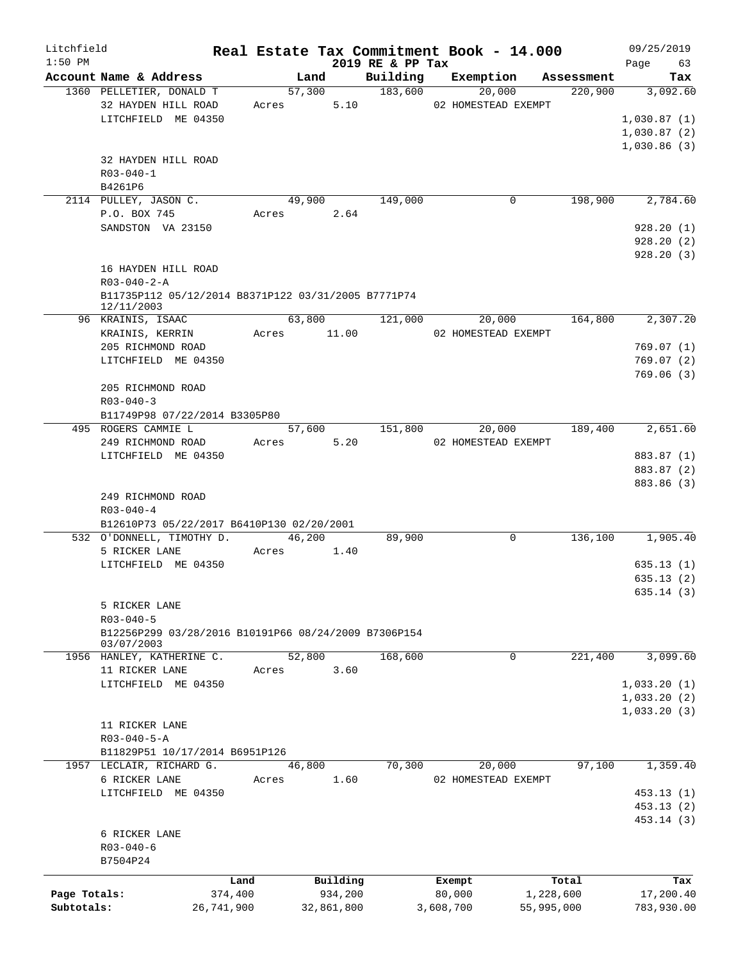| Litchfield<br>$1:50$ PM |                                                                   |            |             |        |            | 2019 RE & PP Tax |           |                                | Real Estate Tax Commitment Book - 14.000 | 09/25/2019<br>Page 63 |
|-------------------------|-------------------------------------------------------------------|------------|-------------|--------|------------|------------------|-----------|--------------------------------|------------------------------------------|-----------------------|
|                         | Account Name & Address                                            |            |             | Land   |            |                  |           |                                | Building Exemption Assessment            | Tax                   |
|                         | 1360 PELLETIER, DONALD T                                          |            |             |        |            | 57,300 183,600   |           | 20,000                         | $\frac{1}{220,900}$                      | 3,092.60              |
|                         | 32 HAYDEN HILL ROAD                                               |            |             |        |            |                  |           | Acres 5.10 02 HOMESTEAD EXEMPT |                                          |                       |
|                         | LITCHFIELD ME 04350                                               |            |             |        |            |                  |           |                                |                                          | 1,030.87(1)           |
|                         |                                                                   |            |             |        |            |                  |           |                                |                                          | 1,030.87(2)           |
|                         |                                                                   |            |             |        |            |                  |           |                                |                                          | 1,030.86(3)           |
|                         | 32 HAYDEN HILL ROAD                                               |            |             |        |            |                  |           |                                |                                          |                       |
|                         | $R03 - 040 - 1$                                                   |            |             |        |            |                  |           |                                |                                          |                       |
|                         | B4261P6                                                           |            |             |        |            |                  |           |                                |                                          |                       |
|                         | 2114 PULLEY, JASON C.                                             |            |             |        |            | 49,900 149,000   |           | 0                              | 198,900                                  | 2,784.60              |
|                         | P.O. BOX 745                                                      |            | Acres 2.64  |        |            |                  |           |                                |                                          |                       |
|                         | SANDSTON VA 23150                                                 |            |             |        |            |                  |           |                                |                                          | 928.20(1)             |
|                         |                                                                   |            |             |        |            |                  |           |                                |                                          | 928.20(2)             |
|                         |                                                                   |            |             |        |            |                  |           |                                |                                          | 928.20(3)             |
|                         | 16 HAYDEN HILL ROAD                                               |            |             |        |            |                  |           |                                |                                          |                       |
|                         | $R03 - 040 - 2 - A$                                               |            |             |        |            |                  |           |                                |                                          |                       |
|                         | B11735P112 05/12/2014 B8371P122 03/31/2005 B7771P74<br>12/11/2003 |            |             |        |            |                  |           |                                |                                          |                       |
|                         | 96 KRAINIS, ISAAC                                                 |            |             |        |            | 63,800 121,000   |           | 20,000                         | 164,800                                  | 2,307.20              |
|                         | KRAINIS, KERRIN                                                   |            | Acres 11.00 |        |            |                  |           | 02 HOMESTEAD EXEMPT            |                                          |                       |
|                         | 205 RICHMOND ROAD                                                 |            |             |        |            |                  |           |                                |                                          | 769.07(1)             |
|                         | LITCHFIELD ME 04350                                               |            |             |        |            |                  |           |                                |                                          | 769.07(2)             |
|                         |                                                                   |            |             |        |            |                  |           |                                |                                          | 769.06(3)             |
|                         | 205 RICHMOND ROAD                                                 |            |             |        |            |                  |           |                                |                                          |                       |
|                         | $R03 - 040 - 3$                                                   |            |             |        |            |                  |           |                                |                                          |                       |
|                         | B11749P98 07/22/2014 B3305P80                                     |            |             |        |            |                  |           |                                |                                          |                       |
|                         | 495 ROGERS CAMMIE L                                               |            |             |        |            | 57,600 151,800   |           | 20,000                         | 189,400                                  | 2,651.60              |
|                         | 249 RICHMOND ROAD Acres 5.20                                      |            |             |        |            |                  |           | 02 HOMESTEAD EXEMPT            |                                          |                       |
|                         | LITCHFIELD ME 04350                                               |            |             |        |            |                  |           |                                |                                          | 883.87 (1)            |
|                         |                                                                   |            |             |        |            |                  |           |                                |                                          | 883.87 (2)            |
|                         |                                                                   |            |             |        |            |                  |           |                                |                                          | 883.86 (3)            |
|                         | 249 RICHMOND ROAD                                                 |            |             |        |            |                  |           |                                |                                          |                       |
|                         | $R03 - 040 - 4$                                                   |            |             |        |            |                  |           |                                |                                          |                       |
|                         | B12610P73 05/22/2017 B6410P130 02/20/2001                         |            |             |        |            |                  |           |                                |                                          |                       |
|                         | 532 O'DONNELL, TIMOTHY D. 46,200                                  |            |             |        |            | 89,900           |           | $\mathbf 0$                    |                                          | 136,100 1,905.40      |
|                         | 5 RICKER LANE                                                     |            | Acres       |        | 1.40       |                  |           |                                |                                          |                       |
|                         | LITCHFIELD ME 04350                                               |            |             |        |            |                  |           |                                |                                          | 635.13(1)             |
|                         |                                                                   |            |             |        |            |                  |           |                                |                                          | 635.13(2)             |
|                         |                                                                   |            |             |        |            |                  |           |                                |                                          | 635.14(3)             |
|                         | 5 RICKER LANE                                                     |            |             |        |            |                  |           |                                |                                          |                       |
|                         | $R03 - 040 - 5$                                                   |            |             |        |            |                  |           |                                |                                          |                       |
|                         | B12256P299 03/28/2016 B10191P66 08/24/2009 B7306P154              |            |             |        |            |                  |           |                                |                                          |                       |
|                         | 03/07/2003<br>1956 HANLEY, KATHERINE C.                           |            |             | 52,800 |            | 168,600          |           | 0                              | 221,400                                  | 3,099.60              |
|                         | 11 RICKER LANE                                                    |            | Acres       |        | 3.60       |                  |           |                                |                                          |                       |
|                         | LITCHFIELD ME 04350                                               |            |             |        |            |                  |           |                                |                                          | 1,033.20(1)           |
|                         |                                                                   |            |             |        |            |                  |           |                                |                                          | 1,033.20(2)           |
|                         |                                                                   |            |             |        |            |                  |           |                                |                                          | 1,033.20(3)           |
|                         | 11 RICKER LANE                                                    |            |             |        |            |                  |           |                                |                                          |                       |
|                         | $R03 - 040 - 5 - A$                                               |            |             |        |            |                  |           |                                |                                          |                       |
|                         | B11829P51 10/17/2014 B6951P126                                    |            |             |        |            |                  |           |                                |                                          |                       |
|                         | 1957 LECLAIR, RICHARD G.                                          |            |             | 46,800 |            | 70,300           |           | 20,000                         | 97,100                                   | 1,359.40              |
|                         | 6 RICKER LANE                                                     |            | Acres       |        | 1.60       |                  |           | 02 HOMESTEAD EXEMPT            |                                          |                       |
|                         | LITCHFIELD ME 04350                                               |            |             |        |            |                  |           |                                |                                          | 453.13(1)             |
|                         |                                                                   |            |             |        |            |                  |           |                                |                                          | 453.13(2)             |
|                         |                                                                   |            |             |        |            |                  |           |                                |                                          | 453.14 (3)            |
|                         | 6 RICKER LANE                                                     |            |             |        |            |                  |           |                                |                                          |                       |
|                         | $R03 - 040 - 6$                                                   |            |             |        |            |                  |           |                                |                                          |                       |
|                         | B7504P24                                                          |            |             |        |            |                  |           |                                |                                          |                       |
|                         |                                                                   | Land       |             |        | Building   |                  |           | Exempt                         | Total                                    | Tax                   |
| Page Totals:            |                                                                   | 374,400    |             |        | 934,200    |                  |           | 80,000                         | 1,228,600                                | 17,200.40             |
| Subtotals:              |                                                                   | 26,741,900 |             |        | 32,861,800 |                  | 3,608,700 |                                | 55,995,000                               | 783,930.00            |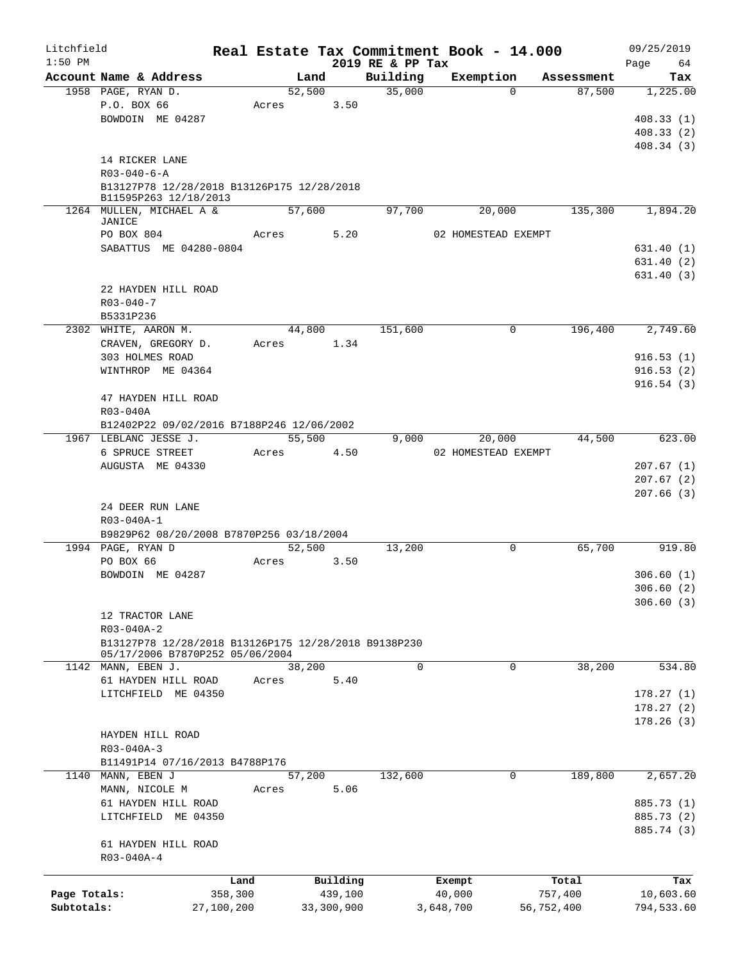| Litchfield   |                                                                                         |            |        |            |                              | Real Estate Tax Commitment Book - 14.000 |            | 09/25/2019               |
|--------------|-----------------------------------------------------------------------------------------|------------|--------|------------|------------------------------|------------------------------------------|------------|--------------------------|
| $1:50$ PM    | Account Name & Address                                                                  |            | Land   |            | 2019 RE & PP Tax<br>Building | Exemption                                | Assessment | 64<br>Page<br>Tax        |
|              | 1958 PAGE, RYAN D.                                                                      |            | 52,500 |            | 35,000                       | $\Omega$                                 | 87,500     | 1,225.00                 |
|              | P.O. BOX 66                                                                             |            | Acres  | 3.50       |                              |                                          |            |                          |
|              | BOWDOIN ME 04287                                                                        |            |        |            |                              |                                          |            | 408.33(1)                |
|              |                                                                                         |            |        |            |                              |                                          |            | 408.33(2)                |
|              |                                                                                         |            |        |            |                              |                                          |            | 408.34(3)                |
|              | 14 RICKER LANE                                                                          |            |        |            |                              |                                          |            |                          |
|              | $R03 - 040 - 6 - A$                                                                     |            |        |            |                              |                                          |            |                          |
|              | B13127P78 12/28/2018 B13126P175 12/28/2018                                              |            |        |            |                              |                                          |            |                          |
|              | B11595P263 12/18/2013<br>1264 MULLEN, MICHAEL A &                                       |            | 57,600 |            | 97,700                       | 20,000                                   | 135,300    | 1,894.20                 |
|              | JANICE                                                                                  |            |        |            |                              |                                          |            |                          |
|              | PO BOX 804                                                                              |            | Acres  | 5.20       |                              | 02 HOMESTEAD EXEMPT                      |            |                          |
|              | SABATTUS ME 04280-0804                                                                  |            |        |            |                              |                                          |            | 631.40(1)                |
|              |                                                                                         |            |        |            |                              |                                          |            | 631.40(2)                |
|              | 22 HAYDEN HILL ROAD                                                                     |            |        |            |                              |                                          |            | 631.40(3)                |
|              | $R03 - 040 - 7$                                                                         |            |        |            |                              |                                          |            |                          |
|              | B5331P236                                                                               |            |        |            |                              |                                          |            |                          |
|              | 2302 WHITE, AARON M.                                                                    |            | 44,800 |            | 151,600                      | 0                                        | 196,400    | 2,749.60                 |
|              | CRAVEN, GREGORY D.                                                                      |            | Acres  | 1.34       |                              |                                          |            |                          |
|              | 303 HOLMES ROAD                                                                         |            |        |            |                              |                                          |            | 916.53(1)                |
|              | WINTHROP ME 04364                                                                       |            |        |            |                              |                                          |            | 916.53(2)                |
|              |                                                                                         |            |        |            |                              |                                          |            | 916.54(3)                |
|              | 47 HAYDEN HILL ROAD                                                                     |            |        |            |                              |                                          |            |                          |
|              | R03-040A                                                                                |            |        |            |                              |                                          |            |                          |
|              | B12402P22 09/02/2016 B7188P246 12/06/2002                                               |            |        |            |                              |                                          |            |                          |
|              | 1967 LEBLANC JESSE J.                                                                   |            | 55,500 |            | 9,000                        | 20,000                                   | 44,500     | 623.00                   |
|              | 6 SPRUCE STREET                                                                         |            | Acres  | 4.50       |                              | 02 HOMESTEAD EXEMPT                      |            |                          |
|              | AUGUSTA ME 04330                                                                        |            |        |            |                              |                                          |            | 207.67(1)                |
|              |                                                                                         |            |        |            |                              |                                          |            | 207.67(2)<br>207.66(3)   |
|              | 24 DEER RUN LANE                                                                        |            |        |            |                              |                                          |            |                          |
|              | R03-040A-1                                                                              |            |        |            |                              |                                          |            |                          |
|              | B9829P62 08/20/2008 B7870P256 03/18/2004                                                |            |        |            |                              |                                          |            |                          |
|              | 1994 PAGE, RYAN D                                                                       |            | 52,500 |            | 13,200                       | $\mathbf 0$                              | 65,700     | 919.80                   |
|              | PO BOX 66                                                                               |            | Acres  | 3.50       |                              |                                          |            |                          |
|              | BOWDOIN ME 04287                                                                        |            |        |            |                              |                                          |            | 306.60(1)                |
|              |                                                                                         |            |        |            |                              |                                          |            | 306.60(2)                |
|              |                                                                                         |            |        |            |                              |                                          |            | 306.60(3)                |
|              | 12 TRACTOR LANE                                                                         |            |        |            |                              |                                          |            |                          |
|              | R03-040A-2                                                                              |            |        |            |                              |                                          |            |                          |
|              | B13127P78 12/28/2018 B13126P175 12/28/2018 B9138P230<br>05/17/2006 B7870P252 05/06/2004 |            |        |            |                              |                                          |            |                          |
|              | 1142 MANN, EBEN J.                                                                      |            | 38,200 |            | $\Omega$                     | 0                                        | 38,200     | 534.80                   |
|              | 61 HAYDEN HILL ROAD                                                                     |            | Acres  | 5.40       |                              |                                          |            |                          |
|              | LITCHFIELD ME 04350                                                                     |            |        |            |                              |                                          |            | 178.27(1)                |
|              |                                                                                         |            |        |            |                              |                                          |            | 178.27(2)                |
|              |                                                                                         |            |        |            |                              |                                          |            | 178.26(3)                |
|              | HAYDEN HILL ROAD                                                                        |            |        |            |                              |                                          |            |                          |
|              | R03-040A-3                                                                              |            |        |            |                              |                                          |            |                          |
|              | B11491P14 07/16/2013 B4788P176                                                          |            |        |            |                              |                                          |            |                          |
|              | 1140 MANN, EBEN J                                                                       |            | 57,200 |            | 132,600                      | 0                                        | 189,800    | 2,657.20                 |
|              | MANN, NICOLE M                                                                          |            | Acres  | 5.06       |                              |                                          |            |                          |
|              | 61 HAYDEN HILL ROAD                                                                     |            |        |            |                              |                                          |            | 885.73 (1)               |
|              | LITCHFIELD ME 04350                                                                     |            |        |            |                              |                                          |            | 885.73 (2)<br>885.74 (3) |
|              | 61 HAYDEN HILL ROAD                                                                     |            |        |            |                              |                                          |            |                          |
|              | R03-040A-4                                                                              |            |        |            |                              |                                          |            |                          |
|              |                                                                                         |            |        |            |                              |                                          |            |                          |
|              |                                                                                         | Land       |        | Building   |                              | Exempt                                   | Total      | Tax                      |
| Page Totals: |                                                                                         | 358,300    |        | 439,100    |                              | 40,000                                   | 757,400    | 10,603.60                |
| Subtotals:   |                                                                                         | 27,100,200 |        | 33,300,900 |                              | 3,648,700                                | 56,752,400 | 794,533.60               |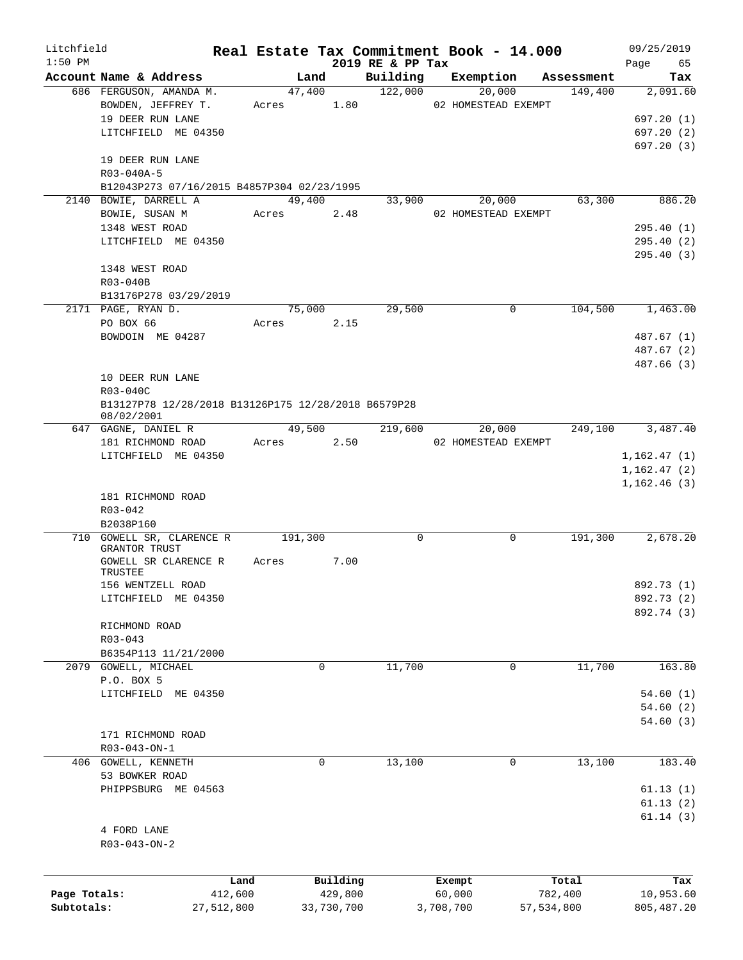| Litchfield   |                                                                   |         |        |            |                              |           | Real Estate Tax Commitment Book - 14.000 |            | 09/25/2019        |
|--------------|-------------------------------------------------------------------|---------|--------|------------|------------------------------|-----------|------------------------------------------|------------|-------------------|
| $1:50$ PM    | Account Name & Address                                            |         | Land   |            | 2019 RE & PP Tax<br>Building |           | Exemption                                | Assessment | 65<br>Page<br>Tax |
|              | 686 FERGUSON, AMANDA M.                                           |         | 47,400 |            | 122,000                      |           | 20,000                                   | 149,400    | 2,091.60          |
|              | BOWDEN, JEFFREY T.                                                | Acres   |        | 1.80       |                              |           | 02 HOMESTEAD EXEMPT                      |            |                   |
|              | 19 DEER RUN LANE                                                  |         |        |            |                              |           |                                          |            | 697.20(1)         |
|              | LITCHFIELD ME 04350                                               |         |        |            |                              |           |                                          |            | 697.20(2)         |
|              |                                                                   |         |        |            |                              |           |                                          |            | 697.20(3)         |
|              | 19 DEER RUN LANE<br>R03-040A-5                                    |         |        |            |                              |           |                                          |            |                   |
|              | B12043P273 07/16/2015 B4857P304 02/23/1995                        |         |        |            |                              |           |                                          |            |                   |
|              | 2140 BOWIE, DARRELL A                                             |         | 49,400 |            | 33,900                       |           | 20,000                                   | 63,300     | 886.20            |
|              |                                                                   |         |        |            |                              |           |                                          |            |                   |
|              | BOWIE, SUSAN M                                                    | Acres   |        | 2.48       |                              |           | 02 HOMESTEAD EXEMPT                      |            |                   |
|              | 1348 WEST ROAD                                                    |         |        |            |                              |           |                                          |            | 295.40 (1)        |
|              | LITCHFIELD ME 04350                                               |         |        |            |                              |           |                                          |            | 295.40(2)         |
|              |                                                                   |         |        |            |                              |           |                                          |            | 295.40(3)         |
|              | 1348 WEST ROAD                                                    |         |        |            |                              |           |                                          |            |                   |
|              | R03-040B                                                          |         |        |            |                              |           |                                          |            |                   |
|              | B13176P278 03/29/2019                                             |         |        |            |                              |           |                                          |            |                   |
|              | 2171 PAGE, RYAN D.                                                |         | 75,000 |            | 29,500                       |           | $\Omega$                                 | 104,500    | 1,463.00          |
|              | PO BOX 66                                                         | Acres   |        | 2.15       |                              |           |                                          |            |                   |
|              | BOWDOIN ME 04287                                                  |         |        |            |                              |           |                                          |            | 487.67 (1)        |
|              |                                                                   |         |        |            |                              |           |                                          |            | 487.67 (2)        |
|              |                                                                   |         |        |            |                              |           |                                          |            | 487.66 (3)        |
|              | 10 DEER RUN LANE                                                  |         |        |            |                              |           |                                          |            |                   |
|              | R03-040C                                                          |         |        |            |                              |           |                                          |            |                   |
|              | B13127P78 12/28/2018 B13126P175 12/28/2018 B6579P28<br>08/02/2001 |         |        |            |                              |           |                                          |            |                   |
|              | 647 GAGNE, DANIEL R                                               |         | 49,500 |            | 219,600                      |           | 20,000                                   | 249,100    | 3,487.40          |
|              | 181 RICHMOND ROAD                                                 | Acres   |        | 2.50       |                              |           | 02 HOMESTEAD EXEMPT                      |            |                   |
|              | LITCHFIELD ME 04350                                               |         |        |            |                              |           |                                          |            | 1,162.47(1)       |
|              |                                                                   |         |        |            |                              |           |                                          |            | 1,162.47(2)       |
|              |                                                                   |         |        |            |                              |           |                                          |            | 1, 162.46(3)      |
|              | 181 RICHMOND ROAD                                                 |         |        |            |                              |           |                                          |            |                   |
|              | $R03 - 042$                                                       |         |        |            |                              |           |                                          |            |                   |
|              | B2038P160                                                         |         |        |            |                              |           |                                          |            |                   |
|              | 710 GOWELL SR, CLARENCE R 191,300                                 |         |        |            | $\mathbf 0$                  |           | 0                                        | 191,300    | 2,678.20          |
|              | GRANTOR TRUST                                                     |         |        |            |                              |           |                                          |            |                   |
|              | GOWELL SR CLARENCE R                                              | Acres   |        | 7.00       |                              |           |                                          |            |                   |
|              | TRUSTEE                                                           |         |        |            |                              |           |                                          |            |                   |
|              | 156 WENTZELL ROAD                                                 |         |        |            |                              |           |                                          |            | 892.73 (1)        |
|              | LITCHFIELD ME 04350                                               |         |        |            |                              |           |                                          |            | 892.73 (2)        |
|              |                                                                   |         |        |            |                              |           |                                          |            | 892.74 (3)        |
|              | RICHMOND ROAD                                                     |         |        |            |                              |           |                                          |            |                   |
|              | $R03 - 043$                                                       |         |        |            |                              |           |                                          |            |                   |
|              | B6354P113 11/21/2000                                              |         |        |            |                              |           |                                          |            |                   |
|              | 2079 GOWELL, MICHAEL                                              |         |        | 0          | 11,700                       |           | 0                                        | 11,700     | 163.80            |
|              | P.O. BOX 5                                                        |         |        |            |                              |           |                                          |            |                   |
|              | LITCHFIELD ME 04350                                               |         |        |            |                              |           |                                          |            | 54.60(1)          |
|              |                                                                   |         |        |            |                              |           |                                          |            |                   |
|              |                                                                   |         |        |            |                              |           |                                          |            | 54.60(2)          |
|              |                                                                   |         |        |            |                              |           |                                          |            | 54.60(3)          |
|              | 171 RICHMOND ROAD                                                 |         |        |            |                              |           |                                          |            |                   |
|              | R03-043-ON-1                                                      |         |        |            |                              |           |                                          |            |                   |
|              | 406 GOWELL, KENNETH                                               |         |        | 0          | 13,100                       |           | 0                                        | 13,100     | 183.40            |
|              | 53 BOWKER ROAD                                                    |         |        |            |                              |           |                                          |            |                   |
|              | PHIPPSBURG ME 04563                                               |         |        |            |                              |           |                                          |            | 61.13(1)          |
|              |                                                                   |         |        |            |                              |           |                                          |            | 61.13(2)          |
|              |                                                                   |         |        |            |                              |           |                                          |            | 61.14(3)          |
|              | 4 FORD LANE                                                       |         |        |            |                              |           |                                          |            |                   |
|              | $R03 - 043 - ON - 2$                                              |         |        |            |                              |           |                                          |            |                   |
|              |                                                                   |         |        |            |                              |           |                                          |            |                   |
|              |                                                                   | Land    |        | Building   |                              | Exempt    |                                          | Total      | Tax               |
| Page Totals: |                                                                   | 412,600 |        | 429,800    |                              | 60,000    |                                          | 782,400    | 10,953.60         |
| Subtotals:   | 27,512,800                                                        |         |        | 33,730,700 |                              | 3,708,700 |                                          | 57,534,800 | 805, 487.20       |
|              |                                                                   |         |        |            |                              |           |                                          |            |                   |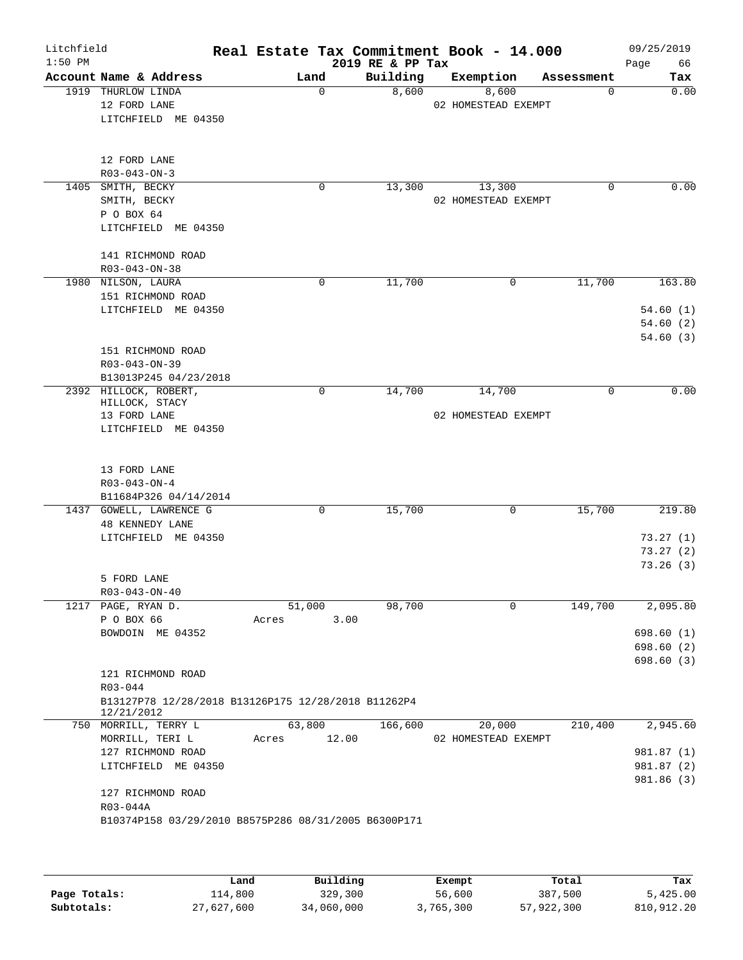| Litchfield<br>$1:50$ PM |                                      |                                                                          |       |             | 2019 RE & PP Tax | Real Estate Tax Commitment Book - 14.000 |            | 09/25/2019<br>Page<br>66              |
|-------------------------|--------------------------------------|--------------------------------------------------------------------------|-------|-------------|------------------|------------------------------------------|------------|---------------------------------------|
|                         |                                      | Account Name & Address                                                   |       | Land        | Building         | Exemption                                | Assessment | Tax                                   |
|                         | 1919 THURLOW LINDA<br>12 FORD LANE   | LITCHFIELD ME 04350                                                      |       | $\mathbf 0$ | 8,600            | 8,600<br>02 HOMESTEAD EXEMPT             | 0          | 0.00                                  |
|                         | 12 FORD LANE<br>$R03 - 043 - ON - 3$ |                                                                          |       |             |                  |                                          |            |                                       |
|                         | 1405 SMITH, BECKY                    |                                                                          |       | 0           | 13,300           | 13,300                                   | 0          | 0.00                                  |
|                         | SMITH, BECKY<br>P O BOX 64           | LITCHFIELD ME 04350                                                      |       |             |                  | 02 HOMESTEAD EXEMPT                      |            |                                       |
|                         | R03-043-ON-38                        | 141 RICHMOND ROAD                                                        |       |             |                  |                                          |            |                                       |
|                         | 1980 NILSON, LAURA                   | 151 RICHMOND ROAD                                                        |       | 0           | 11,700           | $\mathbf 0$                              | 11,700     | 163.80                                |
|                         |                                      | LITCHFIELD ME 04350                                                      |       |             |                  |                                          |            | 54.60(1)<br>54.60(2)<br>54.60(3)      |
|                         | R03-043-ON-39                        | 151 RICHMOND ROAD<br>B13013P245 04/23/2018                               |       |             |                  |                                          |            |                                       |
|                         | HILLOCK, STACY<br>13 FORD LANE       | 2392 HILLOCK, ROBERT,<br>LITCHFIELD ME 04350                             |       | $\mathbf 0$ | 14,700           | 14,700<br>02 HOMESTEAD EXEMPT            | 0          | 0.00                                  |
|                         | 13 FORD LANE<br>$R03 - 043 - ON - 4$ | B11684P326 04/14/2014                                                    |       |             |                  |                                          |            |                                       |
|                         |                                      | 1437 GOWELL, LAWRENCE G                                                  |       | 0           | 15,700           | 0                                        | 15,700     | 219.80                                |
|                         | 48 KENNEDY LANE                      | LITCHFIELD ME 04350                                                      |       |             |                  |                                          |            | 73.27(1)<br>73.27 (2)                 |
|                         | 5 FORD LANE<br>$R03 - 043 - ON - 40$ |                                                                          |       |             |                  |                                          |            | 73.26(3)                              |
|                         | 1217 PAGE, RYAN D.                   |                                                                          |       | 51,000      | 98,700           | $\mathbf 0$                              | 149,700    | 2,095.80                              |
|                         | P O BOX 66                           |                                                                          | Acres | 3.00        |                  |                                          |            |                                       |
|                         |                                      | BOWDOIN ME 04352                                                         |       |             |                  |                                          |            | 698.60 (1)<br>698.60(2)<br>698.60 (3) |
|                         | R03-044<br>12/21/2012                | 121 RICHMOND ROAD<br>B13127P78 12/28/2018 B13126P175 12/28/2018 B11262P4 |       |             |                  |                                          |            |                                       |
|                         |                                      | 750 MORRILL, TERRY L                                                     |       | 63,800      | 166,600          | 20,000                                   | 210,400    | 2,945.60                              |
|                         | MORRILL, TERI L                      |                                                                          | Acres | 12.00       |                  | 02 HOMESTEAD EXEMPT                      |            |                                       |
|                         |                                      | 127 RICHMOND ROAD                                                        |       |             |                  |                                          |            | 981.87 (1)                            |
|                         |                                      | LITCHFIELD ME 04350                                                      |       |             |                  |                                          |            | 981.87 (2)<br>981.86 (3)              |
|                         | R03-044A                             | 127 RICHMOND ROAD                                                        |       |             |                  |                                          |            |                                       |
|                         |                                      | B10374P158 03/29/2010 B8575P286 08/31/2005 B6300P171                     |       |             |                  |                                          |            |                                       |

|              | Land       | Building   | Exempt    | Total      | Tax        |
|--------------|------------|------------|-----------|------------|------------|
| Page Totals: | 114,800    | 329,300    | 56,600    | 387,500    | 5.425.00   |
| Subtotals:   | 27,627,600 | 34,060,000 | 3,765,300 | 57,922,300 | 810,912.20 |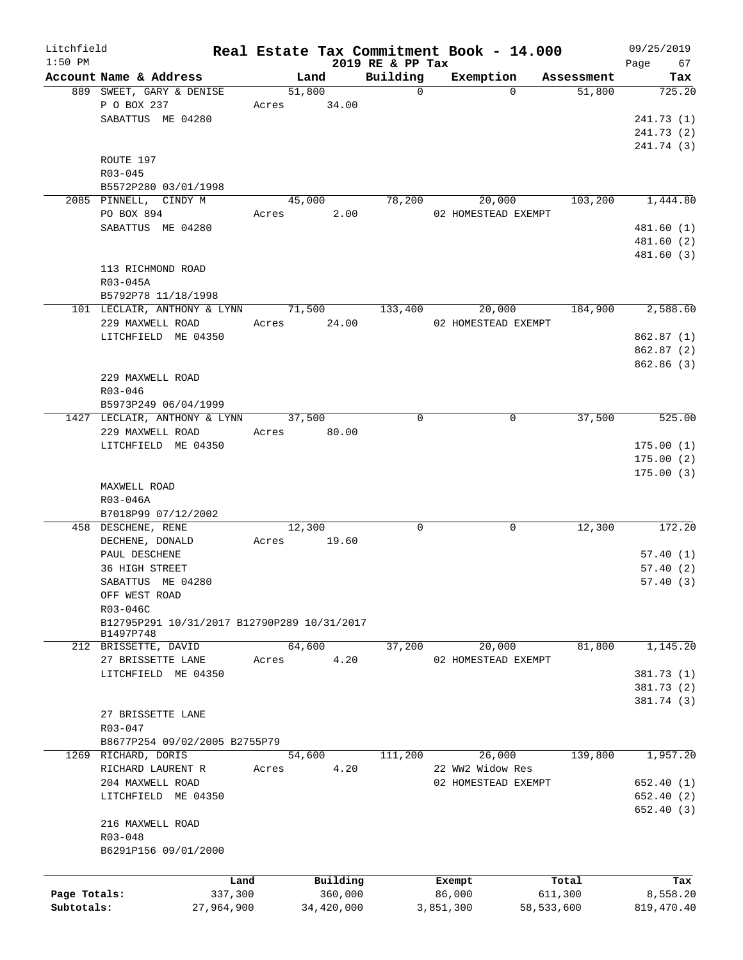| Litchfield   |                                             |       |             |                              | Real Estate Tax Commitment Book - 14.000 |            | 09/25/2019        |
|--------------|---------------------------------------------|-------|-------------|------------------------------|------------------------------------------|------------|-------------------|
| $1:50$ PM    | Account Name & Address                      |       | Land        | 2019 RE & PP Tax<br>Building | Exemption                                | Assessment | Page<br>67<br>Tax |
|              | 889 SWEET, GARY & DENISE                    |       | 51,800      | $\mathbf 0$                  | $\Omega$                                 | 51,800     | 725.20            |
|              | P O BOX 237                                 | Acres | 34.00       |                              |                                          |            |                   |
|              | SABATTUS ME 04280                           |       |             |                              |                                          |            | 241.73(1)         |
|              |                                             |       |             |                              |                                          |            | 241.73 (2)        |
|              |                                             |       |             |                              |                                          |            | 241.74 (3)        |
|              | ROUTE 197                                   |       |             |                              |                                          |            |                   |
|              | $R03 - 045$                                 |       |             |                              |                                          |            |                   |
|              | B5572P280 03/01/1998                        |       |             |                              |                                          |            |                   |
|              | 2085 PINNELL, CINDY M                       |       | 45,000      | 78,200                       | 20,000                                   | 103,200    | 1,444.80          |
|              | PO BOX 894                                  | Acres | 2.00        |                              | 02 HOMESTEAD EXEMPT                      |            |                   |
|              | SABATTUS ME 04280                           |       |             |                              |                                          |            | 481.60(1)         |
|              |                                             |       |             |                              |                                          |            | 481.60 (2)        |
|              |                                             |       |             |                              |                                          |            | 481.60 (3)        |
|              | 113 RICHMOND ROAD                           |       |             |                              |                                          |            |                   |
|              | R03-045A                                    |       |             |                              |                                          |            |                   |
|              | B5792P78 11/18/1998                         |       |             |                              |                                          |            |                   |
|              | 101 LECLAIR, ANTHONY & LYNN                 |       | 71,500      | 133,400                      | 20,000                                   | 184,900    | 2,588.60          |
|              | 229 MAXWELL ROAD                            |       | Acres 24.00 |                              | 02 HOMESTEAD EXEMPT                      |            |                   |
|              | LITCHFIELD ME 04350                         |       |             |                              |                                          |            | 862.87(1)         |
|              |                                             |       |             |                              |                                          |            | 862.87(2)         |
|              |                                             |       |             |                              |                                          |            | 862.86 (3)        |
|              |                                             |       |             |                              |                                          |            |                   |
|              | 229 MAXWELL ROAD                            |       |             |                              |                                          |            |                   |
|              | R03-046                                     |       |             |                              |                                          |            |                   |
|              | B5973P249 06/04/1999                        |       |             |                              |                                          |            |                   |
|              | 1427 LECLAIR, ANTHONY & LYNN                |       | 37,500      | 0                            | 0                                        | 37,500     | 525.00            |
|              | 229 MAXWELL ROAD                            |       | Acres 80.00 |                              |                                          |            |                   |
|              | LITCHFIELD ME 04350                         |       |             |                              |                                          |            | 175.00(1)         |
|              |                                             |       |             |                              |                                          |            | 175.00(2)         |
|              |                                             |       |             |                              |                                          |            | 175.00(3)         |
|              | MAXWELL ROAD                                |       |             |                              |                                          |            |                   |
|              | R03-046A                                    |       |             |                              |                                          |            |                   |
|              | B7018P99 07/12/2002                         |       |             |                              |                                          |            |                   |
|              | 458 DESCHENE, RENE                          |       | 12,300      | 0                            | 0                                        | 12,300     | 172.20            |
|              | DECHENE, DONALD                             | Acres | 19.60       |                              |                                          |            |                   |
|              | PAUL DESCHENE                               |       |             |                              |                                          |            | 57.40(1)          |
|              | 36 HIGH STREET                              |       |             |                              |                                          |            | 57.40(2)          |
|              | SABATTUS ME 04280                           |       |             |                              |                                          |            | 57.40(3)          |
|              | OFF WEST ROAD                               |       |             |                              |                                          |            |                   |
|              | R03-046C                                    |       |             |                              |                                          |            |                   |
|              | B12795P291 10/31/2017 B12790P289 10/31/2017 |       |             |                              |                                          |            |                   |
|              | B1497P748                                   |       | 64,600      | 37,200                       |                                          | 81,800     | 1,145.20          |
|              | 212 BRISSETTE, DAVID                        |       |             |                              | 20,000                                   |            |                   |
|              | 27 BRISSETTE LANE                           | Acres | 4.20        |                              | 02 HOMESTEAD EXEMPT                      |            |                   |
|              | LITCHFIELD ME 04350                         |       |             |                              |                                          |            | 381.73 (1)        |
|              |                                             |       |             |                              |                                          |            | 381.73(2)         |
|              |                                             |       |             |                              |                                          |            | 381.74 (3)        |
|              | 27 BRISSETTE LANE                           |       |             |                              |                                          |            |                   |
|              | R03-047                                     |       |             |                              |                                          |            |                   |
|              | B8677P254 09/02/2005 B2755P79               |       |             |                              |                                          |            |                   |
|              | 1269 RICHARD, DORIS                         |       | 54,600      | 111,200                      | 26,000                                   | 139,800    | 1,957.20          |
|              | RICHARD LAURENT R                           | Acres | 4.20        |                              | 22 WW2 Widow Res                         |            |                   |
|              | 204 MAXWELL ROAD                            |       |             |                              | 02 HOMESTEAD EXEMPT                      |            | 652.40(1)         |
|              | LITCHFIELD ME 04350                         |       |             |                              |                                          |            | 652.40(2)         |
|              |                                             |       |             |                              |                                          |            | 652.40(3)         |
|              | 216 MAXWELL ROAD                            |       |             |                              |                                          |            |                   |
|              | R03-048                                     |       |             |                              |                                          |            |                   |
|              | B6291P156 09/01/2000                        |       |             |                              |                                          |            |                   |
|              |                                             |       |             |                              |                                          |            |                   |
|              | Land                                        |       | Building    |                              | Exempt                                   | Total      | Tax               |
| Page Totals: | 337,300                                     |       | 360,000     |                              | 86,000                                   | 611,300    | 8,558.20          |
| Subtotals:   | 27,964,900                                  |       | 34,420,000  |                              | 3,851,300                                | 58,533,600 | 819, 470.40       |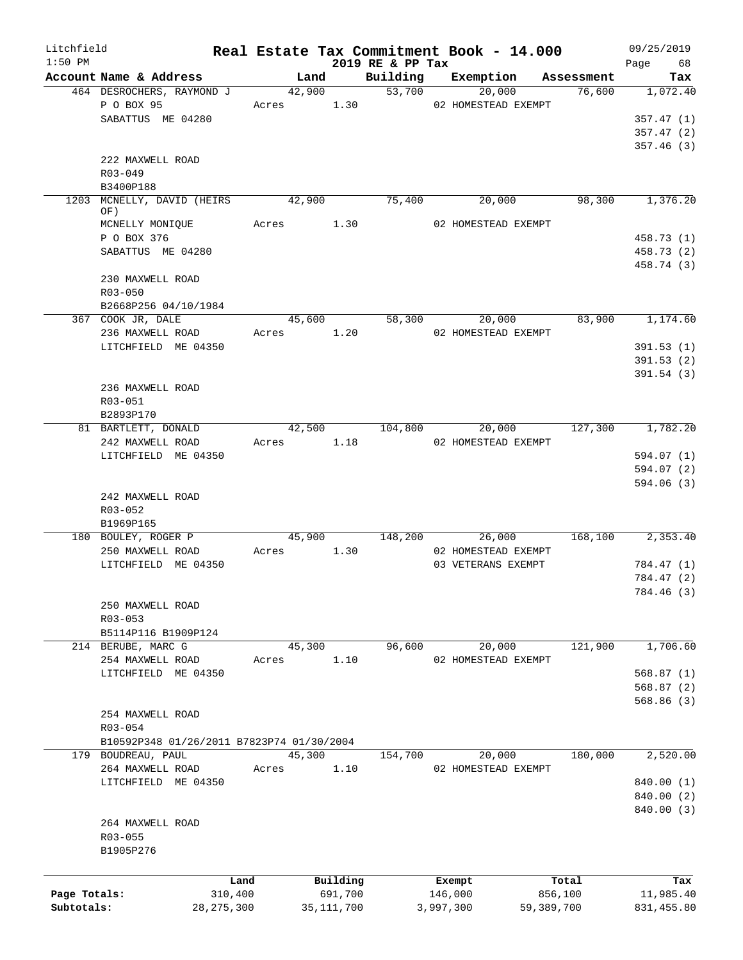| Litchfield   |                                           |              |            |      |                  |           | Real Estate Tax Commitment Book - 14.000 |                               | 09/25/2019     |
|--------------|-------------------------------------------|--------------|------------|------|------------------|-----------|------------------------------------------|-------------------------------|----------------|
| $1:50$ PM    | Account Name & Address                    |              | Land       |      | 2019 RE & PP Tax |           |                                          | Building Exemption Assessment | Page 68<br>Tax |
|              | 464 DESROCHERS, RAYMOND J                 |              | 42,900     |      | 53,700           |           | 20,000                                   | 76,600                        | 1,072.40       |
|              | P O BOX 95                                |              | Acres 1.30 |      |                  |           | 02 HOMESTEAD EXEMPT                      |                               |                |
|              | SABATTUS ME 04280                         |              |            |      |                  |           |                                          |                               | 357.47(1)      |
|              |                                           |              |            |      |                  |           |                                          |                               | 357.47(2)      |
|              |                                           |              |            |      |                  |           |                                          |                               | 357.46(3)      |
|              | 222 MAXWELL ROAD                          |              |            |      |                  |           |                                          |                               |                |
|              | $R03 - 049$                               |              |            |      |                  |           |                                          |                               |                |
|              | B3400P188                                 |              |            |      |                  |           |                                          |                               |                |
|              | 1203 MCNELLY, DAVID (HEIRS                |              | 42,900     |      | 75,400           |           | 20,000                                   | 98,300                        | 1,376.20       |
|              | OF)                                       |              |            |      |                  |           |                                          |                               |                |
|              | MCNELLY MONIQUE                           |              | Acres 1.30 |      |                  |           | 02 HOMESTEAD EXEMPT                      |                               |                |
|              | P O BOX 376                               |              |            |      |                  |           |                                          |                               | 458.73 (1)     |
|              | SABATTUS ME 04280                         |              |            |      |                  |           |                                          |                               | 458.73 (2)     |
|              |                                           |              |            |      |                  |           |                                          |                               | 458.74 (3)     |
|              | 230 MAXWELL ROAD                          |              |            |      |                  |           |                                          |                               |                |
|              | R03-050                                   |              |            |      |                  |           |                                          |                               |                |
|              | B2668P256 04/10/1984                      |              |            |      |                  |           |                                          |                               |                |
|              | 367 COOK JR, DALE                         |              | 45,600     |      | 58,300           |           | 20,000                                   | 83,900                        | 1,174.60       |
|              | 236 MAXWELL ROAD                          |              | Acres 1.20 |      |                  |           | 02 HOMESTEAD EXEMPT                      |                               |                |
|              | LITCHFIELD ME 04350                       |              |            |      |                  |           |                                          |                               |                |
|              |                                           |              |            |      |                  |           |                                          |                               | 391.53(1)      |
|              |                                           |              |            |      |                  |           |                                          |                               | 391.53(2)      |
|              |                                           |              |            |      |                  |           |                                          |                               | 391.54(3)      |
|              | 236 MAXWELL ROAD                          |              |            |      |                  |           |                                          |                               |                |
|              | R03-051                                   |              |            |      |                  |           |                                          |                               |                |
|              | B2893P170                                 |              |            |      |                  |           |                                          |                               |                |
|              | 81 BARTLETT, DONALD                       |              |            |      |                  |           | 42,500 104,800 20,000                    | 127,300                       | 1,782.20       |
|              | 242 MAXWELL ROAD                          |              | Acres 1.18 |      |                  |           | 02 HOMESTEAD EXEMPT                      |                               |                |
|              | LITCHFIELD ME 04350                       |              |            |      |                  |           |                                          |                               | 594.07 (1)     |
|              |                                           |              |            |      |                  |           |                                          |                               | 594.07(2)      |
|              |                                           |              |            |      |                  |           |                                          |                               | 594.06(3)      |
|              | 242 MAXWELL ROAD                          |              |            |      |                  |           |                                          |                               |                |
|              | R03-052                                   |              |            |      |                  |           |                                          |                               |                |
|              | B1969P165                                 |              |            |      |                  |           |                                          |                               |                |
|              | 180 BOULEY, ROGER P                       |              | 45,900     |      | 148,200          |           | 26,000                                   | 168,100                       | 2,353.40       |
|              | 250 MAXWELL ROAD                          |              | Acres 1.30 |      |                  |           | 02 HOMESTEAD EXEMPT                      |                               |                |
|              | LITCHFIELD ME 04350                       |              |            |      |                  |           | 03 VETERANS EXEMPT                       |                               | 784.47 (1)     |
|              |                                           |              |            |      |                  |           |                                          |                               | 784.47 (2)     |
|              |                                           |              |            |      |                  |           |                                          |                               | 784.46 (3)     |
|              | 250 MAXWELL ROAD                          |              |            |      |                  |           |                                          |                               |                |
|              | $R03 - 053$                               |              |            |      |                  |           |                                          |                               |                |
|              | B5114P116 B1909P124                       |              |            |      |                  |           |                                          |                               |                |
|              | 214 BERUBE, MARC G                        |              | 45,300     |      | 96,600           |           | 20,000                                   | 121,900                       | 1,706.60       |
|              | 254 MAXWELL ROAD                          | Acres        |            | 1.10 |                  |           | 02 HOMESTEAD EXEMPT                      |                               |                |
|              | LITCHFIELD ME 04350                       |              |            |      |                  |           |                                          |                               | 568.87(1)      |
|              |                                           |              |            |      |                  |           |                                          |                               | 568.87(2)      |
|              |                                           |              |            |      |                  |           |                                          |                               | 568.86(3)      |
|              | 254 MAXWELL ROAD                          |              |            |      |                  |           |                                          |                               |                |
|              | R03-054                                   |              |            |      |                  |           |                                          |                               |                |
|              | B10592P348 01/26/2011 B7823P74 01/30/2004 |              |            |      |                  |           |                                          |                               |                |
|              | 179 BOUDREAU, PAUL                        |              | 45,300     |      | 154,700          |           | 20,000                                   | 180,000                       | 2,520.00       |
|              | 264 MAXWELL ROAD                          | Acres        |            | 1.10 |                  |           | 02 HOMESTEAD EXEMPT                      |                               |                |
|              | LITCHFIELD ME 04350                       |              |            |      |                  |           |                                          |                               | 840.00 (1)     |
|              |                                           |              |            |      |                  |           |                                          |                               | 840.00 (2)     |
|              |                                           |              |            |      |                  |           |                                          |                               | 840.00 (3)     |
|              | 264 MAXWELL ROAD                          |              |            |      |                  |           |                                          |                               |                |
|              | R03-055                                   |              |            |      |                  |           |                                          |                               |                |
|              | B1905P276                                 |              |            |      |                  |           |                                          |                               |                |
|              |                                           |              |            |      |                  |           |                                          |                               |                |
|              |                                           |              |            |      |                  |           |                                          |                               |                |
|              |                                           | Land         | Building   |      |                  | Exempt    |                                          | Total                         | Tax            |
| Page Totals: |                                           | 310,400      | 691,700    |      |                  | 146,000   |                                          | 856,100                       | 11,985.40      |
| Subtotals:   |                                           | 28, 275, 300 | 35,111,700 |      |                  | 3,997,300 |                                          | 59,389,700                    | 831,455.80     |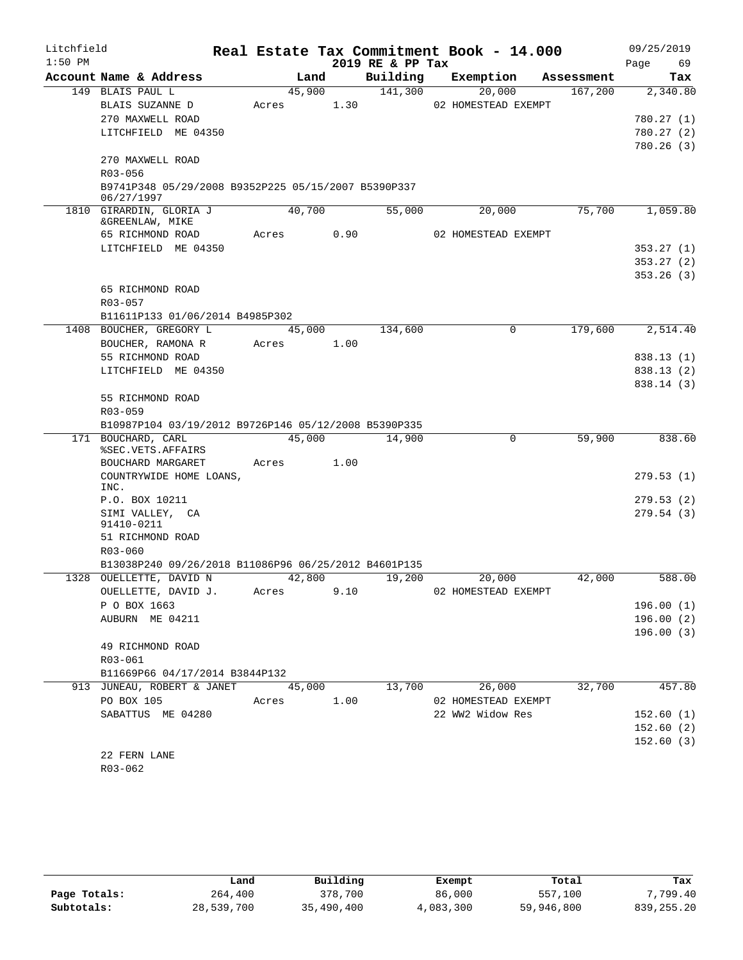| Litchfield |                                                                   |            |        |        |                  | Real Estate Tax Commitment Book - 14.000 |            | 09/25/2019             |
|------------|-------------------------------------------------------------------|------------|--------|--------|------------------|------------------------------------------|------------|------------------------|
| $1:50$ PM  |                                                                   |            |        |        | 2019 RE & PP Tax |                                          |            | 69<br>Page             |
|            | Account Name & Address                                            |            | Land   |        | Building         | Exemption                                | Assessment | Tax                    |
|            | 149 BLAIS PAUL L                                                  |            | 45,900 |        | 141,300          | 20,000                                   | 167,200    | 2,340.80               |
|            | BLAIS SUZANNE D                                                   | Acres      |        | 1.30   |                  | 02 HOMESTEAD EXEMPT                      |            |                        |
|            | 270 MAXWELL ROAD                                                  |            |        |        |                  |                                          |            | 780.27(1)              |
|            | LITCHFIELD ME 04350                                               |            |        |        |                  |                                          |            | 780.27(2)              |
|            |                                                                   |            |        |        |                  |                                          |            | 780.26(3)              |
|            | 270 MAXWELL ROAD                                                  |            |        |        |                  |                                          |            |                        |
|            | R03-056                                                           |            |        |        |                  |                                          |            |                        |
|            | B9741P348 05/29/2008 B9352P225 05/15/2007 B5390P337<br>06/27/1997 |            |        |        |                  |                                          |            |                        |
|            | 1810 GIRARDIN, GLORIA J                                           |            | 40,700 |        | 55,000           | 20,000                                   | 75,700     | 1,059.80               |
|            | &GREENLAW, MIKE                                                   | Acres      |        | 0.90   |                  | 02 HOMESTEAD EXEMPT                      |            |                        |
|            | 65 RICHMOND ROAD<br>LITCHFIELD ME 04350                           |            |        |        |                  |                                          |            |                        |
|            |                                                                   |            |        |        |                  |                                          |            | 353.27(1)              |
|            |                                                                   |            |        |        |                  |                                          |            | 353.27(2)<br>353.26(3) |
|            | 65 RICHMOND ROAD                                                  |            |        |        |                  |                                          |            |                        |
|            | R03-057                                                           |            |        |        |                  |                                          |            |                        |
|            | B11611P133 01/06/2014 B4985P302                                   |            |        |        |                  |                                          |            |                        |
| 1408       | BOUCHER, GREGORY L                                                |            | 45,000 |        | 134,600          | 0                                        | 179,600    | 2,514.40               |
|            | BOUCHER, RAMONA R                                                 | Acres 1.00 |        |        |                  |                                          |            |                        |
|            | 55 RICHMOND ROAD                                                  |            |        |        |                  |                                          |            | 838.13(1)              |
|            | LITCHFIELD ME 04350                                               |            |        |        |                  |                                          |            | 838.13(2)              |
|            |                                                                   |            |        |        |                  |                                          |            | 838.14 (3)             |
|            | 55 RICHMOND ROAD                                                  |            |        |        |                  |                                          |            |                        |
|            | R03-059                                                           |            |        |        |                  |                                          |            |                        |
|            | B10987P104 03/19/2012 B9726P146 05/12/2008 B5390P335              |            |        |        |                  |                                          |            |                        |
|            | 171 BOUCHARD, CARL                                                |            |        | 45,000 | 14,900           | $\mathbf 0$                              | 59,900     | 838.60                 |
|            | %SEC.VETS.AFFAIRS                                                 |            |        |        |                  |                                          |            |                        |
|            | BOUCHARD MARGARET                                                 | Acres 1.00 |        |        |                  |                                          |            |                        |
|            | COUNTRYWIDE HOME LOANS,<br>INC.                                   |            |        |        |                  |                                          |            | 279.53(1)              |
|            | P.O. BOX 10211                                                    |            |        |        |                  |                                          |            | 279.53(2)              |
|            | SIMI VALLEY, CA                                                   |            |        |        |                  |                                          |            | 279.54(3)              |
|            | 91410-0211                                                        |            |        |        |                  |                                          |            |                        |
|            | 51 RICHMOND ROAD                                                  |            |        |        |                  |                                          |            |                        |
|            | $R03 - 060$                                                       |            |        |        |                  |                                          |            |                        |
|            | B13038P240 09/26/2018 B11086P96 06/25/2012 B4601P135              |            |        |        |                  |                                          |            |                        |
|            | 1328 OUELLETTE, DAVID N                                           |            | 42,800 |        | 19,200           | 20,000                                   | 42,000     | 588.00                 |
|            | OUELLETTE, DAVID J.                                               | Acres      |        | 9.10   |                  | 02 HOMESTEAD EXEMPT                      |            |                        |
|            | P O BOX 1663                                                      |            |        |        |                  |                                          |            | 196.00(1)              |
|            | AUBURN ME 04211                                                   |            |        |        |                  |                                          |            | 196.00(2)              |
|            |                                                                   |            |        |        |                  |                                          |            | 196.00(3)              |
|            | 49 RICHMOND ROAD                                                  |            |        |        |                  |                                          |            |                        |
|            | R03-061                                                           |            |        |        |                  |                                          |            |                        |
|            | B11669P66 04/17/2014 B3844P132                                    |            |        |        |                  |                                          |            |                        |
|            | 913 JUNEAU, ROBERT & JANET                                        |            | 45,000 |        | 13,700           | 26,000                                   | 32,700     | 457.80                 |
|            | PO BOX 105                                                        | Acres      |        | 1.00   |                  | 02 HOMESTEAD EXEMPT                      |            |                        |
|            | SABATTUS ME 04280                                                 |            |        |        |                  | 22 WW2 Widow Res                         |            | 152.60(1)              |
|            |                                                                   |            |        |        |                  |                                          |            | 152.60(2)              |
|            |                                                                   |            |        |        |                  |                                          |            | 152.60(3)              |
|            | 22 FERN LANE                                                      |            |        |        |                  |                                          |            |                        |
|            | R03-062                                                           |            |        |        |                  |                                          |            |                        |

|              | Land       | Building   | Exempt    | Total      | Tax          |
|--------------|------------|------------|-----------|------------|--------------|
| Page Totals: | 264,400    | 378,700    | 86,000    | 557,100    | 7,799.40     |
| Subtotals:   | 28,539,700 | 35,490,400 | 4,083,300 | 59,946,800 | 839, 255, 20 |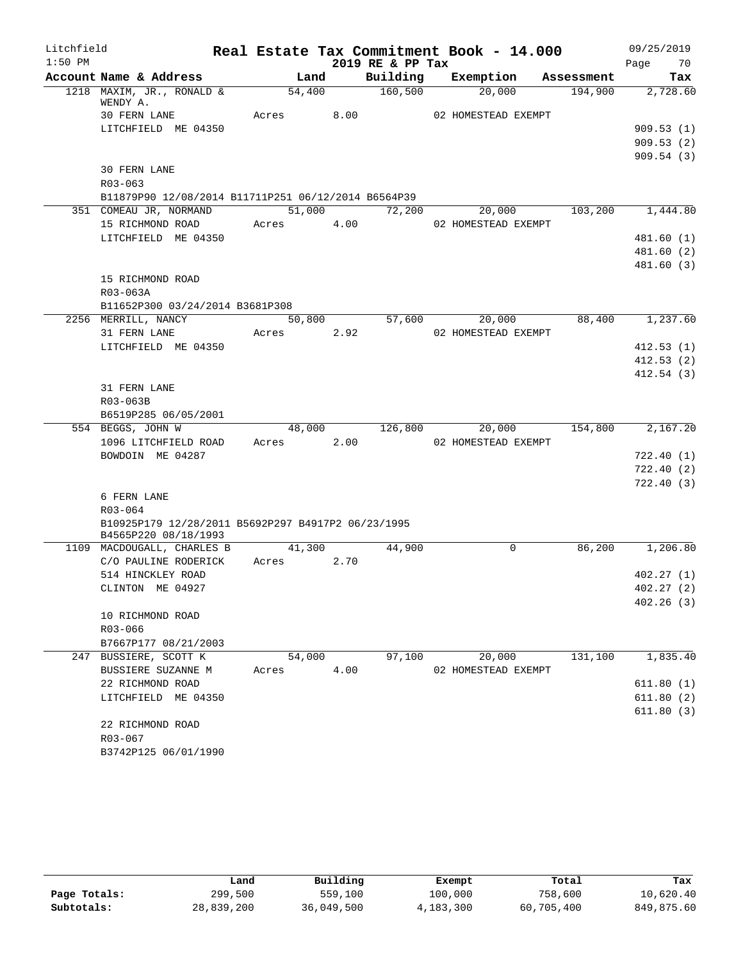| Litchfield |                                                     |            |  |                  | Real Estate Tax Commitment Book - 14.000 |                                                  | 09/25/2019 |            |
|------------|-----------------------------------------------------|------------|--|------------------|------------------------------------------|--------------------------------------------------|------------|------------|
| $1:50$ PM  |                                                     |            |  | 2019 RE & PP Tax |                                          |                                                  | Page 70    |            |
|            | Account Name & Address                              | Land       |  |                  |                                          | Building Exemption Assessment                    |            | Tax        |
|            | 1218 MAXIM, JR., RONALD &                           | 54,400     |  | 160,500          | 20,000                                   | 194,900 2,728.60                                 |            |            |
|            | WENDY A.<br>30 FERN LANE                            | Acres 8.00 |  |                  | 02 HOMESTEAD EXEMPT                      |                                                  |            |            |
|            | LITCHFIELD ME 04350                                 |            |  |                  |                                          |                                                  |            | 909.53(1)  |
|            |                                                     |            |  |                  |                                          |                                                  |            | 909.53(2)  |
|            |                                                     |            |  |                  |                                          |                                                  |            | 909.54(3)  |
|            | <b>30 FERN LANE</b>                                 |            |  |                  |                                          |                                                  |            |            |
|            | $R03 - 063$                                         |            |  |                  |                                          |                                                  |            |            |
|            | B11879P90 12/08/2014 B11711P251 06/12/2014 B6564P39 |            |  |                  |                                          |                                                  |            |            |
|            | 351 COMEAU JR, NORMAND                              |            |  | 51,000 72,200    | 20,000                                   | 103,200 1,444.80                                 |            |            |
|            | 15 RICHMOND ROAD Acres 4.00 02 HOMESTEAD EXEMPT     |            |  |                  |                                          |                                                  |            |            |
|            | LITCHFIELD ME 04350                                 |            |  |                  |                                          |                                                  |            | 481.60(1)  |
|            |                                                     |            |  |                  |                                          |                                                  |            | 481.60(2)  |
|            |                                                     |            |  |                  |                                          |                                                  |            | 481.60 (3) |
|            | 15 RICHMOND ROAD                                    |            |  |                  |                                          |                                                  |            |            |
|            | R03-063A                                            |            |  |                  |                                          |                                                  |            |            |
|            | B11652P300 03/24/2014 B3681P308                     |            |  |                  |                                          |                                                  |            |            |
|            | 2256 MERRILL, NANCY                                 | 50,800     |  | 57,600           | 20,000                                   | 88,400                                           |            | 1,237.60   |
|            | 31 FERN LANE                                        | Acres 2.92 |  |                  | 02 HOMESTEAD EXEMPT                      |                                                  |            |            |
|            | LITCHFIELD ME 04350                                 |            |  |                  |                                          |                                                  |            | 412.53(1)  |
|            |                                                     |            |  |                  |                                          |                                                  |            | 412.53(2)  |
|            |                                                     |            |  |                  |                                          |                                                  |            | 412.54(3)  |
|            | 31 FERN LANE                                        |            |  |                  |                                          |                                                  |            |            |
|            | R03-063B                                            |            |  |                  |                                          |                                                  |            |            |
|            | B6519P285 06/05/2001                                |            |  |                  |                                          | $48,000$ $126,800$ $20,000$ $154,800$ $2,167.20$ |            |            |
|            | 554 BEGGS, JOHN W<br>1096 LITCHFIELD ROAD           | Acres 2.00 |  |                  | 02 HOMESTEAD EXEMPT                      |                                                  |            |            |
|            | BOWDOIN ME 04287                                    |            |  |                  |                                          |                                                  |            | 722.40(1)  |
|            |                                                     |            |  |                  |                                          |                                                  |            | 722.40(2)  |
|            |                                                     |            |  |                  |                                          |                                                  |            | 722.40(3)  |
|            | 6 FERN LANE                                         |            |  |                  |                                          |                                                  |            |            |
|            | R03-064                                             |            |  |                  |                                          |                                                  |            |            |
|            | B10925P179 12/28/2011 B5692P297 B4917P2 06/23/1995  |            |  |                  |                                          |                                                  |            |            |
|            | B4565P220 08/18/1993                                |            |  |                  |                                          |                                                  |            |            |
|            | 1109 MACDOUGALL, CHARLES B 41,300                   |            |  | 44,900           | $\mathbf 0$                              | 86,200                                           |            | 1,206.80   |
|            | C/O PAULINE RODERICK Acres 2.70                     |            |  |                  |                                          |                                                  |            |            |
|            | 514 HINCKLEY ROAD                                   |            |  |                  |                                          |                                                  |            | 402.27(1)  |
|            | CLINTON ME 04927                                    |            |  |                  |                                          |                                                  |            | 402.27(2)  |
|            |                                                     |            |  |                  |                                          |                                                  |            | 402.26(3)  |
|            | 10 RICHMOND ROAD<br>R03-066                         |            |  |                  |                                          |                                                  |            |            |
|            | B7667P177 08/21/2003                                |            |  |                  |                                          |                                                  |            |            |
|            | 247 BUSSIERE, SCOTT K                               | 54,000     |  | 97,100           | 20,000                                   | 131,100                                          |            | 1,835.40   |
|            | BUSSIERE SUZANNE M                                  | Acres 4.00 |  |                  | 02 HOMESTEAD EXEMPT                      |                                                  |            |            |
|            | 22 RICHMOND ROAD                                    |            |  |                  |                                          |                                                  |            | 611.80(1)  |
|            | LITCHFIELD ME 04350                                 |            |  |                  |                                          |                                                  |            | 611.80(2)  |
|            |                                                     |            |  |                  |                                          |                                                  |            | 611.80(3)  |
|            | 22 RICHMOND ROAD                                    |            |  |                  |                                          |                                                  |            |            |
|            | R03-067                                             |            |  |                  |                                          |                                                  |            |            |
|            | B3742P125 06/01/1990                                |            |  |                  |                                          |                                                  |            |            |

|              | Land       | Building   | Exempt    | Total      | Tax        |
|--------------|------------|------------|-----------|------------|------------|
| Page Totals: | 299,500    | 559,100    | 100,000   | 758,600    | 10,620.40  |
| Subtotals:   | 28,839,200 | 36,049,500 | 4,183,300 | 60,705,400 | 849,875.60 |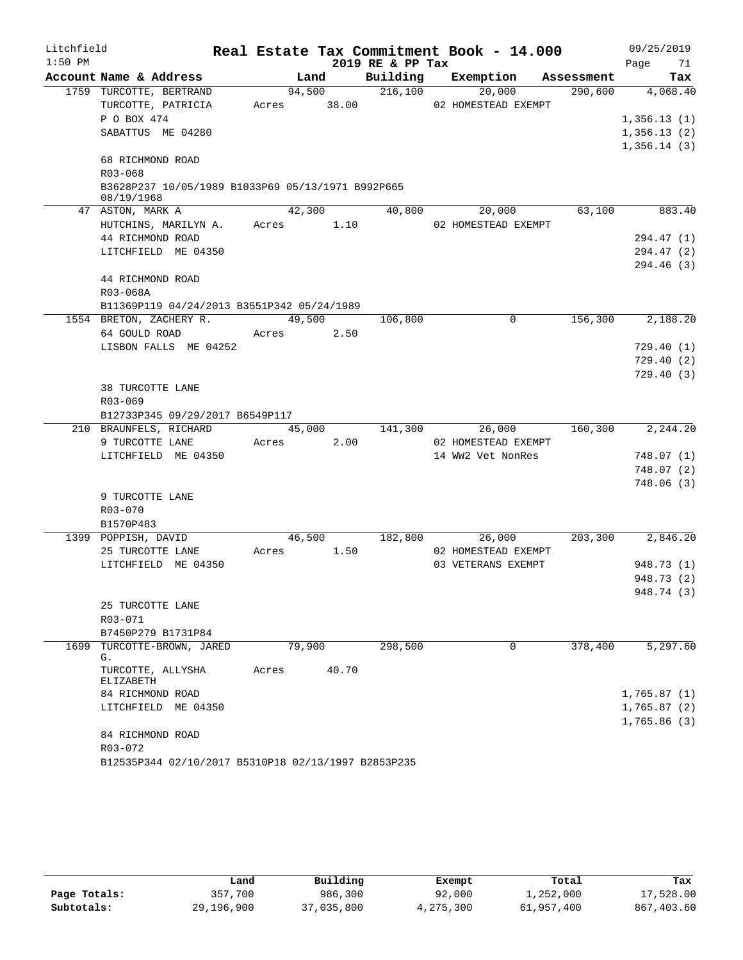| Litchfield |                                                   |       |        |             | Real Estate Tax Commitment Book - 14.000 |                   |                     |                                 | 09/25/2019       |          |
|------------|---------------------------------------------------|-------|--------|-------------|------------------------------------------|-------------------|---------------------|---------------------------------|------------------|----------|
| $1:50$ PM  |                                                   |       |        |             | 2019 RE & PP Tax                         |                   |                     |                                 | Page             | 71       |
|            | Account Name & Address                            |       |        | Land        |                                          |                   |                     | Building Exemption Assessment   |                  | Tax      |
|            | 1759 TURCOTTE, BERTRAND                           |       | 94,500 |             | 216,100                                  |                   | 20,000              | 290,600 4,068.40                |                  |          |
|            | TURCOTTE, PATRICIA                                |       |        | Acres 38.00 |                                          |                   | 02 HOMESTEAD EXEMPT |                                 |                  |          |
|            | P O BOX 474                                       |       |        |             |                                          |                   |                     |                                 | 1,356.13(1)      |          |
|            | SABATTUS ME 04280                                 |       |        |             |                                          |                   |                     |                                 | 1,356.13(2)      |          |
|            |                                                   |       |        |             |                                          |                   |                     |                                 | 1,356.14(3)      |          |
|            | 68 RICHMOND ROAD<br>R03-068                       |       |        |             |                                          |                   |                     |                                 |                  |          |
|            | B3628P237 10/05/1989 B1033P69 05/13/1971 B992P665 |       |        |             |                                          |                   |                     |                                 |                  |          |
|            | 08/19/1968                                        |       |        |             |                                          |                   |                     |                                 |                  |          |
|            | 47 ASTON, MARK A                                  |       |        | 42,300      | 40,800                                   |                   | 20,000              | 63,100                          |                  | 883.40   |
|            | HUTCHINS, MARILYN A. Acres 1.10                   |       |        |             |                                          |                   | 02 HOMESTEAD EXEMPT |                                 |                  |          |
|            | 44 RICHMOND ROAD                                  |       |        |             |                                          |                   |                     |                                 | 294.47 (1)       |          |
|            | LITCHFIELD ME 04350                               |       |        |             |                                          |                   |                     |                                 | 294.47 (2)       |          |
|            |                                                   |       |        |             |                                          |                   |                     |                                 | 294.46 (3)       |          |
|            | 44 RICHMOND ROAD                                  |       |        |             |                                          |                   |                     |                                 |                  |          |
|            | R03-068A                                          |       |        |             |                                          |                   |                     |                                 |                  |          |
|            | B11369P119 04/24/2013 B3551P342 05/24/1989        |       |        |             |                                          |                   |                     |                                 |                  |          |
|            | 1554 BRETON, ZACHERY R.                           |       |        | 49,500      | 106,800                                  |                   | $\mathbf 0$         | 156,300                         |                  | 2,188.20 |
|            | 64 GOULD ROAD                                     |       |        | Acres 2.50  |                                          |                   |                     |                                 |                  |          |
|            | LISBON FALLS ME 04252                             |       |        |             |                                          |                   |                     |                                 | 729.40(1)        |          |
|            |                                                   |       |        |             |                                          |                   |                     |                                 | 729.40(2)        |          |
|            |                                                   |       |        |             |                                          |                   |                     |                                 | 729.40(3)        |          |
|            | 38 TURCOTTE LANE<br>R03-069                       |       |        |             |                                          |                   |                     |                                 |                  |          |
|            | B12733P345 09/29/2017 B6549P117                   |       |        |             |                                          |                   |                     |                                 |                  |          |
|            | 210 BRAUNFELS, RICHARD                            |       |        | 45,000      | 141,300                                  |                   | 26,000              |                                 | 160,300 2,244.20 |          |
|            | 9 TURCOTTE LANE                                   |       | Acres  | 2.00        |                                          |                   | 02 HOMESTEAD EXEMPT |                                 |                  |          |
|            | LITCHFIELD ME 04350                               |       |        |             |                                          | 14 WW2 Vet NonRes |                     |                                 | 748.07(1)        |          |
|            |                                                   |       |        |             |                                          |                   |                     |                                 | 748.07 (2)       |          |
|            |                                                   |       |        |             |                                          |                   |                     |                                 | 748.06(3)        |          |
|            | 9 TURCOTTE LANE                                   |       |        |             |                                          |                   |                     |                                 |                  |          |
|            | R03-070                                           |       |        |             |                                          |                   |                     |                                 |                  |          |
|            | B1570P483                                         |       |        |             |                                          |                   |                     |                                 |                  |          |
|            | 1399 POPPISH, DAVID                               |       |        | 46,500      |                                          |                   |                     | 182,800 26,000 203,300 2,846.20 |                  |          |
|            | 25 TURCOTTE LANE                                  | Acres |        | 1.50        |                                          |                   | 02 HOMESTEAD EXEMPT |                                 |                  |          |
|            | LITCHFIELD ME 04350                               |       |        |             |                                          |                   | 03 VETERANS EXEMPT  |                                 | 948.73 (1)       |          |
|            |                                                   |       |        |             |                                          |                   |                     |                                 | 948.73 (2)       |          |
|            |                                                   |       |        |             |                                          |                   |                     |                                 | 948.74 (3)       |          |
|            | 25 TURCOTTE LANE                                  |       |        |             |                                          |                   |                     |                                 |                  |          |
|            | R03-071                                           |       |        |             |                                          |                   |                     |                                 |                  |          |
|            | B7450P279 B1731P84                                |       |        |             |                                          |                   |                     |                                 |                  |          |
| 1699       | TURCOTTE-BROWN, JARED<br>G.                       |       | 79,900 |             | 298,500                                  |                   | 0                   | 378,400                         |                  | 5,297.60 |
|            | TURCOTTE, ALLYSHA                                 | Acres |        | 40.70       |                                          |                   |                     |                                 |                  |          |
|            | <b>ELIZABETH</b>                                  |       |        |             |                                          |                   |                     |                                 |                  |          |
|            | 84 RICHMOND ROAD                                  |       |        |             |                                          |                   |                     |                                 | 1,765.87(1)      |          |
|            | LITCHFIELD ME 04350                               |       |        |             |                                          |                   |                     |                                 | 1,765.87(2)      |          |
|            |                                                   |       |        |             |                                          |                   |                     |                                 | 1,765.86(3)      |          |
|            | 84 RICHMOND ROAD                                  |       |        |             |                                          |                   |                     |                                 |                  |          |
|            | R03-072                                           |       |        |             |                                          |                   |                     |                                 |                  |          |

B12535P344 02/10/2017 B5310P18 02/13/1997 B2853P235

|              | Land       | Building   | Exempt    | Total      | Tax        |
|--------------|------------|------------|-----------|------------|------------|
| Page Totals: | 357,700    | 986,300    | 92,000    | 1,252,000  | 17,528.00  |
| Subtotals:   | 29,196,900 | 37,035,800 | 4,275,300 | 61,957,400 | 867,403.60 |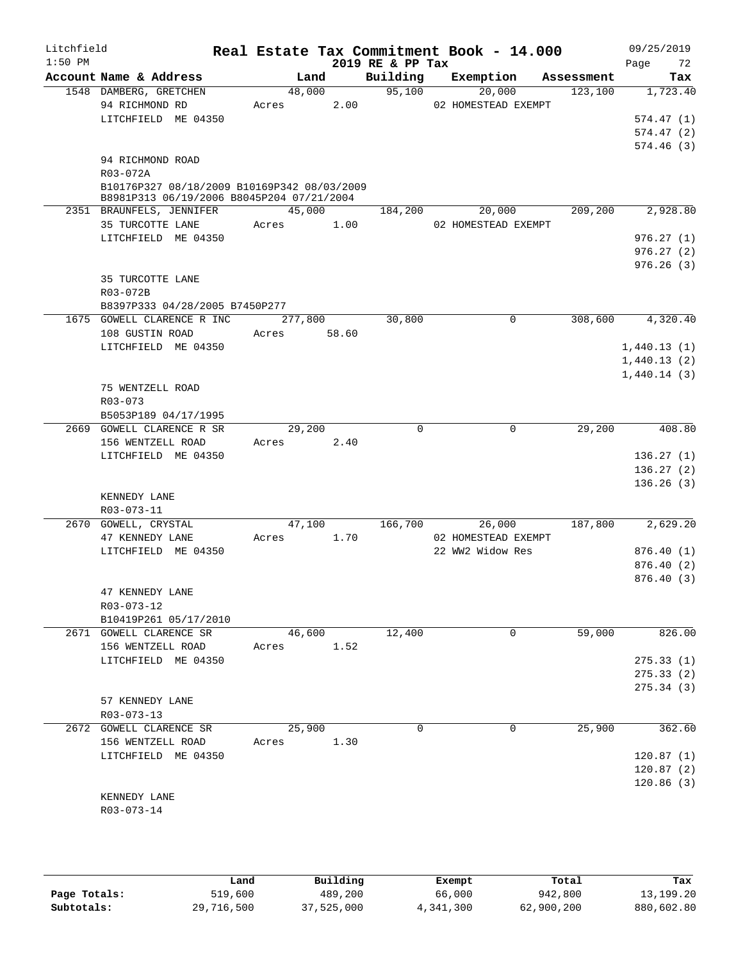| Litchfield<br>$1:50$ PM |                                                                                                                          |                      |                | 2019 RE & PP Tax | Real Estate Tax Commitment Book - 14.000 |                        | 09/25/2019<br>Page 72               |
|-------------------------|--------------------------------------------------------------------------------------------------------------------------|----------------------|----------------|------------------|------------------------------------------|------------------------|-------------------------------------|
|                         | Account Name & Address                                                                                                   |                      | Land           | Building         | Exemption                                | Assessment             | Tax                                 |
|                         | 1548 DAMBERG, GRETCHEN<br>94 RICHMOND RD<br>LITCHFIELD ME 04350                                                          | Acres                | 48,000<br>2.00 | 95,100           | 20,000<br>02 HOMESTEAD EXEMPT            | 123,100                | 1,723.40<br>574.47(1)<br>574.47(2)  |
|                         | 94 RICHMOND ROAD<br>R03-072A<br>B10176P327 08/18/2009 B10169P342 08/03/2009<br>B8981P313 06/19/2006 B8045P204 07/21/2004 |                      |                |                  |                                          |                        | 574.46(3)                           |
|                         | 2351 BRAUNFELS, JENNIFER<br>35 TURCOTTE LANE                                                                             | 45,000<br>Acres      | 1.00           | 184,200          | 20,000<br>02 HOMESTEAD EXEMPT            | 209, 200               | 2,928.80                            |
|                         | LITCHFIELD ME 04350                                                                                                      |                      |                |                  |                                          |                        | 976.27(1)<br>976.27(2)<br>976.26(3) |
|                         | 35 TURCOTTE LANE<br>R03-072B<br>B8397P333 04/28/2005 B7450P277                                                           |                      |                |                  |                                          |                        |                                     |
|                         | 1675 GOWELL CLARENCE R INC                                                                                               | 277,800              |                | 30,800           |                                          | $\mathbf 0$<br>308,600 | 4,320.40                            |
|                         | 108 GUSTIN ROAD                                                                                                          | Acres                | 58.60          |                  |                                          |                        |                                     |
|                         | LITCHFIELD ME 04350                                                                                                      |                      |                |                  |                                          |                        | 1,440.13(1)                         |
|                         |                                                                                                                          |                      |                |                  |                                          |                        | 1,440.13(2)                         |
|                         | 75 WENTZELL ROAD<br>R03-073                                                                                              |                      |                |                  |                                          |                        | 1,440.14(3)                         |
|                         | B5053P189 04/17/1995                                                                                                     |                      |                | $\Omega$         |                                          | $\mathbf 0$            |                                     |
|                         | 2669 GOWELL CLARENCE R SR<br>156 WENTZELL ROAD<br>LITCHFIELD ME 04350                                                    | 29,200<br>Acres 2.40 |                |                  |                                          | 29,200                 | 408.80                              |
|                         |                                                                                                                          |                      |                |                  |                                          |                        | 136.27(1)<br>136.27(2)              |
|                         |                                                                                                                          |                      |                |                  |                                          |                        | 136.26(3)                           |
|                         | KENNEDY LANE<br>R03-073-11                                                                                               |                      |                |                  |                                          |                        |                                     |
|                         | 2670 GOWELL, CRYSTAL                                                                                                     | 47,100               |                | 166,700          | 26,000                                   | 187,800                | 2,629.20                            |
|                         | 47 KENNEDY LANE                                                                                                          | Acres                | 1.70           |                  | 02 HOMESTEAD EXEMPT                      |                        |                                     |
|                         | LITCHFIELD ME 04350                                                                                                      |                      |                |                  | 22 WW2 Widow Res                         |                        | 876.40(1)                           |
|                         |                                                                                                                          |                      |                |                  |                                          |                        | 876.40(2)<br>876.40(3)              |
|                         | 47 KENNEDY LANE<br>R03-073-12<br>B10419P261 05/17/2010                                                                   |                      |                |                  |                                          |                        |                                     |
|                         | 2671 GOWELL CLARENCE SR                                                                                                  | 46,600               |                | 12,400           |                                          | 59,000<br>0            | 826.00                              |
|                         | 156 WENTZELL ROAD                                                                                                        | Acres                | 1.52           |                  |                                          |                        |                                     |
|                         | LITCHFIELD ME 04350                                                                                                      |                      |                |                  |                                          |                        | 275.33(1)                           |
|                         |                                                                                                                          |                      |                |                  |                                          |                        | 275.33(2)                           |
|                         | 57 KENNEDY LANE<br>R03-073-13                                                                                            |                      |                |                  |                                          |                        | 275.34(3)                           |
|                         | 2672 GOWELL CLARENCE SR                                                                                                  | 25,900               |                | $\Omega$         |                                          | 25,900<br>$\Omega$     | 362.60                              |
|                         | 156 WENTZELL ROAD                                                                                                        | Acres                | 1.30           |                  |                                          |                        |                                     |
|                         | LITCHFIELD ME 04350                                                                                                      |                      |                |                  |                                          |                        | 120.87(1)                           |
|                         |                                                                                                                          |                      |                |                  |                                          |                        | 120.87(2)                           |
|                         | KENNEDY LANE<br>R03-073-14                                                                                               |                      |                |                  |                                          |                        | 120.86(3)                           |
|                         |                                                                                                                          |                      |                |                  |                                          |                        |                                     |

|              | Land       | Building   | Exempt    | Total      | Tax        |
|--------------|------------|------------|-----------|------------|------------|
| Page Totals: | 519,600    | 489,200    | 66,000    | 942,800    | 13,199.20  |
| Subtotals:   | 29,716,500 | 37,525,000 | 4,341,300 | 62,900,200 | 880,602.80 |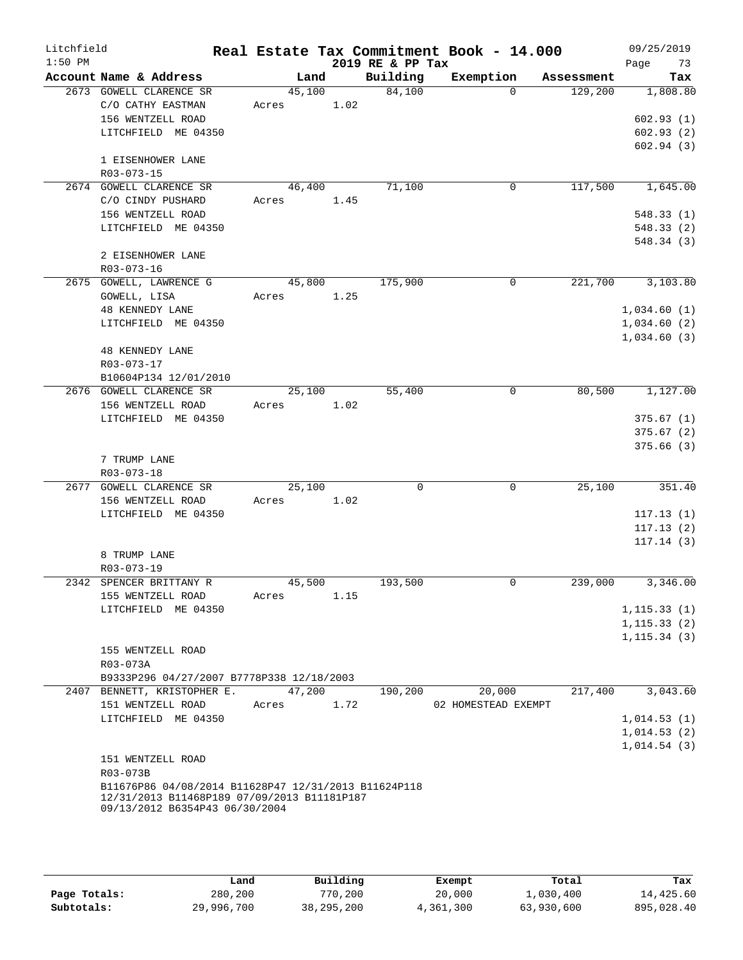| Litchfield |                                                                  |            |      |                  | Real Estate Tax Commitment Book - 14.000 |                      | 09/25/2019   |
|------------|------------------------------------------------------------------|------------|------|------------------|------------------------------------------|----------------------|--------------|
| $1:50$ PM  |                                                                  |            |      | 2019 RE & PP Tax |                                          |                      | Page<br>73   |
|            | Account Name & Address                                           | Land       |      | Building         |                                          | Exemption Assessment | Tax          |
|            | 2673 GOWELL CLARENCE SR                                          | 45,100     |      | 84,100           | $\Omega$                                 | 129,200              | 1,808.80     |
|            | C/O CATHY EASTMAN<br>156 WENTZELL ROAD                           | Acres 1.02 |      |                  |                                          |                      | 602.93(1)    |
|            | LITCHFIELD ME 04350                                              |            |      |                  |                                          |                      | 602.93(2)    |
|            |                                                                  |            |      |                  |                                          |                      | 602.94(3)    |
|            | 1 EISENHOWER LANE                                                |            |      |                  |                                          |                      |              |
|            | R03-073-15                                                       |            |      |                  |                                          |                      |              |
|            | 2674 GOWELL CLARENCE SR                                          | 46,400     |      | 71,100           | 0                                        | 117,500              | 1,645.00     |
|            | C/O CINDY PUSHARD                                                | Acres 1.45 |      |                  |                                          |                      |              |
|            | 156 WENTZELL ROAD                                                |            |      |                  |                                          |                      | 548.33(1)    |
|            | LITCHFIELD ME 04350                                              |            |      |                  |                                          |                      | 548.33(2)    |
|            |                                                                  |            |      |                  |                                          |                      | 548.34(3)    |
|            | 2 EISENHOWER LANE                                                |            |      |                  |                                          |                      |              |
|            | R03-073-16                                                       |            |      |                  |                                          |                      |              |
|            | 2675 GOWELL, LAWRENCE G                                          | 45,800     |      | 175,900          | $\mathbf{0}$                             | 221,700              | 3,103.80     |
|            | GOWELL, LISA                                                     | Acres      | 1.25 |                  |                                          |                      |              |
|            | 48 KENNEDY LANE                                                  |            |      |                  |                                          |                      | 1,034.60(1)  |
|            | LITCHFIELD ME 04350                                              |            |      |                  |                                          |                      | 1,034.60(2)  |
|            | <b>48 KENNEDY LANE</b>                                           |            |      |                  |                                          |                      | 1,034.60(3)  |
|            | R03-073-17                                                       |            |      |                  |                                          |                      |              |
|            | B10604P134 12/01/2010                                            |            |      |                  |                                          |                      |              |
|            | 2676 GOWELL CLARENCE SR                                          | 25,100     |      | 55,400           | 0                                        | 80,500               | 1,127.00     |
|            | 156 WENTZELL ROAD                                                | Acres      | 1.02 |                  |                                          |                      |              |
|            | LITCHFIELD ME 04350                                              |            |      |                  |                                          |                      | 375.67(1)    |
|            |                                                                  |            |      |                  |                                          |                      | 375.67(2)    |
|            |                                                                  |            |      |                  |                                          |                      | 375.66(3)    |
|            | 7 TRUMP LANE                                                     |            |      |                  |                                          |                      |              |
|            | R03-073-18                                                       |            |      |                  |                                          |                      |              |
|            | 2677 GOWELL CLARENCE SR                                          | 25,100     |      | $\Omega$         | 0                                        | 25,100               | 351.40       |
|            | 156 WENTZELL ROAD                                                | Acres 1.02 |      |                  |                                          |                      |              |
|            | LITCHFIELD ME 04350                                              |            |      |                  |                                          |                      | 117.13(1)    |
|            |                                                                  |            |      |                  |                                          |                      | 117.13(2)    |
|            | 8 TRUMP LANE                                                     |            |      |                  |                                          |                      | 117.14(3)    |
|            | R03-073-19                                                       |            |      |                  |                                          |                      |              |
| 2342       | SPENCER BRITTANY R                                               | 45,500     |      | 193,500          | 0                                        | 239,000              | 3,346.00     |
|            | 155 WENTZELL ROAD                                                | Acres      | 1.15 |                  |                                          |                      |              |
|            | LITCHFIELD ME 04350                                              |            |      |                  |                                          |                      | 1, 115.33(1) |
|            |                                                                  |            |      |                  |                                          |                      | 1, 115.33(2) |
|            |                                                                  |            |      |                  |                                          |                      | 1, 115.34(3) |
|            | 155 WENTZELL ROAD                                                |            |      |                  |                                          |                      |              |
|            | R03-073A                                                         |            |      |                  |                                          |                      |              |
|            | B9333P296 04/27/2007 B7778P338 12/18/2003                        |            |      |                  |                                          |                      |              |
|            | 2407 BENNETT, KRISTOPHER E.                                      | 47,200     |      | 190,200          | 20,000                                   | 217,400              | 3,043.60     |
|            | 151 WENTZELL ROAD                                                | Acres      | 1.72 |                  | 02 HOMESTEAD EXEMPT                      |                      |              |
|            | LITCHFIELD ME 04350                                              |            |      |                  |                                          |                      | 1,014.53(1)  |
|            |                                                                  |            |      |                  |                                          |                      | 1,014.53(2)  |
|            |                                                                  |            |      |                  |                                          |                      | 1,014.54(3)  |
|            | 151 WENTZELL ROAD                                                |            |      |                  |                                          |                      |              |
|            | R03-073B<br>B11676P86 04/08/2014 B11628P47 12/31/2013 B11624P118 |            |      |                  |                                          |                      |              |
|            | 12/31/2013 B11468P189 07/09/2013 B11181P187                      |            |      |                  |                                          |                      |              |
|            | 09/13/2012 B6354P43 06/30/2004                                   |            |      |                  |                                          |                      |              |
|            |                                                                  |            |      |                  |                                          |                      |              |

|              | Land       | Building     | Exempt    | Total      | Tax        |
|--------------|------------|--------------|-----------|------------|------------|
| Page Totals: | 280,200    | 770,200      | 20,000    | l,030,400  | 14,425.60  |
| Subtotals:   | 29,996,700 | 38, 295, 200 | 4,361,300 | 63,930,600 | 895,028.40 |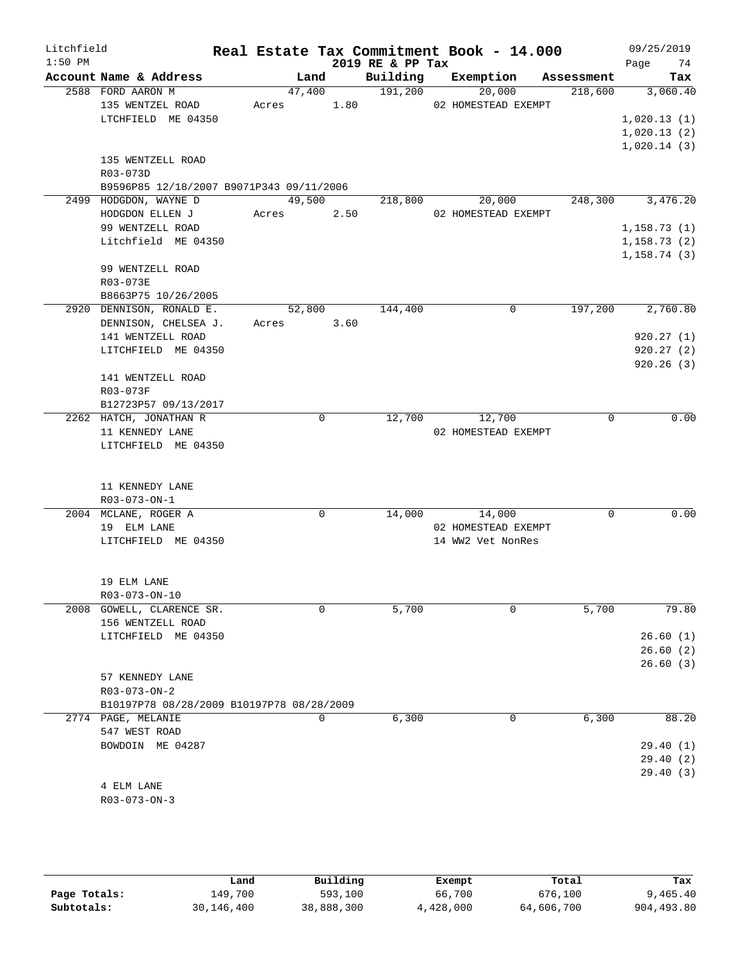| Litchfield |                                                                 |            |        |             |                  | Real Estate Tax Commitment Book - 14.000 |            | 09/25/2019   |
|------------|-----------------------------------------------------------------|------------|--------|-------------|------------------|------------------------------------------|------------|--------------|
| $1:50$ PM  |                                                                 |            |        |             | 2019 RE & PP Tax |                                          |            | Page 74      |
|            | Account Name & Address                                          |            | Land   |             |                  | Building Exemption                       | Assessment | Tax          |
|            | 2588 FORD AARON M                                               |            | 47,400 |             | 191,200          | 20,000                                   | 218,600    | 3,060.40     |
|            | 135 WENTZEL ROAD                                                | Acres 1.80 |        |             |                  | 02 HOMESTEAD EXEMPT                      |            |              |
|            | LTCHFIELD ME 04350                                              |            |        |             |                  |                                          |            | 1,020.13(1)  |
|            |                                                                 |            |        |             |                  |                                          |            | 1,020.13(2)  |
|            | 135 WENTZELL ROAD                                               |            |        |             |                  |                                          |            | 1,020.14(3)  |
|            | R03-073D                                                        |            |        |             |                  |                                          |            |              |
|            | B9596P85 12/18/2007 B9071P343 09/11/2006                        |            |        |             |                  |                                          |            |              |
|            | 2499 HODGDON, WAYNE D                                           |            | 49,500 |             | 218,800          | 20,000                                   | 248,300    | 3,476.20     |
|            | HODGDON ELLEN J                                                 | Acres 2.50 |        |             |                  | 02 HOMESTEAD EXEMPT                      |            |              |
|            | 99 WENTZELL ROAD                                                |            |        |             |                  |                                          |            | 1,158.73(1)  |
|            | Litchfield ME 04350                                             |            |        |             |                  |                                          |            | 1, 158.73(2) |
|            |                                                                 |            |        |             |                  |                                          |            | 1,158.74(3)  |
|            | 99 WENTZELL ROAD                                                |            |        |             |                  |                                          |            |              |
|            | R03-073E                                                        |            |        |             |                  |                                          |            |              |
|            | B8663P75 10/26/2005                                             |            |        |             |                  |                                          |            |              |
|            | 2920 DENNISON, RONALD E.                                        |            | 52,800 |             | 144,400          | $\Omega$                                 | 197,200    | 2,760.80     |
|            | DENNISON, CHELSEA J.                                            | Acres 3.60 |        |             |                  |                                          |            |              |
|            | 141 WENTZELL ROAD                                               |            |        |             |                  |                                          |            | 920.27(1)    |
|            | LITCHFIELD ME 04350                                             |            |        |             |                  |                                          |            | 920.27(2)    |
|            |                                                                 |            |        |             |                  |                                          |            | 920.26(3)    |
|            | 141 WENTZELL ROAD<br>R03-073F                                   |            |        |             |                  |                                          |            |              |
|            | B12723P57 09/13/2017                                            |            |        |             |                  |                                          |            |              |
|            | 2262 HATCH, JONATHAN R                                          |            |        | $\mathbf 0$ | 12,700           | 12,700                                   | 0          | 0.00         |
|            | 11 KENNEDY LANE                                                 |            |        |             |                  | 02 HOMESTEAD EXEMPT                      |            |              |
|            | LITCHFIELD ME 04350                                             |            |        |             |                  |                                          |            |              |
|            |                                                                 |            |        |             |                  |                                          |            |              |
|            |                                                                 |            |        |             |                  |                                          |            |              |
|            | 11 KENNEDY LANE                                                 |            |        |             |                  |                                          |            |              |
|            | R03-073-ON-1                                                    |            |        |             |                  |                                          |            |              |
|            | 2004 MCLANE, ROGER A                                            |            |        | 0           | 14,000           | 14,000                                   | $\Omega$   | 0.00         |
|            | 19 ELM LANE                                                     |            |        |             |                  | 02 HOMESTEAD EXEMPT                      |            |              |
|            | LITCHFIELD ME 04350                                             |            |        |             |                  | 14 WW2 Vet NonRes                        |            |              |
|            |                                                                 |            |        |             |                  |                                          |            |              |
|            | 19 ELM LANE                                                     |            |        |             |                  |                                          |            |              |
|            | R03-073-ON-10                                                   |            |        |             |                  |                                          |            |              |
|            | 2008 GOWELL, CLARENCE SR.                                       |            |        | 0           | 5,700            | 0                                        | 5,700      | 79.80        |
|            | 156 WENTZELL ROAD                                               |            |        |             |                  |                                          |            |              |
|            | LITCHFIELD ME 04350                                             |            |        |             |                  |                                          |            | 26.60(1)     |
|            |                                                                 |            |        |             |                  |                                          |            | 26.60(2)     |
|            |                                                                 |            |        |             |                  |                                          |            | 26.60(3)     |
|            | 57 KENNEDY LANE                                                 |            |        |             |                  |                                          |            |              |
|            | $R03 - 073 - ON - 2$                                            |            |        |             |                  |                                          |            |              |
|            | B10197P78 08/28/2009 B10197P78 08/28/2009<br>2774 PAGE, MELANIE |            |        | 0           | 6,300            | 0                                        | 6,300      | 88.20        |
|            | 547 WEST ROAD                                                   |            |        |             |                  |                                          |            |              |
|            | BOWDOIN ME 04287                                                |            |        |             |                  |                                          |            | 29.40(1)     |
|            |                                                                 |            |        |             |                  |                                          |            | 29.40(2)     |
|            |                                                                 |            |        |             |                  |                                          |            | 29.40(3)     |
|            | 4 ELM LANE                                                      |            |        |             |                  |                                          |            |              |
|            | $R03 - 073 - ON - 3$                                            |            |        |             |                  |                                          |            |              |
|            |                                                                 |            |        |             |                  |                                          |            |              |

|              | Land         | Building   | Exempt    | Total      | Tax        |
|--------------|--------------|------------|-----------|------------|------------|
| Page Totals: | 149,700      | 593,100    | 66,700    | 676,100    | 9,465.40   |
| Subtotals:   | 30, 146, 400 | 38,888,300 | 4,428,000 | 64,606,700 | 904,493.80 |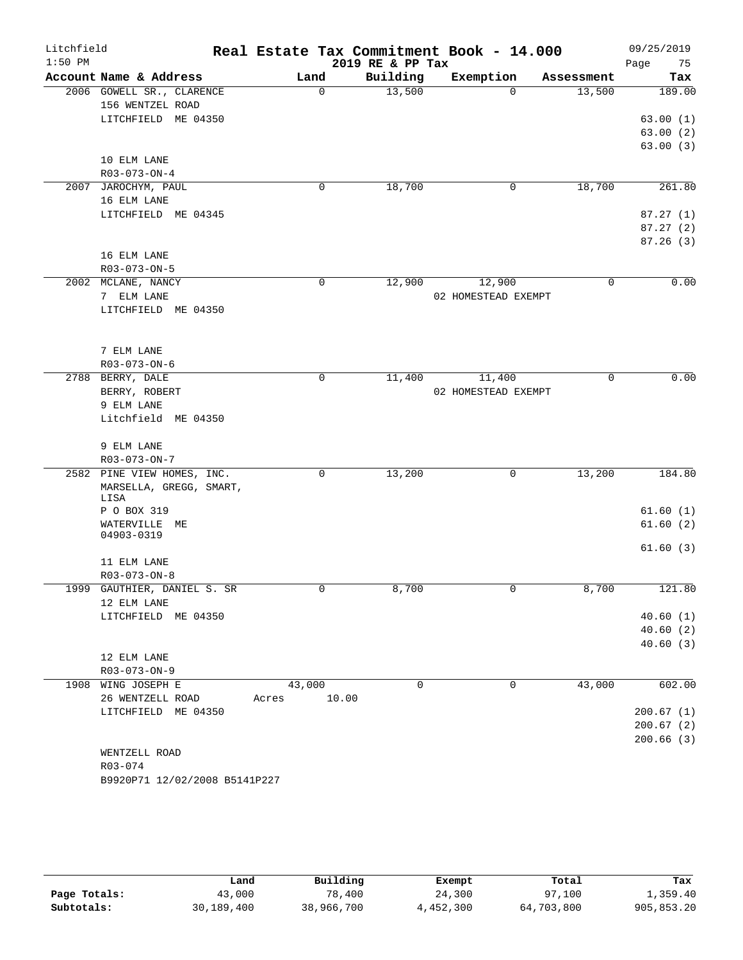| Litchfield |                                                       |             | Real Estate Tax Commitment Book - 14.000 |                     |            | 09/25/2019           |
|------------|-------------------------------------------------------|-------------|------------------------------------------|---------------------|------------|----------------------|
| $1:50$ PM  |                                                       |             | 2019 RE & PP Tax                         |                     |            | Page<br>75           |
|            | Account Name & Address                                | Land        | Building                                 | Exemption           | Assessment | Tax                  |
|            | 2006 GOWELL SR., CLARENCE                             | $\Omega$    | 13,500                                   | $\Omega$            | 13,500     | 189.00               |
|            | 156 WENTZEL ROAD                                      |             |                                          |                     |            |                      |
|            | LITCHFIELD ME 04350                                   |             |                                          |                     |            | 63.00(1)             |
|            |                                                       |             |                                          |                     |            | 63.00(2)             |
|            |                                                       |             |                                          |                     |            | 63.00(3)             |
|            | 10 ELM LANE<br>R03-073-ON-4                           |             |                                          |                     |            |                      |
|            | 2007 JAROCHYM, PAUL                                   | 0           | 18,700                                   | 0                   | 18,700     | 261.80               |
|            | 16 ELM LANE                                           |             |                                          |                     |            |                      |
|            | LITCHFIELD ME 04345                                   |             |                                          |                     |            | 87.27(1)             |
|            |                                                       |             |                                          |                     |            | 87.27(2)             |
|            |                                                       |             |                                          |                     |            | 87.26(3)             |
|            | 16 ELM LANE                                           |             |                                          |                     |            |                      |
|            | R03-073-ON-5                                          |             |                                          |                     |            |                      |
|            | 2002 MCLANE, NANCY                                    | $\mathbf 0$ | 12,900                                   | 12,900              | 0          | 0.00                 |
|            | 7 ELM LANE                                            |             |                                          | 02 HOMESTEAD EXEMPT |            |                      |
|            | LITCHFIELD ME 04350                                   |             |                                          |                     |            |                      |
|            |                                                       |             |                                          |                     |            |                      |
|            |                                                       |             |                                          |                     |            |                      |
|            | 7 ELM LANE                                            |             |                                          |                     |            |                      |
|            | R03-073-ON-6                                          |             |                                          |                     |            |                      |
|            | 2788 BERRY, DALE                                      | 0           | 11,400                                   | 11,400              | 0          | 0.00                 |
|            | BERRY, ROBERT                                         |             |                                          | 02 HOMESTEAD EXEMPT |            |                      |
|            | 9 ELM LANE                                            |             |                                          |                     |            |                      |
|            | Litchfield ME 04350                                   |             |                                          |                     |            |                      |
|            |                                                       |             |                                          |                     |            |                      |
|            | 9 ELM LANE                                            |             |                                          |                     |            |                      |
|            | R03-073-ON-7                                          | 0           |                                          |                     | 13,200     | 184.80               |
|            | 2582 PINE VIEW HOMES, INC.<br>MARSELLA, GREGG, SMART, |             | 13,200                                   | 0                   |            |                      |
|            | LISA                                                  |             |                                          |                     |            |                      |
|            | P O BOX 319                                           |             |                                          |                     |            | 61.60(1)             |
|            | WATERVILLE ME                                         |             |                                          |                     |            | 61.60(2)             |
|            | 04903-0319                                            |             |                                          |                     |            |                      |
|            |                                                       |             |                                          |                     |            | 61.60(3)             |
|            | 11 ELM LANE                                           |             |                                          |                     |            |                      |
|            | $R03 - 073 - ON - 8$                                  |             |                                          |                     |            |                      |
| 1999       | GAUTHIER, DANIEL S. SR                                | 0           | 8,700                                    | $\overline{0}$      | 8,700      | 121.80               |
|            | 12 ELM LANE                                           |             |                                          |                     |            |                      |
|            | LITCHFIELD ME 04350                                   |             |                                          |                     |            | 40.60(1)<br>40.60(2) |
|            |                                                       |             |                                          |                     |            | 40.60(3)             |
|            | 12 ELM LANE                                           |             |                                          |                     |            |                      |
|            | R03-073-ON-9                                          |             |                                          |                     |            |                      |
|            | 1908 WING JOSEPH E                                    | 43,000      | $\Omega$                                 | 0                   | 43,000     | 602.00               |
|            | 26 WENTZELL ROAD                                      | Acres       | 10.00                                    |                     |            |                      |
|            | LITCHFIELD ME 04350                                   |             |                                          |                     |            | 200.67(1)            |
|            |                                                       |             |                                          |                     |            | 200.67(2)            |
|            |                                                       |             |                                          |                     |            | 200.66(3)            |
|            | WENTZELL ROAD                                         |             |                                          |                     |            |                      |
|            | $R03 - 074$                                           |             |                                          |                     |            |                      |
|            | B9920P71 12/02/2008 B5141P227                         |             |                                          |                     |            |                      |

|              | Land       | Building   | Exempt    | Total      | Tax        |
|--------------|------------|------------|-----------|------------|------------|
| Page Totals: | 43,000     | 78,400     | 24,300    | 97,100     | 1,359.40   |
| Subtotals:   | 30,189,400 | 38,966,700 | 4,452,300 | 64,703,800 | 905,853.20 |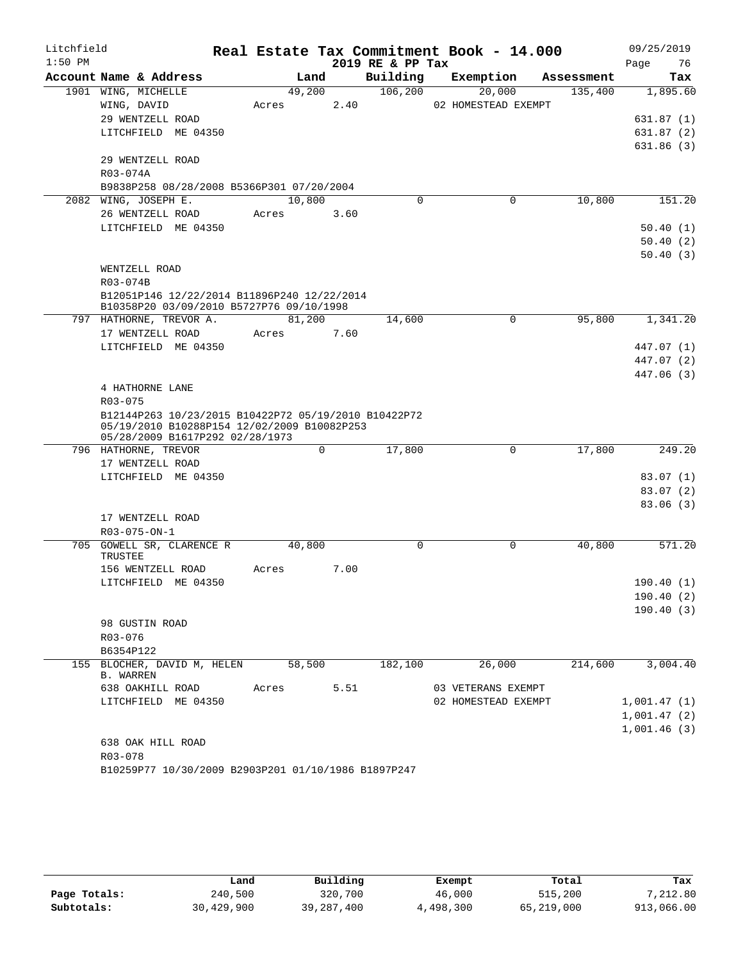| Litchfield |                                                                                                     |       |        |      |                  | Real Estate Tax Commitment Book - 14.000 |            | 09/25/2019  |
|------------|-----------------------------------------------------------------------------------------------------|-------|--------|------|------------------|------------------------------------------|------------|-------------|
| $1:50$ PM  |                                                                                                     |       |        |      | 2019 RE & PP Tax |                                          |            | 76<br>Page  |
|            | Account Name & Address                                                                              |       | Land   |      | Building         | Exemption                                | Assessment | Tax         |
|            | 1901 WING, MICHELLE                                                                                 |       | 49,200 |      | 106, 200         | 20,000                                   | 135,400    | 1,895.60    |
|            | WING, DAVID                                                                                         | Acres |        | 2.40 |                  | 02 HOMESTEAD EXEMPT                      |            |             |
|            | 29 WENTZELL ROAD                                                                                    |       |        |      |                  |                                          |            | 631.87 (1)  |
|            | LITCHFIELD ME 04350                                                                                 |       |        |      |                  |                                          |            | 631.87(2)   |
|            |                                                                                                     |       |        |      |                  |                                          |            | 631.86 (3)  |
|            | 29 WENTZELL ROAD                                                                                    |       |        |      |                  |                                          |            |             |
|            | R03-074A                                                                                            |       |        |      |                  |                                          |            |             |
|            | B9838P258 08/28/2008 B5366P301 07/20/2004<br>2082 WING, JOSEPH E.                                   |       | 10,800 |      | $\mathbf 0$      | 0                                        | 10,800     | 151.20      |
|            | 26 WENTZELL ROAD                                                                                    | Acres |        | 3.60 |                  |                                          |            |             |
|            | LITCHFIELD ME 04350                                                                                 |       |        |      |                  |                                          |            | 50.40(1)    |
|            |                                                                                                     |       |        |      |                  |                                          |            | 50.40(2)    |
|            |                                                                                                     |       |        |      |                  |                                          |            | 50.40(3)    |
|            | WENTZELL ROAD                                                                                       |       |        |      |                  |                                          |            |             |
|            | R03-074B                                                                                            |       |        |      |                  |                                          |            |             |
|            | B12051P146 12/22/2014 B11896P240 12/22/2014                                                         |       |        |      |                  |                                          |            |             |
|            | B10358P20 03/09/2010 B5727P76 09/10/1998                                                            |       |        |      |                  |                                          |            |             |
|            | 797 HATHORNE, TREVOR A.                                                                             |       | 81,200 |      | 14,600           | 0                                        | 95,800     | 1,341.20    |
|            | 17 WENTZELL ROAD                                                                                    | Acres |        | 7.60 |                  |                                          |            |             |
|            | LITCHFIELD ME 04350                                                                                 |       |        |      |                  |                                          |            | 447.07 (1)  |
|            |                                                                                                     |       |        |      |                  |                                          |            | 447.07 (2)  |
|            |                                                                                                     |       |        |      |                  |                                          |            | 447.06 (3)  |
|            | 4 HATHORNE LANE<br>R03-075                                                                          |       |        |      |                  |                                          |            |             |
|            | B12144P263 10/23/2015 B10422P72 05/19/2010 B10422P72<br>05/19/2010 B10288P154 12/02/2009 B10082P253 |       |        |      |                  |                                          |            |             |
|            | 05/28/2009 B1617P292 02/28/1973<br>796 HATHORNE, TREVOR                                             |       | 0      |      | 17,800           | 0                                        | 17,800     | 249.20      |
|            | 17 WENTZELL ROAD                                                                                    |       |        |      |                  |                                          |            |             |
|            | LITCHFIELD ME 04350                                                                                 |       |        |      |                  |                                          |            | 83.07(1)    |
|            |                                                                                                     |       |        |      |                  |                                          |            | 83.07(2)    |
|            |                                                                                                     |       |        |      |                  |                                          |            | 83.06(3)    |
|            | 17 WENTZELL ROAD                                                                                    |       |        |      |                  |                                          |            |             |
|            | $R03 - 075 - ON - 1$                                                                                |       |        |      |                  |                                          |            |             |
|            | 705 GOWELL SR, CLARENCE R<br>TRUSTEE                                                                |       | 40,800 |      | 0                | $\mathbf 0$                              | 40,800     | 571.20      |
|            | 156 WENTZELL ROAD                                                                                   | Acres |        | 7.00 |                  |                                          |            |             |
|            | LITCHFIELD ME 04350                                                                                 |       |        |      |                  |                                          |            | 190.40(1)   |
|            |                                                                                                     |       |        |      |                  |                                          |            | 190.40(2)   |
|            |                                                                                                     |       |        |      |                  |                                          |            | 190.40(3)   |
|            | 98 GUSTIN ROAD                                                                                      |       |        |      |                  |                                          |            |             |
|            | R03-076                                                                                             |       |        |      |                  |                                          |            |             |
|            | B6354P122                                                                                           |       |        |      |                  |                                          | 214,600    | 3,004.40    |
|            | 155 BLOCHER, DAVID M, HELEN<br><b>B. WARREN</b>                                                     |       | 58,500 |      | 182,100          | 26,000                                   |            |             |
|            | 638 OAKHILL ROAD                                                                                    | Acres |        | 5.51 |                  | 03 VETERANS EXEMPT                       |            |             |
|            | LITCHFIELD ME 04350                                                                                 |       |        |      |                  | 02 HOMESTEAD EXEMPT                      |            | 1,001.47(1) |
|            |                                                                                                     |       |        |      |                  |                                          |            | 1,001.47(2) |
|            |                                                                                                     |       |        |      |                  |                                          |            | 1,001.46(3) |
|            | 638 OAK HILL ROAD                                                                                   |       |        |      |                  |                                          |            |             |
|            | R03-078                                                                                             |       |        |      |                  |                                          |            |             |
|            | B10259P77 10/30/2009 B2903P201 01/10/1986 B1897P247                                                 |       |        |      |                  |                                          |            |             |

|              | Land       | Building   | Exempt    | Total      | Tax        |
|--------------|------------|------------|-----------|------------|------------|
| Page Totals: | 240,500    | 320,700    | 46,000    | 515,200    | 7,212.80   |
| Subtotals:   | 30,429,900 | 39,287,400 | 4,498,300 | 65,219,000 | 913,066.00 |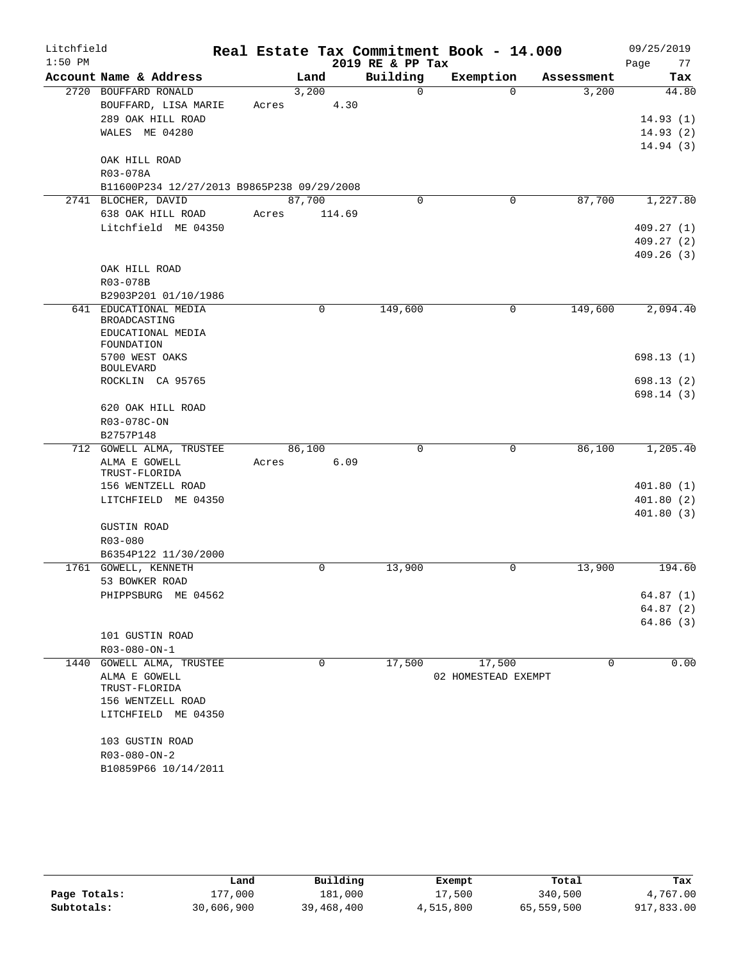| Litchfield |                                              |       |        |             |                  | Real Estate Tax Commitment Book - 14.000 |            | 09/25/2019 |
|------------|----------------------------------------------|-------|--------|-------------|------------------|------------------------------------------|------------|------------|
| $1:50$ PM  |                                              |       |        |             | 2019 RE & PP Tax |                                          |            | 77<br>Page |
|            | Account Name & Address                       |       | Land   |             | Building         | Exemption                                | Assessment | Tax        |
|            | 2720 BOUFFARD RONALD                         |       | 3,200  |             | $\Omega$         | $\Omega$                                 | 3,200      | 44.80      |
|            | BOUFFARD, LISA MARIE                         | Acres |        | 4.30        |                  |                                          |            |            |
|            | 289 OAK HILL ROAD                            |       |        |             |                  |                                          |            | 14.93(1)   |
|            | WALES ME 04280                               |       |        |             |                  |                                          |            | 14.93(2)   |
|            |                                              |       |        |             |                  |                                          |            | 14.94(3)   |
|            | OAK HILL ROAD                                |       |        |             |                  |                                          |            |            |
|            | R03-078A                                     |       |        |             |                  |                                          |            |            |
|            | B11600P234 12/27/2013 B9865P238 09/29/2008   |       |        |             |                  |                                          |            |            |
|            | 2741 BLOCHER, DAVID                          |       | 87,700 |             | $\Omega$         | $\mathbf 0$                              | 87,700     | 1,227.80   |
|            | 638 OAK HILL ROAD                            | Acres |        | 114.69      |                  |                                          |            |            |
|            | Litchfield ME 04350                          |       |        |             |                  |                                          |            | 409.27(1)  |
|            |                                              |       |        |             |                  |                                          |            | 409.27(2)  |
|            |                                              |       |        |             |                  |                                          |            | 409.26(3)  |
|            | OAK HILL ROAD                                |       |        |             |                  |                                          |            |            |
|            | R03-078B                                     |       |        |             |                  |                                          |            |            |
|            | B2903P201 01/10/1986                         |       |        | $\mathbf 0$ |                  | $\mathbf 0$                              |            |            |
|            | 641 EDUCATIONAL MEDIA<br>BROADCASTING        |       |        |             | 149,600          |                                          | 149,600    | 2,094.40   |
|            | EDUCATIONAL MEDIA                            |       |        |             |                  |                                          |            |            |
|            | FOUNDATION                                   |       |        |             |                  |                                          |            |            |
|            | 5700 WEST OAKS                               |       |        |             |                  |                                          |            | 698.13(1)  |
|            | <b>BOULEVARD</b>                             |       |        |             |                  |                                          |            |            |
|            | ROCKLIN CA 95765                             |       |        |             |                  |                                          |            | 698.13(2)  |
|            |                                              |       |        |             |                  |                                          |            | 698.14(3)  |
|            | 620 OAK HILL ROAD                            |       |        |             |                  |                                          |            |            |
|            | R03-078C-ON                                  |       |        |             |                  |                                          |            |            |
|            | B2757P148                                    |       |        |             |                  |                                          |            |            |
|            | 712 GOWELL ALMA, TRUSTEE                     |       | 86,100 |             | 0                | 0                                        | 86,100     | 1,205.40   |
|            | ALMA E GOWELL<br>TRUST-FLORIDA               | Acres |        | 6.09        |                  |                                          |            |            |
|            | 156 WENTZELL ROAD                            |       |        |             |                  |                                          |            | 401.80(1)  |
|            | LITCHFIELD ME 04350                          |       |        |             |                  |                                          |            | 401.80(2)  |
|            |                                              |       |        |             |                  |                                          |            | 401.80(3)  |
|            | <b>GUSTIN ROAD</b>                           |       |        |             |                  |                                          |            |            |
|            | R03-080                                      |       |        |             |                  |                                          |            |            |
|            | B6354P122 11/30/2000                         |       |        |             |                  |                                          |            |            |
|            | 1761 GOWELL, KENNETH                         |       |        | $\mathbf 0$ | 13,900           | 0                                        | 13,900     | 194.60     |
|            | 53 BOWKER ROAD                               |       |        |             |                  |                                          |            |            |
|            | PHIPPSBURG ME 04562                          |       |        |             |                  |                                          |            | 64.87(1)   |
|            |                                              |       |        |             |                  |                                          |            | 64.87(2)   |
|            |                                              |       |        |             |                  |                                          |            | 64.86(3)   |
|            | 101 GUSTIN ROAD                              |       |        |             |                  |                                          |            |            |
|            | $R03 - 080 - ON - 1$                         |       |        |             |                  |                                          |            |            |
|            | 1440 GOWELL ALMA, TRUSTEE                    |       |        | 0           | 17,500           | 17,500                                   | 0          | 0.00       |
|            | ALMA E GOWELL                                |       |        |             |                  | 02 HOMESTEAD EXEMPT                      |            |            |
|            | TRUST-FLORIDA                                |       |        |             |                  |                                          |            |            |
|            | 156 WENTZELL ROAD                            |       |        |             |                  |                                          |            |            |
|            | LITCHFIELD ME 04350                          |       |        |             |                  |                                          |            |            |
|            |                                              |       |        |             |                  |                                          |            |            |
|            | 103 GUSTIN ROAD                              |       |        |             |                  |                                          |            |            |
|            | $R03 - 080 - ON - 2$<br>B10859P66 10/14/2011 |       |        |             |                  |                                          |            |            |
|            |                                              |       |        |             |                  |                                          |            |            |

|              | Land       | Building   | Exempt    | Total      | Tax        |
|--------------|------------|------------|-----------|------------|------------|
| Page Totals: | L77,000    | 181,000    | 17,500    | 340,500    | 4,767.00   |
| Subtotals:   | 30,606,900 | 39,468,400 | 4,515,800 | 65,559,500 | 917,833.00 |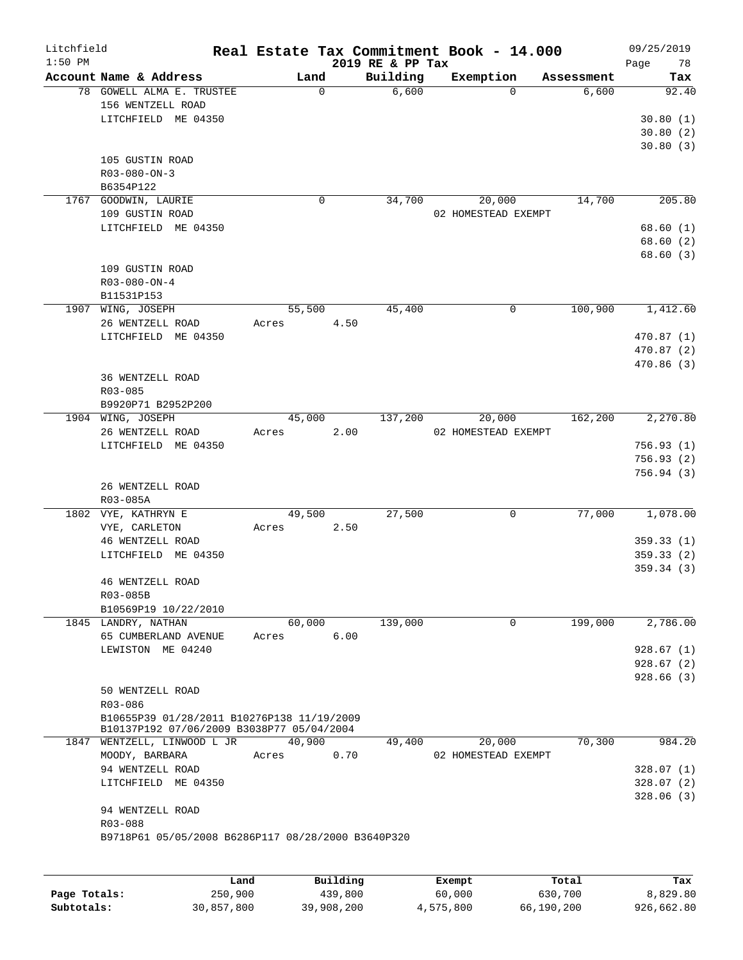| Litchfield<br>$1:50$ PM |                                                    |        |             | 2019 RE & PP Tax |          | Real Estate Tax Commitment Book - 14.000 |            | 09/25/2019<br>78<br>Page |
|-------------------------|----------------------------------------------------|--------|-------------|------------------|----------|------------------------------------------|------------|--------------------------|
|                         | Account Name & Address                             |        | Land        |                  | Building | Exemption                                | Assessment | Tax                      |
|                         | 78 GOWELL ALMA E. TRUSTEE<br>156 WENTZELL ROAD     |        | $\mathbf 0$ |                  | 6,600    | $\Omega$                                 | 6,600      | 92.40                    |
|                         | LITCHFIELD ME 04350                                |        |             |                  |          |                                          |            | 30.80(1)                 |
|                         |                                                    |        |             |                  |          |                                          |            | 30.80(2)                 |
|                         |                                                    |        |             |                  |          |                                          |            | 30.80(3)                 |
|                         | 105 GUSTIN ROAD                                    |        |             |                  |          |                                          |            |                          |
|                         | $R03 - 080 - ON - 3$                               |        |             |                  |          |                                          |            |                          |
|                         | B6354P122                                          |        |             |                  |          |                                          |            |                          |
|                         | 1767 GOODWIN, LAURIE                               |        | 0           |                  | 34,700   | 20,000                                   | 14,700     | 205.80                   |
|                         | 109 GUSTIN ROAD                                    |        |             |                  |          | 02 HOMESTEAD EXEMPT                      |            |                          |
|                         | LITCHFIELD ME 04350                                |        |             |                  |          |                                          |            | 68.60 (1)<br>68.60(2)    |
|                         |                                                    |        |             |                  |          |                                          |            | 68.60 (3)                |
|                         | 109 GUSTIN ROAD                                    |        |             |                  |          |                                          |            |                          |
|                         | $R03 - 080 - ON - 4$                               |        |             |                  |          |                                          |            |                          |
|                         | B11531P153                                         |        |             |                  |          |                                          |            |                          |
|                         | 1907 WING, JOSEPH                                  | 55,500 |             |                  | 45,400   | 0                                        | 100,900    | 1,412.60                 |
|                         | 26 WENTZELL ROAD                                   | Acres  |             | 4.50             |          |                                          |            |                          |
|                         | LITCHFIELD ME 04350                                |        |             |                  |          |                                          |            | 470.87 (1)               |
|                         |                                                    |        |             |                  |          |                                          |            | 470.87 (2)               |
|                         |                                                    |        |             |                  |          |                                          |            | 470.86 (3)               |
|                         | 36 WENTZELL ROAD                                   |        |             |                  |          |                                          |            |                          |
|                         | R03-085                                            |        |             |                  |          |                                          |            |                          |
|                         | B9920P71 B2952P200                                 |        |             |                  |          |                                          |            |                          |
|                         | 1904 WING, JOSEPH                                  | 45,000 |             |                  | 137,200  | 20,000                                   | 162, 200   | 2,270.80                 |
|                         | 26 WENTZELL ROAD                                   | Acres  |             | 2.00             |          | 02 HOMESTEAD EXEMPT                      |            |                          |
|                         | LITCHFIELD ME 04350                                |        |             |                  |          |                                          |            | 756.93(1)                |
|                         |                                                    |        |             |                  |          |                                          |            | 756.93 (2)               |
|                         |                                                    |        |             |                  |          |                                          |            | 756.94(3)                |
|                         | 26 WENTZELL ROAD                                   |        |             |                  |          |                                          |            |                          |
|                         | R03-085A                                           |        |             |                  |          |                                          |            |                          |
|                         | 1802 VYE, KATHRYN E                                | 49,500 |             |                  | 27,500   | 0                                        | 77,000     | 1,078.00                 |
|                         | VYE, CARLETON                                      | Acres  |             | 2.50             |          |                                          |            |                          |
|                         | 46 WENTZELL ROAD                                   |        |             |                  |          |                                          |            | 359.33(1)                |
|                         | LITCHFIELD ME 04350                                |        |             |                  |          |                                          |            | 359.33(2)                |
|                         |                                                    |        |             |                  |          |                                          |            | 359.34(3)                |
|                         | 46 WENTZELL ROAD                                   |        |             |                  |          |                                          |            |                          |
|                         | R03-085B                                           |        |             |                  |          |                                          |            |                          |
|                         | B10569P19 10/22/2010                               |        |             |                  |          |                                          |            |                          |
|                         | 1845 LANDRY, NATHAN                                | 60,000 |             |                  | 139,000  | $\mathbf 0$                              | 199,000    | 2,786.00                 |
|                         | 65 CUMBERLAND AVENUE                               | Acres  |             | 6.00             |          |                                          |            |                          |
|                         | LEWISTON ME 04240                                  |        |             |                  |          |                                          |            | 928.67(1)                |
|                         |                                                    |        |             |                  |          |                                          |            | 928.67(2)                |
|                         |                                                    |        |             |                  |          |                                          |            | 928.66(3)                |
|                         | 50 WENTZELL ROAD                                   |        |             |                  |          |                                          |            |                          |
|                         | R03-086                                            |        |             |                  |          |                                          |            |                          |
|                         | B10655P39 01/28/2011 B10276P138 11/19/2009         |        |             |                  |          |                                          |            |                          |
|                         | B10137P192 07/06/2009 B3038P77 05/04/2004          |        |             |                  |          |                                          |            |                          |
|                         | 1847 WENTZELL, LINWOOD L JR                        | 40,900 |             |                  | 49,400   | 20,000                                   | 70,300     | 984.20                   |
|                         | MOODY, BARBARA                                     | Acres  |             | 0.70             |          | 02 HOMESTEAD EXEMPT                      |            |                          |
|                         | 94 WENTZELL ROAD                                   |        |             |                  |          |                                          |            | 328.07 (1)               |
|                         | LITCHFIELD ME 04350                                |        |             |                  |          |                                          |            | 328.07 (2)               |
|                         |                                                    |        |             |                  |          |                                          |            | 328.06(3)                |
|                         | 94 WENTZELL ROAD                                   |        |             |                  |          |                                          |            |                          |
|                         | R03-088                                            |        |             |                  |          |                                          |            |                          |
|                         | B9718P61 05/05/2008 B6286P117 08/28/2000 B3640P320 |        |             |                  |          |                                          |            |                          |
|                         |                                                    |        |             |                  |          |                                          |            |                          |
|                         |                                                    |        |             |                  |          |                                          |            |                          |
|                         | Land.                                              |        | Building    |                  |          | <b>Ryomnt</b>                            | $T0+21$    | Tay                      |

|              | Land       | Building   | Exempt    | Total      | Tax        |
|--------------|------------|------------|-----------|------------|------------|
| Page Totals: | 250,900    | 439,800    | 60,000    | 630,700    | 8,829.80   |
| Subtotals:   | 30,857,800 | 39,908,200 | 4,575,800 | 66,190,200 | 926,662.80 |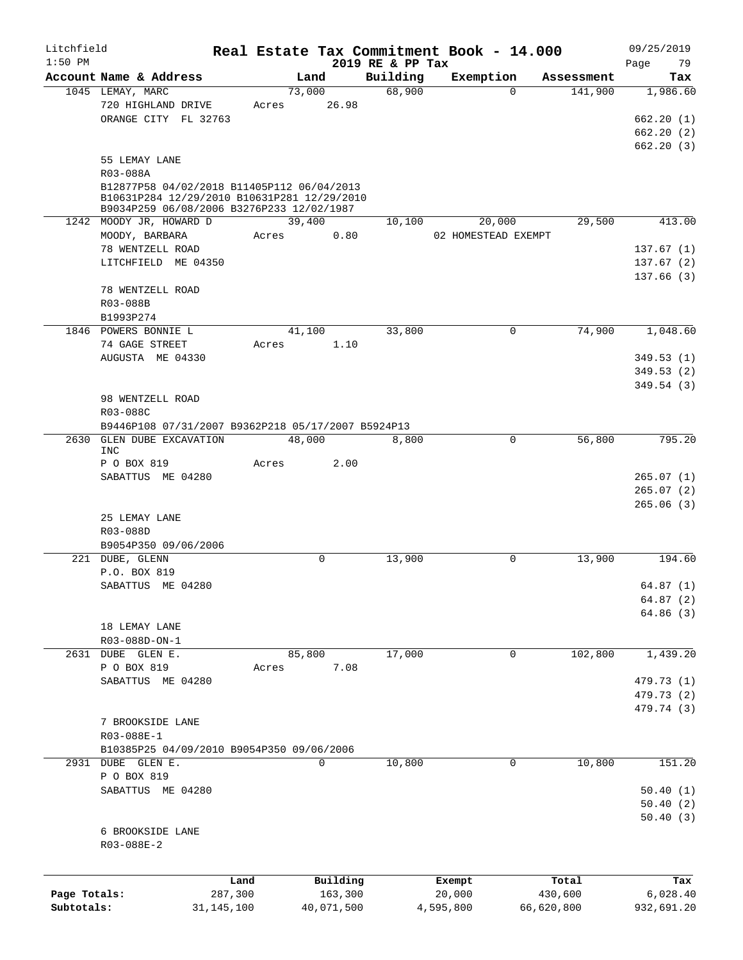| Litchfield   |                                                                                           |              |        |             |                              | Real Estate Tax Commitment Book - 14.000 |            |                       | 09/25/2019      |
|--------------|-------------------------------------------------------------------------------------------|--------------|--------|-------------|------------------------------|------------------------------------------|------------|-----------------------|-----------------|
| $1:50$ PM    | Account Name & Address                                                                    |              | Land   |             | 2019 RE & PP Tax<br>Building | Exemption                                |            |                       | Page<br>79      |
|              | 1045 LEMAY, MARC                                                                          |              | 73,000 |             | 68,900                       |                                          | $\Omega$   | Assessment<br>141,900 | Tax<br>1,986.60 |
|              | 720 HIGHLAND DRIVE                                                                        | Acres        |        | 26.98       |                              |                                          |            |                       |                 |
|              |                                                                                           |              |        |             |                              |                                          |            |                       |                 |
|              | ORANGE CITY FL 32763                                                                      |              |        |             |                              |                                          |            |                       | 662.20(1)       |
|              |                                                                                           |              |        |             |                              |                                          |            |                       | 662.20(2)       |
|              |                                                                                           |              |        |             |                              |                                          |            |                       | 662.20(3)       |
|              | 55 LEMAY LANE                                                                             |              |        |             |                              |                                          |            |                       |                 |
|              | R03-088A                                                                                  |              |        |             |                              |                                          |            |                       |                 |
|              | B12877P58 04/02/2018 B11405P112 06/04/2013<br>B10631P284 12/29/2010 B10631P281 12/29/2010 |              |        |             |                              |                                          |            |                       |                 |
|              | B9034P259 06/08/2006 B3276P233 12/02/1987                                                 |              |        |             |                              |                                          |            |                       |                 |
|              | 1242 MOODY JR, HOWARD D                                                                   |              | 39,400 |             | 10,100                       | 20,000                                   |            | 29,500                | 413.00          |
|              | MOODY, BARBARA                                                                            | Acres        |        | 0.80        |                              | 02 HOMESTEAD EXEMPT                      |            |                       |                 |
|              | 78 WENTZELL ROAD                                                                          |              |        |             |                              |                                          |            |                       | 137.67(1)       |
|              | LITCHFIELD ME 04350                                                                       |              |        |             |                              |                                          |            |                       | 137.67(2)       |
|              |                                                                                           |              |        |             |                              |                                          |            |                       | 137.66(3)       |
|              | 78 WENTZELL ROAD                                                                          |              |        |             |                              |                                          |            |                       |                 |
|              | R03-088B                                                                                  |              |        |             |                              |                                          |            |                       |                 |
|              | B1993P274                                                                                 |              |        |             |                              |                                          |            |                       |                 |
|              | 1846 POWERS BONNIE L                                                                      |              | 41,100 |             | 33,800                       |                                          | 0          | 74,900                | 1,048.60        |
|              |                                                                                           |              |        |             |                              |                                          |            |                       |                 |
|              | 74 GAGE STREET                                                                            | Acres        |        | 1.10        |                              |                                          |            |                       |                 |
|              | AUGUSTA ME 04330                                                                          |              |        |             |                              |                                          |            |                       | 349.53(1)       |
|              |                                                                                           |              |        |             |                              |                                          |            |                       | 349.53(2)       |
|              |                                                                                           |              |        |             |                              |                                          |            |                       | 349.54 (3)      |
|              | 98 WENTZELL ROAD                                                                          |              |        |             |                              |                                          |            |                       |                 |
|              | R03-088C                                                                                  |              |        |             |                              |                                          |            |                       |                 |
|              | B9446P108 07/31/2007 B9362P218 05/17/2007 B5924P13                                        |              |        |             |                              |                                          |            |                       |                 |
| 2630         | GLEN DUBE EXCAVATION                                                                      |              | 48,000 |             | 8,800                        |                                          | 0          | 56,800                | 795.20          |
|              | <b>INC</b>                                                                                |              |        |             |                              |                                          |            |                       |                 |
|              | P O BOX 819                                                                               | Acres        |        | 2.00        |                              |                                          |            |                       |                 |
|              | SABATTUS ME 04280                                                                         |              |        |             |                              |                                          |            |                       | 265.07(1)       |
|              |                                                                                           |              |        |             |                              |                                          |            |                       | 265.07(2)       |
|              |                                                                                           |              |        |             |                              |                                          |            |                       | 265.06(3)       |
|              | 25 LEMAY LANE                                                                             |              |        |             |                              |                                          |            |                       |                 |
|              | R03-088D                                                                                  |              |        |             |                              |                                          |            |                       |                 |
|              | B9054P350 09/06/2006                                                                      |              |        |             |                              |                                          |            |                       |                 |
|              | 221 DUBE, GLENN                                                                           |              |        | $\mathbf 0$ | 13,900                       |                                          | 0          | 13,900                | 194.60          |
|              | P.O. BOX 819                                                                              |              |        |             |                              |                                          |            |                       |                 |
|              | SABATTUS ME 04280                                                                         |              |        |             |                              |                                          |            |                       | 64.87(1)        |
|              |                                                                                           |              |        |             |                              |                                          |            |                       | 64.87(2)        |
|              |                                                                                           |              |        |             |                              |                                          |            |                       | 64.86(3)        |
|              | 18 LEMAY LANE                                                                             |              |        |             |                              |                                          |            |                       |                 |
|              | R03-088D-ON-1                                                                             |              |        |             |                              |                                          |            |                       |                 |
|              | 2631 DUBE GLEN E.                                                                         |              | 85,800 |             | 17,000                       |                                          | 0          | 102,800               | 1,439.20        |
|              | P O BOX 819                                                                               | Acres        |        | 7.08        |                              |                                          |            |                       |                 |
|              | SABATTUS ME 04280                                                                         |              |        |             |                              |                                          |            |                       | 479.73 (1)      |
|              |                                                                                           |              |        |             |                              |                                          |            |                       | 479.73 (2)      |
|              |                                                                                           |              |        |             |                              |                                          |            |                       | 479.74 (3)      |
|              | 7 BROOKSIDE LANE                                                                          |              |        |             |                              |                                          |            |                       |                 |
|              | R03-088E-1                                                                                |              |        |             |                              |                                          |            |                       |                 |
|              | B10385P25 04/09/2010 B9054P350 09/06/2006                                                 |              |        |             |                              |                                          |            |                       |                 |
|              | 2931 DUBE GLEN E.                                                                         |              |        | 0           | 10,800                       |                                          | 0          | 10,800                | 151.20          |
|              | P O BOX 819                                                                               |              |        |             |                              |                                          |            |                       |                 |
|              | SABATTUS ME 04280                                                                         |              |        |             |                              |                                          |            |                       | 50.40(1)        |
|              |                                                                                           |              |        |             |                              |                                          |            |                       | 50.40(2)        |
|              |                                                                                           |              |        |             |                              |                                          |            |                       | 50.40(3)        |
|              | 6 BROOKSIDE LANE                                                                          |              |        |             |                              |                                          |            |                       |                 |
|              | R03-088E-2                                                                                |              |        |             |                              |                                          |            |                       |                 |
|              |                                                                                           |              |        |             |                              |                                          |            |                       |                 |
|              |                                                                                           |              |        |             |                              |                                          |            |                       |                 |
|              |                                                                                           | Land         |        | Building    |                              | Exempt                                   |            | Total                 | Tax             |
| Page Totals: |                                                                                           | 287,300      |        | 163,300     |                              | 20,000                                   |            | 430,600               | 6,028.40        |
| Subtotals:   |                                                                                           | 31, 145, 100 |        | 40,071,500  |                              | 4,595,800                                | 66,620,800 |                       | 932,691.20      |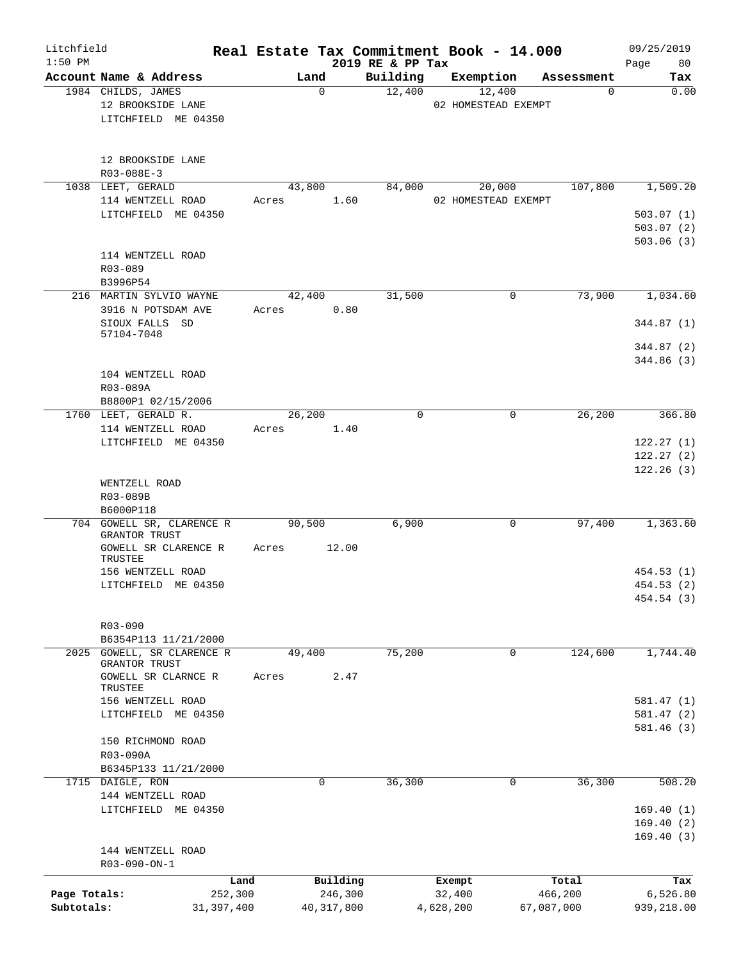| Litchfield<br>$1:50$ PM |                            |         |              | 2019 RE & PP Tax | Real Estate Tax Commitment Book - 14.000 |            | 09/25/2019<br>80<br>Page |
|-------------------------|----------------------------|---------|--------------|------------------|------------------------------------------|------------|--------------------------|
|                         | Account Name & Address     |         | Land         | Building         | Exemption                                | Assessment | Tax                      |
|                         | 1984 CHILDS, JAMES         |         | $\Omega$     | 12,400           | 12,400                                   | $\Omega$   | 0.00                     |
|                         | 12 BROOKSIDE LANE          |         |              |                  | 02 HOMESTEAD EXEMPT                      |            |                          |
|                         | LITCHFIELD ME 04350        |         |              |                  |                                          |            |                          |
|                         |                            |         |              |                  |                                          |            |                          |
|                         |                            |         |              |                  |                                          |            |                          |
|                         |                            |         |              |                  |                                          |            |                          |
|                         | 12 BROOKSIDE LANE          |         |              |                  |                                          |            |                          |
|                         | $R03 - 088E - 3$           |         |              |                  |                                          |            |                          |
|                         | 1038 LEET, GERALD          |         | 43,800       | 84,000           | 20,000                                   | 107,800    | 1,509.20                 |
|                         | 114 WENTZELL ROAD          | Acres   | 1.60         |                  | 02 HOMESTEAD EXEMPT                      |            |                          |
|                         | LITCHFIELD ME 04350        |         |              |                  |                                          |            | 503.07(1)                |
|                         |                            |         |              |                  |                                          |            | 503.07(2)                |
|                         |                            |         |              |                  |                                          |            | 503.06 (3)               |
|                         | 114 WENTZELL ROAD          |         |              |                  |                                          |            |                          |
|                         | R03-089                    |         |              |                  |                                          |            |                          |
|                         | B3996P54                   |         |              |                  |                                          |            |                          |
|                         | 216 MARTIN SYLVIO WAYNE    |         | 42,400       | 31,500           | 0                                        | 73,900     | 1,034.60                 |
|                         | 3916 N POTSDAM AVE         | Acres   | 0.80         |                  |                                          |            |                          |
|                         | SIOUX FALLS SD             |         |              |                  |                                          |            | 344.87 (1)               |
|                         | 57104-7048                 |         |              |                  |                                          |            |                          |
|                         |                            |         |              |                  |                                          |            | 344.87 (2)               |
|                         |                            |         |              |                  |                                          |            | 344.86 (3)               |
|                         | 104 WENTZELL ROAD          |         |              |                  |                                          |            |                          |
|                         | R03-089A                   |         |              |                  |                                          |            |                          |
|                         |                            |         |              |                  |                                          |            |                          |
|                         | B8800P1 02/15/2006         |         |              |                  |                                          |            |                          |
|                         | 1760 LEET, GERALD R.       |         | 26,200       | 0                | $\mathbf 0$                              | 26,200     | 366.80                   |
|                         | 114 WENTZELL ROAD          | Acres   | 1.40         |                  |                                          |            |                          |
|                         | LITCHFIELD ME 04350        |         |              |                  |                                          |            | 122.27(1)                |
|                         |                            |         |              |                  |                                          |            | 122.27(2)                |
|                         |                            |         |              |                  |                                          |            | 122.26(3)                |
|                         | WENTZELL ROAD              |         |              |                  |                                          |            |                          |
|                         | R03-089B                   |         |              |                  |                                          |            |                          |
|                         | B6000P118                  |         |              |                  |                                          |            |                          |
|                         | 704 GOWELL SR, CLARENCE R  |         | 90,500       | 6,900            | 0                                        | 97,400     | 1,363.60                 |
|                         | GRANTOR TRUST              |         |              |                  |                                          |            |                          |
|                         | GOWELL SR CLARENCE R       | Acres   | 12.00        |                  |                                          |            |                          |
|                         | TRUSTEE                    |         |              |                  |                                          |            |                          |
|                         | 156 WENTZELL ROAD          |         |              |                  |                                          |            | 454.53 (1)               |
|                         | LITCHFIELD ME 04350        |         |              |                  |                                          |            | 454.53 (2)               |
|                         |                            |         |              |                  |                                          |            | 454.54 (3)               |
|                         |                            |         |              |                  |                                          |            |                          |
|                         | $R03 - 090$                |         |              |                  |                                          |            |                          |
|                         | B6354P113 11/21/2000       |         |              |                  |                                          |            |                          |
|                         | 2025 GOWELL, SR CLARENCE R |         | 49,400       | 75,200           | $\mathbf 0$                              | 124,600    | 1,744.40                 |
|                         | GRANTOR TRUST              |         |              |                  |                                          |            |                          |
|                         | GOWELL SR CLARNCE R        | Acres   | 2.47         |                  |                                          |            |                          |
|                         | TRUSTEE                    |         |              |                  |                                          |            |                          |
|                         | 156 WENTZELL ROAD          |         |              |                  |                                          |            | 581.47(1)                |
|                         | LITCHFIELD ME 04350        |         |              |                  |                                          |            | 581.47(2)                |
|                         |                            |         |              |                  |                                          |            | 581.46(3)                |
|                         | 150 RICHMOND ROAD          |         |              |                  |                                          |            |                          |
|                         | R03-090A                   |         |              |                  |                                          |            |                          |
|                         | B6345P133 11/21/2000       |         |              |                  |                                          |            |                          |
|                         | 1715 DAIGLE, RON           |         | 0            | 36,300           | 0                                        | 36,300     | 508.20                   |
|                         | 144 WENTZELL ROAD          |         |              |                  |                                          |            |                          |
|                         |                            |         |              |                  |                                          |            |                          |
|                         | LITCHFIELD ME 04350        |         |              |                  |                                          |            | 169.40(1)                |
|                         |                            |         |              |                  |                                          |            | 169.40(2)                |
|                         |                            |         |              |                  |                                          |            | 169.40(3)                |
|                         | 144 WENTZELL ROAD          |         |              |                  |                                          |            |                          |
|                         | R03-090-ON-1               |         |              |                  |                                          |            |                          |
|                         |                            | Land    | Building     |                  | Exempt                                   | Total      | Tax                      |
| Page Totals:            |                            | 252,300 | 246,300      |                  | 32,400                                   | 466,200    | 6,526.80                 |
| Subtotals:              | 31, 397, 400               |         | 40, 317, 800 |                  | 4,628,200                                | 67,087,000 | 939,218.00               |
|                         |                            |         |              |                  |                                          |            |                          |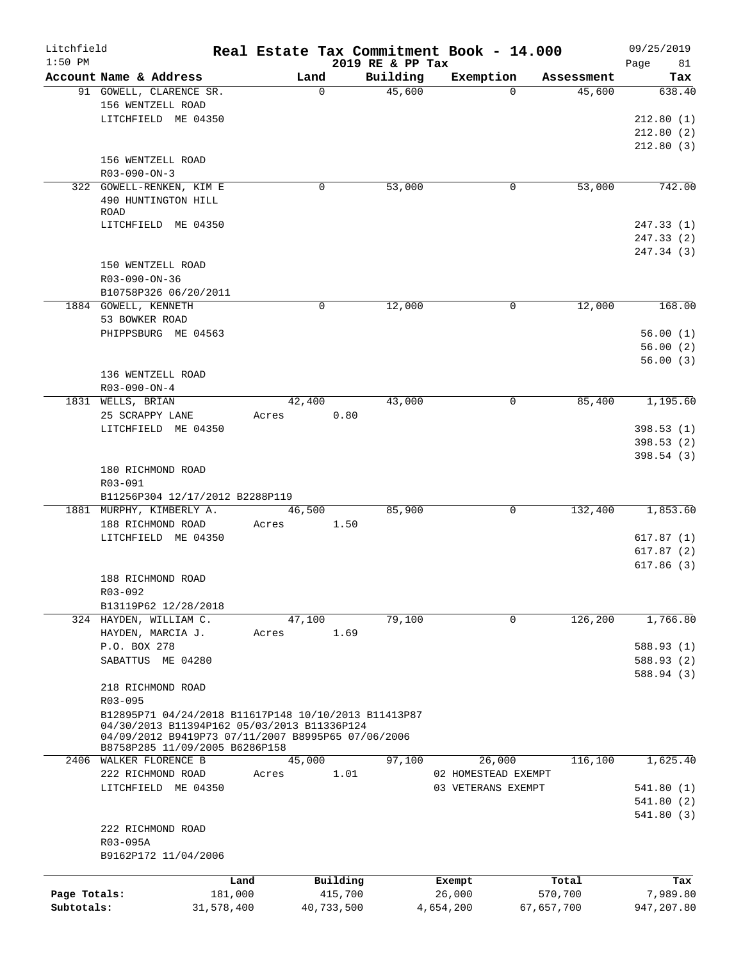| Litchfield   |                                                      |       |                  |                  | Real Estate Tax Commitment Book - 14.000 |            | 09/25/2019 |
|--------------|------------------------------------------------------|-------|------------------|------------------|------------------------------------------|------------|------------|
| $1:50$ PM    |                                                      |       |                  | 2019 RE & PP Tax |                                          |            | Page<br>81 |
|              | Account Name & Address                               |       | Land<br>$\Omega$ | Building         | Exemption<br>$\Omega$                    | Assessment | Tax        |
|              | 91 GOWELL, CLARENCE SR.<br>156 WENTZELL ROAD         |       |                  | 45,600           |                                          | 45,600     | 638.40     |
|              | LITCHFIELD ME 04350                                  |       |                  |                  |                                          |            | 212.80(1)  |
|              |                                                      |       |                  |                  |                                          |            | 212.80(2)  |
|              |                                                      |       |                  |                  |                                          |            | 212.80(3)  |
|              | 156 WENTZELL ROAD                                    |       |                  |                  |                                          |            |            |
|              | R03-090-ON-3                                         |       |                  |                  |                                          |            |            |
|              | 322 GOWELL-RENKEN, KIM E                             |       | $\mathbf 0$      | 53,000           | 0                                        | 53,000     | 742.00     |
|              | 490 HUNTINGTON HILL                                  |       |                  |                  |                                          |            |            |
|              | ROAD                                                 |       |                  |                  |                                          |            |            |
|              | LITCHFIELD ME 04350                                  |       |                  |                  |                                          |            | 247.33(1)  |
|              |                                                      |       |                  |                  |                                          |            | 247.33(2)  |
|              |                                                      |       |                  |                  |                                          |            | 247.34 (3) |
|              | 150 WENTZELL ROAD                                    |       |                  |                  |                                          |            |            |
|              | R03-090-ON-36                                        |       |                  |                  |                                          |            |            |
|              | B10758P326 06/20/2011                                |       |                  |                  |                                          |            |            |
|              | 1884 GOWELL, KENNETH                                 |       | 0                | 12,000           | 0                                        | 12,000     | 168.00     |
|              | 53 BOWKER ROAD                                       |       |                  |                  |                                          |            |            |
|              | PHIPPSBURG ME 04563                                  |       |                  |                  |                                          |            | 56.00(1)   |
|              |                                                      |       |                  |                  |                                          |            | 56.00(2)   |
|              |                                                      |       |                  |                  |                                          |            | 56.00(3)   |
|              | 136 WENTZELL ROAD                                    |       |                  |                  |                                          |            |            |
|              | R03-090-ON-4                                         |       |                  |                  |                                          |            |            |
|              | 1831 WELLS, BRIAN                                    |       | 42,400           | 43,000           | 0                                        | 85,400     | 1,195.60   |
|              | 25 SCRAPPY LANE                                      | Acres | 0.80             |                  |                                          |            |            |
|              | LITCHFIELD ME 04350                                  |       |                  |                  |                                          |            | 398.53(1)  |
|              |                                                      |       |                  |                  |                                          |            | 398.53(2)  |
|              |                                                      |       |                  |                  |                                          |            | 398.54(3)  |
|              | 180 RICHMOND ROAD                                    |       |                  |                  |                                          |            |            |
|              | R03-091                                              |       |                  |                  |                                          |            |            |
|              | B11256P304 12/17/2012 B2288P119                      |       |                  |                  |                                          |            |            |
|              | 1881 MURPHY, KIMBERLY A.                             |       | 46,500           | 85,900           | $\mathbf 0$                              | 132,400    | 1,853.60   |
|              | 188 RICHMOND ROAD<br>LITCHFIELD ME 04350             | Acres | 1.50             |                  |                                          |            | 617.87(1)  |
|              |                                                      |       |                  |                  |                                          |            | 617.87(2)  |
|              |                                                      |       |                  |                  |                                          |            | 617.86(3)  |
|              | 188 RICHMOND ROAD                                    |       |                  |                  |                                          |            |            |
|              | R03-092                                              |       |                  |                  |                                          |            |            |
|              | B13119P62 12/28/2018                                 |       |                  |                  |                                          |            |            |
|              | 324 HAYDEN, WILLIAM C.                               |       | 47,100           | 79,100           | 0                                        | 126,200    | 1,766.80   |
|              | HAYDEN, MARCIA J.                                    | Acres | 1.69             |                  |                                          |            |            |
|              | P.O. BOX 278                                         |       |                  |                  |                                          |            | 588.93 (1) |
|              | SABATTUS ME 04280                                    |       |                  |                  |                                          |            | 588.93 (2) |
|              |                                                      |       |                  |                  |                                          |            | 588.94 (3) |
|              | 218 RICHMOND ROAD                                    |       |                  |                  |                                          |            |            |
|              | $R03 - 095$                                          |       |                  |                  |                                          |            |            |
|              | B12895P71 04/24/2018 B11617P148 10/10/2013 B11413P87 |       |                  |                  |                                          |            |            |
|              | 04/30/2013 B11394P162 05/03/2013 B11336P124          |       |                  |                  |                                          |            |            |
|              | 04/09/2012 B9419P73 07/11/2007 B8995P65 07/06/2006   |       |                  |                  |                                          |            |            |
|              | B8758P285 11/09/2005 B6286P158                       |       |                  |                  |                                          |            |            |
|              | 2406 WALKER FLORENCE B                               |       | 45,000           | 97,100           | 26,000                                   | 116,100    | 1,625.40   |
|              | 222 RICHMOND ROAD                                    | Acres | 1.01             |                  | 02 HOMESTEAD EXEMPT                      |            |            |
|              | LITCHFIELD ME 04350                                  |       |                  |                  | 03 VETERANS EXEMPT                       |            | 541.80 (1) |
|              |                                                      |       |                  |                  |                                          |            | 541.80(2)  |
|              |                                                      |       |                  |                  |                                          |            | 541.80(3)  |
|              | 222 RICHMOND ROAD                                    |       |                  |                  |                                          |            |            |
|              | R03-095A<br>B9162P172 11/04/2006                     |       |                  |                  |                                          |            |            |
|              |                                                      |       |                  |                  |                                          |            |            |
|              |                                                      | Land  | Building         |                  | Exempt                                   | Total      | Tax        |
| Page Totals: | 181,000                                              |       | 415,700          |                  | 26,000                                   | 570,700    | 7,989.80   |
| Subtotals:   | 31,578,400                                           |       | 40,733,500       |                  | 4,654,200                                | 67,657,700 | 947,207.80 |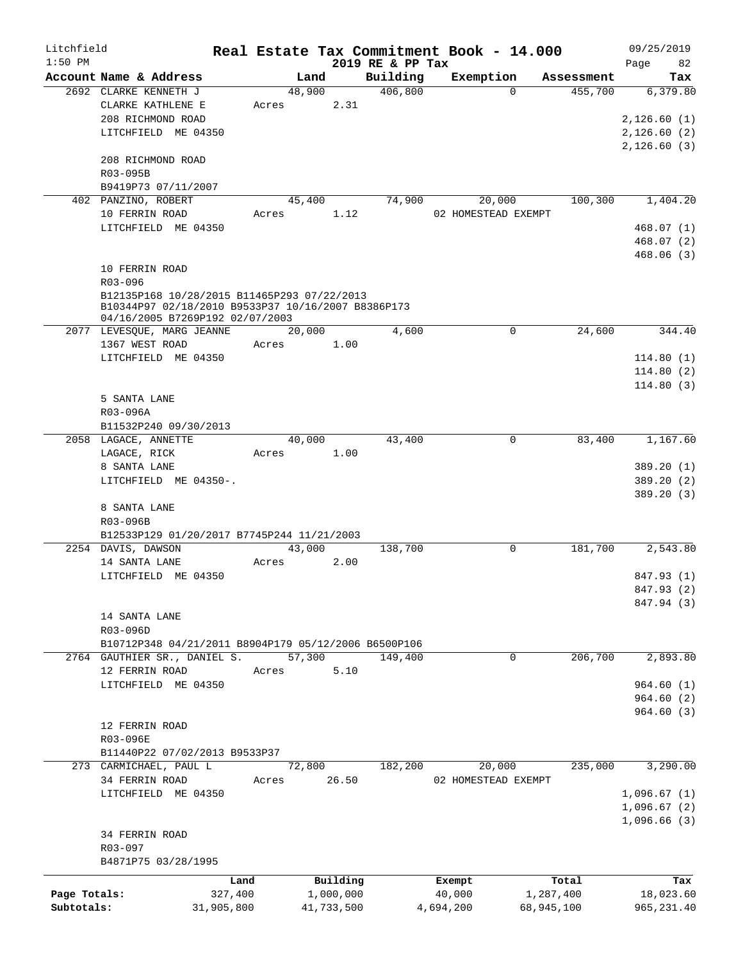| Litchfield   |                                                                  |            |                 |            |                  | Real Estate Tax Commitment Book - 14.000 |            |            | 09/25/2019  |
|--------------|------------------------------------------------------------------|------------|-----------------|------------|------------------|------------------------------------------|------------|------------|-------------|
| $1:50$ PM    |                                                                  |            |                 |            | 2019 RE & PP Tax |                                          |            |            | 82<br>Page  |
|              | Account Name & Address                                           |            | Land            |            | Building         | Exemption                                | $\Omega$   | Assessment | Tax         |
|              | 2692 CLARKE KENNETH J<br>CLARKE KATHLENE E                       |            | 48,900<br>Acres | 2.31       | 406,800          |                                          |            | 455,700    | 6,379.80    |
|              | 208 RICHMOND ROAD                                                |            |                 |            |                  |                                          |            |            | 2,126.60(1) |
|              | LITCHFIELD ME 04350                                              |            |                 |            |                  |                                          |            |            | 2,126.60(2) |
|              |                                                                  |            |                 |            |                  |                                          |            |            | 2,126.60(3) |
|              | 208 RICHMOND ROAD                                                |            |                 |            |                  |                                          |            |            |             |
|              | R03-095B                                                         |            |                 |            |                  |                                          |            |            |             |
|              | B9419P73 07/11/2007                                              |            |                 |            |                  |                                          |            |            |             |
|              | 402 PANZINO, ROBERT                                              |            | 45,400          |            | 74,900           | 20,000                                   |            | 100,300    | 1,404.20    |
|              | 10 FERRIN ROAD                                                   |            | Acres           | 1.12       |                  | 02 HOMESTEAD EXEMPT                      |            |            |             |
|              | LITCHFIELD ME 04350                                              |            |                 |            |                  |                                          |            |            | 468.07 (1)  |
|              |                                                                  |            |                 |            |                  |                                          |            |            | 468.07(2)   |
|              |                                                                  |            |                 |            |                  |                                          |            |            | 468.06(3)   |
|              | 10 FERRIN ROAD                                                   |            |                 |            |                  |                                          |            |            |             |
|              | $R03 - 096$                                                      |            |                 |            |                  |                                          |            |            |             |
|              | B12135P168 10/28/2015 B11465P293 07/22/2013                      |            |                 |            |                  |                                          |            |            |             |
|              | B10344P97 02/18/2010 B9533P37 10/16/2007 B8386P173               |            |                 |            |                  |                                          |            |            |             |
|              | 04/16/2005 B7269P192 02/07/2003                                  |            |                 |            |                  |                                          |            |            |             |
|              | 2077 LEVESQUE, MARG JEANNE                                       |            | 20,000          |            | 4,600            |                                          | 0          | 24,600     | 344.40      |
|              | 1367 WEST ROAD                                                   |            | Acres           | 1.00       |                  |                                          |            |            |             |
|              | LITCHFIELD ME 04350                                              |            |                 |            |                  |                                          |            |            | 114.80(1)   |
|              |                                                                  |            |                 |            |                  |                                          |            |            | 114.80(2)   |
|              |                                                                  |            |                 |            |                  |                                          |            |            | 114.80(3)   |
|              | 5 SANTA LANE                                                     |            |                 |            |                  |                                          |            |            |             |
|              | R03-096A                                                         |            |                 |            |                  |                                          |            |            |             |
|              | B11532P240 09/30/2013                                            |            |                 |            |                  |                                          |            |            |             |
|              | 2058 LAGACE, ANNETTE                                             |            | 40,000          |            | 43,400           |                                          | 0          | 83,400     | 1,167.60    |
|              | LAGACE, RICK                                                     |            | Acres           | 1.00       |                  |                                          |            |            |             |
|              | 8 SANTA LANE                                                     |            |                 |            |                  |                                          |            |            | 389.20 (1)  |
|              | LITCHFIELD ME 04350-.                                            |            |                 |            |                  |                                          |            |            | 389.20 (2)  |
|              |                                                                  |            |                 |            |                  |                                          |            |            | 389.20 (3)  |
|              | 8 SANTA LANE                                                     |            |                 |            |                  |                                          |            |            |             |
|              | R03-096B                                                         |            |                 |            |                  |                                          |            |            |             |
|              | B12533P129 01/20/2017 B7745P244 11/21/2003<br>2254 DAVIS, DAWSON |            | 43,000          |            | 138,700          |                                          | 0          | 181,700    | 2,543.80    |
|              | 14 SANTA LANE                                                    |            | Acres           | 2.00       |                  |                                          |            |            |             |
|              | LITCHFIELD ME 04350                                              |            |                 |            |                  |                                          |            |            | 847.93 (1)  |
|              |                                                                  |            |                 |            |                  |                                          |            |            | 847.93 (2)  |
|              |                                                                  |            |                 |            |                  |                                          |            |            | 847.94 (3)  |
|              | 14 SANTA LANE                                                    |            |                 |            |                  |                                          |            |            |             |
|              | R03-096D                                                         |            |                 |            |                  |                                          |            |            |             |
|              | B10712P348 04/21/2011 B8904P179 05/12/2006 B6500P106             |            |                 |            |                  |                                          |            |            |             |
|              | 2764 GAUTHIER SR., DANIEL S.                                     |            | 57,300          |            | 149,400          |                                          | 0          | 206,700    | 2,893.80    |
|              | 12 FERRIN ROAD                                                   |            | Acres           | 5.10       |                  |                                          |            |            |             |
|              | LITCHFIELD ME 04350                                              |            |                 |            |                  |                                          |            |            | 964.60(1)   |
|              |                                                                  |            |                 |            |                  |                                          |            |            | 964.60(2)   |
|              |                                                                  |            |                 |            |                  |                                          |            |            | 964.60(3)   |
|              | 12 FERRIN ROAD                                                   |            |                 |            |                  |                                          |            |            |             |
|              | R03-096E                                                         |            |                 |            |                  |                                          |            |            |             |
|              | B11440P22 07/02/2013 B9533P37                                    |            |                 |            |                  |                                          |            |            |             |
|              | 273 CARMICHAEL, PAUL L                                           |            | 72,800          |            | 182,200          | 20,000                                   |            | 235,000    | 3,290.00    |
|              | 34 FERRIN ROAD                                                   |            | Acres           | 26.50      |                  | 02 HOMESTEAD EXEMPT                      |            |            |             |
|              | LITCHFIELD ME 04350                                              |            |                 |            |                  |                                          |            |            | 1,096.67(1) |
|              |                                                                  |            |                 |            |                  |                                          |            |            | 1,096.67(2) |
|              |                                                                  |            |                 |            |                  |                                          |            |            | 1,096.66(3) |
|              | 34 FERRIN ROAD                                                   |            |                 |            |                  |                                          |            |            |             |
|              | R03-097                                                          |            |                 |            |                  |                                          |            |            |             |
|              | B4871P75 03/28/1995                                              |            |                 |            |                  |                                          |            |            |             |
|              |                                                                  | Land       |                 | Building   |                  | Exempt                                   |            | Total      | Tax         |
| Page Totals: |                                                                  | 327,400    |                 | 1,000,000  |                  | 40,000                                   | 1,287,400  |            | 18,023.60   |
| Subtotals:   |                                                                  | 31,905,800 |                 | 41,733,500 |                  | 4,694,200                                | 68,945,100 |            | 965, 231.40 |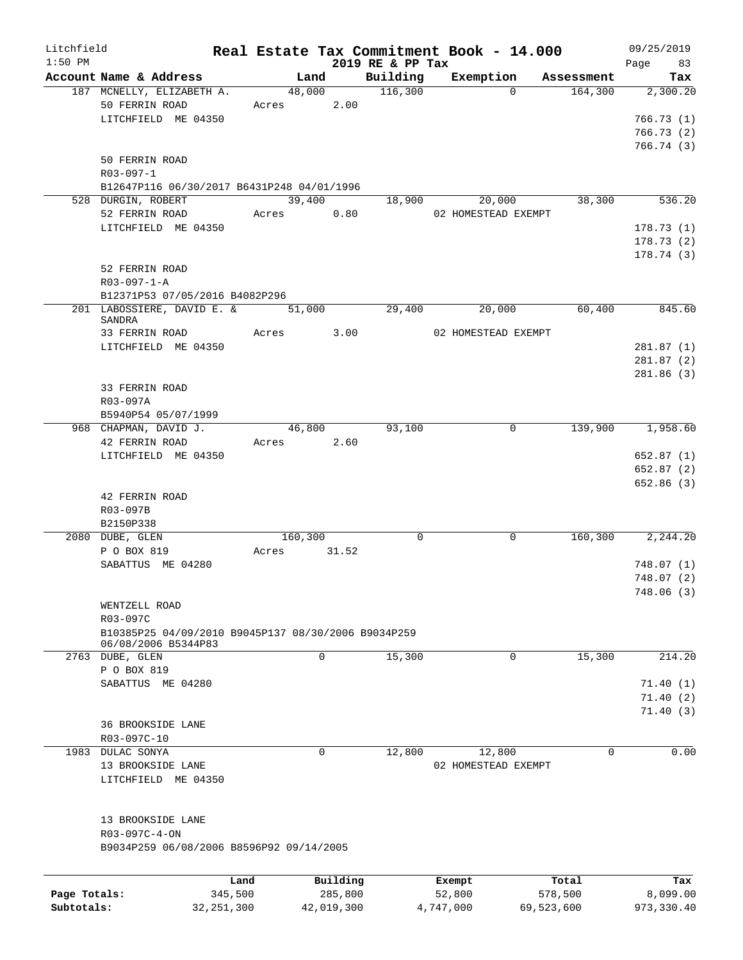| Litchfield   |                                                     |            |                |                  | Real Estate Tax Commitment Book - 14.000 |            | 09/25/2019           |
|--------------|-----------------------------------------------------|------------|----------------|------------------|------------------------------------------|------------|----------------------|
| $1:50$ PM    | Account Name & Address                              |            | Land           | 2019 RE & PP Tax | Building Exemption Assessment            |            | Page 83<br>Tax       |
|              | 187 MCNELLY, ELIZABETH A.                           |            | 48,000 116,300 |                  | $\Omega$                                 | 164,300    | 2,300.20             |
|              | 50 FERRIN ROAD                                      | Acres 2.00 |                |                  |                                          |            |                      |
|              | LITCHFIELD ME 04350                                 |            |                |                  |                                          |            | 766.73(1)            |
|              |                                                     |            |                |                  |                                          |            | 766.73(2)            |
|              |                                                     |            |                |                  |                                          |            | 766.74(3)            |
|              | 50 FERRIN ROAD                                      |            |                |                  |                                          |            |                      |
|              | $R03 - 097 - 1$                                     |            |                |                  |                                          |            |                      |
|              | B12647P116 06/30/2017 B6431P248 04/01/1996          |            |                |                  |                                          |            |                      |
|              | 528 DURGIN, ROBERT                                  |            | 39,400         | 18,900           | 20,000                                   | 38,300     | 536.20               |
|              | 52 FERRIN ROAD                                      |            | Acres 0.80     |                  | 02 HOMESTEAD EXEMPT                      |            |                      |
|              | LITCHFIELD ME 04350                                 |            |                |                  |                                          |            | 178.73(1)            |
|              |                                                     |            |                |                  |                                          |            | 178.73(2)            |
|              |                                                     |            |                |                  |                                          |            | 178.74(3)            |
|              | 52 FERRIN ROAD                                      |            |                |                  |                                          |            |                      |
|              | $R03 - 097 - 1 - A$                                 |            |                |                  |                                          |            |                      |
|              | B12371P53 07/05/2016 B4082P296                      |            |                |                  |                                          |            |                      |
|              | 201 LABOSSIERE, DAVID E. &                          |            | 51,000         | 29,400           | 20,000                                   | 60,400     | 845.60               |
|              | SANDRA                                              |            | Acres 3.00     |                  |                                          |            |                      |
|              | 33 FERRIN ROAD                                      |            |                |                  | 02 HOMESTEAD EXEMPT                      |            |                      |
|              | LITCHFIELD ME 04350                                 |            |                |                  |                                          |            | 281.87(1)            |
|              |                                                     |            |                |                  |                                          |            | 281.87(2)            |
|              | 33 FERRIN ROAD                                      |            |                |                  |                                          |            | 281.86(3)            |
|              | R03-097A                                            |            |                |                  |                                          |            |                      |
|              | B5940P54 05/07/1999                                 |            |                |                  |                                          |            |                      |
|              | 968 CHAPMAN, DAVID J.                               |            | 46,800         | 93,100           | $\mathbf 0$                              |            | 139,900 1,958.60     |
|              | 42 FERRIN ROAD                                      | Acres 2.60 |                |                  |                                          |            |                      |
|              | LITCHFIELD ME 04350                                 |            |                |                  |                                          |            | 652.87(1)            |
|              |                                                     |            |                |                  |                                          |            | 652.87(2)            |
|              |                                                     |            |                |                  |                                          |            | 652.86 (3)           |
|              | 42 FERRIN ROAD                                      |            |                |                  |                                          |            |                      |
|              | R03-097B                                            |            |                |                  |                                          |            |                      |
|              | B2150P338                                           |            |                |                  |                                          |            |                      |
|              | 2080 DUBE, GLEN                                     |            | 160,300        | $\mathbf 0$      | 0                                        |            | 160,300 2,244.20     |
|              | P O BOX 819                                         | Acres      | 31.52          |                  |                                          |            |                      |
|              | SABATTUS ME 04280                                   |            |                |                  |                                          |            | 748.07(1)            |
|              |                                                     |            |                |                  |                                          |            | 748.07(2)            |
|              |                                                     |            |                |                  |                                          |            | 748.06(3)            |
|              | WENTZELL ROAD                                       |            |                |                  |                                          |            |                      |
|              | R03-097C                                            |            |                |                  |                                          |            |                      |
|              | B10385P25 04/09/2010 B9045P137 08/30/2006 B9034P259 |            |                |                  |                                          |            |                      |
|              | 06/08/2006 B5344P83                                 |            |                |                  |                                          |            |                      |
|              | 2763 DUBE, GLEN                                     |            | 0              | 15,300           | 0                                        | 15,300     | 214.20               |
|              | P O BOX 819                                         |            |                |                  |                                          |            |                      |
|              | SABATTUS ME 04280                                   |            |                |                  |                                          |            | 71.40(1)             |
|              |                                                     |            |                |                  |                                          |            | 71.40(2)<br>71.40(3) |
|              | 36 BROOKSIDE LANE                                   |            |                |                  |                                          |            |                      |
|              | R03-097C-10                                         |            |                |                  |                                          |            |                      |
| 1983         | DULAC SONYA                                         |            | $\mathbf 0$    | 12,800           | 12,800                                   | 0          | 0.00                 |
|              | 13 BROOKSIDE LANE                                   |            |                |                  | 02 HOMESTEAD EXEMPT                      |            |                      |
|              | LITCHFIELD ME 04350                                 |            |                |                  |                                          |            |                      |
|              |                                                     |            |                |                  |                                          |            |                      |
|              |                                                     |            |                |                  |                                          |            |                      |
|              | 13 BROOKSIDE LANE                                   |            |                |                  |                                          |            |                      |
|              | R03-097C-4-ON                                       |            |                |                  |                                          |            |                      |
|              | B9034P259 06/08/2006 B8596P92 09/14/2005            |            |                |                  |                                          |            |                      |
|              |                                                     |            |                |                  |                                          |            |                      |
|              |                                                     |            |                |                  |                                          |            |                      |
|              |                                                     | Land       | Building       |                  | Exempt                                   | Total      | Tax                  |
| Page Totals: | 345,500                                             |            | 285,800        |                  | 52,800                                   | 578,500    | 8,099.00             |
| Subtotals:   | 32, 251, 300                                        |            | 42,019,300     |                  | 4,747,000                                | 69,523,600 | 973,330.40           |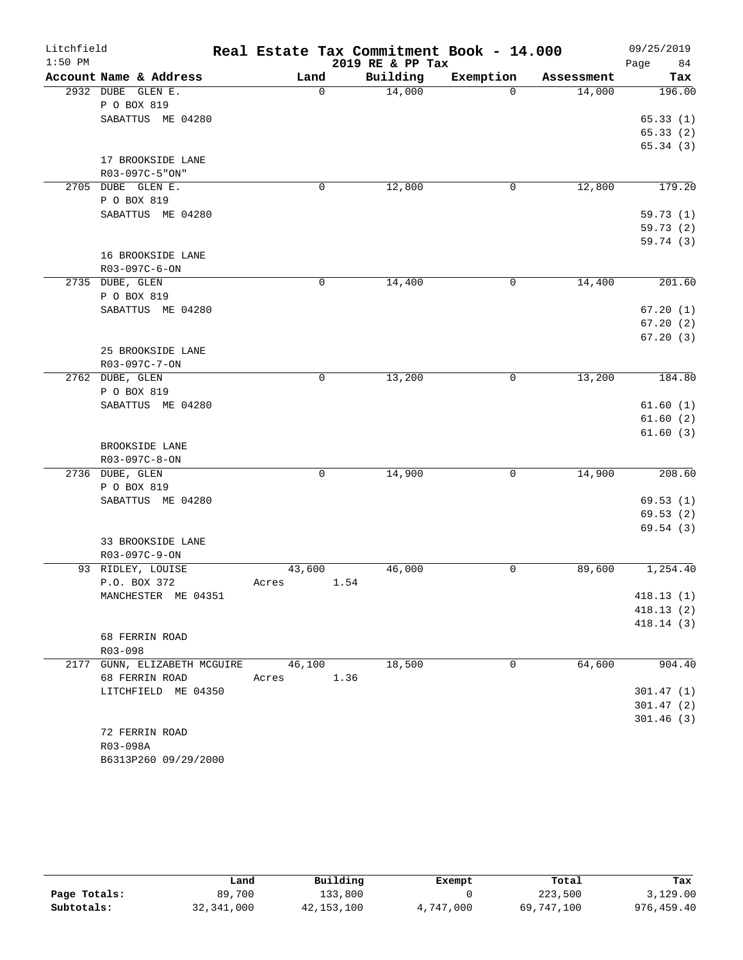| Litchfield |                                    | Real Estate Tax Commitment Book - 14.000 |                  |             |            | 09/25/2019 |
|------------|------------------------------------|------------------------------------------|------------------|-------------|------------|------------|
| $1:50$ PM  |                                    |                                          | 2019 RE & PP Tax |             |            | Page<br>84 |
|            | Account Name & Address             | Land                                     | Building         | Exemption   | Assessment | Tax        |
| 2932 DUBE  | GLEN E.                            | $\mathbf 0$                              | 14,000           | $\Omega$    | 14,000     | 196.00     |
|            | P O BOX 819<br>SABATTUS ME 04280   |                                          |                  |             |            | 65.33(1)   |
|            |                                    |                                          |                  |             |            | 65.33(2)   |
|            |                                    |                                          |                  |             |            | 65.34(3)   |
|            | 17 BROOKSIDE LANE                  |                                          |                  |             |            |            |
|            | R03-097C-5"ON"                     |                                          |                  |             |            |            |
|            | 2705 DUBE GLEN E.                  | 0                                        | 12,800           | 0           | 12,800     | 179.20     |
|            | P O BOX 819                        |                                          |                  |             |            |            |
|            | SABATTUS ME 04280                  |                                          |                  |             |            | 59.73(1)   |
|            |                                    |                                          |                  |             |            | 59.73(2)   |
|            |                                    |                                          |                  |             |            | 59.74(3)   |
|            | 16 BROOKSIDE LANE                  |                                          |                  |             |            |            |
|            | R03-097C-6-ON                      |                                          |                  |             |            |            |
|            | 2735 DUBE, GLEN                    | 0                                        | 14,400           | $\mathbf 0$ | 14,400     | 201.60     |
|            | P O BOX 819                        |                                          |                  |             |            |            |
|            | SABATTUS ME 04280                  |                                          |                  |             |            | 67.20(1)   |
|            |                                    |                                          |                  |             |            | 67.20(2)   |
|            |                                    |                                          |                  |             |            | 67.20(3)   |
|            | 25 BROOKSIDE LANE<br>R03-097C-7-ON |                                          |                  |             |            |            |
|            | 2762 DUBE, GLEN                    | 0                                        | 13,200           | 0           | 13,200     | 184.80     |
|            | P O BOX 819                        |                                          |                  |             |            |            |
|            | SABATTUS ME 04280                  |                                          |                  |             |            | 61.60(1)   |
|            |                                    |                                          |                  |             |            | 61.60(2)   |
|            |                                    |                                          |                  |             |            | 61.60(3)   |
|            | BROOKSIDE LANE                     |                                          |                  |             |            |            |
|            | R03-097C-8-ON                      |                                          |                  |             |            |            |
|            | 2736 DUBE, GLEN                    | $\mathbf 0$                              | 14,900           | 0           | 14,900     | 208.60     |
|            | P O BOX 819                        |                                          |                  |             |            |            |
|            | SABATTUS ME 04280                  |                                          |                  |             |            | 69.53(1)   |
|            |                                    |                                          |                  |             |            | 69.53(2)   |
|            |                                    |                                          |                  |             |            | 69.54(3)   |
|            | 33 BROOKSIDE LANE                  |                                          |                  |             |            |            |
|            | R03-097C-9-ON                      |                                          |                  |             |            |            |
|            | 93 RIDLEY, LOUISE<br>P.O. BOX 372  | 43,600<br>1.54<br>Acres                  | 46,000           | 0           | 89,600     | 1,254.40   |
|            | MANCHESTER ME 04351                |                                          |                  |             |            | 418.13 (1) |
|            |                                    |                                          |                  |             |            | 418.13(2)  |
|            |                                    |                                          |                  |             |            | 418.14(3)  |
|            | 68 FERRIN ROAD                     |                                          |                  |             |            |            |
|            | R03-098                            |                                          |                  |             |            |            |
|            | 2177 GUNN, ELIZABETH MCGUIRE       | 46,100                                   | 18,500           | 0           | 64,600     | 904.40     |
|            | 68 FERRIN ROAD                     | 1.36<br>Acres                            |                  |             |            |            |
|            | LITCHFIELD ME 04350                |                                          |                  |             |            | 301.47(1)  |
|            |                                    |                                          |                  |             |            | 301.47(2)  |
|            |                                    |                                          |                  |             |            | 301.46(3)  |
|            | 72 FERRIN ROAD                     |                                          |                  |             |            |            |
|            | R03-098A                           |                                          |                  |             |            |            |
|            | B6313P260 09/29/2000               |                                          |                  |             |            |            |

|              | Land         | Building     | Exempt    | Total      | Tax         |
|--------------|--------------|--------------|-----------|------------|-------------|
| Page Totals: | 89,700       | 133,800      |           | 223,500    | 3,129.00    |
| Subtotals:   | 32, 341, 000 | 42, 153, 100 | 4,747,000 | 69,747,100 | 976, 459.40 |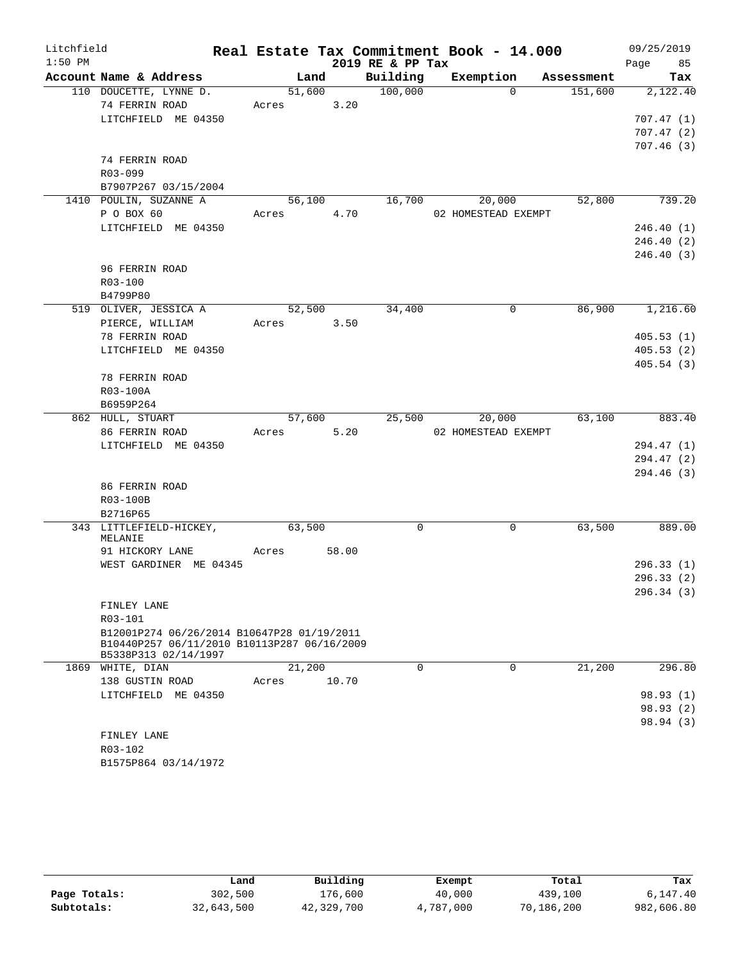| Litchfield |                                                                                                                   |            |        |        |                      | Real Estate Tax Commitment Book - 14.000 |                      | 09/25/2019             |
|------------|-------------------------------------------------------------------------------------------------------------------|------------|--------|--------|----------------------|------------------------------------------|----------------------|------------------------|
| $1:50$ PM  |                                                                                                                   |            |        |        | 2019 RE & PP Tax     |                                          |                      | Page 85                |
|            | Account Name & Address                                                                                            |            | Land   |        | Building             |                                          | Exemption Assessment | Tax                    |
|            | 110 DOUCETTE, LYNNE D.                                                                                            |            | 51,600 |        | $\overline{100,000}$ |                                          | $\Omega$             | 151,600<br>2,122.40    |
|            | 74 FERRIN ROAD                                                                                                    | Acres 3.20 |        |        |                      |                                          |                      |                        |
|            | LITCHFIELD ME 04350                                                                                               |            |        |        |                      |                                          |                      | 707.47(1)              |
|            |                                                                                                                   |            |        |        |                      |                                          |                      | 707.47(2)<br>707.46(3) |
|            | 74 FERRIN ROAD                                                                                                    |            |        |        |                      |                                          |                      |                        |
|            | R03-099                                                                                                           |            |        |        |                      |                                          |                      |                        |
|            | B7907P267 03/15/2004                                                                                              |            |        |        |                      |                                          |                      |                        |
|            | 1410 POULIN, SUZANNE A                                                                                            |            |        | 56,100 | 16,700               | 20,000                                   |                      | 52,800<br>739.20       |
|            | P O BOX 60                                                                                                        | Acres 4.70 |        |        |                      | 02 HOMESTEAD EXEMPT                      |                      |                        |
|            | LITCHFIELD ME 04350                                                                                               |            |        |        |                      |                                          |                      | 246.40 (1)             |
|            |                                                                                                                   |            |        |        |                      |                                          |                      | 246.40 (2)             |
|            |                                                                                                                   |            |        |        |                      |                                          |                      | 246.40 (3)             |
|            | 96 FERRIN ROAD                                                                                                    |            |        |        |                      |                                          |                      |                        |
|            | R03-100                                                                                                           |            |        |        |                      |                                          |                      |                        |
|            | B4799P80                                                                                                          |            |        |        |                      |                                          |                      |                        |
|            | 519 OLIVER, JESSICA A                                                                                             |            |        | 52,500 | 34,400               |                                          | 0                    | 86,900<br>1,216.60     |
|            | PIERCE, WILLIAM                                                                                                   | Acres 3.50 |        |        |                      |                                          |                      |                        |
|            | 78 FERRIN ROAD<br>LITCHFIELD ME 04350                                                                             |            |        |        |                      |                                          |                      | 405.53(1)<br>405.53(2) |
|            |                                                                                                                   |            |        |        |                      |                                          |                      | 405.54(3)              |
|            | 78 FERRIN ROAD                                                                                                    |            |        |        |                      |                                          |                      |                        |
|            | R03-100A                                                                                                          |            |        |        |                      |                                          |                      |                        |
|            | B6959P264                                                                                                         |            |        |        |                      |                                          |                      |                        |
|            | 862 HULL, STUART                                                                                                  |            |        | 57,600 | 25,500               |                                          | 20,000               | 63,100<br>883.40       |
|            | 86 FERRIN ROAD                                                                                                    | Acres      |        | 5.20   |                      | 02 HOMESTEAD EXEMPT                      |                      |                        |
|            | LITCHFIELD ME 04350                                                                                               |            |        |        |                      |                                          |                      | 294.47 (1)             |
|            |                                                                                                                   |            |        |        |                      |                                          |                      | 294.47 (2)             |
|            |                                                                                                                   |            |        |        |                      |                                          |                      | 294.46 (3)             |
|            | 86 FERRIN ROAD                                                                                                    |            |        |        |                      |                                          |                      |                        |
|            | R03-100B                                                                                                          |            |        |        |                      |                                          |                      |                        |
|            | B2716P65<br>343 LITTLEFIELD-HICKEY,                                                                               |            | 63,500 |        | $\Omega$             |                                          | $\mathbf 0$          | 63,500<br>889.00       |
|            | MELANIE                                                                                                           |            |        |        |                      |                                          |                      |                        |
|            | 91 HICKORY LANE                                                                                                   | Acres      |        | 58.00  |                      |                                          |                      |                        |
|            | WEST GARDINER ME 04345                                                                                            |            |        |        |                      |                                          |                      | 296.33(1)              |
|            |                                                                                                                   |            |        |        |                      |                                          |                      | 296.33(2)              |
|            |                                                                                                                   |            |        |        |                      |                                          |                      | 296.34 (3)             |
|            | FINLEY LANE                                                                                                       |            |        |        |                      |                                          |                      |                        |
|            | R03-101                                                                                                           |            |        |        |                      |                                          |                      |                        |
|            | B12001P274 06/26/2014 B10647P28 01/19/2011<br>B10440P257 06/11/2010 B10113P287 06/16/2009<br>B5338P313 02/14/1997 |            |        |        |                      |                                          |                      |                        |
|            | 1869 WHITE, DIAN                                                                                                  |            | 21,200 |        | 0                    |                                          | 0                    | 21,200<br>296.80       |
|            | 138 GUSTIN ROAD                                                                                                   | Acres      |        | 10.70  |                      |                                          |                      |                        |
|            | LITCHFIELD ME 04350                                                                                               |            |        |        |                      |                                          |                      | 98.93(1)               |
|            |                                                                                                                   |            |        |        |                      |                                          |                      | 98.93(2)               |
|            |                                                                                                                   |            |        |        |                      |                                          |                      | 98.94 (3)              |
|            | FINLEY LANE                                                                                                       |            |        |        |                      |                                          |                      |                        |
|            | R03-102<br>B1575P864 03/14/1972                                                                                   |            |        |        |                      |                                          |                      |                        |
|            |                                                                                                                   |            |        |        |                      |                                          |                      |                        |

|              | Land       | Building   | Exempt    | Total      | Tax        |
|--------------|------------|------------|-----------|------------|------------|
| Page Totals: | 302,500    | 176,600    | 40,000    | 439,100    | 6,147.40   |
| Subtotals:   | 32,643,500 | 42,329,700 | 4,787,000 | 70,186,200 | 982,606.80 |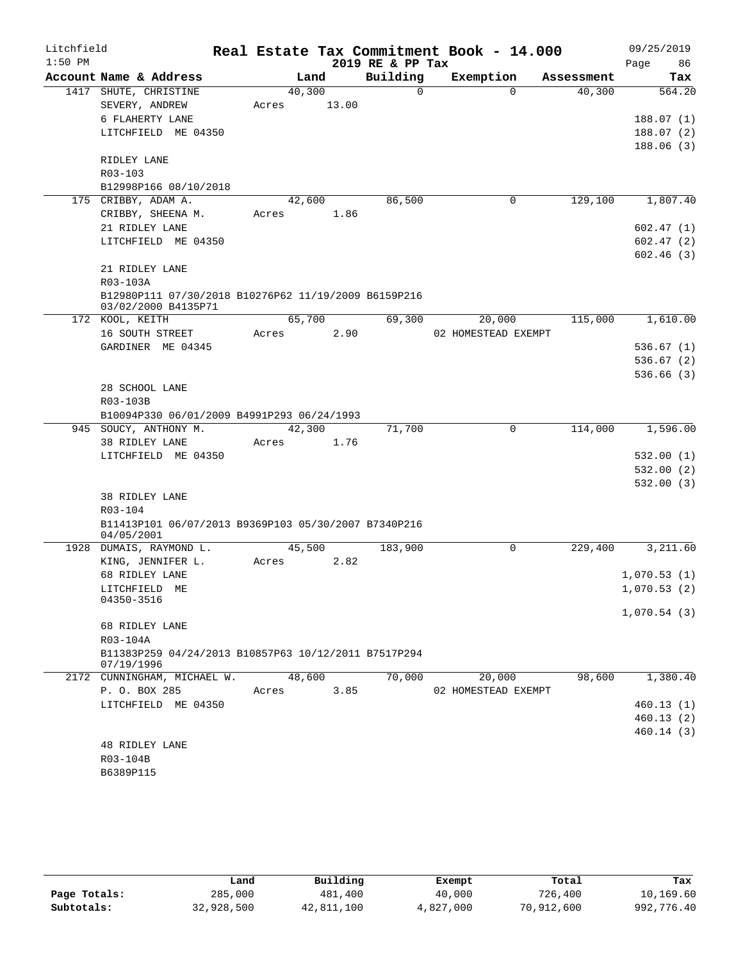| Litchfield |                                                                    |       |        |       |      | Real Estate Tax Commitment Book - 14.000 |                     |             |            |      | 09/25/2019  |
|------------|--------------------------------------------------------------------|-------|--------|-------|------|------------------------------------------|---------------------|-------------|------------|------|-------------|
| $1:50$ PM  |                                                                    |       |        |       |      | 2019 RE & PP Tax                         |                     |             |            | Page | 86          |
|            | Account Name & Address                                             |       | Land   |       |      | Building                                 | Exemption           |             | Assessment |      | Tax         |
|            | 1417 SHUTE, CHRISTINE                                              |       | 40,300 |       |      | $\Omega$                                 |                     | $\Omega$    | 40,300     |      | 564.20      |
|            | SEVERY, ANDREW                                                     | Acres |        | 13.00 |      |                                          |                     |             |            |      |             |
|            | 6 FLAHERTY LANE                                                    |       |        |       |      |                                          |                     |             |            |      | 188.07(1)   |
|            | LITCHFIELD ME 04350                                                |       |        |       |      |                                          |                     |             |            |      | 188.07(2)   |
|            | RIDLEY LANE                                                        |       |        |       |      |                                          |                     |             |            |      | 188.06(3)   |
|            | R03-103                                                            |       |        |       |      |                                          |                     |             |            |      |             |
|            | B12998P166 08/10/2018                                              |       |        |       |      |                                          |                     |             |            |      |             |
|            | 175 CRIBBY, ADAM A.                                                |       | 42,600 |       |      | 86,500                                   |                     | 0           | 129,100    |      | 1,807.40    |
|            | CRIBBY, SHEENA M.                                                  | Acres |        |       | 1.86 |                                          |                     |             |            |      |             |
|            | 21 RIDLEY LANE                                                     |       |        |       |      |                                          |                     |             |            |      | 602.47(1)   |
|            | LITCHFIELD ME 04350                                                |       |        |       |      |                                          |                     |             |            |      | 602.47(2)   |
|            |                                                                    |       |        |       |      |                                          |                     |             |            |      | 602.46 (3)  |
|            | 21 RIDLEY LANE                                                     |       |        |       |      |                                          |                     |             |            |      |             |
|            | R03-103A                                                           |       |        |       |      |                                          |                     |             |            |      |             |
|            | B12980P111 07/30/2018 B10276P62 11/19/2009 B6159P216               |       |        |       |      |                                          |                     |             |            |      |             |
|            | 03/02/2000 B4135P71                                                |       |        |       |      |                                          |                     |             |            |      |             |
|            | 172 KOOL, KEITH                                                    |       | 65,700 |       |      | 69,300                                   |                     | 20,000      | 115,000    |      | 1,610.00    |
|            | 16 SOUTH STREET                                                    | Acres |        |       | 2.90 |                                          | 02 HOMESTEAD EXEMPT |             |            |      |             |
|            | GARDINER ME 04345                                                  |       |        |       |      |                                          |                     |             |            |      | 536.67(1)   |
|            |                                                                    |       |        |       |      |                                          |                     |             |            |      | 536.67(2)   |
|            |                                                                    |       |        |       |      |                                          |                     |             |            |      | 536.66(3)   |
|            | 28 SCHOOL LANE                                                     |       |        |       |      |                                          |                     |             |            |      |             |
|            | R03-103B<br>B10094P330 06/01/2009 B4991P293 06/24/1993             |       |        |       |      |                                          |                     |             |            |      |             |
|            | 945 SOUCY, ANTHONY M.                                              |       | 42,300 |       |      | 71,700                                   |                     | $\mathbf 0$ | 114,000    |      | 1,596.00    |
|            | 38 RIDLEY LANE                                                     | Acres |        |       | 1.76 |                                          |                     |             |            |      |             |
|            | LITCHFIELD ME 04350                                                |       |        |       |      |                                          |                     |             |            |      | 532.00(1)   |
|            |                                                                    |       |        |       |      |                                          |                     |             |            |      | 532.00(2)   |
|            |                                                                    |       |        |       |      |                                          |                     |             |            |      | 532.00(3)   |
|            | 38 RIDLEY LANE                                                     |       |        |       |      |                                          |                     |             |            |      |             |
|            | R03-104                                                            |       |        |       |      |                                          |                     |             |            |      |             |
|            | B11413P101 06/07/2013 B9369P103 05/30/2007 B7340P216               |       |        |       |      |                                          |                     |             |            |      |             |
|            | 04/05/2001                                                         |       |        |       |      |                                          |                     |             |            |      |             |
| 1928       | DUMAIS, RAYMOND L.                                                 |       | 45,500 |       |      | 183,900                                  |                     | 0           | 229,400    |      | 3,211.60    |
|            | KING, JENNIFER L.                                                  | Acres |        |       | 2.82 |                                          |                     |             |            |      |             |
|            | 68 RIDLEY LANE                                                     |       |        |       |      |                                          |                     |             |            |      | 1,070.53(1) |
|            | LITCHFIELD ME<br>04350-3516                                        |       |        |       |      |                                          |                     |             |            |      | 1,070.53(2) |
|            |                                                                    |       |        |       |      |                                          |                     |             |            |      | 1,070.54(3) |
|            | 68 RIDLEY LANE                                                     |       |        |       |      |                                          |                     |             |            |      |             |
|            | R03-104A                                                           |       |        |       |      |                                          |                     |             |            |      |             |
|            | B11383P259 04/24/2013 B10857P63 10/12/2011 B7517P294<br>07/19/1996 |       |        |       |      |                                          |                     |             |            |      |             |
|            | 2172 CUNNINGHAM, MICHAEL W.                                        |       | 48,600 |       |      | 70,000                                   |                     | 20,000      | 98,600     |      | 1,380.40    |
|            | P. O. BOX 285                                                      | Acres |        |       | 3.85 |                                          | 02 HOMESTEAD EXEMPT |             |            |      |             |
|            | LITCHFIELD ME 04350                                                |       |        |       |      |                                          |                     |             |            |      | 460.13(1)   |
|            |                                                                    |       |        |       |      |                                          |                     |             |            |      | 460.13(2)   |
|            |                                                                    |       |        |       |      |                                          |                     |             |            |      | 460.14 (3)  |
|            | <b>48 RIDLEY LANE</b>                                              |       |        |       |      |                                          |                     |             |            |      |             |
|            | R03-104B                                                           |       |        |       |      |                                          |                     |             |            |      |             |
|            | B6389P115                                                          |       |        |       |      |                                          |                     |             |            |      |             |

|              | Land       | Building   | Exempt    | Total      | Tax        |
|--------------|------------|------------|-----------|------------|------------|
| Page Totals: | 285,000    | 481,400    | 40,000    | 726,400    | 10,169.60  |
| Subtotals:   | 32,928,500 | 42,811,100 | 4,827,000 | 70,912,600 | 992,776.40 |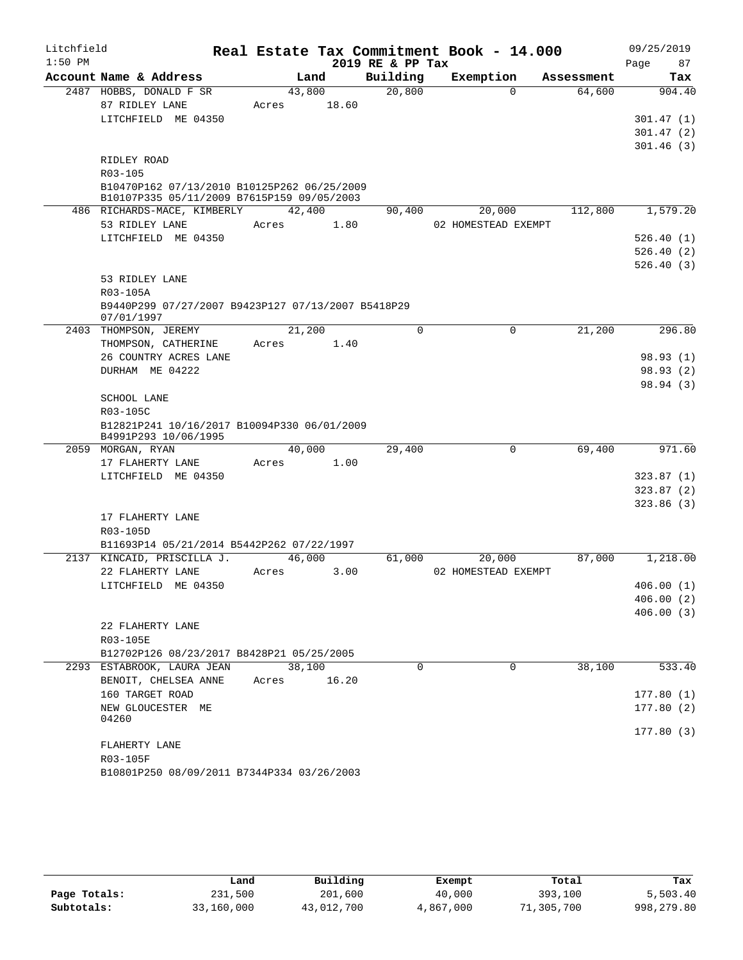| 2019 RE & PP Tax<br>Page<br>87<br>Account Name & Address<br>Building<br>Land<br>Exemption<br>Assessment<br>Tax<br>20,800<br>2487 HOBBS, DONALD F SR<br>43,800<br>64,600<br>904.40<br>$\Omega$<br>87 RIDLEY LANE<br>18.60<br>Acres<br>LITCHFIELD ME 04350<br>301.47(1)<br>301.47(2)<br>301.46(3)<br>RIDLEY ROAD<br>R03-105<br>B10470P162 07/13/2010 B10125P262 06/25/2009<br>B10107P335 05/11/2009 B7615P159 09/05/2003<br>112,800<br>1,579.20<br>486 RICHARDS-MACE, KIMBERLY<br>42,400<br>90,400<br>20,000<br>53 RIDLEY LANE<br>Acres<br>1.80<br>02 HOMESTEAD EXEMPT<br>LITCHFIELD ME 04350<br>526.40(1)<br>526.40(2)<br>526.40(3)<br>53 RIDLEY LANE<br>R03-105A<br>B9440P299 07/27/2007 B9423P127 07/13/2007 B5418P29<br>07/01/1997<br>21,200<br>21,200<br>$\mathbf 0$<br>$\mathbf 0$<br>296.80<br>2403 THOMPSON, JEREMY<br>THOMPSON, CATHERINE<br>1.40<br>Acres<br>26 COUNTRY ACRES LANE<br>98.93 (1)<br>DURHAM ME 04222<br>98.93 (2)<br>98.94 (3)<br>SCHOOL LANE<br>R03-105C<br>B12821P241 10/16/2017 B10094P330 06/01/2009<br>B4991P293 10/06/1995<br>40,000<br>$\mathbf 0$<br>69,400<br>29,400<br>971.60<br>2059 MORGAN, RYAN<br>17 FLAHERTY LANE<br>1.00<br>Acres<br>LITCHFIELD ME 04350<br>323.87(1)<br>323.87(2)<br>323.86(3)<br>17 FLAHERTY LANE<br>R03-105D<br>B11693P14 05/21/2014 B5442P262 07/22/1997<br>2137 KINCAID, PRISCILLA J.<br>46,000<br>20,000<br>87,000<br>1,218.00<br>61,000<br>22 FLAHERTY LANE<br>3.00<br>02 HOMESTEAD EXEMPT<br>Acres<br>LITCHFIELD ME 04350<br>406.00(1)<br>406.00(2)<br>406.00(3)<br>22 FLAHERTY LANE<br>R03-105E<br>B12702P126 08/23/2017 B8428P21 05/25/2005<br>2293 ESTABROOK, LAURA JEAN<br>$\Omega$<br>38,100<br>533.40<br>38,100<br>$\Omega$<br>BENOIT, CHELSEA ANNE<br>Acres 16.20<br>160 TARGET ROAD<br>177.80(1)<br>177.80(2)<br>NEW GLOUCESTER ME<br>04260<br>177.80(3)<br>FLAHERTY LANE | Litchfield |          |  | Real Estate Tax Commitment Book - 14.000 | 09/25/2019 |
|-------------------------------------------------------------------------------------------------------------------------------------------------------------------------------------------------------------------------------------------------------------------------------------------------------------------------------------------------------------------------------------------------------------------------------------------------------------------------------------------------------------------------------------------------------------------------------------------------------------------------------------------------------------------------------------------------------------------------------------------------------------------------------------------------------------------------------------------------------------------------------------------------------------------------------------------------------------------------------------------------------------------------------------------------------------------------------------------------------------------------------------------------------------------------------------------------------------------------------------------------------------------------------------------------------------------------------------------------------------------------------------------------------------------------------------------------------------------------------------------------------------------------------------------------------------------------------------------------------------------------------------------------------------------------------------------------------------------------------------------------------------------------------------------------------------------------------------------------|------------|----------|--|------------------------------------------|------------|
|                                                                                                                                                                                                                                                                                                                                                                                                                                                                                                                                                                                                                                                                                                                                                                                                                                                                                                                                                                                                                                                                                                                                                                                                                                                                                                                                                                                                                                                                                                                                                                                                                                                                                                                                                                                                                                                 | $1:50$ PM  |          |  |                                          |            |
|                                                                                                                                                                                                                                                                                                                                                                                                                                                                                                                                                                                                                                                                                                                                                                                                                                                                                                                                                                                                                                                                                                                                                                                                                                                                                                                                                                                                                                                                                                                                                                                                                                                                                                                                                                                                                                                 |            |          |  |                                          |            |
|                                                                                                                                                                                                                                                                                                                                                                                                                                                                                                                                                                                                                                                                                                                                                                                                                                                                                                                                                                                                                                                                                                                                                                                                                                                                                                                                                                                                                                                                                                                                                                                                                                                                                                                                                                                                                                                 |            |          |  |                                          |            |
|                                                                                                                                                                                                                                                                                                                                                                                                                                                                                                                                                                                                                                                                                                                                                                                                                                                                                                                                                                                                                                                                                                                                                                                                                                                                                                                                                                                                                                                                                                                                                                                                                                                                                                                                                                                                                                                 |            |          |  |                                          |            |
|                                                                                                                                                                                                                                                                                                                                                                                                                                                                                                                                                                                                                                                                                                                                                                                                                                                                                                                                                                                                                                                                                                                                                                                                                                                                                                                                                                                                                                                                                                                                                                                                                                                                                                                                                                                                                                                 |            |          |  |                                          |            |
|                                                                                                                                                                                                                                                                                                                                                                                                                                                                                                                                                                                                                                                                                                                                                                                                                                                                                                                                                                                                                                                                                                                                                                                                                                                                                                                                                                                                                                                                                                                                                                                                                                                                                                                                                                                                                                                 |            |          |  |                                          |            |
|                                                                                                                                                                                                                                                                                                                                                                                                                                                                                                                                                                                                                                                                                                                                                                                                                                                                                                                                                                                                                                                                                                                                                                                                                                                                                                                                                                                                                                                                                                                                                                                                                                                                                                                                                                                                                                                 |            |          |  |                                          |            |
|                                                                                                                                                                                                                                                                                                                                                                                                                                                                                                                                                                                                                                                                                                                                                                                                                                                                                                                                                                                                                                                                                                                                                                                                                                                                                                                                                                                                                                                                                                                                                                                                                                                                                                                                                                                                                                                 |            |          |  |                                          |            |
|                                                                                                                                                                                                                                                                                                                                                                                                                                                                                                                                                                                                                                                                                                                                                                                                                                                                                                                                                                                                                                                                                                                                                                                                                                                                                                                                                                                                                                                                                                                                                                                                                                                                                                                                                                                                                                                 |            |          |  |                                          |            |
|                                                                                                                                                                                                                                                                                                                                                                                                                                                                                                                                                                                                                                                                                                                                                                                                                                                                                                                                                                                                                                                                                                                                                                                                                                                                                                                                                                                                                                                                                                                                                                                                                                                                                                                                                                                                                                                 |            |          |  |                                          |            |
|                                                                                                                                                                                                                                                                                                                                                                                                                                                                                                                                                                                                                                                                                                                                                                                                                                                                                                                                                                                                                                                                                                                                                                                                                                                                                                                                                                                                                                                                                                                                                                                                                                                                                                                                                                                                                                                 |            |          |  |                                          |            |
|                                                                                                                                                                                                                                                                                                                                                                                                                                                                                                                                                                                                                                                                                                                                                                                                                                                                                                                                                                                                                                                                                                                                                                                                                                                                                                                                                                                                                                                                                                                                                                                                                                                                                                                                                                                                                                                 |            |          |  |                                          |            |
|                                                                                                                                                                                                                                                                                                                                                                                                                                                                                                                                                                                                                                                                                                                                                                                                                                                                                                                                                                                                                                                                                                                                                                                                                                                                                                                                                                                                                                                                                                                                                                                                                                                                                                                                                                                                                                                 |            |          |  |                                          |            |
|                                                                                                                                                                                                                                                                                                                                                                                                                                                                                                                                                                                                                                                                                                                                                                                                                                                                                                                                                                                                                                                                                                                                                                                                                                                                                                                                                                                                                                                                                                                                                                                                                                                                                                                                                                                                                                                 |            |          |  |                                          |            |
|                                                                                                                                                                                                                                                                                                                                                                                                                                                                                                                                                                                                                                                                                                                                                                                                                                                                                                                                                                                                                                                                                                                                                                                                                                                                                                                                                                                                                                                                                                                                                                                                                                                                                                                                                                                                                                                 |            |          |  |                                          |            |
|                                                                                                                                                                                                                                                                                                                                                                                                                                                                                                                                                                                                                                                                                                                                                                                                                                                                                                                                                                                                                                                                                                                                                                                                                                                                                                                                                                                                                                                                                                                                                                                                                                                                                                                                                                                                                                                 |            |          |  |                                          |            |
|                                                                                                                                                                                                                                                                                                                                                                                                                                                                                                                                                                                                                                                                                                                                                                                                                                                                                                                                                                                                                                                                                                                                                                                                                                                                                                                                                                                                                                                                                                                                                                                                                                                                                                                                                                                                                                                 |            |          |  |                                          |            |
|                                                                                                                                                                                                                                                                                                                                                                                                                                                                                                                                                                                                                                                                                                                                                                                                                                                                                                                                                                                                                                                                                                                                                                                                                                                                                                                                                                                                                                                                                                                                                                                                                                                                                                                                                                                                                                                 |            |          |  |                                          |            |
|                                                                                                                                                                                                                                                                                                                                                                                                                                                                                                                                                                                                                                                                                                                                                                                                                                                                                                                                                                                                                                                                                                                                                                                                                                                                                                                                                                                                                                                                                                                                                                                                                                                                                                                                                                                                                                                 |            |          |  |                                          |            |
|                                                                                                                                                                                                                                                                                                                                                                                                                                                                                                                                                                                                                                                                                                                                                                                                                                                                                                                                                                                                                                                                                                                                                                                                                                                                                                                                                                                                                                                                                                                                                                                                                                                                                                                                                                                                                                                 |            |          |  |                                          |            |
|                                                                                                                                                                                                                                                                                                                                                                                                                                                                                                                                                                                                                                                                                                                                                                                                                                                                                                                                                                                                                                                                                                                                                                                                                                                                                                                                                                                                                                                                                                                                                                                                                                                                                                                                                                                                                                                 |            |          |  |                                          |            |
|                                                                                                                                                                                                                                                                                                                                                                                                                                                                                                                                                                                                                                                                                                                                                                                                                                                                                                                                                                                                                                                                                                                                                                                                                                                                                                                                                                                                                                                                                                                                                                                                                                                                                                                                                                                                                                                 |            |          |  |                                          |            |
|                                                                                                                                                                                                                                                                                                                                                                                                                                                                                                                                                                                                                                                                                                                                                                                                                                                                                                                                                                                                                                                                                                                                                                                                                                                                                                                                                                                                                                                                                                                                                                                                                                                                                                                                                                                                                                                 |            |          |  |                                          |            |
|                                                                                                                                                                                                                                                                                                                                                                                                                                                                                                                                                                                                                                                                                                                                                                                                                                                                                                                                                                                                                                                                                                                                                                                                                                                                                                                                                                                                                                                                                                                                                                                                                                                                                                                                                                                                                                                 |            |          |  |                                          |            |
|                                                                                                                                                                                                                                                                                                                                                                                                                                                                                                                                                                                                                                                                                                                                                                                                                                                                                                                                                                                                                                                                                                                                                                                                                                                                                                                                                                                                                                                                                                                                                                                                                                                                                                                                                                                                                                                 |            |          |  |                                          |            |
|                                                                                                                                                                                                                                                                                                                                                                                                                                                                                                                                                                                                                                                                                                                                                                                                                                                                                                                                                                                                                                                                                                                                                                                                                                                                                                                                                                                                                                                                                                                                                                                                                                                                                                                                                                                                                                                 |            |          |  |                                          |            |
|                                                                                                                                                                                                                                                                                                                                                                                                                                                                                                                                                                                                                                                                                                                                                                                                                                                                                                                                                                                                                                                                                                                                                                                                                                                                                                                                                                                                                                                                                                                                                                                                                                                                                                                                                                                                                                                 |            |          |  |                                          |            |
|                                                                                                                                                                                                                                                                                                                                                                                                                                                                                                                                                                                                                                                                                                                                                                                                                                                                                                                                                                                                                                                                                                                                                                                                                                                                                                                                                                                                                                                                                                                                                                                                                                                                                                                                                                                                                                                 |            |          |  |                                          |            |
|                                                                                                                                                                                                                                                                                                                                                                                                                                                                                                                                                                                                                                                                                                                                                                                                                                                                                                                                                                                                                                                                                                                                                                                                                                                                                                                                                                                                                                                                                                                                                                                                                                                                                                                                                                                                                                                 |            |          |  |                                          |            |
|                                                                                                                                                                                                                                                                                                                                                                                                                                                                                                                                                                                                                                                                                                                                                                                                                                                                                                                                                                                                                                                                                                                                                                                                                                                                                                                                                                                                                                                                                                                                                                                                                                                                                                                                                                                                                                                 |            |          |  |                                          |            |
|                                                                                                                                                                                                                                                                                                                                                                                                                                                                                                                                                                                                                                                                                                                                                                                                                                                                                                                                                                                                                                                                                                                                                                                                                                                                                                                                                                                                                                                                                                                                                                                                                                                                                                                                                                                                                                                 |            |          |  |                                          |            |
|                                                                                                                                                                                                                                                                                                                                                                                                                                                                                                                                                                                                                                                                                                                                                                                                                                                                                                                                                                                                                                                                                                                                                                                                                                                                                                                                                                                                                                                                                                                                                                                                                                                                                                                                                                                                                                                 |            |          |  |                                          |            |
|                                                                                                                                                                                                                                                                                                                                                                                                                                                                                                                                                                                                                                                                                                                                                                                                                                                                                                                                                                                                                                                                                                                                                                                                                                                                                                                                                                                                                                                                                                                                                                                                                                                                                                                                                                                                                                                 |            |          |  |                                          |            |
|                                                                                                                                                                                                                                                                                                                                                                                                                                                                                                                                                                                                                                                                                                                                                                                                                                                                                                                                                                                                                                                                                                                                                                                                                                                                                                                                                                                                                                                                                                                                                                                                                                                                                                                                                                                                                                                 |            |          |  |                                          |            |
|                                                                                                                                                                                                                                                                                                                                                                                                                                                                                                                                                                                                                                                                                                                                                                                                                                                                                                                                                                                                                                                                                                                                                                                                                                                                                                                                                                                                                                                                                                                                                                                                                                                                                                                                                                                                                                                 |            |          |  |                                          |            |
|                                                                                                                                                                                                                                                                                                                                                                                                                                                                                                                                                                                                                                                                                                                                                                                                                                                                                                                                                                                                                                                                                                                                                                                                                                                                                                                                                                                                                                                                                                                                                                                                                                                                                                                                                                                                                                                 |            |          |  |                                          |            |
|                                                                                                                                                                                                                                                                                                                                                                                                                                                                                                                                                                                                                                                                                                                                                                                                                                                                                                                                                                                                                                                                                                                                                                                                                                                                                                                                                                                                                                                                                                                                                                                                                                                                                                                                                                                                                                                 |            |          |  |                                          |            |
|                                                                                                                                                                                                                                                                                                                                                                                                                                                                                                                                                                                                                                                                                                                                                                                                                                                                                                                                                                                                                                                                                                                                                                                                                                                                                                                                                                                                                                                                                                                                                                                                                                                                                                                                                                                                                                                 |            |          |  |                                          |            |
|                                                                                                                                                                                                                                                                                                                                                                                                                                                                                                                                                                                                                                                                                                                                                                                                                                                                                                                                                                                                                                                                                                                                                                                                                                                                                                                                                                                                                                                                                                                                                                                                                                                                                                                                                                                                                                                 |            |          |  |                                          |            |
|                                                                                                                                                                                                                                                                                                                                                                                                                                                                                                                                                                                                                                                                                                                                                                                                                                                                                                                                                                                                                                                                                                                                                                                                                                                                                                                                                                                                                                                                                                                                                                                                                                                                                                                                                                                                                                                 |            |          |  |                                          |            |
|                                                                                                                                                                                                                                                                                                                                                                                                                                                                                                                                                                                                                                                                                                                                                                                                                                                                                                                                                                                                                                                                                                                                                                                                                                                                                                                                                                                                                                                                                                                                                                                                                                                                                                                                                                                                                                                 |            |          |  |                                          |            |
|                                                                                                                                                                                                                                                                                                                                                                                                                                                                                                                                                                                                                                                                                                                                                                                                                                                                                                                                                                                                                                                                                                                                                                                                                                                                                                                                                                                                                                                                                                                                                                                                                                                                                                                                                                                                                                                 |            |          |  |                                          |            |
|                                                                                                                                                                                                                                                                                                                                                                                                                                                                                                                                                                                                                                                                                                                                                                                                                                                                                                                                                                                                                                                                                                                                                                                                                                                                                                                                                                                                                                                                                                                                                                                                                                                                                                                                                                                                                                                 |            |          |  |                                          |            |
|                                                                                                                                                                                                                                                                                                                                                                                                                                                                                                                                                                                                                                                                                                                                                                                                                                                                                                                                                                                                                                                                                                                                                                                                                                                                                                                                                                                                                                                                                                                                                                                                                                                                                                                                                                                                                                                 |            |          |  |                                          |            |
|                                                                                                                                                                                                                                                                                                                                                                                                                                                                                                                                                                                                                                                                                                                                                                                                                                                                                                                                                                                                                                                                                                                                                                                                                                                                                                                                                                                                                                                                                                                                                                                                                                                                                                                                                                                                                                                 |            |          |  |                                          |            |
|                                                                                                                                                                                                                                                                                                                                                                                                                                                                                                                                                                                                                                                                                                                                                                                                                                                                                                                                                                                                                                                                                                                                                                                                                                                                                                                                                                                                                                                                                                                                                                                                                                                                                                                                                                                                                                                 |            |          |  |                                          |            |
|                                                                                                                                                                                                                                                                                                                                                                                                                                                                                                                                                                                                                                                                                                                                                                                                                                                                                                                                                                                                                                                                                                                                                                                                                                                                                                                                                                                                                                                                                                                                                                                                                                                                                                                                                                                                                                                 |            |          |  |                                          |            |
|                                                                                                                                                                                                                                                                                                                                                                                                                                                                                                                                                                                                                                                                                                                                                                                                                                                                                                                                                                                                                                                                                                                                                                                                                                                                                                                                                                                                                                                                                                                                                                                                                                                                                                                                                                                                                                                 |            | R03-105F |  |                                          |            |
| B10801P250 08/09/2011 B7344P334 03/26/2003                                                                                                                                                                                                                                                                                                                                                                                                                                                                                                                                                                                                                                                                                                                                                                                                                                                                                                                                                                                                                                                                                                                                                                                                                                                                                                                                                                                                                                                                                                                                                                                                                                                                                                                                                                                                      |            |          |  |                                          |            |

|              | Land       | Building   | Exempt    | Total      | Tax        |
|--------------|------------|------------|-----------|------------|------------|
| Page Totals: | 231,500    | 201,600    | 40,000    | 393,100    | 5,503.40   |
| Subtotals:   | 33,160,000 | 43,012,700 | 4,867,000 | 71,305,700 | 998,279.80 |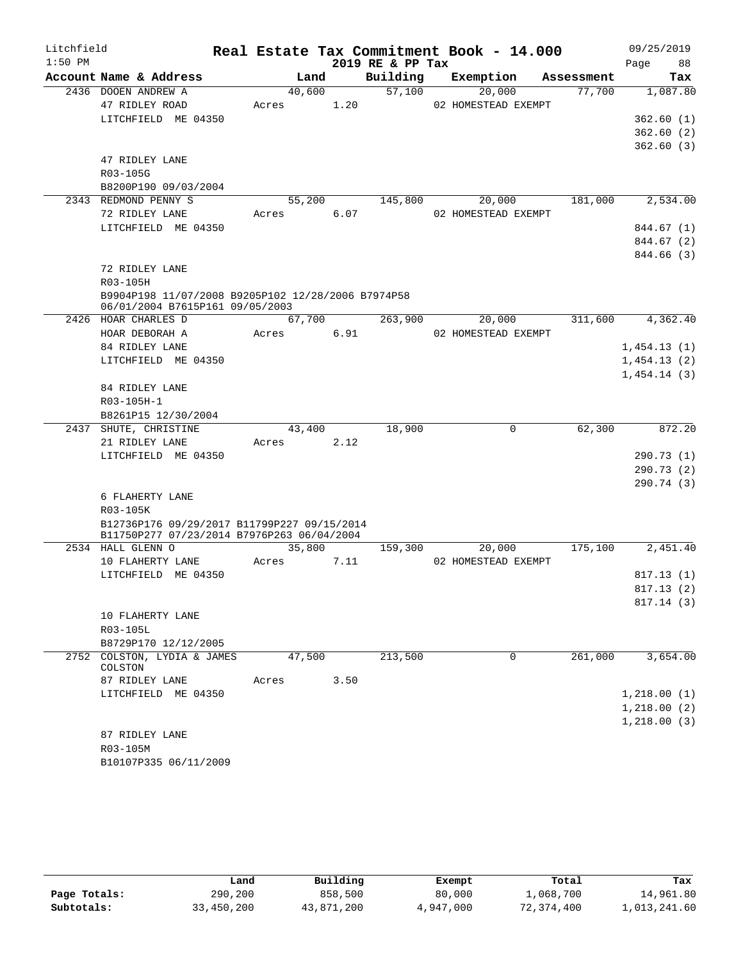| Litchfield |                                                                                           |       |        |      |                  | Real Estate Tax Commitment Book - 14.000 |            | 09/25/2019               |
|------------|-------------------------------------------------------------------------------------------|-------|--------|------|------------------|------------------------------------------|------------|--------------------------|
| $1:50$ PM  |                                                                                           |       |        |      | 2019 RE & PP Tax |                                          |            | 88<br>Page               |
|            | Account Name & Address                                                                    |       | Land   |      | Building         | Exemption                                | Assessment | Tax                      |
|            | 2436 DOOEN ANDREW A                                                                       |       | 40,600 |      | 57,100           | 20,000                                   | 77,700     | 1,087.80                 |
|            | 47 RIDLEY ROAD                                                                            | Acres |        | 1.20 |                  | 02 HOMESTEAD EXEMPT                      |            |                          |
|            | LITCHFIELD ME 04350                                                                       |       |        |      |                  |                                          |            | 362.60(1)                |
|            |                                                                                           |       |        |      |                  |                                          |            | 362.60(2)                |
|            |                                                                                           |       |        |      |                  |                                          |            | 362.60(3)                |
|            | 47 RIDLEY LANE<br>R03-105G                                                                |       |        |      |                  |                                          |            |                          |
|            |                                                                                           |       |        |      |                  |                                          |            |                          |
|            | B8200P190 09/03/2004<br>2343 REDMOND PENNY S                                              |       | 55,200 |      | 145,800          | 20,000                                   | 181,000    | 2,534.00                 |
|            | 72 RIDLEY LANE                                                                            |       |        | 6.07 |                  | 02 HOMESTEAD EXEMPT                      |            |                          |
|            | LITCHFIELD ME 04350                                                                       | Acres |        |      |                  |                                          |            |                          |
|            |                                                                                           |       |        |      |                  |                                          |            | 844.67 (1)<br>844.67 (2) |
|            |                                                                                           |       |        |      |                  |                                          |            | 844.66 (3)               |
|            | 72 RIDLEY LANE                                                                            |       |        |      |                  |                                          |            |                          |
|            | R03-105H                                                                                  |       |        |      |                  |                                          |            |                          |
|            | B9904P198 11/07/2008 B9205P102 12/28/2006 B7974P58                                        |       |        |      |                  |                                          |            |                          |
|            | 06/01/2004 B7615P161 09/05/2003                                                           |       |        |      |                  |                                          |            |                          |
|            | 2426 HOAR CHARLES D                                                                       |       | 67,700 |      | 263,900          | 20,000                                   | 311,600    | 4,362.40                 |
|            | HOAR DEBORAH A                                                                            | Acres |        | 6.91 |                  | 02 HOMESTEAD EXEMPT                      |            |                          |
|            | 84 RIDLEY LANE                                                                            |       |        |      |                  |                                          |            | 1,454.13(1)              |
|            | LITCHFIELD ME 04350                                                                       |       |        |      |                  |                                          |            | 1,454.13(2)              |
|            |                                                                                           |       |        |      |                  |                                          |            | 1,454.14(3)              |
|            | 84 RIDLEY LANE                                                                            |       |        |      |                  |                                          |            |                          |
|            | R03-105H-1                                                                                |       |        |      |                  |                                          |            |                          |
|            | B8261P15 12/30/2004                                                                       |       |        |      |                  |                                          |            |                          |
|            | 2437 SHUTE, CHRISTINE                                                                     |       | 43,400 |      | 18,900           | $\mathbf 0$                              | 62,300     | 872.20                   |
|            | 21 RIDLEY LANE                                                                            | Acres |        | 2.12 |                  |                                          |            |                          |
|            | LITCHFIELD ME 04350                                                                       |       |        |      |                  |                                          |            | 290.73 (1)               |
|            |                                                                                           |       |        |      |                  |                                          |            | 290.73(2)                |
|            |                                                                                           |       |        |      |                  |                                          |            | 290.74 (3)               |
|            | 6 FLAHERTY LANE                                                                           |       |        |      |                  |                                          |            |                          |
|            | R03-105K                                                                                  |       |        |      |                  |                                          |            |                          |
|            | B12736P176 09/29/2017 B11799P227 09/15/2014<br>B11750P277 07/23/2014 B7976P263 06/04/2004 |       |        |      |                  |                                          |            |                          |
|            | 2534 HALL GLENN O                                                                         |       | 35,800 |      | 159,300          | 20,000                                   | 175,100    | 2,451.40                 |
|            | 10 FLAHERTY LANE                                                                          | Acres |        | 7.11 |                  | 02 HOMESTEAD EXEMPT                      |            |                          |
|            | LITCHFIELD ME 04350                                                                       |       |        |      |                  |                                          |            | 817.13(1)                |
|            |                                                                                           |       |        |      |                  |                                          |            | 817.13(2)                |
|            |                                                                                           |       |        |      |                  |                                          |            | 817.14(3)                |
|            | 10 FLAHERTY LANE                                                                          |       |        |      |                  |                                          |            |                          |
|            | R03-105L                                                                                  |       |        |      |                  |                                          |            |                          |
|            | B8729P170 12/12/2005                                                                      |       |        |      |                  |                                          |            |                          |
|            | 2752 COLSTON, LYDIA & JAMES                                                               |       | 47,500 |      | 213,500          | 0                                        | 261,000    | 3,654.00                 |
|            | COLSTON                                                                                   |       |        |      |                  |                                          |            |                          |
|            | 87 RIDLEY LANE                                                                            | Acres |        | 3.50 |                  |                                          |            |                          |
|            | LITCHFIELD ME 04350                                                                       |       |        |      |                  |                                          |            | 1,218.00(1)              |
|            |                                                                                           |       |        |      |                  |                                          |            | 1,218.00(2)              |
|            |                                                                                           |       |        |      |                  |                                          |            | 1, 218.00(3)             |
|            | 87 RIDLEY LANE                                                                            |       |        |      |                  |                                          |            |                          |
|            | R03-105M                                                                                  |       |        |      |                  |                                          |            |                          |
|            | B10107P335 06/11/2009                                                                     |       |        |      |                  |                                          |            |                          |

|              | Land       | Building   | Exempt    | Total      | Tax          |
|--------------|------------|------------|-----------|------------|--------------|
| Page Totals: | 290,200    | 858,500    | 80,000    | 1,068,700  | 14,961.80    |
| Subtotals:   | 33,450,200 | 43,871,200 | 4,947,000 | 72,374,400 | 1,013,241.60 |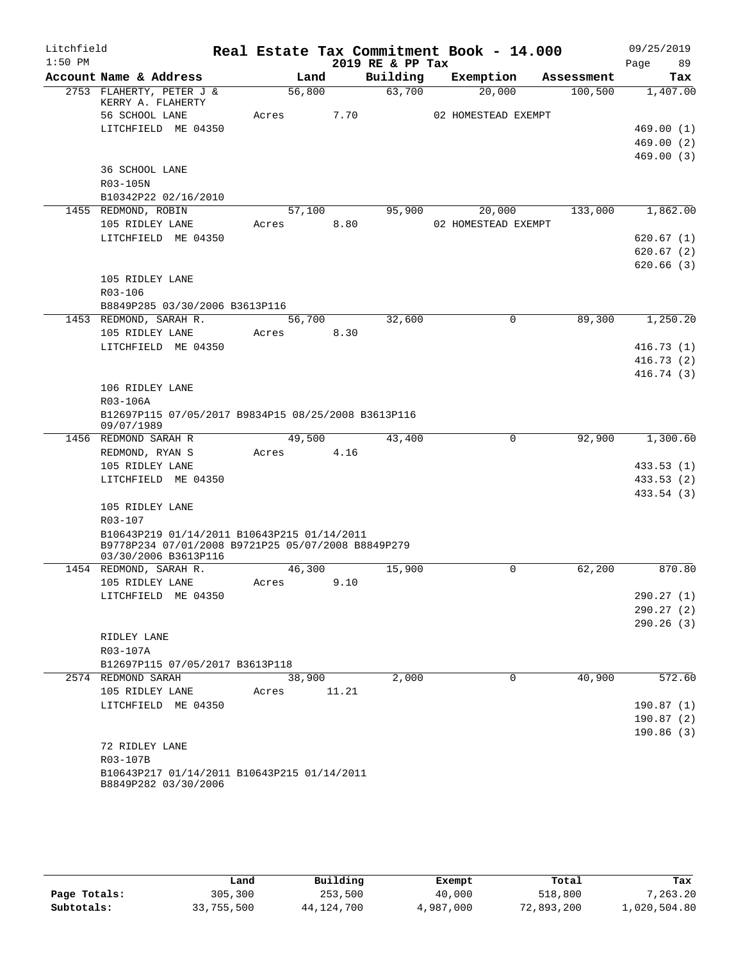| Litchfield |                                                                                                                           |            |        |                  | Real Estate Tax Commitment Book - 14.000 |             |            | 09/25/2019             |
|------------|---------------------------------------------------------------------------------------------------------------------------|------------|--------|------------------|------------------------------------------|-------------|------------|------------------------|
| $1:50$ PM  |                                                                                                                           |            |        | 2019 RE & PP Tax |                                          |             |            | Page<br>89             |
|            | Account Name & Address                                                                                                    |            | Land   | Building         | Exemption                                |             | Assessment | Tax                    |
|            | 2753 FLAHERTY, PETER J &<br>KERRY A. FLAHERTY                                                                             |            | 56,800 | 63,700           | 20,000                                   |             | 100,500    | 1,407.00               |
|            | 56 SCHOOL LANE                                                                                                            | Acres      | 7.70   |                  | 02 HOMESTEAD EXEMPT                      |             |            |                        |
|            | LITCHFIELD ME 04350                                                                                                       |            |        |                  |                                          |             |            | 469.00(1)              |
|            |                                                                                                                           |            |        |                  |                                          |             |            | 469.00(2)              |
|            | 36 SCHOOL LANE                                                                                                            |            |        |                  |                                          |             |            | 469.00(3)              |
|            | R03-105N                                                                                                                  |            |        |                  |                                          |             |            |                        |
|            | B10342P22 02/16/2010                                                                                                      |            |        |                  |                                          |             |            |                        |
|            | 1455 REDMOND, ROBIN                                                                                                       |            | 57,100 | 95,900           | 20,000                                   |             | 133,000    | 1,862.00               |
|            | 105 RIDLEY LANE                                                                                                           | Acres      | 8.80   |                  | 02 HOMESTEAD EXEMPT                      |             |            |                        |
|            | LITCHFIELD ME 04350                                                                                                       |            |        |                  |                                          |             |            | 620.67(1)              |
|            |                                                                                                                           |            |        |                  |                                          |             |            | 620.67(2)              |
|            |                                                                                                                           |            |        |                  |                                          |             |            | 620.66(3)              |
|            | 105 RIDLEY LANE                                                                                                           |            |        |                  |                                          |             |            |                        |
|            | R03-106                                                                                                                   |            |        |                  |                                          |             |            |                        |
|            | B8849P285 03/30/2006 B3613P116                                                                                            |            |        |                  |                                          |             |            |                        |
|            | 1453 REDMOND, SARAH R.                                                                                                    |            | 56,700 | 32,600           |                                          | $\mathbf 0$ | 89,300     | 1,250.20               |
|            | 105 RIDLEY LANE                                                                                                           | Acres      | 8.30   |                  |                                          |             |            |                        |
|            | LITCHFIELD ME 04350                                                                                                       |            |        |                  |                                          |             |            | 416.73(1)              |
|            |                                                                                                                           |            |        |                  |                                          |             |            | 416.73(2)              |
|            |                                                                                                                           |            |        |                  |                                          |             |            | 416.74(3)              |
|            | 106 RIDLEY LANE                                                                                                           |            |        |                  |                                          |             |            |                        |
|            | R03-106A                                                                                                                  |            |        |                  |                                          |             |            |                        |
|            | B12697P115 07/05/2017 B9834P15 08/25/2008 B3613P116<br>09/07/1989                                                         |            |        |                  |                                          |             |            |                        |
|            | 1456 REDMOND SARAH R                                                                                                      |            | 49,500 | 43,400           |                                          | $\mathbf 0$ | 92,900     | 1,300.60               |
|            | REDMOND, RYAN S                                                                                                           | Acres      | 4.16   |                  |                                          |             |            |                        |
|            | 105 RIDLEY LANE                                                                                                           |            |        |                  |                                          |             |            | 433.53(1)              |
|            | LITCHFIELD ME 04350                                                                                                       |            |        |                  |                                          |             |            | 433.53 (2)             |
|            |                                                                                                                           |            |        |                  |                                          |             |            | 433.54 (3)             |
|            | 105 RIDLEY LANE                                                                                                           |            |        |                  |                                          |             |            |                        |
|            | R03-107                                                                                                                   |            |        |                  |                                          |             |            |                        |
|            | B10643P219 01/14/2011 B10643P215 01/14/2011<br>B9778P234 07/01/2008 B9721P25 05/07/2008 B8849P279<br>03/30/2006 B3613P116 |            |        |                  |                                          |             |            |                        |
|            | 1454 REDMOND, SARAH R.                                                                                                    |            | 46,300 | 15,900           |                                          | 0           | 62,200     | 870.80                 |
|            | 105 RIDLEY LANE                                                                                                           | Acres 9.10 |        |                  |                                          |             |            |                        |
|            | LITCHFIELD ME 04350                                                                                                       |            |        |                  |                                          |             |            | 290.27(1)              |
|            |                                                                                                                           |            |        |                  |                                          |             |            | 290.27(2)              |
|            |                                                                                                                           |            |        |                  |                                          |             |            | 290.26(3)              |
|            | RIDLEY LANE                                                                                                               |            |        |                  |                                          |             |            |                        |
|            | R03-107A                                                                                                                  |            |        |                  |                                          |             |            |                        |
|            | B12697P115 07/05/2017 B3613P118                                                                                           |            |        |                  |                                          |             |            |                        |
|            | 2574 REDMOND SARAH                                                                                                        |            | 38,900 | 2,000            |                                          | $\mathbf 0$ | 40,900     | 572.60                 |
|            | 105 RIDLEY LANE                                                                                                           | Acres      | 11.21  |                  |                                          |             |            |                        |
|            | LITCHFIELD ME 04350                                                                                                       |            |        |                  |                                          |             |            | 190.87(1)              |
|            |                                                                                                                           |            |        |                  |                                          |             |            | 190.87(2)<br>190.86(3) |
|            | 72 RIDLEY LANE                                                                                                            |            |        |                  |                                          |             |            |                        |
|            | R03-107B                                                                                                                  |            |        |                  |                                          |             |            |                        |
|            | B10643P217 01/14/2011 B10643P215 01/14/2011                                                                               |            |        |                  |                                          |             |            |                        |
|            | B8849P282 03/30/2006                                                                                                      |            |        |                  |                                          |             |            |                        |

|              | Land       | Building   | Exempt    | Total      | Tax          |
|--------------|------------|------------|-----------|------------|--------------|
| Page Totals: | 305,300    | 253,500    | 40,000    | 518,800    | 7,263.20     |
| Subtotals:   | 33,755,500 | 44,124,700 | 4,987,000 | 72,893,200 | 1,020,504.80 |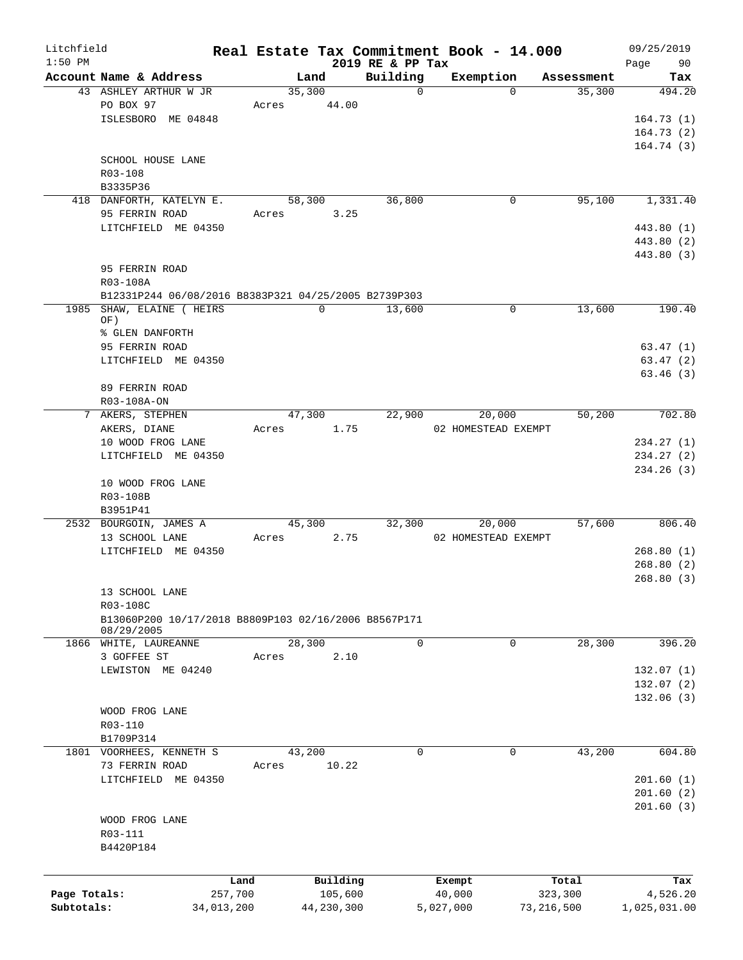| Litchfield   |                                                      |            |       |            |                  | Real Estate Tax Commitment Book - 14.000 |             |            | 09/25/2019   |
|--------------|------------------------------------------------------|------------|-------|------------|------------------|------------------------------------------|-------------|------------|--------------|
| $1:50$ PM    |                                                      |            |       |            | 2019 RE & PP Tax |                                          |             |            | 90<br>Page   |
|              | Account Name & Address                               |            |       | Land       | Building         | Exemption                                |             | Assessment | Tax          |
|              | 43 ASHLEY ARTHUR W JR                                |            |       | 35,300     | $\Omega$         |                                          | $\Omega$    | 35,300     | 494.20       |
|              | PO BOX 97                                            |            | Acres | 44.00      |                  |                                          |             |            |              |
|              | ISLESBORO ME 04848                                   |            |       |            |                  |                                          |             |            | 164.73(1)    |
|              |                                                      |            |       |            |                  |                                          |             |            | 164.73(2)    |
|              |                                                      |            |       |            |                  |                                          |             |            | 164.74(3)    |
|              | SCHOOL HOUSE LANE                                    |            |       |            |                  |                                          |             |            |              |
|              | R03-108                                              |            |       |            |                  |                                          |             |            |              |
|              | B3335P36                                             |            |       |            |                  |                                          |             |            |              |
|              | 418 DANFORTH, KATELYN E.                             |            |       | 58,300     | 36,800           |                                          | 0           | 95,100     | 1,331.40     |
|              | 95 FERRIN ROAD                                       |            | Acres | 3.25       |                  |                                          |             |            |              |
|              | LITCHFIELD ME 04350                                  |            |       |            |                  |                                          |             |            | 443.80 (1)   |
|              |                                                      |            |       |            |                  |                                          |             |            | 443.80 (2)   |
|              |                                                      |            |       |            |                  |                                          |             |            | 443.80 (3)   |
|              | 95 FERRIN ROAD                                       |            |       |            |                  |                                          |             |            |              |
|              | R03-108A                                             |            |       |            |                  |                                          |             |            |              |
|              | B12331P244 06/08/2016 B8383P321 04/25/2005 B2739P303 |            |       |            |                  |                                          |             |            |              |
|              | 1985 SHAW, ELAINE ( HEIRS                            |            |       | 0          | 13,600           |                                          | $\mathbf 0$ | 13,600     | 190.40       |
|              | OF)                                                  |            |       |            |                  |                                          |             |            |              |
|              | % GLEN DANFORTH                                      |            |       |            |                  |                                          |             |            |              |
|              | 95 FERRIN ROAD                                       |            |       |            |                  |                                          |             |            | 63.47(1)     |
|              | LITCHFIELD ME 04350                                  |            |       |            |                  |                                          |             |            | 63.47(2)     |
|              |                                                      |            |       |            |                  |                                          |             |            | 63.46(3)     |
|              | 89 FERRIN ROAD                                       |            |       |            |                  |                                          |             |            |              |
|              | R03-108A-ON                                          |            |       |            |                  |                                          |             |            |              |
|              | 7 AKERS, STEPHEN                                     |            |       | 47,300     |                  | 20,000                                   |             | 50,200     | 702.80       |
|              |                                                      |            |       |            | 22,900           |                                          |             |            |              |
|              | AKERS, DIANE                                         |            | Acres | 1.75       |                  | 02 HOMESTEAD EXEMPT                      |             |            |              |
|              | 10 WOOD FROG LANE                                    |            |       |            |                  |                                          |             |            | 234.27(1)    |
|              | LITCHFIELD ME 04350                                  |            |       |            |                  |                                          |             |            | 234.27(2)    |
|              |                                                      |            |       |            |                  |                                          |             |            | 234.26(3)    |
|              | 10 WOOD FROG LANE                                    |            |       |            |                  |                                          |             |            |              |
|              | R03-108B                                             |            |       |            |                  |                                          |             |            |              |
|              | B3951P41                                             |            |       |            |                  |                                          |             |            |              |
|              | 2532 BOURGOIN, JAMES A                               |            |       | 45,300     | 32,300           | 20,000                                   |             | 57,600     | 806.40       |
|              | 13 SCHOOL LANE                                       |            | Acres | 2.75       |                  | 02 HOMESTEAD EXEMPT                      |             |            |              |
|              | LITCHFIELD ME 04350                                  |            |       |            |                  |                                          |             |            | 268.80(1)    |
|              |                                                      |            |       |            |                  |                                          |             |            | 268.80(2)    |
|              |                                                      |            |       |            |                  |                                          |             |            | 268.80(3)    |
|              | 13 SCHOOL LANE                                       |            |       |            |                  |                                          |             |            |              |
|              | R03-108C                                             |            |       |            |                  |                                          |             |            |              |
|              | B13060P200 10/17/2018 B8809P103 02/16/2006 B8567P171 |            |       |            |                  |                                          |             |            |              |
|              | 08/29/2005                                           |            |       |            |                  |                                          |             |            |              |
| 1866         | WHITE, LAUREANNE                                     |            |       | 28,300     | $\overline{0}$   |                                          | 0           | 28,300     | 396.20       |
|              | 3 GOFFEE ST                                          |            | Acres | 2.10       |                  |                                          |             |            |              |
|              | LEWISTON ME 04240                                    |            |       |            |                  |                                          |             |            | 132.07(1)    |
|              |                                                      |            |       |            |                  |                                          |             |            | 132.07 (2)   |
|              |                                                      |            |       |            |                  |                                          |             |            | 132.06(3)    |
|              | WOOD FROG LANE                                       |            |       |            |                  |                                          |             |            |              |
|              | R03-110                                              |            |       |            |                  |                                          |             |            |              |
|              | B1709P314                                            |            |       |            |                  |                                          |             |            |              |
|              | 1801 VOORHEES, KENNETH S                             |            |       | 43,200     | $\mathbf 0$      |                                          | $\mathbf 0$ | 43,200     | 604.80       |
|              | 73 FERRIN ROAD                                       |            | Acres | 10.22      |                  |                                          |             |            |              |
|              | LITCHFIELD ME 04350                                  |            |       |            |                  |                                          |             |            | 201.60(1)    |
|              |                                                      |            |       |            |                  |                                          |             |            |              |
|              |                                                      |            |       |            |                  |                                          |             |            | 201.60(2)    |
|              |                                                      |            |       |            |                  |                                          |             |            | 201.60(3)    |
|              | WOOD FROG LANE                                       |            |       |            |                  |                                          |             |            |              |
|              | R03-111                                              |            |       |            |                  |                                          |             |            |              |
|              | B4420P184                                            |            |       |            |                  |                                          |             |            |              |
|              |                                                      |            |       |            |                  |                                          |             |            |              |
|              |                                                      | Land       |       | Building   |                  | Exempt                                   |             | Total      | Tax          |
| Page Totals: |                                                      | 257,700    |       | 105,600    |                  | 40,000                                   | 323,300     |            | 4,526.20     |
| Subtotals:   |                                                      | 34,013,200 |       | 44,230,300 |                  | 5,027,000                                | 73,216,500  |            | 1,025,031.00 |
|              |                                                      |            |       |            |                  |                                          |             |            |              |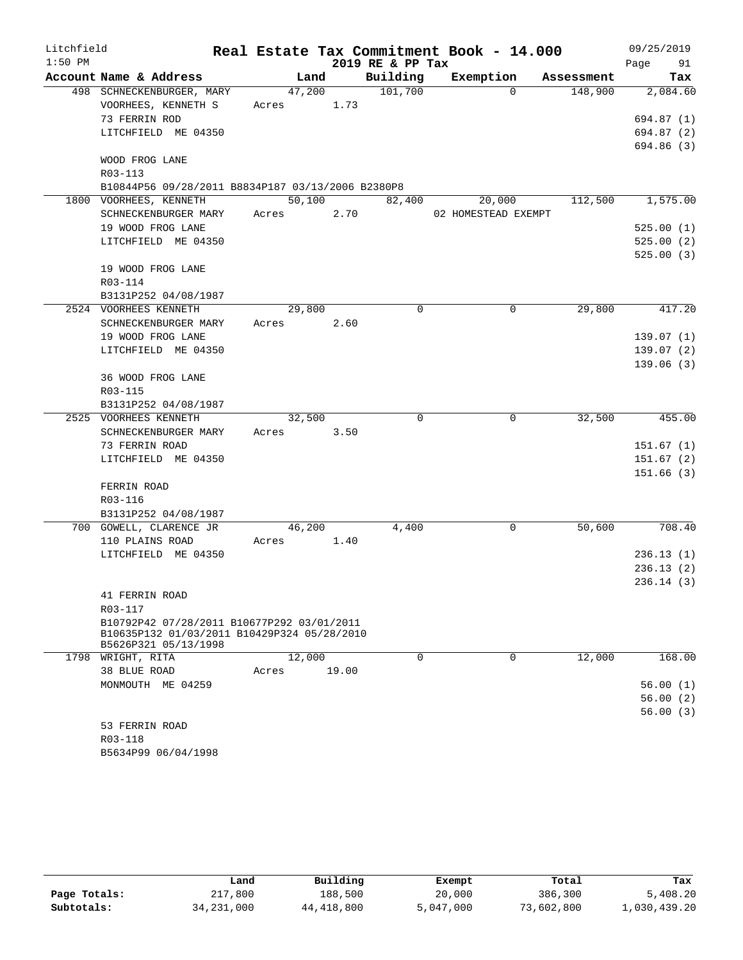| Litchfield |                                                                     |            |       |                  | Real Estate Tax Commitment Book - 14.000 |            | 09/25/2019 |
|------------|---------------------------------------------------------------------|------------|-------|------------------|------------------------------------------|------------|------------|
| $1:50$ PM  |                                                                     |            |       | 2019 RE & PP Tax |                                          |            | Page 91    |
|            | Account Name & Address                                              | Land       |       | Building         | Exemption                                | Assessment | Tax        |
|            | 498 SCHNECKENBURGER, MARY                                           | 47,200     |       | 101,700          | $\Omega$                                 | 148,900    | 2,084.60   |
|            | VOORHEES, KENNETH S                                                 | Acres 1.73 |       |                  |                                          |            |            |
|            | 73 FERRIN ROD                                                       |            |       |                  |                                          |            | 694.87 (1) |
|            | LITCHFIELD ME 04350                                                 |            |       |                  |                                          |            | 694.87 (2) |
|            |                                                                     |            |       |                  |                                          |            | 694.86 (3) |
|            | WOOD FROG LANE                                                      |            |       |                  |                                          |            |            |
|            | R03-113                                                             |            |       |                  |                                          |            |            |
|            | B10844P56 09/28/2011 B8834P187 03/13/2006 B2380P8                   |            |       |                  |                                          |            |            |
|            | 1800 VOORHEES, KENNETH                                              | 50,100     |       | 82,400           | 20,000                                   | 112,500    | 1,575.00   |
|            | SCHNECKENBURGER MARY                                                | Acres 2.70 |       |                  | 02 HOMESTEAD EXEMPT                      |            |            |
|            | 19 WOOD FROG LANE                                                   |            |       |                  |                                          |            | 525.00(1)  |
|            | LITCHFIELD ME 04350                                                 |            |       |                  |                                          |            | 525.00(2)  |
|            |                                                                     |            |       |                  |                                          |            | 525.00(3)  |
|            | 19 WOOD FROG LANE                                                   |            |       |                  |                                          |            |            |
|            | R03-114                                                             |            |       |                  |                                          |            |            |
|            | B3131P252 04/08/1987<br>2524 VOORHEES KENNETH                       | 29,800     |       | $\Omega$         | $\Omega$                                 | 29,800     | 417.20     |
|            | SCHNECKENBURGER MARY                                                | Acres 2.60 |       |                  |                                          |            |            |
|            | 19 WOOD FROG LANE                                                   |            |       |                  |                                          |            | 139.07(1)  |
|            | LITCHFIELD ME 04350                                                 |            |       |                  |                                          |            | 139.07(2)  |
|            |                                                                     |            |       |                  |                                          |            | 139.06(3)  |
|            | 36 WOOD FROG LANE                                                   |            |       |                  |                                          |            |            |
|            | R03-115                                                             |            |       |                  |                                          |            |            |
|            | B3131P252 04/08/1987                                                |            |       |                  |                                          |            |            |
|            | 2525 VOORHEES KENNETH                                               | 32,500     |       | 0                | $\mathbf 0$                              | 32,500     | 455.00     |
|            | SCHNECKENBURGER MARY                                                | Acres 3.50 |       |                  |                                          |            |            |
|            | 73 FERRIN ROAD                                                      |            |       |                  |                                          |            | 151.67(1)  |
|            | LITCHFIELD ME 04350                                                 |            |       |                  |                                          |            | 151.67(2)  |
|            |                                                                     |            |       |                  |                                          |            | 151.66(3)  |
|            | FERRIN ROAD                                                         |            |       |                  |                                          |            |            |
|            | R03-116                                                             |            |       |                  |                                          |            |            |
|            | B3131P252 04/08/1987                                                |            |       |                  |                                          |            |            |
|            | 700 GOWELL, CLARENCE JR                                             | 46,200     |       | 4,400            | 0                                        | 50,600     | 708.40     |
|            | 110 PLAINS ROAD                                                     | Acres 1.40 |       |                  |                                          |            |            |
|            | LITCHFIELD ME 04350                                                 |            |       |                  |                                          |            | 236.13(1)  |
|            |                                                                     |            |       |                  |                                          |            | 236.13(2)  |
|            |                                                                     |            |       |                  |                                          |            | 236.14(3)  |
|            | 41 FERRIN ROAD                                                      |            |       |                  |                                          |            |            |
|            | R03-117                                                             |            |       |                  |                                          |            |            |
|            | B10792P42 07/28/2011 B10677P292 03/01/2011                          |            |       |                  |                                          |            |            |
|            | B10635P132 01/03/2011 B10429P324 05/28/2010<br>B5626P321 05/13/1998 |            |       |                  |                                          |            |            |
|            | 1798 WRIGHT, RITA                                                   | 12,000     |       | 0                | 0                                        | 12,000     | 168.00     |
|            | 38 BLUE ROAD                                                        | Acres      | 19.00 |                  |                                          |            |            |
|            | MONMOUTH ME 04259                                                   |            |       |                  |                                          |            | 56.00(1)   |
|            |                                                                     |            |       |                  |                                          |            | 56.00(2)   |
|            |                                                                     |            |       |                  |                                          |            | 56.00(3)   |
|            | 53 FERRIN ROAD                                                      |            |       |                  |                                          |            |            |
|            | R03-118                                                             |            |       |                  |                                          |            |            |

|              | Land         | Building   | Exempt    | Total      | Tax          |
|--------------|--------------|------------|-----------|------------|--------------|
| Page Totals: | 217,800      | 188,500    | 20,000    | 386,300    | 5,408.20     |
| Subtotals:   | 34, 231, 000 | 44,418,800 | 5,047,000 | 73,602,800 | 1,030,439.20 |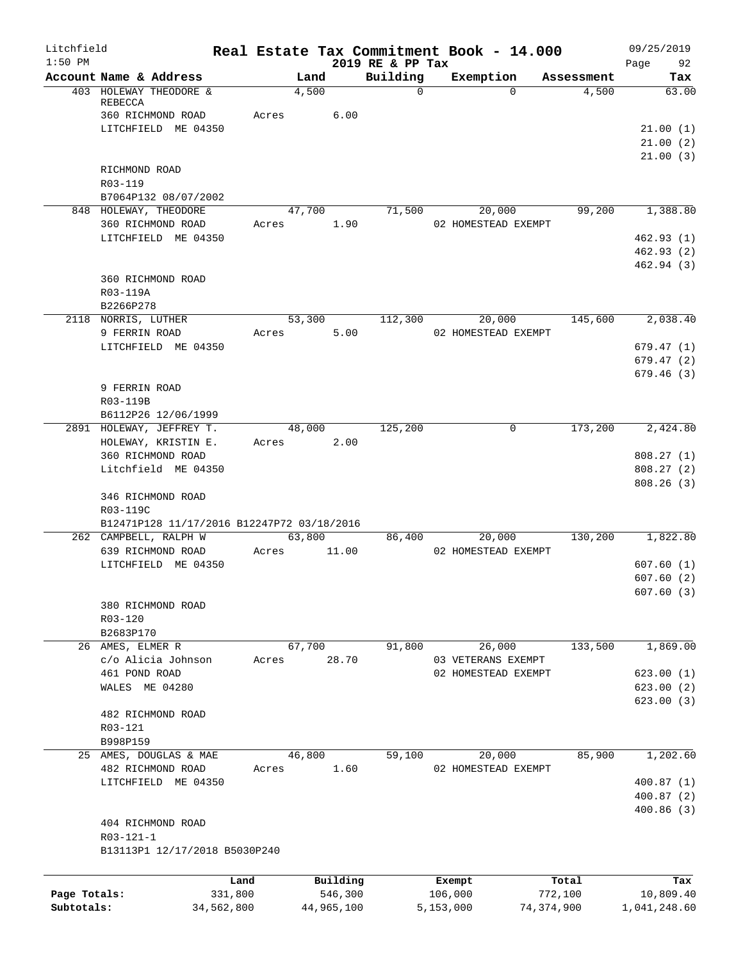| Litchfield   |                                                                             |                 |                      |                     |                              |           | Real Estate Tax Commitment Book - 14.000 |                  | 09/25/2019                          |
|--------------|-----------------------------------------------------------------------------|-----------------|----------------------|---------------------|------------------------------|-----------|------------------------------------------|------------------|-------------------------------------|
| $1:50$ PM    | Account Name & Address                                                      |                 | Land                 |                     | 2019 RE & PP Tax<br>Building |           | Exemption                                | Assessment       | Page<br>92<br>Tax                   |
|              | 403 HOLEWAY THEODORE &<br>REBECCA                                           |                 | 4,500                |                     | $\mathsf{O}$                 |           | $\Omega$                                 | 4,500            | 63.00                               |
|              | 360 RICHMOND ROAD<br>LITCHFIELD ME 04350                                    |                 | Acres                | 6.00                |                              |           |                                          |                  | 21.00(1)<br>21.00(2)                |
|              | RICHMOND ROAD<br>R03-119                                                    |                 |                      |                     |                              |           |                                          |                  | 21.00(3)                            |
|              | B7064P132 08/07/2002                                                        |                 |                      |                     |                              |           |                                          |                  |                                     |
|              | 848 HOLEWAY, THEODORE<br>360 RICHMOND ROAD                                  |                 | 47,700<br>Acres 1.90 |                     | 71,500                       |           | 20,000<br>02 HOMESTEAD EXEMPT            | 99,200           | 1,388.80                            |
|              | LITCHFIELD ME 04350                                                         |                 |                      |                     |                              |           |                                          |                  | 462.93(1)<br>462.93(2)<br>462.94(3) |
|              | 360 RICHMOND ROAD<br>R03-119A<br>B2266P278                                  |                 |                      |                     |                              |           |                                          |                  |                                     |
|              | 2118 NORRIS, LUTHER<br>9 FERRIN ROAD                                        |                 | 53,300<br>Acres      | 5.00                | 112,300                      |           | 20,000<br>02 HOMESTEAD EXEMPT            | 145,600          | 2,038.40                            |
|              | LITCHFIELD ME 04350                                                         |                 |                      |                     |                              |           |                                          |                  | 679.47(1)<br>679.47(2)<br>679.46(3) |
|              | 9 FERRIN ROAD<br>R03-119B<br>B6112P26 12/06/1999                            |                 |                      |                     |                              |           |                                          |                  |                                     |
|              | 2891 HOLEWAY, JEFFREY T.<br>HOLEWAY, KRISTIN E.                             |                 | 48,000<br>Acres      | 2.00                | 125,200                      |           | 0                                        | 173,200          | 2,424.80                            |
|              | 360 RICHMOND ROAD<br>Litchfield ME 04350                                    |                 |                      |                     |                              |           |                                          |                  | 808.27(1)<br>808.27(2)<br>808.26(3) |
|              | 346 RICHMOND ROAD<br>R03-119C<br>B12471P128 11/17/2016 B12247P72 03/18/2016 |                 |                      |                     |                              |           |                                          |                  |                                     |
|              | 262 CAMPBELL, RALPH W<br>639 RICHMOND ROAD                                  |                 | 63,800<br>Acres      | 11.00               | 86,400                       |           | 20,000<br>02 HOMESTEAD EXEMPT            | 130, 200         | 1,822.80                            |
|              | LITCHFIELD ME 04350                                                         |                 |                      |                     |                              |           |                                          |                  | 607.60(1)<br>607.60(2)<br>607.60(3) |
|              | 380 RICHMOND ROAD<br>R03-120<br>B2683P170                                   |                 |                      |                     |                              |           |                                          |                  |                                     |
|              | 26 AMES, ELMER R<br>c/o Alicia Johnson                                      |                 | 67,700<br>Acres      | 28.70               | 91,800                       |           | 26,000<br>03 VETERANS EXEMPT             | 133,500          | 1,869.00                            |
|              | 461 POND ROAD<br>WALES ME 04280                                             |                 |                      |                     |                              |           | 02 HOMESTEAD EXEMPT                      |                  | 623.00(1)<br>623.00(2)<br>623.00(3) |
|              | 482 RICHMOND ROAD<br>R03-121<br>B998P159                                    |                 |                      |                     |                              |           |                                          |                  |                                     |
|              | 25 AMES, DOUGLAS & MAE<br>482 RICHMOND ROAD<br>LITCHFIELD ME 04350          |                 | 46,800<br>Acres      | 1.60                | 59,100                       |           | 20,000<br>02 HOMESTEAD EXEMPT            | 85,900           | 1,202.60<br>400.87(1)               |
|              |                                                                             |                 |                      |                     |                              |           |                                          |                  | 400.87(2)<br>400.86(3)              |
|              | 404 RICHMOND ROAD<br>R03-121-1<br>B13113P1 12/17/2018 B5030P240             |                 |                      |                     |                              |           |                                          |                  |                                     |
|              |                                                                             |                 |                      |                     |                              |           |                                          |                  |                                     |
| Page Totals: |                                                                             | Land<br>331,800 |                      | Building<br>546,300 |                              |           | Exempt<br>106,000                        | Total<br>772,100 | Tax<br>10,809.40                    |
| Subtotals:   |                                                                             | 34,562,800      |                      | 44,965,100          |                              | 5,153,000 |                                          | 74, 374, 900     | 1,041,248.60                        |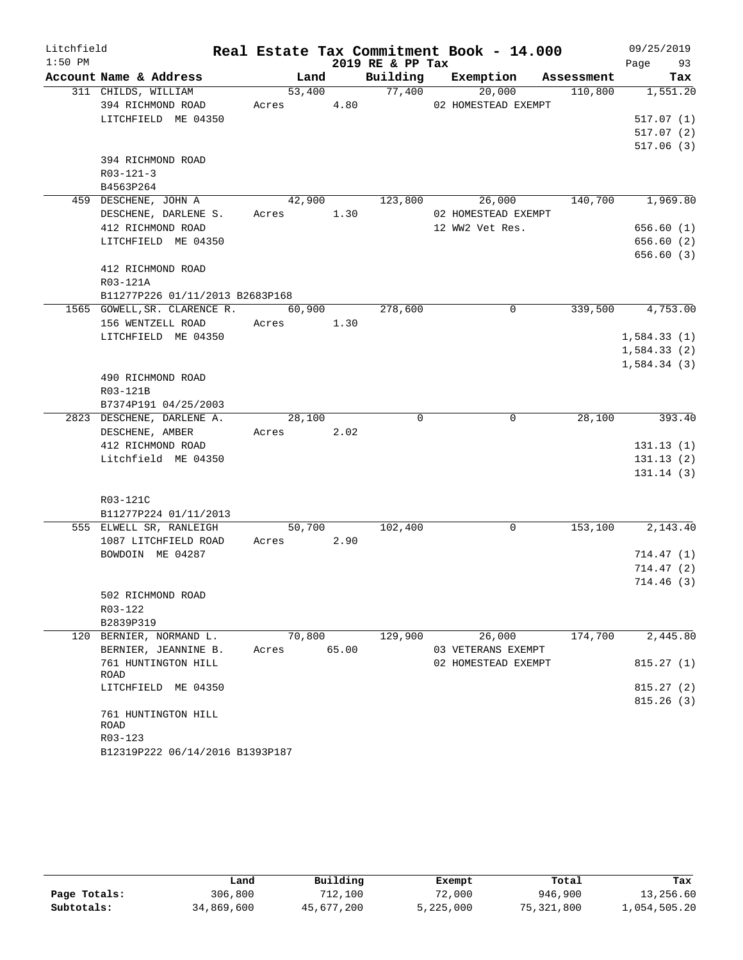| Litchfield |                                            |                      |       |                  | Real Estate Tax Commitment Book - 14.000 |            | 09/25/2019             |          |
|------------|--------------------------------------------|----------------------|-------|------------------|------------------------------------------|------------|------------------------|----------|
| $1:50$ PM  |                                            |                      |       | 2019 RE & PP Tax |                                          |            | Page 93                |          |
|            | Account Name & Address                     |                      | Land  |                  | Building Exemption                       | Assessment |                        | Tax      |
|            | 311 CHILDS, WILLIAM                        | 53,400               |       | 77,400           | 20,000                                   | 110,800    | 1,551.20               |          |
|            | 394 RICHMOND ROAD                          | Acres 4.80           |       |                  | 02 HOMESTEAD EXEMPT                      |            |                        |          |
|            | LITCHFIELD ME 04350                        |                      |       |                  |                                          |            | 517.07(1)<br>517.07(2) |          |
|            |                                            |                      |       |                  |                                          |            | 517.06(3)              |          |
|            | 394 RICHMOND ROAD                          |                      |       |                  |                                          |            |                        |          |
|            | $R03 - 121 - 3$                            |                      |       |                  |                                          |            |                        |          |
|            | B4563P264                                  |                      |       |                  |                                          |            |                        |          |
|            | 459 DESCHENE, JOHN A                       | 42,900               |       | 123,800          | 26,000                                   | 140,700    | 1,969.80               |          |
|            | DESCHENE, DARLENE S.                       | Acres 1.30           |       |                  | 02 HOMESTEAD EXEMPT                      |            |                        |          |
|            | 412 RICHMOND ROAD                          |                      |       |                  | 12 WW2 Vet Res.                          |            | 656.60(1)              |          |
|            | LITCHFIELD ME 04350                        |                      |       |                  |                                          |            | 656.60(2)              |          |
|            |                                            |                      |       |                  |                                          |            | 656.60(3)              |          |
|            | 412 RICHMOND ROAD                          |                      |       |                  |                                          |            |                        |          |
|            | R03-121A                                   |                      |       |                  |                                          |            |                        |          |
|            | B11277P226 01/11/2013 B2683P168            |                      |       |                  |                                          |            |                        |          |
|            | 1565 GOWELL, SR. CLARENCE R.               | 60,900               |       | 278,600          | $\Omega$                                 | 339,500    | 4,753.00               |          |
|            | 156 WENTZELL ROAD                          | Acres 1.30           |       |                  |                                          |            |                        |          |
|            | LITCHFIELD ME 04350                        |                      |       |                  |                                          |            | 1,584.33(1)            |          |
|            |                                            |                      |       |                  |                                          |            | 1,584.33(2)            |          |
|            |                                            |                      |       |                  |                                          |            | 1,584.34(3)            |          |
|            | 490 RICHMOND ROAD                          |                      |       |                  |                                          |            |                        |          |
|            | R03-121B                                   |                      |       |                  |                                          |            |                        |          |
|            | B7374P191 04/25/2003                       |                      |       |                  |                                          |            |                        |          |
|            | 2823 DESCHENE, DARLENE A.                  | 28,100               |       | 0                | $\mathbf 0$                              | 28,100     |                        | 393.40   |
|            | DESCHENE, AMBER                            | Acres 2.02           |       |                  |                                          |            |                        |          |
|            | 412 RICHMOND ROAD                          |                      |       |                  |                                          |            | 131.13(1)              |          |
|            | Litchfield ME 04350                        |                      |       |                  |                                          |            | 131.13(2)              |          |
|            |                                            |                      |       |                  |                                          |            | 131.14(3)              |          |
|            |                                            |                      |       |                  |                                          |            |                        |          |
|            | R03-121C                                   |                      |       |                  |                                          |            |                        |          |
|            | B11277P224 01/11/2013                      |                      |       |                  |                                          |            |                        |          |
|            | 555 ELWELL SR, RANLEIGH                    | 50,700<br>Acres 2.90 |       | 102,400          | 0                                        | 153,100    |                        | 2,143.40 |
|            | 1087 LITCHFIELD ROAD<br>BOWDOIN ME 04287   |                      |       |                  |                                          |            | 714.47(1)              |          |
|            |                                            |                      |       |                  |                                          |            | 714.47(2)              |          |
|            |                                            |                      |       |                  |                                          |            | 714.46(3)              |          |
|            | 502 RICHMOND ROAD                          |                      |       |                  |                                          |            |                        |          |
|            | R03-122                                    |                      |       |                  |                                          |            |                        |          |
|            | B2839P319                                  |                      |       |                  |                                          |            |                        |          |
|            | 120 BERNIER, NORMAND L.                    | 70,800               |       | 129,900          | 26,000                                   | 174,700    |                        | 2,445.80 |
|            | BERNIER, JEANNINE B.                       | Acres                | 65.00 |                  | 03 VETERANS EXEMPT                       |            |                        |          |
|            | 761 HUNTINGTON HILL                        |                      |       |                  | 02 HOMESTEAD EXEMPT                      |            | 815.27(1)              |          |
|            | ROAD                                       |                      |       |                  |                                          |            |                        |          |
|            | LITCHFIELD ME 04350                        |                      |       |                  |                                          |            | 815.27(2)              |          |
|            |                                            |                      |       |                  |                                          |            | 815.26(3)              |          |
|            | 761 HUNTINGTON HILL                        |                      |       |                  |                                          |            |                        |          |
|            | ROAD                                       |                      |       |                  |                                          |            |                        |          |
|            | R03-123<br>B12319P222 06/14/2016 B1393P187 |                      |       |                  |                                          |            |                        |          |
|            |                                            |                      |       |                  |                                          |            |                        |          |

|              | Land       | Building   | Exempt    | Total      | Tax          |
|--------------|------------|------------|-----------|------------|--------------|
| Page Totals: | 306,800    | 712,100    | 72,000    | 946,900    | 13,256.60    |
| Subtotals:   | 34,869,600 | 45,677,200 | 5,225,000 | 75,321,800 | 1,054,505.20 |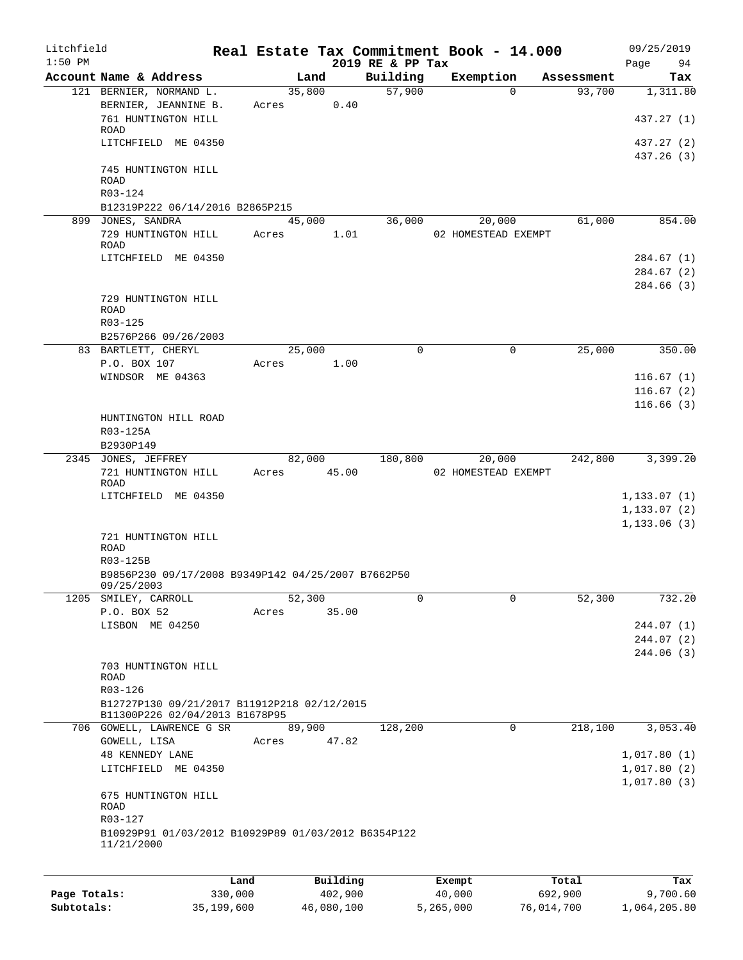| Litchfield<br>$1:50$ PM |                                                     |       |        |          | 2019 RE & PP Tax | Real Estate Tax Commitment Book - 14.000 |            | 09/25/2019<br>Page<br>94 |
|-------------------------|-----------------------------------------------------|-------|--------|----------|------------------|------------------------------------------|------------|--------------------------|
|                         | Account Name & Address                              |       | Land   |          | Building         | Exemption                                | Assessment | Tax                      |
|                         | 121 BERNIER, NORMAND L.                             |       | 35,800 |          | 57,900           | $\Omega$                                 | 93,700     | 1,311.80                 |
|                         | BERNIER, JEANNINE B.                                | Acres |        | 0.40     |                  |                                          |            |                          |
|                         | 761 HUNTINGTON HILL                                 |       |        |          |                  |                                          |            | 437.27 (1)               |
|                         | ROAD                                                |       |        |          |                  |                                          |            |                          |
|                         | LITCHFIELD ME 04350                                 |       |        |          |                  |                                          |            | 437.27 (2)               |
|                         |                                                     |       |        |          |                  |                                          |            | 437.26 (3)               |
|                         | 745 HUNTINGTON HILL<br><b>ROAD</b>                  |       |        |          |                  |                                          |            |                          |
|                         | R03-124                                             |       |        |          |                  |                                          |            |                          |
|                         | B12319P222 06/14/2016 B2865P215                     |       |        |          |                  |                                          |            |                          |
|                         | 899 JONES, SANDRA                                   |       | 45,000 |          | 36,000           | 20,000                                   | 61,000     | 854.00                   |
|                         | 729 HUNTINGTON HILL                                 | Acres |        | 1.01     |                  | 02 HOMESTEAD EXEMPT                      |            |                          |
|                         | ROAD                                                |       |        |          |                  |                                          |            |                          |
|                         | LITCHFIELD ME 04350                                 |       |        |          |                  |                                          |            | 284.67 (1)               |
|                         |                                                     |       |        |          |                  |                                          |            | 284.67(2)                |
|                         |                                                     |       |        |          |                  |                                          |            | 284.66 (3)               |
|                         | 729 HUNTINGTON HILL                                 |       |        |          |                  |                                          |            |                          |
|                         | <b>ROAD</b>                                         |       |        |          |                  |                                          |            |                          |
|                         | R03-125                                             |       |        |          |                  |                                          |            |                          |
|                         | B2576P266 09/26/2003                                |       |        |          |                  |                                          |            |                          |
|                         | 83 BARTLETT, CHERYL                                 |       | 25,000 | 1.00     | 0                | $\mathbf 0$                              | 25,000     | 350.00                   |
|                         | P.O. BOX 107                                        | Acres |        |          |                  |                                          |            |                          |
|                         | WINDSOR ME 04363                                    |       |        |          |                  |                                          |            | 116.67(1)                |
|                         |                                                     |       |        |          |                  |                                          |            | 116.67(2)                |
|                         | HUNTINGTON HILL ROAD                                |       |        |          |                  |                                          |            | 116.66(3)                |
|                         | R03-125A                                            |       |        |          |                  |                                          |            |                          |
|                         | B2930P149                                           |       |        |          |                  |                                          |            |                          |
|                         | 2345 JONES, JEFFREY                                 |       | 82,000 |          | 180,800          | 20,000                                   | 242,800    | 3,399.20                 |
|                         | 721 HUNTINGTON HILL                                 | Acres |        | 45.00    |                  | 02 HOMESTEAD EXEMPT                      |            |                          |
|                         | <b>ROAD</b>                                         |       |        |          |                  |                                          |            |                          |
|                         | LITCHFIELD ME 04350                                 |       |        |          |                  |                                          |            | 1, 133.07(1)             |
|                         |                                                     |       |        |          |                  |                                          |            | 1, 133.07(2)             |
|                         |                                                     |       |        |          |                  |                                          |            | 1, 133.06(3)             |
|                         | 721 HUNTINGTON HILL                                 |       |        |          |                  |                                          |            |                          |
|                         | <b>ROAD</b>                                         |       |        |          |                  |                                          |            |                          |
|                         | R03-125B                                            |       |        |          |                  |                                          |            |                          |
|                         | B9856P230 09/17/2008 B9349P142 04/25/2007 B7662P50  |       |        |          |                  |                                          |            |                          |
| 1205                    | 09/25/2003<br>SMILEY, CARROLL                       |       | 52,300 |          | 0                | 0                                        | 52, 300    | 732.20                   |
|                         | P.O. BOX 52                                         | Acres |        | 35.00    |                  |                                          |            |                          |
|                         | LISBON ME 04250                                     |       |        |          |                  |                                          |            | 244.07(1)                |
|                         |                                                     |       |        |          |                  |                                          |            | 244.07 (2)               |
|                         |                                                     |       |        |          |                  |                                          |            | 244.06 (3)               |
|                         | 703 HUNTINGTON HILL                                 |       |        |          |                  |                                          |            |                          |
|                         | ROAD                                                |       |        |          |                  |                                          |            |                          |
|                         | R03-126                                             |       |        |          |                  |                                          |            |                          |
|                         | B12727P130 09/21/2017 B11912P218 02/12/2015         |       |        |          |                  |                                          |            |                          |
|                         | B11300P226 02/04/2013 B1678P95                      |       |        |          |                  |                                          |            |                          |
|                         | 706 GOWELL, LAWRENCE G SR                           |       | 89,900 |          | 128,200          | $\mathbf 0$                              | 218,100    | 3,053.40                 |
|                         | GOWELL, LISA                                        | Acres |        | 47.82    |                  |                                          |            |                          |
|                         | <b>48 KENNEDY LANE</b>                              |       |        |          |                  |                                          |            | 1,017.80(1)              |
|                         | LITCHFIELD ME 04350                                 |       |        |          |                  |                                          |            | 1,017.80(2)              |
|                         |                                                     |       |        |          |                  |                                          |            | 1,017.80(3)              |
|                         | 675 HUNTINGTON HILL                                 |       |        |          |                  |                                          |            |                          |
|                         | ROAD<br>R03-127                                     |       |        |          |                  |                                          |            |                          |
|                         | B10929P91 01/03/2012 B10929P89 01/03/2012 B6354P122 |       |        |          |                  |                                          |            |                          |
|                         | 11/21/2000                                          |       |        |          |                  |                                          |            |                          |
|                         |                                                     |       |        |          |                  |                                          |            |                          |
|                         |                                                     |       |        |          |                  |                                          |            |                          |
|                         |                                                     | Land  |        | Building |                  | Exempt                                   | Total      | Tax                      |

|              | ⊥and       | Building   | Exempt    | Total      | тах          |
|--------------|------------|------------|-----------|------------|--------------|
| Page Totals: | 330,000    | 402,900    | 40,000    | 692,900    | 9,700.60     |
| Subtotals:   | 35,199,600 | 46,080,100 | 5,265,000 | 76,014,700 | 1,064,205.80 |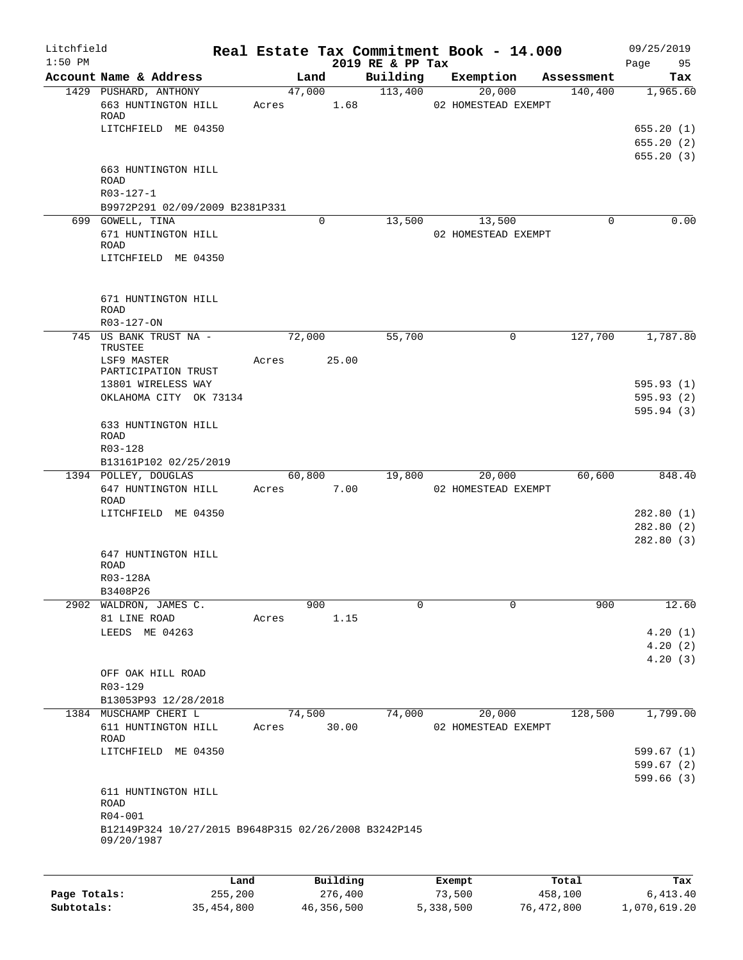| Litchfield<br>$1:50$ PM |                                                                    |       |                 | 2019 RE & PP Tax | Real Estate Tax Commitment Book - 14.000 |            | 09/25/2019<br>95<br>Page |
|-------------------------|--------------------------------------------------------------------|-------|-----------------|------------------|------------------------------------------|------------|--------------------------|
|                         | Account Name & Address                                             |       | Land            | Building         | Exemption                                | Assessment | Tax                      |
|                         | 1429 PUSHARD, ANTHONY<br>663 HUNTINGTON HILL                       | Acres | 47,000<br>1.68  | 113,400          | 20,000<br>02 HOMESTEAD EXEMPT            | 140,400    | 1,965.60                 |
|                         | ROAD<br>LITCHFIELD ME 04350                                        |       |                 |                  |                                          |            | 655.20(1)<br>655.20(2)   |
|                         | 663 HUNTINGTON HILL<br><b>ROAD</b>                                 |       |                 |                  |                                          |            | 655.20(3)                |
|                         | R03-127-1<br>B9972P291 02/09/2009 B2381P331                        |       |                 |                  |                                          |            |                          |
|                         | 699 GOWELL, TINA                                                   |       | 0               | 13,500           | 13,500                                   | 0          | 0.00                     |
|                         | 671 HUNTINGTON HILL<br>ROAD<br>LITCHFIELD ME 04350                 |       |                 |                  | 02 HOMESTEAD EXEMPT                      |            |                          |
|                         |                                                                    |       |                 |                  |                                          |            |                          |
|                         | 671 HUNTINGTON HILL<br><b>ROAD</b>                                 |       |                 |                  |                                          |            |                          |
|                         | R03-127-ON                                                         |       |                 |                  |                                          |            |                          |
|                         | 745 US BANK TRUST NA -<br>TRUSTEE<br>LSF9 MASTER                   | Acres | 72,000<br>25.00 | 55,700           | 0                                        | 127,700    | 1,787.80                 |
|                         | PARTICIPATION TRUST<br>13801 WIRELESS WAY                          |       |                 |                  |                                          |            | 595.93(1)                |
|                         | OKLAHOMA CITY OK 73134                                             |       |                 |                  |                                          |            | 595.93 (2)               |
|                         |                                                                    |       |                 |                  |                                          |            | 595.94(3)                |
|                         | 633 HUNTINGTON HILL<br>ROAD                                        |       |                 |                  |                                          |            |                          |
|                         | R03-128<br>B13161P102 02/25/2019                                   |       |                 |                  |                                          |            |                          |
|                         | 1394 POLLEY, DOUGLAS                                               |       | 60,800          | 19,800           | 20,000                                   | 60,600     | 848.40                   |
|                         | 647 HUNTINGTON HILL<br>ROAD                                        | Acres | 7.00            |                  | 02 HOMESTEAD EXEMPT                      |            |                          |
|                         | LITCHFIELD ME 04350                                                |       |                 |                  |                                          |            | 282.80(1)                |
|                         |                                                                    |       |                 |                  |                                          |            | 282.80(2)<br>282.80(3)   |
|                         | 647 HUNTINGTON HILL                                                |       |                 |                  |                                          |            |                          |
|                         | ROAD                                                               |       |                 |                  |                                          |            |                          |
|                         | R03-128A<br>B3408P26                                               |       |                 |                  |                                          |            |                          |
|                         | 2902 WALDRON, JAMES C.                                             |       | 900             | 0                | $\Omega$                                 | 900        | 12.60                    |
|                         | 81 LINE ROAD                                                       | Acres | 1.15            |                  |                                          |            |                          |
|                         | LEEDS ME 04263                                                     |       |                 |                  |                                          |            | 4.20(1)                  |
|                         |                                                                    |       |                 |                  |                                          |            | 4.20(2)                  |
|                         | OFF OAK HILL ROAD                                                  |       |                 |                  |                                          |            | 4.20(3)                  |
|                         | R03-129                                                            |       |                 |                  |                                          |            |                          |
|                         | B13053P93 12/28/2018                                               |       |                 |                  |                                          |            |                          |
|                         | 1384 MUSCHAMP CHERI L                                              |       | 74,500          | 74,000           | 20,000                                   | 128,500    | 1,799.00                 |
|                         | 611 HUNTINGTON HILL<br>ROAD                                        | Acres | 30.00           |                  | 02 HOMESTEAD EXEMPT                      |            |                          |
|                         | LITCHFIELD ME 04350                                                |       |                 |                  |                                          |            | 599.67 (1)               |
|                         |                                                                    |       |                 |                  |                                          |            | 599.67(2)                |
|                         |                                                                    |       |                 |                  |                                          |            | 599.66(3)                |
|                         | 611 HUNTINGTON HILL<br><b>ROAD</b><br>R04-001                      |       |                 |                  |                                          |            |                          |
|                         | B12149P324 10/27/2015 B9648P315 02/26/2008 B3242P145<br>09/20/1987 |       |                 |                  |                                          |            |                          |
|                         |                                                                    |       |                 |                  |                                          |            |                          |
|                         | Land                                                               |       | Building        |                  | Exempt                                   | Total      | Tax                      |

**Page Totals:** 255,200 276,400 73,500 458,100 6,413.40 **Subtotals:** 35,454,800 46,356,500 5,338,500 76,472,800 1,070,619.20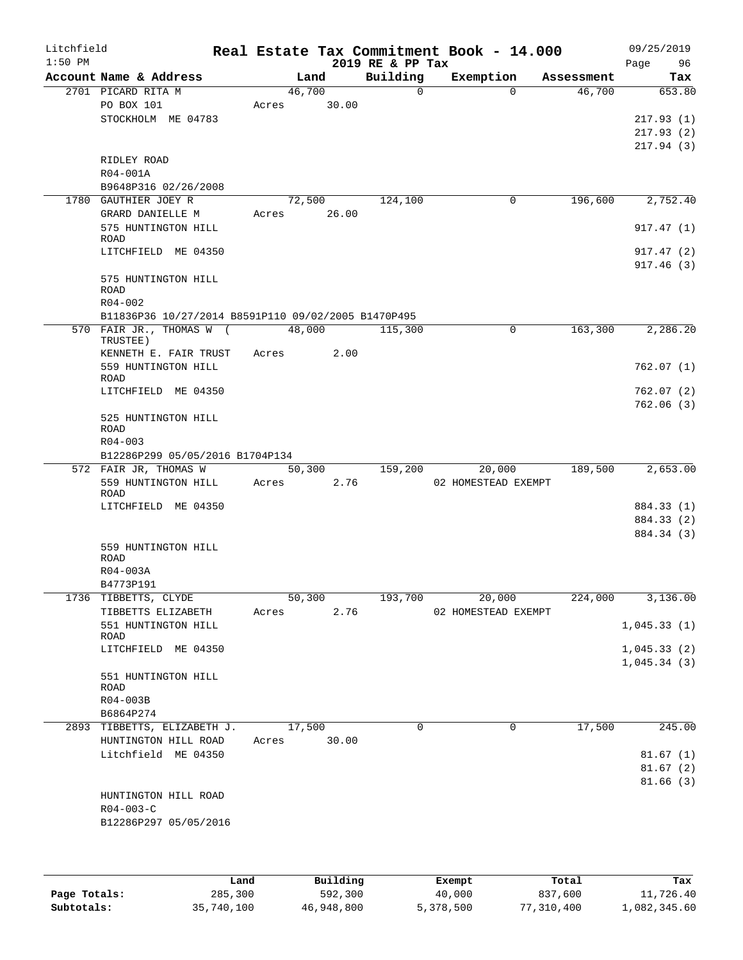| Litchfield   |                                                     |       |                |                          | Real Estate Tax Commitment Book - 14.000 |                      | 09/25/2019    |
|--------------|-----------------------------------------------------|-------|----------------|--------------------------|------------------------------------------|----------------------|---------------|
| $1:50$ PM    |                                                     |       |                | 2019 RE & PP Tax         |                                          |                      | Page<br>96    |
|              | Account Name & Address<br>2701 PICARD RITA M        |       | Land<br>46,700 | Building<br>$\mathsf{O}$ | Exemption<br>$\Omega$                    | Assessment<br>46,700 | Tax<br>653.80 |
|              | PO BOX 101                                          | Acres | 30.00          |                          |                                          |                      |               |
|              | STOCKHOLM ME 04783                                  |       |                |                          |                                          |                      | 217.93(1)     |
|              |                                                     |       |                |                          |                                          |                      |               |
|              |                                                     |       |                |                          |                                          |                      | 217.93(2)     |
|              |                                                     |       |                |                          |                                          |                      | 217.94(3)     |
|              | RIDLEY ROAD                                         |       |                |                          |                                          |                      |               |
|              | R04-001A                                            |       |                |                          |                                          |                      |               |
|              | B9648P316 02/26/2008                                |       |                |                          |                                          |                      |               |
|              | 1780 GAUTHIER JOEY R                                |       | 72,500         | 124,100                  | 0                                        | 196,600              | 2,752.40      |
|              | GRARD DANIELLE M                                    | Acres | 26.00          |                          |                                          |                      |               |
|              | 575 HUNTINGTON HILL                                 |       |                |                          |                                          |                      | 917.47(1)     |
|              | <b>ROAD</b>                                         |       |                |                          |                                          |                      |               |
|              | LITCHFIELD ME 04350                                 |       |                |                          |                                          |                      | 917.47(2)     |
|              |                                                     |       |                |                          |                                          |                      | 917.46(3)     |
|              | 575 HUNTINGTON HILL                                 |       |                |                          |                                          |                      |               |
|              | ROAD                                                |       |                |                          |                                          |                      |               |
|              | $R04 - 002$                                         |       |                |                          |                                          |                      |               |
|              | B11836P36 10/27/2014 B8591P110 09/02/2005 B1470P495 |       |                |                          |                                          |                      |               |
|              | 570 FAIR JR., THOMAS W (                            |       | 48,000         | 115,300                  | 0                                        | 163,300              | 2,286.20      |
|              | TRUSTEE)                                            |       |                |                          |                                          |                      |               |
|              | KENNETH E. FAIR TRUST                               |       | 2.00<br>Acres  |                          |                                          |                      |               |
|              | 559 HUNTINGTON HILL                                 |       |                |                          |                                          |                      | 762.07(1)     |
|              | ROAD                                                |       |                |                          |                                          |                      |               |
|              | LITCHFIELD ME 04350                                 |       |                |                          |                                          |                      | 762.07 (2)    |
|              |                                                     |       |                |                          |                                          |                      | 762.06(3)     |
|              | 525 HUNTINGTON HILL                                 |       |                |                          |                                          |                      |               |
|              | ROAD                                                |       |                |                          |                                          |                      |               |
|              | $R04 - 003$                                         |       |                |                          |                                          |                      |               |
|              | B12286P299 05/05/2016 B1704P134                     |       |                |                          |                                          |                      |               |
|              | 572 FAIR JR, THOMAS W                               |       | 50,300         | 159,200                  | 20,000                                   | 189,500              | 2,653.00      |
|              | 559 HUNTINGTON HILL                                 | Acres | 2.76           |                          | 02 HOMESTEAD EXEMPT                      |                      |               |
|              | ROAD                                                |       |                |                          |                                          |                      |               |
|              | LITCHFIELD ME 04350                                 |       |                |                          |                                          |                      | 884.33 (1)    |
|              |                                                     |       |                |                          |                                          |                      | 884.33 (2)    |
|              |                                                     |       |                |                          |                                          |                      | 884.34 (3)    |
|              | 559 HUNTINGTON HILL                                 |       |                |                          |                                          |                      |               |
|              | <b>ROAD</b>                                         |       |                |                          |                                          |                      |               |
|              | $R04 - 003A$                                        |       |                |                          |                                          |                      |               |
|              | B4773P191                                           |       |                |                          |                                          |                      |               |
|              | 1736 TIBBETTS, CLYDE                                |       | 50,300         | 193,700                  | 20,000                                   | 224,000              | 3,136.00      |
|              | TIBBETTS ELIZABETH                                  | Acres | 2.76           |                          | 02 HOMESTEAD EXEMPT                      |                      |               |
|              | 551 HUNTINGTON HILL                                 |       |                |                          |                                          |                      | 1,045.33(1)   |
|              | ROAD                                                |       |                |                          |                                          |                      |               |
|              | LITCHFIELD ME 04350                                 |       |                |                          |                                          |                      | 1,045.33(2)   |
|              |                                                     |       |                |                          |                                          |                      | 1,045.34(3)   |
|              | 551 HUNTINGTON HILL                                 |       |                |                          |                                          |                      |               |
|              | ROAD                                                |       |                |                          |                                          |                      |               |
|              | R04-003B                                            |       |                |                          |                                          |                      |               |
|              | B6864P274                                           |       |                |                          |                                          |                      |               |
|              | 2893 TIBBETTS, ELIZABETH J.                         |       | 17,500         | 0                        | $\mathbf 0$                              | 17,500               | 245.00        |
|              | HUNTINGTON HILL ROAD                                | Acres | 30.00          |                          |                                          |                      |               |
|              | Litchfield ME 04350                                 |       |                |                          |                                          |                      | 81.67(1)      |
|              |                                                     |       |                |                          |                                          |                      | 81.67(2)      |
|              |                                                     |       |                |                          |                                          |                      | 81.66(3)      |
|              | HUNTINGTON HILL ROAD                                |       |                |                          |                                          |                      |               |
|              | $R04 - 003 - C$                                     |       |                |                          |                                          |                      |               |
|              | B12286P297 05/05/2016                               |       |                |                          |                                          |                      |               |
|              |                                                     |       |                |                          |                                          |                      |               |
|              |                                                     |       |                |                          |                                          |                      |               |
|              |                                                     |       |                |                          |                                          |                      |               |
|              |                                                     |       |                |                          |                                          |                      |               |
|              | Land                                                |       | Building       |                          | Exempt                                   | Total                | Tax           |
| Page Totals: | 285,300                                             |       | 592,300        |                          | 40,000                                   | 837,600              | 11,726.40     |

**Subtotals:** 35,740,100 46,948,800 5,378,500 77,310,400 1,082,345.60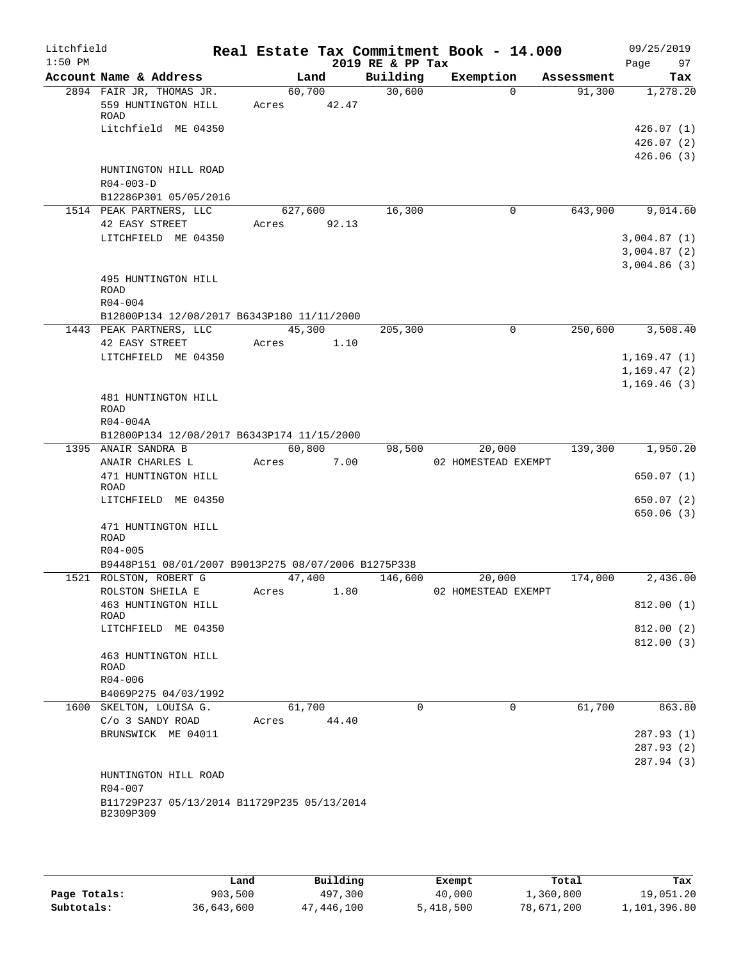| Litchfield<br>$1:50$ PM |                                                                  |                 |       | 2019 RE & PP Tax | Real Estate Tax Commitment Book - 14.000 |                       | 09/25/2019<br>Page<br>97                  |
|-------------------------|------------------------------------------------------------------|-----------------|-------|------------------|------------------------------------------|-----------------------|-------------------------------------------|
|                         | Account Name & Address                                           |                 | Land  | Building         | Exemption                                | Assessment            | Tax                                       |
|                         | 2894 FAIR JR, THOMAS JR.<br>559 HUNTINGTON HILL                  | 60,700<br>Acres | 42.47 | 30,600           |                                          | $\Omega$<br>91,300    | 1,278.20                                  |
|                         | ROAD<br>Litchfield ME 04350                                      |                 |       |                  |                                          |                       | 426.07(1)<br>426.07(2)<br>426.06(3)       |
|                         | HUNTINGTON HILL ROAD<br>$R04 - 003 - D$<br>B12286P301 05/05/2016 |                 |       |                  |                                          |                       |                                           |
|                         | 1514 PEAK PARTNERS, LLC                                          | 627,600         |       | 16,300           |                                          | 643,900<br>0          | 9,014.60                                  |
|                         | 42 EASY STREET<br>LITCHFIELD ME 04350                            | Acres           | 92.13 |                  |                                          |                       | 3,004.87(1)<br>3,004.87(2)<br>3,004.86(3) |
|                         | 495 HUNTINGTON HILL<br><b>ROAD</b><br>$R04 - 004$                |                 |       |                  |                                          |                       |                                           |
|                         | B12800P134 12/08/2017 B6343P180 11/11/2000                       |                 |       |                  |                                          |                       |                                           |
|                         | 1443 PEAK PARTNERS, LLC                                          | 45,300          |       | 205,300          |                                          | 250,600<br>0          | 3,508.40                                  |
|                         | 42 EASY STREET                                                   | Acres           | 1.10  |                  |                                          |                       |                                           |
|                         | LITCHFIELD ME 04350                                              |                 |       |                  |                                          |                       | 1, 169.47(1)<br>1, 169.47(2)              |
|                         |                                                                  |                 |       |                  |                                          |                       | 1, 169.46(3)                              |
|                         | 481 HUNTINGTON HILL<br><b>ROAD</b>                               |                 |       |                  |                                          |                       |                                           |
|                         | R04-004A                                                         |                 |       |                  |                                          |                       |                                           |
|                         | B12800P134 12/08/2017 B6343P174 11/15/2000                       |                 |       |                  |                                          |                       |                                           |
|                         | 1395 ANAIR SANDRA B                                              | 60,800          |       | 98,500           | 20,000                                   | 139,300               | 1,950.20                                  |
|                         | ANAIR CHARLES L<br>471 HUNTINGTON HILL                           | Acres           | 7.00  |                  | 02 HOMESTEAD EXEMPT                      |                       | 650.07(1)                                 |
|                         | <b>ROAD</b><br>LITCHFIELD ME 04350                               |                 |       |                  |                                          |                       | 650.07 (2)                                |
|                         | 471 HUNTINGTON HILL                                              |                 |       |                  |                                          |                       | 650.06(3)                                 |
|                         | <b>ROAD</b><br>R04-005                                           |                 |       |                  |                                          |                       |                                           |
|                         | B9448P151 08/01/2007 B9013P275 08/07/2006 B1275P338              |                 |       |                  |                                          |                       |                                           |
|                         | 1521 ROLSTON, ROBERT G                                           | 47,400          |       | 146,600          | 20,000                                   | 174,000               | 2,436.00                                  |
|                         | ROLSTON SHEILA E                                                 | Acres           | 1.80  |                  | 02 HOMESTEAD EXEMPT                      |                       |                                           |
|                         | 463 HUNTINGTON HILL<br>ROAD                                      |                 |       |                  |                                          |                       | 812.00(1)                                 |
|                         | LITCHFIELD ME 04350                                              |                 |       |                  |                                          |                       | 812.00 (2)<br>812.00(3)                   |
|                         | 463 HUNTINGTON HILL<br>ROAD                                      |                 |       |                  |                                          |                       |                                           |
|                         | R04-006                                                          |                 |       |                  |                                          |                       |                                           |
|                         | B4069P275 04/03/1992                                             |                 |       | $\Omega$         |                                          | $\mathbf 0$<br>61,700 | 863.80                                    |
|                         | 1600 SKELTON, LOUISA G.<br>C/o 3 SANDY ROAD                      | 61,700<br>Acres | 44.40 |                  |                                          |                       |                                           |
|                         | BRUNSWICK ME 04011                                               |                 |       |                  |                                          |                       | 287.93 (1)                                |
|                         |                                                                  |                 |       |                  |                                          |                       | 287.93 (2)                                |
|                         |                                                                  |                 |       |                  |                                          |                       | 287.94 (3)                                |
|                         | HUNTINGTON HILL ROAD<br>R04-007                                  |                 |       |                  |                                          |                       |                                           |
|                         | B11729P237 05/13/2014 B11729P235 05/13/2014<br>B2309P309         |                 |       |                  |                                          |                       |                                           |
|                         |                                                                  |                 |       |                  |                                          |                       |                                           |

|              | Land       | Building   | Exempt    | Total      | Tax          |
|--------------|------------|------------|-----------|------------|--------------|
| Page Totals: | 903,500    | 497,300    | 40,000    | ⊥,360,800  | 19,051.20    |
| Subtotals:   | 36,643,600 | 47,446,100 | 5,418,500 | 78,671,200 | 1,101,396.80 |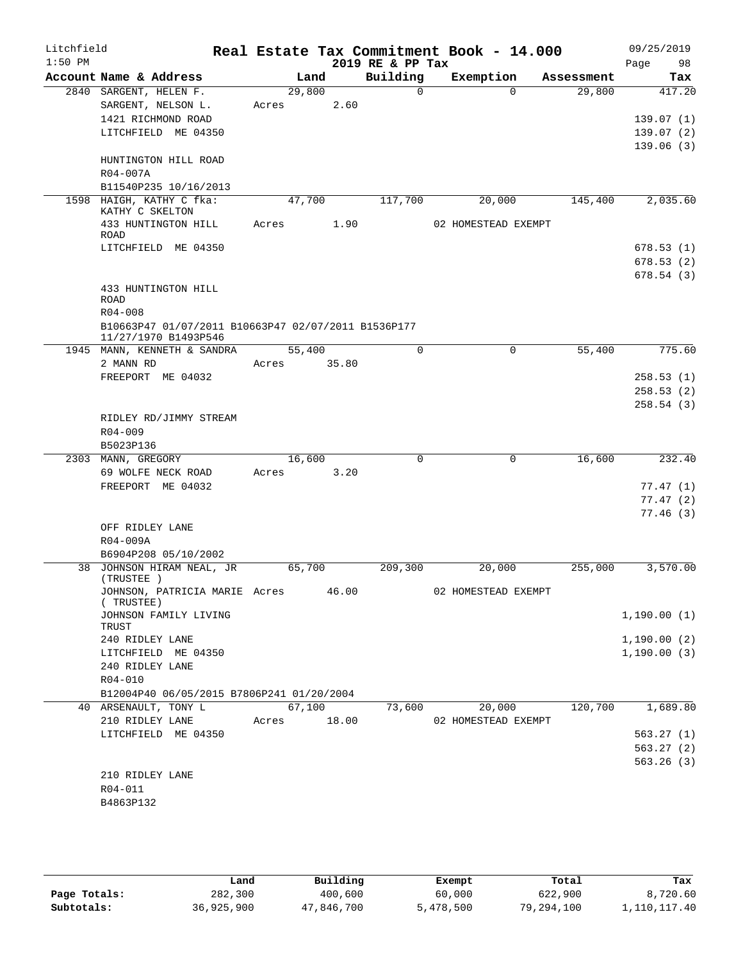| Litchfield |                                                     |        |      |       | Real Estate Tax Commitment Book - 14.000 |                     |             |            | 09/25/2019   |           |
|------------|-----------------------------------------------------|--------|------|-------|------------------------------------------|---------------------|-------------|------------|--------------|-----------|
| $1:50$ PM  | Account Name & Address                              |        | Land |       | 2019 RE & PP Tax<br>Building             | Exemption           |             | Assessment | Page         | 98<br>Tax |
|            | 2840 SARGENT, HELEN F.                              | 29,800 |      |       | $\Omega$                                 |                     | $\Omega$    | 29,800     |              | 417.20    |
|            | SARGENT, NELSON L.                                  | Acres  |      | 2.60  |                                          |                     |             |            |              |           |
|            | 1421 RICHMOND ROAD                                  |        |      |       |                                          |                     |             |            |              | 139.07(1) |
|            | LITCHFIELD ME 04350                                 |        |      |       |                                          |                     |             |            |              | 139.07(2) |
|            |                                                     |        |      |       |                                          |                     |             |            |              | 139.06(3) |
|            | HUNTINGTON HILL ROAD                                |        |      |       |                                          |                     |             |            |              |           |
|            | R04-007A                                            |        |      |       |                                          |                     |             |            |              |           |
|            | B11540P235 10/16/2013                               |        |      |       |                                          |                     |             |            |              |           |
|            | 1598 HAIGH, KATHY C fka:                            | 47,700 |      |       | 117,700                                  |                     | 20,000      | 145,400    |              | 2,035.60  |
|            | KATHY C SKELTON                                     |        |      |       |                                          |                     |             |            |              |           |
|            | 433 HUNTINGTON HILL                                 | Acres  |      | 1.90  |                                          | 02 HOMESTEAD EXEMPT |             |            |              |           |
|            | <b>ROAD</b><br>LITCHFIELD ME 04350                  |        |      |       |                                          |                     |             |            |              | 678.53(1) |
|            |                                                     |        |      |       |                                          |                     |             |            |              | 678.53(2) |
|            |                                                     |        |      |       |                                          |                     |             |            |              | 678.54(3) |
|            | 433 HUNTINGTON HILL                                 |        |      |       |                                          |                     |             |            |              |           |
|            | <b>ROAD</b>                                         |        |      |       |                                          |                     |             |            |              |           |
|            | $R04 - 008$                                         |        |      |       |                                          |                     |             |            |              |           |
|            | B10663P47 01/07/2011 B10663P47 02/07/2011 B1536P177 |        |      |       |                                          |                     |             |            |              |           |
|            | 11/27/1970 B1493P546                                |        |      |       |                                          |                     |             |            |              |           |
|            | 1945 MANN, KENNETH & SANDRA                         | 55,400 |      |       | $\mathbf 0$                              |                     | $\mathbf 0$ | 55,400     |              | 775.60    |
|            | 2 MANN RD                                           | Acres  |      | 35.80 |                                          |                     |             |            |              |           |
|            | FREEPORT ME 04032                                   |        |      |       |                                          |                     |             |            |              | 258.53(1) |
|            |                                                     |        |      |       |                                          |                     |             |            |              | 258.53(2) |
|            | RIDLEY RD/JIMMY STREAM                              |        |      |       |                                          |                     |             |            |              | 258.54(3) |
|            | $R04 - 009$                                         |        |      |       |                                          |                     |             |            |              |           |
|            | B5023P136                                           |        |      |       |                                          |                     |             |            |              |           |
|            | 2303 MANN, GREGORY                                  | 16,600 |      |       | $\mathbf 0$                              |                     | $\mathbf 0$ | 16,600     |              | 232.40    |
|            | 69 WOLFE NECK ROAD                                  | Acres  |      | 3.20  |                                          |                     |             |            |              |           |
|            | FREEPORT ME 04032                                   |        |      |       |                                          |                     |             |            |              | 77.47(1)  |
|            |                                                     |        |      |       |                                          |                     |             |            |              | 77.47(2)  |
|            |                                                     |        |      |       |                                          |                     |             |            |              | 77.46(3)  |
|            | OFF RIDLEY LANE                                     |        |      |       |                                          |                     |             |            |              |           |
|            | R04-009A                                            |        |      |       |                                          |                     |             |            |              |           |
|            | B6904P208 05/10/2002                                |        |      |       |                                          |                     |             |            |              |           |
|            | 38 JOHNSON HIRAM NEAL, JR                           | 65,700 |      |       | 209,300                                  |                     | 20,000      | 255,000    |              | 3,570.00  |
|            | (TRUSTEE )                                          |        |      |       |                                          |                     |             |            |              |           |
|            | JOHNSON, PATRICIA MARIE Acres<br>(TRUSTEE)          |        |      | 46.00 |                                          | 02 HOMESTEAD EXEMPT |             |            |              |           |
|            | JOHNSON FAMILY LIVING                               |        |      |       |                                          |                     |             |            | 1,190.00(1)  |           |
|            | TRUST                                               |        |      |       |                                          |                     |             |            |              |           |
|            | 240 RIDLEY LANE                                     |        |      |       |                                          |                     |             |            | 1,190.00(2)  |           |
|            | LITCHFIELD ME 04350                                 |        |      |       |                                          |                     |             |            | 1, 190.00(3) |           |
|            | 240 RIDLEY LANE                                     |        |      |       |                                          |                     |             |            |              |           |
|            | R04-010                                             |        |      |       |                                          |                     |             |            |              |           |
|            | B12004P40 06/05/2015 B7806P241 01/20/2004           |        |      |       |                                          |                     |             |            |              |           |
|            | 40 ARSENAULT, TONY L                                | 67,100 |      |       | 73,600                                   |                     | 20,000      | 120,700    |              | 1,689.80  |
|            | 210 RIDLEY LANE                                     | Acres  |      | 18.00 |                                          | 02 HOMESTEAD EXEMPT |             |            |              |           |
|            | LITCHFIELD ME 04350                                 |        |      |       |                                          |                     |             |            |              | 563.27(1) |
|            |                                                     |        |      |       |                                          |                     |             |            |              | 563.27(2) |
|            | 210 RIDLEY LANE                                     |        |      |       |                                          |                     |             |            |              | 563.26(3) |
|            | R04-011                                             |        |      |       |                                          |                     |             |            |              |           |
|            | B4863P132                                           |        |      |       |                                          |                     |             |            |              |           |
|            |                                                     |        |      |       |                                          |                     |             |            |              |           |

|              | Land       | Building   | Exempt    | Total      | Tax          |
|--------------|------------|------------|-----------|------------|--------------|
| Page Totals: | 282,300    | 400,600    | 60,000    | 622,900    | 8,720.60     |
| Subtotals:   | 36,925,900 | 47,846,700 | 5,478,500 | 79,294,100 | 1,110,117.40 |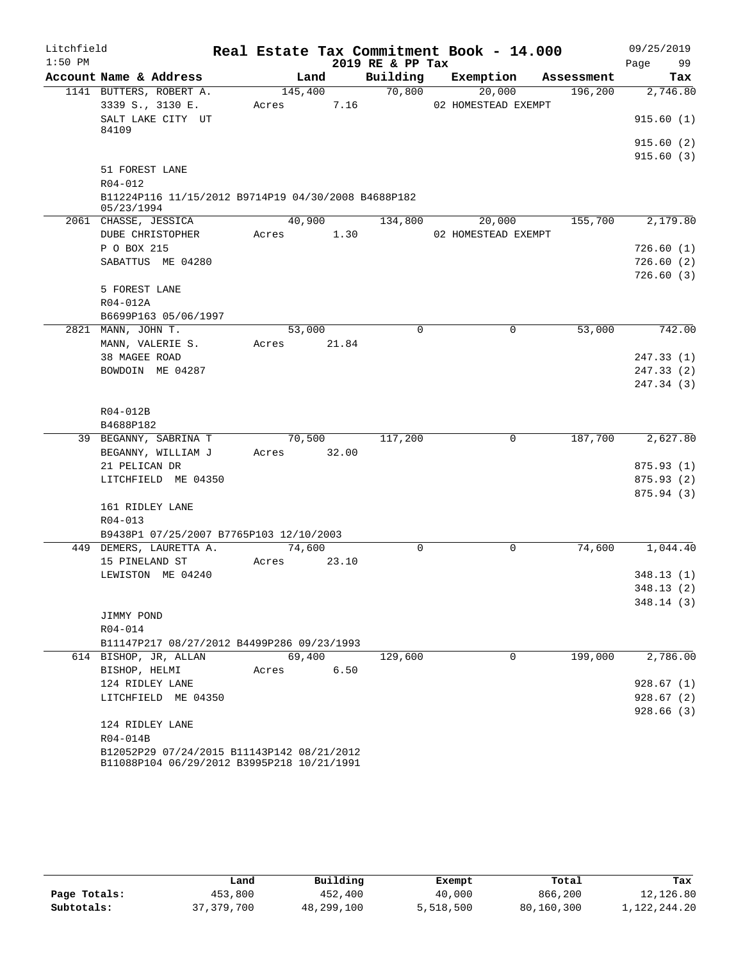| Litchfield |                                                                                          |             |       |                  | Real Estate Tax Commitment Book - 14.000 |            | 09/25/2019 |
|------------|------------------------------------------------------------------------------------------|-------------|-------|------------------|------------------------------------------|------------|------------|
| $1:50$ PM  |                                                                                          |             |       | 2019 RE & PP Tax |                                          |            | 99<br>Page |
|            | Account Name & Address                                                                   | Land        |       | Building         | Exemption                                | Assessment | Tax        |
|            | 1141 BUTTERS, ROBERT A.                                                                  | 145,400     |       | 70,800           | 20,000                                   | 196,200    | 2,746.80   |
|            | 3339 S., 3130 E.                                                                         | Acres       | 7.16  |                  | 02 HOMESTEAD EXEMPT                      |            |            |
|            | SALT LAKE CITY UT<br>84109                                                               |             |       |                  |                                          |            | 915.60(1)  |
|            |                                                                                          |             |       |                  |                                          |            | 915.60(2)  |
|            |                                                                                          |             |       |                  |                                          |            | 915.60(3)  |
|            | 51 FOREST LANE<br>R04-012                                                                |             |       |                  |                                          |            |            |
|            | B11224P116 11/15/2012 B9714P19 04/30/2008 B4688P182<br>05/23/1994                        |             |       |                  |                                          |            |            |
|            | 2061 CHASSE, JESSICA                                                                     | 40,900      |       | 134,800          | 20,000                                   | 155,700    | 2,179.80   |
|            | DUBE CHRISTOPHER                                                                         | Acres 1.30  |       |                  | 02 HOMESTEAD EXEMPT                      |            |            |
|            | P O BOX 215                                                                              |             |       |                  |                                          |            | 726.60(1)  |
|            | SABATTUS ME 04280                                                                        |             |       |                  |                                          |            | 726.60(2)  |
|            |                                                                                          |             |       |                  |                                          |            | 726.60(3)  |
|            | 5 FOREST LANE                                                                            |             |       |                  |                                          |            |            |
|            | R04-012A                                                                                 |             |       |                  |                                          |            |            |
|            | B6699P163 05/06/1997                                                                     |             |       |                  |                                          |            |            |
|            | 2821 MANN, JOHN T.                                                                       | 53,000      |       | $\Omega$         | 0                                        | 53,000     | 742.00     |
|            | MANN, VALERIE S.                                                                         | Acres 21.84 |       |                  |                                          |            |            |
|            | 38 MAGEE ROAD                                                                            |             |       |                  |                                          |            | 247.33(1)  |
|            | BOWDOIN ME 04287                                                                         |             |       |                  |                                          |            | 247.33(2)  |
|            |                                                                                          |             |       |                  |                                          |            | 247.34 (3) |
|            | R04-012B                                                                                 |             |       |                  |                                          |            |            |
|            | B4688P182                                                                                |             |       |                  |                                          |            |            |
|            | 39 BEGANNY, SABRINA T                                                                    | 70,500      |       | 117,200          | 0                                        | 187,700    | 2,627.80   |
|            | BEGANNY, WILLIAM J                                                                       | Acres 32.00 |       |                  |                                          |            |            |
|            | 21 PELICAN DR                                                                            |             |       |                  |                                          |            | 875.93 (1) |
|            | LITCHFIELD ME 04350                                                                      |             |       |                  |                                          |            | 875.93(2)  |
|            |                                                                                          |             |       |                  |                                          |            | 875.94 (3) |
|            | 161 RIDLEY LANE                                                                          |             |       |                  |                                          |            |            |
|            | $R04 - 013$                                                                              |             |       |                  |                                          |            |            |
|            | B9438P1 07/25/2007 B7765P103 12/10/2003                                                  |             |       |                  |                                          |            |            |
|            | 449 DEMERS, LAURETTA A.                                                                  | 74,600      |       | $\Omega$         | 0                                        | 74,600     | 1,044.40   |
|            | 15 PINELAND ST                                                                           | Acres       | 23.10 |                  |                                          |            |            |
|            | LEWISTON ME 04240                                                                        |             |       |                  |                                          |            | 348.13(1)  |
|            |                                                                                          |             |       |                  |                                          |            | 348.13 (2) |
|            |                                                                                          |             |       |                  |                                          |            | 348.14(3)  |
|            | JIMMY POND                                                                               |             |       |                  |                                          |            |            |
|            | R04-014                                                                                  |             |       |                  |                                          |            |            |
|            | B11147P217 08/27/2012 B4499P286 09/23/1993                                               |             |       |                  |                                          |            |            |
|            | 614 BISHOP, JR, ALLAN                                                                    | 69,400      |       | 129,600          | 0                                        | 199,000    | 2,786.00   |
|            | BISHOP, HELMI                                                                            | Acres       | 6.50  |                  |                                          |            |            |
|            | 124 RIDLEY LANE                                                                          |             |       |                  |                                          |            | 928.67(1)  |
|            | LITCHFIELD ME 04350                                                                      |             |       |                  |                                          |            | 928.67(2)  |
|            |                                                                                          |             |       |                  |                                          |            | 928.66(3)  |
|            | 124 RIDLEY LANE                                                                          |             |       |                  |                                          |            |            |
|            | R04-014B                                                                                 |             |       |                  |                                          |            |            |
|            | B12052P29 07/24/2015 B11143P142 08/21/2012<br>B11088P104 06/29/2012 B3995P218 10/21/1991 |             |       |                  |                                          |            |            |

|              | Land         | Building   | Exempt    | Total      | Tax          |
|--------------|--------------|------------|-----------|------------|--------------|
| Page Totals: | 453,800      | 452,400    | 40,000    | 866,200    | 12,126.80    |
| Subtotals:   | 37, 379, 700 | 48,299,100 | 5,518,500 | 80,160,300 | 1,122,244.20 |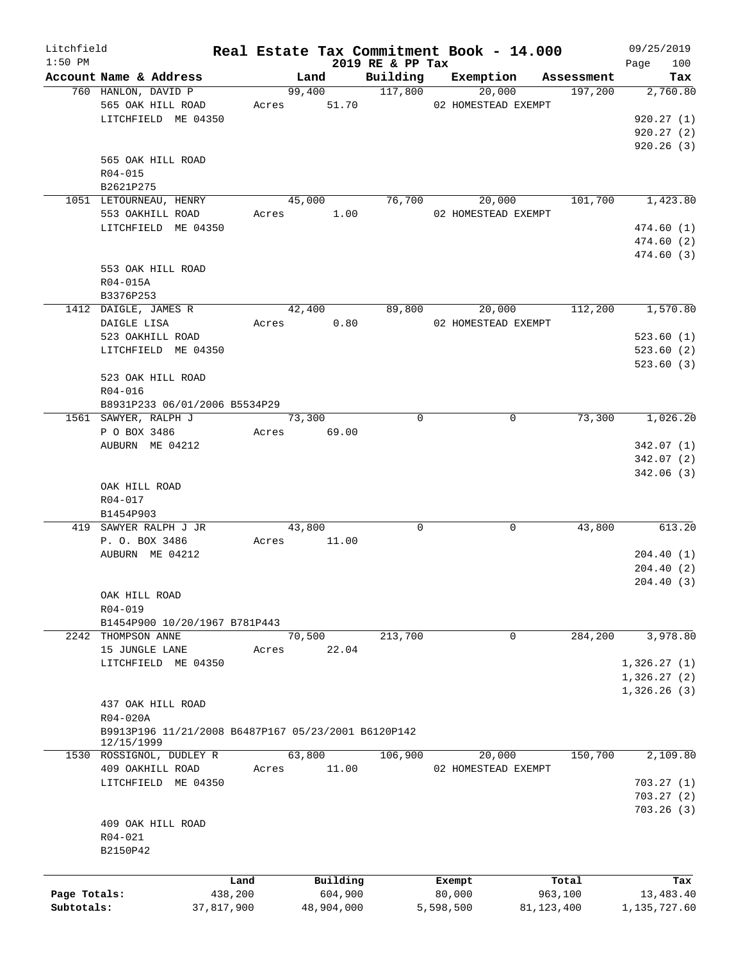| Litchfield   |                                                     |            |                |                              | Real Estate Tax Commitment Book - 14.000 |              | 09/25/2019         |
|--------------|-----------------------------------------------------|------------|----------------|------------------------------|------------------------------------------|--------------|--------------------|
| $1:50$ PM    | Account Name & Address                              |            | Land           | 2019 RE & PP Tax<br>Building | Exemption                                | Assessment   | 100<br>Page<br>Tax |
|              | 760 HANLON, DAVID P                                 |            | 99,400 117,800 |                              | 20,000                                   | 197,200      | 2,760.80           |
|              | 565 OAK HILL ROAD                                   |            | Acres 51.70    |                              | 02 HOMESTEAD EXEMPT                      |              |                    |
|              | LITCHFIELD ME 04350                                 |            |                |                              |                                          |              | 920.27(1)          |
|              |                                                     |            |                |                              |                                          |              | 920.27(2)          |
|              |                                                     |            |                |                              |                                          |              | 920.26(3)          |
|              | 565 OAK HILL ROAD                                   |            |                |                              |                                          |              |                    |
|              | R04-015                                             |            |                |                              |                                          |              |                    |
|              | B2621P275                                           |            |                |                              |                                          |              |                    |
|              | 1051 LETOURNEAU, HENRY                              |            | 45,000         |                              | 76,700<br>20,000                         | 101,700      | 1,423.80           |
|              | 553 OAKHILL ROAD                                    |            | Acres 1.00     |                              | 02 HOMESTEAD EXEMPT                      |              |                    |
|              | LITCHFIELD ME 04350                                 |            |                |                              |                                          |              | 474.60(1)          |
|              |                                                     |            |                |                              |                                          |              | 474.60(2)          |
|              |                                                     |            |                |                              |                                          |              | 474.60 (3)         |
|              | 553 OAK HILL ROAD                                   |            |                |                              |                                          |              |                    |
|              | R04-015A                                            |            |                |                              |                                          |              |                    |
|              | B3376P253                                           |            |                |                              |                                          |              |                    |
|              | 1412 DAIGLE, JAMES R                                |            | 42,400         | 89,800                       | 20,000                                   | 112,200      | 1,570.80           |
|              | DAIGLE LISA                                         |            | Acres 0.80     |                              | 02 HOMESTEAD EXEMPT                      |              |                    |
|              | 523 OAKHILL ROAD                                    |            |                |                              |                                          |              | 523.60(1)          |
|              | LITCHFIELD ME 04350                                 |            |                |                              |                                          |              | 523.60(2)          |
|              |                                                     |            |                |                              |                                          |              | 523.60(3)          |
|              | 523 OAK HILL ROAD                                   |            |                |                              |                                          |              |                    |
|              | R04-016                                             |            |                |                              |                                          |              |                    |
|              | B8931P233 06/01/2006 B5534P29                       |            |                |                              |                                          |              |                    |
|              | 1561 SAWYER, RALPH J                                |            | 73,300         | $\mathbf 0$                  | $\mathbf 0$                              | 73,300       | 1,026.20           |
|              | P O BOX 3486                                        |            | Acres 69.00    |                              |                                          |              |                    |
|              | AUBURN ME 04212                                     |            |                |                              |                                          |              | 342.07(1)          |
|              |                                                     |            |                |                              |                                          |              | 342.07(2)          |
|              |                                                     |            |                |                              |                                          |              | 342.06(3)          |
|              | OAK HILL ROAD                                       |            |                |                              |                                          |              |                    |
|              | R04-017                                             |            |                |                              |                                          |              |                    |
|              | B1454P903                                           |            |                |                              |                                          |              |                    |
|              | 419 SAWYER RALPH J JR                               |            | 43,800         | 0                            | 0                                        | 43,800       | 613.20             |
|              | P. O. BOX 3486                                      |            | Acres 11.00    |                              |                                          |              |                    |
|              | AUBURN ME 04212                                     |            |                |                              |                                          |              | 204.40(1)          |
|              |                                                     |            |                |                              |                                          |              | 204.40(2)          |
|              |                                                     |            |                |                              |                                          |              | 204.40(3)          |
|              | OAK HILL ROAD                                       |            |                |                              |                                          |              |                    |
|              | R04-019                                             |            |                |                              |                                          |              |                    |
|              | B1454P900 10/20/1967 B781P443                       |            |                |                              |                                          |              |                    |
|              | 2242 THOMPSON ANNE                                  |            | 70,500         | 213,700                      | $\mathbf 0$                              | 284,200      | 3,978.80           |
|              | 15 JUNGLE LANE                                      | Acres      | 22.04          |                              |                                          |              |                    |
|              | LITCHFIELD ME 04350                                 |            |                |                              |                                          |              | 1,326.27(1)        |
|              |                                                     |            |                |                              |                                          |              | 1,326.27(2)        |
|              |                                                     |            |                |                              |                                          |              | 1,326.26(3)        |
|              | 437 OAK HILL ROAD                                   |            |                |                              |                                          |              |                    |
|              | $R04 - 020A$                                        |            |                |                              |                                          |              |                    |
|              | B9913P196 11/21/2008 B6487P167 05/23/2001 B6120P142 |            |                |                              |                                          |              |                    |
|              | 12/15/1999                                          |            |                |                              |                                          |              |                    |
|              | 1530 ROSSIGNOL, DUDLEY R                            |            | 63,800         | 106,900                      | 20,000                                   | 150,700      | 2,109.80           |
|              | 409 OAKHILL ROAD                                    | Acres      | 11.00          |                              | 02 HOMESTEAD EXEMPT                      |              |                    |
|              | LITCHFIELD ME 04350                                 |            |                |                              |                                          |              | 703.27(1)          |
|              |                                                     |            |                |                              |                                          |              | 703.27(2)          |
|              |                                                     |            |                |                              |                                          |              | 703.26(3)          |
|              | 409 OAK HILL ROAD                                   |            |                |                              |                                          |              |                    |
|              | R04-021                                             |            |                |                              |                                          |              |                    |
|              | B2150P42                                            |            |                |                              |                                          |              |                    |
|              |                                                     |            |                |                              |                                          |              |                    |
|              |                                                     | Land       | Building       |                              | Exempt                                   | Total        | Tax                |
| Page Totals: |                                                     | 438,200    | 604,900        |                              | 80,000                                   | 963,100      | 13,483.40          |
| Subtotals:   |                                                     | 37,817,900 | 48,904,000     |                              | 5,598,500                                | 81, 123, 400 | 1,135,727.60       |
|              |                                                     |            |                |                              |                                          |              |                    |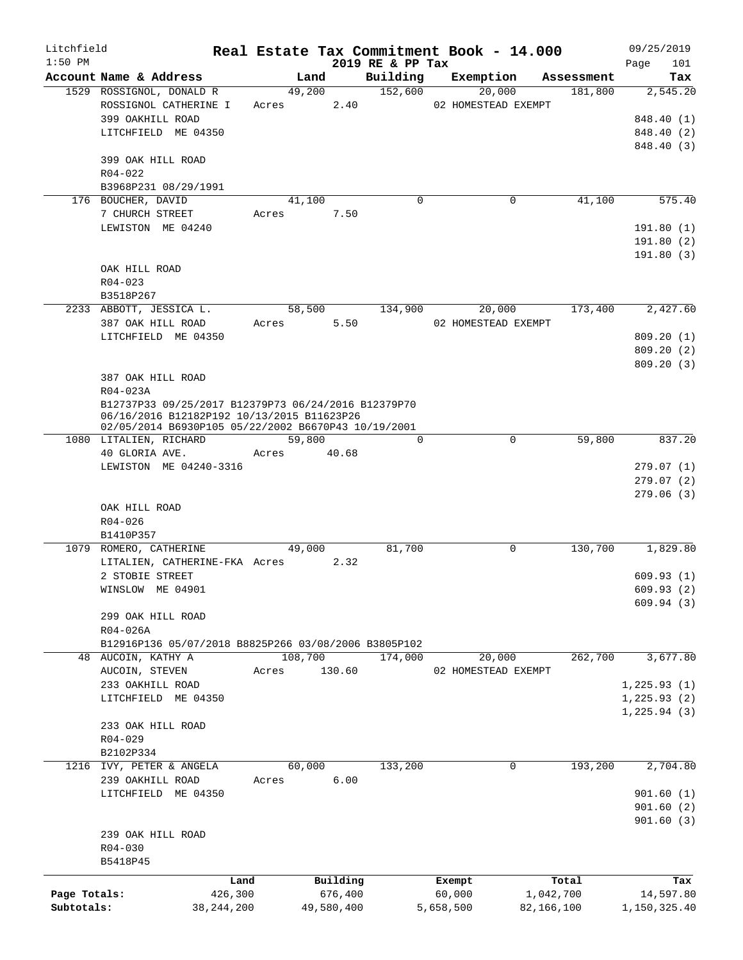| Litchfield   |                                                                               |             |         |            |                              | Real Estate Tax Commitment Book - 14.000 |             |                       | 09/25/2019      |
|--------------|-------------------------------------------------------------------------------|-------------|---------|------------|------------------------------|------------------------------------------|-------------|-----------------------|-----------------|
| $1:50$ PM    | Account Name & Address                                                        |             | Land    |            | 2019 RE & PP Tax<br>Building |                                          |             |                       | 101<br>Page     |
|              | 1529 ROSSIGNOL, DONALD R                                                      |             | 49,200  |            | 152,600                      | Exemption<br>20,000                      |             | Assessment<br>181,800 | Tax<br>2,545.20 |
|              | ROSSIGNOL CATHERINE I                                                         | Acres       |         | 2.40       |                              | 02 HOMESTEAD EXEMPT                      |             |                       |                 |
|              | 399 OAKHILL ROAD                                                              |             |         |            |                              |                                          |             |                       | 848.40 (1)      |
|              | LITCHFIELD ME 04350                                                           |             |         |            |                              |                                          |             |                       | 848.40 (2)      |
|              |                                                                               |             |         |            |                              |                                          |             |                       | 848.40 (3)      |
|              | 399 OAK HILL ROAD                                                             |             |         |            |                              |                                          |             |                       |                 |
|              | $R04 - 022$                                                                   |             |         |            |                              |                                          |             |                       |                 |
|              | B3968P231 08/29/1991                                                          |             |         |            |                              |                                          |             |                       |                 |
|              | 176 BOUCHER, DAVID                                                            |             | 41,100  |            | $\Omega$                     |                                          | $\mathbf 0$ | 41,100                | 575.40          |
|              | 7 CHURCH STREET                                                               | Acres       |         | 7.50       |                              |                                          |             |                       |                 |
|              | LEWISTON ME 04240                                                             |             |         |            |                              |                                          |             |                       | 191.80(1)       |
|              |                                                                               |             |         |            |                              |                                          |             |                       | 191.80 (2)      |
|              |                                                                               |             |         |            |                              |                                          |             |                       | 191.80(3)       |
|              | OAK HILL ROAD                                                                 |             |         |            |                              |                                          |             |                       |                 |
|              | $R04 - 023$                                                                   |             |         |            |                              |                                          |             |                       |                 |
|              | B3518P267                                                                     |             |         |            |                              |                                          |             |                       |                 |
|              | 2233 ABBOTT, JESSICA L.                                                       |             | 58,500  |            | 134,900                      | 20,000                                   |             | 173,400               | 2,427.60        |
|              | 387 OAK HILL ROAD                                                             | Acres       |         | 5.50       |                              | 02 HOMESTEAD EXEMPT                      |             |                       |                 |
|              | LITCHFIELD ME 04350                                                           |             |         |            |                              |                                          |             |                       | 809.20(1)       |
|              |                                                                               |             |         |            |                              |                                          |             |                       | 809.20(2)       |
|              |                                                                               |             |         |            |                              |                                          |             |                       | 809.20(3)       |
|              | 387 OAK HILL ROAD                                                             |             |         |            |                              |                                          |             |                       |                 |
|              | R04-023A                                                                      |             |         |            |                              |                                          |             |                       |                 |
|              | B12737P33 09/25/2017 B12379P73 06/24/2016 B12379P70                           |             |         |            |                              |                                          |             |                       |                 |
|              | 06/16/2016 B12182P192 10/13/2015 B11623P26                                    |             |         |            |                              |                                          |             |                       |                 |
|              | 02/05/2014 B6930P105 05/22/2002 B6670P43 10/19/2001<br>1080 LITALIEN, RICHARD |             | 59,800  |            | $\Omega$                     |                                          | $\Omega$    | 59,800                | 837.20          |
|              | 40 GLORIA AVE.                                                                | Acres 40.68 |         |            |                              |                                          |             |                       |                 |
|              | LEWISTON ME 04240-3316                                                        |             |         |            |                              |                                          |             |                       | 279.07(1)       |
|              |                                                                               |             |         |            |                              |                                          |             |                       | 279.07(2)       |
|              |                                                                               |             |         |            |                              |                                          |             |                       | 279.06(3)       |
|              | OAK HILL ROAD                                                                 |             |         |            |                              |                                          |             |                       |                 |
|              | $R04 - 026$                                                                   |             |         |            |                              |                                          |             |                       |                 |
|              | B1410P357                                                                     |             |         |            |                              |                                          |             |                       |                 |
|              | 1079 ROMERO, CATHERINE                                                        |             | 49,000  |            | 81,700                       |                                          | $\mathbf 0$ | 130,700               | 1,829.80        |
|              | LITALIEN, CATHERINE-FKA Acres                                                 |             |         | 2.32       |                              |                                          |             |                       |                 |
|              | 2 STOBIE STREET                                                               |             |         |            |                              |                                          |             |                       | 609.93(1)       |
|              | WINSLOW ME 04901                                                              |             |         |            |                              |                                          |             |                       | 609.93 (2)      |
|              |                                                                               |             |         |            |                              |                                          |             |                       | 609.94(3)       |
|              | 299 OAK HILL ROAD                                                             |             |         |            |                              |                                          |             |                       |                 |
|              | R04-026A                                                                      |             |         |            |                              |                                          |             |                       |                 |
|              | B12916P136 05/07/2018 B8825P266 03/08/2006 B3805P102                          |             |         |            |                              |                                          |             |                       |                 |
|              | 48 AUCOIN, KATHY A                                                            |             | 108,700 |            | 174,000                      | 20,000                                   |             | 262,700               | 3,677.80        |
|              | AUCOIN, STEVEN                                                                | Acres       |         | 130.60     |                              | 02 HOMESTEAD EXEMPT                      |             |                       |                 |
|              | 233 OAKHILL ROAD                                                              |             |         |            |                              |                                          |             |                       | 1, 225.93(1)    |
|              | LITCHFIELD ME 04350                                                           |             |         |            |                              |                                          |             |                       | 1,225.93(2)     |
|              |                                                                               |             |         |            |                              |                                          |             |                       | 1, 225.94(3)    |
|              | 233 OAK HILL ROAD                                                             |             |         |            |                              |                                          |             |                       |                 |
|              | $R04 - 029$                                                                   |             |         |            |                              |                                          |             |                       |                 |
|              | B2102P334                                                                     |             |         |            |                              |                                          |             |                       |                 |
|              | 1216 IVY, PETER & ANGELA                                                      |             | 60,000  |            | 133,200                      |                                          | 0           | 193,200               | 2,704.80        |
|              | 239 OAKHILL ROAD                                                              | Acres       |         | 6.00       |                              |                                          |             |                       |                 |
|              | LITCHFIELD ME 04350                                                           |             |         |            |                              |                                          |             |                       | 901.60(1)       |
|              |                                                                               |             |         |            |                              |                                          |             |                       | 901.60(2)       |
|              |                                                                               |             |         |            |                              |                                          |             |                       | 901.60(3)       |
|              | 239 OAK HILL ROAD                                                             |             |         |            |                              |                                          |             |                       |                 |
|              | $R04 - 030$                                                                   |             |         |            |                              |                                          |             |                       |                 |
|              | B5418P45                                                                      |             |         |            |                              |                                          |             |                       |                 |
|              | Land                                                                          |             |         | Building   |                              | Exempt                                   |             | Total                 | Tax             |
| Page Totals: | 426,300                                                                       |             |         | 676,400    |                              | 60,000                                   |             | 1,042,700             | 14,597.80       |
| Subtotals:   | 38, 244, 200                                                                  |             |         | 49,580,400 |                              | 5,658,500                                | 82,166,100  |                       | 1,150,325.40    |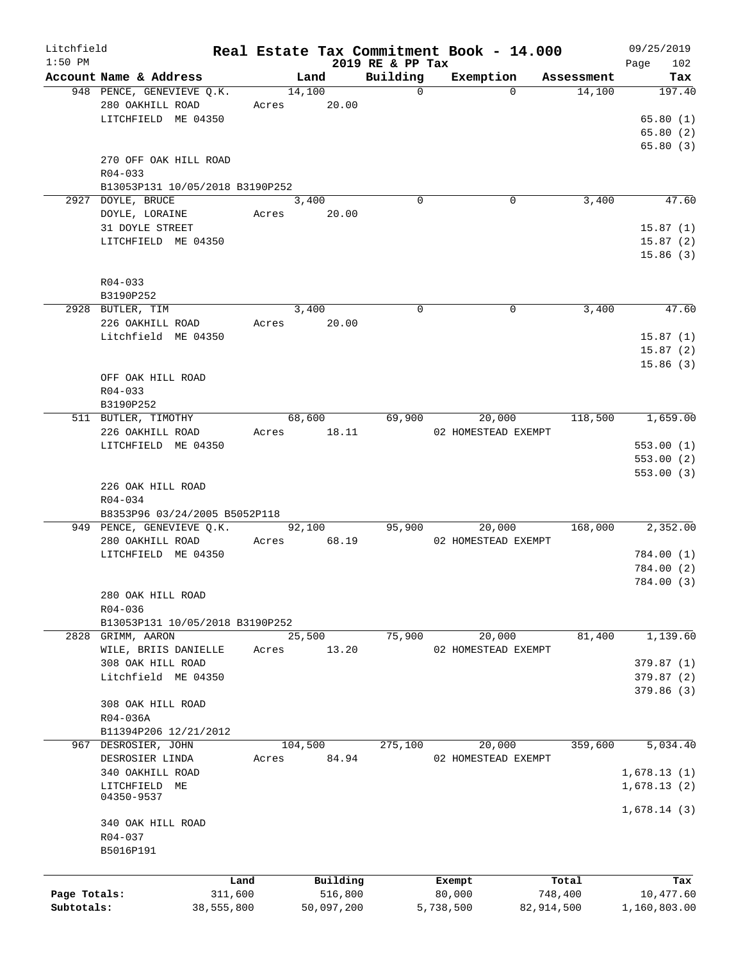| Litchfield   |                                 |       |             |                  | Real Estate Tax Commitment Book - 14.000 |            | 09/25/2019   |
|--------------|---------------------------------|-------|-------------|------------------|------------------------------------------|------------|--------------|
| $1:50$ PM    |                                 |       |             | 2019 RE & PP Tax |                                          |            | 102<br>Page  |
|              | Account Name & Address          |       | Land        | Building         | Exemption                                | Assessment | Tax          |
|              | 948 PENCE, GENEVIEVE Q.K.       |       | 14,100      | $\mathbf 0$      | $\Omega$                                 | 14,100     | 197.40       |
|              | 280 OAKHILL ROAD                | Acres | 20.00       |                  |                                          |            |              |
|              | LITCHFIELD ME 04350             |       |             |                  |                                          |            | 65.80(1)     |
|              |                                 |       |             |                  |                                          |            | 65.80(2)     |
|              |                                 |       |             |                  |                                          |            | 65.80(3)     |
|              | 270 OFF OAK HILL ROAD           |       |             |                  |                                          |            |              |
|              | $R04 - 033$                     |       |             |                  |                                          |            |              |
|              | B13053P131 10/05/2018 B3190P252 |       |             |                  |                                          |            |              |
|              | 2927 DOYLE, BRUCE               |       | 3,400       | $\Omega$         | 0                                        | 3,400      | 47.60        |
|              | DOYLE, LORAINE                  |       | Acres 20.00 |                  |                                          |            |              |
|              | 31 DOYLE STREET                 |       |             |                  |                                          |            | 15.87(1)     |
|              | LITCHFIELD ME 04350             |       |             |                  |                                          |            | 15.87(2)     |
|              |                                 |       |             |                  |                                          |            | 15.86(3)     |
|              |                                 |       |             |                  |                                          |            |              |
|              | R04-033                         |       |             |                  |                                          |            |              |
|              | B3190P252                       |       |             |                  |                                          |            |              |
|              | 2928 BUTLER, TIM                |       | 3,400       | $\mathbf 0$      | 0                                        | 3,400      | 47.60        |
|              |                                 |       |             |                  |                                          |            |              |
|              | 226 OAKHILL ROAD                |       | Acres 20.00 |                  |                                          |            |              |
|              | Litchfield ME 04350             |       |             |                  |                                          |            | 15.87(1)     |
|              |                                 |       |             |                  |                                          |            | 15.87(2)     |
|              |                                 |       |             |                  |                                          |            | 15.86(3)     |
|              | OFF OAK HILL ROAD               |       |             |                  |                                          |            |              |
|              | $R04 - 033$                     |       |             |                  |                                          |            |              |
|              | B3190P252                       |       |             |                  |                                          |            |              |
|              | 511 BUTLER, TIMOTHY             |       | 68,600      | 69,900           | 20,000                                   | 118,500    | 1,659.00     |
|              | 226 OAKHILL ROAD                |       | Acres 18.11 |                  | 02 HOMESTEAD EXEMPT                      |            |              |
|              | LITCHFIELD ME 04350             |       |             |                  |                                          |            | 553.00(1)    |
|              |                                 |       |             |                  |                                          |            | 553.00(2)    |
|              |                                 |       |             |                  |                                          |            | 553.00(3)    |
|              | 226 OAK HILL ROAD               |       |             |                  |                                          |            |              |
|              | R04-034                         |       |             |                  |                                          |            |              |
|              | B8353P96 03/24/2005 B5052P118   |       |             |                  |                                          |            |              |
|              | 949 PENCE, GENEVIEVE Q.K.       |       | 92,100      | 95,900           | 20,000                                   | 168,000    | 2,352.00     |
|              | 280 OAKHILL ROAD                |       | Acres 68.19 |                  | 02 HOMESTEAD EXEMPT                      |            |              |
|              | LITCHFIELD ME 04350             |       |             |                  |                                          |            | 784.00 (1)   |
|              |                                 |       |             |                  |                                          |            |              |
|              |                                 |       |             |                  |                                          |            | 784.00 (2)   |
|              |                                 |       |             |                  |                                          |            | 784.00 (3)   |
|              | 280 OAK HILL ROAD               |       |             |                  |                                          |            |              |
|              | R04-036                         |       |             |                  |                                          |            |              |
|              | B13053P131 10/05/2018 B3190P252 |       |             |                  |                                          |            |              |
|              | 2828 GRIMM, AARON               |       | 25,500      | 75,900           | 20,000                                   | 81,400     | 1,139.60     |
|              | WILE, BRIIS DANIELLE            | Acres | 13.20       |                  | 02 HOMESTEAD EXEMPT                      |            |              |
|              | 308 OAK HILL ROAD               |       |             |                  |                                          |            | 379.87(1)    |
|              | Litchfield ME 04350             |       |             |                  |                                          |            | 379.87 (2)   |
|              |                                 |       |             |                  |                                          |            | 379.86(3)    |
|              | 308 OAK HILL ROAD               |       |             |                  |                                          |            |              |
|              | R04-036A                        |       |             |                  |                                          |            |              |
|              | B11394P206 12/21/2012           |       |             |                  |                                          |            |              |
| 967          | DESROSIER, JOHN                 |       | 104,500     | 275,100          | 20,000                                   | 359,600    | 5,034.40     |
|              | DESROSIER LINDA                 | Acres | 84.94       |                  | 02 HOMESTEAD EXEMPT                      |            |              |
|              | 340 OAKHILL ROAD                |       |             |                  |                                          |            | 1,678.13(1)  |
|              | LITCHFIELD ME                   |       |             |                  |                                          |            |              |
|              | 04350-9537                      |       |             |                  |                                          |            | 1,678.13(2)  |
|              |                                 |       |             |                  |                                          |            | 1,678.14(3)  |
|              | 340 OAK HILL ROAD               |       |             |                  |                                          |            |              |
|              | R04-037                         |       |             |                  |                                          |            |              |
|              |                                 |       |             |                  |                                          |            |              |
|              | B5016P191                       |       |             |                  |                                          |            |              |
|              |                                 |       |             |                  |                                          |            |              |
|              |                                 | Land  | Building    |                  | Exempt                                   | Total      | Tax          |
| Page Totals: | 311,600                         |       | 516,800     |                  | 80,000                                   | 748,400    | 10,477.60    |
| Subtotals:   | 38,555,800                      |       | 50,097,200  |                  | 5,738,500                                | 82,914,500 | 1,160,803.00 |
|              |                                 |       |             |                  |                                          |            |              |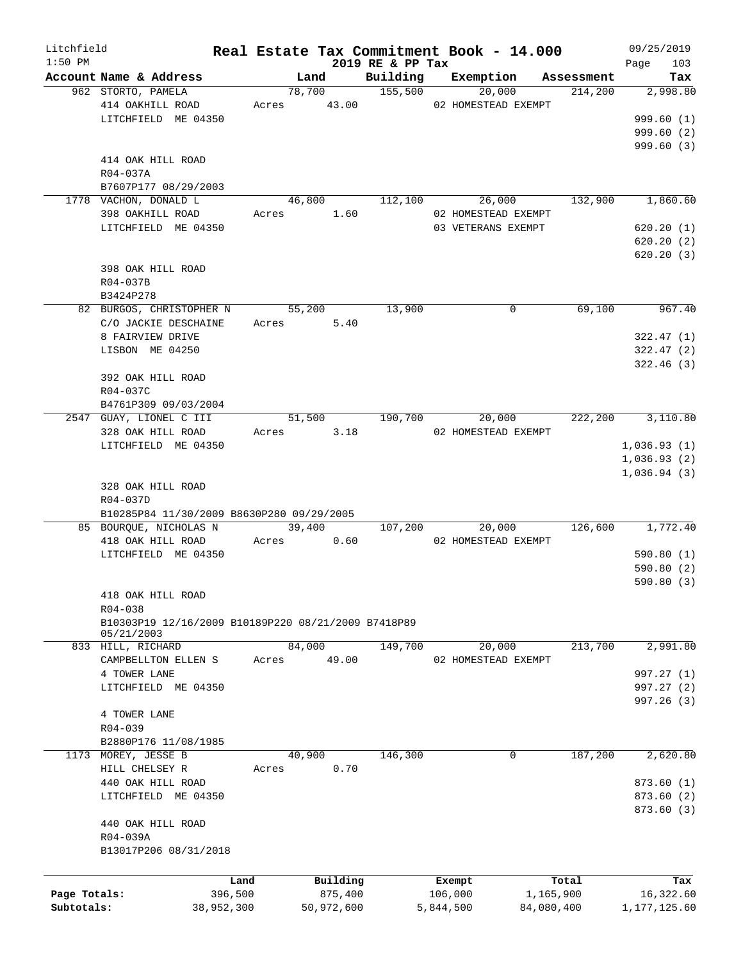| Litchfield<br>$1:50$ PM |                                                     |            |                |                  | Real Estate Tax Commitment Book - 14.000 |                | 09/25/2019         |
|-------------------------|-----------------------------------------------------|------------|----------------|------------------|------------------------------------------|----------------|--------------------|
|                         | Account Name & Address                              |            | Land           | 2019 RE & PP Tax | Building Exemption Assessment            |                | 103<br>Page<br>Tax |
|                         | 962 STORTO, PAMELA                                  |            | 78,700 155,500 |                  | 20,000                                   | 214,200        | 2,998.80           |
|                         | 414 OAKHILL ROAD                                    |            | Acres 43.00    |                  | 02 HOMESTEAD EXEMPT                      |                |                    |
|                         | LITCHFIELD ME 04350                                 |            |                |                  |                                          |                | 999.60(1)          |
|                         |                                                     |            |                |                  |                                          |                | 999.60(2)          |
|                         |                                                     |            |                |                  |                                          |                | 999.60(3)          |
|                         | 414 OAK HILL ROAD                                   |            |                |                  |                                          |                |                    |
|                         | R04-037A                                            |            |                |                  |                                          |                |                    |
|                         |                                                     |            |                |                  |                                          |                |                    |
|                         | B7607P177 08/29/2003                                |            |                |                  |                                          |                |                    |
|                         | 1778 VACHON, DONALD L                               |            | 46,800         | 112,100          |                                          | 26,000 132,900 | 1,860.60           |
|                         | 398 OAKHILL ROAD                                    |            | Acres 1.60     |                  | 02 HOMESTEAD EXEMPT                      |                |                    |
|                         | LITCHFIELD ME 04350                                 |            |                |                  | 03 VETERANS EXEMPT                       |                | 620.20(1)          |
|                         |                                                     |            |                |                  |                                          |                | 620.20(2)          |
|                         |                                                     |            |                |                  |                                          |                | 620.20(3)          |
|                         | 398 OAK HILL ROAD                                   |            |                |                  |                                          |                |                    |
|                         | R04-037B                                            |            |                |                  |                                          |                |                    |
|                         | B3424P278                                           |            |                |                  |                                          |                |                    |
|                         | 82 BURGOS, CHRISTOPHER N                            |            | 55,200         | 13,900           | $\mathbf 0$                              | 69,100         | 967.40             |
|                         | C/O JACKIE DESCHAINE                                |            | Acres 5.40     |                  |                                          |                |                    |
|                         | 8 FAIRVIEW DRIVE                                    |            |                |                  |                                          |                | 322.47(1)          |
|                         | LISBON ME 04250                                     |            |                |                  |                                          |                | 322.47(2)          |
|                         |                                                     |            |                |                  |                                          |                | 322.46(3)          |
|                         | 392 OAK HILL ROAD                                   |            |                |                  |                                          |                |                    |
|                         | R04-037C                                            |            |                |                  |                                          |                |                    |
|                         |                                                     |            |                |                  |                                          |                |                    |
|                         | B4761P309 09/03/2004                                |            |                |                  |                                          |                |                    |
|                         | 2547 GUAY, LIONEL C III                             |            | 51,500         | 190,700          | 20,000                                   | 222, 200       | 3,110.80           |
|                         | 328 OAK HILL ROAD                                   |            | Acres 3.18     |                  | 02 HOMESTEAD EXEMPT                      |                |                    |
|                         | LITCHFIELD ME 04350                                 |            |                |                  |                                          |                | 1,036.93(1)        |
|                         |                                                     |            |                |                  |                                          |                | 1,036.93(2)        |
|                         |                                                     |            |                |                  |                                          |                | 1,036.94(3)        |
|                         | 328 OAK HILL ROAD                                   |            |                |                  |                                          |                |                    |
|                         | R04-037D                                            |            |                |                  |                                          |                |                    |
|                         | B10285P84 11/30/2009 B8630P280 09/29/2005           |            |                |                  |                                          |                |                    |
|                         | 85 BOURQUE, NICHOLAS N                              |            | 39,400         |                  | 20,000<br>107,200                        | 126,600        | 1,772.40           |
|                         | 418 OAK HILL ROAD                                   |            | Acres 0.60     |                  | 02 HOMESTEAD EXEMPT                      |                |                    |
|                         | LITCHFIELD ME 04350                                 |            |                |                  |                                          |                | 590.80(1)          |
|                         |                                                     |            |                |                  |                                          |                | 590.80(2)          |
|                         |                                                     |            |                |                  |                                          |                | 590.80(3)          |
|                         | 418 OAK HILL ROAD                                   |            |                |                  |                                          |                |                    |
|                         | R04-038                                             |            |                |                  |                                          |                |                    |
|                         | B10303P19 12/16/2009 B10189P220 08/21/2009 B7418P89 |            |                |                  |                                          |                |                    |
|                         | 05/21/2003                                          |            |                |                  |                                          |                |                    |
|                         | 833 HILL, RICHARD                                   |            | 84,000         | 149,700          | 20,000                                   | 213,700        | 2,991.80           |
|                         | CAMPBELLTON ELLEN S                                 | Acres      | 49.00          |                  | 02 HOMESTEAD EXEMPT                      |                |                    |
|                         | 4 TOWER LANE                                        |            |                |                  |                                          |                | 997.27 (1)         |
|                         | LITCHFIELD ME 04350                                 |            |                |                  |                                          |                | 997.27 (2)         |
|                         |                                                     |            |                |                  |                                          |                |                    |
|                         |                                                     |            |                |                  |                                          |                | 997.26 (3)         |
|                         | 4 TOWER LANE                                        |            |                |                  |                                          |                |                    |
|                         | $R04 - 039$                                         |            |                |                  |                                          |                |                    |
|                         | B2880P176 11/08/1985                                |            |                |                  |                                          |                |                    |
|                         | 1173 MOREY, JESSE B                                 |            | 40,900         | 146,300          | $\mathbf 0$                              | 187,200        | 2,620.80           |
|                         | HILL CHELSEY R                                      | Acres      | 0.70           |                  |                                          |                |                    |
|                         | 440 OAK HILL ROAD                                   |            |                |                  |                                          |                | 873.60(1)          |
|                         | LITCHFIELD ME 04350                                 |            |                |                  |                                          |                | 873.60 (2)         |
|                         |                                                     |            |                |                  |                                          |                | 873.60 (3)         |
|                         | 440 OAK HILL ROAD                                   |            |                |                  |                                          |                |                    |
|                         | R04-039A                                            |            |                |                  |                                          |                |                    |
|                         | B13017P206 08/31/2018                               |            |                |                  |                                          |                |                    |
|                         |                                                     |            |                |                  |                                          |                |                    |
|                         |                                                     | Land       | Building       |                  | Exempt                                   | Total          | Tax                |
| Page Totals:            |                                                     | 396,500    | 875,400        |                  | 106,000                                  | 1,165,900      | 16,322.60          |
|                         |                                                     |            |                |                  |                                          |                |                    |
| Subtotals:              |                                                     | 38,952,300 | 50,972,600     |                  | 5,844,500                                | 84,080,400     | 1,177,125.60       |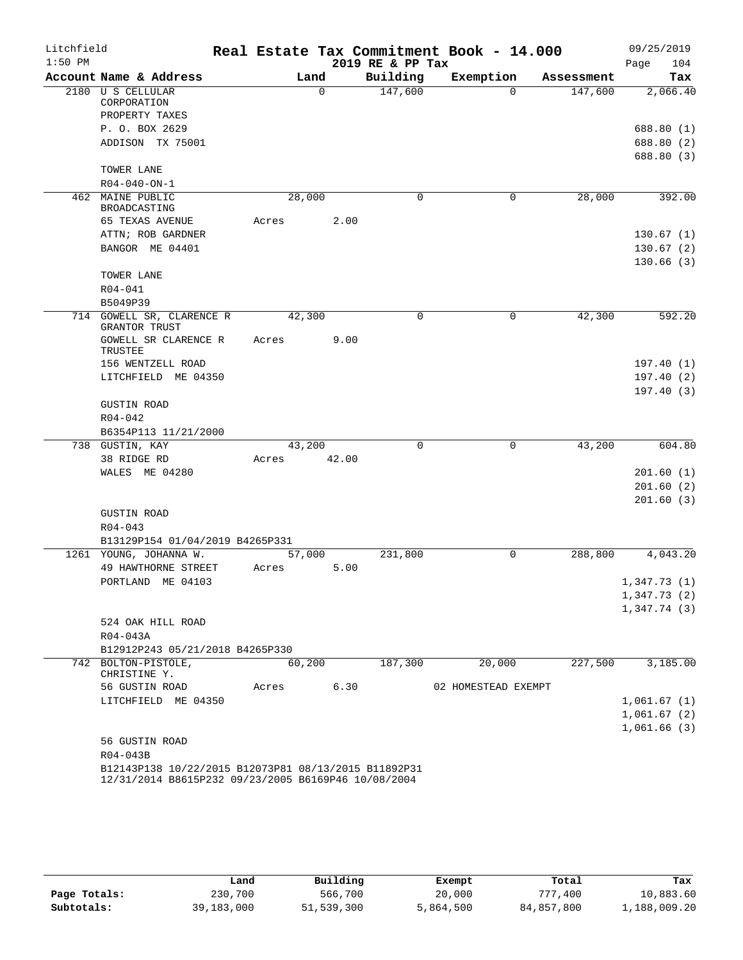| Litchfield |                                                      |       |        |             |                  | Real Estate Tax Commitment Book - 14.000 |            | 09/25/2019  |
|------------|------------------------------------------------------|-------|--------|-------------|------------------|------------------------------------------|------------|-------------|
| $1:50$ PM  |                                                      |       |        |             | 2019 RE & PP Tax |                                          |            | 104<br>Page |
|            | Account Name & Address                               |       | Land   |             | Building         | Exemption                                | Assessment | Tax         |
|            | 2180 U S CELLULAR                                    |       |        | $\mathbf 0$ | 147,600          | $\Omega$                                 | 147,600    | 2,066.40    |
|            | CORPORATION<br>PROPERTY TAXES                        |       |        |             |                  |                                          |            |             |
|            | P. O. BOX 2629                                       |       |        |             |                  |                                          |            | 688.80 (1)  |
|            | ADDISON TX 75001                                     |       |        |             |                  |                                          |            | 688.80 (2)  |
|            |                                                      |       |        |             |                  |                                          |            | 688.80 (3)  |
|            | TOWER LANE                                           |       |        |             |                  |                                          |            |             |
|            | $R04 - 040 - ON - 1$                                 |       |        |             |                  |                                          |            |             |
|            | 462 MAINE PUBLIC                                     |       | 28,000 |             | $\Omega$         | 0                                        | 28,000     | 392.00      |
|            | BROADCASTING                                         |       |        |             |                  |                                          |            |             |
|            | 65 TEXAS AVENUE                                      | Acres |        | 2.00        |                  |                                          |            |             |
|            | ATTN; ROB GARDNER                                    |       |        |             |                  |                                          |            | 130.67(1)   |
|            | BANGOR ME 04401                                      |       |        |             |                  |                                          |            | 130.67(2)   |
|            |                                                      |       |        |             |                  |                                          |            | 130.66(3)   |
|            | TOWER LANE                                           |       |        |             |                  |                                          |            |             |
|            | R04-041                                              |       |        |             |                  |                                          |            |             |
|            | B5049P39                                             |       |        |             |                  |                                          |            |             |
|            | 714 GOWELL SR, CLARENCE R<br>GRANTOR TRUST           |       | 42,300 |             | 0                | 0                                        | 42,300     | 592.20      |
|            | GOWELL SR CLARENCE R<br>TRUSTEE                      | Acres |        | 9.00        |                  |                                          |            |             |
|            | 156 WENTZELL ROAD                                    |       |        |             |                  |                                          |            | 197.40(1)   |
|            | LITCHFIELD ME 04350                                  |       |        |             |                  |                                          |            | 197.40(2)   |
|            |                                                      |       |        |             |                  |                                          |            | 197.40(3)   |
|            | <b>GUSTIN ROAD</b>                                   |       |        |             |                  |                                          |            |             |
|            | $R04 - 042$                                          |       |        |             |                  |                                          |            |             |
|            | B6354P113 11/21/2000                                 |       |        |             |                  |                                          |            |             |
|            | 738 GUSTIN, KAY                                      |       | 43,200 |             | 0                | 0                                        | 43,200     | 604.80      |
|            | 38 RIDGE RD                                          | Acres |        | 42.00       |                  |                                          |            |             |
|            | WALES ME 04280                                       |       |        |             |                  |                                          |            | 201.60(1)   |
|            |                                                      |       |        |             |                  |                                          |            | 201.60(2)   |
|            |                                                      |       |        |             |                  |                                          |            | 201.60(3)   |
|            | <b>GUSTIN ROAD</b><br>$R04 - 043$                    |       |        |             |                  |                                          |            |             |
|            | B13129P154 01/04/2019 B4265P331                      |       |        |             |                  |                                          |            |             |
|            | 1261 YOUNG, JOHANNA W.                               |       | 57,000 |             | 231,800          | 0                                        | 288,800    | 4,043.20    |
|            | 49 HAWTHORNE STREET                                  | Acres |        | 5.00        |                  |                                          |            |             |
|            | PORTLAND ME 04103                                    |       |        |             |                  |                                          |            | 1,347.73(1) |
|            |                                                      |       |        |             |                  |                                          |            | 1,347.73(2) |
|            |                                                      |       |        |             |                  |                                          |            | 1,347.74(3) |
|            | 524 OAK HILL ROAD                                    |       |        |             |                  |                                          |            |             |
|            | R04-043A                                             |       |        |             |                  |                                          |            |             |
|            | B12912P243 05/21/2018 B4265P330                      |       |        |             |                  |                                          |            |             |
|            | 742 BOLTON-PISTOLE,                                  |       | 60,200 |             | 187,300          | 20,000                                   | 227,500    | 3,185.00    |
|            | CHRISTINE Y.                                         |       |        |             |                  |                                          |            |             |
|            | 56 GUSTIN ROAD                                       | Acres |        | 6.30        |                  | 02 HOMESTEAD EXEMPT                      |            |             |
|            | LITCHFIELD ME 04350                                  |       |        |             |                  |                                          |            | 1,061.67(1) |
|            |                                                      |       |        |             |                  |                                          |            | 1,061.67(2) |
|            |                                                      |       |        |             |                  |                                          |            | 1,061.66(3) |
|            | 56 GUSTIN ROAD                                       |       |        |             |                  |                                          |            |             |
|            | R04-043B                                             |       |        |             |                  |                                          |            |             |
|            | B12143P138 10/22/2015 B12073P81 08/13/2015 B11892P31 |       |        |             |                  |                                          |            |             |

12/31/2014 B8615P232 09/23/2005 B6169P46 10/08/2004

|              | Land       | Building   | Exempt    | Total      | Tax          |
|--------------|------------|------------|-----------|------------|--------------|
| Page Totals: | 230,700    | 566,700    | 20,000    | 777,400    | 10,883.60    |
| Subtotals:   | 39,183,000 | 51,539,300 | 5,864,500 | 84,857,800 | 1,188,009.20 |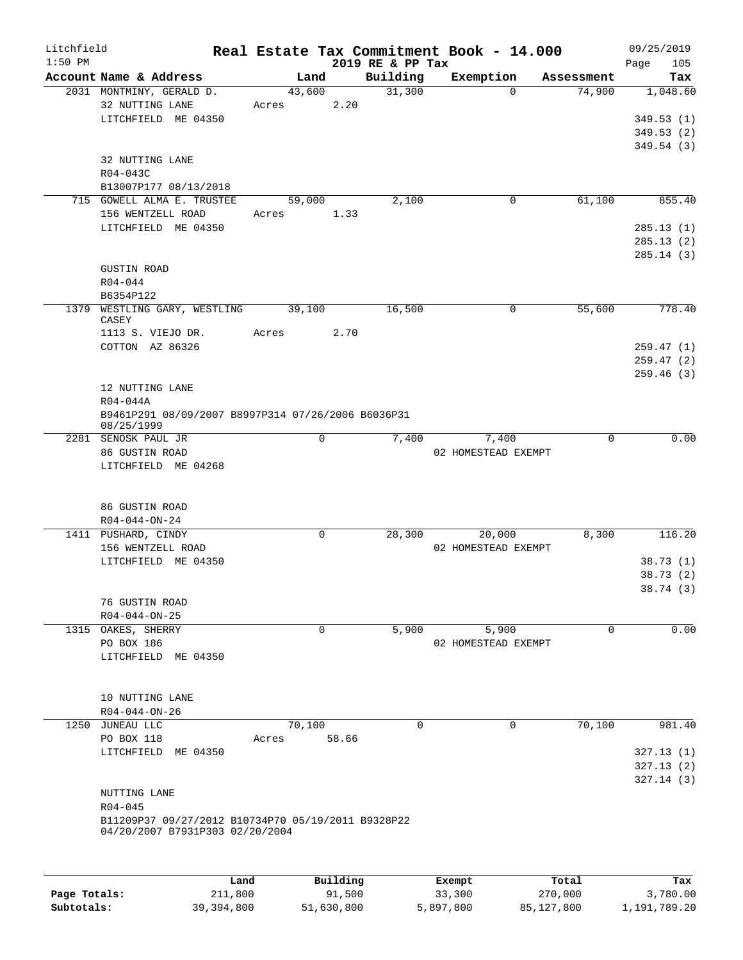| Litchfield<br>$1:50$ PM |                                                                                       |        |             | 2019 RE & PP Tax | Real Estate Tax Commitment Book - 14.000 |            | 09/25/2019<br>105<br>Page |
|-------------------------|---------------------------------------------------------------------------------------|--------|-------------|------------------|------------------------------------------|------------|---------------------------|
|                         | Account Name & Address                                                                |        | Land        | Building         | Exemption                                | Assessment | Tax                       |
|                         | 2031 MONTMINY, GERALD D.<br>32 NUTTING LANE                                           | 43,600 |             | 31,300           | $\Omega$                                 | 74,900     | 1,048.60                  |
|                         | LITCHFIELD ME 04350                                                                   | Acres  | 2.20        |                  |                                          |            | 349.53(1)                 |
|                         |                                                                                       |        |             |                  |                                          |            | 349.53(2)                 |
|                         |                                                                                       |        |             |                  |                                          |            | 349.54(3)                 |
|                         | 32 NUTTING LANE                                                                       |        |             |                  |                                          |            |                           |
|                         | R04-043C                                                                              |        |             |                  |                                          |            |                           |
|                         | B13007P177 08/13/2018                                                                 |        |             |                  |                                          |            |                           |
|                         | 715 GOWELL ALMA E. TRUSTEE                                                            | 59,000 |             | 2,100            | $\mathbf 0$                              | 61,100     | 855.40                    |
|                         | 156 WENTZELL ROAD                                                                     | Acres  | 1.33        |                  |                                          |            |                           |
|                         | LITCHFIELD ME 04350                                                                   |        |             |                  |                                          |            | 285.13(1)                 |
|                         |                                                                                       |        |             |                  |                                          |            | 285.13(2)                 |
|                         |                                                                                       |        |             |                  |                                          |            | 285.14(3)                 |
|                         | <b>GUSTIN ROAD</b>                                                                    |        |             |                  |                                          |            |                           |
|                         | $R04 - 044$                                                                           |        |             |                  |                                          |            |                           |
|                         | B6354P122                                                                             |        |             |                  |                                          |            |                           |
| 1379                    | WESTLING GARY, WESTLING<br>CASEY                                                      | 39,100 |             | 16,500           | $\mathbf 0$                              | 55,600     | 778.40                    |
|                         | 1113 S. VIEJO DR.                                                                     | Acres  | 2.70        |                  |                                          |            |                           |
|                         | COTTON AZ 86326                                                                       |        |             |                  |                                          |            | 259.47(1)                 |
|                         |                                                                                       |        |             |                  |                                          |            | 259.47(2)                 |
|                         |                                                                                       |        |             |                  |                                          |            | 259.46(3)                 |
|                         | 12 NUTTING LANE                                                                       |        |             |                  |                                          |            |                           |
|                         | R04-044A                                                                              |        |             |                  |                                          |            |                           |
|                         | B9461P291 08/09/2007 B8997P314 07/26/2006 B6036P31<br>08/25/1999                      |        |             |                  |                                          |            |                           |
|                         | 2281 SENOSK PAUL JR                                                                   |        | 0           | 7,400            | 7,400                                    | 0          | 0.00                      |
|                         | 86 GUSTIN ROAD<br>LITCHFIELD ME 04268                                                 |        |             |                  | 02 HOMESTEAD EXEMPT                      |            |                           |
|                         | 86 GUSTIN ROAD                                                                        |        |             |                  |                                          |            |                           |
|                         | $R04 - 044 - ON - 24$                                                                 |        |             |                  |                                          |            |                           |
|                         | 1411 PUSHARD, CINDY                                                                   |        | $\mathbf 0$ | 28,300           | 20,000                                   | 8,300      | 116.20                    |
|                         | 156 WENTZELL ROAD                                                                     |        |             |                  | 02 HOMESTEAD EXEMPT                      |            |                           |
|                         | LITCHFIELD ME 04350                                                                   |        |             |                  |                                          |            | 38.73(1)                  |
|                         |                                                                                       |        |             |                  |                                          |            | 38.73 (2)                 |
|                         |                                                                                       |        |             |                  |                                          |            | 38.74 (3)                 |
|                         | 76 GUSTIN ROAD                                                                        |        |             |                  |                                          |            |                           |
|                         | $R04 - 044 - ON - 25$                                                                 |        |             |                  |                                          |            |                           |
|                         | 1315 OAKES, SHERRY                                                                    |        | 0           | 5,900            | 5,900                                    | $\Omega$   | 0.00                      |
|                         | PO BOX 186<br>LITCHFIELD ME 04350                                                     |        |             |                  | 02 HOMESTEAD EXEMPT                      |            |                           |
|                         |                                                                                       |        |             |                  |                                          |            |                           |
|                         | 10 NUTTING LANE                                                                       |        |             |                  |                                          |            |                           |
|                         | $R04 - 044 - ON - 26$                                                                 |        |             |                  |                                          |            |                           |
|                         | 1250 JUNEAU LLC                                                                       | 70,100 |             | $\mathbf 0$      | 0                                        | 70,100     | 981.40                    |
|                         | PO BOX 118                                                                            | Acres  | 58.66       |                  |                                          |            |                           |
|                         | LITCHFIELD ME 04350                                                                   |        |             |                  |                                          |            | 327.13(1)                 |
|                         |                                                                                       |        |             |                  |                                          |            | 327.13(2)                 |
|                         |                                                                                       |        |             |                  |                                          |            | 327.14(3)                 |
|                         | NUTTING LANE                                                                          |        |             |                  |                                          |            |                           |
|                         | R04-045                                                                               |        |             |                  |                                          |            |                           |
|                         | B11209P37 09/27/2012 B10734P70 05/19/2011 B9328P22<br>04/20/2007 B7931P303 02/20/2004 |        |             |                  |                                          |            |                           |
|                         |                                                                                       |        |             |                  |                                          |            |                           |
|                         |                                                                                       | Land   | Building    |                  | Exempt                                   | Total      | Tax                       |

|              | Land       | Building   | Exempt    | Total      | Tax          |
|--------------|------------|------------|-----------|------------|--------------|
| Page Totals: | 211,800    | 91,500     | 33,300    | 270,000    | 3,780.00     |
| Subtotals:   | 39,394,800 | 51,630,800 | 5,897,800 | 85,127,800 | 1,191,789.20 |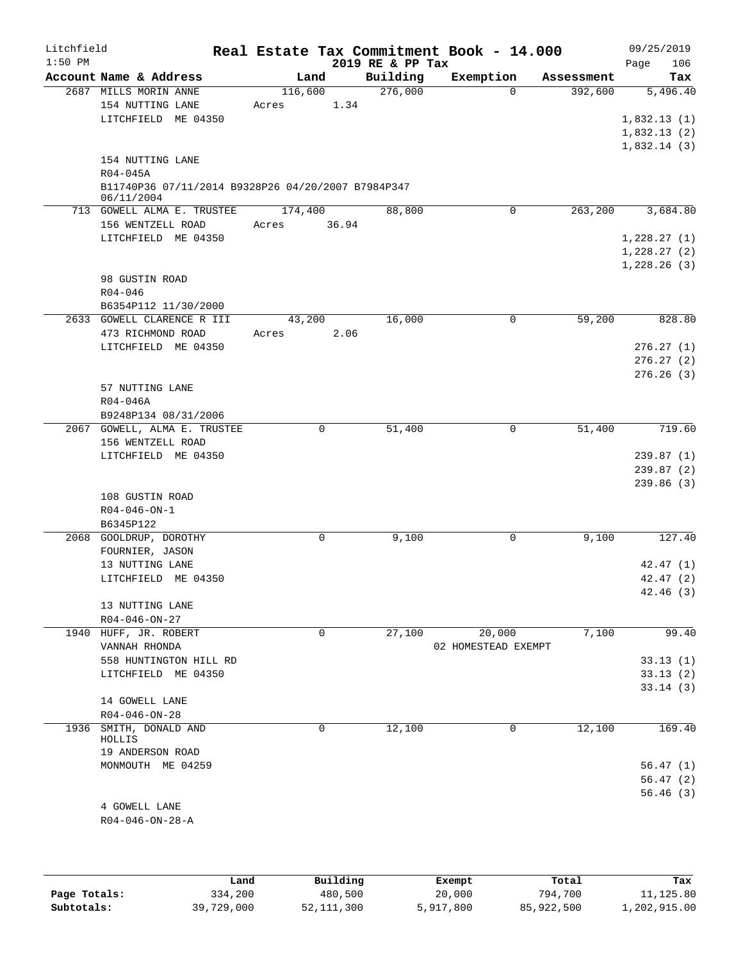| Litchfield |                                                                  |         |             |                  | Real Estate Tax Commitment Book - 14.000 |            | 09/25/2019  |           |
|------------|------------------------------------------------------------------|---------|-------------|------------------|------------------------------------------|------------|-------------|-----------|
| $1:50$ PM  |                                                                  |         |             | 2019 RE & PP Tax |                                          |            | Page        | 106       |
|            | Account Name & Address                                           | Land    |             | Building         | Exemption                                | Assessment |             | Tax       |
|            | 2687 MILLS MORIN ANNE                                            | 116,600 |             | 276,000          | $\Omega$                                 | 392,600    |             | 5,496.40  |
|            | 154 NUTTING LANE                                                 | Acres   | 1.34        |                  |                                          |            |             |           |
|            | LITCHFIELD ME 04350                                              |         |             |                  |                                          |            | 1,832.13(1) |           |
|            |                                                                  |         |             |                  |                                          |            | 1,832.13(2) |           |
|            |                                                                  |         |             |                  |                                          |            | 1,832.14(3) |           |
|            | 154 NUTTING LANE                                                 |         |             |                  |                                          |            |             |           |
|            | R04-045A                                                         |         |             |                  |                                          |            |             |           |
|            | B11740P36 07/11/2014 B9328P26 04/20/2007 B7984P347<br>06/11/2004 |         |             |                  |                                          |            |             |           |
|            | 713 GOWELL ALMA E. TRUSTEE                                       | 174,400 |             | 88,800           | 0                                        | 263, 200   |             | 3,684.80  |
|            | 156 WENTZELL ROAD                                                | Acres   | 36.94       |                  |                                          |            |             |           |
|            | LITCHFIELD ME 04350                                              |         |             |                  |                                          |            | 1,228.27(1) |           |
|            |                                                                  |         |             |                  |                                          |            | 1,228.27(2) |           |
|            |                                                                  |         |             |                  |                                          |            | 1,228.26(3) |           |
|            | 98 GUSTIN ROAD                                                   |         |             |                  |                                          |            |             |           |
|            | $R04 - 046$                                                      |         |             |                  |                                          |            |             |           |
|            | B6354P112 11/30/2000                                             |         |             |                  |                                          |            |             |           |
|            | 2633 GOWELL CLARENCE R III                                       | 43,200  |             | 16,000           | 0                                        | 59,200     |             | 828.80    |
|            | 473 RICHMOND ROAD                                                | Acres   | 2.06        |                  |                                          |            |             |           |
|            | LITCHFIELD ME 04350                                              |         |             |                  |                                          |            |             | 276.27(1) |
|            |                                                                  |         |             |                  |                                          |            |             | 276.27(2) |
|            |                                                                  |         |             |                  |                                          |            |             | 276.26(3) |
|            | 57 NUTTING LANE                                                  |         |             |                  |                                          |            |             |           |
|            | R04-046A                                                         |         |             |                  |                                          |            |             |           |
|            | B9248P134 08/31/2006                                             |         |             |                  |                                          |            |             |           |
|            | 2067 GOWELL, ALMA E. TRUSTEE                                     |         | $\mathbf 0$ | 51,400           | $\mathbf 0$                              | 51,400     |             | 719.60    |
|            | 156 WENTZELL ROAD                                                |         |             |                  |                                          |            |             |           |
|            | LITCHFIELD ME 04350                                              |         |             |                  |                                          |            |             | 239.87(1) |
|            |                                                                  |         |             |                  |                                          |            |             | 239.87(2) |
|            |                                                                  |         |             |                  |                                          |            |             | 239.86(3) |
|            | 108 GUSTIN ROAD                                                  |         |             |                  |                                          |            |             |           |
|            | $R04 - 046 - ON - 1$                                             |         |             |                  |                                          |            |             |           |
|            | B6345P122                                                        |         |             |                  |                                          |            |             |           |
|            | 2068 GOOLDRUP, DOROTHY                                           |         | 0           | 9,100            | 0                                        | 9,100      |             | 127.40    |
|            | FOURNIER, JASON                                                  |         |             |                  |                                          |            |             |           |
|            | 13 NUTTING LANE                                                  |         |             |                  |                                          |            |             | 42.47(1)  |
|            | LITCHFIELD ME 04350                                              |         |             |                  |                                          |            |             | 42.47(2)  |
|            |                                                                  |         |             |                  |                                          |            |             | 42.46(3)  |
|            | 13 NUTTING LANE                                                  |         |             |                  |                                          |            |             |           |
|            | $R04 - 046 - ON - 27$                                            |         |             |                  |                                          |            |             |           |
|            | 1940 HUFF, JR. ROBERT                                            |         | 0           | 27,100           | 20,000                                   | 7,100      |             | 99.40     |
|            | VANNAH RHONDA                                                    |         |             |                  | 02 HOMESTEAD EXEMPT                      |            |             |           |
|            | 558 HUNTINGTON HILL RD                                           |         |             |                  |                                          |            |             | 33.13(1)  |
|            | LITCHFIELD ME 04350                                              |         |             |                  |                                          |            |             | 33.13(2)  |
|            |                                                                  |         |             |                  |                                          |            |             | 33.14(3)  |
|            | 14 GOWELL LANE                                                   |         |             |                  |                                          |            |             |           |
|            | $R04 - 046 - ON - 28$                                            |         |             |                  |                                          |            |             |           |
|            | 1936 SMITH, DONALD AND                                           |         | 0           | 12,100           | 0                                        | 12,100     |             | 169.40    |
|            | HOLLIS                                                           |         |             |                  |                                          |            |             |           |
|            | 19 ANDERSON ROAD                                                 |         |             |                  |                                          |            |             |           |
|            | MONMOUTH ME 04259                                                |         |             |                  |                                          |            |             | 56.47(1)  |
|            |                                                                  |         |             |                  |                                          |            |             | 56.47(2)  |
|            |                                                                  |         |             |                  |                                          |            |             | 56.46(3)  |
|            | 4 GOWELL LANE                                                    |         |             |                  |                                          |            |             |           |
|            | $R04 - 046 - ON - 28 - A$                                        |         |             |                  |                                          |            |             |           |
|            |                                                                  |         |             |                  |                                          |            |             |           |
|            |                                                                  |         |             |                  |                                          |            |             |           |
|            |                                                                  |         |             |                  |                                          |            |             |           |

|              | Land       | Building     | Exempt    | Total      | Tax          |
|--------------|------------|--------------|-----------|------------|--------------|
| Page Totals: | 334,200    | 480,500      | 20,000    | 794,700    | 11,125.80    |
| Subtotals:   | 39,729,000 | 52, 111, 300 | 5,917,800 | 85,922,500 | 1,202,915.00 |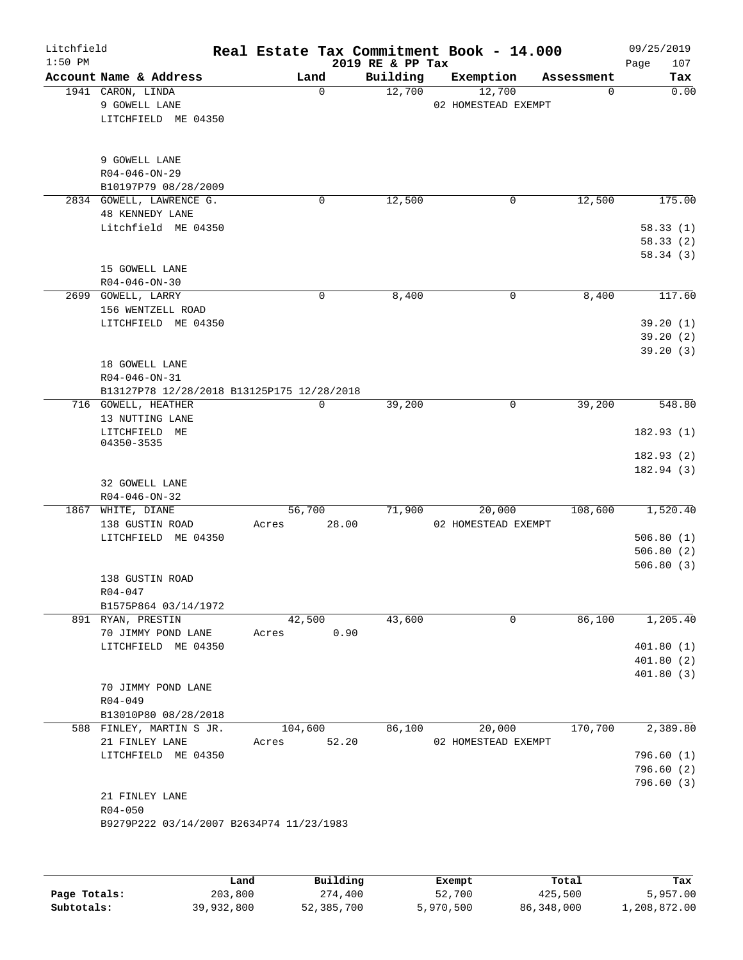| Litchfield<br>$1:50$ PM |                                                                               |       |                 | 2019 RE & PP Tax | Real Estate Tax Commitment Book - 14.000 |            | 09/25/2019<br>107<br>Page           |
|-------------------------|-------------------------------------------------------------------------------|-------|-----------------|------------------|------------------------------------------|------------|-------------------------------------|
|                         | Account Name & Address                                                        |       | Land            | Building         | Exemption                                | Assessment | Tax                                 |
|                         | 1941 CARON, LINDA<br>9 GOWELL LANE<br>LITCHFIELD ME 04350                     |       | $\mathbf 0$     | 12,700           | 12,700<br>02 HOMESTEAD EXEMPT            | 0          | 0.00                                |
|                         | 9 GOWELL LANE<br>$R04 - 046 - ON - 29$<br>B10197P79 08/28/2009                |       |                 |                  |                                          |            |                                     |
|                         | 2834 GOWELL, LAWRENCE G.                                                      |       | 0               | 12,500           | 0                                        | 12,500     | 175.00                              |
|                         | <b>48 KENNEDY LANE</b><br>Litchfield ME 04350                                 |       |                 |                  |                                          |            | 58.33(1)<br>58.33(2)<br>58.34(3)    |
|                         | 15 GOWELL LANE                                                                |       |                 |                  |                                          |            |                                     |
|                         | $R04 - 046 - ON - 30$<br>2699 GOWELL, LARRY                                   |       | 0               | 8,400            | 0                                        | 8,400      | 117.60                              |
|                         | 156 WENTZELL ROAD<br>LITCHFIELD ME 04350                                      |       |                 |                  |                                          |            | 39.20(1)<br>39.20(2)<br>39.20(3)    |
|                         | 18 GOWELL LANE<br>R04-046-ON-31<br>B13127P78 12/28/2018 B13125P175 12/28/2018 |       |                 |                  |                                          |            |                                     |
|                         | 716 GOWELL, HEATHER                                                           |       | 0               | 39,200           | 0                                        | 39,200     | 548.80                              |
|                         | 13 NUTTING LANE<br>LITCHFIELD ME                                              |       |                 |                  |                                          |            | 182.93(1)                           |
|                         | 04350-3535                                                                    |       |                 |                  |                                          |            |                                     |
|                         | 32 GOWELL LANE                                                                |       |                 |                  |                                          |            | 182.93(2)<br>182.94(3)              |
|                         | $R04 - 046 - ON - 32$                                                         |       |                 |                  |                                          |            |                                     |
|                         | 1867 WHITE, DIANE<br>138 GUSTIN ROAD                                          | Acres | 56,700<br>28.00 | 71,900           | 20,000<br>02 HOMESTEAD EXEMPT            | 108,600    | 1,520.40                            |
|                         | LITCHFIELD ME 04350                                                           |       |                 |                  |                                          |            | 506.80(1)<br>506.80(2)<br>506.80(3) |
|                         | 138 GUSTIN ROAD                                                               |       |                 |                  |                                          |            |                                     |
|                         | R04-047<br>B1575P864 03/14/1972                                               |       |                 |                  |                                          |            |                                     |
|                         | 891 RYAN, PRESTIN                                                             |       | 42,500          | 43,600           | 0                                        | 86,100     | 1,205.40                            |
|                         | 70 JIMMY POND LANE                                                            | Acres |                 | 0.90             |                                          |            |                                     |
|                         | LITCHFIELD ME 04350                                                           |       |                 |                  |                                          |            | 401.80(1)                           |
|                         |                                                                               |       |                 |                  |                                          |            | 401.80(2)<br>401.80(3)              |
|                         | 70 JIMMY POND LANE<br>$R04 - 049$                                             |       |                 |                  |                                          |            |                                     |
|                         | B13010P80 08/28/2018<br>588 FINLEY, MARTIN S JR.                              |       | 104,600         | 86,100           | 20,000                                   | 170,700    | 2,389.80                            |
|                         | 21 FINLEY LANE                                                                | Acres | 52.20           |                  | 02 HOMESTEAD EXEMPT                      |            |                                     |
|                         | LITCHFIELD ME 04350                                                           |       |                 |                  |                                          |            | 796.60 (1)                          |
|                         |                                                                               |       |                 |                  |                                          |            | 796.60(2)                           |
|                         | 21 FINLEY LANE<br>$R04 - 050$<br>B9279P222 03/14/2007 B2634P74 11/23/1983     |       |                 |                  |                                          |            | 796.60(3)                           |
|                         |                                                                               |       |                 |                  |                                          |            |                                     |

|              | Land       | Building   | Exempt    | Total      | Tax          |
|--------------|------------|------------|-----------|------------|--------------|
| Page Totals: | 203,800    | 274,400    | 52,700    | 425,500    | 5,957.00     |
| Subtotals:   | 39,932,800 | 52,385,700 | 5,970,500 | 86,348,000 | 1,208,872.00 |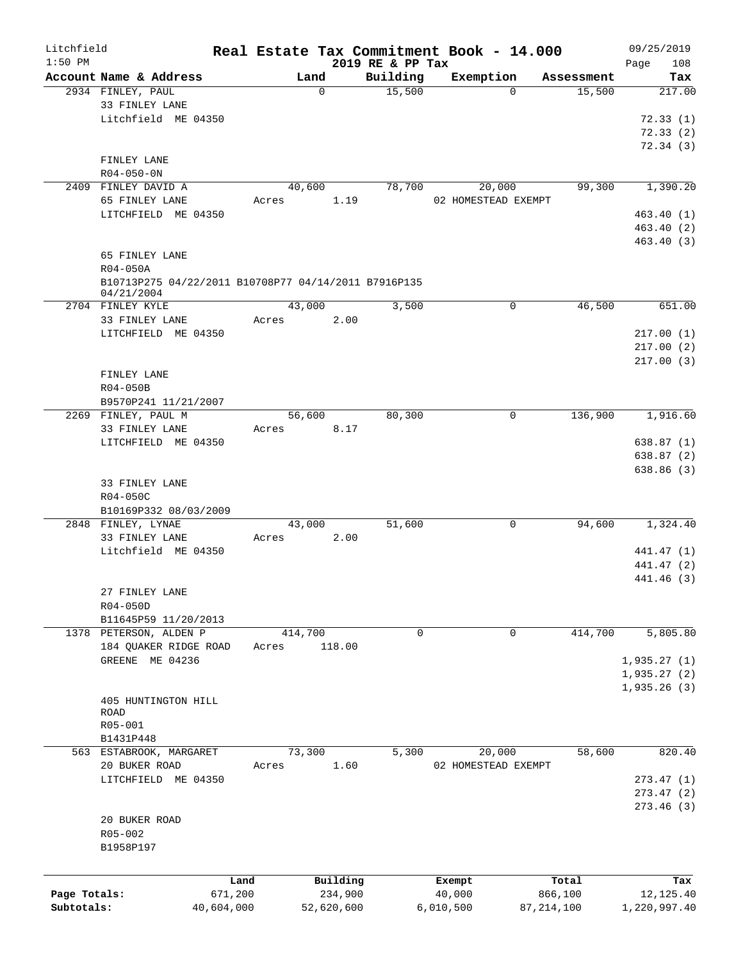| Litchfield   |                                                      |         |                  |                  | Real Estate Tax Commitment Book - 14.000 |            | 09/25/2019   |
|--------------|------------------------------------------------------|---------|------------------|------------------|------------------------------------------|------------|--------------|
| $1:50$ PM    |                                                      |         |                  | 2019 RE & PP Tax |                                          |            | 108<br>Page  |
|              | Account Name & Address                               |         | Land<br>$\Omega$ | Building         | Exemption<br>$\Omega$                    | Assessment | Tax          |
|              | 2934 FINLEY, PAUL<br>33 FINLEY LANE                  |         |                  | 15,500           |                                          | 15,500     | 217.00       |
|              | Litchfield ME 04350                                  |         |                  |                  |                                          |            | 72.33(1)     |
|              |                                                      |         |                  |                  |                                          |            | 72.33(2)     |
|              |                                                      |         |                  |                  |                                          |            | 72.34(3)     |
|              | FINLEY LANE                                          |         |                  |                  |                                          |            |              |
|              | $R04 - 050 - 0N$                                     |         |                  |                  |                                          |            |              |
|              | 2409 FINLEY DAVID A                                  |         | 40,600           | 78,700           | 20,000                                   | 99,300     | 1,390.20     |
|              | 65 FINLEY LANE                                       | Acres   | 1.19             |                  | 02 HOMESTEAD EXEMPT                      |            |              |
|              | LITCHFIELD ME 04350                                  |         |                  |                  |                                          |            | 463.40(1)    |
|              |                                                      |         |                  |                  |                                          |            | 463.40(2)    |
|              |                                                      |         |                  |                  |                                          |            | 463.40 (3)   |
|              | 65 FINLEY LANE                                       |         |                  |                  |                                          |            |              |
|              | R04-050A                                             |         |                  |                  |                                          |            |              |
|              | B10713P275 04/22/2011 B10708P77 04/14/2011 B7916P135 |         |                  |                  |                                          |            |              |
|              | 04/21/2004                                           |         |                  |                  |                                          |            |              |
|              | 2704 FINLEY KYLE                                     |         | 43,000           | 3,500            | 0                                        | 46,500     | 651.00       |
|              | 33 FINLEY LANE                                       | Acres   | 2.00             |                  |                                          |            |              |
|              | LITCHFIELD ME 04350                                  |         |                  |                  |                                          |            | 217.00(1)    |
|              |                                                      |         |                  |                  |                                          |            | 217.00(2)    |
|              |                                                      |         |                  |                  |                                          |            | 217.00(3)    |
|              | FINLEY LANE                                          |         |                  |                  |                                          |            |              |
|              | R04-050B                                             |         |                  |                  |                                          |            |              |
|              | B9570P241 11/21/2007                                 |         |                  |                  |                                          |            |              |
|              | 2269 FINLEY, PAUL M                                  |         | 56,600           | 80,300           | $\mathbf 0$                              | 136,900    | 1,916.60     |
|              | 33 FINLEY LANE                                       | Acres   | 8.17             |                  |                                          |            |              |
|              | LITCHFIELD ME 04350                                  |         |                  |                  |                                          |            | 638.87(1)    |
|              |                                                      |         |                  |                  |                                          |            | 638.87 (2)   |
|              |                                                      |         |                  |                  |                                          |            | 638.86(3)    |
|              | 33 FINLEY LANE                                       |         |                  |                  |                                          |            |              |
|              | R04-050C                                             |         |                  |                  |                                          |            |              |
|              | B10169P332 08/03/2009                                |         |                  |                  |                                          |            |              |
|              | 2848 FINLEY, LYNAE                                   |         | 43,000           | 51,600           | 0                                        | 94,600     | 1,324.40     |
|              | 33 FINLEY LANE                                       | Acres   | 2.00             |                  |                                          |            |              |
|              | Litchfield ME 04350                                  |         |                  |                  |                                          |            | 441.47 (1)   |
|              |                                                      |         |                  |                  |                                          |            | 441.47 (2)   |
|              |                                                      |         |                  |                  |                                          |            | 441.46 (3)   |
|              | 27 FINLEY LANE                                       |         |                  |                  |                                          |            |              |
|              | R04-050D                                             |         |                  |                  |                                          |            |              |
|              | B11645P59 11/20/2013                                 |         |                  |                  |                                          |            |              |
|              | 1378 PETERSON, ALDEN P                               | 414,700 |                  | 0                | 0                                        | 414,700    | 5,805.80     |
|              | 184 QUAKER RIDGE ROAD                                | Acres   | 118.00           |                  |                                          |            |              |
|              | GREENE ME 04236                                      |         |                  |                  |                                          |            | 1,935.27(1)  |
|              |                                                      |         |                  |                  |                                          |            | 1,935.27(2)  |
|              |                                                      |         |                  |                  |                                          |            | 1,935.26(3)  |
|              | 405 HUNTINGTON HILL                                  |         |                  |                  |                                          |            |              |
|              | ROAD                                                 |         |                  |                  |                                          |            |              |
|              | R05-001                                              |         |                  |                  |                                          |            |              |
|              | B1431P448                                            |         |                  |                  |                                          |            |              |
|              | 563 ESTABROOK, MARGARET                              |         | 73,300           | 5,300            | 20,000                                   | 58,600     | 820.40       |
|              | 20 BUKER ROAD                                        | Acres   | 1.60             |                  | 02 HOMESTEAD EXEMPT                      |            |              |
|              | LITCHFIELD ME 04350                                  |         |                  |                  |                                          |            | 273.47(1)    |
|              |                                                      |         |                  |                  |                                          |            | 273.47(2)    |
|              |                                                      |         |                  |                  |                                          |            | 273.46(3)    |
|              | 20 BUKER ROAD                                        |         |                  |                  |                                          |            |              |
|              | R05-002                                              |         |                  |                  |                                          |            |              |
|              | B1958P197                                            |         |                  |                  |                                          |            |              |
|              |                                                      |         |                  |                  |                                          |            |              |
|              |                                                      | Land    | Building         |                  | Exempt                                   | Total      | Tax          |
| Page Totals: | 671,200                                              |         | 234,900          |                  | 40,000                                   | 866,100    | 12,125.40    |
| Subtotals:   | 40,604,000                                           |         | 52,620,600       |                  | 6,010,500                                | 87,214,100 | 1,220,997.40 |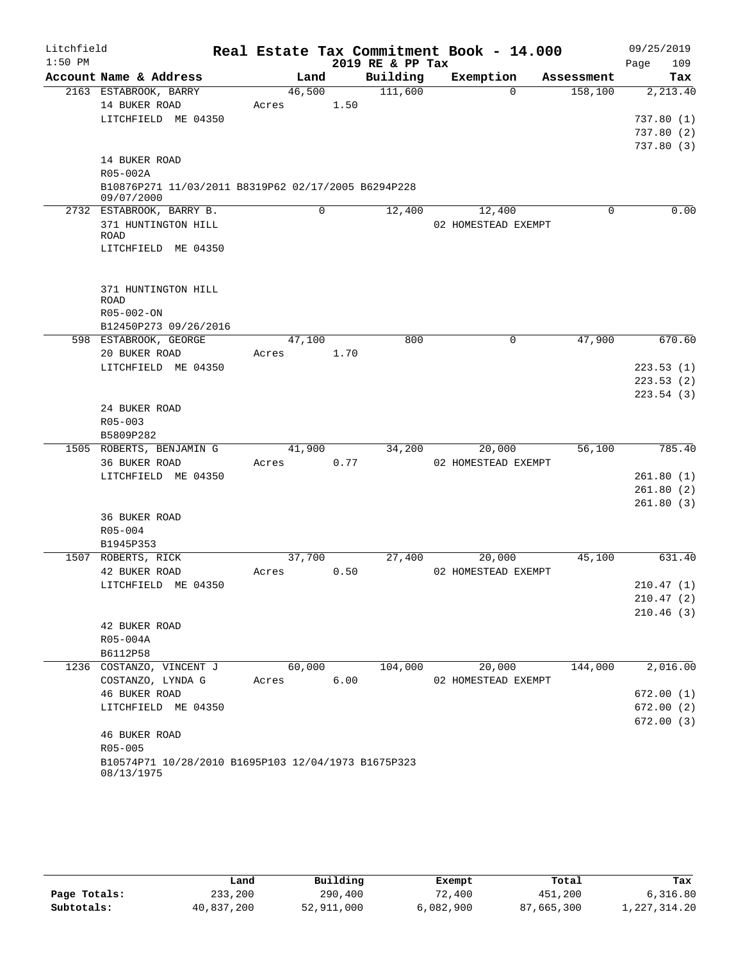| Litchfield |                                                     |        |   |      | Real Estate Tax Commitment Book - 14.000 |                     |          |            |      | 09/25/2019             |
|------------|-----------------------------------------------------|--------|---|------|------------------------------------------|---------------------|----------|------------|------|------------------------|
| $1:50$ PM  |                                                     |        |   |      | 2019 RE & PP Tax                         |                     |          |            | Page | 109                    |
|            | Account Name & Address                              | Land   |   |      | Building                                 | Exemption           |          | Assessment |      | Tax                    |
|            | 2163 ESTABROOK, BARRY                               | 46,500 |   |      | 111,600                                  |                     | $\Omega$ | 158,100    |      | 2,213.40               |
|            | 14 BUKER ROAD                                       | Acres  |   | 1.50 |                                          |                     |          |            |      |                        |
|            | LITCHFIELD ME 04350                                 |        |   |      |                                          |                     |          |            |      | 737.80(1)              |
|            |                                                     |        |   |      |                                          |                     |          |            |      | 737.80(2)<br>737.80(3) |
|            | 14 BUKER ROAD                                       |        |   |      |                                          |                     |          |            |      |                        |
|            | R05-002A                                            |        |   |      |                                          |                     |          |            |      |                        |
|            | B10876P271 11/03/2011 B8319P62 02/17/2005 B6294P228 |        |   |      |                                          |                     |          |            |      |                        |
|            | 09/07/2000                                          |        |   |      |                                          |                     |          |            |      |                        |
|            | 2732 ESTABROOK, BARRY B.                            |        | 0 |      | 12,400                                   | 12,400              |          | $\Omega$   |      | 0.00                   |
|            | 371 HUNTINGTON HILL                                 |        |   |      |                                          | 02 HOMESTEAD EXEMPT |          |            |      |                        |
|            | <b>ROAD</b><br>LITCHFIELD ME 04350                  |        |   |      |                                          |                     |          |            |      |                        |
|            |                                                     |        |   |      |                                          |                     |          |            |      |                        |
|            |                                                     |        |   |      |                                          |                     |          |            |      |                        |
|            | 371 HUNTINGTON HILL                                 |        |   |      |                                          |                     |          |            |      |                        |
|            | <b>ROAD</b>                                         |        |   |      |                                          |                     |          |            |      |                        |
|            | R05-002-ON                                          |        |   |      |                                          |                     |          |            |      |                        |
|            | B12450P273 09/26/2016<br>598 ESTABROOK, GEORGE      | 47,100 |   |      | 800                                      |                     | 0        | 47,900     |      | 670.60                 |
|            | 20 BUKER ROAD                                       | Acres  |   | 1.70 |                                          |                     |          |            |      |                        |
|            | LITCHFIELD ME 04350                                 |        |   |      |                                          |                     |          |            |      | 223.53(1)              |
|            |                                                     |        |   |      |                                          |                     |          |            |      | 223.53(2)              |
|            |                                                     |        |   |      |                                          |                     |          |            |      | 223.54(3)              |
|            | 24 BUKER ROAD                                       |        |   |      |                                          |                     |          |            |      |                        |
|            | $R05 - 003$                                         |        |   |      |                                          |                     |          |            |      |                        |
|            | B5809P282                                           |        |   |      |                                          |                     |          |            |      |                        |
|            | 1505 ROBERTS, BENJAMIN G                            | 41,900 |   |      | 34,200                                   | 20,000              |          | 56,100     |      | 785.40                 |
|            | 36 BUKER ROAD                                       | Acres  |   | 0.77 |                                          | 02 HOMESTEAD EXEMPT |          |            |      |                        |
|            | LITCHFIELD ME 04350                                 |        |   |      |                                          |                     |          |            |      | 261.80(1)              |
|            |                                                     |        |   |      |                                          |                     |          |            |      | 261.80(2)              |
|            | 36 BUKER ROAD                                       |        |   |      |                                          |                     |          |            |      | 261.80(3)              |
|            | $R05 - 004$                                         |        |   |      |                                          |                     |          |            |      |                        |
|            | B1945P353                                           |        |   |      |                                          |                     |          |            |      |                        |
|            | 1507 ROBERTS, RICK                                  | 37,700 |   |      | 27,400                                   | 20,000              |          | 45,100     |      | 631.40                 |
|            | 42 BUKER ROAD                                       | Acres  |   | 0.50 |                                          | 02 HOMESTEAD EXEMPT |          |            |      |                        |
|            | LITCHFIELD ME 04350                                 |        |   |      |                                          |                     |          |            |      | 210.47(1)              |
|            |                                                     |        |   |      |                                          |                     |          |            |      | 210.47(2)              |
|            |                                                     |        |   |      |                                          |                     |          |            |      | 210.46(3)              |
|            | 42 BUKER ROAD                                       |        |   |      |                                          |                     |          |            |      |                        |
|            | R05-004A                                            |        |   |      |                                          |                     |          |            |      |                        |
|            | B6112P58<br>1236 COSTANZO, VINCENT J                | 60,000 |   |      | 104,000                                  | 20,000              |          | 144,000    |      | 2,016.00               |
|            | COSTANZO, LYNDA G                                   | Acres  |   | 6.00 |                                          | 02 HOMESTEAD EXEMPT |          |            |      |                        |
|            | 46 BUKER ROAD                                       |        |   |      |                                          |                     |          |            |      | 672.00(1)              |
|            | LITCHFIELD ME 04350                                 |        |   |      |                                          |                     |          |            |      | 672.00(2)              |
|            |                                                     |        |   |      |                                          |                     |          |            |      | 672.00(3)              |
|            | 46 BUKER ROAD                                       |        |   |      |                                          |                     |          |            |      |                        |
|            | R05-005                                             |        |   |      |                                          |                     |          |            |      |                        |
|            | B10574P71 10/28/2010 B1695P103 12/04/1973 B1675P323 |        |   |      |                                          |                     |          |            |      |                        |
|            | 08/13/1975                                          |        |   |      |                                          |                     |          |            |      |                        |
|            |                                                     |        |   |      |                                          |                     |          |            |      |                        |

|              | Land       | Building   | Exempt    | Total      | Tax          |
|--------------|------------|------------|-----------|------------|--------------|
| Page Totals: | 233,200    | 290,400    | 72,400    | 451,200    | 6,316.80     |
| Subtotals:   | 40,837,200 | 52,911,000 | 6,082,900 | 87,665,300 | 1,227,314.20 |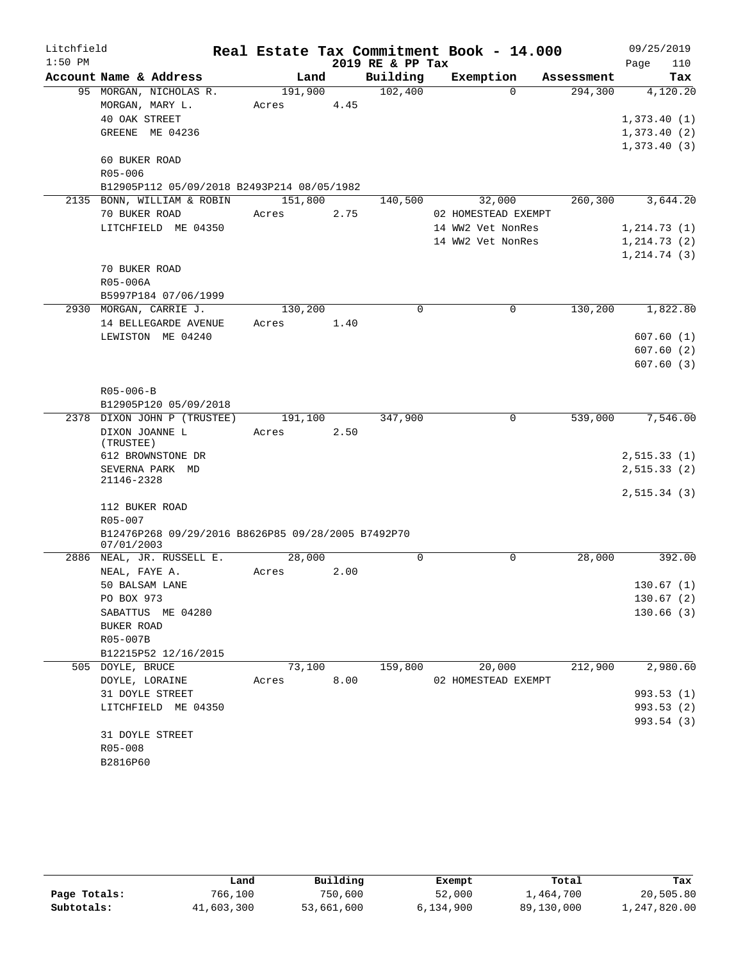| Litchfield |                                                    |            |        |                  | Real Estate Tax Commitment Book - 14.000 |                      | 09/25/2019   |
|------------|----------------------------------------------------|------------|--------|------------------|------------------------------------------|----------------------|--------------|
| $1:50$ PM  |                                                    |            |        | 2019 RE & PP Tax |                                          |                      | Page<br>110  |
|            | Account Name & Address                             | Land       |        | Building         | Exemption                                | Assessment           | Tax          |
|            | 95 MORGAN, NICHOLAS R.                             | 191,900    |        | 102,400          | $\Omega$                                 | 294,300              | 4,120.20     |
|            | MORGAN, MARY L.                                    | Acres      | 4.45   |                  |                                          |                      |              |
|            | 40 OAK STREET                                      |            |        |                  |                                          |                      | 1,373.40(1)  |
|            | GREENE ME 04236                                    |            |        |                  |                                          |                      | 1,373.40(2)  |
|            |                                                    |            |        |                  |                                          |                      | 1,373.40(3)  |
|            | 60 BUKER ROAD                                      |            |        |                  |                                          |                      |              |
|            | R05-006                                            |            |        |                  |                                          |                      |              |
|            | B12905P112 05/09/2018 B2493P214 08/05/1982         |            |        |                  |                                          |                      |              |
|            | 2135 BONN, WILLIAM & ROBIN                         | 151,800    |        | 140,500          | 32,000                                   | 260,300              | 3,644.20     |
|            | 70 BUKER ROAD                                      | Acres      | 2.75   |                  | 02 HOMESTEAD EXEMPT                      |                      |              |
|            | LITCHFIELD ME 04350                                |            |        |                  | 14 WW2 Vet NonRes                        |                      | 1, 214.73(1) |
|            |                                                    |            |        |                  | 14 WW2 Vet NonRes                        |                      | 1, 214.73(2) |
|            |                                                    |            |        |                  |                                          |                      | 1, 214.74(3) |
|            | 70 BUKER ROAD<br>R05-006A                          |            |        |                  |                                          |                      |              |
|            | B5997P184 07/06/1999                               |            |        |                  |                                          |                      |              |
|            | 2930 MORGAN, CARRIE J.                             | 130,200    |        | $\Omega$         | $\Omega$                                 | $1\overline{30,200}$ | 1,822.80     |
|            | 14 BELLEGARDE AVENUE                               | Acres      | 1.40   |                  |                                          |                      |              |
|            | LEWISTON ME 04240                                  |            |        |                  |                                          |                      | 607.60(1)    |
|            |                                                    |            |        |                  |                                          |                      | 607.60(2)    |
|            |                                                    |            |        |                  |                                          |                      | 607.60(3)    |
|            |                                                    |            |        |                  |                                          |                      |              |
|            | $R05 - 006 - B$                                    |            |        |                  |                                          |                      |              |
|            | B12905P120 05/09/2018                              |            |        |                  |                                          |                      |              |
|            | 2378 DIXON JOHN P (TRUSTEE)                        | 191,100    |        | 347,900          | 0                                        | 539,000              | 7,546.00     |
|            | DIXON JOANNE L                                     | Acres      | 2.50   |                  |                                          |                      |              |
|            | (TRUSTEE)                                          |            |        |                  |                                          |                      |              |
|            | 612 BROWNSTONE DR                                  |            |        |                  |                                          |                      | 2,515.33(1)  |
|            | SEVERNA PARK MD                                    |            |        |                  |                                          |                      | 2, 515.33(2) |
|            | 21146-2328                                         |            |        |                  |                                          |                      | 2,515.34(3)  |
|            | 112 BUKER ROAD                                     |            |        |                  |                                          |                      |              |
|            | R05-007                                            |            |        |                  |                                          |                      |              |
|            | B12476P268 09/29/2016 B8626P85 09/28/2005 B7492P70 |            |        |                  |                                          |                      |              |
|            | 07/01/2003                                         |            |        |                  |                                          |                      |              |
|            | 2886 NEAL, JR. RUSSELL E.                          | 28,000     |        | $\Omega$         | $\Omega$                                 | 28,000               | 392.00       |
|            | NEAL, FAYE A.                                      | Acres      | 2.00   |                  |                                          |                      |              |
|            | 50 BALSAM LANE                                     |            |        |                  |                                          |                      | 130.67(1)    |
|            | PO BOX 973                                         |            |        |                  |                                          |                      | 130.67(2)    |
|            | SABATTUS ME 04280                                  |            |        |                  |                                          |                      | 130.66(3)    |
|            | BUKER ROAD                                         |            |        |                  |                                          |                      |              |
|            | R05-007B                                           |            |        |                  |                                          |                      |              |
|            | B12215P52 12/16/2015                               |            |        |                  |                                          |                      |              |
|            | 505 DOYLE, BRUCE                                   |            | 73,100 |                  | 159,800 20,000                           | 212,900              | 2,980.60     |
|            | DOYLE, LORAINE                                     | Acres 8.00 |        |                  | 02 HOMESTEAD EXEMPT                      |                      |              |
|            | 31 DOYLE STREET                                    |            |        |                  |                                          |                      | 993.53 (1)   |
|            | LITCHFIELD ME 04350                                |            |        |                  |                                          |                      | 993.53 (2)   |
|            |                                                    |            |        |                  |                                          |                      | 993.54 (3)   |
|            | 31 DOYLE STREET                                    |            |        |                  |                                          |                      |              |
|            | R05-008                                            |            |        |                  |                                          |                      |              |
|            | B2816P60                                           |            |        |                  |                                          |                      |              |

|              | Land       | Building   | Exempt    | Total      | Tax          |
|--------------|------------|------------|-----------|------------|--------------|
| Page Totals: | 766,100    | 750,600    | 52,000    | 1,464,700  | 20,505.80    |
| Subtotals:   | 41,603,300 | 53,661,600 | 6,134,900 | 89,130,000 | 1,247,820.00 |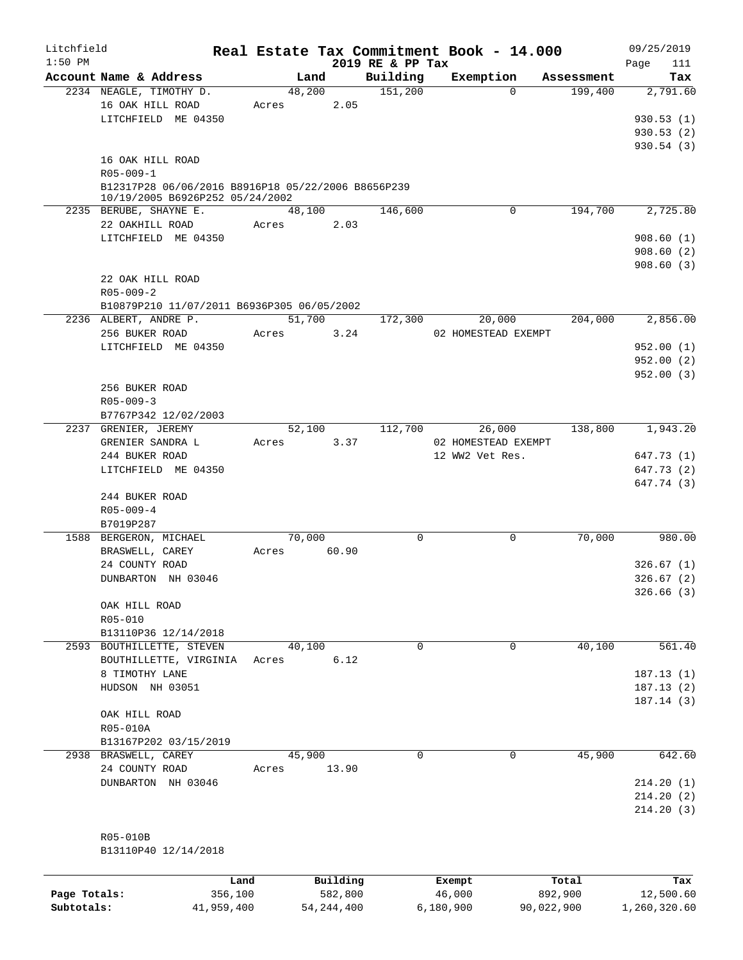| Litchfield   |                                                    |             |          |                              | Real Estate Tax Commitment Book - 14.000 |            | 09/25/2019         |
|--------------|----------------------------------------------------|-------------|----------|------------------------------|------------------------------------------|------------|--------------------|
| $1:50$ PM    | Account Name & Address                             | Land        |          | 2019 RE & PP Tax<br>Building | Exemption                                | Assessment | Page<br>111<br>Tax |
|              | 2234 NEAGLE, TIMOTHY D.                            | 48,200      |          | 151,200                      | $\Omega$                                 | 199,400    | 2,791.60           |
|              | 16 OAK HILL ROAD                                   | Acres       | 2.05     |                              |                                          |            |                    |
|              | LITCHFIELD ME 04350                                |             |          |                              |                                          |            | 930.53(1)          |
|              |                                                    |             |          |                              |                                          |            | 930.53(2)          |
|              |                                                    |             |          |                              |                                          |            | 930.54(3)          |
|              | 16 OAK HILL ROAD                                   |             |          |                              |                                          |            |                    |
|              | $R05 - 009 - 1$                                    |             |          |                              |                                          |            |                    |
|              | B12317P28 06/06/2016 B8916P18 05/22/2006 B8656P239 |             |          |                              |                                          |            |                    |
|              | 10/19/2005 B6926P252 05/24/2002                    |             |          |                              |                                          |            |                    |
|              | 2235 BERUBE, SHAYNE E.                             | 48,100      |          | 146,600                      | 0                                        | 194,700    | 2,725.80           |
|              | 22 OAKHILL ROAD                                    | Acres       | 2.03     |                              |                                          |            |                    |
|              | LITCHFIELD ME 04350                                |             |          |                              |                                          |            | 908.60(1)          |
|              |                                                    |             |          |                              |                                          |            | 908.60(2)          |
|              |                                                    |             |          |                              |                                          |            | 908.60(3)          |
|              | 22 OAK HILL ROAD                                   |             |          |                              |                                          |            |                    |
|              | $R05 - 009 - 2$                                    |             |          |                              |                                          |            |                    |
|              | B10879P210 11/07/2011 B6936P305 06/05/2002         |             |          |                              |                                          |            |                    |
|              | 2236 ALBERT, ANDRE P.                              | 51,700      |          | 172,300                      | 20,000                                   | 204,000    | 2,856.00           |
|              | 256 BUKER ROAD                                     | Acres 3.24  |          |                              | 02 HOMESTEAD EXEMPT                      |            |                    |
|              | LITCHFIELD ME 04350                                |             |          |                              |                                          |            | 952.00(1)          |
|              |                                                    |             |          |                              |                                          |            | 952.00(2)          |
|              |                                                    |             |          |                              |                                          |            | 952.00(3)          |
|              | 256 BUKER ROAD                                     |             |          |                              |                                          |            |                    |
|              | $R05 - 009 - 3$                                    |             |          |                              |                                          |            |                    |
|              | B7767P342 12/02/2003                               |             |          |                              |                                          |            |                    |
|              | 2237 GRENIER, JEREMY                               |             | 52,100   | 112,700                      | 26,000                                   | 138,800    | 1,943.20           |
|              | GRENIER SANDRA L                                   | Acres       | 3.37     |                              | 02 HOMESTEAD EXEMPT                      |            |                    |
|              | 244 BUKER ROAD                                     |             |          |                              | 12 WW2 Vet Res.                          |            | 647.73 (1)         |
|              | LITCHFIELD ME 04350                                |             |          |                              |                                          |            | 647.73 (2)         |
|              |                                                    |             |          |                              |                                          |            | 647.74 (3)         |
|              | 244 BUKER ROAD                                     |             |          |                              |                                          |            |                    |
|              | $R05 - 009 - 4$                                    |             |          |                              |                                          |            |                    |
|              | B7019P287<br>1588 BERGERON, MICHAEL                | 70,000      |          | 0                            | 0                                        | 70,000     | 980.00             |
|              | BRASWELL, CAREY                                    | Acres 60.90 |          |                              |                                          |            |                    |
|              | 24 COUNTY ROAD                                     |             |          |                              |                                          |            | 326.67(1)          |
|              | DUNBARTON NH 03046                                 |             |          |                              |                                          |            | 326.67(2)          |
|              |                                                    |             |          |                              |                                          |            | 326.66(3)          |
|              | OAK HILL ROAD                                      |             |          |                              |                                          |            |                    |
|              | R05-010                                            |             |          |                              |                                          |            |                    |
|              | B13110P36 12/14/2018                               |             |          |                              |                                          |            |                    |
|              | 2593 BOUTHILLETTE, STEVEN                          | 40,100      |          | 0                            | 0                                        | 40,100     | 561.40             |
|              | BOUTHILLETTE, VIRGINIA                             | Acres       | 6.12     |                              |                                          |            |                    |
|              | 8 TIMOTHY LANE                                     |             |          |                              |                                          |            | 187.13(1)          |
|              | HUDSON NH 03051                                    |             |          |                              |                                          |            | 187.13(2)          |
|              |                                                    |             |          |                              |                                          |            | 187.14(3)          |
|              | OAK HILL ROAD                                      |             |          |                              |                                          |            |                    |
|              | R05-010A                                           |             |          |                              |                                          |            |                    |
|              | B13167P202 03/15/2019                              |             |          |                              |                                          |            |                    |
|              | 2938 BRASWELL, CAREY                               | 45,900      |          | $\Omega$                     | $\Omega$                                 | 45,900     | 642.60             |
|              | 24 COUNTY ROAD                                     | Acres       | 13.90    |                              |                                          |            |                    |
|              | DUNBARTON NH 03046                                 |             |          |                              |                                          |            | 214.20(1)          |
|              |                                                    |             |          |                              |                                          |            | 214.20(2)          |
|              |                                                    |             |          |                              |                                          |            | 214.20(3)          |
|              |                                                    |             |          |                              |                                          |            |                    |
|              | R05-010B                                           |             |          |                              |                                          |            |                    |
|              | B13110P40 12/14/2018                               |             |          |                              |                                          |            |                    |
|              |                                                    |             |          |                              |                                          |            |                    |
|              |                                                    | Land        | Building |                              | Exempt                                   | Total      | Tax                |
| Page Totals: | 356,100                                            |             | 582,800  |                              | 46,000                                   | 892,900    | 12,500.60          |
|              |                                                    |             |          |                              |                                          |            |                    |

**Subtotals:** 41,959,400 54,244,400 6,180,900 90,022,900 1,260,320.60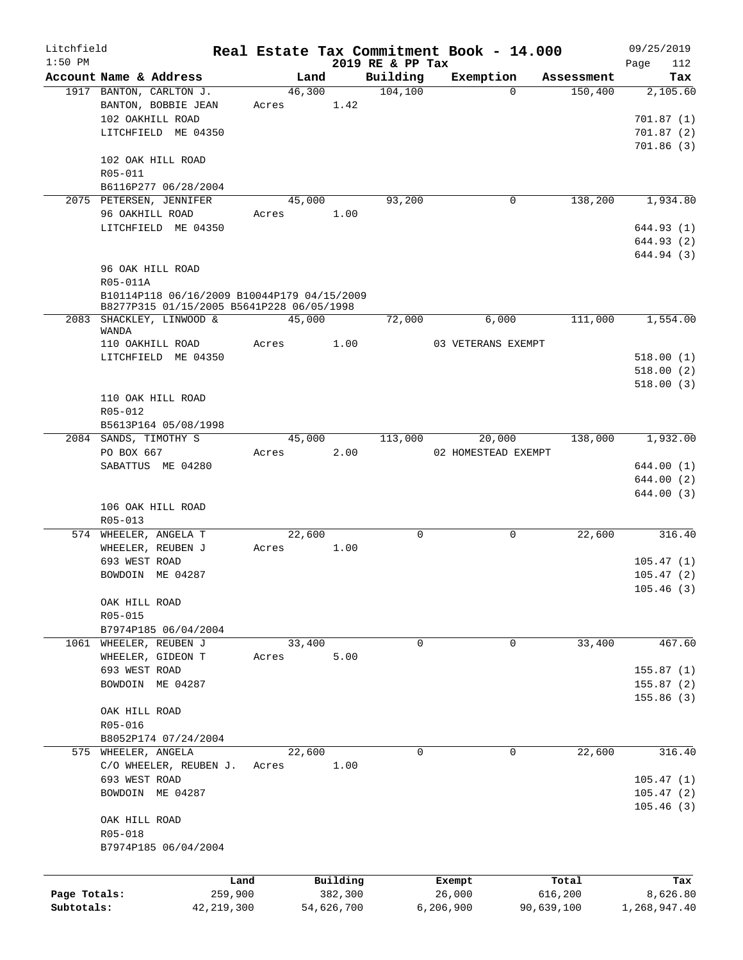| Litchfield   |                                                   |         |                |            |                      | Real Estate Tax Commitment Book - 14.000 |                       | 09/25/2019      |
|--------------|---------------------------------------------------|---------|----------------|------------|----------------------|------------------------------------------|-----------------------|-----------------|
| $1:50$ PM    |                                                   |         |                |            | 2019 RE & PP Tax     |                                          |                       | 112<br>Page     |
|              | Account Name & Address<br>1917 BANTON, CARLTON J. |         | Land<br>46,300 |            | Building<br>104, 100 | Exemption<br>$\Omega$                    | Assessment<br>150,400 | Tax<br>2,105.60 |
|              | BANTON, BOBBIE JEAN                               |         | Acres 1.42     |            |                      |                                          |                       |                 |
|              | 102 OAKHILL ROAD                                  |         |                |            |                      |                                          |                       | 701.87(1)       |
|              | LITCHFIELD ME 04350                               |         |                |            |                      |                                          |                       | 701.87(2)       |
|              |                                                   |         |                |            |                      |                                          |                       | 701.86(3)       |
|              | 102 OAK HILL ROAD                                 |         |                |            |                      |                                          |                       |                 |
|              | R05-011                                           |         |                |            |                      |                                          |                       |                 |
|              | B6116P277 06/28/2004                              |         |                |            |                      |                                          |                       |                 |
|              | 2075 PETERSEN, JENNIFER                           |         | 45,000         |            | 93,200               | 0                                        | 138,200               | 1,934.80        |
|              | 96 OAKHILL ROAD                                   | Acres   |                | 1.00       |                      |                                          |                       |                 |
|              | LITCHFIELD ME 04350                               |         |                |            |                      |                                          |                       | 644.93 (1)      |
|              |                                                   |         |                |            |                      |                                          |                       | 644.93 (2)      |
|              |                                                   |         |                |            |                      |                                          |                       | 644.94 (3)      |
|              | 96 OAK HILL ROAD                                  |         |                |            |                      |                                          |                       |                 |
|              | R05-011A                                          |         |                |            |                      |                                          |                       |                 |
|              | B10114P118 06/16/2009 B10044P179 04/15/2009       |         |                |            |                      |                                          |                       |                 |
|              | B8277P315 01/15/2005 B5641P228 06/05/1998         |         |                |            |                      |                                          |                       |                 |
|              | 2083 SHACKLEY, LINWOOD &                          |         | 45,000         |            | 72,000               | 6,000                                    | 111,000               | 1,554.00        |
|              | WANDA                                             |         |                |            |                      |                                          |                       |                 |
|              | 110 OAKHILL ROAD                                  | Acres   |                | 1.00       |                      | 03 VETERANS EXEMPT                       |                       |                 |
|              | LITCHFIELD ME 04350                               |         |                |            |                      |                                          |                       | 518.00(1)       |
|              |                                                   |         |                |            |                      |                                          |                       | 518.00(2)       |
|              |                                                   |         |                |            |                      |                                          |                       | 518.00(3)       |
|              | 110 OAK HILL ROAD                                 |         |                |            |                      |                                          |                       |                 |
|              | R05-012                                           |         |                |            |                      |                                          |                       |                 |
|              | B5613P164 05/08/1998                              |         |                |            |                      |                                          |                       |                 |
|              | 2084 SANDS, TIMOTHY S                             |         | 45,000         |            | 113,000              | 20,000                                   | 138,000               | 1,932.00        |
|              | PO BOX 667                                        |         | Acres          | 2.00       |                      | 02 HOMESTEAD EXEMPT                      |                       |                 |
|              | SABATTUS ME 04280                                 |         |                |            |                      |                                          |                       | 644.00 (1)      |
|              |                                                   |         |                |            |                      |                                          |                       | 644.00 (2)      |
|              |                                                   |         |                |            |                      |                                          |                       | 644.00(3)       |
|              | 106 OAK HILL ROAD                                 |         |                |            |                      |                                          |                       |                 |
|              | R05-013                                           |         |                |            |                      |                                          |                       |                 |
|              | 574 WHEELER, ANGELA T<br>WHEELER, REUBEN J        |         | 22,600         |            | 0                    | 0                                        | 22,600                | 316.40          |
|              | 693 WEST ROAD                                     | Acres   |                | 1.00       |                      |                                          |                       | 105.47(1)       |
|              | BOWDOIN ME 04287                                  |         |                |            |                      |                                          |                       | 105.47(2)       |
|              |                                                   |         |                |            |                      |                                          |                       | 105.46(3)       |
|              | OAK HILL ROAD                                     |         |                |            |                      |                                          |                       |                 |
|              | R05-015                                           |         |                |            |                      |                                          |                       |                 |
|              | B7974P185 06/04/2004                              |         |                |            |                      |                                          |                       |                 |
| 1061         | WHEELER, REUBEN J                                 |         | 33,400         |            | 0                    | 0                                        | 33,400                | 467.60          |
|              | WHEELER, GIDEON T                                 | Acres   |                | 5.00       |                      |                                          |                       |                 |
|              | 693 WEST ROAD                                     |         |                |            |                      |                                          |                       | 155.87(1)       |
|              | BOWDOIN ME 04287                                  |         |                |            |                      |                                          |                       | 155.87(2)       |
|              |                                                   |         |                |            |                      |                                          |                       | 155.86 (3)      |
|              | OAK HILL ROAD                                     |         |                |            |                      |                                          |                       |                 |
|              | R05-016                                           |         |                |            |                      |                                          |                       |                 |
|              | B8052P174 07/24/2004                              |         |                |            |                      |                                          |                       |                 |
|              | 575 WHEELER, ANGELA                               |         | 22,600         |            | $\mathsf{O}$         | 0                                        | 22,600                | 316.40          |
|              | C/O WHEELER, REUBEN J.                            | Acres   |                | 1.00       |                      |                                          |                       |                 |
|              | 693 WEST ROAD                                     |         |                |            |                      |                                          |                       | 105.47(1)       |
|              | BOWDOIN ME 04287                                  |         |                |            |                      |                                          |                       | 105.47(2)       |
|              |                                                   |         |                |            |                      |                                          |                       | 105.46(3)       |
|              | OAK HILL ROAD                                     |         |                |            |                      |                                          |                       |                 |
|              | R05-018                                           |         |                |            |                      |                                          |                       |                 |
|              | B7974P185 06/04/2004                              |         |                |            |                      |                                          |                       |                 |
|              |                                                   |         |                |            |                      |                                          |                       |                 |
|              |                                                   |         |                |            |                      |                                          |                       |                 |
|              |                                                   | Land    |                | Building   |                      | Exempt                                   | Total                 | Tax             |
| Page Totals: |                                                   | 259,900 |                | 382,300    |                      | 26,000                                   | 616,200               | 8,626.80        |
| Subtotals:   | 42, 219, 300                                      |         |                | 54,626,700 |                      | 6,206,900                                | 90,639,100            | 1,268,947.40    |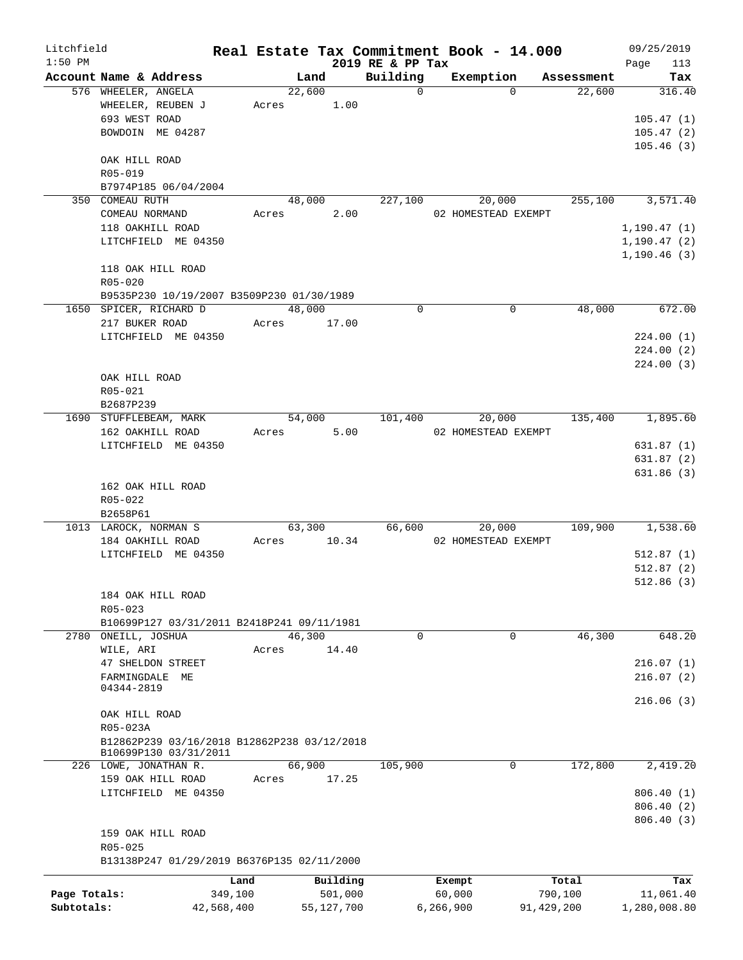| Litchfield   |                                                              |            |       |        |              | Real Estate Tax Commitment Book - 14.000 |                     |             |            |              | 09/25/2019   |
|--------------|--------------------------------------------------------------|------------|-------|--------|--------------|------------------------------------------|---------------------|-------------|------------|--------------|--------------|
| $1:50$ PM    |                                                              |            |       |        |              | 2019 RE & PP Tax                         |                     |             |            | Page         | 113          |
|              | Account Name & Address                                       |            |       | Land   |              | Building                                 | Exemption           |             | Assessment |              | Tax          |
|              | 576 WHEELER, ANGELA<br>WHEELER, REUBEN J                     |            |       | 22,600 | Acres 1.00   | $\Omega$                                 |                     | $\Omega$    | 22,600     |              | 316.40       |
|              | 693 WEST ROAD                                                |            |       |        |              |                                          |                     |             |            |              | 105.47(1)    |
|              | BOWDOIN ME 04287                                             |            |       |        |              |                                          |                     |             |            |              | 105.47(2)    |
|              |                                                              |            |       |        |              |                                          |                     |             |            |              | 105.46(3)    |
|              | OAK HILL ROAD                                                |            |       |        |              |                                          |                     |             |            |              |              |
|              | R05-019                                                      |            |       |        |              |                                          |                     |             |            |              |              |
|              | B7974P185 06/04/2004                                         |            |       |        |              |                                          |                     |             |            |              |              |
|              | 350 COMEAU RUTH                                              |            |       |        | 48,000       | 227,100                                  |                     | 20,000      | 255,100    |              | 3,571.40     |
|              | COMEAU NORMAND                                               |            |       | Acres  | 2.00         |                                          | 02 HOMESTEAD EXEMPT |             |            |              |              |
|              | 118 OAKHILL ROAD                                             |            |       |        |              |                                          |                     |             |            | 1, 190.47(1) |              |
|              | LITCHFIELD ME 04350                                          |            |       |        |              |                                          |                     |             |            |              | 1,190.47(2)  |
|              |                                                              |            |       |        |              |                                          |                     |             |            | 1, 190.46(3) |              |
|              | 118 OAK HILL ROAD                                            |            |       |        |              |                                          |                     |             |            |              |              |
|              | $R05 - 020$                                                  |            |       |        |              |                                          |                     |             |            |              |              |
|              | B9535P230 10/19/2007 B3509P230 01/30/1989                    |            |       |        |              |                                          |                     |             |            |              |              |
|              | 1650 SPICER, RICHARD D                                       |            |       | 48,000 |              | $\Omega$                                 |                     | $\Omega$    | 48,000     |              | 672.00       |
|              | 217 BUKER ROAD                                               |            | Acres |        | 17.00        |                                          |                     |             |            |              |              |
|              | LITCHFIELD ME 04350                                          |            |       |        |              |                                          |                     |             |            |              | 224.00(1)    |
|              |                                                              |            |       |        |              |                                          |                     |             |            |              | 224.00(2)    |
|              |                                                              |            |       |        |              |                                          |                     |             |            |              | 224.00(3)    |
|              | OAK HILL ROAD                                                |            |       |        |              |                                          |                     |             |            |              |              |
|              | R05-021                                                      |            |       |        |              |                                          |                     |             |            |              |              |
|              | B2687P239                                                    |            |       |        |              |                                          |                     |             |            |              |              |
|              | 1690 STUFFLEBEAM, MARK                                       |            |       | 54,000 |              | 101,400                                  |                     | 20,000      | 135,400    |              | 1,895.60     |
|              | 162 OAKHILL ROAD                                             |            |       | Acres  | 5.00         |                                          | 02 HOMESTEAD EXEMPT |             |            |              |              |
|              | LITCHFIELD ME 04350                                          |            |       |        |              |                                          |                     |             |            |              | 631.87(1)    |
|              |                                                              |            |       |        |              |                                          |                     |             |            |              | 631.87(2)    |
|              |                                                              |            |       |        |              |                                          |                     |             |            |              | 631.86(3)    |
|              | 162 OAK HILL ROAD                                            |            |       |        |              |                                          |                     |             |            |              |              |
|              | R05-022                                                      |            |       |        |              |                                          |                     |             |            |              |              |
|              | B2658P61                                                     |            |       |        |              |                                          |                     |             |            |              |              |
|              | 1013 LAROCK, NORMAN S                                        |            |       | 63,300 |              | 66,600                                   |                     | 20,000      | 109,900    |              | 1,538.60     |
|              | 184 OAKHILL ROAD                                             |            | Acres |        | 10.34        |                                          | 02 HOMESTEAD EXEMPT |             |            |              |              |
|              | LITCHFIELD ME 04350                                          |            |       |        |              |                                          |                     |             |            |              | 512.87(1)    |
|              |                                                              |            |       |        |              |                                          |                     |             |            |              | 512.87(2)    |
|              |                                                              |            |       |        |              |                                          |                     |             |            |              | 512.86(3)    |
|              | 184 OAK HILL ROAD                                            |            |       |        |              |                                          |                     |             |            |              |              |
|              | R05-023                                                      |            |       |        |              |                                          |                     |             |            |              |              |
|              | B10699P127 03/31/2011 B2418P241 09/11/1981<br>ONEILL, JOSHUA |            |       | 46,300 |              | 0                                        |                     | $\mathbf 0$ | 46,300     |              | 648.20       |
| 2780         |                                                              |            |       |        |              |                                          |                     |             |            |              |              |
|              | WILE, ARI                                                    |            | Acres |        | 14.40        |                                          |                     |             |            |              |              |
|              | 47 SHELDON STREET                                            |            |       |        |              |                                          |                     |             |            |              | 216.07(1)    |
|              | FARMINGDALE<br>МE<br>04344-2819                              |            |       |        |              |                                          |                     |             |            |              | 216.07(2)    |
|              |                                                              |            |       |        |              |                                          |                     |             |            |              | 216.06(3)    |
|              | OAK HILL ROAD                                                |            |       |        |              |                                          |                     |             |            |              |              |
|              | R05-023A                                                     |            |       |        |              |                                          |                     |             |            |              |              |
|              | B12862P239 03/16/2018 B12862P238 03/12/2018                  |            |       |        |              |                                          |                     |             |            |              |              |
|              | B10699P130 03/31/2011                                        |            |       |        |              |                                          |                     |             |            |              |              |
|              | 226 LOWE, JONATHAN R.                                        |            |       | 66,900 |              | 105,900                                  |                     | $\mathbf 0$ | 172,800    |              | 2,419.20     |
|              | 159 OAK HILL ROAD                                            |            | Acres |        | 17.25        |                                          |                     |             |            |              |              |
|              | LITCHFIELD ME 04350                                          |            |       |        |              |                                          |                     |             |            |              | 806.40 (1)   |
|              |                                                              |            |       |        |              |                                          |                     |             |            |              | 806.40 (2)   |
|              |                                                              |            |       |        |              |                                          |                     |             |            |              | 806.40 (3)   |
|              | 159 OAK HILL ROAD                                            |            |       |        |              |                                          |                     |             |            |              |              |
|              | R05-025                                                      |            |       |        |              |                                          |                     |             |            |              |              |
|              | B13138P247 01/29/2019 B6376P135 02/11/2000                   |            |       |        |              |                                          |                     |             |            |              |              |
|              |                                                              | Land       |       |        | Building     |                                          | Exempt              |             | Total      |              | Tax          |
| Page Totals: |                                                              | 349,100    |       |        | 501,000      |                                          | 60,000              |             | 790,100    |              | 11,061.40    |
| Subtotals:   |                                                              | 42,568,400 |       |        | 55, 127, 700 |                                          | 6,266,900           |             | 91,429,200 |              | 1,280,008.80 |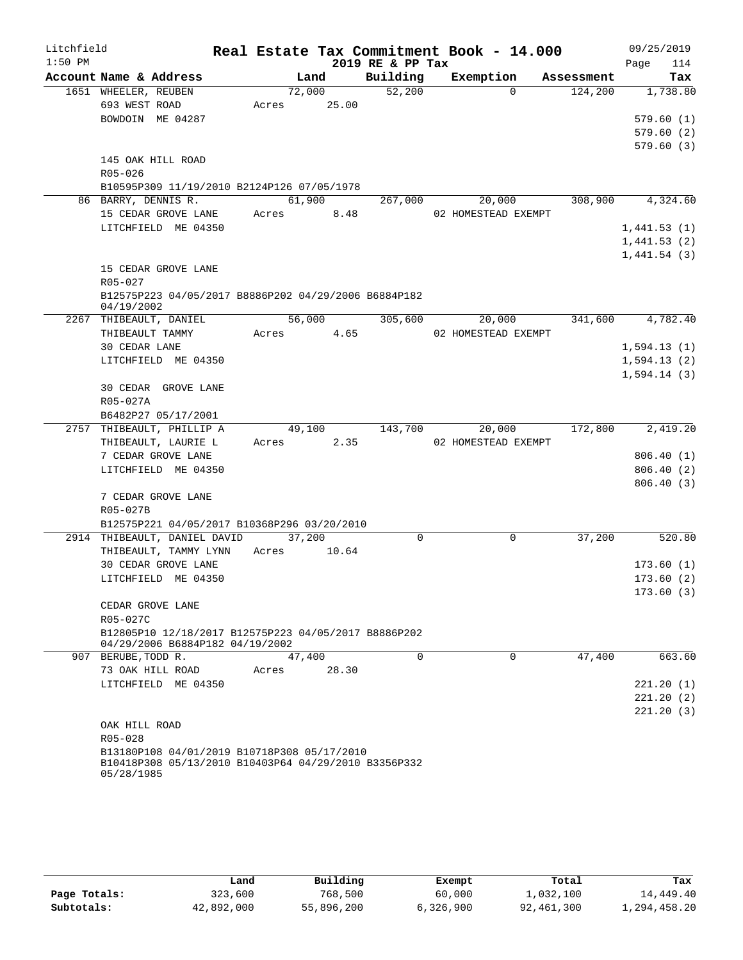| Litchfield |                      |                                                                                                     |       |             |                  | Real Estate Tax Commitment Book - 14.000 |          |            | 09/25/2019       |
|------------|----------------------|-----------------------------------------------------------------------------------------------------|-------|-------------|------------------|------------------------------------------|----------|------------|------------------|
| $1:50$ PM  |                      |                                                                                                     |       |             | 2019 RE & PP Tax |                                          |          |            | Page<br>114      |
|            |                      | Account Name & Address                                                                              |       | Land        | Building         | Exemption                                |          | Assessment | Tax              |
|            | 1651 WHEELER, REUBEN |                                                                                                     |       | 72,000      | 52,200           |                                          | $\Omega$ | 124,200    | 1,738.80         |
|            | 693 WEST ROAD        |                                                                                                     |       | Acres 25.00 |                  |                                          |          |            |                  |
|            |                      | BOWDOIN ME 04287                                                                                    |       |             |                  |                                          |          |            | 579.60(1)        |
|            |                      |                                                                                                     |       |             |                  |                                          |          |            | 579.60(2)        |
|            |                      |                                                                                                     |       |             |                  |                                          |          |            | 579.60(3)        |
|            |                      | 145 OAK HILL ROAD                                                                                   |       |             |                  |                                          |          |            |                  |
|            | R05-026              |                                                                                                     |       |             |                  |                                          |          |            |                  |
|            |                      | B10595P309 11/19/2010 B2124P126 07/05/1978<br>86 BARRY, DENNIS R.                                   |       | 61,900      | 267,000          |                                          | 20,000   | 308,900    | 4,324.60         |
|            |                      | 15 CEDAR GROVE LANE                                                                                 |       | Acres 8.48  |                  | 02 HOMESTEAD EXEMPT                      |          |            |                  |
|            |                      | LITCHFIELD ME 04350                                                                                 |       |             |                  |                                          |          |            | 1,441.53(1)      |
|            |                      |                                                                                                     |       |             |                  |                                          |          |            | 1,441.53(2)      |
|            |                      |                                                                                                     |       |             |                  |                                          |          |            | 1,441.54(3)      |
|            |                      | 15 CEDAR GROVE LANE                                                                                 |       |             |                  |                                          |          |            |                  |
|            | $R05 - 027$          |                                                                                                     |       |             |                  |                                          |          |            |                  |
|            |                      | B12575P223 04/05/2017 B8886P202 04/29/2006 B6884P182                                                |       |             |                  |                                          |          |            |                  |
|            | 04/19/2002           |                                                                                                     |       |             |                  |                                          |          |            |                  |
|            |                      | 2267 THIBEAULT, DANIEL                                                                              |       |             | 56,000 305,600   |                                          | 20,000   | 341,600    | 4,782.40         |
|            |                      | THIBEAULT TAMMY                                                                                     |       | Acres 4.65  |                  | 02 HOMESTEAD EXEMPT                      |          |            |                  |
|            | 30 CEDAR LANE        |                                                                                                     |       |             |                  |                                          |          |            | 1,594.13(1)      |
|            |                      | LITCHFIELD ME 04350                                                                                 |       |             |                  |                                          |          |            | 1,594.13(2)      |
|            |                      |                                                                                                     |       |             |                  |                                          |          |            | 1,594.14(3)      |
|            |                      | 30 CEDAR GROVE LANE                                                                                 |       |             |                  |                                          |          |            |                  |
|            | R05-027A             |                                                                                                     |       |             |                  |                                          |          |            |                  |
|            |                      | B6482P27 05/17/2001                                                                                 |       |             |                  |                                          |          |            |                  |
|            |                      | 2757 THIBEAULT, PHILLIP A                                                                           |       |             | 49,100 143,700   | 20,000                                   |          |            | 172,800 2,419.20 |
|            |                      | THIBEAULT, LAURIE L                                                                                 | Acres | 2.35        |                  | 02 HOMESTEAD EXEMPT                      |          |            |                  |
|            |                      | 7 CEDAR GROVE LANE                                                                                  |       |             |                  |                                          |          |            | 806.40(1)        |
|            |                      | LITCHFIELD ME 04350                                                                                 |       |             |                  |                                          |          |            | 806.40 (2)       |
|            |                      |                                                                                                     |       |             |                  |                                          |          |            | 806.40(3)        |
|            |                      | 7 CEDAR GROVE LANE                                                                                  |       |             |                  |                                          |          |            |                  |
|            | R05-027B             |                                                                                                     |       |             |                  |                                          |          |            |                  |
|            |                      | B12575P221 04/05/2017 B10368P296 03/20/2010<br>2914 THIBEAULT, DANIEL DAVID                         |       | 37,200      | 0                |                                          | 0        | 37,200     | 520.80           |
|            |                      | THIBEAULT, TAMMY LYNN                                                                               | Acres | 10.64       |                  |                                          |          |            |                  |
|            |                      | 30 CEDAR GROVE LANE                                                                                 |       |             |                  |                                          |          |            | 173.60(1)        |
|            |                      | LITCHFIELD ME 04350                                                                                 |       |             |                  |                                          |          |            | 173.60(2)        |
|            |                      |                                                                                                     |       |             |                  |                                          |          |            | 173.60(3)        |
|            |                      | CEDAR GROVE LANE                                                                                    |       |             |                  |                                          |          |            |                  |
|            | R05-027C             |                                                                                                     |       |             |                  |                                          |          |            |                  |
|            |                      | B12805P10 12/18/2017 B12575P223 04/05/2017 B8886P202                                                |       |             |                  |                                          |          |            |                  |
|            |                      | 04/29/2006 B6884P182 04/19/2002                                                                     |       |             |                  |                                          |          |            |                  |
| 907        | BERUBE, TODD R.      |                                                                                                     |       | 47,400      | $\Omega$         |                                          | $\Omega$ | 47,400     | 663.60           |
|            |                      | 73 OAK HILL ROAD                                                                                    | Acres | 28.30       |                  |                                          |          |            |                  |
|            |                      | LITCHFIELD ME 04350                                                                                 |       |             |                  |                                          |          |            | 221.20 (1)       |
|            |                      |                                                                                                     |       |             |                  |                                          |          |            | 221.20(2)        |
|            |                      |                                                                                                     |       |             |                  |                                          |          |            | 221.20(3)        |
|            | OAK HILL ROAD        |                                                                                                     |       |             |                  |                                          |          |            |                  |
|            | R05-028              |                                                                                                     |       |             |                  |                                          |          |            |                  |
|            | 05/28/1985           | B13180P108 04/01/2019 B10718P308 05/17/2010<br>B10418P308 05/13/2010 B10403P64 04/29/2010 B3356P332 |       |             |                  |                                          |          |            |                  |

|              | Land       | Building   | Exempt    | Total      | Tax          |
|--------------|------------|------------|-----------|------------|--------------|
| Page Totals: | 323,600    | 768,500    | 60,000    | 1,032,100  | 14,449.40    |
| Subtotals:   | 42,892,000 | 55,896,200 | 6,326,900 | 92,461,300 | 1,294,458.20 |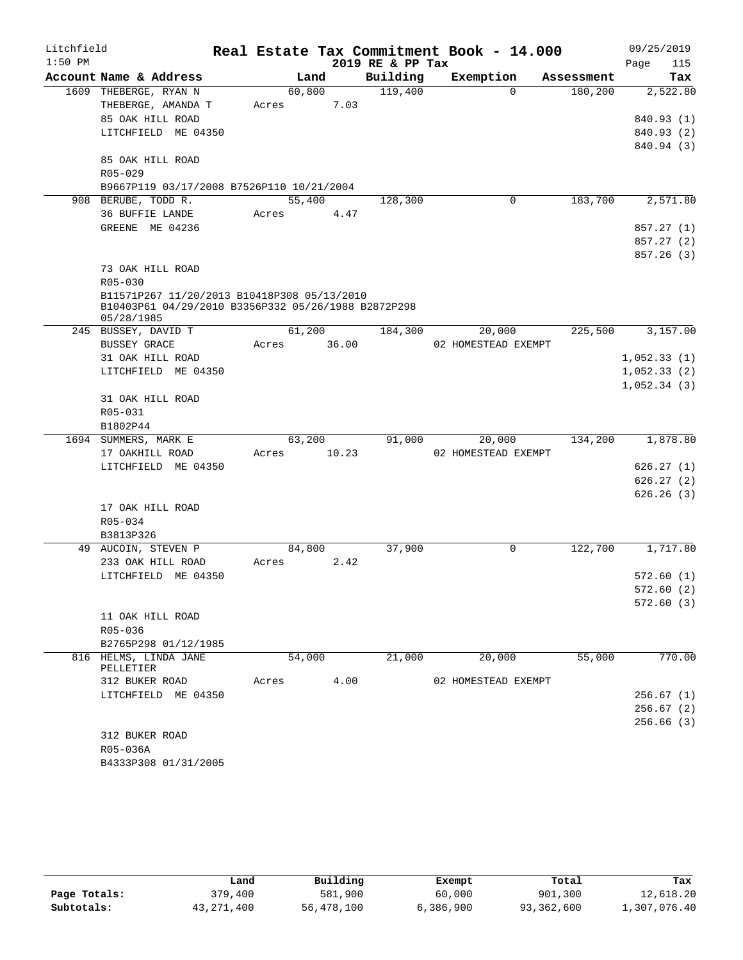| Litchfield |                                                                   |       |        |       | Real Estate Tax Commitment Book - 14.000 |                     |            |      | 09/25/2019  |
|------------|-------------------------------------------------------------------|-------|--------|-------|------------------------------------------|---------------------|------------|------|-------------|
| $1:50$ PM  |                                                                   |       |        |       | 2019 RE & PP Tax                         |                     |            | Page | 115         |
|            | Account Name & Address                                            |       | Land   |       | Building                                 | Exemption           | Assessment |      | Tax         |
|            | 1609 THEBERGE, RYAN N                                             |       | 60,800 |       | 119,400                                  | $\Omega$            | 180,200    |      | 2,522.80    |
|            | THEBERGE, AMANDA T                                                | Acres |        | 7.03  |                                          |                     |            |      |             |
|            | 85 OAK HILL ROAD                                                  |       |        |       |                                          |                     |            |      | 840.93 (1)  |
|            | LITCHFIELD ME 04350                                               |       |        |       |                                          |                     |            |      | 840.93 (2)  |
|            |                                                                   |       |        |       |                                          |                     |            |      | 840.94 (3)  |
|            | 85 OAK HILL ROAD                                                  |       |        |       |                                          |                     |            |      |             |
|            | R05-029                                                           |       |        |       |                                          |                     |            |      |             |
|            | B9667P119 03/17/2008 B7526P110 10/21/2004                         |       |        |       |                                          |                     |            |      |             |
|            | 908 BERUBE, TODD R.                                               |       | 55,400 |       | 128,300                                  | 0                   | 183,700    |      | 2,571.80    |
|            | 36 BUFFIE LANDE                                                   | Acres |        | 4.47  |                                          |                     |            |      |             |
|            | GREENE ME 04236                                                   |       |        |       |                                          |                     |            |      | 857.27(1)   |
|            |                                                                   |       |        |       |                                          |                     |            |      | 857.27 (2)  |
|            |                                                                   |       |        |       |                                          |                     |            |      | 857.26 (3)  |
|            | 73 OAK HILL ROAD                                                  |       |        |       |                                          |                     |            |      |             |
|            | $R05 - 030$                                                       |       |        |       |                                          |                     |            |      |             |
|            | B11571P267 11/20/2013 B10418P308 05/13/2010                       |       |        |       |                                          |                     |            |      |             |
|            | B10403P61 04/29/2010 B3356P332 05/26/1988 B2872P298<br>05/28/1985 |       |        |       |                                          |                     |            |      |             |
|            | 245 BUSSEY, DAVID T                                               |       | 61,200 |       | 184,300                                  | 20,000              | 225,500    |      | 3,157.00    |
|            | <b>BUSSEY GRACE</b>                                               | Acres |        | 36.00 |                                          | 02 HOMESTEAD EXEMPT |            |      |             |
|            | 31 OAK HILL ROAD                                                  |       |        |       |                                          |                     |            |      | 1,052.33(1) |
|            | LITCHFIELD ME 04350                                               |       |        |       |                                          |                     |            |      | 1,052.33(2) |
|            |                                                                   |       |        |       |                                          |                     |            |      | 1,052.34(3) |
|            | 31 OAK HILL ROAD                                                  |       |        |       |                                          |                     |            |      |             |
|            | R05-031                                                           |       |        |       |                                          |                     |            |      |             |
|            | B1802P44                                                          |       |        |       |                                          |                     |            |      |             |
|            | 1694 SUMMERS, MARK E                                              |       | 63,200 |       | 91,000                                   | 20,000              | 134,200    |      | 1,878.80    |
|            | 17 OAKHILL ROAD                                                   | Acres |        | 10.23 |                                          | 02 HOMESTEAD EXEMPT |            |      |             |
|            | LITCHFIELD ME 04350                                               |       |        |       |                                          |                     |            |      | 626.27(1)   |
|            |                                                                   |       |        |       |                                          |                     |            |      | 626.27(2)   |
|            |                                                                   |       |        |       |                                          |                     |            |      | 626.26(3)   |
|            | 17 OAK HILL ROAD                                                  |       |        |       |                                          |                     |            |      |             |
|            | R05-034                                                           |       |        |       |                                          |                     |            |      |             |
|            | B3813P326                                                         |       |        |       |                                          |                     |            |      |             |
|            | 49 AUCOIN, STEVEN P                                               |       | 84,800 |       | 37,900                                   | $\mathsf{O}$        | 122,700    |      | 1,717.80    |
|            | 233 OAK HILL ROAD                                                 | Acres |        | 2.42  |                                          |                     |            |      |             |
|            | LITCHFIELD ME 04350                                               |       |        |       |                                          |                     |            |      | 572.60(1)   |
|            |                                                                   |       |        |       |                                          |                     |            |      | 572.60(2)   |
|            |                                                                   |       |        |       |                                          |                     |            |      | 572.60(3)   |
|            | 11 OAK HILL ROAD                                                  |       |        |       |                                          |                     |            |      |             |
|            | R05-036                                                           |       |        |       |                                          |                     |            |      |             |
|            | B2765P298 01/12/1985                                              |       |        |       |                                          |                     |            |      |             |
|            | 816 HELMS, LINDA JANE                                             |       | 54,000 |       | 21,000                                   | 20,000              | 55,000     |      | 770.00      |
|            | PELLETIER                                                         |       |        |       |                                          |                     |            |      |             |
|            | 312 BUKER ROAD                                                    | Acres |        | 4.00  |                                          | 02 HOMESTEAD EXEMPT |            |      |             |
|            | LITCHFIELD ME 04350                                               |       |        |       |                                          |                     |            |      | 256.67(1)   |
|            |                                                                   |       |        |       |                                          |                     |            |      | 256.67(2)   |
|            |                                                                   |       |        |       |                                          |                     |            |      | 256.66(3)   |
|            | 312 BUKER ROAD                                                    |       |        |       |                                          |                     |            |      |             |
|            | R05-036A                                                          |       |        |       |                                          |                     |            |      |             |
|            | B4333P308 01/31/2005                                              |       |        |       |                                          |                     |            |      |             |

|              | Land       | Building   | Exempt    | Total      | Tax          |
|--------------|------------|------------|-----------|------------|--------------|
| Page Totals: | 379,400    | 581,900    | 60,000    | 901,300    | 12,618.20    |
| Subtotals:   | 43,271,400 | 56,478,100 | 6,386,900 | 93,362,600 | 1,307,076.40 |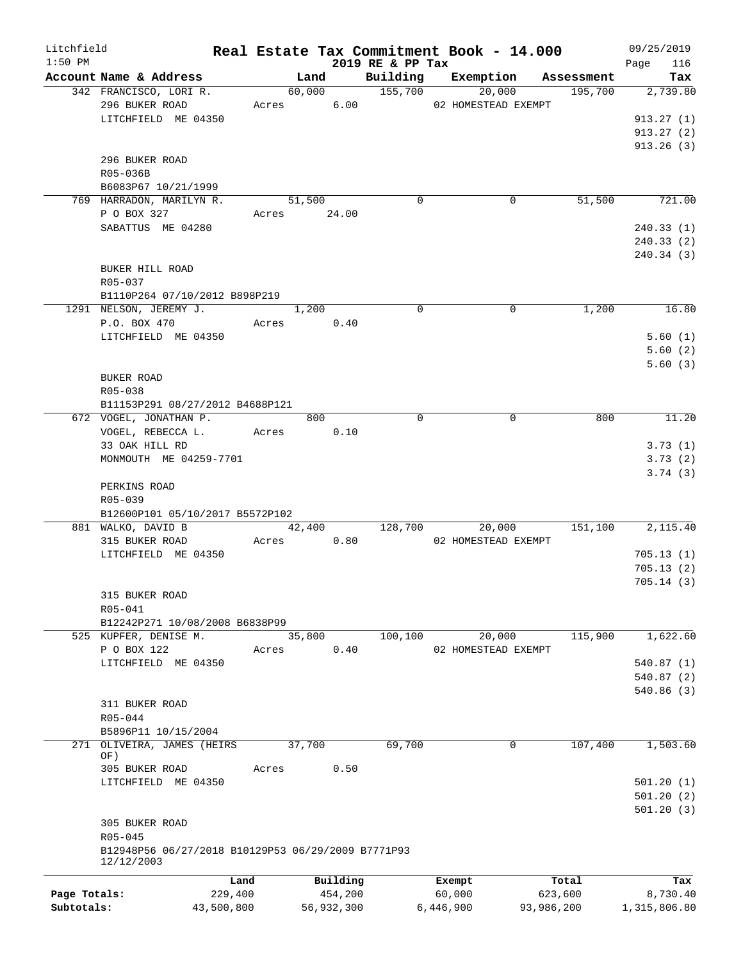| Litchfield   |                                                    |            |       |             |                              | Real Estate Tax Commitment Book - 14.000 |            | 09/25/2019         |
|--------------|----------------------------------------------------|------------|-------|-------------|------------------------------|------------------------------------------|------------|--------------------|
| $1:50$ PM    | Account Name & Address                             |            |       | Land        | 2019 RE & PP Tax<br>Building | Exemption                                | Assessment | 116<br>Page<br>Tax |
|              | 342 FRANCISCO, LORI R.                             |            |       | 60,000      | 155,700                      | 20,000                                   | 195,700    | 2,739.80           |
|              | 296 BUKER ROAD                                     |            |       | Acres 6.00  |                              | 02 HOMESTEAD EXEMPT                      |            |                    |
|              | LITCHFIELD ME 04350                                |            |       |             |                              |                                          |            | 913.27(1)          |
|              |                                                    |            |       |             |                              |                                          |            | 913.27(2)          |
|              |                                                    |            |       |             |                              |                                          |            | 913.26(3)          |
|              | 296 BUKER ROAD                                     |            |       |             |                              |                                          |            |                    |
|              | R05-036B                                           |            |       |             |                              |                                          |            |                    |
|              | B6083P67 10/21/1999                                |            |       |             |                              |                                          |            |                    |
|              |                                                    |            |       | 51,500      | $\mathbf 0$                  | 0                                        | 51,500     | 721.00             |
|              | 769 HARRADON, MARILYN R.                           |            |       |             |                              |                                          |            |                    |
|              | P O BOX 327                                        |            |       | Acres 24.00 |                              |                                          |            |                    |
|              | SABATTUS ME 04280                                  |            |       |             |                              |                                          |            | 240.33(1)          |
|              |                                                    |            |       |             |                              |                                          |            | 240.33(2)          |
|              |                                                    |            |       |             |                              |                                          |            | 240.34 (3)         |
|              | BUKER HILL ROAD                                    |            |       |             |                              |                                          |            |                    |
|              | R05-037                                            |            |       |             |                              |                                          |            |                    |
|              | B1110P264 07/10/2012 B898P219                      |            |       |             |                              |                                          |            |                    |
|              | 1291 NELSON, JEREMY J.                             |            |       | 1,200       | $\mathbf 0$                  | $\mathbf 0$                              | 1,200      | 16.80              |
|              | P.O. BOX 470                                       |            |       | Acres 0.40  |                              |                                          |            |                    |
|              | LITCHFIELD ME 04350                                |            |       |             |                              |                                          |            | 5.60(1)            |
|              |                                                    |            |       |             |                              |                                          |            | 5.60(2)            |
|              |                                                    |            |       |             |                              |                                          |            | 5.60(3)            |
|              | <b>BUKER ROAD</b>                                  |            |       |             |                              |                                          |            |                    |
|              | R05-038                                            |            |       |             |                              |                                          |            |                    |
|              | B11153P291 08/27/2012 B4688P121                    |            |       |             |                              |                                          |            |                    |
|              | 672 VOGEL, JONATHAN P.                             |            |       | 800         | $\Omega$                     | $\mathbf 0$                              | 800        | 11.20              |
|              | VOGEL, REBECCA L. Acres                            |            |       | 0.10        |                              |                                          |            |                    |
|              | 33 OAK HILL RD                                     |            |       |             |                              |                                          |            | 3.73(1)            |
|              | MONMOUTH ME 04259-7701                             |            |       |             |                              |                                          |            | 3.73(2)            |
|              |                                                    |            |       |             |                              |                                          |            | 3.74(3)            |
|              | PERKINS ROAD                                       |            |       |             |                              |                                          |            |                    |
|              | R05-039                                            |            |       |             |                              |                                          |            |                    |
|              | B12600P101 05/10/2017 B5572P102                    |            |       |             |                              |                                          |            |                    |
|              | 881 WALKO, DAVID B                                 |            |       | 42,400      | 128,700                      | 20,000                                   | 151,100    | 2,115.40           |
|              | 315 BUKER ROAD                                     |            |       | Acres 0.80  |                              | 02 HOMESTEAD EXEMPT                      |            |                    |
|              | LITCHFIELD ME 04350                                |            |       |             |                              |                                          |            | 705.13(1)          |
|              |                                                    |            |       |             |                              |                                          |            | 705.13(2)          |
|              |                                                    |            |       |             |                              |                                          |            | 705.14(3)          |
|              | 315 BUKER ROAD                                     |            |       |             |                              |                                          |            |                    |
|              | R05-041                                            |            |       |             |                              |                                          |            |                    |
|              | B12242P271 10/08/2008 B6838P99                     |            |       |             |                              |                                          |            |                    |
|              | 525 KUPFER, DENISE M.                              |            |       | 35,800      | 100, 100                     | 20,000                                   | 115,900    | 1,622.60           |
|              | P O BOX 122                                        |            | Acres | 0.40        |                              | 02 HOMESTEAD EXEMPT                      |            |                    |
|              | LITCHFIELD ME 04350                                |            |       |             |                              |                                          |            | 540.87 (1)         |
|              |                                                    |            |       |             |                              |                                          |            | 540.87 (2)         |
|              |                                                    |            |       |             |                              |                                          |            | 540.86(3)          |
|              | 311 BUKER ROAD                                     |            |       |             |                              |                                          |            |                    |
|              | R05-044                                            |            |       |             |                              |                                          |            |                    |
|              | B5896P11 10/15/2004                                |            |       |             |                              |                                          |            |                    |
|              | 271 OLIVEIRA, JAMES (HEIRS                         |            |       | 37,700      | 69,700                       | 0                                        | 107,400    | 1,503.60           |
|              | OF)                                                |            |       |             |                              |                                          |            |                    |
|              | 305 BUKER ROAD                                     |            | Acres | 0.50        |                              |                                          |            |                    |
|              | LITCHFIELD ME 04350                                |            |       |             |                              |                                          |            | 501.20(1)          |
|              |                                                    |            |       |             |                              |                                          |            | 501.20(2)          |
|              |                                                    |            |       |             |                              |                                          |            | 501.20(3)          |
|              | 305 BUKER ROAD                                     |            |       |             |                              |                                          |            |                    |
|              | R05-045                                            |            |       |             |                              |                                          |            |                    |
|              | B12948P56 06/27/2018 B10129P53 06/29/2009 B7771P93 |            |       |             |                              |                                          |            |                    |
|              | 12/12/2003                                         |            |       |             |                              |                                          |            |                    |
|              |                                                    | Land       |       | Building    |                              | Exempt                                   | Total      | Tax                |
| Page Totals: |                                                    | 229,400    |       | 454,200     |                              | 60,000                                   | 623,600    | 8,730.40           |
| Subtotals:   |                                                    | 43,500,800 |       | 56,932,300  |                              | 6,446,900                                | 93,986,200 | 1,315,806.80       |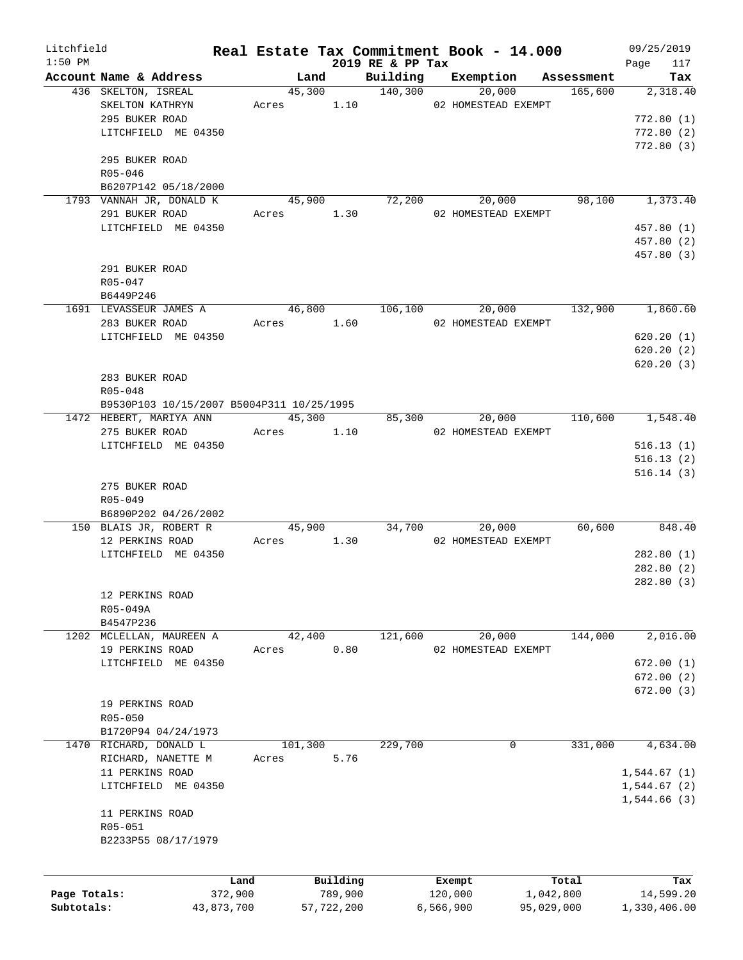| Litchfield   |                                           |            |            |            |                     | Real Estate Tax Commitment Book - 14.000 |                |         | 09/25/2019             |
|--------------|-------------------------------------------|------------|------------|------------|---------------------|------------------------------------------|----------------|---------|------------------------|
| $1:50$ PM    |                                           |            |            |            | 2019 RE & PP Tax    |                                          |                |         | 117<br>Page            |
|              | Account Name & Address                    |            | Land       |            |                     | Building Exemption                       | Assessment     |         | Tax                    |
|              | 436 SKELTON, ISREAL                       |            | 45,300     |            | $\frac{140,300}{2}$ | 20,000                                   |                | 165,600 | 2,318.40               |
|              | SKELTON KATHRYN<br>295 BUKER ROAD         |            | Acres      |            |                     | 1.10 02 HOMESTEAD EXEMPT                 |                |         |                        |
|              |                                           |            |            |            |                     |                                          |                |         | 772.80(1)              |
|              | LITCHFIELD ME 04350                       |            |            |            |                     |                                          |                |         | 772.80(2)<br>772.80(3) |
|              | 295 BUKER ROAD                            |            |            |            |                     |                                          |                |         |                        |
|              | $R05 - 046$                               |            |            |            |                     |                                          |                |         |                        |
|              | B6207P142 05/18/2000                      |            |            |            |                     |                                          |                |         |                        |
|              | 1793 VANNAH JR, DONALD K                  |            | 45,900     |            |                     | 72,200<br>20,000                         |                | 98,100  | 1,373.40               |
|              | 291 BUKER ROAD                            |            |            | Acres 1.30 |                     | 02 HOMESTEAD EXEMPT                      |                |         |                        |
|              | LITCHFIELD ME 04350                       |            |            |            |                     |                                          |                |         | 457.80 (1)             |
|              |                                           |            |            |            |                     |                                          |                |         | 457.80 (2)             |
|              |                                           |            |            |            |                     |                                          |                |         | 457.80 (3)             |
|              | 291 BUKER ROAD                            |            |            |            |                     |                                          |                |         |                        |
|              | $R05 - 047$                               |            |            |            |                     |                                          |                |         |                        |
|              | B6449P246                                 |            |            |            |                     |                                          |                |         |                        |
|              | 1691 LEVASSEUR JAMES A                    |            |            | 46,800     |                     | 106,100                                  | 20,000 132,900 |         | 1,860.60               |
|              | 283 BUKER ROAD                            |            | Acres 1.60 |            |                     | 02 HOMESTEAD EXEMPT                      |                |         |                        |
|              | LITCHFIELD ME 04350                       |            |            |            |                     |                                          |                |         | 620.20(1)              |
|              |                                           |            |            |            |                     |                                          |                |         | 620.20(2)              |
|              |                                           |            |            |            |                     |                                          |                |         | 620.20(3)              |
|              | 283 BUKER ROAD                            |            |            |            |                     |                                          |                |         |                        |
|              | $R05 - 048$                               |            |            |            |                     |                                          |                |         |                        |
|              | B9530P103 10/15/2007 B5004P311 10/25/1995 |            |            |            |                     |                                          |                |         |                        |
|              | 1472 HEBERT, MARIYA ANN                   |            |            | 45,300     |                     | 85,300                                   | 20,000         | 110,600 | 1,548.40               |
|              | 275 BUKER ROAD                            |            | Acres 1.10 |            |                     | 02 HOMESTEAD EXEMPT                      |                |         |                        |
|              | LITCHFIELD ME 04350                       |            |            |            |                     |                                          |                |         | 516.13(1)              |
|              |                                           |            |            |            |                     |                                          |                |         | 516.13(2)              |
|              |                                           |            |            |            |                     |                                          |                |         | 516.14(3)              |
|              | 275 BUKER ROAD                            |            |            |            |                     |                                          |                |         |                        |
|              | R05-049                                   |            |            |            |                     |                                          |                |         |                        |
|              | B6890P202 04/26/2002                      |            |            |            |                     |                                          |                |         |                        |
|              | 150 BLAIS JR, ROBERT R                    |            | 45,900     |            |                     | 34,700<br>20,000                         |                | 60,600  | 848.40                 |
|              | 12 PERKINS ROAD                           |            | Acres      | 1.30       |                     | 02 HOMESTEAD EXEMPT                      |                |         |                        |
|              | LITCHFIELD ME 04350                       |            |            |            |                     |                                          |                |         | 282.80(1)              |
|              |                                           |            |            |            |                     |                                          |                |         | 282.80(2)              |
|              |                                           |            |            |            |                     |                                          |                |         | 282.80(3)              |
|              | 12 PERKINS ROAD                           |            |            |            |                     |                                          |                |         |                        |
|              | R05-049A                                  |            |            |            |                     |                                          |                |         |                        |
|              | B4547P236                                 |            |            |            |                     |                                          |                |         |                        |
|              | 1202 MCLELLAN, MAUREEN A                  |            | 42,400     |            | 121,600             | 20,000                                   |                | 144,000 | 2,016.00               |
|              | 19 PERKINS ROAD                           | Acres      |            | 0.80       |                     | 02 HOMESTEAD EXEMPT                      |                |         |                        |
|              | LITCHFIELD ME 04350                       |            |            |            |                     |                                          |                |         | 672.00(1)              |
|              |                                           |            |            |            |                     |                                          |                |         | 672.00(2)              |
|              |                                           |            |            |            |                     |                                          |                |         | 672.00(3)              |
|              | 19 PERKINS ROAD                           |            |            |            |                     |                                          |                |         |                        |
|              | R05-050                                   |            |            |            |                     |                                          |                |         |                        |
|              | B1720P94 04/24/1973                       |            |            |            |                     |                                          |                |         |                        |
| 1470         | RICHARD, DONALD L                         |            | 101,300    |            | 229,700             | 0                                        |                | 331,000 | 4,634.00               |
|              | RICHARD, NANETTE M                        | Acres      |            | 5.76       |                     |                                          |                |         |                        |
|              | 11 PERKINS ROAD                           |            |            |            |                     |                                          |                |         | 1,544.67(1)            |
|              | LITCHFIELD ME 04350                       |            |            |            |                     |                                          |                |         | 1,544.67(2)            |
|              |                                           |            |            |            |                     |                                          |                |         | 1,544.66(3)            |
|              | 11 PERKINS ROAD                           |            |            |            |                     |                                          |                |         |                        |
|              | R05-051                                   |            |            |            |                     |                                          |                |         |                        |
|              | B2233P55 08/17/1979                       |            |            |            |                     |                                          |                |         |                        |
|              |                                           |            |            |            |                     |                                          |                |         |                        |
|              |                                           |            |            |            |                     |                                          |                |         |                        |
|              |                                           | Land       |            | Building   |                     | Exempt                                   | Total          |         | Tax                    |
| Page Totals: |                                           | 372,900    |            | 789,900    |                     | 120,000                                  | 1,042,800      |         | 14,599.20              |
| Subtotals:   |                                           | 43,873,700 |            | 57,722,200 |                     | 6,566,900                                | 95,029,000     |         | 1,330,406.00           |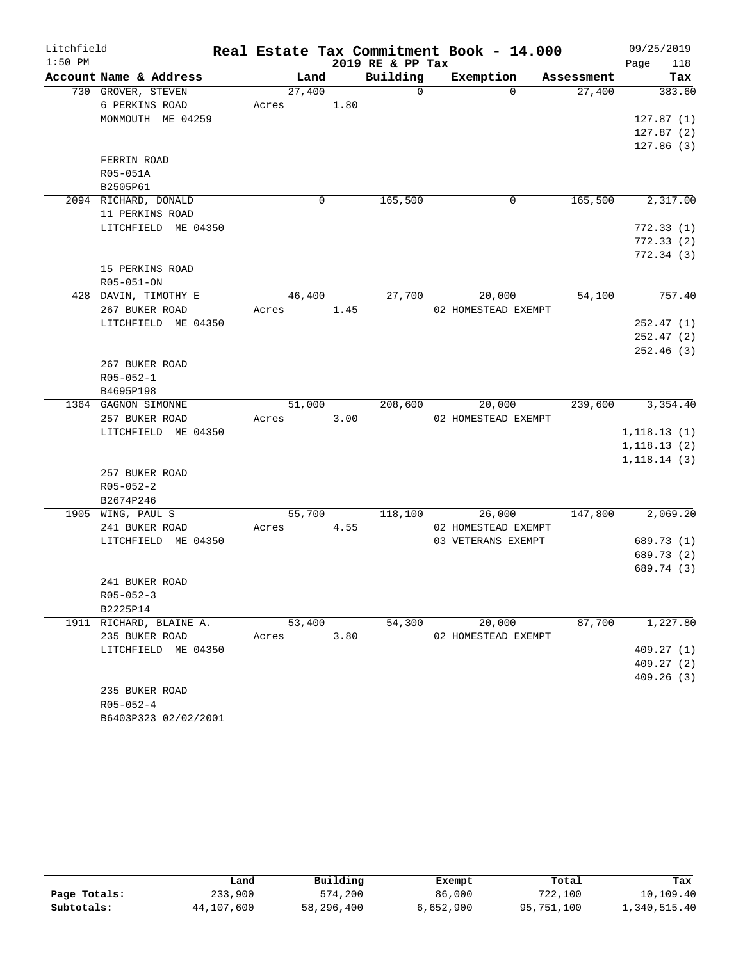| Litchfield |                         |        |      |                  | Real Estate Tax Commitment Book - 14.000 |            | 09/25/2019   |
|------------|-------------------------|--------|------|------------------|------------------------------------------|------------|--------------|
| $1:50$ PM  |                         |        |      | 2019 RE & PP Tax |                                          |            | 118<br>Page  |
|            | Account Name & Address  | Land   |      | Building         | Exemption                                | Assessment | Tax          |
|            | 730 GROVER, STEVEN      | 27,400 |      | $\Omega$         | $\Omega$                                 | 27,400     | 383.60       |
|            | 6 PERKINS ROAD          | Acres  | 1.80 |                  |                                          |            |              |
|            | MONMOUTH ME 04259       |        |      |                  |                                          |            | 127.87(1)    |
|            |                         |        |      |                  |                                          |            | 127.87(2)    |
|            |                         |        |      |                  |                                          |            | 127.86(3)    |
|            | FERRIN ROAD             |        |      |                  |                                          |            |              |
|            | R05-051A                |        |      |                  |                                          |            |              |
|            | B2505P61                |        |      |                  |                                          |            |              |
|            | 2094 RICHARD, DONALD    | 0      |      | 165,500          | 0                                        | 165,500    | 2,317.00     |
|            | 11 PERKINS ROAD         |        |      |                  |                                          |            |              |
|            | LITCHFIELD ME 04350     |        |      |                  |                                          |            | 772.33(1)    |
|            |                         |        |      |                  |                                          |            | 772.33(2)    |
|            |                         |        |      |                  |                                          |            | 772.34(3)    |
|            | 15 PERKINS ROAD         |        |      |                  |                                          |            |              |
|            | R05-051-ON              |        |      |                  |                                          |            |              |
|            | 428 DAVIN, TIMOTHY E    | 46,400 |      | 27,700           | 20,000                                   | 54,100     | 757.40       |
|            | 267 BUKER ROAD          | Acres  | 1.45 |                  | 02 HOMESTEAD EXEMPT                      |            |              |
|            | LITCHFIELD ME 04350     |        |      |                  |                                          |            | 252.47(1)    |
|            |                         |        |      |                  |                                          |            | 252.47(2)    |
|            |                         |        |      |                  |                                          |            | 252.46(3)    |
|            | 267 BUKER ROAD          |        |      |                  |                                          |            |              |
|            | $R05 - 052 - 1$         |        |      |                  |                                          |            |              |
|            | B4695P198               |        |      |                  |                                          |            |              |
|            | 1364 GAGNON SIMONNE     | 51,000 |      | 208,600          | 20,000                                   | 239,600    | 3,354.40     |
|            | 257 BUKER ROAD          | Acres  | 3.00 |                  | 02 HOMESTEAD EXEMPT                      |            |              |
|            | LITCHFIELD ME 04350     |        |      |                  |                                          |            | 1,118.13(1)  |
|            |                         |        |      |                  |                                          |            | 1, 118.13(2) |
|            |                         |        |      |                  |                                          |            | 1,118.14(3)  |
|            | 257 BUKER ROAD          |        |      |                  |                                          |            |              |
|            | $R05 - 052 - 2$         |        |      |                  |                                          |            |              |
|            | B2674P246               |        |      |                  |                                          |            |              |
|            | 1905 WING, PAUL S       | 55,700 |      | 118,100          | 26,000                                   | 147,800    | 2,069.20     |
|            | 241 BUKER ROAD          | Acres  | 4.55 |                  | 02 HOMESTEAD EXEMPT                      |            |              |
|            | LITCHFIELD ME 04350     |        |      |                  | 03 VETERANS EXEMPT                       |            | 689.73 (1)   |
|            |                         |        |      |                  |                                          |            | 689.73 (2)   |
|            |                         |        |      |                  |                                          |            | 689.74 (3)   |
|            | 241 BUKER ROAD          |        |      |                  |                                          |            |              |
|            | $R05 - 052 - 3$         |        |      |                  |                                          |            |              |
|            | B2225P14                |        |      |                  |                                          |            |              |
|            | 1911 RICHARD, BLAINE A. | 53,400 |      | 54,300           | 20,000                                   | 87,700     | 1,227.80     |
|            | 235 BUKER ROAD          | Acres  | 3.80 |                  | 02 HOMESTEAD EXEMPT                      |            |              |
|            | LITCHFIELD ME 04350     |        |      |                  |                                          |            | 409.27(1)    |
|            |                         |        |      |                  |                                          |            | 409.27(2)    |
|            |                         |        |      |                  |                                          |            | 409.26(3)    |
|            | 235 BUKER ROAD          |        |      |                  |                                          |            |              |
|            | $R05 - 052 - 4$         |        |      |                  |                                          |            |              |
|            | B6403P323 02/02/2001    |        |      |                  |                                          |            |              |

|              | Land       | Building   | Exempt    | Total      | Tax          |
|--------------|------------|------------|-----------|------------|--------------|
| Page Totals: | 233,900    | 574,200    | 86,000    | 722,100    | 10,109.40    |
| Subtotals:   | 44,107,600 | 58,296,400 | 6,652,900 | 95,751,100 | 1,340,515.40 |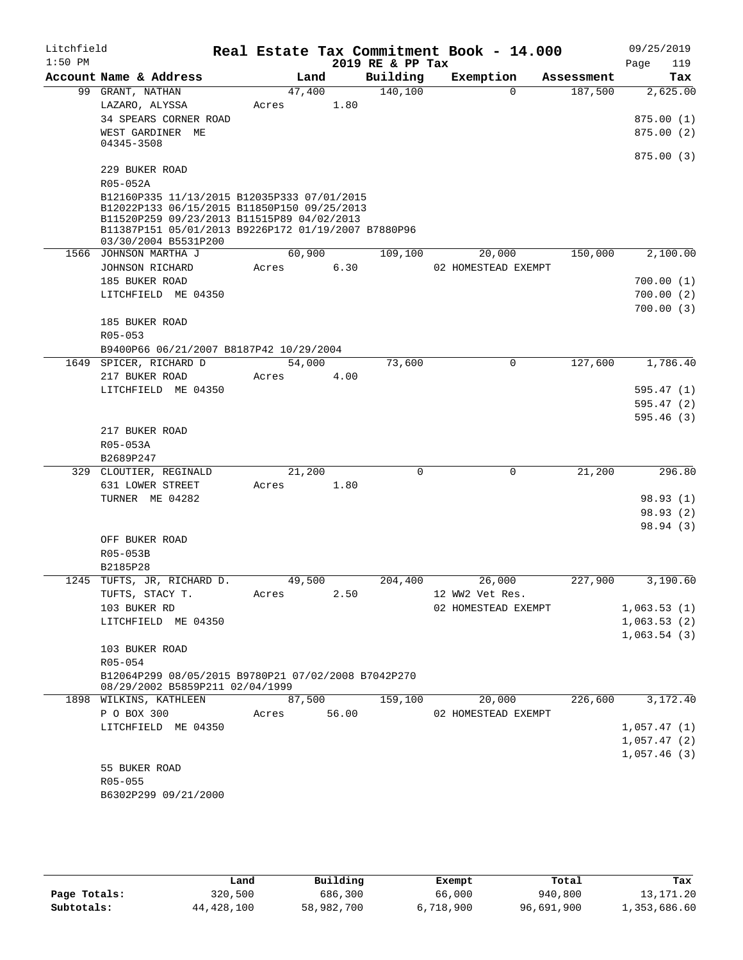| Litchfield<br>$1:50$ PM |                                                                                                                                                                                                                         |        |       | 2019 RE & PP Tax | Real Estate Tax Commitment Book - 14.000 |            | 09/25/2019<br>119<br>Page |
|-------------------------|-------------------------------------------------------------------------------------------------------------------------------------------------------------------------------------------------------------------------|--------|-------|------------------|------------------------------------------|------------|---------------------------|
|                         | Account Name & Address                                                                                                                                                                                                  |        | Land  | Building         | Exemption                                | Assessment | Tax                       |
|                         | 99 GRANT, NATHAN                                                                                                                                                                                                        | 47,400 |       | 140,100          | $\Omega$                                 | 187,500    | 2,625.00                  |
|                         | LAZARO, ALYSSA                                                                                                                                                                                                          | Acres  | 1.80  |                  |                                          |            |                           |
|                         | 34 SPEARS CORNER ROAD<br>WEST GARDINER ME                                                                                                                                                                               |        |       |                  |                                          |            | 875.00(1)<br>875.00(2)    |
|                         | 04345-3508                                                                                                                                                                                                              |        |       |                  |                                          |            | 875.00(3)                 |
|                         | 229 BUKER ROAD<br>R05-052A                                                                                                                                                                                              |        |       |                  |                                          |            |                           |
|                         | B12160P335 11/13/2015 B12035P333 07/01/2015<br>B12022P133 06/15/2015 B11850P150 09/25/2013<br>B11520P259 09/23/2013 B11515P89 04/02/2013<br>B11387P151 05/01/2013 B9226P172 01/19/2007 B7880P96<br>03/30/2004 B5531P200 |        |       |                  |                                          |            |                           |
|                         | 1566 JOHNSON MARTHA J                                                                                                                                                                                                   | 60,900 |       | 109,100          | 20,000                                   | 150,000    | 2,100.00                  |
|                         | JOHNSON RICHARD                                                                                                                                                                                                         | Acres  | 6.30  |                  | 02 HOMESTEAD EXEMPT                      |            |                           |
|                         | 185 BUKER ROAD                                                                                                                                                                                                          |        |       |                  |                                          |            | 700.00(1)                 |
|                         | LITCHFIELD ME 04350                                                                                                                                                                                                     |        |       |                  |                                          |            | 700.00(2)                 |
|                         |                                                                                                                                                                                                                         |        |       |                  |                                          |            | 700.00(3)                 |
|                         | 185 BUKER ROAD                                                                                                                                                                                                          |        |       |                  |                                          |            |                           |
|                         | $R05 - 053$<br>B9400P66 06/21/2007 B8187P42 10/29/2004                                                                                                                                                                  |        |       |                  |                                          |            |                           |
|                         | 1649 SPICER, RICHARD D                                                                                                                                                                                                  | 54,000 |       | 73,600           | $\mathbf 0$                              | 127,600    | 1,786.40                  |
|                         | 217 BUKER ROAD                                                                                                                                                                                                          | Acres  | 4.00  |                  |                                          |            |                           |
|                         | LITCHFIELD ME 04350                                                                                                                                                                                                     |        |       |                  |                                          |            | 595.47 (1)                |
|                         |                                                                                                                                                                                                                         |        |       |                  |                                          |            | 595.47(2)                 |
|                         |                                                                                                                                                                                                                         |        |       |                  |                                          |            | 595.46(3)                 |
|                         | 217 BUKER ROAD                                                                                                                                                                                                          |        |       |                  |                                          |            |                           |
|                         | R05-053A                                                                                                                                                                                                                |        |       |                  |                                          |            |                           |
|                         | B2689P247                                                                                                                                                                                                               |        |       |                  |                                          |            |                           |
|                         | 329 CLOUTIER, REGINALD                                                                                                                                                                                                  | 21,200 |       | $\Omega$         | $\Omega$                                 | 21,200     | 296.80                    |
|                         | 631 LOWER STREET<br>TURNER ME 04282                                                                                                                                                                                     | Acres  | 1.80  |                  |                                          |            | 98.93 (1)                 |
|                         |                                                                                                                                                                                                                         |        |       |                  |                                          |            | 98.93 (2)                 |
|                         |                                                                                                                                                                                                                         |        |       |                  |                                          |            | 98.94 (3)                 |
|                         | OFF BUKER ROAD                                                                                                                                                                                                          |        |       |                  |                                          |            |                           |
|                         | R05-053B                                                                                                                                                                                                                |        |       |                  |                                          |            |                           |
|                         | B2185P28                                                                                                                                                                                                                |        |       |                  |                                          |            |                           |
|                         | 1245 TUFTS, JR, RICHARD D.                                                                                                                                                                                              | 49,500 |       | 204,400          | 26,000                                   | 227,900    | 3,190.60                  |
|                         | TUFTS, STACY T.                                                                                                                                                                                                         | Acres  | 2.50  |                  | 12 WW2 Vet Res.                          |            |                           |
|                         | 103 BUKER RD                                                                                                                                                                                                            |        |       |                  | 02 HOMESTEAD EXEMPT                      |            | 1,063.53(1)               |
|                         | LITCHFIELD ME 04350                                                                                                                                                                                                     |        |       |                  |                                          |            | 1,063.53(2)               |
|                         | 103 BUKER ROAD                                                                                                                                                                                                          |        |       |                  |                                          |            | 1,063.54(3)               |
|                         | $R05 - 054$                                                                                                                                                                                                             |        |       |                  |                                          |            |                           |
|                         | B12064P299 08/05/2015 B9780P21 07/02/2008 B7042P270<br>08/29/2002 B5859P211 02/04/1999                                                                                                                                  |        |       |                  |                                          |            |                           |
|                         | 1898 WILKINS, KATHLEEN                                                                                                                                                                                                  | 87,500 |       | 159,100          | 20,000                                   | 226,600    | 3,172.40                  |
|                         | P O BOX 300                                                                                                                                                                                                             | Acres  | 56.00 |                  | 02 HOMESTEAD EXEMPT                      |            |                           |
|                         | LITCHFIELD ME 04350                                                                                                                                                                                                     |        |       |                  |                                          |            | 1,057.47(1)               |
|                         |                                                                                                                                                                                                                         |        |       |                  |                                          |            | 1,057.47(2)               |
|                         | 55 BUKER ROAD                                                                                                                                                                                                           |        |       |                  |                                          |            | 1,057.46(3)               |
|                         | R05-055                                                                                                                                                                                                                 |        |       |                  |                                          |            |                           |
|                         | B6302P299 09/21/2000                                                                                                                                                                                                    |        |       |                  |                                          |            |                           |
|                         |                                                                                                                                                                                                                         |        |       |                  |                                          |            |                           |

|              | Land       | Building   | Exempt    | Total      | Tax          |
|--------------|------------|------------|-----------|------------|--------------|
| Page Totals: | 320,500    | 686,300    | 66,000    | 940,800    | 13,171.20    |
| Subtotals:   | 44,428,100 | 58,982,700 | 6,718,900 | 96,691,900 | 1,353,686.60 |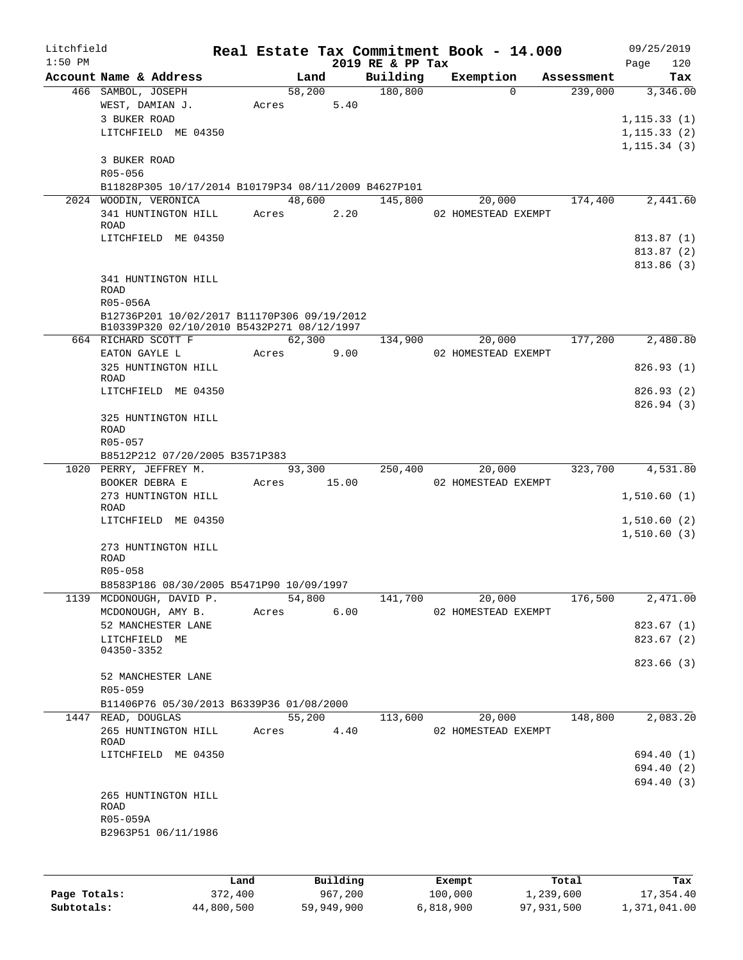| Litchfield<br>$1:50$ PM |                                                      |        |       | 2019 RE & PP Tax | Real Estate Tax Commitment Book - 14.000 |            | 09/25/2019<br>120<br>Page     |
|-------------------------|------------------------------------------------------|--------|-------|------------------|------------------------------------------|------------|-------------------------------|
|                         | Account Name & Address                               | Land   |       | Building         | Exemption                                | Assessment | Tax                           |
|                         | 466 SAMBOL, JOSEPH                                   | 58,200 |       | 180,800          | $\Omega$                                 | 239,000    | 3,346.00                      |
|                         | WEST, DAMIAN J.                                      | Acres  | 5.40  |                  |                                          |            |                               |
|                         | 3 BUKER ROAD                                         |        |       |                  |                                          |            | 1, 115.33(1)                  |
|                         | LITCHFIELD ME 04350                                  |        |       |                  |                                          |            | 1, 115.33 (2)<br>1, 115.34(3) |
|                         | 3 BUKER ROAD                                         |        |       |                  |                                          |            |                               |
|                         | R05-056                                              |        |       |                  |                                          |            |                               |
|                         | B11828P305 10/17/2014 B10179P34 08/11/2009 B4627P101 |        |       |                  |                                          |            |                               |
|                         | 2024 WOODIN, VERONICA                                | 48,600 |       | 145,800          | 20,000                                   | 174,400    | 2,441.60                      |
|                         | 341 HUNTINGTON HILL                                  | Acres  | 2.20  |                  | 02 HOMESTEAD EXEMPT                      |            |                               |
|                         | ROAD                                                 |        |       |                  |                                          |            |                               |
|                         | LITCHFIELD ME 04350                                  |        |       |                  |                                          |            | 813.87 (1)                    |
|                         |                                                      |        |       |                  |                                          |            | 813.87 (2)                    |
|                         |                                                      |        |       |                  |                                          |            | 813.86(3)                     |
|                         | 341 HUNTINGTON HILL<br>ROAD                          |        |       |                  |                                          |            |                               |
|                         | R05-056A                                             |        |       |                  |                                          |            |                               |
|                         | B12736P201 10/02/2017 B11170P306 09/19/2012          |        |       |                  |                                          |            |                               |
|                         | B10339P320 02/10/2010 B5432P271 08/12/1997           |        |       |                  |                                          |            |                               |
|                         | 664 RICHARD SCOTT F                                  | 62,300 |       | 134,900          | 20,000                                   | 177,200    | 2,480.80                      |
|                         | EATON GAYLE L                                        | Acres  | 9.00  |                  | 02 HOMESTEAD EXEMPT                      |            |                               |
|                         | 325 HUNTINGTON HILL                                  |        |       |                  |                                          |            | 826.93(1)                     |
|                         | ROAD<br>LITCHFIELD ME 04350                          |        |       |                  |                                          |            | 826.93(2)                     |
|                         |                                                      |        |       |                  |                                          |            | 826.94(3)                     |
|                         | 325 HUNTINGTON HILL                                  |        |       |                  |                                          |            |                               |
|                         | ROAD                                                 |        |       |                  |                                          |            |                               |
|                         | R05-057                                              |        |       |                  |                                          |            |                               |
|                         | B8512P212 07/20/2005 B3571P383                       |        |       |                  |                                          |            |                               |
|                         | 1020 PERRY, JEFFREY M.                               | 93,300 |       | 250,400          | 20,000                                   | 323,700    | 4,531.80                      |
|                         | BOOKER DEBRA E                                       | Acres  | 15.00 |                  | 02 HOMESTEAD EXEMPT                      |            |                               |
|                         | 273 HUNTINGTON HILL                                  |        |       |                  |                                          |            | 1,510.60(1)                   |
|                         | ROAD<br>LITCHFIELD ME 04350                          |        |       |                  |                                          |            | 1,510.60(2)                   |
|                         |                                                      |        |       |                  |                                          |            | 1,510.60(3)                   |
|                         | 273 HUNTINGTON HILL                                  |        |       |                  |                                          |            |                               |
|                         | ROAD                                                 |        |       |                  |                                          |            |                               |
|                         | R05-058                                              |        |       |                  |                                          |            |                               |
|                         | B8583P186 08/30/2005 B5471P90 10/09/1997             |        |       |                  |                                          |            |                               |
|                         | 1139 MCDONOUGH, DAVID P.                             | 54,800 |       | 141,700          | 20,000                                   | 176,500    | 2,471.00                      |
|                         | MCDONOUGH, AMY B.                                    | Acres  | 6.00  |                  | 02 HOMESTEAD EXEMPT                      |            |                               |
|                         | 52 MANCHESTER LANE                                   |        |       |                  |                                          |            | 823.67(1)                     |
|                         | LITCHFIELD ME                                        |        |       |                  |                                          |            | 823.67 (2)                    |
|                         | 04350-3352                                           |        |       |                  |                                          |            | 823.66 (3)                    |
|                         | 52 MANCHESTER LANE                                   |        |       |                  |                                          |            |                               |
|                         | R05-059                                              |        |       |                  |                                          |            |                               |
|                         | B11406P76 05/30/2013 B6339P36 01/08/2000             |        |       |                  |                                          |            |                               |
|                         | 1447 READ, DOUGLAS                                   | 55,200 |       | 113,600          | 20,000                                   | 148,800    | 2,083.20                      |
|                         | 265 HUNTINGTON HILL                                  | Acres  | 4.40  |                  | 02 HOMESTEAD EXEMPT                      |            |                               |
|                         | ROAD                                                 |        |       |                  |                                          |            |                               |
|                         | LITCHFIELD ME 04350                                  |        |       |                  |                                          |            | 694.40 (1)                    |
|                         |                                                      |        |       |                  |                                          |            | 694.40 (2)                    |
|                         |                                                      |        |       |                  |                                          |            | 694.40 (3)                    |
|                         | 265 HUNTINGTON HILL                                  |        |       |                  |                                          |            |                               |
|                         | ROAD<br>R05-059A                                     |        |       |                  |                                          |            |                               |
|                         | B2963P51 06/11/1986                                  |        |       |                  |                                          |            |                               |
|                         |                                                      |        |       |                  |                                          |            |                               |
|                         |                                                      |        |       |                  |                                          |            |                               |
|                         |                                                      |        |       |                  |                                          |            |                               |

|              | Land       | Building   | Exempt    | Total      | Tax          |
|--------------|------------|------------|-----------|------------|--------------|
| Page Totals: | 372,400    | 967,200    | 100,000   | 1,239,600  | 17,354.40    |
| Subtotals:   | 44,800,500 | 59,949,900 | 6,818,900 | 97,931,500 | 1,371,041.00 |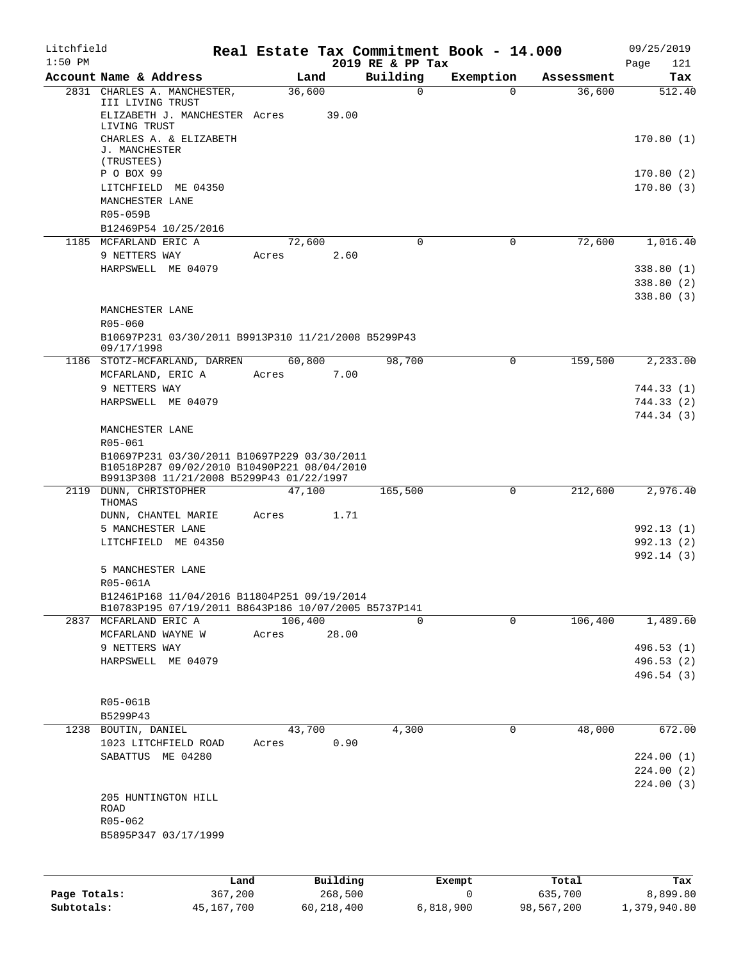| Litchfield   |                                                                                                     |       |                |                              | Real Estate Tax Commitment Book - 14.000 |                      | 09/25/2019              |
|--------------|-----------------------------------------------------------------------------------------------------|-------|----------------|------------------------------|------------------------------------------|----------------------|-------------------------|
| $1:50$ PM    |                                                                                                     |       |                | 2019 RE & PP Tax<br>Building |                                          |                      | Page<br>121             |
|              | Account Name & Address<br>2831 CHARLES A. MANCHESTER,                                               |       | Land<br>36,600 | 0                            | Exemption<br>0                           | Assessment<br>36,600 | Tax<br>512.40           |
|              | III LIVING TRUST<br>ELIZABETH J. MANCHESTER Acres                                                   |       | 39.00          |                              |                                          |                      |                         |
|              | LIVING TRUST<br>CHARLES A. & ELIZABETH<br>J. MANCHESTER                                             |       |                |                              |                                          |                      | 170.80(1)               |
|              | (TRUSTEES)<br>P O BOX 99                                                                            |       |                |                              |                                          |                      |                         |
|              | LITCHFIELD ME 04350                                                                                 |       |                |                              |                                          |                      | 170.80(2)<br>170.80(3)  |
|              | MANCHESTER LANE                                                                                     |       |                |                              |                                          |                      |                         |
|              | R05-059B<br>B12469P54 10/25/2016                                                                    |       |                |                              |                                          |                      |                         |
|              | 1185 MCFARLAND ERIC A                                                                               |       | 72,600         | 0                            | 0                                        | 72,600               | 1,016.40                |
|              | 9 NETTERS WAY                                                                                       | Acres | 2.60           |                              |                                          |                      |                         |
|              | HARPSWELL ME 04079                                                                                  |       |                |                              |                                          |                      | 338.80(1)               |
|              |                                                                                                     |       |                |                              |                                          |                      | 338.80 (2)<br>338.80(3) |
|              | MANCHESTER LANE                                                                                     |       |                |                              |                                          |                      |                         |
|              | R05-060                                                                                             |       |                |                              |                                          |                      |                         |
|              | B10697P231 03/30/2011 B9913P310 11/21/2008 B5299P43<br>09/17/1998                                   |       |                |                              |                                          |                      |                         |
|              | 1186 STOTZ-MCFARLAND, DARREN                                                                        |       | 60,800         | 98,700                       | 0                                        | 159,500              | 2, 233.00               |
|              | MCFARLAND, ERIC A<br>9 NETTERS WAY                                                                  | Acres | 7.00           |                              |                                          |                      | 744.33 (1)              |
|              | HARPSWELL ME 04079                                                                                  |       |                |                              |                                          |                      | 744.33 (2)              |
|              |                                                                                                     |       |                |                              |                                          |                      | 744.34 (3)              |
|              | MANCHESTER LANE<br>R05-061                                                                          |       |                |                              |                                          |                      |                         |
|              | B10697P231 03/30/2011 B10697P229 03/30/2011                                                         |       |                |                              |                                          |                      |                         |
|              | B10518P287 09/02/2010 B10490P221 08/04/2010<br>B9913P308 11/21/2008 B5299P43 01/22/1997             |       |                |                              |                                          |                      |                         |
|              | 2119 DUNN, CHRISTOPHER                                                                              |       | 47,100         | 165,500                      | 0                                        | 212,600              | 2,976.40                |
|              | THOMAS<br>DUNN, CHANTEL MARIE                                                                       | Acres | 1.71           |                              |                                          |                      |                         |
|              | 5 MANCHESTER LANE                                                                                   |       |                |                              |                                          |                      | 992.13 (1)              |
|              | LITCHFIELD ME 04350                                                                                 |       |                |                              |                                          |                      | 992.13 (2)              |
|              | 5 MANCHESTER LANE                                                                                   |       |                |                              |                                          |                      | 992.14 (3)              |
|              | R05-061A                                                                                            |       |                |                              |                                          |                      |                         |
|              | B12461P168 11/04/2016 B11804P251 09/19/2014<br>B10783P195 07/19/2011 B8643P186 10/07/2005 B5737P141 |       |                |                              |                                          |                      |                         |
|              | 2837 MCFARLAND ERIC A                                                                               |       | 106,400        | 0                            | 0                                        | 106,400              | 1,489.60                |
|              | MCFARLAND WAYNE W                                                                                   | Acres | 28.00          |                              |                                          |                      |                         |
|              | 9 NETTERS WAY<br>HARPSWELL ME 04079                                                                 |       |                |                              |                                          |                      | 496.53 (1)<br>496.53(2) |
|              |                                                                                                     |       |                |                              |                                          |                      | 496.54 (3)              |
|              |                                                                                                     |       |                |                              |                                          |                      |                         |
|              | R05-061B<br>B5299P43                                                                                |       |                |                              |                                          |                      |                         |
| 1238         | BOUTIN, DANIEL                                                                                      |       | 43,700         | 4,300                        | 0                                        | 48,000               | 672.00                  |
|              | 1023 LITCHFIELD ROAD                                                                                | Acres | 0.90           |                              |                                          |                      |                         |
|              | SABATTUS ME 04280                                                                                   |       |                |                              |                                          |                      | 224.00(1)<br>224.00(2)  |
|              |                                                                                                     |       |                |                              |                                          |                      | 224.00(3)               |
|              | 205 HUNTINGTON HILL                                                                                 |       |                |                              |                                          |                      |                         |
|              | ROAD<br>R05-062                                                                                     |       |                |                              |                                          |                      |                         |
|              | B5895P347 03/17/1999                                                                                |       |                |                              |                                          |                      |                         |
|              |                                                                                                     |       |                |                              |                                          |                      |                         |
|              |                                                                                                     | Land  | Building       |                              | Exempt                                   | Total                | Tax                     |
| Page Totals: | 367,200                                                                                             |       | 268,500        |                              | 0                                        | 635,700              | 8,899.80                |

**Subtotals:** 45,167,700 60,218,400 6,818,900 98,567,200 1,379,940.80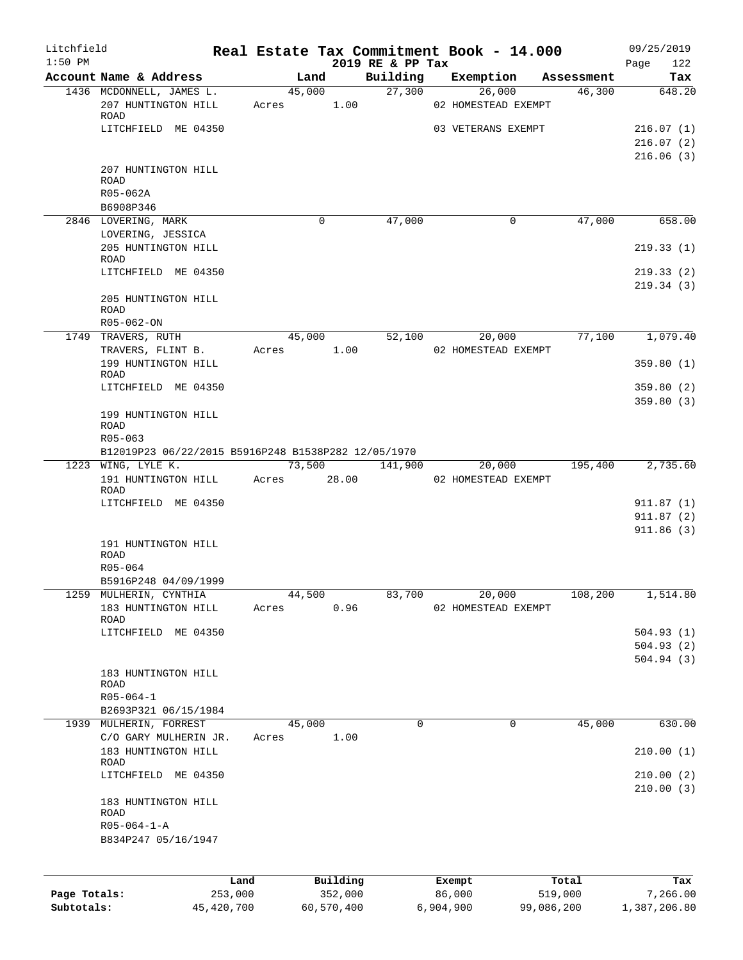| Litchfield   |                                                     |              |       |             |                              |           | Real Estate Tax Commitment Book - 14.000 |            | 09/25/2019             |
|--------------|-----------------------------------------------------|--------------|-------|-------------|------------------------------|-----------|------------------------------------------|------------|------------------------|
| $1:50$ PM    | Account Name & Address                              |              |       | Land        | 2019 RE & PP Tax<br>Building |           | Exemption                                | Assessment | 122<br>Page<br>Tax     |
|              | 1436 MCDONNELL, JAMES L.                            |              |       | 45,000      | 27,300                       |           | 26,000                                   | 46,300     | 648.20                 |
|              | 207 HUNTINGTON HILL<br>ROAD                         |              | Acres | 1.00        |                              |           | 02 HOMESTEAD EXEMPT                      |            |                        |
|              | LITCHFIELD ME 04350                                 |              |       |             |                              |           | 03 VETERANS EXEMPT                       |            | 216.07(1)              |
|              |                                                     |              |       |             |                              |           |                                          |            | 216.07(2)              |
|              |                                                     |              |       |             |                              |           |                                          |            | 216.06(3)              |
|              | 207 HUNTINGTON HILL                                 |              |       |             |                              |           |                                          |            |                        |
|              | <b>ROAD</b>                                         |              |       |             |                              |           |                                          |            |                        |
|              | R05-062A                                            |              |       |             |                              |           |                                          |            |                        |
|              | B6908P346                                           |              |       |             |                              |           |                                          |            |                        |
|              | 2846 LOVERING, MARK                                 |              |       | 0           | 47,000                       |           | 0                                        | 47,000     | 658.00                 |
|              | LOVERING, JESSICA                                   |              |       |             |                              |           |                                          |            |                        |
|              | 205 HUNTINGTON HILL                                 |              |       |             |                              |           |                                          |            | 219.33(1)              |
|              | ROAD<br>LITCHFIELD ME 04350                         |              |       |             |                              |           |                                          |            |                        |
|              |                                                     |              |       |             |                              |           |                                          |            | 219.33(2)<br>219.34(3) |
|              |                                                     |              |       |             |                              |           |                                          |            |                        |
|              | 205 HUNTINGTON HILL<br><b>ROAD</b>                  |              |       |             |                              |           |                                          |            |                        |
|              | R05-062-ON                                          |              |       |             |                              |           |                                          |            |                        |
|              | 1749 TRAVERS, RUTH                                  |              |       | 45,000      | 52,100                       |           | 20,000                                   | 77,100     | 1,079.40               |
|              | TRAVERS, FLINT B.                                   |              | Acres | 1.00        |                              |           | 02 HOMESTEAD EXEMPT                      |            |                        |
|              | 199 HUNTINGTON HILL                                 |              |       |             |                              |           |                                          |            | 359.80(1)              |
|              | ROAD                                                |              |       |             |                              |           |                                          |            |                        |
|              | LITCHFIELD ME 04350                                 |              |       |             |                              |           |                                          |            | 359.80(2)              |
|              |                                                     |              |       |             |                              |           |                                          |            | 359.80(3)              |
|              | 199 HUNTINGTON HILL                                 |              |       |             |                              |           |                                          |            |                        |
|              | ROAD                                                |              |       |             |                              |           |                                          |            |                        |
|              | R05-063                                             |              |       |             |                              |           |                                          |            |                        |
|              | B12019P23 06/22/2015 B5916P248 B1538P282 12/05/1970 |              |       |             |                              |           |                                          |            |                        |
|              | 1223 WING, LYLE K.                                  |              |       | 73,500      | 141,900                      |           | 20,000                                   | 195,400    | 2,735.60               |
|              | 191 HUNTINGTON HILL                                 |              |       | Acres 28.00 |                              |           | 02 HOMESTEAD EXEMPT                      |            |                        |
|              | ROAD<br>LITCHFIELD ME 04350                         |              |       |             |                              |           |                                          |            | 911.87(1)              |
|              |                                                     |              |       |             |                              |           |                                          |            | 911.87(2)              |
|              |                                                     |              |       |             |                              |           |                                          |            | 911.86(3)              |
|              | 191 HUNTINGTON HILL                                 |              |       |             |                              |           |                                          |            |                        |
|              | ROAD                                                |              |       |             |                              |           |                                          |            |                        |
|              | R05-064                                             |              |       |             |                              |           |                                          |            |                        |
|              | B5916P248 04/09/1999                                |              |       |             |                              |           |                                          |            |                        |
|              | 1259 MULHERIN, CYNTHIA                              |              |       | 44,500      | 83,700                       |           | 20,000                                   | 108,200    | 1,514.80               |
|              | 183 HUNTINGTON HILL                                 |              | Acres | 0.96        |                              |           | 02 HOMESTEAD EXEMPT                      |            |                        |
|              | ROAD                                                |              |       |             |                              |           |                                          |            |                        |
|              | LITCHFIELD ME 04350                                 |              |       |             |                              |           |                                          |            | 504.93(1)              |
|              |                                                     |              |       |             |                              |           |                                          |            | 504.93(2)              |
|              |                                                     |              |       |             |                              |           |                                          |            | 504.94(3)              |
|              | 183 HUNTINGTON HILL                                 |              |       |             |                              |           |                                          |            |                        |
|              | ROAD                                                |              |       |             |                              |           |                                          |            |                        |
|              | $R05 - 064 - 1$                                     |              |       |             |                              |           |                                          |            |                        |
|              | B2693P321 06/15/1984                                |              |       |             |                              |           |                                          |            |                        |
|              | 1939 MULHERIN, FORREST                              |              |       | 45,000      | 0                            |           | 0                                        | 45,000     | 630.00                 |
|              | C/O GARY MULHERIN JR.                               |              | Acres | 1.00        |                              |           |                                          |            |                        |
|              | 183 HUNTINGTON HILL<br>ROAD                         |              |       |             |                              |           |                                          |            | 210.00(1)              |
|              | LITCHFIELD ME 04350                                 |              |       |             |                              |           |                                          |            | 210.00(2)              |
|              |                                                     |              |       |             |                              |           |                                          |            | 210.00(3)              |
|              | 183 HUNTINGTON HILL                                 |              |       |             |                              |           |                                          |            |                        |
|              | <b>ROAD</b>                                         |              |       |             |                              |           |                                          |            |                        |
|              | $R05 - 064 - 1 - A$                                 |              |       |             |                              |           |                                          |            |                        |
|              | B834P247 05/16/1947                                 |              |       |             |                              |           |                                          |            |                        |
|              |                                                     |              |       |             |                              |           |                                          |            |                        |
|              |                                                     |              |       |             |                              |           |                                          |            |                        |
|              |                                                     | Land         |       | Building    |                              |           | Exempt                                   | Total      | Tax                    |
| Page Totals: |                                                     | 253,000      |       | 352,000     |                              |           | 86,000                                   | 519,000    | 7,266.00               |
| Subtotals:   |                                                     | 45, 420, 700 |       | 60,570,400  |                              | 6,904,900 |                                          | 99,086,200 | 1,387,206.80           |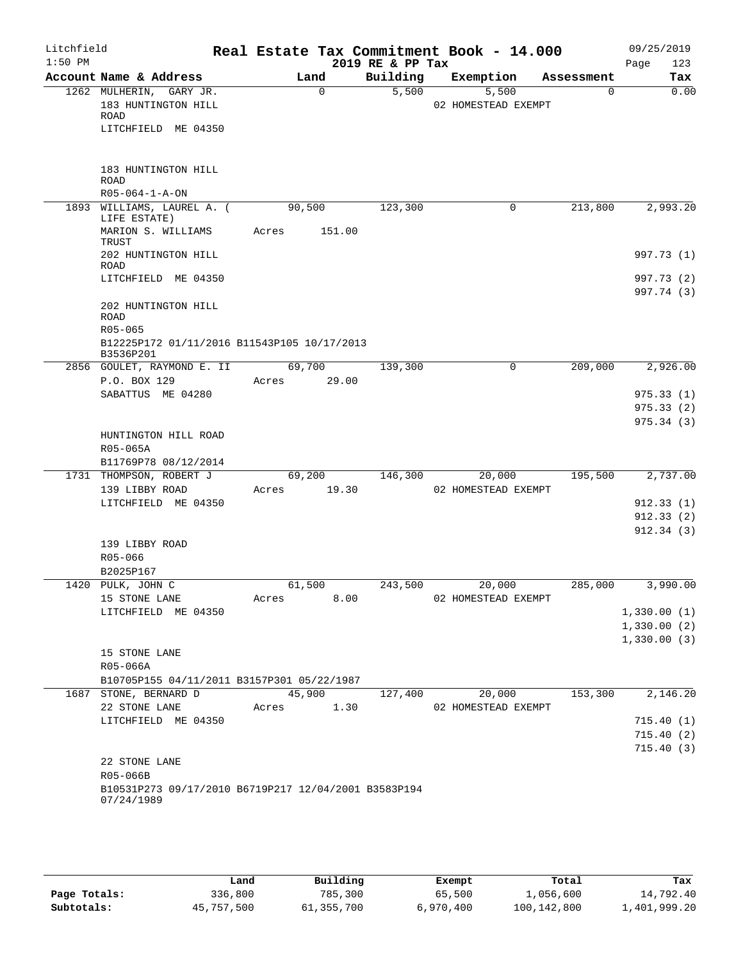| Litchfield<br>$1:50$ PM |                                                                                              |                       |          | 2019 RE & PP Tax | Real Estate Tax Commitment Book - 14.000 |            | 09/25/2019<br>123<br>Page  |
|-------------------------|----------------------------------------------------------------------------------------------|-----------------------|----------|------------------|------------------------------------------|------------|----------------------------|
|                         | Account Name & Address                                                                       |                       | Land     | Building         | Exemption                                | Assessment | Tax                        |
|                         | 1262 MULHERIN, GARY JR.<br>183 HUNTINGTON HILL<br>ROAD<br>LITCHFIELD ME 04350                |                       | $\Omega$ | 5,500            | 5,500<br>02 HOMESTEAD EXEMPT             | $\Omega$   | 0.00                       |
|                         | 183 HUNTINGTON HILL<br><b>ROAD</b>                                                           |                       |          |                  |                                          |            |                            |
|                         | $R05 - 064 - 1 - A - ON$<br>1893 WILLIAMS, LAUREL A. (                                       | 90,500                |          | 123,300          | 0                                        | 213,800    | 2,993.20                   |
|                         | LIFE ESTATE)<br>MARION S. WILLIAMS                                                           | Acres                 | 151.00   |                  |                                          |            |                            |
|                         | TRUST<br>202 HUNTINGTON HILL                                                                 |                       |          |                  |                                          |            | 997.73 (1)                 |
|                         | <b>ROAD</b><br>LITCHFIELD ME 04350                                                           |                       |          |                  |                                          |            | 997.73 (2)                 |
|                         | 202 HUNTINGTON HILL<br><b>ROAD</b><br>R05-065<br>B12225P172 01/11/2016 B11543P105 10/17/2013 |                       |          |                  |                                          |            | 997.74 (3)                 |
|                         | B3536P201                                                                                    |                       |          |                  |                                          |            |                            |
|                         | 2856 GOULET, RAYMOND E. II<br>P.O. BOX 129                                                   | 69,700<br>Acres 29.00 |          | 139,300          | 0                                        | 209,000    | 2,926.00                   |
|                         | SABATTUS ME 04280                                                                            |                       |          |                  |                                          |            | 975.33(1)                  |
|                         |                                                                                              |                       |          |                  |                                          |            | 975.33(2)<br>975.34(3)     |
|                         | HUNTINGTON HILL ROAD<br>R05-065A<br>B11769P78 08/12/2014                                     |                       |          |                  |                                          |            |                            |
|                         | 1731 THOMPSON, ROBERT J<br>139 LIBBY ROAD                                                    | 69,200<br>Acres       | 19.30    | 146,300          | 20,000<br>02 HOMESTEAD EXEMPT            | 195,500    | 2,737.00                   |
|                         | LITCHFIELD ME 04350                                                                          |                       |          |                  |                                          |            | 912.33(1)                  |
|                         |                                                                                              |                       |          |                  |                                          |            | 912.33(2)                  |
|                         | 139 LIBBY ROAD<br>R05-066                                                                    |                       |          |                  |                                          |            | 912.34(3)                  |
|                         | B2025P167                                                                                    |                       |          |                  |                                          |            |                            |
|                         | 1420 PULK, JOHN C                                                                            | 61,500                |          | 243,500          | 20,000                                   | 285,000    | 3,990.00                   |
|                         | 15 STONE LANE                                                                                | Acres                 | 8.00     |                  | 02 HOMESTEAD EXEMPT                      |            |                            |
|                         | LITCHFIELD ME 04350                                                                          |                       |          |                  |                                          |            | 1,330.00(1)                |
|                         |                                                                                              |                       |          |                  |                                          |            | 1,330.00(2)<br>1,330.00(3) |
|                         | 15 STONE LANE<br>R05-066A                                                                    |                       |          |                  |                                          |            |                            |
|                         | B10705P155 04/11/2011 B3157P301 05/22/1987                                                   |                       |          |                  |                                          |            | 2,146.20                   |
|                         | 1687 STONE, BERNARD D<br>22 STONE LANE                                                       | Acres 1.30            | 45,900   | 127,400          | 20,000<br>02 HOMESTEAD EXEMPT            | 153,300    |                            |
|                         | LITCHFIELD ME 04350                                                                          |                       |          |                  |                                          |            | 715.40(1)                  |
|                         |                                                                                              |                       |          |                  |                                          |            | 715.40(2)                  |
|                         |                                                                                              |                       |          |                  |                                          |            | 715.40(3)                  |
|                         | 22 STONE LANE<br>R05-066B                                                                    |                       |          |                  |                                          |            |                            |
|                         | B10531P273 09/17/2010 B6719P217 12/04/2001 B3583P194<br>07/24/1989                           |                       |          |                  |                                          |            |                            |

|              | Land       | Building   | Exempt    | Total       | Tax          |
|--------------|------------|------------|-----------|-------------|--------------|
| Page Totals: | 336,800    | 785,300    | 65,500    | 1,056,600   | 14,792.40    |
| Subtotals:   | 45,757,500 | 61,355,700 | 6,970,400 | 100,142,800 | 1,401,999.20 |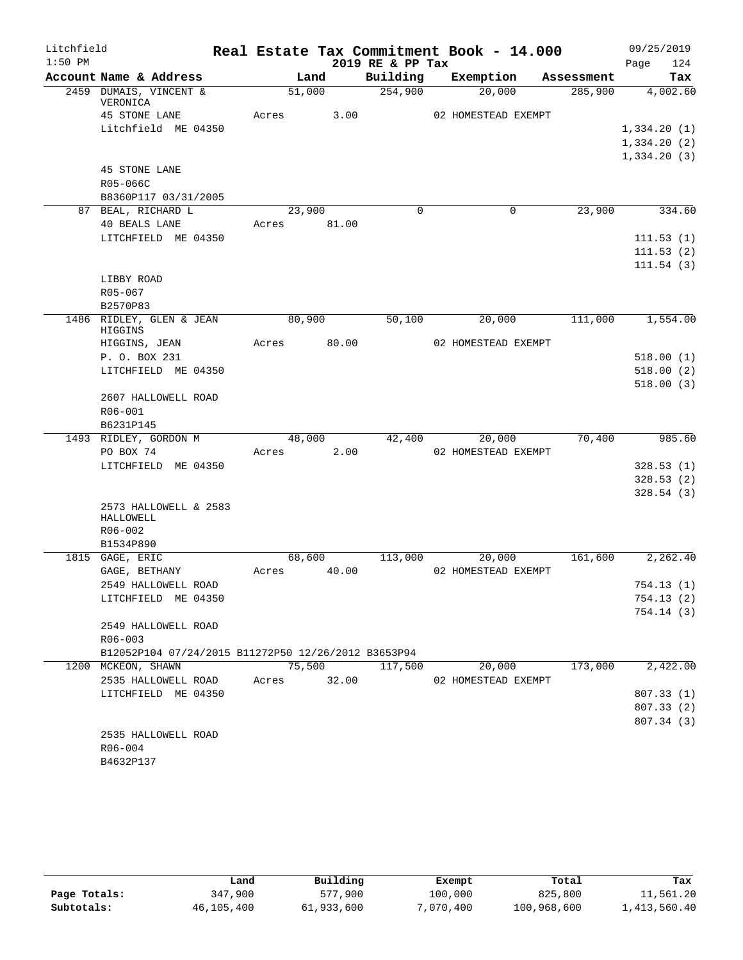| Litchfield |                                                     |             |        |       | Real Estate Tax Commitment Book - 14.000 |                     |             |            |      | 09/25/2019             |
|------------|-----------------------------------------------------|-------------|--------|-------|------------------------------------------|---------------------|-------------|------------|------|------------------------|
| $1:50$ PM  |                                                     |             |        |       | 2019 RE & PP Tax                         |                     |             |            | Page | 124                    |
|            | Account Name & Address                              |             | Land   |       | Building                                 |                     | Exemption   | Assessment |      | Tax                    |
|            | 2459 DUMAIS, VINCENT &<br>VERONICA                  |             | 51,000 |       | 254,900                                  |                     | 20,000      | 285,900    |      | 4,002.60               |
|            | 45 STONE LANE                                       | Acres       |        | 3.00  |                                          | 02 HOMESTEAD EXEMPT |             |            |      |                        |
|            | Litchfield ME 04350                                 |             |        |       |                                          |                     |             |            |      | 1,334.20(1)            |
|            |                                                     |             |        |       |                                          |                     |             |            |      | 1,334.20(2)            |
|            |                                                     |             |        |       |                                          |                     |             |            |      | 1,334.20(3)            |
|            | 45 STONE LANE                                       |             |        |       |                                          |                     |             |            |      |                        |
|            | R05-066C                                            |             |        |       |                                          |                     |             |            |      |                        |
|            | B8360P117 03/31/2005                                |             |        |       |                                          |                     |             |            |      |                        |
|            | 87 BEAL, RICHARD L                                  |             | 23,900 |       | $\Omega$                                 |                     | $\mathbf 0$ | 23,900     |      | 334.60                 |
|            | 40 BEALS LANE                                       | Acres 81.00 |        |       |                                          |                     |             |            |      |                        |
|            | LITCHFIELD ME 04350                                 |             |        |       |                                          |                     |             |            |      | 111.53(1)              |
|            |                                                     |             |        |       |                                          |                     |             |            |      | 111.53(2)              |
|            |                                                     |             |        |       |                                          |                     |             |            |      | 111.54(3)              |
|            | LIBBY ROAD                                          |             |        |       |                                          |                     |             |            |      |                        |
|            | R05-067                                             |             |        |       |                                          |                     |             |            |      |                        |
|            | B2570P83                                            |             |        |       |                                          |                     |             |            |      |                        |
|            | 1486 RIDLEY, GLEN & JEAN<br>HIGGINS                 |             | 80,900 |       | 50,100                                   |                     | 20,000      | 111,000    |      | 1,554.00               |
|            | HIGGINS, JEAN                                       | Acres       |        | 80.00 |                                          | 02 HOMESTEAD EXEMPT |             |            |      |                        |
|            | P. O. BOX 231                                       |             |        |       |                                          |                     |             |            |      | 518.00(1)              |
|            | LITCHFIELD ME 04350                                 |             |        |       |                                          |                     |             |            |      | 518.00(2)              |
|            |                                                     |             |        |       |                                          |                     |             |            |      | 518.00(3)              |
|            | 2607 HALLOWELL ROAD                                 |             |        |       |                                          |                     |             |            |      |                        |
|            | R06-001                                             |             |        |       |                                          |                     |             |            |      |                        |
|            | B6231P145                                           |             |        |       |                                          |                     |             |            |      |                        |
|            | 1493 RIDLEY, GORDON M                               |             | 48,000 |       | 42,400                                   |                     | 20,000      | 70,400     |      | 985.60                 |
|            | PO BOX 74                                           | Acres       |        | 2.00  |                                          | 02 HOMESTEAD EXEMPT |             |            |      |                        |
|            | LITCHFIELD ME 04350                                 |             |        |       |                                          |                     |             |            |      | 328.53(1)              |
|            |                                                     |             |        |       |                                          |                     |             |            |      | 328.53(2)              |
|            |                                                     |             |        |       |                                          |                     |             |            |      | 328.54(3)              |
|            | 2573 HALLOWELL & 2583                               |             |        |       |                                          |                     |             |            |      |                        |
|            | HALLOWELL                                           |             |        |       |                                          |                     |             |            |      |                        |
|            | R06-002                                             |             |        |       |                                          |                     |             |            |      |                        |
|            | B1534P890                                           |             |        |       |                                          |                     |             |            |      |                        |
|            | 1815 GAGE, ERIC                                     |             | 68,600 |       | 113,000                                  |                     | 20,000      | 161,600    |      | 2,262.40               |
|            | GAGE, BETHANY                                       | Acres       |        | 40.00 |                                          | 02 HOMESTEAD EXEMPT |             |            |      | 754.13 (1)             |
|            | 2549 HALLOWELL ROAD                                 |             |        |       |                                          |                     |             |            |      |                        |
|            | LITCHFIELD ME 04350                                 |             |        |       |                                          |                     |             |            |      | 754.13(2)<br>754.14(3) |
|            | 2549 HALLOWELL ROAD                                 |             |        |       |                                          |                     |             |            |      |                        |
|            | R06-003                                             |             |        |       |                                          |                     |             |            |      |                        |
|            | B12052P104 07/24/2015 B11272P50 12/26/2012 B3653P94 |             |        |       |                                          |                     |             |            |      |                        |
|            | 1200 MCKEON, SHAWN                                  |             | 75,500 |       | 117,500                                  |                     | 20,000      | 173,000    |      | 2,422.00               |
|            | 2535 HALLOWELL ROAD                                 | Acres       |        | 32.00 |                                          | 02 HOMESTEAD EXEMPT |             |            |      |                        |
|            | LITCHFIELD ME 04350                                 |             |        |       |                                          |                     |             |            |      | 807.33 (1)             |
|            |                                                     |             |        |       |                                          |                     |             |            |      | 807.33 (2)             |
|            |                                                     |             |        |       |                                          |                     |             |            |      | 807.34(3)              |
|            | 2535 HALLOWELL ROAD                                 |             |        |       |                                          |                     |             |            |      |                        |
|            | R06-004                                             |             |        |       |                                          |                     |             |            |      |                        |
|            | B4632P137                                           |             |        |       |                                          |                     |             |            |      |                        |

|              | Land       | Building   | Exempt    | Total       | Tax          |
|--------------|------------|------------|-----------|-------------|--------------|
| Page Totals: | 347,900    | 577,900    | 100,000   | 825,800     | 11,561.20    |
| Subtotals:   | 46,105,400 | 61,933,600 | 7,070,400 | 100,968,600 | 1,413,560.40 |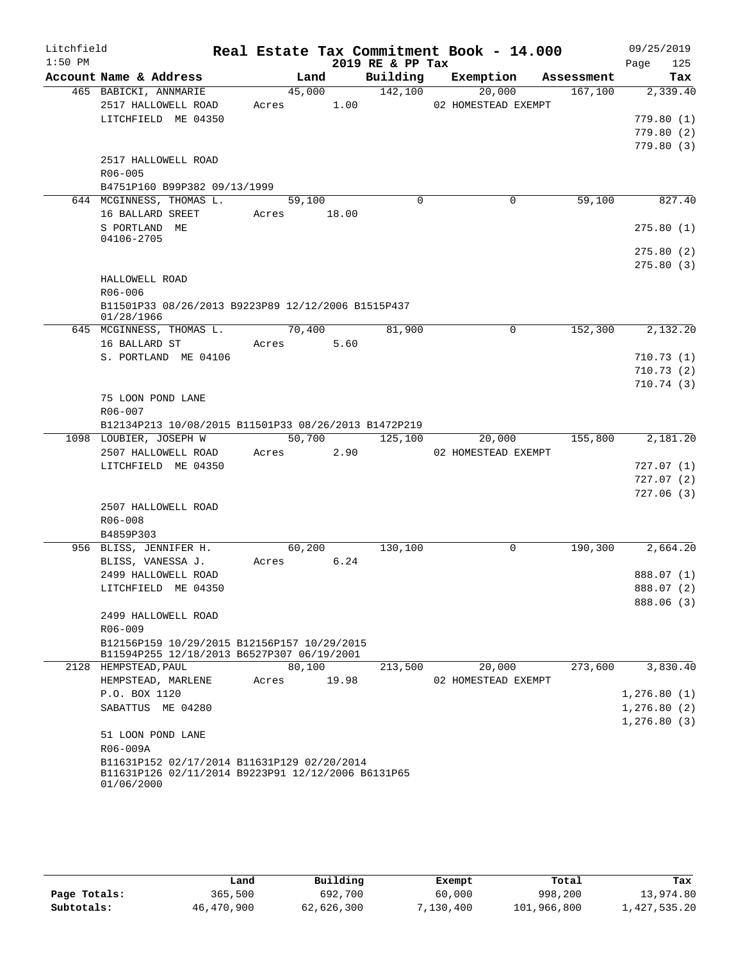| Litchfield |                                                      |                      |       |                  | Real Estate Tax Commitment Book - 14.000 |            | 09/25/2019  |
|------------|------------------------------------------------------|----------------------|-------|------------------|------------------------------------------|------------|-------------|
| $1:50$ PM  |                                                      |                      |       | 2019 RE & PP Tax |                                          |            | 125<br>Page |
|            | Account Name & Address                               | Land                 |       | Building         | Exemption                                | Assessment | Tax         |
|            | 465 BABICKI, ANNMARIE                                | 45,000               |       | 142,100          | 20,000                                   | 167,100    | 2,339.40    |
|            | 2517 HALLOWELL ROAD                                  | Acres 1.00           |       |                  | 02 HOMESTEAD EXEMPT                      |            |             |
|            | LITCHFIELD ME 04350                                  |                      |       |                  |                                          |            | 779.80(1)   |
|            |                                                      |                      |       |                  |                                          |            | 779.80(2)   |
|            | 2517 HALLOWELL ROAD                                  |                      |       |                  |                                          |            | 779.80(3)   |
|            | R06-005                                              |                      |       |                  |                                          |            |             |
|            | B4751P160 B99P382 09/13/1999                         |                      |       |                  |                                          |            |             |
|            | 644 MCGINNESS, THOMAS L.                             | 59,100               |       | $\Omega$         | $\Omega$                                 | 59,100     | 827.40      |
|            | 16 BALLARD SREET                                     | Acres 18.00          |       |                  |                                          |            |             |
|            | S PORTLAND ME                                        |                      |       |                  |                                          |            | 275.80(1)   |
|            | 04106-2705                                           |                      |       |                  |                                          |            |             |
|            |                                                      |                      |       |                  |                                          |            | 275.80(2)   |
|            |                                                      |                      |       |                  |                                          |            | 275.80(3)   |
|            | HALLOWELL ROAD<br>R06-006                            |                      |       |                  |                                          |            |             |
|            | B11501P33 08/26/2013 B9223P89 12/12/2006 B1515P437   |                      |       |                  |                                          |            |             |
|            | 01/28/1966                                           |                      |       |                  |                                          |            |             |
|            | 645 MCGINNESS, THOMAS L. 70,400                      |                      |       | 81,900           | 0                                        | 152,300    | 2,132.20    |
|            | 16 BALLARD ST                                        | Acres                | 5.60  |                  |                                          |            |             |
|            | S. PORTLAND ME 04106                                 |                      |       |                  |                                          |            | 710.73(1)   |
|            |                                                      |                      |       |                  |                                          |            | 710.73(2)   |
|            |                                                      |                      |       |                  |                                          |            | 710.74(3)   |
|            | 75 LOON POND LANE<br>R06-007                         |                      |       |                  |                                          |            |             |
|            | B12134P213 10/08/2015 B11501P33 08/26/2013 B1472P219 |                      |       |                  |                                          |            |             |
|            | 1098 LOUBIER, JOSEPH W                               |                      |       | 50,700 125,100   | 20,000                                   | 155,800    | 2,181.20    |
|            | 2507 HALLOWELL ROAD                                  | Acres 2.90           |       |                  | 02 HOMESTEAD EXEMPT                      |            |             |
|            | LITCHFIELD ME 04350                                  |                      |       |                  |                                          |            | 727.07(1)   |
|            |                                                      |                      |       |                  |                                          |            | 727.07(2)   |
|            |                                                      |                      |       |                  |                                          |            | 727.06(3)   |
|            | 2507 HALLOWELL ROAD                                  |                      |       |                  |                                          |            |             |
|            | R06-008                                              |                      |       |                  |                                          |            |             |
|            | B4859P303                                            |                      |       |                  |                                          |            |             |
|            | 956 BLISS, JENNIFER H.<br>BLISS, VANESSA J.          | 60,200<br>Acres 6.24 |       | 130,100          | $\mathbf 0$                              | 190,300    | 2,664.20    |
|            | 2499 HALLOWELL ROAD                                  |                      |       |                  |                                          |            | 888.07 (1)  |
|            | LITCHFIELD ME 04350                                  |                      |       |                  |                                          |            | 888.07 (2)  |
|            |                                                      |                      |       |                  |                                          |            | 888.06 (3)  |
|            | 2499 HALLOWELL ROAD                                  |                      |       |                  |                                          |            |             |
|            | $R06 - 009$                                          |                      |       |                  |                                          |            |             |
|            | B12156P159 10/29/2015 B12156P157 10/29/2015          |                      |       |                  |                                          |            |             |
|            | B11594P255 12/18/2013 B6527P307 06/19/2001           |                      |       |                  |                                          |            |             |
|            | 2128 HEMPSTEAD, PAUL                                 | 80,100               |       | 213,500          | 20,000                                   | 273,600    | 3,830.40    |
|            | HEMPSTEAD, MARLENE<br>P.O. BOX 1120                  | Acres                | 19.98 |                  | 02 HOMESTEAD EXEMPT                      |            | 1,276.80(1) |
|            | SABATTUS ME 04280                                    |                      |       |                  |                                          |            | 1,276.80(2) |
|            |                                                      |                      |       |                  |                                          |            | 1,276.80(3) |
|            | 51 LOON POND LANE                                    |                      |       |                  |                                          |            |             |
|            | R06-009A                                             |                      |       |                  |                                          |            |             |
|            | B11631P152 02/17/2014 B11631P129 02/20/2014          |                      |       |                  |                                          |            |             |
|            | B11631P126 02/11/2014 B9223P91 12/12/2006 B6131P65   |                      |       |                  |                                          |            |             |
|            | 01/06/2000                                           |                      |       |                  |                                          |            |             |

|              | Land       | Building   | Exempt   | Total       | Tax          |
|--------------|------------|------------|----------|-------------|--------------|
| Page Totals: | 365,500    | 692,700    | 60,000   | 998,200     | 13,974.80    |
| Subtotals:   | 46,470,900 | 62,626,300 | ,130,400 | 101,966,800 | 1,427,535.20 |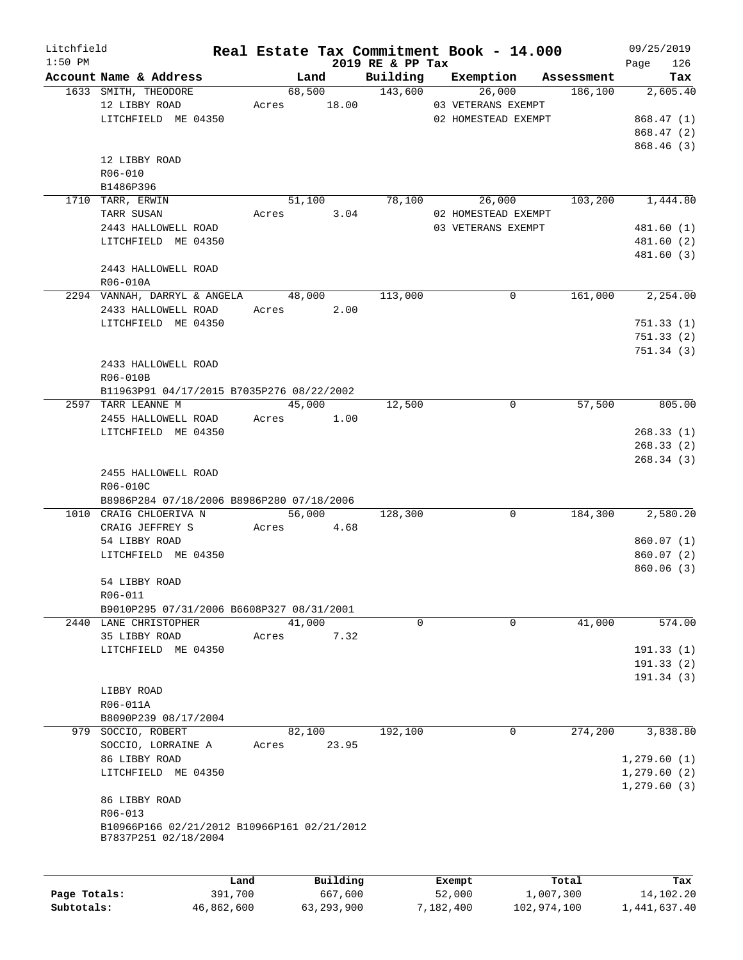| Litchfield   |                                                                     |            | Real Estate Tax Commitment Book - 14.000 |                              |                     |                     |                       | 09/25/2019      |
|--------------|---------------------------------------------------------------------|------------|------------------------------------------|------------------------------|---------------------|---------------------|-----------------------|-----------------|
| $1:50$ PM    | Account Name & Address                                              |            | Land                                     | 2019 RE & PP Tax<br>Building | Exemption           |                     |                       | 126<br>Page     |
|              | 1633 SMITH, THEODORE                                                |            | 68,500                                   | 143,600                      |                     | 26,000              | Assessment<br>186,100 | Tax<br>2,605.40 |
|              | 12 LIBBY ROAD                                                       |            | Acres 18.00                              |                              | 03 VETERANS EXEMPT  |                     |                       |                 |
|              | LITCHFIELD ME 04350                                                 |            |                                          |                              |                     | 02 HOMESTEAD EXEMPT |                       | 868.47(1)       |
|              |                                                                     |            |                                          |                              |                     |                     |                       | 868.47 (2)      |
|              |                                                                     |            |                                          |                              |                     |                     |                       | 868.46(3)       |
|              | 12 LIBBY ROAD                                                       |            |                                          |                              |                     |                     |                       |                 |
|              | R06-010                                                             |            |                                          |                              |                     |                     |                       |                 |
|              | B1486P396                                                           |            |                                          |                              |                     |                     |                       |                 |
|              | 1710 TARR, ERWIN                                                    |            | 51,100                                   | 78,100                       |                     | 26,000              | 103,200               | 1,444.80        |
|              | TARR SUSAN                                                          | Acres      | 3.04                                     |                              | 02 HOMESTEAD EXEMPT |                     |                       |                 |
|              | 2443 HALLOWELL ROAD                                                 |            |                                          |                              | 03 VETERANS EXEMPT  |                     |                       | 481.60 (1)      |
|              | LITCHFIELD ME 04350                                                 |            |                                          |                              |                     |                     |                       | 481.60 (2)      |
|              |                                                                     |            |                                          |                              |                     |                     |                       | 481.60 (3)      |
|              | 2443 HALLOWELL ROAD                                                 |            |                                          |                              |                     |                     |                       |                 |
|              | R06-010A                                                            |            |                                          |                              |                     |                     |                       |                 |
|              |                                                                     |            |                                          |                              |                     |                     |                       |                 |
|              | 2294 VANNAH, DARRYL & ANGELA                                        |            | 48,000                                   | 113,000                      |                     | $\mathbf 0$         | 161,000               | 2,254.00        |
|              | 2433 HALLOWELL ROAD                                                 |            | 2.00<br>Acres                            |                              |                     |                     |                       |                 |
|              | LITCHFIELD ME 04350                                                 |            |                                          |                              |                     |                     |                       | 751.33(1)       |
|              |                                                                     |            |                                          |                              |                     |                     |                       | 751.33(2)       |
|              |                                                                     |            |                                          |                              |                     |                     |                       | 751.34(3)       |
|              | 2433 HALLOWELL ROAD                                                 |            |                                          |                              |                     |                     |                       |                 |
|              | R06-010B                                                            |            |                                          |                              |                     |                     |                       |                 |
|              | B11963P91 04/17/2015 B7035P276 08/22/2002                           |            |                                          |                              |                     |                     |                       |                 |
|              | 2597 TARR LEANNE M                                                  |            | 45,000                                   | 12,500                       |                     | 0                   | 57,500                | 805.00          |
|              | 2455 HALLOWELL ROAD                                                 |            | Acres 1.00                               |                              |                     |                     |                       |                 |
|              | LITCHFIELD ME 04350                                                 |            |                                          |                              |                     |                     |                       | 268.33(1)       |
|              |                                                                     |            |                                          |                              |                     |                     |                       | 268.33(2)       |
|              |                                                                     |            |                                          |                              |                     |                     |                       | 268.34(3)       |
|              | 2455 HALLOWELL ROAD                                                 |            |                                          |                              |                     |                     |                       |                 |
|              | R06-010C                                                            |            |                                          |                              |                     |                     |                       |                 |
|              | B8986P284 07/18/2006 B8986P280 07/18/2006                           |            |                                          |                              |                     |                     |                       |                 |
|              | 1010 CRAIG CHLOERIVA N                                              |            | 56,000                                   | 128,300                      |                     | $\mathbf 0$         | 184,300               | 2,580.20        |
|              | CRAIG JEFFREY S                                                     |            | Acres 4.68                               |                              |                     |                     |                       |                 |
|              | 54 LIBBY ROAD                                                       |            |                                          |                              |                     |                     |                       | 860.07(1)       |
|              | LITCHFIELD ME 04350                                                 |            |                                          |                              |                     |                     |                       | 860.07 (2)      |
|              |                                                                     |            |                                          |                              |                     |                     |                       | 860.06(3)       |
|              | 54 LIBBY ROAD                                                       |            |                                          |                              |                     |                     |                       |                 |
|              | R06-011                                                             |            |                                          |                              |                     |                     |                       |                 |
|              | B9010P295 07/31/2006 B6608P327 08/31/2001                           |            |                                          |                              |                     |                     |                       |                 |
|              | 2440 LANE CHRISTOPHER                                               |            | 41,000                                   | 0                            |                     | $\mathbf 0$         | 41,000                | 574.00          |
|              | 35 LIBBY ROAD                                                       | Acres      | 7.32                                     |                              |                     |                     |                       |                 |
|              | LITCHFIELD ME 04350                                                 |            |                                          |                              |                     |                     |                       | 191.33(1)       |
|              |                                                                     |            |                                          |                              |                     |                     |                       | 191.33(2)       |
|              |                                                                     |            |                                          |                              |                     |                     |                       | 191.34 (3)      |
|              | LIBBY ROAD                                                          |            |                                          |                              |                     |                     |                       |                 |
|              | R06-011A                                                            |            |                                          |                              |                     |                     |                       |                 |
|              | B8090P239 08/17/2004                                                |            |                                          |                              |                     |                     |                       |                 |
| 979          | SOCCIO, ROBERT                                                      |            | 82,100                                   | 192,100                      |                     | 0                   | 274,200               | 3,838.80        |
|              | SOCCIO, LORRAINE A                                                  | Acres      | 23.95                                    |                              |                     |                     |                       |                 |
|              | 86 LIBBY ROAD                                                       |            |                                          |                              |                     |                     |                       | 1,279.60(1)     |
|              | LITCHFIELD ME 04350                                                 |            |                                          |                              |                     |                     |                       | 1,279.60(2)     |
|              |                                                                     |            |                                          |                              |                     |                     |                       | 1,279.60(3)     |
|              | 86 LIBBY ROAD                                                       |            |                                          |                              |                     |                     |                       |                 |
|              | R06-013                                                             |            |                                          |                              |                     |                     |                       |                 |
|              | B10966P166 02/21/2012 B10966P161 02/21/2012<br>B7837P251 02/18/2004 |            |                                          |                              |                     |                     |                       |                 |
|              |                                                                     |            |                                          |                              |                     |                     |                       |                 |
|              |                                                                     | Land       | Building                                 |                              | Exempt              |                     | Total                 | Tax             |
| Page Totals: |                                                                     | 391,700    | 667,600                                  |                              | 52,000              |                     | 1,007,300             | 14,102.20       |
| Subtotals:   |                                                                     | 46,862,600 | 63, 293, 900                             |                              | 7,182,400           | 102,974,100         |                       | 1,441,637.40    |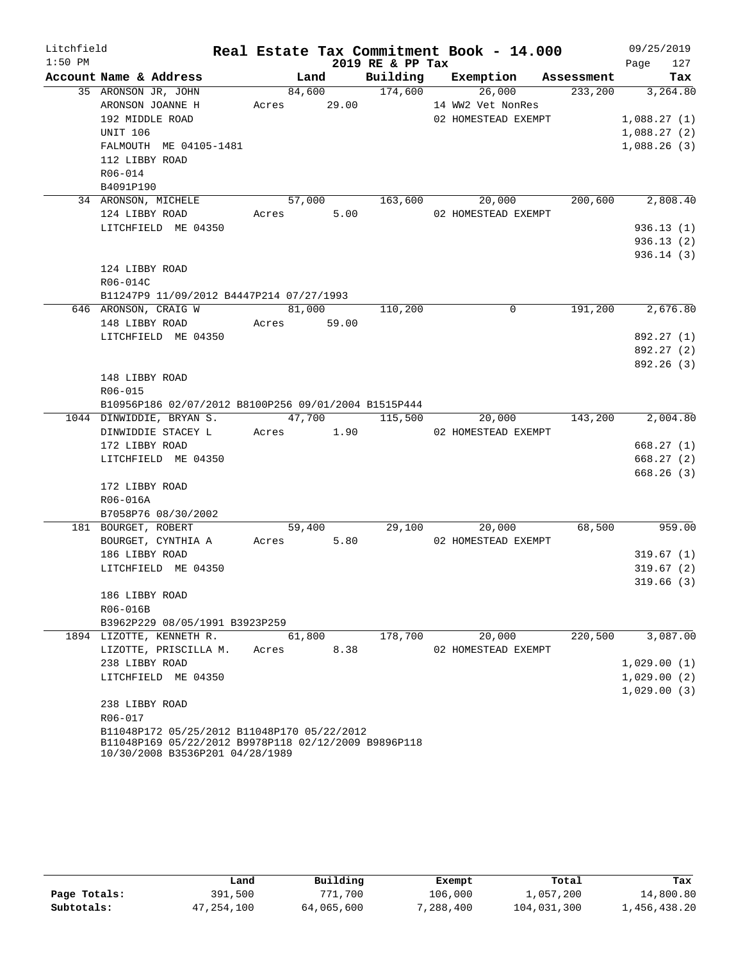| Litchfield |                                                      |            |        |                  | Real Estate Tax Commitment Book - 14.000         |         | 09/25/2019             |
|------------|------------------------------------------------------|------------|--------|------------------|--------------------------------------------------|---------|------------------------|
| $1:50$ PM  |                                                      |            |        | 2019 RE & PP Tax |                                                  |         | 127<br>Page            |
|            | Account Name & Address                               |            |        |                  | Land Building Exemption Assessment               |         | Tax                    |
|            | 35 ARONSON JR, JOHN                                  |            | 84,600 | 174,600          | 26,000                                           |         | 233,200 3,264.80       |
|            | ARONSON JOANNE H Acres 29.00                         |            |        |                  | 14 WW2 Vet NonRes                                |         |                        |
|            | 192 MIDDLE ROAD                                      |            |        |                  | 02 HOMESTEAD EXEMPT                              |         | 1,088.27(1)            |
|            | <b>UNIT 106</b>                                      |            |        |                  |                                                  |         | 1,088.27(2)            |
|            | FALMOUTH ME 04105-1481                               |            |        |                  |                                                  |         | 1,088.26(3)            |
|            | 112 LIBBY ROAD                                       |            |        |                  |                                                  |         |                        |
|            | R06-014<br>B4091P190                                 |            |        |                  |                                                  |         |                        |
|            | 34 ARONSON, MICHELE                                  |            |        |                  | $57,000$ $163,600$ $20,000$ $200,600$ $2,808.40$ |         |                        |
|            | 124 LIBBY ROAD                                       | Acres 5.00 |        |                  | 02 HOMESTEAD EXEMPT                              |         |                        |
|            | LITCHFIELD ME 04350                                  |            |        |                  |                                                  |         | 936.13(1)              |
|            |                                                      |            |        |                  |                                                  |         | 936.13(2)              |
|            |                                                      |            |        |                  |                                                  |         | 936.14(3)              |
|            | 124 LIBBY ROAD                                       |            |        |                  |                                                  |         |                        |
|            | R06-014C                                             |            |        |                  |                                                  |         |                        |
|            | B11247P9 11/09/2012 B4447P214 07/27/1993             |            |        |                  |                                                  |         |                        |
|            | 646 ARONSON, CRAIG W                                 |            |        | 81,000 110,200   | 0                                                | 191,200 | 2,676.80               |
|            | 148 LIBBY ROAD Acres 59.00                           |            |        |                  |                                                  |         |                        |
|            | LITCHFIELD ME 04350                                  |            |        |                  |                                                  |         | 892.27 (1)             |
|            |                                                      |            |        |                  |                                                  |         | 892.27 (2)             |
|            |                                                      |            |        |                  |                                                  |         | 892.26 (3)             |
|            | 148 LIBBY ROAD                                       |            |        |                  |                                                  |         |                        |
|            | R06-015                                              |            |        |                  |                                                  |         |                        |
|            | B10956P186 02/07/2012 B8100P256 09/01/2004 B1515P444 |            |        |                  |                                                  |         |                        |
|            | 1044 DINWIDDIE, BRYAN S.                             |            |        |                  | 47,700 115,500 20,000 143,200                    |         | 2,004.80               |
|            | DINWIDDIE STACEY LACTES 1.90                         |            |        |                  | 02 HOMESTEAD EXEMPT                              |         |                        |
|            | 172 LIBBY ROAD<br>LITCHFIELD ME 04350                |            |        |                  |                                                  |         | 668.27(1)              |
|            |                                                      |            |        |                  |                                                  |         | 668.27(2)<br>668.26(3) |
|            | 172 LIBBY ROAD                                       |            |        |                  |                                                  |         |                        |
|            | R06-016A                                             |            |        |                  |                                                  |         |                        |
|            | B7058P76 08/30/2002                                  |            |        |                  |                                                  |         |                        |
|            | 181 BOURGET, ROBERT                                  |            |        | 59,400 29,100    | 20,000                                           |         | 68,500 959.00          |
|            | BOURGET, CYNTHIA A                                   | Acres 5.80 |        |                  | 02 HOMESTEAD EXEMPT                              |         |                        |
|            | 186 LIBBY ROAD                                       |            |        |                  |                                                  |         | 319.67(1)              |
|            | LITCHFIELD ME 04350                                  |            |        |                  |                                                  |         | 319.67(2)              |
|            |                                                      |            |        |                  |                                                  |         | 319.66 (3)             |
|            | 186 LIBBY ROAD                                       |            |        |                  |                                                  |         |                        |
|            | R06-016B                                             |            |        |                  |                                                  |         |                        |
|            | B3962P229 08/05/1991 B3923P259                       |            |        |                  |                                                  |         |                        |
|            | 1894 LIZOTTE, KENNETH R.                             | 61,800     |        | 178,700          | 20,000                                           | 220,500 | 3,087.00               |
|            | LIZOTTE, PRISCILLA M.                                | Acres      | 8.38   |                  | 02 HOMESTEAD EXEMPT                              |         |                        |
|            | 238 LIBBY ROAD                                       |            |        |                  |                                                  |         | 1,029.00(1)            |
|            | LITCHFIELD ME 04350                                  |            |        |                  |                                                  |         | 1,029.00(2)            |
|            | 238 LIBBY ROAD                                       |            |        |                  |                                                  |         | 1,029.00(3)            |
|            | R06-017                                              |            |        |                  |                                                  |         |                        |
|            | B11048P172 05/25/2012 B11048P170 05/22/2012          |            |        |                  |                                                  |         |                        |
|            | B11048P169 05/22/2012 B9978P118 02/12/2009 B9896P118 |            |        |                  |                                                  |         |                        |
|            | 10/30/2008 B3536P201 04/28/1989                      |            |        |                  |                                                  |         |                        |

|              | Land         | Building   | Exempt    | Total       | Tax          |
|--------------|--------------|------------|-----------|-------------|--------------|
| Page Totals: | 391,500      | 771,700    | 106,000   | 1,057,200   | 14,800.80    |
| Subtotals:   | 47, 254, 100 | 64,065,600 | 7,288,400 | 104,031,300 | 1,456,438.20 |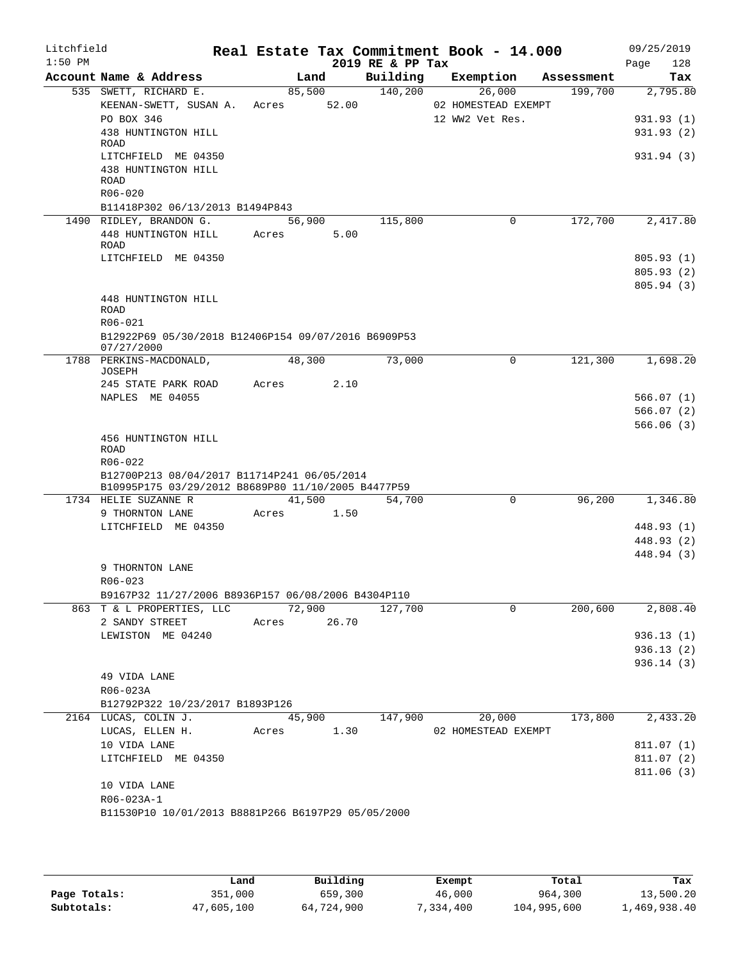| Litchfield<br>$1:50$ PM |                                                                            |        |        | 2019 RE & PP Tax | Real Estate Tax Commitment Book - 14.000 |            | 09/25/2019<br>128<br>Page |
|-------------------------|----------------------------------------------------------------------------|--------|--------|------------------|------------------------------------------|------------|---------------------------|
|                         | Account Name & Address                                                     |        | Land   | Building         | Exemption                                | Assessment | Tax                       |
|                         | 535 SWETT, RICHARD E.                                                      | 85,500 |        | 140,200          | 26,000                                   | 199,700    | 2,795.80                  |
|                         | KEENAN-SWETT, SUSAN A. Acres 52.00                                         |        |        |                  | 02 HOMESTEAD EXEMPT                      |            |                           |
|                         | PO BOX 346                                                                 |        |        |                  | 12 WW2 Vet Res.                          |            | 931.93(1)                 |
|                         | 438 HUNTINGTON HILL                                                        |        |        |                  |                                          |            | 931.93(2)                 |
|                         | ROAD                                                                       |        |        |                  |                                          |            |                           |
|                         | LITCHFIELD ME 04350                                                        |        |        |                  |                                          |            | 931.94 (3)                |
|                         | 438 HUNTINGTON HILL<br><b>ROAD</b>                                         |        |        |                  |                                          |            |                           |
|                         | $R06 - 020$                                                                |        |        |                  |                                          |            |                           |
|                         | B11418P302 06/13/2013 B1494P843                                            |        |        |                  |                                          |            |                           |
|                         | 1490 RIDLEY, BRANDON G.                                                    | 56,900 |        | 115,800          | 0                                        | 172,700    | 2,417.80                  |
|                         | 448 HUNTINGTON HILL                                                        | Acres  | 5.00   |                  |                                          |            |                           |
|                         | ROAD                                                                       |        |        |                  |                                          |            |                           |
|                         | LITCHFIELD ME 04350                                                        |        |        |                  |                                          |            | 805.93(1)                 |
|                         |                                                                            |        |        |                  |                                          |            | 805.93(2)                 |
|                         |                                                                            |        |        |                  |                                          |            | 805.94(3)                 |
|                         | 448 HUNTINGTON HILL                                                        |        |        |                  |                                          |            |                           |
|                         | <b>ROAD</b>                                                                |        |        |                  |                                          |            |                           |
|                         | R06-021                                                                    |        |        |                  |                                          |            |                           |
|                         | B12922P69 05/30/2018 B12406P154 09/07/2016 B6909P53                        |        |        |                  |                                          |            |                           |
|                         | 07/27/2000<br>1788 PERKINS-MACDONALD,                                      | 48,300 |        | 73,000           | 0                                        | 121,300    | 1,698.20                  |
|                         | JOSEPH                                                                     |        |        |                  |                                          |            |                           |
|                         | 245 STATE PARK ROAD                                                        | Acres  | 2.10   |                  |                                          |            |                           |
|                         | NAPLES ME 04055                                                            |        |        |                  |                                          |            | 566.07(1)                 |
|                         |                                                                            |        |        |                  |                                          |            | 566.07(2)                 |
|                         |                                                                            |        |        |                  |                                          |            | 566.06(3)                 |
|                         | 456 HUNTINGTON HILL                                                        |        |        |                  |                                          |            |                           |
|                         | <b>ROAD</b>                                                                |        |        |                  |                                          |            |                           |
|                         | R06-022                                                                    |        |        |                  |                                          |            |                           |
|                         | B12700P213 08/04/2017 B11714P241 06/05/2014                                |        |        |                  |                                          |            |                           |
|                         | B10995P175 03/29/2012 B8689P80 11/10/2005 B4477P59<br>1734 HELIE SUZANNE R | 41,500 |        | 54,700           | $\Omega$                                 | 96,200     | 1,346.80                  |
|                         | 9 THORNTON LANE                                                            | Acres  | 1.50   |                  |                                          |            |                           |
|                         | LITCHFIELD ME 04350                                                        |        |        |                  |                                          |            | 448.93 (1)                |
|                         |                                                                            |        |        |                  |                                          |            | 448.93 (2)                |
|                         |                                                                            |        |        |                  |                                          |            | 448.94 (3)                |
|                         | 9 THORNTON LANE                                                            |        |        |                  |                                          |            |                           |
|                         | R06-023                                                                    |        |        |                  |                                          |            |                           |
|                         | B9167P32 11/27/2006 B8936P157 06/08/2006 B4304P110                         |        |        |                  |                                          |            |                           |
|                         | 863 T & L PROPERTIES, LLC                                                  |        | 72,900 | 127,700          | $\Omega$                                 | 200,600    | 2,808.40                  |
|                         | 2 SANDY STREET                                                             | Acres  | 26.70  |                  |                                          |            |                           |
|                         | LEWISTON ME 04240                                                          |        |        |                  |                                          |            | 936.13(1)                 |
|                         |                                                                            |        |        |                  |                                          |            | 936.13(2)                 |
|                         |                                                                            |        |        |                  |                                          |            | 936.14(3)                 |
|                         | 49 VIDA LANE                                                               |        |        |                  |                                          |            |                           |
|                         | R06-023A                                                                   |        |        |                  |                                          |            |                           |
|                         | B12792P322 10/23/2017 B1893P126                                            |        |        |                  |                                          |            |                           |
|                         | 2164 LUCAS, COLIN J.                                                       |        | 45,900 | 147,900          | 20,000                                   | 173,800    | 2,433.20                  |
|                         | LUCAS, ELLEN H.                                                            | Acres  | 1.30   |                  | 02 HOMESTEAD EXEMPT                      |            |                           |
|                         | 10 VIDA LANE                                                               |        |        |                  |                                          |            | 811.07 (1)                |
|                         | LITCHFIELD ME 04350                                                        |        |        |                  |                                          |            | 811.07(2)                 |
|                         |                                                                            |        |        |                  |                                          |            | 811.06(3)                 |
|                         | 10 VIDA LANE                                                               |        |        |                  |                                          |            |                           |
|                         | R06-023A-1                                                                 |        |        |                  |                                          |            |                           |
|                         | B11530P10 10/01/2013 B8881P266 B6197P29 05/05/2000                         |        |        |                  |                                          |            |                           |
|                         |                                                                            |        |        |                  |                                          |            |                           |

|              | Land       | Building   | Exempt   | Total       | Tax          |
|--------------|------------|------------|----------|-------------|--------------|
| Page Totals: | 351,000    | 659,300    | 46,000   | 964,300     | 13,500.20    |
| Subtotals:   | 47,605,100 | 64,724,900 | ,334,400 | 104,995,600 | 1,469,938.40 |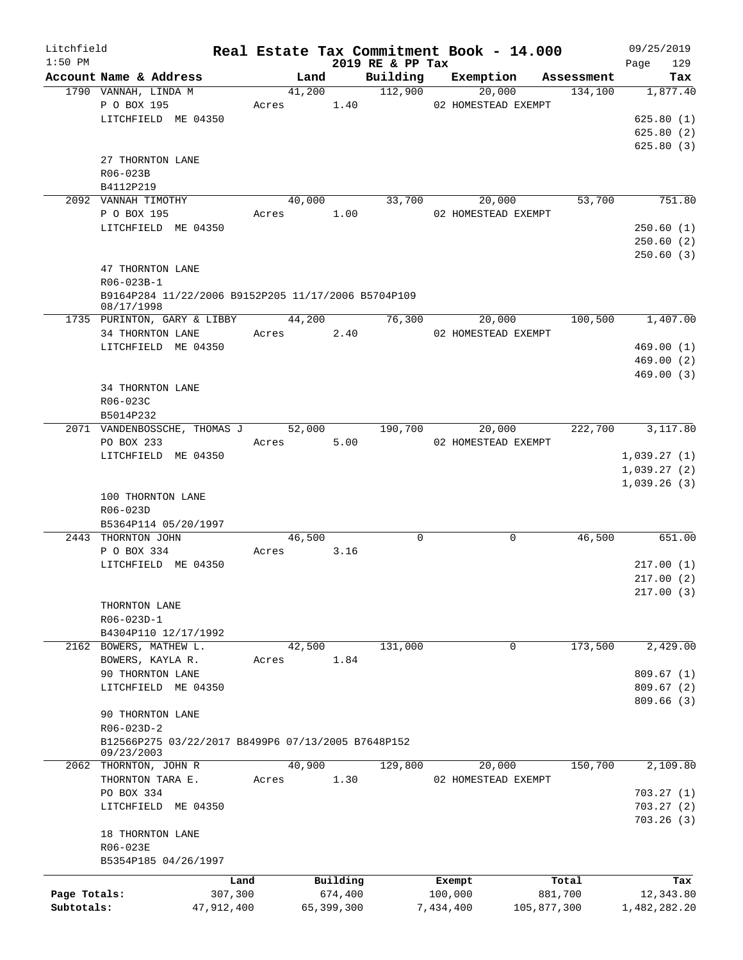| Litchfield   |                                                                   |            |       |            |            |                              | Real Estate Tax Commitment Book - 14.000 |             | 09/25/2019         |
|--------------|-------------------------------------------------------------------|------------|-------|------------|------------|------------------------------|------------------------------------------|-------------|--------------------|
| $1:50$ PM    | Account Name & Address                                            |            |       | Land       |            | 2019 RE & PP Tax<br>Building | Exemption Assessment                     |             | 129<br>Page<br>Tax |
|              | 1790 VANNAH, LINDA M                                              |            |       | 41,200     |            | 112,900                      | 20,000                                   | 134,100     | 1,877.40           |
|              | P O BOX 195                                                       |            |       | Acres 1.40 |            |                              | 02 HOMESTEAD EXEMPT                      |             |                    |
|              | LITCHFIELD ME 04350                                               |            |       |            |            |                              |                                          |             | 625.80(1)          |
|              |                                                                   |            |       |            |            |                              |                                          |             | 625.80(2)          |
|              |                                                                   |            |       |            |            |                              |                                          |             | 625.80(3)          |
|              | 27 THORNTON LANE                                                  |            |       |            |            |                              |                                          |             |                    |
|              | R06-023B                                                          |            |       |            |            |                              |                                          |             |                    |
|              | B4112P219                                                         |            |       |            |            |                              |                                          |             |                    |
|              | 2092 VANNAH TIMOTHY                                               |            |       | 40,000     |            | 33,700                       | 20,000                                   | 53,700      | 751.80             |
|              | P O BOX 195                                                       |            |       | Acres 1.00 |            |                              | 02 HOMESTEAD EXEMPT                      |             |                    |
|              | LITCHFIELD ME 04350                                               |            |       |            |            |                              |                                          |             | 250.60(1)          |
|              |                                                                   |            |       |            |            |                              |                                          |             | 250.60(2)          |
|              |                                                                   |            |       |            |            |                              |                                          |             | 250.60(3)          |
|              | 47 THORNTON LANE                                                  |            |       |            |            |                              |                                          |             |                    |
|              | R06-023B-1                                                        |            |       |            |            |                              |                                          |             |                    |
|              | B9164P284 11/22/2006 B9152P205 11/17/2006 B5704P109<br>08/17/1998 |            |       |            |            |                              |                                          |             |                    |
|              | 1735 PURINTON, GARY & LIBBY 44,200                                |            |       |            |            | 76,300                       | 20,000                                   | 100,500     | 1,407.00           |
|              | 34 THORNTON LANE                                                  |            |       | Acres 2.40 |            |                              | 02 HOMESTEAD EXEMPT                      |             |                    |
|              | LITCHFIELD ME 04350                                               |            |       |            |            |                              |                                          |             | 469.00(1)          |
|              |                                                                   |            |       |            |            |                              |                                          |             | 469.00(2)          |
|              |                                                                   |            |       |            |            |                              |                                          |             | 469.00(3)          |
|              | 34 THORNTON LANE                                                  |            |       |            |            |                              |                                          |             |                    |
|              | R06-023C                                                          |            |       |            |            |                              |                                          |             |                    |
|              | B5014P232                                                         |            |       |            |            |                              |                                          |             |                    |
|              | 2071 VANDENBOSSCHE, THOMAS J 52,000                               |            |       |            |            | 190,700                      | 20,000                                   | 222,700     | 3,117.80           |
|              | PO BOX 233                                                        |            | Acres |            | 5.00       |                              | 02 HOMESTEAD EXEMPT                      |             |                    |
|              | LITCHFIELD ME 04350                                               |            |       |            |            |                              |                                          |             | 1,039.27(1)        |
|              |                                                                   |            |       |            |            |                              |                                          |             | 1,039.27(2)        |
|              |                                                                   |            |       |            |            |                              |                                          |             | 1,039.26(3)        |
|              | 100 THORNTON LANE                                                 |            |       |            |            |                              |                                          |             |                    |
|              | R06-023D                                                          |            |       |            |            |                              |                                          |             |                    |
|              | B5364P114 05/20/1997                                              |            |       |            |            |                              |                                          |             |                    |
|              | 2443 THORNTON JOHN                                                |            |       | 46,500     |            | $\mathbf 0$                  | $\mathbf 0$                              | 46,500      | 651.00             |
|              | P O BOX 334                                                       |            | Acres |            | 3.16       |                              |                                          |             |                    |
|              | LITCHFIELD ME 04350                                               |            |       |            |            |                              |                                          |             | 217.00(1)          |
|              |                                                                   |            |       |            |            |                              |                                          |             | 217.00(2)          |
|              |                                                                   |            |       |            |            |                              |                                          |             | 217.00(3)          |
|              | THORNTON LANE                                                     |            |       |            |            |                              |                                          |             |                    |
|              | R06-023D-1                                                        |            |       |            |            |                              |                                          |             |                    |
|              | B4304P110 12/17/1992                                              |            |       |            |            |                              |                                          |             |                    |
|              | 2162 BOWERS, MATHEW L.                                            |            |       | 42,500     |            | 131,000                      | 0                                        | 173,500     | 2,429.00           |
|              | BOWERS, KAYLA R.                                                  |            | Acres |            | 1.84       |                              |                                          |             |                    |
|              | 90 THORNTON LANE                                                  |            |       |            |            |                              |                                          |             | 809.67(1)          |
|              | LITCHFIELD ME 04350                                               |            |       |            |            |                              |                                          |             | 809.67(2)          |
|              |                                                                   |            |       |            |            |                              |                                          |             | 809.66(3)          |
|              | 90 THORNTON LANE                                                  |            |       |            |            |                              |                                          |             |                    |
|              | R06-023D-2                                                        |            |       |            |            |                              |                                          |             |                    |
|              | B12566P275 03/22/2017 B8499P6 07/13/2005 B7648P152                |            |       |            |            |                              |                                          |             |                    |
|              | 09/23/2003                                                        |            |       |            |            |                              |                                          |             |                    |
|              | 2062 THORNTON, JOHN R                                             |            |       | 40,900     |            | 129,800                      | 20,000                                   | 150,700     | 2,109.80           |
|              | THORNTON TARA E.                                                  |            | Acres |            | 1.30       |                              | 02 HOMESTEAD EXEMPT                      |             |                    |
|              | PO BOX 334                                                        |            |       |            |            |                              |                                          |             | 703.27(1)          |
|              | LITCHFIELD ME 04350                                               |            |       |            |            |                              |                                          |             | 703.27(2)          |
|              |                                                                   |            |       |            |            |                              |                                          |             | 703.26(3)          |
|              | 18 THORNTON LANE                                                  |            |       |            |            |                              |                                          |             |                    |
|              | R06-023E                                                          |            |       |            |            |                              |                                          |             |                    |
|              | B5354P185 04/26/1997                                              |            |       |            |            |                              |                                          |             |                    |
|              |                                                                   | Land       |       |            | Building   |                              | Exempt                                   | Total       | Tax                |
| Page Totals: |                                                                   | 307,300    |       |            | 674,400    |                              | 100,000                                  | 881,700     | 12,343.80          |
| Subtotals:   |                                                                   | 47,912,400 |       |            | 65,399,300 |                              | 7,434,400                                | 105,877,300 | 1,482,282.20       |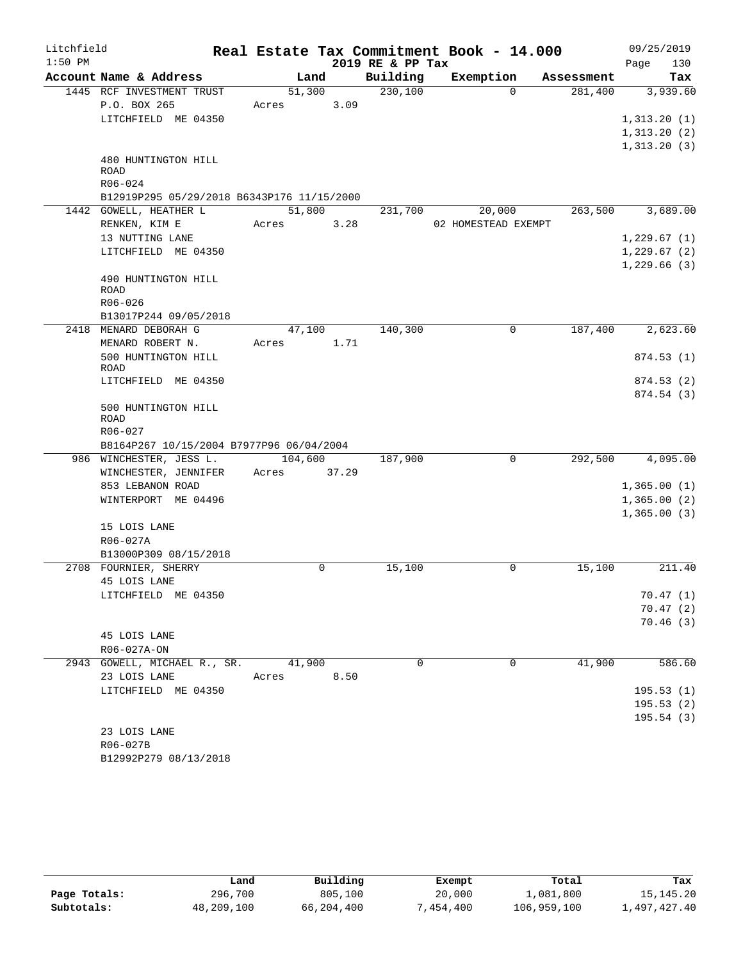| Litchfield |                                            |         |       |                  | Real Estate Tax Commitment Book - 14.000 |            | 09/25/2019            |
|------------|--------------------------------------------|---------|-------|------------------|------------------------------------------|------------|-----------------------|
| $1:50$ PM  |                                            |         |       | 2019 RE & PP Tax |                                          |            | 130<br>Page           |
|            | Account Name & Address                     | Land    |       | Building         | Exemption                                | Assessment | Tax                   |
|            | 1445 RCF INVESTMENT TRUST                  | 51,300  |       | 230,100          | $\Omega$                                 | 281,400    | 3,939.60              |
|            | P.O. BOX 265                               | Acres   | 3.09  |                  |                                          |            |                       |
|            | LITCHFIELD ME 04350                        |         |       |                  |                                          |            | 1,313.20(1)           |
|            |                                            |         |       |                  |                                          |            | 1,313.20(2)           |
|            | 480 HUNTINGTON HILL                        |         |       |                  |                                          |            | 1,313.20(3)           |
|            | <b>ROAD</b>                                |         |       |                  |                                          |            |                       |
|            | R06-024                                    |         |       |                  |                                          |            |                       |
|            | B12919P295 05/29/2018 B6343P176 11/15/2000 |         |       |                  |                                          |            |                       |
|            | 1442 GOWELL, HEATHER L                     | 51,800  |       | 231,700          | 20,000                                   | 263,500    | 3,689.00              |
|            | RENKEN, KIM E                              | Acres   | 3.28  |                  | 02 HOMESTEAD EXEMPT                      |            |                       |
|            | 13 NUTTING LANE                            |         |       |                  |                                          |            | 1,229.67(1)           |
|            | LITCHFIELD ME 04350                        |         |       |                  |                                          |            | 1,229.67(2)           |
|            |                                            |         |       |                  |                                          |            | 1,229.66(3)           |
|            | 490 HUNTINGTON HILL                        |         |       |                  |                                          |            |                       |
|            | ROAD<br>R06-026                            |         |       |                  |                                          |            |                       |
|            | B13017P244 09/05/2018                      |         |       |                  |                                          |            |                       |
|            | 2418 MENARD DEBORAH G                      | 47,100  |       | 140,300          | 0                                        | 187,400    | 2,623.60              |
|            | MENARD ROBERT N.                           | Acres   | 1.71  |                  |                                          |            |                       |
|            | 500 HUNTINGTON HILL                        |         |       |                  |                                          |            | 874.53(1)             |
|            | <b>ROAD</b>                                |         |       |                  |                                          |            |                       |
|            | LITCHFIELD ME 04350                        |         |       |                  |                                          |            | 874.53(2)             |
|            |                                            |         |       |                  |                                          |            | 874.54 (3)            |
|            | 500 HUNTINGTON HILL                        |         |       |                  |                                          |            |                       |
|            | ROAD<br>R06-027                            |         |       |                  |                                          |            |                       |
|            | B8164P267 10/15/2004 B7977P96 06/04/2004   |         |       |                  |                                          |            |                       |
|            | 986 WINCHESTER, JESS L.                    | 104,600 |       | 187,900          | 0                                        | 292,500    | $\overline{4,095.00}$ |
|            | WINCHESTER, JENNIFER                       | Acres   | 37.29 |                  |                                          |            |                       |
|            | 853 LEBANON ROAD                           |         |       |                  |                                          |            | 1,365.00(1)           |
|            | WINTERPORT ME 04496                        |         |       |                  |                                          |            | 1,365.00(2)           |
|            |                                            |         |       |                  |                                          |            | 1,365.00(3)           |
|            | 15 LOIS LANE                               |         |       |                  |                                          |            |                       |
|            | R06-027A                                   |         |       |                  |                                          |            |                       |
|            | B13000P309 08/15/2018                      |         |       |                  |                                          |            |                       |
|            | 2708 FOURNIER, SHERRY                      |         | 0     | 15,100           | 0                                        | 15,100     | 211.40                |
|            | 45 LOIS LANE                               |         |       |                  |                                          |            |                       |
|            | LITCHFIELD ME 04350                        |         |       |                  |                                          |            | 70.47(1)              |
|            |                                            |         |       |                  |                                          |            | 70.47(2)              |
|            |                                            |         |       |                  |                                          |            | 70.46(3)              |
|            | 45 LOIS LANE                               |         |       |                  |                                          |            |                       |
|            | R06-027A-ON                                |         |       |                  |                                          |            |                       |
|            | 2943 GOWELL, MICHAEL R., SR.               | 41,900  |       | 0                | 0                                        | 41,900     | 586.60                |
|            | 23 LOIS LANE                               | Acres   | 8.50  |                  |                                          |            |                       |
|            | LITCHFIELD ME 04350                        |         |       |                  |                                          |            | 195.53(1)             |
|            |                                            |         |       |                  |                                          |            | 195.53(2)             |
|            |                                            |         |       |                  |                                          |            | 195.54(3)             |
|            | 23 LOIS LANE<br>R06-027B                   |         |       |                  |                                          |            |                       |
|            | B12992P279 08/13/2018                      |         |       |                  |                                          |            |                       |
|            |                                            |         |       |                  |                                          |            |                       |

|              | Land       | Building   | Exempt    | Total       | Tax          |
|--------------|------------|------------|-----------|-------------|--------------|
| Page Totals: | 296,700    | 805,100    | 20,000    | 1,081,800   | 15,145.20    |
| Subtotals:   | 48,209,100 | 66,204,400 | 7,454,400 | 106,959,100 | 1,497,427.40 |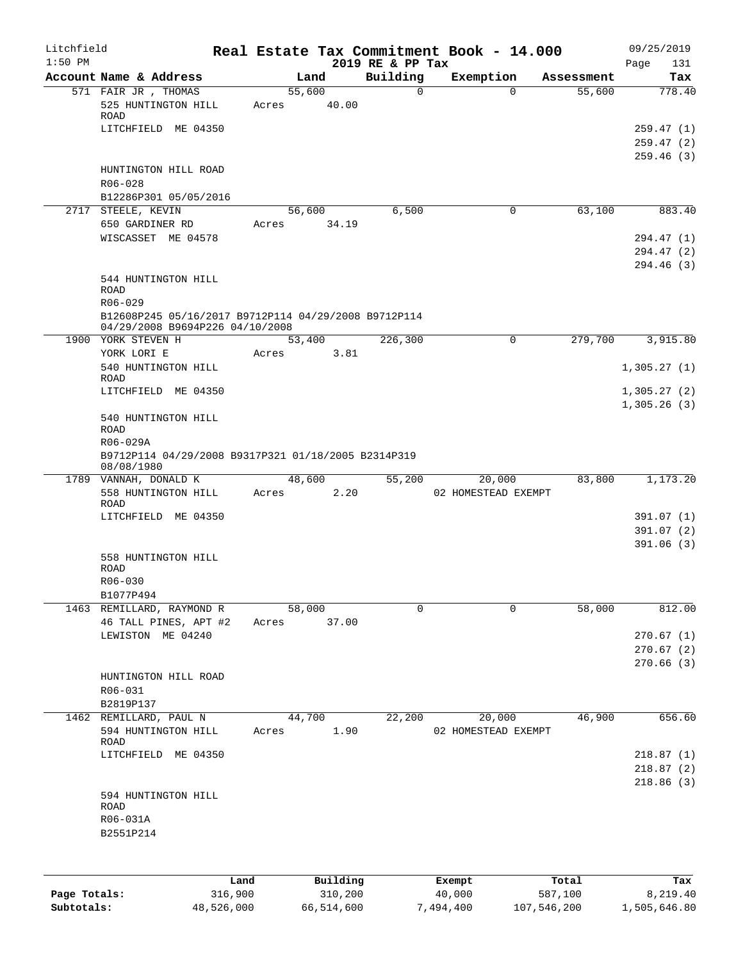| Litchfield<br>$1:50$ PM |                                                                                                                     |       |                 | 2019 RE & PP Tax | Real Estate Tax Commitment Book - 14.000 |            | 09/25/2019<br>131<br>Page              |
|-------------------------|---------------------------------------------------------------------------------------------------------------------|-------|-----------------|------------------|------------------------------------------|------------|----------------------------------------|
|                         | Account Name & Address                                                                                              |       | Land            | Building         | Exemption                                | Assessment | Tax                                    |
|                         | 571 FAIR JR, THOMAS<br>525 HUNTINGTON HILL<br>ROAD<br>LITCHFIELD ME 04350                                           | Acres | 55,600<br>40.00 | $\Omega$         | $\Omega$                                 | 55,600     | 778.40<br>259.47(1)<br>259.47(2)       |
|                         | HUNTINGTON HILL ROAD<br>R06-028<br>B12286P301 05/05/2016                                                            |       |                 |                  |                                          |            | 259.46(3)                              |
|                         | 2717 STEELE, KEVIN                                                                                                  |       | 56,600          | 6,500            | 0                                        | 63,100     | 883.40                                 |
|                         | 650 GARDINER RD<br>WISCASSET ME 04578                                                                               | Acres | 34.19           |                  |                                          |            | 294.47 (1)<br>294.47 (2)<br>294.46 (3) |
|                         | 544 HUNTINGTON HILL<br><b>ROAD</b><br>$R06 - 029$                                                                   |       |                 |                  |                                          |            |                                        |
|                         | B12608P245 05/16/2017 B9712P114 04/29/2008 B9712P114<br>04/29/2008 B9694P226 04/10/2008                             |       |                 |                  |                                          |            |                                        |
|                         | 1900 YORK STEVEN H                                                                                                  |       | 53,400          | 226,300          | 0                                        | 279,700    | 3,915.80                               |
|                         | YORK LORI E<br>540 HUNTINGTON HILL<br>ROAD                                                                          | Acres | 3.81            |                  |                                          |            | 1,305.27(1)                            |
|                         | LITCHFIELD ME 04350                                                                                                 |       |                 |                  |                                          |            | 1,305.27(2)<br>1,305.26(3)             |
|                         | 540 HUNTINGTON HILL<br><b>ROAD</b><br>R06-029A<br>B9712P114 04/29/2008 B9317P321 01/18/2005 B2314P319<br>08/08/1980 |       |                 |                  |                                          |            |                                        |
|                         | 1789 VANNAH, DONALD K                                                                                               |       | 48,600          | 55,200           | 20,000                                   | 83,800     | 1,173.20                               |
|                         | 558 HUNTINGTON HILL<br>ROAD                                                                                         | Acres | 2.20            |                  | 02 HOMESTEAD EXEMPT                      |            |                                        |
|                         | LITCHFIELD ME 04350                                                                                                 |       |                 |                  |                                          |            | 391.07(1)<br>391.07(2)<br>391.06(3)    |
|                         | 558 HUNTINGTON HILL<br><b>ROAD</b><br>R06-030<br>B1077P494                                                          |       |                 |                  |                                          |            |                                        |
|                         | 1463 REMILLARD, RAYMOND R<br>46 TALL PINES, APT #2                                                                  | Acres | 58,000<br>37.00 | $\Omega$         | $\Omega$                                 | 58,000     | 812.00                                 |
|                         | LEWISTON ME 04240                                                                                                   |       |                 |                  |                                          |            | 270.67(1)<br>270.67(2)<br>270.66(3)    |
|                         | HUNTINGTON HILL ROAD<br>R06-031<br>B2819P137                                                                        |       |                 |                  |                                          |            |                                        |
|                         | 1462 REMILLARD, PAUL N                                                                                              |       | 44,700          | 22,200           | 20,000                                   | 46,900     | 656.60                                 |
|                         | 594 HUNTINGTON HILL<br><b>ROAD</b>                                                                                  | Acres | 1.90            |                  | 02 HOMESTEAD EXEMPT                      |            |                                        |
|                         | LITCHFIELD ME 04350                                                                                                 |       |                 |                  |                                          |            | 218.87(1)<br>218.87(2)<br>218.86(3)    |
|                         | 594 HUNTINGTON HILL<br>ROAD<br>R06-031A<br>B2551P214                                                                |       |                 |                  |                                          |            |                                        |
|                         | Land                                                                                                                |       | Building        |                  | Exempt                                   | Total      | Tax                                    |

|              | Land       | Building   | Exempt    | Total       | Tax          |
|--------------|------------|------------|-----------|-------------|--------------|
| Page Totals: | 316,900    | 310,200    | 40,000    | 587,100     | 8,219.40     |
| Subtotals:   | 48,526,000 | 66,514,600 | 7,494,400 | 107,546,200 | 1,505,646.80 |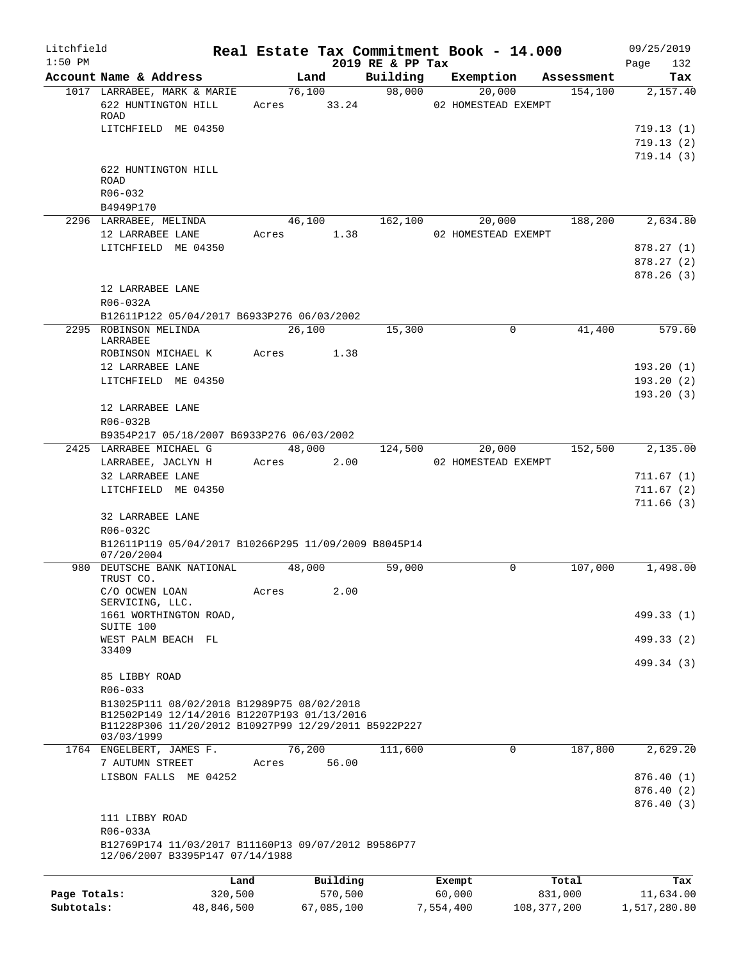| Litchfield<br>$1:50$ PM |                                                                                                                                                                 |            |       |            |                              | Real Estate Tax Commitment Book - 14.000 |               |            | 09/25/2019         |
|-------------------------|-----------------------------------------------------------------------------------------------------------------------------------------------------------------|------------|-------|------------|------------------------------|------------------------------------------|---------------|------------|--------------------|
|                         | Account Name & Address                                                                                                                                          |            |       | Land       | 2019 RE & PP Tax<br>Building | Exemption                                |               | Assessment | 132<br>Page<br>Tax |
|                         | 1017 LARRABEE, MARK & MARIE                                                                                                                                     |            |       | 76,100     | 98,000                       | 20,000                                   |               | 154, 100   | 2,157.40           |
|                         | 622 HUNTINGTON HILL<br>ROAD                                                                                                                                     |            |       |            |                              | Acres 33.24 02 HOMESTEAD EXEMPT          |               |            |                    |
|                         | LITCHFIELD ME 04350                                                                                                                                             |            |       |            |                              |                                          |               |            | 719.13(1)          |
|                         |                                                                                                                                                                 |            |       |            |                              |                                          |               |            | 719.13(2)          |
|                         | 622 HUNTINGTON HILL<br><b>ROAD</b>                                                                                                                              |            |       |            |                              |                                          |               |            | 719.14(3)          |
|                         | $R06 - 032$                                                                                                                                                     |            |       |            |                              |                                          |               |            |                    |
|                         | B4949P170<br>2296 LARRABEE, MELINDA                                                                                                                             |            |       | 46,100     | 162,100                      |                                          |               | 188,200    | 2,634.80           |
|                         | 12 LARRABEE LANE                                                                                                                                                |            |       | Acres 1.38 |                              | 20,000<br>02 HOMESTEAD EXEMPT            |               |            |                    |
|                         | LITCHFIELD ME 04350                                                                                                                                             |            |       |            |                              |                                          |               |            | 878.27(1)          |
|                         |                                                                                                                                                                 |            |       |            |                              |                                          |               |            | 878.27(2)          |
|                         |                                                                                                                                                                 |            |       |            |                              |                                          |               |            | 878.26(3)          |
|                         | 12 LARRABEE LANE                                                                                                                                                |            |       |            |                              |                                          |               |            |                    |
|                         | R06-032A                                                                                                                                                        |            |       |            |                              |                                          |               |            |                    |
|                         | B12611P122 05/04/2017 B6933P276 06/03/2002<br>2295 ROBINSON MELINDA                                                                                             |            |       | 26,100     | 15,300                       |                                          | $\Omega$      | 41,400     | 579.60             |
|                         | LARRABEE                                                                                                                                                        |            |       |            |                              |                                          |               |            |                    |
|                         | ROBINSON MICHAEL K                                                                                                                                              |            | Acres | 1.38       |                              |                                          |               |            |                    |
|                         | 12 LARRABEE LANE                                                                                                                                                |            |       |            |                              |                                          |               |            | 193.20(1)          |
|                         | LITCHFIELD ME 04350                                                                                                                                             |            |       |            |                              |                                          |               |            | 193.20(2)          |
|                         |                                                                                                                                                                 |            |       |            |                              |                                          |               |            | 193.20(3)          |
|                         | 12 LARRABEE LANE<br>R06-032B                                                                                                                                    |            |       |            |                              |                                          |               |            |                    |
|                         | B9354P217 05/18/2007 B6933P276 06/03/2002                                                                                                                       |            |       |            |                              |                                          |               |            |                    |
|                         | 2425 LARRABEE MICHAEL G                                                                                                                                         |            |       | 48,000     | 124,500                      |                                          | 20,000        | 152,500    | 2,135.00           |
|                         | LARRABEE, JACLYN H                                                                                                                                              |            |       | Acres 2.00 |                              | 02 HOMESTEAD EXEMPT                      |               |            |                    |
|                         | 32 LARRABEE LANE                                                                                                                                                |            |       |            |                              |                                          |               |            | 711.67(1)          |
|                         | LITCHFIELD ME 04350                                                                                                                                             |            |       |            |                              |                                          |               |            | 711.67(2)          |
|                         | 32 LARRABEE LANE                                                                                                                                                |            |       |            |                              |                                          |               |            | 711.66(3)          |
|                         | R06-032C                                                                                                                                                        |            |       |            |                              |                                          |               |            |                    |
|                         | B12611P119 05/04/2017 B10266P295 11/09/2009 B8045P14<br>07/20/2004                                                                                              |            |       |            |                              |                                          |               |            |                    |
|                         | 980 DEUTSCHE BANK NATIONAL                                                                                                                                      |            |       | 48,000     | 59,000                       |                                          | $\mathbf 0$   | 107,000    | 1,498.00           |
|                         | TRUST CO.<br>C/O OCWEN LOAN<br>SERVICING, LLC.                                                                                                                  |            | Acres | 2.00       |                              |                                          |               |            |                    |
|                         | 1661 WORTHINGTON ROAD,                                                                                                                                          |            |       |            |                              |                                          |               |            | 499.33 (1)         |
|                         | SUITE 100                                                                                                                                                       |            |       |            |                              |                                          |               |            |                    |
|                         | WEST PALM BEACH FL<br>33409                                                                                                                                     |            |       |            |                              |                                          |               |            | 499.33 (2)         |
|                         |                                                                                                                                                                 |            |       |            |                              |                                          |               |            | 499.34 (3)         |
|                         | 85 LIBBY ROAD                                                                                                                                                   |            |       |            |                              |                                          |               |            |                    |
|                         | R06-033                                                                                                                                                         |            |       |            |                              |                                          |               |            |                    |
|                         | B13025P111 08/02/2018 B12989P75 08/02/2018<br>B12502P149 12/14/2016 B12207P193 01/13/2016<br>B11228P306 11/20/2012 B10927P99 12/29/2011 B5922P227<br>03/03/1999 |            |       |            |                              |                                          |               |            |                    |
|                         | 1764 ENGELBERT, JAMES F.                                                                                                                                        |            |       | 76,200     | 111,600                      |                                          | 0             | 187,800    | 2,629.20           |
|                         | 7 AUTUMN STREET                                                                                                                                                 |            | Acres | 56.00      |                              |                                          |               |            |                    |
|                         | LISBON FALLS ME 04252                                                                                                                                           |            |       |            |                              |                                          |               |            | 876.40(1)          |
|                         |                                                                                                                                                                 |            |       |            |                              |                                          |               |            | 876.40(2)          |
|                         | 111 LIBBY ROAD                                                                                                                                                  |            |       |            |                              |                                          |               |            | 876.40(3)          |
|                         | R06-033A                                                                                                                                                        |            |       |            |                              |                                          |               |            |                    |
|                         | B12769P174 11/03/2017 B11160P13 09/07/2012 B9586P77<br>12/06/2007 B3395P147 07/14/1988                                                                          |            |       |            |                              |                                          |               |            |                    |
|                         |                                                                                                                                                                 | Land       |       | Building   |                              | Exempt                                   |               | Total      | Tax                |
| Page Totals:            |                                                                                                                                                                 | 320,500    |       | 570,500    |                              | 60,000                                   |               | 831,000    | 11,634.00          |
| Subtotals:              |                                                                                                                                                                 | 48,846,500 |       | 67,085,100 |                              | 7,554,400                                | 108, 377, 200 |            | 1,517,280.80       |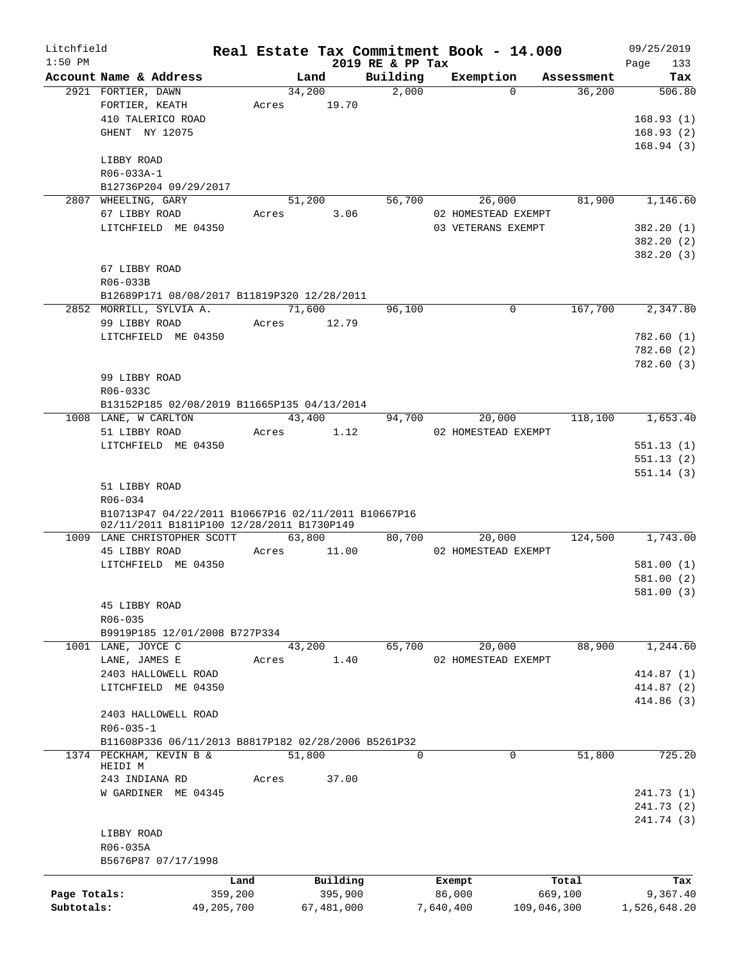| Litchfield   |                                                     |            |                |            |                   | Real Estate Tax Commitment Book - 14.000 |                      | 09/25/2019    |
|--------------|-----------------------------------------------------|------------|----------------|------------|-------------------|------------------------------------------|----------------------|---------------|
| $1:50$ PM    |                                                     |            |                |            | 2019 RE & PP Tax  |                                          |                      | 133<br>Page   |
|              | Account Name & Address                              |            | Land<br>34,200 |            | Building<br>2,000 | Exemption<br>$\Omega$                    | Assessment<br>36,200 | Tax<br>506.80 |
|              | 2921 FORTIER, DAWN<br>FORTIER, KEATH                |            | Acres          | 19.70      |                   |                                          |                      |               |
|              | 410 TALERICO ROAD                                   |            |                |            |                   |                                          |                      | 168.93(1)     |
|              |                                                     |            |                |            |                   |                                          |                      |               |
|              | GHENT NY 12075                                      |            |                |            |                   |                                          |                      | 168.93(2)     |
|              |                                                     |            |                |            |                   |                                          |                      | 168.94(3)     |
|              | LIBBY ROAD                                          |            |                |            |                   |                                          |                      |               |
|              | R06-033A-1                                          |            |                |            |                   |                                          |                      |               |
|              | B12736P204 09/29/2017                               |            |                |            |                   |                                          |                      |               |
|              | 2807 WHEELING, GARY                                 |            | 51,200         |            | 56,700            | 26,000                                   | 81,900               | 1,146.60      |
|              | 67 LIBBY ROAD                                       |            | Acres          | 3.06       |                   | 02 HOMESTEAD EXEMPT                      |                      |               |
|              | LITCHFIELD ME 04350                                 |            |                |            |                   | 03 VETERANS EXEMPT                       |                      | 382.20(1)     |
|              |                                                     |            |                |            |                   |                                          |                      | 382.20 (2)    |
|              |                                                     |            |                |            |                   |                                          |                      | 382.20 (3)    |
|              | 67 LIBBY ROAD                                       |            |                |            |                   |                                          |                      |               |
|              | R06-033B                                            |            |                |            |                   |                                          |                      |               |
|              | B12689P171 08/08/2017 B11819P320 12/28/2011         |            |                |            |                   |                                          |                      |               |
|              | 2852 MORRILL, SYLVIA A.                             |            | 71,600         |            | 96,100            | $\mathbf 0$                              | 167,700              | 2,347.80      |
|              | 99 LIBBY ROAD                                       |            | Acres          | 12.79      |                   |                                          |                      |               |
|              | LITCHFIELD ME 04350                                 |            |                |            |                   |                                          |                      | 782.60(1)     |
|              |                                                     |            |                |            |                   |                                          |                      | 782.60(2)     |
|              |                                                     |            |                |            |                   |                                          |                      | 782.60(3)     |
|              | 99 LIBBY ROAD                                       |            |                |            |                   |                                          |                      |               |
|              |                                                     |            |                |            |                   |                                          |                      |               |
|              | R06-033C                                            |            |                |            |                   |                                          |                      |               |
|              | B13152P185 02/08/2019 B11665P135 04/13/2014         |            |                |            |                   |                                          |                      |               |
|              | 1008 LANE, W CARLTON                                |            | 43,400         |            | 94,700            | 20,000                                   | 118,100              | 1,653.40      |
|              | 51 LIBBY ROAD                                       |            | Acres          | 1.12       |                   | 02 HOMESTEAD EXEMPT                      |                      |               |
|              | LITCHFIELD ME 04350                                 |            |                |            |                   |                                          |                      | 551.13(1)     |
|              |                                                     |            |                |            |                   |                                          |                      | 551.13(2)     |
|              |                                                     |            |                |            |                   |                                          |                      | 551.14(3)     |
|              | 51 LIBBY ROAD                                       |            |                |            |                   |                                          |                      |               |
|              | R06-034                                             |            |                |            |                   |                                          |                      |               |
|              | B10713P47 04/22/2011 B10667P16 02/11/2011 B10667P16 |            |                |            |                   |                                          |                      |               |
|              | 02/11/2011 B1811P100 12/28/2011 B1730P149           |            |                |            |                   |                                          |                      |               |
|              | 1009 LANE CHRISTOPHER SCOTT                         |            | 63,800         |            | 80,700            | 20,000                                   | 124,500              | 1,743.00      |
|              | 45 LIBBY ROAD                                       |            | Acres          | 11.00      |                   | 02 HOMESTEAD EXEMPT                      |                      |               |
|              | LITCHFIELD ME 04350                                 |            |                |            |                   |                                          |                      | 581.00(1)     |
|              |                                                     |            |                |            |                   |                                          |                      | 581.00 (2)    |
|              |                                                     |            |                |            |                   |                                          |                      | 581.00(3)     |
|              | 45 LIBBY ROAD                                       |            |                |            |                   |                                          |                      |               |
|              | R06-035                                             |            |                |            |                   |                                          |                      |               |
|              | B9919P185 12/01/2008 B727P334                       |            |                |            |                   |                                          |                      |               |
|              | 1001 LANE, JOYCE C                                  |            | 43,200         |            | 65,700            | 20,000                                   | 88,900               | 1,244.60      |
|              | LANE, JAMES E                                       |            | Acres          | 1.40       |                   | 02 HOMESTEAD EXEMPT                      |                      |               |
|              | 2403 HALLOWELL ROAD                                 |            |                |            |                   |                                          |                      | 414.87 (1)    |
|              | LITCHFIELD ME 04350                                 |            |                |            |                   |                                          |                      | 414.87 (2)    |
|              |                                                     |            |                |            |                   |                                          |                      |               |
|              |                                                     |            |                |            |                   |                                          |                      | 414.86 (3)    |
|              | 2403 HALLOWELL ROAD                                 |            |                |            |                   |                                          |                      |               |
|              | $R06 - 035 - 1$                                     |            |                |            |                   |                                          |                      |               |
|              | B11608P336 06/11/2013 B8817P182 02/28/2006 B5261P32 |            |                |            |                   |                                          |                      |               |
|              | 1374 PECKHAM, KEVIN B &                             |            | 51,800         |            | $\Omega$          | $\Omega$                                 | 51,800               | 725.20        |
|              | HEIDI M                                             |            |                |            |                   |                                          |                      |               |
|              | 243 INDIANA RD                                      |            | Acres          | 37.00      |                   |                                          |                      |               |
|              | W GARDINER ME 04345                                 |            |                |            |                   |                                          |                      | 241.73 (1)    |
|              |                                                     |            |                |            |                   |                                          |                      | 241.73(2)     |
|              |                                                     |            |                |            |                   |                                          |                      | 241.74 (3)    |
|              | LIBBY ROAD                                          |            |                |            |                   |                                          |                      |               |
|              | R06-035A                                            |            |                |            |                   |                                          |                      |               |
|              | B5676P87 07/17/1998                                 |            |                |            |                   |                                          |                      |               |
|              |                                                     | Land       |                | Building   |                   | Exempt                                   | Total                | Tax           |
| Page Totals: |                                                     | 359,200    |                | 395,900    |                   | 86,000                                   | 669,100              | 9,367.40      |
| Subtotals:   |                                                     | 49,205,700 |                | 67,481,000 |                   | 7,640,400<br>109,046,300                 |                      | 1,526,648.20  |
|              |                                                     |            |                |            |                   |                                          |                      |               |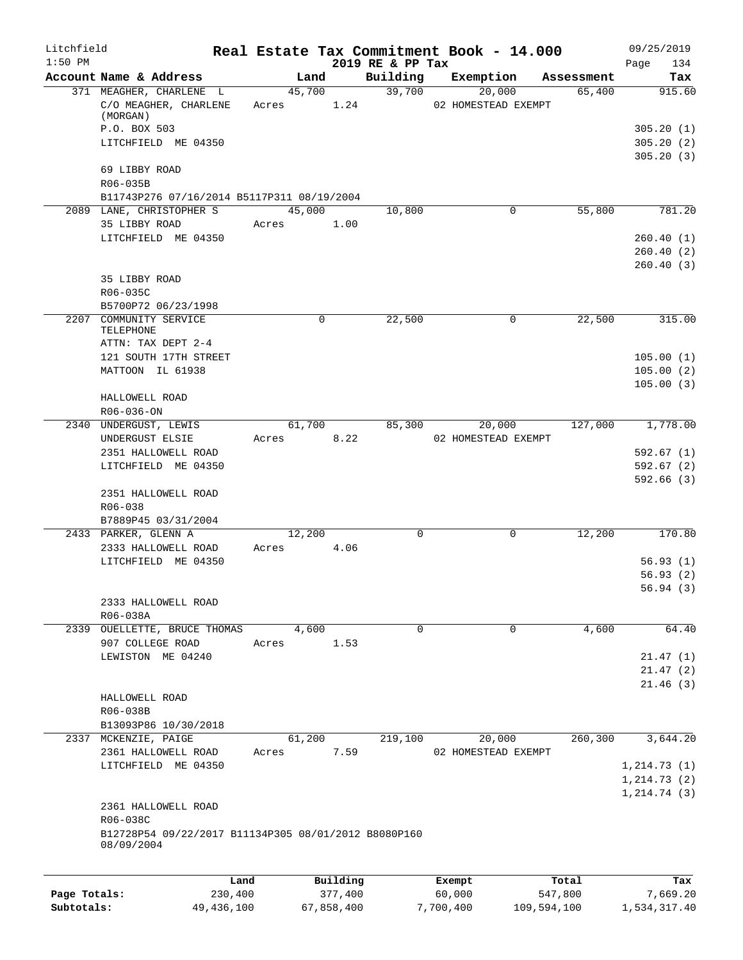| Litchfield   |                                                                    |       |             |          |                              | Real Estate Tax Commitment Book - 14.000 |                      | 09/25/2019             |
|--------------|--------------------------------------------------------------------|-------|-------------|----------|------------------------------|------------------------------------------|----------------------|------------------------|
| $1:50$ PM    | Account Name & Address                                             |       | Land        |          | 2019 RE & PP Tax<br>Building | Exemption                                |                      | 134<br>Page            |
|              | 371 MEAGHER, CHARLENE L                                            |       | 45,700      |          | 39,700                       | 20,000                                   | Assessment<br>65,400 | Tax<br>915.60          |
|              | C/O MEAGHER, CHARLENE<br>(MORGAN)                                  |       | Acres       | 1.24     |                              | 02 HOMESTEAD EXEMPT                      |                      |                        |
|              | P.O. BOX 503                                                       |       |             |          |                              |                                          |                      | 305.20(1)              |
|              | LITCHFIELD ME 04350                                                |       |             |          |                              |                                          |                      | 305.20(2)<br>305.20(3) |
|              | 69 LIBBY ROAD<br>R06-035B                                          |       |             |          |                              |                                          |                      |                        |
|              | B11743P276 07/16/2014 B5117P311 08/19/2004                         |       |             |          |                              |                                          |                      |                        |
|              | 2089 LANE, CHRISTOPHER S                                           |       | 45,000      |          | 10,800                       | 0                                        | 55,800               | 781.20                 |
|              | 35 LIBBY ROAD                                                      | Acres |             | 1.00     |                              |                                          |                      |                        |
|              | LITCHFIELD ME 04350                                                |       |             |          |                              |                                          |                      | 260.40(1)              |
|              |                                                                    |       |             |          |                              |                                          |                      | 260.40(2)              |
|              |                                                                    |       |             |          |                              |                                          |                      | 260.40(3)              |
|              | 35 LIBBY ROAD                                                      |       |             |          |                              |                                          |                      |                        |
|              | R06-035C                                                           |       |             |          |                              |                                          |                      |                        |
|              | B5700P72 06/23/1998                                                |       |             |          |                              |                                          |                      |                        |
|              | 2207 COMMUNITY SERVICE                                             |       | $\mathbf 0$ |          | 22,500                       | 0                                        | 22,500               | 315.00                 |
|              | TELEPHONE                                                          |       |             |          |                              |                                          |                      |                        |
|              | ATTN: TAX DEPT 2-4                                                 |       |             |          |                              |                                          |                      |                        |
|              | 121 SOUTH 17TH STREET                                              |       |             |          |                              |                                          |                      | 105.00(1)              |
|              | MATTOON IL 61938                                                   |       |             |          |                              |                                          |                      | 105.00(2)              |
|              |                                                                    |       |             |          |                              |                                          |                      | 105.00(3)              |
|              | HALLOWELL ROAD                                                     |       |             |          |                              |                                          |                      |                        |
|              | R06-036-ON                                                         |       |             |          |                              |                                          |                      |                        |
|              | 2340 UNDERGUST, LEWIS                                              |       | 61,700      |          | 85,300                       | 20,000                                   | 127,000              | 1,778.00               |
|              | UNDERGUST ELSIE                                                    | Acres |             | 8.22     |                              | 02 HOMESTEAD EXEMPT                      |                      |                        |
|              | 2351 HALLOWELL ROAD                                                |       |             |          |                              |                                          |                      | 592.67 (1)             |
|              | LITCHFIELD ME 04350                                                |       |             |          |                              |                                          |                      | 592.67 (2)             |
|              |                                                                    |       |             |          |                              |                                          |                      | 592.66(3)              |
|              | 2351 HALLOWELL ROAD                                                |       |             |          |                              |                                          |                      |                        |
|              | R06-038                                                            |       |             |          |                              |                                          |                      |                        |
|              | B7889P45 03/31/2004                                                |       |             |          |                              |                                          |                      |                        |
|              | 2433 PARKER, GLENN A                                               |       | 12,200      |          | $\mathbf 0$                  | 0                                        | 12,200               | 170.80                 |
|              | 2333 HALLOWELL ROAD                                                | Acres |             | 4.06     |                              |                                          |                      |                        |
|              | LITCHFIELD ME 04350                                                |       |             |          |                              |                                          |                      | 56.93(1)               |
|              |                                                                    |       |             |          |                              |                                          |                      | 56.93(2)               |
|              |                                                                    |       |             |          |                              |                                          |                      | 56.94 (3)              |
|              | 2333 HALLOWELL ROAD                                                |       |             |          |                              |                                          |                      |                        |
|              | R06-038A                                                           |       |             |          |                              |                                          |                      |                        |
| 2339         | OUELLETTE, BRUCE THOMAS                                            |       | 4,600       |          | $\Omega$                     | 0                                        | 4,600                | 64.40                  |
|              | 907 COLLEGE ROAD                                                   | Acres |             | 1.53     |                              |                                          |                      |                        |
|              | LEWISTON ME 04240                                                  |       |             |          |                              |                                          |                      | 21.47(1)               |
|              |                                                                    |       |             |          |                              |                                          |                      | 21.47(2)               |
|              |                                                                    |       |             |          |                              |                                          |                      | 21.46(3)               |
|              | HALLOWELL ROAD                                                     |       |             |          |                              |                                          |                      |                        |
|              | R06-038B                                                           |       |             |          |                              |                                          |                      |                        |
|              | B13093P86 10/30/2018                                               |       |             |          |                              |                                          |                      |                        |
|              | 2337 MCKENZIE, PAIGE                                               |       | 61,200      |          | 219,100                      | 20,000                                   | 260,300              | 3,644.20               |
|              | 2361 HALLOWELL ROAD                                                | Acres |             | 7.59     |                              | 02 HOMESTEAD EXEMPT                      |                      |                        |
|              | LITCHFIELD ME 04350                                                |       |             |          |                              |                                          |                      | 1, 214.73(1)           |
|              |                                                                    |       |             |          |                              |                                          |                      | 1,214.73(2)            |
|              |                                                                    |       |             |          |                              |                                          |                      | 1, 214.74(3)           |
|              | 2361 HALLOWELL ROAD                                                |       |             |          |                              |                                          |                      |                        |
|              | R06-038C                                                           |       |             |          |                              |                                          |                      |                        |
|              | B12728P54 09/22/2017 B11134P305 08/01/2012 B8080P160<br>08/09/2004 |       |             |          |                              |                                          |                      |                        |
|              |                                                                    |       |             |          |                              |                                          |                      |                        |
|              |                                                                    | Land  |             | Building |                              | Exempt                                   | Total                | Tax                    |
| Page Totals: | 230,400                                                            |       |             | 377,400  |                              | 60,000                                   | 547,800              | 7,669.20               |

**Subtotals:** 49,436,100 67,858,400 7,700,400 109,594,100 1,534,317.40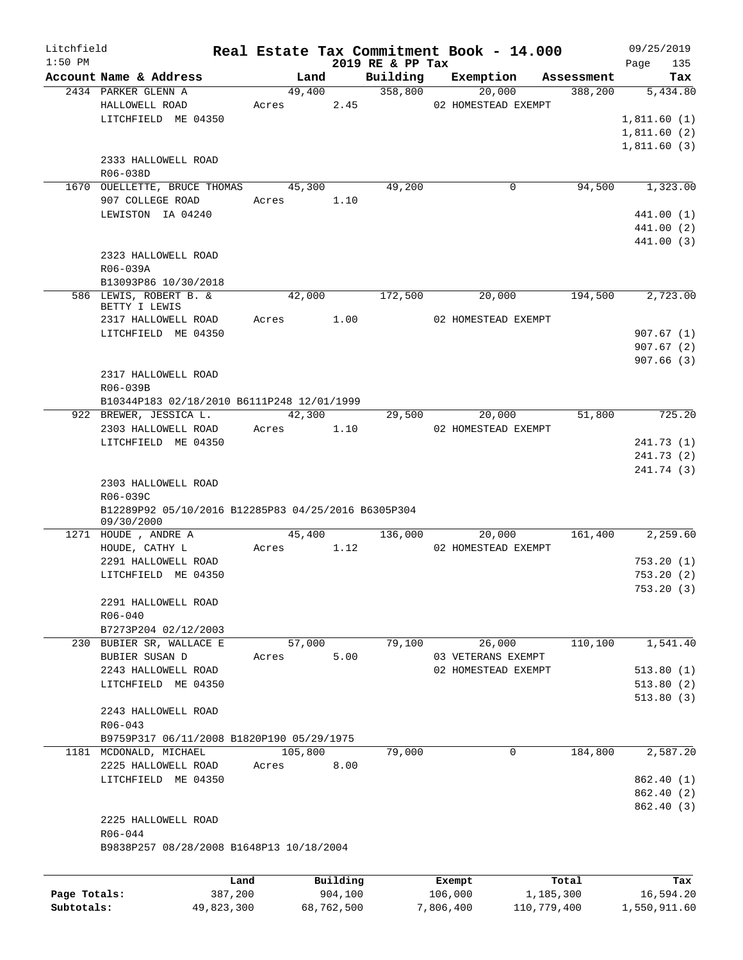| Litchfield   |                                                     |            |            |                              | Real Estate Tax Commitment Book - 14.000 |             | 09/25/2019             |
|--------------|-----------------------------------------------------|------------|------------|------------------------------|------------------------------------------|-------------|------------------------|
| $1:50$ PM    | Account Name & Address                              | Land       |            | 2019 RE & PP Tax<br>Building | Exemption                                | Assessment  | 135<br>Page<br>Tax     |
|              | 2434 PARKER GLENN A                                 | 49,400     |            | 358,800                      | 20,000                                   | 388,200     | 5,434.80               |
|              | HALLOWELL ROAD                                      | Acres      | 2.45       |                              | 02 HOMESTEAD EXEMPT                      |             |                        |
|              | LITCHFIELD ME 04350                                 |            |            |                              |                                          |             | 1,811.60(1)            |
|              |                                                     |            |            |                              |                                          |             | 1,811.60(2)            |
|              |                                                     |            |            |                              |                                          |             | 1,811.60(3)            |
|              | 2333 HALLOWELL ROAD                                 |            |            |                              |                                          |             |                        |
|              | R06-038D                                            |            |            |                              |                                          |             |                        |
|              | 1670 OUELLETTE, BRUCE THOMAS                        | 45,300     |            | 49,200                       | $\mathbf 0$                              | 94,500      | 1,323.00               |
|              | 907 COLLEGE ROAD                                    | Acres      | 1.10       |                              |                                          |             |                        |
|              | LEWISTON IA 04240                                   |            |            |                              |                                          |             | 441.00 (1)             |
|              |                                                     |            |            |                              |                                          |             | 441.00 (2)             |
|              |                                                     |            |            |                              |                                          |             | 441.00 (3)             |
|              | 2323 HALLOWELL ROAD                                 |            |            |                              |                                          |             |                        |
|              | R06-039A                                            |            |            |                              |                                          |             |                        |
|              | B13093P86 10/30/2018                                |            |            |                              |                                          |             |                        |
|              | 586 LEWIS, ROBERT B. &                              | 42,000     |            | 172,500                      | 20,000                                   | 194,500     | 2,723.00               |
|              | BETTY I LEWIS                                       |            |            |                              |                                          |             |                        |
|              | 2317 HALLOWELL ROAD                                 | Acres 1.00 |            |                              | 02 HOMESTEAD EXEMPT                      |             |                        |
|              | LITCHFIELD ME 04350                                 |            |            |                              |                                          |             | 907.67(1)              |
|              |                                                     |            |            |                              |                                          |             | 907.67(2)              |
|              | 2317 HALLOWELL ROAD                                 |            |            |                              |                                          |             | 907.66(3)              |
|              | R06-039B                                            |            |            |                              |                                          |             |                        |
|              | B10344P183 02/18/2010 B6111P248 12/01/1999          |            |            |                              |                                          |             |                        |
|              | 922 BREWER, JESSICA L.                              | 42,300     |            | 29,500                       | 20,000                                   | 51,800      | 725.20                 |
|              | 2303 HALLOWELL ROAD                                 | Acres      | 1.10       |                              | 02 HOMESTEAD EXEMPT                      |             |                        |
|              | LITCHFIELD ME 04350                                 |            |            |                              |                                          |             | 241.73 (1)             |
|              |                                                     |            |            |                              |                                          |             | 241.73 (2)             |
|              |                                                     |            |            |                              |                                          |             | 241.74 (3)             |
|              | 2303 HALLOWELL ROAD                                 |            |            |                              |                                          |             |                        |
|              | R06-039C                                            |            |            |                              |                                          |             |                        |
|              | B12289P92 05/10/2016 B12285P83 04/25/2016 B6305P304 |            |            |                              |                                          |             |                        |
|              | 09/30/2000                                          |            |            |                              |                                          |             |                        |
|              | 1271 HOUDE, ANDRE A                                 | 45,400     |            | 136,000                      | 20,000                                   | 161,400     | 2,259.60               |
|              | HOUDE, CATHY L                                      | Acres      | 1.12       |                              | 02 HOMESTEAD EXEMPT                      |             |                        |
|              | 2291 HALLOWELL ROAD                                 |            |            |                              |                                          |             | 753.20(1)              |
|              | LITCHFIELD ME 04350                                 |            |            |                              |                                          |             | 753.20(2)              |
|              |                                                     |            |            |                              |                                          |             | 753.20 (3)             |
|              | 2291 HALLOWELL ROAD                                 |            |            |                              |                                          |             |                        |
|              | $R06 - 040$                                         |            |            |                              |                                          |             |                        |
|              | B7273P204 02/12/2003                                |            |            |                              |                                          |             |                        |
|              | 230 BUBIER SR, WALLACE E                            | 57,000     |            | 79,100                       | 26,000                                   | 110,100     | 1,541.40               |
|              | BUBIER SUSAN D                                      | Acres      | 5.00       |                              | 03 VETERANS EXEMPT                       |             |                        |
|              | 2243 HALLOWELL ROAD<br>LITCHFIELD ME 04350          |            |            |                              | 02 HOMESTEAD EXEMPT                      |             | 513.80(1)<br>513.80(2) |
|              |                                                     |            |            |                              |                                          |             | 513.80(3)              |
|              | 2243 HALLOWELL ROAD                                 |            |            |                              |                                          |             |                        |
|              | $R06 - 043$                                         |            |            |                              |                                          |             |                        |
|              | B9759P317 06/11/2008 B1820P190 05/29/1975           |            |            |                              |                                          |             |                        |
|              | 1181 MCDONALD, MICHAEL                              | 105,800    |            | 79,000                       | $\mathbf 0$                              | 184,800     | 2,587.20               |
|              | 2225 HALLOWELL ROAD                                 | Acres      | 8.00       |                              |                                          |             |                        |
|              | LITCHFIELD ME 04350                                 |            |            |                              |                                          |             | 862.40 (1)             |
|              |                                                     |            |            |                              |                                          |             | 862.40 (2)             |
|              |                                                     |            |            |                              |                                          |             | 862.40 (3)             |
|              | 2225 HALLOWELL ROAD                                 |            |            |                              |                                          |             |                        |
|              | R06-044                                             |            |            |                              |                                          |             |                        |
|              | B9838P257 08/28/2008 B1648P13 10/18/2004            |            |            |                              |                                          |             |                        |
|              |                                                     |            |            |                              |                                          |             |                        |
|              |                                                     | Land       | Building   |                              | Exempt                                   | Total       | Tax                    |
| Page Totals: |                                                     | 387,200    | 904,100    |                              | 106,000                                  | 1,185,300   | 16,594.20              |
| Subtotals:   | 49,823,300                                          |            | 68,762,500 |                              | 7,806,400                                | 110,779,400 | 1,550,911.60           |
|              |                                                     |            |            |                              |                                          |             |                        |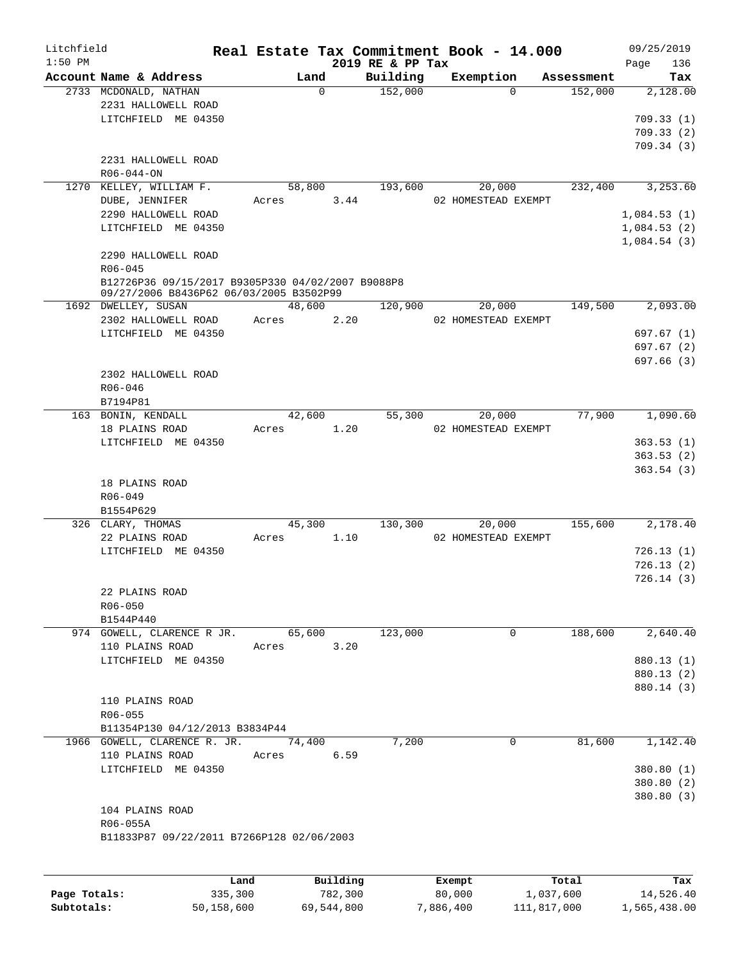| Litchfield<br>$1:50$ PM |                                                   |        |          | 2019 RE & PP Tax | Real Estate Tax Commitment Book - 14.000 |            | 09/25/2019<br>136<br>Page  |
|-------------------------|---------------------------------------------------|--------|----------|------------------|------------------------------------------|------------|----------------------------|
|                         | Account Name & Address                            |        | Land     | Building         | Exemption                                | Assessment | Tax                        |
|                         | 2733 MCDONALD, NATHAN                             |        | $\Omega$ | 152,000          | $\Omega$                                 | 152,000    | 2,128.00                   |
|                         | 2231 HALLOWELL ROAD                               |        |          |                  |                                          |            |                            |
|                         | LITCHFIELD ME 04350                               |        |          |                  |                                          |            | 709.33(1)                  |
|                         |                                                   |        |          |                  |                                          |            | 709.33(2)                  |
|                         | 2231 HALLOWELL ROAD                               |        |          |                  |                                          |            | 709.34(3)                  |
|                         | $R06 - 044 - ON$                                  |        |          |                  |                                          |            |                            |
|                         | 1270 KELLEY, WILLIAM F.                           |        | 58,800   | 193,600          | 20,000                                   | 232,400    | 3,253.60                   |
|                         | DUBE, JENNIFER                                    | Acres  | 3.44     |                  | 02 HOMESTEAD EXEMPT                      |            |                            |
|                         | 2290 HALLOWELL ROAD                               |        |          |                  |                                          |            | 1,084.53(1)                |
|                         | LITCHFIELD ME 04350                               |        |          |                  |                                          |            | 1,084.53(2)<br>1,084.54(3) |
|                         | 2290 HALLOWELL ROAD<br>$R06 - 045$                |        |          |                  |                                          |            |                            |
|                         | B12726P36 09/15/2017 B9305P330 04/02/2007 B9088P8 |        |          |                  |                                          |            |                            |
|                         | 09/27/2006 B8436P62 06/03/2005 B3502P99           |        |          |                  |                                          |            |                            |
|                         | 1692 DWELLEY, SUSAN                               |        | 48,600   | 120,900          | 20,000                                   | 149,500    | 2,093.00                   |
|                         | 2302 HALLOWELL ROAD                               | Acres  | 2.20     |                  | 02 HOMESTEAD EXEMPT                      |            |                            |
|                         | LITCHFIELD ME 04350                               |        |          |                  |                                          |            | 697.67(1)                  |
|                         |                                                   |        |          |                  |                                          |            | 697.67 (2)<br>697.66 (3)   |
|                         | 2302 HALLOWELL ROAD                               |        |          |                  |                                          |            |                            |
|                         | $R06 - 046$                                       |        |          |                  |                                          |            |                            |
|                         | B7194P81                                          |        |          |                  |                                          |            |                            |
|                         | 163 BONIN, KENDALL                                |        | 42,600   | 55,300           | 20,000                                   | 77,900     | 1,090.60                   |
|                         | 18 PLAINS ROAD                                    | Acres  | 1.20     |                  | 02 HOMESTEAD EXEMPT                      |            |                            |
|                         | LITCHFIELD ME 04350                               |        |          |                  |                                          |            | 363.53(1)                  |
|                         |                                                   |        |          |                  |                                          |            | 363.53(2)                  |
|                         |                                                   |        |          |                  |                                          |            | 363.54(3)                  |
|                         | 18 PLAINS ROAD                                    |        |          |                  |                                          |            |                            |
|                         | $R06 - 049$                                       |        |          |                  |                                          |            |                            |
|                         | B1554P629                                         |        |          |                  |                                          |            |                            |
|                         | 326 CLARY, THOMAS                                 |        | 45,300   | 130,300          | 20,000                                   | 155,600    | 2,178.40                   |
|                         | 22 PLAINS ROAD                                    | Acres  | 1.10     |                  | 02 HOMESTEAD EXEMPT                      |            |                            |
|                         | LITCHFIELD ME 04350                               |        |          |                  |                                          |            | 726.13(1)                  |
|                         |                                                   |        |          |                  |                                          |            | 726.13(2)                  |
|                         |                                                   |        |          |                  |                                          |            | 726.14(3)                  |
|                         | 22 PLAINS ROAD                                    |        |          |                  |                                          |            |                            |
|                         | $R06 - 050$                                       |        |          |                  |                                          |            |                            |
|                         | B1544P440                                         |        |          |                  |                                          |            |                            |
|                         | 974 GOWELL, CLARENCE R JR.<br>110 PLAINS ROAD     |        | 65,600   | 123,000          | 0                                        | 188,600    | 2,640.40                   |
|                         | LITCHFIELD ME 04350                               | Acres  | 3.20     |                  |                                          |            | 880.13 (1)                 |
|                         |                                                   |        |          |                  |                                          |            | 880.13 (2)                 |
|                         |                                                   |        |          |                  |                                          |            | 880.14 (3)                 |
|                         | 110 PLAINS ROAD                                   |        |          |                  |                                          |            |                            |
|                         | R06-055                                           |        |          |                  |                                          |            |                            |
|                         | B11354P130 04/12/2013 B3834P44                    |        |          |                  |                                          |            |                            |
|                         | 1966 GOWELL, CLARENCE R. JR.                      | 74,400 |          | 7,200            | 0                                        | 81,600     | 1,142.40                   |
|                         | 110 PLAINS ROAD                                   | Acres  | 6.59     |                  |                                          |            |                            |
|                         | LITCHFIELD ME 04350                               |        |          |                  |                                          |            | 380.80 (1)                 |
|                         |                                                   |        |          |                  |                                          |            | 380.80 (2)                 |
|                         |                                                   |        |          |                  |                                          |            | 380.80 (3)                 |
|                         | 104 PLAINS ROAD                                   |        |          |                  |                                          |            |                            |
|                         | R06-055A                                          |        |          |                  |                                          |            |                            |
|                         | B11833P87 09/22/2011 B7266P128 02/06/2003         |        |          |                  |                                          |            |                            |
|                         |                                                   |        |          |                  |                                          |            |                            |
|                         | Land                                              |        | Building |                  | Exempt                                   | Total      | Tax                        |

|              | Land       | Building   | Exempt    | Total       | Tax          |
|--------------|------------|------------|-----------|-------------|--------------|
| Page Totals: | 335,300    | 782,300    | 80,000    | 1,037,600   | 14,526.40    |
| Subtotals:   | 50,158,600 | 69,544,800 | 7,886,400 | 111,817,000 | 1,565,438.00 |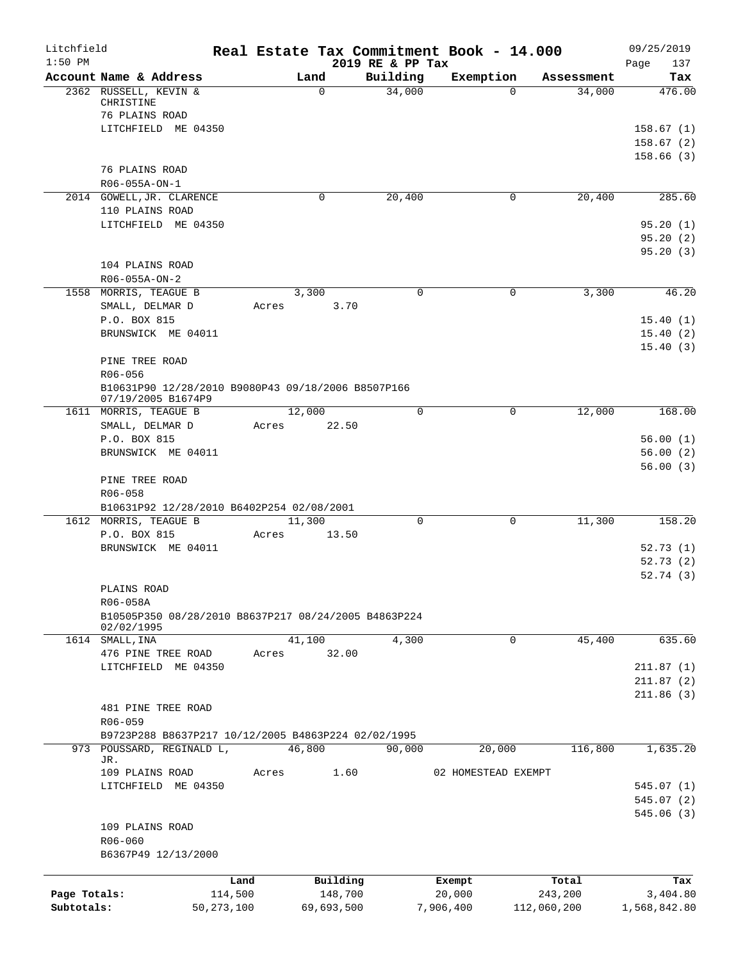| Litchfield<br>$1:50$ PM |                                                                          |              |            | 2019 RE & PP Tax | Real Estate Tax Commitment Book - 14.000 |             | 09/25/2019<br>137<br>Page |
|-------------------------|--------------------------------------------------------------------------|--------------|------------|------------------|------------------------------------------|-------------|---------------------------|
|                         | Account Name & Address                                                   |              | Land       | Building         | Exemption                                | Assessment  | Tax                       |
|                         | 2362 RUSSELL, KEVIN &<br>CHRISTINE                                       |              | $\Omega$   | 34,000           | $\Omega$                                 | 34,000      | 476.00                    |
|                         | 76 PLAINS ROAD<br>LITCHFIELD ME 04350                                    |              |            |                  |                                          |             | 158.67(1)                 |
|                         |                                                                          |              |            |                  |                                          |             | 158.67(2)                 |
|                         |                                                                          |              |            |                  |                                          |             | 158.66(3)                 |
|                         | 76 PLAINS ROAD                                                           |              |            |                  |                                          |             |                           |
|                         | R06-055A-ON-1                                                            |              |            |                  |                                          |             |                           |
|                         | 2014 GOWELL, JR. CLARENCE                                                |              | 0          | 20,400           | 0                                        | 20,400      | 285.60                    |
|                         | 110 PLAINS ROAD                                                          |              |            |                  |                                          |             |                           |
|                         | LITCHFIELD ME 04350                                                      |              |            |                  |                                          |             | 95.20(1)<br>95.20(2)      |
|                         |                                                                          |              |            |                  |                                          |             | 95.20(3)                  |
|                         | 104 PLAINS ROAD                                                          |              |            |                  |                                          |             |                           |
|                         | R06-055A-ON-2                                                            |              |            |                  |                                          |             |                           |
|                         | 1558 MORRIS, TEAGUE B                                                    |              | 3,300      | 0                | 0                                        | 3,300       | 46.20                     |
|                         | SMALL, DELMAR D                                                          | Acres        | 3.70       |                  |                                          |             |                           |
|                         | P.O. BOX 815                                                             |              |            |                  |                                          |             | 15.40(1)                  |
|                         | BRUNSWICK ME 04011                                                       |              |            |                  |                                          |             | 15.40(2)                  |
|                         |                                                                          |              |            |                  |                                          |             | 15.40(3)                  |
|                         | PINE TREE ROAD<br>R06-056                                                |              |            |                  |                                          |             |                           |
|                         | B10631P90 12/28/2010 B9080P43 09/18/2006 B8507P166<br>07/19/2005 B1674P9 |              |            |                  |                                          |             |                           |
|                         | 1611 MORRIS, TEAGUE B                                                    |              | 12,000     | $\Omega$         | $\Omega$                                 | 12,000      | 168.00                    |
|                         | SMALL, DELMAR D                                                          | Acres        | 22.50      |                  |                                          |             |                           |
|                         | P.O. BOX 815                                                             |              |            |                  |                                          |             | 56.00(1)                  |
|                         | BRUNSWICK ME 04011                                                       |              |            |                  |                                          |             | 56.00(2)                  |
|                         |                                                                          |              |            |                  |                                          |             | 56.00(3)                  |
|                         | PINE TREE ROAD<br>R06-058                                                |              |            |                  |                                          |             |                           |
|                         | B10631P92 12/28/2010 B6402P254 02/08/2001                                |              |            |                  |                                          |             |                           |
|                         | 1612 MORRIS, TEAGUE B                                                    |              | 11,300     | $\mathbf 0$      | $\mathbf 0$                              | 11,300      | 158.20                    |
|                         | P.O. BOX 815                                                             | Acres        | 13.50      |                  |                                          |             |                           |
|                         | BRUNSWICK ME 04011                                                       |              |            |                  |                                          |             | 52.73(1)                  |
|                         |                                                                          |              |            |                  |                                          |             | 52.73(2)                  |
|                         |                                                                          |              |            |                  |                                          |             | 52.74(3)                  |
|                         | PLAINS ROAD<br>R06-058A                                                  |              |            |                  |                                          |             |                           |
|                         | B10505P350 08/28/2010 B8637P217 08/24/2005 B4863P224                     |              |            |                  |                                          |             |                           |
|                         | 02/02/1995                                                               |              |            |                  |                                          |             |                           |
|                         | 1614 SMALL, INA                                                          |              | 41,100     | 4,300            | $\mathbf 0$                              | 45,400      | 635.60                    |
|                         | 476 PINE TREE ROAD                                                       | Acres        | 32.00      |                  |                                          |             |                           |
|                         | LITCHFIELD ME 04350                                                      |              |            |                  |                                          |             | 211.87(1)                 |
|                         |                                                                          |              |            |                  |                                          |             | 211.87(2)<br>211.86(3)    |
|                         | 481 PINE TREE ROAD                                                       |              |            |                  |                                          |             |                           |
|                         | R06-059                                                                  |              |            |                  |                                          |             |                           |
|                         | B9723P288 B8637P217 10/12/2005 B4863P224 02/02/1995                      |              |            |                  |                                          |             |                           |
|                         | 973 POUSSARD, REGINALD L,                                                |              | 46,800     | 90,000           | 20,000                                   | 116,800     | 1,635.20                  |
|                         | JR.<br>109 PLAINS ROAD                                                   | Acres        |            | 1.60             | 02 HOMESTEAD EXEMPT                      |             |                           |
|                         | LITCHFIELD ME 04350                                                      |              |            |                  |                                          |             | 545.07(1)                 |
|                         |                                                                          |              |            |                  |                                          |             | 545.07(2)                 |
|                         |                                                                          |              |            |                  |                                          |             | 545.06 (3)                |
|                         | 109 PLAINS ROAD                                                          |              |            |                  |                                          |             |                           |
|                         | R06-060                                                                  |              |            |                  |                                          |             |                           |
|                         | B6367P49 12/13/2000                                                      |              |            |                  |                                          |             |                           |
|                         |                                                                          | Land         | Building   |                  | Exempt                                   | Total       | Tax                       |
| Page Totals:            |                                                                          | 114,500      | 148,700    |                  | 20,000                                   | 243,200     | 3,404.80                  |
| Subtotals:              |                                                                          | 50, 273, 100 | 69,693,500 |                  | 7,906,400                                | 112,060,200 | 1,568,842.80              |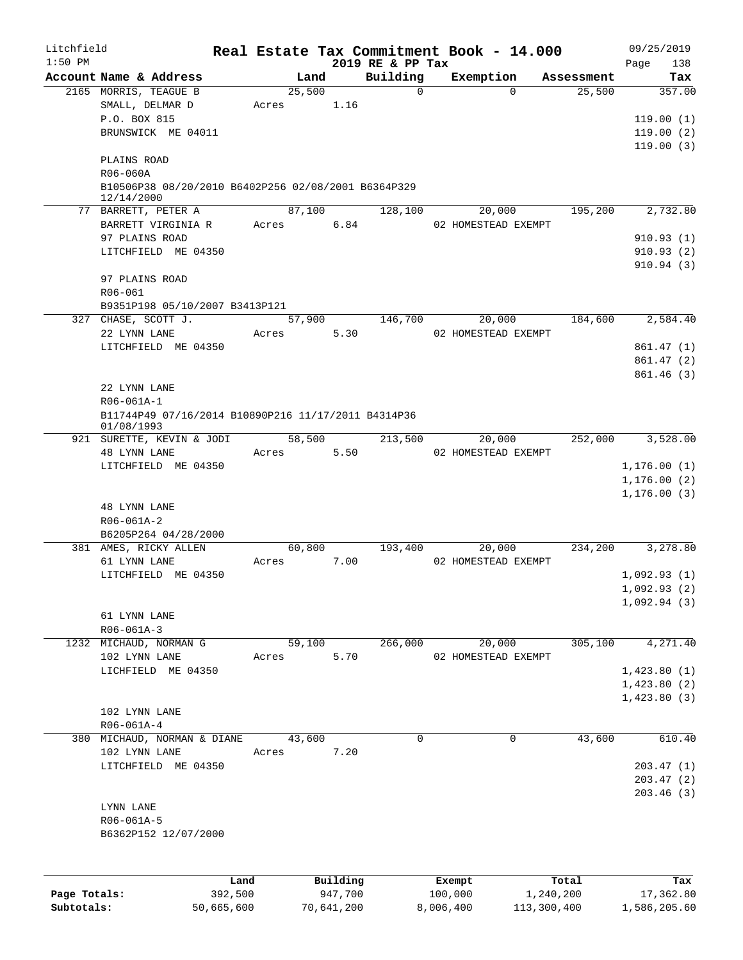| Litchfield   |                                                                   |                |          |                              | Real Estate Tax Commitment Book - 14.000 |                      | 09/25/2019    |
|--------------|-------------------------------------------------------------------|----------------|----------|------------------------------|------------------------------------------|----------------------|---------------|
| $1:50$ PM    | Account Name & Address                                            |                |          | 2019 RE & PP Tax<br>Building |                                          |                      | 138<br>Page   |
|              | 2165 MORRIS, TEAGUE B                                             | Land<br>25,500 |          | $\mathbf 0$                  | Exemption<br>$\Omega$                    | Assessment<br>25,500 | Tax<br>357.00 |
|              | SMALL, DELMAR D                                                   | Acres          | 1.16     |                              |                                          |                      |               |
|              | P.O. BOX 815                                                      |                |          |                              |                                          |                      | 119.00(1)     |
|              | BRUNSWICK ME 04011                                                |                |          |                              |                                          |                      | 119.00(2)     |
|              |                                                                   |                |          |                              |                                          |                      | 119.00(3)     |
|              | PLAINS ROAD                                                       |                |          |                              |                                          |                      |               |
|              | R06-060A                                                          |                |          |                              |                                          |                      |               |
|              | B10506P38 08/20/2010 B6402P256 02/08/2001 B6364P329<br>12/14/2000 |                |          |                              |                                          |                      |               |
|              | 77 BARRETT, PETER A                                               | 87,100         |          | 128,100                      | 20,000                                   | 195,200              | 2,732.80      |
|              | BARRETT VIRGINIA R                                                | Acres          | 6.84     |                              | 02 HOMESTEAD EXEMPT                      |                      |               |
|              | 97 PLAINS ROAD                                                    |                |          |                              |                                          |                      | 910.93(1)     |
|              | LITCHFIELD ME 04350                                               |                |          |                              |                                          |                      | 910.93(2)     |
|              |                                                                   |                |          |                              |                                          |                      | 910.94(3)     |
|              | 97 PLAINS ROAD                                                    |                |          |                              |                                          |                      |               |
|              | R06-061                                                           |                |          |                              |                                          |                      |               |
|              | B9351P198 05/10/2007 B3413P121                                    |                |          |                              |                                          |                      |               |
|              | 327 CHASE, SCOTT J.                                               |                | 57,900   | 146,700                      | 20,000                                   | 184,600              | 2,584.40      |
|              | 22 LYNN LANE                                                      | Acres          | 5.30     |                              | 02 HOMESTEAD EXEMPT                      |                      |               |
|              | LITCHFIELD ME 04350                                               |                |          |                              |                                          |                      | 861.47(1)     |
|              |                                                                   |                |          |                              |                                          |                      | 861.47(2)     |
|              |                                                                   |                |          |                              |                                          |                      | 861.46(3)     |
|              | 22 LYNN LANE                                                      |                |          |                              |                                          |                      |               |
|              | R06-061A-1                                                        |                |          |                              |                                          |                      |               |
|              | B11744P49 07/16/2014 B10890P216 11/17/2011 B4314P36<br>01/08/1993 |                |          |                              |                                          |                      |               |
|              | 921 SURETTE, KEVIN & JODI                                         | 58,500         |          | 213,500                      | 20,000                                   | 252,000              | 3,528.00      |
|              | 48 LYNN LANE                                                      | Acres          | 5.50     |                              | 02 HOMESTEAD EXEMPT                      |                      |               |
|              | LITCHFIELD ME 04350                                               |                |          |                              |                                          |                      | 1, 176.00(1)  |
|              |                                                                   |                |          |                              |                                          |                      | 1, 176.00(2)  |
|              |                                                                   |                |          |                              |                                          |                      | 1, 176.00(3)  |
|              | <b>48 LYNN LANE</b>                                               |                |          |                              |                                          |                      |               |
|              | $R06 - 061A - 2$                                                  |                |          |                              |                                          |                      |               |
|              | B6205P264 04/28/2000                                              |                |          |                              |                                          |                      |               |
|              | 381 AMES, RICKY ALLEN                                             | 60,800         |          | 193,400                      | 20,000                                   | 234,200              | 3,278.80      |
|              | 61 LYNN LANE                                                      | Acres          | 7.00     |                              | 02 HOMESTEAD EXEMPT                      |                      |               |
|              | LITCHFIELD ME 04350                                               |                |          |                              |                                          |                      | 1,092.93(1)   |
|              |                                                                   |                |          |                              |                                          |                      | 1,092.93(2)   |
|              |                                                                   |                |          |                              |                                          |                      | 1,092.94(3)   |
|              | 61 LYNN LANE                                                      |                |          |                              |                                          |                      |               |
|              | $R06 - 061A - 3$                                                  |                |          |                              |                                          |                      |               |
| 1232         | MICHAUD, NORMAN G                                                 | 59,100         |          | 266,000                      | 20,000                                   | 305,100              | 4,271.40      |
|              | 102 LYNN LANE                                                     | Acres          | 5.70     |                              | 02 HOMESTEAD EXEMPT                      |                      |               |
|              | LICHFIELD ME 04350                                                |                |          |                              |                                          |                      | 1,423.80(1)   |
|              |                                                                   |                |          |                              |                                          |                      | 1,423.80(2)   |
|              | 102 LYNN LANE                                                     |                |          |                              |                                          |                      | 1,423.80(3)   |
|              | $R06 - 061A - 4$                                                  |                |          |                              |                                          |                      |               |
| 380          | MICHAUD, NORMAN & DIANE                                           | 43,600         |          | $\mathbf 0$                  | $\mathbf 0$                              | 43,600               | 610.40        |
|              | 102 LYNN LANE                                                     | Acres          | 7.20     |                              |                                          |                      |               |
|              | LITCHFIELD ME 04350                                               |                |          |                              |                                          |                      | 203.47(1)     |
|              |                                                                   |                |          |                              |                                          |                      | 203.47(2)     |
|              |                                                                   |                |          |                              |                                          |                      | 203.46(3)     |
|              | LYNN LANE                                                         |                |          |                              |                                          |                      |               |
|              | R06-061A-5                                                        |                |          |                              |                                          |                      |               |
|              | B6362P152 12/07/2000                                              |                |          |                              |                                          |                      |               |
|              |                                                                   |                |          |                              |                                          |                      |               |
|              |                                                                   |                |          |                              |                                          |                      |               |
|              |                                                                   | Land           | Building |                              | Exempt                                   | Total                | Tax           |
| Page Totals: | 392,500                                                           |                | 947,700  |                              | 100,000                                  | 1,240,200            | 17,362.80     |

**Subtotals:** 50,665,600 70,641,200 8,006,400 113,300,400 1,586,205.60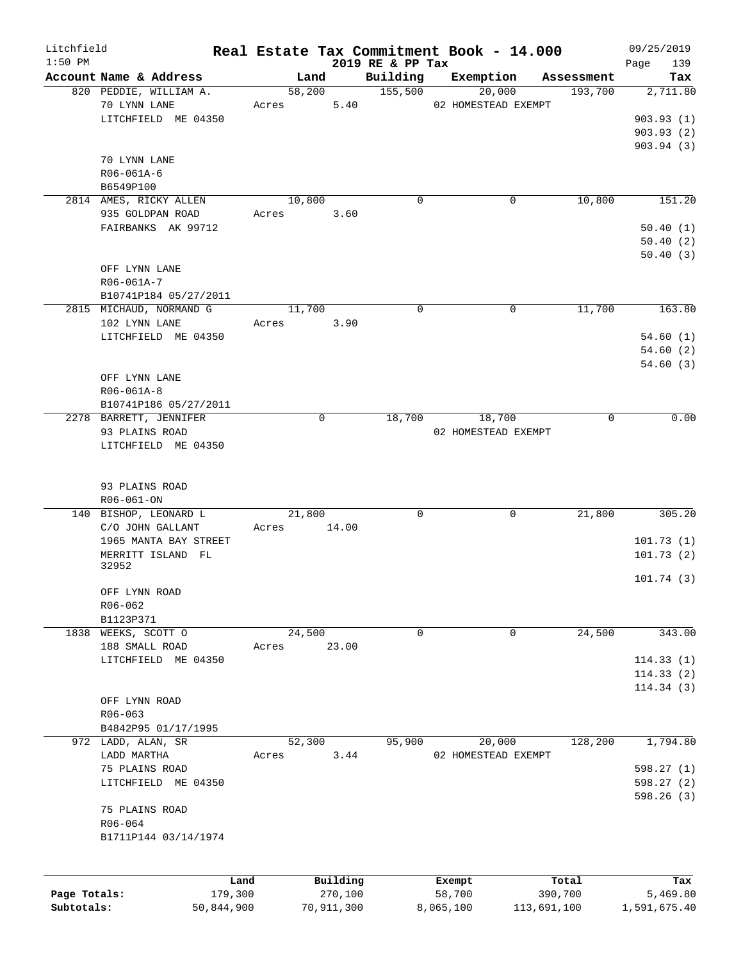| Litchfield   |                         |            |        |             |                              | Real Estate Tax Commitment Book - 14.000 |             | 09/25/2019         |
|--------------|-------------------------|------------|--------|-------------|------------------------------|------------------------------------------|-------------|--------------------|
| $1:50$ PM    | Account Name & Address  |            | Land   |             | 2019 RE & PP Tax<br>Building | Exemption                                | Assessment  | 139<br>Page<br>Tax |
|              | 820 PEDDIE, WILLIAM A.  |            | 58,200 |             | 155,500                      | 20,000                                   | 193,700     | 2,711.80           |
|              | 70 LYNN LANE            |            | Acres  | 5.40        |                              | 02 HOMESTEAD EXEMPT                      |             |                    |
|              | LITCHFIELD ME 04350     |            |        |             |                              |                                          |             | 903.93(1)          |
|              |                         |            |        |             |                              |                                          |             | 903.93(2)          |
|              |                         |            |        |             |                              |                                          |             | 903.94(3)          |
|              | 70 LYNN LANE            |            |        |             |                              |                                          |             |                    |
|              | R06-061A-6              |            |        |             |                              |                                          |             |                    |
|              | B6549P100               |            |        |             |                              |                                          |             |                    |
|              | 2814 AMES, RICKY ALLEN  |            | 10,800 |             | $\mathbf 0$                  | 0                                        | 10,800      | 151.20             |
|              | 935 GOLDPAN ROAD        |            | Acres  | 3.60        |                              |                                          |             |                    |
|              | FAIRBANKS AK 99712      |            |        |             |                              |                                          |             | 50.40(1)           |
|              |                         |            |        |             |                              |                                          |             | 50.40(2)           |
|              | OFF LYNN LANE           |            |        |             |                              |                                          |             | 50.40(3)           |
|              | R06-061A-7              |            |        |             |                              |                                          |             |                    |
|              | B10741P184 05/27/2011   |            |        |             |                              |                                          |             |                    |
|              | 2815 MICHAUD, NORMAND G |            | 11,700 |             | $\mathbf 0$                  | $\mathbf 0$                              | 11,700      | 163.80             |
|              | 102 LYNN LANE           | Acres      |        | 3.90        |                              |                                          |             |                    |
|              | LITCHFIELD ME 04350     |            |        |             |                              |                                          |             | 54.60(1)           |
|              |                         |            |        |             |                              |                                          |             | 54.60(2)           |
|              |                         |            |        |             |                              |                                          |             | 54.60(3)           |
|              | OFF LYNN LANE           |            |        |             |                              |                                          |             |                    |
|              | R06-061A-8              |            |        |             |                              |                                          |             |                    |
|              | B10741P186 05/27/2011   |            |        |             |                              |                                          |             |                    |
|              | 2278 BARRETT, JENNIFER  |            |        | $\mathbf 0$ | 18,700                       | 18,700                                   | 0           | 0.00               |
|              | 93 PLAINS ROAD          |            |        |             |                              | 02 HOMESTEAD EXEMPT                      |             |                    |
|              | LITCHFIELD ME 04350     |            |        |             |                              |                                          |             |                    |
|              |                         |            |        |             |                              |                                          |             |                    |
|              | 93 PLAINS ROAD          |            |        |             |                              |                                          |             |                    |
|              | R06-061-ON              |            |        |             |                              |                                          |             |                    |
|              | 140 BISHOP, LEONARD L   |            | 21,800 |             | 0                            | 0                                        | 21,800      | 305.20             |
|              | C/O JOHN GALLANT        | Acres      |        | 14.00       |                              |                                          |             |                    |
|              | 1965 MANTA BAY STREET   |            |        |             |                              |                                          |             | 101.73(1)          |
|              | MERRITT ISLAND FL       |            |        |             |                              |                                          |             | 101.73(2)          |
|              | 32952                   |            |        |             |                              |                                          |             |                    |
|              |                         |            |        |             |                              |                                          |             | 101.74(3)          |
|              | OFF LYNN ROAD           |            |        |             |                              |                                          |             |                    |
|              | R06-062<br>B1123P371    |            |        |             |                              |                                          |             |                    |
|              | 1838 WEEKS, SCOTT O     |            | 24,500 |             | 0                            | 0                                        | 24,500      | 343.00             |
|              | 188 SMALL ROAD          | Acres      |        | 23.00       |                              |                                          |             |                    |
|              | LITCHFIELD ME 04350     |            |        |             |                              |                                          |             | 114.33(1)          |
|              |                         |            |        |             |                              |                                          |             | 114.33(2)          |
|              |                         |            |        |             |                              |                                          |             | 114.34(3)          |
|              | OFF LYNN ROAD           |            |        |             |                              |                                          |             |                    |
|              | $R06 - 063$             |            |        |             |                              |                                          |             |                    |
|              | B4842P95 01/17/1995     |            |        |             |                              |                                          |             |                    |
|              | 972 LADD, ALAN, SR      |            | 52,300 |             | 95,900                       | 20,000                                   | 128,200     | 1,794.80           |
|              | LADD MARTHA             | Acres      |        | 3.44        |                              | 02 HOMESTEAD EXEMPT                      |             |                    |
|              | 75 PLAINS ROAD          |            |        |             |                              |                                          |             | 598.27(1)          |
|              | LITCHFIELD ME 04350     |            |        |             |                              |                                          |             | 598.27(2)          |
|              |                         |            |        |             |                              |                                          |             | 598.26(3)          |
|              | 75 PLAINS ROAD          |            |        |             |                              |                                          |             |                    |
|              | R06-064                 |            |        |             |                              |                                          |             |                    |
|              | B1711P144 03/14/1974    |            |        |             |                              |                                          |             |                    |
|              |                         |            |        |             |                              |                                          |             |                    |
|              |                         | Land       |        | Building    |                              | Exempt                                   | Total       | Tax                |
| Page Totals: |                         | 179,300    |        | 270,100     |                              | 58,700                                   | 390,700     | 5,469.80           |
| Subtotals:   |                         | 50,844,900 |        | 70,911,300  |                              | 8,065,100                                | 113,691,100 | 1,591,675.40       |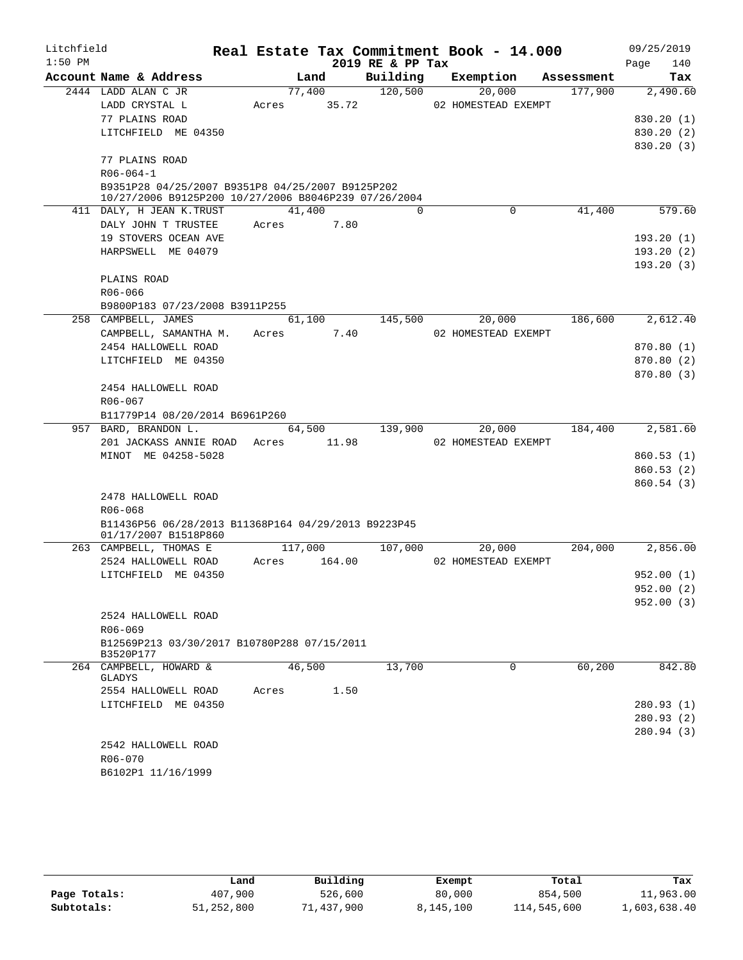| Litchfield |                                                          |       |         |        |                  | Real Estate Tax Commitment Book - 14.000 |            |      | 09/25/2019 |
|------------|----------------------------------------------------------|-------|---------|--------|------------------|------------------------------------------|------------|------|------------|
| $1:50$ PM  |                                                          |       |         |        | 2019 RE & PP Tax |                                          |            | Page | 140        |
|            | Account Name & Address                                   |       | Land    |        | Building         | Exemption                                | Assessment |      | Tax        |
|            | 2444 LADD ALAN C JR                                      |       | 77,400  |        | 120,500          | 20,000                                   | 177,900    |      | 2,490.60   |
|            | LADD CRYSTAL L                                           | Acres |         | 35.72  |                  | 02 HOMESTEAD EXEMPT                      |            |      |            |
|            | 77 PLAINS ROAD                                           |       |         |        |                  |                                          |            |      | 830.20(1)  |
|            | LITCHFIELD ME 04350                                      |       |         |        |                  |                                          |            |      | 830.20(2)  |
|            | 77 PLAINS ROAD                                           |       |         |        |                  |                                          |            |      | 830.20(3)  |
|            | $R06 - 064 - 1$                                          |       |         |        |                  |                                          |            |      |            |
|            | B9351P28 04/25/2007 B9351P8 04/25/2007 B9125P202         |       |         |        |                  |                                          |            |      |            |
|            | 10/27/2006 B9125P200 10/27/2006 B8046P239 07/26/2004     |       |         |        |                  |                                          |            |      |            |
|            | 411 DALY, H JEAN K.TRUST                                 |       | 41,400  |        | $\Omega$         | 0                                        | 41,400     |      | 579.60     |
|            | DALY JOHN T TRUSTEE                                      | Acres |         | 7.80   |                  |                                          |            |      |            |
|            | 19 STOVERS OCEAN AVE                                     |       |         |        |                  |                                          |            |      | 193.20(1)  |
|            | HARPSWELL ME 04079                                       |       |         |        |                  |                                          |            |      | 193.20(2)  |
|            |                                                          |       |         |        |                  |                                          |            |      | 193.20(3)  |
|            | PLAINS ROAD                                              |       |         |        |                  |                                          |            |      |            |
|            | R06-066                                                  |       |         |        |                  |                                          |            |      |            |
|            | B9800P183 07/23/2008 B3911P255                           |       |         |        |                  |                                          |            |      |            |
|            | 258 CAMPBELL, JAMES                                      |       | 61,100  |        | 145,500          | 20,000                                   | 186,600    |      | 2,612.40   |
|            | CAMPBELL, SAMANTHA M.                                    | Acres |         | 7.40   |                  | 02 HOMESTEAD EXEMPT                      |            |      |            |
|            | 2454 HALLOWELL ROAD                                      |       |         |        |                  |                                          |            |      | 870.80 (1) |
|            | LITCHFIELD ME 04350                                      |       |         |        |                  |                                          |            |      | 870.80(2)  |
|            |                                                          |       |         |        |                  |                                          |            |      | 870.80 (3) |
|            | 2454 HALLOWELL ROAD                                      |       |         |        |                  |                                          |            |      |            |
|            | R06-067                                                  |       |         |        |                  |                                          |            |      |            |
|            | B11779P14 08/20/2014 B6961P260<br>957 BARD, BRANDON L.   |       | 64,500  |        | 139,900          | 20,000                                   | 184,400    |      | 2,581.60   |
|            | 201 JACKASS ANNIE ROAD Acres                             |       |         | 11.98  |                  | 02 HOMESTEAD EXEMPT                      |            |      |            |
|            | MINOT ME 04258-5028                                      |       |         |        |                  |                                          |            |      | 860.53(1)  |
|            |                                                          |       |         |        |                  |                                          |            |      | 860.53(2)  |
|            |                                                          |       |         |        |                  |                                          |            |      | 860.54(3)  |
|            | 2478 HALLOWELL ROAD                                      |       |         |        |                  |                                          |            |      |            |
|            | $R06 - 068$                                              |       |         |        |                  |                                          |            |      |            |
|            | B11436P56 06/28/2013 B11368P164 04/29/2013 B9223P45      |       |         |        |                  |                                          |            |      |            |
|            | 01/17/2007 B1518P860                                     |       |         |        |                  |                                          |            |      |            |
|            | 263 CAMPBELL, THOMAS E                                   |       | 117,000 |        | 107,000          | 20,000                                   | 204,000    |      | 2,856.00   |
|            | 2524 HALLOWELL ROAD                                      | Acres |         | 164.00 |                  | 02 HOMESTEAD EXEMPT                      |            |      |            |
|            | LITCHFIELD ME 04350                                      |       |         |        |                  |                                          |            |      | 952.00(1)  |
|            |                                                          |       |         |        |                  |                                          |            |      | 952.00 (2) |
|            |                                                          |       |         |        |                  |                                          |            |      | 952.00(3)  |
|            | 2524 HALLOWELL ROAD                                      |       |         |        |                  |                                          |            |      |            |
|            | R06-069                                                  |       |         |        |                  |                                          |            |      |            |
|            | B12569P213 03/30/2017 B10780P288 07/15/2011<br>B3520P177 |       |         |        |                  |                                          |            |      |            |
|            | 264 CAMPBELL, HOWARD &                                   |       | 46,500  |        | 13,700           | $\Omega$                                 | 60,200     |      | 842.80     |
|            | GLADYS                                                   |       |         |        |                  |                                          |            |      |            |
|            | 2554 HALLOWELL ROAD                                      | Acres |         | 1.50   |                  |                                          |            |      |            |
|            | LITCHFIELD ME 04350                                      |       |         |        |                  |                                          |            |      | 280.93(1)  |
|            |                                                          |       |         |        |                  |                                          |            |      | 280.93(2)  |
|            |                                                          |       |         |        |                  |                                          |            |      | 280.94 (3) |
|            | 2542 HALLOWELL ROAD                                      |       |         |        |                  |                                          |            |      |            |
|            | R06-070                                                  |       |         |        |                  |                                          |            |      |            |
|            | B6102P1 11/16/1999                                       |       |         |        |                  |                                          |            |      |            |
|            |                                                          |       |         |        |                  |                                          |            |      |            |

|              | Land       | Building   | Exempt    | Total       | Tax          |
|--------------|------------|------------|-----------|-------------|--------------|
| Page Totals: | 407,900    | 526,600    | 80,000    | 854,500     | 11,963.00    |
| Subtotals:   | 51,252,800 | 71,437,900 | 8,145,100 | 114,545,600 | 1,603,638.40 |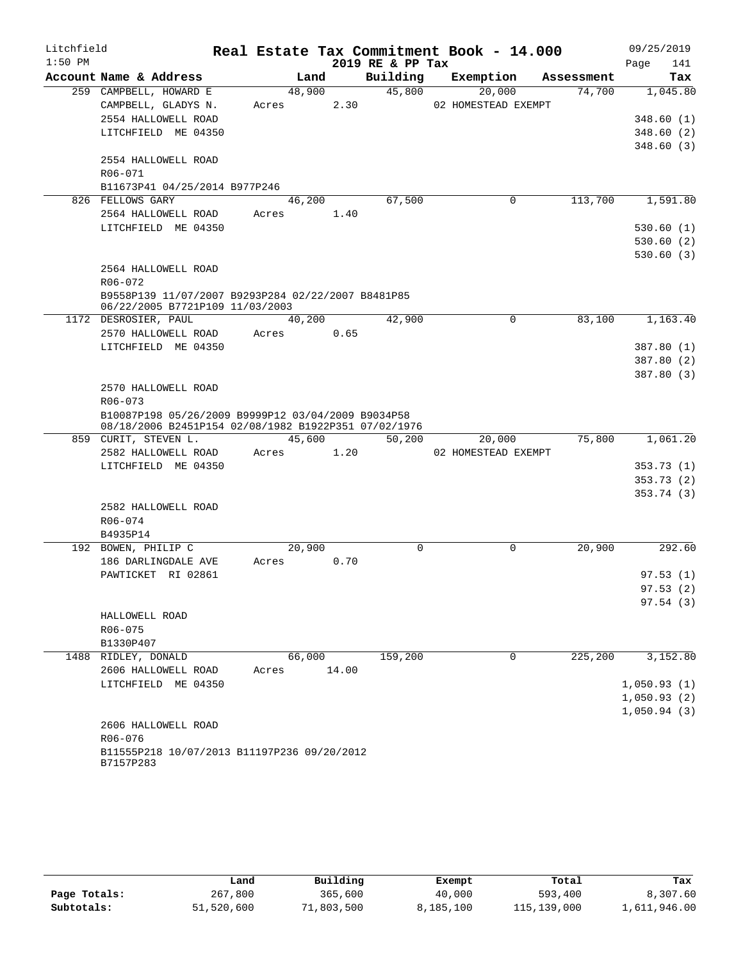| Litchfield |                                                                                       |       |         |       |                  | Real Estate Tax Commitment Book - 14.000 |            | 09/25/2019  |
|------------|---------------------------------------------------------------------------------------|-------|---------|-------|------------------|------------------------------------------|------------|-------------|
| $1:50$ PM  |                                                                                       |       |         |       | 2019 RE & PP Tax |                                          |            | 141<br>Page |
|            | Account Name & Address                                                                |       | Land    |       | Building         | Exemption                                | Assessment | Tax         |
|            | 259 CAMPBELL, HOWARD E                                                                |       | 48,900  |       | 45,800           | 20,000                                   | 74,700     | 1,045.80    |
|            | CAMPBELL, GLADYS N.                                                                   | Acres |         | 2.30  |                  | 02 HOMESTEAD EXEMPT                      |            |             |
|            | 2554 HALLOWELL ROAD                                                                   |       |         |       |                  |                                          |            | 348.60(1)   |
|            | LITCHFIELD ME 04350                                                                   |       |         |       |                  |                                          |            | 348.60(2)   |
|            |                                                                                       |       |         |       |                  |                                          |            | 348.60(3)   |
|            | 2554 HALLOWELL ROAD                                                                   |       |         |       |                  |                                          |            |             |
|            | R06-071                                                                               |       |         |       |                  |                                          |            |             |
|            | B11673P41 04/25/2014 B977P246                                                         |       |         |       |                  |                                          |            |             |
|            | 826 FELLOWS GARY                                                                      |       | 46, 200 |       | 67,500           | 0                                        | 113,700    | 1,591.80    |
|            | 2564 HALLOWELL ROAD                                                                   | Acres |         | 1.40  |                  |                                          |            |             |
|            | LITCHFIELD ME 04350                                                                   |       |         |       |                  |                                          |            | 530.60(1)   |
|            |                                                                                       |       |         |       |                  |                                          |            | 530.60(2)   |
|            |                                                                                       |       |         |       |                  |                                          |            | 530.60(3)   |
|            | 2564 HALLOWELL ROAD                                                                   |       |         |       |                  |                                          |            |             |
|            | $R06 - 072$                                                                           |       |         |       |                  |                                          |            |             |
|            | B9558P139 11/07/2007 B9293P284 02/22/2007 B8481P85<br>06/22/2005 B7721P109 11/03/2003 |       |         |       |                  |                                          |            |             |
|            | 1172 DESROSIER, PAUL                                                                  |       | 40,200  |       | 42,900           | 0                                        | 83,100     | 1,163.40    |
|            | 2570 HALLOWELL ROAD                                                                   | Acres |         | 0.65  |                  |                                          |            |             |
|            | LITCHFIELD ME 04350                                                                   |       |         |       |                  |                                          |            | 387.80 (1)  |
|            |                                                                                       |       |         |       |                  |                                          |            | 387.80 (2)  |
|            |                                                                                       |       |         |       |                  |                                          |            | 387.80 (3)  |
|            | 2570 HALLOWELL ROAD                                                                   |       |         |       |                  |                                          |            |             |
|            | R06-073                                                                               |       |         |       |                  |                                          |            |             |
|            | B10087P198 05/26/2009 B9999P12 03/04/2009 B9034P58                                    |       |         |       |                  |                                          |            |             |
|            | 08/18/2006 B2451P154 02/08/1982 B1922P351 07/02/1976                                  |       |         |       |                  |                                          |            |             |
|            | 859 CURIT, STEVEN L.                                                                  |       | 45,600  |       | 50,200           | 20,000                                   | 75,800     | 1,061.20    |
|            | 2582 HALLOWELL ROAD                                                                   | Acres |         | 1.20  |                  | 02 HOMESTEAD EXEMPT                      |            |             |
|            | LITCHFIELD ME 04350                                                                   |       |         |       |                  |                                          |            | 353.73(1)   |
|            |                                                                                       |       |         |       |                  |                                          |            | 353.73(2)   |
|            |                                                                                       |       |         |       |                  |                                          |            | 353.74(3)   |
|            | 2582 HALLOWELL ROAD                                                                   |       |         |       |                  |                                          |            |             |
|            | R06-074                                                                               |       |         |       |                  |                                          |            |             |
|            | B4935P14                                                                              |       |         |       |                  |                                          |            |             |
|            | 192 BOWEN, PHILIP C                                                                   |       | 20,900  |       | $\mathbf 0$      | $\mathbf 0$                              | 20,900     | 292.60      |
|            | 186 DARLINGDALE AVE                                                                   | Acres |         | 0.70  |                  |                                          |            |             |
|            | PAWTICKET RI 02861                                                                    |       |         |       |                  |                                          |            | 97.53(1)    |
|            |                                                                                       |       |         |       |                  |                                          |            | 97.53(2)    |
|            |                                                                                       |       |         |       |                  |                                          |            | 97.54 (3)   |
|            | HALLOWELL ROAD                                                                        |       |         |       |                  |                                          |            |             |
|            | R06-075                                                                               |       |         |       |                  |                                          |            |             |
|            | B1330P407<br>1488 RIDLEY, DONALD                                                      |       | 66,000  |       | 159,200          | 0                                        | 225,200    | 3,152.80    |
|            | 2606 HALLOWELL ROAD                                                                   | Acres |         | 14.00 |                  |                                          |            |             |
|            | LITCHFIELD ME 04350                                                                   |       |         |       |                  |                                          |            | 1,050.93(1) |
|            |                                                                                       |       |         |       |                  |                                          |            | 1,050.93(2) |
|            |                                                                                       |       |         |       |                  |                                          |            | 1,050.94(3) |
|            | 2606 HALLOWELL ROAD                                                                   |       |         |       |                  |                                          |            |             |
|            | $R06 - 076$                                                                           |       |         |       |                  |                                          |            |             |
|            | B11555P218 10/07/2013 B11197P236 09/20/2012                                           |       |         |       |                  |                                          |            |             |
|            | B7157P283                                                                             |       |         |       |                  |                                          |            |             |

|              | Land       | Building   | Exempt    | Total       | Tax          |
|--------------|------------|------------|-----------|-------------|--------------|
| Page Totals: | 267,800    | 365,600    | 40,000    | 593,400     | 8,307.60     |
| Subtotals:   | 51,520,600 | 71,803,500 | 8,185,100 | 115,139,000 | 1,611,946.00 |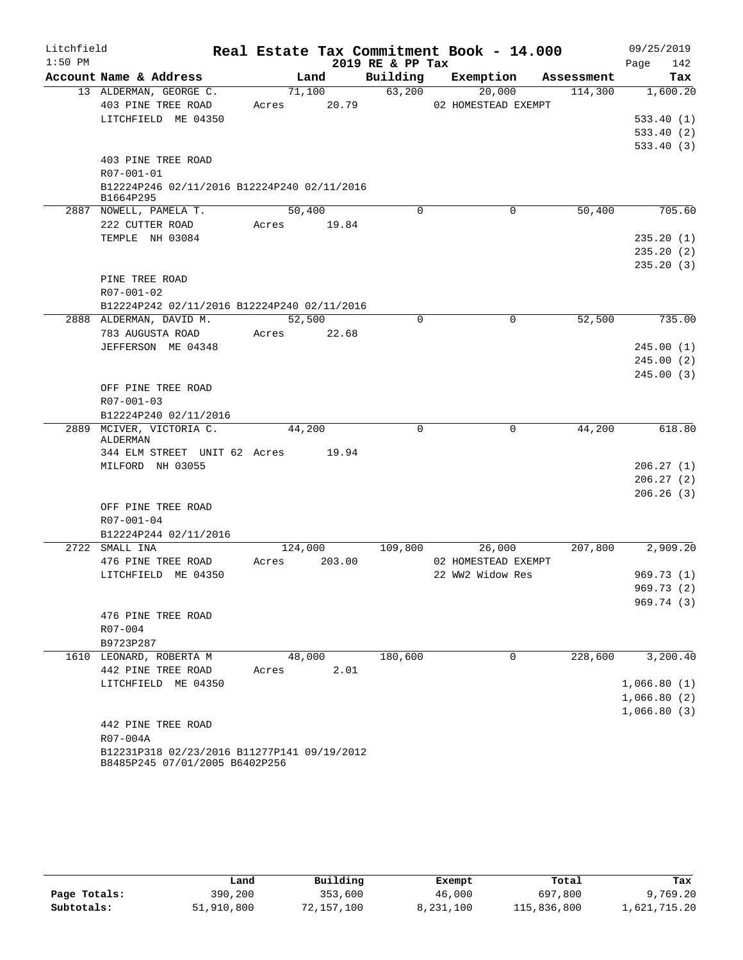| Litchfield |                                                                               |             |        |                  | Real Estate Tax Commitment Book - 14.000 |            | 09/25/2019  |
|------------|-------------------------------------------------------------------------------|-------------|--------|------------------|------------------------------------------|------------|-------------|
| $1:50$ PM  |                                                                               |             |        | 2019 RE & PP Tax |                                          |            | 142<br>Page |
|            | Account Name & Address                                                        |             | Land   | Building         | Exemption                                | Assessment | Tax         |
|            | 13 ALDERMAN, GEORGE C.                                                        |             | 71,100 | 63,200           | 20,000                                   | 114,300    | 1,600.20    |
|            | 403 PINE TREE ROAD                                                            | Acres       | 20.79  |                  | 02 HOMESTEAD EXEMPT                      |            |             |
|            | LITCHFIELD ME 04350                                                           |             |        |                  |                                          |            | 533.40(1)   |
|            |                                                                               |             |        |                  |                                          |            | 533.40(2)   |
|            |                                                                               |             |        |                  |                                          |            | 533.40(3)   |
|            | 403 PINE TREE ROAD                                                            |             |        |                  |                                          |            |             |
|            | R07-001-01                                                                    |             |        |                  |                                          |            |             |
|            | B12224P246 02/11/2016 B12224P240 02/11/2016<br>B1664P295                      |             |        |                  |                                          |            |             |
|            | 2887 NOWELL, PAMELA T.                                                        |             | 50,400 | $\Omega$         | 0                                        | 50,400     | 705.60      |
|            | 222 CUTTER ROAD                                                               | Acres 19.84 |        |                  |                                          |            |             |
|            | TEMPLE NH 03084                                                               |             |        |                  |                                          |            | 235.20(1)   |
|            |                                                                               |             |        |                  |                                          |            | 235.20(2)   |
|            |                                                                               |             |        |                  |                                          |            | 235.20(3)   |
|            | PINE TREE ROAD                                                                |             |        |                  |                                          |            |             |
|            | R07-001-02                                                                    |             |        |                  |                                          |            |             |
|            | B12224P242 02/11/2016 B12224P240 02/11/2016                                   |             |        |                  |                                          |            |             |
|            | 2888 ALDERMAN, DAVID M.                                                       |             | 52,500 | $\mathbf 0$      | $\mathbf 0$                              | 52,500     | 735.00      |
|            | 783 AUGUSTA ROAD                                                              | Acres       | 22.68  |                  |                                          |            |             |
|            | JEFFERSON ME 04348                                                            |             |        |                  |                                          |            | 245.00(1)   |
|            |                                                                               |             |        |                  |                                          |            | 245.00(2)   |
|            |                                                                               |             |        |                  |                                          |            | 245.00(3)   |
|            | OFF PINE TREE ROAD                                                            |             |        |                  |                                          |            |             |
|            | R07-001-03                                                                    |             |        |                  |                                          |            |             |
|            | B12224P240 02/11/2016                                                         |             |        |                  |                                          |            |             |
|            | 2889 MCIVER, VICTORIA C.                                                      |             | 44,200 | $\Omega$         | $\mathbf 0$                              | 44,200     | 618.80      |
|            | ALDERMAN                                                                      |             |        |                  |                                          |            |             |
|            | 344 ELM STREET UNIT 62 Acres                                                  |             | 19.94  |                  |                                          |            |             |
|            | MILFORD NH 03055                                                              |             |        |                  |                                          |            | 206.27(1)   |
|            |                                                                               |             |        |                  |                                          |            | 206.27(2)   |
|            | OFF PINE TREE ROAD                                                            |             |        |                  |                                          |            | 206.26(3)   |
|            | $R07 - 001 - 04$                                                              |             |        |                  |                                          |            |             |
|            | B12224P244 02/11/2016                                                         |             |        |                  |                                          |            |             |
|            | 2722 SMALL INA                                                                | 124,000     |        | 109,800          | 26,000                                   | 207,800    | 2,909.20    |
|            | 476 PINE TREE ROAD                                                            | Acres       | 203.00 |                  | 02 HOMESTEAD EXEMPT                      |            |             |
|            | LITCHFIELD ME 04350                                                           |             |        |                  | 22 WW2 Widow Res                         |            | 969.73(1)   |
|            |                                                                               |             |        |                  |                                          |            | 969.73 (2)  |
|            |                                                                               |             |        |                  |                                          |            | 969.74(3)   |
|            | 476 PINE TREE ROAD                                                            |             |        |                  |                                          |            |             |
|            | R07-004                                                                       |             |        |                  |                                          |            |             |
|            | B9723P287                                                                     |             |        |                  |                                          |            |             |
|            | 1610 LEONARD, ROBERTA M                                                       |             | 48,000 | 180,600          | 0                                        | 228,600    | 3,200.40    |
|            | 442 PINE TREE ROAD                                                            | Acres       | 2.01   |                  |                                          |            |             |
|            | LITCHFIELD ME 04350                                                           |             |        |                  |                                          |            | 1,066.80(1) |
|            |                                                                               |             |        |                  |                                          |            | 1,066.80(2) |
|            |                                                                               |             |        |                  |                                          |            | 1,066.80(3) |
|            | 442 PINE TREE ROAD                                                            |             |        |                  |                                          |            |             |
|            | R07-004A                                                                      |             |        |                  |                                          |            |             |
|            | B12231P318 02/23/2016 B11277P141 09/19/2012<br>B8485P245 07/01/2005 B6402P256 |             |        |                  |                                          |            |             |

|              | Land       | Building   | Exempt    | Total       | Tax          |
|--------------|------------|------------|-----------|-------------|--------------|
| Page Totals: | 390,200    | 353,600    | 46,000    | 697,800     | 9,769.20     |
| Subtotals:   | 51,910,800 | 72,157,100 | 8,231,100 | 115,836,800 | 1,621,715.20 |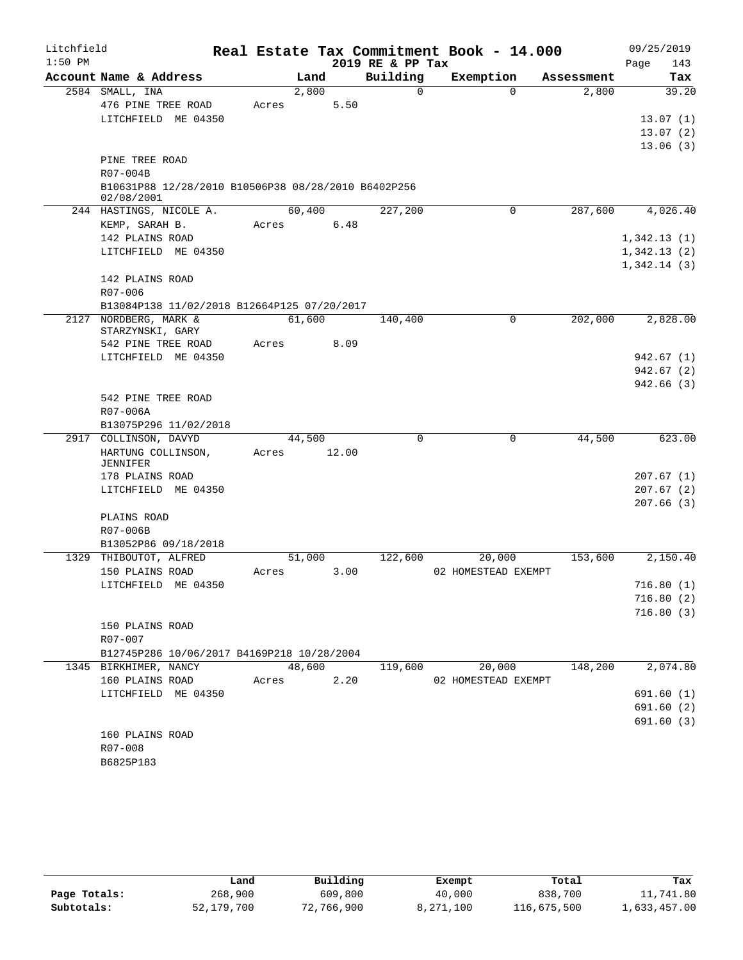| Litchfield |                                                                      |       |        |       | Real Estate Tax Commitment Book - 14.000 |                     |             |            | 09/25/2019  |                      |
|------------|----------------------------------------------------------------------|-------|--------|-------|------------------------------------------|---------------------|-------------|------------|-------------|----------------------|
| $1:50$ PM  |                                                                      |       |        |       | 2019 RE & PP Tax                         |                     |             |            | Page        | 143                  |
|            | Account Name & Address                                               |       | Land   |       | Building                                 | Exemption           |             | Assessment |             | Tax                  |
|            | 2584 SMALL, INA                                                      |       | 2,800  |       | $\mathbf 0$                              |                     | $\Omega$    | 2,800      |             | 39.20                |
|            | 476 PINE TREE ROAD                                                   | Acres |        | 5.50  |                                          |                     |             |            |             |                      |
|            | LITCHFIELD ME 04350                                                  |       |        |       |                                          |                     |             |            |             | 13.07(1)             |
|            |                                                                      |       |        |       |                                          |                     |             |            |             | 13.07(2)<br>13.06(3) |
|            | PINE TREE ROAD                                                       |       |        |       |                                          |                     |             |            |             |                      |
|            | R07-004B                                                             |       |        |       |                                          |                     |             |            |             |                      |
|            | B10631P88 12/28/2010 B10506P38 08/28/2010 B6402P256                  |       |        |       |                                          |                     |             |            |             |                      |
|            | 02/08/2001                                                           |       |        |       |                                          |                     |             |            |             |                      |
|            | 244 HASTINGS, NICOLE A.                                              |       | 60,400 |       | 227,200                                  |                     | 0           | 287,600    |             | 4,026.40             |
|            | KEMP, SARAH B.                                                       | Acres |        | 6.48  |                                          |                     |             |            |             |                      |
|            | 142 PLAINS ROAD                                                      |       |        |       |                                          |                     |             |            | 1,342.13(1) |                      |
|            | LITCHFIELD ME 04350                                                  |       |        |       |                                          |                     |             |            | 1,342.13(2) |                      |
|            |                                                                      |       |        |       |                                          |                     |             |            | 1,342.14(3) |                      |
|            | 142 PLAINS ROAD                                                      |       |        |       |                                          |                     |             |            |             |                      |
|            | $R07 - 006$                                                          |       |        |       |                                          |                     |             |            |             |                      |
|            | B13084P138 11/02/2018 B12664P125 07/20/2017<br>2127 NORDBERG, MARK & |       | 61,600 |       | 140,400                                  |                     | $\mathbf 0$ | 202,000    |             | 2,828.00             |
|            | STARZYNSKI, GARY                                                     |       |        |       |                                          |                     |             |            |             |                      |
|            | 542 PINE TREE ROAD                                                   | Acres |        | 8.09  |                                          |                     |             |            |             |                      |
|            | LITCHFIELD ME 04350                                                  |       |        |       |                                          |                     |             |            |             | 942.67 (1)           |
|            |                                                                      |       |        |       |                                          |                     |             |            |             | 942.67(2)            |
|            |                                                                      |       |        |       |                                          |                     |             |            |             | 942.66(3)            |
|            | 542 PINE TREE ROAD                                                   |       |        |       |                                          |                     |             |            |             |                      |
|            | R07-006A                                                             |       |        |       |                                          |                     |             |            |             |                      |
|            | B13075P296 11/02/2018                                                |       |        |       |                                          |                     |             |            |             |                      |
|            | 2917 COLLINSON, DAVYD                                                |       | 44,500 |       | $\Omega$                                 |                     | 0           | 44,500     |             | 623.00               |
|            | HARTUNG COLLINSON,<br>JENNIFER                                       | Acres |        | 12.00 |                                          |                     |             |            |             |                      |
|            | 178 PLAINS ROAD                                                      |       |        |       |                                          |                     |             |            |             | 207.67(1)            |
|            | LITCHFIELD ME 04350                                                  |       |        |       |                                          |                     |             |            |             | 207.67(2)            |
|            |                                                                      |       |        |       |                                          |                     |             |            |             | 207.66(3)            |
|            | PLAINS ROAD                                                          |       |        |       |                                          |                     |             |            |             |                      |
|            | R07-006B                                                             |       |        |       |                                          |                     |             |            |             |                      |
|            | B13052P86 09/18/2018                                                 |       |        |       |                                          |                     |             |            |             |                      |
|            | 1329 THIBOUTOT, ALFRED                                               |       | 51,000 |       | 122,600                                  |                     | 20,000      | 153,600    |             | 2,150.40             |
|            | 150 PLAINS ROAD                                                      | Acres |        | 3.00  |                                          | 02 HOMESTEAD EXEMPT |             |            |             |                      |
|            | LITCHFIELD ME 04350                                                  |       |        |       |                                          |                     |             |            |             | 716.80(1)            |
|            |                                                                      |       |        |       |                                          |                     |             |            |             | 716.80(2)            |
|            | 150 PLAINS ROAD                                                      |       |        |       |                                          |                     |             |            |             | 716.80(3)            |
|            | R07-007                                                              |       |        |       |                                          |                     |             |            |             |                      |
|            | B12745P286 10/06/2017 B4169P218 10/28/2004                           |       |        |       |                                          |                     |             |            |             |                      |
|            | 1345 BIRKHIMER, NANCY                                                |       | 48,600 |       | 119,600                                  |                     | 20,000      | 148,200    |             | 2,074.80             |
|            | 160 PLAINS ROAD                                                      | Acres |        | 2.20  |                                          | 02 HOMESTEAD EXEMPT |             |            |             |                      |
|            | LITCHFIELD ME 04350                                                  |       |        |       |                                          |                     |             |            |             | 691.60 (1)           |
|            |                                                                      |       |        |       |                                          |                     |             |            |             | 691.60(2)            |
|            |                                                                      |       |        |       |                                          |                     |             |            |             | 691.60 (3)           |
|            | 160 PLAINS ROAD                                                      |       |        |       |                                          |                     |             |            |             |                      |
|            | R07-008                                                              |       |        |       |                                          |                     |             |            |             |                      |
|            | B6825P183                                                            |       |        |       |                                          |                     |             |            |             |                      |

|              | Land       | Building   | Exempt    | Total       | Tax          |
|--------------|------------|------------|-----------|-------------|--------------|
| Page Totals: | 268,900    | 609,800    | 40,000    | 838,700     | 11,741.80    |
| Subtotals:   | 52,179,700 | 72,766,900 | 8,271,100 | 116,675,500 | 1,633,457.00 |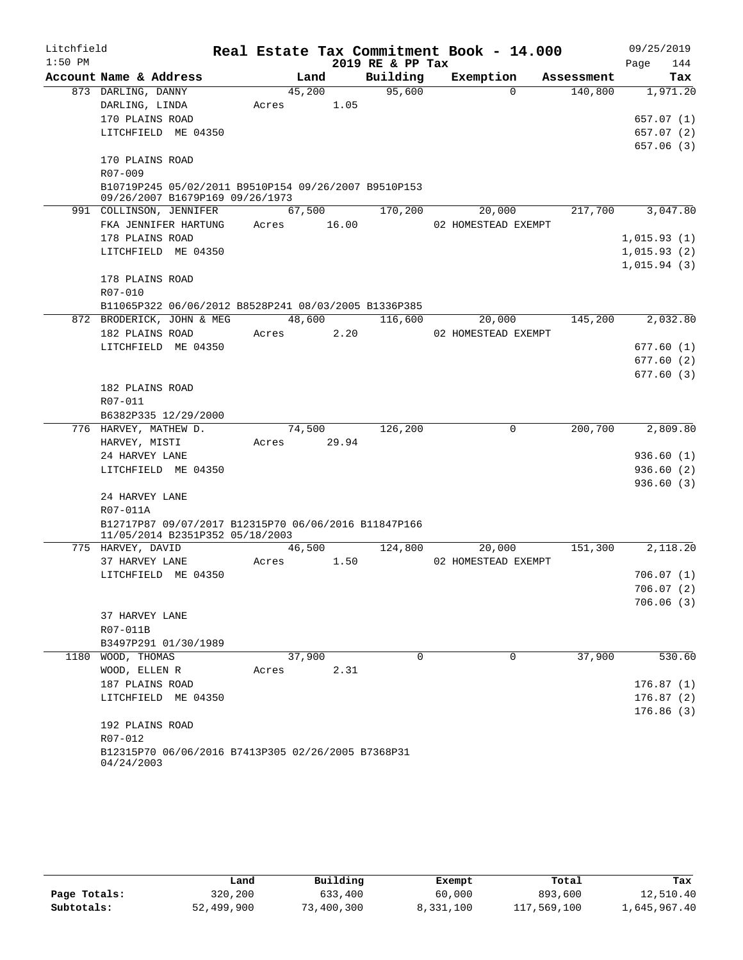| Litchfield |                                                                                         |             |        |      |                  | Real Estate Tax Commitment Book - 14.000 |            | 09/25/2019       |
|------------|-----------------------------------------------------------------------------------------|-------------|--------|------|------------------|------------------------------------------|------------|------------------|
| $1:50$ PM  |                                                                                         |             |        |      | 2019 RE & PP Tax |                                          |            | 144<br>Page      |
|            | Account Name & Address                                                                  |             | Land   |      | Building         | Exemption                                | Assessment | Tax              |
|            | 873 DARLING, DANNY                                                                      |             | 45,200 |      | 95,600           | $\Omega$                                 | 140,800    | 1,971.20         |
|            | DARLING, LINDA                                                                          | Acres       |        | 1.05 |                  |                                          |            |                  |
|            | 170 PLAINS ROAD                                                                         |             |        |      |                  |                                          |            | 657.07 (1)       |
|            | LITCHFIELD ME 04350                                                                     |             |        |      |                  |                                          |            | 657.07 (2)       |
|            |                                                                                         |             |        |      |                  |                                          |            | 657.06(3)        |
|            | 170 PLAINS ROAD                                                                         |             |        |      |                  |                                          |            |                  |
|            | R07-009                                                                                 |             |        |      |                  |                                          |            |                  |
|            | B10719P245 05/02/2011 B9510P154 09/26/2007 B9510P153<br>09/26/2007 B1679P169 09/26/1973 |             |        |      |                  |                                          |            |                  |
|            | 991 COLLINSON, JENNIFER                                                                 |             | 67,500 |      | 170,200          | 20,000                                   |            | 217,700 3,047.80 |
|            | FKA JENNIFER HARTUNG                                                                    | Acres 16.00 |        |      |                  | 02 HOMESTEAD EXEMPT                      |            |                  |
|            | 178 PLAINS ROAD                                                                         |             |        |      |                  |                                          |            | 1,015.93(1)      |
|            | LITCHFIELD ME 04350                                                                     |             |        |      |                  |                                          |            | 1,015.93(2)      |
|            |                                                                                         |             |        |      |                  |                                          |            | 1,015.94(3)      |
|            | 178 PLAINS ROAD                                                                         |             |        |      |                  |                                          |            |                  |
|            | R07-010                                                                                 |             |        |      |                  |                                          |            |                  |
|            | B11065P322 06/06/2012 B8528P241 08/03/2005 B1336P385                                    |             |        |      |                  |                                          |            |                  |
|            | 872 BRODERICK, JOHN & MEG                                                               |             | 48,600 |      | 116,600          | 20,000                                   | 145,200    | 2,032.80         |
|            | 182 PLAINS ROAD                                                                         | Acres       |        | 2.20 |                  | 02 HOMESTEAD EXEMPT                      |            |                  |
|            | LITCHFIELD ME 04350                                                                     |             |        |      |                  |                                          |            | 677.60 (1)       |
|            |                                                                                         |             |        |      |                  |                                          |            | 677.60(2)        |
|            |                                                                                         |             |        |      |                  |                                          |            | 677.60(3)        |
|            | 182 PLAINS ROAD                                                                         |             |        |      |                  |                                          |            |                  |
|            | R07-011                                                                                 |             |        |      |                  |                                          |            |                  |
|            | B6382P335 12/29/2000                                                                    |             |        |      |                  |                                          |            |                  |
|            | 776 HARVEY, MATHEW D.                                                                   |             | 74,500 |      | 126,200          | 0                                        | 200,700    | 2,809.80         |
|            | HARVEY, MISTI                                                                           | Acres 29.94 |        |      |                  |                                          |            |                  |
|            | 24 HARVEY LANE                                                                          |             |        |      |                  |                                          |            | 936.60(1)        |
|            | LITCHFIELD ME 04350                                                                     |             |        |      |                  |                                          |            | 936.60 (2)       |
|            |                                                                                         |             |        |      |                  |                                          |            | 936.60(3)        |
|            | 24 HARVEY LANE                                                                          |             |        |      |                  |                                          |            |                  |
|            | R07-011A                                                                                |             |        |      |                  |                                          |            |                  |
|            | B12717P87 09/07/2017 B12315P70 06/06/2016 B11847P166<br>11/05/2014 B2351P352 05/18/2003 |             |        |      |                  |                                          |            |                  |
|            | 775 HARVEY, DAVID                                                                       |             | 46,500 |      | 124,800          | 20,000                                   | 151,300    | 2,118.20         |
|            | 37 HARVEY LANE                                                                          | Acres       |        | 1.50 |                  | 02 HOMESTEAD EXEMPT                      |            |                  |
|            | LITCHFIELD ME 04350                                                                     |             |        |      |                  |                                          |            | 706.07 (1)       |
|            |                                                                                         |             |        |      |                  |                                          |            | 706.07(2)        |
|            |                                                                                         |             |        |      |                  |                                          |            | 706.06 (3)       |
|            | 37 HARVEY LANE                                                                          |             |        |      |                  |                                          |            |                  |
|            | R07-011B                                                                                |             |        |      |                  |                                          |            |                  |
|            | B3497P291 01/30/1989                                                                    |             |        |      |                  |                                          |            |                  |
|            | 1180 WOOD, THOMAS                                                                       |             | 37,900 |      | $\Omega$         | $\Omega$                                 | 37,900     | 530.60           |
|            | WOOD, ELLEN R                                                                           | Acres       |        | 2.31 |                  |                                          |            |                  |
|            | 187 PLAINS ROAD                                                                         |             |        |      |                  |                                          |            | 176.87(1)        |
|            | LITCHFIELD ME 04350                                                                     |             |        |      |                  |                                          |            | 176.87(2)        |
|            |                                                                                         |             |        |      |                  |                                          |            | 176.86(3)        |
|            | 192 PLAINS ROAD                                                                         |             |        |      |                  |                                          |            |                  |
|            | R07-012                                                                                 |             |        |      |                  |                                          |            |                  |
|            | B12315P70 06/06/2016 B7413P305 02/26/2005 B7368P31<br>04/24/2003                        |             |        |      |                  |                                          |            |                  |

|              | Land       | Building   | Exempt    | Total       | Tax          |
|--------------|------------|------------|-----------|-------------|--------------|
| Page Totals: | 320,200    | 633,400    | 60,000    | 893,600     | 12,510.40    |
| Subtotals:   | 52,499,900 | 73,400,300 | 8,331,100 | 117,569,100 | 1,645,967.40 |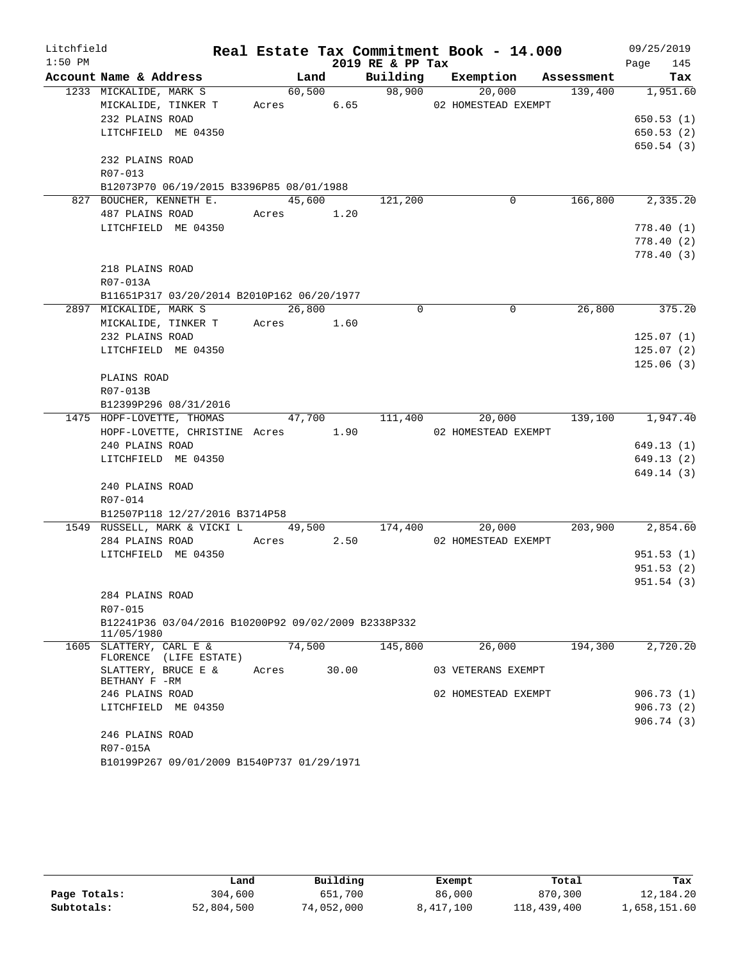| Litchfield |                                                                                           |       |            |       | Real Estate Tax Commitment Book - 14.000 |                     |                     |                                    | 09/25/2019       |
|------------|-------------------------------------------------------------------------------------------|-------|------------|-------|------------------------------------------|---------------------|---------------------|------------------------------------|------------------|
| $1:50$ PM  |                                                                                           |       |            |       | 2019 RE & PP Tax                         |                     |                     |                                    | 145<br>Page      |
|            | Account Name & Address                                                                    |       |            |       |                                          |                     |                     | Land Building Exemption Assessment | Tax              |
|            | 1233 MICKALIDE, MARK S                                                                    |       |            |       | $60,500$ 98,900                          |                     | 20,000              | 139,400 1,951.60                   |                  |
|            | MICKALIDE, TINKER T Acres 6.65                                                            |       |            |       | 02 HOMESTEAD EXEMPT                      |                     |                     |                                    |                  |
|            | 232 PLAINS ROAD                                                                           |       |            |       |                                          |                     |                     |                                    | 650.53(1)        |
|            | LITCHFIELD ME 04350                                                                       |       |            |       |                                          |                     |                     |                                    | 650.53(2)        |
|            |                                                                                           |       |            |       |                                          |                     |                     |                                    | 650.54(3)        |
|            | 232 PLAINS ROAD                                                                           |       |            |       |                                          |                     |                     |                                    |                  |
|            | R07-013                                                                                   |       |            |       |                                          |                     |                     |                                    |                  |
|            | B12073P70 06/19/2015 B3396P85 08/01/1988                                                  |       |            |       |                                          |                     |                     |                                    |                  |
|            | 827 BOUCHER, KENNETH E.                                                                   |       |            |       | 45,600 121,200                           |                     | $\overline{0}$      |                                    | 166,800 2,335.20 |
|            | 487 PLAINS ROAD Acres 1.20                                                                |       |            |       |                                          |                     |                     |                                    |                  |
|            | LITCHFIELD ME 04350                                                                       |       |            |       |                                          |                     |                     |                                    | 778.40(1)        |
|            |                                                                                           |       |            |       |                                          |                     |                     |                                    | 778.40 (2)       |
|            |                                                                                           |       |            |       |                                          |                     |                     |                                    | 778.40 (3)       |
|            | 218 PLAINS ROAD                                                                           |       |            |       |                                          |                     |                     |                                    |                  |
|            | R07-013A                                                                                  |       |            |       |                                          |                     |                     |                                    |                  |
|            | B11651P317 03/20/2014 B2010P162 06/20/1977                                                |       |            |       |                                          |                     |                     |                                    |                  |
|            | 2897 MICKALIDE, MARK S 26,800                                                             |       |            |       | $\Omega$                                 |                     | $\Omega$            | 26,800                             | 375.20           |
|            | MICKALIDE, TINKER T Acres 1.60                                                            |       |            |       |                                          |                     |                     |                                    |                  |
|            | 232 PLAINS ROAD                                                                           |       |            |       |                                          |                     |                     |                                    | 125.07(1)        |
|            | LITCHFIELD ME 04350                                                                       |       |            |       |                                          |                     |                     |                                    | 125.07(2)        |
|            |                                                                                           |       |            |       |                                          |                     |                     |                                    | 125.06(3)        |
|            | PLAINS ROAD                                                                               |       |            |       |                                          |                     |                     |                                    |                  |
|            | R07-013B                                                                                  |       |            |       |                                          |                     |                     |                                    |                  |
|            | B12399P296 08/31/2016<br>1475 HOPF-LOVETTE, THOMAS 47,700 111,400 20,000 139,100 1,947.40 |       |            |       |                                          |                     |                     |                                    |                  |
|            | HOPF-LOVETTE, CHRISTINE Acres 1.90                                                        |       |            |       |                                          | 02 HOMESTEAD EXEMPT |                     |                                    |                  |
|            | 240 PLAINS ROAD                                                                           |       |            |       |                                          |                     |                     |                                    | 649.13(1)        |
|            | LITCHFIELD ME 04350                                                                       |       |            |       |                                          |                     |                     |                                    | 649.13 (2)       |
|            |                                                                                           |       |            |       |                                          |                     |                     |                                    | 649.14(3)        |
|            | 240 PLAINS ROAD                                                                           |       |            |       |                                          |                     |                     |                                    |                  |
|            | R07-014                                                                                   |       |            |       |                                          |                     |                     |                                    |                  |
|            | B12507P118 12/27/2016 B3714P58                                                            |       |            |       |                                          |                     |                     |                                    |                  |
|            | 1549 RUSSELL, MARK & VICKI L 49,500 174,400                                               |       |            |       |                                          |                     |                     | 20,000 203,900 2,854.60            |                  |
|            | 284 PLAINS ROAD                                                                           |       | Acres 2.50 |       |                                          | 02 HOMESTEAD EXEMPT |                     |                                    |                  |
|            | LITCHFIELD ME 04350                                                                       |       |            |       |                                          |                     |                     |                                    | 951.53(1)        |
|            |                                                                                           |       |            |       |                                          |                     |                     |                                    | 951.53(2)        |
|            |                                                                                           |       |            |       |                                          |                     |                     |                                    | 951.54(3)        |
|            | 284 PLAINS ROAD                                                                           |       |            |       |                                          |                     |                     |                                    |                  |
|            | R07-015                                                                                   |       |            |       |                                          |                     |                     |                                    |                  |
|            | B12241P36 03/04/2016 B10200P92 09/02/2009 B2338P332                                       |       |            |       |                                          |                     |                     |                                    |                  |
|            | 11/05/1980                                                                                |       |            |       |                                          |                     |                     |                                    |                  |
|            | 1605 SLATTERY, CARL E &                                                                   |       | 74,500     |       | 145,800                                  |                     | 26,000              | 194,300                            | 2,720.20         |
|            | FLORENCE (LIFE ESTATE)                                                                    |       |            |       |                                          |                     |                     |                                    |                  |
|            | SLATTERY, BRUCE E &<br>BETHANY F -RM                                                      | Acres |            | 30.00 |                                          |                     | 03 VETERANS EXEMPT  |                                    |                  |
|            | 246 PLAINS ROAD                                                                           |       |            |       |                                          |                     | 02 HOMESTEAD EXEMPT |                                    | 906.73(1)        |
|            | LITCHFIELD ME 04350                                                                       |       |            |       |                                          |                     |                     |                                    | 906.73(2)        |
|            |                                                                                           |       |            |       |                                          |                     |                     |                                    | 906.74(3)        |
|            | 246 PLAINS ROAD                                                                           |       |            |       |                                          |                     |                     |                                    |                  |
|            | R07-015A                                                                                  |       |            |       |                                          |                     |                     |                                    |                  |
|            | B10199P267 09/01/2009 B1540P737 01/29/1971                                                |       |            |       |                                          |                     |                     |                                    |                  |
|            |                                                                                           |       |            |       |                                          |                     |                     |                                    |                  |

|              | Land       | Building   | Exempt    | Total       | Tax          |
|--------------|------------|------------|-----------|-------------|--------------|
| Page Totals: | 304,600    | 651,700    | 86,000    | 870,300     | 12,184.20    |
| Subtotals:   | 52,804,500 | 74,052,000 | 8,417,100 | 118,439,400 | 1,658,151.60 |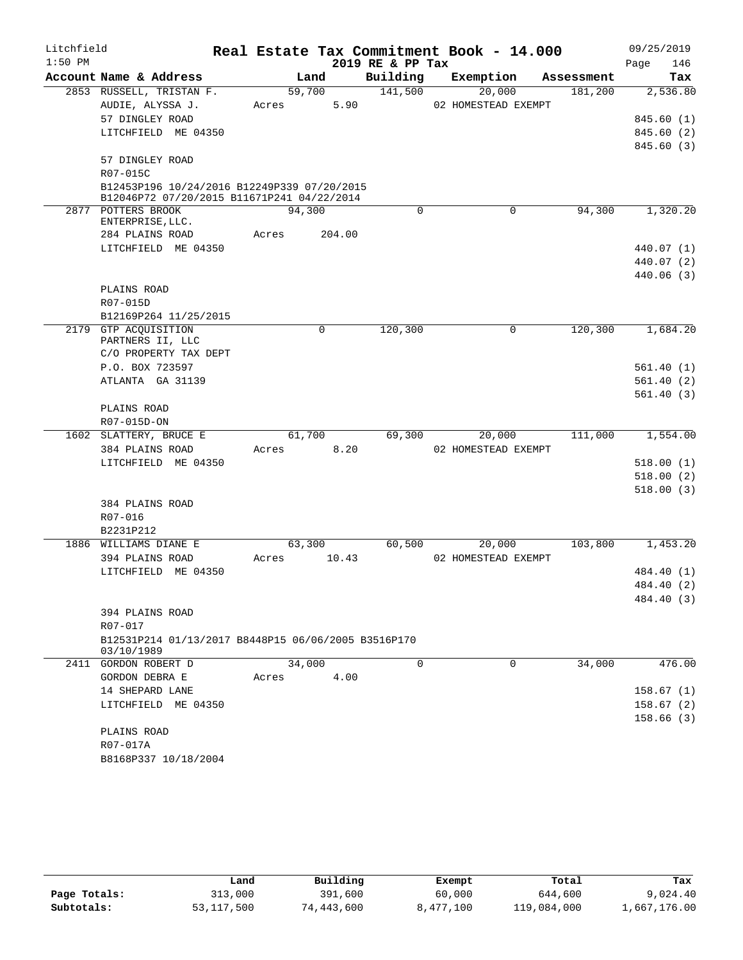| Litchfield |                                                     |       |        |          |                  | Real Estate Tax Commitment Book - 14.000 |            | 09/25/2019 |        |
|------------|-----------------------------------------------------|-------|--------|----------|------------------|------------------------------------------|------------|------------|--------|
| $1:50$ PM  |                                                     |       |        |          | 2019 RE & PP Tax |                                          |            | Page       | 146    |
|            | Account Name & Address                              |       | Land   |          | Building         | Exemption                                | Assessment |            | Tax    |
|            | 2853 RUSSELL, TRISTAN F.                            |       | 59,700 |          | 141,500          | 20,000                                   | 181,200    | 2,536.80   |        |
|            | AUDIE, ALYSSA J.                                    | Acres |        | 5.90     |                  | 02 HOMESTEAD EXEMPT                      |            |            |        |
|            | 57 DINGLEY ROAD                                     |       |        |          |                  |                                          |            | 845.60 (1) |        |
|            | LITCHFIELD ME 04350                                 |       |        |          |                  |                                          |            | 845.60 (2) |        |
|            | 57 DINGLEY ROAD                                     |       |        |          |                  |                                          |            | 845.60 (3) |        |
|            | R07-015C                                            |       |        |          |                  |                                          |            |            |        |
|            | B12453P196 10/24/2016 B12249P339 07/20/2015         |       |        |          |                  |                                          |            |            |        |
|            | B12046P72 07/20/2015 B11671P241 04/22/2014          |       |        |          |                  |                                          |            |            |        |
|            | 2877 POTTERS BROOK                                  |       | 94,300 |          | 0                | $\mathbf 0$                              | 94,300     | 1,320.20   |        |
|            | ENTERPRISE, LLC.                                    |       |        | 204.00   |                  |                                          |            |            |        |
|            | 284 PLAINS ROAD<br>LITCHFIELD ME 04350              | Acres |        |          |                  |                                          |            | 440.07 (1) |        |
|            |                                                     |       |        |          |                  |                                          |            | 440.07 (2) |        |
|            |                                                     |       |        |          |                  |                                          |            | 440.06(3)  |        |
|            | PLAINS ROAD                                         |       |        |          |                  |                                          |            |            |        |
|            | R07-015D                                            |       |        |          |                  |                                          |            |            |        |
|            | B12169P264 11/25/2015                               |       |        |          |                  |                                          |            |            |        |
|            | 2179 GTP ACOUISITION                                |       |        | $\Omega$ | 120,300          | 0                                        | 120,300    | 1,684.20   |        |
|            | PARTNERS II, LLC                                    |       |        |          |                  |                                          |            |            |        |
|            | C/O PROPERTY TAX DEPT                               |       |        |          |                  |                                          |            |            |        |
|            | P.O. BOX 723597                                     |       |        |          |                  |                                          |            | 561.40(1)  |        |
|            | ATLANTA GA 31139                                    |       |        |          |                  |                                          |            | 561.40(2)  |        |
|            |                                                     |       |        |          |                  |                                          |            | 561.40(3)  |        |
|            | PLAINS ROAD                                         |       |        |          |                  |                                          |            |            |        |
|            | R07-015D-ON                                         |       |        |          |                  |                                          |            |            |        |
|            | 1602 SLATTERY, BRUCE E                              |       | 61,700 |          | 69,300           | 20,000                                   | 111,000    | 1,554.00   |        |
|            | 384 PLAINS ROAD                                     | Acres |        | 8.20     |                  | 02 HOMESTEAD EXEMPT                      |            |            |        |
|            | LITCHFIELD ME 04350                                 |       |        |          |                  |                                          |            | 518.00(1)  |        |
|            |                                                     |       |        |          |                  |                                          |            | 518.00(2)  |        |
|            |                                                     |       |        |          |                  |                                          |            | 518.00(3)  |        |
|            | 384 PLAINS ROAD<br>R07-016                          |       |        |          |                  |                                          |            |            |        |
|            | B2231P212                                           |       |        |          |                  |                                          |            |            |        |
|            | 1886 WILLIAMS DIANE E                               |       | 63,300 |          | 60,500           | 20,000                                   | 103,800    | 1,453.20   |        |
|            | 394 PLAINS ROAD                                     | Acres |        | 10.43    |                  | 02 HOMESTEAD EXEMPT                      |            |            |        |
|            | LITCHFIELD ME 04350                                 |       |        |          |                  |                                          |            | 484.40 (1) |        |
|            |                                                     |       |        |          |                  |                                          |            | 484.40 (2) |        |
|            |                                                     |       |        |          |                  |                                          |            | 484.40 (3) |        |
|            | 394 PLAINS ROAD                                     |       |        |          |                  |                                          |            |            |        |
|            | R07-017                                             |       |        |          |                  |                                          |            |            |        |
|            | B12531P214 01/13/2017 B8448P15 06/06/2005 B3516P170 |       |        |          |                  |                                          |            |            |        |
|            | 03/10/1989                                          |       |        |          |                  |                                          |            |            |        |
|            | 2411 GORDON ROBERT D                                |       | 34,000 |          | 0                | 0                                        | 34,000     |            | 476.00 |
|            | GORDON DEBRA E                                      | Acres |        | 4.00     |                  |                                          |            |            |        |
|            | 14 SHEPARD LANE                                     |       |        |          |                  |                                          |            | 158.67(1)  |        |
|            | LITCHFIELD ME 04350                                 |       |        |          |                  |                                          |            | 158.67(2)  |        |
|            |                                                     |       |        |          |                  |                                          |            | 158.66(3)  |        |
|            | PLAINS ROAD                                         |       |        |          |                  |                                          |            |            |        |
|            | R07-017A                                            |       |        |          |                  |                                          |            |            |        |
|            | B8168P337 10/18/2004                                |       |        |          |                  |                                          |            |            |        |
|            |                                                     |       |        |          |                  |                                          |            |            |        |

|              | Land         | Building   | Exempt    | Total       | Tax          |
|--------------|--------------|------------|-----------|-------------|--------------|
| Page Totals: | 313,000      | 391,600    | 60,000    | 644,600     | 9,024.40     |
| Subtotals:   | 53, 117, 500 | 74,443,600 | 8,477,100 | 119,084,000 | 1,667,176.00 |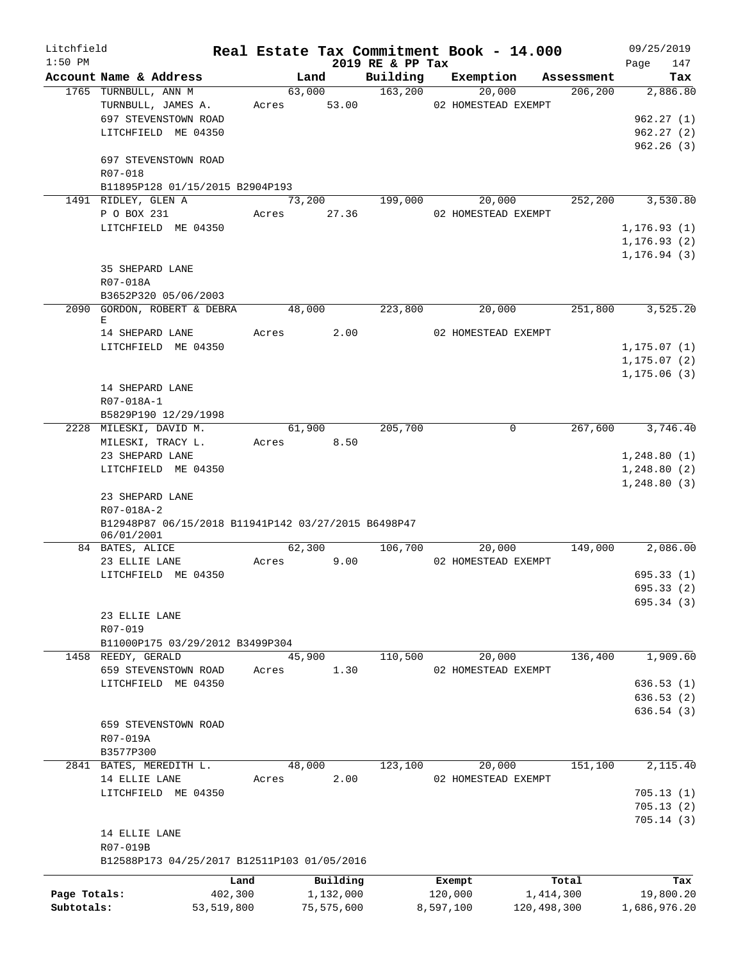| Litchfield   |                                                       |            |        |             |                              | Real Estate Tax Commitment Book - 14.000 |                       | 09/25/2019       |                 |
|--------------|-------------------------------------------------------|------------|--------|-------------|------------------------------|------------------------------------------|-----------------------|------------------|-----------------|
| $1:50$ PM    | Account Name & Address                                |            |        |             | 2019 RE & PP Tax<br>Building |                                          |                       | Page             | 147             |
|              | 1765 TURNBULL, ANN M                                  |            |        | Land        | 63,000 163,200               | Exemption<br>20,000                      | Assessment<br>206,200 |                  | Tax<br>2,886.80 |
|              | TURNBULL, JAMES A.                                    |            |        | Acres 53.00 |                              | 02 HOMESTEAD EXEMPT                      |                       |                  |                 |
|              | 697 STEVENSTOWN ROAD                                  |            |        |             |                              |                                          |                       |                  | 962.27(1)       |
|              | LITCHFIELD ME 04350                                   |            |        |             |                              |                                          |                       | 962.27(2)        |                 |
|              |                                                       |            |        |             |                              |                                          |                       |                  | 962.26(3)       |
|              | 697 STEVENSTOWN ROAD                                  |            |        |             |                              |                                          |                       |                  |                 |
|              | R07-018                                               |            |        |             |                              |                                          |                       |                  |                 |
|              | B11895P128 01/15/2015 B2904P193                       |            |        |             |                              |                                          |                       |                  |                 |
|              | 1491 RIDLEY, GLEN A                                   |            |        |             | 73,200 199,000               |                                          | 20,000<br>252,200     |                  | 3,530.80        |
|              | P O BOX 231                                           |            |        | Acres 27.36 |                              | 02 HOMESTEAD EXEMPT                      |                       |                  |                 |
|              | LITCHFIELD ME 04350                                   |            |        |             |                              |                                          |                       | 1, 176.93(1)     |                 |
|              |                                                       |            |        |             |                              |                                          |                       | 1, 176.93(2)     |                 |
|              |                                                       |            |        |             |                              |                                          |                       | 1, 176.94(3)     |                 |
|              | 35 SHEPARD LANE                                       |            |        |             |                              |                                          |                       |                  |                 |
|              | R07-018A                                              |            |        |             |                              |                                          |                       |                  |                 |
|              | B3652P320 05/06/2003<br>2090 GORDON, ROBERT & DEBRA   |            | 48,000 |             | 223,800                      | 20,000                                   | 251,800               |                  | 3,525.20        |
|              | Е                                                     |            |        |             |                              |                                          |                       |                  |                 |
|              | 14 SHEPARD LANE                                       |            |        | Acres 2.00  |                              | 02 HOMESTEAD EXEMPT                      |                       |                  |                 |
|              | LITCHFIELD ME 04350                                   |            |        |             |                              |                                          |                       | 1, 175.07(1)     |                 |
|              |                                                       |            |        |             |                              |                                          |                       | 1, 175.07(2)     |                 |
|              |                                                       |            |        |             |                              |                                          |                       | 1, 175.06(3)     |                 |
|              | 14 SHEPARD LANE                                       |            |        |             |                              |                                          |                       |                  |                 |
|              | R07-018A-1                                            |            |        |             |                              |                                          |                       |                  |                 |
|              | B5829P190 12/29/1998                                  |            |        |             |                              |                                          |                       |                  |                 |
|              | 2228 MILESKI, DAVID M.                                |            |        | 61,900      | 205,700                      |                                          | $\overline{0}$        | 267,600 3,746.40 |                 |
|              | MILESKI, TRACY L.                                     |            |        | Acres 8.50  |                              |                                          |                       |                  |                 |
|              | 23 SHEPARD LANE                                       |            |        |             |                              |                                          |                       | 1,248.80(1)      |                 |
|              | LITCHFIELD ME 04350                                   |            |        |             |                              |                                          |                       | 1,248.80(2)      |                 |
|              |                                                       |            |        |             |                              |                                          |                       | 1,248.80(3)      |                 |
|              | 23 SHEPARD LANE<br>R07-018A-2                         |            |        |             |                              |                                          |                       |                  |                 |
|              | B12948P87 06/15/2018 B11941P142 03/27/2015 B6498P47   |            |        |             |                              |                                          |                       |                  |                 |
|              | 06/01/2001                                            |            |        |             |                              |                                          |                       |                  |                 |
|              | 84 BATES, ALICE                                       |            |        | 62,300      |                              | 106,700<br>20,000                        | 149,000               |                  | 2,086.00        |
|              | 23 ELLIE LANE                                         |            | Acres  | 9.00        |                              | 02 HOMESTEAD EXEMPT                      |                       |                  |                 |
|              | LITCHFIELD ME 04350                                   |            |        |             |                              |                                          |                       |                  | 695.33(1)       |
|              |                                                       |            |        |             |                              |                                          |                       |                  | 695.33 (2)      |
|              |                                                       |            |        |             |                              |                                          |                       |                  | 695.34 (3)      |
|              | 23 ELLIE LANE                                         |            |        |             |                              |                                          |                       |                  |                 |
|              | R07-019                                               |            |        |             |                              |                                          |                       |                  |                 |
|              | B11000P175 03/29/2012 B3499P304<br>1458 REEDY, GERALD |            |        | 45,900      | 110,500                      | 20,000                                   | 136,400               |                  | 1,909.60        |
|              | 659 STEVENSTOWN ROAD                                  |            | Acres  | 1.30        |                              | 02 HOMESTEAD EXEMPT                      |                       |                  |                 |
|              | LITCHFIELD ME 04350                                   |            |        |             |                              |                                          |                       |                  | 636.53(1)       |
|              |                                                       |            |        |             |                              |                                          |                       |                  | 636.53(2)       |
|              |                                                       |            |        |             |                              |                                          |                       |                  | 636.54(3)       |
|              | 659 STEVENSTOWN ROAD                                  |            |        |             |                              |                                          |                       |                  |                 |
|              | R07-019A                                              |            |        |             |                              |                                          |                       |                  |                 |
|              | B3577P300                                             |            |        |             |                              |                                          |                       |                  |                 |
|              | 2841 BATES, MEREDITH L.                               |            |        | 48,000      | 123,100                      | 20,000                                   | 151,100               |                  | 2,115.40        |
|              | 14 ELLIE LANE                                         |            | Acres  | 2.00        |                              | 02 HOMESTEAD EXEMPT                      |                       |                  |                 |
|              | LITCHFIELD ME 04350                                   |            |        |             |                              |                                          |                       | 705.13(1)        |                 |
|              |                                                       |            |        |             |                              |                                          |                       | 705.13(2)        |                 |
|              |                                                       |            |        |             |                              |                                          |                       |                  | 705.14(3)       |
|              | 14 ELLIE LANE                                         |            |        |             |                              |                                          |                       |                  |                 |
|              | R07-019B                                              |            |        |             |                              |                                          |                       |                  |                 |
|              | B12588P173 04/25/2017 B12511P103 01/05/2016           |            |        |             |                              |                                          |                       |                  |                 |
|              |                                                       | Land       |        | Building    |                              | Exempt                                   | Total                 |                  | Tax             |
| Page Totals: |                                                       | 402,300    |        | 1,132,000   |                              | 120,000                                  | 1,414,300             |                  | 19,800.20       |
| Subtotals:   |                                                       | 53,519,800 |        | 75,575,600  |                              | 8,597,100                                | 120,498,300           | 1,686,976.20     |                 |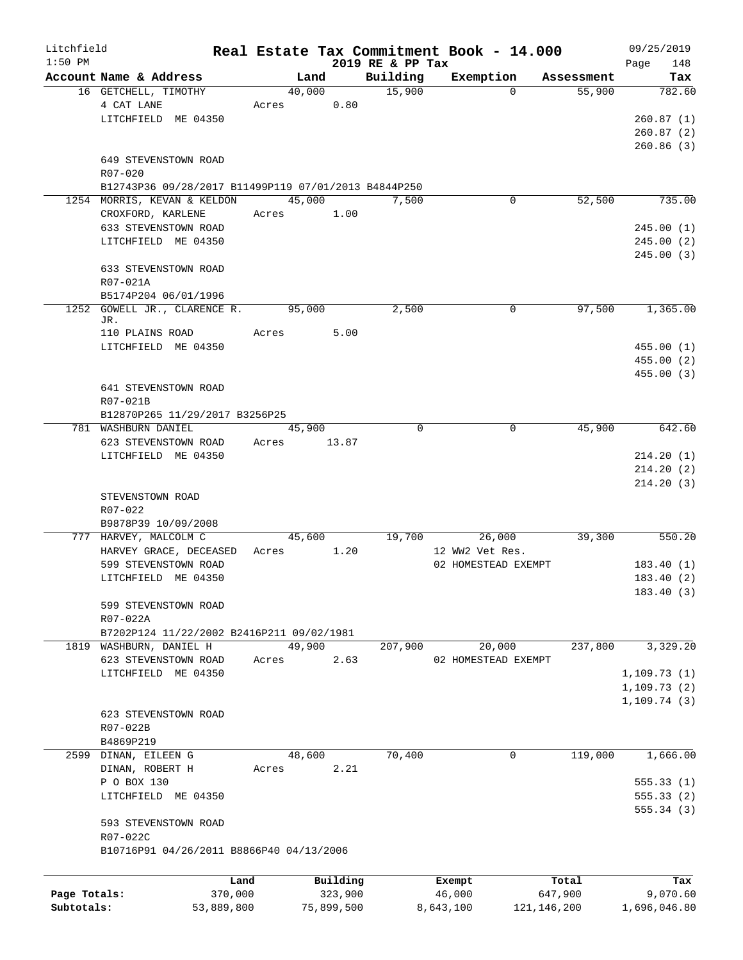| Litchfield   |                                                      |       |        |            |                  | Real Estate Tax Commitment Book - 14.000 |               |            | 09/25/2019   |
|--------------|------------------------------------------------------|-------|--------|------------|------------------|------------------------------------------|---------------|------------|--------------|
| $1:50$ PM    |                                                      |       |        |            | 2019 RE & PP Tax |                                          |               |            | 148<br>Page  |
|              | Account Name & Address                               |       | Land   |            | Building         | Exemption                                |               | Assessment | Tax          |
|              | 16 GETCHELL, TIMOTHY                                 |       | 40,000 |            | 15,900           |                                          | $\Omega$      | 55,900     | 782.60       |
|              | 4 CAT LANE                                           | Acres |        | 0.80       |                  |                                          |               |            |              |
|              | LITCHFIELD ME 04350                                  |       |        |            |                  |                                          |               |            | 260.87(1)    |
|              |                                                      |       |        |            |                  |                                          |               |            | 260.87(2)    |
|              |                                                      |       |        |            |                  |                                          |               |            | 260.86(3)    |
|              | 649 STEVENSTOWN ROAD                                 |       |        |            |                  |                                          |               |            |              |
|              | $R07 - 020$                                          |       |        |            |                  |                                          |               |            |              |
|              | B12743P36 09/28/2017 B11499P119 07/01/2013 B4844P250 |       |        |            |                  |                                          |               |            |              |
|              | 1254 MORRIS, KEVAN & KELDON                          |       | 45,000 |            | 7,500            |                                          | 0             | 52,500     | 735.00       |
|              | CROXFORD, KARLENE                                    | Acres |        | 1.00       |                  |                                          |               |            |              |
|              | 633 STEVENSTOWN ROAD                                 |       |        |            |                  |                                          |               |            | 245.00(1)    |
|              | LITCHFIELD ME 04350                                  |       |        |            |                  |                                          |               |            | 245.00(2)    |
|              |                                                      |       |        |            |                  |                                          |               |            | 245.00(3)    |
|              | 633 STEVENSTOWN ROAD                                 |       |        |            |                  |                                          |               |            |              |
|              | R07-021A                                             |       |        |            |                  |                                          |               |            |              |
|              | B5174P204 06/01/1996                                 |       |        |            |                  |                                          |               |            |              |
| 1252         | GOWELL JR., CLARENCE R.                              |       | 95,000 |            | 2,500            |                                          | 0             | 97,500     | 1,365.00     |
|              | JR.                                                  |       |        |            |                  |                                          |               |            |              |
|              | 110 PLAINS ROAD                                      | Acres |        | 5.00       |                  |                                          |               |            |              |
|              | LITCHFIELD ME 04350                                  |       |        |            |                  |                                          |               |            | 455.00 (1)   |
|              |                                                      |       |        |            |                  |                                          |               |            | 455.00(2)    |
|              |                                                      |       |        |            |                  |                                          |               |            | 455.00 (3)   |
|              | 641 STEVENSTOWN ROAD                                 |       |        |            |                  |                                          |               |            |              |
|              | R07-021B                                             |       |        |            |                  |                                          |               |            |              |
|              | B12870P265 11/29/2017 B3256P25                       |       |        |            |                  |                                          |               |            |              |
|              | 781 WASHBURN DANIEL                                  |       | 45,900 |            | $\Omega$         |                                          | 0             | 45,900     | 642.60       |
|              | 623 STEVENSTOWN ROAD                                 | Acres | 13.87  |            |                  |                                          |               |            |              |
|              | LITCHFIELD ME 04350                                  |       |        |            |                  |                                          |               |            | 214.20(1)    |
|              |                                                      |       |        |            |                  |                                          |               |            | 214.20(2)    |
|              |                                                      |       |        |            |                  |                                          |               |            | 214.20(3)    |
|              | STEVENSTOWN ROAD                                     |       |        |            |                  |                                          |               |            |              |
|              | R07-022                                              |       |        |            |                  |                                          |               |            |              |
|              | B9878P39 10/09/2008                                  |       |        |            |                  |                                          |               |            |              |
|              | 777 HARVEY, MALCOLM C                                |       | 45,600 |            | 19,700           | 26,000                                   |               | 39,300     | 550.20       |
|              | HARVEY GRACE, DECEASED                               | Acres |        | 1.20       |                  | 12 WW2 Vet Res.                          |               |            |              |
|              | 599 STEVENSTOWN ROAD                                 |       |        |            |                  | 02 HOMESTEAD EXEMPT                      |               |            | 183.40(1)    |
|              | LITCHFIELD ME 04350                                  |       |        |            |                  |                                          |               |            | 183.40(2)    |
|              |                                                      |       |        |            |                  |                                          |               |            | 183.40 (3)   |
|              | 599 STEVENSTOWN ROAD                                 |       |        |            |                  |                                          |               |            |              |
|              | R07-022A                                             |       |        |            |                  |                                          |               |            |              |
|              | B7202P124 11/22/2002 B2416P211 09/02/1981            |       |        |            |                  |                                          |               |            |              |
|              | 1819 WASHBURN, DANIEL H                              |       | 49,900 |            | 207,900          | 20,000                                   |               | 237,800    | 3,329.20     |
|              | 623 STEVENSTOWN ROAD                                 | Acres |        | 2.63       |                  | 02 HOMESTEAD EXEMPT                      |               |            |              |
|              | LITCHFIELD ME 04350                                  |       |        |            |                  |                                          |               |            | 1, 109.73(1) |
|              |                                                      |       |        |            |                  |                                          |               |            | 1, 109.73(2) |
|              |                                                      |       |        |            |                  |                                          |               |            |              |
|              |                                                      |       |        |            |                  |                                          |               |            | 1, 109.74(3) |
|              | 623 STEVENSTOWN ROAD                                 |       |        |            |                  |                                          |               |            |              |
|              | R07-022B                                             |       |        |            |                  |                                          |               |            |              |
|              | B4869P219                                            |       |        |            |                  |                                          |               |            |              |
|              | 2599 DINAN, EILEEN G                                 |       | 48,600 |            | 70,400           |                                          | 0             | 119,000    | 1,666.00     |
|              | DINAN, ROBERT H                                      | Acres |        | 2.21       |                  |                                          |               |            |              |
|              | P O BOX 130                                          |       |        |            |                  |                                          |               |            | 555.33(1)    |
|              | LITCHFIELD ME 04350                                  |       |        |            |                  |                                          |               |            | 555.33(2)    |
|              |                                                      |       |        |            |                  |                                          |               |            | 555.34(3)    |
|              | 593 STEVENSTOWN ROAD                                 |       |        |            |                  |                                          |               |            |              |
|              | R07-022C                                             |       |        |            |                  |                                          |               |            |              |
|              | B10716P91 04/26/2011 B8866P40 04/13/2006             |       |        |            |                  |                                          |               |            |              |
|              |                                                      |       |        |            |                  |                                          |               |            |              |
|              |                                                      | Land  |        | Building   |                  | Exempt                                   |               | Total      | Tax          |
| Page Totals: | 370,000                                              |       |        | 323,900    |                  | 46,000                                   |               | 647,900    | 9,070.60     |
| Subtotals:   | 53,889,800                                           |       |        | 75,899,500 |                  | 8,643,100                                | 121, 146, 200 |            | 1,696,046.80 |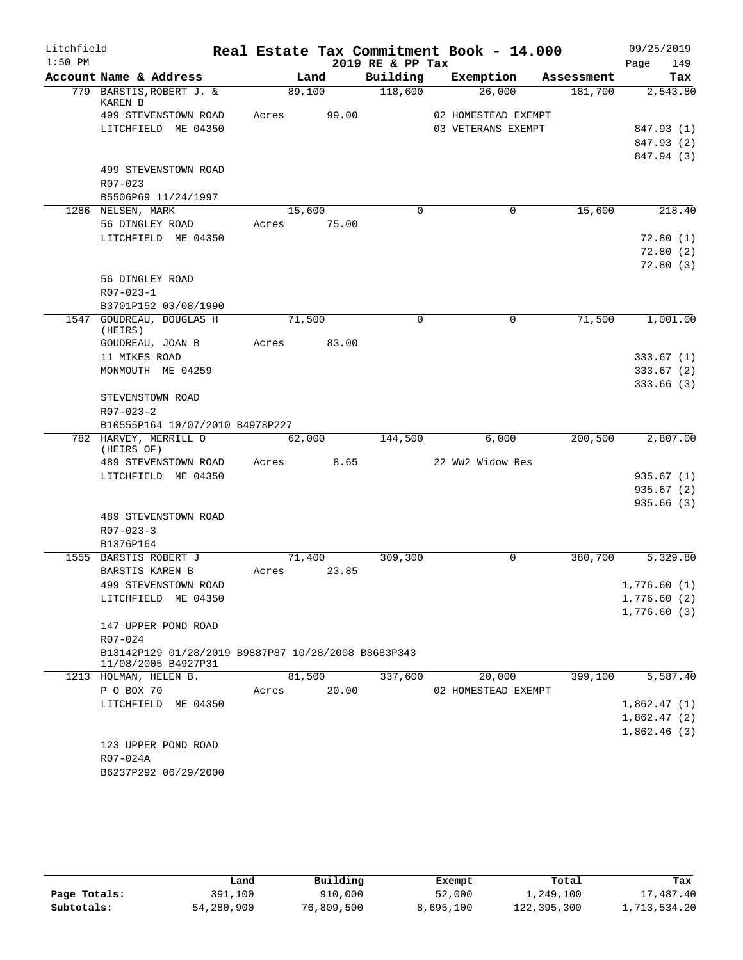| Litchfield |                                                          |       |                 |                  | Real Estate Tax Commitment Book - 14.000 |            | 09/25/2019  |
|------------|----------------------------------------------------------|-------|-----------------|------------------|------------------------------------------|------------|-------------|
| $1:50$ PM  |                                                          |       |                 | 2019 RE & PP Tax |                                          |            | 149<br>Page |
|            | Account Name & Address                                   |       | Land            | Building         | Exemption                                | Assessment | Tax         |
|            | 779 BARSTIS, ROBERT J. &<br>KAREN B                      |       | 89,100          | 118,600          | 26,000                                   | 181,700    | 2,543.80    |
|            | 499 STEVENSTOWN ROAD                                     | Acres | 99.00           |                  | 02 HOMESTEAD EXEMPT                      |            |             |
|            | LITCHFIELD ME 04350                                      |       |                 |                  | 03 VETERANS EXEMPT                       |            | 847.93 (1)  |
|            |                                                          |       |                 |                  |                                          |            | 847.93 (2)  |
|            |                                                          |       |                 |                  |                                          |            | 847.94 (3)  |
|            | 499 STEVENSTOWN ROAD                                     |       |                 |                  |                                          |            |             |
|            | R07-023                                                  |       |                 |                  |                                          |            |             |
|            | B5506P69 11/24/1997                                      |       |                 |                  |                                          |            |             |
|            | 1286 NELSEN, MARK                                        |       | 15,600<br>75.00 | $\Omega$         | 0                                        | 15,600     | 218.40      |
|            | 56 DINGLEY ROAD<br>LITCHFIELD ME 04350                   | Acres |                 |                  |                                          |            | 72.80(1)    |
|            |                                                          |       |                 |                  |                                          |            | 72.80(2)    |
|            |                                                          |       |                 |                  |                                          |            | 72.80(3)    |
|            | 56 DINGLEY ROAD                                          |       |                 |                  |                                          |            |             |
|            | $R07 - 023 - 1$                                          |       |                 |                  |                                          |            |             |
|            | B3701P152 03/08/1990                                     |       |                 |                  |                                          |            |             |
|            | 1547 GOUDREAU, DOUGLAS H<br>(HEIRS)                      |       | 71,500          | $\mathbf 0$      | $\mathbf 0$                              | 71,500     | 1,001.00    |
|            | GOUDREAU, JOAN B                                         | Acres | 83.00           |                  |                                          |            |             |
|            | 11 MIKES ROAD                                            |       |                 |                  |                                          |            | 333.67(1)   |
|            | MONMOUTH ME 04259                                        |       |                 |                  |                                          |            | 333.67(2)   |
|            |                                                          |       |                 |                  |                                          |            | 333.66(3)   |
|            | STEVENSTOWN ROAD                                         |       |                 |                  |                                          |            |             |
|            | $R07 - 023 - 2$                                          |       |                 |                  |                                          |            |             |
|            | B10555P164 10/07/2010 B4978P227<br>782 HARVEY, MERRILL O |       | 62,000          | 144,500          | 6,000                                    | 200,500    | 2,807.00    |
|            | (HEIRS OF)                                               |       |                 |                  |                                          |            |             |
|            | 489 STEVENSTOWN ROAD                                     | Acres | 8.65            |                  | 22 WW2 Widow Res                         |            |             |
|            | LITCHFIELD ME 04350                                      |       |                 |                  |                                          |            | 935.67(1)   |
|            |                                                          |       |                 |                  |                                          |            | 935.67(2)   |
|            |                                                          |       |                 |                  |                                          |            | 935.66(3)   |
|            | 489 STEVENSTOWN ROAD                                     |       |                 |                  |                                          |            |             |
|            | $R07 - 023 - 3$                                          |       |                 |                  |                                          |            |             |
|            | B1376P164                                                |       |                 |                  |                                          |            |             |
|            | 1555 BARSTIS ROBERT J                                    | Acres | 71,400          | 309,300          | $\Omega$                                 | 380,700    | 5,329.80    |
|            | BARSTIS KAREN B<br>499 STEVENSTOWN ROAD                  |       | 23.85           |                  |                                          |            | 1,776.60(1) |
|            | LITCHFIELD ME 04350                                      |       |                 |                  |                                          |            | 1,776.60(2) |
|            |                                                          |       |                 |                  |                                          |            | 1,776.60(3) |
|            | 147 UPPER POND ROAD                                      |       |                 |                  |                                          |            |             |
|            | R07-024                                                  |       |                 |                  |                                          |            |             |
|            | B13142P129 01/28/2019 B9887P87 10/28/2008 B8683P343      |       |                 |                  |                                          |            |             |
|            | 11/08/2005 B4927P31                                      |       |                 |                  |                                          |            |             |
|            | 1213 HOLMAN, HELEN B.                                    |       | 81,500          | 337,600          | 20,000                                   | 399,100    | 5,587.40    |
|            | P O BOX 70                                               | Acres | 20.00           |                  | 02 HOMESTEAD EXEMPT                      |            |             |
|            | LITCHFIELD ME 04350                                      |       |                 |                  |                                          |            | 1,862.47(1) |
|            |                                                          |       |                 |                  |                                          |            | 1,862.47(2) |
|            |                                                          |       |                 |                  |                                          |            | 1,862.46(3) |
|            | 123 UPPER POND ROAD<br>R07-024A                          |       |                 |                  |                                          |            |             |
|            | B6237P292 06/29/2000                                     |       |                 |                  |                                          |            |             |
|            |                                                          |       |                 |                  |                                          |            |             |

|              | Land       | Building   | Exempt    | Total       | Tax          |
|--------------|------------|------------|-----------|-------------|--------------|
| Page Totals: | 391,100    | 910,000    | 52,000    | 1,249,100   | 17,487.40    |
| Subtotals:   | 54,280,900 | 76,809,500 | 8,695,100 | 122,395,300 | 1,713,534.20 |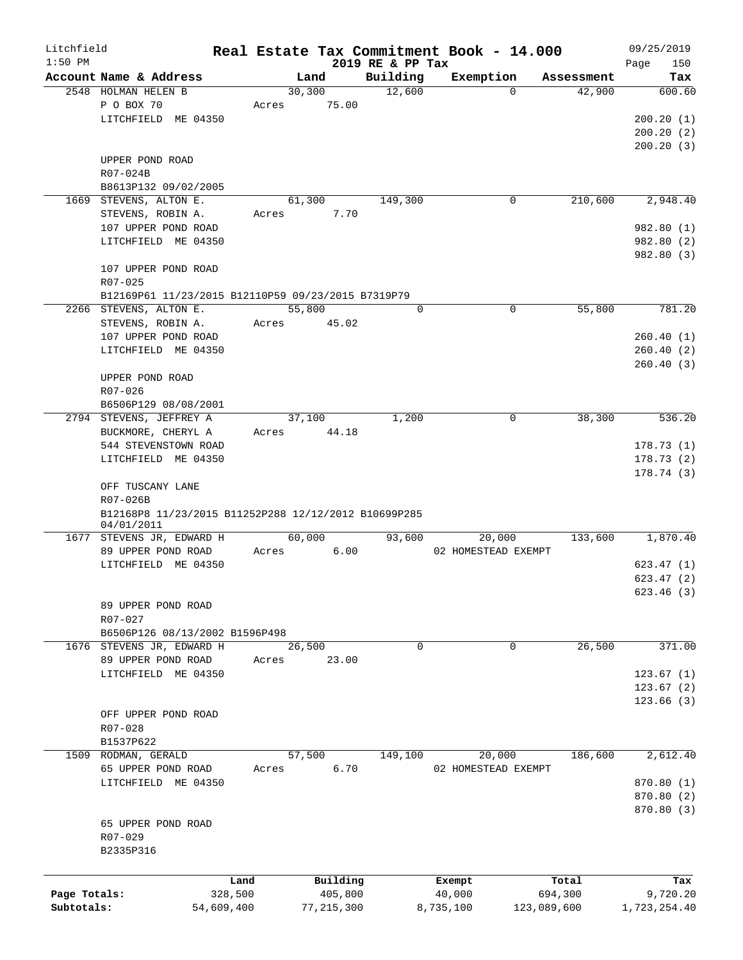| Litchfield   |                                                      |            |         |              |                              | Real Estate Tax Commitment Book - 14.000 |             |            |      | 09/25/2019   |
|--------------|------------------------------------------------------|------------|---------|--------------|------------------------------|------------------------------------------|-------------|------------|------|--------------|
| $1:50$ PM    | Account Name & Address                               |            | Land    |              | 2019 RE & PP Tax<br>Building | Exemption                                |             | Assessment | Page | 150<br>Tax   |
|              | 2548 HOLMAN HELEN B                                  |            | 30, 300 |              | 12,600                       |                                          | $\Omega$    | 42,900     |      | 600.60       |
|              | P O BOX 70                                           | Acres      |         | 75.00        |                              |                                          |             |            |      |              |
|              | LITCHFIELD ME 04350                                  |            |         |              |                              |                                          |             |            |      | 200.20(1)    |
|              |                                                      |            |         |              |                              |                                          |             |            |      | 200.20(2)    |
|              |                                                      |            |         |              |                              |                                          |             |            |      | 200.20(3)    |
|              |                                                      |            |         |              |                              |                                          |             |            |      |              |
|              | UPPER POND ROAD                                      |            |         |              |                              |                                          |             |            |      |              |
|              | R07-024B                                             |            |         |              |                              |                                          |             |            |      |              |
|              | B8613P132 09/02/2005                                 |            |         |              |                              |                                          |             |            |      |              |
|              | 1669 STEVENS, ALTON E.                               |            | 61,300  |              | 149,300                      |                                          | 0           | 210,600    |      | 2,948.40     |
|              | STEVENS, ROBIN A.                                    | Acres      |         | 7.70         |                              |                                          |             |            |      |              |
|              | 107 UPPER POND ROAD                                  |            |         |              |                              |                                          |             |            |      | 982.80 (1)   |
|              | LITCHFIELD ME 04350                                  |            |         |              |                              |                                          |             |            |      | 982.80 (2)   |
|              |                                                      |            |         |              |                              |                                          |             |            |      | 982.80 (3)   |
|              | 107 UPPER POND ROAD                                  |            |         |              |                              |                                          |             |            |      |              |
|              | $R07 - 025$                                          |            |         |              |                              |                                          |             |            |      |              |
|              | B12169P61 11/23/2015 B12110P59 09/23/2015 B7319P79   |            |         |              |                              |                                          |             |            |      |              |
|              | 2266 STEVENS, ALTON E.                               |            | 55,800  |              | 0                            |                                          | 0           | 55,800     |      | 781.20       |
|              | STEVENS, ROBIN A.                                    | Acres      |         | 45.02        |                              |                                          |             |            |      |              |
|              | 107 UPPER POND ROAD                                  |            |         |              |                              |                                          |             |            |      | 260.40(1)    |
|              | LITCHFIELD ME 04350                                  |            |         |              |                              |                                          |             |            |      | 260.40(2)    |
|              |                                                      |            |         |              |                              |                                          |             |            |      | 260.40(3)    |
|              | UPPER POND ROAD                                      |            |         |              |                              |                                          |             |            |      |              |
|              | R07-026                                              |            |         |              |                              |                                          |             |            |      |              |
|              |                                                      |            |         |              |                              |                                          |             |            |      |              |
|              | B6506P129 08/08/2001                                 |            |         |              |                              |                                          |             |            |      |              |
|              | 2794 STEVENS, JEFFREY A                              |            | 37,100  |              | 1,200                        |                                          | 0           | 38,300     |      | 536.20       |
|              | BUCKMORE, CHERYL A                                   | Acres      |         | 44.18        |                              |                                          |             |            |      |              |
|              | 544 STEVENSTOWN ROAD                                 |            |         |              |                              |                                          |             |            |      | 178.73(1)    |
|              | LITCHFIELD ME 04350                                  |            |         |              |                              |                                          |             |            |      | 178.73(2)    |
|              |                                                      |            |         |              |                              |                                          |             |            |      | 178.74(3)    |
|              | OFF TUSCANY LANE                                     |            |         |              |                              |                                          |             |            |      |              |
|              | R07-026B                                             |            |         |              |                              |                                          |             |            |      |              |
|              | B12168P8 11/23/2015 B11252P288 12/12/2012 B10699P285 |            |         |              |                              |                                          |             |            |      |              |
|              | 04/01/2011                                           |            |         |              |                              |                                          |             |            |      |              |
|              | 1677 STEVENS JR, EDWARD H                            |            | 60,000  |              | 93,600                       | 20,000                                   |             | 133,600    |      | 1,870.40     |
|              | 89 UPPER POND ROAD                                   | Acres      |         | 6.00         |                              | 02 HOMESTEAD EXEMPT                      |             |            |      |              |
|              | LITCHFIELD ME 04350                                  |            |         |              |                              |                                          |             |            |      | 623.47(1)    |
|              |                                                      |            |         |              |                              |                                          |             |            |      | 623.47(2)    |
|              |                                                      |            |         |              |                              |                                          |             |            |      | 623.46 (3)   |
|              | 89 UPPER POND ROAD                                   |            |         |              |                              |                                          |             |            |      |              |
|              | R07-027                                              |            |         |              |                              |                                          |             |            |      |              |
|              | B6506P126 08/13/2002 B1596P498                       |            |         |              |                              |                                          |             |            |      |              |
|              | 1676 STEVENS JR, EDWARD H                            |            | 26,500  |              | 0                            |                                          | 0           | 26,500     |      | 371.00       |
|              | 89 UPPER POND ROAD                                   | Acres      |         | 23.00        |                              |                                          |             |            |      |              |
|              | LITCHFIELD ME 04350                                  |            |         |              |                              |                                          |             |            |      | 123.67(1)    |
|              |                                                      |            |         |              |                              |                                          |             |            |      |              |
|              |                                                      |            |         |              |                              |                                          |             |            |      | 123.67(2)    |
|              |                                                      |            |         |              |                              |                                          |             |            |      | 123.66(3)    |
|              | OFF UPPER POND ROAD                                  |            |         |              |                              |                                          |             |            |      |              |
|              | R07-028                                              |            |         |              |                              |                                          |             |            |      |              |
|              | B1537P622                                            |            |         |              |                              |                                          |             |            |      |              |
|              | 1509 RODMAN, GERALD                                  |            | 57,500  |              | 149,100                      | 20,000                                   |             | 186,600    |      | 2,612.40     |
|              | 65 UPPER POND ROAD                                   | Acres      |         | 6.70         |                              | 02 HOMESTEAD EXEMPT                      |             |            |      |              |
|              | LITCHFIELD ME 04350                                  |            |         |              |                              |                                          |             |            |      | 870.80(1)    |
|              |                                                      |            |         |              |                              |                                          |             |            |      | 870.80 (2)   |
|              |                                                      |            |         |              |                              |                                          |             |            |      | 870.80 (3)   |
|              | 65 UPPER POND ROAD                                   |            |         |              |                              |                                          |             |            |      |              |
|              | R07-029                                              |            |         |              |                              |                                          |             |            |      |              |
|              | B2335P316                                            |            |         |              |                              |                                          |             |            |      |              |
|              |                                                      |            |         |              |                              |                                          |             |            |      |              |
|              |                                                      |            |         |              |                              |                                          |             |            |      |              |
|              |                                                      | Land       |         | Building     |                              | Exempt                                   |             | Total      |      | Tax          |
| Page Totals: |                                                      | 328,500    |         | 405,800      |                              | 40,000                                   |             | 694,300    |      | 9,720.20     |
| Subtotals:   |                                                      | 54,609,400 |         | 77, 215, 300 |                              | 8,735,100                                | 123,089,600 |            |      | 1,723,254.40 |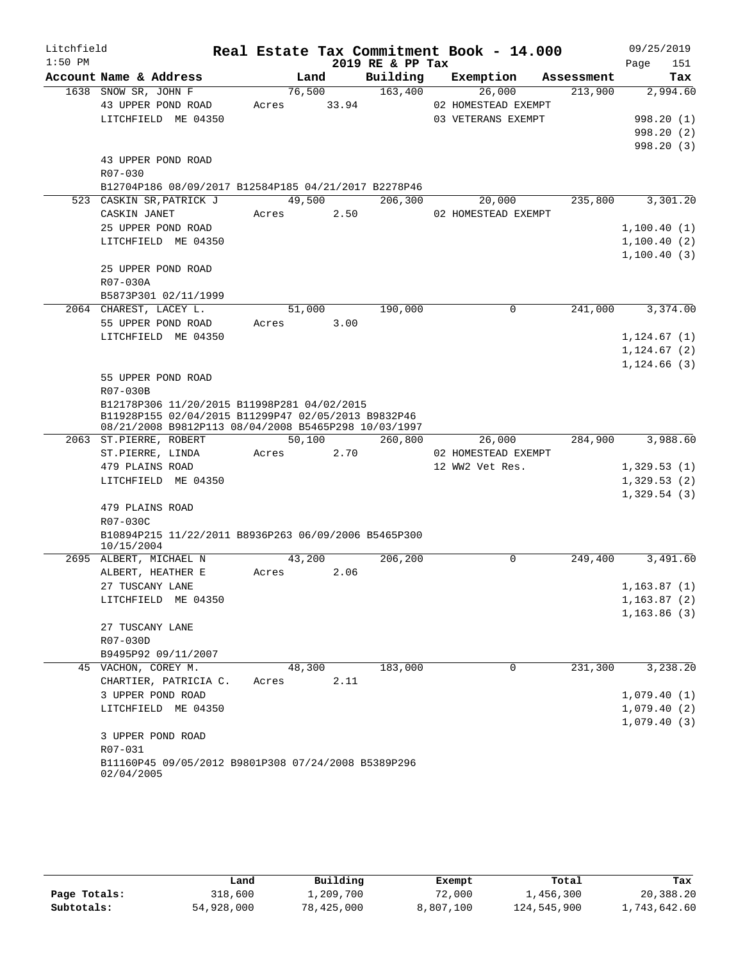| Litchfield |                                                                                                             |             |        |                  | Real Estate Tax Commitment Book - 14.000 |            | 09/25/2019   |
|------------|-------------------------------------------------------------------------------------------------------------|-------------|--------|------------------|------------------------------------------|------------|--------------|
| $1:50$ PM  |                                                                                                             |             |        | 2019 RE & PP Tax |                                          |            | Page<br>151  |
|            | Account Name & Address                                                                                      |             | Land   | Building         | Exemption                                | Assessment | Tax          |
|            | 1638 SNOW SR, JOHN F                                                                                        |             | 76,500 | 163,400          | 26,000                                   | 213,900    | 2,994.60     |
|            | 43 UPPER POND ROAD                                                                                          | Acres 33.94 |        |                  | 02 HOMESTEAD EXEMPT                      |            |              |
|            | LITCHFIELD ME 04350                                                                                         |             |        |                  | 03 VETERANS EXEMPT                       |            | 998.20(1)    |
|            |                                                                                                             |             |        |                  |                                          |            | 998.20 (2)   |
|            |                                                                                                             |             |        |                  |                                          |            | 998.20(3)    |
|            | 43 UPPER POND ROAD                                                                                          |             |        |                  |                                          |            |              |
|            | R07-030                                                                                                     |             |        |                  |                                          |            |              |
|            | B12704P186 08/09/2017 B12584P185 04/21/2017 B2278P46                                                        |             |        |                  |                                          |            |              |
|            | 523 CASKIN SR, PATRICK J                                                                                    |             | 49,500 | 206,300          | 20,000                                   | 235,800    | 3,301.20     |
|            | CASKIN JANET                                                                                                | Acres       | 2.50   |                  | 02 HOMESTEAD EXEMPT                      |            |              |
|            | 25 UPPER POND ROAD                                                                                          |             |        |                  |                                          |            | 1,100.40(1)  |
|            | LITCHFIELD ME 04350                                                                                         |             |        |                  |                                          |            | 1,100.40(2)  |
|            |                                                                                                             |             |        |                  |                                          |            | 1,100.40(3)  |
|            | 25 UPPER POND ROAD                                                                                          |             |        |                  |                                          |            |              |
|            | R07-030A                                                                                                    |             |        |                  |                                          |            |              |
|            | B5873P301 02/11/1999                                                                                        |             |        |                  |                                          |            |              |
|            | 2064 CHAREST, LACEY L.                                                                                      | 51,000      |        | 190,000          | $\Omega$                                 | 241,000    | 3,374.00     |
|            | 55 UPPER POND ROAD                                                                                          | Acres       | 3.00   |                  |                                          |            |              |
|            | LITCHFIELD ME 04350                                                                                         |             |        |                  |                                          |            | 1,124.67(1)  |
|            |                                                                                                             |             |        |                  |                                          |            | 1, 124.67(2) |
|            |                                                                                                             |             |        |                  |                                          |            | 1,124.66(3)  |
|            | 55 UPPER POND ROAD                                                                                          |             |        |                  |                                          |            |              |
|            | R07-030B                                                                                                    |             |        |                  |                                          |            |              |
|            | B12178P306 11/20/2015 B11998P281 04/02/2015                                                                 |             |        |                  |                                          |            |              |
|            | B11928P155 02/04/2015 B11299P47 02/05/2013 B9832P46<br>08/21/2008 B9812P113 08/04/2008 B5465P298 10/03/1997 |             |        |                  |                                          |            |              |
|            | 2063 ST.PIERRE, ROBERT                                                                                      | 50,100      |        | 260,800          | 26,000                                   | 284,900    | 3,988.60     |
|            | ST.PIERRE, LINDA                                                                                            | Acres       | 2.70   |                  | 02 HOMESTEAD EXEMPT                      |            |              |
|            | 479 PLAINS ROAD                                                                                             |             |        |                  | 12 WW2 Vet Res.                          |            | 1,329.53(1)  |
|            | LITCHFIELD ME 04350                                                                                         |             |        |                  |                                          |            | 1,329.53(2)  |
|            |                                                                                                             |             |        |                  |                                          |            | 1,329.54(3)  |
|            | 479 PLAINS ROAD                                                                                             |             |        |                  |                                          |            |              |
|            | R07-030C                                                                                                    |             |        |                  |                                          |            |              |
|            | B10894P215 11/22/2011 B8936P263 06/09/2006 B5465P300                                                        |             |        |                  |                                          |            |              |
|            | 10/15/2004                                                                                                  |             |        |                  |                                          |            |              |
|            | 2695 ALBERT, MICHAEL N                                                                                      | 43,200      |        | 206,200          | 0                                        | 249,400    | 3,491.60     |
|            | ALBERT, HEATHER E                                                                                           | Acres       | 2.06   |                  |                                          |            |              |
|            | 27 TUSCANY LANE                                                                                             |             |        |                  |                                          |            | 1, 163.87(1) |
|            | LITCHFIELD ME 04350                                                                                         |             |        |                  |                                          |            | 1, 163.87(2) |
|            |                                                                                                             |             |        |                  |                                          |            | 1, 163.86(3) |
|            | 27 TUSCANY LANE                                                                                             |             |        |                  |                                          |            |              |
|            | R07-030D                                                                                                    |             |        |                  |                                          |            |              |
|            | B9495P92 09/11/2007                                                                                         |             |        |                  |                                          |            |              |
|            | 45 VACHON, COREY M.                                                                                         | 48,300      |        | 183,000          | 0                                        | 231,300    | 3,238.20     |
|            | CHARTIER, PATRICIA C.                                                                                       | Acres       | 2.11   |                  |                                          |            |              |
|            | 3 UPPER POND ROAD                                                                                           |             |        |                  |                                          |            | 1,079.40(1)  |
|            | LITCHFIELD ME 04350                                                                                         |             |        |                  |                                          |            | 1,079.40(2)  |
|            |                                                                                                             |             |        |                  |                                          |            | 1,079.40(3)  |
|            | 3 UPPER POND ROAD                                                                                           |             |        |                  |                                          |            |              |
|            | R07-031                                                                                                     |             |        |                  |                                          |            |              |
|            | B11160P45 09/05/2012 B9801P308 07/24/2008 B5389P296                                                         |             |        |                  |                                          |            |              |
|            | 02/04/2005                                                                                                  |             |        |                  |                                          |            |              |

|              | Land       | Building   | Exempt    | Total       | Tax          |
|--------------|------------|------------|-----------|-------------|--------------|
| Page Totals: | 318,600    | 1,209,700  | 72,000    | 1,456,300   | 20,388.20    |
| Subtotals:   | 54,928,000 | 78,425,000 | 8,807,100 | 124,545,900 | 1,743,642.60 |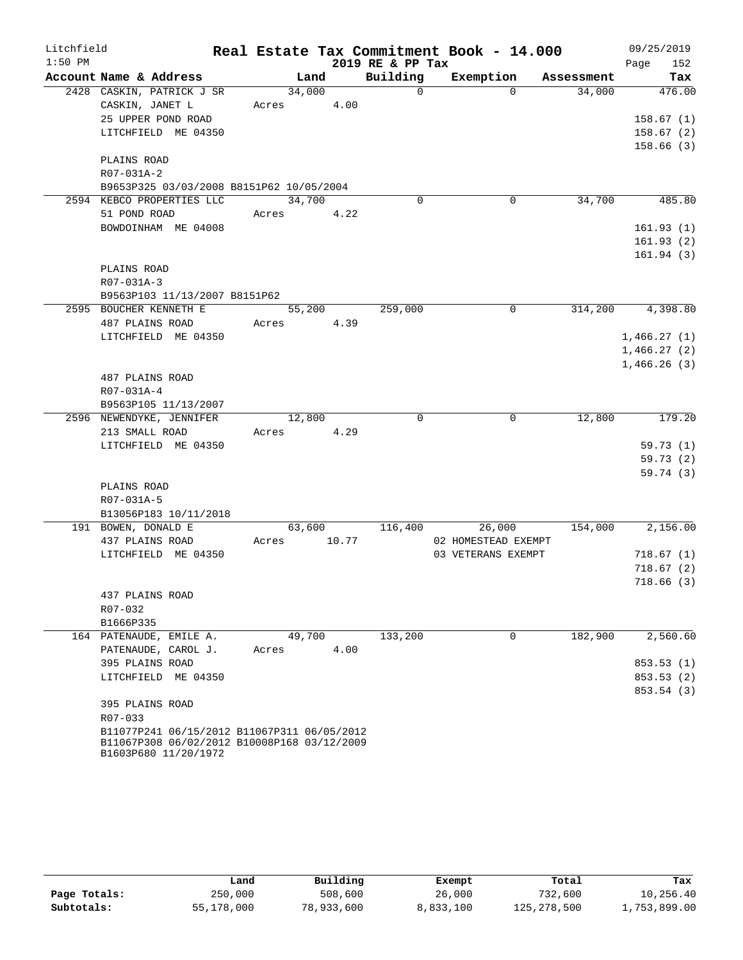| Litchfield |                                                                     |            |        |       |                  | Real Estate Tax Commitment Book - 14.000 |             |            | 09/25/2019  |
|------------|---------------------------------------------------------------------|------------|--------|-------|------------------|------------------------------------------|-------------|------------|-------------|
| $1:50$ PM  |                                                                     |            |        |       | 2019 RE & PP Tax |                                          |             |            | 152<br>Page |
|            | Account Name & Address                                              |            | Land   |       | Building         | Exemption                                |             | Assessment | Tax         |
|            | 2428 CASKIN, PATRICK J SR                                           |            | 34,000 |       | $\Omega$         |                                          | $\Omega$    | 34,000     | 476.00      |
|            | CASKIN, JANET L                                                     | Acres 4.00 |        |       |                  |                                          |             |            |             |
|            | 25 UPPER POND ROAD                                                  |            |        |       |                  |                                          |             |            | 158.67(1)   |
|            | LITCHFIELD ME 04350                                                 |            |        |       |                  |                                          |             |            | 158.67(2)   |
|            |                                                                     |            |        |       |                  |                                          |             |            | 158.66(3)   |
|            | PLAINS ROAD<br>R07-031A-2                                           |            |        |       |                  |                                          |             |            |             |
|            | B9653P325 03/03/2008 B8151P62 10/05/2004                            |            |        |       |                  |                                          |             |            |             |
|            | 2594 KEBCO PROPERTIES LLC                                           |            | 34,700 |       | $\Omega$         |                                          | 0           | 34,700     | 485.80      |
|            | 51 POND ROAD                                                        | Acres 4.22 |        |       |                  |                                          |             |            |             |
|            | BOWDOINHAM ME 04008                                                 |            |        |       |                  |                                          |             |            | 161.93(1)   |
|            |                                                                     |            |        |       |                  |                                          |             |            | 161.93(2)   |
|            |                                                                     |            |        |       |                  |                                          |             |            | 161.94(3)   |
|            | PLAINS ROAD                                                         |            |        |       |                  |                                          |             |            |             |
|            | R07-031A-3                                                          |            |        |       |                  |                                          |             |            |             |
|            | B9563P103 11/13/2007 B8151P62                                       |            |        |       |                  |                                          |             |            |             |
|            | 2595 BOUCHER KENNETH E                                              |            | 55,200 |       | 259,000          |                                          | 0           | 314,200    | 4,398.80    |
|            | 487 PLAINS ROAD                                                     | Acres      |        | 4.39  |                  |                                          |             |            |             |
|            | LITCHFIELD ME 04350                                                 |            |        |       |                  |                                          |             |            | 1,466.27(1) |
|            |                                                                     |            |        |       |                  |                                          |             |            | 1,466.27(2) |
|            |                                                                     |            |        |       |                  |                                          |             |            | 1,466.26(3) |
|            | 487 PLAINS ROAD                                                     |            |        |       |                  |                                          |             |            |             |
|            | R07-031A-4                                                          |            |        |       |                  |                                          |             |            |             |
|            | B9563P105 11/13/2007<br>2596 NEWENDYKE, JENNIFER                    |            | 12,800 |       | $\mathbf 0$      |                                          | 0           | 12,800     | 179.20      |
|            | 213 SMALL ROAD                                                      | Acres 4.29 |        |       |                  |                                          |             |            |             |
|            | LITCHFIELD ME 04350                                                 |            |        |       |                  |                                          |             |            | 59.73(1)    |
|            |                                                                     |            |        |       |                  |                                          |             |            | 59.73(2)    |
|            |                                                                     |            |        |       |                  |                                          |             |            | 59.74(3)    |
|            | PLAINS ROAD                                                         |            |        |       |                  |                                          |             |            |             |
|            | R07-031A-5                                                          |            |        |       |                  |                                          |             |            |             |
|            | B13056P183 10/11/2018                                               |            |        |       |                  |                                          |             |            |             |
|            | 191 BOWEN, DONALD E                                                 |            | 63,600 |       | 116,400          |                                          | 26,000      | 154,000    | 2,156.00    |
|            | 437 PLAINS ROAD                                                     | Acres      |        | 10.77 |                  | 02 HOMESTEAD EXEMPT                      |             |            |             |
|            | LITCHFIELD ME 04350                                                 |            |        |       |                  | 03 VETERANS EXEMPT                       |             |            | 718.67(1)   |
|            |                                                                     |            |        |       |                  |                                          |             |            | 718.67(2)   |
|            |                                                                     |            |        |       |                  |                                          |             |            | 718.66(3)   |
|            | 437 PLAINS ROAD                                                     |            |        |       |                  |                                          |             |            |             |
|            | R07-032<br>B1666P335                                                |            |        |       |                  |                                          |             |            |             |
|            | 164 PATENAUDE, EMILE A.                                             |            | 49,700 |       | 133,200          |                                          | $\mathbf 0$ | 182,900    | 2,560.60    |
|            | PATENAUDE, CAROL J.                                                 | Acres      |        | 4.00  |                  |                                          |             |            |             |
|            | 395 PLAINS ROAD                                                     |            |        |       |                  |                                          |             |            | 853.53(1)   |
|            | LITCHFIELD ME 04350                                                 |            |        |       |                  |                                          |             |            | 853.53(2)   |
|            |                                                                     |            |        |       |                  |                                          |             |            | 853.54 (3)  |
|            | 395 PLAINS ROAD                                                     |            |        |       |                  |                                          |             |            |             |
|            | R07-033                                                             |            |        |       |                  |                                          |             |            |             |
|            | B11077P241 06/15/2012 B11067P311 06/05/2012                         |            |        |       |                  |                                          |             |            |             |
|            | B11067P308 06/02/2012 B10008P168 03/12/2009<br>B1603P680 11/20/1972 |            |        |       |                  |                                          |             |            |             |
|            |                                                                     |            |        |       |                  |                                          |             |            |             |

|              | Land       | Building   | Exempt    | Total       | Tax          |
|--------------|------------|------------|-----------|-------------|--------------|
| Page Totals: | 250,000    | 508,600    | 26,000    | 732,600     | 10,256.40    |
| Subtotals:   | 55,178,000 | 78,933,600 | 8,833,100 | 125,278,500 | 1,753,899.00 |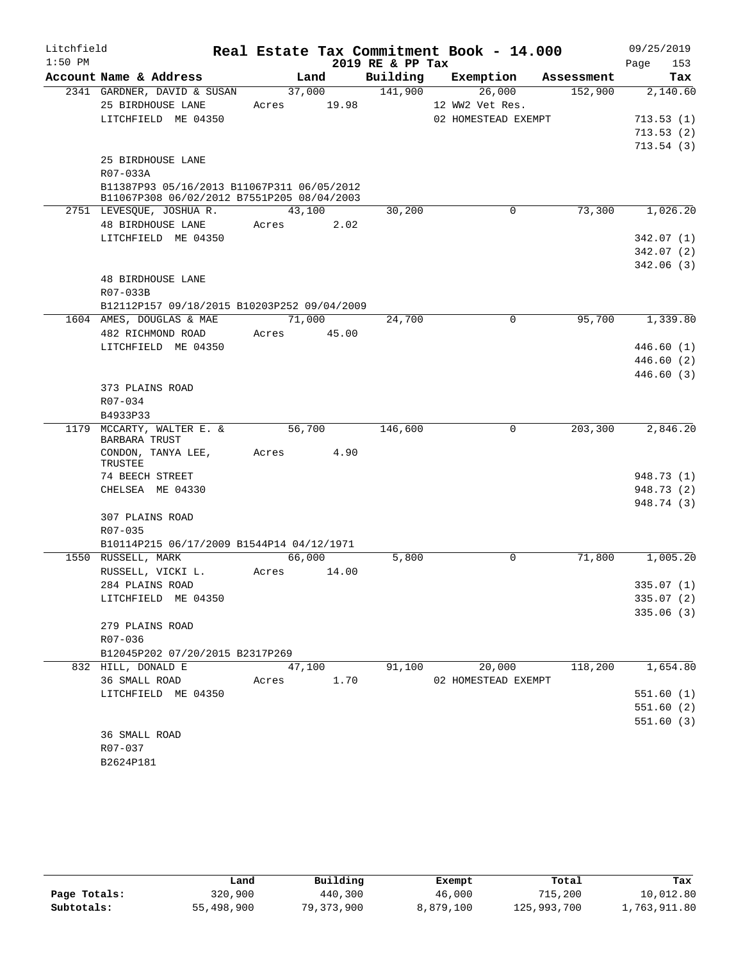| Litchfield |                                                                                          |             |        |                  | Real Estate Tax Commitment Book - 14.000 |            | 09/25/2019             |
|------------|------------------------------------------------------------------------------------------|-------------|--------|------------------|------------------------------------------|------------|------------------------|
| $1:50$ PM  |                                                                                          |             |        | 2019 RE & PP Tax |                                          |            | 153<br>Page            |
|            | Account Name & Address                                                                   |             | Land   | Building         | Exemption                                | Assessment | Tax                    |
|            | 2341 GARDNER, DAVID & SUSAN                                                              | 37,000      |        | 141,900          | 26,000                                   | 152,900    | 2,140.60               |
|            | 25 BIRDHOUSE LANE                                                                        | Acres 19.98 |        |                  | 12 WW2 Vet Res.                          |            |                        |
|            | LITCHFIELD ME 04350                                                                      |             |        |                  | 02 HOMESTEAD EXEMPT                      |            | 713.53(1)              |
|            |                                                                                          |             |        |                  |                                          |            | 713.53(2)<br>713.54(3) |
|            | 25 BIRDHOUSE LANE                                                                        |             |        |                  |                                          |            |                        |
|            | R07-033A                                                                                 |             |        |                  |                                          |            |                        |
|            | B11387P93 05/16/2013 B11067P311 06/05/2012<br>B11067P308 06/02/2012 B7551P205 08/04/2003 |             |        |                  |                                          |            |                        |
|            | 2751 LEVESQUE, JOSHUAR.                                                                  | 43,100      |        | 30,200           | 0                                        | 73,300     | 1,026.20               |
|            | 48 BIRDHOUSE LANE                                                                        | Acres       | 2.02   |                  |                                          |            |                        |
|            | LITCHFIELD ME 04350                                                                      |             |        |                  |                                          |            | 342.07(1)              |
|            |                                                                                          |             |        |                  |                                          |            | 342.07(2)              |
|            |                                                                                          |             |        |                  |                                          |            | 342.06(3)              |
|            | <b>48 BIRDHOUSE LANE</b>                                                                 |             |        |                  |                                          |            |                        |
|            | R07-033B                                                                                 |             |        |                  |                                          |            |                        |
|            | B12112P157 09/18/2015 B10203P252 09/04/2009                                              |             |        |                  |                                          |            |                        |
|            | 1604 AMES, DOUGLAS & MAE                                                                 | 71,000      |        | 24,700           | $\mathbf 0$                              | 95,700     | 1,339.80               |
|            | 482 RICHMOND ROAD                                                                        | Acres 45.00 |        |                  |                                          |            | 446.60(1)              |
|            | LITCHFIELD ME 04350                                                                      |             |        |                  |                                          |            | 446.60 (2)             |
|            |                                                                                          |             |        |                  |                                          |            | 446.60(3)              |
|            | 373 PLAINS ROAD                                                                          |             |        |                  |                                          |            |                        |
|            | R07-034                                                                                  |             |        |                  |                                          |            |                        |
|            | B4933P33                                                                                 |             |        |                  |                                          |            |                        |
|            | 1179 MCCARTY, WALTER E. &<br>BARBARA TRUST                                               | 56,700      |        | 146,600          | $\mathbf 0$                              | 203,300    | 2,846.20               |
|            | CONDON, TANYA LEE,<br>TRUSTEE                                                            | Acres       | 4.90   |                  |                                          |            |                        |
|            | 74 BEECH STREET                                                                          |             |        |                  |                                          |            | 948.73 (1)             |
|            | CHELSEA ME 04330                                                                         |             |        |                  |                                          |            | 948.73 (2)             |
|            |                                                                                          |             |        |                  |                                          |            | 948.74 (3)             |
|            | 307 PLAINS ROAD                                                                          |             |        |                  |                                          |            |                        |
|            | R07-035<br>B10114P215 06/17/2009 B1544P14 04/12/1971                                     |             |        |                  |                                          |            |                        |
|            | 1550 RUSSELL, MARK                                                                       | 66,000      |        | 5,800            | $\Omega$                                 | 71,800     | 1,005.20               |
|            | RUSSELL, VICKI L.                                                                        | Acres       | 14.00  |                  |                                          |            |                        |
|            | 284 PLAINS ROAD                                                                          |             |        |                  |                                          |            | 335.07 (1)             |
|            | LITCHFIELD ME 04350                                                                      |             |        |                  |                                          |            | 335.07(2)              |
|            |                                                                                          |             |        |                  |                                          |            | 335.06(3)              |
|            | 279 PLAINS ROAD                                                                          |             |        |                  |                                          |            |                        |
|            | R07-036                                                                                  |             |        |                  |                                          |            |                        |
|            | B12045P202 07/20/2015 B2317P269                                                          |             |        |                  |                                          |            |                        |
|            | 832 HILL, DONALD E                                                                       |             | 47,100 | 91,100           | 20,000                                   | 118,200    | 1,654.80               |
|            | 36 SMALL ROAD                                                                            | Acres 1.70  |        |                  | 02 HOMESTEAD EXEMPT                      |            |                        |
|            | LITCHFIELD ME 04350                                                                      |             |        |                  |                                          |            | 551.60(1)              |
|            |                                                                                          |             |        |                  |                                          |            | 551.60(2)              |
|            | <b>36 SMALL ROAD</b>                                                                     |             |        |                  |                                          |            | 551.60(3)              |
|            | R07-037                                                                                  |             |        |                  |                                          |            |                        |
|            | B2624P181                                                                                |             |        |                  |                                          |            |                        |

|              | Land       | Building   | Exempt    | Total       | Tax          |
|--------------|------------|------------|-----------|-------------|--------------|
| Page Totals: | 320,900    | 440,300    | 46,000    | 715,200     | 10,012.80    |
| Subtotals:   | 55,498,900 | 79,373,900 | 8,879,100 | 125,993,700 | 1,763,911.80 |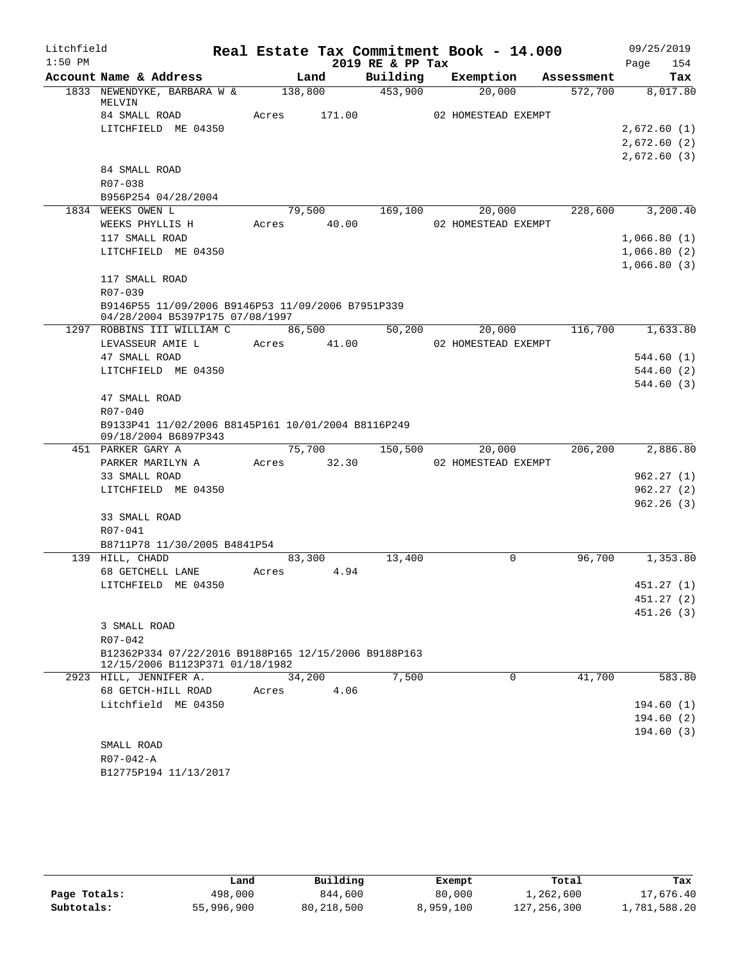| Litchfield |                                                                                         |             |        |                  | Real Estate Tax Commitment Book - 14.000 |            | 09/25/2019  |
|------------|-----------------------------------------------------------------------------------------|-------------|--------|------------------|------------------------------------------|------------|-------------|
| $1:50$ PM  |                                                                                         |             |        | 2019 RE & PP Tax |                                          |            | 154<br>Page |
|            | Account Name & Address                                                                  |             | Land   | Building         | Exemption                                | Assessment | Tax         |
|            | 1833 NEWENDYKE, BARBARA W &<br>MELVIN                                                   | 138,800     |        | 453,900          | 20,000                                   | 572,700    | 8,017.80    |
|            | 84 SMALL ROAD                                                                           | Acres       | 171.00 |                  | 02 HOMESTEAD EXEMPT                      |            |             |
|            | LITCHFIELD ME 04350                                                                     |             |        |                  |                                          |            | 2,672.60(1) |
|            |                                                                                         |             |        |                  |                                          |            | 2,672.60(2) |
|            |                                                                                         |             |        |                  |                                          |            | 2,672.60(3) |
|            | 84 SMALL ROAD                                                                           |             |        |                  |                                          |            |             |
|            | R07-038                                                                                 |             |        |                  |                                          |            |             |
|            | B956P254 04/28/2004                                                                     |             |        |                  |                                          |            |             |
|            | 1834 WEEKS OWEN L                                                                       | 79,500      |        | 169,100          | 20,000                                   | 228,600    | 3,200.40    |
|            | WEEKS PHYLLIS H                                                                         | Acres 40.00 |        |                  | 02 HOMESTEAD EXEMPT                      |            |             |
|            | 117 SMALL ROAD                                                                          |             |        |                  |                                          |            | 1,066.80(1) |
|            | LITCHFIELD ME 04350                                                                     |             |        |                  |                                          |            | 1,066.80(2) |
|            |                                                                                         |             |        |                  |                                          |            | 1,066.80(3) |
|            | 117 SMALL ROAD                                                                          |             |        |                  |                                          |            |             |
|            | R07-039                                                                                 |             |        |                  |                                          |            |             |
|            | B9146P55 11/09/2006 B9146P53 11/09/2006 B7951P339<br>04/28/2004 B5397P175 07/08/1997    |             |        |                  |                                          |            |             |
|            | 1297 ROBBINS III WILLIAM C                                                              | 86,500      |        | 50,200           | 20,000                                   | 116,700    | 1,633.80    |
|            | LEVASSEUR AMIE L                                                                        | Acres 41.00 |        |                  | 02 HOMESTEAD EXEMPT                      |            |             |
|            | 47 SMALL ROAD                                                                           |             |        |                  |                                          |            | 544.60 (1)  |
|            | LITCHFIELD ME 04350                                                                     |             |        |                  |                                          |            | 544.60 (2)  |
|            |                                                                                         |             |        |                  |                                          |            | 544.60(3)   |
|            | 47 SMALL ROAD                                                                           |             |        |                  |                                          |            |             |
|            | R07-040                                                                                 |             |        |                  |                                          |            |             |
|            | B9133P41 11/02/2006 B8145P161 10/01/2004 B8116P249<br>09/18/2004 B6897P343              |             |        |                  |                                          |            |             |
|            | 451 PARKER GARY A                                                                       |             | 75,700 | 150,500          | 20,000                                   | 206,200    | 2,886.80    |
|            | PARKER MARILYN A                                                                        | Acres 32.30 |        |                  | 02 HOMESTEAD EXEMPT                      |            |             |
|            | 33 SMALL ROAD                                                                           |             |        |                  |                                          |            | 962.27(1)   |
|            | LITCHFIELD ME 04350                                                                     |             |        |                  |                                          |            | 962.27(2)   |
|            | 33 SMALL ROAD                                                                           |             |        |                  |                                          |            | 962.26(3)   |
|            | R07-041                                                                                 |             |        |                  |                                          |            |             |
|            | B8711P78 11/30/2005 B4841P54                                                            |             |        |                  |                                          |            |             |
|            | 139 HILL, CHADD                                                                         | 83,300      |        | 13,400           | $\Omega$                                 | 96,700     | 1,353.80    |
|            | 68 GETCHELL LANE                                                                        | Acres       | 4.94   |                  |                                          |            |             |
|            | LITCHFIELD ME 04350                                                                     |             |        |                  |                                          |            | 451.27 (1)  |
|            |                                                                                         |             |        |                  |                                          |            | 451.27 (2)  |
|            |                                                                                         |             |        |                  |                                          |            | 451.26(3)   |
|            | 3 SMALL ROAD                                                                            |             |        |                  |                                          |            |             |
|            | R07-042                                                                                 |             |        |                  |                                          |            |             |
|            | B12362P334 07/22/2016 B9188P165 12/15/2006 B9188P163<br>12/15/2006 B1123P371 01/18/1982 |             |        |                  |                                          |            |             |
|            | 2923 HILL, JENNIFER A.                                                                  | 34,200      |        | 7,500            | 0                                        | 41,700     | 583.80      |
|            | 68 GETCH-HILL ROAD                                                                      | Acres       | 4.06   |                  |                                          |            |             |
|            | Litchfield ME 04350                                                                     |             |        |                  |                                          |            | 194.60(1)   |
|            |                                                                                         |             |        |                  |                                          |            | 194.60(2)   |
|            |                                                                                         |             |        |                  |                                          |            | 194.60(3)   |
|            | SMALL ROAD                                                                              |             |        |                  |                                          |            |             |
|            | R07-042-A                                                                               |             |        |                  |                                          |            |             |
|            | B12775P194 11/13/2017                                                                   |             |        |                  |                                          |            |             |

|              | Land       | Building     | Exempt    | Total         | Tax          |
|--------------|------------|--------------|-----------|---------------|--------------|
| Page Totals: | 498,000    | 844,600      | 80,000    | 1,262,600     | 17,676.40    |
| Subtotals:   | 55,996,900 | 80, 218, 500 | 8,959,100 | 127, 256, 300 | 1,781,588.20 |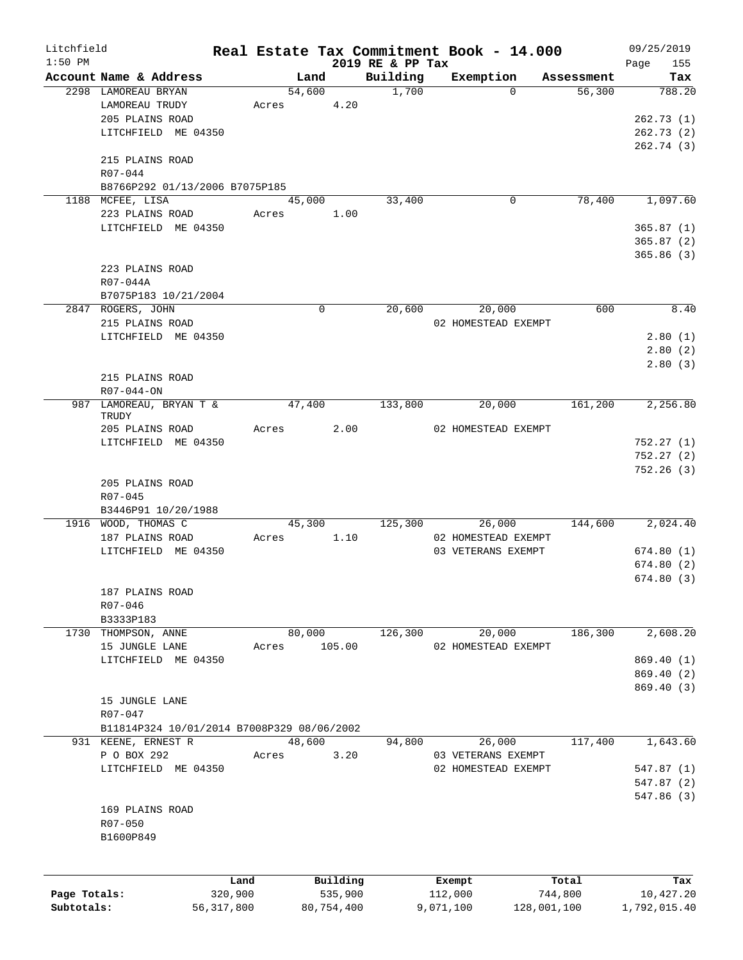| Litchfield   |                                            |              |             |                              | Real Estate Tax Commitment Book - 14.000 |             | 09/25/2019         |
|--------------|--------------------------------------------|--------------|-------------|------------------------------|------------------------------------------|-------------|--------------------|
| $1:50$ PM    | Account Name & Address                     |              | Land        | 2019 RE & PP Tax<br>Building | Exemption                                | Assessment  | 155<br>Page<br>Tax |
|              | 2298 LAMOREAU BRYAN                        |              | 54,600      | 1,700                        | $\Omega$                                 | 56,300      | 788.20             |
|              | LAMOREAU TRUDY                             | Acres        | 4.20        |                              |                                          |             |                    |
|              | 205 PLAINS ROAD                            |              |             |                              |                                          |             | 262.73(1)          |
|              | LITCHFIELD ME 04350                        |              |             |                              |                                          |             | 262.73(2)          |
|              |                                            |              |             |                              |                                          |             | 262.74 (3)         |
|              |                                            |              |             |                              |                                          |             |                    |
|              | 215 PLAINS ROAD                            |              |             |                              |                                          |             |                    |
|              | R07-044                                    |              |             |                              |                                          |             |                    |
|              | B8766P292 01/13/2006 B7075P185             |              |             |                              |                                          |             |                    |
|              | 1188 MCFEE, LISA                           |              | 45,000      | 33,400                       | 0                                        | 78,400      | 1,097.60           |
|              | 223 PLAINS ROAD                            | Acres        | 1.00        |                              |                                          |             |                    |
|              | LITCHFIELD ME 04350                        |              |             |                              |                                          |             | 365.87(1)          |
|              |                                            |              |             |                              |                                          |             | 365.87(2)          |
|              |                                            |              |             |                              |                                          |             | 365.86(3)          |
|              | 223 PLAINS ROAD                            |              |             |                              |                                          |             |                    |
|              | R07-044A                                   |              |             |                              |                                          |             |                    |
|              | B7075P183 10/21/2004                       |              |             |                              |                                          |             |                    |
|              | 2847 ROGERS, JOHN                          |              | $\mathbf 0$ | 20,600                       | 20,000                                   | 600         | 8.40               |
|              | 215 PLAINS ROAD                            |              |             |                              | 02 HOMESTEAD EXEMPT                      |             |                    |
|              | LITCHFIELD ME 04350                        |              |             |                              |                                          |             | 2.80(1)            |
|              |                                            |              |             |                              |                                          |             | 2.80(2)            |
|              |                                            |              |             |                              |                                          |             | 2.80(3)            |
|              | 215 PLAINS ROAD                            |              |             |                              |                                          |             |                    |
|              | $R07 - 044 - ON$                           |              |             |                              |                                          |             |                    |
|              |                                            |              | 47,400      |                              |                                          |             |                    |
| 987          | LAMOREAU, BRYAN T &<br>TRUDY               |              |             | 133,800                      | 20,000                                   | 161,200     | 2,256.80           |
|              | 205 PLAINS ROAD                            | Acres        | 2.00        |                              | 02 HOMESTEAD EXEMPT                      |             |                    |
|              | LITCHFIELD ME 04350                        |              |             |                              |                                          |             | 752.27(1)          |
|              |                                            |              |             |                              |                                          |             |                    |
|              |                                            |              |             |                              |                                          |             | 752.27(2)          |
|              |                                            |              |             |                              |                                          |             | 752.26(3)          |
|              | 205 PLAINS ROAD                            |              |             |                              |                                          |             |                    |
|              | R07-045                                    |              |             |                              |                                          |             |                    |
|              | B3446P91 10/20/1988                        |              |             |                              |                                          |             |                    |
|              | 1916 WOOD, THOMAS C                        |              | 45,300      | 125,300                      | 26,000                                   | 144,600     | 2,024.40           |
|              | 187 PLAINS ROAD                            | Acres        | 1.10        |                              | 02 HOMESTEAD EXEMPT                      |             |                    |
|              | LITCHFIELD ME 04350                        |              |             |                              | 03 VETERANS EXEMPT                       |             | 674.80(1)          |
|              |                                            |              |             |                              |                                          |             | 674.80(2)          |
|              |                                            |              |             |                              |                                          |             | 674.80 (3)         |
|              | 187 PLAINS ROAD                            |              |             |                              |                                          |             |                    |
|              | R07-046                                    |              |             |                              |                                          |             |                    |
|              | B3333P183                                  |              |             |                              |                                          |             |                    |
|              | 1730 THOMPSON, ANNE                        |              | 80,000      | 126,300                      | 20,000                                   | 186,300     | 2,608.20           |
|              | 15 JUNGLE LANE                             | Acres        | 105.00      |                              | 02 HOMESTEAD EXEMPT                      |             |                    |
|              | LITCHFIELD ME 04350                        |              |             |                              |                                          |             | 869.40 (1)         |
|              |                                            |              |             |                              |                                          |             | 869.40 (2)         |
|              |                                            |              |             |                              |                                          |             | 869.40(3)          |
|              |                                            |              |             |                              |                                          |             |                    |
|              | 15 JUNGLE LANE                             |              |             |                              |                                          |             |                    |
|              | $R07 - 047$                                |              |             |                              |                                          |             |                    |
|              | B11814P324 10/01/2014 B7008P329 08/06/2002 |              |             |                              |                                          |             |                    |
|              | 931 KEENE, ERNEST R                        |              | 48,600      | 94,800                       | 26,000                                   | 117,400     | 1,643.60           |
|              | P O BOX 292                                | Acres        | 3.20        |                              | 03 VETERANS EXEMPT                       |             |                    |
|              | LITCHFIELD ME 04350                        |              |             |                              | 02 HOMESTEAD EXEMPT                      |             | 547.87(1)          |
|              |                                            |              |             |                              |                                          |             | 547.87(2)          |
|              |                                            |              |             |                              |                                          |             | 547.86 (3)         |
|              | 169 PLAINS ROAD                            |              |             |                              |                                          |             |                    |
|              | R07-050                                    |              |             |                              |                                          |             |                    |
|              | B1600P849                                  |              |             |                              |                                          |             |                    |
|              |                                            |              |             |                              |                                          |             |                    |
|              |                                            | Land         | Building    |                              | Exempt                                   | Total       | Tax                |
| Page Totals: |                                            | 320,900      | 535,900     |                              | 112,000                                  | 744,800     | 10,427.20          |
| Subtotals:   |                                            | 56, 317, 800 | 80,754,400  |                              | 9,071,100                                | 128,001,100 | 1,792,015.40       |
|              |                                            |              |             |                              |                                          |             |                    |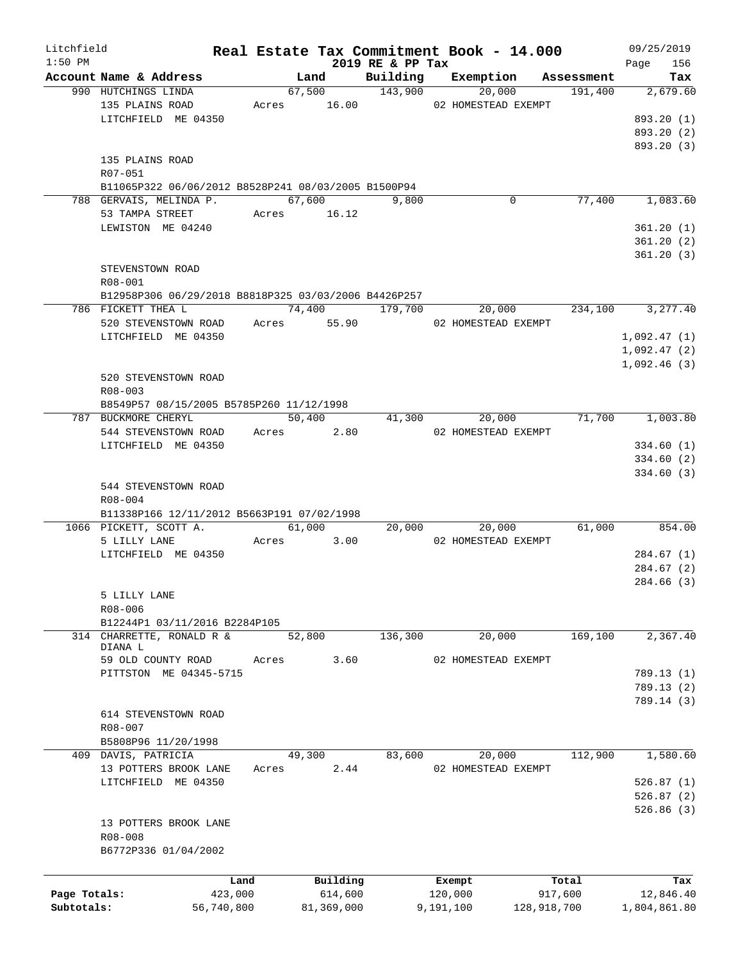| Litchfield   |                                                      |       |                |                     | Real Estate Tax Commitment Book - 14.000 |             | 09/25/2019         |
|--------------|------------------------------------------------------|-------|----------------|---------------------|------------------------------------------|-------------|--------------------|
| $1:50$ PM    | Account Name & Address                               |       | Land           | 2019 RE & PP Tax    | Building Exemption Assessment            |             | 156<br>Page<br>Tax |
|              | 990 HUTCHINGS LINDA                                  |       | 67,500         | $\frac{143,900}{ }$ | 20,000                                   | 191,400     | 2,679.60           |
|              | 135 PLAINS ROAD                                      |       |                |                     | Acres 16.00 02 HOMESTEAD EXEMPT          |             |                    |
|              | LITCHFIELD ME 04350                                  |       |                |                     |                                          |             | 893.20 (1)         |
|              |                                                      |       |                |                     |                                          |             |                    |
|              |                                                      |       |                |                     |                                          |             | 893.20 (2)         |
|              |                                                      |       |                |                     |                                          |             | 893.20 (3)         |
|              | 135 PLAINS ROAD                                      |       |                |                     |                                          |             |                    |
|              | R07-051                                              |       |                |                     |                                          |             |                    |
|              | B11065P322 06/06/2012 B8528P241 08/03/2005 B1500P94  |       |                |                     |                                          |             |                    |
|              | 788 GERVAIS, MELINDA P.                              |       | 67,600         | 9,800               | $\mathbf 0$                              | 77,400      | 1,083.60           |
|              | 53 TAMPA STREET                                      |       | Acres 16.12    |                     |                                          |             |                    |
|              | LEWISTON ME 04240                                    |       |                |                     |                                          |             | 361.20(1)          |
|              |                                                      |       |                |                     |                                          |             | 361.20(2)          |
|              |                                                      |       |                |                     |                                          |             | 361.20(3)          |
|              | STEVENSTOWN ROAD                                     |       |                |                     |                                          |             |                    |
|              | $R08 - 001$                                          |       |                |                     |                                          |             |                    |
|              | B12958P306 06/29/2018 B8818P325 03/03/2006 B4426P257 |       |                |                     |                                          |             |                    |
|              | 786 FICKETT THEA L                                   |       | 74,400 179,700 |                     | 20,000                                   | 234,100     | 3, 277.40          |
|              | 520 STEVENSTOWN ROAD Acres 55.90                     |       |                |                     | 02 HOMESTEAD EXEMPT                      |             |                    |
|              | LITCHFIELD ME 04350                                  |       |                |                     |                                          |             | 1,092.47(1)        |
|              |                                                      |       |                |                     |                                          |             | 1,092.47(2)        |
|              |                                                      |       |                |                     |                                          |             | 1,092.46(3)        |
|              | 520 STEVENSTOWN ROAD                                 |       |                |                     |                                          |             |                    |
|              | $R08 - 003$                                          |       |                |                     |                                          |             |                    |
|              |                                                      |       |                |                     |                                          |             |                    |
|              | B8549P57 08/15/2005 B5785P260 11/12/1998             |       | 50,400         |                     |                                          | 71,700      |                    |
|              | 787 BUCKMORE CHERYL                                  |       |                |                     | 20,000<br>41,300                         |             | 1,003.80           |
|              | 544 STEVENSTOWN ROAD Acres 2.80                      |       |                |                     | 02 HOMESTEAD EXEMPT                      |             |                    |
|              | LITCHFIELD ME 04350                                  |       |                |                     |                                          |             | 334.60(1)          |
|              |                                                      |       |                |                     |                                          |             | 334.60(2)          |
|              |                                                      |       |                |                     |                                          |             | 334.60(3)          |
|              | 544 STEVENSTOWN ROAD                                 |       |                |                     |                                          |             |                    |
|              | $R08 - 004$                                          |       |                |                     |                                          |             |                    |
|              | B11338P166 12/11/2012 B5663P191 07/02/1998           |       |                |                     |                                          |             |                    |
|              | 1066 PICKETT, SCOTT A.                               |       | 61,000         |                     | 20,000<br>20,000                         | 61,000      | 854.00             |
|              | 5 LILLY LANE                                         |       | 3.00<br>Acres  |                     | 02 HOMESTEAD EXEMPT                      |             |                    |
|              | LITCHFIELD ME 04350                                  |       |                |                     |                                          |             | 284.67(1)          |
|              |                                                      |       |                |                     |                                          |             | 284.67(2)          |
|              |                                                      |       |                |                     |                                          |             | 284.66 (3)         |
|              | 5 LILLY LANE                                         |       |                |                     |                                          |             |                    |
|              | R08-006                                              |       |                |                     |                                          |             |                    |
|              | B12244P1 03/11/2016 B2284P105                        |       |                |                     |                                          |             |                    |
|              | 314 CHARRETTE, RONALD R &                            |       | 52,800         | 136,300             | 20,000                                   | 169,100     | 2,367.40           |
|              | DIANA L                                              |       |                |                     |                                          |             |                    |
|              | 59 OLD COUNTY ROAD                                   | Acres | 3.60           |                     | 02 HOMESTEAD EXEMPT                      |             |                    |
|              | PITTSTON ME 04345-5715                               |       |                |                     |                                          |             | 789.13 (1)         |
|              |                                                      |       |                |                     |                                          |             | 789.13(2)          |
|              |                                                      |       |                |                     |                                          |             | 789.14 (3)         |
|              | 614 STEVENSTOWN ROAD                                 |       |                |                     |                                          |             |                    |
|              | R08-007                                              |       |                |                     |                                          |             |                    |
|              | B5808P96 11/20/1998                                  |       |                |                     |                                          |             |                    |
|              | 409 DAVIS, PATRICIA                                  |       | 49,300         | 83,600              | 20,000                                   | 112,900     | 1,580.60           |
|              | 13 POTTERS BROOK LANE                                | Acres | 2.44           |                     | 02 HOMESTEAD EXEMPT                      |             |                    |
|              | LITCHFIELD ME 04350                                  |       |                |                     |                                          |             | 526.87(1)          |
|              |                                                      |       |                |                     |                                          |             |                    |
|              |                                                      |       |                |                     |                                          |             | 526.87(2)          |
|              |                                                      |       |                |                     |                                          |             | 526.86(3)          |
|              | 13 POTTERS BROOK LANE                                |       |                |                     |                                          |             |                    |
|              | R08-008                                              |       |                |                     |                                          |             |                    |
|              | B6772P336 01/04/2002                                 |       |                |                     |                                          |             |                    |
|              |                                                      |       |                |                     |                                          |             |                    |
|              |                                                      | Land  | Building       |                     | Exempt                                   | Total       | Tax                |
| Page Totals: | 423,000                                              |       | 614,600        |                     | 120,000                                  | 917,600     | 12,846.40          |
| Subtotals:   | 56,740,800                                           |       | 81,369,000     |                     | 9,191,100                                | 128,918,700 | 1,804,861.80       |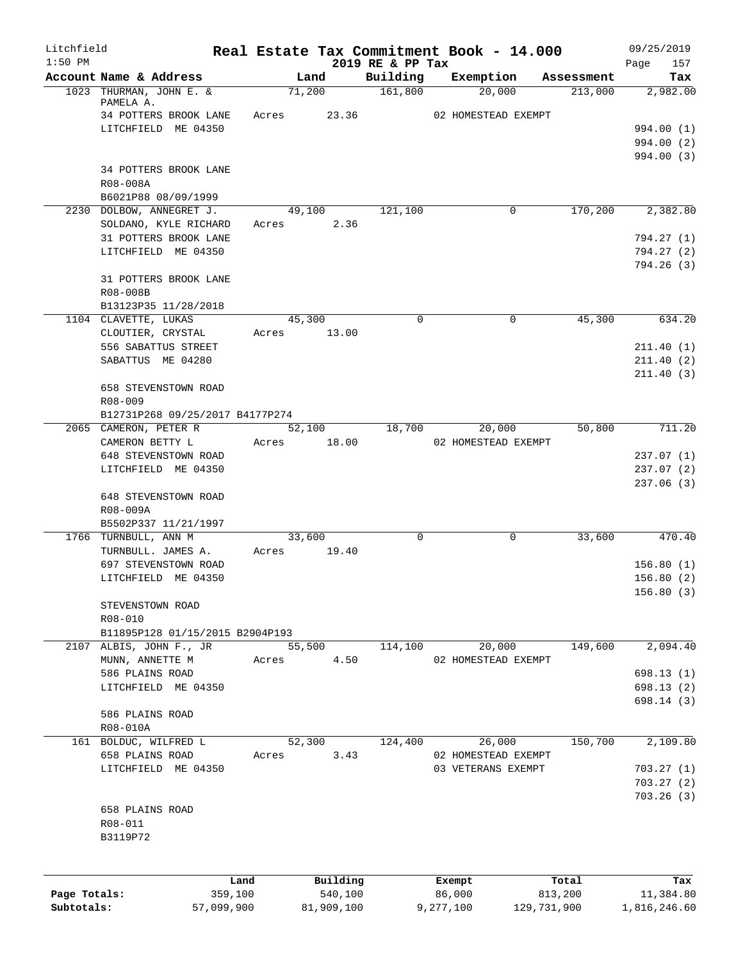| Litchfield<br>$1:50$ PM |                                                |            |                          |            |                              |           | Real Estate Tax Commitment Book - 14.000 |            | 09/25/2019         |
|-------------------------|------------------------------------------------|------------|--------------------------|------------|------------------------------|-----------|------------------------------------------|------------|--------------------|
|                         | Account Name & Address                         |            | Land                     |            | 2019 RE & PP Tax<br>Building |           | Exemption                                | Assessment | Page<br>157<br>Tax |
|                         | 1023 THURMAN, JOHN E. &                        |            | 71,200                   |            | 161,800                      |           | 20,000                                   | 213,000    | 2,982.00           |
|                         | PAMELA A.                                      |            |                          |            |                              |           |                                          |            |                    |
|                         | 34 POTTERS BROOK LANE<br>LITCHFIELD ME 04350   |            | 23.36<br>Acres           |            |                              |           | 02 HOMESTEAD EXEMPT                      |            | 994.00 (1)         |
|                         |                                                |            |                          |            |                              |           |                                          |            | 994.00 (2)         |
|                         |                                                |            |                          |            |                              |           |                                          |            | 994.00 (3)         |
|                         | 34 POTTERS BROOK LANE                          |            |                          |            |                              |           |                                          |            |                    |
|                         | R08-008A                                       |            |                          |            |                              |           |                                          |            |                    |
|                         | B6021P88 08/09/1999                            |            |                          |            |                              |           |                                          |            |                    |
|                         | 2230 DOLBOW, ANNEGRET J.                       |            | 49,100                   | 2.36       | 121,100                      |           | 0                                        | 170,200    | 2,382.80           |
|                         | SOLDANO, KYLE RICHARD<br>31 POTTERS BROOK LANE |            | Acres                    |            |                              |           |                                          |            | 794.27 (1)         |
|                         | LITCHFIELD ME 04350                            |            |                          |            |                              |           |                                          |            | 794.27(2)          |
|                         |                                                |            |                          |            |                              |           |                                          |            | 794.26(3)          |
|                         | 31 POTTERS BROOK LANE                          |            |                          |            |                              |           |                                          |            |                    |
|                         | R08-008B                                       |            |                          |            |                              |           |                                          |            |                    |
|                         | B13123P35 11/28/2018                           |            |                          |            |                              |           |                                          |            |                    |
|                         | 1104 CLAVETTE, LUKAS<br>CLOUTIER, CRYSTAL      |            | 45,300<br>13.00<br>Acres |            | $\Omega$                     |           | 0                                        | 45,300     | 634.20             |
|                         | 556 SABATTUS STREET                            |            |                          |            |                              |           |                                          |            | 211.40(1)          |
|                         | SABATTUS ME 04280                              |            |                          |            |                              |           |                                          |            | 211.40(2)          |
|                         |                                                |            |                          |            |                              |           |                                          |            | 211.40(3)          |
|                         | 658 STEVENSTOWN ROAD                           |            |                          |            |                              |           |                                          |            |                    |
|                         | R08-009                                        |            |                          |            |                              |           |                                          |            |                    |
|                         | B12731P268 09/25/2017 B4177P274                |            |                          |            |                              |           |                                          | 50,800     |                    |
|                         | 2065 CAMERON, PETER R<br>CAMERON BETTY L       |            | 52,100<br>Acres          | 18.00      | 18,700                       |           | 20,000<br>02 HOMESTEAD EXEMPT            |            | 711.20             |
|                         | 648 STEVENSTOWN ROAD                           |            |                          |            |                              |           |                                          |            | 237.07 (1)         |
|                         | LITCHFIELD ME 04350                            |            |                          |            |                              |           |                                          |            | 237.07 (2)         |
|                         |                                                |            |                          |            |                              |           |                                          |            | 237.06 (3)         |
|                         | 648 STEVENSTOWN ROAD                           |            |                          |            |                              |           |                                          |            |                    |
|                         | R08-009A                                       |            |                          |            |                              |           |                                          |            |                    |
|                         | B5502P337 11/21/1997<br>1766 TURNBULL, ANN M   |            | 33,600                   |            | $\mathbf 0$                  |           | 0                                        | 33,600     | 470.40             |
|                         | TURNBULL. JAMES A.                             |            | 19.40<br>Acres           |            |                              |           |                                          |            |                    |
|                         | 697 STEVENSTOWN ROAD                           |            |                          |            |                              |           |                                          |            | 156.80(1)          |
|                         | LITCHFIELD ME 04350                            |            |                          |            |                              |           |                                          |            | 156.80(2)          |
|                         |                                                |            |                          |            |                              |           |                                          |            | 156.80(3)          |
|                         | STEVENSTOWN ROAD                               |            |                          |            |                              |           |                                          |            |                    |
|                         | R08-010<br>B11895P128 01/15/2015 B2904P193     |            |                          |            |                              |           |                                          |            |                    |
|                         | 2107 ALBIS, JOHN F., JR                        |            | 55,500                   |            | 114,100                      |           | 20,000                                   | 149,600    | 2,094.40           |
|                         | MUNN, ANNETTE M                                |            | Acres                    | 4.50       |                              |           | 02 HOMESTEAD EXEMPT                      |            |                    |
|                         | 586 PLAINS ROAD                                |            |                          |            |                              |           |                                          |            | 698.13(1)          |
|                         | LITCHFIELD ME 04350                            |            |                          |            |                              |           |                                          |            | 698.13(2)          |
|                         |                                                |            |                          |            |                              |           |                                          |            | 698.14(3)          |
|                         | 586 PLAINS ROAD<br>R08-010A                    |            |                          |            |                              |           |                                          |            |                    |
|                         | 161 BOLDUC, WILFRED L                          |            | 52,300                   |            | 124,400                      |           | 26,000                                   | 150,700    | 2,109.80           |
|                         | 658 PLAINS ROAD                                |            | Acres                    | 3.43       |                              |           | 02 HOMESTEAD EXEMPT                      |            |                    |
|                         | LITCHFIELD ME 04350                            |            |                          |            |                              |           | 03 VETERANS EXEMPT                       |            | 703.27(1)          |
|                         |                                                |            |                          |            |                              |           |                                          |            | 703.27(2)          |
|                         |                                                |            |                          |            |                              |           |                                          |            | 703.26(3)          |
|                         | 658 PLAINS ROAD                                |            |                          |            |                              |           |                                          |            |                    |
|                         | R08-011<br>B3119P72                            |            |                          |            |                              |           |                                          |            |                    |
|                         |                                                |            |                          |            |                              |           |                                          |            |                    |
|                         |                                                | Land       |                          | Building   |                              | Exempt    |                                          | Total      | Tax                |
| Page Totals:            |                                                | 359,100    |                          | 540,100    |                              | 86,000    |                                          | 813,200    | 11,384.80          |
| Subtotals:              |                                                | 57,099,900 |                          | 81,909,100 |                              | 9,277,100 | 129,731,900                              |            | 1,816,246.60       |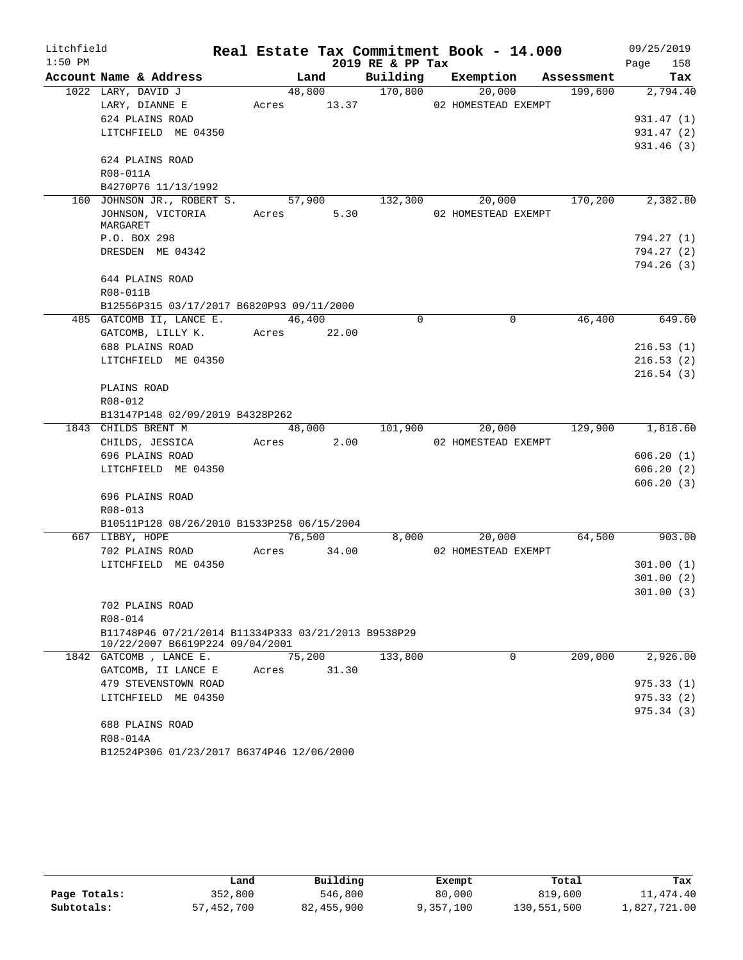| Litchfield |                                                                                        |       |        |             |                  | Real Estate Tax Commitment Book - 14.000 |            |      | 09/25/2019             |
|------------|----------------------------------------------------------------------------------------|-------|--------|-------------|------------------|------------------------------------------|------------|------|------------------------|
| $1:50$ PM  |                                                                                        |       |        |             | 2019 RE & PP Tax |                                          |            | Page | 158                    |
|            | Account Name & Address                                                                 |       | Land   |             | Building         | Exemption                                | Assessment |      | Tax                    |
|            | 1022 LARY, DAVID J                                                                     |       | 48,800 |             | 170,800          | 20,000                                   | 199,600    |      | 2,794.40               |
|            | LARY, DIANNE E                                                                         | Acres |        | 13.37       |                  | 02 HOMESTEAD EXEMPT                      |            |      |                        |
|            | 624 PLAINS ROAD                                                                        |       |        |             |                  |                                          |            |      | 931.47 (1)             |
|            | LITCHFIELD ME 04350                                                                    |       |        |             |                  |                                          |            |      | 931.47(2)              |
|            | 624 PLAINS ROAD                                                                        |       |        |             |                  |                                          |            |      | 931.46(3)              |
|            | R08-011A                                                                               |       |        |             |                  |                                          |            |      |                        |
|            | B4270P76 11/13/1992                                                                    |       |        |             |                  |                                          |            |      |                        |
|            | 160 JOHNSON JR., ROBERT S.                                                             |       | 57,900 |             | 132,300          | 20,000                                   | 170,200    |      | 2,382.80               |
|            | JOHNSON, VICTORIA<br>MARGARET                                                          | Acres |        | 5.30        |                  | 02 HOMESTEAD EXEMPT                      |            |      |                        |
|            | P.O. BOX 298                                                                           |       |        |             |                  |                                          |            |      | 794.27 (1)             |
|            | DRESDEN ME 04342                                                                       |       |        |             |                  |                                          |            |      | 794.27 (2)             |
|            |                                                                                        |       |        |             |                  |                                          |            |      | 794.26(3)              |
|            | 644 PLAINS ROAD                                                                        |       |        |             |                  |                                          |            |      |                        |
|            | R08-011B                                                                               |       |        |             |                  |                                          |            |      |                        |
|            | B12556P315 03/17/2017 B6820P93 09/11/2000                                              |       |        |             |                  |                                          |            |      |                        |
|            | 485 GATCOMB II, LANCE E.                                                               |       | 46,400 |             | $\mathbf 0$      | 0                                        | 46,400     |      | 649.60                 |
|            | GATCOMB, LILLY K.                                                                      |       |        | Acres 22.00 |                  |                                          |            |      |                        |
|            | 688 PLAINS ROAD                                                                        |       |        |             |                  |                                          |            |      | 216.53(1)              |
|            | LITCHFIELD ME 04350                                                                    |       |        |             |                  |                                          |            |      | 216.53(2)              |
|            |                                                                                        |       |        |             |                  |                                          |            |      | 216.54(3)              |
|            | PLAINS ROAD                                                                            |       |        |             |                  |                                          |            |      |                        |
|            | R08-012                                                                                |       |        |             |                  |                                          |            |      |                        |
|            | B13147P148 02/09/2019 B4328P262                                                        |       |        |             |                  |                                          |            |      |                        |
|            | 1843 CHILDS BRENT M                                                                    |       | 48,000 |             | 101,900          | 20,000                                   | 129,900    |      | 1,818.60               |
|            | CHILDS, JESSICA                                                                        | Acres |        | 2.00        |                  | 02 HOMESTEAD EXEMPT                      |            |      |                        |
|            | 696 PLAINS ROAD                                                                        |       |        |             |                  |                                          |            |      | 606.20(1)              |
|            | LITCHFIELD ME 04350                                                                    |       |        |             |                  |                                          |            |      | 606.20(2)<br>606.20(3) |
|            | 696 PLAINS ROAD                                                                        |       |        |             |                  |                                          |            |      |                        |
|            | R08-013                                                                                |       |        |             |                  |                                          |            |      |                        |
|            | B10511P128 08/26/2010 B1533P258 06/15/2004                                             |       |        |             |                  |                                          |            |      |                        |
|            | 667 LIBBY, HOPE                                                                        |       |        | 76,500      | 8,000            | 20,000                                   | 64,500     |      | 903.00                 |
|            | 702 PLAINS ROAD                                                                        | Acres |        | 34.00       |                  | 02 HOMESTEAD EXEMPT                      |            |      |                        |
|            | LITCHFIELD ME 04350                                                                    |       |        |             |                  |                                          |            |      | 301.00(1)              |
|            |                                                                                        |       |        |             |                  |                                          |            |      | 301.00(2)              |
|            |                                                                                        |       |        |             |                  |                                          |            |      | 301.00(3)              |
|            | 702 PLAINS ROAD                                                                        |       |        |             |                  |                                          |            |      |                        |
|            | R08-014                                                                                |       |        |             |                  |                                          |            |      |                        |
|            | B11748P46 07/21/2014 B11334P333 03/21/2013 B9538P29<br>10/22/2007 B6619P224 09/04/2001 |       |        |             |                  |                                          |            |      |                        |
|            | 1842 GATCOMB, LANCE E.                                                                 |       | 75,200 |             | 133,800          | 0                                        | 209,000    |      | 2,926.00               |
|            | GATCOMB, II LANCE E                                                                    | Acres |        | 31.30       |                  |                                          |            |      |                        |
|            | 479 STEVENSTOWN ROAD                                                                   |       |        |             |                  |                                          |            |      | 975.33(1)              |
|            | LITCHFIELD ME 04350                                                                    |       |        |             |                  |                                          |            |      | 975.33(2)              |
|            |                                                                                        |       |        |             |                  |                                          |            |      | 975.34(3)              |
|            | 688 PLAINS ROAD                                                                        |       |        |             |                  |                                          |            |      |                        |
|            | R08-014A                                                                               |       |        |             |                  |                                          |            |      |                        |
|            | B12524P306 01/23/2017 B6374P46 12/06/2000                                              |       |        |             |                  |                                          |            |      |                        |

|              | Land       | Building   | Exempt    | Total       | Tax          |
|--------------|------------|------------|-----------|-------------|--------------|
| Page Totals: | 352,800    | 546,800    | 80,000    | 819,600     | 11,474.40    |
| Subtotals:   | 57,452,700 | 82,455,900 | 9,357,100 | 130,551,500 | 1,827,721.00 |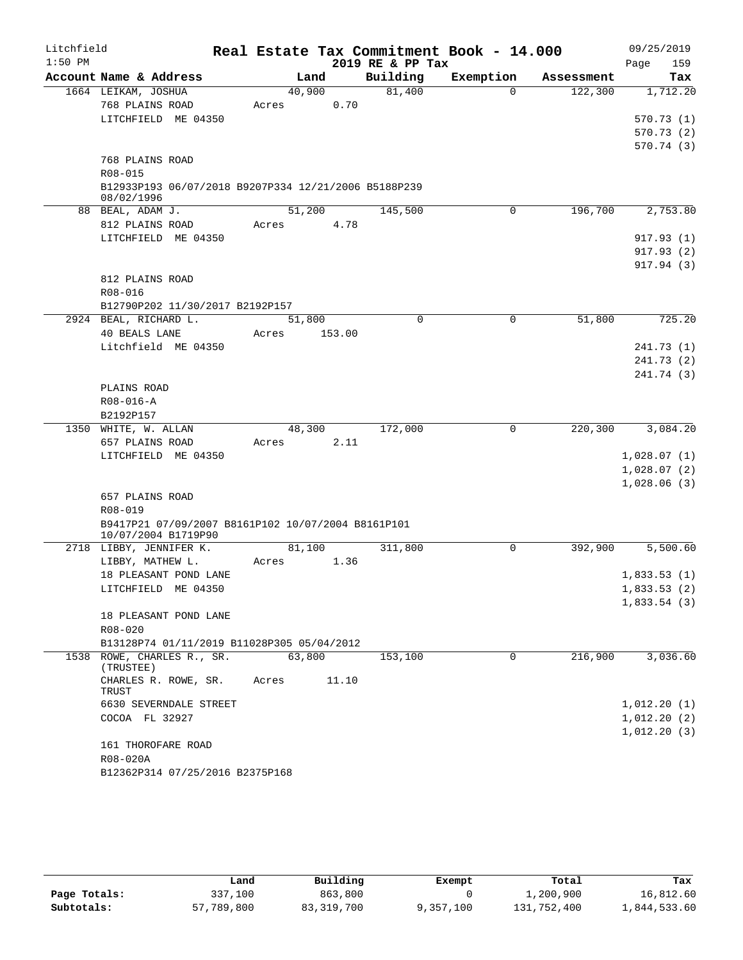| Litchfield |                                                      |        |        |                  | Real Estate Tax Commitment Book - 14.000 |            | 09/25/2019                 |
|------------|------------------------------------------------------|--------|--------|------------------|------------------------------------------|------------|----------------------------|
| $1:50$ PM  |                                                      |        |        | 2019 RE & PP Tax |                                          |            | 159<br>Page                |
|            | Account Name & Address                               | Land   |        | Building         | Exemption                                | Assessment | Tax                        |
|            | 1664 LEIKAM, JOSHUA                                  | 40,900 |        | 81,400           | $\Omega$                                 | 122,300    | 1,712.20                   |
|            | 768 PLAINS ROAD                                      | Acres  | 0.70   |                  |                                          |            |                            |
|            | LITCHFIELD ME 04350                                  |        |        |                  |                                          |            | 570.73(1)                  |
|            |                                                      |        |        |                  |                                          |            | 570.73(2)                  |
|            | 768 PLAINS ROAD                                      |        |        |                  |                                          |            | 570.74(3)                  |
|            | R08-015                                              |        |        |                  |                                          |            |                            |
|            | B12933P193 06/07/2018 B9207P334 12/21/2006 B5188P239 |        |        |                  |                                          |            |                            |
|            | 08/02/1996                                           |        |        |                  |                                          |            |                            |
|            | 88 BEAL, ADAM J.                                     | 51,200 |        | 145,500          | 0                                        | 196,700    | 2,753.80                   |
|            | 812 PLAINS ROAD                                      | Acres  | 4.78   |                  |                                          |            |                            |
|            | LITCHFIELD ME 04350                                  |        |        |                  |                                          |            | 917.93(1)                  |
|            |                                                      |        |        |                  |                                          |            | 917.93(2)                  |
|            |                                                      |        |        |                  |                                          |            | 917.94 (3)                 |
|            | 812 PLAINS ROAD                                      |        |        |                  |                                          |            |                            |
|            | R08-016                                              |        |        |                  |                                          |            |                            |
|            | B12790P202 11/30/2017 B2192P157                      |        |        |                  |                                          |            |                            |
|            | 2924 BEAL, RICHARD L.                                | 51,800 |        | $\mathbf 0$      | $\mathbf 0$                              | 51,800     | 725.20                     |
|            | 40 BEALS LANE                                        | Acres  | 153.00 |                  |                                          |            |                            |
|            | Litchfield ME 04350                                  |        |        |                  |                                          |            | 241.73(1)                  |
|            |                                                      |        |        |                  |                                          |            | 241.73 (2)                 |
|            |                                                      |        |        |                  |                                          |            | 241.74 (3)                 |
|            | PLAINS ROAD                                          |        |        |                  |                                          |            |                            |
|            | $R08 - 016 - A$                                      |        |        |                  |                                          |            |                            |
|            | B2192P157                                            |        |        |                  |                                          |            |                            |
|            | 1350 WHITE, W. ALLAN                                 | 48,300 |        | 172,000          | $\mathbf 0$                              | 220,300    | 3,084.20                   |
|            | 657 PLAINS ROAD                                      | Acres  | 2.11   |                  |                                          |            |                            |
|            | LITCHFIELD ME 04350                                  |        |        |                  |                                          |            | 1,028.07(1)                |
|            |                                                      |        |        |                  |                                          |            | 1,028.07(2)<br>1,028.06(3) |
|            | 657 PLAINS ROAD                                      |        |        |                  |                                          |            |                            |
|            | R08-019                                              |        |        |                  |                                          |            |                            |
|            | B9417P21 07/09/2007 B8161P102 10/07/2004 B8161P101   |        |        |                  |                                          |            |                            |
|            | 10/07/2004 B1719P90                                  |        |        |                  |                                          |            |                            |
|            | 2718 LIBBY, JENNIFER K.                              | 81,100 |        | 311,800          | 0                                        | 392,900    | 5,500.60                   |
|            | LIBBY, MATHEW L.                                     | Acres  | 1.36   |                  |                                          |            |                            |
|            | 18 PLEASANT POND LANE                                |        |        |                  |                                          |            | 1,833.53(1)                |
|            | LITCHFIELD ME 04350                                  |        |        |                  |                                          |            | 1,833.53(2)                |
|            |                                                      |        |        |                  |                                          |            | 1,833.54(3)                |
|            | 18 PLEASANT POND LANE                                |        |        |                  |                                          |            |                            |
|            | R08-020                                              |        |        |                  |                                          |            |                            |
|            | B13128P74 01/11/2019 B11028P305 05/04/2012           |        |        |                  |                                          |            |                            |
|            | 1538 ROWE, CHARLES R., SR.<br>(TRUSTEE)              | 63,800 |        | 153,100          | $\Omega$                                 | 216,900    | 3,036.60                   |
|            | CHARLES R. ROWE, SR.<br>TRUST                        | Acres  | 11.10  |                  |                                          |            |                            |
|            | 6630 SEVERNDALE STREET                               |        |        |                  |                                          |            | 1,012.20(1)                |
|            | COCOA FL 32927                                       |        |        |                  |                                          |            | 1,012.20(2)                |
|            |                                                      |        |        |                  |                                          |            | 1,012.20(3)                |
|            | 161 THOROFARE ROAD                                   |        |        |                  |                                          |            |                            |
|            | R08-020A                                             |        |        |                  |                                          |            |                            |
|            | B12362P314 07/25/2016 B2375P168                      |        |        |                  |                                          |            |                            |

|              | Land       | Building   | Exempt    | Total       | Tax          |
|--------------|------------|------------|-----------|-------------|--------------|
| Page Totals: | 337,100    | 863,800    |           | 1,200,900   | 16,812.60    |
| Subtotals:   | 57,789,800 | 83,319,700 | 9,357,100 | 131,752,400 | 1,844,533.60 |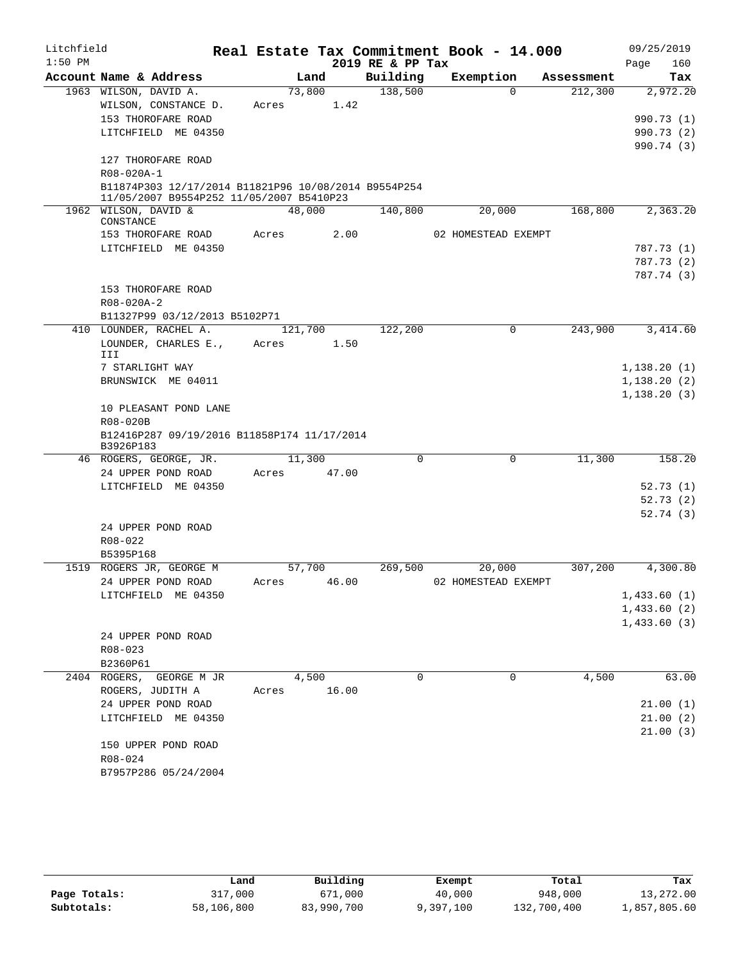| Litchfield |                                                                    |       |         |       | Real Estate Tax Commitment Book - 14.000 |                     |          |            | 09/25/2019   |
|------------|--------------------------------------------------------------------|-------|---------|-------|------------------------------------------|---------------------|----------|------------|--------------|
| $1:50$ PM  |                                                                    |       |         |       | 2019 RE & PP Tax                         |                     |          |            | Page<br>160  |
|            | Account Name & Address                                             |       | Land    |       | Building                                 | Exemption           |          | Assessment | Tax          |
|            | 1963 WILSON, DAVID A.                                              |       | 73,800  |       | 138,500                                  |                     | $\Omega$ | 212,300    | 2,972.20     |
|            | WILSON, CONSTANCE D.                                               | Acres |         | 1.42  |                                          |                     |          |            |              |
|            | 153 THOROFARE ROAD                                                 |       |         |       |                                          |                     |          |            | 990.73 (1)   |
|            | LITCHFIELD ME 04350                                                |       |         |       |                                          |                     |          |            | 990.73 (2)   |
|            |                                                                    |       |         |       |                                          |                     |          |            | 990.74 (3)   |
|            | 127 THOROFARE ROAD                                                 |       |         |       |                                          |                     |          |            |              |
|            | R08-020A-1<br>B11874P303 12/17/2014 B11821P96 10/08/2014 B9554P254 |       |         |       |                                          |                     |          |            |              |
|            | 11/05/2007 B9554P252 11/05/2007 B5410P23                           |       |         |       |                                          |                     |          |            |              |
|            | 1962 WILSON, DAVID &<br>CONSTANCE                                  |       | 48,000  |       | 140,800                                  |                     | 20,000   | 168,800    | 2,363.20     |
|            | 153 THOROFARE ROAD                                                 | Acres |         | 2.00  |                                          | 02 HOMESTEAD EXEMPT |          |            |              |
|            | LITCHFIELD ME 04350                                                |       |         |       |                                          |                     |          |            | 787.73 (1)   |
|            |                                                                    |       |         |       |                                          |                     |          |            | 787.73 (2)   |
|            |                                                                    |       |         |       |                                          |                     |          |            | 787.74 (3)   |
|            | 153 THOROFARE ROAD                                                 |       |         |       |                                          |                     |          |            |              |
|            | R08-020A-2                                                         |       |         |       |                                          |                     |          |            |              |
|            | B11327P99 03/12/2013 B5102P71                                      |       |         |       |                                          |                     |          |            |              |
|            | 410 LOUNDER, RACHEL A.                                             |       | 121,700 |       | 122,200                                  |                     | 0        | 243,900    | 3,414.60     |
|            | LOUNDER, CHARLES E.,                                               | Acres |         | 1.50  |                                          |                     |          |            |              |
|            | III                                                                |       |         |       |                                          |                     |          |            |              |
|            | 7 STARLIGHT WAY                                                    |       |         |       |                                          |                     |          |            | 1, 138.20(1) |
|            | BRUNSWICK ME 04011                                                 |       |         |       |                                          |                     |          |            | 1,138.20(2)  |
|            |                                                                    |       |         |       |                                          |                     |          |            | 1, 138.20(3) |
|            | 10 PLEASANT POND LANE                                              |       |         |       |                                          |                     |          |            |              |
|            | R08-020B                                                           |       |         |       |                                          |                     |          |            |              |
|            | B12416P287 09/19/2016 B11858P174 11/17/2014<br>B3926P183           |       |         |       |                                          |                     |          |            |              |
|            | 46 ROGERS, GEORGE, JR.                                             |       | 11,300  |       | $\Omega$                                 |                     | 0        | 11,300     | 158.20       |
|            | 24 UPPER POND ROAD                                                 | Acres |         | 47.00 |                                          |                     |          |            |              |
|            | LITCHFIELD ME 04350                                                |       |         |       |                                          |                     |          |            | 52.73(1)     |
|            |                                                                    |       |         |       |                                          |                     |          |            | 52.73(2)     |
|            |                                                                    |       |         |       |                                          |                     |          |            | 52.74(3)     |
|            | 24 UPPER POND ROAD                                                 |       |         |       |                                          |                     |          |            |              |
|            | $R08 - 022$                                                        |       |         |       |                                          |                     |          |            |              |
|            | B5395P168                                                          |       |         |       |                                          |                     |          |            |              |
|            | 1519 ROGERS JR, GEORGE M                                           |       | 57,700  |       | 269,500                                  |                     | 20,000   | 307,200    | 4,300.80     |
|            | 24 UPPER POND ROAD                                                 | Acres |         | 46.00 |                                          | 02 HOMESTEAD EXEMPT |          |            |              |
|            | LITCHFIELD ME 04350                                                |       |         |       |                                          |                     |          |            | 1,433.60(1)  |
|            |                                                                    |       |         |       |                                          |                     |          |            | 1,433.60(2)  |
|            |                                                                    |       |         |       |                                          |                     |          |            | 1,433.60(3)  |
|            | 24 UPPER POND ROAD                                                 |       |         |       |                                          |                     |          |            |              |
|            | R08-023                                                            |       |         |       |                                          |                     |          |            |              |
|            | B2360P61                                                           |       |         |       |                                          |                     |          |            |              |
|            | 2404 ROGERS, GEORGE M JR                                           |       | 4,500   |       | 0                                        |                     | 0        | 4,500      | 63.00        |
|            | ROGERS, JUDITH A                                                   | Acres |         | 16.00 |                                          |                     |          |            |              |
|            | 24 UPPER POND ROAD                                                 |       |         |       |                                          |                     |          |            | 21.00(1)     |
|            | LITCHFIELD ME 04350                                                |       |         |       |                                          |                     |          |            | 21.00(2)     |
|            |                                                                    |       |         |       |                                          |                     |          |            | 21.00(3)     |
|            | 150 UPPER POND ROAD                                                |       |         |       |                                          |                     |          |            |              |
|            | R08-024                                                            |       |         |       |                                          |                     |          |            |              |
|            | B7957P286 05/24/2004                                               |       |         |       |                                          |                     |          |            |              |

|              | Land       | Building   | Exempt    | Total       | Tax          |
|--------------|------------|------------|-----------|-------------|--------------|
| Page Totals: | 317,000    | 671,000    | 40,000    | 948,000     | 13,272.00    |
| Subtotals:   | 58,106,800 | 83,990,700 | 9,397,100 | 132,700,400 | 1,857,805.60 |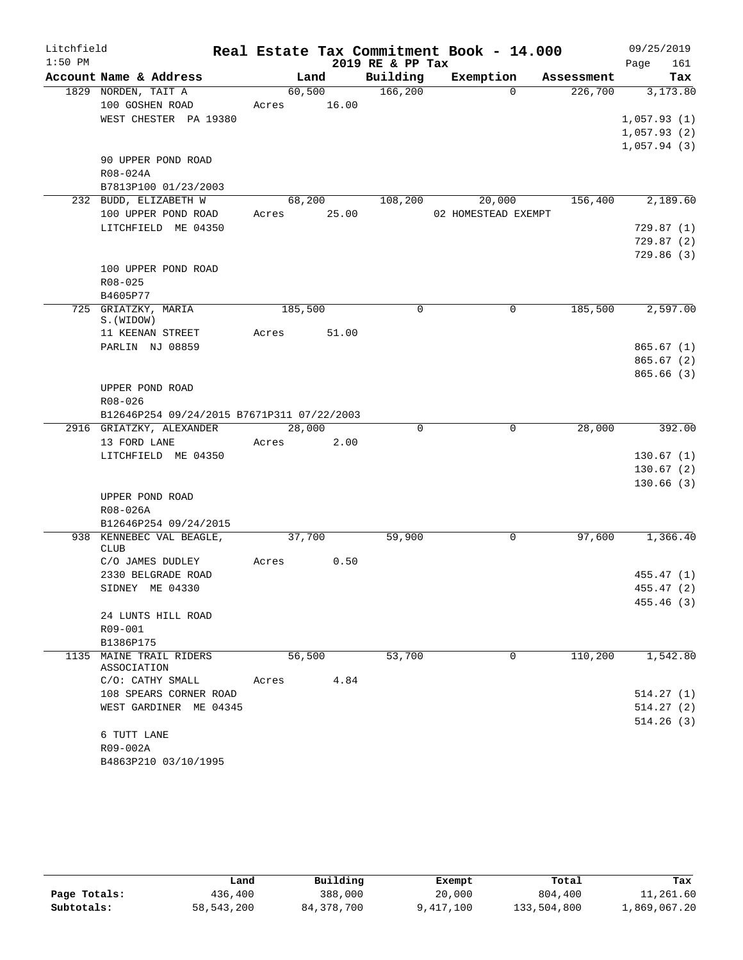| Litchfield |                                            |       |                 |             |                  | Real Estate Tax Commitment Book - 14.000 |                     | 09/25/2019                 |
|------------|--------------------------------------------|-------|-----------------|-------------|------------------|------------------------------------------|---------------------|----------------------------|
| $1:50$ PM  |                                            |       |                 |             | 2019 RE & PP Tax |                                          |                     | Page<br>161                |
|            | Account Name & Address                     |       |                 | Land        | Building         | Exemption                                | Assessment          | Tax                        |
|            | 1829 NORDEN, TAIT A                        |       |                 |             | 60,500 166,200   |                                          | $\Omega$<br>226,700 | 3,173.80                   |
|            | 100 GOSHEN ROAD                            |       |                 | Acres 16.00 |                  |                                          |                     |                            |
|            | WEST CHESTER PA 19380                      |       |                 |             |                  |                                          |                     | 1,057.93(1)                |
|            |                                            |       |                 |             |                  |                                          |                     | 1,057.93(2)<br>1,057.94(3) |
|            | 90 UPPER POND ROAD                         |       |                 |             |                  |                                          |                     |                            |
|            | R08-024A                                   |       |                 |             |                  |                                          |                     |                            |
|            | B7813P100 01/23/2003                       |       |                 |             |                  |                                          |                     |                            |
|            | 232 BUDD, ELIZABETH W                      |       |                 |             | 68,200 108,200   |                                          | 20,000<br>156,400   | 2,189.60                   |
|            | 100 UPPER POND ROAD                        |       |                 | Acres 25.00 |                  | 02 HOMESTEAD EXEMPT                      |                     |                            |
|            | LITCHFIELD ME 04350                        |       |                 |             |                  |                                          |                     | 729.87(1)                  |
|            |                                            |       |                 |             |                  |                                          |                     | 729.87(2)                  |
|            |                                            |       |                 |             |                  |                                          |                     | 729.86(3)                  |
|            | 100 UPPER POND ROAD                        |       |                 |             |                  |                                          |                     |                            |
|            | $R08 - 025$                                |       |                 |             |                  |                                          |                     |                            |
|            | B4605P77<br>725 GRIATZKY, MARIA            |       | 185,500         |             | $\Omega$         |                                          | 185,500<br>$\Omega$ | 2,597.00                   |
|            | S. (WIDOW)                                 |       |                 |             |                  |                                          |                     |                            |
|            | 11 KEENAN STREET                           | Acres |                 | 51.00       |                  |                                          |                     |                            |
|            | PARLIN NJ 08859                            |       |                 |             |                  |                                          |                     | 865.67(1)                  |
|            |                                            |       |                 |             |                  |                                          |                     | 865.67(2)                  |
|            |                                            |       |                 |             |                  |                                          |                     | 865.66(3)                  |
|            | UPPER POND ROAD                            |       |                 |             |                  |                                          |                     |                            |
|            | R08-026                                    |       |                 |             |                  |                                          |                     |                            |
|            | B12646P254 09/24/2015 B7671P311 07/22/2003 |       |                 |             |                  |                                          | 28,000              |                            |
|            | 2916 GRIATZKY, ALEXANDER<br>13 FORD LANE   |       | 28,000<br>Acres | 2.00        | $\Omega$         |                                          | 0                   | 392.00                     |
|            | LITCHFIELD ME 04350                        |       |                 |             |                  |                                          |                     | 130.67(1)                  |
|            |                                            |       |                 |             |                  |                                          |                     | 130.67(2)                  |
|            |                                            |       |                 |             |                  |                                          |                     | 130.66(3)                  |
|            | UPPER POND ROAD                            |       |                 |             |                  |                                          |                     |                            |
|            | R08-026A                                   |       |                 |             |                  |                                          |                     |                            |
|            | B12646P254 09/24/2015                      |       |                 |             |                  |                                          |                     |                            |
|            | 938 KENNEBEC VAL BEAGLE,                   |       | 37,700          |             | 59,900           |                                          | 0<br>97,600         | 1,366.40                   |
|            | <b>CLUB</b><br>C/O JAMES DUDLEY            | Acres |                 | 0.50        |                  |                                          |                     |                            |
|            | 2330 BELGRADE ROAD                         |       |                 |             |                  |                                          |                     | 455.47(1)                  |
|            | SIDNEY ME 04330                            |       |                 |             |                  |                                          |                     | 455.47 (2)                 |
|            |                                            |       |                 |             |                  |                                          |                     | 455.46(3)                  |
|            | 24 LUNTS HILL ROAD                         |       |                 |             |                  |                                          |                     |                            |
|            | R09-001                                    |       |                 |             |                  |                                          |                     |                            |
|            | B1386P175                                  |       |                 |             |                  |                                          |                     |                            |
|            | 1135 MAINE TRAIL RIDERS                    |       | 56,500          |             | 53,700           |                                          | 110,200<br>0        | 1,542.80                   |
|            | ASSOCIATION<br>C/O: CATHY SMALL            |       | Acres           | 4.84        |                  |                                          |                     |                            |
|            | 108 SPEARS CORNER ROAD                     |       |                 |             |                  |                                          |                     | 514.27(1)                  |
|            | WEST GARDINER ME 04345                     |       |                 |             |                  |                                          |                     | 514.27(2)                  |
|            |                                            |       |                 |             |                  |                                          |                     | 514.26(3)                  |
|            | 6 TUTT LANE                                |       |                 |             |                  |                                          |                     |                            |
|            | R09-002A                                   |       |                 |             |                  |                                          |                     |                            |
|            | B4863P210 03/10/1995                       |       |                 |             |                  |                                          |                     |                            |

|              | Land       | Building     | Exempt    | Total       | Tax          |
|--------------|------------|--------------|-----------|-------------|--------------|
| Page Totals: | 436,400    | 388,000      | 20,000    | 804,400     | 11,261.60    |
| Subtotals:   | 58,543,200 | 84, 378, 700 | 9,417,100 | 133,504,800 | 1,869,067.20 |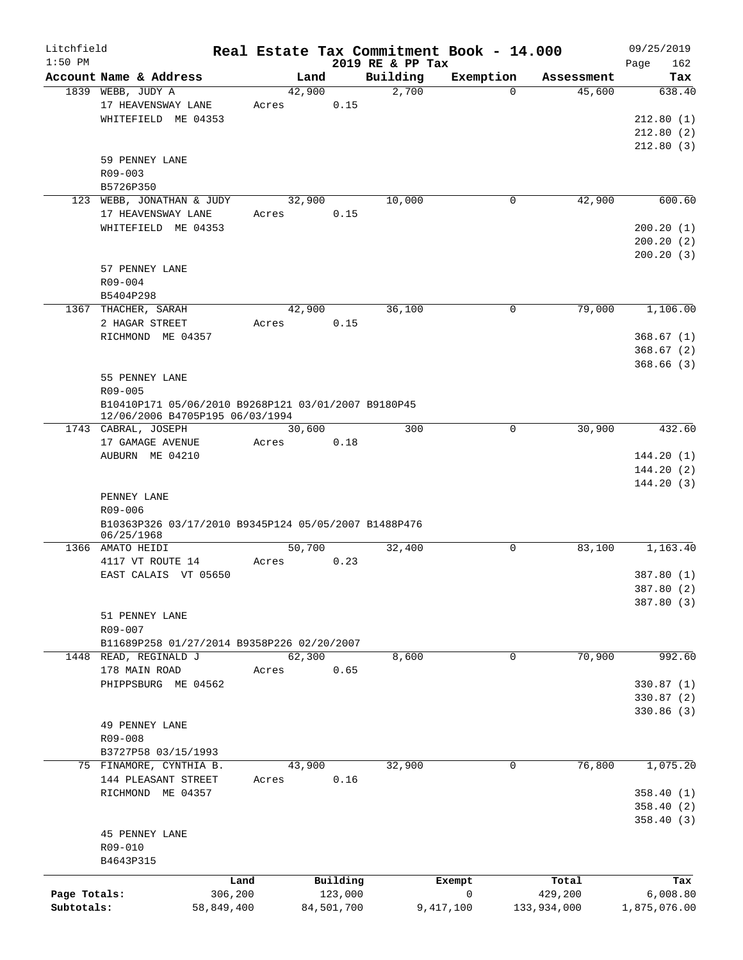| Litchfield   |                                                                    |            |       |        |            |                              | Real Estate Tax Commitment Book - 14.000 |             | 09/25/2019         |
|--------------|--------------------------------------------------------------------|------------|-------|--------|------------|------------------------------|------------------------------------------|-------------|--------------------|
| $1:50$ PM    | Account Name & Address                                             |            |       | Land   |            | 2019 RE & PP Tax<br>Building | Exemption                                | Assessment  | 162<br>Page<br>Tax |
|              | 1839 WEBB, JUDY A                                                  |            |       | 42,900 |            | 2,700                        | $\Omega$                                 | 45,600      | 638.40             |
|              | 17 HEAVENSWAY LANE                                                 |            | Acres |        | 0.15       |                              |                                          |             |                    |
|              | WHITEFIELD ME 04353                                                |            |       |        |            |                              |                                          |             | 212.80(1)          |
|              |                                                                    |            |       |        |            |                              |                                          |             | 212.80(2)          |
|              |                                                                    |            |       |        |            |                              |                                          |             | 212.80(3)          |
|              | 59 PENNEY LANE                                                     |            |       |        |            |                              |                                          |             |                    |
|              | R09-003                                                            |            |       |        |            |                              |                                          |             |                    |
|              | B5726P350                                                          |            |       |        |            |                              |                                          |             |                    |
|              | 123 WEBB, JONATHAN & JUDY                                          |            |       | 32,900 |            | 10,000                       | 0                                        | 42,900      | 600.60             |
|              | 17 HEAVENSWAY LANE                                                 |            | Acres |        | 0.15       |                              |                                          |             |                    |
|              | WHITEFIELD ME 04353                                                |            |       |        |            |                              |                                          |             | 200.20(1)          |
|              |                                                                    |            |       |        |            |                              |                                          |             | 200.20(2)          |
|              |                                                                    |            |       |        |            |                              |                                          |             | 200.20(3)          |
|              | 57 PENNEY LANE                                                     |            |       |        |            |                              |                                          |             |                    |
|              | R09-004                                                            |            |       |        |            |                              |                                          |             |                    |
|              | B5404P298                                                          |            |       |        |            |                              |                                          |             |                    |
|              | 1367 THACHER, SARAH                                                |            |       | 42,900 |            | 36,100                       |                                          | 0<br>79,000 | 1,106.00           |
|              | 2 HAGAR STREET                                                     |            | Acres |        | 0.15       |                              |                                          |             |                    |
|              | RICHMOND ME 04357                                                  |            |       |        |            |                              |                                          |             | 368.67(1)          |
|              |                                                                    |            |       |        |            |                              |                                          |             | 368.67(2)          |
|              |                                                                    |            |       |        |            |                              |                                          |             | 368.66(3)          |
|              | 55 PENNEY LANE                                                     |            |       |        |            |                              |                                          |             |                    |
|              | $R09 - 005$                                                        |            |       |        |            |                              |                                          |             |                    |
|              | B10410P171 05/06/2010 B9268P121 03/01/2007 B9180P45                |            |       |        |            |                              |                                          |             |                    |
|              | 12/06/2006 B4705P195 06/03/1994                                    |            |       |        |            |                              |                                          |             |                    |
|              | 1743 CABRAL, JOSEPH                                                |            |       | 30,600 |            | 300                          | $\mathbf 0$                              | 30,900      | 432.60             |
|              | 17 GAMAGE AVENUE                                                   |            | Acres |        | 0.18       |                              |                                          |             |                    |
|              | AUBURN ME 04210                                                    |            |       |        |            |                              |                                          |             | 144.20(1)          |
|              |                                                                    |            |       |        |            |                              |                                          |             | 144.20(2)          |
|              |                                                                    |            |       |        |            |                              |                                          |             | 144.20(3)          |
|              | PENNEY LANE                                                        |            |       |        |            |                              |                                          |             |                    |
|              | R09-006                                                            |            |       |        |            |                              |                                          |             |                    |
|              | B10363P326 03/17/2010 B9345P124 05/05/2007 B1488P476<br>06/25/1968 |            |       |        |            |                              |                                          |             |                    |
| 1366         | AMATO HEIDI                                                        |            |       | 50,700 |            | 32,400                       | 0                                        | 83,100      | 1,163.40           |
|              | 4117 VT ROUTE 14                                                   |            | Acres |        | 0.23       |                              |                                          |             |                    |
|              | EAST CALAIS VT 05650                                               |            |       |        |            |                              |                                          |             | 387.80 (1)         |
|              |                                                                    |            |       |        |            |                              |                                          |             | 387.80 (2)         |
|              |                                                                    |            |       |        |            |                              |                                          |             | 387.80 (3)         |
|              | 51 PENNEY LANE                                                     |            |       |        |            |                              |                                          |             |                    |
|              | R09-007                                                            |            |       |        |            |                              |                                          |             |                    |
|              | B11689P258 01/27/2014 B9358P226 02/20/2007                         |            |       |        |            |                              |                                          |             |                    |
|              | 1448 READ, REGINALD J                                              |            |       | 62,300 |            | 8,600                        | $\mathbf 0$                              | 70,900      | 992.60             |
|              | 178 MAIN ROAD                                                      |            | Acres |        | 0.65       |                              |                                          |             |                    |
|              | PHIPPSBURG ME 04562                                                |            |       |        |            |                              |                                          |             | 330.87(1)          |
|              |                                                                    |            |       |        |            |                              |                                          |             | 330.87 (2)         |
|              |                                                                    |            |       |        |            |                              |                                          |             | 330.86 (3)         |
|              | 49 PENNEY LANE                                                     |            |       |        |            |                              |                                          |             |                    |
|              | R09-008                                                            |            |       |        |            |                              |                                          |             |                    |
|              | B3727P58 03/15/1993                                                |            |       |        |            |                              |                                          |             |                    |
|              | 75 FINAMORE, CYNTHIA B.                                            |            |       | 43,900 |            | 32,900                       |                                          | 0<br>76,800 | 1,075.20           |
|              | 144 PLEASANT STREET                                                |            | Acres |        | 0.16       |                              |                                          |             |                    |
|              | RICHMOND ME 04357                                                  |            |       |        |            |                              |                                          |             | 358.40(1)          |
|              |                                                                    |            |       |        |            |                              |                                          |             | 358.40(2)          |
|              |                                                                    |            |       |        |            |                              |                                          |             | 358.40(3)          |
|              | 45 PENNEY LANE                                                     |            |       |        |            |                              |                                          |             |                    |
|              | R09-010                                                            |            |       |        |            |                              |                                          |             |                    |
|              | B4643P315                                                          |            |       |        |            |                              |                                          |             |                    |
|              |                                                                    | Land       |       |        | Building   |                              | Exempt                                   | Total       | Tax                |
| Page Totals: |                                                                    | 306,200    |       |        | 123,000    |                              | 0                                        | 429,200     | 6,008.80           |
| Subtotals:   |                                                                    | 58,849,400 |       |        | 84,501,700 |                              | 9,417,100                                | 133,934,000 | 1,875,076.00       |
|              |                                                                    |            |       |        |            |                              |                                          |             |                    |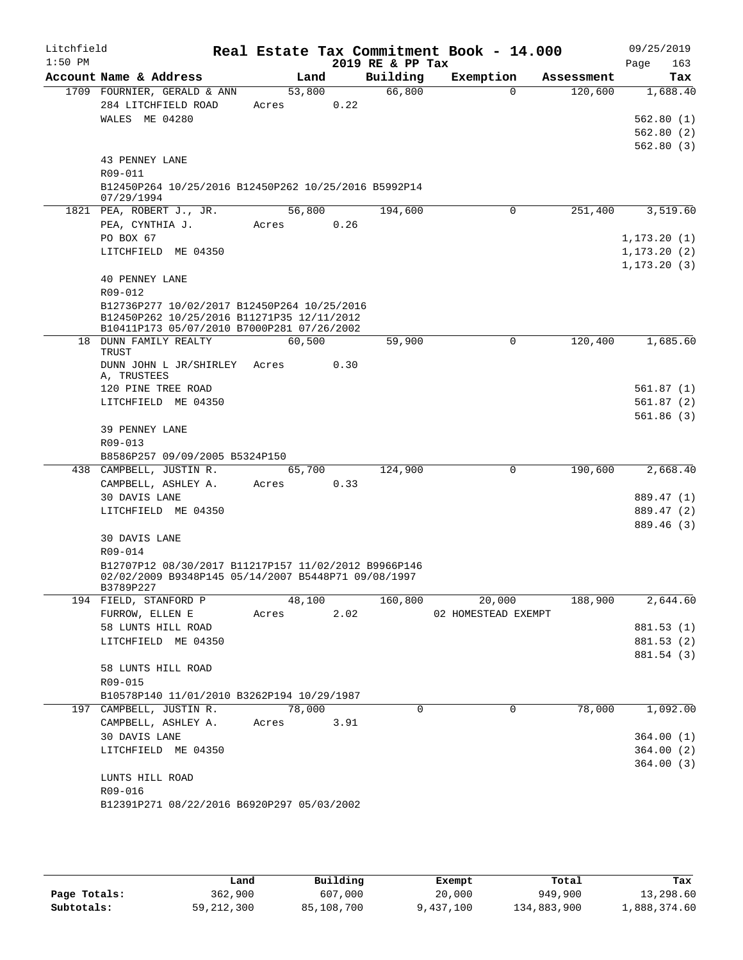| Litchfield<br>$1:50$ PM |                                                      |                 |      | 2019 RE & PP Tax | Real Estate Tax Commitment Book - 14.000 |            | 09/25/2019<br>163<br>Page |
|-------------------------|------------------------------------------------------|-----------------|------|------------------|------------------------------------------|------------|---------------------------|
|                         | Account Name & Address                               |                 | Land | Building         | Exemption                                | Assessment | Tax                       |
|                         | 1709 FOURNIER, GERALD & ANN                          | 53,800          |      | 66,800           | $\Omega$                                 | 120,600    | 1,688.40                  |
|                         | 284 LITCHFIELD ROAD                                  | Acres           | 0.22 |                  |                                          |            |                           |
|                         | WALES ME 04280                                       |                 |      |                  |                                          |            | 562.80(1)                 |
|                         |                                                      |                 |      |                  |                                          |            | 562.80(2)                 |
|                         |                                                      |                 |      |                  |                                          |            | 562.80(3)                 |
|                         | 43 PENNEY LANE                                       |                 |      |                  |                                          |            |                           |
|                         | R09-011                                              |                 |      |                  |                                          |            |                           |
|                         | B12450P264 10/25/2016 B12450P262 10/25/2016 B5992P14 |                 |      |                  |                                          |            |                           |
|                         | 07/29/1994<br>1821 PEA, ROBERT J., JR.               | 56,800          |      | 194,600          | 0                                        | 251,400    | 3,519.60                  |
|                         | PEA, CYNTHIA J.                                      | Acres           | 0.26 |                  |                                          |            |                           |
|                         | PO BOX 67                                            |                 |      |                  |                                          |            | 1, 173.20(1)              |
|                         | LITCHFIELD ME 04350                                  |                 |      |                  |                                          |            | 1, 173.20(2)              |
|                         |                                                      |                 |      |                  |                                          |            | 1, 173.20(3)              |
|                         | <b>40 PENNEY LANE</b>                                |                 |      |                  |                                          |            |                           |
|                         | R09-012                                              |                 |      |                  |                                          |            |                           |
|                         | B12736P277 10/02/2017 B12450P264 10/25/2016          |                 |      |                  |                                          |            |                           |
|                         | B12450P262 10/25/2016 B11271P35 12/11/2012           |                 |      |                  |                                          |            |                           |
|                         | B10411P173 05/07/2010 B7000P281 07/26/2002           |                 |      |                  |                                          |            |                           |
|                         | 18 DUNN FAMILY REALTY<br>TRUST                       | 60,500          |      | 59,900           | 0                                        | 120,400    | 1,685.60                  |
|                         | DUNN JOHN L JR/SHIRLEY Acres                         |                 | 0.30 |                  |                                          |            |                           |
|                         | A, TRUSTEES                                          |                 |      |                  |                                          |            |                           |
|                         | 120 PINE TREE ROAD                                   |                 |      |                  |                                          |            | 561.87 (1)                |
|                         | LITCHFIELD ME 04350                                  |                 |      |                  |                                          |            | 561.87 (2)                |
|                         |                                                      |                 |      |                  |                                          |            | 561.86(3)                 |
|                         | 39 PENNEY LANE                                       |                 |      |                  |                                          |            |                           |
|                         | R09-013                                              |                 |      |                  |                                          |            |                           |
|                         | B8586P257 09/09/2005 B5324P150                       |                 |      |                  | $\Omega$                                 | 190,600    |                           |
|                         | 438 CAMPBELL, JUSTIN R.<br>CAMPBELL, ASHLEY A.       | 65,700<br>Acres | 0.33 | 124,900          |                                          |            | 2,668.40                  |
|                         | 30 DAVIS LANE                                        |                 |      |                  |                                          |            | 889.47 (1)                |
|                         | LITCHFIELD ME 04350                                  |                 |      |                  |                                          |            | 889.47 (2)                |
|                         |                                                      |                 |      |                  |                                          |            | 889.46 (3)                |
|                         | <b>30 DAVIS LANE</b>                                 |                 |      |                  |                                          |            |                           |
|                         | R09-014                                              |                 |      |                  |                                          |            |                           |
|                         | B12707P12 08/30/2017 B11217P157 11/02/2012 B9966P146 |                 |      |                  |                                          |            |                           |
|                         | 02/02/2009 B9348P145 05/14/2007 B5448P71 09/08/1997  |                 |      |                  |                                          |            |                           |
|                         | B3789P227<br>194 FIELD, STANFORD P                   | 48,100          |      | 160,800          | 20,000                                   | 188,900    | 2,644.60                  |
|                         | FURROW, ELLEN E                                      | Acres           | 2.02 |                  | 02 HOMESTEAD EXEMPT                      |            |                           |
|                         | 58 LUNTS HILL ROAD                                   |                 |      |                  |                                          |            | 881.53 (1)                |
|                         | LITCHFIELD ME 04350                                  |                 |      |                  |                                          |            | 881.53 (2)                |
|                         |                                                      |                 |      |                  |                                          |            | 881.54 (3)                |
|                         | 58 LUNTS HILL ROAD                                   |                 |      |                  |                                          |            |                           |
|                         | R09-015                                              |                 |      |                  |                                          |            |                           |
|                         | B10578P140 11/01/2010 B3262P194 10/29/1987           |                 |      |                  |                                          |            |                           |
|                         | 197 CAMPBELL, JUSTIN R.                              | 78,000          |      | $\Omega$         | $\Omega$                                 | 78,000     | 1,092.00                  |
|                         | CAMPBELL, ASHLEY A.                                  | Acres           | 3.91 |                  |                                          |            |                           |
|                         | 30 DAVIS LANE                                        |                 |      |                  |                                          |            | 364.00(1)                 |
|                         | LITCHFIELD ME 04350                                  |                 |      |                  |                                          |            | 364.00(2)                 |
|                         |                                                      |                 |      |                  |                                          |            | 364.00(3)                 |
|                         | LUNTS HILL ROAD                                      |                 |      |                  |                                          |            |                           |
|                         | R09-016                                              |                 |      |                  |                                          |            |                           |
|                         | B12391P271 08/22/2016 B6920P297 05/03/2002           |                 |      |                  |                                          |            |                           |
|                         |                                                      |                 |      |                  |                                          |            |                           |

|              | Land         | Building   | Exempt    | Total       | Tax          |
|--------------|--------------|------------|-----------|-------------|--------------|
| Page Totals: | 362,900      | 607,000    | 20,000    | 949,900     | 13,298.60    |
| Subtotals:   | 59, 212, 300 | 85,108,700 | 9,437,100 | 134,883,900 | 1,888,374.60 |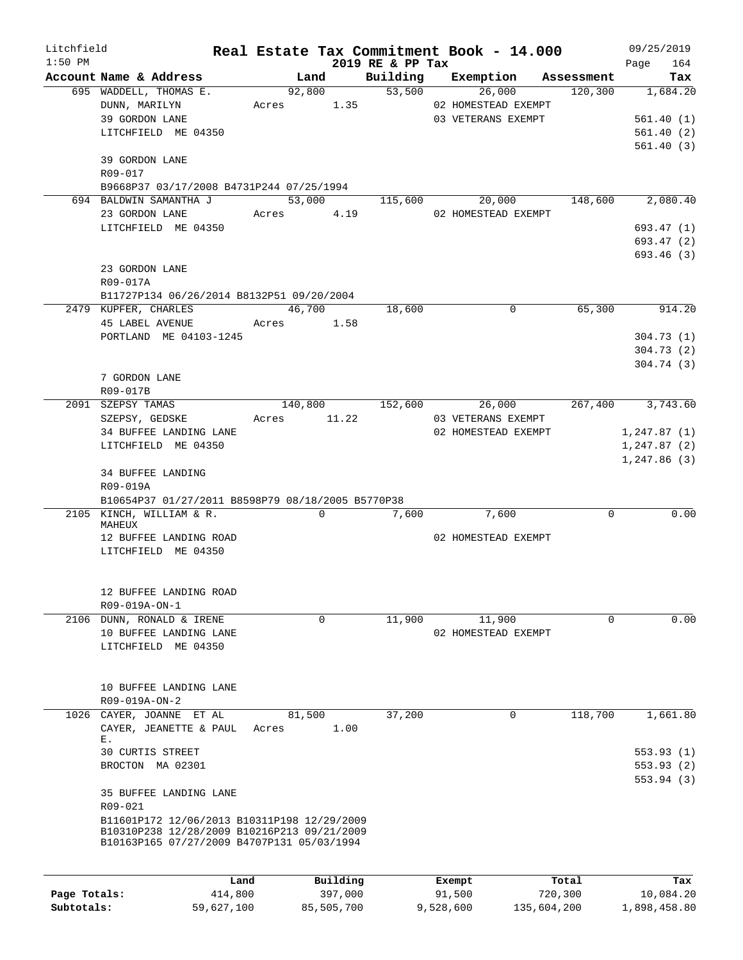| Litchfield<br>$1:50$ PM |                                                                                                                                          |             |          | 2019 RE & PP Tax | Real Estate Tax Commitment Book - 14.000                                                              |          | 09/25/2019<br>164<br>Page                               |
|-------------------------|------------------------------------------------------------------------------------------------------------------------------------------|-------------|----------|------------------|-------------------------------------------------------------------------------------------------------|----------|---------------------------------------------------------|
|                         | Account Name & Address                                                                                                                   |             |          |                  | Land Building Exemption Assessment                                                                    |          | Tax                                                     |
|                         | 695 WADDELL, THOMAS E.<br>DUNN, MARILYN<br>39 GORDON LANE<br>LITCHFIELD ME 04350<br>39 GORDON LANE                                       | Acres 1.35  |          |                  | $\frac{1}{92,800}$ $\frac{1}{53,500}$ $\frac{1}{26,000}$<br>02 HOMESTEAD EXEMPT<br>03 VETERANS EXEMPT |          | 120,300 1,684.20<br>561.40(1)<br>561.40(2)<br>561.40(3) |
|                         | R09-017<br>B9668P37 03/17/2008 B4731P244 07/25/1994                                                                                      |             |          |                  |                                                                                                       |          |                                                         |
|                         | 694 BALDWIN SAMANTHA J                                                                                                                   |             |          |                  | $53,000$ 115,600 20,000 148,600 2,080.40                                                              |          |                                                         |
|                         | 23 GORDON LANE Acres 4.19                                                                                                                |             |          |                  | 02 HOMESTEAD EXEMPT                                                                                   |          |                                                         |
|                         | LITCHFIELD ME 04350                                                                                                                      |             |          |                  |                                                                                                       |          | 693.47(1)                                               |
|                         |                                                                                                                                          |             |          |                  |                                                                                                       |          | 693.47 (2)                                              |
|                         |                                                                                                                                          |             |          |                  |                                                                                                       |          | 693.46(3)                                               |
|                         | 23 GORDON LANE<br>R09-017A                                                                                                               |             |          |                  |                                                                                                       |          |                                                         |
|                         | B11727P134 06/26/2014 B8132P51 09/20/2004                                                                                                |             |          |                  |                                                                                                       |          |                                                         |
|                         | 2479 KUPFER, CHARLES                                                                                                                     | 46,700      |          | 18,600           | 0                                                                                                     | 65,300   | 914.20                                                  |
|                         | 45 LABEL AVENUE Acres 1.58                                                                                                               |             |          |                  |                                                                                                       |          |                                                         |
|                         | PORTLAND ME 04103-1245                                                                                                                   |             |          |                  |                                                                                                       |          | 304.73(1)                                               |
|                         |                                                                                                                                          |             |          |                  |                                                                                                       |          | 304.73(2)                                               |
|                         |                                                                                                                                          |             |          |                  |                                                                                                       |          | 304.74(3)                                               |
|                         | 7 GORDON LANE                                                                                                                            |             |          |                  |                                                                                                       |          |                                                         |
|                         | R09-017B                                                                                                                                 |             |          |                  |                                                                                                       |          |                                                         |
|                         | 2091 SZEPSY TAMAS                                                                                                                        |             |          |                  | $140,800$ $152,600$ $26,000$ $267,400$ $3,743.60$                                                     |          |                                                         |
|                         | SZEPSY, GEDSKE                                                                                                                           | Acres 11.22 |          |                  | 03 VETERANS EXEMPT                                                                                    |          |                                                         |
|                         | 34 BUFFEE LANDING LANE                                                                                                                   |             |          |                  | 02 HOMESTEAD EXEMPT                                                                                   |          | 1, 247.87(1)                                            |
|                         | LITCHFIELD ME 04350                                                                                                                      |             |          |                  |                                                                                                       |          | 1, 247.87(2)                                            |
|                         |                                                                                                                                          |             |          |                  |                                                                                                       |          | 1,247.86(3)                                             |
|                         | 34 BUFFEE LANDING<br>R09-019A<br>B10654P37 01/27/2011 B8598P79 08/18/2005 B5770P38                                                       |             |          |                  |                                                                                                       |          |                                                         |
|                         | 2105 KINCH, WILLIAM & R.                                                                                                                 |             | $\Omega$ | 7,600            | 7,600                                                                                                 | $\Omega$ | 0.00                                                    |
|                         | MAHEUX<br>12 BUFFEE LANDING ROAD<br>LITCHFIELD ME 04350                                                                                  |             |          |                  | 02 HOMESTEAD EXEMPT                                                                                   |          |                                                         |
|                         | 12 BUFFEE LANDING ROAD<br>R09-019A-ON-1                                                                                                  |             |          |                  |                                                                                                       |          |                                                         |
|                         | 2106 DUNN, RONALD & IRENE                                                                                                                |             | 0        | 11,900           | 11,900                                                                                                | 0        | 0.00                                                    |
|                         | 10 BUFFEE LANDING LANE                                                                                                                   |             |          |                  | 02 HOMESTEAD EXEMPT                                                                                   |          |                                                         |
|                         | LITCHFIELD ME 04350<br>10 BUFFEE LANDING LANE<br>R09-019A-ON-2                                                                           |             |          |                  |                                                                                                       |          |                                                         |
| 1026                    | CAYER, JOANNE ET AL                                                                                                                      | 81,500      |          | 37,200           | 0                                                                                                     | 118,700  | 1,661.80                                                |
|                         | CAYER, JEANETTE & PAUL                                                                                                                   | Acres       | 1.00     |                  |                                                                                                       |          |                                                         |
|                         | Е.<br>30 CURTIS STREET                                                                                                                   |             |          |                  |                                                                                                       |          | 553.93(1)                                               |
|                         | BROCTON MA 02301                                                                                                                         |             |          |                  |                                                                                                       |          | 553.93(2)                                               |
|                         | 35 BUFFEE LANDING LANE                                                                                                                   |             |          |                  |                                                                                                       |          | 553.94(3)                                               |
|                         | R09-021                                                                                                                                  |             |          |                  |                                                                                                       |          |                                                         |
|                         | B11601P172 12/06/2013 B10311P198 12/29/2009<br>B10310P238 12/28/2009 B10216P213 09/21/2009<br>B10163P165 07/27/2009 B4707P131 05/03/1994 |             |          |                  |                                                                                                       |          |                                                         |
|                         |                                                                                                                                          |             |          |                  |                                                                                                       |          |                                                         |
|                         | Land                                                                                                                                     |             | Building |                  | Exempt                                                                                                | Total    | Tax                                                     |
| Page Totals:            | 414,800                                                                                                                                  |             | 397,000  |                  | 91,500                                                                                                | 720,300  | 10,084.20                                               |

**Subtotals:** 59,627,100 85,505,700 9,528,600 135,604,200 1,898,458.80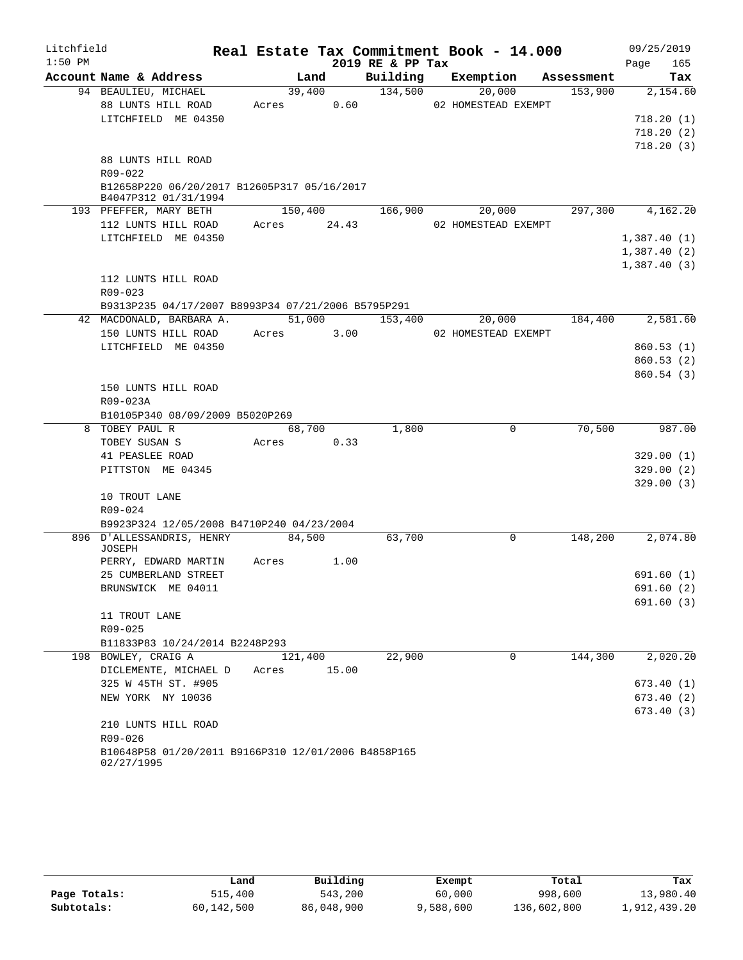| Litchfield |                                                                     |            |       |                  | Real Estate Tax Commitment Book - 14.000          |         | 09/25/2019             |
|------------|---------------------------------------------------------------------|------------|-------|------------------|---------------------------------------------------|---------|------------------------|
| $1:50$ PM  |                                                                     |            |       | 2019 RE & PP Tax |                                                   |         | 165<br>Page            |
|            | Account Name & Address                                              |            | Land  |                  | Building Exemption Assessment                     |         | Tax                    |
|            | 94 BEAULIEU, MICHAEL                                                |            |       | 39,400 134,500   | 20,000                                            |         | 153,900 2,154.60       |
|            | 88 LUNTS HILL ROAD                                                  | Acres 0.60 |       |                  | 02 HOMESTEAD EXEMPT                               |         |                        |
|            | LITCHFIELD ME 04350                                                 |            |       |                  |                                                   |         | 718.20(1)              |
|            |                                                                     |            |       |                  |                                                   |         | 718.20(2)              |
|            |                                                                     |            |       |                  |                                                   |         | 718.20(3)              |
|            | 88 LUNTS HILL ROAD                                                  |            |       |                  |                                                   |         |                        |
|            | R09-022                                                             |            |       |                  |                                                   |         |                        |
|            | B12658P220 06/20/2017 B12605P317 05/16/2017<br>B4047P312 01/31/1994 |            |       |                  |                                                   |         |                        |
|            | 193 PFEFFER, MARY BETH                                              |            |       |                  | $150,400$ $166,900$ $20,000$ $297,300$ $4,162.20$ |         |                        |
|            | 112 LUNTS HILL ROAD Acres 24.43                                     |            |       |                  | 02 HOMESTEAD EXEMPT                               |         |                        |
|            | LITCHFIELD ME 04350                                                 |            |       |                  |                                                   |         | 1,387.40(1)            |
|            |                                                                     |            |       |                  |                                                   |         | 1,387.40(2)            |
|            |                                                                     |            |       |                  |                                                   |         | 1,387.40(3)            |
|            | 112 LUNTS HILL ROAD                                                 |            |       |                  |                                                   |         |                        |
|            | R09-023                                                             |            |       |                  |                                                   |         |                        |
|            | B9313P235 04/17/2007 B8993P34 07/21/2006 B5795P291                  |            |       |                  |                                                   |         |                        |
|            | 42 MACDONALD, BARBARA A. 51,000 153,400 20,000 184,400 2,581.60     |            |       |                  |                                                   |         |                        |
|            | 150 LUNTS HILL ROAD                                                 | Acres 3.00 |       |                  | 02 HOMESTEAD EXEMPT                               |         |                        |
|            | LITCHFIELD ME 04350                                                 |            |       |                  |                                                   |         | 860.53(1)              |
|            |                                                                     |            |       |                  |                                                   |         | 860.53(2)              |
|            |                                                                     |            |       |                  |                                                   |         | 860.54(3)              |
|            | 150 LUNTS HILL ROAD                                                 |            |       |                  |                                                   |         |                        |
|            | R09-023A                                                            |            |       |                  |                                                   |         |                        |
|            | B10105P340 08/09/2009 B5020P269                                     |            |       |                  |                                                   |         |                        |
|            | 8 TOBEY PAUL R                                                      | 68,700     |       | 1,800            | $\mathbf 0$                                       | 70,500  | 987.00                 |
|            | TOBEY SUSAN S                                                       | Acres 0.33 |       |                  |                                                   |         |                        |
|            | 41 PEASLEE ROAD                                                     |            |       |                  |                                                   |         | 329.00(1)              |
|            | PITTSTON ME 04345                                                   |            |       |                  |                                                   |         | 329.00(2)<br>329.00(3) |
|            | 10 TROUT LANE                                                       |            |       |                  |                                                   |         |                        |
|            | R09-024                                                             |            |       |                  |                                                   |         |                        |
|            | B9923P324 12/05/2008 B4710P240 04/23/2004                           |            |       |                  |                                                   |         |                        |
|            | 896 D'ALLESSANDRIS, HENRY 84,500                                    |            |       | 63,700           | $\overline{0}$                                    | 148,200 | 2,074.80               |
|            | JOSEPH                                                              |            |       |                  |                                                   |         |                        |
|            | PERRY, EDWARD MARTIN Acres 1.00                                     |            |       |                  |                                                   |         |                        |
|            | 25 CUMBERLAND STREET                                                |            |       |                  |                                                   |         | 691.60(1)              |
|            | BRUNSWICK ME 04011                                                  |            |       |                  |                                                   |         | 691.60(2)              |
|            |                                                                     |            |       |                  |                                                   |         | 691.60 (3)             |
|            | 11 TROUT LANE                                                       |            |       |                  |                                                   |         |                        |
|            | R09-025                                                             |            |       |                  |                                                   |         |                        |
|            | B11833P83 10/24/2014 B2248P293                                      |            |       |                  |                                                   |         |                        |
|            | 198 BOWLEY, CRAIG A                                                 | 121,400    |       | 22,900           | 0                                                 | 144,300 | 2,020.20               |
|            | DICLEMENTE, MICHAEL D                                               | Acres      | 15.00 |                  |                                                   |         |                        |
|            | 325 W 45TH ST. #905<br>NEW YORK NY 10036                            |            |       |                  |                                                   |         | 673.40(1)              |
|            |                                                                     |            |       |                  |                                                   |         | 673.40(2)<br>673.40(3) |
|            | 210 LUNTS HILL ROAD                                                 |            |       |                  |                                                   |         |                        |
|            | R09-026                                                             |            |       |                  |                                                   |         |                        |
|            | B10648P58 01/20/2011 B9166P310 12/01/2006 B4858P165                 |            |       |                  |                                                   |         |                        |
|            | 02/27/1995                                                          |            |       |                  |                                                   |         |                        |

|              | Land       | Building   | Exempt    | Total       | Tax          |
|--------------|------------|------------|-----------|-------------|--------------|
| Page Totals: | 515,400    | 543,200    | 60,000    | 998,600     | 13,980.40    |
| Subtotals:   | 60,142,500 | 86,048,900 | 9,588,600 | 136,602,800 | 1,912,439.20 |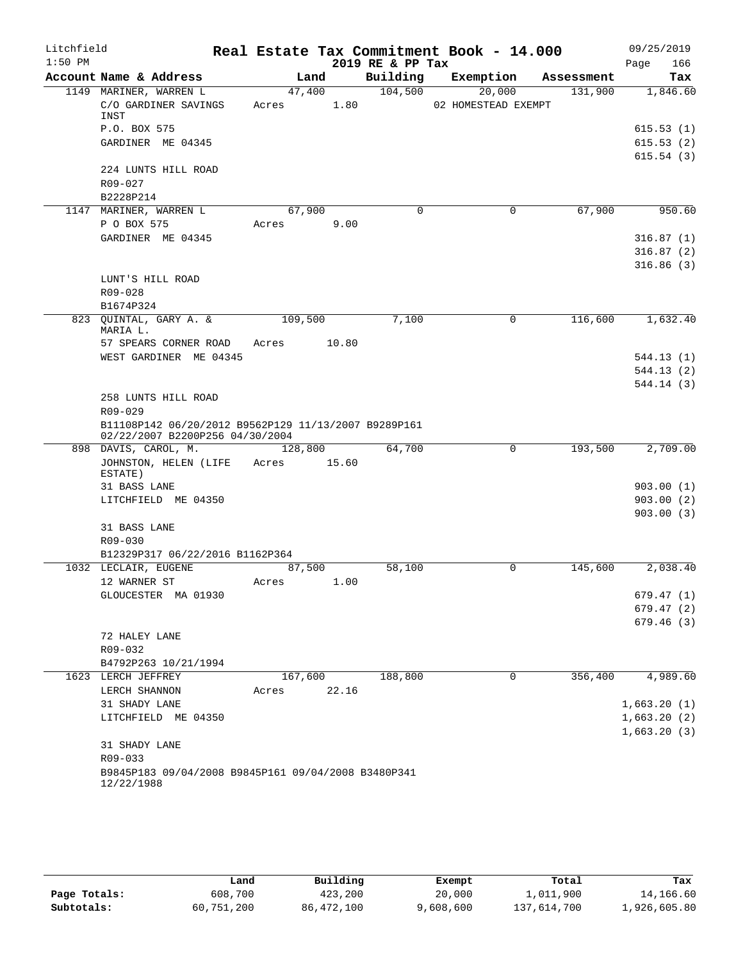| Litchfield |                                                                 |                 |       |                  | Real Estate Tax Commitment Book - 14.000 |            | 09/25/2019                 |
|------------|-----------------------------------------------------------------|-----------------|-------|------------------|------------------------------------------|------------|----------------------------|
| $1:50$ PM  |                                                                 |                 |       | 2019 RE & PP Tax |                                          |            | 166<br>Page                |
|            | Account Name & Address                                          | Land            |       | Building         | Exemption                                | Assessment | Tax                        |
|            | 1149 MARINER, WARREN L<br>C/O GARDINER SAVINGS<br>INST          | 47,400<br>Acres | 1.80  | 104,500          | 20,000<br>02 HOMESTEAD EXEMPT            | 131,900    | 1,846.60                   |
|            | P.O. BOX 575                                                    |                 |       |                  |                                          |            | 615.53(1)                  |
|            | GARDINER ME 04345                                               |                 |       |                  |                                          |            | 615.53(2)                  |
|            |                                                                 |                 |       |                  |                                          |            | 615.54(3)                  |
|            | 224 LUNTS HILL ROAD                                             |                 |       |                  |                                          |            |                            |
|            | R09-027                                                         |                 |       |                  |                                          |            |                            |
|            | B2228P214<br>1147 MARINER, WARREN L                             | 67,900          |       | $\Omega$         | 0                                        | 67,900     | 950.60                     |
|            | P O BOX 575                                                     | Acres           | 9.00  |                  |                                          |            |                            |
|            | GARDINER ME 04345                                               |                 |       |                  |                                          |            | 316.87(1)                  |
|            |                                                                 |                 |       |                  |                                          |            | 316.87(2)                  |
|            |                                                                 |                 |       |                  |                                          |            | 316.86(3)                  |
|            | LUNT'S HILL ROAD                                                |                 |       |                  |                                          |            |                            |
|            | R09-028                                                         |                 |       |                  |                                          |            |                            |
|            | B1674P324                                                       |                 |       |                  |                                          |            |                            |
|            | 823 QUINTAL, GARY A. &<br>MARIA L.                              | 109,500         |       | 7,100            | $\mathbf 0$                              | 116,600    | 1,632.40                   |
|            | 57 SPEARS CORNER ROAD                                           | Acres           | 10.80 |                  |                                          |            |                            |
|            | WEST GARDINER ME 04345                                          |                 |       |                  |                                          |            | 544.13(1)                  |
|            |                                                                 |                 |       |                  |                                          |            | 544.13(2)                  |
|            |                                                                 |                 |       |                  |                                          |            | 544.14(3)                  |
|            | 258 LUNTS HILL ROAD                                             |                 |       |                  |                                          |            |                            |
|            | R09-029<br>B11108P142 06/20/2012 B9562P129 11/13/2007 B9289P161 |                 |       |                  |                                          |            |                            |
|            | 02/22/2007 B2200P256 04/30/2004                                 |                 |       |                  |                                          |            |                            |
|            | 898 DAVIS, CAROL, M.                                            | 128,800         |       | 64,700           | 0                                        | 193,500    | 2,709.00                   |
|            | JOHNSTON, HELEN (LIFE                                           | Acres 15.60     |       |                  |                                          |            |                            |
|            | ESTATE)<br>31 BASS LANE                                         |                 |       |                  |                                          |            | 903.00(1)                  |
|            | LITCHFIELD ME 04350                                             |                 |       |                  |                                          |            | 903.00(2)                  |
|            |                                                                 |                 |       |                  |                                          |            | 903.00(3)                  |
|            | 31 BASS LANE                                                    |                 |       |                  |                                          |            |                            |
|            | R09-030                                                         |                 |       |                  |                                          |            |                            |
|            | B12329P317 06/22/2016 B1162P364                                 |                 |       |                  |                                          |            |                            |
|            | 1032 LECLAIR, EUGENE                                            | 87,500          |       | 58,100           | 0                                        | 145,600    | 2,038.40                   |
|            | 12 WARNER ST<br>GLOUCESTER MA 01930                             | Acres           | 1.00  |                  |                                          |            | 679.47(1)                  |
|            |                                                                 |                 |       |                  |                                          |            | 679.47(2)                  |
|            |                                                                 |                 |       |                  |                                          |            | 679.46(3)                  |
|            | 72 HALEY LANE                                                   |                 |       |                  |                                          |            |                            |
|            | R09-032                                                         |                 |       |                  |                                          |            |                            |
|            | B4792P263 10/21/1994                                            |                 |       |                  |                                          |            |                            |
|            | 1623 LERCH JEFFREY                                              | 167,600         |       | 188,800          | 0                                        | 356,400    | 4,989.60                   |
|            | LERCH SHANNON                                                   | Acres           | 22.16 |                  |                                          |            |                            |
|            | 31 SHADY LANE                                                   |                 |       |                  |                                          |            | 1,663.20(1)<br>1,663.20(2) |
|            | LITCHFIELD ME 04350                                             |                 |       |                  |                                          |            | 1,663.20(3)                |
|            | 31 SHADY LANE                                                   |                 |       |                  |                                          |            |                            |
|            | R09-033                                                         |                 |       |                  |                                          |            |                            |
|            | B9845P183 09/04/2008 B9845P161 09/04/2008 B3480P341             |                 |       |                  |                                          |            |                            |
|            | 12/22/1988                                                      |                 |       |                  |                                          |            |                            |

|              | Land       | Building   | Exempt    | Total       | Tax          |
|--------------|------------|------------|-----------|-------------|--------------|
| Page Totals: | 608,700    | 423,200    | 20,000    | 1,011,900   | 14,166.60    |
| Subtotals:   | 60,751,200 | 86,472,100 | 9,608,600 | 137,614,700 | 1,926,605.80 |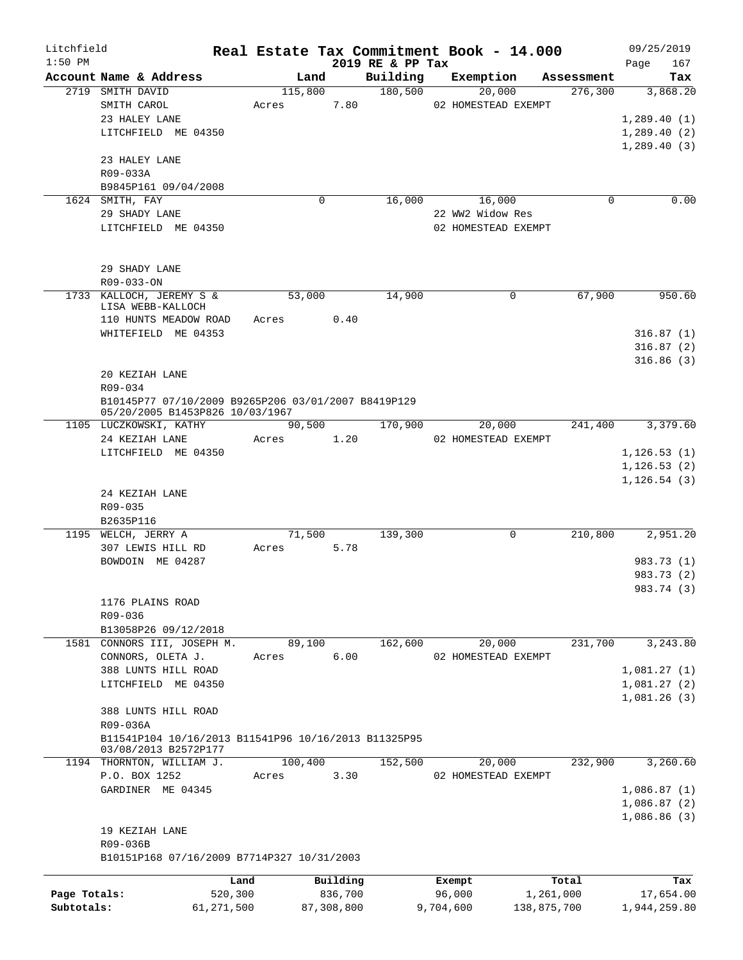| Litchfield                 |                                                                                        |                       |                 |                       |                     | Real Estate Tax Commitment Book - 14.000 |                          |                        | 09/25/2019                |
|----------------------------|----------------------------------------------------------------------------------------|-----------------------|-----------------|-----------------------|---------------------|------------------------------------------|--------------------------|------------------------|---------------------------|
| $1:50$ PM                  |                                                                                        |                       |                 |                       | 2019 RE & PP Tax    |                                          |                          |                        | 167<br>Page               |
|                            | Account Name & Address<br>2719 SMITH DAVID                                             |                       | Land<br>115,800 |                       | Building<br>180,500 | Exemption<br>20,000                      |                          | Assessment<br>276, 300 | Tax<br>3,868.20           |
|                            | SMITH CAROL                                                                            | Acres                 |                 | 7.80                  |                     | 02 HOMESTEAD EXEMPT                      |                          |                        |                           |
|                            | 23 HALEY LANE                                                                          |                       |                 |                       |                     |                                          |                          |                        | 1,289.40(1)               |
|                            | LITCHFIELD ME 04350                                                                    |                       |                 |                       |                     |                                          |                          |                        | 1,289.40(2)               |
|                            |                                                                                        |                       |                 |                       |                     |                                          |                          |                        | 1,289.40(3)               |
|                            | 23 HALEY LANE                                                                          |                       |                 |                       |                     |                                          |                          |                        |                           |
|                            | R09-033A                                                                               |                       |                 |                       |                     |                                          |                          |                        |                           |
|                            | B9845P161 09/04/2008                                                                   |                       |                 |                       |                     |                                          |                          |                        |                           |
|                            | 1624 SMITH, FAY                                                                        |                       | 0               |                       | 16,000              | 16,000                                   |                          | $\mathbf 0$            | 0.00                      |
|                            | 29 SHADY LANE                                                                          |                       |                 |                       |                     | 22 WW2 Widow Res                         |                          |                        |                           |
|                            | LITCHFIELD ME 04350                                                                    |                       |                 |                       |                     | 02 HOMESTEAD EXEMPT                      |                          |                        |                           |
|                            |                                                                                        |                       |                 |                       |                     |                                          |                          |                        |                           |
|                            |                                                                                        |                       |                 |                       |                     |                                          |                          |                        |                           |
|                            | 29 SHADY LANE                                                                          |                       |                 |                       |                     |                                          |                          |                        |                           |
|                            | R09-033-ON                                                                             |                       |                 |                       |                     |                                          |                          |                        |                           |
|                            | 1733 KALLOCH, JEREMY S &                                                               |                       | 53,000          |                       | 14,900              |                                          | $\mathbf 0$              | 67,900                 | 950.60                    |
|                            | LISA WEBB-KALLOCH                                                                      |                       |                 |                       |                     |                                          |                          |                        |                           |
|                            | 110 HUNTS MEADOW ROAD                                                                  |                       | Acres           | 0.40                  |                     |                                          |                          |                        |                           |
|                            | WHITEFIELD ME 04353                                                                    |                       |                 |                       |                     |                                          |                          |                        | 316.87(1)                 |
|                            |                                                                                        |                       |                 |                       |                     |                                          |                          |                        | 316.87(2)                 |
|                            |                                                                                        |                       |                 |                       |                     |                                          |                          |                        | 316.86(3)                 |
|                            | 20 KEZIAH LANE                                                                         |                       |                 |                       |                     |                                          |                          |                        |                           |
|                            | R09-034                                                                                |                       |                 |                       |                     |                                          |                          |                        |                           |
|                            | B10145P77 07/10/2009 B9265P206 03/01/2007 B8419P129<br>05/20/2005 B1453P826 10/03/1967 |                       |                 |                       |                     |                                          |                          |                        |                           |
|                            | 1105 LUCZKOWSKI, KATHY                                                                 |                       | 90,500          |                       | 170,900             | 20,000                                   |                          | 241,400                | 3,379.60                  |
|                            | 24 KEZIAH LANE                                                                         |                       | Acres 1.20      |                       |                     | 02 HOMESTEAD EXEMPT                      |                          |                        |                           |
|                            | LITCHFIELD ME 04350                                                                    |                       |                 |                       |                     |                                          |                          |                        | 1, 126.53(1)              |
|                            |                                                                                        |                       |                 |                       |                     |                                          |                          |                        | 1, 126.53(2)              |
|                            |                                                                                        |                       |                 |                       |                     |                                          |                          |                        | 1, 126.54(3)              |
|                            | 24 KEZIAH LANE                                                                         |                       |                 |                       |                     |                                          |                          |                        |                           |
|                            | R09-035                                                                                |                       |                 |                       |                     |                                          |                          |                        |                           |
|                            | B2635P116                                                                              |                       |                 |                       |                     |                                          |                          |                        |                           |
|                            | 1195 WELCH, JERRY A                                                                    |                       | 71,500          |                       | 139,300             |                                          | $\mathbf 0$              | 210,800                | 2,951.20                  |
|                            | 307 LEWIS HILL RD                                                                      |                       | Acres           | 5.78                  |                     |                                          |                          |                        |                           |
|                            | BOWDOIN ME 04287                                                                       |                       |                 |                       |                     |                                          |                          |                        | 983.73 (1)                |
|                            |                                                                                        |                       |                 |                       |                     |                                          |                          |                        | 983.73 (2)                |
|                            |                                                                                        |                       |                 |                       |                     |                                          |                          |                        | 983.74 (3)                |
|                            | 1176 PLAINS ROAD                                                                       |                       |                 |                       |                     |                                          |                          |                        |                           |
|                            | R09-036                                                                                |                       |                 |                       |                     |                                          |                          |                        |                           |
|                            | B13058P26 09/12/2018                                                                   |                       |                 |                       |                     |                                          |                          |                        |                           |
|                            | 1581 CONNORS III, JOSEPH M.                                                            |                       | 89,100          |                       | 162,600             | 20,000                                   |                          | 231,700                | 3,243.80                  |
|                            | CONNORS, OLETA J.                                                                      | Acres                 |                 | 6.00                  |                     | 02 HOMESTEAD EXEMPT                      |                          |                        |                           |
|                            | 388 LUNTS HILL ROAD                                                                    |                       |                 |                       |                     |                                          |                          |                        | 1,081.27(1)               |
|                            | LITCHFIELD ME 04350                                                                    |                       |                 |                       |                     |                                          |                          |                        | 1,081.27(2)               |
|                            |                                                                                        |                       |                 |                       |                     |                                          |                          |                        | 1,081.26(3)               |
|                            | 388 LUNTS HILL ROAD                                                                    |                       |                 |                       |                     |                                          |                          |                        |                           |
|                            | R09-036A                                                                               |                       |                 |                       |                     |                                          |                          |                        |                           |
|                            | B11541P104 10/16/2013 B11541P96 10/16/2013 B11325P95<br>03/08/2013 B2572P177           |                       |                 |                       |                     |                                          |                          |                        |                           |
|                            | 1194 THORNTON, WILLIAM J.                                                              |                       | 100,400         |                       | 152,500             | 20,000                                   |                          | 232,900                | 3,260.60                  |
|                            | P.O. BOX 1252                                                                          | Acres                 |                 | 3.30                  |                     | 02 HOMESTEAD EXEMPT                      |                          |                        |                           |
|                            | GARDINER ME 04345                                                                      |                       |                 |                       |                     |                                          |                          |                        | 1,086.87(1)               |
|                            |                                                                                        |                       |                 |                       |                     |                                          |                          |                        | 1,086.87(2)               |
|                            |                                                                                        |                       |                 |                       |                     |                                          |                          |                        | 1,086.86(3)               |
|                            | 19 KEZIAH LANE                                                                         |                       |                 |                       |                     |                                          |                          |                        |                           |
|                            | R09-036B                                                                               |                       |                 |                       |                     |                                          |                          |                        |                           |
|                            | B10151P168 07/16/2009 B7714P327 10/31/2003                                             |                       |                 |                       |                     |                                          |                          |                        |                           |
|                            |                                                                                        |                       |                 |                       |                     |                                          |                          |                        |                           |
|                            |                                                                                        | Land                  |                 | Building              |                     | Exempt                                   |                          | Total                  | Tax                       |
| Page Totals:<br>Subtotals: |                                                                                        | 520,300<br>61,271,500 |                 | 836,700<br>87,308,800 |                     | 96,000<br>9,704,600                      | 1,261,000<br>138,875,700 |                        | 17,654.00<br>1,944,259.80 |
|                            |                                                                                        |                       |                 |                       |                     |                                          |                          |                        |                           |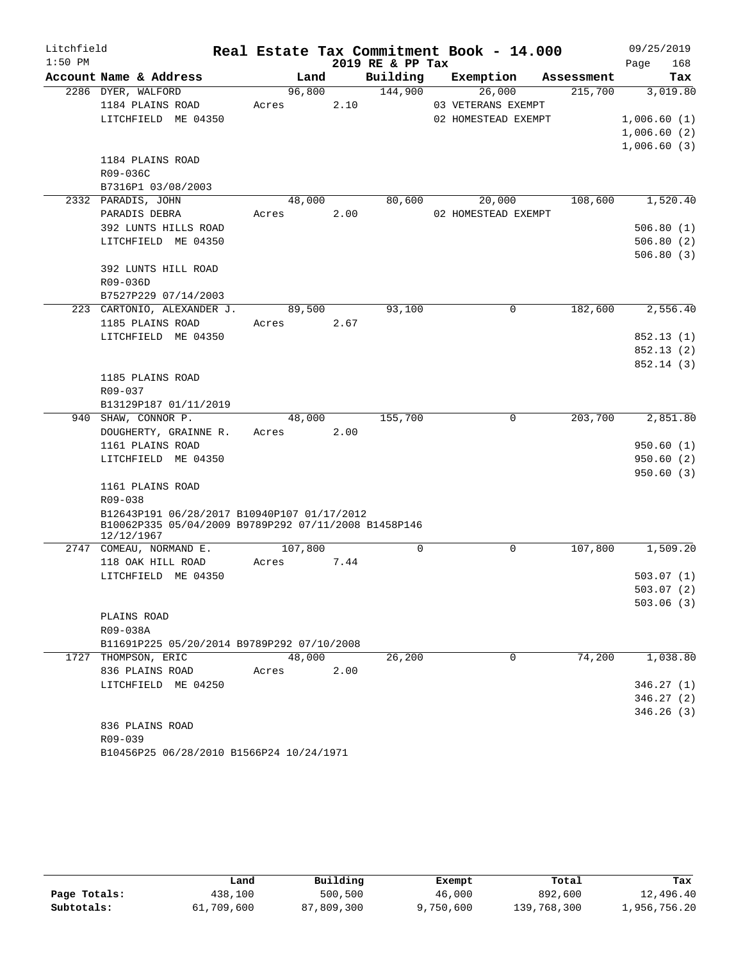| Litchfield |                                                                    |         |      |                  | Real Estate Tax Commitment Book - 14.000 |          |            | 09/25/2019  |          |
|------------|--------------------------------------------------------------------|---------|------|------------------|------------------------------------------|----------|------------|-------------|----------|
| $1:50$ PM  |                                                                    |         |      | 2019 RE & PP Tax |                                          |          |            | Page        | 168      |
|            | Account Name & Address                                             | Land    |      | Building         | Exemption                                |          | Assessment |             | Tax      |
|            | 2286 DYER, WALFORD                                                 | 96,800  |      | 144,900          | 26,000                                   |          | 215,700    |             | 3,019.80 |
|            | 1184 PLAINS ROAD                                                   | Acres   | 2.10 |                  | 03 VETERANS EXEMPT                       |          |            |             |          |
|            | LITCHFIELD ME 04350                                                |         |      |                  | 02 HOMESTEAD EXEMPT                      |          |            | 1,006.60(1) |          |
|            |                                                                    |         |      |                  |                                          |          |            | 1,006.60(2) |          |
|            |                                                                    |         |      |                  |                                          |          |            | 1,006.60(3) |          |
|            | 1184 PLAINS ROAD                                                   |         |      |                  |                                          |          |            |             |          |
|            | R09-036C                                                           |         |      |                  |                                          |          |            |             |          |
|            | B7316P1 03/08/2003                                                 |         |      |                  |                                          |          |            |             |          |
|            | 2332 PARADIS, JOHN                                                 | 48,000  |      | 80,600           | 20,000                                   |          | 108,600    |             | 1,520.40 |
|            | PARADIS DEBRA                                                      | Acres   | 2.00 |                  | 02 HOMESTEAD EXEMPT                      |          |            |             |          |
|            | 392 LUNTS HILLS ROAD                                               |         |      |                  |                                          |          |            | 506.80(1)   |          |
|            | LITCHFIELD ME 04350                                                |         |      |                  |                                          |          |            | 506.80(2)   |          |
|            |                                                                    |         |      |                  |                                          |          |            | 506.80(3)   |          |
|            | 392 LUNTS HILL ROAD                                                |         |      |                  |                                          |          |            |             |          |
|            | R09-036D<br>B7527P229 07/14/2003                                   |         |      |                  |                                          |          |            |             |          |
|            | 223 CARTONIO, ALEXANDER J.                                         | 89,500  |      | 93,100           |                                          | $\Omega$ | 182,600    |             | 2,556.40 |
|            | 1185 PLAINS ROAD                                                   | Acres   | 2.67 |                  |                                          |          |            |             |          |
|            | LITCHFIELD ME 04350                                                |         |      |                  |                                          |          |            | 852.13(1)   |          |
|            |                                                                    |         |      |                  |                                          |          |            | 852.13(2)   |          |
|            |                                                                    |         |      |                  |                                          |          |            | 852.14 (3)  |          |
|            | 1185 PLAINS ROAD                                                   |         |      |                  |                                          |          |            |             |          |
|            | R09-037                                                            |         |      |                  |                                          |          |            |             |          |
|            | B13129P187 01/11/2019                                              |         |      |                  |                                          |          |            |             |          |
|            | 940 SHAW, CONNOR P.                                                | 48,000  |      | 155,700          |                                          | 0        | 203,700    |             | 2,851.80 |
|            | DOUGHERTY, GRAINNE R.                                              | Acres   | 2.00 |                  |                                          |          |            |             |          |
|            | 1161 PLAINS ROAD                                                   |         |      |                  |                                          |          |            | 950.60(1)   |          |
|            | LITCHFIELD ME 04350                                                |         |      |                  |                                          |          |            | 950.60(2)   |          |
|            |                                                                    |         |      |                  |                                          |          |            | 950.60(3)   |          |
|            | 1161 PLAINS ROAD                                                   |         |      |                  |                                          |          |            |             |          |
|            | R09-038                                                            |         |      |                  |                                          |          |            |             |          |
|            | B12643P191 06/28/2017 B10940P107 01/17/2012                        |         |      |                  |                                          |          |            |             |          |
|            | B10062P335 05/04/2009 B9789P292 07/11/2008 B1458P146<br>12/12/1967 |         |      |                  |                                          |          |            |             |          |
|            | 2747 COMEAU, NORMAND E.                                            | 107,800 |      | $\mathbf 0$      |                                          | 0        | 107,800    |             | 1,509.20 |
|            | 118 OAK HILL ROAD                                                  | Acres   | 7.44 |                  |                                          |          |            |             |          |
|            | LITCHFIELD ME 04350                                                |         |      |                  |                                          |          |            | 503.07(1)   |          |
|            |                                                                    |         |      |                  |                                          |          |            | 503.07(2)   |          |
|            |                                                                    |         |      |                  |                                          |          |            | 503.06(3)   |          |
|            | PLAINS ROAD                                                        |         |      |                  |                                          |          |            |             |          |
|            | R09-038A                                                           |         |      |                  |                                          |          |            |             |          |
|            | B11691P225 05/20/2014 B9789P292 07/10/2008                         |         |      |                  |                                          |          |            |             |          |
|            | 1727 THOMPSON, ERIC                                                | 48,000  |      | 26,200           |                                          | 0        | 74,200     |             | 1,038.80 |
|            | 836 PLAINS ROAD                                                    | Acres   | 2.00 |                  |                                          |          |            |             |          |
|            | LITCHFIELD ME 04250                                                |         |      |                  |                                          |          |            | 346.27(1)   |          |
|            |                                                                    |         |      |                  |                                          |          |            | 346.27(2)   |          |
|            |                                                                    |         |      |                  |                                          |          |            | 346.26(3)   |          |
|            | 836 PLAINS ROAD                                                    |         |      |                  |                                          |          |            |             |          |
|            | R09-039                                                            |         |      |                  |                                          |          |            |             |          |

```
B10456P25 06/28/2010 B1566P24 10/24/1971
```

|              | Land       | Building   | Exempt    | Total       | Tax          |
|--------------|------------|------------|-----------|-------------|--------------|
| Page Totals: | 438,100    | 500,500    | 46,000    | 892,600     | 12,496.40    |
| Subtotals:   | 61,709,600 | 87,809,300 | 9,750,600 | 139,768,300 | 1,956,756.20 |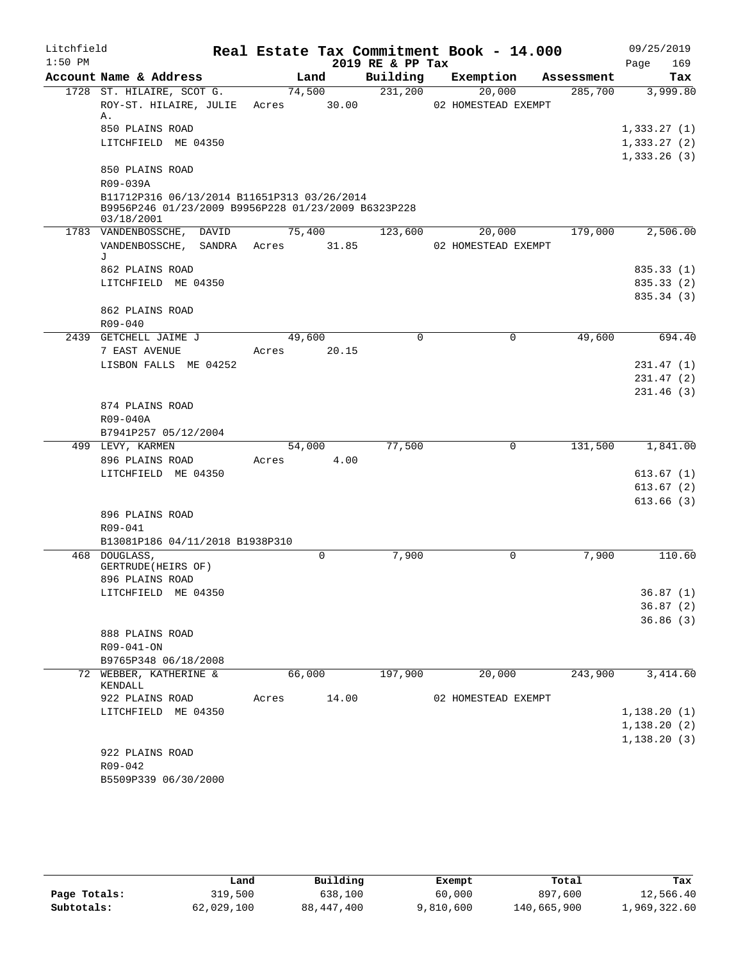| Litchfield |                                                                                                    |                 |       |                  | Real Estate Tax Commitment Book - 14.000 |             |            | 09/25/2019           |
|------------|----------------------------------------------------------------------------------------------------|-----------------|-------|------------------|------------------------------------------|-------------|------------|----------------------|
| $1:50$ PM  |                                                                                                    |                 |       | 2019 RE & PP Tax |                                          |             |            | 169<br>Page          |
|            | Account Name & Address                                                                             |                 | Land  | Building         | Exemption                                |             | Assessment | Tax                  |
|            | 1728 ST. HILAIRE, SCOT G.<br>ROY-ST. HILAIRE, JULIE<br>Α.                                          | 74,500<br>Acres | 30.00 | 231,200          | 20,000<br>02 HOMESTEAD EXEMPT            |             | 285,700    | 3,999.80             |
|            | 850 PLAINS ROAD                                                                                    |                 |       |                  |                                          |             |            | 1,333.27(1)          |
|            | LITCHFIELD ME 04350                                                                                |                 |       |                  |                                          |             |            | 1,333.27(2)          |
|            |                                                                                                    |                 |       |                  |                                          |             |            | 1,333.26(3)          |
|            | 850 PLAINS ROAD<br>R09-039A                                                                        |                 |       |                  |                                          |             |            |                      |
|            | B11712P316 06/13/2014 B11651P313 03/26/2014<br>B9956P246 01/23/2009 B9956P228 01/23/2009 B6323P228 |                 |       |                  |                                          |             |            |                      |
|            | 03/18/2001<br>1783 VANDENBOSSCHE, DAVID                                                            | 75,400          |       | 123,600          | 20,000                                   |             | 179,000    | 2,506.00             |
|            | VANDENBOSSCHE, SANDRA Acres 31.85                                                                  |                 |       |                  | 02 HOMESTEAD EXEMPT                      |             |            |                      |
|            | J                                                                                                  |                 |       |                  |                                          |             |            |                      |
|            | 862 PLAINS ROAD                                                                                    |                 |       |                  |                                          |             |            | 835.33 (1)           |
|            | LITCHFIELD ME 04350                                                                                |                 |       |                  |                                          |             |            | 835.33 (2)           |
|            |                                                                                                    |                 |       |                  |                                          |             |            | 835.34 (3)           |
|            | 862 PLAINS ROAD                                                                                    |                 |       |                  |                                          |             |            |                      |
|            | $R09 - 040$                                                                                        |                 |       |                  |                                          |             |            |                      |
|            | 2439 GETCHELL JAIME J                                                                              | 49,600          |       | 0                |                                          | $\mathbf 0$ | 49,600     | 694.40               |
|            | 7 EAST AVENUE                                                                                      | Acres           | 20.15 |                  |                                          |             |            |                      |
|            | LISBON FALLS ME 04252                                                                              |                 |       |                  |                                          |             |            | 231.47(1)            |
|            |                                                                                                    |                 |       |                  |                                          |             |            | 231.47(2)            |
|            |                                                                                                    |                 |       |                  |                                          |             |            | 231.46(3)            |
|            | 874 PLAINS ROAD                                                                                    |                 |       |                  |                                          |             |            |                      |
|            | R09-040A<br>B7941P257 05/12/2004                                                                   |                 |       |                  |                                          |             |            |                      |
|            | 499 LEVY, KARMEN                                                                                   | 54,000          |       | 77,500           |                                          | $\mathbf 0$ | 131,500    | 1,841.00             |
|            | 896 PLAINS ROAD                                                                                    | Acres           | 4.00  |                  |                                          |             |            |                      |
|            | LITCHFIELD ME 04350                                                                                |                 |       |                  |                                          |             |            | 613.67(1)            |
|            |                                                                                                    |                 |       |                  |                                          |             |            | 613.67(2)            |
|            |                                                                                                    |                 |       |                  |                                          |             |            | 613.66(3)            |
|            | 896 PLAINS ROAD                                                                                    |                 |       |                  |                                          |             |            |                      |
|            | $R09 - 041$                                                                                        |                 |       |                  |                                          |             |            |                      |
|            | B13081P186 04/11/2018 B1938P310                                                                    |                 |       |                  |                                          |             |            |                      |
|            | 468 DOUGLASS,                                                                                      |                 | 0     | 7,900            |                                          | 0           | 7,900      | 110.60               |
|            | GERTRUDE (HEIRS OF)                                                                                |                 |       |                  |                                          |             |            |                      |
|            | 896 PLAINS ROAD                                                                                    |                 |       |                  |                                          |             |            |                      |
|            | LITCHFIELD ME 04350                                                                                |                 |       |                  |                                          |             |            | 36.87(1)             |
|            |                                                                                                    |                 |       |                  |                                          |             |            | 36.87(2)<br>36.86(3) |
|            | 888 PLAINS ROAD                                                                                    |                 |       |                  |                                          |             |            |                      |
|            | R09-041-ON                                                                                         |                 |       |                  |                                          |             |            |                      |
|            | B9765P348 06/18/2008                                                                               |                 |       |                  |                                          |             |            |                      |
|            | 72 WEBBER, KATHERINE &                                                                             | 66,000          |       | 197,900          | 20,000                                   |             | 243,900    | 3,414.60             |
|            | KENDALL                                                                                            |                 |       |                  |                                          |             |            |                      |
|            | 922 PLAINS ROAD                                                                                    | Acres           | 14.00 |                  | 02 HOMESTEAD EXEMPT                      |             |            |                      |
|            | LITCHFIELD ME 04350                                                                                |                 |       |                  |                                          |             |            | 1, 138.20(1)         |
|            |                                                                                                    |                 |       |                  |                                          |             |            | 1, 138.20(2)         |
|            |                                                                                                    |                 |       |                  |                                          |             |            | 1, 138.20(3)         |
|            | 922 PLAINS ROAD                                                                                    |                 |       |                  |                                          |             |            |                      |
|            | R09-042                                                                                            |                 |       |                  |                                          |             |            |                      |
|            | B5509P339 06/30/2000                                                                               |                 |       |                  |                                          |             |            |                      |

|              | Land       | Building     | Exempt    | Total       | Tax          |
|--------------|------------|--------------|-----------|-------------|--------------|
| Page Totals: | 319,500    | 638,100      | 60,000    | 897,600     | 12,566.40    |
| Subtotals:   | 62,029,100 | 88, 447, 400 | 9,810,600 | 140,665,900 | 1,969,322.60 |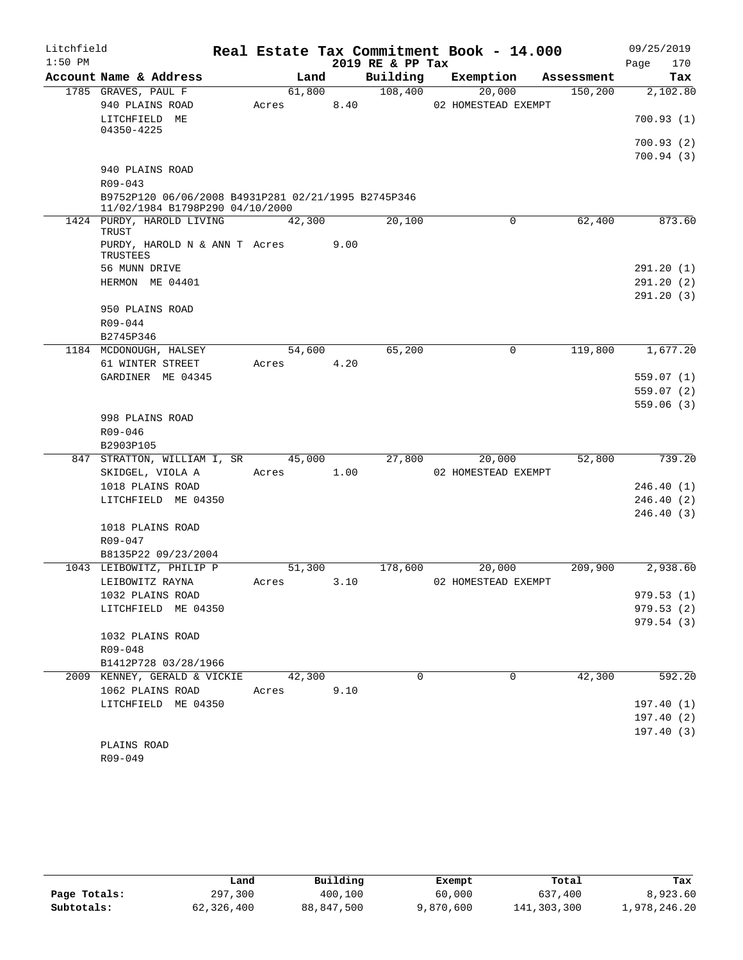| Litchfield<br>$1:50$ PM |                                                                                        |        |      | 2019 RE & PP Tax | Real Estate Tax Commitment Book - 14.000 |            | 09/25/2019<br>170<br>Page |
|-------------------------|----------------------------------------------------------------------------------------|--------|------|------------------|------------------------------------------|------------|---------------------------|
|                         | Account Name & Address                                                                 | Land   |      | Building         | Exemption                                | Assessment | Tax                       |
|                         | 1785 GRAVES, PAUL F                                                                    | 61,800 |      | 108,400          | 20,000                                   | 150, 200   | 2,102.80                  |
|                         | 940 PLAINS ROAD<br>LITCHFIELD ME                                                       | Acres  | 8.40 |                  | 02 HOMESTEAD EXEMPT                      |            | 700.93(1)                 |
|                         | 04350-4225                                                                             |        |      |                  |                                          |            |                           |
|                         |                                                                                        |        |      |                  |                                          |            | 700.93(2)<br>700.94(3)    |
|                         | 940 PLAINS ROAD                                                                        |        |      |                  |                                          |            |                           |
|                         | $R09 - 043$                                                                            |        |      |                  |                                          |            |                           |
|                         | B9752P120 06/06/2008 B4931P281 02/21/1995 B2745P346<br>11/02/1984 B1798P290 04/10/2000 |        |      |                  |                                          |            |                           |
|                         | 1424 PURDY, HAROLD LIVING<br>TRUST                                                     | 42,300 |      | 20,100           | 0                                        | 62,400     | 873.60                    |
|                         | PURDY, HAROLD N & ANN T Acres<br>TRUSTEES                                              |        | 9.00 |                  |                                          |            |                           |
|                         | 56 MUNN DRIVE                                                                          |        |      |                  |                                          |            | 291.20(1)                 |
|                         | HERMON ME 04401                                                                        |        |      |                  |                                          |            | 291.20(2)                 |
|                         |                                                                                        |        |      |                  |                                          |            | 291.20(3)                 |
|                         | 950 PLAINS ROAD                                                                        |        |      |                  |                                          |            |                           |
|                         | $R09 - 044$                                                                            |        |      |                  |                                          |            |                           |
|                         | B2745P346                                                                              |        |      |                  |                                          |            |                           |
|                         | 1184 MCDONOUGH, HALSEY                                                                 | 54,600 |      | 65,200           | 0                                        | 119,800    | 1,677.20                  |
|                         | 61 WINTER STREET                                                                       | Acres  | 4.20 |                  |                                          |            |                           |
|                         | GARDINER ME 04345                                                                      |        |      |                  |                                          |            | 559.07(1)                 |
|                         |                                                                                        |        |      |                  |                                          |            | 559.07(2)<br>559.06(3)    |
|                         | 998 PLAINS ROAD                                                                        |        |      |                  |                                          |            |                           |
|                         | R09-046                                                                                |        |      |                  |                                          |            |                           |
|                         | B2903P105                                                                              |        |      |                  |                                          |            |                           |
|                         | 847 STRATTON, WILLIAM I, SR                                                            | 45,000 |      | 27,800           | 20,000                                   | 52,800     | 739.20                    |
|                         | SKIDGEL, VIOLA A                                                                       | Acres  | 1.00 |                  | 02 HOMESTEAD EXEMPT                      |            |                           |
|                         | 1018 PLAINS ROAD                                                                       |        |      |                  |                                          |            | 246.40(1)                 |
|                         | LITCHFIELD ME 04350                                                                    |        |      |                  |                                          |            | 246.40(2)                 |
|                         |                                                                                        |        |      |                  |                                          |            | 246.40(3)                 |
|                         | 1018 PLAINS ROAD                                                                       |        |      |                  |                                          |            |                           |
|                         | R09-047                                                                                |        |      |                  |                                          |            |                           |
|                         | B8135P22 09/23/2004                                                                    |        |      |                  |                                          |            |                           |
|                         | 1043 LEIBOWITZ, PHILIP P                                                               | 51,300 |      | 178,600          | 20,000                                   | 209,900    | 2,938.60                  |
|                         | LEIBOWITZ RAYNA                                                                        | Acres  | 3.10 |                  | 02 HOMESTEAD EXEMPT                      |            |                           |
|                         | 1032 PLAINS ROAD<br>LITCHFIELD ME 04350                                                |        |      |                  |                                          |            | 979.53(1)<br>979.53(2)    |
|                         |                                                                                        |        |      |                  |                                          |            | 979.54 (3)                |
|                         | 1032 PLAINS ROAD                                                                       |        |      |                  |                                          |            |                           |
|                         | R09-048                                                                                |        |      |                  |                                          |            |                           |
|                         | B1412P728 03/28/1966                                                                   |        |      |                  |                                          |            |                           |
|                         | 2009 KENNEY, GERALD & VICKIE                                                           | 42,300 |      | 0                | $\mathbf 0$                              | 42,300     | 592.20                    |
|                         | 1062 PLAINS ROAD                                                                       | Acres  | 9.10 |                  |                                          |            |                           |
|                         | LITCHFIELD ME 04350                                                                    |        |      |                  |                                          |            | 197.40(1)                 |
|                         |                                                                                        |        |      |                  |                                          |            | 197.40(2)                 |
|                         |                                                                                        |        |      |                  |                                          |            | 197.40(3)                 |
|                         | PLAINS ROAD                                                                            |        |      |                  |                                          |            |                           |
|                         | R09-049                                                                                |        |      |                  |                                          |            |                           |

|              | Land       | Building   | Exempt    | Total       | Tax          |
|--------------|------------|------------|-----------|-------------|--------------|
| Page Totals: | 297,300    | 400,100    | 60,000    | 637,400     | 8,923.60     |
| Subtotals:   | 62,326,400 | 88,847,500 | 9,870,600 | 141,303,300 | 1,978,246.20 |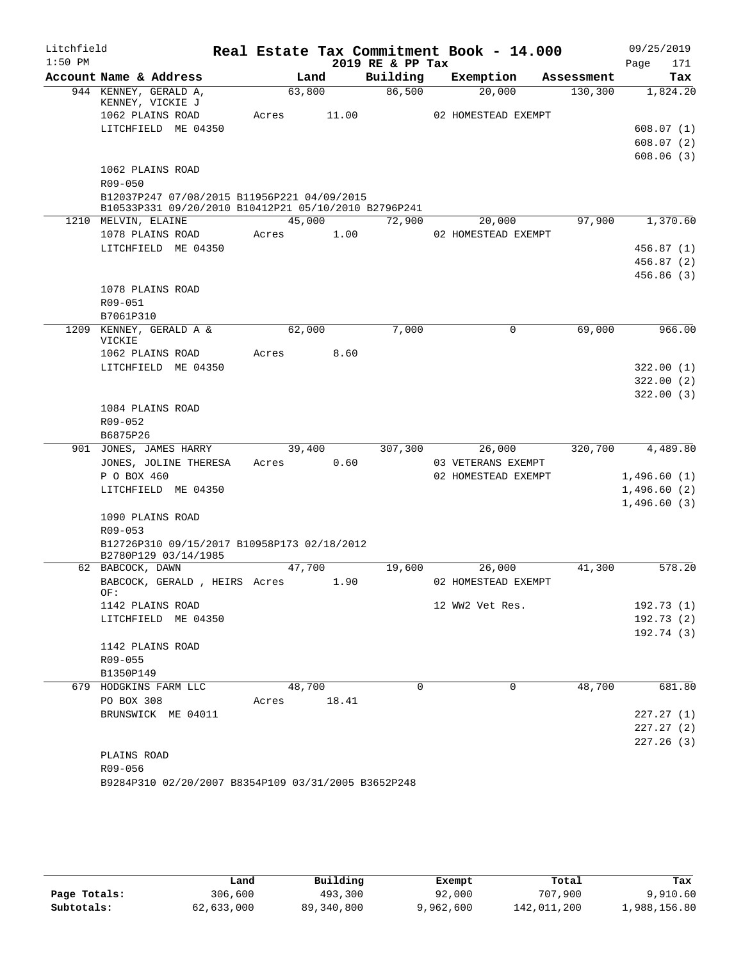| Litchfield |                                                                     |       |        |        |                  | Real Estate Tax Commitment Book - 14.000 |            | 09/25/2019  |                         |
|------------|---------------------------------------------------------------------|-------|--------|--------|------------------|------------------------------------------|------------|-------------|-------------------------|
| $1:50$ PM  |                                                                     |       |        |        | 2019 RE & PP Tax |                                          |            | Page        | 171                     |
|            | Account Name & Address                                              |       | Land   |        | Building         | Exemption                                | Assessment |             | Tax                     |
|            | 944 KENNEY, GERALD A,<br>KENNEY, VICKIE J                           |       | 63,800 |        | 86,500           | 20,000                                   | 130, 300   |             | 1,824.20                |
|            | 1062 PLAINS ROAD                                                    | Acres |        | 11.00  |                  | 02 HOMESTEAD EXEMPT                      |            |             |                         |
|            | LITCHFIELD ME 04350                                                 |       |        |        |                  |                                          |            |             | 608.07(1)               |
|            |                                                                     |       |        |        |                  |                                          |            |             | 608.07(2)               |
|            |                                                                     |       |        |        |                  |                                          |            |             | 608.06(3)               |
|            | 1062 PLAINS ROAD                                                    |       |        |        |                  |                                          |            |             |                         |
|            | R09-050                                                             |       |        |        |                  |                                          |            |             |                         |
|            | B12037P247 07/08/2015 B11956P221 04/09/2015                         |       |        |        |                  |                                          |            |             |                         |
|            | B10533P331 09/20/2010 B10412P21 05/10/2010 B2796P241                |       |        | 45,000 | 72,900           |                                          | 97,900     |             | 1,370.60                |
|            | 1210 MELVIN, ELAINE                                                 |       |        | 1.00   |                  | 20,000<br>02 HOMESTEAD EXEMPT            |            |             |                         |
|            | 1078 PLAINS ROAD<br>LITCHFIELD ME 04350                             | Acres |        |        |                  |                                          |            |             |                         |
|            |                                                                     |       |        |        |                  |                                          |            |             | 456.87 (1)              |
|            |                                                                     |       |        |        |                  |                                          |            |             | 456.87 (2)<br>456.86(3) |
|            | 1078 PLAINS ROAD                                                    |       |        |        |                  |                                          |            |             |                         |
|            | R09-051                                                             |       |        |        |                  |                                          |            |             |                         |
|            | B7061P310                                                           |       |        |        |                  |                                          |            |             |                         |
|            | 1209 KENNEY, GERALD A &                                             |       | 62,000 |        | 7,000            | $\mathbf 0$                              | 69,000     |             | 966.00                  |
|            | VICKIE                                                              |       |        |        |                  |                                          |            |             |                         |
|            | 1062 PLAINS ROAD                                                    | Acres |        | 8.60   |                  |                                          |            |             |                         |
|            | LITCHFIELD ME 04350                                                 |       |        |        |                  |                                          |            |             | 322.00(1)               |
|            |                                                                     |       |        |        |                  |                                          |            |             | 322.00(2)               |
|            |                                                                     |       |        |        |                  |                                          |            |             | 322.00(3)               |
|            | 1084 PLAINS ROAD                                                    |       |        |        |                  |                                          |            |             |                         |
|            | R09-052                                                             |       |        |        |                  |                                          |            |             |                         |
|            | B6875P26                                                            |       |        |        |                  |                                          |            |             |                         |
|            | 901 JONES, JAMES HARRY                                              |       | 39,400 |        | 307,300          | 26,000                                   | 320,700    |             | 4,489.80                |
|            | JONES, JOLINE THERESA                                               | Acres |        | 0.60   |                  | 03 VETERANS EXEMPT                       |            |             |                         |
|            | P O BOX 460                                                         |       |        |        |                  | 02 HOMESTEAD EXEMPT                      |            | 1,496.60(1) |                         |
|            | LITCHFIELD ME 04350                                                 |       |        |        |                  |                                          |            | 1,496.60(2) |                         |
|            |                                                                     |       |        |        |                  |                                          |            | 1,496.60(3) |                         |
|            | 1090 PLAINS ROAD                                                    |       |        |        |                  |                                          |            |             |                         |
|            | R09-053                                                             |       |        |        |                  |                                          |            |             |                         |
|            | B12726P310 09/15/2017 B10958P173 02/18/2012<br>B2780P129 03/14/1985 |       |        |        |                  |                                          |            |             |                         |
|            | 62 BABCOCK, DAWN                                                    |       | 47,700 |        | 19,600           | 26,000                                   | 41,300     |             | 578.20                  |
|            | BABCOCK, GERALD, HEIRS Acres                                        |       |        | 1.90   |                  | 02 HOMESTEAD EXEMPT                      |            |             |                         |
|            | OF:                                                                 |       |        |        |                  |                                          |            |             |                         |
|            | 1142 PLAINS ROAD                                                    |       |        |        |                  | 12 WW2 Vet Res.                          |            |             | 192.73 (1)              |
|            | LITCHFIELD ME 04350                                                 |       |        |        |                  |                                          |            |             | 192.73(2)               |
|            |                                                                     |       |        |        |                  |                                          |            |             | 192.74 (3)              |
|            | 1142 PLAINS ROAD                                                    |       |        |        |                  |                                          |            |             |                         |
|            | R09-055                                                             |       |        |        |                  |                                          |            |             |                         |
|            | B1350P149                                                           |       |        |        |                  |                                          |            |             |                         |
| 679        | HODGKINS FARM LLC                                                   |       | 48,700 |        | $\Omega$         | 0                                        | 48,700     |             | 681.80                  |
|            | PO BOX 308                                                          | Acres |        | 18.41  |                  |                                          |            |             |                         |
|            | BRUNSWICK ME 04011                                                  |       |        |        |                  |                                          |            |             | 227.27 (1)              |
|            |                                                                     |       |        |        |                  |                                          |            |             | 227.27 (2)              |
|            |                                                                     |       |        |        |                  |                                          |            |             | 227.26 (3)              |
|            | PLAINS ROAD<br>R09-056                                              |       |        |        |                  |                                          |            |             |                         |
|            | B9284P310 02/20/2007 B8354P109 03/31/2005 B3652P248                 |       |        |        |                  |                                          |            |             |                         |
|            |                                                                     |       |        |        |                  |                                          |            |             |                         |

|              | Land       | Building     | Exempt    | Total       | Tax          |
|--------------|------------|--------------|-----------|-------------|--------------|
| Page Totals: | 306,600    | 493,300      | 92,000    | 707,900     | 9,910.60     |
| Subtotals:   | 62,633,000 | 89, 340, 800 | 9,962,600 | 142,011,200 | 1,988,156.80 |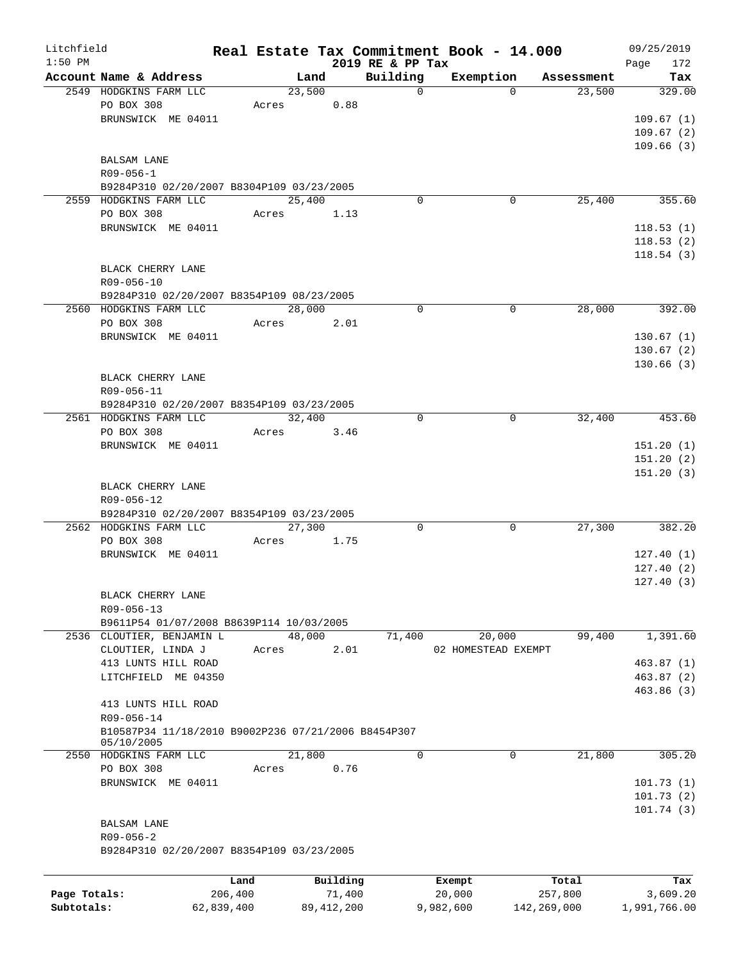| Litchfield   |                                                     |            |                |              |                          | Real Estate Tax Commitment Book - 14.000 |             |                      |      | 09/25/2019    |
|--------------|-----------------------------------------------------|------------|----------------|--------------|--------------------------|------------------------------------------|-------------|----------------------|------|---------------|
| $1:50$ PM    |                                                     |            |                |              | 2019 RE & PP Tax         |                                          |             |                      | Page | 172           |
|              | Account Name & Address<br>2549 HODGKINS FARM LLC    |            | Land<br>23,500 |              | Building<br>$\mathsf{O}$ | Exemption                                | $\Omega$    | Assessment<br>23,500 |      | Tax<br>329.00 |
|              | PO BOX 308                                          | Acres      |                | 0.88         |                          |                                          |             |                      |      |               |
|              | BRUNSWICK ME 04011                                  |            |                |              |                          |                                          |             |                      |      |               |
|              |                                                     |            |                |              |                          |                                          |             |                      |      | 109.67(1)     |
|              |                                                     |            |                |              |                          |                                          |             |                      |      | 109.67(2)     |
|              |                                                     |            |                |              |                          |                                          |             |                      |      | 109.66(3)     |
|              | BALSAM LANE                                         |            |                |              |                          |                                          |             |                      |      |               |
|              | $R09 - 056 - 1$                                     |            |                |              |                          |                                          |             |                      |      |               |
|              | B9284P310 02/20/2007 B8304P109 03/23/2005           |            |                |              |                          |                                          |             |                      |      |               |
|              | 2559 HODGKINS FARM LLC                              |            | 25,400         |              | $\mathbf 0$              |                                          | $\mathbf 0$ | 25,400               |      | 355.60        |
|              | PO BOX 308                                          | Acres      |                | 1.13         |                          |                                          |             |                      |      |               |
|              | BRUNSWICK ME 04011                                  |            |                |              |                          |                                          |             |                      |      | 118.53(1)     |
|              |                                                     |            |                |              |                          |                                          |             |                      |      | 118.53(2)     |
|              |                                                     |            |                |              |                          |                                          |             |                      |      | 118.54(3)     |
|              | BLACK CHERRY LANE                                   |            |                |              |                          |                                          |             |                      |      |               |
|              | R09-056-10                                          |            |                |              |                          |                                          |             |                      |      |               |
|              | B9284P310 02/20/2007 B8354P109 08/23/2005           |            |                |              |                          |                                          |             |                      |      |               |
|              | 2560 HODGKINS FARM LLC                              |            | 28,000         |              | 0                        |                                          | $\mathbf 0$ | 28,000               |      | 392.00        |
|              | PO BOX 308                                          | Acres      |                | 2.01         |                          |                                          |             |                      |      |               |
|              | BRUNSWICK ME 04011                                  |            |                |              |                          |                                          |             |                      |      | 130.67(1)     |
|              |                                                     |            |                |              |                          |                                          |             |                      |      | 130.67(2)     |
|              |                                                     |            |                |              |                          |                                          |             |                      |      | 130.66(3)     |
|              | BLACK CHERRY LANE                                   |            |                |              |                          |                                          |             |                      |      |               |
|              | R09-056-11                                          |            |                |              |                          |                                          |             |                      |      |               |
|              | B9284P310 02/20/2007 B8354P109 03/23/2005           |            |                |              |                          |                                          |             |                      |      |               |
|              |                                                     |            |                |              |                          |                                          |             |                      |      |               |
|              | 2561 HODGKINS FARM LLC                              |            | 32,400         |              | $\mathbf 0$              |                                          | 0           | 32,400               |      | 453.60        |
|              | PO BOX 308                                          |            | Acres          | 3.46         |                          |                                          |             |                      |      |               |
|              | BRUNSWICK ME 04011                                  |            |                |              |                          |                                          |             |                      |      | 151.20(1)     |
|              |                                                     |            |                |              |                          |                                          |             |                      |      | 151.20(2)     |
|              |                                                     |            |                |              |                          |                                          |             |                      |      | 151.20(3)     |
|              | BLACK CHERRY LANE                                   |            |                |              |                          |                                          |             |                      |      |               |
|              | R09-056-12                                          |            |                |              |                          |                                          |             |                      |      |               |
|              | B9284P310 02/20/2007 B8354P109 03/23/2005           |            |                |              |                          |                                          |             |                      |      |               |
|              | 2562 HODGKINS FARM LLC                              |            | 27,300         |              | 0                        |                                          | 0           | 27,300               |      | 382.20        |
|              | PO BOX 308                                          | Acres      |                | 1.75         |                          |                                          |             |                      |      |               |
|              | BRUNSWICK ME 04011                                  |            |                |              |                          |                                          |             |                      |      | 127.40(1)     |
|              |                                                     |            |                |              |                          |                                          |             |                      |      | 127.40(2)     |
|              |                                                     |            |                |              |                          |                                          |             |                      |      | 127.40(3)     |
|              | BLACK CHERRY LANE                                   |            |                |              |                          |                                          |             |                      |      |               |
|              | R09-056-13                                          |            |                |              |                          |                                          |             |                      |      |               |
|              | B9611P54 01/07/2008 B8639P114 10/03/2005            |            |                |              |                          |                                          |             |                      |      |               |
|              | 2536 CLOUTIER, BENJAMIN L                           |            | 48,000         |              | 71,400                   | 20,000                                   |             | 99,400               |      | 1,391.60      |
|              | CLOUTIER, LINDA J                                   | Acres      |                | 2.01         |                          | 02 HOMESTEAD EXEMPT                      |             |                      |      |               |
|              | 413 LUNTS HILL ROAD                                 |            |                |              |                          |                                          |             |                      |      | 463.87(1)     |
|              | LITCHFIELD ME 04350                                 |            |                |              |                          |                                          |             |                      |      | 463.87(2)     |
|              |                                                     |            |                |              |                          |                                          |             |                      |      |               |
|              |                                                     |            |                |              |                          |                                          |             |                      |      | 463.86 (3)    |
|              | 413 LUNTS HILL ROAD                                 |            |                |              |                          |                                          |             |                      |      |               |
|              | R09-056-14                                          |            |                |              |                          |                                          |             |                      |      |               |
|              | B10587P34 11/18/2010 B9002P236 07/21/2006 B8454P307 |            |                |              |                          |                                          |             |                      |      |               |
|              | 05/10/2005                                          |            |                |              |                          |                                          |             |                      |      |               |
|              | 2550 HODGKINS FARM LLC                              |            | 21,800         |              | $\Omega$                 |                                          | $\Omega$    | 21,800               |      | 305.20        |
|              | PO BOX 308                                          | Acres      |                | 0.76         |                          |                                          |             |                      |      |               |
|              | BRUNSWICK ME 04011                                  |            |                |              |                          |                                          |             |                      |      | 101.73(1)     |
|              |                                                     |            |                |              |                          |                                          |             |                      |      | 101.73(2)     |
|              |                                                     |            |                |              |                          |                                          |             |                      |      | 101.74(3)     |
|              | BALSAM LANE                                         |            |                |              |                          |                                          |             |                      |      |               |
|              | $R09 - 056 - 2$                                     |            |                |              |                          |                                          |             |                      |      |               |
|              | B9284P310 02/20/2007 B8354P109 03/23/2005           |            |                |              |                          |                                          |             |                      |      |               |
|              |                                                     |            |                |              |                          |                                          |             |                      |      |               |
|              |                                                     | Land       |                | Building     |                          | Exempt                                   |             | Total                |      | Tax           |
| Page Totals: |                                                     | 206,400    |                | 71,400       |                          | 20,000                                   | 257,800     |                      |      | 3,609.20      |
| Subtotals:   |                                                     | 62,839,400 |                | 89, 412, 200 |                          | 9,982,600                                | 142,269,000 |                      |      | 1,991,766.00  |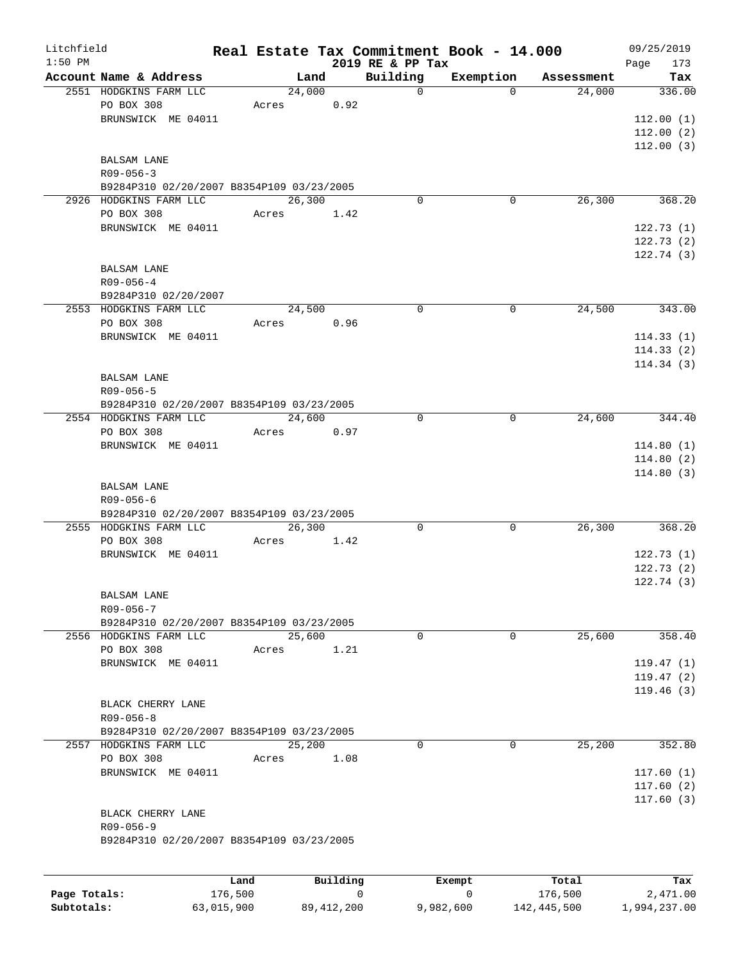| Litchfield |                                           |       |        |          |                              | Real Estate Tax Commitment Book - 14.000 |            | 09/25/2019         |
|------------|-------------------------------------------|-------|--------|----------|------------------------------|------------------------------------------|------------|--------------------|
| $1:50$ PM  | Account Name & Address                    |       | Land   |          | 2019 RE & PP Tax<br>Building | Exemption                                | Assessment | 173<br>Page<br>Tax |
|            | 2551 HODGKINS FARM LLC                    |       | 24,000 |          | $\mathsf{O}$                 | $\Omega$                                 | 24,000     | 336.00             |
|            | PO BOX 308                                | Acres |        | 0.92     |                              |                                          |            |                    |
|            | BRUNSWICK ME 04011                        |       |        |          |                              |                                          |            | 112.00(1)          |
|            |                                           |       |        |          |                              |                                          |            | 112.00(2)          |
|            |                                           |       |        |          |                              |                                          |            | 112.00(3)          |
|            | <b>BALSAM LANE</b>                        |       |        |          |                              |                                          |            |                    |
|            | $R09 - 056 - 3$                           |       |        |          |                              |                                          |            |                    |
|            | B9284P310 02/20/2007 B8354P109 03/23/2005 |       |        |          |                              |                                          |            |                    |
|            | 2926 HODGKINS FARM LLC                    |       |        |          | $\mathbf 0$                  |                                          |            |                    |
|            |                                           |       | 26,300 |          |                              | 0                                        | 26,300     | 368.20             |
|            | PO BOX 308                                | Acres |        | 1.42     |                              |                                          |            |                    |
|            | BRUNSWICK ME 04011                        |       |        |          |                              |                                          |            | 122.73(1)          |
|            |                                           |       |        |          |                              |                                          |            | 122.73(2)          |
|            |                                           |       |        |          |                              |                                          |            | 122.74(3)          |
|            | BALSAM LANE                               |       |        |          |                              |                                          |            |                    |
|            | $R09 - 056 - 4$                           |       |        |          |                              |                                          |            |                    |
|            | B9284P310 02/20/2007                      |       |        |          |                              |                                          |            |                    |
|            | 2553 HODGKINS FARM LLC                    |       | 24,500 |          | $\mathbf 0$                  | $\mathbf 0$                              | 24,500     | 343.00             |
|            | PO BOX 308                                | Acres |        | 0.96     |                              |                                          |            |                    |
|            | BRUNSWICK ME 04011                        |       |        |          |                              |                                          |            | 114.33(1)          |
|            |                                           |       |        |          |                              |                                          |            | 114.33(2)          |
|            |                                           |       |        |          |                              |                                          |            | 114.34(3)          |
|            | <b>BALSAM LANE</b>                        |       |        |          |                              |                                          |            |                    |
|            | $R09 - 056 - 5$                           |       |        |          |                              |                                          |            |                    |
|            | B9284P310 02/20/2007 B8354P109 03/23/2005 |       |        |          |                              |                                          |            |                    |
|            | 2554 HODGKINS FARM LLC                    |       | 24,600 |          | $\mathbf 0$                  | 0                                        | 24,600     | 344.40             |
|            | PO BOX 308                                | Acres |        | 0.97     |                              |                                          |            |                    |
|            | BRUNSWICK ME 04011                        |       |        |          |                              |                                          |            | 114.80(1)          |
|            |                                           |       |        |          |                              |                                          |            | 114.80(2)          |
|            |                                           |       |        |          |                              |                                          |            | 114.80(3)          |
|            | <b>BALSAM LANE</b>                        |       |        |          |                              |                                          |            |                    |
|            | $R09 - 056 - 6$                           |       |        |          |                              |                                          |            |                    |
|            | B9284P310 02/20/2007 B8354P109 03/23/2005 |       |        |          |                              |                                          |            |                    |
|            | 2555 HODGKINS FARM LLC                    |       | 26,300 |          | 0                            | 0                                        | 26,300     | 368.20             |
|            | PO BOX 308                                | Acres |        | 1.42     |                              |                                          |            |                    |
|            | BRUNSWICK ME 04011                        |       |        |          |                              |                                          |            | 122.73(1)          |
|            |                                           |       |        |          |                              |                                          |            | 122.73(2)          |
|            |                                           |       |        |          |                              |                                          |            | 122.74(3)          |
|            | <b>BALSAM LANE</b>                        |       |        |          |                              |                                          |            |                    |
|            | R09-056-7                                 |       |        |          |                              |                                          |            |                    |
|            | B9284P310 02/20/2007 B8354P109 03/23/2005 |       |        |          |                              |                                          |            |                    |
|            | 2556 HODGKINS FARM LLC                    |       | 25,600 |          | $\mathbf 0$                  | $\mathbf 0$                              | 25,600     | 358.40             |
|            | PO BOX 308                                |       |        |          |                              |                                          |            |                    |
|            |                                           | Acres |        | 1.21     |                              |                                          |            |                    |
|            | BRUNSWICK ME 04011                        |       |        |          |                              |                                          |            | 119.47(1)          |
|            |                                           |       |        |          |                              |                                          |            | 119.47(2)          |
|            |                                           |       |        |          |                              |                                          |            | 119.46(3)          |
|            | BLACK CHERRY LANE                         |       |        |          |                              |                                          |            |                    |
|            | $R09 - 056 - 8$                           |       |        |          |                              |                                          |            |                    |
|            | B9284P310 02/20/2007 B8354P109 03/23/2005 |       |        |          |                              |                                          |            |                    |
|            | 2557 HODGKINS FARM LLC                    |       | 25,200 |          | 0                            | 0                                        | 25,200     | 352.80             |
|            | PO BOX 308                                | Acres |        | 1.08     |                              |                                          |            |                    |
|            | BRUNSWICK ME 04011                        |       |        |          |                              |                                          |            | 117.60(1)          |
|            |                                           |       |        |          |                              |                                          |            | 117.60(2)          |
|            |                                           |       |        |          |                              |                                          |            | 117.60(3)          |
|            | BLACK CHERRY LANE                         |       |        |          |                              |                                          |            |                    |
|            | R09-056-9                                 |       |        |          |                              |                                          |            |                    |
|            | B9284P310 02/20/2007 B8354P109 03/23/2005 |       |        |          |                              |                                          |            |                    |
|            |                                           |       |        |          |                              |                                          |            |                    |
|            |                                           |       |        |          |                              |                                          |            |                    |
|            |                                           | Land  |        | Building |                              | Exempt                                   | Total      | Tax                |

|              | Land       | Building   | Exempt    | Total       | Tax          |
|--------------|------------|------------|-----------|-------------|--------------|
| Page Totals: | 176,500    |            |           | 176.500     | 2,471.00     |
| Subtotals:   | 63,015,900 | 89,412,200 | 9,982,600 | 142,445,500 | 1,994,237.00 |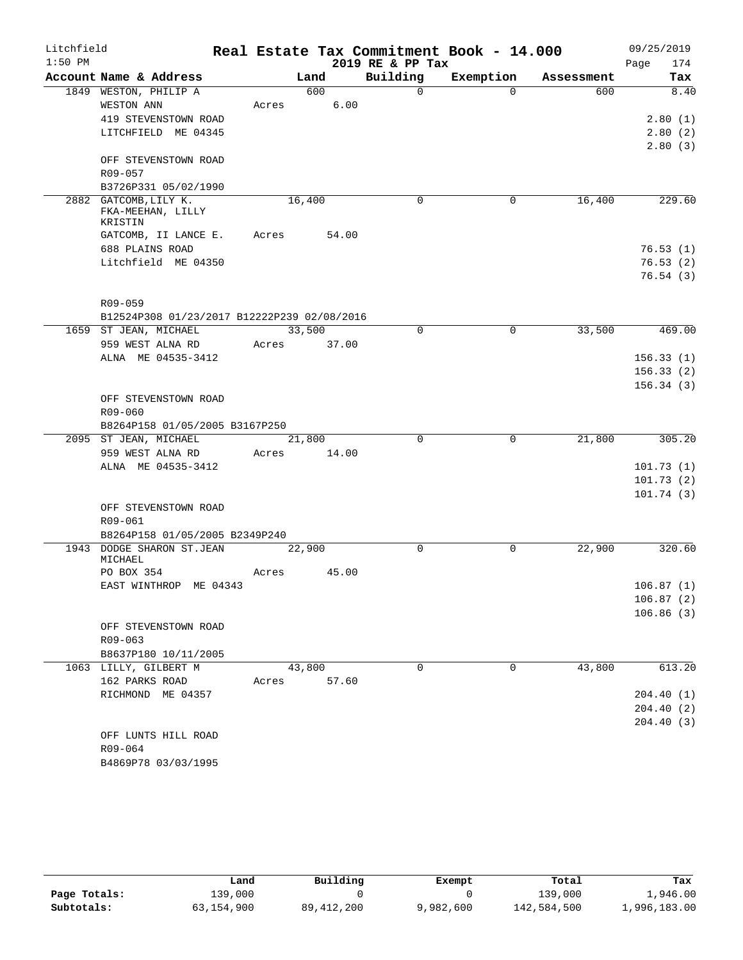| Litchfield<br>$1:50$ PM |                                                        |             |        |       | 2019 RE & PP Tax | Real Estate Tax Commitment Book - 14.000 |            | 09/25/2019<br>174<br>Page |
|-------------------------|--------------------------------------------------------|-------------|--------|-------|------------------|------------------------------------------|------------|---------------------------|
|                         | Account Name & Address                                 |             | Land   |       | Building         | Exemption                                | Assessment | Tax                       |
|                         | 1849 WESTON, PHILIP A                                  |             | 600    |       | $\Omega$         | $\Omega$                                 | 600        | 8.40                      |
|                         | WESTON ANN                                             | Acres       |        | 6.00  |                  |                                          |            |                           |
|                         | 419 STEVENSTOWN ROAD                                   |             |        |       |                  |                                          |            | 2.80(1)                   |
|                         | LITCHFIELD ME 04345                                    |             |        |       |                  |                                          |            | 2.80(2)                   |
|                         |                                                        |             |        |       |                  |                                          |            | 2.80(3)                   |
|                         | OFF STEVENSTOWN ROAD                                   |             |        |       |                  |                                          |            |                           |
|                         | R09-057                                                |             |        |       |                  |                                          |            |                           |
|                         | B3726P331 05/02/1990                                   |             |        |       |                  |                                          |            |                           |
|                         | 2882 GATCOMB, LILY K.                                  |             | 16,400 |       | 0                | 0                                        | 16,400     | 229.60                    |
|                         | FKA-MEEHAN, LILLY                                      |             |        |       |                  |                                          |            |                           |
|                         | KRISTIN                                                |             |        |       |                  |                                          |            |                           |
|                         | GATCOMB, II LANCE E.                                   | Acres       |        | 54.00 |                  |                                          |            |                           |
|                         | 688 PLAINS ROAD                                        |             |        |       |                  |                                          |            | 76.53(1)                  |
|                         | Litchfield ME 04350                                    |             |        |       |                  |                                          |            | 76.53(2)                  |
|                         |                                                        |             |        |       |                  |                                          |            | 76.54(3)                  |
|                         |                                                        |             |        |       |                  |                                          |            |                           |
|                         | R09-059<br>B12524P308 01/23/2017 B12222P239 02/08/2016 |             |        |       |                  |                                          |            |                           |
|                         | 1659 ST JEAN, MICHAEL                                  |             | 33,500 |       | $\mathbf 0$      | $\mathbf 0$                              | 33,500     | 469.00                    |
|                         | 959 WEST ALNA RD                                       | Acres 37.00 |        |       |                  |                                          |            |                           |
|                         | ALNA ME 04535-3412                                     |             |        |       |                  |                                          |            | 156.33(1)                 |
|                         |                                                        |             |        |       |                  |                                          |            | 156.33(2)                 |
|                         |                                                        |             |        |       |                  |                                          |            | 156.34(3)                 |
|                         | OFF STEVENSTOWN ROAD                                   |             |        |       |                  |                                          |            |                           |
|                         | $R09 - 060$                                            |             |        |       |                  |                                          |            |                           |
|                         | B8264P158 01/05/2005 B3167P250                         |             |        |       |                  |                                          |            |                           |
|                         | 2095 ST JEAN, MICHAEL                                  |             | 21,800 |       | $\Omega$         | $\mathbf 0$                              | 21,800     | 305.20                    |
|                         | 959 WEST ALNA RD                                       | Acres       |        | 14.00 |                  |                                          |            |                           |
|                         | ALNA ME 04535-3412                                     |             |        |       |                  |                                          |            | 101.73(1)                 |
|                         |                                                        |             |        |       |                  |                                          |            | 101.73(2)                 |
|                         |                                                        |             |        |       |                  |                                          |            | 101.74(3)                 |
|                         | OFF STEVENSTOWN ROAD                                   |             |        |       |                  |                                          |            |                           |
|                         | R09-061                                                |             |        |       |                  |                                          |            |                           |
|                         | B8264P158 01/05/2005 B2349P240                         |             |        |       |                  |                                          |            |                           |
|                         | 1943 DODGE SHARON ST.JEAN                              |             | 22,900 |       | 0                | 0                                        | 22,900     | 320.60                    |
|                         | MICHAEL                                                |             |        |       |                  |                                          |            |                           |
|                         | PO BOX 354                                             | Acres       |        | 45.00 |                  |                                          |            |                           |
|                         | EAST WINTHROP ME 04343                                 |             |        |       |                  |                                          |            | 106.87(1)                 |
|                         |                                                        |             |        |       |                  |                                          |            | 106.87(2)                 |
|                         |                                                        |             |        |       |                  |                                          |            | 106.86(3)                 |
|                         | OFF STEVENSTOWN ROAD<br>$R09 - 063$                    |             |        |       |                  |                                          |            |                           |
|                         | B8637P180 10/11/2005                                   |             |        |       |                  |                                          |            |                           |
|                         | 1063 LILLY, GILBERT M                                  |             | 43,800 |       | $\Omega$         | $\mathbf 0$                              | 43,800     | 613.20                    |
|                         | 162 PARKS ROAD                                         | Acres       |        | 57.60 |                  |                                          |            |                           |
|                         | RICHMOND ME 04357                                      |             |        |       |                  |                                          |            | 204.40(1)                 |
|                         |                                                        |             |        |       |                  |                                          |            | 204.40(2)                 |
|                         |                                                        |             |        |       |                  |                                          |            | 204.40(3)                 |
|                         | OFF LUNTS HILL ROAD                                    |             |        |       |                  |                                          |            |                           |
|                         | R09-064                                                |             |        |       |                  |                                          |            |                           |
|                         | B4869P78 03/03/1995                                    |             |        |       |                  |                                          |            |                           |

|              | Land       | Building     | Exempt    | Total       | Tax          |
|--------------|------------|--------------|-----------|-------------|--------------|
| Page Totals: | 139,000    |              |           | 139,000     | 1,946.00     |
| Subtotals:   | 63,154,900 | 89, 412, 200 | 9,982,600 | 142,584,500 | 1,996,183.00 |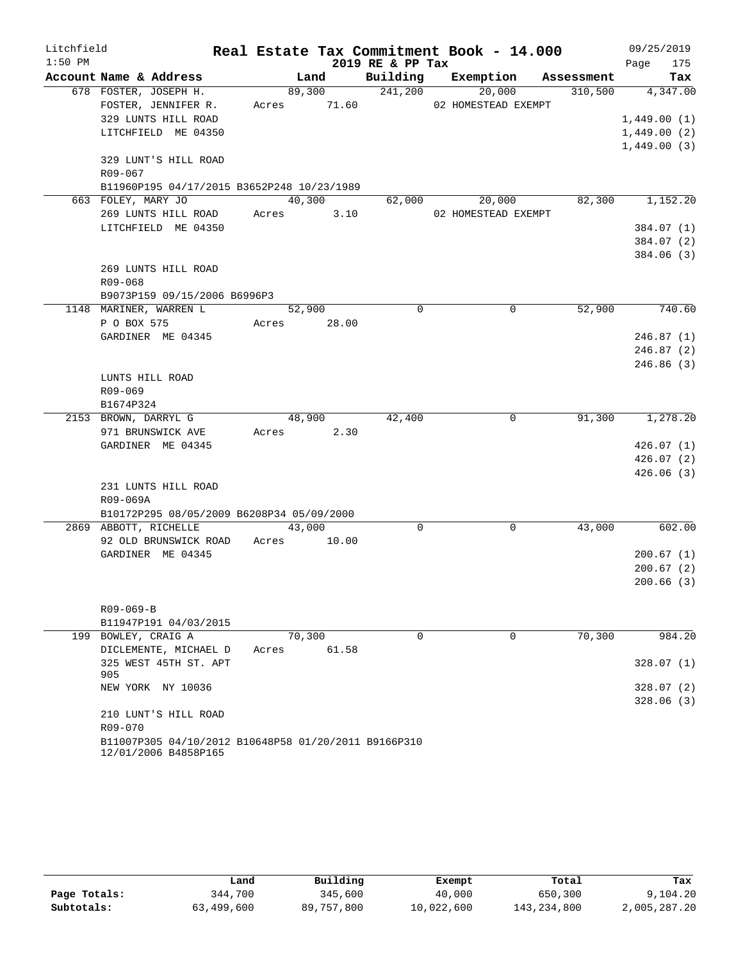| Litchfield |                                                                              |             |        |                  |                     | Real Estate Tax Commitment Book - 14.000 | 09/25/2019       |
|------------|------------------------------------------------------------------------------|-------------|--------|------------------|---------------------|------------------------------------------|------------------|
| $1:50$ PM  |                                                                              |             |        | 2019 RE & PP Tax |                     |                                          | 175<br>Page      |
|            | Account Name & Address                                                       |             |        |                  |                     | Land Building Exemption Assessment       | Tax              |
|            | 678 FOSTER, JOSEPH H.                                                        |             |        | 89,300 241,200   | 20,000              |                                          | 310,500 4,347.00 |
|            | FOSTER, JENNIFER R. Acres 71.60 02 HOMESTEAD EXEMPT                          |             |        |                  |                     |                                          |                  |
|            | 329 LUNTS HILL ROAD                                                          |             |        |                  |                     |                                          | 1,449.00(1)      |
|            | LITCHFIELD ME 04350                                                          |             |        |                  |                     |                                          | 1,449.00(2)      |
|            |                                                                              |             |        |                  |                     |                                          | 1,449.00(3)      |
|            | 329 LUNT'S HILL ROAD                                                         |             |        |                  |                     |                                          |                  |
|            | R09-067                                                                      |             |        |                  |                     |                                          |                  |
|            | B11960P195 04/17/2015 B3652P248 10/23/1989                                   |             |        |                  |                     |                                          |                  |
|            | 663 FOLEY, MARY JO                                                           |             | 40,300 |                  | 62,000 20,000       |                                          | 82,300 1,152.20  |
|            | 269 LUNTS HILL ROAD                                                          | Acres 3.10  |        |                  | 02 HOMESTEAD EXEMPT |                                          |                  |
|            | LITCHFIELD ME 04350                                                          |             |        |                  |                     |                                          | 384.07 (1)       |
|            |                                                                              |             |        |                  |                     |                                          | 384.07 (2)       |
|            |                                                                              |             |        |                  |                     |                                          | 384.06 (3)       |
|            | 269 LUNTS HILL ROAD                                                          |             |        |                  |                     |                                          |                  |
|            | R09-068                                                                      |             |        |                  |                     |                                          |                  |
|            | B9073P159 09/15/2006 B6996P3                                                 |             |        |                  |                     |                                          |                  |
|            | 1148 MARINER, WARREN L                                                       |             | 52,900 | $\Omega$         |                     | 52,900<br>$\Omega$                       | 740.60           |
|            | P O BOX 575                                                                  | Acres 28.00 |        |                  |                     |                                          |                  |
|            | GARDINER ME 04345                                                            |             |        |                  |                     |                                          | 246.87(1)        |
|            |                                                                              |             |        |                  |                     |                                          | 246.87(2)        |
|            |                                                                              |             |        |                  |                     |                                          | 246.86(3)        |
|            | LUNTS HILL ROAD                                                              |             |        |                  |                     |                                          |                  |
|            | R09-069                                                                      |             |        |                  |                     |                                          |                  |
|            | B1674P324                                                                    |             |        |                  |                     |                                          |                  |
|            | 2153 BROWN, DARRYL G                                                         | 48,900      |        | 42,400           |                     | $\overline{0}$                           | 91,300 1,278.20  |
|            | 971 BRUNSWICK AVE                                                            | Acres 2.30  |        |                  |                     |                                          |                  |
|            | GARDINER ME 04345                                                            |             |        |                  |                     |                                          | 426.07(1)        |
|            |                                                                              |             |        |                  |                     |                                          | 426.07(2)        |
|            |                                                                              |             |        |                  |                     |                                          | 426.06(3)        |
|            | 231 LUNTS HILL ROAD                                                          |             |        |                  |                     |                                          |                  |
|            | R09-069A                                                                     |             |        |                  |                     |                                          |                  |
|            | B10172P295 08/05/2009 B6208P34 05/09/2000                                    | 43,000      |        | $\Omega$         |                     | 43,000<br>$\Omega$                       | 602.00           |
|            | 2869 ABBOTT, RICHELLE<br>92 OLD BRUNSWICK ROAD Acres 10.00                   |             |        |                  |                     |                                          |                  |
|            | GARDINER ME 04345                                                            |             |        |                  |                     |                                          | 200.67(1)        |
|            |                                                                              |             |        |                  |                     |                                          | 200.67(2)        |
|            |                                                                              |             |        |                  |                     |                                          | 200.66(3)        |
|            |                                                                              |             |        |                  |                     |                                          |                  |
|            | $R09 - 069 - B$                                                              |             |        |                  |                     |                                          |                  |
|            | B11947P191 04/03/2015                                                        |             |        |                  |                     |                                          |                  |
|            | 199 BOWLEY, CRAIG A                                                          | 70,300      |        | $\Omega$         |                     | 70,300<br>$\Omega$                       | 984.20           |
|            | DICLEMENTE, MICHAEL D                                                        | Acres       | 61.58  |                  |                     |                                          |                  |
|            | 325 WEST 45TH ST. APT                                                        |             |        |                  |                     |                                          | 328.07(1)        |
|            | 905                                                                          |             |        |                  |                     |                                          |                  |
|            | NEW YORK NY 10036                                                            |             |        |                  |                     |                                          | 328.07(2)        |
|            |                                                                              |             |        |                  |                     |                                          | 328.06(3)        |
|            | 210 LUNT'S HILL ROAD                                                         |             |        |                  |                     |                                          |                  |
|            | R09-070                                                                      |             |        |                  |                     |                                          |                  |
|            | B11007P305 04/10/2012 B10648P58 01/20/2011 B9166P310<br>12/01/2006 B4858P165 |             |        |                  |                     |                                          |                  |

|              | Land       | Building   | Exempt     | Total       | Tax          |
|--------------|------------|------------|------------|-------------|--------------|
| Page Totals: | 344,700    | 345,600    | 40,000     | 650,300     | 9,104.20     |
| Subtotals:   | 63,499,600 | 89,757,800 | 10,022,600 | 143,234,800 | 2,005,287.20 |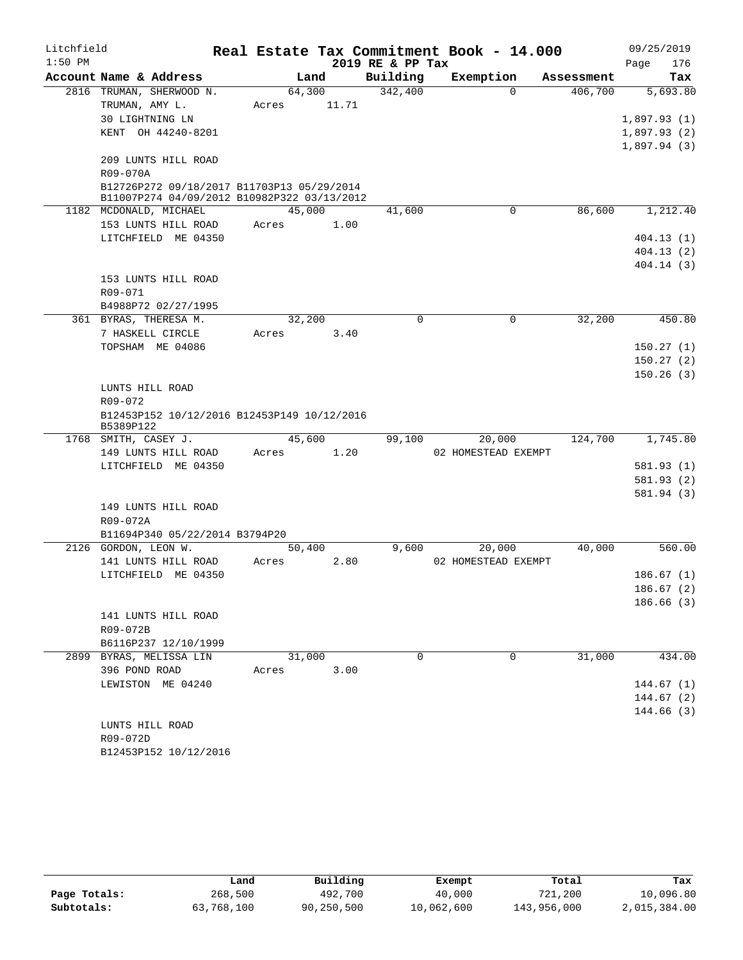| Litchfield |                                                                                           |       |        |       |                  | Real Estate Tax Commitment Book - 14.000 |             |            |             | 09/25/2019             |
|------------|-------------------------------------------------------------------------------------------|-------|--------|-------|------------------|------------------------------------------|-------------|------------|-------------|------------------------|
| $1:50$ PM  |                                                                                           |       |        |       | 2019 RE & PP Tax |                                          |             |            | Page        | 176                    |
|            | Account Name & Address                                                                    |       | Land   |       | Building         | Exemption                                |             | Assessment |             | Tax                    |
|            | 2816 TRUMAN, SHERWOOD N.                                                                  |       | 64,300 |       | 342,400          |                                          | $\Omega$    | 406,700    |             | 5,693.80               |
|            | TRUMAN, AMY L.                                                                            | Acres |        | 11.71 |                  |                                          |             |            |             |                        |
|            | 30 LIGHTNING LN                                                                           |       |        |       |                  |                                          |             |            | 1,897.93(1) |                        |
|            | KENT OH 44240-8201                                                                        |       |        |       |                  |                                          |             |            | 1,897.93(2) |                        |
|            |                                                                                           |       |        |       |                  |                                          |             |            | 1,897.94(3) |                        |
|            | 209 LUNTS HILL ROAD                                                                       |       |        |       |                  |                                          |             |            |             |                        |
|            | R09-070A                                                                                  |       |        |       |                  |                                          |             |            |             |                        |
|            | B12726P272 09/18/2017 B11703P13 05/29/2014<br>B11007P274 04/09/2012 B10982P322 03/13/2012 |       |        |       |                  |                                          |             |            |             |                        |
|            | 1182 MCDONALD, MICHAEL                                                                    |       | 45,000 |       | 41,600           |                                          | 0           | 86,600     |             | 1,212.40               |
|            | 153 LUNTS HILL ROAD                                                                       | Acres |        | 1.00  |                  |                                          |             |            |             |                        |
|            | LITCHFIELD ME 04350                                                                       |       |        |       |                  |                                          |             |            |             | 404.13(1)              |
|            |                                                                                           |       |        |       |                  |                                          |             |            |             | 404.13(2)              |
|            |                                                                                           |       |        |       |                  |                                          |             |            |             | 404.14(3)              |
|            | 153 LUNTS HILL ROAD                                                                       |       |        |       |                  |                                          |             |            |             |                        |
|            | R09-071                                                                                   |       |        |       |                  |                                          |             |            |             |                        |
|            | B4988P72 02/27/1995                                                                       |       |        |       |                  |                                          |             |            |             |                        |
|            | 361 BYRAS, THERESA M.                                                                     |       | 32,200 |       | 0                |                                          | $\mathbf 0$ | 32,200     |             | 450.80                 |
|            | 7 HASKELL CIRCLE                                                                          | Acres |        | 3.40  |                  |                                          |             |            |             |                        |
|            | TOPSHAM ME 04086                                                                          |       |        |       |                  |                                          |             |            |             | 150.27(1)              |
|            |                                                                                           |       |        |       |                  |                                          |             |            |             | 150.27(2)              |
|            |                                                                                           |       |        |       |                  |                                          |             |            |             | 150.26(3)              |
|            | LUNTS HILL ROAD                                                                           |       |        |       |                  |                                          |             |            |             |                        |
|            | R09-072<br>B12453P152 10/12/2016 B12453P149 10/12/2016                                    |       |        |       |                  |                                          |             |            |             |                        |
|            | B5389P122                                                                                 |       |        |       |                  |                                          |             |            |             |                        |
|            | 1768 SMITH, CASEY J.                                                                      |       | 45,600 |       | 99,100           | 20,000                                   |             | 124,700    |             | 1,745.80               |
|            | 149 LUNTS HILL ROAD                                                                       | Acres |        | 1.20  |                  | 02 HOMESTEAD EXEMPT                      |             |            |             |                        |
|            | LITCHFIELD ME 04350                                                                       |       |        |       |                  |                                          |             |            |             | 581.93(1)              |
|            |                                                                                           |       |        |       |                  |                                          |             |            |             | 581.93 (2)             |
|            |                                                                                           |       |        |       |                  |                                          |             |            |             | 581.94 (3)             |
|            | 149 LUNTS HILL ROAD                                                                       |       |        |       |                  |                                          |             |            |             |                        |
|            | R09-072A                                                                                  |       |        |       |                  |                                          |             |            |             |                        |
|            | B11694P340 05/22/2014 B3794P20                                                            |       |        |       |                  |                                          |             |            |             |                        |
|            | 2126 GORDON, LEON W.                                                                      |       | 50,400 |       | 9,600            | 20,000                                   |             | 40,000     |             | 560.00                 |
|            | 141 LUNTS HILL ROAD                                                                       | Acres |        | 2.80  |                  | 02 HOMESTEAD EXEMPT                      |             |            |             |                        |
|            | LITCHFIELD ME 04350                                                                       |       |        |       |                  |                                          |             |            |             | 186.67(1)<br>186.67(2) |
|            |                                                                                           |       |        |       |                  |                                          |             |            |             | 186.66(3)              |
|            | 141 LUNTS HILL ROAD                                                                       |       |        |       |                  |                                          |             |            |             |                        |
|            | R09-072B                                                                                  |       |        |       |                  |                                          |             |            |             |                        |
|            | B6116P237 12/10/1999                                                                      |       |        |       |                  |                                          |             |            |             |                        |
|            | 2899 BYRAS, MELISSA LIN                                                                   |       | 31,000 |       | $\Omega$         |                                          | $\Omega$    | 31,000     |             | 434.00                 |
|            | 396 POND ROAD                                                                             | Acres |        | 3.00  |                  |                                          |             |            |             |                        |
|            | LEWISTON ME 04240                                                                         |       |        |       |                  |                                          |             |            |             | 144.67(1)              |
|            |                                                                                           |       |        |       |                  |                                          |             |            |             | 144.67(2)              |
|            |                                                                                           |       |        |       |                  |                                          |             |            |             | 144.66(3)              |
|            | LUNTS HILL ROAD                                                                           |       |        |       |                  |                                          |             |            |             |                        |
|            | R09-072D                                                                                  |       |        |       |                  |                                          |             |            |             |                        |
|            | B12453P152 10/12/2016                                                                     |       |        |       |                  |                                          |             |            |             |                        |

|              | Land       | Building   | Exempt     | Total       | Tax          |
|--------------|------------|------------|------------|-------------|--------------|
| Page Totals: | 268,500    | 492,700    | 40,000     | 721,200     | 10,096.80    |
| Subtotals:   | 63,768,100 | 90,250,500 | 10,062,600 | 143,956,000 | 2,015,384.00 |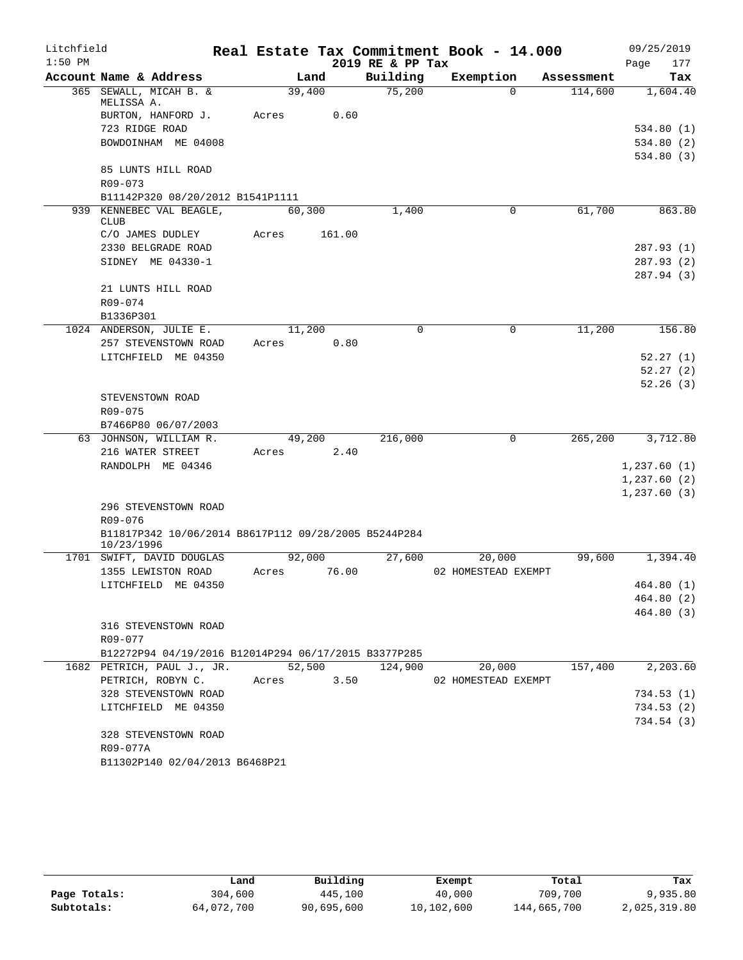| Litchfield |                                                      |                 |                  | Real Estate Tax Commitment Book - 14.000 | 09/25/2019           |
|------------|------------------------------------------------------|-----------------|------------------|------------------------------------------|----------------------|
| $1:50$ PM  |                                                      |                 | 2019 RE & PP Tax |                                          | 177<br>Page          |
|            | Account Name & Address                               | Land            | Building         | Exemption                                | Assessment<br>Tax    |
|            | 365 SEWALL, MICAH B. &<br>MELISSA A.                 | 39,400          | 75,200           | $\Omega$                                 | 114,600<br>1,604.40  |
|            | BURTON, HANFORD J.                                   | 0.60<br>Acres   |                  |                                          |                      |
|            | 723 RIDGE ROAD                                       |                 |                  |                                          | 534.80(1)            |
|            | BOWDOINHAM ME 04008                                  |                 |                  |                                          | 534.80 (2)           |
|            | 85 LUNTS HILL ROAD                                   |                 |                  |                                          | 534.80 (3)           |
|            | R09-073                                              |                 |                  |                                          |                      |
|            | B11142P320 08/20/2012 B1541P1111                     |                 |                  |                                          |                      |
|            | 939 KENNEBEC VAL BEAGLE,<br><b>CLUB</b>              | 60,300          | 1,400            | 0                                        | 61,700<br>863.80     |
|            | C/O JAMES DUDLEY                                     | 161.00<br>Acres |                  |                                          |                      |
|            | 2330 BELGRADE ROAD                                   |                 |                  |                                          | 287.93 (1)           |
|            | SIDNEY ME 04330-1                                    |                 |                  |                                          | 287.93(2)            |
|            |                                                      |                 |                  |                                          | 287.94 (3)           |
|            | 21 LUNTS HILL ROAD                                   |                 |                  |                                          |                      |
|            | $R09 - 074$                                          |                 |                  |                                          |                      |
|            | B1336P301                                            | 11,200          | $\Omega$         | $\mathbf 0$                              | 156.80<br>11,200     |
|            | 1024 ANDERSON, JULIE E.<br>257 STEVENSTOWN ROAD      | 0.80<br>Acres   |                  |                                          |                      |
|            | LITCHFIELD ME 04350                                  |                 |                  |                                          | 52.27(1)             |
|            |                                                      |                 |                  |                                          | 52.27(2)             |
|            |                                                      |                 |                  |                                          | 52.26(3)             |
|            | STEVENSTOWN ROAD                                     |                 |                  |                                          |                      |
|            | R09-075                                              |                 |                  |                                          |                      |
|            | B7466P80 06/07/2003                                  |                 |                  |                                          |                      |
|            | 63 JOHNSON, WILLIAM R.                               | 49,200          | 216,000          | $\mathbf 0$                              | 3,712.80<br>265,200  |
|            | 216 WATER STREET                                     | 2.40<br>Acres   |                  |                                          |                      |
|            | RANDOLPH ME 04346                                    |                 |                  |                                          | 1,237.60(1)          |
|            |                                                      |                 |                  |                                          | 1,237.60(2)          |
|            | 296 STEVENSTOWN ROAD                                 |                 |                  |                                          | 1, 237.60(3)         |
|            | R09-076                                              |                 |                  |                                          |                      |
|            | B11817P342 10/06/2014 B8617P112 09/28/2005 B5244P284 |                 |                  |                                          |                      |
|            | 10/23/1996                                           |                 |                  |                                          |                      |
|            | 1701 SWIFT, DAVID DOUGLAS                            | 92,000<br>76.00 | 27,600           | 20,000                                   | 99,600<br>1,394.40   |
|            | 1355 LEWISTON ROAD<br>LITCHFIELD ME 04350            | Acres           |                  | 02 HOMESTEAD EXEMPT                      | 464.80 (1)           |
|            |                                                      |                 |                  |                                          | 464.80 (2)           |
|            |                                                      |                 |                  |                                          | 464.80(3)            |
|            | 316 STEVENSTOWN ROAD                                 |                 |                  |                                          |                      |
|            | R09-077                                              |                 |                  |                                          |                      |
|            | B12272P94 04/19/2016 B12014P294 06/17/2015 B3377P285 |                 |                  |                                          |                      |
|            | 1682 PETRICH, PAUL J., JR. 52,500 124,900            |                 |                  | 20,000                                   | 2, 203.60<br>157,400 |
|            | PETRICH, ROBYN C. Acres 3.50                         |                 |                  | 02 HOMESTEAD EXEMPT                      |                      |
|            | 328 STEVENSTOWN ROAD                                 |                 |                  |                                          | 734.53(1)            |
|            | LITCHFIELD ME 04350                                  |                 |                  |                                          | 734.53(2)            |
|            |                                                      |                 |                  |                                          | 734.54(3)            |
|            | 328 STEVENSTOWN ROAD<br>R09-077A                     |                 |                  |                                          |                      |
|            | B11302P140 02/04/2013 B6468P21                       |                 |                  |                                          |                      |
|            |                                                      |                 |                  |                                          |                      |

|              | Land       | Building   | Exempt     | Total       | Tax          |
|--------------|------------|------------|------------|-------------|--------------|
| Page Totals: | 304,600    | 445,100    | 40,000     | 709,700     | 9,935.80     |
| Subtotals:   | 64,072,700 | 90,695,600 | 10,102,600 | 144,665,700 | 2,025,319.80 |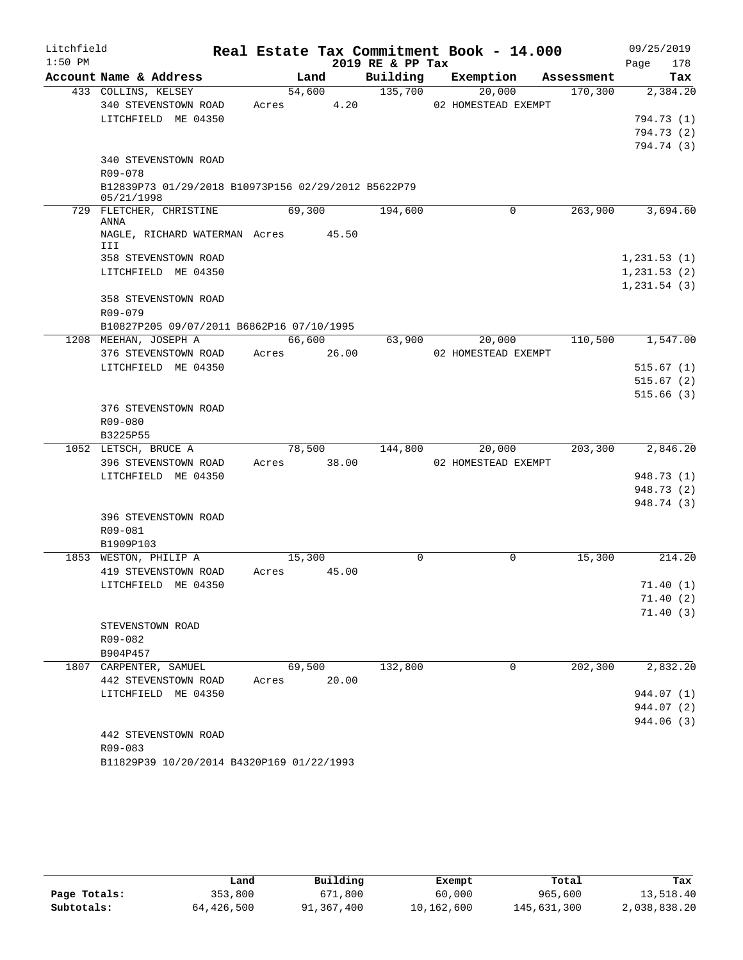| Litchfield |                                                     |             |                 |      | Real Estate Tax Commitment Book - 14.000 |                     |            |              | 09/25/2019             |
|------------|-----------------------------------------------------|-------------|-----------------|------|------------------------------------------|---------------------|------------|--------------|------------------------|
| $1:50$ PM  |                                                     |             |                 |      | 2019 RE & PP Tax                         |                     |            | Page         | 178                    |
|            | Account Name & Address                              |             | Land            |      | Building                                 | Exemption           | Assessment |              | Tax                    |
|            | 433 COLLINS, KELSEY                                 |             | 54,600          |      | 135,700                                  | 20,000              | 170,300    |              | 2,384.20               |
|            | 340 STEVENSTOWN ROAD                                | Acres       |                 | 4.20 |                                          | 02 HOMESTEAD EXEMPT |            |              |                        |
|            | LITCHFIELD ME 04350                                 |             |                 |      |                                          |                     |            |              | 794.73 (1)             |
|            |                                                     |             |                 |      |                                          |                     |            |              | 794.73 (2)             |
|            | 340 STEVENSTOWN ROAD                                |             |                 |      |                                          |                     |            |              | 794.74 (3)             |
|            | R09-078                                             |             |                 |      |                                          |                     |            |              |                        |
|            | B12839P73 01/29/2018 B10973P156 02/29/2012 B5622P79 |             |                 |      |                                          |                     |            |              |                        |
|            | 05/21/1998                                          |             |                 |      |                                          |                     |            |              |                        |
|            | 729 FLETCHER, CHRISTINE<br>ANNA                     |             | 69,300          |      | 194,600                                  | 0                   | 263,900    |              | 3,694.60               |
|            | NAGLE, RICHARD WATERMAN Acres 45.50                 |             |                 |      |                                          |                     |            |              |                        |
|            | III                                                 |             |                 |      |                                          |                     |            |              |                        |
|            | 358 STEVENSTOWN ROAD                                |             |                 |      |                                          |                     |            | 1,231.53(1)  |                        |
|            | LITCHFIELD ME 04350                                 |             |                 |      |                                          |                     |            | 1, 231.53(2) |                        |
|            |                                                     |             |                 |      |                                          |                     |            | 1, 231.54(3) |                        |
|            | 358 STEVENSTOWN ROAD                                |             |                 |      |                                          |                     |            |              |                        |
|            | R09-079                                             |             |                 |      |                                          |                     |            |              |                        |
|            | B10827P205 09/07/2011 B6862P16 07/10/1995           |             |                 |      |                                          |                     |            |              |                        |
|            | 1208 MEEHAN, JOSEPH A                               |             | 66,600          |      | 63,900                                   | 20,000              | 110,500    |              | 1,547.00               |
|            | 376 STEVENSTOWN ROAD<br>LITCHFIELD ME 04350         | Acres 26.00 |                 |      |                                          | 02 HOMESTEAD EXEMPT |            |              |                        |
|            |                                                     |             |                 |      |                                          |                     |            |              | 515.67(1)<br>515.67(2) |
|            |                                                     |             |                 |      |                                          |                     |            |              | 515.66(3)              |
|            | 376 STEVENSTOWN ROAD                                |             |                 |      |                                          |                     |            |              |                        |
|            | R09-080                                             |             |                 |      |                                          |                     |            |              |                        |
|            | B3225P55                                            |             |                 |      |                                          |                     |            |              |                        |
|            | 1052 LETSCH, BRUCE A                                |             | 78,500          |      | 144,800                                  | 20,000              | 203,300    |              | 2,846.20               |
|            | 396 STEVENSTOWN ROAD                                | Acres 38.00 |                 |      |                                          | 02 HOMESTEAD EXEMPT |            |              |                        |
|            | LITCHFIELD ME 04350                                 |             |                 |      |                                          |                     |            |              | 948.73 (1)             |
|            |                                                     |             |                 |      |                                          |                     |            |              | 948.73 (2)             |
|            |                                                     |             |                 |      |                                          |                     |            |              | 948.74 (3)             |
|            | 396 STEVENSTOWN ROAD                                |             |                 |      |                                          |                     |            |              |                        |
|            | R09-081                                             |             |                 |      |                                          |                     |            |              |                        |
|            | B1909P103                                           |             |                 |      |                                          |                     |            |              |                        |
|            | 1853 WESTON, PHILIP A                               |             | 15,300<br>45.00 |      | $\Omega$                                 | $\Omega$            | 15,300     |              | 214.20                 |
|            | 419 STEVENSTOWN ROAD                                | Acres       |                 |      |                                          |                     |            |              |                        |
|            | LITCHFIELD ME 04350                                 |             |                 |      |                                          |                     |            |              | 71.40(1)<br>71.40(2)   |
|            |                                                     |             |                 |      |                                          |                     |            |              | 71.40(3)               |
|            | STEVENSTOWN ROAD                                    |             |                 |      |                                          |                     |            |              |                        |
|            | R09-082                                             |             |                 |      |                                          |                     |            |              |                        |
|            | B904P457                                            |             |                 |      |                                          |                     |            |              |                        |
|            | 1807 CARPENTER, SAMUEL                              |             | 69,500          |      | 132,800                                  | 0                   | 202,300    |              | 2,832.20               |
|            | 442 STEVENSTOWN ROAD                                | Acres       | 20.00           |      |                                          |                     |            |              |                        |
|            | LITCHFIELD ME 04350                                 |             |                 |      |                                          |                     |            |              | 944.07 (1)             |
|            |                                                     |             |                 |      |                                          |                     |            |              | 944.07 (2)             |
|            |                                                     |             |                 |      |                                          |                     |            |              | 944.06 (3)             |
|            | 442 STEVENSTOWN ROAD                                |             |                 |      |                                          |                     |            |              |                        |
|            | R09-083                                             |             |                 |      |                                          |                     |            |              |                        |
|            | B11829P39 10/20/2014 B4320P169 01/22/1993           |             |                 |      |                                          |                     |            |              |                        |

|              | Land       | Building   | Exempt     | Total       | Tax          |
|--------------|------------|------------|------------|-------------|--------------|
| Page Totals: | 353,800    | 671,800    | 60,000     | 965,600     | 13,518.40    |
| Subtotals:   | 64,426,500 | 91,367,400 | 10,162,600 | 145,631,300 | 2,038,838.20 |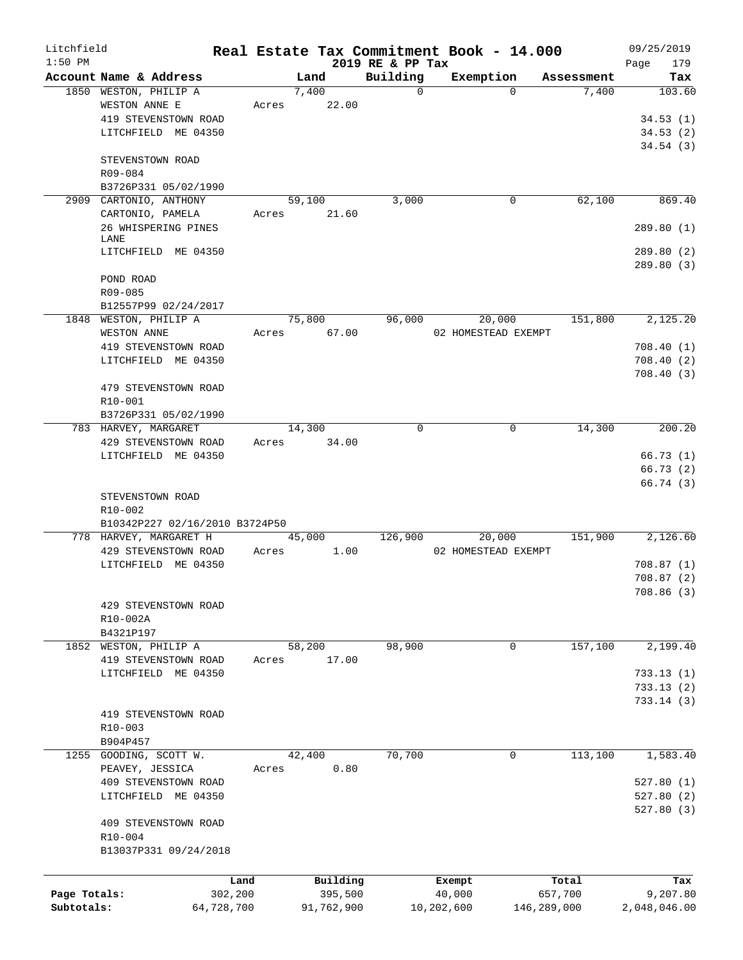| Litchfield   |                                             |            |             |                              | Real Estate Tax Commitment Book - 14.000 |             | 09/25/2019             |
|--------------|---------------------------------------------|------------|-------------|------------------------------|------------------------------------------|-------------|------------------------|
| $1:50$ PM    | Account Name & Address                      |            | Land        | 2019 RE & PP Tax<br>Building | Exemption                                | Assessment  | 179<br>Page<br>Tax     |
|              | 1850 WESTON, PHILIP A                       |            | 7,400       | $\mathbf 0$                  | $\Omega$                                 | 7,400       | 103.60                 |
|              | WESTON ANNE E                               | Acres      | 22.00       |                              |                                          |             |                        |
|              | 419 STEVENSTOWN ROAD                        |            |             |                              |                                          |             | 34.53(1)               |
|              | LITCHFIELD ME 04350                         |            |             |                              |                                          |             | 34.53(2)               |
|              |                                             |            |             |                              |                                          |             | 34.54(3)               |
|              | STEVENSTOWN ROAD                            |            |             |                              |                                          |             |                        |
|              | R09-084                                     |            |             |                              |                                          |             |                        |
|              | B3726P331 05/02/1990                        |            |             |                              |                                          |             |                        |
|              | 2909 CARTONIO, ANTHONY                      |            | 59,100      | 3,000                        | 0                                        | 62,100      | 869.40                 |
|              | CARTONIO, PAMELA                            | Acres      | 21.60       |                              |                                          |             |                        |
|              | 26 WHISPERING PINES                         |            |             |                              |                                          |             | 289.80(1)              |
|              | LANE<br>LITCHFIELD ME 04350                 |            |             |                              |                                          |             |                        |
|              |                                             |            |             |                              |                                          |             | 289.80(2)<br>289.80(3) |
|              | POND ROAD                                   |            |             |                              |                                          |             |                        |
|              | R09-085                                     |            |             |                              |                                          |             |                        |
|              | B12557P99 02/24/2017                        |            |             |                              |                                          |             |                        |
|              | 1848 WESTON, PHILIP A                       |            | 75,800      | 96,000                       | 20,000                                   | 151,800     | 2,125.20               |
|              | WESTON ANNE                                 | Acres      | 67.00       |                              | 02 HOMESTEAD EXEMPT                      |             |                        |
|              | 419 STEVENSTOWN ROAD                        |            |             |                              |                                          |             | 708.40(1)              |
|              | LITCHFIELD ME 04350                         |            |             |                              |                                          |             | 708.40(2)              |
|              |                                             |            |             |                              |                                          |             | 708.40(3)              |
|              | 479 STEVENSTOWN ROAD                        |            |             |                              |                                          |             |                        |
|              | R10-001                                     |            |             |                              |                                          |             |                        |
|              | B3726P331 05/02/1990                        |            |             |                              |                                          |             |                        |
|              | 783 HARVEY, MARGARET                        |            | 14,300      | $\Omega$                     | $\Omega$                                 | 14,300      | 200.20                 |
|              | 429 STEVENSTOWN ROAD                        |            | Acres 34.00 |                              |                                          |             |                        |
|              | LITCHFIELD ME 04350                         |            |             |                              |                                          |             | 66.73(1)               |
|              |                                             |            |             |                              |                                          |             | 66.73(2)               |
|              |                                             |            |             |                              |                                          |             | 66.74(3)               |
|              | STEVENSTOWN ROAD                            |            |             |                              |                                          |             |                        |
|              | R <sub>10</sub> -002                        |            |             |                              |                                          |             |                        |
|              | B10342P227 02/16/2010 B3724P50              |            |             |                              |                                          |             |                        |
|              | 778 HARVEY, MARGARET H                      |            | 45,000      | 126,900                      | 20,000                                   | 151,900     | 2,126.60               |
|              | 429 STEVENSTOWN ROAD<br>LITCHFIELD ME 04350 | Acres      | 1.00        |                              | 02 HOMESTEAD EXEMPT                      |             | 708.87(1)              |
|              |                                             |            |             |                              |                                          |             | 708.87(2)              |
|              |                                             |            |             |                              |                                          |             | 708.86 (3)             |
|              | 429 STEVENSTOWN ROAD                        |            |             |                              |                                          |             |                        |
|              | R10-002A                                    |            |             |                              |                                          |             |                        |
|              | B4321P197                                   |            |             |                              |                                          |             |                        |
|              | 1852 WESTON, PHILIP A                       |            | 58,200      | 98,900                       | 0                                        | 157,100     | 2,199.40               |
|              | 419 STEVENSTOWN ROAD                        | Acres      | 17.00       |                              |                                          |             |                        |
|              | LITCHFIELD ME 04350                         |            |             |                              |                                          |             | 733.13(1)              |
|              |                                             |            |             |                              |                                          |             | 733.13(2)              |
|              |                                             |            |             |                              |                                          |             | 733.14(3)              |
|              | 419 STEVENSTOWN ROAD                        |            |             |                              |                                          |             |                        |
|              | R10-003                                     |            |             |                              |                                          |             |                        |
|              | B904P457                                    |            |             |                              |                                          |             |                        |
|              | 1255 GOODING, SCOTT W.                      |            | 42,400      | 70,700                       | 0                                        | 113,100     | 1,583.40               |
|              | PEAVEY, JESSICA                             | Acres      | 0.80        |                              |                                          |             |                        |
|              | 409 STEVENSTOWN ROAD                        |            |             |                              |                                          |             | 527.80(1)              |
|              | LITCHFIELD ME 04350                         |            |             |                              |                                          |             | 527.80(2)              |
|              |                                             |            |             |                              |                                          |             | 527.80(3)              |
|              | 409 STEVENSTOWN ROAD                        |            |             |                              |                                          |             |                        |
|              | R10-004                                     |            |             |                              |                                          |             |                        |
|              | B13037P331 09/24/2018                       |            |             |                              |                                          |             |                        |
|              |                                             | Land       | Building    |                              | Exempt                                   | Total       |                        |
| Page Totals: |                                             | 302,200    | 395,500     |                              | 40,000                                   | 657,700     | Tax<br>9,207.80        |
| Subtotals:   |                                             | 64,728,700 | 91,762,900  |                              | 10,202,600                               | 146,289,000 | 2,048,046.00           |
|              |                                             |            |             |                              |                                          |             |                        |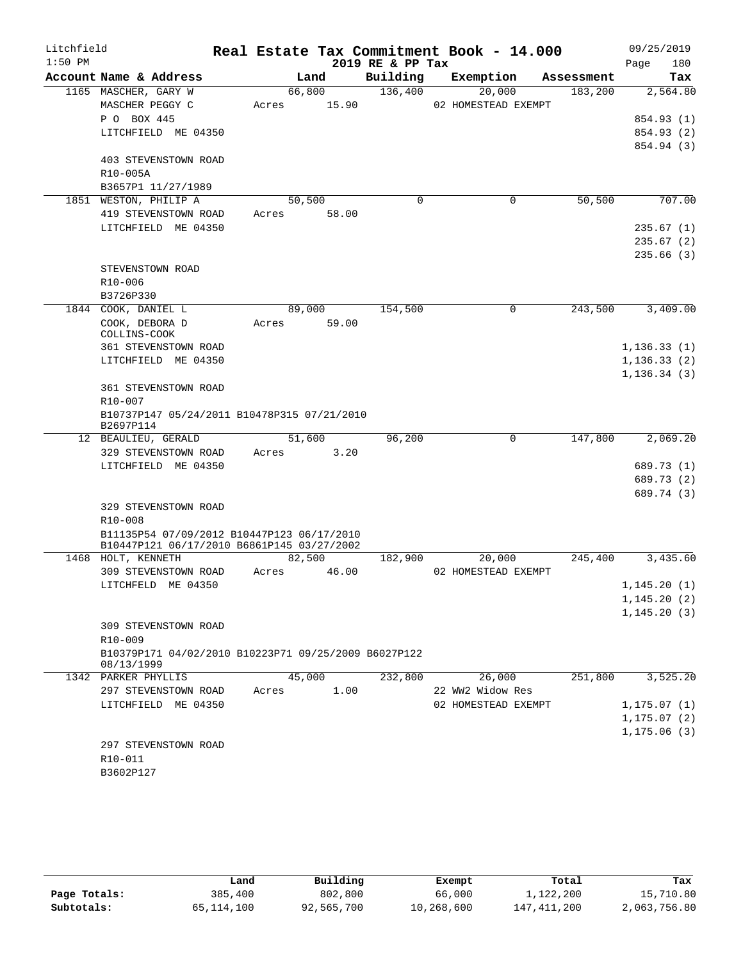| Litchfield |                                                                                          |       |        |       |                  | Real Estate Tax Commitment Book - 14.000 |            | 09/25/2019                   |
|------------|------------------------------------------------------------------------------------------|-------|--------|-------|------------------|------------------------------------------|------------|------------------------------|
| $1:50$ PM  |                                                                                          |       |        |       | 2019 RE & PP Tax |                                          |            | Page<br>180                  |
|            | Account Name & Address                                                                   |       | Land   |       | Building         | Exemption                                | Assessment | Tax                          |
|            | 1165 MASCHER, GARY W                                                                     |       | 66,800 |       | 136,400          | 20,000                                   | 183,200    | 2,564.80                     |
|            | MASCHER PEGGY C                                                                          | Acres |        | 15.90 |                  | 02 HOMESTEAD EXEMPT                      |            |                              |
|            | P O BOX 445                                                                              |       |        |       |                  |                                          |            | 854.93 (1)                   |
|            | LITCHFIELD ME 04350                                                                      |       |        |       |                  |                                          |            | 854.93 (2)                   |
|            | 403 STEVENSTOWN ROAD                                                                     |       |        |       |                  |                                          |            | 854.94 (3)                   |
|            | R10-005A                                                                                 |       |        |       |                  |                                          |            |                              |
|            | B3657P1 11/27/1989                                                                       |       |        |       |                  |                                          |            |                              |
|            | 1851 WESTON, PHILIP A                                                                    |       | 50,500 |       | $\mathbf 0$      | $\mathbf 0$                              | 50, 500    | 707.00                       |
|            | 419 STEVENSTOWN ROAD                                                                     | Acres |        | 58.00 |                  |                                          |            |                              |
|            | LITCHFIELD ME 04350                                                                      |       |        |       |                  |                                          |            | 235.67(1)                    |
|            |                                                                                          |       |        |       |                  |                                          |            | 235.67(2)                    |
|            |                                                                                          |       |        |       |                  |                                          |            | 235.66(3)                    |
|            | STEVENSTOWN ROAD                                                                         |       |        |       |                  |                                          |            |                              |
|            | R10-006                                                                                  |       |        |       |                  |                                          |            |                              |
|            | B3726P330                                                                                |       |        |       |                  |                                          |            |                              |
|            | 1844 COOK, DANIEL L                                                                      |       | 89,000 |       | 154,500          | $\mathbf 0$                              | 243,500    | 3,409.00                     |
|            | COOK, DEBORA D                                                                           | Acres |        | 59.00 |                  |                                          |            |                              |
|            | COLLINS-COOK                                                                             |       |        |       |                  |                                          |            |                              |
|            | <b>361 STEVENSTOWN ROAD</b>                                                              |       |        |       |                  |                                          |            | 1, 136.33(1)                 |
|            | LITCHFIELD ME 04350                                                                      |       |        |       |                  |                                          |            | 1, 136.33(2)                 |
|            |                                                                                          |       |        |       |                  |                                          |            | 1, 136.34(3)                 |
|            | 361 STEVENSTOWN ROAD<br>R10-007                                                          |       |        |       |                  |                                          |            |                              |
|            | B10737P147 05/24/2011 B10478P315 07/21/2010                                              |       |        |       |                  |                                          |            |                              |
|            | B2697P114                                                                                |       |        |       |                  |                                          |            |                              |
|            | 12 BEAULIEU, GERALD                                                                      |       | 51,600 |       | 96,200           | 0                                        | 147,800    | 2,069.20                     |
|            | 329 STEVENSTOWN ROAD                                                                     | Acres |        | 3.20  |                  |                                          |            |                              |
|            | LITCHFIELD ME 04350                                                                      |       |        |       |                  |                                          |            | 689.73 (1)                   |
|            |                                                                                          |       |        |       |                  |                                          |            | 689.73 (2)                   |
|            |                                                                                          |       |        |       |                  |                                          |            | 689.74 (3)                   |
|            | 329 STEVENSTOWN ROAD                                                                     |       |        |       |                  |                                          |            |                              |
|            | R10-008                                                                                  |       |        |       |                  |                                          |            |                              |
|            | B11135P54 07/09/2012 B10447P123 06/17/2010<br>B10447P121 06/17/2010 B6861P145 03/27/2002 |       |        |       |                  |                                          |            |                              |
|            | 1468 HOLT, KENNETH                                                                       |       | 82,500 |       | 182,900          | 20,000                                   | 245,400    | 3,435.60                     |
|            | 309 STEVENSTOWN ROAD                                                                     | Acres |        | 46.00 |                  | 02 HOMESTEAD EXEMPT                      |            |                              |
|            | LITCHFELD ME 04350                                                                       |       |        |       |                  |                                          |            | 1, 145.20(1)                 |
|            |                                                                                          |       |        |       |                  |                                          |            | 1,145.20(2)                  |
|            |                                                                                          |       |        |       |                  |                                          |            | 1, 145.20(3)                 |
|            | 309 STEVENSTOWN ROAD                                                                     |       |        |       |                  |                                          |            |                              |
|            | R10-009                                                                                  |       |        |       |                  |                                          |            |                              |
|            | B10379P171 04/02/2010 B10223P71 09/25/2009 B6027P122                                     |       |        |       |                  |                                          |            |                              |
|            | 08/13/1999                                                                               |       |        |       |                  |                                          |            |                              |
|            | 1342 PARKER PHYLLIS                                                                      |       | 45,000 |       | 232,800          | 26,000                                   | 251,800    | 3,525.20                     |
|            | 297 STEVENSTOWN ROAD<br>LITCHFIELD ME 04350                                              | Acres |        | 1.00  |                  | 22 WW2 Widow Res<br>02 HOMESTEAD EXEMPT  |            |                              |
|            |                                                                                          |       |        |       |                  |                                          |            | 1, 175.07(1)                 |
|            |                                                                                          |       |        |       |                  |                                          |            | 1, 175.07(2)<br>1, 175.06(3) |
|            | 297 STEVENSTOWN ROAD                                                                     |       |        |       |                  |                                          |            |                              |
|            | R10-011                                                                                  |       |        |       |                  |                                          |            |                              |
|            | B3602P127                                                                                |       |        |       |                  |                                          |            |                              |
|            |                                                                                          |       |        |       |                  |                                          |            |                              |

|              | Land         | Building   | Exempt     | Total         | Tax          |
|--------------|--------------|------------|------------|---------------|--------------|
| Page Totals: | 385,400      | 802,800    | 66,000     | 1,122,200     | 15,710.80    |
| Subtotals:   | 65, 114, 100 | 92,565,700 | 10,268,600 | 147, 411, 200 | 2,063,756.80 |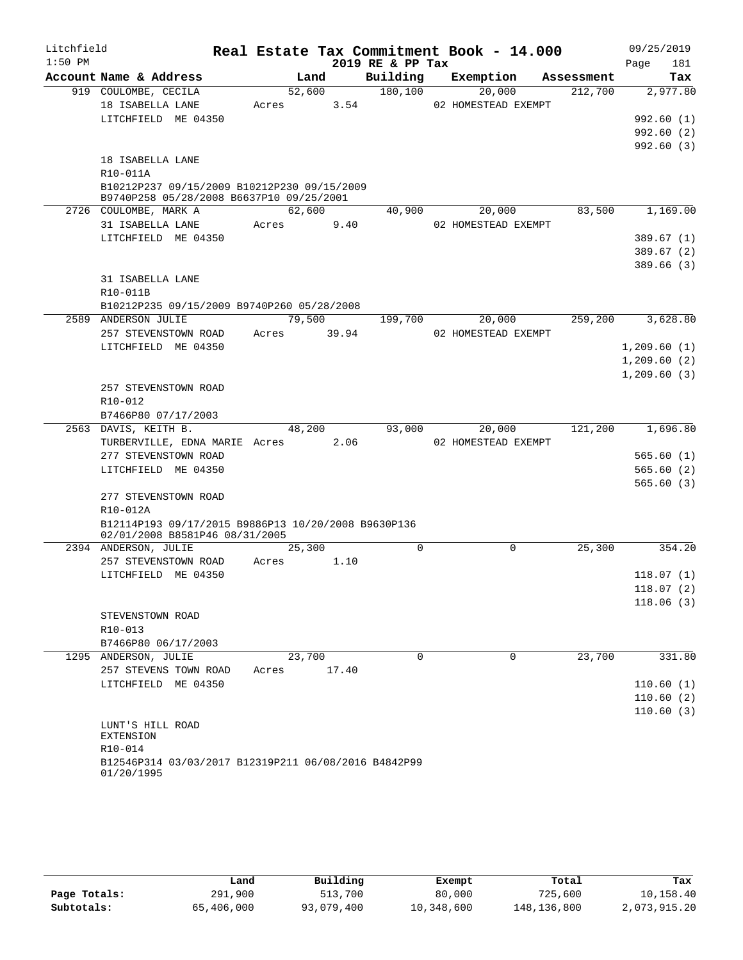| Litchfield |                                                                                         |        |      |       |                  | Real Estate Tax Commitment Book - 14.000 |            |             | 09/25/2019 |
|------------|-----------------------------------------------------------------------------------------|--------|------|-------|------------------|------------------------------------------|------------|-------------|------------|
| $1:50$ PM  |                                                                                         |        |      |       | 2019 RE & PP Tax |                                          |            | Page        | 181        |
|            | Account Name & Address                                                                  |        | Land |       | Building         | Exemption                                | Assessment |             | Tax        |
|            | 919 COULOMBE, CECILA                                                                    | 52,600 |      |       | 180,100          | 20,000                                   | 212,700    |             | 2,977.80   |
|            | 18 ISABELLA LANE                                                                        | Acres  |      | 3.54  |                  | 02 HOMESTEAD EXEMPT                      |            |             |            |
|            | LITCHFIELD ME 04350                                                                     |        |      |       |                  |                                          |            |             | 992.60(1)  |
|            |                                                                                         |        |      |       |                  |                                          |            |             | 992.60(2)  |
|            |                                                                                         |        |      |       |                  |                                          |            |             | 992.60(3)  |
|            | 18 ISABELLA LANE                                                                        |        |      |       |                  |                                          |            |             |            |
|            | R10-011A                                                                                |        |      |       |                  |                                          |            |             |            |
|            | B10212P237 09/15/2009 B10212P230 09/15/2009<br>B9740P258 05/28/2008 B6637P10 09/25/2001 |        |      |       |                  |                                          |            |             |            |
|            | 2726 COULOMBE, MARK A                                                                   | 62,600 |      |       | 40,900           | 20,000                                   | 83,500     |             | 1,169.00   |
|            | 31 ISABELLA LANE                                                                        | Acres  |      | 9.40  |                  | 02 HOMESTEAD EXEMPT                      |            |             |            |
|            | LITCHFIELD ME 04350                                                                     |        |      |       |                  |                                          |            |             | 389.67(1)  |
|            |                                                                                         |        |      |       |                  |                                          |            |             | 389.67(2)  |
|            |                                                                                         |        |      |       |                  |                                          |            |             | 389.66(3)  |
|            | 31 ISABELLA LANE                                                                        |        |      |       |                  |                                          |            |             |            |
|            | R10-011B                                                                                |        |      |       |                  |                                          |            |             |            |
|            | B10212P235 09/15/2009 B9740P260 05/28/2008                                              |        |      |       |                  |                                          |            |             |            |
|            | 2589 ANDERSON JULIE                                                                     | 79,500 |      |       | 199,700          | 20,000                                   | 259,200    |             | 3,628.80   |
|            | 257 STEVENSTOWN ROAD                                                                    | Acres  |      | 39.94 |                  | 02 HOMESTEAD EXEMPT                      |            |             |            |
|            | LITCHFIELD ME 04350                                                                     |        |      |       |                  |                                          |            | 1,209.60(1) |            |
|            |                                                                                         |        |      |       |                  |                                          |            | 1,209.60(2) |            |
|            |                                                                                         |        |      |       |                  |                                          |            | 1,209.60(3) |            |
|            | 257 STEVENSTOWN ROAD                                                                    |        |      |       |                  |                                          |            |             |            |
|            | R10-012                                                                                 |        |      |       |                  |                                          |            |             |            |
|            | B7466P80 07/17/2003                                                                     |        |      |       |                  |                                          |            |             |            |
|            | 2563 DAVIS, KEITH B.                                                                    | 48,200 |      |       | 93,000           | 20,000                                   | 121,200    |             | 1,696.80   |
|            | TURBERVILLE, EDNA MARIE Acres                                                           |        |      | 2.06  |                  | 02 HOMESTEAD EXEMPT                      |            |             |            |
|            | 277 STEVENSTOWN ROAD                                                                    |        |      |       |                  |                                          |            |             | 565.60(1)  |
|            | LITCHFIELD ME 04350                                                                     |        |      |       |                  |                                          |            |             | 565.60(2)  |
|            |                                                                                         |        |      |       |                  |                                          |            |             | 565.60(3)  |
|            | 277 STEVENSTOWN ROAD                                                                    |        |      |       |                  |                                          |            |             |            |
|            | R10-012A                                                                                |        |      |       |                  |                                          |            |             |            |
|            | B12114P193 09/17/2015 B9886P13 10/20/2008 B9630P136                                     |        |      |       |                  |                                          |            |             |            |
|            | 02/01/2008 B8581P46 08/31/2005                                                          |        |      |       |                  |                                          |            |             |            |
|            | 2394 ANDERSON, JULIE                                                                    | 25,300 |      |       | $\mathbf 0$      | $\mathbf 0$                              | 25,300     |             | 354.20     |
|            | 257 STEVENSTOWN ROAD                                                                    | Acres  |      | 1.10  |                  |                                          |            |             |            |
|            | LITCHFIELD ME 04350                                                                     |        |      |       |                  |                                          |            |             | 118.07(1)  |
|            |                                                                                         |        |      |       |                  |                                          |            |             | 118.07(2)  |
|            |                                                                                         |        |      |       |                  |                                          |            |             | 118.06(3)  |
|            | STEVENSTOWN ROAD<br>R10-013                                                             |        |      |       |                  |                                          |            |             |            |
|            | B7466P80 06/17/2003                                                                     |        |      |       |                  |                                          |            |             |            |
|            | 1295 ANDERSON, JULIE                                                                    | 23,700 |      |       | $\Omega$         | $\Omega$                                 | 23,700     |             | 331.80     |
|            | 257 STEVENS TOWN ROAD                                                                   | Acres  |      | 17.40 |                  |                                          |            |             |            |
|            | LITCHFIELD ME 04350                                                                     |        |      |       |                  |                                          |            |             | 110.60(1)  |
|            |                                                                                         |        |      |       |                  |                                          |            |             | 110.60(2)  |
|            |                                                                                         |        |      |       |                  |                                          |            |             | 110.60(3)  |
|            | LUNT'S HILL ROAD                                                                        |        |      |       |                  |                                          |            |             |            |
|            | <b>EXTENSION</b>                                                                        |        |      |       |                  |                                          |            |             |            |
|            | R10-014                                                                                 |        |      |       |                  |                                          |            |             |            |
|            | B12546P314 03/03/2017 B12319P211 06/08/2016 B4842P99<br>01/20/1995                      |        |      |       |                  |                                          |            |             |            |

|              | Land       | Building   | Exempt     | Total         | Tax          |
|--------------|------------|------------|------------|---------------|--------------|
| Page Totals: | 291,900    | 513,700    | 80,000     | 725,600       | 10,158.40    |
| Subtotals:   | 65,406,000 | 93,079,400 | 10,348,600 | 148, 136, 800 | 2,073,915.20 |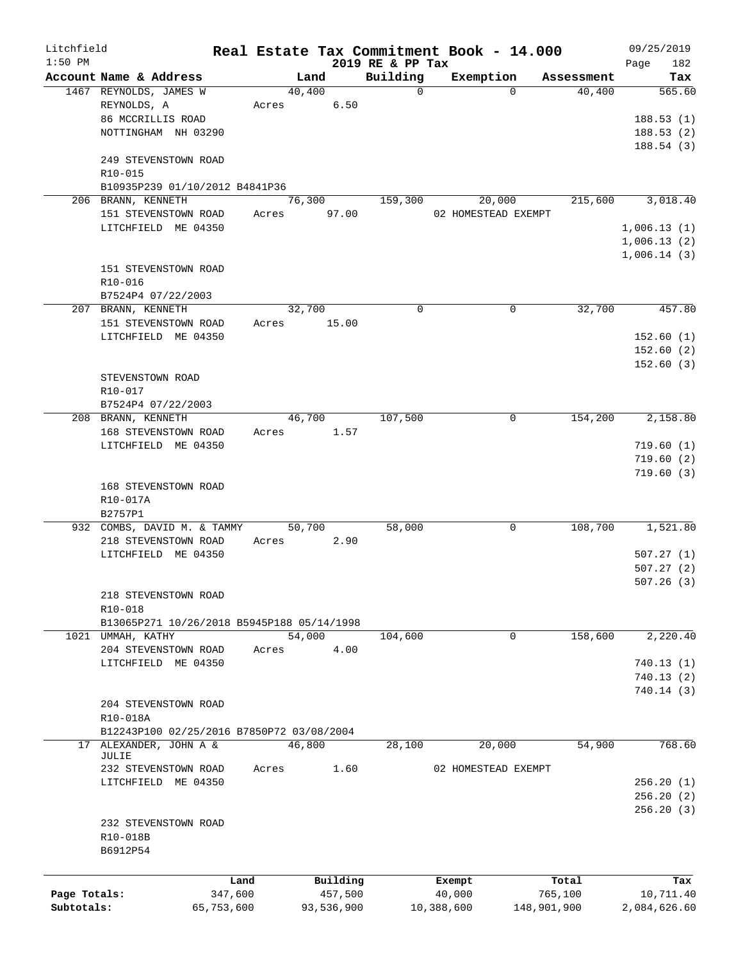| Litchfield   |                                            |            |        |            |                  | Real Estate Tax Commitment Book - 14.000 |             | 09/25/2019             |
|--------------|--------------------------------------------|------------|--------|------------|------------------|------------------------------------------|-------------|------------------------|
| $1:50$ PM    |                                            |            |        |            | 2019 RE & PP Tax |                                          |             | 182<br>Page            |
|              | Account Name & Address                     |            |        | Land       | Building         | Exemption                                | Assessment  | Tax                    |
|              | 1467 REYNOLDS, JAMES W                     |            | 40,400 |            | $\mathbf 0$      | $\Omega$                                 | 40,400      | 565.60                 |
|              | REYNOLDS, A                                |            | Acres  | 6.50       |                  |                                          |             |                        |
|              | 86 MCCRILLIS ROAD                          |            |        |            |                  |                                          |             | 188.53(1)              |
|              | NOTTINGHAM NH 03290                        |            |        |            |                  |                                          |             | 188.53(2)<br>188.54(3) |
|              | 249 STEVENSTOWN ROAD                       |            |        |            |                  |                                          |             |                        |
|              | R10-015                                    |            |        |            |                  |                                          |             |                        |
|              | B10935P239 01/10/2012 B4841P36             |            |        |            |                  |                                          |             |                        |
|              | 206 BRANN, KENNETH                         |            | 76,300 |            | 159,300          | 20,000                                   | 215,600     | 3,018.40               |
|              | 151 STEVENSTOWN ROAD                       |            | Acres  | 97.00      |                  | 02 HOMESTEAD EXEMPT                      |             |                        |
|              | LITCHFIELD ME 04350                        |            |        |            |                  |                                          |             | 1,006.13(1)            |
|              |                                            |            |        |            |                  |                                          |             | 1,006.13(2)            |
|              |                                            |            |        |            |                  |                                          |             | 1,006.14(3)            |
|              | 151 STEVENSTOWN ROAD                       |            |        |            |                  |                                          |             |                        |
|              | R10-016                                    |            |        |            |                  |                                          |             |                        |
|              | B7524P4 07/22/2003                         |            |        |            |                  |                                          |             |                        |
|              | 207 BRANN, KENNETH                         |            | 32,700 |            | $\mathbf 0$      | $\mathbf 0$                              | 32,700      | 457.80                 |
|              | 151 STEVENSTOWN ROAD                       |            | Acres  | 15.00      |                  |                                          |             |                        |
|              | LITCHFIELD ME 04350                        |            |        |            |                  |                                          |             | 152.60(1)              |
|              |                                            |            |        |            |                  |                                          |             | 152.60(2)              |
|              |                                            |            |        |            |                  |                                          |             | 152.60(3)              |
|              | STEVENSTOWN ROAD                           |            |        |            |                  |                                          |             |                        |
|              | R10-017                                    |            |        |            |                  |                                          |             |                        |
|              | B7524P4 07/22/2003                         |            |        |            |                  |                                          |             |                        |
|              | 208 BRANN, KENNETH                         |            | 46,700 |            | 107,500          | 0                                        | 154,200     | 2,158.80               |
|              | 168 STEVENSTOWN ROAD                       |            | Acres  | 1.57       |                  |                                          |             |                        |
|              | LITCHFIELD ME 04350                        |            |        |            |                  |                                          |             | 719.60(1)              |
|              |                                            |            |        |            |                  |                                          |             | 719.60(2)              |
|              |                                            |            |        |            |                  |                                          |             | 719.60(3)              |
|              | 168 STEVENSTOWN ROAD                       |            |        |            |                  |                                          |             |                        |
|              | R10-017A                                   |            |        |            |                  |                                          |             |                        |
|              | B2757P1                                    |            |        |            |                  |                                          |             |                        |
|              | 932 COMBS, DAVID M. & TAMMY                |            | 50,700 |            | 58,000           | 0                                        | 108,700     | 1,521.80               |
|              | 218 STEVENSTOWN ROAD                       |            | Acres  | 2.90       |                  |                                          |             |                        |
|              | LITCHFIELD ME 04350                        |            |        |            |                  |                                          |             | 507.27(1)              |
|              |                                            |            |        |            |                  |                                          |             | 507.27(2)              |
|              |                                            |            |        |            |                  |                                          |             | 507.26(3)              |
|              | 218 STEVENSTOWN ROAD                       |            |        |            |                  |                                          |             |                        |
|              | R10-018                                    |            |        |            |                  |                                          |             |                        |
|              | B13065P271 10/26/2018 B5945P188 05/14/1998 |            |        |            |                  |                                          |             |                        |
|              | 1021 UMMAH, KATHY                          |            | 54,000 |            | 104,600          | 0                                        | 158,600     | 2,220.40               |
|              | 204 STEVENSTOWN ROAD                       |            | Acres  | 4.00       |                  |                                          |             |                        |
|              | LITCHFIELD ME 04350                        |            |        |            |                  |                                          |             | 740.13(1)              |
|              |                                            |            |        |            |                  |                                          |             | 740.13(2)              |
|              |                                            |            |        |            |                  |                                          |             | 740.14 (3)             |
|              | 204 STEVENSTOWN ROAD                       |            |        |            |                  |                                          |             |                        |
|              | R10-018A                                   |            |        |            |                  |                                          |             |                        |
|              | B12243P100 02/25/2016 B7850P72 03/08/2004  |            |        |            |                  |                                          |             |                        |
| 17           | ALEXANDER, JOHN A &                        |            | 46,800 |            | 28,100           | 20,000                                   | 54,900      | 768.60                 |
|              | JULIE                                      |            |        |            |                  |                                          |             |                        |
|              | 232 STEVENSTOWN ROAD                       |            | Acres  | 1.60       |                  | 02 HOMESTEAD EXEMPT                      |             |                        |
|              | LITCHFIELD ME 04350                        |            |        |            |                  |                                          |             | 256.20(1)              |
|              |                                            |            |        |            |                  |                                          |             | 256.20(2)              |
|              |                                            |            |        |            |                  |                                          |             | 256.20 (3)             |
|              | 232 STEVENSTOWN ROAD                       |            |        |            |                  |                                          |             |                        |
|              | R10-018B                                   |            |        |            |                  |                                          |             |                        |
|              | B6912P54                                   |            |        |            |                  |                                          |             |                        |
|              |                                            |            |        |            |                  |                                          |             |                        |
|              |                                            | Land       |        | Building   |                  | Exempt                                   | Total       | Tax                    |
| Page Totals: |                                            | 347,600    |        | 457,500    |                  | 40,000                                   | 765,100     | 10,711.40              |
| Subtotals:   |                                            | 65,753,600 |        | 93,536,900 |                  | 10,388,600                               | 148,901,900 | 2,084,626.60           |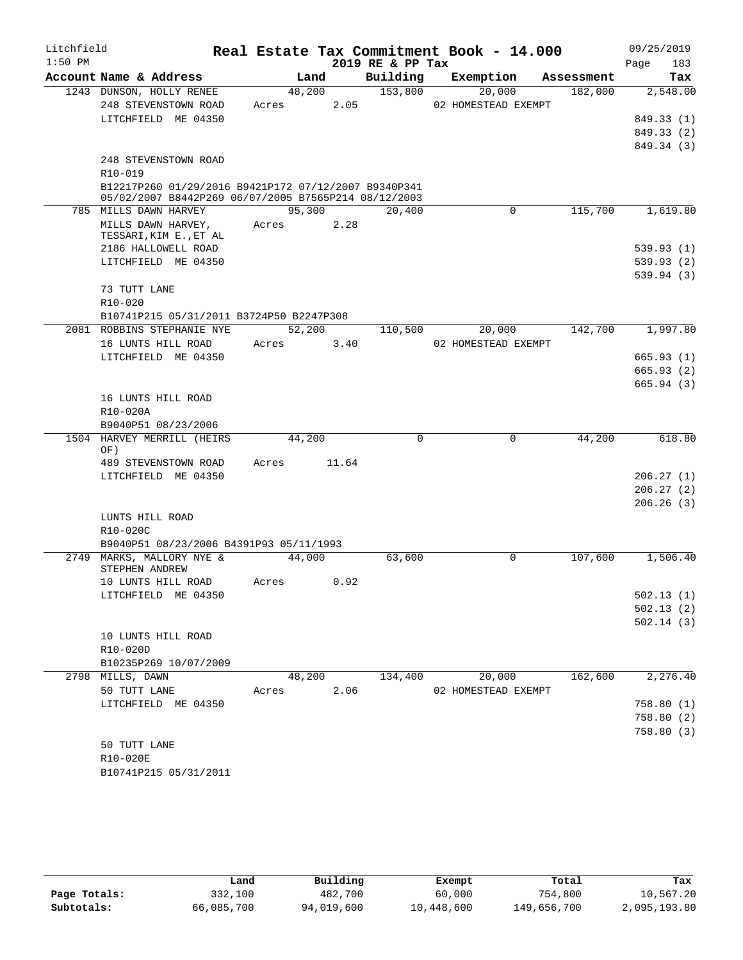| Litchfield |                                                                        |       |        |       |                  | Real Estate Tax Commitment Book - 14.000 |            | 09/25/2019             |
|------------|------------------------------------------------------------------------|-------|--------|-------|------------------|------------------------------------------|------------|------------------------|
| $1:50$ PM  |                                                                        |       |        |       | 2019 RE & PP Tax |                                          |            | 183<br>Page            |
|            | Account Name & Address                                                 |       | Land   |       | Building         | Exemption                                | Assessment | Tax                    |
|            | 1243 DUNSON, HOLLY RENEE                                               |       | 48,200 |       | 153,800          | 20,000                                   | 182,000    | 2,548.00               |
|            | 248 STEVENSTOWN ROAD                                                   | Acres |        | 2.05  |                  | 02 HOMESTEAD EXEMPT                      |            |                        |
|            | LITCHFIELD ME 04350                                                    |       |        |       |                  |                                          |            | 849.33 (1)             |
|            |                                                                        |       |        |       |                  |                                          |            | 849.33 (2)             |
|            | 248 STEVENSTOWN ROAD                                                   |       |        |       |                  |                                          |            | 849.34 (3)             |
|            | R10-019                                                                |       |        |       |                  |                                          |            |                        |
|            | B12217P260 01/29/2016 B9421P172 07/12/2007 B9340P341                   |       |        |       |                  |                                          |            |                        |
|            | 05/02/2007 B8442P269 06/07/2005 B7565P214 08/12/2003                   |       |        |       |                  |                                          |            |                        |
|            | 785 MILLS DAWN HARVEY                                                  |       | 95,300 |       | 20,400           | $\mathbf{0}$                             | 115,700    | 1,619.80               |
|            | MILLS DAWN HARVEY,                                                     | Acres |        | 2.28  |                  |                                          |            |                        |
|            | TESSARI, KIM E., ET AL                                                 |       |        |       |                  |                                          |            |                        |
|            | 2186 HALLOWELL ROAD                                                    |       |        |       |                  |                                          |            | 539.93(1)              |
|            | LITCHFIELD ME 04350                                                    |       |        |       |                  |                                          |            | 539.93(2)              |
|            |                                                                        |       |        |       |                  |                                          |            | 539.94(3)              |
|            | 73 TUTT LANE                                                           |       |        |       |                  |                                          |            |                        |
|            | R10-020                                                                |       |        |       |                  |                                          |            |                        |
|            | B10741P215 05/31/2011 B3724P50 B2247P308<br>2081 ROBBINS STEPHANIE NYE |       | 52,200 |       | 110,500          | 20,000                                   | 142,700    | 1,997.80               |
|            | 16 LUNTS HILL ROAD                                                     | Acres |        | 3.40  |                  | 02 HOMESTEAD EXEMPT                      |            |                        |
|            | LITCHFIELD ME 04350                                                    |       |        |       |                  |                                          |            | 665.93(1)              |
|            |                                                                        |       |        |       |                  |                                          |            | 665.93(2)              |
|            |                                                                        |       |        |       |                  |                                          |            | 665.94(3)              |
|            | 16 LUNTS HILL ROAD                                                     |       |        |       |                  |                                          |            |                        |
|            | R10-020A                                                               |       |        |       |                  |                                          |            |                        |
|            | B9040P51 08/23/2006                                                    |       |        |       |                  |                                          |            |                        |
|            | 1504 HARVEY MERRILL (HEIRS                                             |       | 44,200 |       | $\Omega$         | 0                                        | 44,200     | 618.80                 |
|            | OF)                                                                    |       |        |       |                  |                                          |            |                        |
|            | 489 STEVENSTOWN ROAD                                                   | Acres |        | 11.64 |                  |                                          |            |                        |
|            | LITCHFIELD ME 04350                                                    |       |        |       |                  |                                          |            | 206.27(1)              |
|            |                                                                        |       |        |       |                  |                                          |            | 206.27(2)              |
|            | LUNTS HILL ROAD                                                        |       |        |       |                  |                                          |            | 206.26(3)              |
|            | R10-020C                                                               |       |        |       |                  |                                          |            |                        |
|            | B9040P51 08/23/2006 B4391P93 05/11/1993                                |       |        |       |                  |                                          |            |                        |
|            | 2749 MARKS, MALLORY NYE &                                              |       | 44,000 |       | 63,600           | $\Omega$                                 | 107,600    | 1,506.40               |
|            | STEPHEN ANDREW                                                         |       |        |       |                  |                                          |            |                        |
|            | 10 LUNTS HILL ROAD                                                     | Acres |        | 0.92  |                  |                                          |            |                        |
|            | LITCHFIELD ME 04350                                                    |       |        |       |                  |                                          |            | 502.13(1)              |
|            |                                                                        |       |        |       |                  |                                          |            | 502.13(2)              |
|            |                                                                        |       |        |       |                  |                                          |            | 502.14(3)              |
|            | 10 LUNTS HILL ROAD                                                     |       |        |       |                  |                                          |            |                        |
|            | R10-020D                                                               |       |        |       |                  |                                          |            |                        |
|            | B10235P269 10/07/2009                                                  |       |        |       |                  |                                          |            |                        |
|            | 2798 MILLS, DAWN                                                       |       | 48,200 |       | 134,400          | 20,000                                   | 162,600    | 2,276.40               |
|            | 50 TUTT LANE<br>LITCHFIELD ME 04350                                    | Acres |        | 2.06  |                  | 02 HOMESTEAD EXEMPT                      |            |                        |
|            |                                                                        |       |        |       |                  |                                          |            | 758.80(1)<br>758.80(2) |
|            |                                                                        |       |        |       |                  |                                          |            | 758.80(3)              |
|            | 50 TUTT LANE                                                           |       |        |       |                  |                                          |            |                        |
|            | R10-020E                                                               |       |        |       |                  |                                          |            |                        |
|            | B10741P215 05/31/2011                                                  |       |        |       |                  |                                          |            |                        |

|              | Land       | Building   | Exempt     | Total       | Tax          |
|--------------|------------|------------|------------|-------------|--------------|
| Page Totals: | 332,100    | 482,700    | 60,000     | 754,800     | 10,567.20    |
| Subtotals:   | 66,085,700 | 94,019,600 | 10,448,600 | 149,656,700 | 2,095,193.80 |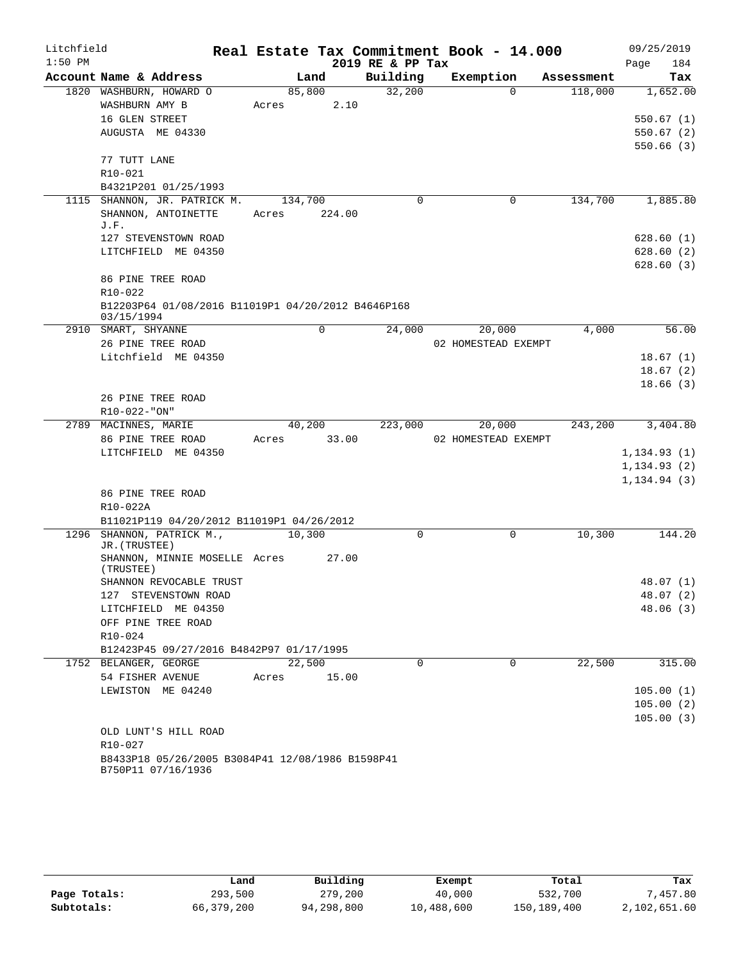| Litchfield |                                                                        |       |         |        | Real Estate Tax Commitment Book - 14.000 |                     |          |            |              | 09/25/2019 |
|------------|------------------------------------------------------------------------|-------|---------|--------|------------------------------------------|---------------------|----------|------------|--------------|------------|
| $1:50$ PM  |                                                                        |       |         |        | 2019 RE & PP Tax                         |                     |          |            | Page         | 184        |
|            | Account Name & Address                                                 |       | Land    |        | Building                                 | Exemption           |          | Assessment |              | Tax        |
|            | 1820 WASHBURN, HOWARD O                                                |       | 85,800  |        | 32,200                                   |                     | $\Omega$ | 118,000    |              | 1,652.00   |
|            | WASHBURN AMY B                                                         | Acres |         | 2.10   |                                          |                     |          |            |              |            |
|            | 16 GLEN STREET                                                         |       |         |        |                                          |                     |          |            |              | 550.67(1)  |
|            | AUGUSTA ME 04330                                                       |       |         |        |                                          |                     |          |            |              | 550.67(2)  |
|            |                                                                        |       |         |        |                                          |                     |          |            |              | 550.66(3)  |
|            | 77 TUTT LANE                                                           |       |         |        |                                          |                     |          |            |              |            |
|            | R10-021                                                                |       |         |        |                                          |                     |          |            |              |            |
|            | B4321P201 01/25/1993<br>1115 SHANNON, JR. PATRICK M.                   |       |         |        | $\Omega$                                 |                     | 0        | 134,700    |              | 1,885.80   |
|            |                                                                        |       | 134,700 |        |                                          |                     |          |            |              |            |
|            | SHANNON, ANTOINETTE<br>J.F.                                            | Acres |         | 224.00 |                                          |                     |          |            |              |            |
|            | 127 STEVENSTOWN ROAD                                                   |       |         |        |                                          |                     |          |            |              | 628.60(1)  |
|            | LITCHFIELD ME 04350                                                    |       |         |        |                                          |                     |          |            |              | 628.60(2)  |
|            |                                                                        |       |         |        |                                          |                     |          |            |              | 628.60(3)  |
|            | 86 PINE TREE ROAD                                                      |       |         |        |                                          |                     |          |            |              |            |
|            | R10-022                                                                |       |         |        |                                          |                     |          |            |              |            |
|            | B12203P64 01/08/2016 B11019P1 04/20/2012 B4646P168                     |       |         |        |                                          |                     |          |            |              |            |
|            | 03/15/1994                                                             |       |         |        |                                          |                     |          |            |              |            |
|            | 2910 SMART, SHYANNE                                                    |       |         | 0      | 24,000                                   |                     | 20,000   | 4,000      |              | 56.00      |
|            | 26 PINE TREE ROAD                                                      |       |         |        |                                          | 02 HOMESTEAD EXEMPT |          |            |              |            |
|            | Litchfield ME 04350                                                    |       |         |        |                                          |                     |          |            |              | 18.67(1)   |
|            |                                                                        |       |         |        |                                          |                     |          |            |              | 18.67(2)   |
|            |                                                                        |       |         |        |                                          |                     |          |            |              | 18.66(3)   |
|            | 26 PINE TREE ROAD                                                      |       |         |        |                                          |                     |          |            |              |            |
|            | R10-022-"ON"                                                           |       |         |        |                                          |                     |          |            |              |            |
|            | 2789 MACINNES, MARIE<br>86 PINE TREE ROAD                              | Acres | 40,200  | 33.00  | 223,000                                  | 02 HOMESTEAD EXEMPT | 20,000   | 243,200    |              | 3,404.80   |
|            | LITCHFIELD ME 04350                                                    |       |         |        |                                          |                     |          |            | 1, 134.93(1) |            |
|            |                                                                        |       |         |        |                                          |                     |          |            | 1, 134.93(2) |            |
|            |                                                                        |       |         |        |                                          |                     |          |            | 1, 134.94(3) |            |
|            | 86 PINE TREE ROAD                                                      |       |         |        |                                          |                     |          |            |              |            |
|            | R10-022A                                                               |       |         |        |                                          |                     |          |            |              |            |
|            | B11021P119 04/20/2012 B11019P1 04/26/2012                              |       |         |        |                                          |                     |          |            |              |            |
|            | 1296 SHANNON, PATRICK M.,                                              |       | 10,300  |        | 0                                        |                     | 0        | 10,300     |              | 144.20     |
|            | JR. (TRUSTEE)                                                          |       |         |        |                                          |                     |          |            |              |            |
|            | SHANNON, MINNIE MOSELLE Acres<br>(TRUSTEE)                             |       |         | 27.00  |                                          |                     |          |            |              |            |
|            | SHANNON REVOCABLE TRUST                                                |       |         |        |                                          |                     |          |            |              | 48.07 (1)  |
|            | 127 STEVENSTOWN ROAD                                                   |       |         |        |                                          |                     |          |            |              | 48.07 (2)  |
|            | LITCHFIELD ME 04350                                                    |       |         |        |                                          |                     |          |            |              | 48.06(3)   |
|            | OFF PINE TREE ROAD                                                     |       |         |        |                                          |                     |          |            |              |            |
|            | R10-024                                                                |       |         |        |                                          |                     |          |            |              |            |
|            | B12423P45 09/27/2016 B4842P97 01/17/1995                               |       |         |        |                                          |                     |          |            |              |            |
|            | 1752 BELANGER, GEORGE                                                  |       | 22,500  |        | 0                                        |                     | 0        | 22,500     |              | 315.00     |
|            | 54 FISHER AVENUE                                                       | Acres |         | 15.00  |                                          |                     |          |            |              |            |
|            | LEWISTON ME 04240                                                      |       |         |        |                                          |                     |          |            |              | 105.00(1)  |
|            |                                                                        |       |         |        |                                          |                     |          |            |              | 105.00(2)  |
|            |                                                                        |       |         |        |                                          |                     |          |            |              | 105.00(3)  |
|            | OLD LUNT'S HILL ROAD                                                   |       |         |        |                                          |                     |          |            |              |            |
|            | R10-027                                                                |       |         |        |                                          |                     |          |            |              |            |
|            | B8433P18 05/26/2005 B3084P41 12/08/1986 B1598P41<br>B750P11 07/16/1936 |       |         |        |                                          |                     |          |            |              |            |

|              | Land       | Building   | Exempt     | Total       | Tax          |
|--------------|------------|------------|------------|-------------|--------------|
| Page Totals: | 293,500    | 279,200    | 40,000     | 532,700     | .457.80      |
| Subtotals:   | 66,379,200 | 94,298,800 | 10,488,600 | 150,189,400 | 2,102,651.60 |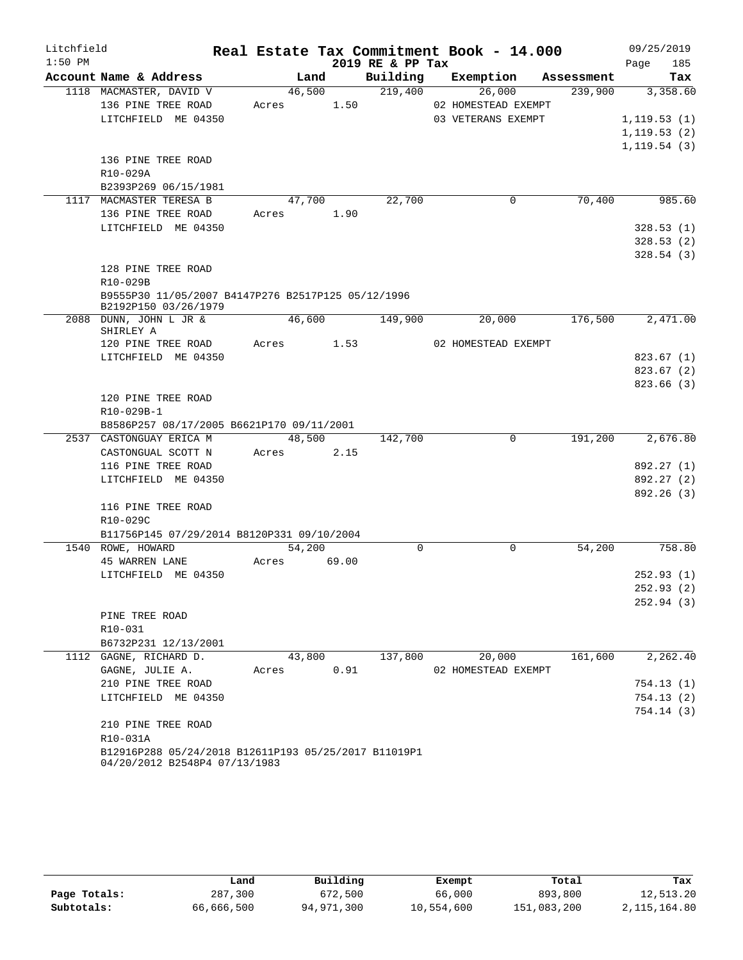| Litchfield |                                                                                       |       |        |            |                  | Real Estate Tax Commitment Book - 14.000 |            | 09/25/2019   |  |
|------------|---------------------------------------------------------------------------------------|-------|--------|------------|------------------|------------------------------------------|------------|--------------|--|
| $1:50$ PM  |                                                                                       |       |        |            | 2019 RE & PP Tax |                                          |            | 185<br>Page  |  |
|            | Account Name & Address                                                                |       | Land   |            | Building         | Exemption                                | Assessment | Tax          |  |
|            | 1118 MACMASTER, DAVID V                                                               |       | 46,500 |            | 219,400          | 26,000                                   | 239,900    | 3,358.60     |  |
|            | 136 PINE TREE ROAD                                                                    | Acres |        | 1.50       |                  | 02 HOMESTEAD EXEMPT                      |            |              |  |
|            | LITCHFIELD ME 04350                                                                   |       |        |            |                  | 03 VETERANS EXEMPT                       |            | 1, 119.53(1) |  |
|            |                                                                                       |       |        |            |                  |                                          |            | 1, 119.53(2) |  |
|            |                                                                                       |       |        |            |                  |                                          |            | 1, 119.54(3) |  |
|            | 136 PINE TREE ROAD                                                                    |       |        |            |                  |                                          |            |              |  |
|            | R10-029A                                                                              |       |        |            |                  |                                          |            |              |  |
|            | B2393P269 06/15/1981                                                                  |       |        |            |                  |                                          |            |              |  |
|            | 1117 MACMASTER TERESA B                                                               |       | 47,700 |            | 22,700           | 0                                        | 70,400     | 985.60       |  |
|            | 136 PINE TREE ROAD                                                                    |       | Acres  | 1.90       |                  |                                          |            |              |  |
|            | LITCHFIELD ME 04350                                                                   |       |        |            |                  |                                          |            | 328.53(1)    |  |
|            |                                                                                       |       |        |            |                  |                                          |            | 328.53(2)    |  |
|            |                                                                                       |       |        |            |                  |                                          |            | 328.54(3)    |  |
|            | 128 PINE TREE ROAD                                                                    |       |        |            |                  |                                          |            |              |  |
|            | R10-029B                                                                              |       |        |            |                  |                                          |            |              |  |
|            | B9555P30 11/05/2007 B4147P276 B2517P125 05/12/1996<br>B2192P150 03/26/1979            |       |        |            |                  |                                          |            |              |  |
|            | 2088 DUNN, JOHN L JR &<br>SHIRLEY A                                                   |       | 46,600 |            | 149,900          | 20,000                                   | 176,500    | 2,471.00     |  |
|            | 120 PINE TREE ROAD                                                                    |       |        | Acres 1.53 |                  | 02 HOMESTEAD EXEMPT                      |            |              |  |
|            | LITCHFIELD ME 04350                                                                   |       |        |            |                  |                                          |            | 823.67 (1)   |  |
|            |                                                                                       |       |        |            |                  |                                          |            | 823.67(2)    |  |
|            |                                                                                       |       |        |            |                  |                                          |            | 823.66 (3)   |  |
|            | 120 PINE TREE ROAD                                                                    |       |        |            |                  |                                          |            |              |  |
|            | R10-029B-1                                                                            |       |        |            |                  |                                          |            |              |  |
|            | B8586P257 08/17/2005 B6621P170 09/11/2001                                             |       |        |            |                  |                                          |            |              |  |
|            | 2537 CASTONGUAY ERICA M                                                               |       |        | 48,500     | 142,700          | $\Omega$                                 | 191,200    | 2,676.80     |  |
|            | CASTONGUAL SCOTT N                                                                    |       |        | Acres 2.15 |                  |                                          |            |              |  |
|            | 116 PINE TREE ROAD                                                                    |       |        |            |                  |                                          |            | 892.27 (1)   |  |
|            | LITCHFIELD ME 04350                                                                   |       |        |            |                  |                                          |            | 892.27 (2)   |  |
|            |                                                                                       |       |        |            |                  |                                          |            | 892.26 (3)   |  |
|            | 116 PINE TREE ROAD                                                                    |       |        |            |                  |                                          |            |              |  |
|            | R10-029C                                                                              |       |        |            |                  |                                          |            |              |  |
|            | B11756P145 07/29/2014 B8120P331 09/10/2004                                            |       |        |            |                  |                                          |            |              |  |
|            | 1540 ROWE, HOWARD                                                                     |       | 54,200 |            | $\Omega$         | 0                                        | 54,200     | 758.80       |  |
|            | <b>45 WARREN LANE</b>                                                                 | Acres |        | 69.00      |                  |                                          |            |              |  |
|            | LITCHFIELD ME 04350                                                                   |       |        |            |                  |                                          |            | 252.93(1)    |  |
|            |                                                                                       |       |        |            |                  |                                          |            | 252.93 (2)   |  |
|            |                                                                                       |       |        |            |                  |                                          |            | 252.94(3)    |  |
|            | PINE TREE ROAD                                                                        |       |        |            |                  |                                          |            |              |  |
|            | R10-031                                                                               |       |        |            |                  |                                          |            |              |  |
|            | B6732P231 12/13/2001                                                                  |       |        |            |                  |                                          |            |              |  |
| 1112       | GAGNE, RICHARD D.                                                                     |       | 43,800 |            | 137,800          | 20,000                                   | 161,600    | 2,262.40     |  |
|            | GAGNE, JULIE A.                                                                       | Acres |        | 0.91       |                  | 02 HOMESTEAD EXEMPT                      |            |              |  |
|            | 210 PINE TREE ROAD                                                                    |       |        |            |                  |                                          |            | 754.13(1)    |  |
|            | LITCHFIELD ME 04350                                                                   |       |        |            |                  |                                          |            | 754.13(2)    |  |
|            |                                                                                       |       |        |            |                  |                                          |            | 754.14(3)    |  |
|            | 210 PINE TREE ROAD                                                                    |       |        |            |                  |                                          |            |              |  |
|            | R10-031A                                                                              |       |        |            |                  |                                          |            |              |  |
|            | B12916P288 05/24/2018 B12611P193 05/25/2017 B11019P1<br>04/20/2012 B2548P4 07/13/1983 |       |        |            |                  |                                          |            |              |  |
|            |                                                                                       |       |        |            |                  |                                          |            |              |  |

|              | Land       | Building   | Exempt     | Total       | Tax          |
|--------------|------------|------------|------------|-------------|--------------|
| Page Totals: | 287,300    | 672,500    | 66,000     | 893,800     | 12,513.20    |
| Subtotals:   | 66,666,500 | 94,971,300 | 10,554,600 | 151,083,200 | 2,115,164.80 |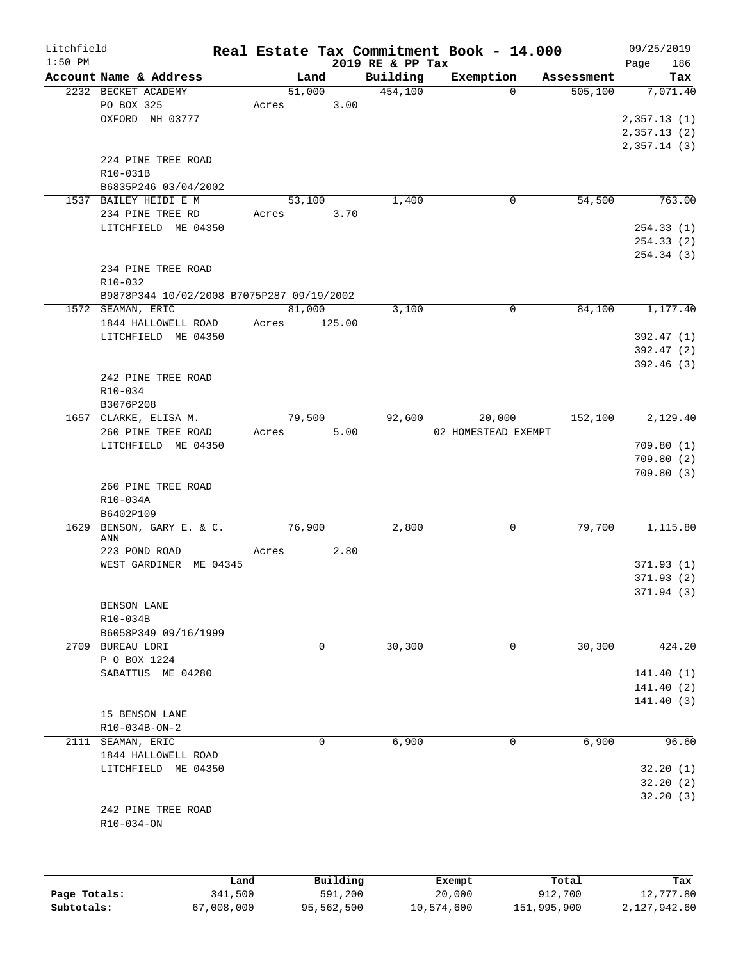| Litchfield |                                           |                 |        |                     | Real Estate Tax Commitment Book - 14.000 |            | 09/25/2019              |
|------------|-------------------------------------------|-----------------|--------|---------------------|------------------------------------------|------------|-------------------------|
| $1:50$ PM  |                                           |                 |        | 2019 RE & PP Tax    |                                          |            | 186<br>Page             |
|            | Account Name & Address                    |                 | Land   | Building<br>454,100 | Exemption                                | Assessment | Tax                     |
|            | 2232 BECKET ACADEMY<br>PO BOX 325         | 51,000<br>Acres | 3.00   |                     | $\Omega$                                 | 505,100    | 7,071.40                |
|            | OXFORD NH 03777                           |                 |        |                     |                                          |            | 2,357.13(1)             |
|            |                                           |                 |        |                     |                                          |            | 2,357.13(2)             |
|            |                                           |                 |        |                     |                                          |            | 2,357.14(3)             |
|            | 224 PINE TREE ROAD                        |                 |        |                     |                                          |            |                         |
|            | R10-031B                                  |                 |        |                     |                                          |            |                         |
|            | B6835P246 03/04/2002                      |                 |        |                     |                                          |            |                         |
|            | 1537 BAILEY HEIDI E M                     | 53,100          |        | 1,400               | 0                                        | 54,500     | 763.00                  |
|            | 234 PINE TREE RD                          | Acres           | 3.70   |                     |                                          |            |                         |
|            | LITCHFIELD ME 04350                       |                 |        |                     |                                          |            | 254.33(1)               |
|            |                                           |                 |        |                     |                                          |            | 254.33(2)               |
|            |                                           |                 |        |                     |                                          |            | 254.34 (3)              |
|            | 234 PINE TREE ROAD                        |                 |        |                     |                                          |            |                         |
|            | R10-032                                   |                 |        |                     |                                          |            |                         |
|            | B9878P344 10/02/2008 B7075P287 09/19/2002 |                 |        |                     |                                          |            |                         |
|            | 1572 SEAMAN, ERIC                         | 81,000          |        | 3,100               | 0                                        | 84,100     | 1,177.40                |
|            | 1844 HALLOWELL ROAD                       | Acres           | 125.00 |                     |                                          |            |                         |
|            | LITCHFIELD ME 04350                       |                 |        |                     |                                          |            | 392.47 (1)              |
|            |                                           |                 |        |                     |                                          |            | 392.47 (2)<br>392.46(3) |
|            | 242 PINE TREE ROAD                        |                 |        |                     |                                          |            |                         |
|            | R10-034                                   |                 |        |                     |                                          |            |                         |
|            | B3076P208                                 |                 |        |                     |                                          |            |                         |
|            | 1657 CLARKE, ELISA M.                     | 79,500          |        | 92,600              | 20,000                                   | 152,100    | 2,129.40                |
|            | 260 PINE TREE ROAD                        | Acres           | 5.00   |                     | 02 HOMESTEAD EXEMPT                      |            |                         |
|            | LITCHFIELD ME 04350                       |                 |        |                     |                                          |            | 709.80(1)               |
|            |                                           |                 |        |                     |                                          |            | 709.80(2)               |
|            |                                           |                 |        |                     |                                          |            | 709.80(3)               |
|            | 260 PINE TREE ROAD                        |                 |        |                     |                                          |            |                         |
|            | R10-034A                                  |                 |        |                     |                                          |            |                         |
|            | B6402P109                                 |                 |        |                     |                                          |            |                         |
| 1629       | BENSON, GARY E. & C.<br>ANN               | 76,900          |        | 2,800               | 0                                        | 79,700     | 1,115.80                |
|            | 223 POND ROAD                             | Acres           | 2.80   |                     |                                          |            |                         |
|            | WEST GARDINER ME 04345                    |                 |        |                     |                                          |            | 371.93(1)               |
|            |                                           |                 |        |                     |                                          |            | 371.93(2)               |
|            |                                           |                 |        |                     |                                          |            | 371.94 (3)              |
|            | BENSON LANE                               |                 |        |                     |                                          |            |                         |
|            | R10-034B                                  |                 |        |                     |                                          |            |                         |
|            | B6058P349 09/16/1999                      |                 |        |                     |                                          |            |                         |
|            | 2709 BUREAU LORI                          |                 | 0      | 30,300              | 0                                        | 30,300     | 424.20                  |
|            | P O BOX 1224                              |                 |        |                     |                                          |            |                         |
|            | SABATTUS ME 04280                         |                 |        |                     |                                          |            | 141.40(1)               |
|            |                                           |                 |        |                     |                                          |            | 141.40(2)               |
|            |                                           |                 |        |                     |                                          |            | 141.40(3)               |
|            | 15 BENSON LANE<br>R10-034B-ON-2           |                 |        |                     |                                          |            |                         |
|            | 2111 SEAMAN, ERIC                         |                 | 0      | 6,900               | 0                                        | 6,900      | 96.60                   |
|            | 1844 HALLOWELL ROAD                       |                 |        |                     |                                          |            |                         |
|            | LITCHFIELD ME 04350                       |                 |        |                     |                                          |            | 32.20(1)                |
|            |                                           |                 |        |                     |                                          |            | 32.20(2)                |
|            |                                           |                 |        |                     |                                          |            | 32.20(3)                |
|            | 242 PINE TREE ROAD                        |                 |        |                     |                                          |            |                         |
|            | R10-034-ON                                |                 |        |                     |                                          |            |                         |
|            |                                           |                 |        |                     |                                          |            |                         |
|            |                                           |                 |        |                     |                                          |            |                         |
|            |                                           |                 |        |                     |                                          |            |                         |
|            |                                           |                 |        |                     |                                          |            |                         |

|              | Land       | Building   | Exempt     | Total       | Tax          |
|--------------|------------|------------|------------|-------------|--------------|
| Page Totals: | 341,500    | 591,200    | 20,000     | 912,700     | 12,777.80    |
| Subtotals:   | 67,008,000 | 95,562,500 | 10,574,600 | 151,995,900 | 2,127,942.60 |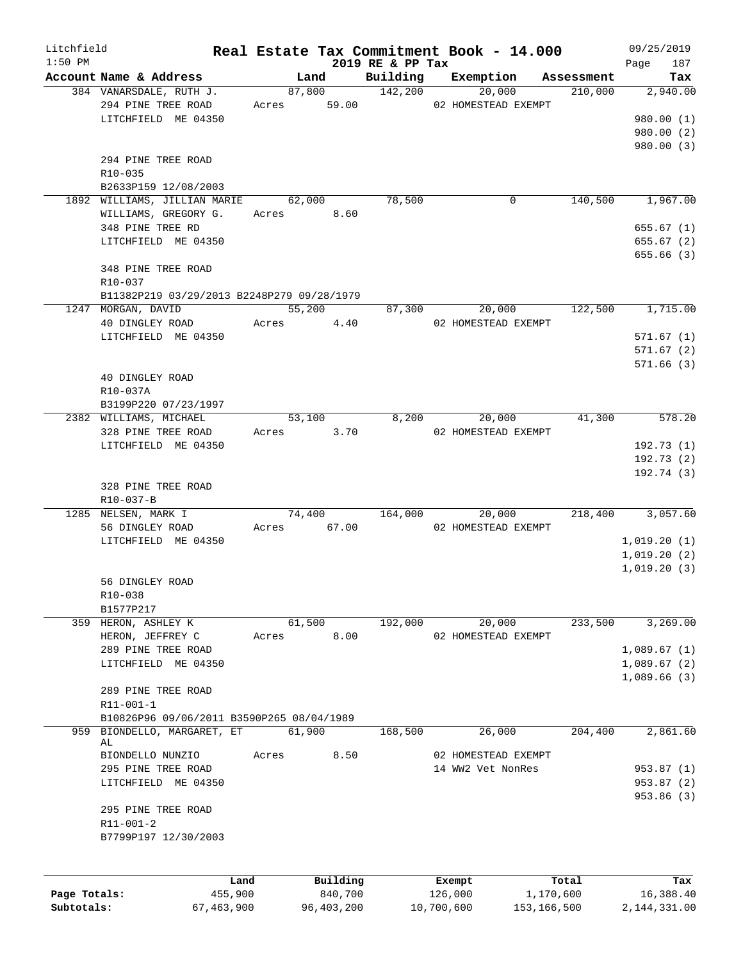| Litchfield   |                                                   |                 |             |                     |                            | Real Estate Tax Commitment Book - 14.000 |                       | 09/25/2019       |
|--------------|---------------------------------------------------|-----------------|-------------|---------------------|----------------------------|------------------------------------------|-----------------------|------------------|
| $1:50$ PM    |                                                   |                 |             |                     | 2019 RE & PP Tax           |                                          |                       | 187<br>Page      |
|              | Account Name & Address<br>384 VANARSDALE, RUTH J. |                 |             | Land                | Building<br>87,800 142,200 | Exemption<br>20,000                      | Assessment<br>210,000 | Tax<br>2,940.00  |
|              | 294 PINE TREE ROAD                                |                 |             | Acres 59.00         |                            | 02 HOMESTEAD EXEMPT                      |                       |                  |
|              | LITCHFIELD ME 04350                               |                 |             |                     |                            |                                          |                       | 980.00 (1)       |
|              |                                                   |                 |             |                     |                            |                                          |                       | 980.00 (2)       |
|              |                                                   |                 |             |                     |                            |                                          |                       | 980.00(3)        |
|              | 294 PINE TREE ROAD                                |                 |             |                     |                            |                                          |                       |                  |
|              | R10-035                                           |                 |             |                     |                            |                                          |                       |                  |
|              | B2633P159 12/08/2003                              |                 |             |                     |                            |                                          |                       |                  |
|              | 1892 WILLIAMS, JILLIAN MARIE                      |                 | 62,000      |                     | 78,500                     | 0                                        | 140,500               | 1,967.00         |
|              | WILLIAMS, GREGORY G.                              |                 | Acres 8.60  |                     |                            |                                          |                       |                  |
|              | 348 PINE TREE RD                                  |                 |             |                     |                            |                                          |                       | 655.67(1)        |
|              | LITCHFIELD ME 04350                               |                 |             |                     |                            |                                          |                       | 655.67(2)        |
|              |                                                   |                 |             |                     |                            |                                          |                       | 655.66 (3)       |
|              | 348 PINE TREE ROAD                                |                 |             |                     |                            |                                          |                       |                  |
|              | R10-037                                           |                 |             |                     |                            |                                          |                       |                  |
|              | B11382P219 03/29/2013 B2248P279 09/28/1979        |                 |             |                     |                            |                                          |                       |                  |
|              | 1247 MORGAN, DAVID                                |                 |             | 55,200              |                            | 87,300<br>20,000                         | 122,500               | 1,715.00         |
|              | 40 DINGLEY ROAD                                   |                 | Acres       | 4.40                |                            | 02 HOMESTEAD EXEMPT                      |                       |                  |
|              | LITCHFIELD ME 04350                               |                 |             |                     |                            |                                          |                       | 571.67(1)        |
|              |                                                   |                 |             |                     |                            |                                          |                       | 571.67(2)        |
|              |                                                   |                 |             |                     |                            |                                          |                       | 571.66(3)        |
|              | 40 DINGLEY ROAD                                   |                 |             |                     |                            |                                          |                       |                  |
|              | R10-037A                                          |                 |             |                     |                            |                                          |                       |                  |
|              | B3199P220 07/23/1997                              |                 |             |                     |                            |                                          |                       |                  |
|              | 2382 WILLIAMS, MICHAEL                            |                 | 53,100      |                     | 8,200                      | 20,000                                   | 41,300                | 578.20           |
|              | 328 PINE TREE ROAD                                |                 | Acres       | 3.70                |                            | 02 HOMESTEAD EXEMPT                      |                       |                  |
|              | LITCHFIELD ME 04350                               |                 |             |                     |                            |                                          |                       | 192.73(1)        |
|              |                                                   |                 |             |                     |                            |                                          |                       | 192.73 (2)       |
|              |                                                   |                 |             |                     |                            |                                          |                       | 192.74 (3)       |
|              | 328 PINE TREE ROAD                                |                 |             |                     |                            |                                          |                       |                  |
|              | $R10-037-B$                                       |                 |             |                     |                            |                                          |                       |                  |
|              | 1285 NELSEN, MARK I                               |                 | 74,400      |                     | 164,000                    | 20,000                                   | 218,400               | 3,057.60         |
|              | 56 DINGLEY ROAD                                   |                 | Acres 67.00 |                     |                            | 02 HOMESTEAD EXEMPT                      |                       |                  |
|              | LITCHFIELD ME 04350                               |                 |             |                     |                            |                                          |                       | 1,019.20(1)      |
|              |                                                   |                 |             |                     |                            |                                          |                       | 1,019.20(2)      |
|              |                                                   |                 |             |                     |                            |                                          |                       | 1,019.20(3)      |
|              | 56 DINGLEY ROAD                                   |                 |             |                     |                            |                                          |                       |                  |
|              | R10-038                                           |                 |             |                     |                            |                                          |                       |                  |
|              | B1577P217                                         |                 |             |                     |                            |                                          |                       |                  |
|              | 359 HERON, ASHLEY K                               |                 | 61,500      |                     | 192,000                    | 20,000                                   | 233,500               | 3,269.00         |
|              | HERON, JEFFREY C                                  |                 | Acres       | 8.00                |                            | 02 HOMESTEAD EXEMPT                      |                       |                  |
|              | 289 PINE TREE ROAD                                |                 |             |                     |                            |                                          |                       | 1,089.67(1)      |
|              | LITCHFIELD ME 04350                               |                 |             |                     |                            |                                          |                       | 1,089.67(2)      |
|              |                                                   |                 |             |                     |                            |                                          |                       | 1,089.66(3)      |
|              | 289 PINE TREE ROAD                                |                 |             |                     |                            |                                          |                       |                  |
|              | R11-001-1                                         |                 |             |                     |                            |                                          |                       |                  |
|              | B10826P96 09/06/2011 B3590P265 08/04/1989         |                 |             |                     |                            |                                          |                       |                  |
| 959          | BIONDELLO, MARGARET, ET                           |                 | 61,900      |                     | 168,500                    | 26,000                                   | 204,400               | 2,861.60         |
|              | AL                                                |                 |             |                     |                            |                                          |                       |                  |
|              | BIONDELLO NUNZIO                                  |                 | Acres       | 8.50                |                            | 02 HOMESTEAD EXEMPT                      |                       |                  |
|              | 295 PINE TREE ROAD                                |                 |             |                     |                            | 14 WW2 Vet NonRes                        |                       | 953.87(1)        |
|              | LITCHFIELD ME 04350                               |                 |             |                     |                            |                                          |                       | 953.87 (2)       |
|              |                                                   |                 |             |                     |                            |                                          |                       | 953.86(3)        |
|              | 295 PINE TREE ROAD                                |                 |             |                     |                            |                                          |                       |                  |
|              | R11-001-2                                         |                 |             |                     |                            |                                          |                       |                  |
|              | B7799P197 12/30/2003                              |                 |             |                     |                            |                                          |                       |                  |
|              |                                                   |                 |             |                     |                            |                                          |                       |                  |
|              |                                                   |                 |             |                     |                            |                                          |                       |                  |
| Page Totals: |                                                   | Land<br>455,900 |             | Building<br>840,700 |                            | Exempt<br>126,000                        | Total<br>1,170,600    | Tax<br>16,388.40 |
| Subtotals:   |                                                   | 67,463,900      |             | 96,403,200          |                            | 10,700,600                               | 153,166,500           | 2, 144, 331.00   |
|              |                                                   |                 |             |                     |                            |                                          |                       |                  |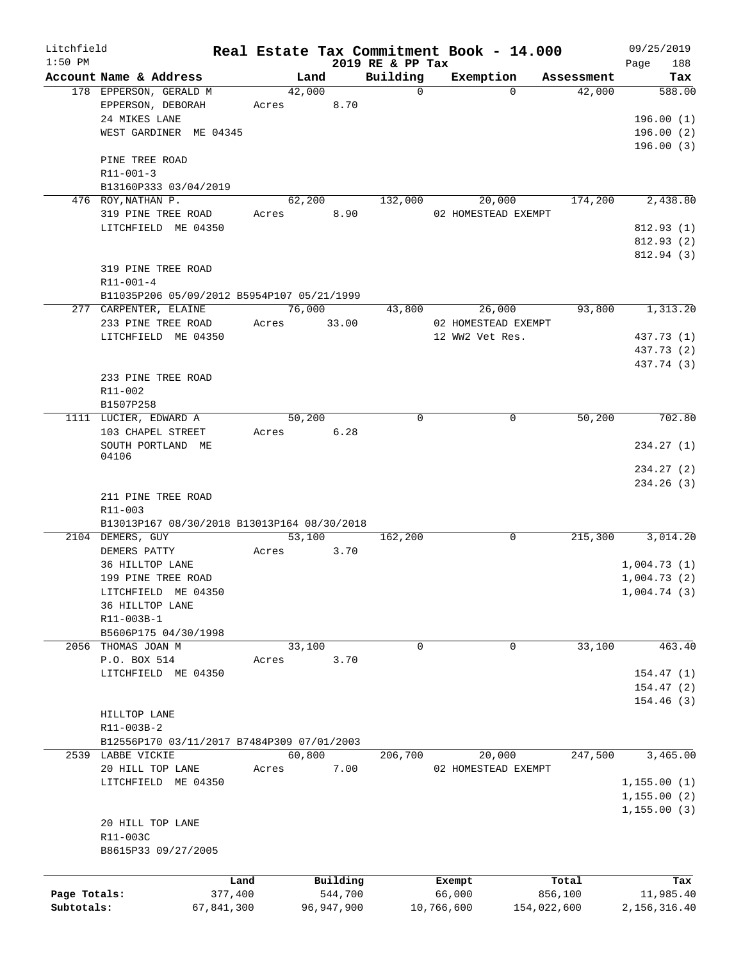| Litchfield   |                                                  |       | Real Estate Tax Commitment Book - 14.000 |                         |                     |             |                      | 09/25/2019    |
|--------------|--------------------------------------------------|-------|------------------------------------------|-------------------------|---------------------|-------------|----------------------|---------------|
| $1:50$ PM    |                                                  |       |                                          | 2019 RE & PP Tax        |                     |             |                      | 188<br>Page   |
|              | Account Name & Address<br>178 EPPERSON, GERALD M |       | Land<br>42,000                           | Building<br>$\mathbf 0$ | Exemption           | $\Omega$    | Assessment<br>42,000 | Tax<br>588.00 |
|              | EPPERSON, DEBORAH                                | Acres | 8.70                                     |                         |                     |             |                      |               |
|              | 24 MIKES LANE                                    |       |                                          |                         |                     |             |                      | 196.00(1)     |
|              | WEST GARDINER ME 04345                           |       |                                          |                         |                     |             |                      | 196.00(2)     |
|              |                                                  |       |                                          |                         |                     |             |                      | 196.00(3)     |
|              | PINE TREE ROAD                                   |       |                                          |                         |                     |             |                      |               |
|              |                                                  |       |                                          |                         |                     |             |                      |               |
|              | $R11 - 001 - 3$                                  |       |                                          |                         |                     |             |                      |               |
|              | B13160P333 03/04/2019                            |       |                                          |                         |                     |             |                      |               |
|              | 476 ROY, NATHAN P.                               |       | 62,200                                   | 132,000                 | 20,000              |             | 174,200              | 2,438.80      |
|              | 319 PINE TREE ROAD                               | Acres | 8.90                                     |                         | 02 HOMESTEAD EXEMPT |             |                      |               |
|              | LITCHFIELD ME 04350                              |       |                                          |                         |                     |             |                      | 812.93(1)     |
|              |                                                  |       |                                          |                         |                     |             |                      | 812.93(2)     |
|              |                                                  |       |                                          |                         |                     |             |                      | 812.94 (3)    |
|              | 319 PINE TREE ROAD                               |       |                                          |                         |                     |             |                      |               |
|              | R11-001-4                                        |       |                                          |                         |                     |             |                      |               |
|              | B11035P206 05/09/2012 B5954P107 05/21/1999       |       |                                          |                         |                     |             |                      |               |
|              | 277 CARPENTER, ELAINE                            |       | 76,000                                   | 43,800                  | 26,000              |             | 93,800               | 1,313.20      |
|              | 233 PINE TREE ROAD                               | Acres | 33.00                                    |                         | 02 HOMESTEAD EXEMPT |             |                      |               |
|              | LITCHFIELD ME 04350                              |       |                                          |                         | 12 WW2 Vet Res.     |             |                      | 437.73 (1)    |
|              |                                                  |       |                                          |                         |                     |             |                      | 437.73 (2)    |
|              |                                                  |       |                                          |                         |                     |             |                      | 437.74 (3)    |
|              | 233 PINE TREE ROAD                               |       |                                          |                         |                     |             |                      |               |
|              | R11-002                                          |       |                                          |                         |                     |             |                      |               |
|              | B1507P258                                        |       |                                          |                         |                     |             |                      |               |
|              | 1111 LUCIER, EDWARD A                            |       | 50,200                                   | $\mathbf 0$             |                     | $\mathbf 0$ | 50,200               | 702.80        |
|              | 103 CHAPEL STREET                                | Acres | 6.28                                     |                         |                     |             |                      |               |
|              | SOUTH PORTLAND ME                                |       |                                          |                         |                     |             |                      | 234.27(1)     |
|              | 04106                                            |       |                                          |                         |                     |             |                      |               |
|              |                                                  |       |                                          |                         |                     |             |                      | 234.27(2)     |
|              |                                                  |       |                                          |                         |                     |             |                      | 234.26(3)     |
|              | 211 PINE TREE ROAD                               |       |                                          |                         |                     |             |                      |               |
|              | R11-003                                          |       |                                          |                         |                     |             |                      |               |
|              | B13013P167 08/30/2018 B13013P164 08/30/2018      |       |                                          |                         |                     |             |                      |               |
|              | 2104 DEMERS, GUY                                 |       | 53,100                                   | 162,200                 |                     | $\mathbf 0$ | 215,300              | 3,014.20      |
|              | DEMERS PATTY                                     |       |                                          |                         |                     |             |                      |               |
|              |                                                  | Acres | 3.70                                     |                         |                     |             |                      |               |
|              | 36 HILLTOP LANE                                  |       |                                          |                         |                     |             |                      | 1,004.73(1)   |
|              | 199 PINE TREE ROAD                               |       |                                          |                         |                     |             |                      | 1,004.73(2)   |
|              | LITCHFIELD ME 04350                              |       |                                          |                         |                     |             |                      | 1,004.74(3)   |
|              | 36 HILLTOP LANE                                  |       |                                          |                         |                     |             |                      |               |
|              | R11-003B-1                                       |       |                                          |                         |                     |             |                      |               |
|              | B5606P175 04/30/1998                             |       |                                          |                         |                     |             |                      |               |
|              | 2056 THOMAS JOAN M                               |       | 33,100                                   | $\mathbf 0$             |                     | 0           | 33,100               | 463.40        |
|              | P.O. BOX 514                                     | Acres | 3.70                                     |                         |                     |             |                      |               |
|              | LITCHFIELD ME 04350                              |       |                                          |                         |                     |             |                      | 154.47(1)     |
|              |                                                  |       |                                          |                         |                     |             |                      | 154.47(2)     |
|              |                                                  |       |                                          |                         |                     |             |                      | 154.46(3)     |
|              | HILLTOP LANE                                     |       |                                          |                         |                     |             |                      |               |
|              | R11-003B-2                                       |       |                                          |                         |                     |             |                      |               |
|              | B12556P170 03/11/2017 B7484P309 07/01/2003       |       |                                          |                         |                     |             |                      |               |
|              | 2539 LABBE VICKIE                                |       | 60,800                                   | 206,700                 | 20,000              |             | 247,500              | 3,465.00      |
|              | 20 HILL TOP LANE                                 | Acres | 7.00                                     |                         | 02 HOMESTEAD EXEMPT |             |                      |               |
|              | LITCHFIELD ME 04350                              |       |                                          |                         |                     |             |                      |               |
|              |                                                  |       |                                          |                         |                     |             |                      | 1,155.00(1)   |
|              |                                                  |       |                                          |                         |                     |             |                      | 1, 155.00(2)  |
|              |                                                  |       |                                          |                         |                     |             |                      | 1, 155.00(3)  |
|              | 20 HILL TOP LANE                                 |       |                                          |                         |                     |             |                      |               |
|              | R11-003C                                         |       |                                          |                         |                     |             |                      |               |
|              | B8615P33 09/27/2005                              |       |                                          |                         |                     |             |                      |               |
|              |                                                  |       |                                          |                         |                     |             |                      |               |
|              | Land                                             |       | Building                                 |                         | Exempt              |             | Total                | Tax           |
| Page Totals: | 377,400                                          |       | 544,700                                  |                         | 66,000              |             | 856,100              | 11,985.40     |
| Subtotals:   | 67,841,300                                       |       | 96, 947, 900                             |                         | 10,766,600          | 154,022,600 |                      | 2,156,316.40  |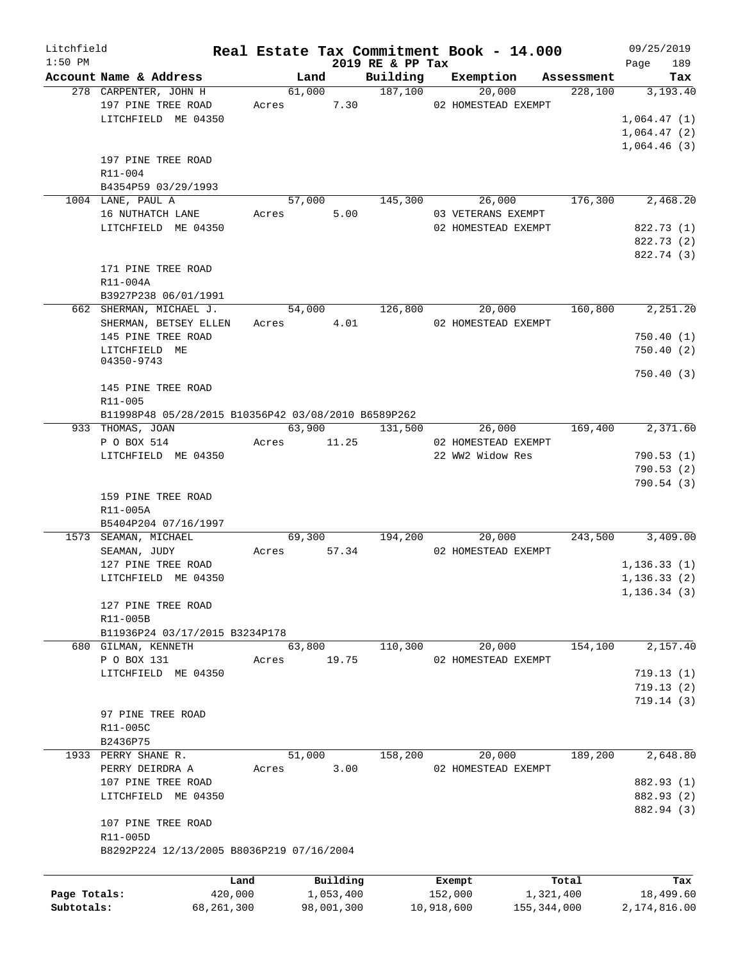| Litchfield                 |                                                       |             |                         |                              | Real Estate Tax Commitment Book - 14.000 |                            | 09/25/2019                |
|----------------------------|-------------------------------------------------------|-------------|-------------------------|------------------------------|------------------------------------------|----------------------------|---------------------------|
| $1:50$ PM                  | Account Name & Address                                |             | Land                    | 2019 RE & PP Tax<br>Building |                                          | Exemption Assessment       | 189<br>Page<br>Tax        |
|                            | 278 CARPENTER, JOHN H                                 |             | 61,000                  | 187,100                      | 20,000                                   | 228,100                    | 3,193.40                  |
|                            | 197 PINE TREE ROAD                                    | Acres       | 7.30                    |                              | 02 HOMESTEAD EXEMPT                      |                            |                           |
|                            | LITCHFIELD ME 04350                                   |             |                         |                              |                                          |                            | 1,064.47(1)               |
|                            |                                                       |             |                         |                              |                                          |                            | 1,064.47(2)               |
|                            |                                                       |             |                         |                              |                                          |                            | 1,064.46(3)               |
|                            | 197 PINE TREE ROAD                                    |             |                         |                              |                                          |                            |                           |
|                            | $R11 - 004$                                           |             |                         |                              |                                          |                            |                           |
|                            | B4354P59 03/29/1993                                   |             |                         |                              |                                          |                            |                           |
|                            | 1004 LANE, PAUL A                                     | 57,000      |                         | 145,300                      | 26,000                                   | 176,300                    | 2,468.20                  |
|                            | 16 NUTHATCH LANE                                      | Acres       | 5.00                    |                              | 03 VETERANS EXEMPT                       |                            |                           |
|                            | LITCHFIELD ME 04350                                   |             |                         |                              | 02 HOMESTEAD EXEMPT                      |                            | 822.73 (1)                |
|                            |                                                       |             |                         |                              |                                          |                            | 822.73 (2)                |
|                            |                                                       |             |                         |                              |                                          |                            | 822.74 (3)                |
|                            | 171 PINE TREE ROAD                                    |             |                         |                              |                                          |                            |                           |
|                            | R11-004A                                              |             |                         |                              |                                          |                            |                           |
|                            | B3927P238 06/01/1991                                  |             |                         |                              |                                          |                            |                           |
|                            | 662 SHERMAN, MICHAEL J.                               | 54,000      |                         | 126,800                      | 20,000                                   | 160,800                    | 2,251.20                  |
|                            | SHERMAN, BETSEY ELLEN                                 | Acres 4.01  |                         |                              | 02 HOMESTEAD EXEMPT                      |                            |                           |
|                            | 145 PINE TREE ROAD                                    |             |                         |                              |                                          |                            | 750.40(1)                 |
|                            | LITCHFIELD ME                                         |             |                         |                              |                                          |                            | 750.40(2)                 |
|                            | 04350-9743                                            |             |                         |                              |                                          |                            |                           |
|                            |                                                       |             |                         |                              |                                          |                            | 750.40(3)                 |
|                            | 145 PINE TREE ROAD<br>R11-005                         |             |                         |                              |                                          |                            |                           |
|                            | B11998P48 05/28/2015 B10356P42 03/08/2010 B6589P262   |             |                         |                              |                                          |                            |                           |
|                            | 933 THOMAS, JOAN                                      | 63,900      |                         | 131,500                      | 26,000                                   | 169,400                    | 2,371.60                  |
|                            | P O BOX 514                                           | Acres       | 11.25                   |                              | 02 HOMESTEAD EXEMPT                      |                            |                           |
|                            | LITCHFIELD ME 04350                                   |             |                         |                              | 22 WW2 Widow Res                         |                            | 790.53(1)                 |
|                            |                                                       |             |                         |                              |                                          |                            | 790.53(2)                 |
|                            |                                                       |             |                         |                              |                                          |                            | 790.54(3)                 |
|                            | 159 PINE TREE ROAD                                    |             |                         |                              |                                          |                            |                           |
|                            | R11-005A                                              |             |                         |                              |                                          |                            |                           |
|                            | B5404P204 07/16/1997                                  |             |                         |                              |                                          |                            |                           |
|                            | 1573 SEAMAN, MICHAEL                                  |             | 69,300                  | 194,200                      | 20,000                                   | 243,500                    | 3,409.00                  |
|                            | SEAMAN, JUDY                                          | Acres 57.34 |                         |                              | 02 HOMESTEAD EXEMPT                      |                            |                           |
|                            | 127 PINE TREE ROAD                                    |             |                         |                              |                                          |                            | 1, 136.33(1)              |
|                            | LITCHFIELD ME 04350                                   |             |                         |                              |                                          |                            | 1, 136.33(2)              |
|                            |                                                       |             |                         |                              |                                          |                            | 1, 136.34(3)              |
|                            | 127 PINE TREE ROAD                                    |             |                         |                              |                                          |                            |                           |
|                            | R11-005B                                              |             |                         |                              |                                          |                            |                           |
|                            | B11936P24 03/17/2015 B3234P178                        |             |                         |                              |                                          |                            |                           |
|                            | 680 GILMAN, KENNETH                                   | 63,800      |                         | 110,300                      | 20,000                                   | 154,100                    | 2,157.40                  |
|                            | P O BOX 131                                           | Acres       | 19.75                   |                              | 02 HOMESTEAD EXEMPT                      |                            |                           |
|                            | LITCHFIELD ME 04350                                   |             |                         |                              |                                          |                            | 719.13(1)                 |
|                            |                                                       |             |                         |                              |                                          |                            | 719.13(2)                 |
|                            |                                                       |             |                         |                              |                                          |                            | 719.14(3)                 |
|                            | 97 PINE TREE ROAD                                     |             |                         |                              |                                          |                            |                           |
|                            | R11-005C                                              |             |                         |                              |                                          |                            |                           |
|                            | B2436P75                                              |             |                         |                              |                                          |                            |                           |
|                            | 1933 PERRY SHANE R.                                   | 51,000      |                         | 158,200                      | 20,000                                   | 189,200                    | 2,648.80                  |
|                            | PERRY DEIRDRA A                                       | Acres       | 3.00                    |                              | 02 HOMESTEAD EXEMPT                      |                            |                           |
|                            | 107 PINE TREE ROAD                                    |             |                         |                              |                                          |                            | 882.93 (1)                |
|                            | LITCHFIELD ME 04350                                   |             |                         |                              |                                          |                            | 882.93 (2)                |
|                            | 107 PINE TREE ROAD                                    |             |                         |                              |                                          |                            | 882.94 (3)                |
|                            |                                                       |             |                         |                              |                                          |                            |                           |
|                            | R11-005D<br>B8292P224 12/13/2005 B8036P219 07/16/2004 |             |                         |                              |                                          |                            |                           |
|                            |                                                       |             |                         |                              |                                          |                            |                           |
|                            |                                                       |             |                         |                              |                                          |                            |                           |
|                            | Land                                                  |             | Building                |                              | Exempt                                   | Total                      | Tax                       |
| Page Totals:<br>Subtotals: | 420,000<br>68,261,300                                 |             | 1,053,400<br>98,001,300 |                              | 152,000<br>10,918,600                    | 1,321,400<br>155, 344, 000 | 18,499.60<br>2,174,816.00 |
|                            |                                                       |             |                         |                              |                                          |                            |                           |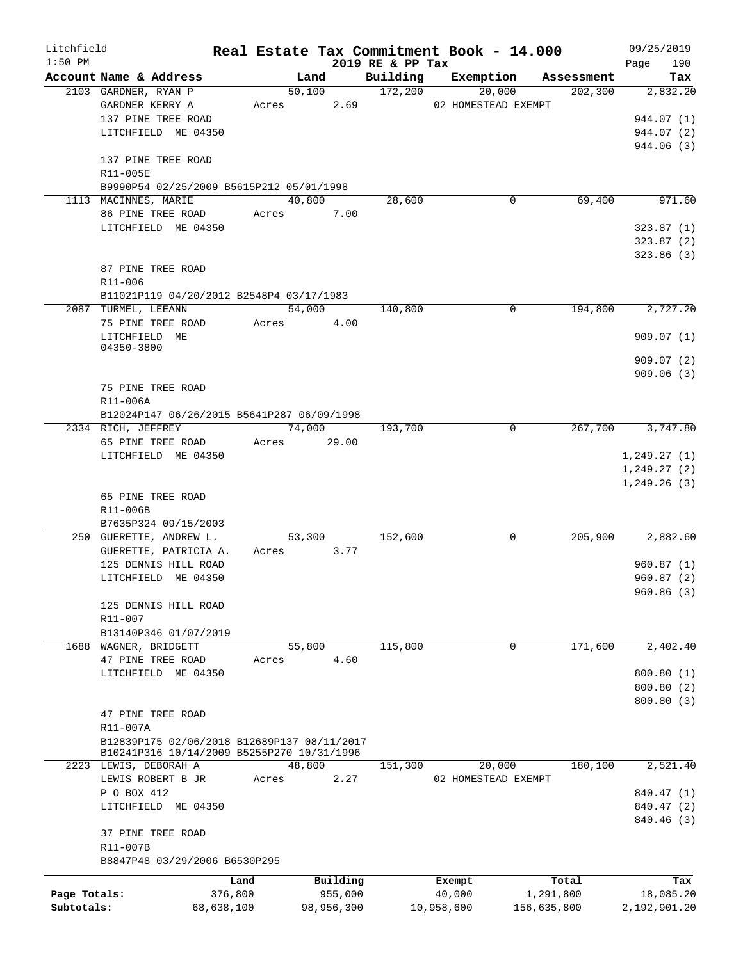| Litchfield   |                                             |            |        |             |                  | Real Estate Tax Commitment Book - 14.000 |                       | 09/25/2019       |
|--------------|---------------------------------------------|------------|--------|-------------|------------------|------------------------------------------|-----------------------|------------------|
| $1:50$ PM    | Account Name & Address                      |            |        | Land        | 2019 RE & PP Tax | Building Exemption                       |                       | 190<br>Page      |
|              | 2103 GARDNER, RYAN P                        |            |        | 50,100      | 172,200          | 20,000                                   | Assessment<br>202,300 | Tax<br>2,832.20  |
|              | GARDNER KERRY A                             |            |        | Acres 2.69  |                  | 02 HOMESTEAD EXEMPT                      |                       |                  |
|              | 137 PINE TREE ROAD                          |            |        |             |                  |                                          |                       | 944.07 (1)       |
|              | LITCHFIELD ME 04350                         |            |        |             |                  |                                          |                       | 944.07 (2)       |
|              |                                             |            |        |             |                  |                                          |                       | 944.06 (3)       |
|              | 137 PINE TREE ROAD                          |            |        |             |                  |                                          |                       |                  |
|              | R11-005E                                    |            |        |             |                  |                                          |                       |                  |
|              | B9990P54 02/25/2009 B5615P212 05/01/1998    |            |        |             |                  |                                          |                       |                  |
|              | 1113 MACINNES, MARIE                        |            |        | 40,800      | 28,600           | $\mathbf 0$                              | 69,400                | 971.60           |
|              | 86 PINE TREE ROAD                           |            |        | Acres 7.00  |                  |                                          |                       |                  |
|              | LITCHFIELD ME 04350                         |            |        |             |                  |                                          |                       | 323.87(1)        |
|              |                                             |            |        |             |                  |                                          |                       | 323.87(2)        |
|              |                                             |            |        |             |                  |                                          |                       | 323.86(3)        |
|              | 87 PINE TREE ROAD                           |            |        |             |                  |                                          |                       |                  |
|              | R11-006                                     |            |        |             |                  |                                          |                       |                  |
|              | B11021P119 04/20/2012 B2548P4 03/17/1983    |            |        |             |                  |                                          |                       |                  |
|              | 2087 TURMEL, LEEANN                         |            | 54,000 |             | 140,800          | $\Omega$                                 | 194,800               | 2,727.20         |
|              | 75 PINE TREE ROAD                           |            |        | Acres 4.00  |                  |                                          |                       |                  |
|              | LITCHFIELD ME<br>04350-3800                 |            |        |             |                  |                                          |                       | 909.07(1)        |
|              |                                             |            |        |             |                  |                                          |                       | 909.07(2)        |
|              |                                             |            |        |             |                  |                                          |                       | 909.06(3)        |
|              | 75 PINE TREE ROAD                           |            |        |             |                  |                                          |                       |                  |
|              | R11-006A                                    |            |        |             |                  |                                          |                       |                  |
|              | B12024P147 06/26/2015 B5641P287 06/09/1998  |            |        |             |                  |                                          |                       |                  |
|              | 2334 RICH, JEFFREY                          |            |        | 74,000      | 193,700          | $\overline{0}$                           |                       | 267,700 3,747.80 |
|              | 65 PINE TREE ROAD                           |            |        | Acres 29.00 |                  |                                          |                       |                  |
|              | LITCHFIELD ME 04350                         |            |        |             |                  |                                          |                       | 1, 249.27(1)     |
|              |                                             |            |        |             |                  |                                          |                       | 1,249.27(2)      |
|              |                                             |            |        |             |                  |                                          |                       | 1,249.26(3)      |
|              | 65 PINE TREE ROAD                           |            |        |             |                  |                                          |                       |                  |
|              | R11-006B                                    |            |        |             |                  |                                          |                       |                  |
|              | B7635P324 09/15/2003                        |            |        |             |                  |                                          |                       |                  |
|              | 250 GUERETTE, ANDREW L.                     |            |        | 53,300      | 152,600          | 0                                        |                       | 205,900 2,882.60 |
|              | GUERETTE, PATRICIA A.                       |            |        | Acres 3.77  |                  |                                          |                       |                  |
|              | 125 DENNIS HILL ROAD                        |            |        |             |                  |                                          |                       | 960.87(1)        |
|              | LITCHFIELD ME 04350                         |            |        |             |                  |                                          |                       | 960.87(2)        |
|              |                                             |            |        |             |                  |                                          |                       | 960.86(3)        |
|              | 125 DENNIS HILL ROAD                        |            |        |             |                  |                                          |                       |                  |
|              | R11-007                                     |            |        |             |                  |                                          |                       |                  |
|              | B13140P346 01/07/2019                       |            |        |             |                  |                                          |                       |                  |
|              | 1688 WAGNER, BRIDGETT                       |            | 55,800 |             | 115,800          | 0                                        | 171,600               | 2,402.40         |
|              | 47 PINE TREE ROAD                           |            | Acres  | 4.60        |                  |                                          |                       |                  |
|              | LITCHFIELD ME 04350                         |            |        |             |                  |                                          |                       | 800.80(1)        |
|              |                                             |            |        |             |                  |                                          |                       | 800.80 (2)       |
|              |                                             |            |        |             |                  |                                          |                       | 800.80 (3)       |
|              | 47 PINE TREE ROAD                           |            |        |             |                  |                                          |                       |                  |
|              | R11-007A                                    |            |        |             |                  |                                          |                       |                  |
|              | B12839P175 02/06/2018 B12689P137 08/11/2017 |            |        |             |                  |                                          |                       |                  |
|              | B10241P316 10/14/2009 B5255P270 10/31/1996  |            |        |             |                  |                                          |                       |                  |
|              | 2223 LEWIS, DEBORAH A                       |            | 48,800 |             | 151,300          | 20,000                                   | 180,100               | 2,521.40         |
|              | LEWIS ROBERT B JR                           |            | Acres  | 2.27        |                  | 02 HOMESTEAD EXEMPT                      |                       |                  |
|              | P O BOX 412                                 |            |        |             |                  |                                          |                       | 840.47 (1)       |
|              | LITCHFIELD ME 04350                         |            |        |             |                  |                                          |                       | 840.47 (2)       |
|              | 37 PINE TREE ROAD                           |            |        |             |                  |                                          |                       | 840.46 (3)       |
|              | R11-007B                                    |            |        |             |                  |                                          |                       |                  |
|              | B8847P48 03/29/2006 B6530P295               |            |        |             |                  |                                          |                       |                  |
|              |                                             |            |        |             |                  |                                          |                       |                  |
|              |                                             | Land       |        | Building    |                  | Exempt                                   | Total                 | Tax              |
| Page Totals: |                                             | 376,800    |        | 955,000     |                  | 40,000                                   | 1,291,800             | 18,085.20        |
| Subtotals:   |                                             | 68,638,100 |        | 98,956,300  |                  | 10,958,600                               | 156,635,800           | 2,192,901.20     |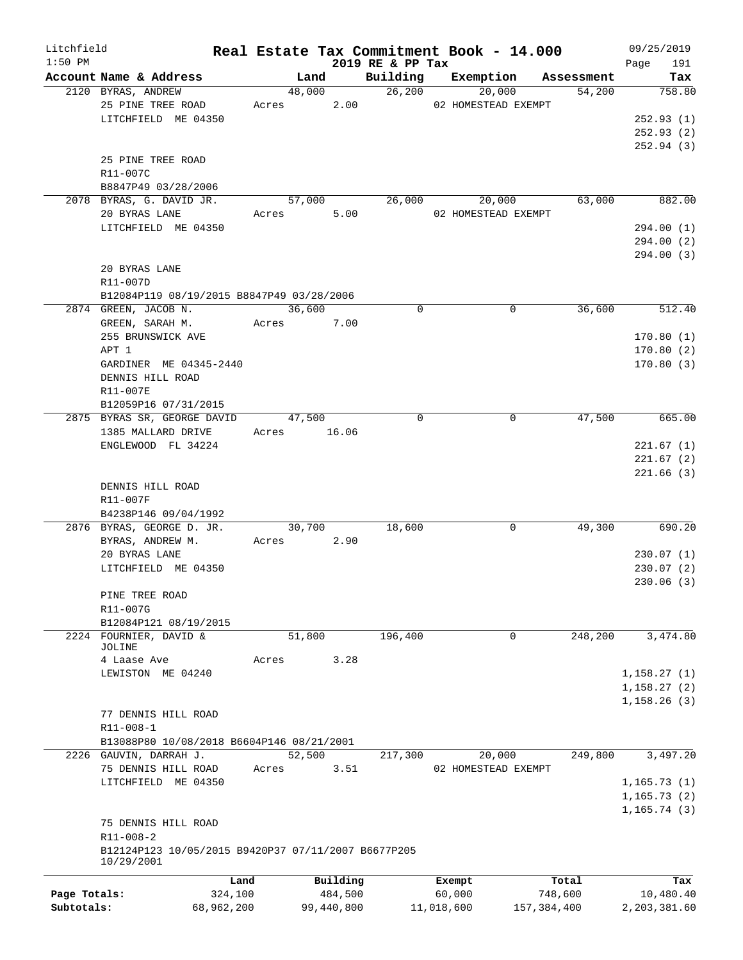| Litchfield   |                                                     |            |        |             |                  | Real Estate Tax Commitment Book - 14.000 |               | 09/25/2019   |
|--------------|-----------------------------------------------------|------------|--------|-------------|------------------|------------------------------------------|---------------|--------------|
| $1:50$ PM    |                                                     |            |        |             | 2019 RE & PP Tax |                                          |               | 191<br>Page  |
|              | Account Name & Address                              |            | Land   |             | Building         | Exemption                                | Assessment    | Tax          |
|              | 2120 BYRAS, ANDREW                                  |            | 48,000 |             | 26,200           | 20,000                                   | 54,200        | 758.80       |
|              | 25 PINE TREE ROAD                                   |            | Acres  | 2.00        |                  | 02 HOMESTEAD EXEMPT                      |               |              |
|              | LITCHFIELD ME 04350                                 |            |        |             |                  |                                          |               | 252.93(1)    |
|              |                                                     |            |        |             |                  |                                          |               | 252.93(2)    |
|              |                                                     |            |        |             |                  |                                          |               | 252.94(3)    |
|              | 25 PINE TREE ROAD                                   |            |        |             |                  |                                          |               |              |
|              | R11-007C                                            |            |        |             |                  |                                          |               |              |
|              | B8847P49 03/28/2006                                 |            |        |             |                  |                                          |               |              |
|              | 2078 BYRAS, G. DAVID JR.                            |            | 57,000 |             | 26,000           | 20,000                                   | 63,000        | 882.00       |
|              | 20 BYRAS LANE                                       |            | Acres  | 5.00        |                  | 02 HOMESTEAD EXEMPT                      |               |              |
|              | LITCHFIELD ME 04350                                 |            |        |             |                  |                                          |               | 294.00 (1)   |
|              |                                                     |            |        |             |                  |                                          |               | 294.00 (2)   |
|              |                                                     |            |        |             |                  |                                          |               | 294.00 (3)   |
|              | 20 BYRAS LANE                                       |            |        |             |                  |                                          |               |              |
|              | R11-007D                                            |            |        |             |                  |                                          |               |              |
|              | B12084P119 08/19/2015 B8847P49 03/28/2006           |            |        |             |                  |                                          |               |              |
|              | 2874 GREEN, JACOB N.                                |            | 36,600 |             | 0                | 0                                        | 36,600        | 512.40       |
|              | GREEN, SARAH M.                                     | Acres      |        | 7.00        |                  |                                          |               |              |
|              | 255 BRUNSWICK AVE                                   |            |        |             |                  |                                          |               | 170.80(1)    |
|              | APT 1                                               |            |        |             |                  |                                          |               | 170.80(2)    |
|              | GARDINER ME 04345-2440                              |            |        |             |                  |                                          |               | 170.80(3)    |
|              | DENNIS HILL ROAD                                    |            |        |             |                  |                                          |               |              |
|              | R11-007E                                            |            |        |             |                  |                                          |               |              |
|              | B12059P16 07/31/2015                                |            |        |             |                  |                                          |               |              |
|              | 2875 BYRAS SR, GEORGE DAVID                         |            | 47,500 |             | $\Omega$         | 0                                        | 47,500        | 665.00       |
|              | 1385 MALLARD DRIVE                                  |            |        | Acres 16.06 |                  |                                          |               |              |
|              | ENGLEWOOD FL 34224                                  |            |        |             |                  |                                          |               | 221.67(1)    |
|              |                                                     |            |        |             |                  |                                          |               | 221.67(2)    |
|              |                                                     |            |        |             |                  |                                          |               | 221.66(3)    |
|              | DENNIS HILL ROAD                                    |            |        |             |                  |                                          |               |              |
|              | R11-007F                                            |            |        |             |                  |                                          |               |              |
|              | B4238P146 09/04/1992                                |            |        |             |                  |                                          |               |              |
|              | 2876 BYRAS, GEORGE D. JR.                           |            | 30,700 |             | 18,600           | 0                                        | 49,300        | 690.20       |
|              | BYRAS, ANDREW M.                                    | Acres      |        | 2.90        |                  |                                          |               |              |
|              | 20 BYRAS LANE                                       |            |        |             |                  |                                          |               | 230.07(1)    |
|              | LITCHFIELD ME 04350                                 |            |        |             |                  |                                          |               | 230.07(2)    |
|              |                                                     |            |        |             |                  |                                          |               | 230.06(3)    |
|              |                                                     |            |        |             |                  |                                          |               |              |
|              | PINE TREE ROAD<br>R11-007G                          |            |        |             |                  |                                          |               |              |
|              | B12084P121 08/19/2015                               |            |        |             |                  |                                          |               |              |
|              |                                                     |            |        |             | 196,400          | 0                                        | 248,200       | 3,474.80     |
|              | 2224 FOURNIER, DAVID &<br>JOLINE                    |            | 51,800 |             |                  |                                          |               |              |
|              | 4 Laase Ave                                         | Acres      |        | 3.28        |                  |                                          |               |              |
|              | LEWISTON ME 04240                                   |            |        |             |                  |                                          |               | 1,158.27(1)  |
|              |                                                     |            |        |             |                  |                                          |               | 1,158.27(2)  |
|              |                                                     |            |        |             |                  |                                          |               | 1,158.26(3)  |
|              | 77 DENNIS HILL ROAD                                 |            |        |             |                  |                                          |               |              |
|              | $R11 - 008 - 1$                                     |            |        |             |                  |                                          |               |              |
|              | B13088P80 10/08/2018 B6604P146 08/21/2001           |            |        |             |                  |                                          |               |              |
|              |                                                     |            |        |             |                  |                                          |               |              |
|              | 2226 GAUVIN, DARRAH J.                              |            | 52,500 |             | 217,300          | 20,000                                   | 249,800       | 3,497.20     |
|              | 75 DENNIS HILL ROAD                                 | Acres      |        | 3.51        |                  | 02 HOMESTEAD EXEMPT                      |               |              |
|              | LITCHFIELD ME 04350                                 |            |        |             |                  |                                          |               | 1, 165.73(1) |
|              |                                                     |            |        |             |                  |                                          |               | 1, 165.73(2) |
|              |                                                     |            |        |             |                  |                                          |               | 1, 165.74(3) |
|              | 75 DENNIS HILL ROAD                                 |            |        |             |                  |                                          |               |              |
|              | R11-008-2                                           |            |        |             |                  |                                          |               |              |
|              | B12124P123 10/05/2015 B9420P37 07/11/2007 B6677P205 |            |        |             |                  |                                          |               |              |
|              | 10/29/2001                                          |            |        |             |                  |                                          |               |              |
|              |                                                     | Land       |        | Building    |                  | Exempt                                   | Total         | Tax          |
| Page Totals: |                                                     | 324,100    |        | 484,500     |                  | 60,000                                   | 748,600       | 10,480.40    |
| Subtotals:   |                                                     | 68,962,200 |        | 99,440,800  |                  | 11,018,600                               | 157, 384, 400 | 2,203,381.60 |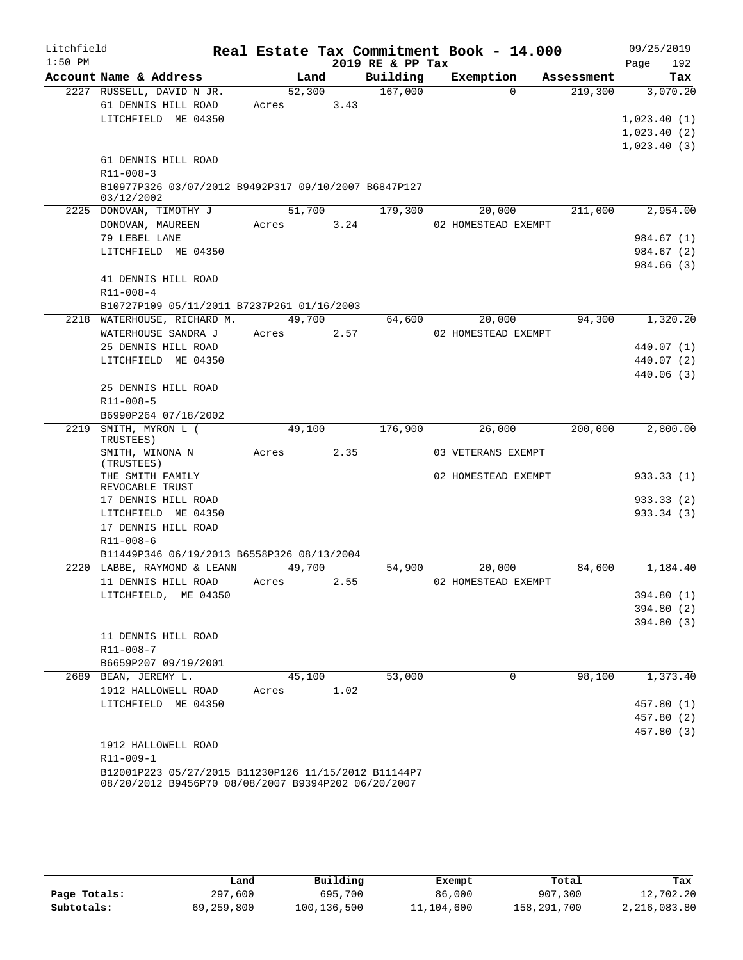| Litchfield |                                                                                                             |        |      |                  | Real Estate Tax Commitment Book - 14.000 |            | 09/25/2019              |
|------------|-------------------------------------------------------------------------------------------------------------|--------|------|------------------|------------------------------------------|------------|-------------------------|
| $1:50$ PM  |                                                                                                             |        |      | 2019 RE & PP Tax |                                          |            | Page<br>192             |
|            | Account Name & Address                                                                                      | Land   |      | Building         | Exemption                                | Assessment | Tax                     |
|            | 2227 RUSSELL, DAVID N JR.                                                                                   | 52,300 |      | 167,000          | $\Omega$                                 | 219,300    | 3,070.20                |
|            | 61 DENNIS HILL ROAD                                                                                         | Acres  | 3.43 |                  |                                          |            |                         |
|            | LITCHFIELD ME 04350                                                                                         |        |      |                  |                                          |            | 1,023.40(1)             |
|            |                                                                                                             |        |      |                  |                                          |            | 1,023.40(2)             |
|            |                                                                                                             |        |      |                  |                                          |            | 1,023.40(3)             |
|            | 61 DENNIS HILL ROAD                                                                                         |        |      |                  |                                          |            |                         |
|            | R11-008-3                                                                                                   |        |      |                  |                                          |            |                         |
|            | B10977P326 03/07/2012 B9492P317 09/10/2007 B6847P127<br>03/12/2002                                          |        |      |                  |                                          |            |                         |
|            | 2225 DONOVAN, TIMOTHY J                                                                                     | 51,700 |      | 179,300          | 20,000                                   | 211,000    | 2,954.00                |
|            | DONOVAN, MAUREEN                                                                                            | Acres  | 3.24 |                  | 02 HOMESTEAD EXEMPT                      |            |                         |
|            | 79 LEBEL LANE                                                                                               |        |      |                  |                                          |            | 984.67 (1)              |
|            | LITCHFIELD ME 04350                                                                                         |        |      |                  |                                          |            | 984.67 (2)              |
|            |                                                                                                             |        |      |                  |                                          |            | 984.66 (3)              |
|            | 41 DENNIS HILL ROAD                                                                                         |        |      |                  |                                          |            |                         |
|            | R11-008-4                                                                                                   |        |      |                  |                                          |            |                         |
|            | B10727P109 05/11/2011 B7237P261 01/16/2003                                                                  |        |      |                  |                                          |            |                         |
|            | 2218 WATERHOUSE, RICHARD M.                                                                                 | 49,700 |      | 64,600           | 20,000                                   | 94,300     | 1,320.20                |
|            | WATERHOUSE SANDRA J                                                                                         | Acres  | 2.57 |                  | 02 HOMESTEAD EXEMPT                      |            |                         |
|            | 25 DENNIS HILL ROAD                                                                                         |        |      |                  |                                          |            | 440.07 (1)              |
|            | LITCHFIELD ME 04350                                                                                         |        |      |                  |                                          |            | 440.07 (2)              |
|            |                                                                                                             |        |      |                  |                                          |            | 440.06(3)               |
|            | 25 DENNIS HILL ROAD                                                                                         |        |      |                  |                                          |            |                         |
|            | R11-008-5                                                                                                   |        |      |                  |                                          |            |                         |
|            | B6990P264 07/18/2002                                                                                        |        |      |                  |                                          |            |                         |
|            | 2219 SMITH, MYRON L (<br>TRUSTEES)                                                                          | 49,100 |      | 176,900          | 26,000                                   | 200,000    | 2,800.00                |
|            | SMITH, WINONA N<br>(TRUSTEES)                                                                               | Acres  | 2.35 |                  | 03 VETERANS EXEMPT                       |            |                         |
|            | THE SMITH FAMILY<br>REVOCABLE TRUST                                                                         |        |      |                  | 02 HOMESTEAD EXEMPT                      |            | 933.33(1)               |
|            | 17 DENNIS HILL ROAD                                                                                         |        |      |                  |                                          |            | 933.33(2)               |
|            | LITCHFIELD ME 04350                                                                                         |        |      |                  |                                          |            | 933.34 (3)              |
|            | 17 DENNIS HILL ROAD                                                                                         |        |      |                  |                                          |            |                         |
|            | $R11 - 008 - 6$                                                                                             |        |      |                  |                                          |            |                         |
|            | B11449P346 06/19/2013 B6558P326 08/13/2004                                                                  |        |      |                  |                                          |            |                         |
| 2220       | LABBE, RAYMOND & LEANN                                                                                      | 49,700 |      | 54,900           | 20,000                                   | 84,600     | 1,184.40                |
|            | 11 DENNIS HILL ROAD                                                                                         | Acres  | 2.55 |                  | 02 HOMESTEAD EXEMPT                      |            |                         |
|            | LITCHFIELD, ME 04350                                                                                        |        |      |                  |                                          |            | 394.80 (1)<br>394.80(2) |
|            |                                                                                                             |        |      |                  |                                          |            | 394.80(3)               |
|            | 11 DENNIS HILL ROAD                                                                                         |        |      |                  |                                          |            |                         |
|            | R11-008-7                                                                                                   |        |      |                  |                                          |            |                         |
|            | B6659P207 09/19/2001<br>2689 BEAN, JEREMY L.                                                                | 45,100 |      | 53,000           | $\mathbf 0$                              | 98,100     | 1,373.40                |
|            | 1912 HALLOWELL ROAD                                                                                         | Acres  | 1.02 |                  |                                          |            |                         |
|            | LITCHFIELD ME 04350                                                                                         |        |      |                  |                                          |            | 457.80 (1)              |
|            |                                                                                                             |        |      |                  |                                          |            | 457.80 (2)              |
|            |                                                                                                             |        |      |                  |                                          |            | 457.80 (3)              |
|            | 1912 HALLOWELL ROAD                                                                                         |        |      |                  |                                          |            |                         |
|            | R11-009-1                                                                                                   |        |      |                  |                                          |            |                         |
|            | B12001P223 05/27/2015 B11230P126 11/15/2012 B11144P7<br>08/20/2012 B9456P70 08/08/2007 B9394P202 06/20/2007 |        |      |                  |                                          |            |                         |

|              | Land       | Building    | Exempt     | Total       | Tax          |
|--------------|------------|-------------|------------|-------------|--------------|
| Page Totals: | 297,600    | 695,700     | 86,000     | 907,300     | 12,702.20    |
| Subtotals:   | 69,259,800 | 100,136,500 | 11,104,600 | 158,291,700 | 2,216,083.80 |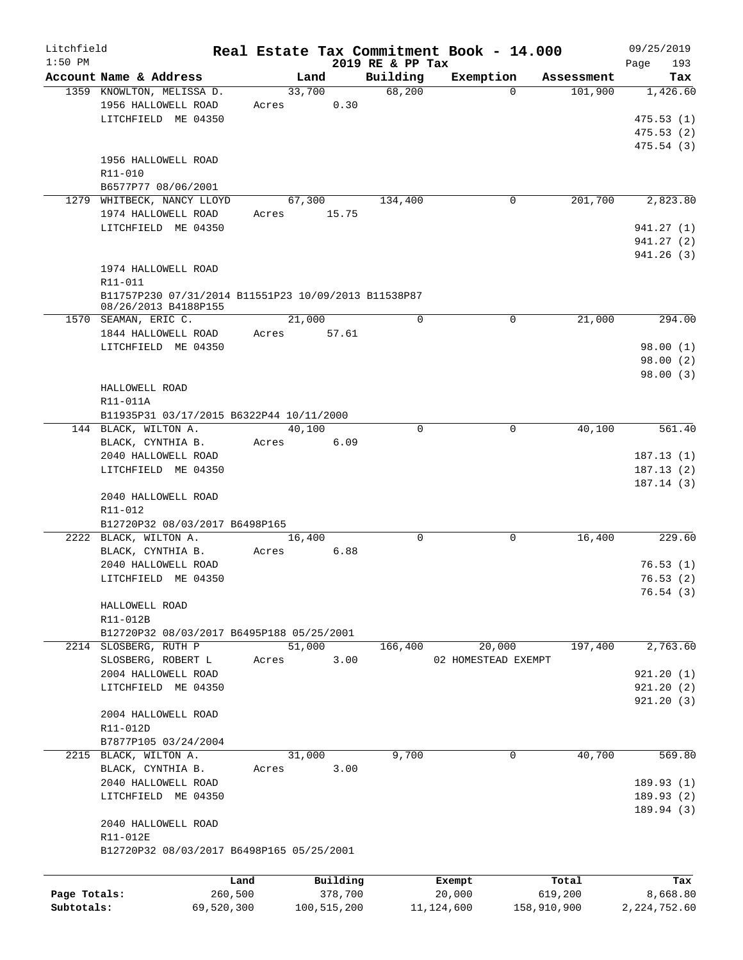| Litchfield   |                                                                              |            |             |                  | Real Estate Tax Commitment Book - 14.000 |             |            | 09/25/2019     |
|--------------|------------------------------------------------------------------------------|------------|-------------|------------------|------------------------------------------|-------------|------------|----------------|
| $1:50$ PM    |                                                                              |            |             | 2019 RE & PP Tax |                                          |             |            | Page<br>193    |
|              | Account Name & Address                                                       |            | Land        | Building         | Exemption                                |             | Assessment | Tax            |
|              | 1359 KNOWLTON, MELISSA D.                                                    |            | 33,700      | 68,200           |                                          | $\Omega$    | 101,900    | 1,426.60       |
|              | 1956 HALLOWELL ROAD                                                          | Acres      | 0.30        |                  |                                          |             |            |                |
|              | LITCHFIELD ME 04350                                                          |            |             |                  |                                          |             |            | 475.53(1)      |
|              |                                                                              |            |             |                  |                                          |             |            | 475.53(2)      |
|              |                                                                              |            |             |                  |                                          |             |            | 475.54(3)      |
|              | 1956 HALLOWELL ROAD                                                          |            |             |                  |                                          |             |            |                |
|              | R11-010                                                                      |            |             |                  |                                          |             |            |                |
|              | B6577P77 08/06/2001                                                          |            |             |                  |                                          |             |            |                |
|              | 1279 WHITBECK, NANCY LLOYD                                                   |            | 67,300      | 134,400          |                                          | 0           | 201,700    | 2,823.80       |
|              | 1974 HALLOWELL ROAD                                                          | Acres      | 15.75       |                  |                                          |             |            |                |
|              | LITCHFIELD ME 04350                                                          |            |             |                  |                                          |             |            | 941.27 (1)     |
|              |                                                                              |            |             |                  |                                          |             |            | 941.27 (2)     |
|              |                                                                              |            |             |                  |                                          |             |            | 941.26(3)      |
|              | 1974 HALLOWELL ROAD                                                          |            |             |                  |                                          |             |            |                |
|              | R11-011                                                                      |            |             |                  |                                          |             |            |                |
|              | B11757P230 07/31/2014 B11551P23 10/09/2013 B11538P87<br>08/26/2013 B4188P155 |            |             |                  |                                          |             |            |                |
|              | 1570 SEAMAN, ERIC C.                                                         |            | 21,000      | $\mathbf 0$      |                                          | $\mathbf 0$ | 21,000     | 294.00         |
|              | 1844 HALLOWELL ROAD                                                          | Acres      | 57.61       |                  |                                          |             |            |                |
|              | LITCHFIELD ME 04350                                                          |            |             |                  |                                          |             |            | 98.00(1)       |
|              |                                                                              |            |             |                  |                                          |             |            | 98.00(2)       |
|              |                                                                              |            |             |                  |                                          |             |            | 98.00(3)       |
|              | HALLOWELL ROAD                                                               |            |             |                  |                                          |             |            |                |
|              | R11-011A                                                                     |            |             |                  |                                          |             |            |                |
|              | B11935P31 03/17/2015 B6322P44 10/11/2000                                     |            |             |                  |                                          |             |            |                |
|              | 144 BLACK, WILTON A.                                                         |            | 40,100      | $\Omega$         |                                          | 0           | 40,100     | 561.40         |
|              | BLACK, CYNTHIA B.                                                            | Acres      | 6.09        |                  |                                          |             |            |                |
|              | 2040 HALLOWELL ROAD                                                          |            |             |                  |                                          |             |            | 187.13(1)      |
|              | LITCHFIELD ME 04350                                                          |            |             |                  |                                          |             |            |                |
|              |                                                                              |            |             |                  |                                          |             |            | 187.13(2)      |
|              |                                                                              |            |             |                  |                                          |             |            | 187.14(3)      |
|              | 2040 HALLOWELL ROAD                                                          |            |             |                  |                                          |             |            |                |
|              | R11-012                                                                      |            |             |                  |                                          |             |            |                |
|              | B12720P32 08/03/2017 B6498P165                                               |            |             |                  |                                          |             |            |                |
|              | 2222 BLACK, WILTON A.                                                        |            | 16,400      | $\Omega$         |                                          | 0           | 16,400     | 229.60         |
|              | BLACK, CYNTHIA B.                                                            | Acres      | 6.88        |                  |                                          |             |            |                |
|              | 2040 HALLOWELL ROAD                                                          |            |             |                  |                                          |             |            | 76.53(1)       |
|              | LITCHFIELD ME 04350                                                          |            |             |                  |                                          |             |            | 76.53(2)       |
|              |                                                                              |            |             |                  |                                          |             |            | 76.54(3)       |
|              | HALLOWELL ROAD                                                               |            |             |                  |                                          |             |            |                |
|              | R11-012B                                                                     |            |             |                  |                                          |             |            |                |
|              | B12720P32 08/03/2017 B6495P188 05/25/2001                                    |            |             |                  |                                          |             |            |                |
|              | 2214 SLOSBERG, RUTH P                                                        |            | 51,000      | 166,400          | 20,000                                   |             | 197,400    | 2,763.60       |
|              | SLOSBERG, ROBERT L                                                           | Acres      | 3.00        |                  | 02 HOMESTEAD EXEMPT                      |             |            |                |
|              | 2004 HALLOWELL ROAD                                                          |            |             |                  |                                          |             |            | 921.20(1)      |
|              | LITCHFIELD ME 04350                                                          |            |             |                  |                                          |             |            | 921.20(2)      |
|              |                                                                              |            |             |                  |                                          |             |            | 921.20(3)      |
|              | 2004 HALLOWELL ROAD                                                          |            |             |                  |                                          |             |            |                |
|              | R11-012D                                                                     |            |             |                  |                                          |             |            |                |
|              | B7877P105 03/24/2004                                                         |            |             |                  |                                          |             |            |                |
|              | 2215 BLACK, WILTON A.                                                        |            | 31,000      | 9,700            |                                          | $\mathbf 0$ | 40,700     | 569.80         |
|              | BLACK, CYNTHIA B.                                                            | Acres      | 3.00        |                  |                                          |             |            |                |
|              | 2040 HALLOWELL ROAD                                                          |            |             |                  |                                          |             |            | 189.93(1)      |
|              | LITCHFIELD ME 04350                                                          |            |             |                  |                                          |             |            | 189.93(2)      |
|              | 2040 HALLOWELL ROAD                                                          |            |             |                  |                                          |             |            | 189.94(3)      |
|              | R11-012E                                                                     |            |             |                  |                                          |             |            |                |
|              | B12720P32 08/03/2017 B6498P165 05/25/2001                                    |            |             |                  |                                          |             |            |                |
|              |                                                                              | Land       | Building    |                  | Exempt                                   |             | Total      | Tax            |
| Page Totals: |                                                                              | 260,500    | 378,700     |                  | 20,000                                   | 619,200     |            | 8,668.80       |
| Subtotals:   |                                                                              | 69,520,300 | 100,515,200 |                  | 11, 124, 600                             | 158,910,900 |            | 2, 224, 752.60 |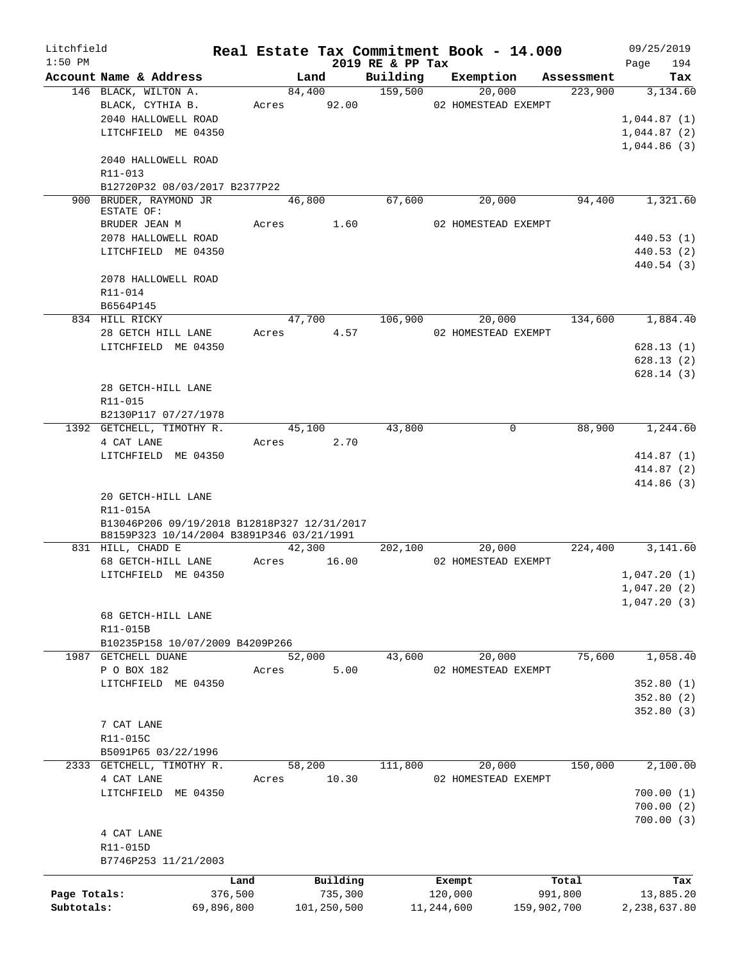| Litchfield   |                                                         |            |                |                  | Real Estate Tax Commitment Book - 14.000 |                    | 09/25/2019             |
|--------------|---------------------------------------------------------|------------|----------------|------------------|------------------------------------------|--------------------|------------------------|
| $1:50$ PM    |                                                         |            |                | 2019 RE & PP Tax |                                          |                    | 194<br>Page            |
|              | Account Name & Address                                  |            | Land           | Building         | Exemption                                | Assessment         | Tax                    |
|              | 146 BLACK, WILTON A.                                    |            | 84,400         | 159,500          | 20,000                                   | 223,900            | 3,134.60               |
|              | BLACK, CYTHIA B.<br>2040 HALLOWELL ROAD                 |            | Acres 92.00    |                  | 02 HOMESTEAD EXEMPT                      |                    | 1,044.87(1)            |
|              | LITCHFIELD ME 04350                                     |            |                |                  |                                          |                    | 1,044.87(2)            |
|              |                                                         |            |                |                  |                                          |                    | 1,044.86(3)            |
|              | 2040 HALLOWELL ROAD                                     |            |                |                  |                                          |                    |                        |
|              | R11-013                                                 |            |                |                  |                                          |                    |                        |
|              | B12720P32 08/03/2017 B2377P22                           |            |                |                  |                                          |                    |                        |
|              | 900 BRUDER, RAYMOND JR                                  |            | 46,800         | 67,600           | 20,000                                   | 94,400             | 1,321.60               |
|              | ESTATE OF:                                              |            |                |                  |                                          |                    |                        |
|              | BRUDER JEAN M                                           |            | Acres 1.60     |                  | 02 HOMESTEAD EXEMPT                      |                    |                        |
|              | 2078 HALLOWELL ROAD<br>LITCHFIELD ME 04350              |            |                |                  |                                          |                    | 440.53(1)<br>440.53(2) |
|              |                                                         |            |                |                  |                                          |                    | 440.54 (3)             |
|              | 2078 HALLOWELL ROAD                                     |            |                |                  |                                          |                    |                        |
|              | R11-014                                                 |            |                |                  |                                          |                    |                        |
|              | B6564P145                                               |            |                |                  |                                          |                    |                        |
|              | 834 HILL RICKY                                          |            | 47,700 106,900 |                  |                                          | 134,600<br>20,000  | 1,884.40               |
|              | 28 GETCH HILL LANE                                      |            | Acres 4.57     |                  | 02 HOMESTEAD EXEMPT                      |                    |                        |
|              | LITCHFIELD ME 04350                                     |            |                |                  |                                          |                    | 628.13(1)              |
|              |                                                         |            |                |                  |                                          |                    | 628.13(2)              |
|              |                                                         |            |                |                  |                                          |                    | 628.14(3)              |
|              | 28 GETCH-HILL LANE                                      |            |                |                  |                                          |                    |                        |
|              | R11-015                                                 |            |                |                  |                                          |                    |                        |
|              | B2130P117 07/27/1978                                    |            |                |                  |                                          |                    |                        |
|              | 1392 GETCHELL, TIMOTHY R.                               |            | 45,100         | 43,800           |                                          | $\Omega$<br>88,900 | 1,244.60               |
|              | 4 CAT LANE                                              |            | 2.70<br>Acres  |                  |                                          |                    |                        |
|              | LITCHFIELD ME 04350                                     |            |                |                  |                                          |                    | 414.87 (1)             |
|              |                                                         |            |                |                  |                                          |                    | 414.87 (2)             |
|              |                                                         |            |                |                  |                                          |                    | 414.86 (3)             |
|              | 20 GETCH-HILL LANE                                      |            |                |                  |                                          |                    |                        |
|              | R11-015A<br>B13046P206 09/19/2018 B12818P327 12/31/2017 |            |                |                  |                                          |                    |                        |
|              | B8159P323 10/14/2004 B3891P346 03/21/1991               |            |                |                  |                                          |                    |                        |
|              | 831 HILL, CHADD E                                       |            | 42,300         | 202,100          | 20,000                                   | 224,400            | 3,141.60               |
|              | 68 GETCH-HILL LANE                                      | Acres      | 16.00          |                  | 02 HOMESTEAD EXEMPT                      |                    |                        |
|              | LITCHFIELD ME 04350                                     |            |                |                  |                                          |                    | 1,047.20(1)            |
|              |                                                         |            |                |                  |                                          |                    | 1,047.20(2)            |
|              |                                                         |            |                |                  |                                          |                    | 1,047.20(3)            |
|              | 68 GETCH-HILL LANE                                      |            |                |                  |                                          |                    |                        |
|              | R11-015B                                                |            |                |                  |                                          |                    |                        |
|              | B10235P158 10/07/2009 B4209P266                         |            |                |                  |                                          |                    |                        |
| 1987         | GETCHELL DUANE                                          |            | 52,000<br>5.00 | 43,600           | 20,000                                   | 75,600             | 1,058.40               |
|              | P O BOX 182<br>LITCHFIELD ME 04350                      | Acres      |                |                  | 02 HOMESTEAD EXEMPT                      |                    | 352.80(1)              |
|              |                                                         |            |                |                  |                                          |                    | 352.80(2)              |
|              |                                                         |            |                |                  |                                          |                    | 352.80(3)              |
|              | 7 CAT LANE                                              |            |                |                  |                                          |                    |                        |
|              | R11-015C                                                |            |                |                  |                                          |                    |                        |
|              | B5091P65 03/22/1996                                     |            |                |                  |                                          |                    |                        |
|              | 2333 GETCHELL, TIMOTHY R.                               |            | 58,200         | 111,800          | 20,000                                   | 150,000            | 2,100.00               |
|              | 4 CAT LANE                                              | Acres      | 10.30          |                  | 02 HOMESTEAD EXEMPT                      |                    |                        |
|              | LITCHFIELD ME 04350                                     |            |                |                  |                                          |                    | 700.00(1)              |
|              |                                                         |            |                |                  |                                          |                    | 700.00(2)              |
|              |                                                         |            |                |                  |                                          |                    | 700.00(3)              |
|              | 4 CAT LANE                                              |            |                |                  |                                          |                    |                        |
|              | R11-015D                                                |            |                |                  |                                          |                    |                        |
|              | B7746P253 11/21/2003                                    |            |                |                  |                                          |                    |                        |
|              |                                                         | Land       | Building       |                  | Exempt                                   | Total              | Tax                    |
| Page Totals: |                                                         | 376,500    | 735,300        |                  | 120,000                                  | 991,800            | 13,885.20              |
| Subtotals:   |                                                         | 69,896,800 | 101,250,500    |                  | 11,244,600                               | 159,902,700        | 2,238,637.80           |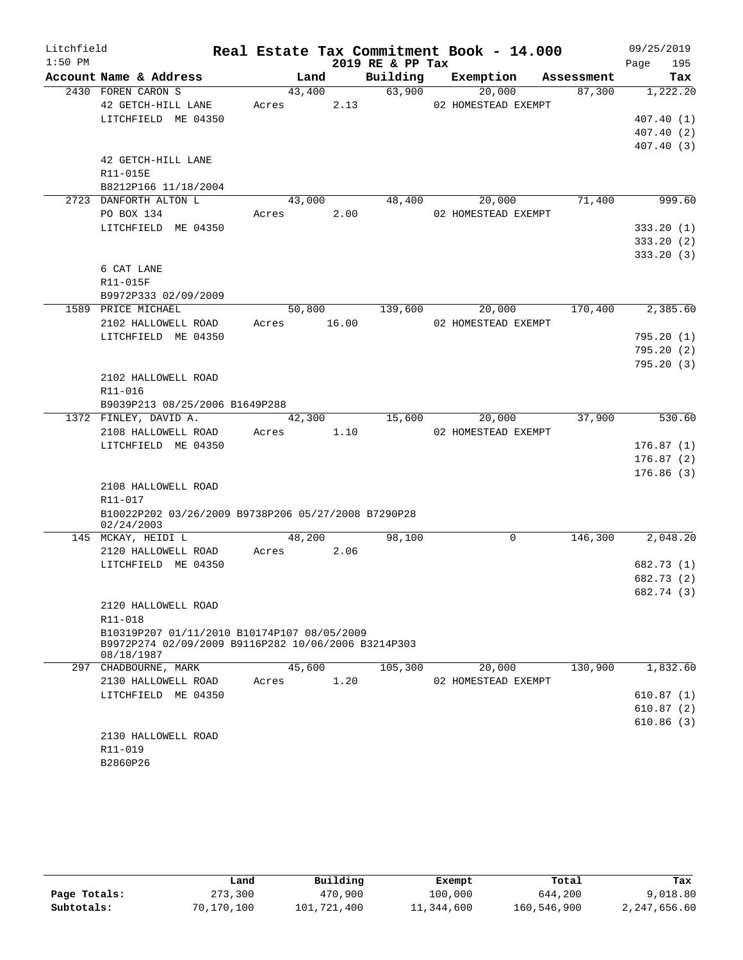| Litchfield |                                                                                                    |       |        |       |                  | Real Estate Tax Commitment Book - 14.000 |            | 09/25/2019 |                        |
|------------|----------------------------------------------------------------------------------------------------|-------|--------|-------|------------------|------------------------------------------|------------|------------|------------------------|
| $1:50$ PM  |                                                                                                    |       |        |       | 2019 RE & PP Tax |                                          |            | Page       | 195                    |
|            | Account Name & Address                                                                             |       | Land   |       | Building         | Exemption                                | Assessment |            | Tax                    |
|            | 2430 FOREN CARON S                                                                                 |       | 43,400 |       | 63,900           | 20,000                                   | 87,300     |            | 1,222.20               |
|            | 42 GETCH-HILL LANE                                                                                 | Acres |        | 2.13  |                  | 02 HOMESTEAD EXEMPT                      |            |            |                        |
|            | LITCHFIELD ME 04350                                                                                |       |        |       |                  |                                          |            |            | 407.40(1)              |
|            |                                                                                                    |       |        |       |                  |                                          |            |            | 407.40(2)              |
|            |                                                                                                    |       |        |       |                  |                                          |            |            | 407.40(3)              |
|            | 42 GETCH-HILL LANE                                                                                 |       |        |       |                  |                                          |            |            |                        |
|            | R11-015E                                                                                           |       |        |       |                  |                                          |            |            |                        |
|            | B8212P166 11/18/2004<br>2723 DANFORTH ALTON L                                                      |       |        |       |                  | 20,000                                   | 71,400     |            | 999.60                 |
|            | PO BOX 134                                                                                         |       | 43,000 | 2.00  | 48,400           | 02 HOMESTEAD EXEMPT                      |            |            |                        |
|            | LITCHFIELD ME 04350                                                                                | Acres |        |       |                  |                                          |            |            |                        |
|            |                                                                                                    |       |        |       |                  |                                          |            |            | 333.20(1)<br>333.20(2) |
|            |                                                                                                    |       |        |       |                  |                                          |            |            | 333.20(3)              |
|            | 6 CAT LANE                                                                                         |       |        |       |                  |                                          |            |            |                        |
|            | R11-015F                                                                                           |       |        |       |                  |                                          |            |            |                        |
|            | B9972P333 02/09/2009                                                                               |       |        |       |                  |                                          |            |            |                        |
|            | 1589 PRICE MICHAEL                                                                                 |       | 50,800 |       | 139,600          | 20,000                                   | 170,400    |            | 2,385.60               |
|            | 2102 HALLOWELL ROAD                                                                                | Acres |        | 16.00 |                  | 02 HOMESTEAD EXEMPT                      |            |            |                        |
|            | LITCHFIELD ME 04350                                                                                |       |        |       |                  |                                          |            |            | 795.20(1)              |
|            |                                                                                                    |       |        |       |                  |                                          |            |            | 795.20(2)              |
|            |                                                                                                    |       |        |       |                  |                                          |            |            | 795.20(3)              |
|            | 2102 HALLOWELL ROAD                                                                                |       |        |       |                  |                                          |            |            |                        |
|            | R11-016                                                                                            |       |        |       |                  |                                          |            |            |                        |
|            | B9039P213 08/25/2006 B1649P288                                                                     |       |        |       |                  |                                          |            |            |                        |
|            | 1372 FINLEY, DAVID A.                                                                              |       | 42,300 |       | 15,600           | 20,000                                   | 37,900     |            | 530.60                 |
|            | 2108 HALLOWELL ROAD                                                                                | Acres |        | 1.10  |                  | 02 HOMESTEAD EXEMPT                      |            |            |                        |
|            | LITCHFIELD ME 04350                                                                                |       |        |       |                  |                                          |            |            | 176.87(1)              |
|            |                                                                                                    |       |        |       |                  |                                          |            |            | 176.87(2)              |
|            |                                                                                                    |       |        |       |                  |                                          |            |            | 176.86(3)              |
|            | 2108 HALLOWELL ROAD                                                                                |       |        |       |                  |                                          |            |            |                        |
|            | R11-017                                                                                            |       |        |       |                  |                                          |            |            |                        |
|            | B10022P202 03/26/2009 B9738P206 05/27/2008 B7290P28<br>02/24/2003                                  |       |        |       |                  |                                          |            |            |                        |
|            | 145 MCKAY, HEIDI L                                                                                 |       | 48,200 |       | 98,100           | 0                                        | 146,300    |            | 2,048.20               |
|            | 2120 HALLOWELL ROAD                                                                                | Acres |        | 2.06  |                  |                                          |            |            |                        |
|            | LITCHFIELD ME 04350                                                                                |       |        |       |                  |                                          |            |            | 682.73 (1)             |
|            |                                                                                                    |       |        |       |                  |                                          |            |            | 682.73 (2)             |
|            |                                                                                                    |       |        |       |                  |                                          |            |            | 682.74 (3)             |
|            | 2120 HALLOWELL ROAD                                                                                |       |        |       |                  |                                          |            |            |                        |
|            | R11-018                                                                                            |       |        |       |                  |                                          |            |            |                        |
|            | B10319P207 01/11/2010 B10174P107 08/05/2009<br>B9972P274 02/09/2009 B9116P282 10/06/2006 B3214P303 |       |        |       |                  |                                          |            |            |                        |
|            | 08/18/1987                                                                                         |       |        |       |                  |                                          |            |            |                        |
|            | 297 CHADBOURNE, MARK                                                                               |       | 45,600 |       | 105,300          | 20,000                                   | 130,900    |            | 1,832.60               |
|            | 2130 HALLOWELL ROAD                                                                                | Acres |        | 1.20  |                  | 02 HOMESTEAD EXEMPT                      |            |            |                        |
|            | LITCHFIELD ME 04350                                                                                |       |        |       |                  |                                          |            |            | 610.87(1)              |
|            |                                                                                                    |       |        |       |                  |                                          |            |            | 610.87(2)              |
|            |                                                                                                    |       |        |       |                  |                                          |            |            | 610.86(3)              |
|            | 2130 HALLOWELL ROAD                                                                                |       |        |       |                  |                                          |            |            |                        |
|            | R11-019                                                                                            |       |        |       |                  |                                          |            |            |                        |
|            | B2860P26                                                                                           |       |        |       |                  |                                          |            |            |                        |
|            |                                                                                                    |       |        |       |                  |                                          |            |            |                        |

|              | Land       | Building    | Exempt     | Total       | Tax          |
|--------------|------------|-------------|------------|-------------|--------------|
| Page Totals: | 273,300    | 470,900     | 100,000    | 644,200     | 9,018.80     |
| Subtotals:   | 70,170,100 | 101,721,400 | 11,344,600 | 160,546,900 | 2,247,656.60 |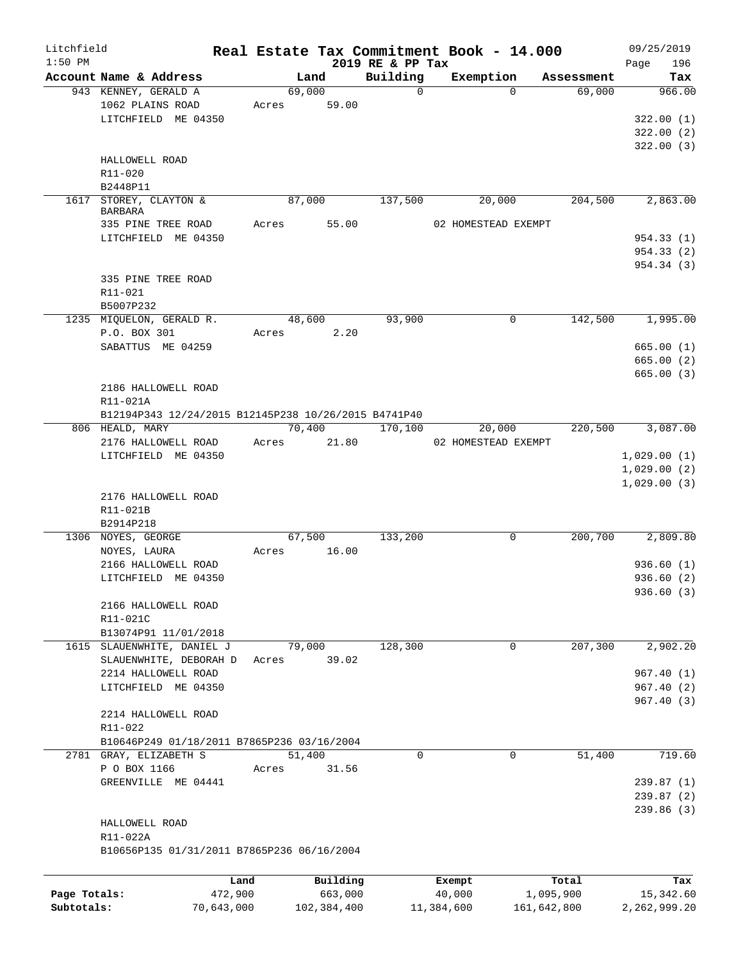| Litchfield   |                                                                         |            |                 |             | Real Estate Tax Commitment Book - 14.000 |            |                               |                      | 09/25/2019                 |
|--------------|-------------------------------------------------------------------------|------------|-----------------|-------------|------------------------------------------|------------|-------------------------------|----------------------|----------------------------|
| $1:50$ PM    |                                                                         |            |                 |             | 2019 RE & PP Tax                         |            |                               |                      | 196<br>Page                |
|              | Account Name & Address<br>943 KENNEY, GERALD A                          |            | 69,000          | Land        | Building<br>$\mathbf 0$                  |            | Exemption<br>$\Omega$         | Assessment<br>69,000 | Tax<br>966.00              |
|              | 1062 PLAINS ROAD                                                        |            | Acres           | 59.00       |                                          |            |                               |                      |                            |
|              | LITCHFIELD ME 04350                                                     |            |                 |             |                                          |            |                               |                      | 322.00(1)                  |
|              |                                                                         |            |                 |             |                                          |            |                               |                      | 322.00(2)                  |
|              |                                                                         |            |                 |             |                                          |            |                               |                      | 322.00(3)                  |
|              | HALLOWELL ROAD                                                          |            |                 |             |                                          |            |                               |                      |                            |
|              | R11-020                                                                 |            |                 |             |                                          |            |                               |                      |                            |
|              | B2448P11                                                                |            |                 |             |                                          |            |                               |                      |                            |
| 1617         | STOREY, CLAYTON &                                                       |            | 87,000          |             | 137,500                                  |            | 20,000                        | 204,500              | 2,863.00                   |
|              | <b>BARBARA</b>                                                          |            |                 |             |                                          |            |                               |                      |                            |
|              | 335 PINE TREE ROAD                                                      |            | Acres           | 55.00       |                                          |            | 02 HOMESTEAD EXEMPT           |                      |                            |
|              | LITCHFIELD ME 04350                                                     |            |                 |             |                                          |            |                               |                      | 954.33 (1)                 |
|              |                                                                         |            |                 |             |                                          |            |                               |                      | 954.33 (2)                 |
|              |                                                                         |            |                 |             |                                          |            |                               |                      | 954.34 (3)                 |
|              | 335 PINE TREE ROAD                                                      |            |                 |             |                                          |            |                               |                      |                            |
|              | R11-021                                                                 |            |                 |             |                                          |            |                               |                      |                            |
|              | B5007P232                                                               |            |                 |             |                                          |            |                               |                      |                            |
|              | 1235 MIQUELON, GERALD R.                                                |            | 48,600          |             | 93,900                                   |            | 0                             | 142,500              | 1,995.00                   |
|              | P.O. BOX 301                                                            |            | Acres           | 2.20        |                                          |            |                               |                      |                            |
|              | SABATTUS ME 04259                                                       |            |                 |             |                                          |            |                               |                      | 665.00(1)                  |
|              |                                                                         |            |                 |             |                                          |            |                               |                      | 665.00 (2)                 |
|              |                                                                         |            |                 |             |                                          |            |                               |                      | 665.00(3)                  |
|              | 2186 HALLOWELL ROAD                                                     |            |                 |             |                                          |            |                               |                      |                            |
|              | R11-021A                                                                |            |                 |             |                                          |            |                               |                      |                            |
|              | B12194P343 12/24/2015 B12145P238 10/26/2015 B4741P40<br>806 HEALD, MARY |            |                 |             | 170,100                                  |            |                               |                      | 3,087.00                   |
|              | 2176 HALLOWELL ROAD                                                     |            | 70,400<br>Acres | 21.80       |                                          |            | 20,000<br>02 HOMESTEAD EXEMPT | 220,500              |                            |
|              | LITCHFIELD ME 04350                                                     |            |                 |             |                                          |            |                               |                      |                            |
|              |                                                                         |            |                 |             |                                          |            |                               |                      | 1,029.00(1)<br>1,029.00(2) |
|              |                                                                         |            |                 |             |                                          |            |                               |                      | 1,029.00(3)                |
|              | 2176 HALLOWELL ROAD                                                     |            |                 |             |                                          |            |                               |                      |                            |
|              | R11-021B                                                                |            |                 |             |                                          |            |                               |                      |                            |
|              | B2914P218                                                               |            |                 |             |                                          |            |                               |                      |                            |
|              | 1306 NOYES, GEORGE                                                      |            | 67,500          |             | 133,200                                  |            | 0                             | 200,700              | 2,809.80                   |
|              | NOYES, LAURA                                                            |            | Acres           | 16.00       |                                          |            |                               |                      |                            |
|              | 2166 HALLOWELL ROAD                                                     |            |                 |             |                                          |            |                               |                      | 936.60(1)                  |
|              | LITCHFIELD ME 04350                                                     |            |                 |             |                                          |            |                               |                      | 936.60(2)                  |
|              |                                                                         |            |                 |             |                                          |            |                               |                      | 936.60 (3)                 |
|              | 2166 HALLOWELL ROAD                                                     |            |                 |             |                                          |            |                               |                      |                            |
|              | R11-021C                                                                |            |                 |             |                                          |            |                               |                      |                            |
|              | B13074P91 11/01/2018                                                    |            |                 |             |                                          |            |                               |                      |                            |
|              | 1615 SLAUENWHITE, DANIEL J                                              |            | 79,000          |             | 128,300                                  |            | 0                             | 207,300              | 2,902.20                   |
|              | SLAUENWHITE, DEBORAH D                                                  |            | Acres           | 39.02       |                                          |            |                               |                      |                            |
|              | 2214 HALLOWELL ROAD                                                     |            |                 |             |                                          |            |                               |                      | 967.40(1)                  |
|              | LITCHFIELD ME 04350                                                     |            |                 |             |                                          |            |                               |                      | 967.40(2)                  |
|              |                                                                         |            |                 |             |                                          |            |                               |                      | 967.40(3)                  |
|              | 2214 HALLOWELL ROAD                                                     |            |                 |             |                                          |            |                               |                      |                            |
|              | R11-022                                                                 |            |                 |             |                                          |            |                               |                      |                            |
|              | B10646P249 01/18/2011 B7865P236 03/16/2004                              |            |                 |             |                                          |            |                               |                      |                            |
|              | 2781 GRAY, ELIZABETH S                                                  |            | 51,400          |             | $\mathbf 0$                              |            | $\mathbf 0$                   | 51,400               | 719.60                     |
|              | P O BOX 1166                                                            |            | Acres           | 31.56       |                                          |            |                               |                      |                            |
|              | GREENVILLE ME 04441                                                     |            |                 |             |                                          |            |                               |                      | 239.87(1)                  |
|              |                                                                         |            |                 |             |                                          |            |                               |                      | 239.87(2)                  |
|              |                                                                         |            |                 |             |                                          |            |                               |                      | 239.86 (3)                 |
|              | HALLOWELL ROAD                                                          |            |                 |             |                                          |            |                               |                      |                            |
|              | R11-022A                                                                |            |                 |             |                                          |            |                               |                      |                            |
|              | B10656P135 01/31/2011 B7865P236 06/16/2004                              |            |                 |             |                                          |            |                               |                      |                            |
|              |                                                                         |            |                 |             |                                          |            |                               |                      |                            |
|              |                                                                         | Land       |                 | Building    |                                          | Exempt     |                               | Total                | Tax                        |
| Page Totals: |                                                                         | 472,900    |                 | 663,000     |                                          | 40,000     |                               | 1,095,900            | 15,342.60                  |
| Subtotals:   |                                                                         | 70,643,000 |                 | 102,384,400 |                                          | 11,384,600 |                               | 161,642,800          | 2,262,999.20               |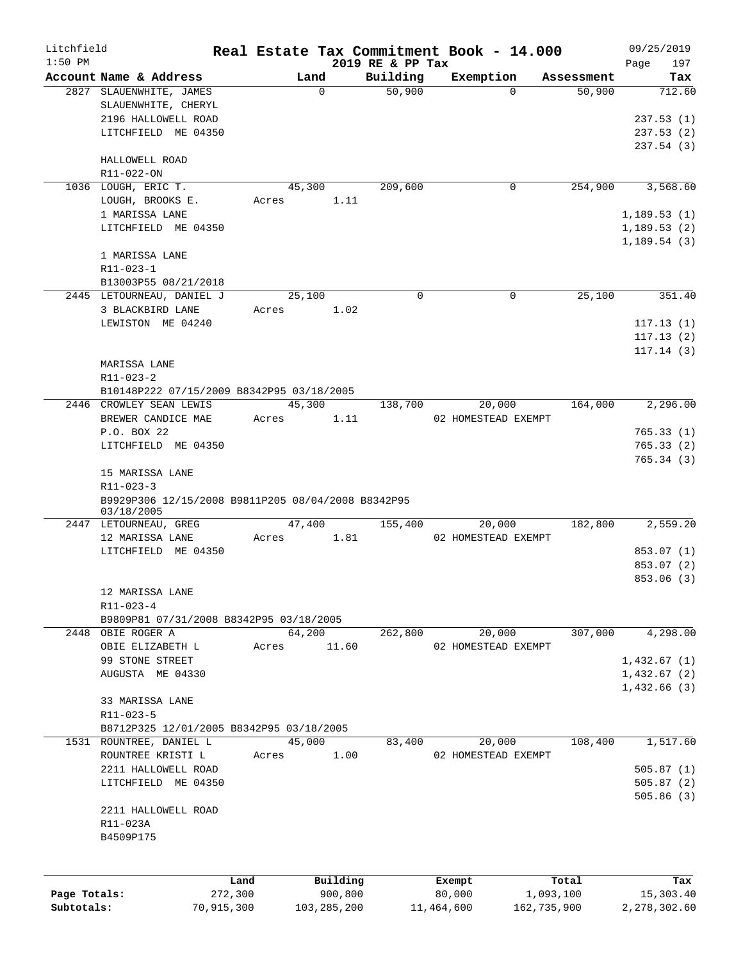| Litchfield<br>$1:50$ PM |                                                    |            |               | 2019 RE & PP Tax | Real Estate Tax Commitment Book - 14.000 |             | 09/25/2019         |
|-------------------------|----------------------------------------------------|------------|---------------|------------------|------------------------------------------|-------------|--------------------|
|                         | Account Name & Address                             |            | Land          | Building         | Exemption                                | Assessment  | 197<br>Page<br>Tax |
|                         | 2827 SLAUENWHITE, JAMES                            |            | $\Omega$      | 50,900           | $\Omega$                                 | 50,900      | 712.60             |
|                         | SLAUENWHITE, CHERYL                                |            |               |                  |                                          |             |                    |
|                         | 2196 HALLOWELL ROAD                                |            |               |                  |                                          |             | 237.53(1)          |
|                         | LITCHFIELD ME 04350                                |            |               |                  |                                          |             | 237.53(2)          |
|                         |                                                    |            |               |                  |                                          |             | 237.54(3)          |
|                         | HALLOWELL ROAD                                     |            |               |                  |                                          |             |                    |
|                         | R11-022-ON                                         |            |               |                  |                                          |             |                    |
|                         | 1036 LOUGH, ERIC T.                                |            | 45,300        | 209,600          | 0                                        | 254,900     | 3,568.60           |
|                         | LOUGH, BROOKS E.                                   | Acres      |               | 1.11             |                                          |             |                    |
|                         | 1 MARISSA LANE                                     |            |               |                  |                                          |             | 1,189.53(1)        |
|                         |                                                    |            |               |                  |                                          |             |                    |
|                         | LITCHFIELD ME 04350                                |            |               |                  |                                          |             | 1,189.53(2)        |
|                         |                                                    |            |               |                  |                                          |             | 1,189.54(3)        |
|                         | 1 MARISSA LANE                                     |            |               |                  |                                          |             |                    |
|                         | R11-023-1                                          |            |               |                  |                                          |             |                    |
|                         | B13003P55 08/21/2018                               |            |               |                  |                                          |             |                    |
|                         | 2445 LETOURNEAU, DANIEL J                          |            | 25,100        | 0                | $\Omega$                                 | 25,100      | 351.40             |
|                         | 3 BLACKBIRD LANE                                   | Acres      |               | 1.02             |                                          |             |                    |
|                         | LEWISTON ME 04240                                  |            |               |                  |                                          |             | 117.13(1)          |
|                         |                                                    |            |               |                  |                                          |             | 117.13(2)          |
|                         |                                                    |            |               |                  |                                          |             | 117.14(3)          |
|                         | MARISSA LANE                                       |            |               |                  |                                          |             |                    |
|                         | $R11 - 023 - 2$                                    |            |               |                  |                                          |             |                    |
|                         | B10148P222 07/15/2009 B8342P95 03/18/2005          |            |               |                  |                                          |             |                    |
|                         | 2446 CROWLEY SEAN LEWIS                            |            | 45,300        | 138,700          | 20,000                                   | 164,000     | 2,296.00           |
|                         | BREWER CANDICE MAE                                 | Acres      |               | 1.11             | 02 HOMESTEAD EXEMPT                      |             |                    |
|                         | P.O. BOX 22                                        |            |               |                  |                                          |             | 765.33(1)          |
|                         | LITCHFIELD ME 04350                                |            |               |                  |                                          |             | 765.33(2)          |
|                         |                                                    |            |               |                  |                                          |             | 765.34 (3)         |
|                         | 15 MARISSA LANE                                    |            |               |                  |                                          |             |                    |
|                         | R11-023-3                                          |            |               |                  |                                          |             |                    |
|                         | B9929P306 12/15/2008 B9811P205 08/04/2008 B8342P95 |            |               |                  |                                          |             |                    |
|                         | 03/18/2005                                         |            |               |                  |                                          |             |                    |
|                         | 2447 LETOURNEAU, GREG                              |            | 47,400        | 155,400          | 20,000                                   | 182,800     | 2,559.20           |
|                         | 12 MARISSA LANE                                    | Acres      |               | 1.81             | 02 HOMESTEAD EXEMPT                      |             |                    |
|                         | LITCHFIELD ME 04350                                |            |               |                  |                                          |             | 853.07 (1)         |
|                         |                                                    |            |               |                  |                                          |             | 853.07 (2)         |
|                         |                                                    |            |               |                  |                                          |             | 853.06 (3)         |
|                         | 12 MARISSA LANE                                    |            |               |                  |                                          |             |                    |
|                         | $R11 - 023 - 4$                                    |            |               |                  |                                          |             |                    |
|                         | B9809P81 07/31/2008 B8342P95 03/18/2005            |            |               |                  |                                          |             |                    |
|                         | 2448 OBIE ROGER A                                  |            | 64,200        | 262,800          | 20,000                                   | 307,000     | 4,298.00           |
|                         | OBIE ELIZABETH L                                   | Acres      | 11.60         |                  | 02 HOMESTEAD EXEMPT                      |             |                    |
|                         | 99 STONE STREET                                    |            |               |                  |                                          |             | 1,432.67(1)        |
|                         |                                                    |            |               |                  |                                          |             |                    |
|                         | AUGUSTA ME 04330                                   |            |               |                  |                                          |             | 1,432.67(2)        |
|                         |                                                    |            |               |                  |                                          |             | 1,432.66(3)        |
|                         | 33 MARISSA LANE                                    |            |               |                  |                                          |             |                    |
|                         | R11-023-5                                          |            |               |                  |                                          |             |                    |
|                         | B8712P325 12/01/2005 B8342P95 03/18/2005           |            |               |                  |                                          |             |                    |
|                         | 1531 ROUNTREE, DANIEL L                            |            | 45,000        | 83,400           | 20,000                                   | 108,400     | 1,517.60           |
|                         | ROUNTREE KRISTI L                                  | Acres      |               | 1.00             | 02 HOMESTEAD EXEMPT                      |             |                    |
|                         | 2211 HALLOWELL ROAD                                |            |               |                  |                                          |             | 505.87(1)          |
|                         | LITCHFIELD ME 04350                                |            |               |                  |                                          |             | 505.87(2)          |
|                         |                                                    |            |               |                  |                                          |             | 505.86(3)          |
|                         | 2211 HALLOWELL ROAD                                |            |               |                  |                                          |             |                    |
|                         | R11-023A                                           |            |               |                  |                                          |             |                    |
|                         | B4509P175                                          |            |               |                  |                                          |             |                    |
|                         |                                                    |            |               |                  |                                          |             |                    |
|                         |                                                    |            |               |                  |                                          |             |                    |
|                         |                                                    | Land       | Building      |                  | Exempt                                   | Total       | Tax                |
| Page Totals:            |                                                    | 272,300    | 900,800       |                  | 80,000                                   | 1,093,100   | 15,303.40          |
| Subtotals:              |                                                    | 70,915,300 | 103, 285, 200 |                  | 11,464,600                               | 162,735,900 | 2,278,302.60       |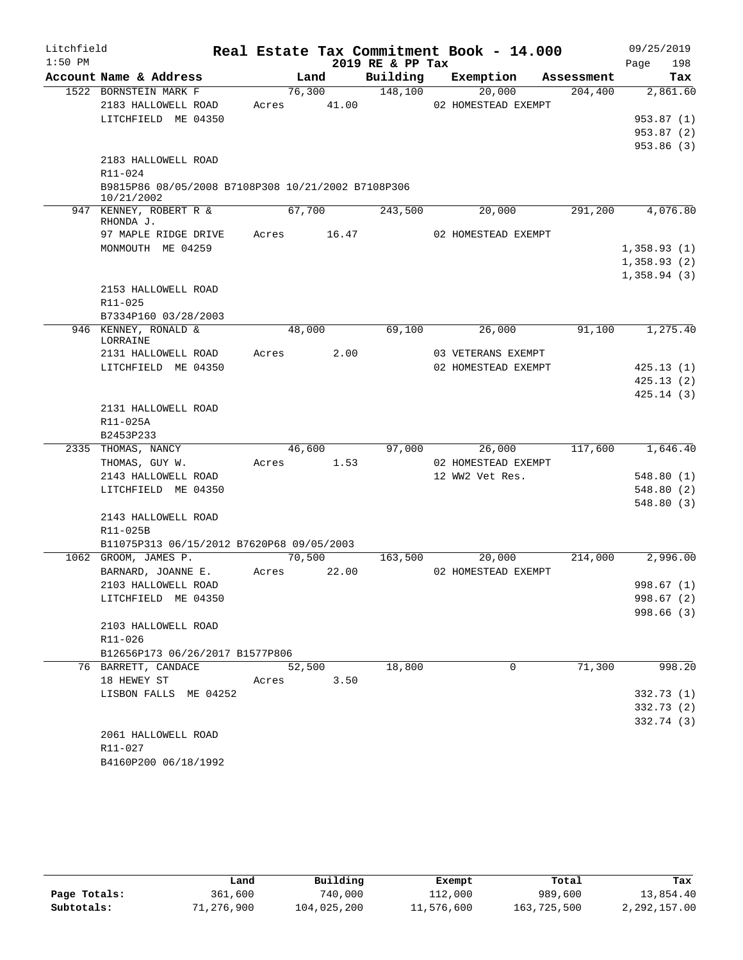| Litchfield |                                                    |                 |       |                  | Real Estate Tax Commitment Book - 14.000 |            | 09/25/2019  |
|------------|----------------------------------------------------|-----------------|-------|------------------|------------------------------------------|------------|-------------|
| $1:50$ PM  |                                                    |                 |       | 2019 RE & PP Tax |                                          |            | 198<br>Page |
|            | Account Name & Address                             | Land            |       | Building         | Exemption                                | Assessment | Tax         |
|            | 1522 BORNSTEIN MARK F                              | 76,300          |       | 148,100          | 20,000                                   | 204,400    | 2,861.60    |
|            | 2183 HALLOWELL ROAD                                | Acres           | 41.00 |                  | 02 HOMESTEAD EXEMPT                      |            |             |
|            | LITCHFIELD ME 04350                                |                 |       |                  |                                          |            | 953.87(1)   |
|            |                                                    |                 |       |                  |                                          |            | 953.87(2)   |
|            | 2183 HALLOWELL ROAD                                |                 |       |                  |                                          |            | 953.86(3)   |
|            | R11-024                                            |                 |       |                  |                                          |            |             |
|            | B9815P86 08/05/2008 B7108P308 10/21/2002 B7108P306 |                 |       |                  |                                          |            |             |
|            | 10/21/2002                                         |                 |       |                  |                                          |            |             |
|            | 947 KENNEY, ROBERT R &<br>RHONDA J.                | 67,700          |       | 243,500          | 20,000                                   | 291,200    | 4,076.80    |
|            | 97 MAPLE RIDGE DRIVE                               | Acres           | 16.47 |                  | 02 HOMESTEAD EXEMPT                      |            |             |
|            | MONMOUTH ME 04259                                  |                 |       |                  |                                          |            | 1,358.93(1) |
|            |                                                    |                 |       |                  |                                          |            | 1,358.93(2) |
|            |                                                    |                 |       |                  |                                          |            | 1,358.94(3) |
|            | 2153 HALLOWELL ROAD                                |                 |       |                  |                                          |            |             |
|            | R11-025                                            |                 |       |                  |                                          |            |             |
|            | B7334P160 03/28/2003                               |                 |       |                  |                                          |            |             |
|            | 946 KENNEY, RONALD &<br>LORRAINE                   | 48,000          |       | 69,100           | 26,000                                   | 91,100     | 1,275.40    |
|            | 2131 HALLOWELL ROAD                                | Acres           | 2.00  |                  | 03 VETERANS EXEMPT                       |            |             |
|            | LITCHFIELD ME 04350                                |                 |       |                  | 02 HOMESTEAD EXEMPT                      |            | 425.13(1)   |
|            |                                                    |                 |       |                  |                                          |            | 425.13(2)   |
|            |                                                    |                 |       |                  |                                          |            | 425.14(3)   |
|            | 2131 HALLOWELL ROAD                                |                 |       |                  |                                          |            |             |
|            | R11-025A                                           |                 |       |                  |                                          |            |             |
|            | B2453P233                                          |                 |       |                  |                                          |            |             |
|            | 2335 THOMAS, NANCY<br>THOMAS, GUY W.               | 46,600<br>Acres | 1.53  | 97,000           | 26,000<br>02 HOMESTEAD EXEMPT            | 117,600    | 1,646.40    |
|            | 2143 HALLOWELL ROAD                                |                 |       |                  | 12 WW2 Vet Res.                          |            | 548.80(1)   |
|            | LITCHFIELD ME 04350                                |                 |       |                  |                                          |            | 548.80(2)   |
|            |                                                    |                 |       |                  |                                          |            | 548.80(3)   |
|            | 2143 HALLOWELL ROAD                                |                 |       |                  |                                          |            |             |
|            | R11-025B                                           |                 |       |                  |                                          |            |             |
|            | B11075P313 06/15/2012 B7620P68 09/05/2003          |                 |       |                  |                                          |            |             |
|            | 1062 GROOM, JAMES P.                               | 70,500          |       | 163,500          | 20,000                                   | 214,000    | 2,996.00    |
|            | BARNARD, JOANNE E.                                 | Acres           | 22.00 |                  | 02 HOMESTEAD EXEMPT                      |            |             |
|            | 2103 HALLOWELL ROAD                                |                 |       |                  |                                          |            | 998.67 (1)  |
|            | LITCHFIELD ME 04350                                |                 |       |                  |                                          |            | 998.67 (2)  |
|            |                                                    |                 |       |                  |                                          |            | 998.66(3)   |
|            | 2103 HALLOWELL ROAD                                |                 |       |                  |                                          |            |             |
|            | R11-026                                            |                 |       |                  |                                          |            |             |
|            | B12656P173 06/26/2017 B1577P806                    |                 |       |                  |                                          |            |             |
|            | 76 BARRETT, CANDACE                                | 52,500          |       | 18,800           | $\Omega$                                 | 71,300     | 998.20      |
|            | 18 HEWEY ST<br>LISBON FALLS ME 04252               | Acres           | 3.50  |                  |                                          |            | 332.73 (1)  |
|            |                                                    |                 |       |                  |                                          |            | 332.73 (2)  |
|            |                                                    |                 |       |                  |                                          |            | 332.74 (3)  |
|            | 2061 HALLOWELL ROAD                                |                 |       |                  |                                          |            |             |
|            | R11-027                                            |                 |       |                  |                                          |            |             |
|            | B4160P200 06/18/1992                               |                 |       |                  |                                          |            |             |

|              | Land       | Building    | Exempt     | Total       | Tax          |
|--------------|------------|-------------|------------|-------------|--------------|
| Page Totals: | 361,600    | 740,000     | 112,000    | 989,600     | 13,854.40    |
| Subtotals:   | 71,276,900 | 104,025,200 | 11,576,600 | 163,725,500 | 2,292,157.00 |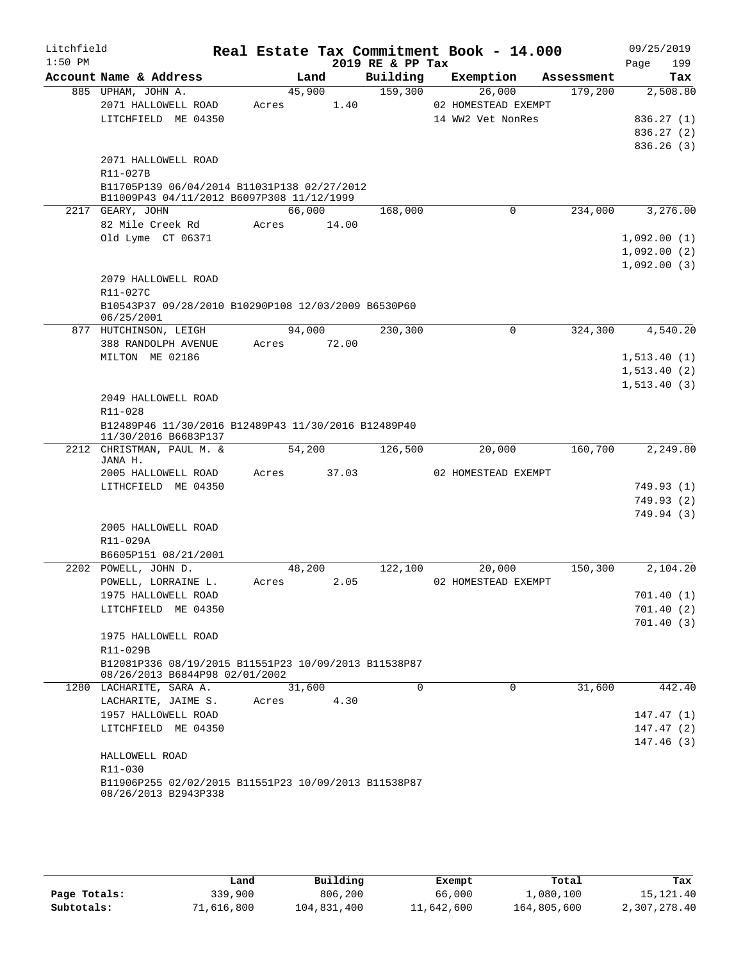| Litchfield |                                                                                          |        |       |                  | Real Estate Tax Commitment Book - 14.000 |            | 09/25/2019              |
|------------|------------------------------------------------------------------------------------------|--------|-------|------------------|------------------------------------------|------------|-------------------------|
| $1:50$ PM  |                                                                                          |        |       | 2019 RE & PP Tax |                                          |            | 199<br>Page             |
|            | Account Name & Address                                                                   |        | Land  | Building         | Exemption                                | Assessment | Tax                     |
|            | 885 UPHAM, JOHN A.                                                                       | 45,900 |       | 159,300          | 26,000                                   | 179,200    | 2,508.80                |
|            | 2071 HALLOWELL ROAD<br>LITCHFIELD ME 04350                                               | Acres  | 1.40  |                  | 02 HOMESTEAD EXEMPT<br>14 WW2 Vet NonRes |            | 836.27(1)               |
|            |                                                                                          |        |       |                  |                                          |            | 836.27(2)               |
|            |                                                                                          |        |       |                  |                                          |            | 836.26(3)               |
|            | 2071 HALLOWELL ROAD                                                                      |        |       |                  |                                          |            |                         |
|            | R11-027B                                                                                 |        |       |                  |                                          |            |                         |
|            | B11705P139 06/04/2014 B11031P138 02/27/2012<br>B11009P43 04/11/2012 B6097P308 11/12/1999 |        |       |                  |                                          |            |                         |
|            | 2217 GEARY, JOHN                                                                         | 66,000 |       | 168,000          | 0                                        | 234,000    | 3,276.00                |
|            | 82 Mile Creek Rd                                                                         | Acres  | 14.00 |                  |                                          |            |                         |
|            | Old Lyme CT 06371                                                                        |        |       |                  |                                          |            | 1,092.00(1)             |
|            |                                                                                          |        |       |                  |                                          |            | 1,092.00(2)             |
|            |                                                                                          |        |       |                  |                                          |            | 1,092.00(3)             |
|            | 2079 HALLOWELL ROAD                                                                      |        |       |                  |                                          |            |                         |
|            | R11-027C                                                                                 |        |       |                  |                                          |            |                         |
|            | B10543P37 09/28/2010 B10290P108 12/03/2009 B6530P60<br>06/25/2001                        |        |       |                  |                                          |            |                         |
| 877        | HUTCHINSON, LEIGH                                                                        | 94,000 |       | 230,300          | 0                                        | 324,300    | 4,540.20                |
|            | 388 RANDOLPH AVENUE                                                                      | Acres  | 72.00 |                  |                                          |            |                         |
|            | MILTON ME 02186                                                                          |        |       |                  |                                          |            | 1, 513.40(1)            |
|            |                                                                                          |        |       |                  |                                          |            | 1, 513.40(2)            |
|            |                                                                                          |        |       |                  |                                          |            | 1, 513.40(3)            |
|            | 2049 HALLOWELL ROAD                                                                      |        |       |                  |                                          |            |                         |
|            | R11-028                                                                                  |        |       |                  |                                          |            |                         |
|            | B12489P46 11/30/2016 B12489P43 11/30/2016 B12489P40<br>11/30/2016 B6683P137              |        |       |                  |                                          |            |                         |
|            | 2212 CHRISTMAN, PAUL M. &                                                                | 54,200 |       | 126,500          | 20,000                                   | 160,700    | 2,249.80                |
|            | JANA H.                                                                                  |        |       |                  |                                          |            |                         |
|            | 2005 HALLOWELL ROAD                                                                      | Acres  | 37.03 |                  | 02 HOMESTEAD EXEMPT                      |            |                         |
|            | LITHCFIELD ME 04350                                                                      |        |       |                  |                                          |            | 749.93 (1)              |
|            |                                                                                          |        |       |                  |                                          |            | 749.93 (2)              |
|            | 2005 HALLOWELL ROAD                                                                      |        |       |                  |                                          |            | 749.94 (3)              |
|            | R11-029A                                                                                 |        |       |                  |                                          |            |                         |
|            | B6605P151 08/21/2001                                                                     |        |       |                  |                                          |            |                         |
|            | 2202 POWELL, JOHN D.                                                                     | 48,200 |       | 122,100          | 20,000                                   | 150,300    | 2,104.20                |
|            | POWELL, LORRAINE L.                                                                      | Acres  | 2.05  |                  | 02 HOMESTEAD EXEMPT                      |            |                         |
|            | 1975 HALLOWELL ROAD                                                                      |        |       |                  |                                          |            | 701.40(1)               |
|            | LITCHFIELD ME 04350                                                                      |        |       |                  |                                          |            | 701.40(2)               |
|            |                                                                                          |        |       |                  |                                          |            | 701.40(3)               |
|            | 1975 HALLOWELL ROAD                                                                      |        |       |                  |                                          |            |                         |
|            | R11-029B                                                                                 |        |       |                  |                                          |            |                         |
|            | B12081P336 08/19/2015 B11551P23 10/09/2013 B11538P87<br>08/26/2013 B6844P98 02/01/2002   |        |       |                  |                                          |            |                         |
|            | 1280 LACHARITE, SARA A.                                                                  | 31,600 |       | $\Omega$         | $\Omega$                                 | 31,600     | 442.40                  |
|            | LACHARITE, JAIME S.                                                                      | Acres  | 4.30  |                  |                                          |            |                         |
|            | 1957 HALLOWELL ROAD<br>LITCHFIELD ME 04350                                               |        |       |                  |                                          |            | 147.47(1)               |
|            |                                                                                          |        |       |                  |                                          |            | 147.47 (2)<br>147.46(3) |
|            | HALLOWELL ROAD                                                                           |        |       |                  |                                          |            |                         |
|            | R11-030                                                                                  |        |       |                  |                                          |            |                         |
|            | B11906P255 02/02/2015 B11551P23 10/09/2013 B11538P87                                     |        |       |                  |                                          |            |                         |
|            | 08/26/2013 B2943P338                                                                     |        |       |                  |                                          |            |                         |

|              | Land       | Building    | Exempt     | Total       | Tax          |
|--------------|------------|-------------|------------|-------------|--------------|
| Page Totals: | 339,900    | 806,200     | 66,000     | 1,080,100   | 15, 121, 40  |
| Subtotals:   | 71,616,800 | 104,831,400 | 11,642,600 | 164,805,600 | 2,307,278.40 |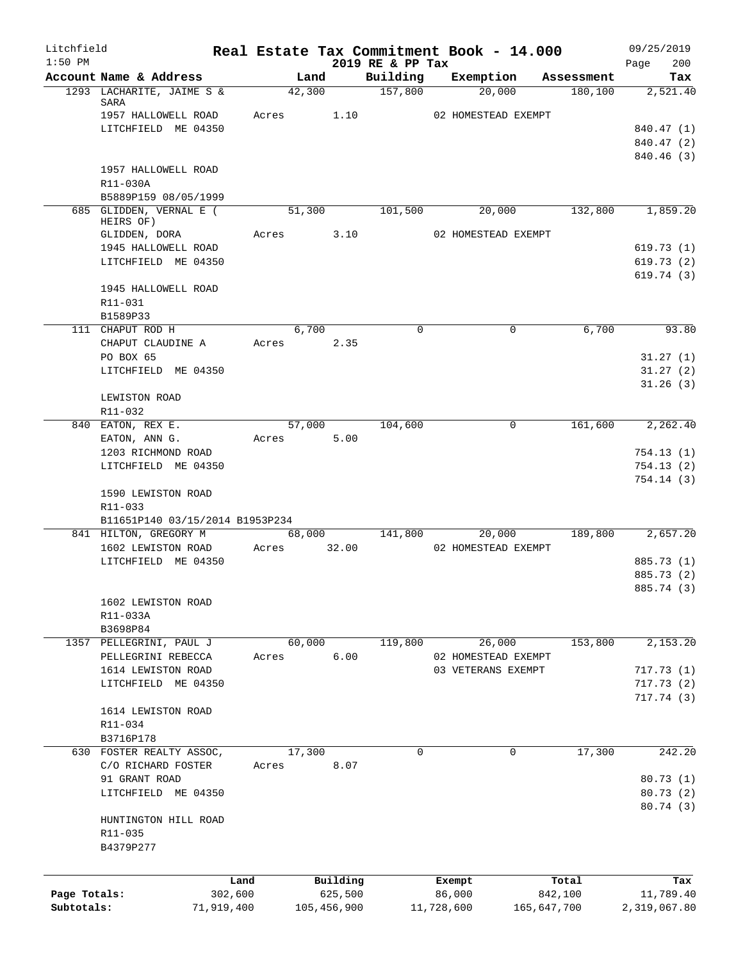| Litchfield   |                                                 |         |                       |             |                              |            | Real Estate Tax Commitment Book - 14.000 |            | 09/25/2019             |
|--------------|-------------------------------------------------|---------|-----------------------|-------------|------------------------------|------------|------------------------------------------|------------|------------------------|
| $1:50$ PM    | Account Name & Address                          |         | Land                  |             | 2019 RE & PP Tax<br>Building |            | Exemption                                | Assessment | 200<br>Page<br>Tax     |
|              | 1293 LACHARITE, JAIME S &                       |         | 42,300                |             | $\overline{157,800}$         |            | 20,000                                   | 180, 100   | 2,521.40               |
|              | SARA<br>1957 HALLOWELL ROAD                     |         | Acres 1.10            |             |                              |            | 02 HOMESTEAD EXEMPT                      |            |                        |
|              | LITCHFIELD ME 04350                             |         |                       |             |                              |            |                                          |            | 840.47 (1)             |
|              |                                                 |         |                       |             |                              |            |                                          |            | 840.47 (2)             |
|              |                                                 |         |                       |             |                              |            |                                          |            | 840.46 (3)             |
|              | 1957 HALLOWELL ROAD                             |         |                       |             |                              |            |                                          |            |                        |
|              | R11-030A                                        |         |                       |             |                              |            |                                          |            |                        |
|              | B5889P159 08/05/1999<br>685 GLIDDEN, VERNAL E ( |         | 51,300                |             | 101,500                      |            | 20,000                                   | 132,800    | 1,859.20               |
|              | HEIRS OF)                                       |         |                       |             |                              |            |                                          |            |                        |
|              | GLIDDEN, DORA                                   |         | Acres 3.10            |             |                              |            | 02 HOMESTEAD EXEMPT                      |            |                        |
|              | 1945 HALLOWELL ROAD                             |         |                       |             |                              |            |                                          |            | 619.73(1)              |
|              | LITCHFIELD ME 04350                             |         |                       |             |                              |            |                                          |            | 619.73(2)<br>619.74(3) |
|              | 1945 HALLOWELL ROAD                             |         |                       |             |                              |            |                                          |            |                        |
|              | R11-031                                         |         |                       |             |                              |            |                                          |            |                        |
|              | B1589P33                                        |         |                       |             |                              |            |                                          |            |                        |
|              | 111 CHAPUT ROD H                                |         | 6,700                 |             | $\Omega$                     |            | 0                                        | 6.700      | 93.80                  |
|              | CHAPUT CLAUDINE A                               |         | Acres                 | 2.35        |                              |            |                                          |            |                        |
|              | PO BOX 65                                       |         |                       |             |                              |            |                                          |            | 31.27(1)               |
|              | LITCHFIELD ME 04350                             |         |                       |             |                              |            |                                          |            | 31.27(2)<br>31.26(3)   |
|              | LEWISTON ROAD                                   |         |                       |             |                              |            |                                          |            |                        |
|              | R11-032                                         |         |                       |             |                              |            |                                          |            |                        |
|              | 840 EATON, REX E.                               |         | 57,000                |             | 104,600                      |            | $\mathbf 0$                              | 161,600    | 2,262.40               |
|              | EATON, ANN G.                                   |         | Acres 5.00            |             |                              |            |                                          |            |                        |
|              | 1203 RICHMOND ROAD                              |         |                       |             |                              |            |                                          |            | 754.13(1)              |
|              | LITCHFIELD ME 04350                             |         |                       |             |                              |            |                                          |            | 754.13(2)<br>754.14(3) |
|              | 1590 LEWISTON ROAD<br>$R11 - 033$               |         |                       |             |                              |            |                                          |            |                        |
|              | B11651P140 03/15/2014 B1953P234                 |         |                       |             |                              |            |                                          |            |                        |
|              | 841 HILTON, GREGORY M<br>1602 LEWISTON ROAD     |         | 68,000<br>Acres 32.00 |             | 141,800                      |            | 20,000<br>02 HOMESTEAD EXEMPT            | 189,800    | 2,657.20               |
|              | LITCHFIELD ME 04350                             |         |                       |             |                              |            |                                          |            | 885.73 (1)             |
|              |                                                 |         |                       |             |                              |            |                                          |            | 885.73 (2)             |
|              |                                                 |         |                       |             |                              |            |                                          |            | 885.74 (3)             |
|              | 1602 LEWISTON ROAD                              |         |                       |             |                              |            |                                          |            |                        |
|              | R11-033A                                        |         |                       |             |                              |            |                                          |            |                        |
|              | B3698P84<br>1357 PELLEGRINI, PAUL J             |         | 60,000                |             | 119,800                      |            | 26,000                                   | 153,800    | 2,153.20               |
|              | PELLEGRINI REBECCA                              | Acres   |                       | 6.00        |                              |            | 02 HOMESTEAD EXEMPT                      |            |                        |
|              | 1614 LEWISTON ROAD                              |         |                       |             |                              |            | 03 VETERANS EXEMPT                       |            | 717.73(1)              |
|              | LITCHFIELD ME 04350                             |         |                       |             |                              |            |                                          |            | 717.73(2)              |
|              |                                                 |         |                       |             |                              |            |                                          |            | 717.74 (3)             |
|              | 1614 LEWISTON ROAD                              |         |                       |             |                              |            |                                          |            |                        |
|              | R11-034<br>B3716P178                            |         |                       |             |                              |            |                                          |            |                        |
|              | 630 FOSTER REALTY ASSOC,                        |         | 17,300                |             | 0                            |            | 0                                        | 17,300     | 242.20                 |
|              | C/O RICHARD FOSTER                              | Acres   |                       | 8.07        |                              |            |                                          |            |                        |
|              | 91 GRANT ROAD                                   |         |                       |             |                              |            |                                          |            | 80.73(1)               |
|              | LITCHFIELD ME 04350                             |         |                       |             |                              |            |                                          |            | 80.73(2)               |
|              |                                                 |         |                       |             |                              |            |                                          |            | 80.74 (3)              |
|              | HUNTINGTON HILL ROAD                            |         |                       |             |                              |            |                                          |            |                        |
|              | R11-035<br>B4379P277                            |         |                       |             |                              |            |                                          |            |                        |
|              |                                                 |         |                       |             |                              |            |                                          |            |                        |
|              |                                                 | Land    |                       | Building    |                              |            | Exempt                                   | Total      | Tax                    |
| Page Totals: |                                                 | 302,600 |                       | 625,500     |                              | 86,000     |                                          | 842,100    | 11,789.40              |
| Subtotals:   | 71,919,400                                      |         |                       | 105,456,900 |                              | 11,728,600 | 165,647,700                              |            | 2,319,067.80           |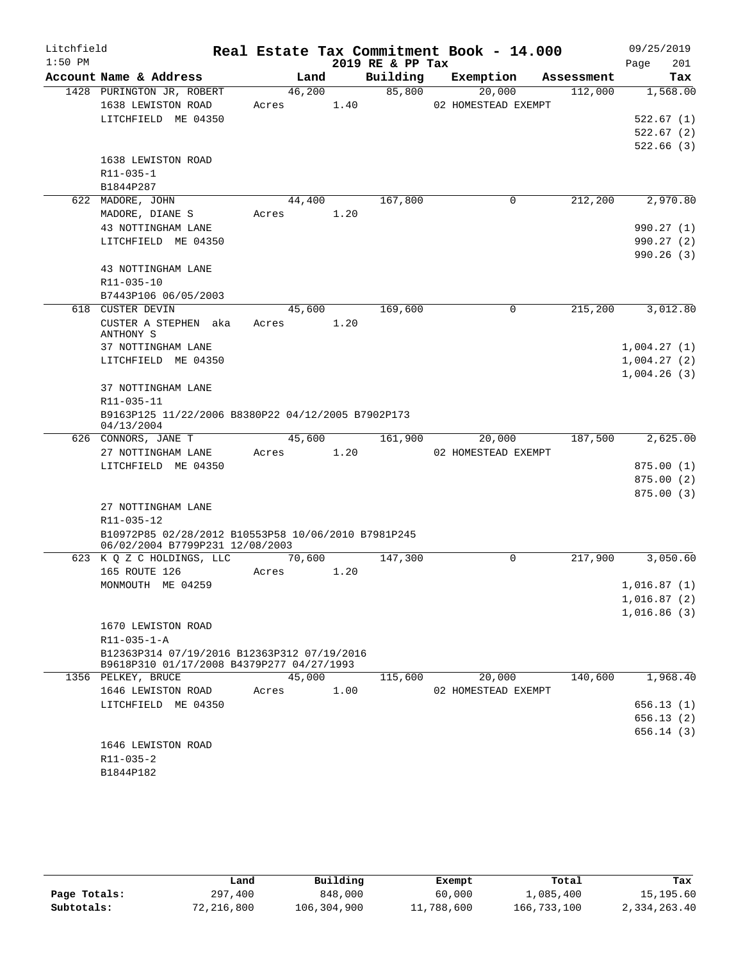| Litchfield<br>$1:50$ PM |                                                     |       |        |      | 2019 RE & PP Tax | Real Estate Tax Commitment Book - 14.000 |                      | 09/25/2019         |
|-------------------------|-----------------------------------------------------|-------|--------|------|------------------|------------------------------------------|----------------------|--------------------|
|                         | Account Name & Address                              |       | Land   |      | Building         | Exemption                                | Assessment           | Page<br>201<br>Tax |
|                         | 1428 PURINGTON JR, ROBERT                           |       | 46,200 |      | 85,800           | 20,000                                   | 112,000              | 1,568.00           |
|                         |                                                     |       |        |      |                  | 02 HOMESTEAD EXEMPT                      |                      |                    |
|                         | 1638 LEWISTON ROAD<br>LITCHFIELD ME 04350           | Acres |        | 1.40 |                  |                                          |                      |                    |
|                         |                                                     |       |        |      |                  |                                          |                      | 522.67(1)          |
|                         |                                                     |       |        |      |                  |                                          |                      | 522.67(2)          |
|                         |                                                     |       |        |      |                  |                                          |                      | 522.66(3)          |
|                         | 1638 LEWISTON ROAD<br>$R11 - 035 - 1$               |       |        |      |                  |                                          |                      |                    |
|                         |                                                     |       |        |      |                  |                                          |                      |                    |
|                         | B1844P287                                           |       |        |      | 167,800          |                                          |                      |                    |
|                         | 622 MADORE, JOHN                                    |       | 44,400 |      |                  | 0                                        | 212,200              | 2,970.80           |
|                         | MADORE, DIANE S                                     | Acres |        | 1.20 |                  |                                          |                      |                    |
|                         | 43 NOTTINGHAM LANE                                  |       |        |      |                  |                                          |                      | 990.27(1)          |
|                         | LITCHFIELD ME 04350                                 |       |        |      |                  |                                          |                      | 990.27(2)          |
|                         |                                                     |       |        |      |                  |                                          |                      | 990.26(3)          |
|                         | 43 NOTTINGHAM LANE                                  |       |        |      |                  |                                          |                      |                    |
|                         | R11-035-10                                          |       |        |      |                  |                                          |                      |                    |
|                         | B7443P106 06/05/2003                                |       |        |      |                  |                                          |                      |                    |
|                         | 618 CUSTER DEVIN                                    |       | 45,600 |      | 169,600          | 0                                        | 215,200              | 3,012.80           |
|                         | CUSTER A STEPHEN aka<br>ANTHONY S                   | Acres |        | 1.20 |                  |                                          |                      |                    |
|                         | 37 NOTTINGHAM LANE                                  |       |        |      |                  |                                          |                      | 1,004.27(1)        |
|                         | LITCHFIELD ME 04350                                 |       |        |      |                  |                                          |                      | 1,004.27(2)        |
|                         |                                                     |       |        |      |                  |                                          |                      | 1,004.26(3)        |
|                         | 37 NOTTINGHAM LANE                                  |       |        |      |                  |                                          |                      |                    |
|                         | R11-035-11                                          |       |        |      |                  |                                          |                      |                    |
|                         | B9163P125 11/22/2006 B8380P22 04/12/2005 B7902P173  |       |        |      |                  |                                          |                      |                    |
|                         | 04/13/2004                                          |       |        |      |                  |                                          |                      |                    |
|                         | 626 CONNORS, JANE T                                 |       | 45,600 |      | 161,900          | 20,000                                   | 187,500              | 2,625.00           |
|                         | 27 NOTTINGHAM LANE                                  | Acres |        | 1.20 |                  | 02 HOMESTEAD EXEMPT                      |                      |                    |
|                         | LITCHFIELD ME 04350                                 |       |        |      |                  |                                          |                      | 875.00(1)          |
|                         |                                                     |       |        |      |                  |                                          |                      | 875.00(2)          |
|                         |                                                     |       |        |      |                  |                                          |                      | 875.00(3)          |
|                         | 27 NOTTINGHAM LANE                                  |       |        |      |                  |                                          |                      |                    |
|                         | R11-035-12                                          |       |        |      |                  |                                          |                      |                    |
|                         | B10972P85 02/28/2012 B10553P58 10/06/2010 B7981P245 |       |        |      |                  |                                          |                      |                    |
|                         | 06/02/2004 B7799P231 12/08/2003                     |       |        |      |                  |                                          |                      |                    |
|                         | 623 K Q Z C HOLDINGS, LLC                           |       | 70,600 |      | 147,300          | $\Omega$                                 | $2\overline{17,900}$ | 3,050.60           |
|                         | 165 ROUTE 126                                       | Acres |        | 1.20 |                  |                                          |                      |                    |
|                         | MONMOUTH ME 04259                                   |       |        |      |                  |                                          |                      | 1,016.87(1)        |
|                         |                                                     |       |        |      |                  |                                          |                      | 1,016.87(2)        |
|                         |                                                     |       |        |      |                  |                                          |                      | 1,016.86(3)        |
|                         | 1670 LEWISTON ROAD                                  |       |        |      |                  |                                          |                      |                    |
|                         | $R11 - 035 - 1 - A$                                 |       |        |      |                  |                                          |                      |                    |
|                         | B12363P314 07/19/2016 B12363P312 07/19/2016         |       |        |      |                  |                                          |                      |                    |
|                         | B9618P310 01/17/2008 B4379P277 04/27/1993           |       |        |      |                  |                                          |                      |                    |
|                         | 1356 PELKEY, BRUCE                                  |       | 45,000 |      | 115,600          | 20,000                                   | 140,600              | 1,968.40           |
|                         | 1646 LEWISTON ROAD                                  | Acres |        | 1.00 |                  | 02 HOMESTEAD EXEMPT                      |                      |                    |
|                         | LITCHFIELD ME 04350                                 |       |        |      |                  |                                          |                      | 656.13(1)          |
|                         |                                                     |       |        |      |                  |                                          |                      | 656.13(2)          |
|                         |                                                     |       |        |      |                  |                                          |                      | 656.14(3)          |
|                         | 1646 LEWISTON ROAD                                  |       |        |      |                  |                                          |                      |                    |
|                         | R11-035-2                                           |       |        |      |                  |                                          |                      |                    |
|                         | B1844P182                                           |       |        |      |                  |                                          |                      |                    |
|                         |                                                     |       |        |      |                  |                                          |                      |                    |

|              | Land       | Building    | Exempt     | Total       | Tax          |
|--------------|------------|-------------|------------|-------------|--------------|
| Page Totals: | 297,400    | 848,000     | 60,000     | 1,085,400   | 15,195.60    |
| Subtotals:   | 72,216,800 | 106,304,900 | 11,788,600 | 166,733,100 | 2,334,263.40 |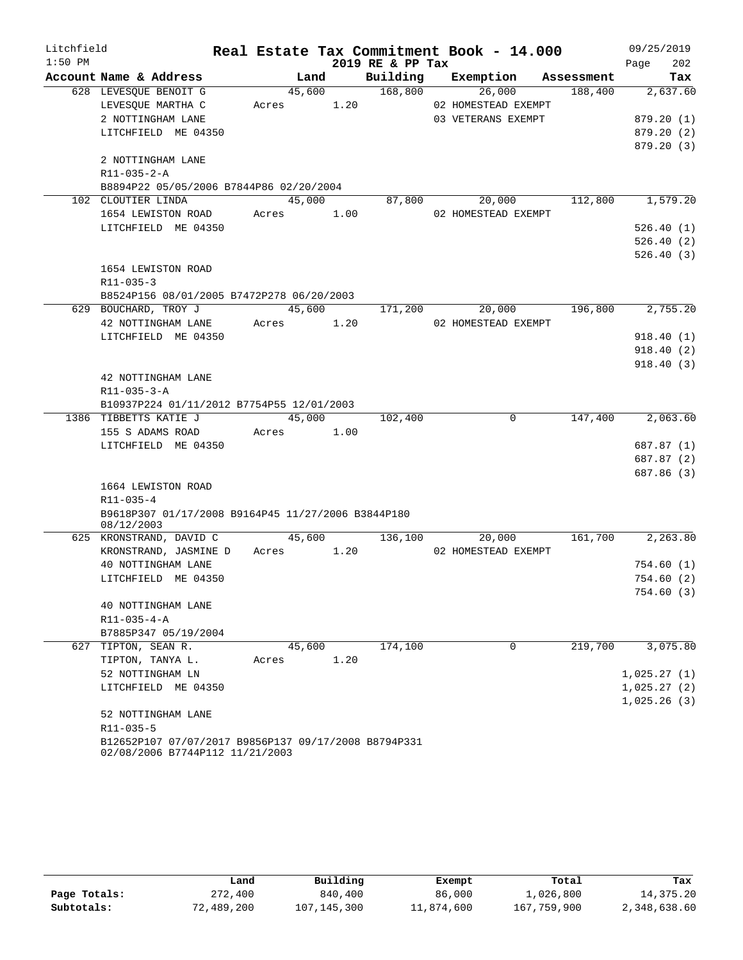| Litchfield |                                                                                         |            |      |                  | Real Estate Tax Commitment Book - 14.000 |         | 09/25/2019  |
|------------|-----------------------------------------------------------------------------------------|------------|------|------------------|------------------------------------------|---------|-------------|
| $1:50$ PM  |                                                                                         |            |      | 2019 RE & PP Tax |                                          |         | 202<br>Page |
|            | Account Name & Address                                                                  | Land       |      |                  | Building Exemption Assessment            |         | Tax         |
|            | 628 LEVESQUE BENOIT G                                                                   | 45,600     |      | 168,800          | 26,000                                   | 188,400 | 2,637.60    |
|            | LEVESQUE MARTHA C                                                                       | Acres 1.20 |      |                  | 02 HOMESTEAD EXEMPT                      |         |             |
|            | 2 NOTTINGHAM LANE                                                                       |            |      |                  | 03 VETERANS EXEMPT                       |         | 879.20(1)   |
|            | LITCHFIELD ME 04350                                                                     |            |      |                  |                                          |         | 879.20 (2)  |
|            |                                                                                         |            |      |                  |                                          |         | 879.20(3)   |
|            | 2 NOTTINGHAM LANE                                                                       |            |      |                  |                                          |         |             |
|            | R11-035-2-A                                                                             |            |      |                  |                                          |         |             |
|            | B8894P22 05/05/2006 B7844P86 02/20/2004                                                 |            |      | 45,000 87,800    | 20,000                                   | 112,800 | 1,579.20    |
|            | 102 CLOUTIER LINDA<br>1654 LEWISTON ROAD                                                | Acres 1.00 |      |                  | 02 HOMESTEAD EXEMPT                      |         |             |
|            | LITCHFIELD ME 04350                                                                     |            |      |                  |                                          |         | 526.40(1)   |
|            |                                                                                         |            |      |                  |                                          |         | 526.40(2)   |
|            |                                                                                         |            |      |                  |                                          |         | 526.40(3)   |
|            | 1654 LEWISTON ROAD                                                                      |            |      |                  |                                          |         |             |
|            | R11-035-3                                                                               |            |      |                  |                                          |         |             |
|            | B8524P156 08/01/2005 B7472P278 06/20/2003                                               |            |      |                  |                                          |         |             |
|            | 629 BOUCHARD, TROY J                                                                    | 45,600     |      | 171,200          | 20,000                                   | 196,800 | 2,755.20    |
|            | 42 NOTTINGHAM LANE                                                                      | Acres 1.20 |      |                  | 02 HOMESTEAD EXEMPT                      |         |             |
|            | LITCHFIELD ME 04350                                                                     |            |      |                  |                                          |         | 918.40(1)   |
|            |                                                                                         |            |      |                  |                                          |         | 918.40(2)   |
|            |                                                                                         |            |      |                  |                                          |         | 918.40(3)   |
|            | 42 NOTTINGHAM LANE                                                                      |            |      |                  |                                          |         |             |
|            | $R11 - 035 - 3 - A$                                                                     |            |      |                  |                                          |         |             |
|            | B10937P224 01/11/2012 B7754P55 12/01/2003                                               |            |      |                  |                                          |         |             |
|            | 1386 TIBBETTS KATIE J                                                                   | 45,000     |      | 102,400          | $\overline{0}$                           | 147,400 | 2,063.60    |
|            | 155 S ADAMS ROAD                                                                        | Acres 1.00 |      |                  |                                          |         |             |
|            | LITCHFIELD ME 04350                                                                     |            |      |                  |                                          |         | 687.87 (1)  |
|            |                                                                                         |            |      |                  |                                          |         | 687.87 (2)  |
|            |                                                                                         |            |      |                  |                                          |         | 687.86 (3)  |
|            | 1664 LEWISTON ROAD                                                                      |            |      |                  |                                          |         |             |
|            | R11-035-4                                                                               |            |      |                  |                                          |         |             |
|            | B9618P307 01/17/2008 B9164P45 11/27/2006 B3844P180<br>08/12/2003                        |            |      |                  |                                          |         |             |
|            | 625 KRONSTRAND, DAVID C                                                                 | 45,600     |      | 136,100          | 20,000                                   | 161,700 | 2,263.80    |
|            | KRONSTRAND, JASMINE D                                                                   | Acres 1.20 |      |                  | 02 HOMESTEAD EXEMPT                      |         |             |
|            | 40 NOTTINGHAM LANE                                                                      |            |      |                  |                                          |         | 754.60(1)   |
|            | LITCHFIELD ME 04350                                                                     |            |      |                  |                                          |         | 754.60(2)   |
|            |                                                                                         |            |      |                  |                                          |         | 754.60(3)   |
|            | 40 NOTTINGHAM LANE                                                                      |            |      |                  |                                          |         |             |
|            | $R11 - 035 - 4 - A$                                                                     |            |      |                  |                                          |         |             |
|            | B7885P347 05/19/2004                                                                    |            |      |                  |                                          |         |             |
|            | 627 TIPTON, SEAN R.                                                                     | 45,600     |      | 174,100          | $\overline{0}$                           | 219,700 | 3,075.80    |
|            | TIPTON, TANYA L.                                                                        | Acres      | 1.20 |                  |                                          |         |             |
|            | 52 NOTTINGHAM LN                                                                        |            |      |                  |                                          |         | 1,025.27(1) |
|            | LITCHFIELD ME 04350                                                                     |            |      |                  |                                          |         | 1,025.27(2) |
|            |                                                                                         |            |      |                  |                                          |         | 1,025.26(3) |
|            | 52 NOTTINGHAM LANE                                                                      |            |      |                  |                                          |         |             |
|            | R11-035-5                                                                               |            |      |                  |                                          |         |             |
|            | B12652P107 07/07/2017 B9856P137 09/17/2008 B8794P331<br>02/08/2006 B7744P112 11/21/2003 |            |      |                  |                                          |         |             |

|              | Land       | Building    | Exempt     | Total       | Tax          |
|--------------|------------|-------------|------------|-------------|--------------|
| Page Totals: | 272,400    | 840,400     | 86,000     | 1,026,800   | 14,375.20    |
| Subtotals:   | 72,489,200 | 107,145,300 | 11,874,600 | 167,759,900 | 2,348,638.60 |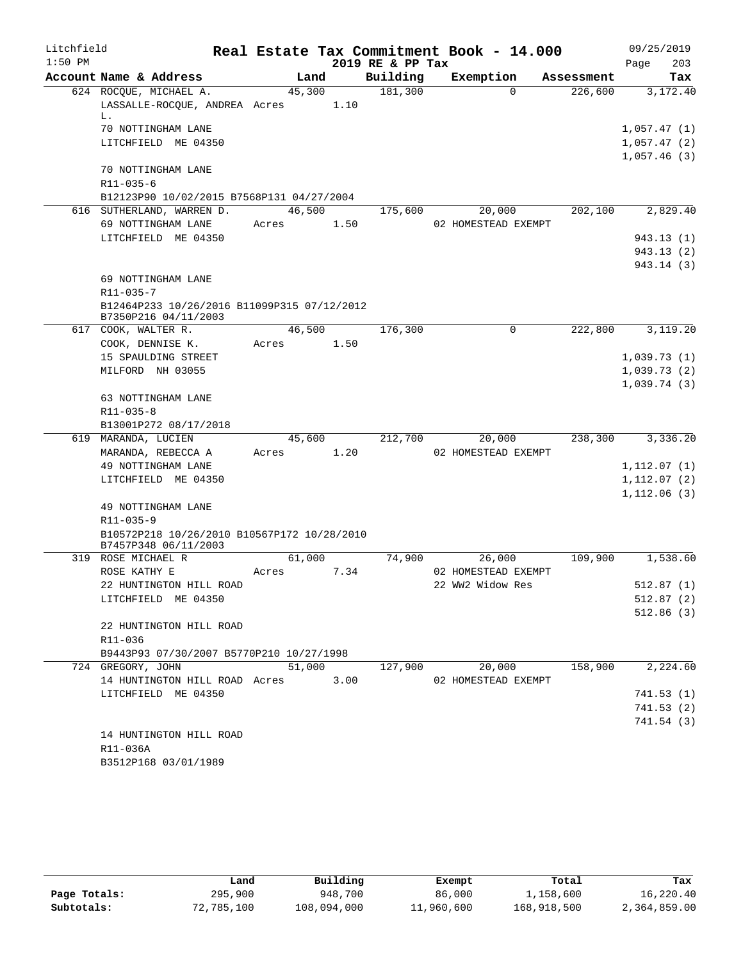| Litchfield<br>$1:50$ PM |                                                                     |                 |      | 2019 RE & PP Tax | Real Estate Tax Commitment Book - 14.000 |            | 09/25/2019<br>203<br>Page              |
|-------------------------|---------------------------------------------------------------------|-----------------|------|------------------|------------------------------------------|------------|----------------------------------------|
|                         | Account Name & Address                                              | Land            |      | Building         | Exemption                                | Assessment | Tax                                    |
|                         | 624 ROCQUE, MICHAEL A.<br>LASSALLE-ROCOUE, ANDREA Acres             | 45,300          | 1.10 | 181,300          | $\Omega$                                 | 226,600    | 3,172.40                               |
|                         | L.<br>70 NOTTINGHAM LANE<br>LITCHFIELD ME 04350                     |                 |      |                  |                                          |            | 1,057.47(1)<br>1,057.47(2)             |
|                         | 70 NOTTINGHAM LANE<br>$R11 - 035 - 6$                               |                 |      |                  |                                          |            | 1,057.46(3)                            |
|                         | B12123P90 10/02/2015 B7568P131 04/27/2004                           |                 |      |                  |                                          |            |                                        |
|                         | 616 SUTHERLAND, WARREN D.<br>69 NOTTINGHAM LANE                     | 46,500<br>Acres | 1.50 | 175,600          | 20,000<br>02 HOMESTEAD EXEMPT            | 202,100    | 2,829.40                               |
|                         | LITCHFIELD ME 04350                                                 |                 |      |                  |                                          |            | 943.13 (1)<br>943.13 (2)<br>943.14 (3) |
|                         | 69 NOTTINGHAM LANE<br>$R11 - 035 - 7$                               |                 |      |                  |                                          |            |                                        |
|                         | B12464P233 10/26/2016 B11099P315 07/12/2012<br>B7350P216 04/11/2003 |                 |      |                  |                                          |            |                                        |
|                         | 617 COOK, WALTER R.                                                 | 46,500          |      | 176,300          | 0                                        | 222,800    | 3,119.20                               |
|                         | COOK, DENNISE K.                                                    | Acres           | 1.50 |                  |                                          |            |                                        |
|                         | 15 SPAULDING STREET                                                 |                 |      |                  |                                          |            | 1,039.73(1)                            |
|                         | MILFORD NH 03055                                                    |                 |      |                  |                                          |            | 1,039.73(2)                            |
|                         |                                                                     |                 |      |                  |                                          |            | 1,039.74(3)                            |
|                         | 63 NOTTINGHAM LANE                                                  |                 |      |                  |                                          |            |                                        |
|                         | R11-035-8<br>B13001P272 08/17/2018                                  |                 |      |                  |                                          |            |                                        |
|                         | 619 MARANDA, LUCIEN                                                 | 45,600          |      | 212,700          | 20,000                                   | 238,300    | 3,336.20                               |
|                         | MARANDA, REBECCA A                                                  | Acres           | 1.20 |                  | 02 HOMESTEAD EXEMPT                      |            |                                        |
|                         | 49 NOTTINGHAM LANE                                                  |                 |      |                  |                                          |            | 1,112.07(1)                            |
|                         | LITCHFIELD ME 04350                                                 |                 |      |                  |                                          |            | 1,112.07 (2)                           |
|                         |                                                                     |                 |      |                  |                                          |            | 1,112.06(3)                            |
|                         | 49 NOTTINGHAM LANE                                                  |                 |      |                  |                                          |            |                                        |
|                         | R11-035-9                                                           |                 |      |                  |                                          |            |                                        |
|                         | B10572P218 10/26/2010 B10567P172 10/28/2010                         |                 |      |                  |                                          |            |                                        |
|                         | B7457P348 06/11/2003                                                |                 |      |                  |                                          |            |                                        |
|                         | 319 ROSE MICHAEL R                                                  | 61,000          |      | 74,900           | 26,000<br>02 HOMESTEAD EXEMPT            | 109,900    | 1,538.60                               |
|                         | ROSE KATHY E<br>22 HUNTINGTON HILL ROAD                             | Acres           | 7.34 |                  | 22 WW2 Widow Res                         |            | 512.87(1)                              |
|                         | LITCHFIELD ME 04350                                                 |                 |      |                  |                                          |            | 512.87(2)                              |
|                         |                                                                     |                 |      |                  |                                          |            | 512.86(3)                              |
|                         | 22 HUNTINGTON HILL ROAD<br>R11-036                                  |                 |      |                  |                                          |            |                                        |
|                         | B9443P93 07/30/2007 B5770P210 10/27/1998                            |                 |      |                  |                                          |            |                                        |
|                         | 724 GREGORY, JOHN                                                   | 51,000          |      | 127,900          | 20,000                                   | 158,900    | 2,224.60                               |
|                         | 14 HUNTINGTON HILL ROAD Acres                                       |                 | 3.00 |                  | 02 HOMESTEAD EXEMPT                      |            |                                        |
|                         | LITCHFIELD ME 04350                                                 |                 |      |                  |                                          |            | 741.53(1)                              |
|                         |                                                                     |                 |      |                  |                                          |            | 741.53(2)                              |
|                         |                                                                     |                 |      |                  |                                          |            | 741.54 (3)                             |
|                         | 14 HUNTINGTON HILL ROAD                                             |                 |      |                  |                                          |            |                                        |
|                         | R11-036A                                                            |                 |      |                  |                                          |            |                                        |
|                         | B3512P168 03/01/1989                                                |                 |      |                  |                                          |            |                                        |

|              | Land       | Building    | Exempt     | Total       | Tax          |
|--------------|------------|-------------|------------|-------------|--------------|
| Page Totals: | 295,900    | 948,700     | 86,000     | 1,158,600   | 16,220.40    |
| Subtotals:   | 72,785,100 | 108,094,000 | 11,960,600 | 168,918,500 | 2,364,859.00 |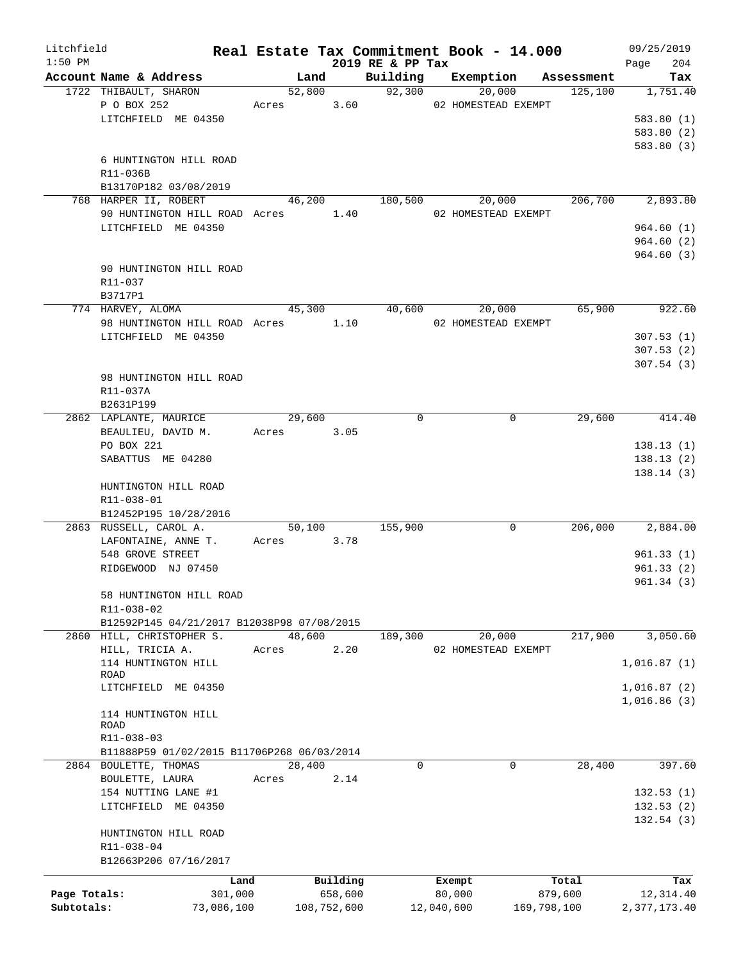| Litchfield   |                                                 |            |                |             | Real Estate Tax Commitment Book - 14.000 |            |                     |             |                       | 09/25/2019                 |
|--------------|-------------------------------------------------|------------|----------------|-------------|------------------------------------------|------------|---------------------|-------------|-----------------------|----------------------------|
| $1:50$ PM    |                                                 |            |                |             | 2019 RE & PP Tax                         |            |                     |             |                       | 204<br>Page                |
|              | Account Name & Address<br>1722 THIBAULT, SHARON |            | Land<br>52,800 |             | Building<br>92,300                       |            | Exemption<br>20,000 |             | Assessment<br>125,100 | Tax<br>1,751.40            |
|              | P O BOX 252                                     |            | Acres          | 3.60        |                                          |            | 02 HOMESTEAD EXEMPT |             |                       |                            |
|              | LITCHFIELD ME 04350                             |            |                |             |                                          |            |                     |             |                       | 583.80(1)                  |
|              |                                                 |            |                |             |                                          |            |                     |             |                       | 583.80 (2)                 |
|              |                                                 |            |                |             |                                          |            |                     |             |                       | 583.80 (3)                 |
|              | 6 HUNTINGTON HILL ROAD                          |            |                |             |                                          |            |                     |             |                       |                            |
|              | R11-036B                                        |            |                |             |                                          |            |                     |             |                       |                            |
|              | B13170P182 03/08/2019                           |            |                |             |                                          |            |                     |             |                       |                            |
|              | 768 HARPER II, ROBERT                           |            | 46,200         |             | 180,500                                  |            | 20,000              |             | 206,700               | 2,893.80                   |
|              | 90 HUNTINGTON HILL ROAD Acres                   |            |                | 1.40        |                                          |            | 02 HOMESTEAD EXEMPT |             |                       |                            |
|              | LITCHFIELD ME 04350                             |            |                |             |                                          |            |                     |             |                       | 964.60(1)                  |
|              |                                                 |            |                |             |                                          |            |                     |             |                       | 964.60(2)                  |
|              |                                                 |            |                |             |                                          |            |                     |             |                       | 964.60(3)                  |
|              | 90 HUNTINGTON HILL ROAD                         |            |                |             |                                          |            |                     |             |                       |                            |
|              | R11-037                                         |            |                |             |                                          |            |                     |             |                       |                            |
|              | B3717P1                                         |            |                |             |                                          |            |                     |             |                       |                            |
|              | 774 HARVEY, ALOMA                               |            | 45,300         |             | 40,600                                   |            | 20,000              |             | 65,900                | 922.60                     |
|              | 98 HUNTINGTON HILL ROAD Acres 1.10              |            |                |             |                                          |            | 02 HOMESTEAD EXEMPT |             |                       |                            |
|              | LITCHFIELD ME 04350                             |            |                |             |                                          |            |                     |             |                       | 307.53(1)                  |
|              |                                                 |            |                |             |                                          |            |                     |             |                       | 307.53(2)                  |
|              |                                                 |            |                |             |                                          |            |                     |             |                       | 307.54(3)                  |
|              | 98 HUNTINGTON HILL ROAD                         |            |                |             |                                          |            |                     |             |                       |                            |
|              | R11-037A                                        |            |                |             |                                          |            |                     |             |                       |                            |
|              | B2631P199                                       |            |                |             |                                          |            |                     |             |                       |                            |
|              | 2862 LAPLANTE, MAURICE                          |            | 29,600         |             | $\mathbf 0$                              |            | $\mathbf 0$         |             | 29,600                | 414.40                     |
|              | BEAULIEU, DAVID M.                              |            | Acres          | 3.05        |                                          |            |                     |             |                       |                            |
|              | PO BOX 221                                      |            |                |             |                                          |            |                     |             |                       | 138.13(1)                  |
|              | SABATTUS ME 04280                               |            |                |             |                                          |            |                     |             |                       | 138.13(2)                  |
|              | HUNTINGTON HILL ROAD                            |            |                |             |                                          |            |                     |             |                       | 138.14(3)                  |
|              | R11-038-01                                      |            |                |             |                                          |            |                     |             |                       |                            |
|              | B12452P195 10/28/2016                           |            |                |             |                                          |            |                     |             |                       |                            |
|              | 2863 RUSSELL, CAROL A.                          |            | 50,100         |             | 155,900                                  |            | 0                   |             | 206,000               | 2,884.00                   |
|              | LAFONTAINE, ANNE T.                             |            | Acres          | 3.78        |                                          |            |                     |             |                       |                            |
|              | 548 GROVE STREET                                |            |                |             |                                          |            |                     |             |                       | 961.33(1)                  |
|              | RIDGEWOOD NJ 07450                              |            |                |             |                                          |            |                     |             |                       | 961.33(2)                  |
|              |                                                 |            |                |             |                                          |            |                     |             |                       | 961.34(3)                  |
|              | 58 HUNTINGTON HILL ROAD                         |            |                |             |                                          |            |                     |             |                       |                            |
|              | R11-038-02                                      |            |                |             |                                          |            |                     |             |                       |                            |
|              | B12592P145 04/21/2017 B12038P98 07/08/2015      |            |                |             |                                          |            |                     |             |                       |                            |
|              | 2860 HILL, CHRISTOPHER S.                       |            | 48,600         |             | 189,300                                  |            | 20,000              |             | 217,900               | 3,050.60                   |
|              | HILL, TRICIA A.                                 | Acres      |                | 2.20        |                                          |            | 02 HOMESTEAD EXEMPT |             |                       |                            |
|              | 114 HUNTINGTON HILL                             |            |                |             |                                          |            |                     |             |                       | 1,016.87(1)                |
|              | ROAD                                            |            |                |             |                                          |            |                     |             |                       |                            |
|              | LITCHFIELD ME 04350                             |            |                |             |                                          |            |                     |             |                       | 1,016.87(2)<br>1,016.86(3) |
|              | 114 HUNTINGTON HILL                             |            |                |             |                                          |            |                     |             |                       |                            |
|              | <b>ROAD</b>                                     |            |                |             |                                          |            |                     |             |                       |                            |
|              | R11-038-03                                      |            |                |             |                                          |            |                     |             |                       |                            |
|              | B11888P59 01/02/2015 B11706P268 06/03/2014      |            |                |             |                                          |            |                     |             |                       |                            |
|              | 2864 BOULETTE, THOMAS                           |            | 28,400         |             | 0                                        |            | 0                   |             | 28,400                | 397.60                     |
|              | BOULETTE, LAURA                                 | Acres      |                | 2.14        |                                          |            |                     |             |                       |                            |
|              | 154 NUTTING LANE #1                             |            |                |             |                                          |            |                     |             |                       | 132.53(1)                  |
|              | LITCHFIELD ME 04350                             |            |                |             |                                          |            |                     |             |                       | 132.53(2)                  |
|              |                                                 |            |                |             |                                          |            |                     |             |                       | 132.54(3)                  |
|              | HUNTINGTON HILL ROAD                            |            |                |             |                                          |            |                     |             |                       |                            |
|              | R11-038-04                                      |            |                |             |                                          |            |                     |             |                       |                            |
|              | B12663P206 07/16/2017                           |            |                |             |                                          |            |                     |             |                       |                            |
|              |                                                 | Land       |                | Building    |                                          | Exempt     |                     |             | Total                 | Tax                        |
| Page Totals: |                                                 | 301,000    |                | 658,600     |                                          | 80,000     |                     | 879,600     |                       | 12,314.40                  |
| Subtotals:   |                                                 | 73,086,100 |                | 108,752,600 |                                          | 12,040,600 |                     | 169,798,100 |                       | 2, 377, 173. 40            |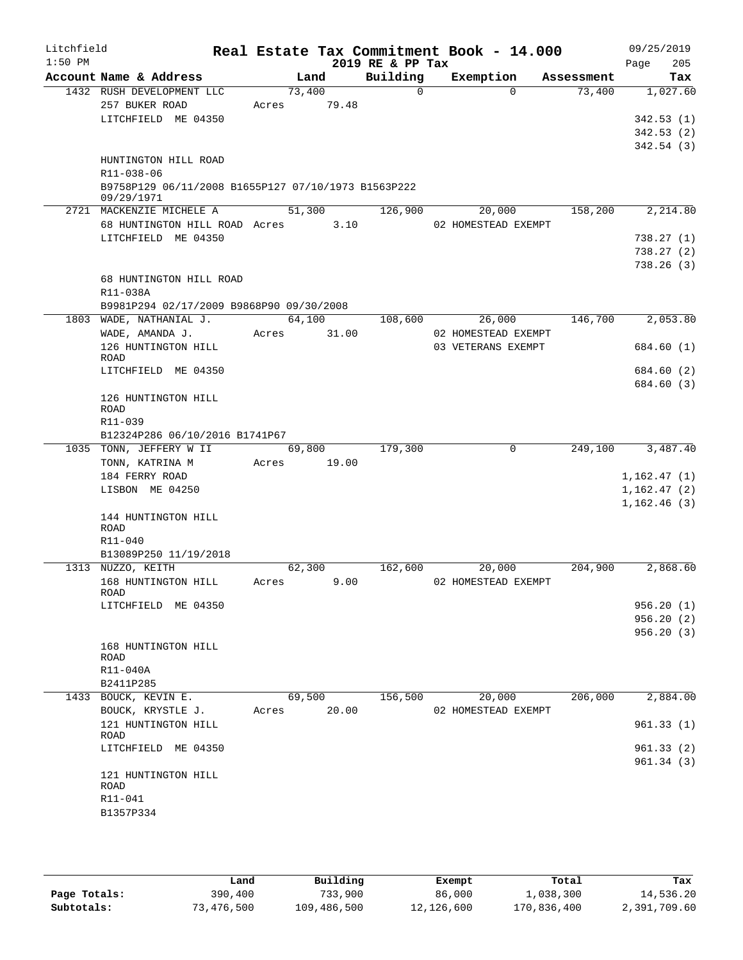| Litchfield<br>$1:50$ PM |                                                                                 |       |                 | 2019 RE & PP Tax | Real Estate Tax Commitment Book - 14.000 |            | 09/25/2019<br>205<br>Page |
|-------------------------|---------------------------------------------------------------------------------|-------|-----------------|------------------|------------------------------------------|------------|---------------------------|
|                         | Account Name & Address                                                          |       | Land            | Building         | Exemption                                | Assessment | Tax                       |
|                         | 1432 RUSH DEVELOPMENT LLC<br>257 BUKER ROAD                                     | Acres | 73,400<br>79.48 | $\Omega$         | $\Omega$                                 | 73,400     | 1,027.60                  |
|                         | LITCHFIELD ME 04350                                                             |       |                 |                  |                                          |            | 342.53(1)                 |
|                         |                                                                                 |       |                 |                  |                                          |            | 342.53(2)                 |
|                         | HUNTINGTON HILL ROAD                                                            |       |                 |                  |                                          |            | 342.54(3)                 |
|                         | R11-038-06<br>B9758P129 06/11/2008 B1655P127 07/10/1973 B1563P222<br>09/29/1971 |       |                 |                  |                                          |            |                           |
|                         | 2721 MACKENZIE MICHELE A                                                        |       | 51,300          | 126,900          | 20,000                                   | 158,200    | 2,214.80                  |
|                         | 68 HUNTINGTON HILL ROAD Acres                                                   |       | 3.10            |                  | 02 HOMESTEAD EXEMPT                      |            |                           |
|                         | LITCHFIELD ME 04350                                                             |       |                 |                  |                                          |            | 738.27(1)                 |
|                         |                                                                                 |       |                 |                  |                                          |            | 738.27(2)                 |
|                         |                                                                                 |       |                 |                  |                                          |            | 738.26(3)                 |
|                         | 68 HUNTINGTON HILL ROAD                                                         |       |                 |                  |                                          |            |                           |
|                         | R11-038A                                                                        |       |                 |                  |                                          |            |                           |
|                         | B9981P294 02/17/2009 B9868P90 09/30/2008                                        |       |                 |                  |                                          |            |                           |
|                         | 1803 WADE, NATHANIAL J.                                                         |       | 64,100          | 108,600          | 26,000                                   | 146,700    | 2,053.80                  |
|                         | WADE, AMANDA J.                                                                 | Acres | 31.00           |                  | 02 HOMESTEAD EXEMPT                      |            |                           |
|                         | 126 HUNTINGTON HILL<br><b>ROAD</b>                                              |       |                 |                  | 03 VETERANS EXEMPT                       |            | 684.60 (1)                |
|                         | LITCHFIELD ME 04350                                                             |       |                 |                  |                                          |            | 684.60 (2)                |
|                         |                                                                                 |       |                 |                  |                                          |            | 684.60 (3)                |
|                         | 126 HUNTINGTON HILL<br><b>ROAD</b>                                              |       |                 |                  |                                          |            |                           |
|                         | R11-039                                                                         |       |                 |                  |                                          |            |                           |
|                         | B12324P286 06/10/2016 B1741P67                                                  |       |                 |                  |                                          |            |                           |
|                         | 1035 TONN, JEFFERY W II                                                         |       | 69,800          | 179,300          | $\mathbf 0$                              | 249,100    | 3,487.40                  |
|                         | TONN, KATRINA M                                                                 | Acres | 19.00           |                  |                                          |            |                           |
|                         | 184 FERRY ROAD                                                                  |       |                 |                  |                                          |            | 1,162.47(1)               |
|                         | LISBON ME 04250                                                                 |       |                 |                  |                                          |            | 1,162.47(2)               |
|                         | 144 HUNTINGTON HILL<br>ROAD                                                     |       |                 |                  |                                          |            | 1,162.46(3)               |
|                         | R11-040                                                                         |       |                 |                  |                                          |            |                           |
|                         | B13089P250 11/19/2018                                                           |       |                 |                  |                                          |            |                           |
|                         | 1313 NUZZO, KEITH                                                               |       | 62,300          | 162,600          | 20,000                                   | 204,900    | 2,868.60                  |
|                         | 168 HUNTINGTON HILL                                                             | Acres | 9.00            |                  | 02 HOMESTEAD EXEMPT                      |            |                           |
|                         | ROAD                                                                            |       |                 |                  |                                          |            |                           |
|                         | LITCHFIELD ME 04350                                                             |       |                 |                  |                                          |            | 956.20(1)                 |
|                         |                                                                                 |       |                 |                  |                                          |            | 956.20(2)                 |
|                         | 168 HUNTINGTON HILL<br>ROAD                                                     |       |                 |                  |                                          |            | 956.20(3)                 |
|                         | R11-040A                                                                        |       |                 |                  |                                          |            |                           |
|                         | B2411P285                                                                       |       |                 |                  |                                          |            |                           |
|                         | 1433 BOUCK, KEVIN E.                                                            |       | 69,500          | 156,500          | 20,000                                   | 206,000    | 2,884.00                  |
|                         | BOUCK, KRYSTLE J.                                                               | Acres | 20.00           |                  | 02 HOMESTEAD EXEMPT                      |            |                           |
|                         | 121 HUNTINGTON HILL<br>ROAD                                                     |       |                 |                  |                                          |            | 961.33(1)                 |
|                         | LITCHFIELD ME 04350                                                             |       |                 |                  |                                          |            | 961.33(2)                 |
|                         |                                                                                 |       |                 |                  |                                          |            | 961.34(3)                 |
|                         | 121 HUNTINGTON HILL<br>ROAD                                                     |       |                 |                  |                                          |            |                           |
|                         | R11-041                                                                         |       |                 |                  |                                          |            |                           |
|                         | B1357P334                                                                       |       |                 |                  |                                          |            |                           |
|                         |                                                                                 |       |                 |                  |                                          |            |                           |
|                         |                                                                                 |       |                 |                  |                                          |            |                           |

|              | Land       | Building    | Exempt     | Total       | Tax          |
|--------------|------------|-------------|------------|-------------|--------------|
| Page Totals: | 390,400    | 733,900     | 86,000     | 1,038,300   | 14,536.20    |
| Subtotals:   | 73,476,500 | 109,486,500 | 12,126,600 | 170,836,400 | 2,391,709.60 |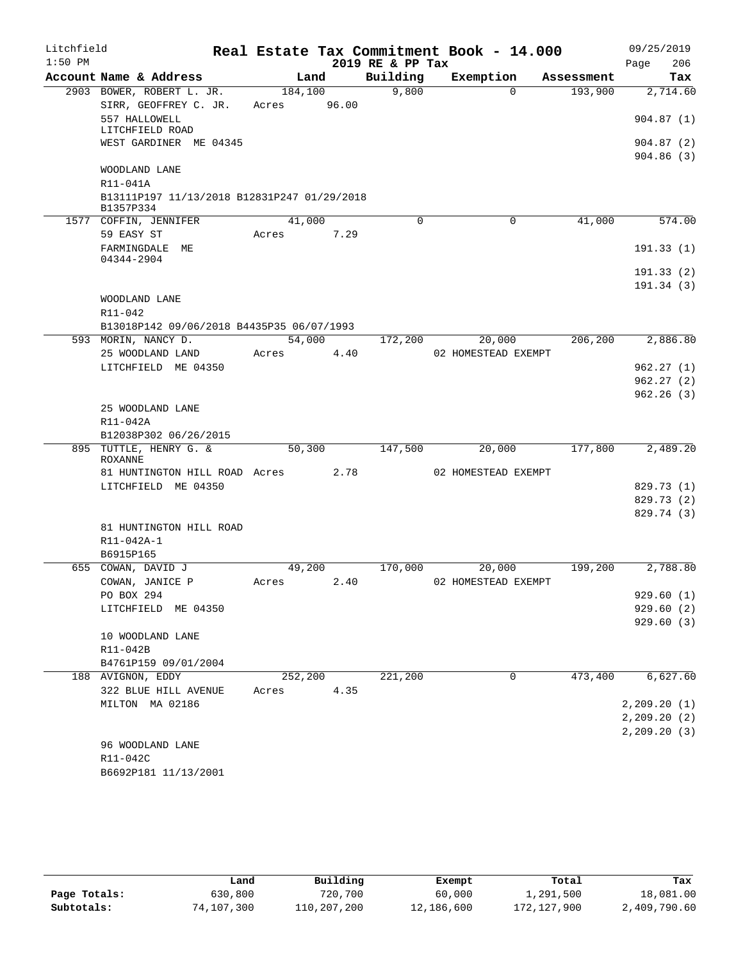| Litchfield<br>$1:50$ PM |                                             |         |       | 2019 RE & PP Tax | Real Estate Tax Commitment Book - 14.000 |            | 09/25/2019<br>206<br>Page |
|-------------------------|---------------------------------------------|---------|-------|------------------|------------------------------------------|------------|---------------------------|
|                         | Account Name & Address                      | Land    |       | Building         | Exemption                                | Assessment | Tax                       |
|                         | 2903 BOWER, ROBERT L. JR.                   | 184,100 |       | 9,800            | $\Omega$                                 | 193,900    | 2,714.60                  |
|                         | SIRR, GEOFFREY C. JR.                       | Acres   | 96.00 |                  |                                          |            |                           |
|                         | 557 HALLOWELL                               |         |       |                  |                                          |            | 904.87(1)                 |
|                         | LITCHFIELD ROAD<br>WEST GARDINER ME 04345   |         |       |                  |                                          |            | 904.87(2)                 |
|                         |                                             |         |       |                  |                                          |            | 904.86(3)                 |
|                         | WOODLAND LANE                               |         |       |                  |                                          |            |                           |
|                         | R11-041A                                    |         |       |                  |                                          |            |                           |
|                         | B13111P197 11/13/2018 B12831P247 01/29/2018 |         |       |                  |                                          |            |                           |
|                         | B1357P334                                   |         |       |                  |                                          |            |                           |
|                         | 1577 COFFIN, JENNIFER                       | 41,000  |       | $\mathbf 0$      | $\mathbf 0$                              | 41,000     | 574.00                    |
|                         | 59 EASY ST                                  | Acres   | 7.29  |                  |                                          |            |                           |
|                         | FARMINGDALE ME<br>04344-2904                |         |       |                  |                                          |            | 191.33(1)                 |
|                         |                                             |         |       |                  |                                          |            | 191.33(2)                 |
|                         |                                             |         |       |                  |                                          |            | 191.34(3)                 |
|                         | WOODLAND LANE                               |         |       |                  |                                          |            |                           |
|                         | R11-042                                     |         |       |                  |                                          |            |                           |
|                         | B13018P142 09/06/2018 B4435P35 06/07/1993   |         |       |                  |                                          |            |                           |
|                         | 593 MORIN, NANCY D.                         | 54,000  |       | 172,200          | 20,000                                   | 206,200    | 2,886.80                  |
|                         | 25 WOODLAND LAND                            | Acres   | 4.40  |                  | 02 HOMESTEAD EXEMPT                      |            |                           |
|                         | LITCHFIELD ME 04350                         |         |       |                  |                                          |            | 962.27(1)                 |
|                         |                                             |         |       |                  |                                          |            | 962.27(2)                 |
|                         |                                             |         |       |                  |                                          |            | 962.26(3)                 |
|                         | 25 WOODLAND LANE                            |         |       |                  |                                          |            |                           |
|                         | R11-042A                                    |         |       |                  |                                          |            |                           |
|                         | B12038P302 06/26/2015                       |         |       |                  |                                          |            |                           |
| 895                     | TUTTLE, HENRY G. &<br><b>ROXANNE</b>        | 50,300  |       | 147,500          | 20,000                                   | 177,800    | 2,489.20                  |
|                         | 81 HUNTINGTON HILL ROAD Acres               |         | 2.78  |                  | 02 HOMESTEAD EXEMPT                      |            |                           |
|                         | LITCHFIELD ME 04350                         |         |       |                  |                                          |            | 829.73 (1)                |
|                         |                                             |         |       |                  |                                          |            | 829.73 (2)                |
|                         |                                             |         |       |                  |                                          |            | 829.74 (3)                |
|                         | 81 HUNTINGTON HILL ROAD                     |         |       |                  |                                          |            |                           |
|                         | R11-042A-1                                  |         |       |                  |                                          |            |                           |
|                         | B6915P165                                   |         |       |                  |                                          |            |                           |
|                         | 655 COWAN, DAVID J                          | 49,200  |       | 170,000          | 20,000                                   | 199,200    | 2,788.80                  |
|                         | COWAN, JANICE P                             | Acres   | 2.40  |                  | 02 HOMESTEAD EXEMPT                      |            |                           |
|                         | PO BOX 294                                  |         |       |                  |                                          |            | 929.60(1)                 |
|                         | LITCHFIELD ME 04350                         |         |       |                  |                                          |            | 929.60(2)                 |
|                         |                                             |         |       |                  |                                          |            | 929.60(3)                 |
|                         | 10 WOODLAND LANE<br>R11-042B                |         |       |                  |                                          |            |                           |
|                         | B4761P159 09/01/2004                        |         |       |                  |                                          |            |                           |
|                         | 188 AVIGNON, EDDY                           | 252,200 |       | 221,200          | 0                                        | 473,400    | 6,627.60                  |
|                         | 322 BLUE HILL AVENUE                        | Acres   | 4.35  |                  |                                          |            |                           |
|                         | MILTON MA 02186                             |         |       |                  |                                          |            | 2, 209.20(1)              |
|                         |                                             |         |       |                  |                                          |            | 2, 209.20(2)              |
|                         |                                             |         |       |                  |                                          |            | 2, 209.20(3)              |
|                         | 96 WOODLAND LANE                            |         |       |                  |                                          |            |                           |
|                         | R11-042C                                    |         |       |                  |                                          |            |                           |
|                         | B6692P181 11/13/2001                        |         |       |                  |                                          |            |                           |

|              | Land       | Building    | Exempt     | Total       | Tax          |
|--------------|------------|-------------|------------|-------------|--------------|
| Page Totals: | 630,800    | 720,700     | 60,000     | 1,291,500   | 18,081.00    |
| Subtotals:   | 74,107,300 | 110,207,200 | 12,186,600 | 172,127,900 | 2,409,790.60 |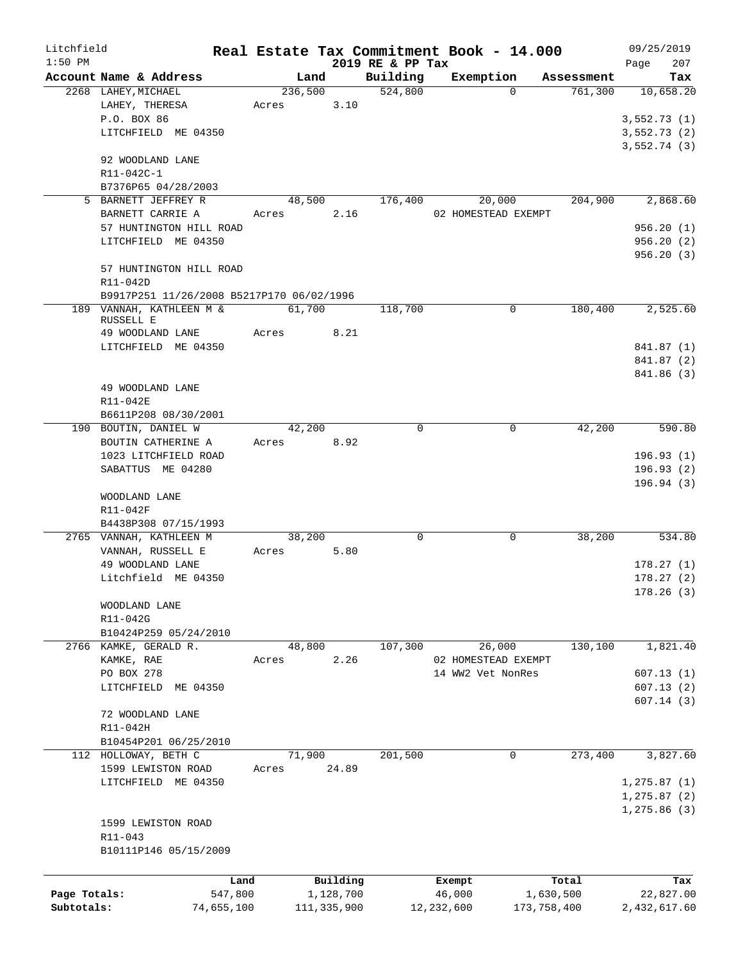| Litchfield   |                                               |                 |               |                     | Real Estate Tax Commitment Book - 14.000 |                                   | 09/25/2019       |
|--------------|-----------------------------------------------|-----------------|---------------|---------------------|------------------------------------------|-----------------------------------|------------------|
| $1:50$ PM    |                                               |                 |               | 2019 RE & PP Tax    |                                          |                                   | 207<br>Page      |
|              | Account Name & Address<br>2268 LAHEY, MICHAEL | Land<br>236,500 |               | Building<br>524,800 | Exemption                                | Assessment<br>761,300<br>$\Omega$ | Tax<br>10,658.20 |
|              | LAHEY, THERESA                                | Acres           | 3.10          |                     |                                          |                                   |                  |
|              | P.O. BOX 86                                   |                 |               |                     |                                          |                                   | 3,552.73(1)      |
|              | LITCHFIELD ME 04350                           |                 |               |                     |                                          |                                   | 3,552.73(2)      |
|              |                                               |                 |               |                     |                                          |                                   | 3,552.74(3)      |
|              | 92 WOODLAND LANE                              |                 |               |                     |                                          |                                   |                  |
|              | R11-042C-1                                    |                 |               |                     |                                          |                                   |                  |
|              | B7376P65 04/28/2003                           |                 |               |                     |                                          |                                   |                  |
|              | 5 BARNETT JEFFREY R                           | 48,500          |               | 176,400             | 20,000                                   | 204,900                           | 2,868.60         |
|              | BARNETT CARRIE A                              | Acres           | 2.16          |                     | 02 HOMESTEAD EXEMPT                      |                                   |                  |
|              | 57 HUNTINGTON HILL ROAD                       |                 |               |                     |                                          |                                   | 956.20(1)        |
|              | LITCHFIELD ME 04350                           |                 |               |                     |                                          |                                   | 956.20 (2)       |
|              |                                               |                 |               |                     |                                          |                                   | 956.20(3)        |
|              | 57 HUNTINGTON HILL ROAD                       |                 |               |                     |                                          |                                   |                  |
|              | R11-042D                                      |                 |               |                     |                                          |                                   |                  |
|              | B9917P251 11/26/2008 B5217P170 06/02/1996     |                 |               |                     |                                          |                                   |                  |
|              | 189 VANNAH, KATHLEEN M &                      | 61,700          |               | 118,700             |                                          | $\mathbf 0$<br>180,400            | 2,525.60         |
|              | RUSSELL E<br>49 WOODLAND LANE                 | Acres           | 8.21          |                     |                                          |                                   |                  |
|              | LITCHFIELD ME 04350                           |                 |               |                     |                                          |                                   | 841.87 (1)       |
|              |                                               |                 |               |                     |                                          |                                   | 841.87 (2)       |
|              |                                               |                 |               |                     |                                          |                                   | 841.86 (3)       |
|              | 49 WOODLAND LANE                              |                 |               |                     |                                          |                                   |                  |
|              | R11-042E                                      |                 |               |                     |                                          |                                   |                  |
|              | B6611P208 08/30/2001                          |                 |               |                     |                                          |                                   |                  |
|              | 190 BOUTIN, DANIEL W                          | 42,200          |               | $\Omega$            |                                          | $\Omega$<br>42,200                | 590.80           |
|              | BOUTIN CATHERINE A                            | Acres 8.92      |               |                     |                                          |                                   |                  |
|              | 1023 LITCHFIELD ROAD                          |                 |               |                     |                                          |                                   | 196.93(1)        |
|              | SABATTUS ME 04280                             |                 |               |                     |                                          |                                   | 196.93(2)        |
|              |                                               |                 |               |                     |                                          |                                   | 196.94(3)        |
|              | WOODLAND LANE                                 |                 |               |                     |                                          |                                   |                  |
|              | R11-042F                                      |                 |               |                     |                                          |                                   |                  |
|              | B4438P308 07/15/1993                          |                 |               |                     |                                          |                                   |                  |
|              | 2765 VANNAH, KATHLEEN M                       | 38,200          |               | 0                   |                                          | 0<br>38,200                       | 534.80           |
|              | VANNAH, RUSSELL E                             | Acres           | 5.80          |                     |                                          |                                   |                  |
|              | 49 WOODLAND LANE                              |                 |               |                     |                                          |                                   | 178.27(1)        |
|              | Litchfield ME 04350                           |                 |               |                     |                                          |                                   | 178.27(2)        |
|              |                                               |                 |               |                     |                                          |                                   | 178.26(3)        |
|              | WOODLAND LANE                                 |                 |               |                     |                                          |                                   |                  |
|              | R11-042G<br>B10424P259 05/24/2010             |                 |               |                     |                                          |                                   |                  |
|              | 2766 KAMKE, GERALD R.                         | 48,800          |               | 107,300             | 26,000                                   | 130,100                           | 1,821.40         |
|              | KAMKE, RAE                                    | Acres           | 2.26          |                     | 02 HOMESTEAD EXEMPT                      |                                   |                  |
|              | PO BOX 278                                    |                 |               |                     | 14 WW2 Vet NonRes                        |                                   | 607.13(1)        |
|              | LITCHFIELD ME 04350                           |                 |               |                     |                                          |                                   | 607.13(2)        |
|              |                                               |                 |               |                     |                                          |                                   | 607.14(3)        |
|              | 72 WOODLAND LANE                              |                 |               |                     |                                          |                                   |                  |
|              | R11-042H                                      |                 |               |                     |                                          |                                   |                  |
|              | B10454P201 06/25/2010                         |                 |               |                     |                                          |                                   |                  |
|              | 112 HOLLOWAY, BETH C                          | 71,900          |               | 201,500             |                                          | $\overline{0}$<br>273,400         | 3,827.60         |
|              | 1599 LEWISTON ROAD                            | Acres           | 24.89         |                     |                                          |                                   |                  |
|              | LITCHFIELD ME 04350                           |                 |               |                     |                                          |                                   | 1, 275.87(1)     |
|              |                                               |                 |               |                     |                                          |                                   | 1, 275.87(2)     |
|              |                                               |                 |               |                     |                                          |                                   | 1,275.86(3)      |
|              | 1599 LEWISTON ROAD                            |                 |               |                     |                                          |                                   |                  |
|              | R11-043                                       |                 |               |                     |                                          |                                   |                  |
|              | B10111P146 05/15/2009                         |                 |               |                     |                                          |                                   |                  |
|              |                                               |                 |               |                     |                                          |                                   |                  |
|              | Land                                          |                 | Building      |                     | Exempt                                   | Total                             | Tax              |
| Page Totals: | 547,800                                       |                 | 1,128,700     |                     | 46,000                                   | 1,630,500                         | 22,827.00        |
| Subtotals:   | 74,655,100                                    |                 | 111, 335, 900 |                     | 12, 232, 600                             | 173,758,400                       | 2,432,617.60     |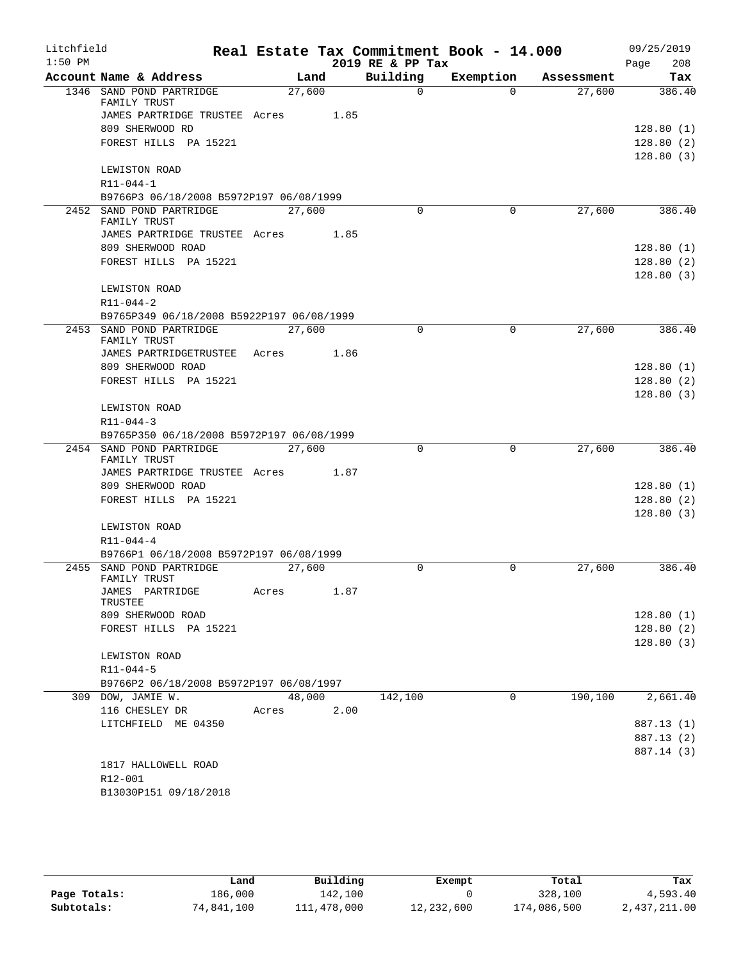| Litchfield |                                                         |        |      |                  | Real Estate Tax Commitment Book - 14.000 |            | 09/25/2019  |
|------------|---------------------------------------------------------|--------|------|------------------|------------------------------------------|------------|-------------|
| $1:50$ PM  |                                                         |        |      | 2019 RE & PP Tax |                                          |            | 208<br>Page |
|            | Account Name & Address                                  |        | Land | Building         | Exemption                                | Assessment | Tax         |
|            | 1346 SAND POND PARTRIDGE<br>FAMILY TRUST                | 27,600 |      | $\Omega$         | $\Omega$                                 | 27,600     | 386.40      |
|            | JAMES PARTRIDGE TRUSTEE Acres 1.85                      |        |      |                  |                                          |            |             |
|            | 809 SHERWOOD RD                                         |        |      |                  |                                          |            | 128.80(1)   |
|            | FOREST HILLS PA 15221                                   |        |      |                  |                                          |            | 128.80(2)   |
|            |                                                         |        |      |                  |                                          |            | 128.80(3)   |
|            | LEWISTON ROAD                                           |        |      |                  |                                          |            |             |
|            | $R11 - 044 - 1$                                         |        |      |                  |                                          |            |             |
|            | B9766P3 06/18/2008 B5972P197 06/08/1999                 |        |      |                  |                                          |            |             |
|            | 2452 SAND POND PARTRIDGE<br>FAMILY TRUST                | 27,600 |      | $\Omega$         | $\Omega$                                 | 27,600     | 386.40      |
|            | JAMES PARTRIDGE TRUSTEE Acres 1.85                      |        |      |                  |                                          |            |             |
|            | 809 SHERWOOD ROAD                                       |        |      |                  |                                          |            | 128.80(1)   |
|            | FOREST HILLS PA 15221                                   |        |      |                  |                                          |            | 128.80(2)   |
|            | LEWISTON ROAD                                           |        |      |                  |                                          |            | 128.80(3)   |
|            | $R11 - 044 - 2$                                         |        |      |                  |                                          |            |             |
|            | B9765P349 06/18/2008 B5922P197 06/08/1999               |        |      |                  |                                          |            |             |
|            | 2453 SAND POND PARTRIDGE                                | 27,600 |      | $\Omega$         | 0                                        | 27,600     | 386.40      |
|            | FAMILY TRUST<br>JAMES PARTRIDGETRUSTEE Acres 1.86       |        |      |                  |                                          |            |             |
|            | 809 SHERWOOD ROAD                                       |        |      |                  |                                          |            | 128.80(1)   |
|            | FOREST HILLS PA 15221                                   |        |      |                  |                                          |            | 128.80(2)   |
|            |                                                         |        |      |                  |                                          |            | 128.80(3)   |
|            | LEWISTON ROAD                                           |        |      |                  |                                          |            |             |
|            | $R11 - 044 - 3$                                         |        |      |                  |                                          |            |             |
|            | B9765P350 06/18/2008 B5972P197 06/08/1999               |        |      |                  |                                          |            |             |
|            | 2454 SAND POND PARTRIDGE                                | 27,600 |      | $\Omega$         | $\mathbf 0$                              | 27,600     | 386.40      |
|            | FAMILY TRUST                                            |        |      |                  |                                          |            |             |
|            | JAMES PARTRIDGE TRUSTEE Acres 1.87<br>809 SHERWOOD ROAD |        |      |                  |                                          |            | 128.80(1)   |
|            | FOREST HILLS PA 15221                                   |        |      |                  |                                          |            | 128.80(2)   |
|            |                                                         |        |      |                  |                                          |            | 128.80(3)   |
|            | LEWISTON ROAD                                           |        |      |                  |                                          |            |             |
|            | $R11 - 044 - 4$                                         |        |      |                  |                                          |            |             |
|            | B9766P1 06/18/2008 B5972P197 06/08/1999                 |        |      |                  |                                          |            |             |
|            | 2455 SAND POND PARTRIDGE                                | 27,600 |      | 0                | 0                                        | 27,600     | 386.40      |
|            | FAMILY TRUST                                            |        |      |                  |                                          |            |             |
|            | JAMES PARTRIDGE<br>TRUSTEE                              | Acres  | 1.87 |                  |                                          |            |             |
|            | 809 SHERWOOD ROAD                                       |        |      |                  |                                          |            | 128.80(1)   |
|            | FOREST HILLS PA 15221                                   |        |      |                  |                                          |            | 128.80(2)   |
|            |                                                         |        |      |                  |                                          |            | 128.80(3)   |
|            | LEWISTON ROAD                                           |        |      |                  |                                          |            |             |
|            | R11-044-5                                               |        |      |                  |                                          |            |             |
|            | B9766P2 06/18/2008 B5972P197 06/08/1997                 |        |      |                  |                                          |            |             |
|            | 309 DOW, JAMIE W.                                       | 48,000 |      | 142,100          | $\Omega$                                 | 190,100    | 2,661.40    |
|            | 116 CHESLEY DR                                          | Acres  | 2.00 |                  |                                          |            |             |
|            | LITCHFIELD ME 04350                                     |        |      |                  |                                          |            | 887.13 (1)  |
|            |                                                         |        |      |                  |                                          |            | 887.13 (2)  |
|            |                                                         |        |      |                  |                                          |            | 887.14 (3)  |
|            | 1817 HALLOWELL ROAD<br>R12-001                          |        |      |                  |                                          |            |             |
|            | B13030P151 09/18/2018                                   |        |      |                  |                                          |            |             |
|            |                                                         |        |      |                  |                                          |            |             |

|              | Land       | Building    | Exempt     | Total       | Tax          |
|--------------|------------|-------------|------------|-------------|--------------|
| Page Totals: | 186,000    | 142,100     |            | 328,100     | 4,593.40     |
| Subtotals:   | 74,841,100 | 111,478,000 | 12,232,600 | 174,086,500 | 2,437,211.00 |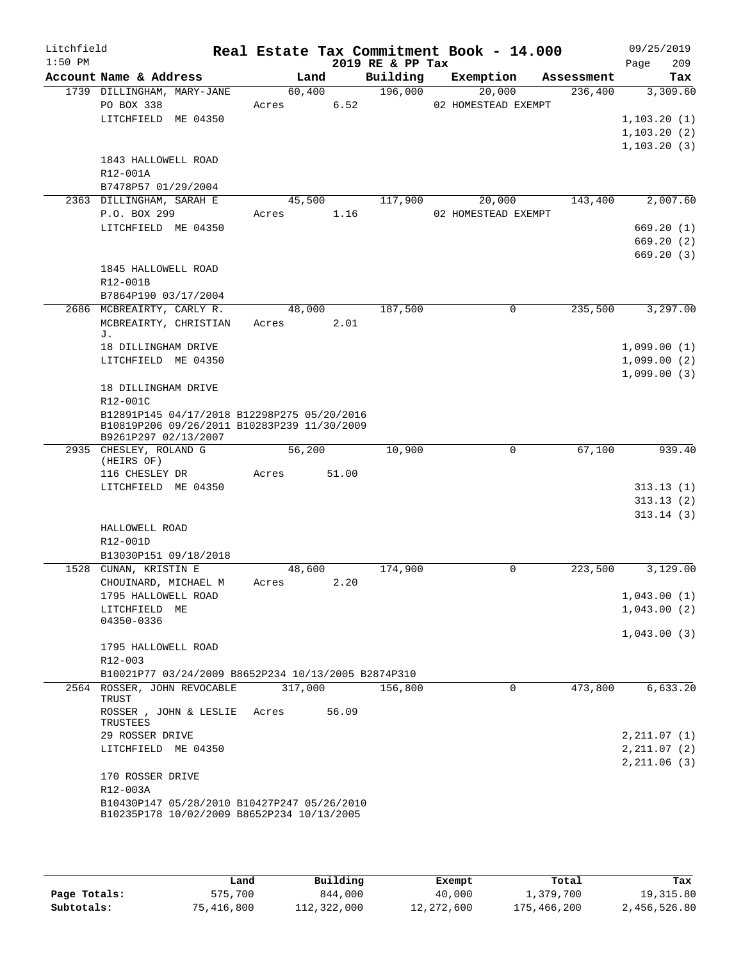| Litchfield |                                                                                                                    |                 |       |                  | Real Estate Tax Commitment Book - 14.000 |            | 09/25/2019   |
|------------|--------------------------------------------------------------------------------------------------------------------|-----------------|-------|------------------|------------------------------------------|------------|--------------|
| $1:50$ PM  |                                                                                                                    |                 |       | 2019 RE & PP Tax |                                          |            | Page<br>209  |
|            | Account Name & Address                                                                                             | Land            |       | Building         | Exemption                                | Assessment | Tax          |
|            | 1739 DILLINGHAM, MARY-JANE<br>PO BOX 338                                                                           | 60,400<br>Acres | 6.52  | 196,000          | 20,000<br>02 HOMESTEAD EXEMPT            | 236,400    | 3,309.60     |
|            | LITCHFIELD ME 04350                                                                                                |                 |       |                  |                                          |            | 1, 103.20(1) |
|            |                                                                                                                    |                 |       |                  |                                          |            | 1, 103.20(2) |
|            |                                                                                                                    |                 |       |                  |                                          |            | 1, 103.20(3) |
|            | 1843 HALLOWELL ROAD                                                                                                |                 |       |                  |                                          |            |              |
|            | R12-001A                                                                                                           |                 |       |                  |                                          |            |              |
|            | B7478P57 01/29/2004                                                                                                |                 |       |                  |                                          |            |              |
|            | 2363 DILLINGHAM, SARAH E                                                                                           | 45,500          |       | 117,900          | 20,000                                   | 143,400    | 2,007.60     |
|            | P.O. BOX 299                                                                                                       | Acres           | 1.16  |                  | 02 HOMESTEAD EXEMPT                      |            |              |
|            | LITCHFIELD ME 04350                                                                                                |                 |       |                  |                                          |            | 669.20(1)    |
|            |                                                                                                                    |                 |       |                  |                                          |            | 669.20(2)    |
|            |                                                                                                                    |                 |       |                  |                                          |            | 669.20(3)    |
|            | 1845 HALLOWELL ROAD                                                                                                |                 |       |                  |                                          |            |              |
|            | R12-001B                                                                                                           |                 |       |                  |                                          |            |              |
|            | B7864P190 03/17/2004                                                                                               |                 |       |                  |                                          |            |              |
|            | 2686 MCBREAIRTY, CARLY R.                                                                                          | 48,000          |       | 187,500          | 0                                        | 235,500    | 3,297.00     |
|            | MCBREAIRTY, CHRISTIAN<br>J.                                                                                        | Acres           | 2.01  |                  |                                          |            |              |
|            | 18 DILLINGHAM DRIVE                                                                                                |                 |       |                  |                                          |            | 1,099.00(1)  |
|            | LITCHFIELD ME 04350                                                                                                |                 |       |                  |                                          |            | 1,099.00(2)  |
|            |                                                                                                                    |                 |       |                  |                                          |            | 1,099.00(3)  |
|            | 18 DILLINGHAM DRIVE                                                                                                |                 |       |                  |                                          |            |              |
|            | R12-001C                                                                                                           |                 |       |                  |                                          |            |              |
|            | B12891P145 04/17/2018 B12298P275 05/20/2016<br>B10819P206 09/26/2011 B10283P239 11/30/2009<br>B9261P297 02/13/2007 |                 |       |                  |                                          |            |              |
|            | 2935 CHESLEY, ROLAND G                                                                                             | 56,200          |       | 10,900           | $\mathbf 0$                              | 67,100     | 939.40       |
|            | (HEIRS OF)                                                                                                         |                 |       |                  |                                          |            |              |
|            | 116 CHESLEY DR                                                                                                     | Acres           | 51.00 |                  |                                          |            |              |
|            | LITCHFIELD ME 04350                                                                                                |                 |       |                  |                                          |            | 313.13(1)    |
|            |                                                                                                                    |                 |       |                  |                                          |            | 313.13(2)    |
|            |                                                                                                                    |                 |       |                  |                                          |            | 313.14(3)    |
|            | HALLOWELL ROAD                                                                                                     |                 |       |                  |                                          |            |              |
|            | R12-001D<br>B13030P151 09/18/2018                                                                                  |                 |       |                  |                                          |            |              |
|            | 1528 CUNAN, KRISTIN E                                                                                              | 48,600          |       | 174,900          | 0                                        | 223,500    | 3,129.00     |
|            | CHOUINARD, MICHAEL M                                                                                               | Acres 2.20      |       |                  |                                          |            |              |
|            | 1795 HALLOWELL ROAD                                                                                                |                 |       |                  |                                          |            | 1,043.00(1)  |
|            | LITCHFIELD ME                                                                                                      |                 |       |                  |                                          |            | 1,043.00(2)  |
|            | 04350-0336                                                                                                         |                 |       |                  |                                          |            |              |
|            |                                                                                                                    |                 |       |                  |                                          |            | 1,043.00(3)  |
|            | 1795 HALLOWELL ROAD                                                                                                |                 |       |                  |                                          |            |              |
|            | R12-003                                                                                                            |                 |       |                  |                                          |            |              |
|            | B10021P77 03/24/2009 B8652P234 10/13/2005 B2874P310                                                                |                 |       |                  |                                          |            |              |
|            | 2564 ROSSER, JOHN REVOCABLE<br>TRUST                                                                               | 317,000         |       | 156,800          | 0                                        | 473,800    | 6,633.20     |
|            | ROSSER, JOHN & LESLIE Acres                                                                                        |                 | 56.09 |                  |                                          |            |              |
|            | TRUSTEES                                                                                                           |                 |       |                  |                                          |            |              |
|            | 29 ROSSER DRIVE                                                                                                    |                 |       |                  |                                          |            | 2, 211.07(1) |
|            | LITCHFIELD ME 04350                                                                                                |                 |       |                  |                                          |            | 2, 211.07(2) |
|            |                                                                                                                    |                 |       |                  |                                          |            | 2, 211.06(3) |
|            | 170 ROSSER DRIVE<br>R12-003A                                                                                       |                 |       |                  |                                          |            |              |
|            | B10430P147 05/28/2010 B10427P247 05/26/2010                                                                        |                 |       |                  |                                          |            |              |
|            | B10235P178 10/02/2009 B8652P234 10/13/2005                                                                         |                 |       |                  |                                          |            |              |
|            |                                                                                                                    |                 |       |                  |                                          |            |              |

|              | Land       | Building    | Exempt     | Total       | Tax          |
|--------------|------------|-------------|------------|-------------|--------------|
| Page Totals: | 575,700    | 844,000     | 40,000     | 1,379,700   | 19, 315, 80  |
| Subtotals:   | 75,416,800 | 112,322,000 | 12,272,600 | 175,466,200 | 2,456,526.80 |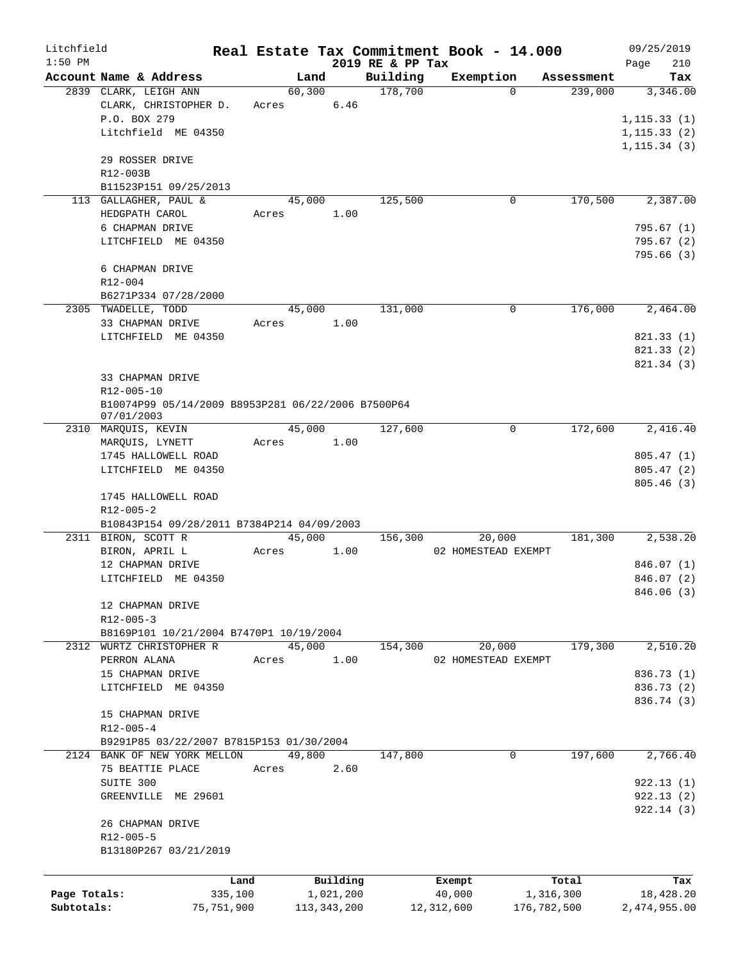| Litchfield   |                                                    |       |        |             |                  |            | Real Estate Tax Commitment Book - 14.000 |             | 09/25/2019   |
|--------------|----------------------------------------------------|-------|--------|-------------|------------------|------------|------------------------------------------|-------------|--------------|
| $1:50$ PM    |                                                    |       |        |             | 2019 RE & PP Tax |            |                                          |             | 210<br>Page  |
|              | Account Name & Address                             |       | Land   |             | Building         |            | Exemption<br>$\Omega$                    | Assessment  | Tax          |
|              | 2839 CLARK, LEIGH ANN<br>CLARK, CHRISTOPHER D.     | Acres | 60,300 | 6.46        | 178,700          |            |                                          | 239,000     | 3,346.00     |
|              | P.O. BOX 279                                       |       |        |             |                  |            |                                          |             | 1, 115.33(1) |
|              | Litchfield ME 04350                                |       |        |             |                  |            |                                          |             | 1, 115.33(2) |
|              |                                                    |       |        |             |                  |            |                                          |             | 1, 115.34(3) |
|              | 29 ROSSER DRIVE                                    |       |        |             |                  |            |                                          |             |              |
|              | R12-003B                                           |       |        |             |                  |            |                                          |             |              |
|              | B11523P151 09/25/2013                              |       |        |             |                  |            |                                          |             |              |
|              | 113 GALLAGHER, PAUL &                              |       | 45,000 |             | 125,500          |            | 0                                        | 170,500     | 2,387.00     |
|              | HEDGPATH CAROL                                     | Acres |        | 1.00        |                  |            |                                          |             |              |
|              | 6 CHAPMAN DRIVE                                    |       |        |             |                  |            |                                          |             | 795.67(1)    |
|              | LITCHFIELD ME 04350                                |       |        |             |                  |            |                                          |             | 795.67 (2)   |
|              |                                                    |       |        |             |                  |            |                                          |             | 795.66 (3)   |
|              | 6 CHAPMAN DRIVE                                    |       |        |             |                  |            |                                          |             |              |
|              | R12-004                                            |       |        |             |                  |            |                                          |             |              |
|              | B6271P334 07/28/2000                               |       |        |             |                  |            |                                          |             |              |
|              | 2305 TWADELLE, TODD                                |       | 45,000 |             | 131,000          |            | $\Omega$                                 | 176,000     | 2,464.00     |
|              | 33 CHAPMAN DRIVE                                   | Acres |        | 1.00        |                  |            |                                          |             |              |
|              | LITCHFIELD ME 04350                                |       |        |             |                  |            |                                          |             | 821.33 (1)   |
|              |                                                    |       |        |             |                  |            |                                          |             | 821.33(2)    |
|              |                                                    |       |        |             |                  |            |                                          |             | 821.34 (3)   |
|              | 33 CHAPMAN DRIVE                                   |       |        |             |                  |            |                                          |             |              |
|              | R12-005-10                                         |       |        |             |                  |            |                                          |             |              |
|              | B10074P99 05/14/2009 B8953P281 06/22/2006 B7500P64 |       |        |             |                  |            |                                          |             |              |
|              | 07/01/2003<br>2310 MARQUIS, KEVIN                  |       | 45,000 |             | 127,600          |            | $\mathbf 0$                              | 172,600     | 2,416.40     |
|              |                                                    | Acres |        | 1.00        |                  |            |                                          |             |              |
|              | MARQUIS, LYNETT<br>1745 HALLOWELL ROAD             |       |        |             |                  |            |                                          |             | 805.47(1)    |
|              | LITCHFIELD ME 04350                                |       |        |             |                  |            |                                          |             | 805.47(2)    |
|              |                                                    |       |        |             |                  |            |                                          |             | 805.46(3)    |
|              | 1745 HALLOWELL ROAD                                |       |        |             |                  |            |                                          |             |              |
|              | $R12 - 005 - 2$                                    |       |        |             |                  |            |                                          |             |              |
|              | B10843P154 09/28/2011 B7384P214 04/09/2003         |       |        |             |                  |            |                                          |             |              |
|              | 2311 BIRON, SCOTT R                                |       | 45,000 |             | 156,300          |            | 20,000                                   | 181,300     | 2,538.20     |
|              | BIRON, APRIL L                                     | Acres |        | 1.00        |                  |            | 02 HOMESTEAD EXEMPT                      |             |              |
|              | 12 CHAPMAN DRIVE                                   |       |        |             |                  |            |                                          |             | 846.07 (1)   |
|              | LITCHFIELD ME 04350                                |       |        |             |                  |            |                                          |             | 846.07 (2)   |
|              |                                                    |       |        |             |                  |            |                                          |             | 846.06 (3)   |
|              | 12 CHAPMAN DRIVE                                   |       |        |             |                  |            |                                          |             |              |
|              | $R12 - 005 - 3$                                    |       |        |             |                  |            |                                          |             |              |
|              | B8169P101 10/21/2004 B7470P1 10/19/2004            |       |        |             |                  |            |                                          |             |              |
|              | 2312 WURTZ CHRISTOPHER R                           |       | 45,000 |             | 154,300          |            | 20,000                                   | 179,300     | 2,510.20     |
|              | PERRON ALANA                                       | Acres |        | 1.00        |                  |            | 02 HOMESTEAD EXEMPT                      |             |              |
|              | 15 CHAPMAN DRIVE                                   |       |        |             |                  |            |                                          |             | 836.73 (1)   |
|              | LITCHFIELD ME 04350                                |       |        |             |                  |            |                                          |             | 836.73 (2)   |
|              |                                                    |       |        |             |                  |            |                                          |             | 836.74 (3)   |
|              | 15 CHAPMAN DRIVE                                   |       |        |             |                  |            |                                          |             |              |
|              | $R12 - 005 - 4$                                    |       |        |             |                  |            |                                          |             |              |
|              | B9291P85 03/22/2007 B7815P153 01/30/2004           |       |        |             |                  |            |                                          |             |              |
|              | 2124 BANK OF NEW YORK MELLON                       |       | 49,800 |             | 147,800          |            | $\mathbf{0}$                             | 197,600     | 2,766.40     |
|              | 75 BEATTIE PLACE                                   | Acres |        | 2.60        |                  |            |                                          |             |              |
|              | SUITE 300                                          |       |        |             |                  |            |                                          |             | 922.13(1)    |
|              | GREENVILLE ME 29601                                |       |        |             |                  |            |                                          |             | 922.13(2)    |
|              |                                                    |       |        |             |                  |            |                                          |             | 922.14(3)    |
|              | 26 CHAPMAN DRIVE                                   |       |        |             |                  |            |                                          |             |              |
|              | R12-005-5                                          |       |        |             |                  |            |                                          |             |              |
|              | B13180P267 03/21/2019                              |       |        |             |                  |            |                                          |             |              |
|              |                                                    |       |        |             |                  |            |                                          |             |              |
|              | Land                                               |       |        | Building    |                  | Exempt     |                                          | Total       | Tax          |
| Page Totals: | 335,100                                            |       |        | 1,021,200   |                  | 40,000     |                                          | 1,316,300   | 18,428.20    |
| Subtotals:   | 75,751,900                                         |       |        | 113,343,200 |                  | 12,312,600 |                                          | 176,782,500 | 2,474,955.00 |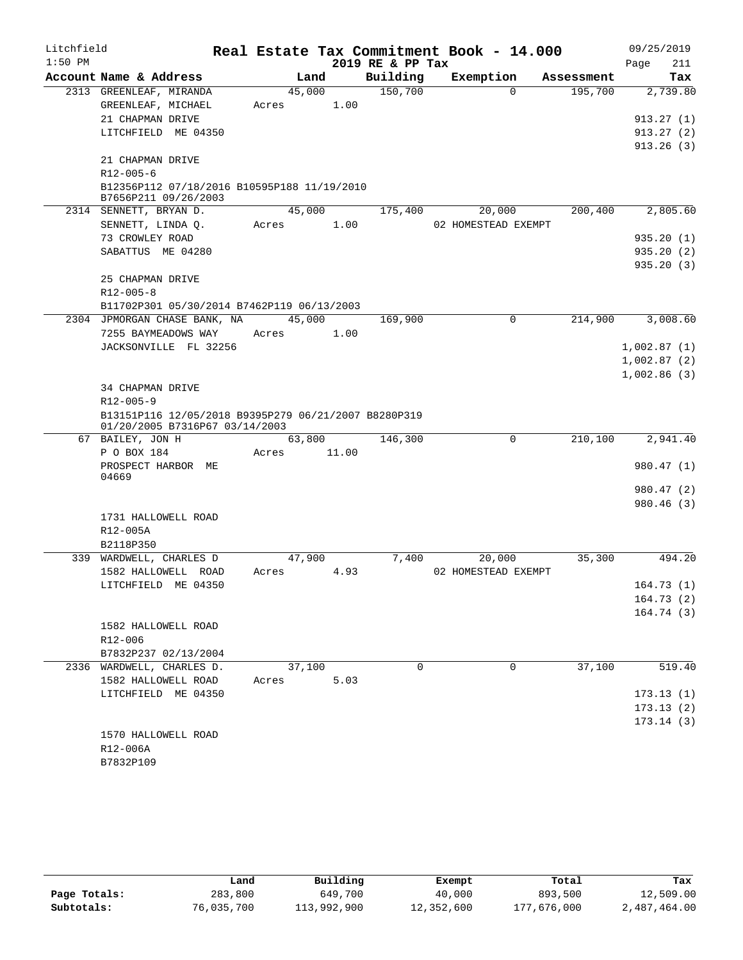| Litchfield |                                                                                        |        |       |                  | Real Estate Tax Commitment Book - 14.000 |            | 09/25/2019  |
|------------|----------------------------------------------------------------------------------------|--------|-------|------------------|------------------------------------------|------------|-------------|
| $1:50$ PM  |                                                                                        |        |       | 2019 RE & PP Tax |                                          |            | Page<br>211 |
|            | Account Name & Address                                                                 | Land   |       | Building         | Exemption                                | Assessment | Tax         |
|            | 2313 GREENLEAF, MIRANDA                                                                | 45,000 |       | 150,700          | $\Omega$                                 | 195,700    | 2,739.80    |
|            | GREENLEAF, MICHAEL                                                                     | Acres  | 1.00  |                  |                                          |            |             |
|            | 21 CHAPMAN DRIVE                                                                       |        |       |                  |                                          |            | 913.27(1)   |
|            | LITCHFIELD ME 04350                                                                    |        |       |                  |                                          |            | 913.27(2)   |
|            | 21 CHAPMAN DRIVE                                                                       |        |       |                  |                                          |            | 913.26(3)   |
|            | R12-005-6                                                                              |        |       |                  |                                          |            |             |
|            | B12356P112 07/18/2016 B10595P188 11/19/2010<br>B7656P211 09/26/2003                    |        |       |                  |                                          |            |             |
|            | 2314 SENNETT, BRYAN D.                                                                 | 45,000 |       | 175,400          | 20,000                                   | 200,400    | 2,805.60    |
|            | SENNETT, LINDA Q.                                                                      | Acres  | 1.00  |                  | 02 HOMESTEAD EXEMPT                      |            |             |
|            | 73 CROWLEY ROAD                                                                        |        |       |                  |                                          |            | 935.20(1)   |
|            | SABATTUS ME 04280                                                                      |        |       |                  |                                          |            | 935.20(2)   |
|            |                                                                                        |        |       |                  |                                          |            | 935.20(3)   |
|            | 25 CHAPMAN DRIVE                                                                       |        |       |                  |                                          |            |             |
|            | $R12 - 005 - 8$                                                                        |        |       |                  |                                          |            |             |
|            | B11702P301 05/30/2014 B7462P119 06/13/2003                                             |        |       |                  |                                          |            |             |
|            | 2304 JPMORGAN CHASE BANK, NA                                                           | 45,000 |       | 169,900          | $\mathbf 0$                              | 214,900    | 3,008.60    |
|            | 7255 BAYMEADOWS WAY                                                                    | Acres  | 1.00  |                  |                                          |            |             |
|            | JACKSONVILLE FL 32256                                                                  |        |       |                  |                                          |            | 1,002.87(1) |
|            |                                                                                        |        |       |                  |                                          |            | 1,002.87(2) |
|            |                                                                                        |        |       |                  |                                          |            | 1,002.86(3) |
|            | <b>34 CHAPMAN DRIVE</b>                                                                |        |       |                  |                                          |            |             |
|            | R12-005-9                                                                              |        |       |                  |                                          |            |             |
|            | B13151P116 12/05/2018 B9395P279 06/21/2007 B8280P319<br>01/20/2005 B7316P67 03/14/2003 |        |       |                  |                                          |            |             |
|            | 67 BAILEY, JON H                                                                       | 63,800 |       | 146,300          | 0                                        | 210,100    | 2,941.40    |
|            | P O BOX 184                                                                            | Acres  | 11.00 |                  |                                          |            |             |
|            | PROSPECT HARBOR ME                                                                     |        |       |                  |                                          |            | 980.47(1)   |
|            | 04669                                                                                  |        |       |                  |                                          |            | 980.47 (2)  |
|            |                                                                                        |        |       |                  |                                          |            | 980.46 (3)  |
|            | 1731 HALLOWELL ROAD                                                                    |        |       |                  |                                          |            |             |
|            | R12-005A                                                                               |        |       |                  |                                          |            |             |
|            | B2118P350                                                                              |        |       |                  |                                          |            |             |
|            | 339 WARDWELL, CHARLES D                                                                | 47,900 |       | 7,400            | 20,000                                   | 35,300     | 494.20      |
|            | 1582 HALLOWELL ROAD                                                                    | Acres  | 4.93  |                  | 02 HOMESTEAD EXEMPT                      |            |             |
|            | LITCHFIELD ME 04350                                                                    |        |       |                  |                                          |            | 164.73(1)   |
|            |                                                                                        |        |       |                  |                                          |            | 164.73(2)   |
|            |                                                                                        |        |       |                  |                                          |            | 164.74 (3)  |
|            | 1582 HALLOWELL ROAD                                                                    |        |       |                  |                                          |            |             |
|            | R12-006                                                                                |        |       |                  |                                          |            |             |
|            | B7832P237 02/13/2004                                                                   |        |       |                  |                                          |            |             |
|            | 2336 WARDWELL, CHARLES D.                                                              | 37,100 |       | $\Omega$         | $\Omega$                                 | 37,100     | 519.40      |
|            | 1582 HALLOWELL ROAD                                                                    | Acres  | 5.03  |                  |                                          |            |             |
|            | LITCHFIELD ME 04350                                                                    |        |       |                  |                                          |            | 173.13(1)   |
|            |                                                                                        |        |       |                  |                                          |            | 173.13(2)   |
|            |                                                                                        |        |       |                  |                                          |            | 173.14(3)   |
|            | 1570 HALLOWELL ROAD                                                                    |        |       |                  |                                          |            |             |
|            | R12-006A                                                                               |        |       |                  |                                          |            |             |
|            | B7832P109                                                                              |        |       |                  |                                          |            |             |

|              | Land       | Building    | Exempt     | Total       | Tax          |
|--------------|------------|-------------|------------|-------------|--------------|
| Page Totals: | 283,800    | 649,700     | 40,000     | 893,500     | 12,509.00    |
| Subtotals:   | 76,035,700 | 113,992,900 | 12,352,600 | 177,676,000 | 2,487,464.00 |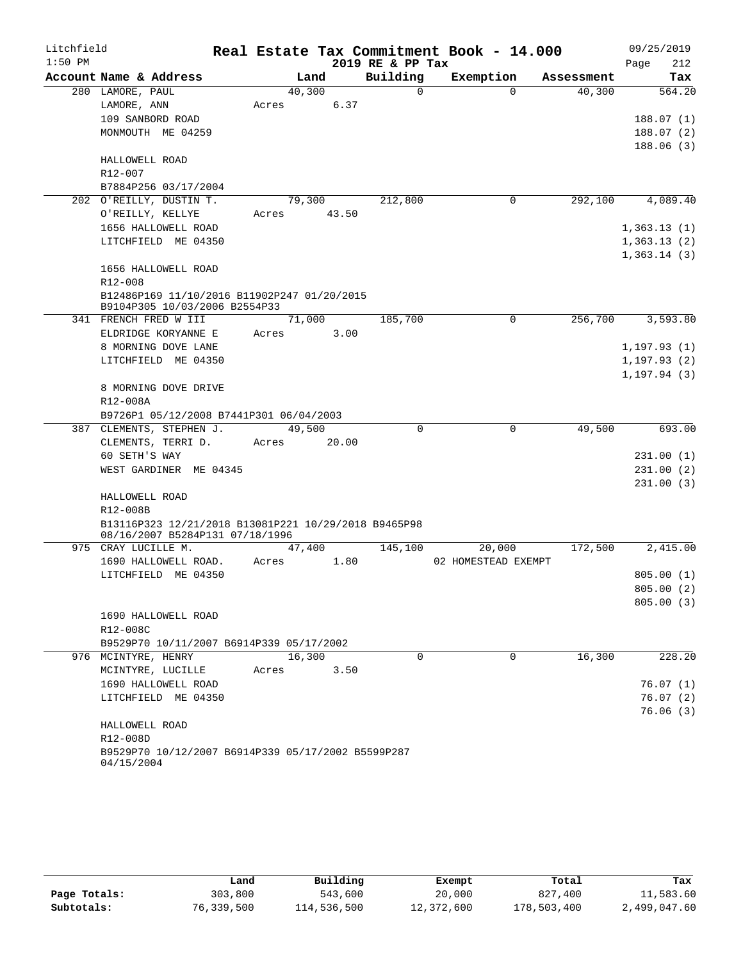| Litchfield |                                                        |       |        |       |                  | Real Estate Tax Commitment Book - 14.000 |             |            |      | 09/25/2019                   |
|------------|--------------------------------------------------------|-------|--------|-------|------------------|------------------------------------------|-------------|------------|------|------------------------------|
| $1:50$ PM  |                                                        |       |        |       | 2019 RE & PP Tax |                                          |             |            | Page | 212                          |
|            | Account Name & Address                                 |       | Land   |       | Building         | Exemption                                |             | Assessment |      | Tax                          |
|            | 280 LAMORE, PAUL                                       |       | 40,300 |       | 0                |                                          | $\Omega$    | 40,300     |      | 564.20                       |
|            | LAMORE, ANN                                            | Acres |        | 6.37  |                  |                                          |             |            |      |                              |
|            | 109 SANBORD ROAD                                       |       |        |       |                  |                                          |             |            |      | 188.07(1)                    |
|            | MONMOUTH ME 04259                                      |       |        |       |                  |                                          |             |            |      | 188.07(2)                    |
|            | HALLOWELL ROAD                                         |       |        |       |                  |                                          |             |            |      | 188.06(3)                    |
|            | $R12 - 007$                                            |       |        |       |                  |                                          |             |            |      |                              |
|            | B7884P256 03/17/2004                                   |       |        |       |                  |                                          |             |            |      |                              |
|            | 202 O'REILLY, DUSTIN T.                                |       | 79,300 |       | 212,800          |                                          | 0           | 292,100    |      | 4,089.40                     |
|            | O'REILLY, KELLYE                                       | Acres |        | 43.50 |                  |                                          |             |            |      |                              |
|            | 1656 HALLOWELL ROAD                                    |       |        |       |                  |                                          |             |            |      | 1,363.13(1)                  |
|            | LITCHFIELD ME 04350                                    |       |        |       |                  |                                          |             |            |      | 1,363.13(2)                  |
|            |                                                        |       |        |       |                  |                                          |             |            |      | 1,363.14(3)                  |
|            | 1656 HALLOWELL ROAD                                    |       |        |       |                  |                                          |             |            |      |                              |
|            | R12-008                                                |       |        |       |                  |                                          |             |            |      |                              |
|            | B12486P169 11/10/2016 B11902P247 01/20/2015            |       |        |       |                  |                                          |             |            |      |                              |
|            | B9104P305 10/03/2006 B2554P33                          |       |        |       |                  |                                          |             |            |      |                              |
|            | 341 FRENCH FRED W III                                  |       | 71,000 |       | 185,700          |                                          | 0           | 256,700    |      | 3,593.80                     |
|            | ELDRIDGE KORYANNE E                                    | Acres |        | 3.00  |                  |                                          |             |            |      |                              |
|            | 8 MORNING DOVE LANE                                    |       |        |       |                  |                                          |             |            |      | 1, 197.93(1)                 |
|            | LITCHFIELD ME 04350                                    |       |        |       |                  |                                          |             |            |      | 1, 197.93(2)<br>1, 197.94(3) |
|            | 8 MORNING DOVE DRIVE                                   |       |        |       |                  |                                          |             |            |      |                              |
|            | R12-008A                                               |       |        |       |                  |                                          |             |            |      |                              |
|            | B9726P1 05/12/2008 B7441P301 06/04/2003                |       |        |       |                  |                                          |             |            |      |                              |
|            | 387 CLEMENTS, STEPHEN J.                               |       | 49,500 |       | $\Omega$         |                                          | $\mathbf 0$ | 49,500     |      | 693.00                       |
|            | CLEMENTS, TERRI D.                                     | Acres |        | 20.00 |                  |                                          |             |            |      |                              |
|            | 60 SETH'S WAY                                          |       |        |       |                  |                                          |             |            |      | 231.00(1)                    |
|            | WEST GARDINER ME 04345                                 |       |        |       |                  |                                          |             |            |      | 231.00(2)                    |
|            |                                                        |       |        |       |                  |                                          |             |            |      | 231.00(3)                    |
|            | HALLOWELL ROAD                                         |       |        |       |                  |                                          |             |            |      |                              |
|            | R12-008B                                               |       |        |       |                  |                                          |             |            |      |                              |
|            | B13116P323 12/21/2018 B13081P221 10/29/2018 B9465P98   |       |        |       |                  |                                          |             |            |      |                              |
|            | 08/16/2007 B5284P131 07/18/1996<br>975 CRAY LUCILLE M. |       |        |       |                  | 20,000                                   |             | 172,500    |      |                              |
|            | 1690 HALLOWELL ROAD.                                   | Acres | 47,400 | 1.80  | 145,100          | 02 HOMESTEAD EXEMPT                      |             |            |      | 2,415.00                     |
|            | LITCHFIELD ME 04350                                    |       |        |       |                  |                                          |             |            |      | 805.00(1)                    |
|            |                                                        |       |        |       |                  |                                          |             |            |      | 805.00 (2)                   |
|            |                                                        |       |        |       |                  |                                          |             |            |      | 805.00(3)                    |
|            | 1690 HALLOWELL ROAD                                    |       |        |       |                  |                                          |             |            |      |                              |
|            | R12-008C                                               |       |        |       |                  |                                          |             |            |      |                              |
|            | B9529P70 10/11/2007 B6914P339 05/17/2002               |       |        |       |                  |                                          |             |            |      |                              |
|            | 976 MCINTYRE, HENRY                                    |       | 16,300 |       | $\Omega$         |                                          | 0           | 16,300     |      | 228.20                       |
|            | MCINTYRE, LUCILLE                                      | Acres |        | 3.50  |                  |                                          |             |            |      |                              |
|            | 1690 HALLOWELL ROAD                                    |       |        |       |                  |                                          |             |            |      | 76.07(1)                     |
|            | LITCHFIELD ME 04350                                    |       |        |       |                  |                                          |             |            |      | 76.07(2)                     |
|            |                                                        |       |        |       |                  |                                          |             |            |      | 76.06(3)                     |
|            | HALLOWELL ROAD                                         |       |        |       |                  |                                          |             |            |      |                              |
|            | R12-008D                                               |       |        |       |                  |                                          |             |            |      |                              |
|            | B9529P70 10/12/2007 B6914P339 05/17/2002 B5599P287     |       |        |       |                  |                                          |             |            |      |                              |
|            | 04/15/2004                                             |       |        |       |                  |                                          |             |            |      |                              |

|              | Land       | Building    | Exempt     | Total       | Tax          |
|--------------|------------|-------------|------------|-------------|--------------|
| Page Totals: | 303,800    | 543,600     | 20,000     | 827,400     | 11,583.60    |
| Subtotals:   | 76,339,500 | 114,536,500 | 12,372,600 | 178,503,400 | 2,499,047.60 |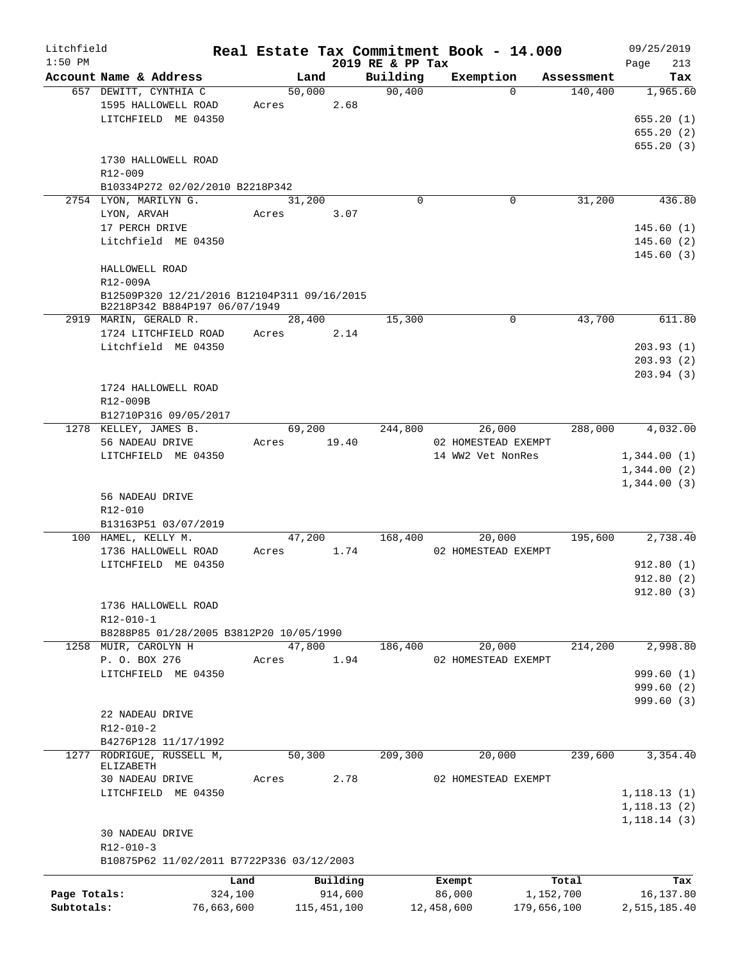| Litchfield   |                                                                 | Real Estate Tax Commitment Book - 14.000 |               |                  |                     |                     | 09/25/2019   |
|--------------|-----------------------------------------------------------------|------------------------------------------|---------------|------------------|---------------------|---------------------|--------------|
| $1:50$ PM    |                                                                 |                                          |               | 2019 RE & PP Tax |                     |                     | 213<br>Page  |
|              | Account Name & Address                                          | Land                                     |               | Building         | Exemption           | Assessment          | Tax          |
|              | 657 DEWITT, CYNTHIA C                                           | 50,000                                   |               | 90,400           |                     | 140,400<br>$\Omega$ | 1,965.60     |
|              | 1595 HALLOWELL ROAD<br>LITCHFIELD ME 04350                      | Acres                                    | 2.68          |                  |                     |                     | 655.20(1)    |
|              |                                                                 |                                          |               |                  |                     |                     | 655.20(2)    |
|              |                                                                 |                                          |               |                  |                     |                     | 655.20(3)    |
|              | 1730 HALLOWELL ROAD                                             |                                          |               |                  |                     |                     |              |
|              | R12-009                                                         |                                          |               |                  |                     |                     |              |
|              | B10334P272 02/02/2010 B2218P342                                 |                                          |               |                  |                     |                     |              |
|              | 2754 LYON, MARILYN G.                                           | 31,200                                   |               | 0                |                     | 31,200<br>0         | 436.80       |
|              | LYON, ARVAH                                                     | Acres                                    | 3.07          |                  |                     |                     |              |
|              | 17 PERCH DRIVE                                                  |                                          |               |                  |                     |                     | 145.60(1)    |
|              | Litchfield ME 04350                                             |                                          |               |                  |                     |                     | 145.60(2)    |
|              |                                                                 |                                          |               |                  |                     |                     | 145.60(3)    |
|              | HALLOWELL ROAD                                                  |                                          |               |                  |                     |                     |              |
|              | R12-009A                                                        |                                          |               |                  |                     |                     |              |
|              | B12509P320 12/21/2016 B12104P311 09/16/2015                     |                                          |               |                  |                     |                     |              |
|              | B2218P342 B884P197 06/07/1949                                   | 28,400                                   |               | 15,300           |                     | 0<br>43,700         | 611.80       |
|              | 2919 MARIN, GERALD R.<br>1724 LITCHFIELD ROAD                   | Acres                                    | 2.14          |                  |                     |                     |              |
|              | Litchfield ME 04350                                             |                                          |               |                  |                     |                     | 203.93(1)    |
|              |                                                                 |                                          |               |                  |                     |                     | 203.93(2)    |
|              |                                                                 |                                          |               |                  |                     |                     | 203.94(3)    |
|              | 1724 HALLOWELL ROAD                                             |                                          |               |                  |                     |                     |              |
|              | R12-009B                                                        |                                          |               |                  |                     |                     |              |
|              | B12710P316 09/05/2017                                           |                                          |               |                  |                     |                     |              |
|              | 1278 KELLEY, JAMES B.                                           | 69,200                                   |               | 244,800          | 26,000              | 288,000             | 4,032.00     |
|              | 56 NADEAU DRIVE                                                 | Acres                                    | 19.40         |                  | 02 HOMESTEAD EXEMPT |                     |              |
|              | LITCHFIELD ME 04350                                             |                                          |               |                  | 14 WW2 Vet NonRes   |                     | 1,344.00(1)  |
|              |                                                                 |                                          |               |                  |                     |                     | 1,344.00(2)  |
|              |                                                                 |                                          |               |                  |                     |                     | 1,344.00(3)  |
|              | 56 NADEAU DRIVE                                                 |                                          |               |                  |                     |                     |              |
|              | R12-010                                                         |                                          |               |                  |                     |                     |              |
|              | B13163P51 03/07/2019                                            |                                          |               |                  |                     |                     |              |
|              | 100 HAMEL, KELLY M.                                             | 47,200                                   |               | 168,400          | 20,000              | 195,600             | 2,738.40     |
|              | 1736 HALLOWELL ROAD                                             | Acres                                    | 1.74          |                  | 02 HOMESTEAD EXEMPT |                     |              |
|              | LITCHFIELD ME 04350                                             |                                          |               |                  |                     |                     | 912.80(1)    |
|              |                                                                 |                                          |               |                  |                     |                     | 912.80(2)    |
|              |                                                                 |                                          |               |                  |                     |                     | 912.80 (3)   |
|              | 1736 HALLOWELL ROAD                                             |                                          |               |                  |                     |                     |              |
|              | R12-010-1                                                       |                                          |               |                  |                     |                     |              |
|              | B8288P85 01/28/2005 B3812P20 10/05/1990<br>1258 MUIR, CAROLYN H | 47,800                                   |               | 186,400          | 20,000              | 214,200             | 2,998.80     |
|              | P. O. BOX 276                                                   | Acres                                    | 1.94          |                  | 02 HOMESTEAD EXEMPT |                     |              |
|              | LITCHFIELD ME 04350                                             |                                          |               |                  |                     |                     | 999.60(1)    |
|              |                                                                 |                                          |               |                  |                     |                     | 999.60(2)    |
|              |                                                                 |                                          |               |                  |                     |                     | 999.60 (3)   |
|              | 22 NADEAU DRIVE                                                 |                                          |               |                  |                     |                     |              |
|              | $R12 - 010 - 2$                                                 |                                          |               |                  |                     |                     |              |
|              | B4276P128 11/17/1992                                            |                                          |               |                  |                     |                     |              |
|              | 1277 RODRIGUE, RUSSELL M,                                       | 50,300                                   |               | 209,300          | 20,000              | 239,600             | 3,354.40     |
|              | ELIZABETH                                                       |                                          |               |                  |                     |                     |              |
|              | 30 NADEAU DRIVE                                                 | Acres                                    | 2.78          |                  | 02 HOMESTEAD EXEMPT |                     |              |
|              | LITCHFIELD ME 04350                                             |                                          |               |                  |                     |                     | 1,118.13(1)  |
|              |                                                                 |                                          |               |                  |                     |                     | 1, 118.13(2) |
|              |                                                                 |                                          |               |                  |                     |                     | 1,118.14(3)  |
|              | <b>30 NADEAU DRIVE</b><br>$R12 - 010 - 3$                       |                                          |               |                  |                     |                     |              |
|              | B10875P62 11/02/2011 B7722P336 03/12/2003                       |                                          |               |                  |                     |                     |              |
|              |                                                                 |                                          |               |                  |                     |                     |              |
|              |                                                                 | Land                                     | Building      |                  | Exempt              | Total               | Tax          |
| Page Totals: | 324,100                                                         |                                          | 914,600       |                  | 86,000              | 1,152,700           | 16,137.80    |
| Subtotals:   | 76,663,600                                                      |                                          | 115, 451, 100 |                  | 12,458,600          | 179,656,100         | 2,515,185.40 |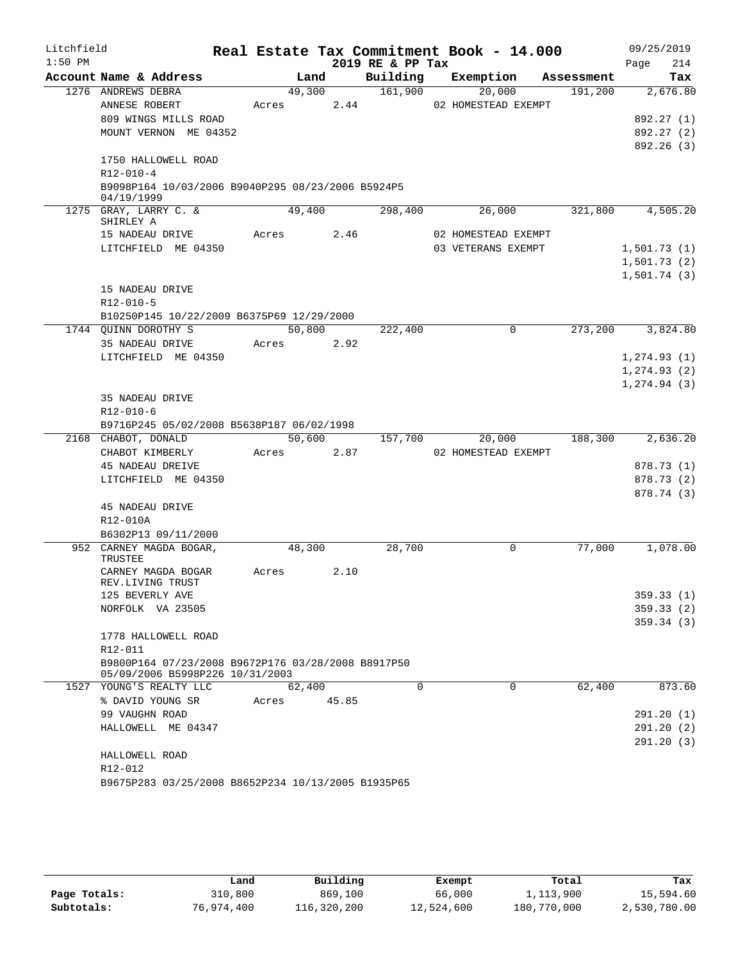| Litchfield |                                                                                       |       |        |       |                  | Real Estate Tax Commitment Book - 14.000 |            | 09/25/2019   |
|------------|---------------------------------------------------------------------------------------|-------|--------|-------|------------------|------------------------------------------|------------|--------------|
| $1:50$ PM  |                                                                                       |       |        |       | 2019 RE & PP Tax |                                          |            | 214<br>Page  |
|            | Account Name & Address                                                                |       | Land   |       | Building         | Exemption                                | Assessment | Tax          |
|            | 1276 ANDREWS DEBRA                                                                    |       | 49,300 |       | 161,900          | 20,000                                   | 191,200    | 2,676.80     |
|            | ANNESE ROBERT                                                                         |       | Acres  | 2.44  |                  | 02 HOMESTEAD EXEMPT                      |            |              |
|            | 809 WINGS MILLS ROAD                                                                  |       |        |       |                  |                                          |            | 892.27 (1)   |
|            | MOUNT VERNON ME 04352                                                                 |       |        |       |                  |                                          |            | 892.27 (2)   |
|            |                                                                                       |       |        |       |                  |                                          |            | 892.26(3)    |
|            | 1750 HALLOWELL ROAD                                                                   |       |        |       |                  |                                          |            |              |
|            | $R12 - 010 - 4$                                                                       |       |        |       |                  |                                          |            |              |
|            | B9098P164 10/03/2006 B9040P295 08/23/2006 B5924P5<br>04/19/1999                       |       |        |       |                  |                                          |            |              |
|            | 1275 GRAY, LARRY C. &<br>SHIRLEY A                                                    |       | 49,400 |       | 298,400          | 26,000                                   | 321,800    | 4,505.20     |
|            | 15 NADEAU DRIVE                                                                       | Acres |        | 2.46  |                  | 02 HOMESTEAD EXEMPT                      |            |              |
|            | LITCHFIELD ME 04350                                                                   |       |        |       |                  | 03 VETERANS EXEMPT                       |            | 1,501.73(1)  |
|            |                                                                                       |       |        |       |                  |                                          |            | 1,501.73(2)  |
|            |                                                                                       |       |        |       |                  |                                          |            | 1,501.74(3)  |
|            | 15 NADEAU DRIVE                                                                       |       |        |       |                  |                                          |            |              |
|            | R12-010-5                                                                             |       |        |       |                  |                                          |            |              |
|            | B10250P145 10/22/2009 B6375P69 12/29/2000                                             |       |        |       |                  |                                          |            |              |
|            | 1744 QUINN DOROTHY S                                                                  |       | 50,800 |       | 222,400          | 0                                        | 273,200    | 3,824.80     |
|            | 35 NADEAU DRIVE                                                                       |       | Acres  | 2.92  |                  |                                          |            |              |
|            | LITCHFIELD ME 04350                                                                   |       |        |       |                  |                                          |            | 1, 274.93(1) |
|            |                                                                                       |       |        |       |                  |                                          |            | 1, 274.93(2) |
|            |                                                                                       |       |        |       |                  |                                          |            | 1, 274.94(3) |
|            | 35 NADEAU DRIVE                                                                       |       |        |       |                  |                                          |            |              |
|            | $R12 - 010 - 6$                                                                       |       |        |       |                  |                                          |            |              |
|            | B9716P245 05/02/2008 B5638P187 06/02/1998                                             |       |        |       |                  |                                          |            |              |
|            | 2168 CHABOT, DONALD                                                                   |       | 50,600 |       | 157,700          | 20,000                                   | 188,300    | 2,636.20     |
|            | CHABOT KIMBERLY                                                                       |       | Acres  | 2.87  |                  | 02 HOMESTEAD EXEMPT                      |            |              |
|            | 45 NADEAU DREIVE                                                                      |       |        |       |                  |                                          |            | 878.73 (1)   |
|            | LITCHFIELD ME 04350                                                                   |       |        |       |                  |                                          |            | 878.73 (2)   |
|            |                                                                                       |       |        |       |                  |                                          |            | 878.74 (3)   |
|            | 45 NADEAU DRIVE                                                                       |       |        |       |                  |                                          |            |              |
|            | R12-010A                                                                              |       |        |       |                  |                                          |            |              |
|            | B6302P13 09/11/2000                                                                   |       |        |       |                  |                                          |            |              |
|            | 952 CARNEY MAGDA BOGAR,                                                               |       | 48,300 |       | 28,700           | 0                                        | 77,000     | 1,078.00     |
|            | TRUSTEE<br>CARNEY MAGDA BOGAR                                                         | Acres |        | 2.10  |                  |                                          |            |              |
|            | REV.LIVING TRUST                                                                      |       |        |       |                  |                                          |            |              |
|            | 125 BEVERLY AVE                                                                       |       |        |       |                  |                                          |            | 359.33(1)    |
|            | NORFOLK VA 23505                                                                      |       |        |       |                  |                                          |            | 359.33(2)    |
|            |                                                                                       |       |        |       |                  |                                          |            | 359.34(3)    |
|            | 1778 HALLOWELL ROAD                                                                   |       |        |       |                  |                                          |            |              |
|            | R12-011                                                                               |       |        |       |                  |                                          |            |              |
|            | B9800P164 07/23/2008 B9672P176 03/28/2008 B8917P50<br>05/09/2006 B5998P226 10/31/2003 |       |        |       |                  |                                          |            |              |
|            | 1527 YOUNG'S REALTY LLC                                                               |       | 62,400 |       | $\Omega$         | $\Omega$                                 | 62,400     | 873.60       |
|            | % DAVID YOUNG SR                                                                      | Acres |        | 45.85 |                  |                                          |            |              |
|            | 99 VAUGHN ROAD                                                                        |       |        |       |                  |                                          |            | 291.20(1)    |
|            | HALLOWELL ME 04347                                                                    |       |        |       |                  |                                          |            | 291.20(2)    |
|            |                                                                                       |       |        |       |                  |                                          |            | 291.20(3)    |
|            | HALLOWELL ROAD                                                                        |       |        |       |                  |                                          |            |              |
|            | R12-012                                                                               |       |        |       |                  |                                          |            |              |
|            | B9675P283 03/25/2008 B8652P234 10/13/2005 B1935P65                                    |       |        |       |                  |                                          |            |              |

|              | Land       | Building    | Exempt     | Total       | Tax          |
|--------------|------------|-------------|------------|-------------|--------------|
| Page Totals: | 310,800    | 869,100     | 66,000     | 1,113,900   | 15,594.60    |
| Subtotals:   | 76,974,400 | 116,320,200 | 12,524,600 | 180,770,000 | 2,530,780.00 |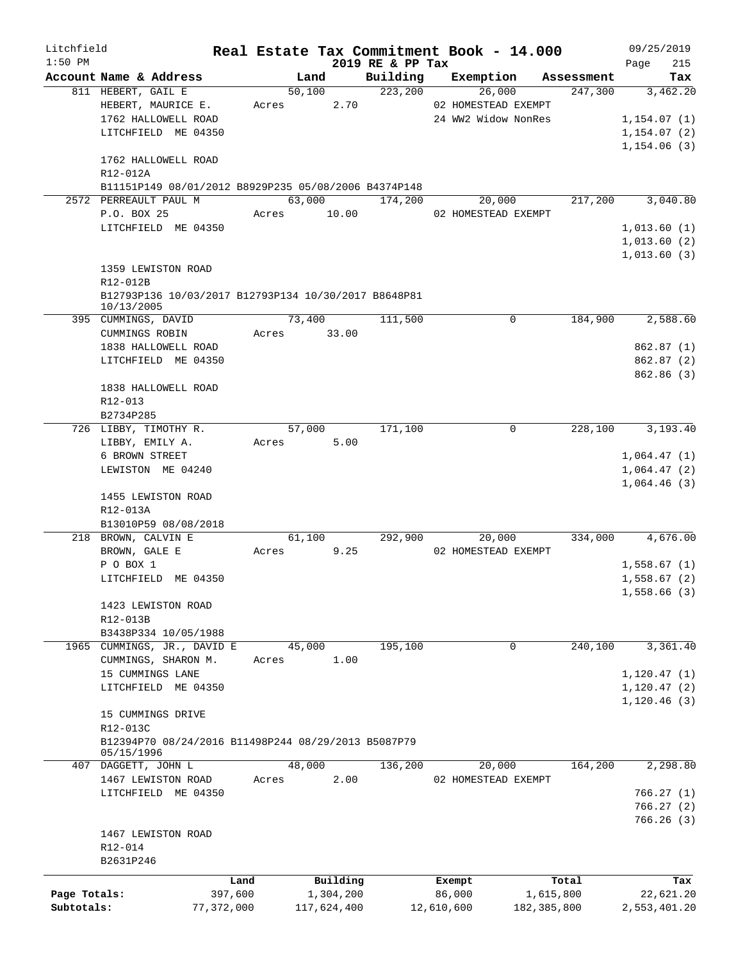| Litchfield                 |                                                                    |         |                |             | Real Estate Tax Commitment Book - 14.000 |            |                     |             |                       |                            | 09/25/2019      |
|----------------------------|--------------------------------------------------------------------|---------|----------------|-------------|------------------------------------------|------------|---------------------|-------------|-----------------------|----------------------------|-----------------|
| $1:50$ PM                  | Account Name & Address                                             |         |                |             | 2019 RE & PP Tax                         |            |                     |             |                       | Page                       | 215             |
|                            | 811 HEBERT, GAIL E                                                 |         | Land<br>50,100 |             | Building<br>223,200                      |            | Exemption<br>26,000 |             | Assessment<br>247,300 |                            | Tax<br>3,462.20 |
|                            | HEBERT, MAURICE E.                                                 |         | Acres          | 2.70        |                                          |            | 02 HOMESTEAD EXEMPT |             |                       |                            |                 |
|                            | 1762 HALLOWELL ROAD                                                |         |                |             |                                          |            | 24 WW2 Widow NonRes |             |                       | 1, 154.07(1)               |                 |
|                            | LITCHFIELD ME 04350                                                |         |                |             |                                          |            |                     |             |                       | 1, 154.07(2)               |                 |
|                            |                                                                    |         |                |             |                                          |            |                     |             |                       | 1,154.06(3)                |                 |
|                            | 1762 HALLOWELL ROAD                                                |         |                |             |                                          |            |                     |             |                       |                            |                 |
|                            | R12-012A                                                           |         |                |             |                                          |            |                     |             |                       |                            |                 |
|                            | B11151P149 08/01/2012 B8929P235 05/08/2006 B4374P148               |         |                |             |                                          |            |                     |             |                       |                            |                 |
|                            | 2572 PERREAULT PAUL M                                              |         |                |             | 63,000 174,200                           |            | 20,000              |             | 217,200               |                            | 3,040.80        |
|                            | P.O. BOX 25<br>LITCHFIELD ME 04350                                 |         |                | Acres 10.00 |                                          |            | 02 HOMESTEAD EXEMPT |             |                       | 1,013.60(1)                |                 |
|                            |                                                                    |         |                |             |                                          |            |                     |             |                       | 1,013.60(2)                |                 |
|                            |                                                                    |         |                |             |                                          |            |                     |             |                       | 1,013.60(3)                |                 |
|                            | 1359 LEWISTON ROAD                                                 |         |                |             |                                          |            |                     |             |                       |                            |                 |
|                            | R12-012B                                                           |         |                |             |                                          |            |                     |             |                       |                            |                 |
|                            | B12793P136 10/03/2017 B12793P134 10/30/2017 B8648P81<br>10/13/2005 |         |                |             |                                          |            |                     |             |                       |                            |                 |
|                            | 395 CUMMINGS, DAVID                                                |         | 73,400         |             | 111,500                                  |            | $\mathbf 0$         |             | 184,900               |                            | 2,588.60        |
|                            | CUMMINGS ROBIN                                                     | Acres   |                | 33.00       |                                          |            |                     |             |                       |                            |                 |
|                            | 1838 HALLOWELL ROAD                                                |         |                |             |                                          |            |                     |             |                       |                            | 862.87(1)       |
|                            | LITCHFIELD ME 04350                                                |         |                |             |                                          |            |                     |             |                       |                            | 862.87(2)       |
|                            |                                                                    |         |                |             |                                          |            |                     |             |                       |                            | 862.86 (3)      |
|                            | 1838 HALLOWELL ROAD                                                |         |                |             |                                          |            |                     |             |                       |                            |                 |
|                            | R12-013<br>B2734P285                                               |         |                |             |                                          |            |                     |             |                       |                            |                 |
|                            | 726 LIBBY, TIMOTHY R.                                              |         | 57,000         |             | 171,100                                  |            | 0                   |             | 228,100               |                            | 3,193.40        |
|                            | LIBBY, EMILY A.                                                    | Acres   |                | 5.00        |                                          |            |                     |             |                       |                            |                 |
|                            | 6 BROWN STREET                                                     |         |                |             |                                          |            |                     |             |                       | 1,064.47(1)                |                 |
|                            | LEWISTON ME 04240                                                  |         |                |             |                                          |            |                     |             |                       | 1,064.47(2)                |                 |
|                            |                                                                    |         |                |             |                                          |            |                     |             |                       | 1,064.46(3)                |                 |
|                            | 1455 LEWISTON ROAD                                                 |         |                |             |                                          |            |                     |             |                       |                            |                 |
|                            | R12-013A                                                           |         |                |             |                                          |            |                     |             |                       |                            |                 |
|                            | B13010P59 08/08/2018                                               |         |                |             |                                          |            |                     |             |                       |                            |                 |
|                            | 218 BROWN, CALVIN E                                                |         | 61,100         |             | 292,900                                  |            | 20,000              |             | 334,000               |                            | 4,676.00        |
|                            | BROWN, GALE E                                                      | Acres   |                | 9.25        |                                          |            | 02 HOMESTEAD EXEMPT |             |                       |                            |                 |
|                            | P O BOX 1<br>LITCHFIELD ME 04350                                   |         |                |             |                                          |            |                     |             |                       | 1,558.67(1)<br>1,558.67(2) |                 |
|                            |                                                                    |         |                |             |                                          |            |                     |             |                       | 1,558.66(3)                |                 |
|                            | 1423 LEWISTON ROAD                                                 |         |                |             |                                          |            |                     |             |                       |                            |                 |
|                            | R12-013B                                                           |         |                |             |                                          |            |                     |             |                       |                            |                 |
|                            | B3438P334 10/05/1988                                               |         |                |             |                                          |            |                     |             |                       |                            |                 |
|                            | 1965 CUMMINGS, JR., DAVID E                                        |         | 45,000         |             | 195,100                                  |            | 0                   |             | 240,100               |                            | 3,361.40        |
|                            | CUMMINGS, SHARON M.                                                | Acres   |                | 1.00        |                                          |            |                     |             |                       |                            |                 |
|                            | 15 CUMMINGS LANE                                                   |         |                |             |                                          |            |                     |             |                       | 1, 120.47(1)               |                 |
|                            | LITCHFIELD ME 04350                                                |         |                |             |                                          |            |                     |             |                       | 1,120.47(2)                |                 |
|                            |                                                                    |         |                |             |                                          |            |                     |             |                       | 1,120.46(3)                |                 |
|                            | 15 CUMMINGS DRIVE                                                  |         |                |             |                                          |            |                     |             |                       |                            |                 |
|                            | R12-013C<br>B12394P70 08/24/2016 B11498P244 08/29/2013 B5087P79    |         |                |             |                                          |            |                     |             |                       |                            |                 |
|                            | 05/15/1996                                                         |         |                |             |                                          |            |                     |             |                       |                            |                 |
|                            | 407 DAGGETT, JOHN L                                                |         | 48,000         |             | 136,200                                  |            | 20,000              |             | 164,200               |                            | 2,298.80        |
|                            | 1467 LEWISTON ROAD                                                 | Acres   |                | 2.00        |                                          |            | 02 HOMESTEAD EXEMPT |             |                       |                            |                 |
|                            | LITCHFIELD ME 04350                                                |         |                |             |                                          |            |                     |             |                       |                            | 766.27(1)       |
|                            |                                                                    |         |                |             |                                          |            |                     |             |                       |                            | 766.27(2)       |
|                            |                                                                    |         |                |             |                                          |            |                     |             |                       |                            | 766.26(3)       |
|                            | 1467 LEWISTON ROAD                                                 |         |                |             |                                          |            |                     |             |                       |                            |                 |
|                            | R12-014<br>B2631P246                                               |         |                |             |                                          |            |                     |             |                       |                            |                 |
|                            |                                                                    |         |                |             |                                          |            |                     |             |                       |                            |                 |
|                            |                                                                    | Land    |                | Building    |                                          |            | Exempt              |             | Total                 |                            | Tax             |
| Page Totals:<br>Subtotals: |                                                                    | 397,600 |                | 1,304,200   |                                          |            | 86,000              | 1,615,800   |                       |                            | 22,621.20       |
|                            | 77,372,000                                                         |         |                | 117,624,400 |                                          | 12,610,600 |                     | 182,385,800 |                       | 2,553,401.20               |                 |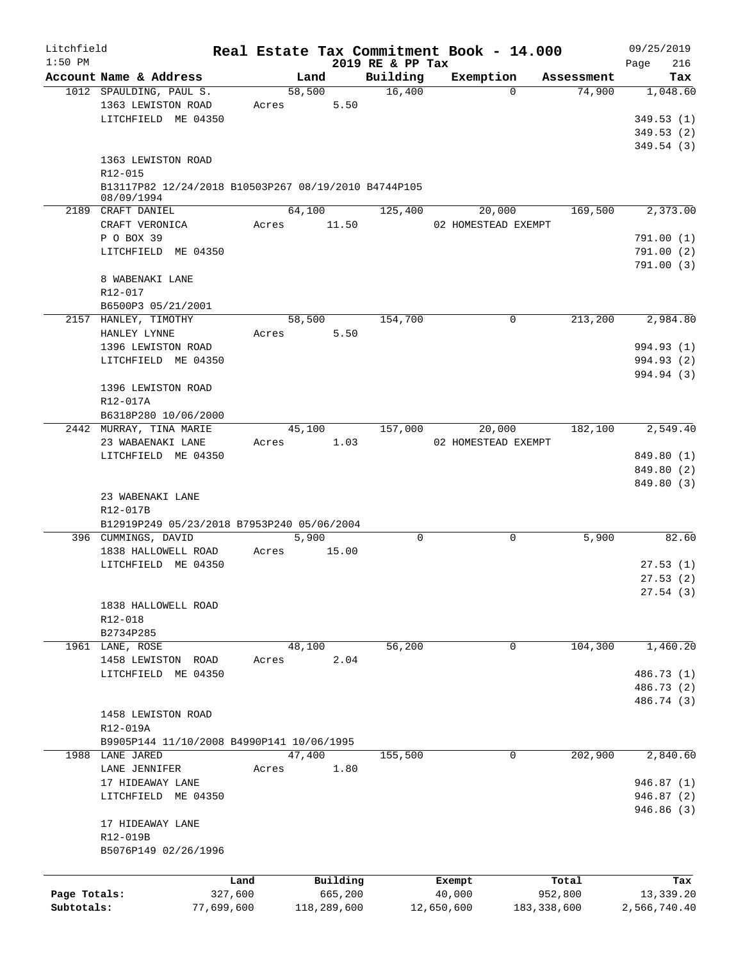| Litchfield   |                                                                    | Real Estate Tax Commitment Book - 14.000 |                              |                     |               | 09/25/2019             |
|--------------|--------------------------------------------------------------------|------------------------------------------|------------------------------|---------------------|---------------|------------------------|
| $1:50$ PM    | Account Name & Address                                             | Land                                     | 2019 RE & PP Tax<br>Building | Exemption           | Assessment    | 216<br>Page<br>Tax     |
|              | 1012 SPAULDING, PAUL S.                                            | 58,500                                   | 16,400                       | $\Omega$            | 74,900        | 1,048.60               |
|              | 1363 LEWISTON ROAD                                                 | 5.50<br>Acres                            |                              |                     |               |                        |
|              | LITCHFIELD ME 04350                                                |                                          |                              |                     |               | 349.53(1)              |
|              |                                                                    |                                          |                              |                     |               | 349.53(2)              |
|              |                                                                    |                                          |                              |                     |               | 349.54(3)              |
|              | 1363 LEWISTON ROAD                                                 |                                          |                              |                     |               |                        |
|              | R12-015                                                            |                                          |                              |                     |               |                        |
|              | B13117P82 12/24/2018 B10503P267 08/19/2010 B4744P105<br>08/09/1994 |                                          |                              |                     |               |                        |
|              | 2189 CRAFT DANIEL                                                  | 64,100                                   | 125,400                      | 20,000              | 169,500       | 2,373.00               |
|              | CRAFT VERONICA                                                     | 11.50<br>Acres                           |                              | 02 HOMESTEAD EXEMPT |               |                        |
|              | P O BOX 39                                                         |                                          |                              |                     |               | 791.00(1)              |
|              | LITCHFIELD ME 04350                                                |                                          |                              |                     |               | 791.00(2)<br>791.00(3) |
|              | 8 WABENAKI LANE                                                    |                                          |                              |                     |               |                        |
|              | R12-017                                                            |                                          |                              |                     |               |                        |
|              | B6500P3 05/21/2001                                                 |                                          |                              |                     |               |                        |
|              | 2157 HANLEY, TIMOTHY                                               | 58,500                                   | 154,700                      | 0                   | 213,200       | 2,984.80               |
|              | HANLEY LYNNE                                                       | 5.50<br>Acres                            |                              |                     |               |                        |
|              | 1396 LEWISTON ROAD                                                 |                                          |                              |                     |               | 994.93 (1)             |
|              | LITCHFIELD ME 04350                                                |                                          |                              |                     |               | 994.93 (2)             |
|              |                                                                    |                                          |                              |                     |               | 994.94 (3)             |
|              | 1396 LEWISTON ROAD                                                 |                                          |                              |                     |               |                        |
|              | R12-017A                                                           |                                          |                              |                     |               |                        |
|              | B6318P280 10/06/2000                                               |                                          |                              |                     |               |                        |
|              | 2442 MURRAY, TINA MARIE                                            | 45,100                                   | 157,000                      | 20,000              | 182,100       | 2,549.40               |
|              | 23 WABAENAKI LANE                                                  | 1.03<br>Acres                            |                              | 02 HOMESTEAD EXEMPT |               |                        |
|              | LITCHFIELD ME 04350                                                |                                          |                              |                     |               | 849.80 (1)             |
|              |                                                                    |                                          |                              |                     |               | 849.80 (2)             |
|              | 23 WABENAKI LANE                                                   |                                          |                              |                     |               | 849.80 (3)             |
|              | R12-017B                                                           |                                          |                              |                     |               |                        |
|              | B12919P249 05/23/2018 B7953P240 05/06/2004                         |                                          |                              |                     |               |                        |
|              | 396 CUMMINGS, DAVID                                                | 5,900                                    | $\mathbf 0$                  | $\mathbf 0$         | 5,900         | 82.60                  |
|              | 1838 HALLOWELL ROAD                                                | 15.00<br>Acres                           |                              |                     |               |                        |
|              | LITCHFIELD ME 04350                                                |                                          |                              |                     |               | 27.53(1)               |
|              |                                                                    |                                          |                              |                     |               | 27.53(2)               |
|              |                                                                    |                                          |                              |                     |               | 27.54(3)               |
|              | 1838 HALLOWELL ROAD                                                |                                          |                              |                     |               |                        |
|              | R12-018                                                            |                                          |                              |                     |               |                        |
|              | B2734P285                                                          |                                          |                              |                     |               |                        |
|              | 1961 LANE, ROSE                                                    | 48,100                                   | 56,200                       | 0                   | 104,300       | 1,460.20               |
|              | 1458 LEWISTON ROAD                                                 | 2.04<br>Acres                            |                              |                     |               |                        |
|              | LITCHFIELD ME 04350                                                |                                          |                              |                     |               | 486.73 (1)             |
|              |                                                                    |                                          |                              |                     |               | 486.73 (2)             |
|              |                                                                    |                                          |                              |                     |               | 486.74 (3)             |
|              | 1458 LEWISTON ROAD                                                 |                                          |                              |                     |               |                        |
|              | R12-019A                                                           |                                          |                              |                     |               |                        |
|              | B9905P144 11/10/2008 B4990P141 10/06/1995                          |                                          |                              |                     |               |                        |
|              | 1988 LANE JARED                                                    | 47,400                                   | 155,500                      | $\mathbf 0$         | 202,900       | 2,840.60               |
|              | LANE JENNIFER                                                      | 1.80<br>Acres                            |                              |                     |               |                        |
|              | 17 HIDEAWAY LANE                                                   |                                          |                              |                     |               | 946.87(1)              |
|              | LITCHFIELD ME 04350                                                |                                          |                              |                     |               | 946.87(2)              |
|              |                                                                    |                                          |                              |                     |               | 946.86 (3)             |
|              | 17 HIDEAWAY LANE                                                   |                                          |                              |                     |               |                        |
|              | R12-019B                                                           |                                          |                              |                     |               |                        |
|              | B5076P149 02/26/1996                                               |                                          |                              |                     |               |                        |
|              |                                                                    |                                          |                              |                     |               |                        |
|              |                                                                    | Building<br>Land                         |                              | Exempt              | Total         | Tax                    |
| Page Totals: | 327,600                                                            | 665,200                                  |                              | 40,000              | 952,800       | 13,339.20              |
| Subtotals:   | 77,699,600                                                         | 118,289,600                              |                              | 12,650,600          | 183, 338, 600 | 2,566,740.40           |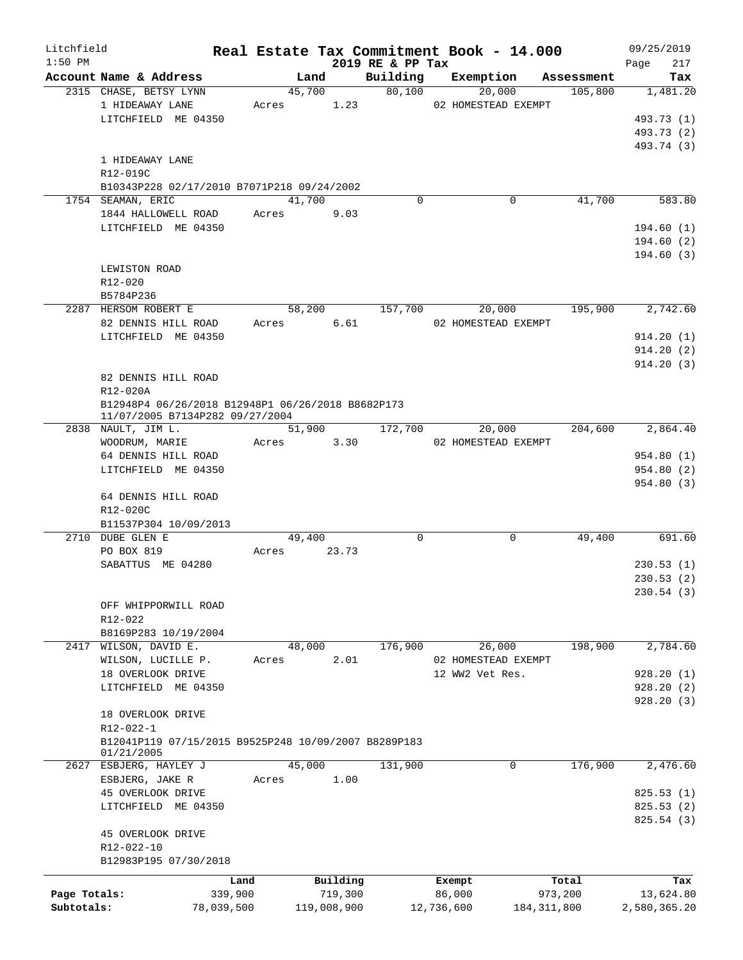| Litchfield   |                                                               |        |             |                              | Real Estate Tax Commitment Book - 14.000 |               | 09/25/2019         |  |  |  |  |  |
|--------------|---------------------------------------------------------------|--------|-------------|------------------------------|------------------------------------------|---------------|--------------------|--|--|--|--|--|
| $1:50$ PM    | Account Name & Address                                        |        | Land        | 2019 RE & PP Tax<br>Building | Exemption                                | Assessment    | 217<br>Page<br>Tax |  |  |  |  |  |
|              | 2315 CHASE, BETSY LYNN                                        | 45,700 |             | 80,100                       | 20,000                                   | 105,800       | 1,481.20           |  |  |  |  |  |
|              | 1 HIDEAWAY LANE                                               | Acres  | 1.23        |                              | 02 HOMESTEAD EXEMPT                      |               |                    |  |  |  |  |  |
|              | LITCHFIELD ME 04350                                           |        |             |                              |                                          |               | 493.73 (1)         |  |  |  |  |  |
|              |                                                               |        |             |                              |                                          |               | 493.73 (2)         |  |  |  |  |  |
|              |                                                               |        |             |                              |                                          |               | 493.74 (3)         |  |  |  |  |  |
|              | 1 HIDEAWAY LANE                                               |        |             |                              |                                          |               |                    |  |  |  |  |  |
|              | R12-019C                                                      |        |             |                              |                                          |               |                    |  |  |  |  |  |
|              | B10343P228 02/17/2010 B7071P218 09/24/2002                    |        |             |                              |                                          |               |                    |  |  |  |  |  |
|              | 1754 SEAMAN, ERIC                                             | 41,700 |             | $\Omega$                     | 0                                        | 41,700        | 583.80             |  |  |  |  |  |
|              | 1844 HALLOWELL ROAD                                           | Acres  | 9.03        |                              |                                          |               |                    |  |  |  |  |  |
|              | LITCHFIELD ME 04350                                           |        |             |                              |                                          |               | 194.60(1)          |  |  |  |  |  |
|              |                                                               |        |             |                              |                                          |               | 194.60(2)          |  |  |  |  |  |
|              |                                                               |        |             |                              |                                          |               | 194.60(3)          |  |  |  |  |  |
|              | LEWISTON ROAD                                                 |        |             |                              |                                          |               |                    |  |  |  |  |  |
|              | R12-020                                                       |        |             |                              |                                          |               |                    |  |  |  |  |  |
|              | B5784P236                                                     |        |             |                              |                                          |               |                    |  |  |  |  |  |
|              | 2287 HERSOM ROBERT E                                          | 58,200 |             | 157,700                      |                                          | 195,900       | 2,742.60           |  |  |  |  |  |
|              |                                                               |        |             |                              | 20,000                                   |               |                    |  |  |  |  |  |
|              | 82 DENNIS HILL ROAD                                           | Acres  | 6.61        |                              | 02 HOMESTEAD EXEMPT                      |               |                    |  |  |  |  |  |
|              | LITCHFIELD ME 04350                                           |        |             |                              |                                          |               | 914.20(1)          |  |  |  |  |  |
|              |                                                               |        |             |                              |                                          |               | 914.20(2)          |  |  |  |  |  |
|              |                                                               |        |             |                              |                                          |               | 914.20(3)          |  |  |  |  |  |
|              | 82 DENNIS HILL ROAD                                           |        |             |                              |                                          |               |                    |  |  |  |  |  |
|              | R12-020A<br>B12948P4 06/26/2018 B12948P1 06/26/2018 B8682P173 |        |             |                              |                                          |               |                    |  |  |  |  |  |
|              |                                                               |        |             |                              |                                          |               |                    |  |  |  |  |  |
|              | 11/07/2005 B7134P282 09/27/2004                               |        |             |                              |                                          |               |                    |  |  |  |  |  |
|              | $2838$ NAULT, JIM L.                                          |        | 51,900      | 172,700                      | 20,000                                   | 204,600       | 2,864.40           |  |  |  |  |  |
|              | WOODRUM, MARIE                                                | Acres  | 3.30        |                              | 02 HOMESTEAD EXEMPT                      |               |                    |  |  |  |  |  |
|              | 64 DENNIS HILL ROAD                                           |        |             |                              |                                          |               | 954.80 (1)         |  |  |  |  |  |
|              | LITCHFIELD ME 04350                                           |        |             |                              |                                          |               | 954.80 (2)         |  |  |  |  |  |
|              |                                                               |        |             |                              |                                          |               | 954.80 (3)         |  |  |  |  |  |
|              | 64 DENNIS HILL ROAD                                           |        |             |                              |                                          |               |                    |  |  |  |  |  |
|              | R12-020C                                                      |        |             |                              |                                          |               |                    |  |  |  |  |  |
|              | B11537P304 10/09/2013                                         |        |             |                              |                                          |               |                    |  |  |  |  |  |
|              | 2710 DUBE GLEN E                                              | 49,400 |             | $\mathbf 0$                  | $\mathbf 0$                              | 49,400        | 691.60             |  |  |  |  |  |
|              | PO BOX 819                                                    | Acres  | 23.73       |                              |                                          |               |                    |  |  |  |  |  |
|              | SABATTUS ME 04280                                             |        |             |                              |                                          |               | 230.53(1)          |  |  |  |  |  |
|              |                                                               |        |             |                              |                                          |               | 230.53(2)          |  |  |  |  |  |
|              |                                                               |        |             |                              |                                          |               | 230.54(3)          |  |  |  |  |  |
|              | OFF WHIPPORWILL ROAD                                          |        |             |                              |                                          |               |                    |  |  |  |  |  |
|              | R12-022                                                       |        |             |                              |                                          |               |                    |  |  |  |  |  |
|              | B8169P283 10/19/2004                                          |        |             |                              |                                          |               |                    |  |  |  |  |  |
|              | 2417 WILSON, DAVID E.                                         | 48,000 |             | 176,900                      | 26,000                                   | 198,900       | 2,784.60           |  |  |  |  |  |
|              | WILSON, LUCILLE P.                                            | Acres  | 2.01        |                              | 02 HOMESTEAD EXEMPT                      |               |                    |  |  |  |  |  |
|              | 18 OVERLOOK DRIVE                                             |        |             |                              | 12 WW2 Vet Res.                          |               | 928.20 (1)         |  |  |  |  |  |
|              | LITCHFIELD ME 04350                                           |        |             |                              |                                          |               | 928.20(2)          |  |  |  |  |  |
|              |                                                               |        |             |                              |                                          |               | 928.20(3)          |  |  |  |  |  |
|              | 18 OVERLOOK DRIVE                                             |        |             |                              |                                          |               |                    |  |  |  |  |  |
|              | R12-022-1                                                     |        |             |                              |                                          |               |                    |  |  |  |  |  |
|              | B12041P119 07/15/2015 B9525P248 10/09/2007 B8289P183          |        |             |                              |                                          |               |                    |  |  |  |  |  |
|              | 01/21/2005                                                    |        |             |                              |                                          |               |                    |  |  |  |  |  |
|              | 2627 ESBJERG, HAYLEY J                                        | 45,000 |             | 131,900                      | 0                                        | 176,900       | 2,476.60           |  |  |  |  |  |
|              | ESBJERG, JAKE R                                               | Acres  | 1.00        |                              |                                          |               |                    |  |  |  |  |  |
|              | 45 OVERLOOK DRIVE                                             |        |             |                              |                                          |               | 825.53(1)          |  |  |  |  |  |
|              | LITCHFIELD ME 04350                                           |        |             |                              |                                          |               | 825.53(2)          |  |  |  |  |  |
|              |                                                               |        |             |                              |                                          |               | 825.54(3)          |  |  |  |  |  |
|              | 45 OVERLOOK DRIVE                                             |        |             |                              |                                          |               |                    |  |  |  |  |  |
|              | R12-022-10                                                    |        |             |                              |                                          |               |                    |  |  |  |  |  |
|              | B12983P195 07/30/2018                                         |        |             |                              |                                          |               |                    |  |  |  |  |  |
|              | Land                                                          |        | Building    |                              | Exempt                                   | Total         | Tax                |  |  |  |  |  |
| Page Totals: | 339,900                                                       |        | 719,300     |                              | 86,000                                   | 973,200       | 13,624.80          |  |  |  |  |  |
| Subtotals:   | 78,039,500                                                    |        | 119,008,900 |                              | 12,736,600                               | 184, 311, 800 | 2,580,365.20       |  |  |  |  |  |
|              |                                                               |        |             |                              |                                          |               |                    |  |  |  |  |  |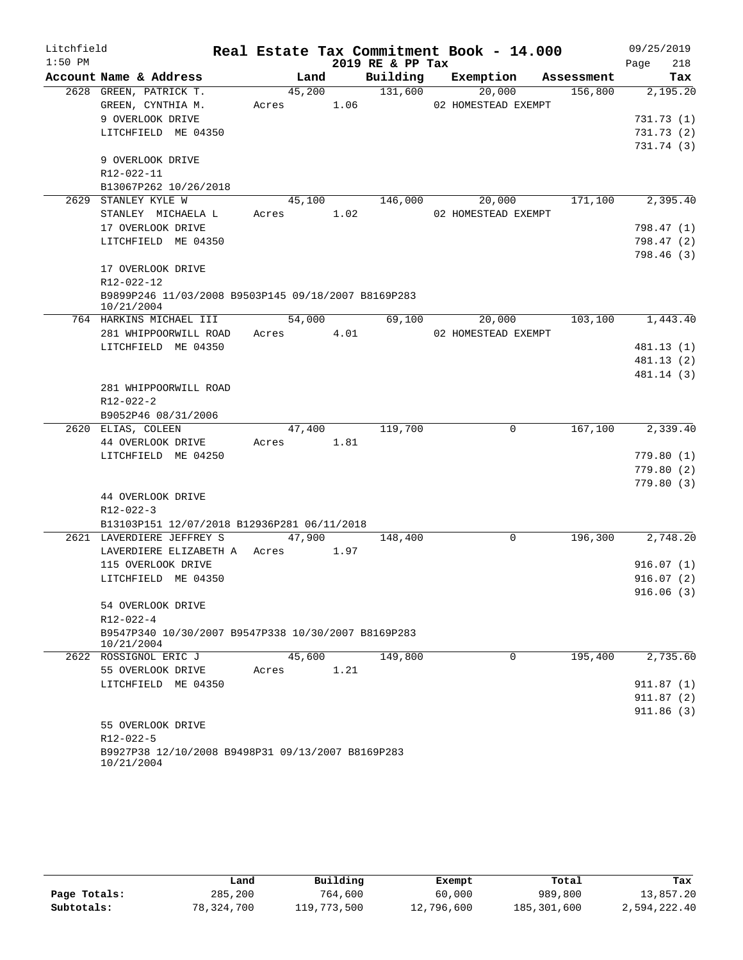| Litchfield |                                                                          |       |            |      | Real Estate Tax Commitment Book - 14.000 |                     |            | 09/25/2019  |
|------------|--------------------------------------------------------------------------|-------|------------|------|------------------------------------------|---------------------|------------|-------------|
| $1:50$ PM  |                                                                          |       |            |      | 2019 RE & PP Tax                         |                     |            | 218<br>Page |
|            | Account Name & Address                                                   |       | Land       |      | Building                                 | Exemption           | Assessment | Tax         |
|            | 2628 GREEN, PATRICK T.                                                   |       | 45,200     |      | 131,600                                  | 20,000              | 156,800    | 2,195.20    |
|            | GREEN, CYNTHIA M.                                                        |       | Acres 1.06 |      |                                          | 02 HOMESTEAD EXEMPT |            |             |
|            | 9 OVERLOOK DRIVE                                                         |       |            |      |                                          |                     |            | 731.73 (1)  |
|            | LITCHFIELD ME 04350                                                      |       |            |      |                                          |                     |            | 731.73(2)   |
|            |                                                                          |       |            |      |                                          |                     |            | 731.74 (3)  |
|            | 9 OVERLOOK DRIVE                                                         |       |            |      |                                          |                     |            |             |
|            | R12-022-11                                                               |       |            |      |                                          |                     |            |             |
|            | B13067P262 10/26/2018                                                    |       |            |      |                                          |                     |            |             |
|            | 2629 STANLEY KYLE W                                                      |       | 45,100     |      | 146,000                                  | 20,000              | 171,100    | 2,395.40    |
|            | STANLEY MICHAELA L                                                       | Acres |            | 1.02 |                                          | 02 HOMESTEAD EXEMPT |            |             |
|            | 17 OVERLOOK DRIVE                                                        |       |            |      |                                          |                     |            | 798.47 (1)  |
|            | LITCHFIELD ME 04350                                                      |       |            |      |                                          |                     |            | 798.47 (2)  |
|            | 17 OVERLOOK DRIVE                                                        |       |            |      |                                          |                     |            | 798.46 (3)  |
|            | R12-022-12                                                               |       |            |      |                                          |                     |            |             |
|            | B9899P246 11/03/2008 B9503P145 09/18/2007 B8169P283                      |       |            |      |                                          |                     |            |             |
|            | 10/21/2004                                                               |       |            |      |                                          |                     |            |             |
|            | 764 HARKINS MICHAEL III                                                  |       | 54,000     |      | 69,100                                   | 20,000              | 103,100    | 1,443.40    |
|            | 281 WHIPPOORWILL ROAD                                                    | Acres |            | 4.01 |                                          | 02 HOMESTEAD EXEMPT |            |             |
|            | LITCHFIELD ME 04350                                                      |       |            |      |                                          |                     |            | 481.13 (1)  |
|            |                                                                          |       |            |      |                                          |                     |            | 481.13 (2)  |
|            |                                                                          |       |            |      |                                          |                     |            | 481.14 (3)  |
|            | 281 WHIPPOORWILL ROAD                                                    |       |            |      |                                          |                     |            |             |
|            | $R12 - 022 - 2$                                                          |       |            |      |                                          |                     |            |             |
|            | B9052P46 08/31/2006                                                      |       |            |      |                                          |                     |            |             |
|            | 2620 ELIAS, COLEEN                                                       |       | 47,400     |      | 119,700                                  | 0                   | 167,100    | 2,339.40    |
|            | 44 OVERLOOK DRIVE                                                        | Acres |            | 1.81 |                                          |                     |            |             |
|            | LITCHFIELD ME 04250                                                      |       |            |      |                                          |                     |            | 779.80 (1)  |
|            |                                                                          |       |            |      |                                          |                     |            | 779.80 (2)  |
|            |                                                                          |       |            |      |                                          |                     |            | 779.80 (3)  |
|            | 44 OVERLOOK DRIVE                                                        |       |            |      |                                          |                     |            |             |
|            | $R12 - 022 - 3$                                                          |       |            |      |                                          |                     |            |             |
|            | B13103P151 12/07/2018 B12936P281 06/11/2018<br>2621 LAVERDIERE JEFFREY S |       | 47,900     |      | 148,400                                  | 0                   | 196,300    | 2,748.20    |
|            | LAVERDIERE ELIZABETH A Acres                                             |       |            | 1.97 |                                          |                     |            |             |
|            | 115 OVERLOOK DRIVE                                                       |       |            |      |                                          |                     |            | 916.07(1)   |
|            | LITCHFIELD ME 04350                                                      |       |            |      |                                          |                     |            | 916.07(2)   |
|            |                                                                          |       |            |      |                                          |                     |            | 916.06(3)   |
|            | 54 OVERLOOK DRIVE                                                        |       |            |      |                                          |                     |            |             |
|            | $R12 - 022 - 4$                                                          |       |            |      |                                          |                     |            |             |
|            | B9547P340 10/30/2007 B9547P338 10/30/2007 B8169P283<br>10/21/2004        |       |            |      |                                          |                     |            |             |
|            | 2622 ROSSIGNOL ERIC J                                                    |       | 45,600     |      | 149,800                                  | 0                   | 195,400    | 2,735.60    |
|            | 55 OVERLOOK DRIVE                                                        | Acres |            | 1.21 |                                          |                     |            |             |
|            | LITCHFIELD ME 04350                                                      |       |            |      |                                          |                     |            | 911.87(1)   |
|            |                                                                          |       |            |      |                                          |                     |            | 911.87 (2)  |
|            |                                                                          |       |            |      |                                          |                     |            | 911.86(3)   |
|            | 55 OVERLOOK DRIVE                                                        |       |            |      |                                          |                     |            |             |
|            | R12-022-5                                                                |       |            |      |                                          |                     |            |             |
|            | B9927P38 12/10/2008 B9498P31 09/13/2007 B8169P283<br>10/21/2004          |       |            |      |                                          |                     |            |             |

|              | Land       | Building    | Exempt     | Total       | Tax          |
|--------------|------------|-------------|------------|-------------|--------------|
| Page Totals: | 285,200    | 764,600     | 60,000     | 989,800     | 13,857.20    |
| Subtotals:   | 78,324,700 | 119,773,500 | 12,796,600 | 185,301,600 | 2,594,222.40 |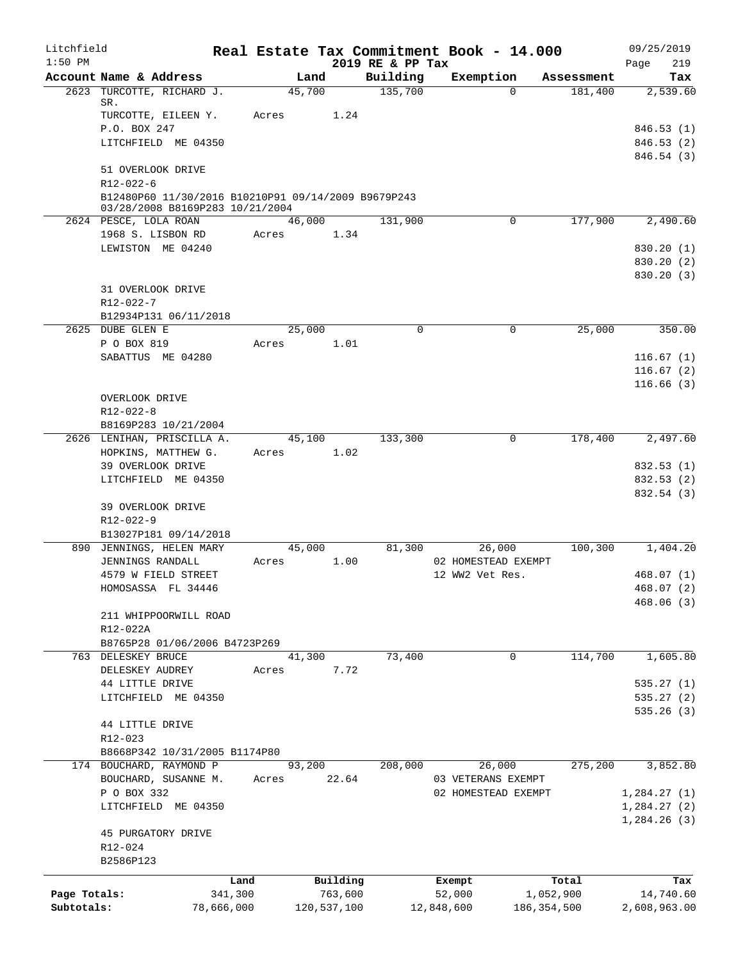| Litchfield                 |                                                          |                       |       |        |                        |                              | Real Estate Tax Commitment Book - 14.000 |                            |            | 09/25/2019                |            |
|----------------------------|----------------------------------------------------------|-----------------------|-------|--------|------------------------|------------------------------|------------------------------------------|----------------------------|------------|---------------------------|------------|
| $1:50$ PM                  | Account Name & Address                                   |                       |       | Land   |                        | 2019 RE & PP Tax<br>Building | Exemption                                |                            | Assessment | Page                      | 219<br>Tax |
|                            | 2623 TURCOTTE, RICHARD J.                                |                       |       | 45,700 |                        | 135,700                      |                                          | $\Omega$                   | 181,400    | 2,539.60                  |            |
|                            | SR.                                                      |                       |       |        |                        |                              |                                          |                            |            |                           |            |
|                            | TURCOTTE, EILEEN Y.<br>P.O. BOX 247                      |                       | Acres |        | 1.24                   |                              |                                          |                            |            | 846.53 (1)                |            |
|                            | LITCHFIELD ME 04350                                      |                       |       |        |                        |                              |                                          |                            |            | 846.53(2)                 |            |
|                            |                                                          |                       |       |        |                        |                              |                                          |                            |            | 846.54 (3)                |            |
|                            | 51 OVERLOOK DRIVE                                        |                       |       |        |                        |                              |                                          |                            |            |                           |            |
|                            | $R12 - 022 - 6$                                          |                       |       |        |                        |                              |                                          |                            |            |                           |            |
|                            | B12480P60 11/30/2016 B10210P91 09/14/2009 B9679P243      |                       |       |        |                        |                              |                                          |                            |            |                           |            |
|                            | 03/28/2008 B8169P283 10/21/2004<br>2624 PESCE, LOLA ROAN |                       |       | 46,000 |                        | 131,900                      |                                          | $\mathbf 0$                | 177,900    | 2,490.60                  |            |
|                            | 1968 S. LISBON RD                                        |                       | Acres |        | 1.34                   |                              |                                          |                            |            |                           |            |
|                            | LEWISTON ME 04240                                        |                       |       |        |                        |                              |                                          |                            |            | 830.20 (1)                |            |
|                            |                                                          |                       |       |        |                        |                              |                                          |                            |            | 830.20 (2)                |            |
|                            |                                                          |                       |       |        |                        |                              |                                          |                            |            | 830.20 (3)                |            |
|                            | 31 OVERLOOK DRIVE                                        |                       |       |        |                        |                              |                                          |                            |            |                           |            |
|                            | $R12 - 022 - 7$                                          |                       |       |        |                        |                              |                                          |                            |            |                           |            |
|                            | B12934P131 06/11/2018                                    |                       |       |        |                        |                              |                                          |                            |            |                           |            |
|                            | 2625 DUBE GLEN E<br>P O BOX 819                          |                       |       | 25,000 | 1.01                   | $\Omega$                     | 0                                        |                            | 25,000     |                           | 350.00     |
|                            | SABATTUS ME 04280                                        |                       | Acres |        |                        |                              |                                          |                            |            | 116.67(1)                 |            |
|                            |                                                          |                       |       |        |                        |                              |                                          |                            |            | 116.67(2)                 |            |
|                            |                                                          |                       |       |        |                        |                              |                                          |                            |            | 116.66(3)                 |            |
|                            | OVERLOOK DRIVE                                           |                       |       |        |                        |                              |                                          |                            |            |                           |            |
|                            | R12-022-8                                                |                       |       |        |                        |                              |                                          |                            |            |                           |            |
|                            | B8169P283 10/21/2004                                     |                       |       |        |                        |                              |                                          |                            |            |                           |            |
|                            | 2626 LENIHAN, PRISCILLA A.                               |                       |       | 45,100 |                        | 133,300                      | 0                                        |                            | 178,400    | 2,497.60                  |            |
|                            | HOPKINS, MATTHEW G.                                      |                       | Acres |        | 1.02                   |                              |                                          |                            |            |                           |            |
|                            | 39 OVERLOOK DRIVE                                        |                       |       |        |                        |                              |                                          |                            |            | 832.53 (1)                |            |
|                            | LITCHFIELD ME 04350                                      |                       |       |        |                        |                              |                                          |                            |            | 832.53 (2)<br>832.54 (3)  |            |
|                            | 39 OVERLOOK DRIVE                                        |                       |       |        |                        |                              |                                          |                            |            |                           |            |
|                            | R12-022-9                                                |                       |       |        |                        |                              |                                          |                            |            |                           |            |
|                            | B13027P181 09/14/2018                                    |                       |       |        |                        |                              |                                          |                            |            |                           |            |
|                            | 890 JENNINGS, HELEN MARY                                 |                       |       | 45,000 |                        | 81,300                       | 26,000                                   |                            | 100,300    | 1,404.20                  |            |
|                            | JENNINGS RANDALL                                         |                       | Acres |        | 1.00                   |                              | 02 HOMESTEAD EXEMPT                      |                            |            |                           |            |
|                            | 4579 W FIELD STREET                                      |                       |       |        |                        |                              | 12 WW2 Vet Res.                          |                            |            | 468.07(1)                 |            |
|                            | HOMOSASSA FL 34446                                       |                       |       |        |                        |                              |                                          |                            |            | 468.07 (2)                |            |
|                            | 211 WHIPPOORWILL ROAD                                    |                       |       |        |                        |                              |                                          |                            |            | 468.06(3)                 |            |
|                            | R12-022A                                                 |                       |       |        |                        |                              |                                          |                            |            |                           |            |
|                            | B8765P28 01/06/2006 B4723P269                            |                       |       |        |                        |                              |                                          |                            |            |                           |            |
|                            | 763 DELESKEY BRUCE                                       |                       |       | 41,300 |                        | 73,400                       | $\mathbf 0$                              |                            | 114,700    | 1,605.80                  |            |
|                            | DELESKEY AUDREY                                          |                       | Acres |        | 7.72                   |                              |                                          |                            |            |                           |            |
|                            | 44 LITTLE DRIVE                                          |                       |       |        |                        |                              |                                          |                            |            | 535.27(1)                 |            |
|                            | LITCHFIELD ME 04350                                      |                       |       |        |                        |                              |                                          |                            |            | 535.27(2)                 |            |
|                            | 44 LITTLE DRIVE                                          |                       |       |        |                        |                              |                                          |                            |            | 535.26(3)                 |            |
|                            | R12-023                                                  |                       |       |        |                        |                              |                                          |                            |            |                           |            |
|                            | B8668P342 10/31/2005 B1174P80                            |                       |       |        |                        |                              |                                          |                            |            |                           |            |
|                            | 174 BOUCHARD, RAYMOND P                                  |                       |       | 93,200 |                        | 208,000                      | 26,000                                   |                            | 275,200    | 3,852.80                  |            |
|                            | BOUCHARD, SUSANNE M.                                     |                       | Acres |        | 22.64                  |                              | 03 VETERANS EXEMPT                       |                            |            |                           |            |
|                            | P O BOX 332                                              |                       |       |        |                        |                              | 02 HOMESTEAD EXEMPT                      |                            |            | 1,284.27(1)               |            |
|                            | LITCHFIELD ME 04350                                      |                       |       |        |                        |                              |                                          |                            |            | 1,284.27(2)               |            |
|                            |                                                          |                       |       |        |                        |                              |                                          |                            |            | 1,284.26(3)               |            |
|                            | 45 PURGATORY DRIVE                                       |                       |       |        |                        |                              |                                          |                            |            |                           |            |
|                            | R12-024<br>B2586P123                                     |                       |       |        |                        |                              |                                          |                            |            |                           |            |
|                            |                                                          |                       |       |        |                        |                              |                                          |                            |            |                           |            |
|                            |                                                          | Land                  |       |        | Building               |                              | Exempt                                   |                            | Total      |                           | Tax        |
| Page Totals:<br>Subtotals: |                                                          | 341,300<br>78,666,000 |       |        | 763,600<br>120,537,100 |                              | 52,000<br>12,848,600                     | 1,052,900<br>186, 354, 500 |            | 14,740.60<br>2,608,963.00 |            |
|                            |                                                          |                       |       |        |                        |                              |                                          |                            |            |                           |            |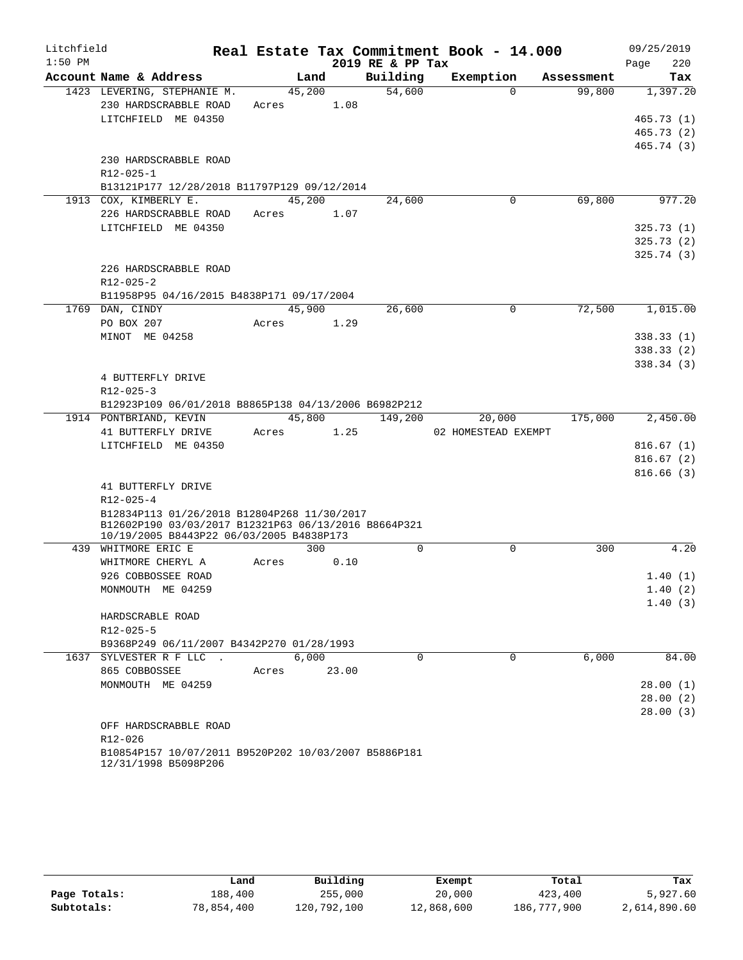| Litchfield |                                                                                                     |       |        |       |                  | Real Estate Tax Commitment Book - 14.000 |            | 09/25/2019  |
|------------|-----------------------------------------------------------------------------------------------------|-------|--------|-------|------------------|------------------------------------------|------------|-------------|
| $1:50$ PM  |                                                                                                     |       |        |       | 2019 RE & PP Tax |                                          |            | 220<br>Page |
|            | Account Name & Address                                                                              |       | Land   |       | Building         | Exemption                                | Assessment | Tax         |
|            | 1423 LEVERING, STEPHANIE M.                                                                         |       | 45,200 |       | 54,600           | $\Omega$                                 | 99,800     | 1,397.20    |
|            | 230 HARDSCRABBLE ROAD                                                                               | Acres |        | 1.08  |                  |                                          |            |             |
|            | LITCHFIELD ME 04350                                                                                 |       |        |       |                  |                                          |            | 465.73(1)   |
|            |                                                                                                     |       |        |       |                  |                                          |            | 465.73(2)   |
|            |                                                                                                     |       |        |       |                  |                                          |            | 465.74 (3)  |
|            | 230 HARDSCRABBLE ROAD                                                                               |       |        |       |                  |                                          |            |             |
|            | R12-025-1                                                                                           |       |        |       |                  |                                          |            |             |
|            | B13121P177 12/28/2018 B11797P129 09/12/2014<br>1913 COX, KIMBERLY E.                                |       | 45,200 |       | 24,600           | 0                                        | 69,800     | 977.20      |
|            | 226 HARDSCRABBLE ROAD                                                                               | Acres |        | 1.07  |                  |                                          |            |             |
|            | LITCHFIELD ME 04350                                                                                 |       |        |       |                  |                                          |            | 325.73(1)   |
|            |                                                                                                     |       |        |       |                  |                                          |            | 325.73(2)   |
|            |                                                                                                     |       |        |       |                  |                                          |            | 325.74(3)   |
|            | 226 HARDSCRABBLE ROAD                                                                               |       |        |       |                  |                                          |            |             |
|            | $R12 - 025 - 2$                                                                                     |       |        |       |                  |                                          |            |             |
|            | B11958P95 04/16/2015 B4838P171 09/17/2004                                                           |       |        |       |                  |                                          |            |             |
|            | 1769 DAN, CINDY                                                                                     |       | 45,900 |       | 26,600           | $\Omega$                                 | 72,500     | 1,015.00    |
|            | PO BOX 207                                                                                          | Acres |        | 1.29  |                  |                                          |            |             |
|            | MINOT ME 04258                                                                                      |       |        |       |                  |                                          |            | 338.33(1)   |
|            |                                                                                                     |       |        |       |                  |                                          |            | 338.33(2)   |
|            |                                                                                                     |       |        |       |                  |                                          |            | 338.34(3)   |
|            | 4 BUTTERFLY DRIVE                                                                                   |       |        |       |                  |                                          |            |             |
|            | R12-025-3                                                                                           |       |        |       |                  |                                          |            |             |
|            | B12923P109 06/01/2018 B8865P138 04/13/2006 B6982P212                                                |       |        |       |                  |                                          |            |             |
|            | 1914 PONTBRIAND, KEVIN                                                                              |       | 45,800 |       | 149,200          | 20,000                                   | 175,000    | 2,450.00    |
|            | 41 BUTTERFLY DRIVE                                                                                  | Acres |        | 1.25  |                  | 02 HOMESTEAD EXEMPT                      |            |             |
|            | LITCHFIELD ME 04350                                                                                 |       |        |       |                  |                                          |            | 816.67(1)   |
|            |                                                                                                     |       |        |       |                  |                                          |            | 816.67(2)   |
|            |                                                                                                     |       |        |       |                  |                                          |            | 816.66(3)   |
|            | 41 BUTTERFLY DRIVE                                                                                  |       |        |       |                  |                                          |            |             |
|            | $R12 - 025 - 4$                                                                                     |       |        |       |                  |                                          |            |             |
|            | B12834P113 01/26/2018 B12804P268 11/30/2017<br>B12602P190 03/03/2017 B12321P63 06/13/2016 B8664P321 |       |        |       |                  |                                          |            |             |
|            | 10/19/2005 B8443P22 06/03/2005 B4838P173                                                            |       |        |       |                  |                                          |            |             |
|            | 439 WHITMORE ERIC E                                                                                 |       | 300    |       | $\mathbf 0$      | 0                                        | 300        | 4.20        |
|            | WHITMORE CHERYL A                                                                                   | Acres |        | 0.10  |                  |                                          |            |             |
|            | 926 COBBOSSEE ROAD                                                                                  |       |        |       |                  |                                          |            | 1.40(1)     |
|            | MONMOUTH ME 04259                                                                                   |       |        |       |                  |                                          |            | 1.40(2)     |
|            |                                                                                                     |       |        |       |                  |                                          |            | 1.40(3)     |
|            | HARDSCRABLE ROAD                                                                                    |       |        |       |                  |                                          |            |             |
|            | $R12 - 025 - 5$                                                                                     |       |        |       |                  |                                          |            |             |
|            | B9368P249 06/11/2007 B4342P270 01/28/1993                                                           |       |        |       |                  |                                          |            |             |
|            | 1637 SYLVESTER R F LLC.                                                                             |       | 6,000  |       | $\Omega$         | $\Omega$                                 | 6,000      | 84.00       |
|            | 865 COBBOSSEE                                                                                       | Acres |        | 23.00 |                  |                                          |            |             |
|            | MONMOUTH ME 04259                                                                                   |       |        |       |                  |                                          |            | 28.00(1)    |
|            |                                                                                                     |       |        |       |                  |                                          |            | 28.00(2)    |
|            |                                                                                                     |       |        |       |                  |                                          |            | 28.00(3)    |
|            | OFF HARDSCRABBLE ROAD                                                                               |       |        |       |                  |                                          |            |             |
|            | R12-026                                                                                             |       |        |       |                  |                                          |            |             |
|            | B10854P157 10/07/2011 B9520P202 10/03/2007 B5886P181                                                |       |        |       |                  |                                          |            |             |

12/31/1998 B5098P206

|              | Land       | Building    | Exempt     | Total       | Tax          |
|--------------|------------|-------------|------------|-------------|--------------|
| Page Totals: | 188,400    | 255,000     | 20,000     | 423,400     | 5,927.60     |
| Subtotals:   | 78,854,400 | 120,792,100 | 12,868,600 | 186,777,900 | 2,614,890.60 |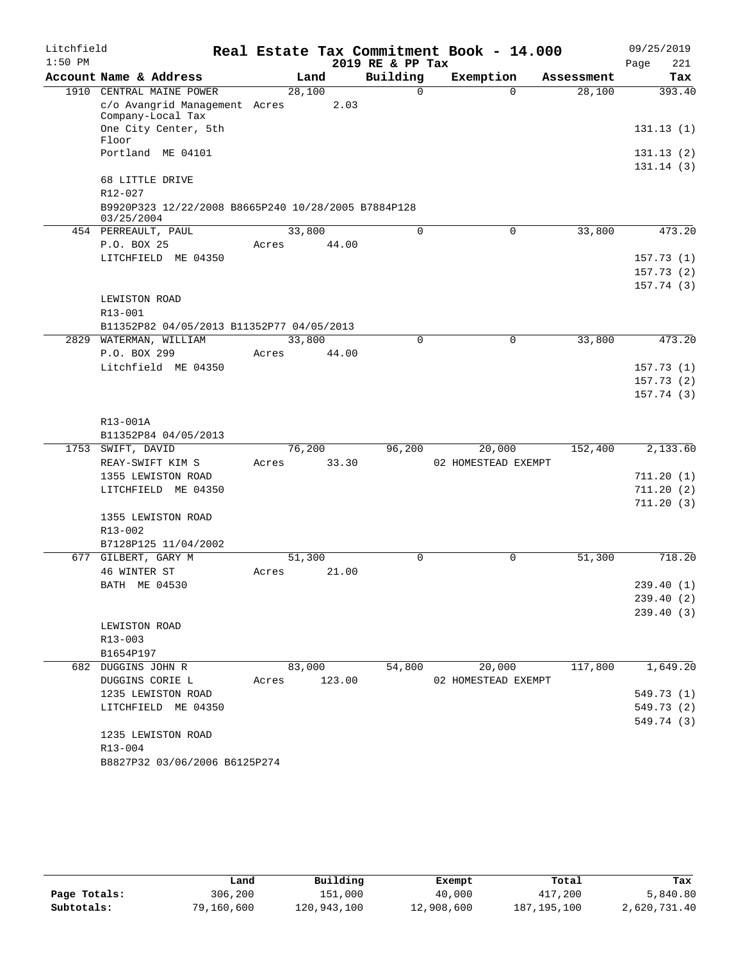| $1:50$ PM<br>2019 RE & PP Tax<br>221<br>Page<br>Building<br>Account Name & Address<br>Exemption<br>Land<br>Tax<br>Assessment<br>1910 CENTRAL MAINE POWER<br>28,100<br>$\Omega$<br>393.40<br>$\Omega$<br>28,100<br>c/o Avangrid Management Acres<br>2.03<br>Company-Local Tax<br>One City Center, 5th<br>131.13(1)<br>Floor<br>Portland ME 04101<br>131.13(2)<br>131.14(3)<br>68 LITTLE DRIVE<br>R12-027<br>B9920P323 12/22/2008 B8665P240 10/28/2005 B7884P128<br>03/25/2004<br>33,800<br>454 PERREAULT, PAUL<br>$\mathbf 0$<br>$\mathbf 0$<br>33,800<br>473.20<br>P.O. BOX 25<br>44.00<br>Acres<br>LITCHFIELD ME 04350<br>157.73(1)<br>157.73(2)<br>157.74(3)<br>LEWISTON ROAD<br>$R13 - 001$<br>B11352P82 04/05/2013 B11352P77 04/05/2013<br>2829 WATERMAN, WILLIAM<br>33,800<br>33,800<br>473.20<br>$\Omega$<br>0<br>P.O. BOX 299<br>44.00<br>Acres<br>Litchfield ME 04350<br>157.73(1)<br>157.73(2)<br>157.74(3)<br>R13-001A<br>B11352P84 04/05/2013<br>76,200<br>96,200<br>20,000<br>152,400<br>2,133.60<br>1753 SWIFT, DAVID<br>33.30<br>02 HOMESTEAD EXEMPT<br>REAY-SWIFT KIM S<br>Acres<br>1355 LEWISTON ROAD<br>711.20(1)<br>LITCHFIELD ME 04350<br>711.20(2)<br>711.20(3)<br>1355 LEWISTON ROAD<br>R13-002<br>B7128P125 11/04/2002<br>677 GILBERT, GARY M<br>51,300<br>51,300<br>718.20<br>$\Omega$<br>0<br>46 WINTER ST<br>21.00<br>Acres<br>BATH ME 04530<br>239.40 (1)<br>239.40(2)<br>239.40(3)<br>LEWISTON ROAD<br>R13-003<br>B1654P197<br>83,000<br>54,800<br>20,000<br>117,800<br>1,649.20<br>682 DUGGINS JOHN R<br>123.00<br>DUGGINS CORIE L<br>02 HOMESTEAD EXEMPT<br>Acres<br>1235 LEWISTON ROAD<br>549.73 (1)<br>549.73 (2)<br>LITCHFIELD ME 04350<br>549.74 (3)<br>1235 LEWISTON ROAD<br>R13-004<br>B8827P32 03/06/2006 B6125P274 | Litchfield |  |  |  | Real Estate Tax Commitment Book - 14.000 |  |  | 09/25/2019 |
|---------------------------------------------------------------------------------------------------------------------------------------------------------------------------------------------------------------------------------------------------------------------------------------------------------------------------------------------------------------------------------------------------------------------------------------------------------------------------------------------------------------------------------------------------------------------------------------------------------------------------------------------------------------------------------------------------------------------------------------------------------------------------------------------------------------------------------------------------------------------------------------------------------------------------------------------------------------------------------------------------------------------------------------------------------------------------------------------------------------------------------------------------------------------------------------------------------------------------------------------------------------------------------------------------------------------------------------------------------------------------------------------------------------------------------------------------------------------------------------------------------------------------------------------------------------------------------------------------------------------------------------------------------------------------------------------------------------------------------------------------------|------------|--|--|--|------------------------------------------|--|--|------------|
|                                                                                                                                                                                                                                                                                                                                                                                                                                                                                                                                                                                                                                                                                                                                                                                                                                                                                                                                                                                                                                                                                                                                                                                                                                                                                                                                                                                                                                                                                                                                                                                                                                                                                                                                                         |            |  |  |  |                                          |  |  |            |
|                                                                                                                                                                                                                                                                                                                                                                                                                                                                                                                                                                                                                                                                                                                                                                                                                                                                                                                                                                                                                                                                                                                                                                                                                                                                                                                                                                                                                                                                                                                                                                                                                                                                                                                                                         |            |  |  |  |                                          |  |  |            |
|                                                                                                                                                                                                                                                                                                                                                                                                                                                                                                                                                                                                                                                                                                                                                                                                                                                                                                                                                                                                                                                                                                                                                                                                                                                                                                                                                                                                                                                                                                                                                                                                                                                                                                                                                         |            |  |  |  |                                          |  |  |            |
|                                                                                                                                                                                                                                                                                                                                                                                                                                                                                                                                                                                                                                                                                                                                                                                                                                                                                                                                                                                                                                                                                                                                                                                                                                                                                                                                                                                                                                                                                                                                                                                                                                                                                                                                                         |            |  |  |  |                                          |  |  |            |
|                                                                                                                                                                                                                                                                                                                                                                                                                                                                                                                                                                                                                                                                                                                                                                                                                                                                                                                                                                                                                                                                                                                                                                                                                                                                                                                                                                                                                                                                                                                                                                                                                                                                                                                                                         |            |  |  |  |                                          |  |  |            |
|                                                                                                                                                                                                                                                                                                                                                                                                                                                                                                                                                                                                                                                                                                                                                                                                                                                                                                                                                                                                                                                                                                                                                                                                                                                                                                                                                                                                                                                                                                                                                                                                                                                                                                                                                         |            |  |  |  |                                          |  |  |            |
|                                                                                                                                                                                                                                                                                                                                                                                                                                                                                                                                                                                                                                                                                                                                                                                                                                                                                                                                                                                                                                                                                                                                                                                                                                                                                                                                                                                                                                                                                                                                                                                                                                                                                                                                                         |            |  |  |  |                                          |  |  |            |
|                                                                                                                                                                                                                                                                                                                                                                                                                                                                                                                                                                                                                                                                                                                                                                                                                                                                                                                                                                                                                                                                                                                                                                                                                                                                                                                                                                                                                                                                                                                                                                                                                                                                                                                                                         |            |  |  |  |                                          |  |  |            |
|                                                                                                                                                                                                                                                                                                                                                                                                                                                                                                                                                                                                                                                                                                                                                                                                                                                                                                                                                                                                                                                                                                                                                                                                                                                                                                                                                                                                                                                                                                                                                                                                                                                                                                                                                         |            |  |  |  |                                          |  |  |            |
|                                                                                                                                                                                                                                                                                                                                                                                                                                                                                                                                                                                                                                                                                                                                                                                                                                                                                                                                                                                                                                                                                                                                                                                                                                                                                                                                                                                                                                                                                                                                                                                                                                                                                                                                                         |            |  |  |  |                                          |  |  |            |
|                                                                                                                                                                                                                                                                                                                                                                                                                                                                                                                                                                                                                                                                                                                                                                                                                                                                                                                                                                                                                                                                                                                                                                                                                                                                                                                                                                                                                                                                                                                                                                                                                                                                                                                                                         |            |  |  |  |                                          |  |  |            |
|                                                                                                                                                                                                                                                                                                                                                                                                                                                                                                                                                                                                                                                                                                                                                                                                                                                                                                                                                                                                                                                                                                                                                                                                                                                                                                                                                                                                                                                                                                                                                                                                                                                                                                                                                         |            |  |  |  |                                          |  |  |            |
|                                                                                                                                                                                                                                                                                                                                                                                                                                                                                                                                                                                                                                                                                                                                                                                                                                                                                                                                                                                                                                                                                                                                                                                                                                                                                                                                                                                                                                                                                                                                                                                                                                                                                                                                                         |            |  |  |  |                                          |  |  |            |
|                                                                                                                                                                                                                                                                                                                                                                                                                                                                                                                                                                                                                                                                                                                                                                                                                                                                                                                                                                                                                                                                                                                                                                                                                                                                                                                                                                                                                                                                                                                                                                                                                                                                                                                                                         |            |  |  |  |                                          |  |  |            |
|                                                                                                                                                                                                                                                                                                                                                                                                                                                                                                                                                                                                                                                                                                                                                                                                                                                                                                                                                                                                                                                                                                                                                                                                                                                                                                                                                                                                                                                                                                                                                                                                                                                                                                                                                         |            |  |  |  |                                          |  |  |            |
|                                                                                                                                                                                                                                                                                                                                                                                                                                                                                                                                                                                                                                                                                                                                                                                                                                                                                                                                                                                                                                                                                                                                                                                                                                                                                                                                                                                                                                                                                                                                                                                                                                                                                                                                                         |            |  |  |  |                                          |  |  |            |
|                                                                                                                                                                                                                                                                                                                                                                                                                                                                                                                                                                                                                                                                                                                                                                                                                                                                                                                                                                                                                                                                                                                                                                                                                                                                                                                                                                                                                                                                                                                                                                                                                                                                                                                                                         |            |  |  |  |                                          |  |  |            |
|                                                                                                                                                                                                                                                                                                                                                                                                                                                                                                                                                                                                                                                                                                                                                                                                                                                                                                                                                                                                                                                                                                                                                                                                                                                                                                                                                                                                                                                                                                                                                                                                                                                                                                                                                         |            |  |  |  |                                          |  |  |            |
|                                                                                                                                                                                                                                                                                                                                                                                                                                                                                                                                                                                                                                                                                                                                                                                                                                                                                                                                                                                                                                                                                                                                                                                                                                                                                                                                                                                                                                                                                                                                                                                                                                                                                                                                                         |            |  |  |  |                                          |  |  |            |
|                                                                                                                                                                                                                                                                                                                                                                                                                                                                                                                                                                                                                                                                                                                                                                                                                                                                                                                                                                                                                                                                                                                                                                                                                                                                                                                                                                                                                                                                                                                                                                                                                                                                                                                                                         |            |  |  |  |                                          |  |  |            |
|                                                                                                                                                                                                                                                                                                                                                                                                                                                                                                                                                                                                                                                                                                                                                                                                                                                                                                                                                                                                                                                                                                                                                                                                                                                                                                                                                                                                                                                                                                                                                                                                                                                                                                                                                         |            |  |  |  |                                          |  |  |            |
|                                                                                                                                                                                                                                                                                                                                                                                                                                                                                                                                                                                                                                                                                                                                                                                                                                                                                                                                                                                                                                                                                                                                                                                                                                                                                                                                                                                                                                                                                                                                                                                                                                                                                                                                                         |            |  |  |  |                                          |  |  |            |
|                                                                                                                                                                                                                                                                                                                                                                                                                                                                                                                                                                                                                                                                                                                                                                                                                                                                                                                                                                                                                                                                                                                                                                                                                                                                                                                                                                                                                                                                                                                                                                                                                                                                                                                                                         |            |  |  |  |                                          |  |  |            |
|                                                                                                                                                                                                                                                                                                                                                                                                                                                                                                                                                                                                                                                                                                                                                                                                                                                                                                                                                                                                                                                                                                                                                                                                                                                                                                                                                                                                                                                                                                                                                                                                                                                                                                                                                         |            |  |  |  |                                          |  |  |            |
|                                                                                                                                                                                                                                                                                                                                                                                                                                                                                                                                                                                                                                                                                                                                                                                                                                                                                                                                                                                                                                                                                                                                                                                                                                                                                                                                                                                                                                                                                                                                                                                                                                                                                                                                                         |            |  |  |  |                                          |  |  |            |
|                                                                                                                                                                                                                                                                                                                                                                                                                                                                                                                                                                                                                                                                                                                                                                                                                                                                                                                                                                                                                                                                                                                                                                                                                                                                                                                                                                                                                                                                                                                                                                                                                                                                                                                                                         |            |  |  |  |                                          |  |  |            |
|                                                                                                                                                                                                                                                                                                                                                                                                                                                                                                                                                                                                                                                                                                                                                                                                                                                                                                                                                                                                                                                                                                                                                                                                                                                                                                                                                                                                                                                                                                                                                                                                                                                                                                                                                         |            |  |  |  |                                          |  |  |            |
|                                                                                                                                                                                                                                                                                                                                                                                                                                                                                                                                                                                                                                                                                                                                                                                                                                                                                                                                                                                                                                                                                                                                                                                                                                                                                                                                                                                                                                                                                                                                                                                                                                                                                                                                                         |            |  |  |  |                                          |  |  |            |
|                                                                                                                                                                                                                                                                                                                                                                                                                                                                                                                                                                                                                                                                                                                                                                                                                                                                                                                                                                                                                                                                                                                                                                                                                                                                                                                                                                                                                                                                                                                                                                                                                                                                                                                                                         |            |  |  |  |                                          |  |  |            |
|                                                                                                                                                                                                                                                                                                                                                                                                                                                                                                                                                                                                                                                                                                                                                                                                                                                                                                                                                                                                                                                                                                                                                                                                                                                                                                                                                                                                                                                                                                                                                                                                                                                                                                                                                         |            |  |  |  |                                          |  |  |            |
|                                                                                                                                                                                                                                                                                                                                                                                                                                                                                                                                                                                                                                                                                                                                                                                                                                                                                                                                                                                                                                                                                                                                                                                                                                                                                                                                                                                                                                                                                                                                                                                                                                                                                                                                                         |            |  |  |  |                                          |  |  |            |
|                                                                                                                                                                                                                                                                                                                                                                                                                                                                                                                                                                                                                                                                                                                                                                                                                                                                                                                                                                                                                                                                                                                                                                                                                                                                                                                                                                                                                                                                                                                                                                                                                                                                                                                                                         |            |  |  |  |                                          |  |  |            |
|                                                                                                                                                                                                                                                                                                                                                                                                                                                                                                                                                                                                                                                                                                                                                                                                                                                                                                                                                                                                                                                                                                                                                                                                                                                                                                                                                                                                                                                                                                                                                                                                                                                                                                                                                         |            |  |  |  |                                          |  |  |            |
|                                                                                                                                                                                                                                                                                                                                                                                                                                                                                                                                                                                                                                                                                                                                                                                                                                                                                                                                                                                                                                                                                                                                                                                                                                                                                                                                                                                                                                                                                                                                                                                                                                                                                                                                                         |            |  |  |  |                                          |  |  |            |
|                                                                                                                                                                                                                                                                                                                                                                                                                                                                                                                                                                                                                                                                                                                                                                                                                                                                                                                                                                                                                                                                                                                                                                                                                                                                                                                                                                                                                                                                                                                                                                                                                                                                                                                                                         |            |  |  |  |                                          |  |  |            |
|                                                                                                                                                                                                                                                                                                                                                                                                                                                                                                                                                                                                                                                                                                                                                                                                                                                                                                                                                                                                                                                                                                                                                                                                                                                                                                                                                                                                                                                                                                                                                                                                                                                                                                                                                         |            |  |  |  |                                          |  |  |            |
|                                                                                                                                                                                                                                                                                                                                                                                                                                                                                                                                                                                                                                                                                                                                                                                                                                                                                                                                                                                                                                                                                                                                                                                                                                                                                                                                                                                                                                                                                                                                                                                                                                                                                                                                                         |            |  |  |  |                                          |  |  |            |
|                                                                                                                                                                                                                                                                                                                                                                                                                                                                                                                                                                                                                                                                                                                                                                                                                                                                                                                                                                                                                                                                                                                                                                                                                                                                                                                                                                                                                                                                                                                                                                                                                                                                                                                                                         |            |  |  |  |                                          |  |  |            |
|                                                                                                                                                                                                                                                                                                                                                                                                                                                                                                                                                                                                                                                                                                                                                                                                                                                                                                                                                                                                                                                                                                                                                                                                                                                                                                                                                                                                                                                                                                                                                                                                                                                                                                                                                         |            |  |  |  |                                          |  |  |            |
|                                                                                                                                                                                                                                                                                                                                                                                                                                                                                                                                                                                                                                                                                                                                                                                                                                                                                                                                                                                                                                                                                                                                                                                                                                                                                                                                                                                                                                                                                                                                                                                                                                                                                                                                                         |            |  |  |  |                                          |  |  |            |
|                                                                                                                                                                                                                                                                                                                                                                                                                                                                                                                                                                                                                                                                                                                                                                                                                                                                                                                                                                                                                                                                                                                                                                                                                                                                                                                                                                                                                                                                                                                                                                                                                                                                                                                                                         |            |  |  |  |                                          |  |  |            |
|                                                                                                                                                                                                                                                                                                                                                                                                                                                                                                                                                                                                                                                                                                                                                                                                                                                                                                                                                                                                                                                                                                                                                                                                                                                                                                                                                                                                                                                                                                                                                                                                                                                                                                                                                         |            |  |  |  |                                          |  |  |            |
|                                                                                                                                                                                                                                                                                                                                                                                                                                                                                                                                                                                                                                                                                                                                                                                                                                                                                                                                                                                                                                                                                                                                                                                                                                                                                                                                                                                                                                                                                                                                                                                                                                                                                                                                                         |            |  |  |  |                                          |  |  |            |
|                                                                                                                                                                                                                                                                                                                                                                                                                                                                                                                                                                                                                                                                                                                                                                                                                                                                                                                                                                                                                                                                                                                                                                                                                                                                                                                                                                                                                                                                                                                                                                                                                                                                                                                                                         |            |  |  |  |                                          |  |  |            |
|                                                                                                                                                                                                                                                                                                                                                                                                                                                                                                                                                                                                                                                                                                                                                                                                                                                                                                                                                                                                                                                                                                                                                                                                                                                                                                                                                                                                                                                                                                                                                                                                                                                                                                                                                         |            |  |  |  |                                          |  |  |            |
|                                                                                                                                                                                                                                                                                                                                                                                                                                                                                                                                                                                                                                                                                                                                                                                                                                                                                                                                                                                                                                                                                                                                                                                                                                                                                                                                                                                                                                                                                                                                                                                                                                                                                                                                                         |            |  |  |  |                                          |  |  |            |
|                                                                                                                                                                                                                                                                                                                                                                                                                                                                                                                                                                                                                                                                                                                                                                                                                                                                                                                                                                                                                                                                                                                                                                                                                                                                                                                                                                                                                                                                                                                                                                                                                                                                                                                                                         |            |  |  |  |                                          |  |  |            |
|                                                                                                                                                                                                                                                                                                                                                                                                                                                                                                                                                                                                                                                                                                                                                                                                                                                                                                                                                                                                                                                                                                                                                                                                                                                                                                                                                                                                                                                                                                                                                                                                                                                                                                                                                         |            |  |  |  |                                          |  |  |            |

|              | Land       | Building    | Exempt     | Total         | Tax          |
|--------------|------------|-------------|------------|---------------|--------------|
| Page Totals: | 306,200    | 151,000     | 40,000     | 417,200       | 5,840.80     |
| Subtotals:   | 79,160,600 | 120,943,100 | 12,908,600 | 187, 195, 100 | 2,620,731.40 |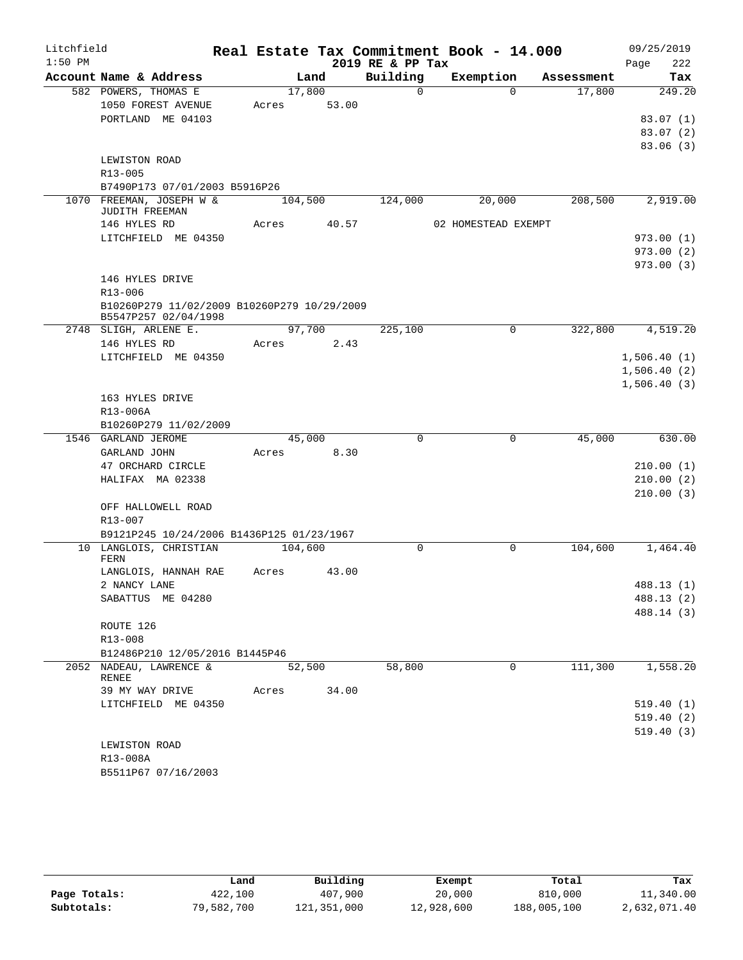| Litchfield |                                                            |         |                |                  | Real Estate Tax Commitment Book - 14.000 |          |            |      | 09/25/2019  |
|------------|------------------------------------------------------------|---------|----------------|------------------|------------------------------------------|----------|------------|------|-------------|
| $1:50$ PM  |                                                            |         |                | 2019 RE & PP Tax |                                          |          |            | Page | 222         |
|            | Account Name & Address                                     |         | Land           | Building         | Exemption                                |          | Assessment |      | Tax         |
|            | 582 POWERS, THOMAS E                                       | 17,800  |                | $\Omega$         |                                          | $\Omega$ | 17,800     |      | 249.20      |
|            | 1050 FOREST AVENUE                                         | Acres   | 53.00          |                  |                                          |          |            |      |             |
|            | PORTLAND ME 04103                                          |         |                |                  |                                          |          |            |      | 83.07(1)    |
|            |                                                            |         |                |                  |                                          |          |            |      | 83.07(2)    |
|            | LEWISTON ROAD                                              |         |                |                  |                                          |          |            |      | 83.06(3)    |
|            | R13-005                                                    |         |                |                  |                                          |          |            |      |             |
|            | B7490P173 07/01/2003 B5916P26                              |         |                |                  |                                          |          |            |      |             |
|            | 1070 FREEMAN, JOSEPH W &                                   | 104,500 |                | 124,000          | 20,000                                   |          | 208,500    |      | 2,919.00    |
|            | JUDITH FREEMAN                                             |         |                |                  |                                          |          |            |      |             |
|            | 146 HYLES RD                                               | Acres   | 40.57          |                  | 02 HOMESTEAD EXEMPT                      |          |            |      |             |
|            | LITCHFIELD ME 04350                                        |         |                |                  |                                          |          |            |      | 973.00(1)   |
|            |                                                            |         |                |                  |                                          |          |            |      | 973.00(2)   |
|            |                                                            |         |                |                  |                                          |          |            |      | 973.00(3)   |
|            | 146 HYLES DRIVE                                            |         |                |                  |                                          |          |            |      |             |
|            | $R13 - 006$<br>B10260P279 11/02/2009 B10260P279 10/29/2009 |         |                |                  |                                          |          |            |      |             |
|            | B5547P257 02/04/1998                                       |         |                |                  |                                          |          |            |      |             |
|            | 2748 SLIGH, ARLENE E.                                      | 97,700  |                | 225,100          |                                          | 0        | 322,800    |      | 4,519.20    |
|            | 146 HYLES RD                                               | Acres   | 2.43           |                  |                                          |          |            |      |             |
|            | LITCHFIELD ME 04350                                        |         |                |                  |                                          |          |            |      | 1,506.40(1) |
|            |                                                            |         |                |                  |                                          |          |            |      | 1,506.40(2) |
|            |                                                            |         |                |                  |                                          |          |            |      | 1,506.40(3) |
|            | 163 HYLES DRIVE                                            |         |                |                  |                                          |          |            |      |             |
|            | R13-006A                                                   |         |                |                  |                                          |          |            |      |             |
|            | B10260P279 11/02/2009<br>1546 GARLAND JEROME               |         |                | $\mathbf 0$      |                                          | 0        | 45,000     |      | 630.00      |
|            | GARLAND JOHN                                               | Acres   | 45,000<br>8.30 |                  |                                          |          |            |      |             |
|            | 47 ORCHARD CIRCLE                                          |         |                |                  |                                          |          |            |      | 210.00(1)   |
|            | HALIFAX MA 02338                                           |         |                |                  |                                          |          |            |      | 210.00(2)   |
|            |                                                            |         |                |                  |                                          |          |            |      | 210.00(3)   |
|            | OFF HALLOWELL ROAD                                         |         |                |                  |                                          |          |            |      |             |
|            | R13-007                                                    |         |                |                  |                                          |          |            |      |             |
|            | B9121P245 10/24/2006 B1436P125 01/23/1967                  |         |                |                  |                                          |          |            |      |             |
|            | 10 LANGLOIS, CHRISTIAN<br>FERN                             | 104,600 |                | $\mathbf 0$      |                                          | 0        | 104,600    |      | 1,464.40    |
|            | LANGLOIS, HANNAH RAE                                       | Acres   | 43.00          |                  |                                          |          |            |      |             |
|            | 2 NANCY LANE                                               |         |                |                  |                                          |          |            |      | 488.13 (1)  |
|            | SABATTUS ME 04280                                          |         |                |                  |                                          |          |            |      | 488.13 (2)  |
|            | ROUTE 126                                                  |         |                |                  |                                          |          |            |      | 488.14 (3)  |
|            | $R13 - 008$                                                |         |                |                  |                                          |          |            |      |             |
|            | B12486P210 12/05/2016 B1445P46                             |         |                |                  |                                          |          |            |      |             |
|            | 2052 NADEAU, LAWRENCE &                                    |         | 52,500         | 58,800           |                                          | $\Omega$ | 111,300    |      | 1,558.20    |
|            | RENEE                                                      |         |                |                  |                                          |          |            |      |             |
|            | 39 MY WAY DRIVE                                            | Acres   | 34.00          |                  |                                          |          |            |      |             |
|            | LITCHFIELD ME 04350                                        |         |                |                  |                                          |          |            |      | 519.40(1)   |
|            |                                                            |         |                |                  |                                          |          |            |      | 519.40(2)   |
|            |                                                            |         |                |                  |                                          |          |            |      | 519.40(3)   |
|            | LEWISTON ROAD<br>R13-008A                                  |         |                |                  |                                          |          |            |      |             |
|            | B5511P67 07/16/2003                                        |         |                |                  |                                          |          |            |      |             |
|            |                                                            |         |                |                  |                                          |          |            |      |             |

|              | Land       | Building    | Exempt     | Total       | Tax          |
|--------------|------------|-------------|------------|-------------|--------------|
| Page Totals: | 422,100    | 407,900     | 20,000     | 810,000     | 11,340.00    |
| Subtotals:   | 79,582,700 | 121,351,000 | 12,928,600 | 188,005,100 | 2,632,071.40 |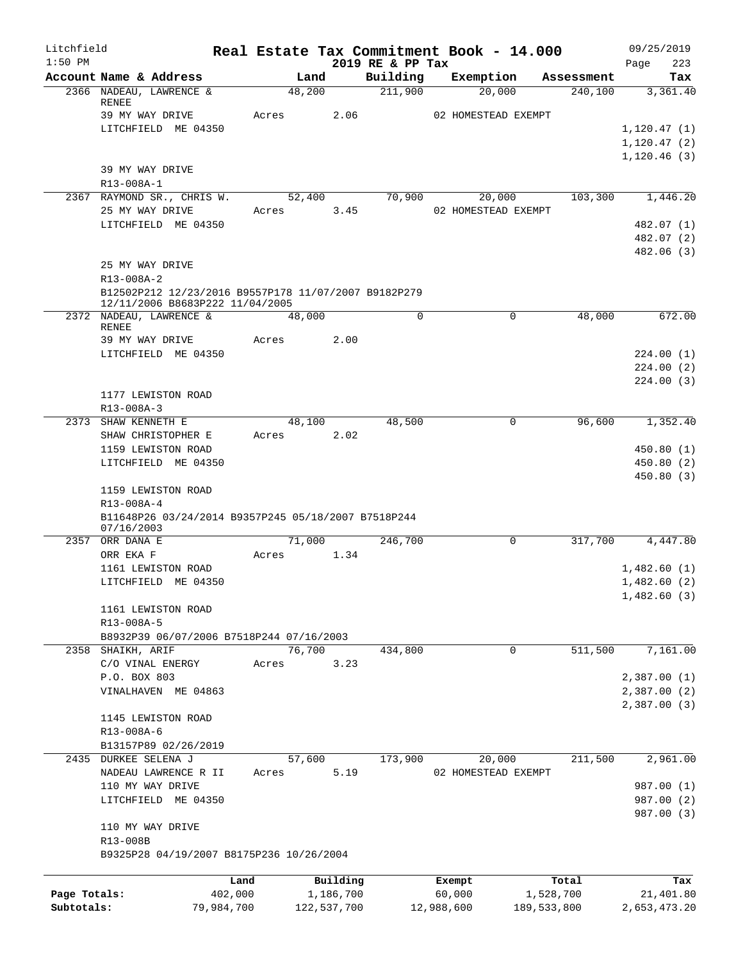| Litchfield   |                                                                                         |            |                |                |                              | Real Estate Tax Commitment Book - 14.000 |                       | 09/25/2019      |
|--------------|-----------------------------------------------------------------------------------------|------------|----------------|----------------|------------------------------|------------------------------------------|-----------------------|-----------------|
| $1:50$ PM    |                                                                                         |            |                |                | 2019 RE & PP Tax<br>Building |                                          |                       | 223<br>Page     |
|              | Account Name & Address<br>2366 NADEAU, LAWRENCE &                                       |            | Land<br>48,200 |                | 211,900                      | Exemption<br>20,000                      | Assessment<br>240,100 | Tax<br>3,361.40 |
|              | RENEE                                                                                   |            |                |                |                              |                                          |                       |                 |
|              | 39 MY WAY DRIVE                                                                         |            | Acres          | 2.06           |                              | 02 HOMESTEAD EXEMPT                      |                       |                 |
|              | LITCHFIELD ME 04350                                                                     |            |                |                |                              |                                          |                       | 1,120.47(1)     |
|              |                                                                                         |            |                |                |                              |                                          |                       | 1, 120.47(2)    |
|              |                                                                                         |            |                |                |                              |                                          |                       | 1, 120.46(3)    |
|              | 39 MY WAY DRIVE                                                                         |            |                |                |                              |                                          |                       |                 |
|              | R13-008A-1                                                                              |            |                |                |                              |                                          |                       |                 |
|              | 2367 RAYMOND SR., CHRIS W.<br>25 MY WAY DRIVE                                           |            | Acres          | 52,400<br>3.45 | 70,900                       | 20,000<br>02 HOMESTEAD EXEMPT            | 103,300               | 1,446.20        |
|              | LITCHFIELD ME 04350                                                                     |            |                |                |                              |                                          |                       | 482.07 (1)      |
|              |                                                                                         |            |                |                |                              |                                          |                       | 482.07 (2)      |
|              |                                                                                         |            |                |                |                              |                                          |                       | 482.06 (3)      |
|              | 25 MY WAY DRIVE                                                                         |            |                |                |                              |                                          |                       |                 |
|              | R13-008A-2                                                                              |            |                |                |                              |                                          |                       |                 |
|              | B12502P212 12/23/2016 B9557P178 11/07/2007 B9182P279<br>12/11/2006 B8683P222 11/04/2005 |            |                |                |                              |                                          |                       |                 |
|              | 2372 NADEAU, LAWRENCE &<br><b>RENEE</b>                                                 |            | 48,000         |                | $\Omega$                     | $\Omega$                                 | 48,000                | 672.00          |
|              | 39 MY WAY DRIVE                                                                         |            | Acres          | 2.00           |                              |                                          |                       |                 |
|              | LITCHFIELD ME 04350                                                                     |            |                |                |                              |                                          |                       | 224.00(1)       |
|              |                                                                                         |            |                |                |                              |                                          |                       | 224.00(2)       |
|              |                                                                                         |            |                |                |                              |                                          |                       | 224.00(3)       |
|              | 1177 LEWISTON ROAD                                                                      |            |                |                |                              |                                          |                       |                 |
|              | R13-008A-3                                                                              |            |                |                |                              |                                          |                       |                 |
|              | 2373 SHAW KENNETH E                                                                     |            | 48,100         |                | 48,500                       | 0                                        | 96,600                | 1,352.40        |
|              | SHAW CHRISTOPHER E                                                                      |            | Acres          | 2.02           |                              |                                          |                       |                 |
|              | 1159 LEWISTON ROAD                                                                      |            |                |                |                              |                                          |                       | 450.80(1)       |
|              | LITCHFIELD ME 04350                                                                     |            |                |                |                              |                                          |                       | 450.80(2)       |
|              | 1159 LEWISTON ROAD<br>R13-008A-4                                                        |            |                |                |                              |                                          |                       | 450.80(3)       |
|              | B11648P26 03/24/2014 B9357P245 05/18/2007 B7518P244<br>07/16/2003                       |            |                |                |                              |                                          |                       |                 |
| 2357         | ORR DANA E                                                                              |            | 71,000         |                | 246,700                      | 0                                        | 317,700               | 4,447.80        |
|              | ORR EKA F                                                                               |            | Acres          | 1.34           |                              |                                          |                       |                 |
|              | 1161 LEWISTON ROAD                                                                      |            |                |                |                              |                                          |                       | 1,482.60(1)     |
|              | LITCHFIELD ME 04350                                                                     |            |                |                |                              |                                          |                       | 1,482.60(2)     |
|              |                                                                                         |            |                |                |                              |                                          |                       | 1,482.60(3)     |
|              | 1161 LEWISTON ROAD                                                                      |            |                |                |                              |                                          |                       |                 |
|              | R13-008A-5                                                                              |            |                |                |                              |                                          |                       |                 |
|              | B8932P39 06/07/2006 B7518P244 07/16/2003                                                |            |                |                |                              |                                          |                       |                 |
|              | 2358 SHAIKH, ARIF                                                                       |            | 76,700         |                | 434,800                      | 0                                        | 511,500               | 7,161.00        |
|              | C/O VINAL ENERGY<br>P.O. BOX 803                                                        |            | Acres          | 3.23           |                              |                                          |                       | 2,387.00(1)     |
|              | VINALHAVEN ME 04863                                                                     |            |                |                |                              |                                          |                       | 2,387.00(2)     |
|              |                                                                                         |            |                |                |                              |                                          |                       | 2,387.00(3)     |
|              | 1145 LEWISTON ROAD                                                                      |            |                |                |                              |                                          |                       |                 |
|              | R13-008A-6                                                                              |            |                |                |                              |                                          |                       |                 |
|              | B13157P89 02/26/2019                                                                    |            |                |                |                              |                                          |                       |                 |
|              | 2435 DURKEE SELENA J                                                                    |            | 57,600         |                | 173,900                      | 20,000                                   | 211,500               | 2,961.00        |
|              | NADEAU LAWRENCE R II                                                                    |            | Acres          | 5.19           |                              | 02 HOMESTEAD EXEMPT                      |                       |                 |
|              | 110 MY WAY DRIVE                                                                        |            |                |                |                              |                                          |                       | 987.00 (1)      |
|              | LITCHFIELD ME 04350                                                                     |            |                |                |                              |                                          |                       | 987.00 (2)      |
|              | 110 MY WAY DRIVE                                                                        |            |                |                |                              |                                          |                       | 987.00 (3)      |
|              | R13-008B                                                                                |            |                |                |                              |                                          |                       |                 |
|              | B9325P28 04/19/2007 B8175P236 10/26/2004                                                |            |                |                |                              |                                          |                       |                 |
|              |                                                                                         | Land       |                | Building       |                              | Exempt                                   | Total                 | Tax             |
| Page Totals: |                                                                                         | 402,000    |                | 1,186,700      |                              | 60,000                                   | 1,528,700             | 21,401.80       |
| Subtotals:   |                                                                                         | 79,984,700 |                | 122,537,700    |                              | 12,988,600                               | 189,533,800           | 2,653,473.20    |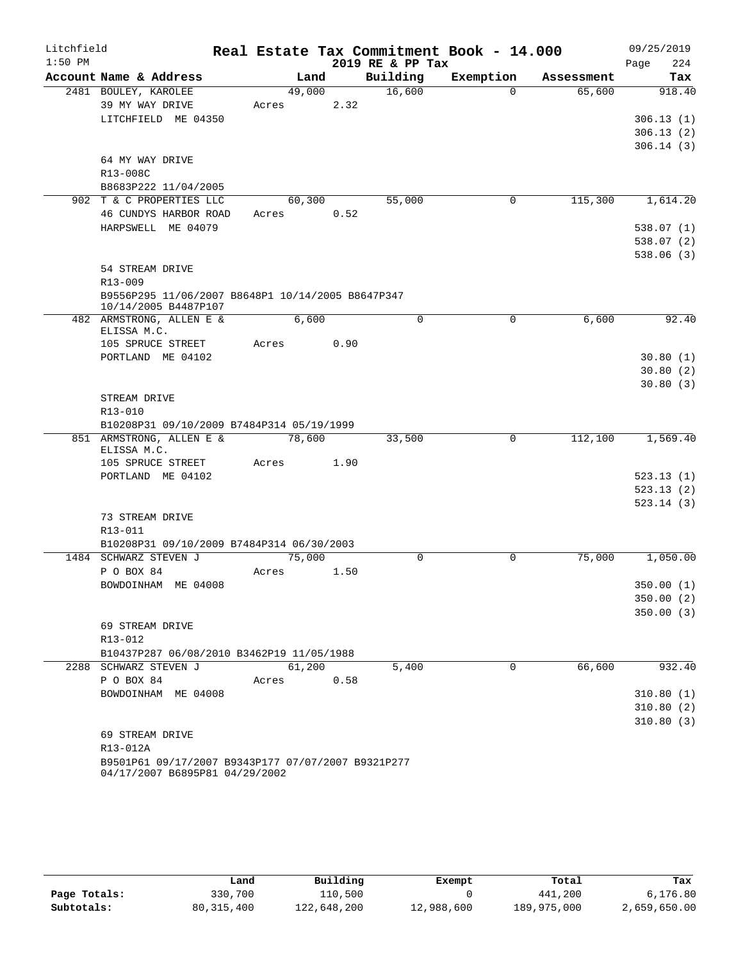| Litchfield |                                                                                      |       |        |      |                  | Real Estate Tax Commitment Book - 14.000 |            | 09/25/2019             |
|------------|--------------------------------------------------------------------------------------|-------|--------|------|------------------|------------------------------------------|------------|------------------------|
| $1:50$ PM  |                                                                                      |       |        |      | 2019 RE & PP Tax |                                          |            | 224<br>Page            |
|            | Account Name & Address                                                               |       | Land   |      | Building         | Exemption                                | Assessment | Tax                    |
|            | 2481 BOULEY, KAROLEE                                                                 |       | 49,000 |      | 16,600           | $\Omega$                                 | 65,600     | 918.40                 |
|            | 39 MY WAY DRIVE                                                                      | Acres |        | 2.32 |                  |                                          |            |                        |
|            | LITCHFIELD ME 04350                                                                  |       |        |      |                  |                                          |            | 306.13(1)              |
|            |                                                                                      |       |        |      |                  |                                          |            | 306.13(2)              |
|            | 64 MY WAY DRIVE                                                                      |       |        |      |                  |                                          |            | 306.14(3)              |
|            | R13-008C                                                                             |       |        |      |                  |                                          |            |                        |
|            | B8683P222 11/04/2005                                                                 |       |        |      |                  |                                          |            |                        |
|            | 902 T & C PROPERTIES LLC                                                             |       | 60,300 |      | 55,000           | 0                                        | 115,300    | 1,614.20               |
|            | 46 CUNDYS HARBOR ROAD                                                                | Acres |        | 0.52 |                  |                                          |            |                        |
|            | HARPSWELL ME 04079                                                                   |       |        |      |                  |                                          |            | 538.07(1)              |
|            |                                                                                      |       |        |      |                  |                                          |            | 538.07(2)              |
|            |                                                                                      |       |        |      |                  |                                          |            | 538.06(3)              |
|            | 54 STREAM DRIVE                                                                      |       |        |      |                  |                                          |            |                        |
|            | R13-009                                                                              |       |        |      |                  |                                          |            |                        |
|            | B9556P295 11/06/2007 B8648P1 10/14/2005 B8647P347                                    |       |        |      |                  |                                          |            |                        |
|            | 10/14/2005 B4487P107<br>482 ARMSTRONG, ALLEN E &                                     |       | 6,600  |      | $\mathbf 0$      | $\mathbf 0$                              | 6,600      | 92.40                  |
|            | ELISSA M.C.                                                                          |       |        |      |                  |                                          |            |                        |
|            | 105 SPRUCE STREET                                                                    | Acres |        | 0.90 |                  |                                          |            |                        |
|            | PORTLAND ME 04102                                                                    |       |        |      |                  |                                          |            | 30.80(1)               |
|            |                                                                                      |       |        |      |                  |                                          |            | 30.80(2)               |
|            |                                                                                      |       |        |      |                  |                                          |            | 30.80(3)               |
|            | STREAM DRIVE                                                                         |       |        |      |                  |                                          |            |                        |
|            | R13-010                                                                              |       |        |      |                  |                                          |            |                        |
|            | B10208P31 09/10/2009 B7484P314 05/19/1999<br>851 ARMSTRONG, ALLEN E &                |       |        |      |                  | 0                                        |            | 1,569.40               |
|            | ELISSA M.C.                                                                          |       | 78,600 |      | 33,500           |                                          | 112,100    |                        |
|            | 105 SPRUCE STREET                                                                    | Acres |        | 1.90 |                  |                                          |            |                        |
|            | PORTLAND ME 04102                                                                    |       |        |      |                  |                                          |            | 523.13(1)              |
|            |                                                                                      |       |        |      |                  |                                          |            | 523.13(2)              |
|            |                                                                                      |       |        |      |                  |                                          |            | 523.14(3)              |
|            | 73 STREAM DRIVE                                                                      |       |        |      |                  |                                          |            |                        |
|            | R13-011                                                                              |       |        |      |                  |                                          |            |                        |
|            | B10208P31 09/10/2009 B7484P314 06/30/2003                                            |       |        |      |                  |                                          |            |                        |
|            | 1484 SCHWARZ STEVEN J                                                                |       | 75,000 |      | $\Omega$         | 0                                        | 75,000     | 1,050.00               |
|            | P O BOX 84                                                                           | Acres |        | 1.50 |                  |                                          |            |                        |
|            | BOWDOINHAM ME 04008                                                                  |       |        |      |                  |                                          |            | 350.00 (1)             |
|            |                                                                                      |       |        |      |                  |                                          |            | 350.00(2)<br>350.00(3) |
|            | 69 STREAM DRIVE                                                                      |       |        |      |                  |                                          |            |                        |
|            | R13-012                                                                              |       |        |      |                  |                                          |            |                        |
|            | B10437P287 06/08/2010 B3462P19 11/05/1988                                            |       |        |      |                  |                                          |            |                        |
|            | 2288 SCHWARZ STEVEN J                                                                |       | 61,200 |      | 5,400            | $\Omega$                                 | 66,600     | 932.40                 |
|            | P O BOX 84                                                                           | Acres |        | 0.58 |                  |                                          |            |                        |
|            | BOWDOINHAM ME 04008                                                                  |       |        |      |                  |                                          |            | 310.80(1)              |
|            |                                                                                      |       |        |      |                  |                                          |            | 310.80(2)              |
|            |                                                                                      |       |        |      |                  |                                          |            | 310.80(3)              |
|            | 69 STREAM DRIVE                                                                      |       |        |      |                  |                                          |            |                        |
|            | R13-012A                                                                             |       |        |      |                  |                                          |            |                        |
|            | B9501P61 09/17/2007 B9343P177 07/07/2007 B9321P277<br>04/17/2007 B6895P81 04/29/2002 |       |        |      |                  |                                          |            |                        |

|              | Land         | Building    | Exempt     | Total       | Tax          |
|--------------|--------------|-------------|------------|-------------|--------------|
| Page Totals: | 330,700      | 110,500     |            | 441,200     | 6,176.80     |
| Subtotals:   | 80, 315, 400 | 122,648,200 | 12,988,600 | 189,975,000 | 2,659,650.00 |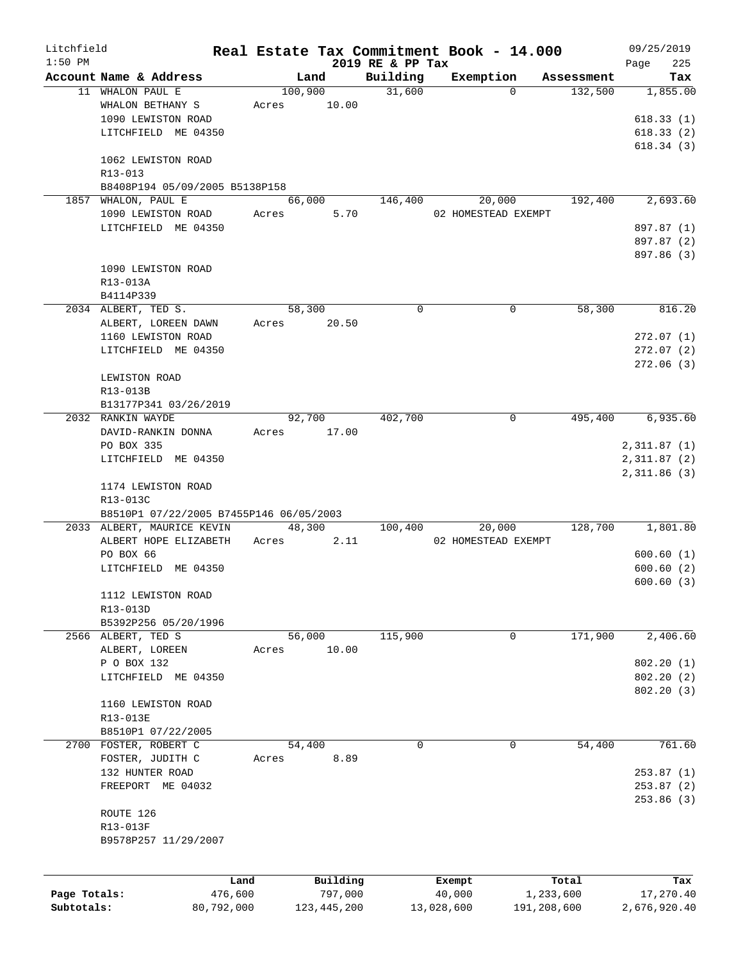| Litchfield   |                                         |            |         |               |                  | Real Estate Tax Commitment Book - 14.000 |             |            | 09/25/2019   |
|--------------|-----------------------------------------|------------|---------|---------------|------------------|------------------------------------------|-------------|------------|--------------|
| $1:50$ PM    |                                         |            |         |               | 2019 RE & PP Tax |                                          |             |            | 225<br>Page  |
|              | Account Name & Address                  |            | Land    |               | Building         | Exemption                                |             | Assessment | Tax          |
|              | 11 WHALON PAUL E                        |            | 100,900 |               | 31,600           |                                          | $\Omega$    | 132,500    | 1,855.00     |
|              | WHALON BETHANY S                        | Acres      |         | 10.00         |                  |                                          |             |            |              |
|              | 1090 LEWISTON ROAD                      |            |         |               |                  |                                          |             |            | 618.33(1)    |
|              | LITCHFIELD ME 04350                     |            |         |               |                  |                                          |             |            | 618.33(2)    |
|              |                                         |            |         |               |                  |                                          |             |            | 618.34(3)    |
|              | 1062 LEWISTON ROAD                      |            |         |               |                  |                                          |             |            |              |
|              | R13-013                                 |            |         |               |                  |                                          |             |            |              |
|              | B8408P194 05/09/2005 B5138P158          |            |         |               |                  |                                          |             |            |              |
|              | 1857 WHALON, PAUL E                     |            | 66,000  |               | 146,400          | 20,000                                   |             | 192,400    | 2,693.60     |
|              | 1090 LEWISTON ROAD                      | Acres      |         | 5.70          |                  | 02 HOMESTEAD EXEMPT                      |             |            |              |
|              | LITCHFIELD ME 04350                     |            |         |               |                  |                                          |             |            | 897.87 (1)   |
|              |                                         |            |         |               |                  |                                          |             |            | 897.87 (2)   |
|              |                                         |            |         |               |                  |                                          |             |            | 897.86 (3)   |
|              | 1090 LEWISTON ROAD                      |            |         |               |                  |                                          |             |            |              |
|              |                                         |            |         |               |                  |                                          |             |            |              |
|              | R13-013A                                |            |         |               |                  |                                          |             |            |              |
|              | B4114P339                               |            |         |               |                  |                                          |             |            |              |
|              | 2034 ALBERT, TED S.                     |            | 58,300  |               | 0                |                                          | 0           | 58,300     | 816.20       |
|              | ALBERT, LOREEN DAWN                     | Acres      |         | 20.50         |                  |                                          |             |            |              |
|              | 1160 LEWISTON ROAD                      |            |         |               |                  |                                          |             |            | 272.07(1)    |
|              | LITCHFIELD ME 04350                     |            |         |               |                  |                                          |             |            | 272.07(2)    |
|              |                                         |            |         |               |                  |                                          |             |            | 272.06(3)    |
|              | LEWISTON ROAD                           |            |         |               |                  |                                          |             |            |              |
|              | R13-013B                                |            |         |               |                  |                                          |             |            |              |
|              | B13177P341 03/26/2019                   |            |         |               |                  |                                          |             |            |              |
|              | 2032 RANKIN WAYDE                       |            | 92,700  |               | 402,700          |                                          | 0           | 495,400    | 6,935.60     |
|              |                                         |            |         |               |                  |                                          |             |            |              |
|              | DAVID-RANKIN DONNA                      | Acres      |         | 17.00         |                  |                                          |             |            |              |
|              | PO BOX 335                              |            |         |               |                  |                                          |             |            | 2,311.87(1)  |
|              | LITCHFIELD ME 04350                     |            |         |               |                  |                                          |             |            | 2,311.87(2)  |
|              |                                         |            |         |               |                  |                                          |             |            | 2,311.86 (3) |
|              | 1174 LEWISTON ROAD                      |            |         |               |                  |                                          |             |            |              |
|              | R13-013C                                |            |         |               |                  |                                          |             |            |              |
|              | B8510P1 07/22/2005 B7455P146 06/05/2003 |            |         |               |                  |                                          |             |            |              |
|              | 2033 ALBERT, MAURICE KEVIN              |            |         | 48,300        | 100,400          | 20,000                                   |             | 128,700    | 1,801.80     |
|              | ALBERT HOPE ELIZABETH                   | Acres      |         | 2.11          |                  | 02 HOMESTEAD EXEMPT                      |             |            |              |
|              | PO BOX 66                               |            |         |               |                  |                                          |             |            | 600.60(1)    |
|              | LITCHFIELD ME 04350                     |            |         |               |                  |                                          |             |            | 600.60(2)    |
|              |                                         |            |         |               |                  |                                          |             |            | 600.60(3)    |
|              | 1112 LEWISTON ROAD                      |            |         |               |                  |                                          |             |            |              |
|              | R13-013D                                |            |         |               |                  |                                          |             |            |              |
|              |                                         |            |         |               |                  |                                          |             |            |              |
|              | B5392P256 05/20/1996                    |            |         |               |                  |                                          |             |            |              |
|              | 2566 ALBERT, TED S                      |            | 56,000  |               | 115,900          |                                          | 0           | 171,900    | 2,406.60     |
|              | ALBERT, LOREEN                          | Acres      |         | 10.00         |                  |                                          |             |            |              |
|              | P O BOX 132                             |            |         |               |                  |                                          |             |            | 802.20(1)    |
|              | LITCHFIELD ME 04350                     |            |         |               |                  |                                          |             |            | 802.20(2)    |
|              |                                         |            |         |               |                  |                                          |             |            | 802.20(3)    |
|              | 1160 LEWISTON ROAD                      |            |         |               |                  |                                          |             |            |              |
|              | R13-013E                                |            |         |               |                  |                                          |             |            |              |
|              | B8510P1 07/22/2005                      |            |         |               |                  |                                          |             |            |              |
|              | 2700 FOSTER, ROBERT C                   |            | 54,400  |               | 0                |                                          | 0           | 54,400     | 761.60       |
|              |                                         |            |         |               |                  |                                          |             |            |              |
|              | FOSTER, JUDITH C                        | Acres      |         | 8.89          |                  |                                          |             |            |              |
|              | 132 HUNTER ROAD                         |            |         |               |                  |                                          |             |            | 253.87(1)    |
|              | FREEPORT ME 04032                       |            |         |               |                  |                                          |             |            | 253.87(2)    |
|              |                                         |            |         |               |                  |                                          |             |            | 253.86(3)    |
|              | ROUTE 126                               |            |         |               |                  |                                          |             |            |              |
|              | R13-013F                                |            |         |               |                  |                                          |             |            |              |
|              | B9578P257 11/29/2007                    |            |         |               |                  |                                          |             |            |              |
|              |                                         |            |         |               |                  |                                          |             |            |              |
|              |                                         |            |         |               |                  |                                          |             |            |              |
|              |                                         | Land       |         | Building      |                  | Exempt                                   |             | Total      | Tax          |
| Page Totals: |                                         | 476,600    |         | 797,000       |                  | 40,000                                   | 1,233,600   |            | 17,270.40    |
| Subtotals:   |                                         | 80,792,000 |         | 123, 445, 200 |                  | 13,028,600                               | 191,208,600 |            | 2,676,920.40 |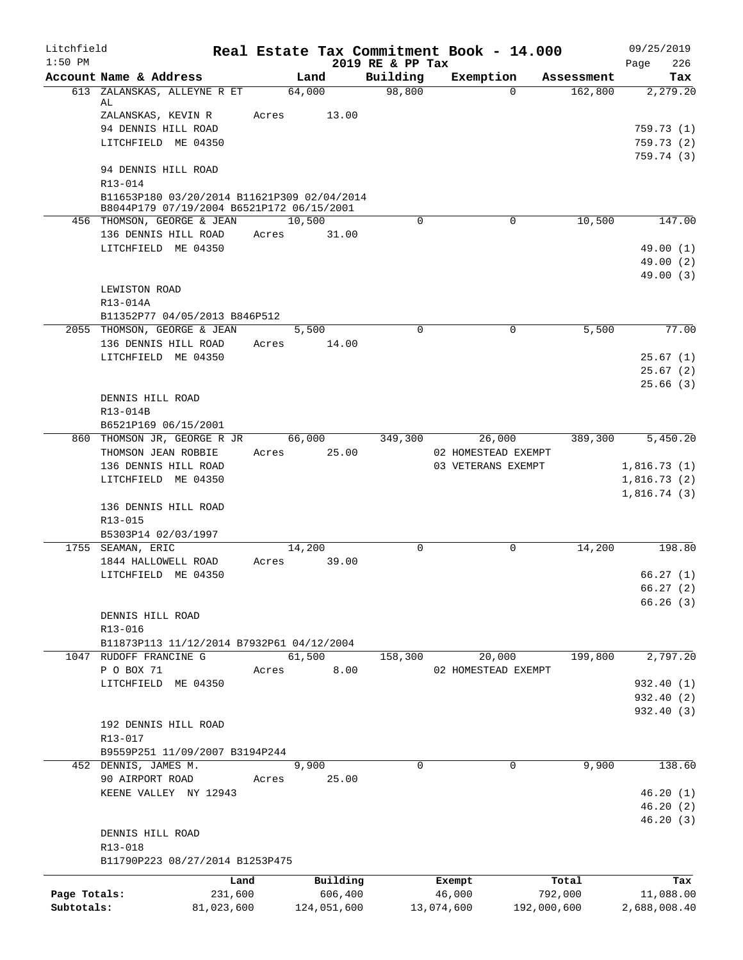| Litchfield<br>$1:50$ PM    |                                                                                          |                       |                        | 2019 RE & PP Tax | Real Estate Tax Commitment Book - 14.000 |             |            | 09/25/2019                |
|----------------------------|------------------------------------------------------------------------------------------|-----------------------|------------------------|------------------|------------------------------------------|-------------|------------|---------------------------|
|                            | Account Name & Address                                                                   |                       | Land                   | Building         | Exemption                                |             | Assessment | 226<br>Page<br>Tax        |
|                            | 613 ZALANSKAS, ALLEYNE R ET                                                              |                       | 64,000                 | 98,800           |                                          | $\Omega$    | 162,800    | 2,279.20                  |
|                            | AL<br>ZALANSKAS, KEVIN R                                                                 | Acres                 | 13.00                  |                  |                                          |             |            |                           |
|                            | 94 DENNIS HILL ROAD                                                                      |                       |                        |                  |                                          |             |            | 759.73(1)                 |
|                            | LITCHFIELD ME 04350                                                                      |                       |                        |                  |                                          |             |            | 759.73(2)                 |
|                            |                                                                                          |                       |                        |                  |                                          |             |            | 759.74(3)                 |
|                            | 94 DENNIS HILL ROAD                                                                      |                       |                        |                  |                                          |             |            |                           |
|                            | R13-014                                                                                  |                       |                        |                  |                                          |             |            |                           |
|                            | B11653P180 03/20/2014 B11621P309 02/04/2014<br>B8044P179 07/19/2004 B6521P172 06/15/2001 |                       |                        |                  |                                          |             |            |                           |
|                            | 456 THOMSON, GEORGE & JEAN                                                               |                       | 10,500                 | $\mathbf 0$      |                                          | $\mathbf 0$ | 10,500     | 147.00                    |
|                            | 136 DENNIS HILL ROAD                                                                     | Acres                 | 31.00                  |                  |                                          |             |            |                           |
|                            | LITCHFIELD ME 04350                                                                      |                       |                        |                  |                                          |             |            | 49.00(1)                  |
|                            |                                                                                          |                       |                        |                  |                                          |             |            | 49.00(2)                  |
|                            |                                                                                          |                       |                        |                  |                                          |             |            | 49.00(3)                  |
|                            | LEWISTON ROAD<br>R13-014A                                                                |                       |                        |                  |                                          |             |            |                           |
|                            | B11352P77 04/05/2013 B846P512                                                            |                       |                        |                  |                                          |             |            |                           |
|                            | 2055 THOMSON, GEORGE & JEAN                                                              |                       | 5,500                  | $\Omega$         |                                          | 0           | 5,500      | 77.00                     |
|                            | 136 DENNIS HILL ROAD                                                                     | Acres                 | 14.00                  |                  |                                          |             |            |                           |
|                            | LITCHFIELD ME 04350                                                                      |                       |                        |                  |                                          |             |            | 25.67(1)                  |
|                            |                                                                                          |                       |                        |                  |                                          |             |            | 25.67(2)                  |
|                            |                                                                                          |                       |                        |                  |                                          |             |            | 25.66(3)                  |
|                            | DENNIS HILL ROAD                                                                         |                       |                        |                  |                                          |             |            |                           |
|                            | R13-014B<br>B6521P169 06/15/2001                                                         |                       |                        |                  |                                          |             |            |                           |
|                            | 860 THOMSON JR, GEORGE R JR                                                              |                       | 66,000                 | 349,300          | 26,000                                   |             | 389,300    | 5,450.20                  |
|                            | THOMSON JEAN ROBBIE                                                                      | Acres                 | 25.00                  |                  | 02 HOMESTEAD EXEMPT                      |             |            |                           |
|                            | 136 DENNIS HILL ROAD                                                                     |                       |                        |                  | 03 VETERANS EXEMPT                       |             |            | 1,816.73(1)               |
|                            | LITCHFIELD ME 04350                                                                      |                       |                        |                  |                                          |             |            | 1,816.73(2)               |
|                            |                                                                                          |                       |                        |                  |                                          |             |            | 1,816.74(3)               |
|                            | 136 DENNIS HILL ROAD                                                                     |                       |                        |                  |                                          |             |            |                           |
|                            | R13-015<br>B5303P14 02/03/1997                                                           |                       |                        |                  |                                          |             |            |                           |
|                            | 1755 SEAMAN, ERIC                                                                        |                       | 14,200                 | $\Omega$         |                                          | 0           | 14,200     | 198.80                    |
|                            | 1844 HALLOWELL ROAD                                                                      | Acres                 | 39.00                  |                  |                                          |             |            |                           |
|                            | LITCHFIELD ME 04350                                                                      |                       |                        |                  |                                          |             |            | 66.27(1)                  |
|                            |                                                                                          |                       |                        |                  |                                          |             |            | 66.27(2)                  |
|                            |                                                                                          |                       |                        |                  |                                          |             |            | 66.26(3)                  |
|                            | DENNIS HILL ROAD                                                                         |                       |                        |                  |                                          |             |            |                           |
|                            | R13-016<br>B11873P113 11/12/2014 B7932P61 04/12/2004                                     |                       |                        |                  |                                          |             |            |                           |
|                            | 1047 RUDOFF FRANCINE G                                                                   |                       | 61,500                 | 158,300          | 20,000                                   |             | 199,800    | 2,797.20                  |
|                            | P O BOX 71                                                                               | Acres                 | 8.00                   |                  | 02 HOMESTEAD EXEMPT                      |             |            |                           |
|                            | LITCHFIELD ME 04350                                                                      |                       |                        |                  |                                          |             |            | 932.40 (1)                |
|                            |                                                                                          |                       |                        |                  |                                          |             |            | 932.40 (2)                |
|                            |                                                                                          |                       |                        |                  |                                          |             |            | 932.40 (3)                |
|                            | 192 DENNIS HILL ROAD<br>R13-017                                                          |                       |                        |                  |                                          |             |            |                           |
|                            | B9559P251 11/09/2007 B3194P244                                                           |                       |                        |                  |                                          |             |            |                           |
|                            | 452 DENNIS, JAMES M.                                                                     |                       | 9,900                  | 0                |                                          | 0           | 9,900      | 138.60                    |
|                            | 90 AIRPORT ROAD                                                                          | Acres                 | 25.00                  |                  |                                          |             |            |                           |
|                            | KEENE VALLEY NY 12943                                                                    |                       |                        |                  |                                          |             |            | 46.20(1)                  |
|                            |                                                                                          |                       |                        |                  |                                          |             |            | 46.20(2)                  |
|                            |                                                                                          |                       |                        |                  |                                          |             |            | 46.20(3)                  |
|                            | DENNIS HILL ROAD                                                                         |                       |                        |                  |                                          |             |            |                           |
|                            | R13-018<br>B11790P223 08/27/2014 B1253P475                                               |                       |                        |                  |                                          |             |            |                           |
|                            |                                                                                          |                       |                        |                  |                                          |             |            |                           |
|                            |                                                                                          | Land                  | Building               |                  | Exempt                                   |             | Total      | Tax                       |
| Page Totals:<br>Subtotals: |                                                                                          | 231,600<br>81,023,600 | 606,400<br>124,051,600 |                  | 46,000<br>13,074,600                     | 192,000,600 | 792,000    | 11,088.00<br>2,688,008.40 |
|                            |                                                                                          |                       |                        |                  |                                          |             |            |                           |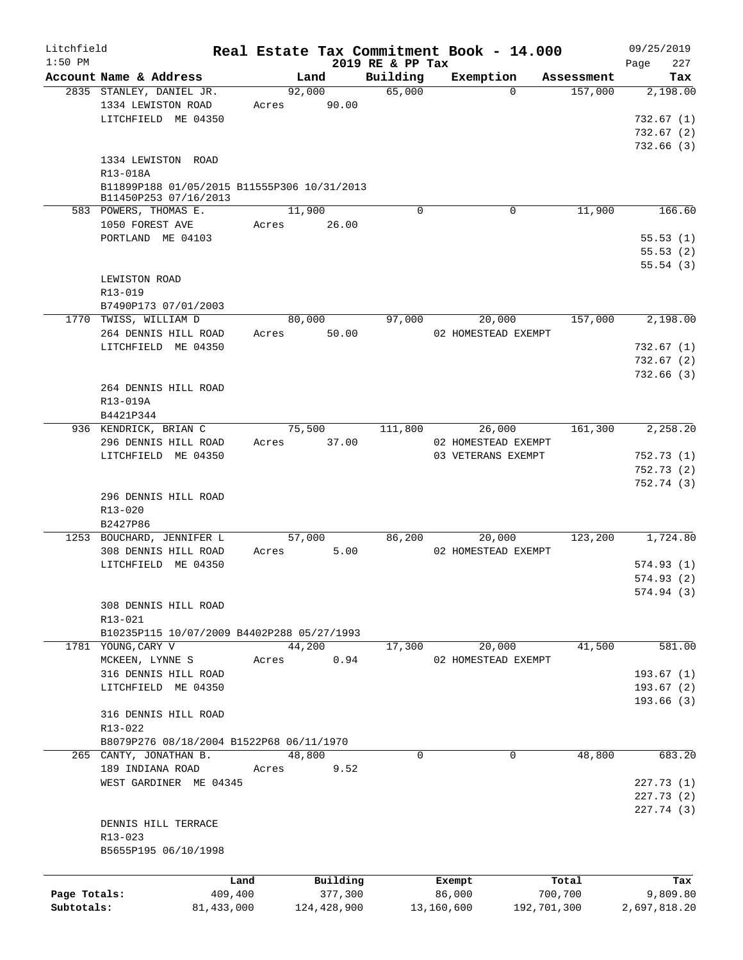| Litchfield                 |                                                                      |       |                        |                              | Real Estate Tax Commitment Book - 14.000 |            | 09/25/2019               |
|----------------------------|----------------------------------------------------------------------|-------|------------------------|------------------------------|------------------------------------------|------------|--------------------------|
| $1:50$ PM                  | Account Name & Address                                               |       | Land                   | 2019 RE & PP Tax<br>Building | Exemption                                | Assessment | 227<br>Page<br>Tax       |
|                            | 2835 STANLEY, DANIEL JR.                                             |       | 92,000                 | 65,000                       | $\Omega$                                 | 157,000    | 2,198.00                 |
|                            | 1334 LEWISTON ROAD                                                   | Acres | 90.00                  |                              |                                          |            |                          |
|                            | LITCHFIELD ME 04350                                                  |       |                        |                              |                                          |            | 732.67(1)                |
|                            |                                                                      |       |                        |                              |                                          |            | 732.67(2)<br>732.66(3)   |
|                            | 1334 LEWISTON ROAD                                                   |       |                        |                              |                                          |            |                          |
|                            | R13-018A                                                             |       |                        |                              |                                          |            |                          |
|                            | B11899P188 01/05/2015 B11555P306 10/31/2013<br>B11450P253 07/16/2013 |       |                        |                              |                                          |            |                          |
|                            | 583 POWERS, THOMAS E.                                                |       | 11,900                 | $\Omega$                     | 0                                        | 11,900     | 166.60                   |
|                            | 1050 FOREST AVE                                                      | Acres | 26.00                  |                              |                                          |            |                          |
|                            | PORTLAND ME 04103                                                    |       |                        |                              |                                          |            | 55.53(1)                 |
|                            |                                                                      |       |                        |                              |                                          |            | 55.53(2)<br>55.54(3)     |
|                            | LEWISTON ROAD                                                        |       |                        |                              |                                          |            |                          |
|                            | R13-019                                                              |       |                        |                              |                                          |            |                          |
|                            | B7490P173 07/01/2003                                                 |       |                        |                              |                                          |            |                          |
|                            | 1770 TWISS, WILLIAM D                                                |       | 80,000                 | 97,000                       | 20,000                                   | 157,000    | 2,198.00                 |
|                            | 264 DENNIS HILL ROAD                                                 | Acres | 50.00                  |                              | 02 HOMESTEAD EXEMPT                      |            |                          |
|                            | LITCHFIELD ME 04350                                                  |       |                        |                              |                                          |            | 732.67(1)                |
|                            |                                                                      |       |                        |                              |                                          |            | 732.67(2)<br>732.66(3)   |
|                            | 264 DENNIS HILL ROAD                                                 |       |                        |                              |                                          |            |                          |
|                            | R13-019A                                                             |       |                        |                              |                                          |            |                          |
|                            | B4421P344                                                            |       |                        |                              |                                          |            |                          |
|                            | 936 KENDRICK, BRIAN C                                                |       | 75,500                 | 111,800                      | 26,000                                   | 161,300    | 2,258.20                 |
|                            | 296 DENNIS HILL ROAD                                                 | Acres | 37.00                  |                              | 02 HOMESTEAD EXEMPT                      |            |                          |
|                            | LITCHFIELD ME 04350                                                  |       |                        |                              | 03 VETERANS EXEMPT                       |            | 752.73(1)<br>752.73(2)   |
|                            |                                                                      |       |                        |                              |                                          |            | 752.74(3)                |
|                            | 296 DENNIS HILL ROAD                                                 |       |                        |                              |                                          |            |                          |
|                            | R13-020                                                              |       |                        |                              |                                          |            |                          |
|                            | B2427P86                                                             |       |                        |                              |                                          |            |                          |
|                            | 1253 BOUCHARD, JENNIFER L                                            |       | 57,000                 | 86,200                       | 20,000                                   | 123,200    | 1,724.80                 |
|                            | 308 DENNIS HILL ROAD<br>LITCHFIELD ME 04350                          | Acres | 5.00                   |                              | 02 HOMESTEAD EXEMPT                      |            | 574.93(1)                |
|                            |                                                                      |       |                        |                              |                                          |            | 574.93(2)                |
|                            |                                                                      |       |                        |                              |                                          |            | 574.94 (3)               |
|                            | 308 DENNIS HILL ROAD                                                 |       |                        |                              |                                          |            |                          |
|                            | R13-021                                                              |       |                        |                              |                                          |            |                          |
|                            | B10235P115 10/07/2009 B4402P288 05/27/1993                           |       |                        |                              |                                          |            |                          |
|                            | 1781 YOUNG, CARY V<br>MCKEEN, LYNNE S                                | Acres | 44,200<br>0.94         | 17,300                       | 20,000<br>02 HOMESTEAD EXEMPT            | 41,500     | 581.00                   |
|                            | 316 DENNIS HILL ROAD                                                 |       |                        |                              |                                          |            | 193.67(1)                |
|                            | LITCHFIELD ME 04350                                                  |       |                        |                              |                                          |            | 193.67(2)                |
|                            |                                                                      |       |                        |                              |                                          |            | 193.66 (3)               |
|                            | 316 DENNIS HILL ROAD                                                 |       |                        |                              |                                          |            |                          |
|                            | R13-022                                                              |       |                        |                              |                                          |            |                          |
|                            | B8079P276 08/18/2004 B1522P68 06/11/1970<br>265 CANTY, JONATHAN B.   |       | 48,800                 | $\Omega$                     | 0                                        | 48,800     | 683.20                   |
|                            | 189 INDIANA ROAD                                                     | Acres | 9.52                   |                              |                                          |            |                          |
|                            | WEST GARDINER ME 04345                                               |       |                        |                              |                                          |            | 227.73(1)                |
|                            |                                                                      |       |                        |                              |                                          |            | 227.73(2)                |
|                            |                                                                      |       |                        |                              |                                          |            | 227.74 (3)               |
|                            | DENNIS HILL TERRACE                                                  |       |                        |                              |                                          |            |                          |
|                            | R13-023<br>B5655P195 06/10/1998                                      |       |                        |                              |                                          |            |                          |
|                            |                                                                      |       |                        |                              |                                          |            |                          |
|                            |                                                                      | Land  | Building               |                              | Exempt                                   | Total      | Tax                      |
| Page Totals:<br>Subtotals: | 409,400<br>81, 433, 000                                              |       | 377,300<br>124,428,900 |                              | 86,000<br>13,160,600<br>192,701,300      | 700,700    | 9,809.80<br>2,697,818.20 |
|                            |                                                                      |       |                        |                              |                                          |            |                          |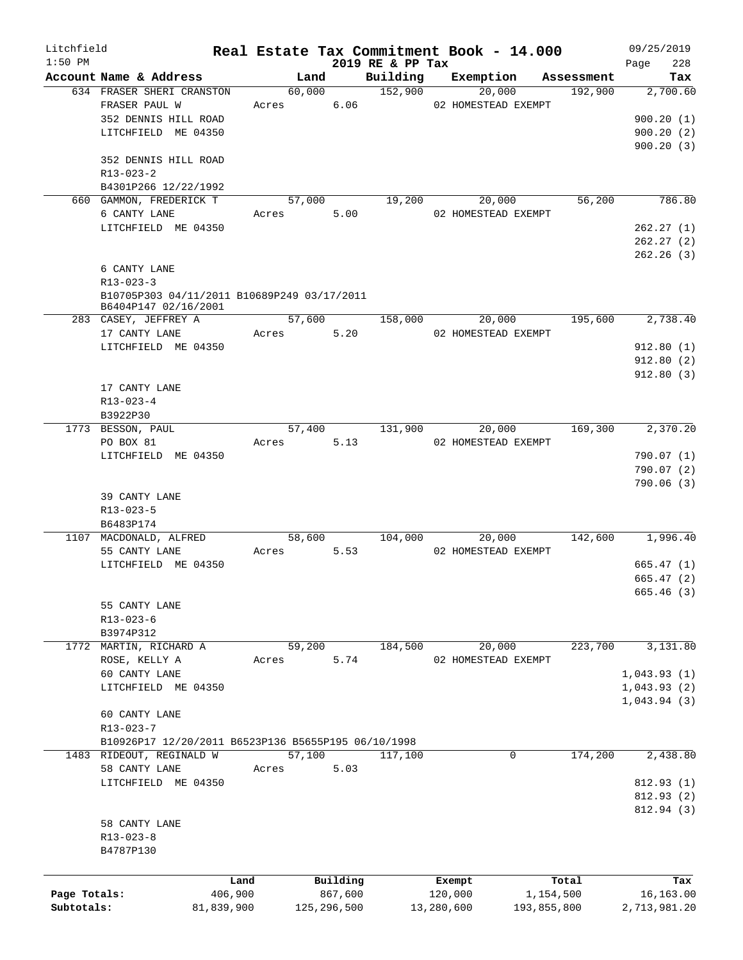| Litchfield   |                                                     |            |            |             |                             |            | Real Estate Tax Commitment Book - 14.000         |             | 09/25/2019       |
|--------------|-----------------------------------------------------|------------|------------|-------------|-----------------------------|------------|--------------------------------------------------|-------------|------------------|
| $1:50$ PM    | Account Name & Address                              |            |            | Land        | 2019 RE & PP Tax            |            |                                                  |             | 228<br>Page      |
|              |                                                     |            |            |             |                             |            | Building Exemption Assessment                    |             | Tax              |
|              | 634 FRASER SHERI CRANSTON                           |            |            |             | $\overline{60,000}$ 152,900 |            | 20,000                                           | 192,900     | 2,700.60         |
|              | FRASER PAUL W                                       | Acres 6.06 |            |             |                             |            | 02 HOMESTEAD EXEMPT                              |             |                  |
|              | 352 DENNIS HILL ROAD                                |            |            |             |                             |            |                                                  |             | 900.20(1)        |
|              | LITCHFIELD ME 04350                                 |            |            |             |                             |            |                                                  |             | 900.20(2)        |
|              |                                                     |            |            |             |                             |            |                                                  |             | 900.20(3)        |
|              | 352 DENNIS HILL ROAD                                |            |            |             |                             |            |                                                  |             |                  |
|              | R13-023-2                                           |            |            |             |                             |            |                                                  |             |                  |
|              | B4301P266 12/22/1992                                |            |            |             |                             |            |                                                  |             |                  |
|              | 660 GAMMON, FREDERICK T                             |            |            |             | 57,000 19,200               |            | 20,000                                           | 56,200      | 786.80           |
|              | 6 CANTY LANE                                        |            | Acres 5.00 |             |                             |            | 02 HOMESTEAD EXEMPT                              |             |                  |
|              | LITCHFIELD ME 04350                                 |            |            |             |                             |            |                                                  |             | 262.27(1)        |
|              |                                                     |            |            |             |                             |            |                                                  |             | 262.27(2)        |
|              |                                                     |            |            |             |                             |            |                                                  |             | 262.26(3)        |
|              | 6 CANTY LANE                                        |            |            |             |                             |            |                                                  |             |                  |
|              | $R13 - 023 - 3$                                     |            |            |             |                             |            |                                                  |             |                  |
|              | B10705P303 04/11/2011 B10689P249 03/17/2011         |            |            |             |                             |            |                                                  |             |                  |
|              | B6404P147 02/16/2001                                |            |            |             |                             |            |                                                  |             |                  |
|              | 283 CASEY, JEFFREY A                                |            | 57,600     |             |                             |            | $158,000$ 20,000                                 |             | 195,600 2,738.40 |
|              |                                                     |            | Acres 5.20 |             |                             |            | 02 HOMESTEAD EXEMPT                              |             |                  |
|              | 17 CANTY LANE                                       |            |            |             |                             |            |                                                  |             |                  |
|              | LITCHFIELD ME 04350                                 |            |            |             |                             |            |                                                  |             | 912.80(1)        |
|              |                                                     |            |            |             |                             |            |                                                  |             | 912.80(2)        |
|              |                                                     |            |            |             |                             |            |                                                  |             | 912.80(3)        |
|              | 17 CANTY LANE                                       |            |            |             |                             |            |                                                  |             |                  |
|              | $R13 - 023 - 4$                                     |            |            |             |                             |            |                                                  |             |                  |
|              | B3922P30                                            |            |            |             |                             |            |                                                  |             |                  |
|              | 1773 BESSON, PAUL                                   |            |            |             | 57,400 131,900              |            | 20,000                                           |             | 169,300 2,370.20 |
|              | PO BOX 81                                           |            | Acres      | 5.13        |                             |            | 02 HOMESTEAD EXEMPT                              |             |                  |
|              | LITCHFIELD ME 04350                                 |            |            |             |                             |            |                                                  |             | 790.07 (1)       |
|              |                                                     |            |            |             |                             |            |                                                  |             | 790.07(2)        |
|              |                                                     |            |            |             |                             |            |                                                  |             | 790.06(3)        |
|              | 39 CANTY LANE                                       |            |            |             |                             |            |                                                  |             |                  |
|              | R13-023-5                                           |            |            |             |                             |            |                                                  |             |                  |
|              | B6483P174                                           |            |            |             |                             |            |                                                  |             |                  |
|              | 1107 MACDONALD, ALFRED                              |            |            |             |                             |            | $58,600$ $104,000$ $20,000$ $142,600$ $1,996.40$ |             |                  |
|              | 55 CANTY LANE                                       |            | Acres 5.53 |             |                             |            | 02 HOMESTEAD EXEMPT                              |             |                  |
|              | LITCHFIELD ME 04350                                 |            |            |             |                             |            |                                                  |             | 665.47(1)        |
|              |                                                     |            |            |             |                             |            |                                                  |             | 665.47(2)        |
|              |                                                     |            |            |             |                             |            |                                                  |             |                  |
|              |                                                     |            |            |             |                             |            |                                                  |             | 665.46 (3)       |
|              | 55 CANTY LANE                                       |            |            |             |                             |            |                                                  |             |                  |
|              | R13-023-6                                           |            |            |             |                             |            |                                                  |             |                  |
|              | B3974P312                                           |            |            |             |                             |            |                                                  |             |                  |
|              | 1772 MARTIN, RICHARD A                              |            | 59,200     |             | 184,500                     |            | 20,000                                           | 223,700     | 3,131.80         |
|              | ROSE, KELLY A                                       | Acres      |            | 5.74        |                             |            | 02 HOMESTEAD EXEMPT                              |             |                  |
|              | 60 CANTY LANE                                       |            |            |             |                             |            |                                                  |             | 1,043.93(1)      |
|              | LITCHFIELD ME 04350                                 |            |            |             |                             |            |                                                  |             | 1,043.93(2)      |
|              |                                                     |            |            |             |                             |            |                                                  |             | 1,043.94(3)      |
|              | 60 CANTY LANE                                       |            |            |             |                             |            |                                                  |             |                  |
|              | R13-023-7                                           |            |            |             |                             |            |                                                  |             |                  |
|              | B10926P17 12/20/2011 B6523P136 B5655P195 06/10/1998 |            |            |             |                             |            |                                                  |             |                  |
|              | 1483 RIDEOUT, REGINALD W                            |            | 57,100     |             | 117,100                     |            | 0                                                | 174,200     | 2,438.80         |
|              | 58 CANTY LANE                                       | Acres      |            | 5.03        |                             |            |                                                  |             |                  |
|              | LITCHFIELD ME 04350                                 |            |            |             |                             |            |                                                  |             | 812.93 (1)       |
|              |                                                     |            |            |             |                             |            |                                                  |             | 812.93 (2)       |
|              |                                                     |            |            |             |                             |            |                                                  |             |                  |
|              |                                                     |            |            |             |                             |            |                                                  |             | 812.94 (3)       |
|              | 58 CANTY LANE                                       |            |            |             |                             |            |                                                  |             |                  |
|              | $R13 - 023 - 8$                                     |            |            |             |                             |            |                                                  |             |                  |
|              | B4787P130                                           |            |            |             |                             |            |                                                  |             |                  |
|              |                                                     |            |            |             |                             |            |                                                  |             |                  |
|              |                                                     | Land       |            | Building    |                             |            | Exempt                                           | Total       | Tax              |
| Page Totals: |                                                     | 406,900    |            | 867,600     |                             |            | 120,000                                          | 1,154,500   | 16,163.00        |
| Subtotals:   |                                                     | 81,839,900 |            | 125,296,500 |                             | 13,280,600 |                                                  | 193,855,800 | 2,713,981.20     |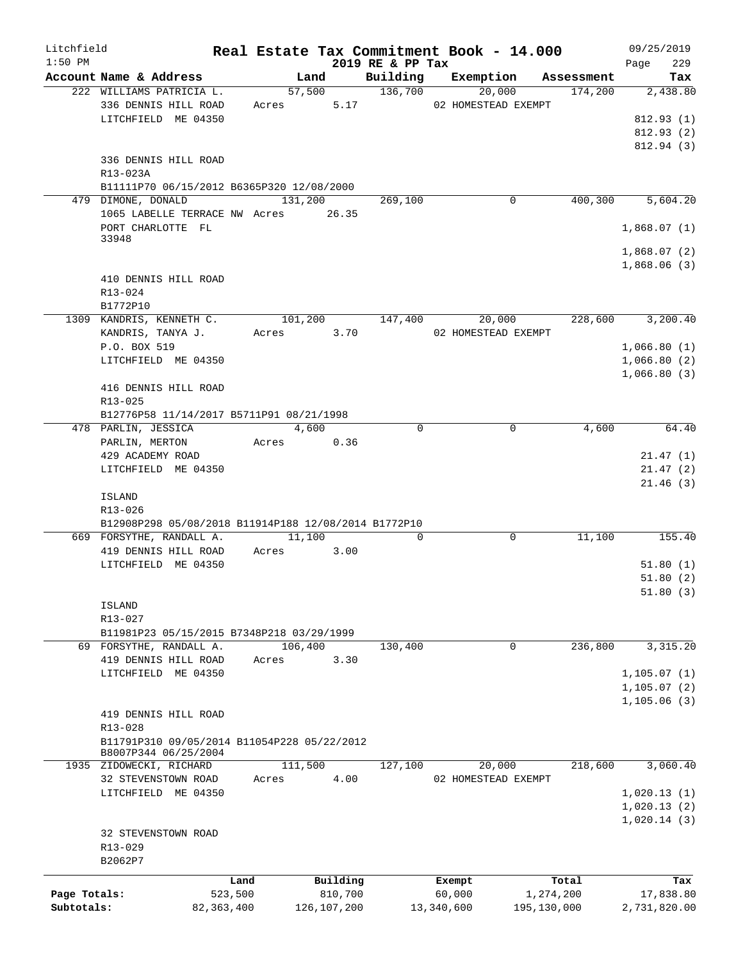| Litchfield   |                                                                     |              |                 |                      |                     | Real Estate Tax Commitment Book - 14.000 |             |            | 09/25/2019       |
|--------------|---------------------------------------------------------------------|--------------|-----------------|----------------------|---------------------|------------------------------------------|-------------|------------|------------------|
| $1:50$ PM    |                                                                     |              |                 |                      | 2019 RE & PP Tax    |                                          |             |            | 229<br>Page      |
|              | Account Name & Address<br>222 WILLIAMS PATRICIA L.                  |              |                 | Land                 | $\frac{136,700}{2}$ | Building Exemption                       |             | Assessment | Tax              |
|              | 336 DENNIS HILL ROAD                                                |              |                 | 57,500<br>Acres 5.17 |                     | 20,000<br>02 HOMESTEAD EXEMPT            |             | 174,200    | 2,438.80         |
|              | LITCHFIELD ME 04350                                                 |              |                 |                      |                     |                                          |             |            | 812.93(1)        |
|              |                                                                     |              |                 |                      |                     |                                          |             |            | 812.93 (2)       |
|              |                                                                     |              |                 |                      |                     |                                          |             |            | 812.94 (3)       |
|              | 336 DENNIS HILL ROAD                                                |              |                 |                      |                     |                                          |             |            |                  |
|              | R13-023A                                                            |              |                 |                      |                     |                                          |             |            |                  |
|              | B11111P70 06/15/2012 B6365P320 12/08/2000                           |              |                 |                      |                     |                                          |             |            |                  |
|              | 479 DIMONE, DONALD                                                  |              | 131,200         |                      | 269,100             |                                          | $\mathbf 0$ | 400, 300   | 5,604.20         |
|              | 1065 LABELLE TERRACE NW Acres 26.35                                 |              |                 |                      |                     |                                          |             |            |                  |
|              | PORT CHARLOTTE FL                                                   |              |                 |                      |                     |                                          |             |            | 1,868.07(1)      |
|              | 33948                                                               |              |                 |                      |                     |                                          |             |            |                  |
|              |                                                                     |              |                 |                      |                     |                                          |             |            | 1,868.07(2)      |
|              |                                                                     |              |                 |                      |                     |                                          |             |            | 1,868.06(3)      |
|              | 410 DENNIS HILL ROAD                                                |              |                 |                      |                     |                                          |             |            |                  |
|              | R13-024                                                             |              |                 |                      |                     |                                          |             |            |                  |
|              | B1772P10                                                            |              |                 |                      |                     |                                          |             |            |                  |
|              | 1309 KANDRIS, KENNETH C.                                            |              | 101,200 147,400 |                      |                     |                                          | 20,000      |            | 228,600 3,200.40 |
|              | KANDRIS, TANYA J.                                                   |              | Acres 3.70      |                      |                     | 02 HOMESTEAD EXEMPT                      |             |            |                  |
|              | P.O. BOX 519                                                        |              |                 |                      |                     |                                          |             |            | 1,066.80(1)      |
|              | LITCHFIELD ME 04350                                                 |              |                 |                      |                     |                                          |             |            | 1,066.80(2)      |
|              |                                                                     |              |                 |                      |                     |                                          |             |            | 1,066.80(3)      |
|              | 416 DENNIS HILL ROAD                                                |              |                 |                      |                     |                                          |             |            |                  |
|              | R13-025                                                             |              |                 |                      |                     |                                          |             |            |                  |
|              | B12776P58 11/14/2017 B5711P91 08/21/1998<br>478 PARLIN, JESSICA     |              |                 | 4,600                | $\Omega$            |                                          | $\Omega$    | 4,600      | 64.40            |
|              | PARLIN, MERTON                                                      |              | Acres 0.36      |                      |                     |                                          |             |            |                  |
|              | 429 ACADEMY ROAD                                                    |              |                 |                      |                     |                                          |             |            | 21.47(1)         |
|              | LITCHFIELD ME 04350                                                 |              |                 |                      |                     |                                          |             |            | 21.47(2)         |
|              |                                                                     |              |                 |                      |                     |                                          |             |            | 21.46(3)         |
|              | <b>ISLAND</b>                                                       |              |                 |                      |                     |                                          |             |            |                  |
|              | R13-026                                                             |              |                 |                      |                     |                                          |             |            |                  |
|              | B12908P298 05/08/2018 B11914P188 12/08/2014 B1772P10                |              |                 |                      |                     |                                          |             |            |                  |
|              | 669 FORSYTHE, RANDALL A.                                            |              |                 | 11,100               | $\Omega$            |                                          | $\mathbf 0$ | 11,100     | 155.40           |
|              | 419 DENNIS HILL ROAD                                                |              | Acres 3.00      |                      |                     |                                          |             |            |                  |
|              | LITCHFIELD ME 04350                                                 |              |                 |                      |                     |                                          |             |            | 51.80(1)         |
|              |                                                                     |              |                 |                      |                     |                                          |             |            | 51.80(2)         |
|              |                                                                     |              |                 |                      |                     |                                          |             |            | 51.80(3)         |
|              | <b>ISLAND</b>                                                       |              |                 |                      |                     |                                          |             |            |                  |
|              | R13-027                                                             |              |                 |                      |                     |                                          |             |            |                  |
|              | B11981P23 05/15/2015 B7348P218 03/29/1999                           |              |                 |                      |                     |                                          |             |            |                  |
|              | 69 FORSYTHE, RANDALL A.                                             |              | 106,400         |                      | 130,400             |                                          | 0           | 236,800    | 3, 315.20        |
|              | 419 DENNIS HILL ROAD                                                |              | Acres           | 3.30                 |                     |                                          |             |            |                  |
|              | LITCHFIELD ME 04350                                                 |              |                 |                      |                     |                                          |             |            | 1, 105.07(1)     |
|              |                                                                     |              |                 |                      |                     |                                          |             |            | 1, 105.07(2)     |
|              |                                                                     |              |                 |                      |                     |                                          |             |            | 1, 105.06(3)     |
|              | 419 DENNIS HILL ROAD                                                |              |                 |                      |                     |                                          |             |            |                  |
|              | R13-028                                                             |              |                 |                      |                     |                                          |             |            |                  |
|              | B11791P310 09/05/2014 B11054P228 05/22/2012<br>B8007P344 06/25/2004 |              |                 |                      |                     |                                          |             |            |                  |
|              | 1935 ZIDOWECKI, RICHARD                                             |              | 111,500         |                      | 127,100             | 20,000                                   |             | 218,600    | 3,060.40         |
|              | 32 STEVENSTOWN ROAD                                                 |              | Acres           | 4.00                 |                     | 02 HOMESTEAD EXEMPT                      |             |            |                  |
|              | LITCHFIELD ME 04350                                                 |              |                 |                      |                     |                                          |             |            | 1,020.13(1)      |
|              |                                                                     |              |                 |                      |                     |                                          |             |            | 1,020.13(2)      |
|              |                                                                     |              |                 |                      |                     |                                          |             |            | 1,020.14(3)      |
|              | 32 STEVENSTOWN ROAD                                                 |              |                 |                      |                     |                                          |             |            |                  |
|              | R13-029                                                             |              |                 |                      |                     |                                          |             |            |                  |
|              | B2062P7                                                             |              |                 |                      |                     |                                          |             |            |                  |
|              |                                                                     | Land         |                 | Building             |                     |                                          |             | Total      | Tax              |
| Page Totals: |                                                                     | 523,500      |                 | 810,700              |                     | Exempt<br>60,000                         | 1,274,200   |            | 17,838.80        |
| Subtotals:   |                                                                     | 82, 363, 400 |                 | 126,107,200          |                     | 13,340,600                               | 195,130,000 |            | 2,731,820.00     |
|              |                                                                     |              |                 |                      |                     |                                          |             |            |                  |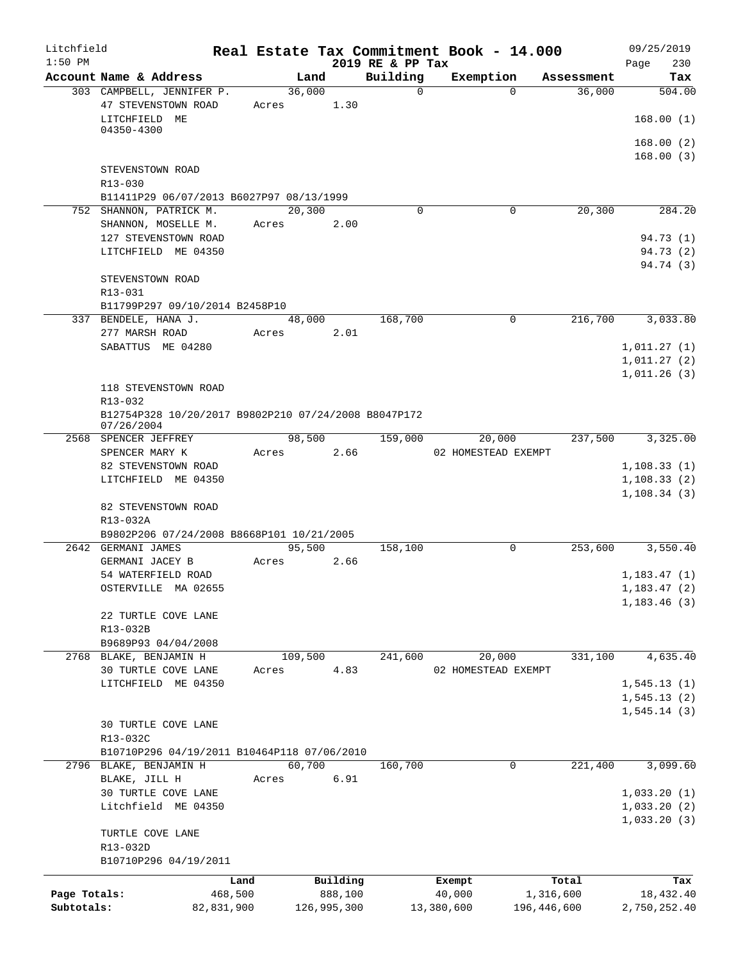| Litchfield   |                                                                     |            |         |             |                              | Real Estate Tax Commitment Book - 14.000 |              |            | 09/25/2019         |
|--------------|---------------------------------------------------------------------|------------|---------|-------------|------------------------------|------------------------------------------|--------------|------------|--------------------|
| $1:50$ PM    | Account Name & Address                                              |            |         | Land        | 2019 RE & PP Tax<br>Building | Exemption                                |              | Assessment | 230<br>Page<br>Tax |
|              | 303 CAMPBELL, JENNIFER P.                                           |            |         | 36,000      | $\mathbf 0$                  |                                          | $\Omega$     | 36,000     | 504.00             |
|              | 47 STEVENSTOWN ROAD                                                 |            | Acres   | 1.30        |                              |                                          |              |            |                    |
|              | LITCHFIELD ME                                                       |            |         |             |                              |                                          |              |            | 168.00(1)          |
|              | 04350-4300                                                          |            |         |             |                              |                                          |              |            |                    |
|              |                                                                     |            |         |             |                              |                                          |              |            | 168.00(2)          |
|              |                                                                     |            |         |             |                              |                                          |              |            | 168.00(3)          |
|              | STEVENSTOWN ROAD                                                    |            |         |             |                              |                                          |              |            |                    |
|              | R13-030                                                             |            |         |             |                              |                                          |              |            |                    |
|              | B11411P29 06/07/2013 B6027P97 08/13/1999<br>752 SHANNON, PATRICK M. |            |         | 20,300      | $\Omega$                     |                                          | $\mathbf{0}$ | 20, 300    | 284.20             |
|              | SHANNON, MOSELLE M.                                                 |            | Acres   | 2.00        |                              |                                          |              |            |                    |
|              | 127 STEVENSTOWN ROAD                                                |            |         |             |                              |                                          |              |            | 94.73 (1)          |
|              | LITCHFIELD ME 04350                                                 |            |         |             |                              |                                          |              |            | 94.73 (2)          |
|              |                                                                     |            |         |             |                              |                                          |              |            | 94.74 (3)          |
|              | STEVENSTOWN ROAD                                                    |            |         |             |                              |                                          |              |            |                    |
|              | R13-031                                                             |            |         |             |                              |                                          |              |            |                    |
|              | B11799P297 09/10/2014 B2458P10                                      |            |         |             |                              |                                          |              |            |                    |
|              | 337 BENDELE, HANA J.                                                |            |         | 48,000      | 168,700                      |                                          | $\mathbf 0$  | 216,700    | 3,033.80           |
|              | 277 MARSH ROAD                                                      |            | Acres   | 2.01        |                              |                                          |              |            |                    |
|              | SABATTUS ME 04280                                                   |            |         |             |                              |                                          |              |            | 1,011.27(1)        |
|              |                                                                     |            |         |             |                              |                                          |              |            | 1,011.27(2)        |
|              |                                                                     |            |         |             |                              |                                          |              |            | 1,011.26(3)        |
|              | 118 STEVENSTOWN ROAD                                                |            |         |             |                              |                                          |              |            |                    |
|              | R13-032                                                             |            |         |             |                              |                                          |              |            |                    |
|              | B12754P328 10/20/2017 B9802P210 07/24/2008 B8047P172                |            |         |             |                              |                                          |              |            |                    |
|              | 07/26/2004<br>2568 SPENCER JEFFREY                                  |            |         | 98,500      | 159,000                      | 20,000                                   |              | 237,500    | 3,325.00           |
|              | SPENCER MARY K                                                      |            | Acres   | 2.66        |                              | 02 HOMESTEAD EXEMPT                      |              |            |                    |
|              | 82 STEVENSTOWN ROAD                                                 |            |         |             |                              |                                          |              |            | 1,108.33(1)        |
|              | LITCHFIELD ME 04350                                                 |            |         |             |                              |                                          |              |            | 1, 108.33(2)       |
|              |                                                                     |            |         |             |                              |                                          |              |            | 1,108.34(3)        |
|              | 82 STEVENSTOWN ROAD                                                 |            |         |             |                              |                                          |              |            |                    |
|              | R13-032A                                                            |            |         |             |                              |                                          |              |            |                    |
|              | B9802P206 07/24/2008 B8668P101 10/21/2005                           |            |         |             |                              |                                          |              |            |                    |
|              | 2642 GERMANI JAMES                                                  |            |         | 95,500      | 158,100                      |                                          | 0            | 253,600    | 3,550.40           |
|              | GERMANI JACEY B                                                     |            | Acres   | 2.66        |                              |                                          |              |            |                    |
|              | 54 WATERFIELD ROAD                                                  |            |         |             |                              |                                          |              |            | 1,183.47(1)        |
|              | OSTERVILLE MA 02655                                                 |            |         |             |                              |                                          |              |            | 1, 183.47(2)       |
|              |                                                                     |            |         |             |                              |                                          |              |            | 1,183.46(3)        |
|              | 22 TURTLE COVE LANE                                                 |            |         |             |                              |                                          |              |            |                    |
|              | R13-032B<br>B9689P93 04/04/2008                                     |            |         |             |                              |                                          |              |            |                    |
|              | 2768 BLAKE, BENJAMIN H                                              |            | 109,500 |             | 241,600                      | 20,000                                   |              | 331,100    | 4,635.40           |
|              | 30 TURTLE COVE LANE                                                 |            | Acres   | 4.83        |                              | 02 HOMESTEAD EXEMPT                      |              |            |                    |
|              | LITCHFIELD ME 04350                                                 |            |         |             |                              |                                          |              |            | 1, 545.13(1)       |
|              |                                                                     |            |         |             |                              |                                          |              |            | 1, 545.13(2)       |
|              |                                                                     |            |         |             |                              |                                          |              |            | 1, 545.14(3)       |
|              | 30 TURTLE COVE LANE                                                 |            |         |             |                              |                                          |              |            |                    |
|              | R13-032C                                                            |            |         |             |                              |                                          |              |            |                    |
|              | B10710P296 04/19/2011 B10464P118 07/06/2010                         |            |         |             |                              |                                          |              |            |                    |
|              | 2796 BLAKE, BENJAMIN H                                              |            |         | 60,700      | 160,700                      |                                          | 0            | 221,400    | 3,099.60           |
|              | BLAKE, JILL H                                                       |            | Acres   | 6.91        |                              |                                          |              |            |                    |
|              | 30 TURTLE COVE LANE                                                 |            |         |             |                              |                                          |              |            | 1,033.20(1)        |
|              | Litchfield ME 04350                                                 |            |         |             |                              |                                          |              |            | 1,033.20(2)        |
|              |                                                                     |            |         |             |                              |                                          |              |            | 1,033.20(3)        |
|              | TURTLE COVE LANE                                                    |            |         |             |                              |                                          |              |            |                    |
|              | R13-032D                                                            |            |         |             |                              |                                          |              |            |                    |
|              | B10710P296 04/19/2011                                               |            |         |             |                              |                                          |              |            |                    |
|              |                                                                     | Land       |         | Building    |                              | Exempt                                   |              | Total      | Tax                |
| Page Totals: |                                                                     | 468,500    |         | 888,100     |                              | 40,000                                   |              | 1,316,600  | 18,432.40          |
| Subtotals:   |                                                                     | 82,831,900 |         | 126,995,300 |                              | 13,380,600                               | 196,446,600  |            | 2,750,252.40       |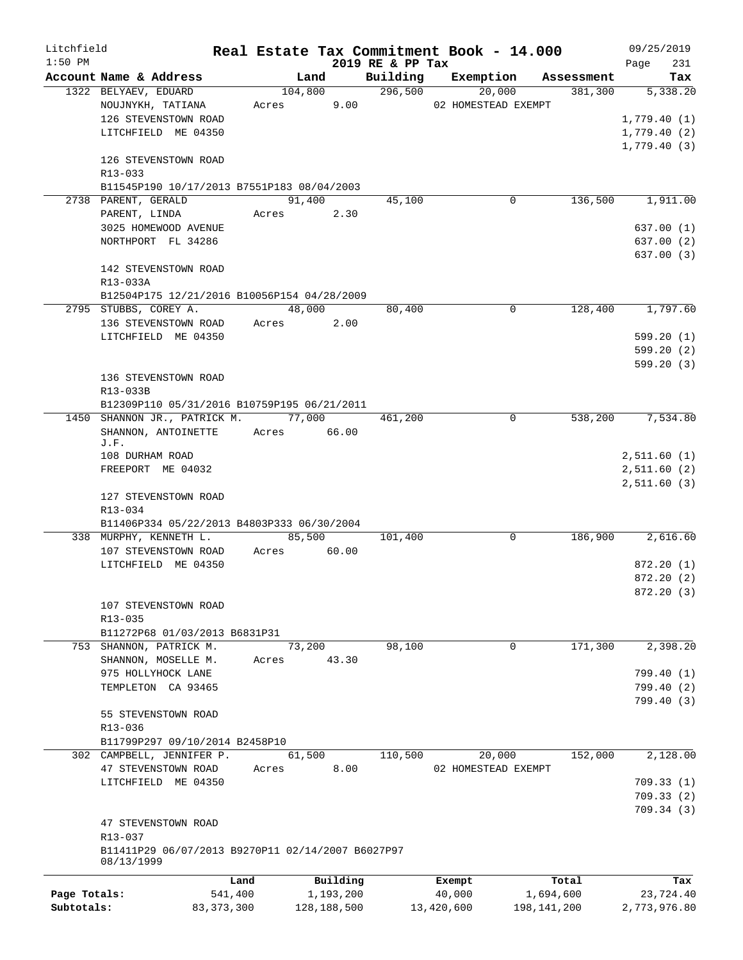| Litchfield   |                                                   |              |             |             |                  | Real Estate Tax Commitment Book - 14.000 |             | 09/25/2019   |
|--------------|---------------------------------------------------|--------------|-------------|-------------|------------------|------------------------------------------|-------------|--------------|
| $1:50$ PM    |                                                   |              |             |             | 2019 RE & PP Tax |                                          |             | 231<br>Page  |
|              | Account Name & Address                            |              | Land        |             | Building         | Exemption                                | Assessment  | Tax          |
|              | 1322 BELYAEV, EDUARD                              |              | 104,800     |             | 296,500          | 20,000                                   | 381,300     | 5,338.20     |
|              | NOUJNYKH, TATIANA                                 |              | Acres       | 9.00        |                  | 02 HOMESTEAD EXEMPT                      |             |              |
|              | 126 STEVENSTOWN ROAD                              |              |             |             |                  |                                          |             | 1,779.40(1)  |
|              | LITCHFIELD ME 04350                               |              |             |             |                  |                                          |             | 1,779.40(2)  |
|              |                                                   |              |             |             |                  |                                          |             | 1,779.40(3)  |
|              | 126 STEVENSTOWN ROAD                              |              |             |             |                  |                                          |             |              |
|              | R13-033                                           |              |             |             |                  |                                          |             |              |
|              | B11545P190 10/17/2013 B7551P183 08/04/2003        |              |             |             |                  |                                          |             |              |
|              | 2738 PARENT, GERALD                               |              | 91,400      |             | 45,100           | 0                                        | 136,500     | 1,911.00     |
|              | PARENT, LINDA                                     |              | Acres       | 2.30        |                  |                                          |             |              |
|              | 3025 HOMEWOOD AVENUE                              |              |             |             |                  |                                          |             | 637.00 (1)   |
|              | NORTHPORT FL 34286                                |              |             |             |                  |                                          |             | 637.00(2)    |
|              | 142 STEVENSTOWN ROAD                              |              |             |             |                  |                                          |             | 637.00(3)    |
|              | R13-033A                                          |              |             |             |                  |                                          |             |              |
|              | B12504P175 12/21/2016 B10056P154 04/28/2009       |              |             |             |                  |                                          |             |              |
|              | 2795 STUBBS, COREY A.                             |              | 48,000      |             | 80,400           | 0                                        | 128,400     | 1,797.60     |
|              | 136 STEVENSTOWN ROAD                              |              | Acres       | 2.00        |                  |                                          |             |              |
|              | LITCHFIELD ME 04350                               |              |             |             |                  |                                          |             | 599.20(1)    |
|              |                                                   |              |             |             |                  |                                          |             | 599.20(2)    |
|              |                                                   |              |             |             |                  |                                          |             | 599.20(3)    |
|              | 136 STEVENSTOWN ROAD                              |              |             |             |                  |                                          |             |              |
|              | R13-033B                                          |              |             |             |                  |                                          |             |              |
|              | B12309P110 05/31/2016 B10759P195 06/21/2011       |              |             |             |                  |                                          |             |              |
|              | 1450 SHANNON JR., PATRICK M.                      |              | 77,000      |             | 461,200          | $\mathbf 0$                              | 538,200     | 7,534.80     |
|              | SHANNON, ANTOINETTE                               |              | Acres 66.00 |             |                  |                                          |             |              |
|              | J.F.                                              |              |             |             |                  |                                          |             |              |
|              | 108 DURHAM ROAD                                   |              |             |             |                  |                                          |             | 2,511.60(1)  |
|              | FREEPORT ME 04032                                 |              |             |             |                  |                                          |             | 2,511.60(2)  |
|              |                                                   |              |             |             |                  |                                          |             | 2,511.60(3)  |
|              | 127 STEVENSTOWN ROAD                              |              |             |             |                  |                                          |             |              |
|              | R13-034                                           |              |             |             |                  |                                          |             |              |
|              | B11406P334 05/22/2013 B4803P333 06/30/2004        |              |             |             |                  |                                          |             |              |
|              | 338 MURPHY, KENNETH L.                            |              | 85,500      |             | 101,400          | 0                                        | 186,900     | 2,616.60     |
|              | 107 STEVENSTOWN ROAD                              |              | Acres       | 60.00       |                  |                                          |             |              |
|              | LITCHFIELD ME 04350                               |              |             |             |                  |                                          |             | 872.20(1)    |
|              |                                                   |              |             |             |                  |                                          |             | 872.20(2)    |
|              |                                                   |              |             |             |                  |                                          |             | 872.20 (3)   |
|              | 107 STEVENSTOWN ROAD                              |              |             |             |                  |                                          |             |              |
|              | R13-035                                           |              |             |             |                  |                                          |             |              |
|              | B11272P68 01/03/2013 B6831P31                     |              |             |             |                  |                                          |             |              |
|              | 753 SHANNON, PATRICK M.                           |              | 73,200      |             | 98,100           | 0                                        | 171,300     | 2,398.20     |
|              | SHANNON, MOSELLE M.                               |              | Acres       | 43.30       |                  |                                          |             |              |
|              | 975 HOLLYHOCK LANE                                |              |             |             |                  |                                          |             | 799.40 (1)   |
|              | TEMPLETON CA 93465                                |              |             |             |                  |                                          |             | 799.40(2)    |
|              |                                                   |              |             |             |                  |                                          |             | 799.40(3)    |
|              | 55 STEVENSTOWN ROAD                               |              |             |             |                  |                                          |             |              |
|              | R13-036                                           |              |             |             |                  |                                          |             |              |
|              | B11799P297 09/10/2014 B2458P10                    |              |             |             |                  |                                          |             |              |
|              | 302 CAMPBELL, JENNIFER P.                         |              | 61,500      |             | 110,500          | 20,000                                   | 152,000     | 2,128.00     |
|              | 47 STEVENSTOWN ROAD                               |              | Acres       | 8.00        |                  | 02 HOMESTEAD EXEMPT                      |             |              |
|              | LITCHFIELD ME 04350                               |              |             |             |                  |                                          |             | 709.33(1)    |
|              |                                                   |              |             |             |                  |                                          |             | 709.33(2)    |
|              |                                                   |              |             |             |                  |                                          |             | 709.34(3)    |
|              | 47 STEVENSTOWN ROAD                               |              |             |             |                  |                                          |             |              |
|              | R13-037                                           |              |             |             |                  |                                          |             |              |
|              | B11411P29 06/07/2013 B9270P11 02/14/2007 B6027P97 |              |             |             |                  |                                          |             |              |
|              | 08/13/1999                                        |              |             |             |                  |                                          |             |              |
|              |                                                   | Land         |             | Building    |                  | Exempt                                   | Total       | Tax          |
| Page Totals: |                                                   | 541,400      |             | 1,193,200   |                  | 40,000                                   | 1,694,600   | 23,724.40    |
| Subtotals:   |                                                   | 83, 373, 300 |             | 128,188,500 |                  | 13,420,600                               | 198,141,200 | 2,773,976.80 |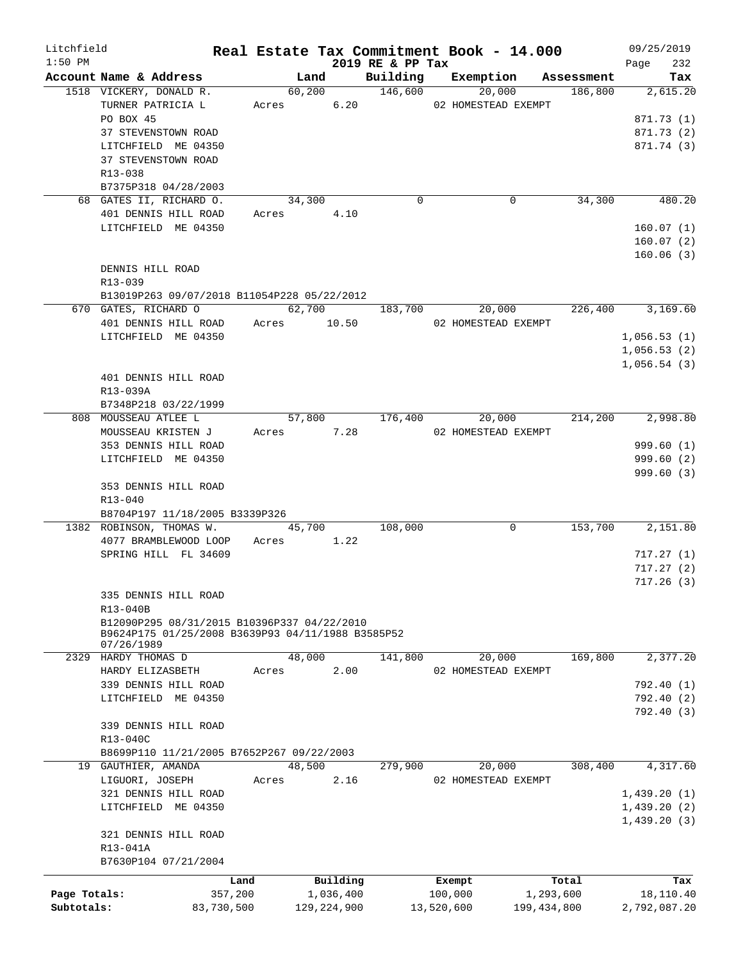| Litchfield<br>$1:50$ PM |                                                                                                  |            |               | 2019 RE & PP Tax | Real Estate Tax Commitment Book - 14.000 |                               | 09/25/2019<br>232<br>Page |
|-------------------------|--------------------------------------------------------------------------------------------------|------------|---------------|------------------|------------------------------------------|-------------------------------|---------------------------|
|                         | Account Name & Address                                                                           |            | Land          |                  |                                          | Building Exemption Assessment | Tax                       |
|                         | 1518 VICKERY, DONALD R.                                                                          |            |               | 60,200 146,600   | 20,000                                   | 186,800                       | 2,615.20                  |
|                         | TURNER PATRICIA L                                                                                |            |               |                  | Acres 6.20 02 HOMESTEAD EXEMPT           |                               |                           |
|                         | PO BOX 45                                                                                        |            |               |                  |                                          |                               | 871.73 (1)                |
|                         | 37 STEVENSTOWN ROAD                                                                              |            |               |                  |                                          |                               | 871.73 (2)                |
|                         | LITCHFIELD ME 04350                                                                              |            |               |                  |                                          |                               | 871.74 (3)                |
|                         | 37 STEVENSTOWN ROAD                                                                              |            |               |                  |                                          |                               |                           |
|                         | R13-038                                                                                          |            |               |                  |                                          |                               |                           |
|                         | B7375P318 04/28/2003                                                                             |            |               |                  |                                          |                               |                           |
|                         | 68 GATES II, RICHARD O.                                                                          | 34,300     |               | $\Omega$         | 0                                        | 34,300                        | 480.20                    |
|                         | 401 DENNIS HILL ROAD                                                                             | Acres 4.10 |               |                  |                                          |                               |                           |
|                         | LITCHFIELD ME 04350                                                                              |            |               |                  |                                          |                               | 160.07(1)                 |
|                         |                                                                                                  |            |               |                  |                                          |                               | 160.07(2)                 |
|                         |                                                                                                  |            |               |                  |                                          |                               | 160.06(3)                 |
|                         | DENNIS HILL ROAD                                                                                 |            |               |                  |                                          |                               |                           |
|                         | $R13 - 039$                                                                                      |            |               |                  |                                          |                               |                           |
|                         | B13019P263 09/07/2018 B11054P228 05/22/2012                                                      |            |               |                  |                                          |                               |                           |
|                         | 670 GATES, RICHARD 0 62,700 183,700 20,000 226,400 3,169.60                                      |            |               |                  |                                          |                               |                           |
|                         | 401 DENNIS HILL ROAD Acres 10.50                                                                 |            |               |                  | 02 HOMESTEAD EXEMPT                      |                               |                           |
|                         | LITCHFIELD ME 04350                                                                              |            |               |                  |                                          |                               | 1,056.53(1)               |
|                         |                                                                                                  |            |               |                  |                                          |                               | 1,056.53(2)               |
|                         |                                                                                                  |            |               |                  |                                          |                               | 1,056.54(3)               |
|                         | 401 DENNIS HILL ROAD                                                                             |            |               |                  |                                          |                               |                           |
|                         | R13-039A                                                                                         |            |               |                  |                                          |                               |                           |
|                         | B7348P218 03/22/1999                                                                             |            |               |                  |                                          |                               |                           |
|                         | 808 MOUSSEAU ATLEE L                                                                             |            |               | 57,800 176,400   |                                          | 20,000 214,200                | 2,998.80                  |
|                         | MOUSSEAU KRISTEN J                                                                               |            | Acres 7.28    |                  | 02 HOMESTEAD EXEMPT                      |                               |                           |
|                         | 353 DENNIS HILL ROAD                                                                             |            |               |                  |                                          |                               | 999.60(1)                 |
|                         | LITCHFIELD ME 04350                                                                              |            |               |                  |                                          |                               | 999.60(2)                 |
|                         |                                                                                                  |            |               |                  |                                          |                               | 999.60(3)                 |
|                         | 353 DENNIS HILL ROAD                                                                             |            |               |                  |                                          |                               |                           |
|                         | R13-040                                                                                          |            |               |                  |                                          |                               |                           |
|                         | B8704P197 11/18/2005 B3339P326                                                                   |            |               |                  |                                          |                               |                           |
|                         | 1382 ROBINSON, THOMAS W.                                                                         |            | 45,700        | 108,000          | 0                                        | 153,700                       | 2,151.80                  |
|                         | 4077 BRAMBLEWOOD LOOP Acres 1.22                                                                 |            |               |                  |                                          |                               |                           |
|                         | SPRING HILL FL 34609                                                                             |            |               |                  |                                          |                               | 717.27(1)                 |
|                         |                                                                                                  |            |               |                  |                                          |                               | 717.27(2)                 |
|                         |                                                                                                  |            |               |                  |                                          |                               | 717.26 (3)                |
|                         | 335 DENNIS HILL ROAD                                                                             |            |               |                  |                                          |                               |                           |
|                         | R13-040B                                                                                         |            |               |                  |                                          |                               |                           |
|                         | B12090P295 08/31/2015 B10396P337 04/22/2010<br>B9624P175 01/25/2008 B3639P93 04/11/1988 B3585P52 |            |               |                  |                                          |                               |                           |
|                         | 07/26/1989                                                                                       |            |               |                  |                                          |                               |                           |
|                         | 2329 HARDY THOMAS D                                                                              |            | 48,000        | 141,800          | 20,000                                   | 169,800                       | 2,377.20                  |
|                         | HARDY ELIZASBETH                                                                                 | Acres      | 2.00          |                  | 02 HOMESTEAD EXEMPT                      |                               |                           |
|                         | 339 DENNIS HILL ROAD                                                                             |            |               |                  |                                          |                               | 792.40 (1)                |
|                         | LITCHFIELD ME 04350                                                                              |            |               |                  |                                          |                               | 792.40 (2)                |
|                         |                                                                                                  |            |               |                  |                                          |                               | 792.40 (3)                |
|                         | 339 DENNIS HILL ROAD                                                                             |            |               |                  |                                          |                               |                           |
|                         | R13-040C                                                                                         |            |               |                  |                                          |                               |                           |
|                         | B8699P110 11/21/2005 B7652P267 09/22/2003                                                        |            |               |                  |                                          |                               |                           |
|                         | 19 GAUTHIER, AMANDA                                                                              |            | 48,500        | 279,900          | 20,000                                   | 308,400                       | 4,317.60                  |
|                         | LIGUORI, JOSEPH                                                                                  | Acres      | 2.16          |                  | 02 HOMESTEAD EXEMPT                      |                               |                           |
|                         | 321 DENNIS HILL ROAD                                                                             |            |               |                  |                                          |                               | 1,439.20(1)               |
|                         | LITCHFIELD ME 04350                                                                              |            |               |                  |                                          |                               | 1,439.20(2)               |
|                         |                                                                                                  |            |               |                  |                                          |                               | 1,439.20(3)               |
|                         | 321 DENNIS HILL ROAD                                                                             |            |               |                  |                                          |                               |                           |
|                         | R13-041A                                                                                         |            |               |                  |                                          |                               |                           |
|                         | B7630P104 07/21/2004                                                                             |            |               |                  |                                          |                               |                           |
|                         |                                                                                                  | Land       | Building      |                  | Exempt                                   | Total                         | Tax                       |
| Page Totals:            | 357,200                                                                                          |            | 1,036,400     |                  | 100,000                                  | 1,293,600                     | 18,110.40                 |
| Subtotals:              | 83,730,500                                                                                       |            | 129, 224, 900 |                  | 13,520,600                               | 199, 434, 800                 | 2,792,087.20              |
|                         |                                                                                                  |            |               |                  |                                          |                               |                           |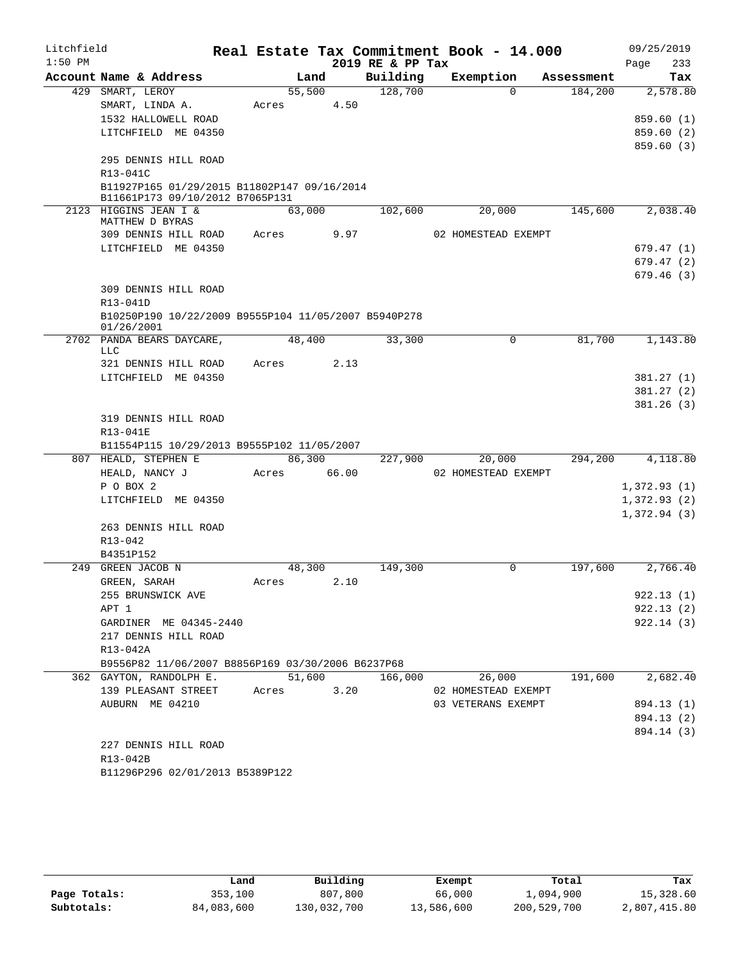| Litchfield |                                                                                |        |        |                  | Real Estate Tax Commitment Book - 14.000 |            | 09/25/2019            |
|------------|--------------------------------------------------------------------------------|--------|--------|------------------|------------------------------------------|------------|-----------------------|
| $1:50$ PM  |                                                                                |        |        | 2019 RE & PP Tax |                                          |            | 233<br>Page           |
|            | Account Name & Address                                                         |        | Land   | Building         | Exemption                                | Assessment | Tax                   |
|            | 429 SMART, LEROY                                                               | 55,500 |        | 128,700          | $\Omega$                                 | 184,200    | 2,578.80              |
|            | SMART, LINDA A.                                                                | Acres  | 4.50   |                  |                                          |            |                       |
|            | 1532 HALLOWELL ROAD                                                            |        |        |                  |                                          |            | 859.60(1)             |
|            | LITCHFIELD ME 04350                                                            |        |        |                  |                                          |            | 859.60(2)             |
|            |                                                                                |        |        |                  |                                          |            | 859.60(3)             |
|            | 295 DENNIS HILL ROAD                                                           |        |        |                  |                                          |            |                       |
|            | R13-041C                                                                       |        |        |                  |                                          |            |                       |
|            | B11927P165 01/29/2015 B11802P147 09/16/2014<br>B11661P173 09/10/2012 B7065P131 |        |        |                  |                                          |            |                       |
|            | 2123 HIGGINS JEAN I &<br>MATTHEW D BYRAS                                       | 63,000 |        | 102,600          | 20,000                                   | 145,600    | 2,038.40              |
|            | 309 DENNIS HILL ROAD                                                           | Acres  | 9.97   |                  | 02 HOMESTEAD EXEMPT                      |            |                       |
|            | LITCHFIELD ME 04350                                                            |        |        |                  |                                          |            | 679.47(1)             |
|            |                                                                                |        |        |                  |                                          |            | 679.47(2)             |
|            |                                                                                |        |        |                  |                                          |            | 679.46(3)             |
|            | 309 DENNIS HILL ROAD                                                           |        |        |                  |                                          |            |                       |
|            | R13-041D                                                                       |        |        |                  |                                          |            |                       |
|            | B10250P190 10/22/2009 B9555P104 11/05/2007 B5940P278<br>01/26/2001             |        |        |                  |                                          |            |                       |
|            | 2702 PANDA BEARS DAYCARE,                                                      | 48,400 |        | 33,300           | $\Omega$                                 | 81,700     | 1,143.80              |
|            | <b>LLC</b>                                                                     |        |        |                  |                                          |            |                       |
|            | 321 DENNIS HILL ROAD                                                           | Acres  | 2.13   |                  |                                          |            |                       |
|            | LITCHFIELD ME 04350                                                            |        |        |                  |                                          |            | 381.27(1)             |
|            |                                                                                |        |        |                  |                                          |            | 381.27(2)             |
|            |                                                                                |        |        |                  |                                          |            | 381.26(3)             |
|            | 319 DENNIS HILL ROAD                                                           |        |        |                  |                                          |            |                       |
|            | R13-041E                                                                       |        |        |                  |                                          |            |                       |
|            | B11554P115 10/29/2013 B9555P102 11/05/2007                                     |        |        |                  |                                          |            |                       |
|            | 807 HEALD, STEPHEN E                                                           | 86,300 |        | 227,900          | 20,000                                   | 294,200    | $\overline{4,118.80}$ |
|            | HEALD, NANCY J                                                                 | Acres  | 66.00  |                  | 02 HOMESTEAD EXEMPT                      |            |                       |
|            | P O BOX 2                                                                      |        |        |                  |                                          |            | 1,372.93(1)           |
|            | LITCHFIELD ME 04350                                                            |        |        |                  |                                          |            | 1,372.93(2)           |
|            |                                                                                |        |        |                  |                                          |            | 1,372.94(3)           |
|            | 263 DENNIS HILL ROAD                                                           |        |        |                  |                                          |            |                       |
|            | $R13 - 042$                                                                    |        |        |                  |                                          |            |                       |
|            | B4351P152                                                                      |        |        |                  |                                          |            |                       |
|            | 249 GREEN JACOB N                                                              | 48,300 |        | 149,300          | 0                                        | 197,600    | 2,766.40              |
|            | GREEN, SARAH                                                                   | Acres  | 2.10   |                  |                                          |            |                       |
|            | 255 BRUNSWICK AVE                                                              |        |        |                  |                                          |            | 922.13(1)             |
|            | APT 1                                                                          |        |        |                  |                                          |            | 922.13(2)             |
|            | GARDINER ME 04345-2440                                                         |        |        |                  |                                          |            | 922.14(3)             |
|            | 217 DENNIS HILL ROAD                                                           |        |        |                  |                                          |            |                       |
|            | R13-042A                                                                       |        |        |                  |                                          |            |                       |
|            | B9556P82 11/06/2007 B8856P169 03/30/2006 B6237P68                              |        |        |                  |                                          |            |                       |
|            | 362 GAYTON, RANDOLPH E.                                                        |        | 51,600 | 166,000          | 26,000                                   | 191,600    | 2,682.40              |
|            | 139 PLEASANT STREET                                                            | Acres  | 3.20   |                  | 02 HOMESTEAD EXEMPT                      |            |                       |
|            | AUBURN ME 04210                                                                |        |        |                  | 03 VETERANS EXEMPT                       |            | 894.13 (1)            |
|            |                                                                                |        |        |                  |                                          |            | 894.13 (2)            |
|            |                                                                                |        |        |                  |                                          |            | 894.14 (3)            |
|            | 227 DENNIS HILL ROAD                                                           |        |        |                  |                                          |            |                       |
|            | R13-042B                                                                       |        |        |                  |                                          |            |                       |
|            | B11296P296 02/01/2013 B5389P122                                                |        |        |                  |                                          |            |                       |

|              | Land       | Building    | Exempt     | Total       | Tax          |
|--------------|------------|-------------|------------|-------------|--------------|
| Page Totals: | 353,100    | 807,800     | 66,000     | 1,094,900   | 15,328.60    |
| Subtotals:   | 84,083,600 | 130,032,700 | 13,586,600 | 200,529,700 | 2,807,415.80 |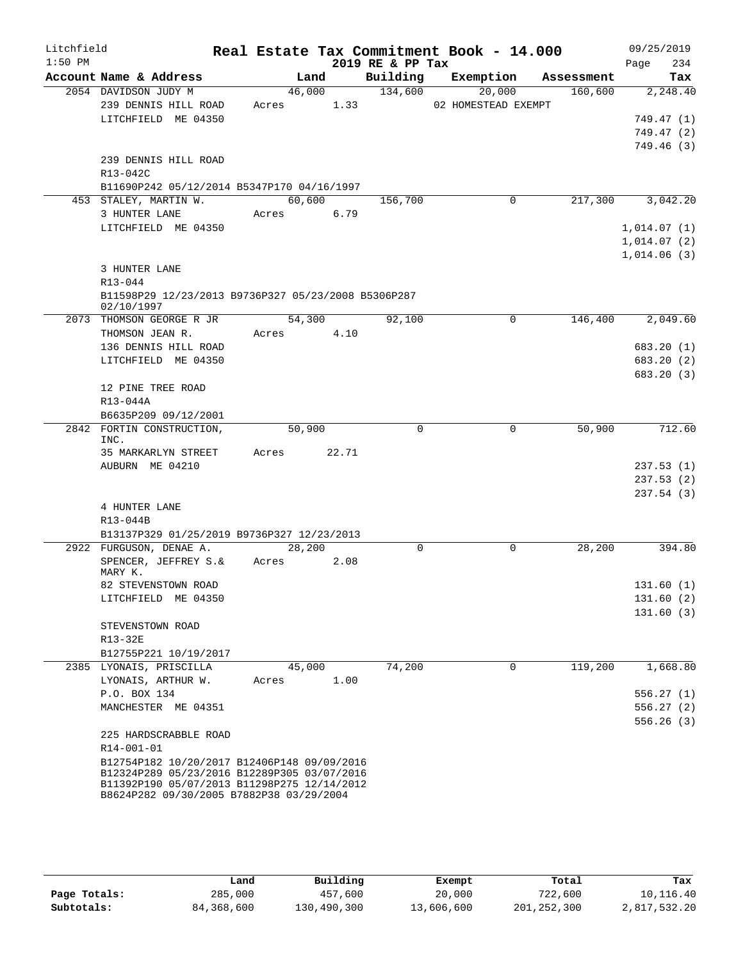| Litchfield<br>$1:50$ PM |                                                                                            |            |        | 2019 RE & PP Tax | Real Estate Tax Commitment Book - 14.000 |            | 09/25/2019<br>234<br>Page |
|-------------------------|--------------------------------------------------------------------------------------------|------------|--------|------------------|------------------------------------------|------------|---------------------------|
|                         | Account Name & Address                                                                     | Land       |        | Building         | Exemption                                | Assessment | Tax                       |
|                         | 2054 DAVIDSON JUDY M                                                                       |            | 46,000 | 134,600          | 20,000                                   | 160,600    | 2,248.40                  |
|                         | 239 DENNIS HILL ROAD                                                                       | Acres 1.33 |        |                  | 02 HOMESTEAD EXEMPT                      |            |                           |
|                         | LITCHFIELD ME 04350                                                                        |            |        |                  |                                          |            | 749.47 (1)                |
|                         |                                                                                            |            |        |                  |                                          |            | 749.47(2)                 |
|                         |                                                                                            |            |        |                  |                                          |            | 749.46(3)                 |
|                         | 239 DENNIS HILL ROAD                                                                       |            |        |                  |                                          |            |                           |
|                         | R13-042C                                                                                   |            |        |                  |                                          |            |                           |
|                         | B11690P242 05/12/2014 B5347P170 04/16/1997                                                 |            |        |                  |                                          |            |                           |
|                         | 453 STALEY, MARTIN W.                                                                      | 60,600     |        | 156,700          | 0                                        | 217,300    | 3,042.20                  |
|                         | 3 HUNTER LANE                                                                              | Acres 6.79 |        |                  |                                          |            |                           |
|                         | LITCHFIELD ME 04350                                                                        |            |        |                  |                                          |            | 1,014.07(1)               |
|                         |                                                                                            |            |        |                  |                                          |            | 1,014.07(2)               |
|                         |                                                                                            |            |        |                  |                                          |            | 1,014.06(3)               |
|                         | 3 HUNTER LANE                                                                              |            |        |                  |                                          |            |                           |
|                         | $R13 - 044$                                                                                |            |        |                  |                                          |            |                           |
|                         | B11598P29 12/23/2013 B9736P327 05/23/2008 B5306P287<br>02/10/1997                          |            |        |                  |                                          |            |                           |
|                         | 2073 THOMSON GEORGE R JR                                                                   |            | 54,300 | 92,100           | 0                                        | 146,400    | 2,049.60                  |
|                         | THOMSON JEAN R.                                                                            | Acres 4.10 |        |                  |                                          |            |                           |
|                         | 136 DENNIS HILL ROAD                                                                       |            |        |                  |                                          |            | 683.20 (1)                |
|                         | LITCHFIELD ME 04350                                                                        |            |        |                  |                                          |            | 683.20 (2)                |
|                         |                                                                                            |            |        |                  |                                          |            | 683.20 (3)                |
|                         | 12 PINE TREE ROAD                                                                          |            |        |                  |                                          |            |                           |
|                         | R13-044A                                                                                   |            |        |                  |                                          |            |                           |
|                         | B6635P209 09/12/2001                                                                       |            |        |                  |                                          |            |                           |
|                         | 2842 FORTIN CONSTRUCTION,<br>INC.                                                          | 50,900     |        | $\Omega$         | 0                                        | 50,900     | 712.60                    |
|                         | 35 MARKARLYN STREET                                                                        | Acres      | 22.71  |                  |                                          |            |                           |
|                         | AUBURN ME 04210                                                                            |            |        |                  |                                          |            | 237.53(1)                 |
|                         |                                                                                            |            |        |                  |                                          |            | 237.53(2)                 |
|                         |                                                                                            |            |        |                  |                                          |            | 237.54(3)                 |
|                         | 4 HUNTER LANE                                                                              |            |        |                  |                                          |            |                           |
|                         | R13-044B                                                                                   |            |        |                  |                                          |            |                           |
|                         | B13137P329 01/25/2019 B9736P327 12/23/2013                                                 |            |        |                  |                                          |            |                           |
|                         | 2922 FURGUSON, DENAE A.                                                                    | 28,200     |        | 0                | 0                                        | 28,200     | 394.80                    |
|                         | SPENCER, JEFFREY S.&<br>MARY K.                                                            | Acres      | 2.08   |                  |                                          |            |                           |
|                         | 82 STEVENSTOWN ROAD                                                                        |            |        |                  |                                          |            | 131.60(1)                 |
|                         | LITCHFIELD ME 04350                                                                        |            |        |                  |                                          |            | 131.60(2)                 |
|                         |                                                                                            |            |        |                  |                                          |            | 131.60(3)                 |
|                         | STEVENSTOWN ROAD                                                                           |            |        |                  |                                          |            |                           |
|                         | R13-32E                                                                                    |            |        |                  |                                          |            |                           |
|                         | B12755P221 10/19/2017                                                                      |            |        |                  |                                          |            |                           |
|                         | 2385 LYONAIS, PRISCILLA                                                                    | 45,000     |        | 74,200           | $\Omega$                                 | 119,200    | 1,668.80                  |
|                         | LYONAIS, ARTHUR W.                                                                         | Acres      | 1.00   |                  |                                          |            |                           |
|                         | P.O. BOX 134                                                                               |            |        |                  |                                          |            | 556.27(1)                 |
|                         | MANCHESTER ME 04351                                                                        |            |        |                  |                                          |            | 556.27 (2)                |
|                         |                                                                                            |            |        |                  |                                          |            | 556.26(3)                 |
|                         | 225 HARDSCRABBLE ROAD                                                                      |            |        |                  |                                          |            |                           |
|                         | R14-001-01                                                                                 |            |        |                  |                                          |            |                           |
|                         | B12754P182 10/20/2017 B12406P148 09/09/2016<br>B12324P289 05/23/2016 B12289P305 03/07/2016 |            |        |                  |                                          |            |                           |
|                         | B11392P190 05/07/2013 B11298P275 12/14/2012<br>B8624P282 09/30/2005 B7882P38 03/29/2004    |            |        |                  |                                          |            |                           |

|              | Land       | Building    | Exempt     | Total       | Tax          |
|--------------|------------|-------------|------------|-------------|--------------|
| Page Totals: | 285,000    | 457,600     | 20,000     | 722,600     | 10,116.40    |
| Subtotals:   | 84,368,600 | 130,490,300 | 13,606,600 | 201,252,300 | 2,817,532.20 |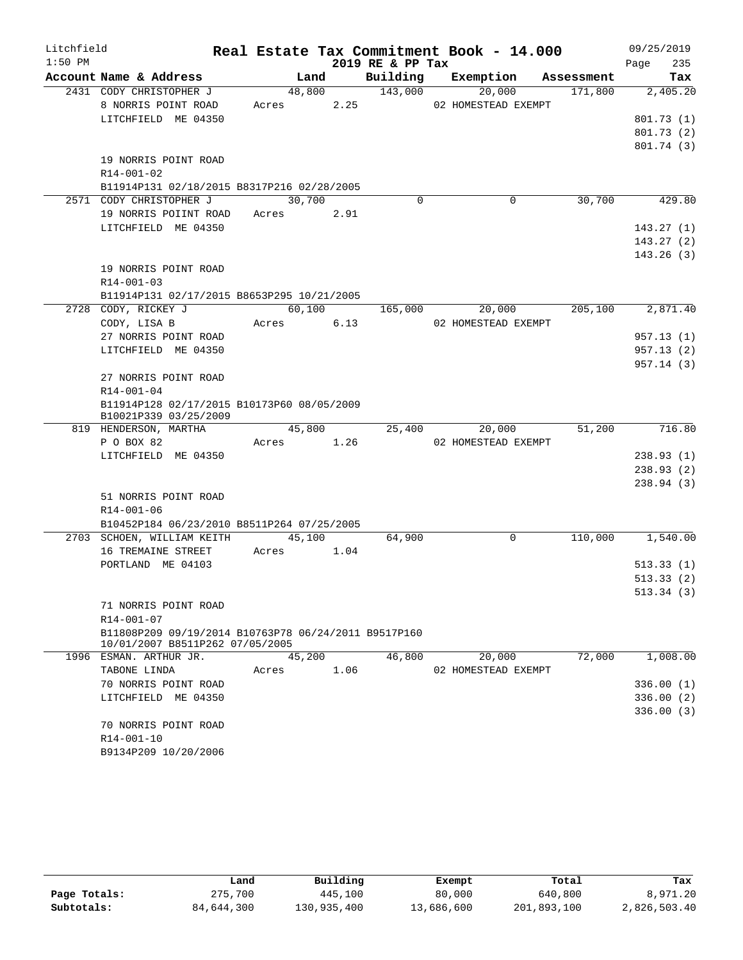| Litchfield |                                                                          |            |        |      |                  | Real Estate Tax Commitment Book - 14.000 |            | 09/25/2019             |
|------------|--------------------------------------------------------------------------|------------|--------|------|------------------|------------------------------------------|------------|------------------------|
| $1:50$ PM  |                                                                          |            |        |      | 2019 RE & PP Tax |                                          |            | 235<br>Page            |
|            | Account Name & Address                                                   |            | Land   |      | Building         | Exemption                                | Assessment | Tax                    |
|            | 2431 CODY CHRISTOPHER J                                                  |            | 48,800 |      | 143,000          | 20,000                                   | 171,800    | 2,405.20               |
|            | 8 NORRIS POINT ROAD                                                      | Acres 2.25 |        |      |                  | 02 HOMESTEAD EXEMPT                      |            |                        |
|            | LITCHFIELD ME 04350                                                      |            |        |      |                  |                                          |            | 801.73(1)              |
|            |                                                                          |            |        |      |                  |                                          |            | 801.73(2)              |
|            |                                                                          |            |        |      |                  |                                          |            | 801.74(3)              |
|            | 19 NORRIS POINT ROAD                                                     |            |        |      |                  |                                          |            |                        |
|            | $R14 - 001 - 02$                                                         |            |        |      |                  |                                          |            |                        |
|            | B11914P131 02/18/2015 B8317P216 02/28/2005<br>2571 CODY CHRISTOPHER J    |            | 30,700 |      | $\Omega$         | $\Omega$                                 | 30,700     | 429.80                 |
|            | 19 NORRIS POIINT ROAD                                                    |            |        |      |                  |                                          |            |                        |
|            |                                                                          | Acres 2.91 |        |      |                  |                                          |            |                        |
|            | LITCHFIELD ME 04350                                                      |            |        |      |                  |                                          |            | 143.27(1)<br>143.27(2) |
|            |                                                                          |            |        |      |                  |                                          |            | 143.26(3)              |
|            | 19 NORRIS POINT ROAD                                                     |            |        |      |                  |                                          |            |                        |
|            | $R14 - 001 - 03$                                                         |            |        |      |                  |                                          |            |                        |
|            | B11914P131 02/17/2015 B8653P295 10/21/2005                               |            |        |      |                  |                                          |            |                        |
|            | 2728 CODY, RICKEY J                                                      |            | 60,100 |      | 165,000          | 20,000                                   | 205,100    | 2,871.40               |
|            | CODY, LISA B                                                             | Acres      |        | 6.13 |                  | 02 HOMESTEAD EXEMPT                      |            |                        |
|            | 27 NORRIS POINT ROAD                                                     |            |        |      |                  |                                          |            | 957.13(1)              |
|            | LITCHFIELD ME 04350                                                      |            |        |      |                  |                                          |            | 957.13(2)              |
|            |                                                                          |            |        |      |                  |                                          |            | 957.14(3)              |
|            | 27 NORRIS POINT ROAD                                                     |            |        |      |                  |                                          |            |                        |
|            | R14-001-04                                                               |            |        |      |                  |                                          |            |                        |
|            | B11914P128 02/17/2015 B10173P60 08/05/2009                               |            |        |      |                  |                                          |            |                        |
|            | B10021P339 03/25/2009                                                    |            |        |      |                  |                                          |            |                        |
|            | 819 HENDERSON, MARTHA                                                    |            | 45,800 |      | 25,400           | 20,000                                   | 51,200     | 716.80                 |
|            | P O BOX 82                                                               | Acres      |        | 1.26 |                  | 02 HOMESTEAD EXEMPT                      |            |                        |
|            | LITCHFIELD ME 04350                                                      |            |        |      |                  |                                          |            | 238.93(1)              |
|            |                                                                          |            |        |      |                  |                                          |            | 238.93(2)              |
|            |                                                                          |            |        |      |                  |                                          |            | 238.94(3)              |
|            | 51 NORRIS POINT ROAD                                                     |            |        |      |                  |                                          |            |                        |
|            | R14-001-06                                                               |            |        |      |                  |                                          |            |                        |
|            | B10452P184 06/23/2010 B8511P264 07/25/2005<br>2703 SCHOEN, WILLIAM KEITH |            | 45,100 |      | 64,900           | $\mathbf 0$                              | 110,000    | 1,540.00               |
|            | 16 TREMAINE STREET                                                       | Acres      |        | 1.04 |                  |                                          |            |                        |
|            | PORTLAND ME 04103                                                        |            |        |      |                  |                                          |            | 513.33(1)              |
|            |                                                                          |            |        |      |                  |                                          |            | 513.33(2)              |
|            |                                                                          |            |        |      |                  |                                          |            | 513.34 (3)             |
|            | 71 NORRIS POINT ROAD                                                     |            |        |      |                  |                                          |            |                        |
|            | R14-001-07                                                               |            |        |      |                  |                                          |            |                        |
|            | B11808P209 09/19/2014 B10763P78 06/24/2011 B9517P160                     |            |        |      |                  |                                          |            |                        |
|            | 10/01/2007 B8511P262 07/05/2005                                          |            |        |      |                  |                                          |            |                        |
|            | 1996 ESMAN. ARTHUR JR.                                                   |            | 45,200 |      | 46,800           | 20,000                                   | 72,000     | 1,008.00               |
|            | TABONE LINDA                                                             | Acres      |        | 1.06 |                  | 02 HOMESTEAD EXEMPT                      |            |                        |
|            | 70 NORRIS POINT ROAD                                                     |            |        |      |                  |                                          |            | 336.00 (1)             |
|            | LITCHFIELD ME 04350                                                      |            |        |      |                  |                                          |            | 336.00(2)              |
|            |                                                                          |            |        |      |                  |                                          |            | 336.00 (3)             |
|            | 70 NORRIS POINT ROAD                                                     |            |        |      |                  |                                          |            |                        |
|            | R14-001-10                                                               |            |        |      |                  |                                          |            |                        |
|            | B9134P209 10/20/2006                                                     |            |        |      |                  |                                          |            |                        |

|              | Land       | Building    | Exempt     | Total       | Tax          |
|--------------|------------|-------------|------------|-------------|--------------|
| Page Totals: | 275,700    | 445,100     | 80,000     | 640,800     | 8,971.20     |
| Subtotals:   | 84,644,300 | 130,935,400 | 13,686,600 | 201,893,100 | 2,826,503.40 |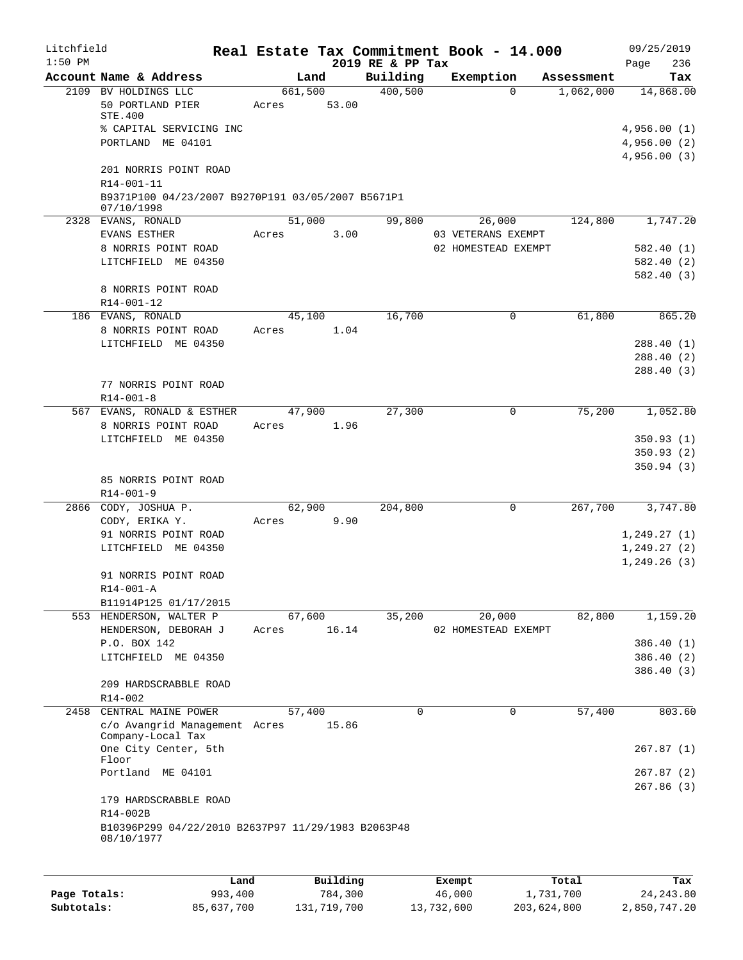| Litchfield |                                                                                                       |       |                  |                  | Real Estate Tax Commitment Book - 14.000  |            | 09/25/2019                              |
|------------|-------------------------------------------------------------------------------------------------------|-------|------------------|------------------|-------------------------------------------|------------|-----------------------------------------|
| $1:50$ PM  |                                                                                                       |       |                  | 2019 RE & PP Tax |                                           |            | 236<br>Page                             |
|            | Account Name & Address                                                                                |       | Land             | Building         | Exemption                                 | Assessment | Tax                                     |
|            | 2109 BV HOLDINGS LLC<br>50 PORTLAND PIER<br>STE.400<br>% CAPITAL SERVICING INC<br>PORTLAND ME 04101   | Acres | 661,500<br>53.00 | 400,500          | $\Omega$                                  | 1,062,000  | 14,868.00<br>4,956.00(1)<br>4,956.00(2) |
|            | 201 NORRIS POINT ROAD<br>R14-001-11<br>B9371P100 04/23/2007 B9270P191 03/05/2007 B5671P1              |       |                  |                  |                                           |            | 4,956.00(3)                             |
|            | 07/10/1998<br>2328 EVANS, RONALD                                                                      |       | 51,000           | 99,800           | 26,000                                    | 124,800    | 1,747.20                                |
|            | EVANS ESTHER<br>8 NORRIS POINT ROAD                                                                   | Acres | 3.00             |                  | 03 VETERANS EXEMPT<br>02 HOMESTEAD EXEMPT |            | 582.40(1)                               |
|            | LITCHFIELD ME 04350                                                                                   |       |                  |                  |                                           |            | 582.40(2)<br>582.40(3)                  |
|            | 8 NORRIS POINT ROAD<br>R14-001-12                                                                     |       |                  |                  |                                           |            |                                         |
|            | 186 EVANS, RONALD                                                                                     |       | 45,100           | 16,700           | 0                                         | 61,800     | 865.20                                  |
|            | 8 NORRIS POINT ROAD                                                                                   | Acres | 1.04             |                  |                                           |            |                                         |
|            | LITCHFIELD ME 04350                                                                                   |       |                  |                  |                                           |            | 288.40(1)<br>288.40(2)                  |
|            |                                                                                                       |       |                  |                  |                                           |            | 288.40(3)                               |
|            | 77 NORRIS POINT ROAD<br>$R14 - 001 - 8$                                                               |       |                  |                  |                                           |            |                                         |
|            | 567 EVANS, RONALD & ESTHER                                                                            |       | 47,900           | 27,300           | 0                                         | 75,200     | 1,052.80                                |
|            | 8 NORRIS POINT ROAD<br>LITCHFIELD ME 04350                                                            | Acres | 1.96             |                  |                                           |            | 350.93(1)                               |
|            |                                                                                                       |       |                  |                  |                                           |            | 350.93(2)                               |
|            |                                                                                                       |       |                  |                  |                                           |            | 350.94(3)                               |
|            | 85 NORRIS POINT ROAD<br>$R14 - 001 - 9$                                                               |       |                  |                  |                                           |            |                                         |
|            | 2866 CODY, JOSHUA P.                                                                                  |       | 62,900           | 204,800          | 0                                         | 267,700    | 3,747.80                                |
|            | CODY, ERIKA Y.<br>91 NORRIS POINT ROAD                                                                | Acres | 9.90             |                  |                                           |            | 1,249.27(1)                             |
|            | LITCHFIELD ME 04350                                                                                   |       |                  |                  |                                           |            | 1, 249.27(2)                            |
|            |                                                                                                       |       |                  |                  |                                           |            | 1,249.26(3)                             |
|            | 91 NORRIS POINT ROAD<br>$R14 - 001 - A$                                                               |       |                  |                  |                                           |            |                                         |
|            | B11914P125 01/17/2015                                                                                 |       |                  |                  |                                           |            |                                         |
|            | 553 HENDERSON, WALTER P<br>HENDERSON, DEBORAH J                                                       | Acres | 67,600<br>16.14  | 35,200           | 20,000<br>02 HOMESTEAD EXEMPT             | 82,800     | 1,159.20                                |
|            | P.O. BOX 142                                                                                          |       |                  |                  |                                           |            | 386.40 (1)                              |
|            | LITCHFIELD ME 04350                                                                                   |       |                  |                  |                                           |            | 386.40 (2)                              |
|            | 209 HARDSCRABBLE ROAD                                                                                 |       |                  |                  |                                           |            | 386.40(3)                               |
|            | $R14 - 002$<br>2458 CENTRAL MAINE POWER                                                               |       | 57,400           | 0                | $\Omega$                                  | 57,400     | 803.60                                  |
|            | c/o Avangrid Management Acres<br>Company-Local Tax                                                    |       | 15.86            |                  |                                           |            |                                         |
|            | One City Center, 5th<br>Floor                                                                         |       |                  |                  |                                           |            | 267.87(1)                               |
|            | Portland ME 04101                                                                                     |       |                  |                  |                                           |            | 267.87 (2)<br>267.86(3)                 |
|            | 179 HARDSCRABBLE ROAD<br>R14-002B<br>B10396P299 04/22/2010 B2637P97 11/29/1983 B2063P48<br>08/10/1977 |       |                  |                  |                                           |            |                                         |
|            |                                                                                                       |       |                  |                  |                                           |            |                                         |
|            | Land.                                                                                                 |       | $P1$ ilding      |                  | $F$ vomnt                                 | $T$ ctal   | To y                                    |

|              | Land       | Building    | Exempt     | Total       | Tax          |
|--------------|------------|-------------|------------|-------------|--------------|
| Page Totals: | 993,400    | 784,300     | 46,000     | 1,731,700   | 24, 243, 80  |
| Subtotals:   | 85,637,700 | 131,719,700 | 13,732,600 | 203,624,800 | 2,850,747.20 |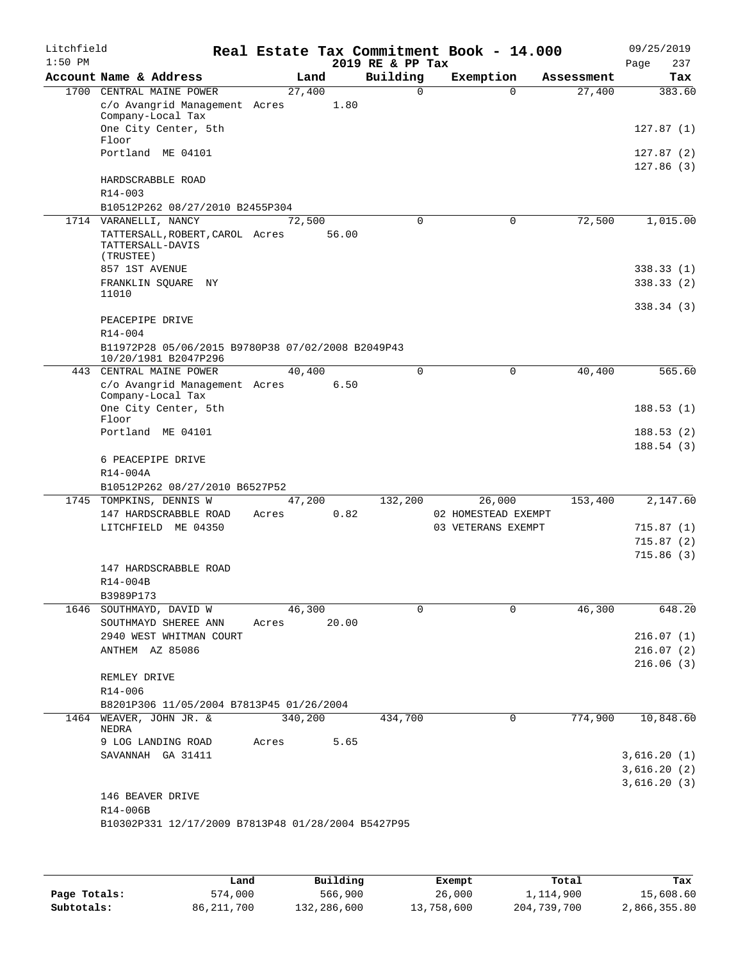| Litchfield<br>$1:50$ PM |                                                                           |         |                | 2019 RE & PP Tax | Real Estate Tax Commitment Book - 14.000 |            | 09/25/2019<br>237<br>Page |
|-------------------------|---------------------------------------------------------------------------|---------|----------------|------------------|------------------------------------------|------------|---------------------------|
|                         | Account Name & Address                                                    |         | Land           | Building         | Exemption                                | Assessment | Tax                       |
|                         | 1700 CENTRAL MAINE POWER                                                  | 27,400  |                | $\Omega$         | $\Omega$                                 | 27,400     | 383.60                    |
|                         | c/o Avangrid Management Acres<br>Company-Local Tax                        |         | 1.80           |                  |                                          |            |                           |
|                         | One City Center, 5th<br>Floor                                             |         |                |                  |                                          |            | 127.87(1)                 |
|                         | Portland ME 04101                                                         |         |                |                  |                                          |            | 127.87(2)<br>127.86(3)    |
|                         | HARDSCRABBLE ROAD<br>R14-003                                              |         |                |                  |                                          |            |                           |
|                         | B10512P262 08/27/2010 B2455P304                                           |         |                |                  |                                          |            |                           |
|                         | 1714 VARANELLI, NANCY                                                     |         | 72,500         | $\Omega$         | $\mathbf 0$                              | 72,500     | 1,015.00                  |
|                         | TATTERSALL, ROBERT, CAROL Acres<br>TATTERSALL-DAVIS<br>(TRUSTEE)          |         | 56.00          |                  |                                          |            |                           |
|                         | 857 1ST AVENUE                                                            |         |                |                  |                                          |            | 338.33(1)                 |
|                         | FRANKLIN SQUARE NY<br>11010                                               |         |                |                  |                                          |            | 338.33(2)                 |
|                         |                                                                           |         |                |                  |                                          |            | 338.34(3)                 |
|                         | PEACEPIPE DRIVE<br>R14-004                                                |         |                |                  |                                          |            |                           |
|                         | B11972P28 05/06/2015 B9780P38 07/02/2008 B2049P43<br>10/20/1981 B2047P296 |         |                |                  |                                          |            |                           |
| 443                     | CENTRAL MAINE POWER<br>c/o Avangrid Management Acres                      |         | 40,400<br>6.50 | $\Omega$         | $\mathbf 0$                              | 40,400     | 565.60                    |
|                         | Company-Local Tax<br>One City Center, 5th                                 |         |                |                  |                                          |            | 188.53(1)                 |
|                         | Floor<br>Portland ME 04101                                                |         |                |                  |                                          |            | 188.53 (2)                |
|                         | 6 PEACEPIPE DRIVE                                                         |         |                |                  |                                          |            | 188.54(3)                 |
|                         | R14-004A                                                                  |         |                |                  |                                          |            |                           |
|                         | B10512P262 08/27/2010 B6527P52                                            |         |                |                  |                                          |            |                           |
|                         | 1745 TOMPKINS, DENNIS W<br>147 HARDSCRABBLE ROAD                          | Acres   | 47,200<br>0.82 | 132,200          | 26,000<br>02 HOMESTEAD EXEMPT            | 153,400    | 2,147.60                  |
|                         | LITCHFIELD ME 04350                                                       |         |                |                  | 03 VETERANS EXEMPT                       |            | 715.87(1)                 |
|                         |                                                                           |         |                |                  |                                          |            | 715.87(2)                 |
|                         |                                                                           |         |                |                  |                                          |            | 715.86(3)                 |
|                         | 147 HARDSCRABBLE ROAD                                                     |         |                |                  |                                          |            |                           |
|                         | $R14 - 004B$                                                              |         |                |                  |                                          |            |                           |
|                         | B3989P173                                                                 |         |                |                  |                                          |            |                           |
|                         | 1646 SOUTHMAYD, DAVID W                                                   |         | 46,300         | $\Omega$         | $\Omega$                                 | 46,300     | 648.20                    |
|                         | SOUTHMAYD SHEREE ANN                                                      | Acres   | 20.00          |                  |                                          |            |                           |
|                         | 2940 WEST WHITMAN COURT                                                   |         |                |                  |                                          |            | 216.07(1)                 |
|                         | ANTHEM AZ 85086                                                           |         |                |                  |                                          |            | 216.07(2)                 |
|                         | REMLEY DRIVE                                                              |         |                |                  |                                          |            | 216.06(3)                 |
|                         | R14-006<br>B8201P306 11/05/2004 B7813P45 01/26/2004                       |         |                |                  |                                          |            |                           |
|                         | 1464 WEAVER, JOHN JR. &<br>NEDRA                                          | 340,200 |                | 434,700          | 0                                        | 774,900    | 10,848.60                 |
|                         | 9 LOG LANDING ROAD                                                        | Acres   | 5.65           |                  |                                          |            |                           |
|                         | SAVANNAH GA 31411                                                         |         |                |                  |                                          |            | 3,616.20(1)               |
|                         |                                                                           |         |                |                  |                                          |            | 3,616.20(2)               |
|                         |                                                                           |         |                |                  |                                          |            | 3,616.20(3)               |
|                         | 146 BEAVER DRIVE<br>R14-006B                                              |         |                |                  |                                          |            |                           |
|                         | B10302P331 12/17/2009 B7813P48 01/28/2004 B5427P95                        |         |                |                  |                                          |            |                           |
|                         |                                                                           |         |                |                  |                                          |            |                           |

|              | Land         | Building    | Exempt     | Total       | Tax          |
|--------------|--------------|-------------|------------|-------------|--------------|
| Page Totals: | 574,000      | 566,900     | 26,000     | 1,114,900   | 15,608.60    |
| Subtotals:   | 86, 211, 700 | 132,286,600 | 13,758,600 | 204,739,700 | 2,866,355.80 |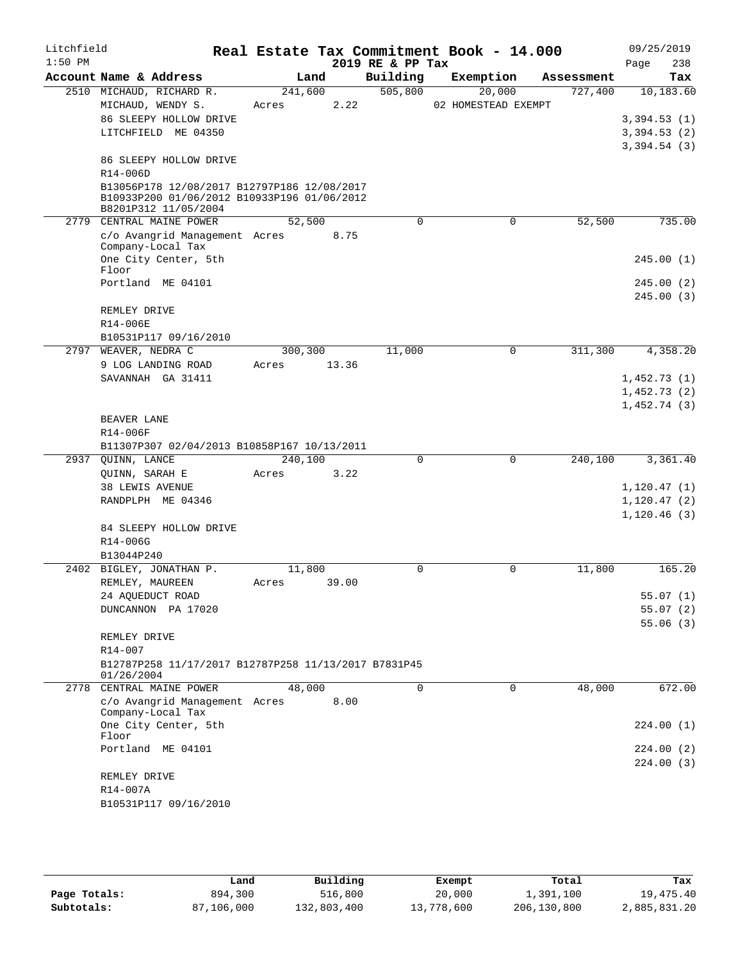| Litchfield<br>$1:50$ PM |                                                                                                                    |         |       | 2019 RE & PP Tax | Real Estate Tax Commitment Book - 14.000 |            | 09/25/2019<br>238<br>Page |
|-------------------------|--------------------------------------------------------------------------------------------------------------------|---------|-------|------------------|------------------------------------------|------------|---------------------------|
|                         | Account Name & Address                                                                                             | Land    |       | Building         | Exemption                                | Assessment | Tax                       |
|                         | 2510 MICHAUD, RICHARD R.                                                                                           | 241,600 |       | 505,800          | 20,000                                   | 727,400    | 10, 183.60                |
|                         | MICHAUD, WENDY S.<br>86 SLEEPY HOLLOW DRIVE                                                                        | Acres   | 2.22  |                  | 02 HOMESTEAD EXEMPT                      |            | 3,394.53(1)               |
|                         | LITCHFIELD ME 04350                                                                                                |         |       |                  |                                          |            | 3,394.53(2)               |
|                         |                                                                                                                    |         |       |                  |                                          |            | 3,394.54(3)               |
|                         | 86 SLEEPY HOLLOW DRIVE<br>R14-006D                                                                                 |         |       |                  |                                          |            |                           |
|                         | B13056P178 12/08/2017 B12797P186 12/08/2017<br>B10933P200 01/06/2012 B10933P196 01/06/2012<br>B8201P312 11/05/2004 |         |       |                  |                                          |            |                           |
|                         | 2779 CENTRAL MAINE POWER                                                                                           | 52,500  |       | $\Omega$         | $\mathbf 0$                              | 52,500     | 735.00                    |
|                         | c/o Avangrid Management Acres<br>Company-Local Tax                                                                 |         | 8.75  |                  |                                          |            |                           |
|                         | One City Center, 5th<br>Floor                                                                                      |         |       |                  |                                          |            | 245.00(1)                 |
|                         | Portland ME 04101                                                                                                  |         |       |                  |                                          |            | 245.00(2)                 |
|                         |                                                                                                                    |         |       |                  |                                          |            | 245.00(3)                 |
|                         | REMLEY DRIVE                                                                                                       |         |       |                  |                                          |            |                           |
|                         | R14-006E                                                                                                           |         |       |                  |                                          |            |                           |
|                         | B10531P117 09/16/2010                                                                                              |         |       |                  |                                          |            |                           |
| 2797                    | WEAVER, NEDRA C                                                                                                    | 300,300 | 13.36 | 11,000           | $\mathbf 0$                              | 311,300    | 4,358.20                  |
|                         | 9 LOG LANDING ROAD<br>SAVANNAH GA 31411                                                                            | Acres   |       |                  |                                          |            | 1,452.73(1)               |
|                         |                                                                                                                    |         |       |                  |                                          |            | 1,452.73(2)               |
|                         |                                                                                                                    |         |       |                  |                                          |            | 1,452.74(3)               |
|                         | BEAVER LANE                                                                                                        |         |       |                  |                                          |            |                           |
|                         | R14-006F                                                                                                           |         |       |                  |                                          |            |                           |
|                         | B11307P307 02/04/2013 B10858P167 10/13/2011                                                                        |         |       |                  |                                          |            |                           |
| 2937                    | QUINN, LANCE                                                                                                       | 240,100 |       | $\Omega$         | $\mathbf 0$                              | 240,100    | 3,361.40                  |
|                         | QUINN, SARAH E                                                                                                     | Acres   | 3.22  |                  |                                          |            |                           |
|                         | 38 LEWIS AVENUE                                                                                                    |         |       |                  |                                          |            | 1, 120.47(1)              |
|                         | RANDPLPH ME 04346                                                                                                  |         |       |                  |                                          |            | 1, 120.47(2)              |
|                         |                                                                                                                    |         |       |                  |                                          |            | 1,120.46(3)               |
|                         | 84 SLEEPY HOLLOW DRIVE                                                                                             |         |       |                  |                                          |            |                           |
|                         | R14-006G                                                                                                           |         |       |                  |                                          |            |                           |
|                         | B13044P240                                                                                                         |         |       |                  |                                          |            |                           |
|                         | 2402 BIGLEY, JONATHAN P.                                                                                           | 11,800  |       | 0                | 0                                        | 11,800     | 165.20                    |
|                         | REMLEY, MAUREEN                                                                                                    | Acres   | 39.00 |                  |                                          |            |                           |
|                         | 24 AQUEDUCT ROAD                                                                                                   |         |       |                  |                                          |            | 55.07 (1)                 |
|                         | DUNCANNON PA 17020                                                                                                 |         |       |                  |                                          |            | 55.07 (2)                 |
|                         |                                                                                                                    |         |       |                  |                                          |            | 55.06(3)                  |
|                         | REMLEY DRIVE                                                                                                       |         |       |                  |                                          |            |                           |
|                         | R14-007<br>B12787P258 11/17/2017 B12787P258 11/13/2017 B7831P45                                                    |         |       |                  |                                          |            |                           |
|                         | 01/26/2004                                                                                                         |         |       |                  |                                          |            |                           |
| 2778                    | CENTRAL MAINE POWER                                                                                                | 48,000  |       | $\Omega$         | 0                                        | 48,000     | 672.00                    |
|                         | c/o Avangrid Management Acres<br>Company-Local Tax                                                                 |         | 8.00  |                  |                                          |            |                           |
|                         | One City Center, 5th<br>Floor                                                                                      |         |       |                  |                                          |            | 224.00(1)                 |
|                         | Portland ME 04101                                                                                                  |         |       |                  |                                          |            | 224.00 (2)                |
|                         | REMLEY DRIVE                                                                                                       |         |       |                  |                                          |            | 224.00 (3)                |
|                         | R14-007A                                                                                                           |         |       |                  |                                          |            |                           |
|                         | B10531P117 09/16/2010                                                                                              |         |       |                  |                                          |            |                           |
|                         |                                                                                                                    |         |       |                  |                                          |            |                           |

|              | Land       | Building    | Exempt     | Total       | Tax          |
|--------------|------------|-------------|------------|-------------|--------------|
| Page Totals: | 894,300    | 516,800     | 20,000     | 1,391,100   | 19,475.40    |
| Subtotals:   | 87,106,000 | 132,803,400 | 13,778,600 | 206,130,800 | 2,885,831.20 |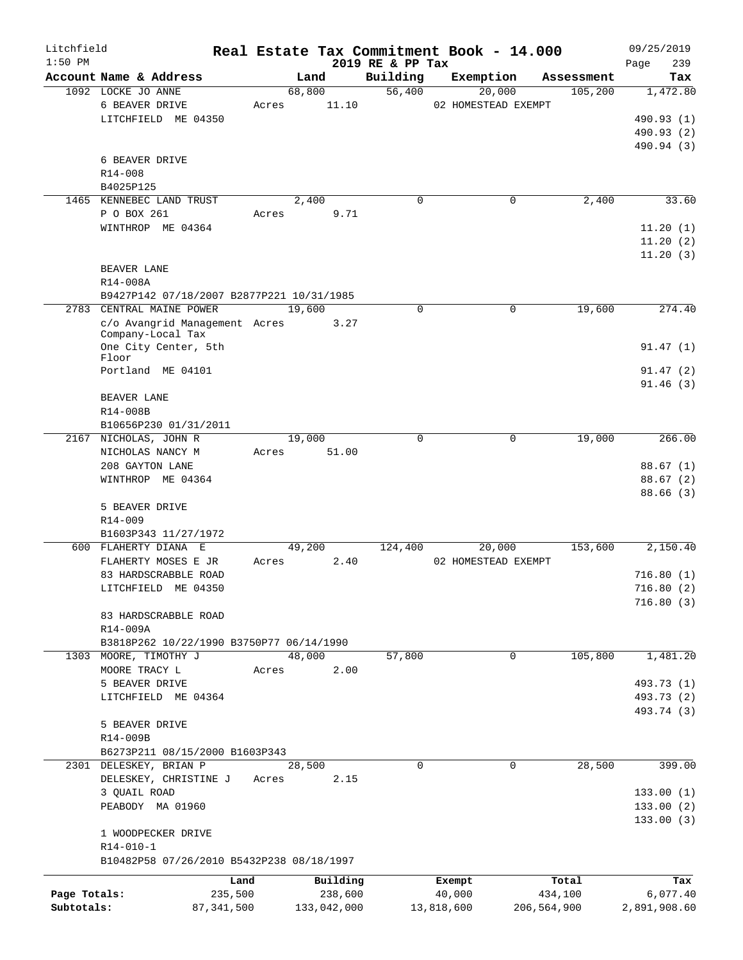| Litchfield   |                                           |         |             |                              | Real Estate Tax Commitment Book - 14.000 |             | 09/25/2019         |
|--------------|-------------------------------------------|---------|-------------|------------------------------|------------------------------------------|-------------|--------------------|
| $1:50$ PM    | Account Name & Address                    |         | Land        | 2019 RE & PP Tax<br>Building | Exemption                                | Assessment  | 239<br>Page<br>Tax |
|              | 1092 LOCKE JO ANNE                        |         | 68,800      | 56,400                       | 20,000                                   | 105, 200    | 1,472.80           |
|              | 6 BEAVER DRIVE                            | Acres   | 11.10       |                              | 02 HOMESTEAD EXEMPT                      |             |                    |
|              | LITCHFIELD ME 04350                       |         |             |                              |                                          |             | 490.93 (1)         |
|              |                                           |         |             |                              |                                          |             | 490.93 (2)         |
|              |                                           |         |             |                              |                                          |             | 490.94 (3)         |
|              | 6 BEAVER DRIVE                            |         |             |                              |                                          |             |                    |
|              | R14-008                                   |         |             |                              |                                          |             |                    |
|              | B4025P125                                 |         |             |                              |                                          |             |                    |
|              | 1465 KENNEBEC LAND TRUST                  |         | 2,400       | $\mathbf 0$                  | $\mathbf 0$                              | 2,400       | 33.60              |
|              | P O BOX 261                               |         |             |                              |                                          |             |                    |
|              |                                           | Acres   | 9.71        |                              |                                          |             |                    |
|              | WINTHROP ME 04364                         |         |             |                              |                                          |             | 11.20(1)           |
|              |                                           |         |             |                              |                                          |             | 11.20(2)           |
|              |                                           |         |             |                              |                                          |             | 11.20(3)           |
|              | BEAVER LANE                               |         |             |                              |                                          |             |                    |
|              | R14-008A                                  |         |             |                              |                                          |             |                    |
|              | B9427P142 07/18/2007 B2877P221 10/31/1985 |         |             |                              |                                          |             |                    |
| 2783         | CENTRAL MAINE POWER                       |         | 19,600      | $\Omega$                     | $\mathbf 0$                              | 19,600      | 274.40             |
|              | c/o Avangrid Management Acres             |         | 3.27        |                              |                                          |             |                    |
|              | Company-Local Tax                         |         |             |                              |                                          |             |                    |
|              | One City Center, 5th                      |         |             |                              |                                          |             | 91.47(1)           |
|              | Floor                                     |         |             |                              |                                          |             |                    |
|              | Portland ME 04101                         |         |             |                              |                                          |             | 91.47(2)           |
|              |                                           |         |             |                              |                                          |             | 91.46(3)           |
|              | BEAVER LANE                               |         |             |                              |                                          |             |                    |
|              | R14-008B                                  |         |             |                              |                                          |             |                    |
|              | B10656P230 01/31/2011                     |         |             |                              |                                          |             |                    |
|              | 2167 NICHOLAS, JOHN R                     |         | 19,000      | $\Omega$                     | 0                                        | 19,000      | 266.00             |
|              | NICHOLAS NANCY M                          | Acres   | 51.00       |                              |                                          |             |                    |
|              | 208 GAYTON LANE                           |         |             |                              |                                          |             | 88.67(1)           |
|              | WINTHROP ME 04364                         |         |             |                              |                                          |             | 88.67(2)           |
|              |                                           |         |             |                              |                                          |             | 88.66(3)           |
|              | 5 BEAVER DRIVE                            |         |             |                              |                                          |             |                    |
|              | R14-009                                   |         |             |                              |                                          |             |                    |
|              | B1603P343 11/27/1972                      |         |             |                              |                                          |             |                    |
|              | 600 FLAHERTY DIANA E                      |         | 49,200      | 124,400                      | 20,000                                   | 153,600     | 2,150.40           |
|              | FLAHERTY MOSES E JR                       | Acres   | 2.40        |                              | 02 HOMESTEAD EXEMPT                      |             |                    |
|              | 83 HARDSCRABBLE ROAD                      |         |             |                              |                                          |             | 716.80(1)          |
|              | LITCHFIELD ME 04350                       |         |             |                              |                                          |             | 716.80(2)          |
|              |                                           |         |             |                              |                                          |             | 716.80(3)          |
|              | 83 HARDSCRABBLE ROAD                      |         |             |                              |                                          |             |                    |
|              | R14-009A                                  |         |             |                              |                                          |             |                    |
|              | B3818P262 10/22/1990 B3750P77 06/14/1990  |         |             |                              |                                          |             |                    |
| 1303         | MOORE, TIMOTHY J                          |         | 48,000      | 57,800                       | 0                                        | 105,800     | 1,481.20           |
|              | MOORE TRACY L                             | Acres   | 2.00        |                              |                                          |             |                    |
|              | 5 BEAVER DRIVE                            |         |             |                              |                                          |             | 493.73 (1)         |
|              | LITCHFIELD ME 04364                       |         |             |                              |                                          |             | 493.73 (2)         |
|              |                                           |         |             |                              |                                          |             | 493.74 (3)         |
|              | 5 BEAVER DRIVE                            |         |             |                              |                                          |             |                    |
|              | R14-009B                                  |         |             |                              |                                          |             |                    |
|              |                                           |         |             |                              |                                          |             |                    |
|              | B6273P211 08/15/2000 B1603P343            |         | 28,500      | 0                            |                                          | 28,500      | 399.00             |
|              | 2301 DELESKEY, BRIAN P                    |         |             |                              | 0                                        |             |                    |
|              | DELESKEY, CHRISTINE J                     | Acres   | 2.15        |                              |                                          |             |                    |
|              | 3 QUAIL ROAD                              |         |             |                              |                                          |             | 133.00(1)          |
|              | PEABODY MA 01960                          |         |             |                              |                                          |             | 133.00(2)          |
|              |                                           |         |             |                              |                                          |             | 133.00(3)          |
|              | 1 WOODPECKER DRIVE                        |         |             |                              |                                          |             |                    |
|              | R14-010-1                                 |         |             |                              |                                          |             |                    |
|              | B10482P58 07/26/2010 B5432P238 08/18/1997 |         |             |                              |                                          |             |                    |
|              |                                           | Land    | Building    |                              | Exempt                                   | Total       | Tax                |
| Page Totals: |                                           | 235,500 | 238,600     |                              | 40,000                                   | 434,100     | 6,077.40           |
| Subtotals:   | 87, 341, 500                              |         | 133,042,000 |                              | 13,818,600                               | 206,564,900 | 2,891,908.60       |
|              |                                           |         |             |                              |                                          |             |                    |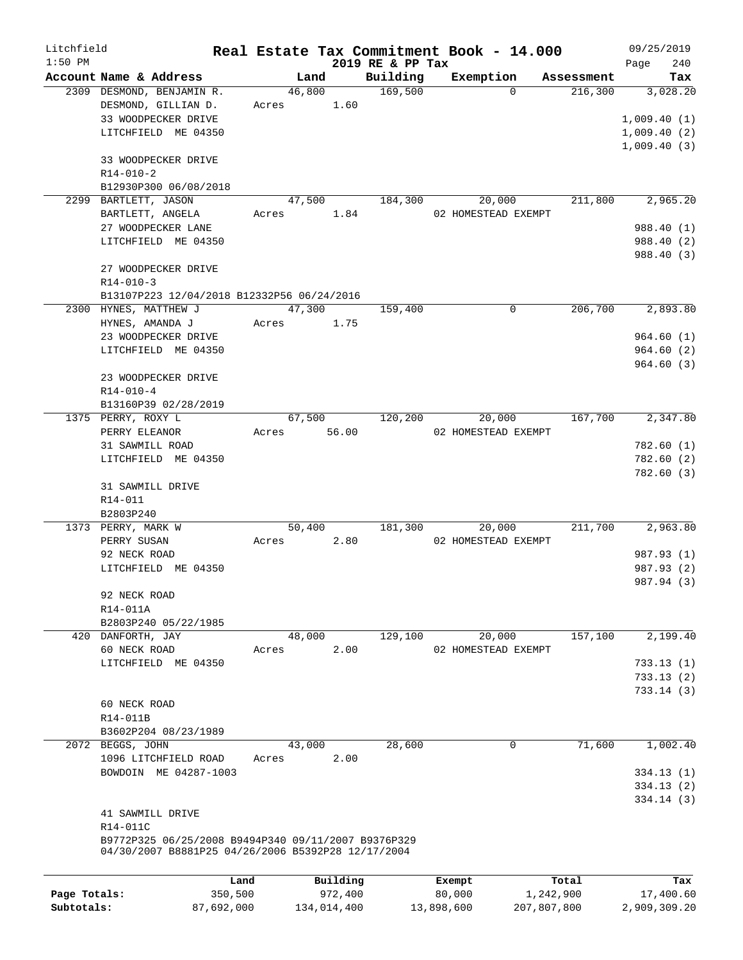| Litchfield   |                                                     |         |          |                  | Real Estate Tax Commitment Book - 14.000 |            | 09/25/2019                 |
|--------------|-----------------------------------------------------|---------|----------|------------------|------------------------------------------|------------|----------------------------|
| $1:50$ PM    |                                                     |         |          | 2019 RE & PP Tax |                                          |            | 240<br>Page                |
|              | Account Name & Address                              |         | Land     | Building         | Exemption                                | Assessment | Tax                        |
|              | 2309 DESMOND, BENJAMIN R.                           |         | 46,800   | 169,500          | $\Omega$                                 | 216,300    | 3,028.20                   |
|              | DESMOND, GILLIAN D.                                 | Acres   | 1.60     |                  |                                          |            |                            |
|              | 33 WOODPECKER DRIVE                                 |         |          |                  |                                          |            | 1,009.40(1)                |
|              | LITCHFIELD ME 04350                                 |         |          |                  |                                          |            | 1,009.40(2)<br>1,009.40(3) |
|              | 33 WOODPECKER DRIVE                                 |         |          |                  |                                          |            |                            |
|              | $R14 - 010 - 2$                                     |         |          |                  |                                          |            |                            |
|              | B12930P300 06/08/2018                               |         |          |                  |                                          |            |                            |
|              | 2299 BARTLETT, JASON                                |         | 47,500   | 184,300          | 20,000                                   | 211,800    | 2,965.20                   |
|              | BARTLETT, ANGELA                                    | Acres   | 1.84     |                  | 02 HOMESTEAD EXEMPT                      |            |                            |
|              | 27 WOODPECKER LANE                                  |         |          |                  |                                          |            | 988.40 (1)                 |
|              | LITCHFIELD ME 04350                                 |         |          |                  |                                          |            | 988.40 (2)                 |
|              |                                                     |         |          |                  |                                          |            | 988.40 (3)                 |
|              | 27 WOODPECKER DRIVE                                 |         |          |                  |                                          |            |                            |
|              | $R14 - 010 - 3$                                     |         |          |                  |                                          |            |                            |
|              | B13107P223 12/04/2018 B12332P56 06/24/2016          |         |          |                  |                                          |            |                            |
|              | 2300 HYNES, MATTHEW J                               |         | 47,300   | 159,400          | 0                                        | 206,700    | 2,893.80                   |
|              | HYNES, AMANDA J                                     | Acres   | 1.75     |                  |                                          |            |                            |
|              | 23 WOODPECKER DRIVE                                 |         |          |                  |                                          |            | 964.60(1)                  |
|              | LITCHFIELD ME 04350                                 |         |          |                  |                                          |            | 964.60(2)                  |
|              |                                                     |         |          |                  |                                          |            | 964.60(3)                  |
|              | 23 WOODPECKER DRIVE                                 |         |          |                  |                                          |            |                            |
|              | $R14 - 010 - 4$                                     |         |          |                  |                                          |            |                            |
|              | B13160P39 02/28/2019                                |         |          |                  |                                          |            |                            |
|              | 1375 PERRY, ROXY L                                  |         | 67,500   | 120,200          | 20,000                                   | 167,700    | 2,347.80                   |
|              | PERRY ELEANOR                                       | Acres   | 56.00    |                  | 02 HOMESTEAD EXEMPT                      |            |                            |
|              | 31 SAWMILL ROAD                                     |         |          |                  |                                          |            | 782.60(1)                  |
|              | LITCHFIELD ME 04350                                 |         |          |                  |                                          |            | 782.60(2)                  |
|              |                                                     |         |          |                  |                                          |            | 782.60(3)                  |
|              | 31 SAWMILL DRIVE                                    |         |          |                  |                                          |            |                            |
|              | R14-011                                             |         |          |                  |                                          |            |                            |
|              | B2803P240                                           |         |          |                  |                                          |            |                            |
|              | 1373 PERRY, MARK W                                  |         | 50,400   | 181,300          | 20,000                                   | 211,700    | 2,963.80                   |
|              | PERRY SUSAN                                         | Acres   | 2.80     |                  | 02 HOMESTEAD EXEMPT                      |            |                            |
|              | 92 NECK ROAD                                        |         |          |                  |                                          |            | 987.93 (1)                 |
|              | LITCHFIELD ME 04350                                 |         |          |                  |                                          |            | 987.93 (2)<br>987.94 (3)   |
|              |                                                     |         |          |                  |                                          |            |                            |
|              | 92 NECK ROAD<br>R14-011A                            |         |          |                  |                                          |            |                            |
|              | B2803P240 05/22/1985                                |         |          |                  |                                          |            |                            |
|              | 420 DANFORTH, JAY                                   |         | 48,000   | 129,100          | 20,000                                   | 157,100    | 2,199.40                   |
|              | 60 NECK ROAD                                        | Acres   | 2.00     |                  | 02 HOMESTEAD EXEMPT                      |            |                            |
|              | LITCHFIELD ME 04350                                 |         |          |                  |                                          |            | 733.13 (1)                 |
|              |                                                     |         |          |                  |                                          |            | 733.13 (2)                 |
|              |                                                     |         |          |                  |                                          |            | 733.14(3)                  |
|              | 60 NECK ROAD                                        |         |          |                  |                                          |            |                            |
|              | R14-011B                                            |         |          |                  |                                          |            |                            |
|              | B3602P204 08/23/1989                                |         |          |                  |                                          |            |                            |
|              | 2072 BEGGS, JOHN                                    |         | 43,000   | 28,600           | $\mathbf 0$                              | 71,600     | 1,002.40                   |
|              | 1096 LITCHFIELD ROAD                                | Acres   | 2.00     |                  |                                          |            |                            |
|              | BOWDOIN ME 04287-1003                               |         |          |                  |                                          |            | 334.13(1)                  |
|              |                                                     |         |          |                  |                                          |            | 334.13(2)                  |
|              |                                                     |         |          |                  |                                          |            | 334.14(3)                  |
|              | 41 SAWMILL DRIVE                                    |         |          |                  |                                          |            |                            |
|              | R14-011C                                            |         |          |                  |                                          |            |                            |
|              | B9772P325 06/25/2008 B9494P340 09/11/2007 B9376P329 |         |          |                  |                                          |            |                            |
|              | 04/30/2007 B8881P25 04/26/2006 B5392P28 12/17/2004  |         |          |                  |                                          |            |                            |
|              |                                                     |         |          |                  |                                          |            |                            |
|              |                                                     | Land    | Building |                  | Exempt                                   | Total      | Tax                        |
| Page Totals: |                                                     | 350,500 | 972,400  |                  | 80,000                                   | 1,242,900  | 17,400.60                  |

**Subtotals:** 87,692,000 134,014,400 13,898,600 207,807,800 2,909,309.20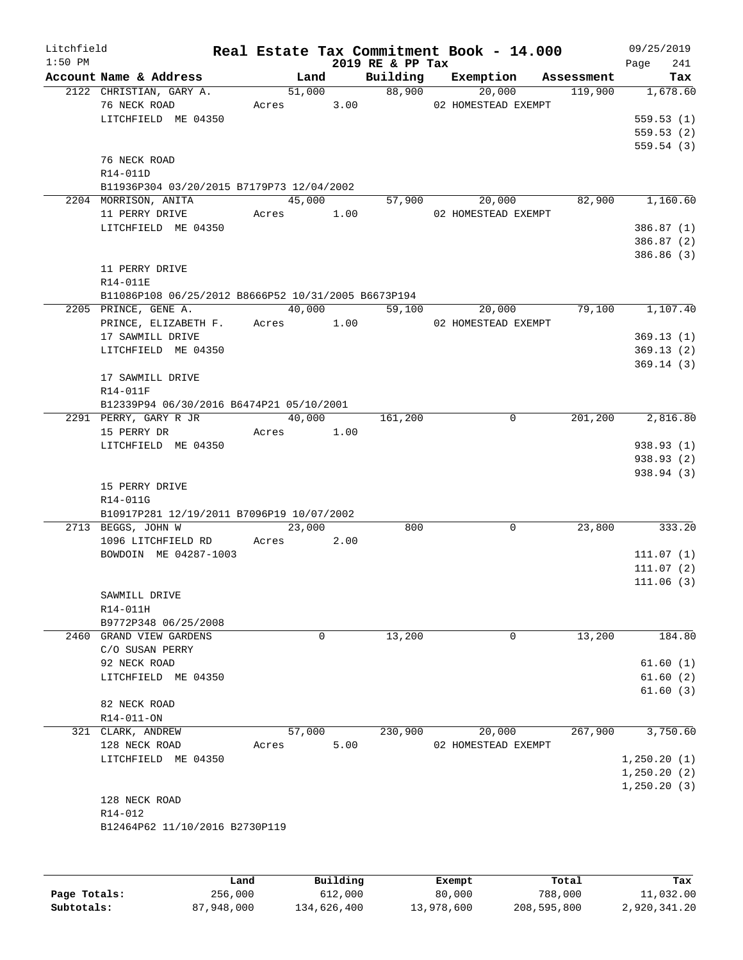| Litchfield<br>$1:50$ PM |                                                     |            |        | 2019 RE & PP Tax | Real Estate Tax Commitment Book - 14.000 |            | 09/25/2019<br>Page<br>241 |
|-------------------------|-----------------------------------------------------|------------|--------|------------------|------------------------------------------|------------|---------------------------|
|                         | Account Name & Address                              | Land       |        | Building         | Exemption                                | Assessment | Tax                       |
|                         | 2122 CHRISTIAN, GARY A.                             |            | 51,000 |                  | 88,900<br>20,000                         | 119,900    | 1,678.60                  |
|                         | 76 NECK ROAD                                        |            |        |                  | Acres 3.00 02 HOMESTEAD EXEMPT           |            |                           |
|                         | LITCHFIELD ME 04350                                 |            |        |                  |                                          |            | 559.53(1)                 |
|                         |                                                     |            |        |                  |                                          |            | 559.53(2)                 |
|                         |                                                     |            |        |                  |                                          |            | 559.54(3)                 |
|                         | 76 NECK ROAD                                        |            |        |                  |                                          |            |                           |
|                         | R14-011D                                            |            |        |                  |                                          |            |                           |
|                         | B11936P304 03/20/2015 B7179P73 12/04/2002           |            |        |                  |                                          |            |                           |
|                         | 2204 MORRISON, ANITA                                | 45,000     |        |                  | 57,900<br>20,000                         | 82,900     | 1,160.60                  |
|                         | 11 PERRY DRIVE                                      | Acres 1.00 |        |                  | 02 HOMESTEAD EXEMPT                      |            |                           |
|                         | LITCHFIELD ME 04350                                 |            |        |                  |                                          |            | 386.87 (1)                |
|                         |                                                     |            |        |                  |                                          |            | 386.87 (2)                |
|                         |                                                     |            |        |                  |                                          |            | 386.86 (3)                |
|                         | 11 PERRY DRIVE                                      |            |        |                  |                                          |            |                           |
|                         | R14-011E                                            |            |        |                  |                                          |            |                           |
|                         | B11086P108 06/25/2012 B8666P52 10/31/2005 B6673P194 |            |        |                  |                                          |            |                           |
|                         | 2205 PRINCE, GENE A.                                |            | 40,000 |                  | 59,100<br>20,000                         | 79,100     | 1,107.40                  |
|                         | PRINCE, ELIZABETH F. Acres 1.00                     |            |        |                  | 02 HOMESTEAD EXEMPT                      |            |                           |
|                         | 17 SAWMILL DRIVE                                    |            |        |                  |                                          |            | 369.13(1)                 |
|                         | LITCHFIELD ME 04350                                 |            |        |                  |                                          |            | 369.13(2)                 |
|                         |                                                     |            |        |                  |                                          |            | 369.14(3)                 |
|                         | 17 SAWMILL DRIVE                                    |            |        |                  |                                          |            |                           |
|                         | R14-011F                                            |            |        |                  |                                          |            |                           |
|                         | B12339P94 06/30/2016 B6474P21 05/10/2001            |            |        |                  |                                          |            |                           |
|                         | 2291 PERRY, GARY R JR                               | 40,000     |        | 161,200          | $\mathbf 0$                              | 201, 200   | 2,816.80                  |
|                         | 15 PERRY DR                                         | Acres 1.00 |        |                  |                                          |            |                           |
|                         | LITCHFIELD ME 04350                                 |            |        |                  |                                          |            | 938.93 (1)                |
|                         |                                                     |            |        |                  |                                          |            | 938.93 (2)                |
|                         |                                                     |            |        |                  |                                          |            | 938.94 (3)                |
|                         | 15 PERRY DRIVE                                      |            |        |                  |                                          |            |                           |
|                         | R14-011G                                            |            |        |                  |                                          |            |                           |
|                         | B10917P281 12/19/2011 B7096P19 10/07/2002           |            |        |                  |                                          |            |                           |
|                         | 2713 BEGGS, JOHN W                                  |            | 23,000 | 800              | 0                                        | 23,800     | 333.20                    |
|                         | 1096 LITCHFIELD RD                                  | Acres 2.00 |        |                  |                                          |            |                           |
|                         | BOWDOIN ME 04287-1003                               |            |        |                  |                                          |            | 111.07(1)                 |
|                         |                                                     |            |        |                  |                                          |            | 111.07(2)                 |
|                         |                                                     |            |        |                  |                                          |            | 111.06(3)                 |
|                         | SAWMILL DRIVE                                       |            |        |                  |                                          |            |                           |
|                         | R14-011H                                            |            |        |                  |                                          |            |                           |
|                         | B9772P348 06/25/2008                                |            |        |                  |                                          |            |                           |
|                         | 2460 GRAND VIEW GARDENS                             |            | 0      | 13,200           | 0                                        | 13,200     | 184.80                    |
|                         | C/O SUSAN PERRY                                     |            |        |                  |                                          |            |                           |
|                         | 92 NECK ROAD                                        |            |        |                  |                                          |            | 61.60(1)                  |
|                         | LITCHFIELD ME 04350                                 |            |        |                  |                                          |            | 61.60(2)                  |
|                         |                                                     |            |        |                  |                                          |            | 61.60(3)                  |
|                         | 82 NECK ROAD                                        |            |        |                  |                                          |            |                           |
|                         | R14-011-ON                                          |            |        |                  |                                          |            |                           |
|                         | 321 CLARK, ANDREW                                   | 57,000     |        | 230,900          | 20,000                                   | 267,900    | 3,750.60                  |
|                         | 128 NECK ROAD                                       | Acres      | 5.00   |                  | 02 HOMESTEAD EXEMPT                      |            |                           |
|                         | LITCHFIELD ME 04350                                 |            |        |                  |                                          |            | 1,250.20(1)               |
|                         |                                                     |            |        |                  |                                          |            | 1,250.20(2)               |
|                         |                                                     |            |        |                  |                                          |            | 1,250.20(3)               |
|                         | 128 NECK ROAD                                       |            |        |                  |                                          |            |                           |
|                         | R14-012                                             |            |        |                  |                                          |            |                           |
|                         | B12464P62 11/10/2016 B2730P119                      |            |        |                  |                                          |            |                           |
|                         |                                                     |            |        |                  |                                          |            |                           |
|                         |                                                     |            |        |                  |                                          |            |                           |
|                         |                                                     |            |        |                  |                                          |            |                           |

|              | Land       | Building    | Exempt     | Total       | Tax          |
|--------------|------------|-------------|------------|-------------|--------------|
| Page Totals: | 256,000    | 612,000     | 80,000     | 788,000     | 11,032.00    |
| Subtotals:   | 87,948,000 | 134,626,400 | 13,978,600 | 208,595,800 | 2,920,341.20 |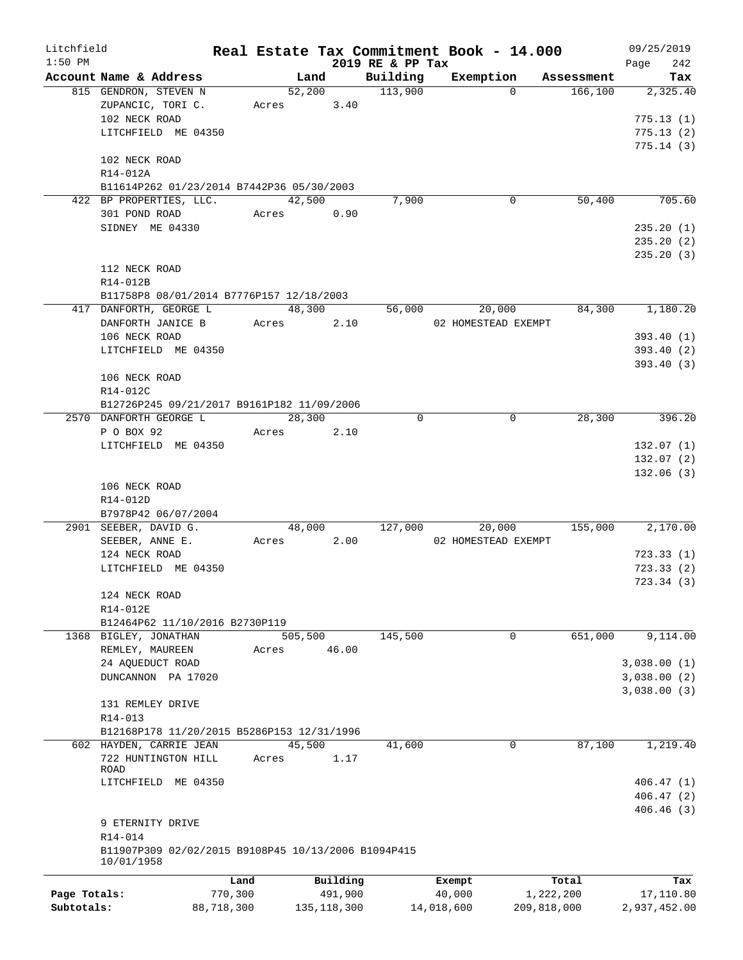| Litchfield   |                                                     |            |         |               |                  | Real Estate Tax Commitment Book - 14.000 |             | 09/25/2019   |
|--------------|-----------------------------------------------------|------------|---------|---------------|------------------|------------------------------------------|-------------|--------------|
| $1:50$ PM    |                                                     |            |         |               | 2019 RE & PP Tax |                                          |             | 242<br>Page  |
|              | Account Name & Address                              |            | Land    |               | Building         | Exemption                                | Assessment  | Tax          |
|              | 815 GENDRON, STEVEN N                               |            | 52,200  |               | 113,900          | $\Omega$                                 | 166, 100    | 2,325.40     |
|              | ZUPANCIC, TORI C.                                   |            | Acres   | 3.40          |                  |                                          |             |              |
|              | 102 NECK ROAD                                       |            |         |               |                  |                                          |             | 775.13(1)    |
|              | LITCHFIELD ME 04350                                 |            |         |               |                  |                                          |             | 775.13(2)    |
|              |                                                     |            |         |               |                  |                                          |             | 775.14(3)    |
|              | 102 NECK ROAD                                       |            |         |               |                  |                                          |             |              |
|              | R14-012A                                            |            |         |               |                  |                                          |             |              |
|              | B11614P262 01/23/2014 B7442P36 05/30/2003           |            |         |               |                  |                                          |             |              |
|              | 422 BP PROPERTIES, LLC.                             |            | 42,500  |               | 7,900            | 0                                        | 50,400      | 705.60       |
|              | 301 POND ROAD                                       |            | Acres   | 0.90          |                  |                                          |             |              |
|              | SIDNEY ME 04330                                     |            |         |               |                  |                                          |             | 235.20(1)    |
|              |                                                     |            |         |               |                  |                                          |             | 235.20(2)    |
|              |                                                     |            |         |               |                  |                                          |             | 235.20(3)    |
|              | 112 NECK ROAD                                       |            |         |               |                  |                                          |             |              |
|              | R14-012B                                            |            |         |               |                  |                                          |             |              |
|              | B11758P8 08/01/2014 B7776P157 12/18/2003            |            |         |               |                  |                                          |             |              |
|              | 417 DANFORTH, GEORGE L                              |            | 48,300  |               | 56,000           | 20,000                                   | 84,300      | 1,180.20     |
|              | DANFORTH JANICE B                                   |            | Acres   | 2.10          |                  | 02 HOMESTEAD EXEMPT                      |             |              |
|              | 106 NECK ROAD                                       |            |         |               |                  |                                          |             | 393.40 (1)   |
|              | LITCHFIELD ME 04350                                 |            |         |               |                  |                                          |             | 393.40 (2)   |
|              |                                                     |            |         |               |                  |                                          |             | 393.40(3)    |
|              | 106 NECK ROAD                                       |            |         |               |                  |                                          |             |              |
|              | R14-012C                                            |            |         |               |                  |                                          |             |              |
|              | B12726P245 09/21/2017 B9161P182 11/09/2006          |            |         |               |                  |                                          |             |              |
|              | 2570 DANFORTH GEORGE L                              |            | 28,300  |               | $\Omega$         | $\mathbf 0$                              | 28,300      | 396.20       |
|              | P O BOX 92                                          |            |         |               |                  |                                          |             |              |
|              |                                                     |            | Acres   | 2.10          |                  |                                          |             |              |
|              | LITCHFIELD ME 04350                                 |            |         |               |                  |                                          |             | 132.07(1)    |
|              |                                                     |            |         |               |                  |                                          |             | 132.07 (2)   |
|              |                                                     |            |         |               |                  |                                          |             | 132.06(3)    |
|              | 106 NECK ROAD                                       |            |         |               |                  |                                          |             |              |
|              | R14-012D                                            |            |         |               |                  |                                          |             |              |
|              | B7978P42 06/07/2004                                 |            |         |               |                  |                                          |             |              |
|              | 2901 SEEBER, DAVID G.                               |            | 48,000  |               | 127,000          | 20,000                                   | 155,000     | 2,170.00     |
|              | SEEBER, ANNE E.                                     |            | Acres   | 2.00          |                  | 02 HOMESTEAD EXEMPT                      |             |              |
|              | 124 NECK ROAD                                       |            |         |               |                  |                                          |             | 723.33(1)    |
|              | LITCHFIELD ME 04350                                 |            |         |               |                  |                                          |             | 723.33(2)    |
|              |                                                     |            |         |               |                  |                                          |             | 723.34(3)    |
|              | 124 NECK ROAD                                       |            |         |               |                  |                                          |             |              |
|              | R14-012E                                            |            |         |               |                  |                                          |             |              |
|              | B12464P62 11/10/2016 B2730P119                      |            |         |               |                  |                                          |             |              |
|              | 1368 BIGLEY, JONATHAN                               |            | 505,500 |               | 145,500          | 0                                        | 651,000     | 9,114.00     |
|              | REMLEY, MAUREEN                                     | Acres      |         | 46.00         |                  |                                          |             |              |
|              | 24 AQUEDUCT ROAD                                    |            |         |               |                  |                                          |             | 3,038.00(1)  |
|              | DUNCANNON PA 17020                                  |            |         |               |                  |                                          |             | 3,038.00(2)  |
|              |                                                     |            |         |               |                  |                                          |             | 3,038.00(3)  |
|              | 131 REMLEY DRIVE                                    |            |         |               |                  |                                          |             |              |
|              | R14-013                                             |            |         |               |                  |                                          |             |              |
|              | B12168P178 11/20/2015 B5286P153 12/31/1996          |            |         |               |                  |                                          |             |              |
|              | 602 HAYDEN, CARRIE JEAN                             |            | 45,500  |               | 41,600           | 0                                        | 87,100      | 1,219.40     |
|              | 722 HUNTINGTON HILL                                 | Acres      |         | 1.17          |                  |                                          |             |              |
|              | ROAD                                                |            |         |               |                  |                                          |             |              |
|              | LITCHFIELD ME 04350                                 |            |         |               |                  |                                          |             | 406.47(1)    |
|              |                                                     |            |         |               |                  |                                          |             | 406.47(2)    |
|              |                                                     |            |         |               |                  |                                          |             | 406.46(3)    |
|              | 9 ETERNITY DRIVE                                    |            |         |               |                  |                                          |             |              |
|              | R14-014                                             |            |         |               |                  |                                          |             |              |
|              | B11907P309 02/02/2015 B9108P45 10/13/2006 B1094P415 |            |         |               |                  |                                          |             |              |
|              | 10/01/1958                                          |            |         |               |                  |                                          |             |              |
|              |                                                     | Land       |         | Building      |                  | Exempt                                   | Total       | Tax          |
| Page Totals: |                                                     | 770,300    |         | 491,900       |                  | 40,000                                   | 1,222,200   | 17,110.80    |
| Subtotals:   |                                                     | 88,718,300 |         | 135, 118, 300 |                  | 14,018,600                               | 209,818,000 | 2,937,452.00 |
|              |                                                     |            |         |               |                  |                                          |             |              |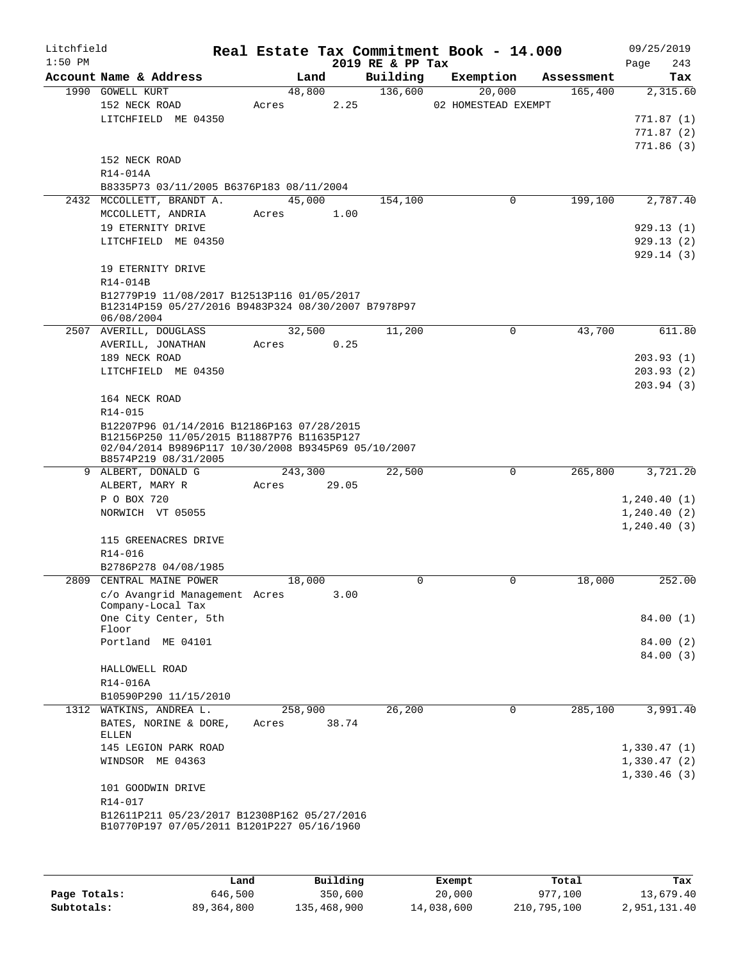| Litchfield |                                                                                                                                                                         |                  |       |                              | Real Estate Tax Commitment Book - 14.000 |            | 09/25/2019         |
|------------|-------------------------------------------------------------------------------------------------------------------------------------------------------------------------|------------------|-------|------------------------------|------------------------------------------|------------|--------------------|
| $1:50$ PM  | Account Name & Address                                                                                                                                                  | Land             |       | 2019 RE & PP Tax<br>Building | Exemption                                | Assessment | Page<br>243<br>Tax |
|            | 1990 GOWELL KURT                                                                                                                                                        | 48,800           |       | 136,600                      | 20,000                                   | 165,400    | 2,315.60           |
|            | 152 NECK ROAD                                                                                                                                                           | Acres            | 2.25  |                              | 02 HOMESTEAD EXEMPT                      |            |                    |
|            | LITCHFIELD ME 04350                                                                                                                                                     |                  |       |                              |                                          |            | 771.87 (1)         |
|            |                                                                                                                                                                         |                  |       |                              |                                          |            | 771.87(2)          |
|            |                                                                                                                                                                         |                  |       |                              |                                          |            | 771.86(3)          |
|            | 152 NECK ROAD                                                                                                                                                           |                  |       |                              |                                          |            |                    |
|            | R14-014A                                                                                                                                                                |                  |       |                              |                                          |            |                    |
|            | B8335P73 03/11/2005 B6376P183 08/11/2004                                                                                                                                |                  |       |                              |                                          |            |                    |
| 2432       | MCCOLLETT, BRANDT A.                                                                                                                                                    | 45,000           |       | 154,100                      | 0                                        | 199,100    | 2,787.40           |
|            | MCCOLLETT, ANDRIA                                                                                                                                                       | Acres            | 1.00  |                              |                                          |            |                    |
|            | 19 ETERNITY DRIVE                                                                                                                                                       |                  |       |                              |                                          |            | 929.13(1)          |
|            | LITCHFIELD ME 04350                                                                                                                                                     |                  |       |                              |                                          |            | 929.13(2)          |
|            |                                                                                                                                                                         |                  |       |                              |                                          |            | 929.14(3)          |
|            | 19 ETERNITY DRIVE                                                                                                                                                       |                  |       |                              |                                          |            |                    |
|            | R14-014B                                                                                                                                                                |                  |       |                              |                                          |            |                    |
|            | B12779P19 11/08/2017 B12513P116 01/05/2017                                                                                                                              |                  |       |                              |                                          |            |                    |
|            | B12314P159 05/27/2016 B9483P324 08/30/2007 B7978P97<br>06/08/2004                                                                                                       |                  |       |                              |                                          |            |                    |
|            | 2507 AVERILL, DOUGLASS                                                                                                                                                  | 32,500           |       | 11,200                       | 0                                        | 43,700     | 611.80             |
|            | AVERILL, JONATHAN                                                                                                                                                       | Acres            | 0.25  |                              |                                          |            |                    |
|            | 189 NECK ROAD                                                                                                                                                           |                  |       |                              |                                          |            | 203.93(1)          |
|            | LITCHFIELD ME 04350                                                                                                                                                     |                  |       |                              |                                          |            | 203.93(2)          |
|            |                                                                                                                                                                         |                  |       |                              |                                          |            | 203.94(3)          |
|            | 164 NECK ROAD                                                                                                                                                           |                  |       |                              |                                          |            |                    |
|            | R14-015                                                                                                                                                                 |                  |       |                              |                                          |            |                    |
|            | B12207P96 01/14/2016 B12186P163 07/28/2015<br>B12156P250 11/05/2015 B11887P76 B11635P127<br>02/04/2014 B9896P117 10/30/2008 B9345P69 05/10/2007<br>B8574P219 08/31/2005 |                  |       |                              |                                          |            |                    |
|            | 9 ALBERT, DONALD G                                                                                                                                                      | 243,300          |       | 22,500                       | 0                                        | 265,800    | 3,721.20           |
|            | ALBERT, MARY R                                                                                                                                                          | Acres            | 29.05 |                              |                                          |            |                    |
|            | P O BOX 720                                                                                                                                                             |                  |       |                              |                                          |            | 1,240.40(1)        |
|            | NORWICH VT 05055                                                                                                                                                        |                  |       |                              |                                          |            | 1, 240.40(2)       |
|            |                                                                                                                                                                         |                  |       |                              |                                          |            | 1,240.40(3)        |
|            | 115 GREENACRES DRIVE                                                                                                                                                    |                  |       |                              |                                          |            |                    |
|            | $R14 - 016$                                                                                                                                                             |                  |       |                              |                                          |            |                    |
|            | B2786P278 04/08/1985<br>2809 CENTRAL MAINE POWER                                                                                                                        |                  |       |                              |                                          |            |                    |
|            |                                                                                                                                                                         | 18,000           |       | 0                            | 0                                        | 18,000     | 252.00             |
|            | c/o Avangrid Management Acres<br>Company-Local Tax                                                                                                                      |                  | 3.00  |                              |                                          |            |                    |
|            | One City Center, 5th                                                                                                                                                    |                  |       |                              |                                          |            | 84.00(1)           |
|            | Floor                                                                                                                                                                   |                  |       |                              |                                          |            |                    |
|            | Portland ME 04101                                                                                                                                                       |                  |       |                              |                                          |            | 84.00(2)           |
|            |                                                                                                                                                                         |                  |       |                              |                                          |            | 84.00 (3)          |
|            | HALLOWELL ROAD                                                                                                                                                          |                  |       |                              |                                          |            |                    |
|            | R14-016A                                                                                                                                                                |                  |       |                              |                                          |            |                    |
|            | B10590P290 11/15/2010                                                                                                                                                   |                  |       |                              |                                          |            |                    |
|            | 1312 WATKINS, ANDREA L.<br>BATES, NORINE & DORE,<br>ELLEN                                                                                                               | 258,900<br>Acres | 38.74 | 26,200                       | $\mathbf 0$                              | 285,100    | 3,991.40           |
|            | 145 LEGION PARK ROAD                                                                                                                                                    |                  |       |                              |                                          |            | 1,330.47(1)        |
|            | WINDSOR ME 04363                                                                                                                                                        |                  |       |                              |                                          |            | 1,330.47(2)        |
|            |                                                                                                                                                                         |                  |       |                              |                                          |            | 1,330.46(3)        |
|            | 101 GOODWIN DRIVE                                                                                                                                                       |                  |       |                              |                                          |            |                    |
|            | R14-017                                                                                                                                                                 |                  |       |                              |                                          |            |                    |
|            | B12611P211 05/23/2017 B12308P162 05/27/2016                                                                                                                             |                  |       |                              |                                          |            |                    |
|            | B10770P197 07/05/2011 B1201P227 05/16/1960                                                                                                                              |                  |       |                              |                                          |            |                    |
|            |                                                                                                                                                                         |                  |       |                              |                                          |            |                    |
|            |                                                                                                                                                                         |                  |       |                              |                                          |            |                    |
|            |                                                                                                                                                                         |                  |       |                              |                                          |            |                    |

|              | Land       | Building    | Exempt     | Total       | Tax          |
|--------------|------------|-------------|------------|-------------|--------------|
| Page Totals: | 646,500    | 350,600     | 20,000     | 977,100     | 13,679.40    |
| Subtotals:   | 89,364,800 | 135,468,900 | 14,038,600 | 210,795,100 | 2,951,131.40 |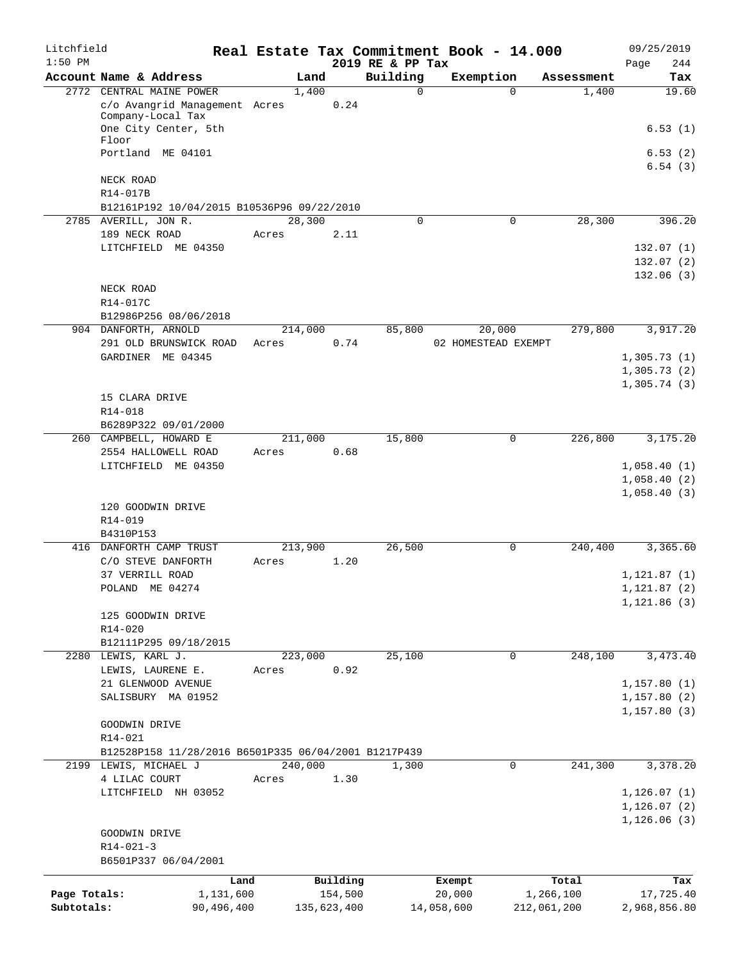| Litchfield   |                                                      |            |       |         |             | Real Estate Tax Commitment Book - 14.000 |            |                     |             | 09/25/2019         |
|--------------|------------------------------------------------------|------------|-------|---------|-------------|------------------------------------------|------------|---------------------|-------------|--------------------|
| $1:50$ PM    | Account Name & Address                               |            |       | Land    |             | 2019 RE & PP Tax<br>Building             | Exemption  |                     | Assessment  | 244<br>Page<br>Tax |
| 2772         | CENTRAL MAINE POWER                                  |            |       | 1,400   |             | $\mathbf 0$                              |            | $\Omega$            | 1,400       | 19.60              |
|              | c/o Avangrid Management Acres<br>Company-Local Tax   |            |       |         | 0.24        |                                          |            |                     |             |                    |
|              | One City Center, 5th<br>Floor                        |            |       |         |             |                                          |            |                     |             | 6.53(1)            |
|              | Portland ME 04101                                    |            |       |         |             |                                          |            |                     |             | 6.53(2)<br>6.54(3) |
|              | NECK ROAD<br>R14-017B                                |            |       |         |             |                                          |            |                     |             |                    |
|              | B12161P192 10/04/2015 B10536P96 09/22/2010           |            |       |         |             |                                          |            |                     |             |                    |
|              | 2785 AVERILL, JON R.                                 |            |       | 28,300  |             | 0                                        |            | 0                   | 28,300      | 396.20             |
|              | 189 NECK ROAD                                        |            | Acres |         | 2.11        |                                          |            |                     |             |                    |
|              | LITCHFIELD ME 04350                                  |            |       |         |             |                                          |            |                     |             | 132.07(1)          |
|              |                                                      |            |       |         |             |                                          |            |                     |             | 132.07(2)          |
|              | NECK ROAD                                            |            |       |         |             |                                          |            |                     |             | 132.06(3)          |
|              | R14-017C                                             |            |       |         |             |                                          |            |                     |             |                    |
|              | B12986P256 08/06/2018                                |            |       |         |             |                                          |            |                     |             |                    |
|              | 904 DANFORTH, ARNOLD                                 |            |       | 214,000 |             | 85,800                                   |            | 20,000              | 279,800     | 3,917.20           |
|              | 291 OLD BRUNSWICK ROAD                               |            | Acres |         | 0.74        |                                          |            | 02 HOMESTEAD EXEMPT |             |                    |
|              | GARDINER ME 04345                                    |            |       |         |             |                                          |            |                     |             | 1,305.73(1)        |
|              |                                                      |            |       |         |             |                                          |            |                     |             | 1,305.73(2)        |
|              | 15 CLARA DRIVE                                       |            |       |         |             |                                          |            |                     |             | 1,305.74(3)        |
|              | R14-018                                              |            |       |         |             |                                          |            |                     |             |                    |
|              | B6289P322 09/01/2000                                 |            |       |         |             |                                          |            |                     |             |                    |
|              | 260 CAMPBELL, HOWARD E                               |            |       | 211,000 |             | 15,800                                   |            | 0                   | 226,800     | 3,175.20           |
|              | 2554 HALLOWELL ROAD                                  |            | Acres |         | 0.68        |                                          |            |                     |             |                    |
|              | LITCHFIELD ME 04350                                  |            |       |         |             |                                          |            |                     |             | 1,058.40(1)        |
|              |                                                      |            |       |         |             |                                          |            |                     |             | 1,058.40(2)        |
|              | 120 GOODWIN DRIVE                                    |            |       |         |             |                                          |            |                     |             | 1,058.40(3)        |
|              | R14-019                                              |            |       |         |             |                                          |            |                     |             |                    |
|              | B4310P153                                            |            |       |         |             |                                          |            |                     |             |                    |
|              | 416 DANFORTH CAMP TRUST                              |            |       | 213,900 |             | 26,500                                   |            | 0                   | 240,400     | 3,365.60           |
|              | C/O STEVE DANFORTH                                   |            | Acres |         | 1.20        |                                          |            |                     |             |                    |
|              | 37 VERRILL ROAD                                      |            |       |         |             |                                          |            |                     |             | 1, 121.87(1)       |
|              | POLAND ME 04274                                      |            |       |         |             |                                          |            |                     |             | 1, 121.87 (2)      |
|              | 125 GOODWIN DRIVE                                    |            |       |         |             |                                          |            |                     |             | 1, 121.86(3)       |
|              | R14-020                                              |            |       |         |             |                                          |            |                     |             |                    |
|              | B12111P295 09/18/2015                                |            |       |         |             |                                          |            |                     |             |                    |
|              | 2280 LEWIS, KARL J.                                  |            |       | 223,000 |             | 25,100                                   |            | 0                   | 248,100     | 3,473.40           |
|              | LEWIS, LAURENE E.                                    |            | Acres |         | 0.92        |                                          |            |                     |             |                    |
|              | 21 GLENWOOD AVENUE                                   |            |       |         |             |                                          |            |                     |             | 1,157.80(1)        |
|              | SALISBURY MA 01952                                   |            |       |         |             |                                          |            |                     |             | 1,157.80(2)        |
|              | GOODWIN DRIVE                                        |            |       |         |             |                                          |            |                     |             | 1, 157.80(3)       |
|              | $R14 - 021$                                          |            |       |         |             |                                          |            |                     |             |                    |
|              | B12528P158 11/28/2016 B6501P335 06/04/2001 B1217P439 |            |       |         |             |                                          |            |                     |             |                    |
|              | 2199 LEWIS, MICHAEL J                                |            |       | 240,000 |             | 1,300                                    |            | 0                   | 241,300     | 3,378.20           |
|              | 4 LILAC COURT                                        |            | Acres |         | 1.30        |                                          |            |                     |             |                    |
|              | LITCHFIELD NH 03052                                  |            |       |         |             |                                          |            |                     |             | 1, 126.07(1)       |
|              |                                                      |            |       |         |             |                                          |            |                     |             | 1, 126.07(2)       |
|              | GOODWIN DRIVE                                        |            |       |         |             |                                          |            |                     |             | 1, 126.06(3)       |
|              | $R14 - 021 - 3$                                      |            |       |         |             |                                          |            |                     |             |                    |
|              | B6501P337 06/04/2001                                 |            |       |         |             |                                          |            |                     |             |                    |
|              |                                                      | Land       |       |         | Building    |                                          | Exempt     |                     | Total       | Tax                |
| Page Totals: |                                                      | 1,131,600  |       |         | 154,500     |                                          | 20,000     |                     | 1,266,100   | 17,725.40          |
| Subtotals:   |                                                      | 90,496,400 |       |         | 135,623,400 |                                          | 14,058,600 |                     | 212,061,200 | 2,968,856.80       |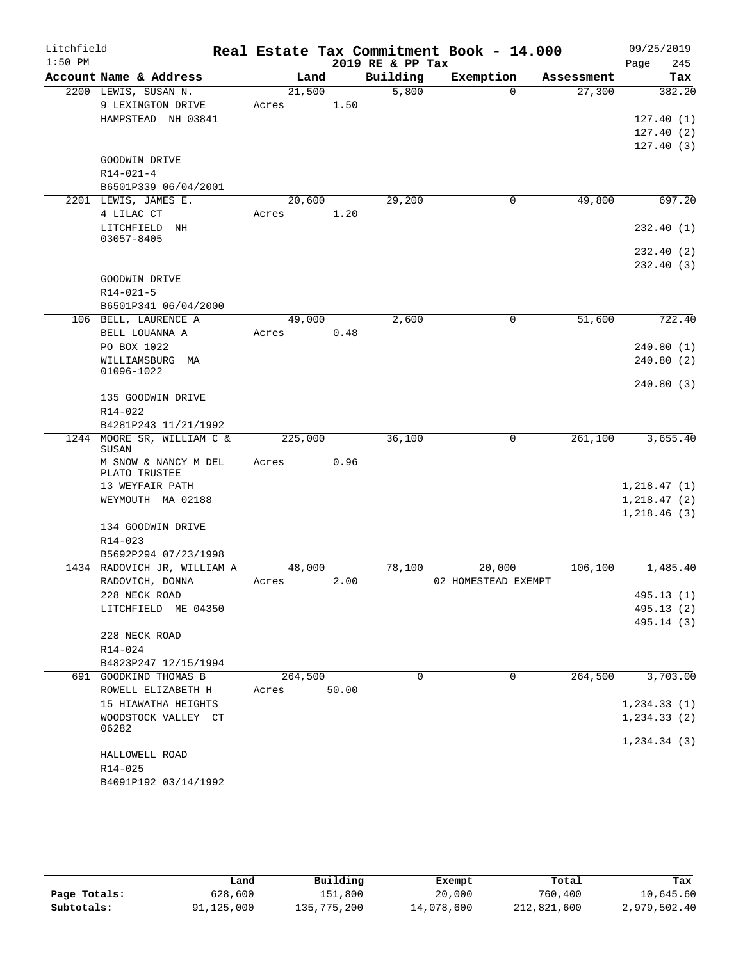| Litchfield |                                                    |       |         |       |                  | Real Estate Tax Commitment Book - 14.000 |          |            |      | 09/25/2019               |
|------------|----------------------------------------------------|-------|---------|-------|------------------|------------------------------------------|----------|------------|------|--------------------------|
| $1:50$ PM  |                                                    |       |         |       | 2019 RE & PP Tax |                                          |          |            | Page | 245                      |
|            | Account Name & Address                             |       | Land    |       | Building         | Exemption                                |          | Assessment |      | Tax                      |
|            | 2200 LEWIS, SUSAN N.                               |       | 21,500  |       | 5,800            |                                          | $\Omega$ | 27,300     |      | 382.20                   |
|            | 9 LEXINGTON DRIVE                                  | Acres |         | 1.50  |                  |                                          |          |            |      |                          |
|            | HAMPSTEAD NH 03841                                 |       |         |       |                  |                                          |          |            |      | 127.40(1)                |
|            |                                                    |       |         |       |                  |                                          |          |            |      | 127.40(2)                |
|            |                                                    |       |         |       |                  |                                          |          |            |      | 127.40(3)                |
|            | GOODWIN DRIVE                                      |       |         |       |                  |                                          |          |            |      |                          |
|            | $R14 - 021 - 4$                                    |       |         |       |                  |                                          |          |            |      |                          |
|            | B6501P339 06/04/2001                               |       |         |       |                  |                                          |          |            |      |                          |
|            | 2201 LEWIS, JAMES E.                               |       | 20,600  |       | 29,200           |                                          | 0        | 49,800     |      | 697.20                   |
|            | 4 LILAC CT                                         | Acres |         | 1.20  |                  |                                          |          |            |      |                          |
|            | LITCHFIELD NH<br>03057-8405                        |       |         |       |                  |                                          |          |            |      | 232.40 (1)               |
|            |                                                    |       |         |       |                  |                                          |          |            |      | 232.40 (2)               |
|            |                                                    |       |         |       |                  |                                          |          |            |      | 232.40 (3)               |
|            | GOODWIN DRIVE                                      |       |         |       |                  |                                          |          |            |      |                          |
|            | $R14 - 021 - 5$                                    |       |         |       |                  |                                          |          |            |      |                          |
|            | B6501P341 06/04/2000                               |       |         |       |                  |                                          |          |            |      |                          |
|            | 106 BELL, LAURENCE A                               |       | 49,000  |       | 2,600            |                                          | 0        | 51,600     |      | 722.40                   |
|            | BELL LOUANNA A                                     | Acres |         | 0.48  |                  |                                          |          |            |      |                          |
|            | PO BOX 1022                                        |       |         |       |                  |                                          |          |            |      | 240.80(1)                |
|            | WILLIAMSBURG MA                                    |       |         |       |                  |                                          |          |            |      | 240.80(2)                |
|            | 01096-1022                                         |       |         |       |                  |                                          |          |            |      |                          |
|            |                                                    |       |         |       |                  |                                          |          |            |      | 240.80 (3)               |
|            | 135 GOODWIN DRIVE                                  |       |         |       |                  |                                          |          |            |      |                          |
|            | R14-022                                            |       |         |       |                  |                                          |          |            |      |                          |
|            | B4281P243 11/21/1992<br>1244 MOORE SR, WILLIAM C & |       | 225,000 |       | 36,100           |                                          | 0        | 261,100    |      | 3,655.40                 |
|            | SUSAN                                              |       |         |       |                  |                                          |          |            |      |                          |
|            | M SNOW & NANCY M DEL                               | Acres |         | 0.96  |                  |                                          |          |            |      |                          |
|            | PLATO TRUSTEE                                      |       |         |       |                  |                                          |          |            |      |                          |
|            | 13 WEYFAIR PATH                                    |       |         |       |                  |                                          |          |            |      | 1,218.47(1)              |
|            | WEYMOUTH MA 02188                                  |       |         |       |                  |                                          |          |            |      | 1,218.47(2)              |
|            |                                                    |       |         |       |                  |                                          |          |            |      | 1,218.46(3)              |
|            | 134 GOODWIN DRIVE                                  |       |         |       |                  |                                          |          |            |      |                          |
|            | R14-023                                            |       |         |       |                  |                                          |          |            |      |                          |
|            | B5692P294 07/23/1998                               |       |         |       |                  |                                          |          |            |      |                          |
|            | 1434 RADOVICH JR, WILLIAM A                        |       | 48,000  |       | 78,100           | 20,000                                   |          | 106,100    |      | 1,485.40                 |
|            | RADOVICH, DONNA                                    | Acres |         | 2.00  |                  | 02 HOMESTEAD EXEMPT                      |          |            |      |                          |
|            | 228 NECK ROAD<br>LITCHFIELD ME 04350               |       |         |       |                  |                                          |          |            |      | 495.13 (1)<br>495.13 (2) |
|            |                                                    |       |         |       |                  |                                          |          |            |      | 495.14 (3)               |
|            | 228 NECK ROAD                                      |       |         |       |                  |                                          |          |            |      |                          |
|            | R14-024                                            |       |         |       |                  |                                          |          |            |      |                          |
|            | B4823P247 12/15/1994                               |       |         |       |                  |                                          |          |            |      |                          |
|            | 691 GOODKIND THOMAS B                              |       | 264,500 |       | 0                |                                          | 0        | 264,500    |      | 3,703.00                 |
|            | ROWELL ELIZABETH H                                 | Acres |         | 50.00 |                  |                                          |          |            |      |                          |
|            | 15 HIAWATHA HEIGHTS                                |       |         |       |                  |                                          |          |            |      | 1, 234.33(1)             |
|            | WOODSTOCK VALLEY CT                                |       |         |       |                  |                                          |          |            |      | 1, 234.33(2)             |
|            | 06282                                              |       |         |       |                  |                                          |          |            |      |                          |
|            |                                                    |       |         |       |                  |                                          |          |            |      | 1, 234.34(3)             |
|            | HALLOWELL ROAD                                     |       |         |       |                  |                                          |          |            |      |                          |
|            | R14-025                                            |       |         |       |                  |                                          |          |            |      |                          |
|            | B4091P192 03/14/1992                               |       |         |       |                  |                                          |          |            |      |                          |

|              | Land       | Building    | Exempt     | Total       | Tax          |
|--------------|------------|-------------|------------|-------------|--------------|
| Page Totals: | 628,600    | 151,800     | 20,000     | 760,400     | 10,645.60    |
| Subtotals:   | 91,125,000 | 135,775,200 | 14,078,600 | 212,821,600 | 2,979,502.40 |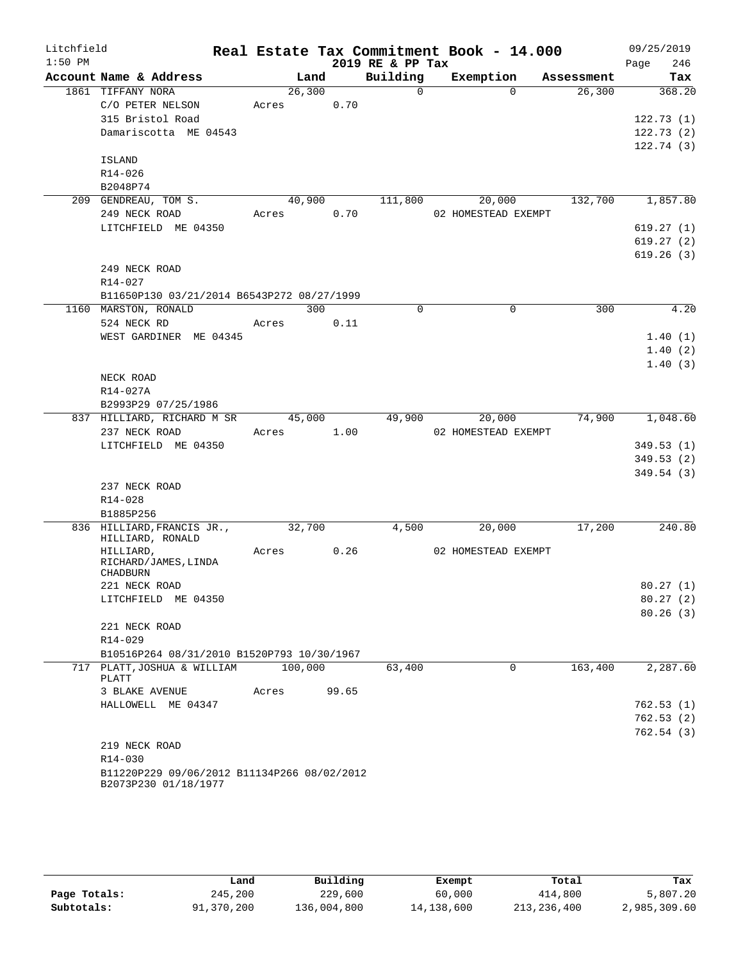| Litchfield<br>$1:50$ PM |                                                |         |        | 2019 RE & PP Tax | Real Estate Tax Commitment Book - 14.000 |            | 09/25/2019<br>246<br>Page |
|-------------------------|------------------------------------------------|---------|--------|------------------|------------------------------------------|------------|---------------------------|
|                         | Account Name & Address                         |         | Land   | Building         | Exemption                                | Assessment | Tax                       |
|                         | 1861 TIFFANY NORA                              | 26,300  |        | $\overline{0}$   | $\Omega$                                 | 26,300     | 368.20                    |
|                         | C/O PETER NELSON                               | Acres   | 0.70   |                  |                                          |            |                           |
|                         | 315 Bristol Road                               |         |        |                  |                                          |            | 122.73(1)                 |
|                         | Damariscotta ME 04543                          |         |        |                  |                                          |            | 122.73(2)                 |
|                         |                                                |         |        |                  |                                          |            | 122.74(3)                 |
|                         | ISLAND                                         |         |        |                  |                                          |            |                           |
|                         | R14-026                                        |         |        |                  |                                          |            |                           |
|                         | B2048P74                                       |         |        |                  |                                          |            |                           |
|                         | 209 GENDREAU, TOM S.                           | 40,900  |        | 111,800          | 20,000                                   | 132,700    | 1,857.80                  |
|                         | 249 NECK ROAD                                  | Acres   | 0.70   |                  | 02 HOMESTEAD EXEMPT                      |            |                           |
|                         | LITCHFIELD ME 04350                            |         |        |                  |                                          |            | 619.27(1)                 |
|                         |                                                |         |        |                  |                                          |            | 619.27(2)                 |
|                         |                                                |         |        |                  |                                          |            | 619.26(3)                 |
|                         | 249 NECK ROAD                                  |         |        |                  |                                          |            |                           |
|                         | R14-027                                        |         |        |                  |                                          |            |                           |
|                         | B11650P130 03/21/2014 B6543P272 08/27/1999     |         |        |                  |                                          |            |                           |
|                         | 1160 MARSTON, RONALD                           |         | 300    | $\Omega$         | $\Omega$                                 | 300        | 4.20                      |
|                         | 524 NECK RD                                    | Acres   | 0.11   |                  |                                          |            |                           |
|                         | WEST GARDINER ME 04345                         |         |        |                  |                                          |            | 1.40(1)                   |
|                         |                                                |         |        |                  |                                          |            | 1.40(2)                   |
|                         |                                                |         |        |                  |                                          |            | 1.40(3)                   |
|                         | NECK ROAD                                      |         |        |                  |                                          |            |                           |
|                         | R14-027A                                       |         |        |                  |                                          |            |                           |
|                         | B2993P29 07/25/1986                            |         |        |                  |                                          |            |                           |
|                         | 837 HILLIARD, RICHARD M SR                     |         | 45,000 | 49,900           | 20,000                                   | 74,900     | 1,048.60                  |
|                         | 237 NECK ROAD                                  | Acres   | 1.00   |                  | 02 HOMESTEAD EXEMPT                      |            |                           |
|                         | LITCHFIELD ME 04350                            |         |        |                  |                                          |            | 349.53(1)                 |
|                         |                                                |         |        |                  |                                          |            | 349.53(2)                 |
|                         |                                                |         |        |                  |                                          |            | 349.54(3)                 |
|                         | 237 NECK ROAD                                  |         |        |                  |                                          |            |                           |
|                         | R14-028                                        |         |        |                  |                                          |            |                           |
|                         | B1885P256                                      |         |        |                  |                                          |            |                           |
|                         | 836 HILLIARD, FRANCIS JR.,<br>HILLIARD, RONALD | 32,700  |        | 4,500            | 20,000                                   | 17,200     | 240.80                    |
|                         | HILLIARD,                                      | Acres   | 0.26   |                  | 02 HOMESTEAD EXEMPT                      |            |                           |
|                         | RICHARD/JAMES, LINDA<br>CHADBURN               |         |        |                  |                                          |            |                           |
|                         | 221 NECK ROAD                                  |         |        |                  |                                          |            | 80.27(1)                  |
|                         | LITCHFIELD ME 04350                            |         |        |                  |                                          |            | 80.27(2)                  |
|                         |                                                |         |        |                  |                                          |            | 80.26(3)                  |
|                         | 221 NECK ROAD                                  |         |        |                  |                                          |            |                           |
|                         | R14-029                                        |         |        |                  |                                          |            |                           |
|                         | B10516P264 08/31/2010 B1520P793 10/30/1967     |         |        |                  |                                          |            |                           |
|                         | 717 PLATT, JOSHUA & WILLIAM                    | 100,000 |        | 63,400           | 0                                        | 163,400    | 2,287.60                  |
|                         | PLATT                                          |         |        |                  |                                          |            |                           |
|                         | 3 BLAKE AVENUE                                 | Acres   | 99.65  |                  |                                          |            |                           |
|                         | HALLOWELL ME 04347                             |         |        |                  |                                          |            | 762.53(1)                 |
|                         |                                                |         |        |                  |                                          |            | 762.53(2)                 |
|                         |                                                |         |        |                  |                                          |            | 762.54(3)                 |
|                         | 219 NECK ROAD                                  |         |        |                  |                                          |            |                           |
|                         | R14-030                                        |         |        |                  |                                          |            |                           |
|                         | B11220P229 09/06/2012 B11134P266 08/02/2012    |         |        |                  |                                          |            |                           |
|                         | B2073P230 01/18/1977                           |         |        |                  |                                          |            |                           |

|              | Land       | Building    | Exempt     | Total       | Tax          |
|--------------|------------|-------------|------------|-------------|--------------|
| Page Totals: | 245,200    | 229,600     | 60,000     | 414,800     | 5,807.20     |
| Subtotals:   | 91,370,200 | 136,004,800 | 14,138,600 | 213,236,400 | 2,985,309.60 |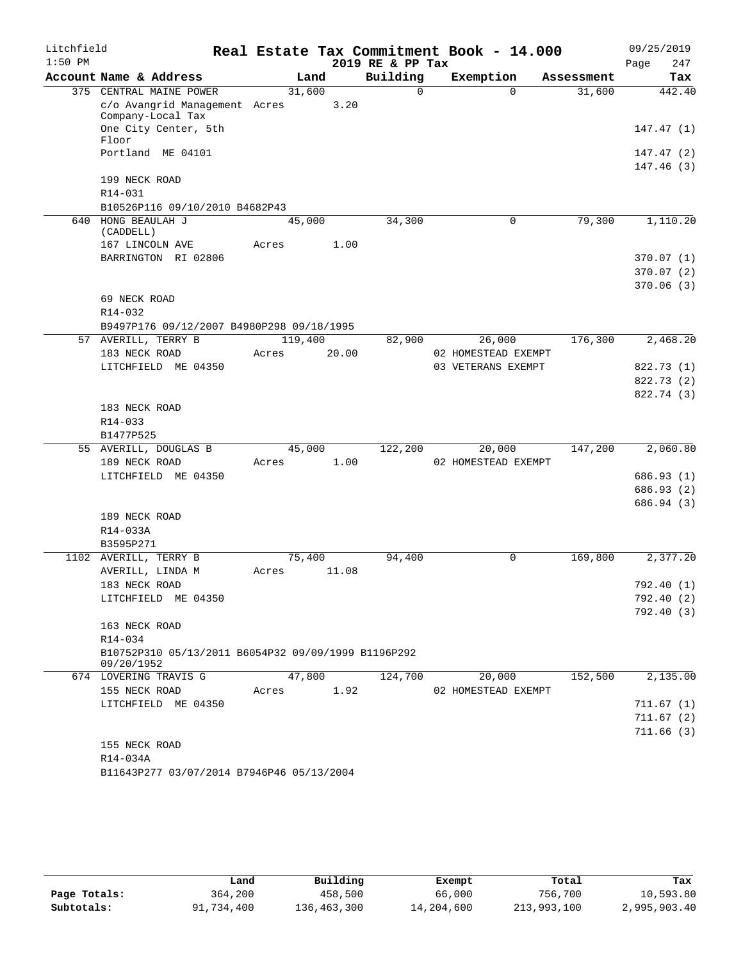| Litchfield |                                                                    |         |        |       |                  | Real Estate Tax Commitment Book - 14.000 |            | 09/25/2019  |
|------------|--------------------------------------------------------------------|---------|--------|-------|------------------|------------------------------------------|------------|-------------|
| $1:50$ PM  |                                                                    |         |        |       | 2019 RE & PP Tax |                                          |            | 247<br>Page |
|            | Account Name & Address                                             |         | Land   |       | Building         | Exemption                                | Assessment | Tax         |
|            | 375 CENTRAL MAINE POWER                                            |         | 31,600 |       | $\Omega$         | $\Omega$                                 | 31,600     | 442.40      |
|            | c/o Avangrid Management Acres<br>Company-Local Tax                 |         |        | 3.20  |                  |                                          |            |             |
|            | One City Center, 5th<br>Floor                                      |         |        |       |                  |                                          |            | 147.47(1)   |
|            | Portland ME 04101                                                  |         |        |       |                  |                                          |            | 147.47 (2)  |
|            |                                                                    |         |        |       |                  |                                          |            | 147.46(3)   |
|            | 199 NECK ROAD                                                      |         |        |       |                  |                                          |            |             |
|            | $R14 - 031$                                                        |         |        |       |                  |                                          |            |             |
|            | B10526P116 09/10/2010 B4682P43                                     |         |        |       |                  |                                          |            |             |
| 640        | HONG BEAULAH J                                                     |         | 45,000 |       | 34,300           | $\mathbf 0$                              | 79,300     | 1,110.20    |
|            | (CADDELL)<br>167 LINCOLN AVE                                       | Acres   |        | 1.00  |                  |                                          |            |             |
|            | BARRINGTON RI 02806                                                |         |        |       |                  |                                          |            | 370.07(1)   |
|            |                                                                    |         |        |       |                  |                                          |            | 370.07(2)   |
|            |                                                                    |         |        |       |                  |                                          |            | 370.06(3)   |
|            | 69 NECK ROAD                                                       |         |        |       |                  |                                          |            |             |
|            | R14-032                                                            |         |        |       |                  |                                          |            |             |
|            | B9497P176 09/12/2007 B4980P298 09/18/1995                          |         |        |       |                  |                                          |            |             |
|            | 57 AVERILL, TERRY B                                                | 119,400 |        |       | 82,900           | 26,000                                   | 176,300    | 2,468.20    |
|            | 183 NECK ROAD                                                      | Acres   |        | 20.00 |                  | 02 HOMESTEAD EXEMPT                      |            |             |
|            | LITCHFIELD ME 04350                                                |         |        |       |                  | 03 VETERANS EXEMPT                       |            | 822.73 (1)  |
|            |                                                                    |         |        |       |                  |                                          |            | 822.73 (2)  |
|            |                                                                    |         |        |       |                  |                                          |            | 822.74 (3)  |
|            | 183 NECK ROAD                                                      |         |        |       |                  |                                          |            |             |
|            | R14-033                                                            |         |        |       |                  |                                          |            |             |
|            | B1477P525                                                          |         |        |       |                  |                                          |            |             |
|            | 55 AVERILL, DOUGLAS B                                              |         | 45,000 | 1.00  | 122,200          | 20,000                                   | 147,200    | 2,060.80    |
|            | 189 NECK ROAD<br>LITCHFIELD ME 04350                               | Acres   |        |       |                  | 02 HOMESTEAD EXEMPT                      |            | 686.93 (1)  |
|            |                                                                    |         |        |       |                  |                                          |            | 686.93 (2)  |
|            |                                                                    |         |        |       |                  |                                          |            | 686.94 (3)  |
|            | 189 NECK ROAD                                                      |         |        |       |                  |                                          |            |             |
|            | R14-033A                                                           |         |        |       |                  |                                          |            |             |
|            | B3595P271                                                          |         |        |       |                  |                                          |            |             |
|            | 1102 AVERILL, TERRY B                                              |         | 75,400 |       | 94,400           | 0                                        | 169,800    | 2,377.20    |
|            | AVERILL, LINDA M                                                   | Acres   |        | 11.08 |                  |                                          |            |             |
|            | 183 NECK ROAD                                                      |         |        |       |                  |                                          |            | 792.40 (1)  |
|            | LITCHFIELD ME 04350                                                |         |        |       |                  |                                          |            | 792.40 (2)  |
|            |                                                                    |         |        |       |                  |                                          |            | 792.40(3)   |
|            | 163 NECK ROAD                                                      |         |        |       |                  |                                          |            |             |
|            | $R14 - 034$<br>B10752P310 05/13/2011 B6054P32 09/09/1999 B1196P292 |         |        |       |                  |                                          |            |             |
|            | 09/20/1952                                                         |         |        |       |                  |                                          |            |             |
|            | 674 LOVERING TRAVIS G                                              |         | 47,800 |       | 124,700          | 20,000                                   | 152,500    | 2,135.00    |
|            | 155 NECK ROAD                                                      | Acres   |        | 1.92  |                  | 02 HOMESTEAD EXEMPT                      |            |             |
|            | LITCHFIELD ME 04350                                                |         |        |       |                  |                                          |            | 711.67(1)   |
|            |                                                                    |         |        |       |                  |                                          |            | 711.67(2)   |
|            |                                                                    |         |        |       |                  |                                          |            | 711.66(3)   |
|            | 155 NECK ROAD                                                      |         |        |       |                  |                                          |            |             |
|            | R14-034A                                                           |         |        |       |                  |                                          |            |             |
|            | B11643P277 03/07/2014 B7946P46 05/13/2004                          |         |        |       |                  |                                          |            |             |

|              | Land       | Building    | Exempt     | Total       | Tax          |
|--------------|------------|-------------|------------|-------------|--------------|
| Page Totals: | 364,200    | 458,500     | 66,000     | 756,700     | 10,593.80    |
| Subtotals:   | 91,734,400 | 136,463,300 | 14,204,600 | 213,993,100 | 2,995,903.40 |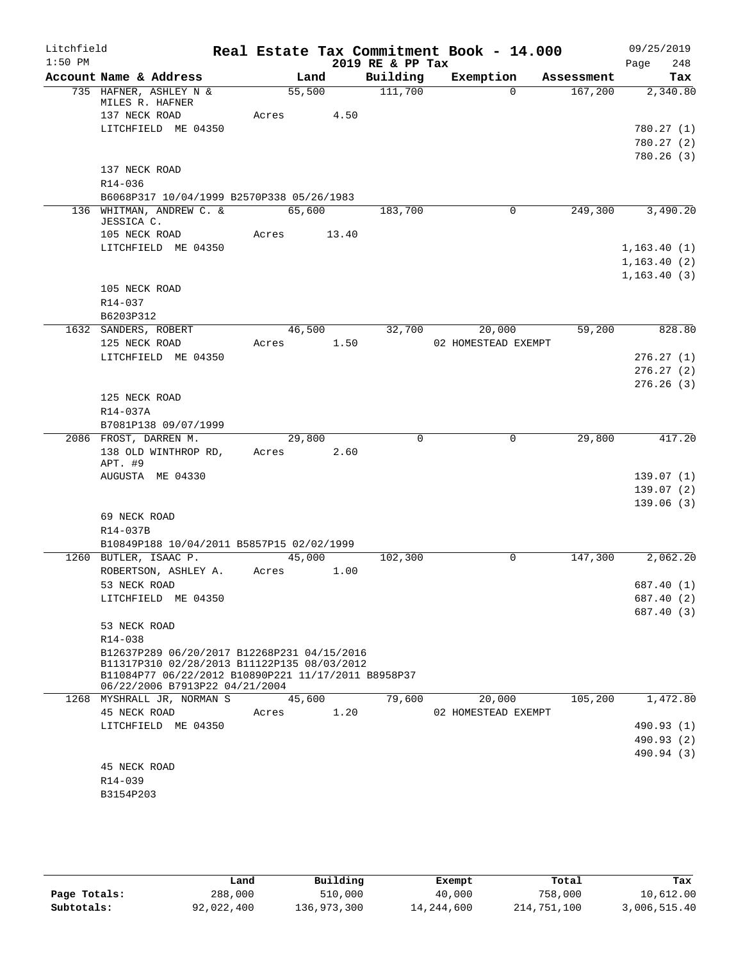| $1:50$ PM<br>2019 RE & PP Tax<br>248<br>Page<br>Account Name & Address<br>Building<br>Exemption<br>Land<br>Tax<br>Assessment<br>735 HAFNER, ASHLEY N &<br>55,500<br>111,700<br>$\Omega$<br>167,200<br>2,340.80<br>MILES R. HAFNER<br>137 NECK ROAD<br>Acres<br>4.50<br>LITCHFIELD ME 04350<br>780.27(1)<br>780.27(2)<br>780.26(3)<br>137 NECK ROAD<br>R14-036<br>B6068P317 10/04/1999 B2570P338 05/26/1983<br>136 WHITMAN, ANDREW C. &<br>65,600<br>249,300<br>3,490.20<br>183,700<br>0<br>JESSICA C.<br>105 NECK ROAD<br>13.40<br>Acres<br>LITCHFIELD ME 04350<br>1, 163.40(1)<br>1, 163.40(2)<br>1, 163.40(3)<br>105 NECK ROAD<br>R14-037<br>B6203P312<br>46,500<br>32,700<br>20,000<br>59,200<br>828.80<br>1632 SANDERS, ROBERT<br>125 NECK ROAD<br>1.50<br>02 HOMESTEAD EXEMPT<br>Acres<br>LITCHFIELD ME 04350<br>276.27(1)<br>276.27(2)<br>276.26(3)<br>125 NECK ROAD<br>R14-037A<br>B7081P138 09/07/1999<br>2086 FROST, DARREN M.<br>$\Omega$<br>29,800<br>417.20<br>29,800<br>0<br>138 OLD WINTHROP RD,<br>Acres 2.60<br>APT. #9<br>AUGUSTA ME 04330<br>139.07(1)<br>139.07(2)<br>139.06(3)<br>69 NECK ROAD<br>R14-037B<br>B10849P188 10/04/2011 B5857P15 02/02/1999<br>1260 BUTLER, ISAAC P.<br>45,000<br>2,062.20<br>102,300<br>0<br>147,300<br>ROBERTSON, ASHLEY A.<br>1.00<br>Acres<br>53 NECK ROAD<br>687.40 (1)<br>LITCHFIELD ME 04350<br>687.40 (2)<br>687.40 (3)<br>53 NECK ROAD<br>R14-038<br>B12637P289 06/20/2017 B12268P231 04/15/2016<br>B11317P310 02/28/2013 B11122P135 08/03/2012<br>B11084P77 06/22/2012 B10890P221 11/17/2011 B8958P37<br>06/22/2006 B7913P22 04/21/2004<br>1268 MYSHRALL JR, NORMAN S<br>45,600<br>79,600<br>105,200<br>1,472.80<br>20,000<br>45 NECK ROAD<br>1.20<br>02 HOMESTEAD EXEMPT<br>Acres<br>LITCHFIELD ME 04350<br>490.93 (1)<br>490.93 (2)<br>490.94 (3)<br>45 NECK ROAD<br>R14-039<br>B3154P203 | Litchfield |  |  | Real Estate Tax Commitment Book - 14.000 |  | 09/25/2019 |  |
|-------------------------------------------------------------------------------------------------------------------------------------------------------------------------------------------------------------------------------------------------------------------------------------------------------------------------------------------------------------------------------------------------------------------------------------------------------------------------------------------------------------------------------------------------------------------------------------------------------------------------------------------------------------------------------------------------------------------------------------------------------------------------------------------------------------------------------------------------------------------------------------------------------------------------------------------------------------------------------------------------------------------------------------------------------------------------------------------------------------------------------------------------------------------------------------------------------------------------------------------------------------------------------------------------------------------------------------------------------------------------------------------------------------------------------------------------------------------------------------------------------------------------------------------------------------------------------------------------------------------------------------------------------------------------------------------------------------------------------------------------------------------------------------------------------------------------------------------------------|------------|--|--|------------------------------------------|--|------------|--|
|                                                                                                                                                                                                                                                                                                                                                                                                                                                                                                                                                                                                                                                                                                                                                                                                                                                                                                                                                                                                                                                                                                                                                                                                                                                                                                                                                                                                                                                                                                                                                                                                                                                                                                                                                                                                                                                       |            |  |  |                                          |  |            |  |
|                                                                                                                                                                                                                                                                                                                                                                                                                                                                                                                                                                                                                                                                                                                                                                                                                                                                                                                                                                                                                                                                                                                                                                                                                                                                                                                                                                                                                                                                                                                                                                                                                                                                                                                                                                                                                                                       |            |  |  |                                          |  |            |  |
|                                                                                                                                                                                                                                                                                                                                                                                                                                                                                                                                                                                                                                                                                                                                                                                                                                                                                                                                                                                                                                                                                                                                                                                                                                                                                                                                                                                                                                                                                                                                                                                                                                                                                                                                                                                                                                                       |            |  |  |                                          |  |            |  |
|                                                                                                                                                                                                                                                                                                                                                                                                                                                                                                                                                                                                                                                                                                                                                                                                                                                                                                                                                                                                                                                                                                                                                                                                                                                                                                                                                                                                                                                                                                                                                                                                                                                                                                                                                                                                                                                       |            |  |  |                                          |  |            |  |
|                                                                                                                                                                                                                                                                                                                                                                                                                                                                                                                                                                                                                                                                                                                                                                                                                                                                                                                                                                                                                                                                                                                                                                                                                                                                                                                                                                                                                                                                                                                                                                                                                                                                                                                                                                                                                                                       |            |  |  |                                          |  |            |  |
|                                                                                                                                                                                                                                                                                                                                                                                                                                                                                                                                                                                                                                                                                                                                                                                                                                                                                                                                                                                                                                                                                                                                                                                                                                                                                                                                                                                                                                                                                                                                                                                                                                                                                                                                                                                                                                                       |            |  |  |                                          |  |            |  |
|                                                                                                                                                                                                                                                                                                                                                                                                                                                                                                                                                                                                                                                                                                                                                                                                                                                                                                                                                                                                                                                                                                                                                                                                                                                                                                                                                                                                                                                                                                                                                                                                                                                                                                                                                                                                                                                       |            |  |  |                                          |  |            |  |
|                                                                                                                                                                                                                                                                                                                                                                                                                                                                                                                                                                                                                                                                                                                                                                                                                                                                                                                                                                                                                                                                                                                                                                                                                                                                                                                                                                                                                                                                                                                                                                                                                                                                                                                                                                                                                                                       |            |  |  |                                          |  |            |  |
|                                                                                                                                                                                                                                                                                                                                                                                                                                                                                                                                                                                                                                                                                                                                                                                                                                                                                                                                                                                                                                                                                                                                                                                                                                                                                                                                                                                                                                                                                                                                                                                                                                                                                                                                                                                                                                                       |            |  |  |                                          |  |            |  |
|                                                                                                                                                                                                                                                                                                                                                                                                                                                                                                                                                                                                                                                                                                                                                                                                                                                                                                                                                                                                                                                                                                                                                                                                                                                                                                                                                                                                                                                                                                                                                                                                                                                                                                                                                                                                                                                       |            |  |  |                                          |  |            |  |
|                                                                                                                                                                                                                                                                                                                                                                                                                                                                                                                                                                                                                                                                                                                                                                                                                                                                                                                                                                                                                                                                                                                                                                                                                                                                                                                                                                                                                                                                                                                                                                                                                                                                                                                                                                                                                                                       |            |  |  |                                          |  |            |  |
|                                                                                                                                                                                                                                                                                                                                                                                                                                                                                                                                                                                                                                                                                                                                                                                                                                                                                                                                                                                                                                                                                                                                                                                                                                                                                                                                                                                                                                                                                                                                                                                                                                                                                                                                                                                                                                                       |            |  |  |                                          |  |            |  |
|                                                                                                                                                                                                                                                                                                                                                                                                                                                                                                                                                                                                                                                                                                                                                                                                                                                                                                                                                                                                                                                                                                                                                                                                                                                                                                                                                                                                                                                                                                                                                                                                                                                                                                                                                                                                                                                       |            |  |  |                                          |  |            |  |
|                                                                                                                                                                                                                                                                                                                                                                                                                                                                                                                                                                                                                                                                                                                                                                                                                                                                                                                                                                                                                                                                                                                                                                                                                                                                                                                                                                                                                                                                                                                                                                                                                                                                                                                                                                                                                                                       |            |  |  |                                          |  |            |  |
|                                                                                                                                                                                                                                                                                                                                                                                                                                                                                                                                                                                                                                                                                                                                                                                                                                                                                                                                                                                                                                                                                                                                                                                                                                                                                                                                                                                                                                                                                                                                                                                                                                                                                                                                                                                                                                                       |            |  |  |                                          |  |            |  |
|                                                                                                                                                                                                                                                                                                                                                                                                                                                                                                                                                                                                                                                                                                                                                                                                                                                                                                                                                                                                                                                                                                                                                                                                                                                                                                                                                                                                                                                                                                                                                                                                                                                                                                                                                                                                                                                       |            |  |  |                                          |  |            |  |
|                                                                                                                                                                                                                                                                                                                                                                                                                                                                                                                                                                                                                                                                                                                                                                                                                                                                                                                                                                                                                                                                                                                                                                                                                                                                                                                                                                                                                                                                                                                                                                                                                                                                                                                                                                                                                                                       |            |  |  |                                          |  |            |  |
|                                                                                                                                                                                                                                                                                                                                                                                                                                                                                                                                                                                                                                                                                                                                                                                                                                                                                                                                                                                                                                                                                                                                                                                                                                                                                                                                                                                                                                                                                                                                                                                                                                                                                                                                                                                                                                                       |            |  |  |                                          |  |            |  |
|                                                                                                                                                                                                                                                                                                                                                                                                                                                                                                                                                                                                                                                                                                                                                                                                                                                                                                                                                                                                                                                                                                                                                                                                                                                                                                                                                                                                                                                                                                                                                                                                                                                                                                                                                                                                                                                       |            |  |  |                                          |  |            |  |
|                                                                                                                                                                                                                                                                                                                                                                                                                                                                                                                                                                                                                                                                                                                                                                                                                                                                                                                                                                                                                                                                                                                                                                                                                                                                                                                                                                                                                                                                                                                                                                                                                                                                                                                                                                                                                                                       |            |  |  |                                          |  |            |  |
|                                                                                                                                                                                                                                                                                                                                                                                                                                                                                                                                                                                                                                                                                                                                                                                                                                                                                                                                                                                                                                                                                                                                                                                                                                                                                                                                                                                                                                                                                                                                                                                                                                                                                                                                                                                                                                                       |            |  |  |                                          |  |            |  |
|                                                                                                                                                                                                                                                                                                                                                                                                                                                                                                                                                                                                                                                                                                                                                                                                                                                                                                                                                                                                                                                                                                                                                                                                                                                                                                                                                                                                                                                                                                                                                                                                                                                                                                                                                                                                                                                       |            |  |  |                                          |  |            |  |
|                                                                                                                                                                                                                                                                                                                                                                                                                                                                                                                                                                                                                                                                                                                                                                                                                                                                                                                                                                                                                                                                                                                                                                                                                                                                                                                                                                                                                                                                                                                                                                                                                                                                                                                                                                                                                                                       |            |  |  |                                          |  |            |  |
|                                                                                                                                                                                                                                                                                                                                                                                                                                                                                                                                                                                                                                                                                                                                                                                                                                                                                                                                                                                                                                                                                                                                                                                                                                                                                                                                                                                                                                                                                                                                                                                                                                                                                                                                                                                                                                                       |            |  |  |                                          |  |            |  |
|                                                                                                                                                                                                                                                                                                                                                                                                                                                                                                                                                                                                                                                                                                                                                                                                                                                                                                                                                                                                                                                                                                                                                                                                                                                                                                                                                                                                                                                                                                                                                                                                                                                                                                                                                                                                                                                       |            |  |  |                                          |  |            |  |
|                                                                                                                                                                                                                                                                                                                                                                                                                                                                                                                                                                                                                                                                                                                                                                                                                                                                                                                                                                                                                                                                                                                                                                                                                                                                                                                                                                                                                                                                                                                                                                                                                                                                                                                                                                                                                                                       |            |  |  |                                          |  |            |  |
|                                                                                                                                                                                                                                                                                                                                                                                                                                                                                                                                                                                                                                                                                                                                                                                                                                                                                                                                                                                                                                                                                                                                                                                                                                                                                                                                                                                                                                                                                                                                                                                                                                                                                                                                                                                                                                                       |            |  |  |                                          |  |            |  |
|                                                                                                                                                                                                                                                                                                                                                                                                                                                                                                                                                                                                                                                                                                                                                                                                                                                                                                                                                                                                                                                                                                                                                                                                                                                                                                                                                                                                                                                                                                                                                                                                                                                                                                                                                                                                                                                       |            |  |  |                                          |  |            |  |
|                                                                                                                                                                                                                                                                                                                                                                                                                                                                                                                                                                                                                                                                                                                                                                                                                                                                                                                                                                                                                                                                                                                                                                                                                                                                                                                                                                                                                                                                                                                                                                                                                                                                                                                                                                                                                                                       |            |  |  |                                          |  |            |  |
|                                                                                                                                                                                                                                                                                                                                                                                                                                                                                                                                                                                                                                                                                                                                                                                                                                                                                                                                                                                                                                                                                                                                                                                                                                                                                                                                                                                                                                                                                                                                                                                                                                                                                                                                                                                                                                                       |            |  |  |                                          |  |            |  |
|                                                                                                                                                                                                                                                                                                                                                                                                                                                                                                                                                                                                                                                                                                                                                                                                                                                                                                                                                                                                                                                                                                                                                                                                                                                                                                                                                                                                                                                                                                                                                                                                                                                                                                                                                                                                                                                       |            |  |  |                                          |  |            |  |
|                                                                                                                                                                                                                                                                                                                                                                                                                                                                                                                                                                                                                                                                                                                                                                                                                                                                                                                                                                                                                                                                                                                                                                                                                                                                                                                                                                                                                                                                                                                                                                                                                                                                                                                                                                                                                                                       |            |  |  |                                          |  |            |  |
|                                                                                                                                                                                                                                                                                                                                                                                                                                                                                                                                                                                                                                                                                                                                                                                                                                                                                                                                                                                                                                                                                                                                                                                                                                                                                                                                                                                                                                                                                                                                                                                                                                                                                                                                                                                                                                                       |            |  |  |                                          |  |            |  |
|                                                                                                                                                                                                                                                                                                                                                                                                                                                                                                                                                                                                                                                                                                                                                                                                                                                                                                                                                                                                                                                                                                                                                                                                                                                                                                                                                                                                                                                                                                                                                                                                                                                                                                                                                                                                                                                       |            |  |  |                                          |  |            |  |
|                                                                                                                                                                                                                                                                                                                                                                                                                                                                                                                                                                                                                                                                                                                                                                                                                                                                                                                                                                                                                                                                                                                                                                                                                                                                                                                                                                                                                                                                                                                                                                                                                                                                                                                                                                                                                                                       |            |  |  |                                          |  |            |  |
|                                                                                                                                                                                                                                                                                                                                                                                                                                                                                                                                                                                                                                                                                                                                                                                                                                                                                                                                                                                                                                                                                                                                                                                                                                                                                                                                                                                                                                                                                                                                                                                                                                                                                                                                                                                                                                                       |            |  |  |                                          |  |            |  |
|                                                                                                                                                                                                                                                                                                                                                                                                                                                                                                                                                                                                                                                                                                                                                                                                                                                                                                                                                                                                                                                                                                                                                                                                                                                                                                                                                                                                                                                                                                                                                                                                                                                                                                                                                                                                                                                       |            |  |  |                                          |  |            |  |
|                                                                                                                                                                                                                                                                                                                                                                                                                                                                                                                                                                                                                                                                                                                                                                                                                                                                                                                                                                                                                                                                                                                                                                                                                                                                                                                                                                                                                                                                                                                                                                                                                                                                                                                                                                                                                                                       |            |  |  |                                          |  |            |  |
|                                                                                                                                                                                                                                                                                                                                                                                                                                                                                                                                                                                                                                                                                                                                                                                                                                                                                                                                                                                                                                                                                                                                                                                                                                                                                                                                                                                                                                                                                                                                                                                                                                                                                                                                                                                                                                                       |            |  |  |                                          |  |            |  |
|                                                                                                                                                                                                                                                                                                                                                                                                                                                                                                                                                                                                                                                                                                                                                                                                                                                                                                                                                                                                                                                                                                                                                                                                                                                                                                                                                                                                                                                                                                                                                                                                                                                                                                                                                                                                                                                       |            |  |  |                                          |  |            |  |
|                                                                                                                                                                                                                                                                                                                                                                                                                                                                                                                                                                                                                                                                                                                                                                                                                                                                                                                                                                                                                                                                                                                                                                                                                                                                                                                                                                                                                                                                                                                                                                                                                                                                                                                                                                                                                                                       |            |  |  |                                          |  |            |  |

|              | Land       | Building    | Exempt     | Total       | Tax          |
|--------------|------------|-------------|------------|-------------|--------------|
| Page Totals: | 288,000    | 510,000     | 40,000     | 758,000     | 10,612.00    |
| Subtotals:   | 92,022,400 | 136,973,300 | 14,244,600 | 214,751,100 | 3,006,515.40 |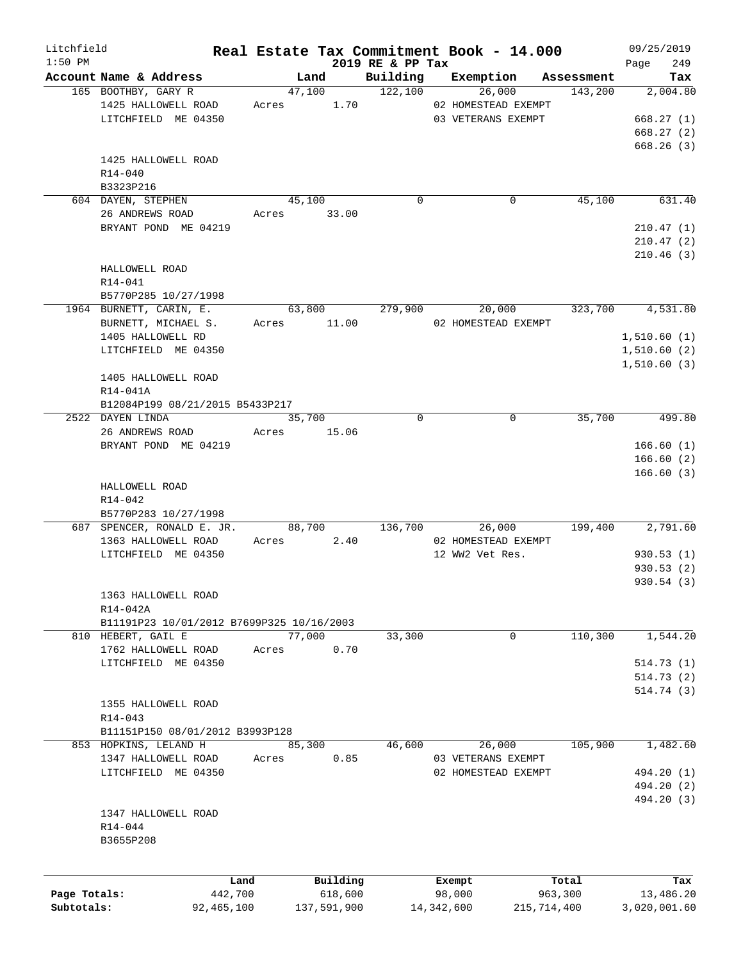| Litchfield   |                                           |              |       |             |                              | Real Estate Tax Commitment Book - 14.000 |             | 09/25/2019         |
|--------------|-------------------------------------------|--------------|-------|-------------|------------------------------|------------------------------------------|-------------|--------------------|
| $1:50$ PM    | Account Name & Address                    |              |       | Land        | 2019 RE & PP Tax<br>Building | Exemption                                | Assessment  | 249<br>Page<br>Tax |
|              | 165 BOOTHBY, GARY R                       |              |       | 47,100      | 122,100                      | 26,000                                   | 143,200     | 2,004.80           |
|              | 1425 HALLOWELL ROAD                       |              | Acres | 1.70        |                              | 02 HOMESTEAD EXEMPT                      |             |                    |
|              | LITCHFIELD ME 04350                       |              |       |             |                              | 03 VETERANS EXEMPT                       |             | 668.27(1)          |
|              |                                           |              |       |             |                              |                                          |             | 668.27(2)          |
|              |                                           |              |       |             |                              |                                          |             |                    |
|              |                                           |              |       |             |                              |                                          |             | 668.26(3)          |
|              | 1425 HALLOWELL ROAD                       |              |       |             |                              |                                          |             |                    |
|              | R14-040                                   |              |       |             |                              |                                          |             |                    |
|              | B3323P216                                 |              |       |             |                              |                                          |             |                    |
|              | 604 DAYEN, STEPHEN                        |              |       | 45,100      | $\mathbf 0$                  | 0                                        | 45,100      | 631.40             |
|              | 26 ANDREWS ROAD                           |              |       | Acres 33.00 |                              |                                          |             |                    |
|              | BRYANT POND ME 04219                      |              |       |             |                              |                                          |             | 210.47(1)          |
|              |                                           |              |       |             |                              |                                          |             | 210.47(2)          |
|              |                                           |              |       |             |                              |                                          |             | 210.46(3)          |
|              | HALLOWELL ROAD                            |              |       |             |                              |                                          |             |                    |
|              | R14-041                                   |              |       |             |                              |                                          |             |                    |
|              | B5770P285 10/27/1998                      |              |       |             |                              |                                          |             |                    |
|              | 1964 BURNETT, CARIN, E.                   |              |       | 63,800      | 279,900                      | 20,000                                   | 323,700     | 4,531.80           |
|              | BURNETT, MICHAEL S.                       |              |       | Acres 11.00 |                              | 02 HOMESTEAD EXEMPT                      |             |                    |
|              | 1405 HALLOWELL RD                         |              |       |             |                              |                                          |             | 1,510.60(1)        |
|              | LITCHFIELD ME 04350                       |              |       |             |                              |                                          |             | 1,510.60(2)        |
|              |                                           |              |       |             |                              |                                          |             | 1,510.60(3)        |
|              | 1405 HALLOWELL ROAD                       |              |       |             |                              |                                          |             |                    |
|              |                                           |              |       |             |                              |                                          |             |                    |
|              | R14-041A                                  |              |       |             |                              |                                          |             |                    |
|              | B12084P199 08/21/2015 B5433P217           |              |       |             |                              |                                          |             |                    |
|              | 2522 DAYEN LINDA                          |              |       | 35,700      | $\Omega$                     | $\mathbf 0$                              | 35,700      | 499.80             |
|              | 26 ANDREWS ROAD                           |              |       | Acres 15.06 |                              |                                          |             |                    |
|              | BRYANT POND ME 04219                      |              |       |             |                              |                                          |             | 166.60(1)          |
|              |                                           |              |       |             |                              |                                          |             | 166.60(2)          |
|              |                                           |              |       |             |                              |                                          |             | 166.60(3)          |
|              | HALLOWELL ROAD                            |              |       |             |                              |                                          |             |                    |
|              | R14-042                                   |              |       |             |                              |                                          |             |                    |
|              | B5770P283 10/27/1998                      |              |       |             |                              |                                          |             |                    |
|              | 687 SPENCER, RONALD E. JR.                |              |       | 88,700      | 136,700                      | 26,000                                   | 199,400     | 2,791.60           |
|              | 1363 HALLOWELL ROAD                       |              | Acres | 2.40        |                              | 02 HOMESTEAD EXEMPT                      |             |                    |
|              | LITCHFIELD ME 04350                       |              |       |             |                              | 12 WW2 Vet Res.                          |             | 930.53(1)          |
|              |                                           |              |       |             |                              |                                          |             | 930.53 (2)         |
|              |                                           |              |       |             |                              |                                          |             | 930.54(3)          |
|              | 1363 HALLOWELL ROAD                       |              |       |             |                              |                                          |             |                    |
|              | R14-042A                                  |              |       |             |                              |                                          |             |                    |
|              | B11191P23 10/01/2012 B7699P325 10/16/2003 |              |       |             |                              |                                          |             |                    |
|              | 810 HEBERT, GAIL E                        |              |       | 77,000      | 33,300                       | $\mathbf 0$                              | 110,300     | 1,544.20           |
|              | 1762 HALLOWELL ROAD                       |              | Acres | 0.70        |                              |                                          |             |                    |
|              | LITCHFIELD ME 04350                       |              |       |             |                              |                                          |             | 514.73(1)          |
|              |                                           |              |       |             |                              |                                          |             |                    |
|              |                                           |              |       |             |                              |                                          |             | 514.73(2)          |
|              |                                           |              |       |             |                              |                                          |             | 514.74(3)          |
|              | 1355 HALLOWELL ROAD                       |              |       |             |                              |                                          |             |                    |
|              | $R14 - 043$                               |              |       |             |                              |                                          |             |                    |
|              | B11151P150 08/01/2012 B3993P128           |              |       |             |                              |                                          |             |                    |
|              | 853 HOPKINS, LELAND H                     |              |       | 85,300      | 46,600                       | 26,000                                   | 105,900     | 1,482.60           |
|              | 1347 HALLOWELL ROAD                       |              | Acres | 0.85        |                              | 03 VETERANS EXEMPT                       |             |                    |
|              | LITCHFIELD ME 04350                       |              |       |             |                              | 02 HOMESTEAD EXEMPT                      |             | 494.20 (1)         |
|              |                                           |              |       |             |                              |                                          |             | 494.20 (2)         |
|              |                                           |              |       |             |                              |                                          |             | 494.20 (3)         |
|              | 1347 HALLOWELL ROAD                       |              |       |             |                              |                                          |             |                    |
|              | R14-044                                   |              |       |             |                              |                                          |             |                    |
|              | B3655P208                                 |              |       |             |                              |                                          |             |                    |
|              |                                           |              |       |             |                              |                                          |             |                    |
|              |                                           |              |       |             |                              |                                          |             |                    |
|              |                                           | Land         |       | Building    |                              | Exempt                                   | Total       | Tax                |
| Page Totals: |                                           | 442,700      |       | 618,600     |                              | 98,000                                   | 963,300     | 13,486.20          |
| Subtotals:   |                                           | 92, 465, 100 |       | 137,591,900 |                              | 14,342,600                               | 215,714,400 | 3,020,001.60       |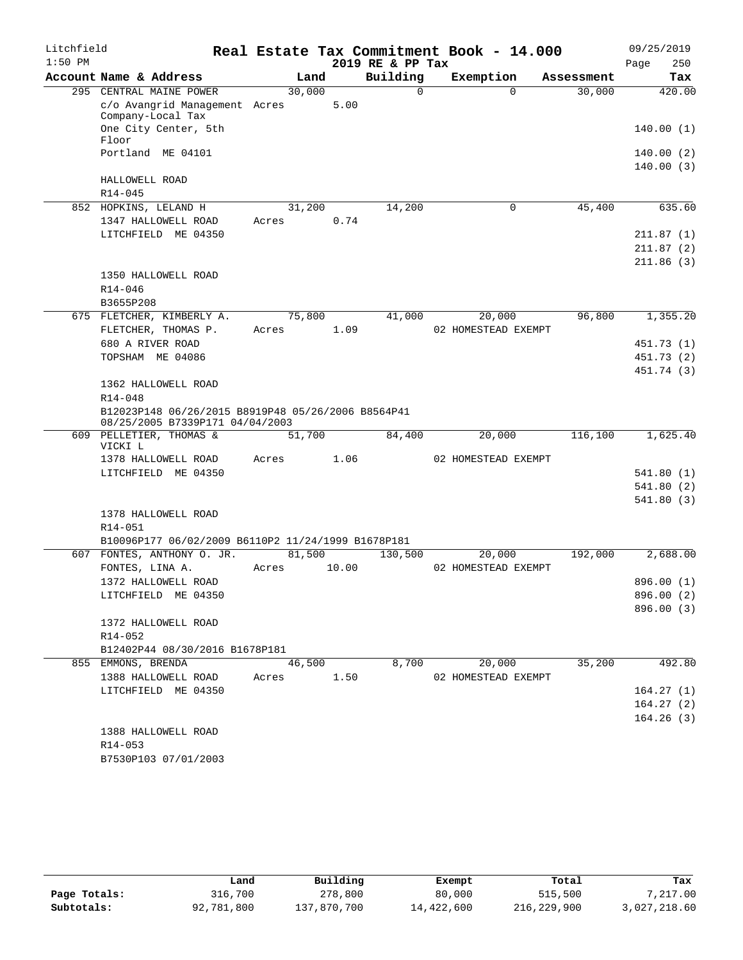| $1:50$ PM<br>2019 RE & PP Tax<br>Page<br>250<br>Building<br>Account Name & Address<br>Exemption<br>Land<br>Tax<br>Assessment<br>295 CENTRAL MAINE POWER<br>$\Omega$<br>30,000<br>$\Omega$<br>30,000<br>420.00<br>5.00<br>c/o Avangrid Management Acres<br>Company-Local Tax<br>One City Center, 5th<br>Floor<br>Portland ME 04101<br>HALLOWELL ROAD<br>$R14 - 045$<br>14,200<br>45,400<br>852 HOPKINS, LELAND H<br>31,200<br>0<br>0.74<br>1347 HALLOWELL ROAD<br>Acres<br>LITCHFIELD ME 04350<br>1350 HALLOWELL ROAD<br>$R14 - 046$<br>B3655P208<br>75,800<br>41,000<br>20,000<br>96,800<br>1,355.20<br>675 FLETCHER, KIMBERLY A.<br>FLETCHER, THOMAS P.<br>1.09<br>02 HOMESTEAD EXEMPT<br>Acres<br>680 A RIVER ROAD<br>TOPSHAM ME 04086<br>1362 HALLOWELL ROAD<br>$R14 - 048$<br>B12023P148 06/26/2015 B8919P48 05/26/2006 B8564P41<br>08/25/2005 B7339P171 04/04/2003<br>609 PELLETIER, THOMAS &<br>51,700<br>84,400<br>20,000<br>116,100<br>1,625.40<br>VICKI L<br>1.06<br>1378 HALLOWELL ROAD<br>02 HOMESTEAD EXEMPT<br>Acres<br>LITCHFIELD ME 04350<br>1378 HALLOWELL ROAD<br>$R14 - 051$<br>B10096P177 06/02/2009 B6110P2 11/24/1999 B1678P181<br>FONTES, ANTHONY O. JR.<br>81,500<br>130,500<br>192,000<br>2,688.00<br>607<br>20,000<br>FONTES, LINA A.<br>10.00<br>02 HOMESTEAD EXEMPT<br>Acres<br>1372 HALLOWELL ROAD<br>896.00 (1)<br>LITCHFIELD ME 04350<br>1372 HALLOWELL ROAD<br>R14-052<br>B12402P44 08/30/2016 B1678P181<br>8,700<br>20,000<br>35,200<br>492.80<br>855 EMMONS, BRENDA<br>46,500<br>1388 HALLOWELL ROAD<br>1.50<br>02 HOMESTEAD EXEMPT<br>Acres<br>LITCHFIELD ME 04350<br>1388 HALLOWELL ROAD<br>R14-053<br>B7530P103 07/01/2003 | Litchfield |  |  |  | Real Estate Tax Commitment Book - 14.000 | 09/25/2019 |
|----------------------------------------------------------------------------------------------------------------------------------------------------------------------------------------------------------------------------------------------------------------------------------------------------------------------------------------------------------------------------------------------------------------------------------------------------------------------------------------------------------------------------------------------------------------------------------------------------------------------------------------------------------------------------------------------------------------------------------------------------------------------------------------------------------------------------------------------------------------------------------------------------------------------------------------------------------------------------------------------------------------------------------------------------------------------------------------------------------------------------------------------------------------------------------------------------------------------------------------------------------------------------------------------------------------------------------------------------------------------------------------------------------------------------------------------------------------------------------------------------------------------------------------------------------------------------------------------------------------------------------------------------------------|------------|--|--|--|------------------------------------------|------------|
|                                                                                                                                                                                                                                                                                                                                                                                                                                                                                                                                                                                                                                                                                                                                                                                                                                                                                                                                                                                                                                                                                                                                                                                                                                                                                                                                                                                                                                                                                                                                                                                                                                                                |            |  |  |  |                                          |            |
| 140.00(1)<br>140.00(2)<br>140.00(3)<br>635.60<br>211.87(1)<br>211.87(2)<br>211.86(3)<br>451.73 (1)<br>451.73 (2)<br>451.74 (3)<br>541.80(1)<br>541.80(2)<br>541.80(3)<br>896.00 (2)<br>896.00 (3)<br>164.27(1)<br>164.27(2)<br>164.26(3)                                                                                                                                                                                                                                                                                                                                                                                                                                                                                                                                                                                                                                                                                                                                                                                                                                                                                                                                                                                                                                                                                                                                                                                                                                                                                                                                                                                                                       |            |  |  |  |                                          |            |
|                                                                                                                                                                                                                                                                                                                                                                                                                                                                                                                                                                                                                                                                                                                                                                                                                                                                                                                                                                                                                                                                                                                                                                                                                                                                                                                                                                                                                                                                                                                                                                                                                                                                |            |  |  |  |                                          |            |
|                                                                                                                                                                                                                                                                                                                                                                                                                                                                                                                                                                                                                                                                                                                                                                                                                                                                                                                                                                                                                                                                                                                                                                                                                                                                                                                                                                                                                                                                                                                                                                                                                                                                |            |  |  |  |                                          |            |
|                                                                                                                                                                                                                                                                                                                                                                                                                                                                                                                                                                                                                                                                                                                                                                                                                                                                                                                                                                                                                                                                                                                                                                                                                                                                                                                                                                                                                                                                                                                                                                                                                                                                |            |  |  |  |                                          |            |
|                                                                                                                                                                                                                                                                                                                                                                                                                                                                                                                                                                                                                                                                                                                                                                                                                                                                                                                                                                                                                                                                                                                                                                                                                                                                                                                                                                                                                                                                                                                                                                                                                                                                |            |  |  |  |                                          |            |
|                                                                                                                                                                                                                                                                                                                                                                                                                                                                                                                                                                                                                                                                                                                                                                                                                                                                                                                                                                                                                                                                                                                                                                                                                                                                                                                                                                                                                                                                                                                                                                                                                                                                |            |  |  |  |                                          |            |
|                                                                                                                                                                                                                                                                                                                                                                                                                                                                                                                                                                                                                                                                                                                                                                                                                                                                                                                                                                                                                                                                                                                                                                                                                                                                                                                                                                                                                                                                                                                                                                                                                                                                |            |  |  |  |                                          |            |
|                                                                                                                                                                                                                                                                                                                                                                                                                                                                                                                                                                                                                                                                                                                                                                                                                                                                                                                                                                                                                                                                                                                                                                                                                                                                                                                                                                                                                                                                                                                                                                                                                                                                |            |  |  |  |                                          |            |
|                                                                                                                                                                                                                                                                                                                                                                                                                                                                                                                                                                                                                                                                                                                                                                                                                                                                                                                                                                                                                                                                                                                                                                                                                                                                                                                                                                                                                                                                                                                                                                                                                                                                |            |  |  |  |                                          |            |
|                                                                                                                                                                                                                                                                                                                                                                                                                                                                                                                                                                                                                                                                                                                                                                                                                                                                                                                                                                                                                                                                                                                                                                                                                                                                                                                                                                                                                                                                                                                                                                                                                                                                |            |  |  |  |                                          |            |
|                                                                                                                                                                                                                                                                                                                                                                                                                                                                                                                                                                                                                                                                                                                                                                                                                                                                                                                                                                                                                                                                                                                                                                                                                                                                                                                                                                                                                                                                                                                                                                                                                                                                |            |  |  |  |                                          |            |
|                                                                                                                                                                                                                                                                                                                                                                                                                                                                                                                                                                                                                                                                                                                                                                                                                                                                                                                                                                                                                                                                                                                                                                                                                                                                                                                                                                                                                                                                                                                                                                                                                                                                |            |  |  |  |                                          |            |
|                                                                                                                                                                                                                                                                                                                                                                                                                                                                                                                                                                                                                                                                                                                                                                                                                                                                                                                                                                                                                                                                                                                                                                                                                                                                                                                                                                                                                                                                                                                                                                                                                                                                |            |  |  |  |                                          |            |
|                                                                                                                                                                                                                                                                                                                                                                                                                                                                                                                                                                                                                                                                                                                                                                                                                                                                                                                                                                                                                                                                                                                                                                                                                                                                                                                                                                                                                                                                                                                                                                                                                                                                |            |  |  |  |                                          |            |
|                                                                                                                                                                                                                                                                                                                                                                                                                                                                                                                                                                                                                                                                                                                                                                                                                                                                                                                                                                                                                                                                                                                                                                                                                                                                                                                                                                                                                                                                                                                                                                                                                                                                |            |  |  |  |                                          |            |
|                                                                                                                                                                                                                                                                                                                                                                                                                                                                                                                                                                                                                                                                                                                                                                                                                                                                                                                                                                                                                                                                                                                                                                                                                                                                                                                                                                                                                                                                                                                                                                                                                                                                |            |  |  |  |                                          |            |
|                                                                                                                                                                                                                                                                                                                                                                                                                                                                                                                                                                                                                                                                                                                                                                                                                                                                                                                                                                                                                                                                                                                                                                                                                                                                                                                                                                                                                                                                                                                                                                                                                                                                |            |  |  |  |                                          |            |
|                                                                                                                                                                                                                                                                                                                                                                                                                                                                                                                                                                                                                                                                                                                                                                                                                                                                                                                                                                                                                                                                                                                                                                                                                                                                                                                                                                                                                                                                                                                                                                                                                                                                |            |  |  |  |                                          |            |
|                                                                                                                                                                                                                                                                                                                                                                                                                                                                                                                                                                                                                                                                                                                                                                                                                                                                                                                                                                                                                                                                                                                                                                                                                                                                                                                                                                                                                                                                                                                                                                                                                                                                |            |  |  |  |                                          |            |
|                                                                                                                                                                                                                                                                                                                                                                                                                                                                                                                                                                                                                                                                                                                                                                                                                                                                                                                                                                                                                                                                                                                                                                                                                                                                                                                                                                                                                                                                                                                                                                                                                                                                |            |  |  |  |                                          |            |
|                                                                                                                                                                                                                                                                                                                                                                                                                                                                                                                                                                                                                                                                                                                                                                                                                                                                                                                                                                                                                                                                                                                                                                                                                                                                                                                                                                                                                                                                                                                                                                                                                                                                |            |  |  |  |                                          |            |
|                                                                                                                                                                                                                                                                                                                                                                                                                                                                                                                                                                                                                                                                                                                                                                                                                                                                                                                                                                                                                                                                                                                                                                                                                                                                                                                                                                                                                                                                                                                                                                                                                                                                |            |  |  |  |                                          |            |
|                                                                                                                                                                                                                                                                                                                                                                                                                                                                                                                                                                                                                                                                                                                                                                                                                                                                                                                                                                                                                                                                                                                                                                                                                                                                                                                                                                                                                                                                                                                                                                                                                                                                |            |  |  |  |                                          |            |
|                                                                                                                                                                                                                                                                                                                                                                                                                                                                                                                                                                                                                                                                                                                                                                                                                                                                                                                                                                                                                                                                                                                                                                                                                                                                                                                                                                                                                                                                                                                                                                                                                                                                |            |  |  |  |                                          |            |
|                                                                                                                                                                                                                                                                                                                                                                                                                                                                                                                                                                                                                                                                                                                                                                                                                                                                                                                                                                                                                                                                                                                                                                                                                                                                                                                                                                                                                                                                                                                                                                                                                                                                |            |  |  |  |                                          |            |
|                                                                                                                                                                                                                                                                                                                                                                                                                                                                                                                                                                                                                                                                                                                                                                                                                                                                                                                                                                                                                                                                                                                                                                                                                                                                                                                                                                                                                                                                                                                                                                                                                                                                |            |  |  |  |                                          |            |
|                                                                                                                                                                                                                                                                                                                                                                                                                                                                                                                                                                                                                                                                                                                                                                                                                                                                                                                                                                                                                                                                                                                                                                                                                                                                                                                                                                                                                                                                                                                                                                                                                                                                |            |  |  |  |                                          |            |
|                                                                                                                                                                                                                                                                                                                                                                                                                                                                                                                                                                                                                                                                                                                                                                                                                                                                                                                                                                                                                                                                                                                                                                                                                                                                                                                                                                                                                                                                                                                                                                                                                                                                |            |  |  |  |                                          |            |
|                                                                                                                                                                                                                                                                                                                                                                                                                                                                                                                                                                                                                                                                                                                                                                                                                                                                                                                                                                                                                                                                                                                                                                                                                                                                                                                                                                                                                                                                                                                                                                                                                                                                |            |  |  |  |                                          |            |
|                                                                                                                                                                                                                                                                                                                                                                                                                                                                                                                                                                                                                                                                                                                                                                                                                                                                                                                                                                                                                                                                                                                                                                                                                                                                                                                                                                                                                                                                                                                                                                                                                                                                |            |  |  |  |                                          |            |
|                                                                                                                                                                                                                                                                                                                                                                                                                                                                                                                                                                                                                                                                                                                                                                                                                                                                                                                                                                                                                                                                                                                                                                                                                                                                                                                                                                                                                                                                                                                                                                                                                                                                |            |  |  |  |                                          |            |
|                                                                                                                                                                                                                                                                                                                                                                                                                                                                                                                                                                                                                                                                                                                                                                                                                                                                                                                                                                                                                                                                                                                                                                                                                                                                                                                                                                                                                                                                                                                                                                                                                                                                |            |  |  |  |                                          |            |
|                                                                                                                                                                                                                                                                                                                                                                                                                                                                                                                                                                                                                                                                                                                                                                                                                                                                                                                                                                                                                                                                                                                                                                                                                                                                                                                                                                                                                                                                                                                                                                                                                                                                |            |  |  |  |                                          |            |
|                                                                                                                                                                                                                                                                                                                                                                                                                                                                                                                                                                                                                                                                                                                                                                                                                                                                                                                                                                                                                                                                                                                                                                                                                                                                                                                                                                                                                                                                                                                                                                                                                                                                |            |  |  |  |                                          |            |
|                                                                                                                                                                                                                                                                                                                                                                                                                                                                                                                                                                                                                                                                                                                                                                                                                                                                                                                                                                                                                                                                                                                                                                                                                                                                                                                                                                                                                                                                                                                                                                                                                                                                |            |  |  |  |                                          |            |
|                                                                                                                                                                                                                                                                                                                                                                                                                                                                                                                                                                                                                                                                                                                                                                                                                                                                                                                                                                                                                                                                                                                                                                                                                                                                                                                                                                                                                                                                                                                                                                                                                                                                |            |  |  |  |                                          |            |
|                                                                                                                                                                                                                                                                                                                                                                                                                                                                                                                                                                                                                                                                                                                                                                                                                                                                                                                                                                                                                                                                                                                                                                                                                                                                                                                                                                                                                                                                                                                                                                                                                                                                |            |  |  |  |                                          |            |
|                                                                                                                                                                                                                                                                                                                                                                                                                                                                                                                                                                                                                                                                                                                                                                                                                                                                                                                                                                                                                                                                                                                                                                                                                                                                                                                                                                                                                                                                                                                                                                                                                                                                |            |  |  |  |                                          |            |
|                                                                                                                                                                                                                                                                                                                                                                                                                                                                                                                                                                                                                                                                                                                                                                                                                                                                                                                                                                                                                                                                                                                                                                                                                                                                                                                                                                                                                                                                                                                                                                                                                                                                |            |  |  |  |                                          |            |
|                                                                                                                                                                                                                                                                                                                                                                                                                                                                                                                                                                                                                                                                                                                                                                                                                                                                                                                                                                                                                                                                                                                                                                                                                                                                                                                                                                                                                                                                                                                                                                                                                                                                |            |  |  |  |                                          |            |
|                                                                                                                                                                                                                                                                                                                                                                                                                                                                                                                                                                                                                                                                                                                                                                                                                                                                                                                                                                                                                                                                                                                                                                                                                                                                                                                                                                                                                                                                                                                                                                                                                                                                |            |  |  |  |                                          |            |
|                                                                                                                                                                                                                                                                                                                                                                                                                                                                                                                                                                                                                                                                                                                                                                                                                                                                                                                                                                                                                                                                                                                                                                                                                                                                                                                                                                                                                                                                                                                                                                                                                                                                |            |  |  |  |                                          |            |
|                                                                                                                                                                                                                                                                                                                                                                                                                                                                                                                                                                                                                                                                                                                                                                                                                                                                                                                                                                                                                                                                                                                                                                                                                                                                                                                                                                                                                                                                                                                                                                                                                                                                |            |  |  |  |                                          |            |
|                                                                                                                                                                                                                                                                                                                                                                                                                                                                                                                                                                                                                                                                                                                                                                                                                                                                                                                                                                                                                                                                                                                                                                                                                                                                                                                                                                                                                                                                                                                                                                                                                                                                |            |  |  |  |                                          |            |
|                                                                                                                                                                                                                                                                                                                                                                                                                                                                                                                                                                                                                                                                                                                                                                                                                                                                                                                                                                                                                                                                                                                                                                                                                                                                                                                                                                                                                                                                                                                                                                                                                                                                |            |  |  |  |                                          |            |
|                                                                                                                                                                                                                                                                                                                                                                                                                                                                                                                                                                                                                                                                                                                                                                                                                                                                                                                                                                                                                                                                                                                                                                                                                                                                                                                                                                                                                                                                                                                                                                                                                                                                |            |  |  |  |                                          |            |

|              | Land       | Building    | Exempt     | Total       | Tax          |
|--------------|------------|-------------|------------|-------------|--------------|
| Page Totals: | 316,700    | 278,800     | 80,000     | 515,500     | 7,217.00     |
| Subtotals:   | 92,781,800 | 137,870,700 | 14,422,600 | 216,229,900 | 3,027,218.60 |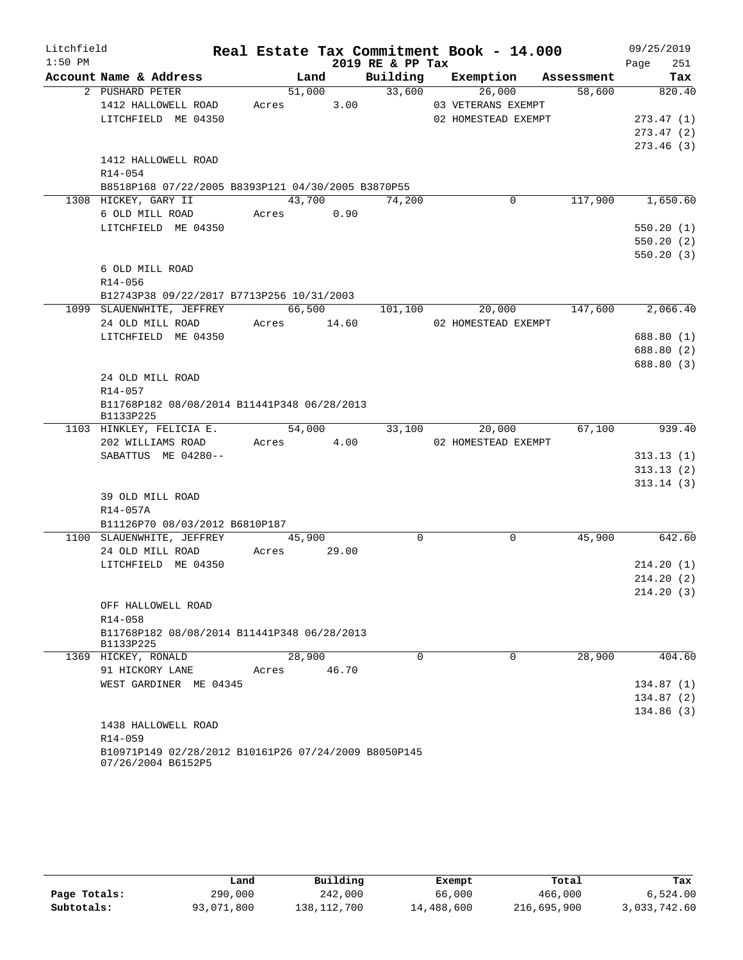| Litchfield |                                                                            |       |            |       |                  |  | Real Estate Tax Commitment Book - 14.000 |         | 09/25/2019  |
|------------|----------------------------------------------------------------------------|-------|------------|-------|------------------|--|------------------------------------------|---------|-------------|
| $1:50$ PM  |                                                                            |       |            |       | 2019 RE & PP Tax |  |                                          |         | 251<br>Page |
|            | Account Name & Address                                                     |       |            | Land  |                  |  | Building Exemption Assessment            |         | Tax         |
|            | 2 PUSHARD PETER                                                            |       |            |       | 51,000 33,600    |  | 26,000                                   | 58,600  | 820.40      |
|            | 1412 HALLOWELL ROAD                                                        |       | Acres 3.00 |       |                  |  | 03 VETERANS EXEMPT                       |         |             |
|            | LITCHFIELD ME 04350                                                        |       |            |       |                  |  | 02 HOMESTEAD EXEMPT                      |         | 273.47(1)   |
|            |                                                                            |       |            |       |                  |  |                                          |         | 273.47(2)   |
|            |                                                                            |       |            |       |                  |  |                                          |         | 273.46(3)   |
|            | 1412 HALLOWELL ROAD                                                        |       |            |       |                  |  |                                          |         |             |
|            | R14-054                                                                    |       |            |       |                  |  |                                          |         |             |
|            | B8518P168 07/22/2005 B8393P121 04/30/2005 B3870P55                         |       |            |       |                  |  |                                          |         |             |
|            | 1308 HICKEY, GARY II                                                       |       | 43,700     |       | 74,200           |  | 0                                        | 117,900 | 1,650.60    |
|            | 6 OLD MILL ROAD                                                            |       | Acres 0.90 |       |                  |  |                                          |         |             |
|            | LITCHFIELD ME 04350                                                        |       |            |       |                  |  |                                          |         | 550.20(1)   |
|            |                                                                            |       |            |       |                  |  |                                          |         | 550.20(2)   |
|            |                                                                            |       |            |       |                  |  |                                          |         | 550.20(3)   |
|            | 6 OLD MILL ROAD                                                            |       |            |       |                  |  |                                          |         |             |
|            | R14-056                                                                    |       |            |       |                  |  |                                          |         |             |
|            | B12743P38 09/22/2017 B7713P256 10/31/2003                                  |       |            |       |                  |  |                                          |         |             |
|            | 1099 SLAUENWHITE, JEFFREY                                                  |       | 66,500     |       | 101,100          |  | 20,000                                   | 147,600 | 2,066.40    |
|            | 24 OLD MILL ROAD Acres 14.60                                               |       |            |       |                  |  | 02 HOMESTEAD EXEMPT                      |         |             |
|            | LITCHFIELD ME 04350                                                        |       |            |       |                  |  |                                          |         | 688.80 (1)  |
|            |                                                                            |       |            |       |                  |  |                                          |         | 688.80 (2)  |
|            |                                                                            |       |            |       |                  |  |                                          |         | 688.80 (3)  |
|            | 24 OLD MILL ROAD                                                           |       |            |       |                  |  |                                          |         |             |
|            | $R14 - 057$                                                                |       |            |       |                  |  |                                          |         |             |
|            | B11768P182 08/08/2014 B11441P348 06/28/2013<br>B1133P225                   |       |            |       |                  |  |                                          |         |             |
|            | 1103 HINKLEY, FELICIA E.                                                   |       | 54,000     |       | 33,100           |  | 20,000                                   | 67,100  | 939.40      |
|            | 202 WILLIAMS ROAD                                                          |       | Acres      | 4.00  |                  |  | 02 HOMESTEAD EXEMPT                      |         |             |
|            | SABATTUS ME 04280--                                                        |       |            |       |                  |  |                                          |         | 313.13(1)   |
|            |                                                                            |       |            |       |                  |  |                                          |         | 313.13(2)   |
|            |                                                                            |       |            |       |                  |  |                                          |         | 313.14(3)   |
|            | 39 OLD MILL ROAD                                                           |       |            |       |                  |  |                                          |         |             |
|            | R14-057A                                                                   |       |            |       |                  |  |                                          |         |             |
|            | B11126P70 08/03/2012 B6810P187                                             |       |            |       |                  |  |                                          |         |             |
|            | 1100 SLAUENWHITE, JEFFREY                                                  |       | 45,900     |       | $\mathbf 0$      |  | $\mathbf 0$                              | 45,900  | 642.60      |
|            | 24 OLD MILL ROAD                                                           | Acres |            | 29.00 |                  |  |                                          |         |             |
|            | LITCHFIELD ME 04350                                                        |       |            |       |                  |  |                                          |         | 214.20(1)   |
|            |                                                                            |       |            |       |                  |  |                                          |         | 214.20(2)   |
|            |                                                                            |       |            |       |                  |  |                                          |         | 214.20(3)   |
|            | OFF HALLOWELL ROAD                                                         |       |            |       |                  |  |                                          |         |             |
|            | R14-058                                                                    |       |            |       |                  |  |                                          |         |             |
|            | B11768P182 08/08/2014 B11441P348 06/28/2013                                |       |            |       |                  |  |                                          |         |             |
|            | B1133P225                                                                  |       |            |       |                  |  |                                          |         |             |
|            | 1369 HICKEY, RONALD                                                        |       | 28,900     |       | $\Omega$         |  | $\Omega$                                 | 28,900  | 404.60      |
|            | 91 HICKORY LANE                                                            | Acres |            | 46.70 |                  |  |                                          |         |             |
|            | WEST GARDINER ME 04345                                                     |       |            |       |                  |  |                                          |         | 134.87(1)   |
|            |                                                                            |       |            |       |                  |  |                                          |         | 134.87 (2)  |
|            |                                                                            |       |            |       |                  |  |                                          |         | 134.86(3)   |
|            | 1438 HALLOWELL ROAD                                                        |       |            |       |                  |  |                                          |         |             |
|            | R14-059                                                                    |       |            |       |                  |  |                                          |         |             |
|            | B10971P149 02/28/2012 B10161P26 07/24/2009 B8050P145<br>07/26/2004 B6152P5 |       |            |       |                  |  |                                          |         |             |

|              | Land       | Building    | Exempt     | Total       | Tax          |
|--------------|------------|-------------|------------|-------------|--------------|
| Page Totals: | 290,000    | 242,000     | 66,000     | 466,000     | 6.524.00     |
| Subtotals:   | 93,071,800 | 138,112,700 | 14,488,600 | 216,695,900 | 3,033,742.60 |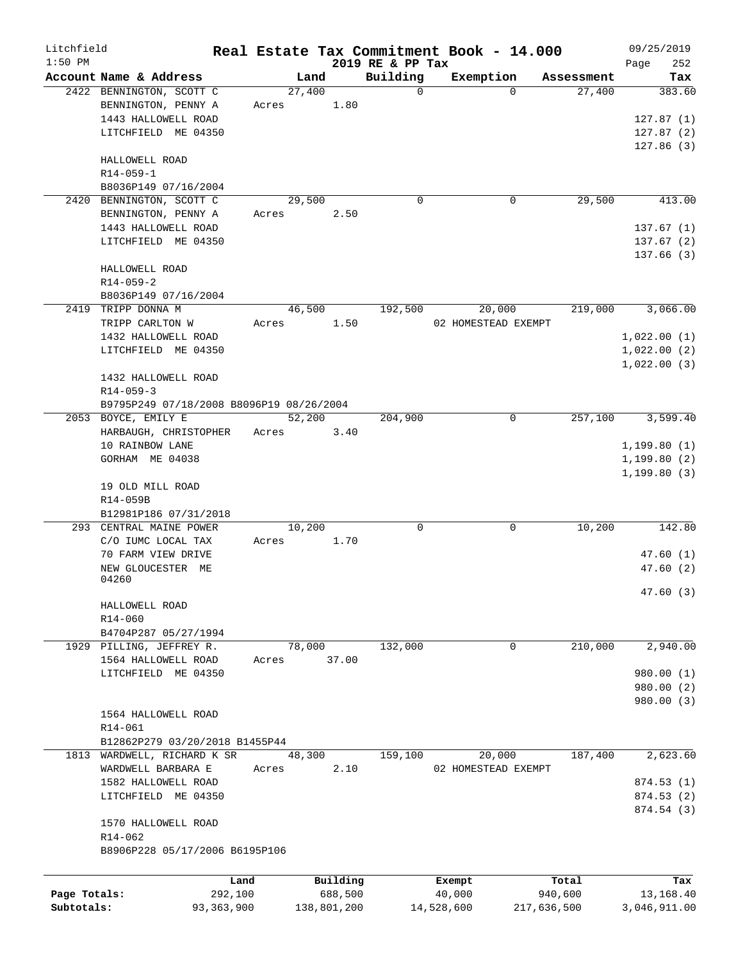| Litchfield   |                                          |              |        |             |                              | Real Estate Tax Commitment Book - 14.000 |              |            | 09/25/2019   |            |
|--------------|------------------------------------------|--------------|--------|-------------|------------------------------|------------------------------------------|--------------|------------|--------------|------------|
| $1:50$ PM    | Account Name & Address                   |              | Land   |             | 2019 RE & PP Tax<br>Building | Exemption                                |              | Assessment | Page         | 252<br>Tax |
|              | 2422 BENNINGTON, SCOTT C                 |              | 27,400 |             | $\mathbf 0$                  |                                          | $\Omega$     | 27,400     |              | 383.60     |
|              | BENNINGTON, PENNY A                      | Acres        |        | 1.80        |                              |                                          |              |            |              |            |
|              | 1443 HALLOWELL ROAD                      |              |        |             |                              |                                          |              |            | 127.87(1)    |            |
|              | LITCHFIELD ME 04350                      |              |        |             |                              |                                          |              |            | 127.87(2)    |            |
|              |                                          |              |        |             |                              |                                          |              |            | 127.86(3)    |            |
|              | HALLOWELL ROAD                           |              |        |             |                              |                                          |              |            |              |            |
|              | $R14 - 059 - 1$                          |              |        |             |                              |                                          |              |            |              |            |
|              | B8036P149 07/16/2004                     |              |        |             |                              |                                          |              |            |              |            |
|              | 2420 BENNINGTON, SCOTT C                 |              | 29,500 |             | 0                            |                                          | 0            | 29,500     |              | 413.00     |
|              | BENNINGTON, PENNY A                      | Acres        |        | 2.50        |                              |                                          |              |            |              |            |
|              | 1443 HALLOWELL ROAD                      |              |        |             |                              |                                          |              |            | 137.67(1)    |            |
|              | LITCHFIELD ME 04350                      |              |        |             |                              |                                          |              |            | 137.67(2)    |            |
|              |                                          |              |        |             |                              |                                          |              |            | 137.66(3)    |            |
|              | HALLOWELL ROAD                           |              |        |             |                              |                                          |              |            |              |            |
|              | $R14 - 059 - 2$                          |              |        |             |                              |                                          |              |            |              |            |
|              | B8036P149 07/16/2004                     |              |        |             |                              |                                          |              |            |              |            |
| 2419         | TRIPP DONNA M                            |              | 46,500 |             | 192,500                      | 20,000                                   |              | 219,000    |              | 3,066.00   |
|              | TRIPP CARLTON W                          | Acres        |        | 1.50        |                              | 02 HOMESTEAD EXEMPT                      |              |            |              |            |
|              | 1432 HALLOWELL ROAD                      |              |        |             |                              |                                          |              |            | 1,022.00(1)  |            |
|              | LITCHFIELD ME 04350                      |              |        |             |                              |                                          |              |            | 1,022.00(2)  |            |
|              |                                          |              |        |             |                              |                                          |              |            | 1,022.00(3)  |            |
|              | 1432 HALLOWELL ROAD                      |              |        |             |                              |                                          |              |            |              |            |
|              | $R14 - 059 - 3$                          |              |        |             |                              |                                          |              |            |              |            |
|              | B9795P249 07/18/2008 B8096P19 08/26/2004 |              |        |             |                              |                                          |              |            |              |            |
|              | 2053 BOYCE, EMILY E                      |              | 52,200 |             | 204,900                      |                                          | $\mathsf{O}$ | 257,100    |              | 3,599.40   |
|              | HARBAUGH, CHRISTOPHER                    | Acres        |        | 3.40        |                              |                                          |              |            |              |            |
|              | 10 RAINBOW LANE                          |              |        |             |                              |                                          |              |            | 1,199.80(1)  |            |
|              | GORHAM ME 04038                          |              |        |             |                              |                                          |              |            | 1,199.80(2)  |            |
|              |                                          |              |        |             |                              |                                          |              |            | 1, 199.80(3) |            |
|              | 19 OLD MILL ROAD                         |              |        |             |                              |                                          |              |            |              |            |
|              | R14-059B                                 |              |        |             |                              |                                          |              |            |              |            |
|              | B12981P186 07/31/2018                    |              |        |             |                              |                                          |              |            |              |            |
|              | 293 CENTRAL MAINE POWER                  |              | 10,200 |             | 0                            |                                          | 0            | 10,200     |              | 142.80     |
|              | C/O IUMC LOCAL TAX                       | Acres        |        | 1.70        |                              |                                          |              |            |              |            |
|              | 70 FARM VIEW DRIVE                       |              |        |             |                              |                                          |              |            | 47.60(1)     |            |
|              | NEW GLOUCESTER ME<br>04260               |              |        |             |                              |                                          |              |            | 47.60(2)     |            |
|              |                                          |              |        |             |                              |                                          |              |            | 47.60 (3)    |            |
|              | HALLOWELL ROAD                           |              |        |             |                              |                                          |              |            |              |            |
|              | R14-060                                  |              |        |             |                              |                                          |              |            |              |            |
|              | B4704P287 05/27/1994                     |              |        |             |                              |                                          |              |            |              |            |
|              | 1929 PILLING, JEFFREY R.                 |              | 78,000 |             | 132,000                      |                                          | 0            | 210,000    |              | 2,940.00   |
|              | 1564 HALLOWELL ROAD                      | Acres        |        | 37.00       |                              |                                          |              |            |              |            |
|              | LITCHFIELD ME 04350                      |              |        |             |                              |                                          |              |            | 980.00(1)    |            |
|              |                                          |              |        |             |                              |                                          |              |            | 980.00 (2)   |            |
|              |                                          |              |        |             |                              |                                          |              |            | 980.00 (3)   |            |
|              | 1564 HALLOWELL ROAD                      |              |        |             |                              |                                          |              |            |              |            |
|              | R14-061                                  |              |        |             |                              |                                          |              |            |              |            |
|              | B12862P279 03/20/2018 B1455P44           |              |        |             |                              |                                          |              |            |              |            |
|              | 1813 WARDWELL, RICHARD K SR              |              | 48,300 |             | 159,100                      | 20,000                                   |              | 187,400    |              | 2,623.60   |
|              | WARDWELL BARBARA E                       | Acres        |        | 2.10        |                              | 02 HOMESTEAD EXEMPT                      |              |            |              |            |
|              | 1582 HALLOWELL ROAD                      |              |        |             |                              |                                          |              |            | 874.53(1)    |            |
|              | LITCHFIELD ME 04350                      |              |        |             |                              |                                          |              |            | 874.53 (2)   |            |
|              |                                          |              |        |             |                              |                                          |              |            | 874.54 (3)   |            |
|              | 1570 HALLOWELL ROAD                      |              |        |             |                              |                                          |              |            |              |            |
|              | R14-062                                  |              |        |             |                              |                                          |              |            |              |            |
|              | B8906P228 05/17/2006 B6195P106           |              |        |             |                              |                                          |              |            |              |            |
|              |                                          |              |        |             |                              |                                          |              |            |              |            |
|              |                                          | Land         |        | Building    |                              | Exempt                                   |              | Total      |              | Tax        |
| Page Totals: |                                          | 292,100      |        | 688,500     |                              | 40,000                                   |              | 940,600    | 13,168.40    |            |
| Subtotals:   |                                          | 93, 363, 900 |        | 138,801,200 |                              | 14,528,600                               | 217,636,500  |            | 3,046,911.00 |            |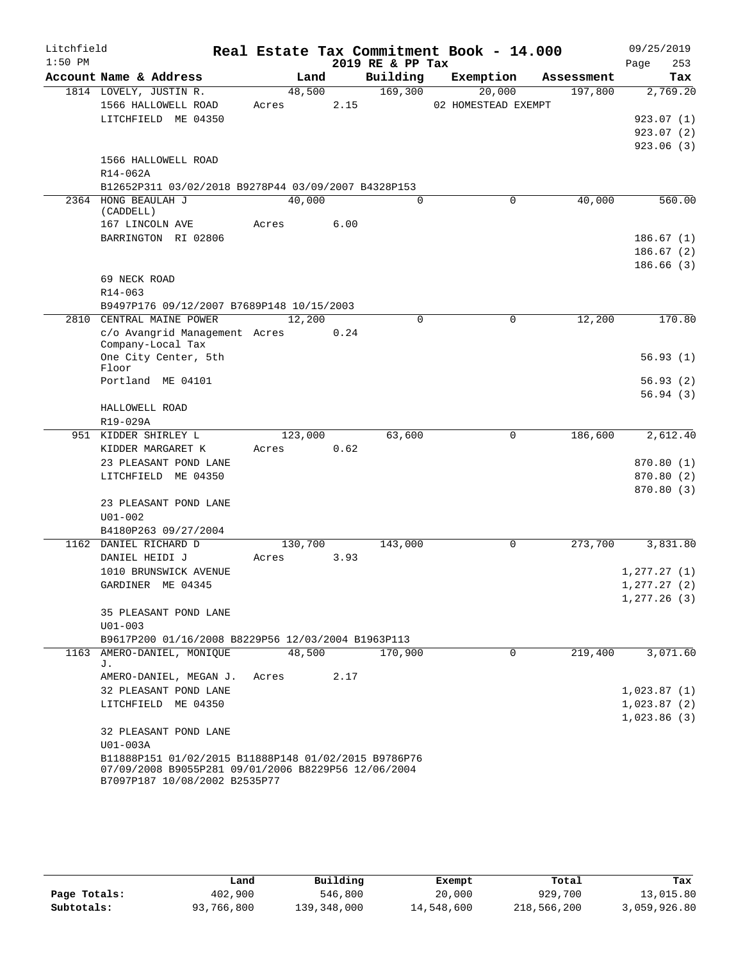| Litchfield |                                                                                      |       |         |      |                  | Real Estate Tax Commitment Book - 14.000 |            | 09/25/2019               |
|------------|--------------------------------------------------------------------------------------|-------|---------|------|------------------|------------------------------------------|------------|--------------------------|
| $1:50$ PM  |                                                                                      |       |         |      | 2019 RE & PP Tax |                                          |            | 253<br>Page              |
|            | Account Name & Address                                                               |       | Land    |      | Building         | Exemption                                | Assessment | Tax                      |
|            | 1814 LOVELY, JUSTIN R.                                                               |       | 48,500  |      | 169,300          | 20,000                                   | 197,800    | 2,769.20                 |
|            | 1566 HALLOWELL ROAD                                                                  | Acres |         | 2.15 |                  | 02 HOMESTEAD EXEMPT                      |            |                          |
|            | LITCHFIELD ME 04350                                                                  |       |         |      |                  |                                          |            | 923.07(1)                |
|            |                                                                                      |       |         |      |                  |                                          |            | 923.07(2)                |
|            |                                                                                      |       |         |      |                  |                                          |            | 923.06(3)                |
|            | 1566 HALLOWELL ROAD<br>$R14 - 062A$                                                  |       |         |      |                  |                                          |            |                          |
|            | B12652P311 03/02/2018 B9278P44 03/09/2007 B4328P153                                  |       |         |      |                  |                                          |            |                          |
|            | 2364 HONG BEAULAH J                                                                  |       | 40,000  |      | $\Omega$         | 0                                        | 40,000     | 560.00                   |
|            | (CADDELL)                                                                            |       |         |      |                  |                                          |            |                          |
|            | 167 LINCOLN AVE                                                                      | Acres |         | 6.00 |                  |                                          |            |                          |
|            | BARRINGTON RI 02806                                                                  |       |         |      |                  |                                          |            | 186.67(1)                |
|            |                                                                                      |       |         |      |                  |                                          |            | 186.67(2)                |
|            |                                                                                      |       |         |      |                  |                                          |            | 186.66(3)                |
|            | 69 NECK ROAD                                                                         |       |         |      |                  |                                          |            |                          |
|            | R14-063                                                                              |       |         |      |                  |                                          |            |                          |
|            | B9497P176 09/12/2007 B7689P148 10/15/2003                                            |       |         |      |                  |                                          |            |                          |
| 2810       | CENTRAL MAINE POWER                                                                  |       | 12,200  |      | $\mathbf 0$      | 0                                        | 12,200     | 170.80                   |
|            | c/o Avangrid Management Acres<br>Company-Local Tax                                   |       |         | 0.24 |                  |                                          |            |                          |
|            | One City Center, 5th                                                                 |       |         |      |                  |                                          |            | 56.93(1)                 |
|            | Floor                                                                                |       |         |      |                  |                                          |            |                          |
|            | Portland ME 04101                                                                    |       |         |      |                  |                                          |            | 56.93(2)                 |
|            |                                                                                      |       |         |      |                  |                                          |            | 56.94(3)                 |
|            | HALLOWELL ROAD                                                                       |       |         |      |                  |                                          |            |                          |
|            | R19-029A                                                                             |       |         |      |                  |                                          |            |                          |
|            | 951 KIDDER SHIRLEY L                                                                 |       | 123,000 |      | 63,600           | 0                                        | 186,600    | 2,612.40                 |
|            | KIDDER MARGARET K                                                                    | Acres |         | 0.62 |                  |                                          |            |                          |
|            | 23 PLEASANT POND LANE<br>LITCHFIELD ME 04350                                         |       |         |      |                  |                                          |            | 870.80 (1)               |
|            |                                                                                      |       |         |      |                  |                                          |            | 870.80 (2)<br>870.80 (3) |
|            | 23 PLEASANT POND LANE                                                                |       |         |      |                  |                                          |            |                          |
|            | $U01 - 002$                                                                          |       |         |      |                  |                                          |            |                          |
|            | B4180P263 09/27/2004                                                                 |       |         |      |                  |                                          |            |                          |
|            | 1162 DANIEL RICHARD D                                                                |       | 130,700 |      | 143,000          | 0                                        | 273,700    | 3,831.80                 |
|            | DANIEL HEIDI J                                                                       | Acres |         | 3.93 |                  |                                          |            |                          |
|            | 1010 BRUNSWICK AVENUE                                                                |       |         |      |                  |                                          |            | 1, 277.27(1)             |
|            | GARDINER ME 04345                                                                    |       |         |      |                  |                                          |            | 1, 277.27 (2)            |
|            |                                                                                      |       |         |      |                  |                                          |            | 1,277.26(3)              |
|            | 35 PLEASANT POND LANE                                                                |       |         |      |                  |                                          |            |                          |
|            | $U01 - 003$                                                                          |       |         |      |                  |                                          |            |                          |
|            | B9617P200 01/16/2008 B8229P56 12/03/2004 B1963P113                                   |       |         |      |                  |                                          |            |                          |
|            | 1163 AMERO-DANIEL, MONIQUE<br>J.                                                     |       | 48,500  |      | 170,900          | $\mathbf 0$                              | 219,400    | 3,071.60                 |
|            | AMERO-DANIEL, MEGAN J.                                                               | Acres |         | 2.17 |                  |                                          |            |                          |
|            | 32 PLEASANT POND LANE                                                                |       |         |      |                  |                                          |            | 1,023.87(1)              |
|            | LITCHFIELD ME 04350                                                                  |       |         |      |                  |                                          |            | 1,023.87(2)              |
|            |                                                                                      |       |         |      |                  |                                          |            | 1,023.86(3)              |
|            | 32 PLEASANT POND LANE                                                                |       |         |      |                  |                                          |            |                          |
|            | U01-003A                                                                             |       |         |      |                  |                                          |            |                          |
|            | B11888P151 01/02/2015 B11888P148 01/02/2015 B9786P76                                 |       |         |      |                  |                                          |            |                          |
|            | 07/09/2008 B9055P281 09/01/2006 B8229P56 12/06/2004<br>B7097P187 10/08/2002 B2535P77 |       |         |      |                  |                                          |            |                          |
|            |                                                                                      |       |         |      |                  |                                          |            |                          |

|              | Land       | Building    | Exempt     | Total       | Tax          |
|--------------|------------|-------------|------------|-------------|--------------|
| Page Totals: | 402,900    | 546,800     | 20,000     | 929,700     | 13,015.80    |
| Subtotals:   | 93,766,800 | 139,348,000 | 14,548,600 | 218,566,200 | 3,059,926.80 |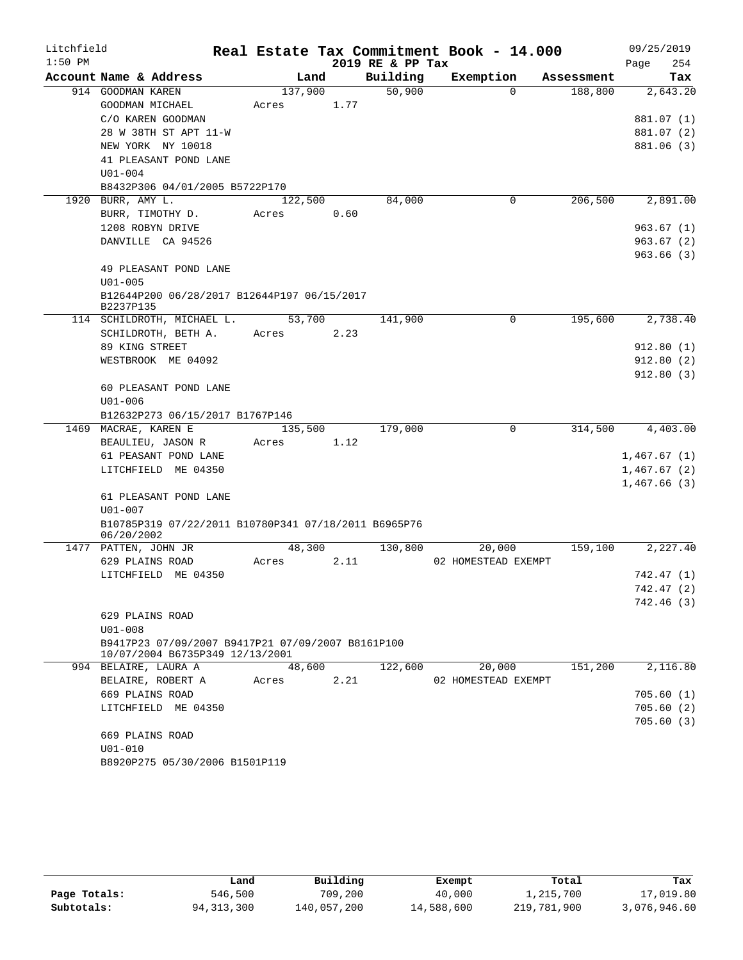| Litchfield |                                                                                      |                  |      | Real Estate Tax Commitment Book - 14.000 |                     |          |            | 09/25/2019  |
|------------|--------------------------------------------------------------------------------------|------------------|------|------------------------------------------|---------------------|----------|------------|-------------|
| $1:50$ PM  |                                                                                      |                  |      | 2019 RE & PP Tax                         |                     |          |            | 254<br>Page |
|            | Account Name & Address                                                               | Land             |      | Building                                 | Exemption           |          | Assessment | Tax         |
|            | 914 GOODMAN KAREN<br>GOODMAN MICHAEL                                                 | 137,900<br>Acres | 1.77 | 50,900                                   |                     | $\Omega$ | 188,800    | 2,643.20    |
|            | C/O KAREN GOODMAN                                                                    |                  |      |                                          |                     |          |            | 881.07 (1)  |
|            | 28 W 38TH ST APT 11-W                                                                |                  |      |                                          |                     |          |            | 881.07 (2)  |
|            | NEW YORK NY 10018                                                                    |                  |      |                                          |                     |          |            | 881.06 (3)  |
|            | 41 PLEASANT POND LANE                                                                |                  |      |                                          |                     |          |            |             |
|            | $U01 - 004$                                                                          |                  |      |                                          |                     |          |            |             |
|            | B8432P306 04/01/2005 B5722P170                                                       |                  |      |                                          |                     |          |            |             |
| 1920       | BURR, AMY L.                                                                         | 122,500          |      | 84,000                                   |                     | 0        | 206,500    | 2,891.00    |
|            | BURR, TIMOTHY D.                                                                     | Acres            | 0.60 |                                          |                     |          |            |             |
|            | 1208 ROBYN DRIVE                                                                     |                  |      |                                          |                     |          |            | 963.67(1)   |
|            | DANVILLE CA 94526                                                                    |                  |      |                                          |                     |          |            | 963.67(2)   |
|            |                                                                                      |                  |      |                                          |                     |          |            | 963.66(3)   |
|            | 49 PLEASANT POND LANE                                                                |                  |      |                                          |                     |          |            |             |
|            | $U01 - 005$                                                                          |                  |      |                                          |                     |          |            |             |
|            | B12644P200 06/28/2017 B12644P197 06/15/2017                                          |                  |      |                                          |                     |          |            |             |
|            | B2237P135                                                                            |                  |      |                                          |                     |          |            |             |
|            | 114 SCHILDROTH, MICHAEL L.                                                           | 53,700           |      | 141,900                                  |                     | 0        | 195,600    | 2,738.40    |
|            | SCHILDROTH, BETH A.                                                                  | Acres            | 2.23 |                                          |                     |          |            |             |
|            | 89 KING STREET                                                                       |                  |      |                                          |                     |          |            | 912.80(1)   |
|            | WESTBROOK ME 04092                                                                   |                  |      |                                          |                     |          |            | 912.80(2)   |
|            | 60 PLEASANT POND LANE                                                                |                  |      |                                          |                     |          |            | 912.80(3)   |
|            | $U01 - 006$                                                                          |                  |      |                                          |                     |          |            |             |
|            | B12632P273 06/15/2017 B1767P146                                                      |                  |      |                                          |                     |          |            |             |
|            | 1469 MACRAE, KAREN E                                                                 | 135,500          |      | 179,000                                  |                     | $\Omega$ | 314,500    | 4,403.00    |
|            | BEAULIEU, JASON R                                                                    | Acres            | 1.12 |                                          |                     |          |            |             |
|            | 61 PEASANT POND LANE                                                                 |                  |      |                                          |                     |          |            | 1,467.67(1) |
|            | LITCHFIELD ME 04350                                                                  |                  |      |                                          |                     |          |            | 1,467.67(2) |
|            |                                                                                      |                  |      |                                          |                     |          |            | 1,467.66(3) |
|            | 61 PLEASANT POND LANE                                                                |                  |      |                                          |                     |          |            |             |
|            | $U01 - 007$                                                                          |                  |      |                                          |                     |          |            |             |
|            | B10785P319 07/22/2011 B10780P341 07/18/2011 B6965P76                                 |                  |      |                                          |                     |          |            |             |
|            | 06/20/2002                                                                           |                  |      |                                          |                     |          |            |             |
|            | 1477 PATTEN, JOHN JR                                                                 | 48,300           |      | 130,800                                  |                     | 20,000   | 159,100    | 2,227.40    |
|            | 629 PLAINS ROAD                                                                      | Acres            | 2.11 |                                          | 02 HOMESTEAD EXEMPT |          |            |             |
|            | LITCHFIELD ME 04350                                                                  |                  |      |                                          |                     |          |            | 742.47 (1)  |
|            |                                                                                      |                  |      |                                          |                     |          |            | 742.47(2)   |
|            |                                                                                      |                  |      |                                          |                     |          |            | 742.46 (3)  |
|            | 629 PLAINS ROAD                                                                      |                  |      |                                          |                     |          |            |             |
|            | $U01 - 008$                                                                          |                  |      |                                          |                     |          |            |             |
|            | B9417P23 07/09/2007 B9417P21 07/09/2007 B8161P100<br>10/07/2004 B6735P349 12/13/2001 |                  |      |                                          |                     |          |            |             |
|            | 994 BELAIRE, LAURA A                                                                 | 48,600           |      | 122,600                                  |                     | 20,000   | 151,200    | 2,116.80    |
|            | BELAIRE, ROBERT A                                                                    | Acres            | 2.21 |                                          | 02 HOMESTEAD EXEMPT |          |            |             |
|            | 669 PLAINS ROAD                                                                      |                  |      |                                          |                     |          |            | 705.60(1)   |
|            | LITCHFIELD ME 04350                                                                  |                  |      |                                          |                     |          |            | 705.60(2)   |
|            |                                                                                      |                  |      |                                          |                     |          |            | 705.60(3)   |
|            | 669 PLAINS ROAD                                                                      |                  |      |                                          |                     |          |            |             |
|            | $U01 - 010$                                                                          |                  |      |                                          |                     |          |            |             |
|            | B8920P275 05/30/2006 B1501P119                                                       |                  |      |                                          |                     |          |            |             |
|            |                                                                                      |                  |      |                                          |                     |          |            |             |

|              | Land         | Building    | Exempt     | Total       | Tax          |
|--------------|--------------|-------------|------------|-------------|--------------|
| Page Totals: | 546,500      | 709,200     | 40,000     | 1,215,700   | 17,019.80    |
| Subtotals:   | 94, 313, 300 | 140,057,200 | 14,588,600 | 219,781,900 | 3,076,946.60 |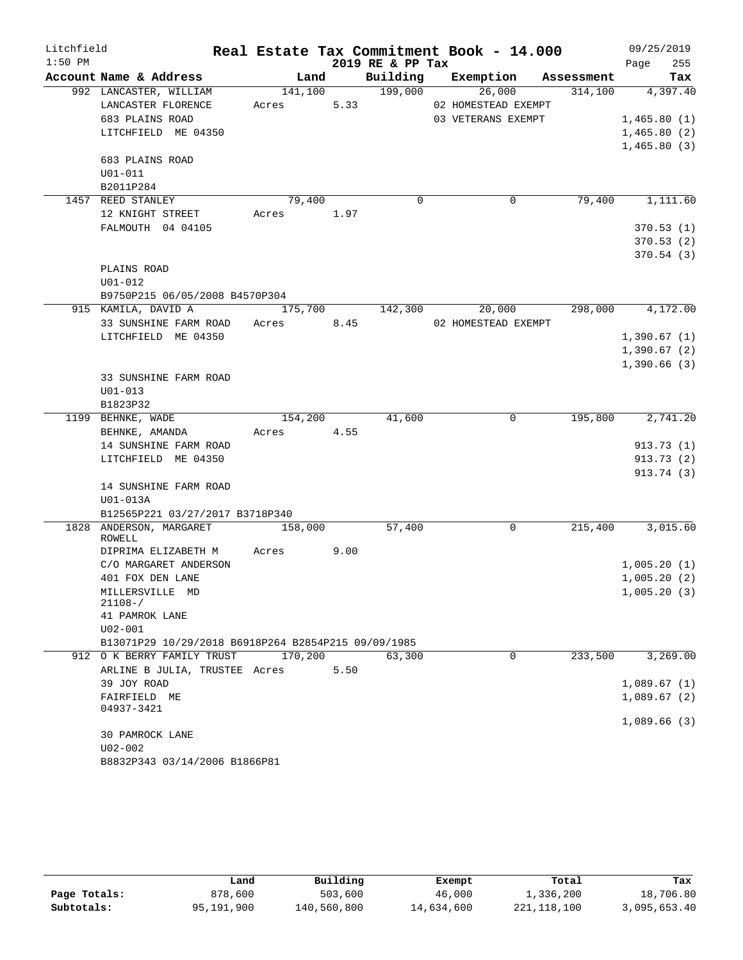| $1:50$ PM<br>2019 RE & PP Tax<br>255<br>Page<br>Building<br>Account Name & Address<br>Exemption Assessment<br>Land<br>992 LANCASTER, WILLIAM<br>141,100<br>199,000<br>26,000<br>314,100<br>Acres 5.33<br>LANCASTER FLORENCE<br>02 HOMESTEAD EXEMPT<br>683 PLAINS ROAD<br>03 VETERANS EXEMPT<br>LITCHFIELD ME 04350<br>683 PLAINS ROAD<br>$U01 - 011$<br>B2011P284<br>79,400<br>$\Omega$<br>$\mathbf 0$<br>79,400<br>1457 REED STANLEY<br>12 KNIGHT STREET<br>Acres 1.97<br>FALMOUTH 04 04105<br>PLAINS ROAD<br>$U01 - 012$<br>B9750P215 06/05/2008 B4570P304<br>915 KAMILA, DAVID A<br>298,000<br>175,700<br>142,300<br>20,000<br>33 SUNSHINE FARM ROAD Acres 8.45<br>02 HOMESTEAD EXEMPT<br>LITCHFIELD ME 04350<br>33 SUNSHINE FARM ROAD<br>$U01 - 013$<br>B1823P32<br>1199 BEHNKE, WADE<br>154,200<br>41,600<br>$\mathbf 0$<br>195,800<br>BEHNKE, AMANDA<br>Acres 4.55<br>14 SUNSHINE FARM ROAD<br>LITCHFIELD ME 04350<br>14 SUNSHINE FARM ROAD<br>U01-013A<br>B12565P221 03/27/2017 B3718P340<br>1828 ANDERSON, MARGARET<br>215,400<br>158,000<br>57,400<br>0<br>ROWELL<br>9.00<br>Acres<br>DIPRIMA ELIZABETH M<br>C/O MARGARET ANDERSON<br>401 FOX DEN LANE<br>MILLERSVILLE MD<br>$21108 - /$<br>41 PAMROK LANE<br>$U02 - 001$<br>B13071P29 10/29/2018 B6918P264 B2854P215 09/09/1985<br>170,200<br>233,500<br>912 O K BERRY FAMILY TRUST<br>63,300<br>0<br>ARLINE B JULIA, TRUSTEE Acres<br>5.50 | Litchfield |  |  | Real Estate Tax Commitment Book - 14.000 | 09/25/2019 |
|-------------------------------------------------------------------------------------------------------------------------------------------------------------------------------------------------------------------------------------------------------------------------------------------------------------------------------------------------------------------------------------------------------------------------------------------------------------------------------------------------------------------------------------------------------------------------------------------------------------------------------------------------------------------------------------------------------------------------------------------------------------------------------------------------------------------------------------------------------------------------------------------------------------------------------------------------------------------------------------------------------------------------------------------------------------------------------------------------------------------------------------------------------------------------------------------------------------------------------------------------------------------------------------------------------------------------------------------------------------------------------------------------------|------------|--|--|------------------------------------------|------------|
| Tax<br>4,397.40<br>1,465.80(1)<br>1,465.80(2)<br>1,465.80(3)<br>1,111.60<br>370.53(1)<br>370.53(2)<br>370.54 (3)<br>4,172.00<br>1,390.67(1)<br>1,390.67(2)<br>1,390.66(3)<br>2,741.20<br>913.73(1)<br>913.73(2)<br>913.74 (3)<br>3,015.60<br>1,005.20(1)<br>1,005.20(2)<br>1,005.20(3)                                                                                                                                                                                                                                                                                                                                                                                                                                                                                                                                                                                                                                                                                                                                                                                                                                                                                                                                                                                                                                                                                                                |            |  |  |                                          |            |
|                                                                                                                                                                                                                                                                                                                                                                                                                                                                                                                                                                                                                                                                                                                                                                                                                                                                                                                                                                                                                                                                                                                                                                                                                                                                                                                                                                                                       |            |  |  |                                          |            |
|                                                                                                                                                                                                                                                                                                                                                                                                                                                                                                                                                                                                                                                                                                                                                                                                                                                                                                                                                                                                                                                                                                                                                                                                                                                                                                                                                                                                       |            |  |  |                                          |            |
|                                                                                                                                                                                                                                                                                                                                                                                                                                                                                                                                                                                                                                                                                                                                                                                                                                                                                                                                                                                                                                                                                                                                                                                                                                                                                                                                                                                                       |            |  |  |                                          |            |
|                                                                                                                                                                                                                                                                                                                                                                                                                                                                                                                                                                                                                                                                                                                                                                                                                                                                                                                                                                                                                                                                                                                                                                                                                                                                                                                                                                                                       |            |  |  |                                          |            |
|                                                                                                                                                                                                                                                                                                                                                                                                                                                                                                                                                                                                                                                                                                                                                                                                                                                                                                                                                                                                                                                                                                                                                                                                                                                                                                                                                                                                       |            |  |  |                                          |            |
|                                                                                                                                                                                                                                                                                                                                                                                                                                                                                                                                                                                                                                                                                                                                                                                                                                                                                                                                                                                                                                                                                                                                                                                                                                                                                                                                                                                                       |            |  |  |                                          |            |
|                                                                                                                                                                                                                                                                                                                                                                                                                                                                                                                                                                                                                                                                                                                                                                                                                                                                                                                                                                                                                                                                                                                                                                                                                                                                                                                                                                                                       |            |  |  |                                          |            |
|                                                                                                                                                                                                                                                                                                                                                                                                                                                                                                                                                                                                                                                                                                                                                                                                                                                                                                                                                                                                                                                                                                                                                                                                                                                                                                                                                                                                       |            |  |  |                                          |            |
|                                                                                                                                                                                                                                                                                                                                                                                                                                                                                                                                                                                                                                                                                                                                                                                                                                                                                                                                                                                                                                                                                                                                                                                                                                                                                                                                                                                                       |            |  |  |                                          |            |
|                                                                                                                                                                                                                                                                                                                                                                                                                                                                                                                                                                                                                                                                                                                                                                                                                                                                                                                                                                                                                                                                                                                                                                                                                                                                                                                                                                                                       |            |  |  |                                          |            |
|                                                                                                                                                                                                                                                                                                                                                                                                                                                                                                                                                                                                                                                                                                                                                                                                                                                                                                                                                                                                                                                                                                                                                                                                                                                                                                                                                                                                       |            |  |  |                                          |            |
|                                                                                                                                                                                                                                                                                                                                                                                                                                                                                                                                                                                                                                                                                                                                                                                                                                                                                                                                                                                                                                                                                                                                                                                                                                                                                                                                                                                                       |            |  |  |                                          |            |
|                                                                                                                                                                                                                                                                                                                                                                                                                                                                                                                                                                                                                                                                                                                                                                                                                                                                                                                                                                                                                                                                                                                                                                                                                                                                                                                                                                                                       |            |  |  |                                          |            |
|                                                                                                                                                                                                                                                                                                                                                                                                                                                                                                                                                                                                                                                                                                                                                                                                                                                                                                                                                                                                                                                                                                                                                                                                                                                                                                                                                                                                       |            |  |  |                                          |            |
|                                                                                                                                                                                                                                                                                                                                                                                                                                                                                                                                                                                                                                                                                                                                                                                                                                                                                                                                                                                                                                                                                                                                                                                                                                                                                                                                                                                                       |            |  |  |                                          |            |
|                                                                                                                                                                                                                                                                                                                                                                                                                                                                                                                                                                                                                                                                                                                                                                                                                                                                                                                                                                                                                                                                                                                                                                                                                                                                                                                                                                                                       |            |  |  |                                          |            |
|                                                                                                                                                                                                                                                                                                                                                                                                                                                                                                                                                                                                                                                                                                                                                                                                                                                                                                                                                                                                                                                                                                                                                                                                                                                                                                                                                                                                       |            |  |  |                                          |            |
|                                                                                                                                                                                                                                                                                                                                                                                                                                                                                                                                                                                                                                                                                                                                                                                                                                                                                                                                                                                                                                                                                                                                                                                                                                                                                                                                                                                                       |            |  |  |                                          |            |
|                                                                                                                                                                                                                                                                                                                                                                                                                                                                                                                                                                                                                                                                                                                                                                                                                                                                                                                                                                                                                                                                                                                                                                                                                                                                                                                                                                                                       |            |  |  |                                          |            |
|                                                                                                                                                                                                                                                                                                                                                                                                                                                                                                                                                                                                                                                                                                                                                                                                                                                                                                                                                                                                                                                                                                                                                                                                                                                                                                                                                                                                       |            |  |  |                                          |            |
|                                                                                                                                                                                                                                                                                                                                                                                                                                                                                                                                                                                                                                                                                                                                                                                                                                                                                                                                                                                                                                                                                                                                                                                                                                                                                                                                                                                                       |            |  |  |                                          |            |
|                                                                                                                                                                                                                                                                                                                                                                                                                                                                                                                                                                                                                                                                                                                                                                                                                                                                                                                                                                                                                                                                                                                                                                                                                                                                                                                                                                                                       |            |  |  |                                          |            |
|                                                                                                                                                                                                                                                                                                                                                                                                                                                                                                                                                                                                                                                                                                                                                                                                                                                                                                                                                                                                                                                                                                                                                                                                                                                                                                                                                                                                       |            |  |  |                                          |            |
|                                                                                                                                                                                                                                                                                                                                                                                                                                                                                                                                                                                                                                                                                                                                                                                                                                                                                                                                                                                                                                                                                                                                                                                                                                                                                                                                                                                                       |            |  |  |                                          |            |
|                                                                                                                                                                                                                                                                                                                                                                                                                                                                                                                                                                                                                                                                                                                                                                                                                                                                                                                                                                                                                                                                                                                                                                                                                                                                                                                                                                                                       |            |  |  |                                          |            |
|                                                                                                                                                                                                                                                                                                                                                                                                                                                                                                                                                                                                                                                                                                                                                                                                                                                                                                                                                                                                                                                                                                                                                                                                                                                                                                                                                                                                       |            |  |  |                                          |            |
|                                                                                                                                                                                                                                                                                                                                                                                                                                                                                                                                                                                                                                                                                                                                                                                                                                                                                                                                                                                                                                                                                                                                                                                                                                                                                                                                                                                                       |            |  |  |                                          |            |
|                                                                                                                                                                                                                                                                                                                                                                                                                                                                                                                                                                                                                                                                                                                                                                                                                                                                                                                                                                                                                                                                                                                                                                                                                                                                                                                                                                                                       |            |  |  |                                          |            |
|                                                                                                                                                                                                                                                                                                                                                                                                                                                                                                                                                                                                                                                                                                                                                                                                                                                                                                                                                                                                                                                                                                                                                                                                                                                                                                                                                                                                       |            |  |  |                                          |            |
|                                                                                                                                                                                                                                                                                                                                                                                                                                                                                                                                                                                                                                                                                                                                                                                                                                                                                                                                                                                                                                                                                                                                                                                                                                                                                                                                                                                                       |            |  |  |                                          |            |
|                                                                                                                                                                                                                                                                                                                                                                                                                                                                                                                                                                                                                                                                                                                                                                                                                                                                                                                                                                                                                                                                                                                                                                                                                                                                                                                                                                                                       |            |  |  |                                          |            |
|                                                                                                                                                                                                                                                                                                                                                                                                                                                                                                                                                                                                                                                                                                                                                                                                                                                                                                                                                                                                                                                                                                                                                                                                                                                                                                                                                                                                       |            |  |  |                                          |            |
|                                                                                                                                                                                                                                                                                                                                                                                                                                                                                                                                                                                                                                                                                                                                                                                                                                                                                                                                                                                                                                                                                                                                                                                                                                                                                                                                                                                                       |            |  |  |                                          |            |
|                                                                                                                                                                                                                                                                                                                                                                                                                                                                                                                                                                                                                                                                                                                                                                                                                                                                                                                                                                                                                                                                                                                                                                                                                                                                                                                                                                                                       |            |  |  |                                          |            |
|                                                                                                                                                                                                                                                                                                                                                                                                                                                                                                                                                                                                                                                                                                                                                                                                                                                                                                                                                                                                                                                                                                                                                                                                                                                                                                                                                                                                       |            |  |  |                                          |            |
|                                                                                                                                                                                                                                                                                                                                                                                                                                                                                                                                                                                                                                                                                                                                                                                                                                                                                                                                                                                                                                                                                                                                                                                                                                                                                                                                                                                                       |            |  |  |                                          |            |
|                                                                                                                                                                                                                                                                                                                                                                                                                                                                                                                                                                                                                                                                                                                                                                                                                                                                                                                                                                                                                                                                                                                                                                                                                                                                                                                                                                                                       |            |  |  |                                          |            |
|                                                                                                                                                                                                                                                                                                                                                                                                                                                                                                                                                                                                                                                                                                                                                                                                                                                                                                                                                                                                                                                                                                                                                                                                                                                                                                                                                                                                       |            |  |  |                                          |            |
|                                                                                                                                                                                                                                                                                                                                                                                                                                                                                                                                                                                                                                                                                                                                                                                                                                                                                                                                                                                                                                                                                                                                                                                                                                                                                                                                                                                                       |            |  |  |                                          |            |
| 3,269.00                                                                                                                                                                                                                                                                                                                                                                                                                                                                                                                                                                                                                                                                                                                                                                                                                                                                                                                                                                                                                                                                                                                                                                                                                                                                                                                                                                                              |            |  |  |                                          |            |
|                                                                                                                                                                                                                                                                                                                                                                                                                                                                                                                                                                                                                                                                                                                                                                                                                                                                                                                                                                                                                                                                                                                                                                                                                                                                                                                                                                                                       |            |  |  |                                          |            |
|                                                                                                                                                                                                                                                                                                                                                                                                                                                                                                                                                                                                                                                                                                                                                                                                                                                                                                                                                                                                                                                                                                                                                                                                                                                                                                                                                                                                       |            |  |  |                                          |            |
|                                                                                                                                                                                                                                                                                                                                                                                                                                                                                                                                                                                                                                                                                                                                                                                                                                                                                                                                                                                                                                                                                                                                                                                                                                                                                                                                                                                                       |            |  |  |                                          |            |
|                                                                                                                                                                                                                                                                                                                                                                                                                                                                                                                                                                                                                                                                                                                                                                                                                                                                                                                                                                                                                                                                                                                                                                                                                                                                                                                                                                                                       |            |  |  |                                          |            |
| 39 JOY ROAD<br>1,089.67(1)                                                                                                                                                                                                                                                                                                                                                                                                                                                                                                                                                                                                                                                                                                                                                                                                                                                                                                                                                                                                                                                                                                                                                                                                                                                                                                                                                                            |            |  |  |                                          |            |
| FAIRFIELD ME<br>1,089.67(2)<br>04937-3421                                                                                                                                                                                                                                                                                                                                                                                                                                                                                                                                                                                                                                                                                                                                                                                                                                                                                                                                                                                                                                                                                                                                                                                                                                                                                                                                                             |            |  |  |                                          |            |
| 1,089.66(3)                                                                                                                                                                                                                                                                                                                                                                                                                                                                                                                                                                                                                                                                                                                                                                                                                                                                                                                                                                                                                                                                                                                                                                                                                                                                                                                                                                                           |            |  |  |                                          |            |
| 30 PAMROCK LANE                                                                                                                                                                                                                                                                                                                                                                                                                                                                                                                                                                                                                                                                                                                                                                                                                                                                                                                                                                                                                                                                                                                                                                                                                                                                                                                                                                                       |            |  |  |                                          |            |
| U02-002                                                                                                                                                                                                                                                                                                                                                                                                                                                                                                                                                                                                                                                                                                                                                                                                                                                                                                                                                                                                                                                                                                                                                                                                                                                                                                                                                                                               |            |  |  |                                          |            |
| B8832P343 03/14/2006 B1866P81                                                                                                                                                                                                                                                                                                                                                                                                                                                                                                                                                                                                                                                                                                                                                                                                                                                                                                                                                                                                                                                                                                                                                                                                                                                                                                                                                                         |            |  |  |                                          |            |

|              | Land       | Building    | Exempt     | Total       | Tax          |
|--------------|------------|-------------|------------|-------------|--------------|
| Page Totals: | 878,600    | 503,600     | 46,000     | 1,336,200   | 18,706.80    |
| Subtotals:   | 95,191,900 | 140,560,800 | 14,634,600 | 221,118,100 | 3,095,653.40 |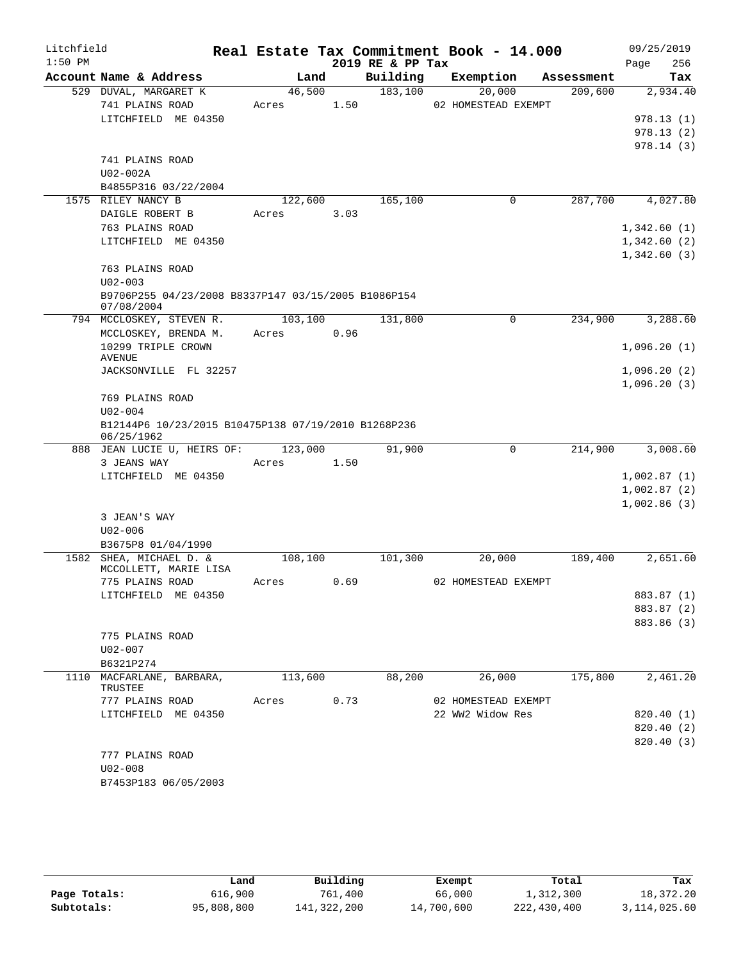| Litchfield |                                                     |         |      |                  | Real Estate Tax Commitment Book - 14.000 |            | 09/25/2019  |
|------------|-----------------------------------------------------|---------|------|------------------|------------------------------------------|------------|-------------|
| $1:50$ PM  |                                                     |         |      | 2019 RE & PP Tax |                                          |            | 256<br>Page |
|            | Account Name & Address                              | Land    |      | Building         | Exemption                                | Assessment | Tax         |
|            | 529 DUVAL, MARGARET K                               | 46,500  |      | 183,100          | 20,000                                   | 209,600    | 2,934.40    |
|            | 741 PLAINS ROAD<br>LITCHFIELD ME 04350              | Acres   | 1.50 |                  | 02 HOMESTEAD EXEMPT                      |            | 978.13(1)   |
|            |                                                     |         |      |                  |                                          |            | 978.13(2)   |
|            |                                                     |         |      |                  |                                          |            | 978.14(3)   |
|            | 741 PLAINS ROAD                                     |         |      |                  |                                          |            |             |
|            | U02-002A                                            |         |      |                  |                                          |            |             |
|            | B4855P316 03/22/2004                                |         |      |                  |                                          |            |             |
|            | 1575 RILEY NANCY B                                  | 122,600 |      | 165,100          | $\mathbf 0$                              | 287,700    | 4,027.80    |
|            | DAIGLE ROBERT B                                     | Acres   | 3.03 |                  |                                          |            |             |
|            | 763 PLAINS ROAD                                     |         |      |                  |                                          |            | 1,342.60(1) |
|            | LITCHFIELD ME 04350                                 |         |      |                  |                                          |            | 1,342.60(2) |
|            |                                                     |         |      |                  |                                          |            | 1,342.60(3) |
|            | 763 PLAINS ROAD<br>$U02 - 003$                      |         |      |                  |                                          |            |             |
|            | B9706P255 04/23/2008 B8337P147 03/15/2005 B1086P154 |         |      |                  |                                          |            |             |
|            | 07/08/2004                                          |         |      |                  |                                          |            |             |
|            | 794 MCCLOSKEY, STEVEN R.                            | 103,100 |      | 131,800          | 0                                        | 234,900    | 3,288.60    |
|            | MCCLOSKEY, BRENDA M.                                | Acres   | 0.96 |                  |                                          |            |             |
|            | 10299 TRIPLE CROWN                                  |         |      |                  |                                          |            | 1,096.20(1) |
|            | AVENUE<br>JACKSONVILLE FL 32257                     |         |      |                  |                                          |            | 1,096.20(2) |
|            |                                                     |         |      |                  |                                          |            | 1,096.20(3) |
|            | 769 PLAINS ROAD                                     |         |      |                  |                                          |            |             |
|            | $U02 - 004$                                         |         |      |                  |                                          |            |             |
|            | B12144P6 10/23/2015 B10475P138 07/19/2010 B1268P236 |         |      |                  |                                          |            |             |
|            | 06/25/1962<br>888 JEAN LUCIE U, HEIRS OF: 123,000   |         |      | 91,900           | 0                                        | 214,900    | 3,008.60    |
|            | 3 JEANS WAY                                         | Acres   | 1.50 |                  |                                          |            |             |
|            | LITCHFIELD ME 04350                                 |         |      |                  |                                          |            | 1,002.87(1) |
|            |                                                     |         |      |                  |                                          |            | 1,002.87(2) |
|            |                                                     |         |      |                  |                                          |            | 1,002.86(3) |
|            | 3 JEAN'S WAY                                        |         |      |                  |                                          |            |             |
|            | $U02 - 006$                                         |         |      |                  |                                          |            |             |
|            | B3675P8 01/04/1990                                  |         |      |                  |                                          |            |             |
|            | 1582 SHEA, MICHAEL D. &<br>MCCOLLETT, MARIE LISA    | 108,100 |      | 101,300          | 20,000                                   | 189,400    | 2,651.60    |
|            | 775 PLAINS ROAD                                     | Acres   | 0.69 |                  | 02 HOMESTEAD EXEMPT                      |            |             |
|            | LITCHFIELD ME 04350                                 |         |      |                  |                                          |            | 883.87 (1)  |
|            |                                                     |         |      |                  |                                          |            | 883.87 (2)  |
|            |                                                     |         |      |                  |                                          |            | 883.86 (3)  |
|            | 775 PLAINS ROAD                                     |         |      |                  |                                          |            |             |
|            | $U02 - 007$                                         |         |      |                  |                                          |            |             |
|            | B6321P274                                           |         |      |                  |                                          |            |             |
|            | 1110 MACFARLANE, BARBARA,<br>TRUSTEE                | 113,600 |      | 88,200           | 26,000                                   | 175,800    | 2,461.20    |
|            | 777 PLAINS ROAD                                     | Acres   | 0.73 |                  | 02 HOMESTEAD EXEMPT                      |            |             |
|            | LITCHFIELD ME 04350                                 |         |      |                  | 22 WW2 Widow Res                         |            | 820.40 (1)  |
|            |                                                     |         |      |                  |                                          |            | 820.40 (2)  |
|            |                                                     |         |      |                  |                                          |            | 820.40 (3)  |
|            | 777 PLAINS ROAD                                     |         |      |                  |                                          |            |             |
|            | $U02 - 008$                                         |         |      |                  |                                          |            |             |
|            | B7453P183 06/05/2003                                |         |      |                  |                                          |            |             |

|              | Land       | Building    | Exempt     | Total       | Tax          |
|--------------|------------|-------------|------------|-------------|--------------|
| Page Totals: | 616,900    | 761,400     | 66,000     | 1,312,300   | 18,372.20    |
| Subtotals:   | 95,808,800 | 141,322,200 | 14,700,600 | 222,430,400 | 3,114,025.60 |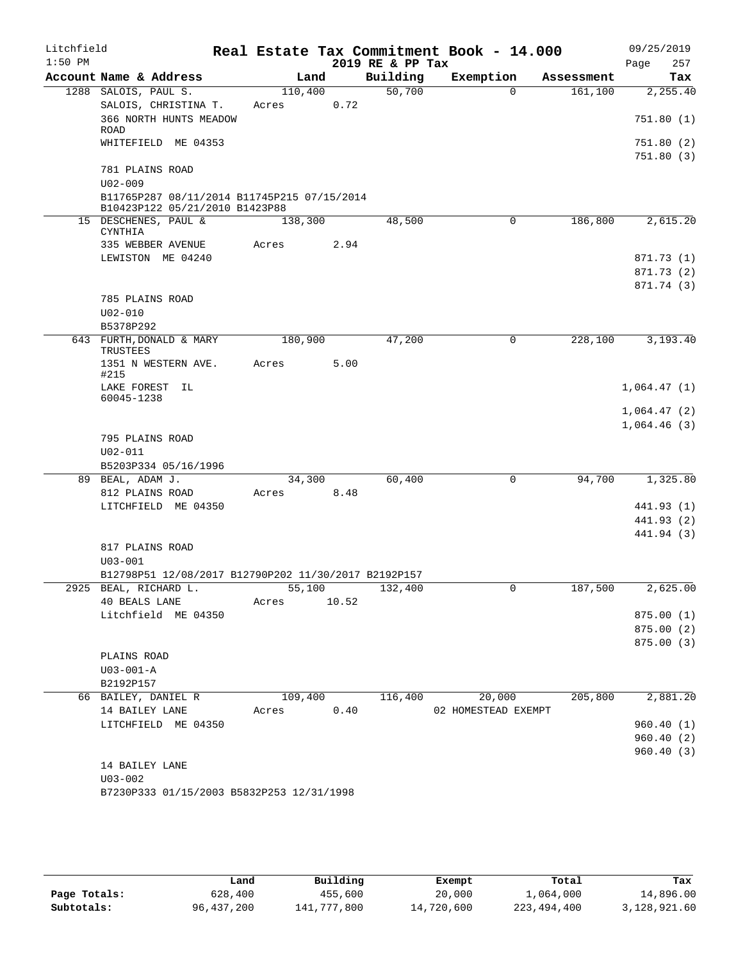| Litchfield<br>$1:50$ PM |                                                                               |                       |      | 2019 RE & PP Tax | Real Estate Tax Commitment Book - 14.000 |            | 09/25/2019<br>257<br>Page |
|-------------------------|-------------------------------------------------------------------------------|-----------------------|------|------------------|------------------------------------------|------------|---------------------------|
|                         | Account Name & Address                                                        | Land                  |      | Building         | Exemption                                | Assessment | Tax                       |
|                         | 1288 SALOIS, PAUL S.                                                          | 110,400               |      | 50,700           | $\Omega$                                 | 161,100    | 2,255.40                  |
|                         | SALOIS, CHRISTINA T.                                                          | Acres                 | 0.72 |                  |                                          |            |                           |
|                         | 366 NORTH HUNTS MEADOW<br>ROAD                                                |                       |      |                  |                                          |            | 751.80 (1)                |
|                         | WHITEFIELD ME 04353                                                           |                       |      |                  |                                          |            | 751.80 (2)                |
|                         |                                                                               |                       |      |                  |                                          |            | 751.80(3)                 |
|                         | 781 PLAINS ROAD                                                               |                       |      |                  |                                          |            |                           |
|                         | $U02 - 009$                                                                   |                       |      |                  |                                          |            |                           |
|                         | B11765P287 08/11/2014 B11745P215 07/15/2014<br>B10423P122 05/21/2010 B1423P88 |                       |      |                  |                                          |            |                           |
|                         | 15 DESCHENES, PAUL &<br>CYNTHIA                                               | 138,300               |      | 48,500           | 0                                        | 186,800    | 2,615.20                  |
|                         | 335 WEBBER AVENUE                                                             | Acres                 | 2.94 |                  |                                          |            |                           |
|                         | LEWISTON ME 04240                                                             |                       |      |                  |                                          |            | 871.73 (1)                |
|                         |                                                                               |                       |      |                  |                                          |            | 871.73 (2)                |
|                         |                                                                               |                       |      |                  |                                          |            | 871.74 (3)                |
|                         | 785 PLAINS ROAD                                                               |                       |      |                  |                                          |            |                           |
|                         | $U02 - 010$                                                                   |                       |      |                  |                                          |            |                           |
|                         | B5378P292                                                                     |                       |      |                  |                                          |            |                           |
|                         | 643 FURTH, DONALD & MARY<br><b>TRUSTEES</b>                                   | 180,900               |      | 47,200           | 0                                        | 228,100    | 3,193.40                  |
|                         | 1351 N WESTERN AVE.                                                           | Acres                 | 5.00 |                  |                                          |            |                           |
|                         | #215                                                                          |                       |      |                  |                                          |            |                           |
|                         | LAKE FOREST IL                                                                |                       |      |                  |                                          |            | 1,064.47(1)               |
|                         | 60045-1238                                                                    |                       |      |                  |                                          |            | 1,064.47(2)               |
|                         |                                                                               |                       |      |                  |                                          |            | 1,064.46(3)               |
|                         | 795 PLAINS ROAD                                                               |                       |      |                  |                                          |            |                           |
|                         | $U02 - 011$                                                                   |                       |      |                  |                                          |            |                           |
|                         | B5203P334 05/16/1996                                                          |                       |      |                  |                                          |            |                           |
|                         | 89 BEAL, ADAM J.                                                              | 34,300                |      | 60,400           | 0                                        | 94,700     | 1,325.80                  |
|                         | 812 PLAINS ROAD                                                               | Acres                 | 8.48 |                  |                                          |            |                           |
|                         | LITCHFIELD ME 04350                                                           |                       |      |                  |                                          |            | 441.93 (1)                |
|                         |                                                                               |                       |      |                  |                                          |            | 441.93 (2)                |
|                         | 817 PLAINS ROAD                                                               |                       |      |                  |                                          |            | 441.94 (3)                |
|                         | $U03 - 001$                                                                   |                       |      |                  |                                          |            |                           |
|                         | B12798P51 12/08/2017 B12790P202 11/30/2017 B2192P157                          |                       |      |                  |                                          |            |                           |
|                         | 2925 BEAL, RICHARD L.                                                         | 55,100                |      | 132,400          |                                          | 187,500    | 2,625.00                  |
|                         | 40 BEALS LANE                                                                 | Acres 10.52           |      |                  |                                          |            |                           |
|                         | Litchfield ME 04350                                                           |                       |      |                  |                                          |            | 875.00 (1)                |
|                         |                                                                               |                       |      |                  |                                          |            | 875.00(2)                 |
|                         |                                                                               |                       |      |                  |                                          |            | 875.00 (3)                |
|                         | PLAINS ROAD                                                                   |                       |      |                  |                                          |            |                           |
|                         | $U03 - 001 - A$                                                               |                       |      |                  |                                          |            |                           |
|                         | B2192P157                                                                     |                       |      |                  |                                          |            |                           |
|                         | 66 BAILEY, DANIEL R<br>14 BAILEY LANE                                         | 109,400<br>Acres 0.40 |      | 116,400          | 20,000                                   | 205,800    | 2,881.20                  |
|                         | LITCHFIELD ME 04350                                                           |                       |      |                  | 02 HOMESTEAD EXEMPT                      |            | 960.40(1)                 |
|                         |                                                                               |                       |      |                  |                                          |            | 960.40(2)                 |
|                         |                                                                               |                       |      |                  |                                          |            | 960.40(3)                 |
|                         | 14 BAILEY LANE                                                                |                       |      |                  |                                          |            |                           |
|                         | $U03 - 002$                                                                   |                       |      |                  |                                          |            |                           |
|                         | B7230P333 01/15/2003 B5832P253 12/31/1998                                     |                       |      |                  |                                          |            |                           |
|                         |                                                                               |                       |      |                  |                                          |            |                           |

|              | Land         | Building    | Exempt     | Total         | Tax          |
|--------------|--------------|-------------|------------|---------------|--------------|
| Page Totals: | 628,400      | 455,600     | 20,000     | 1,064,000     | 14,896.00    |
| Subtotals:   | 96, 437, 200 | 141,777,800 | 14,720,600 | 223, 494, 400 | 3,128,921.60 |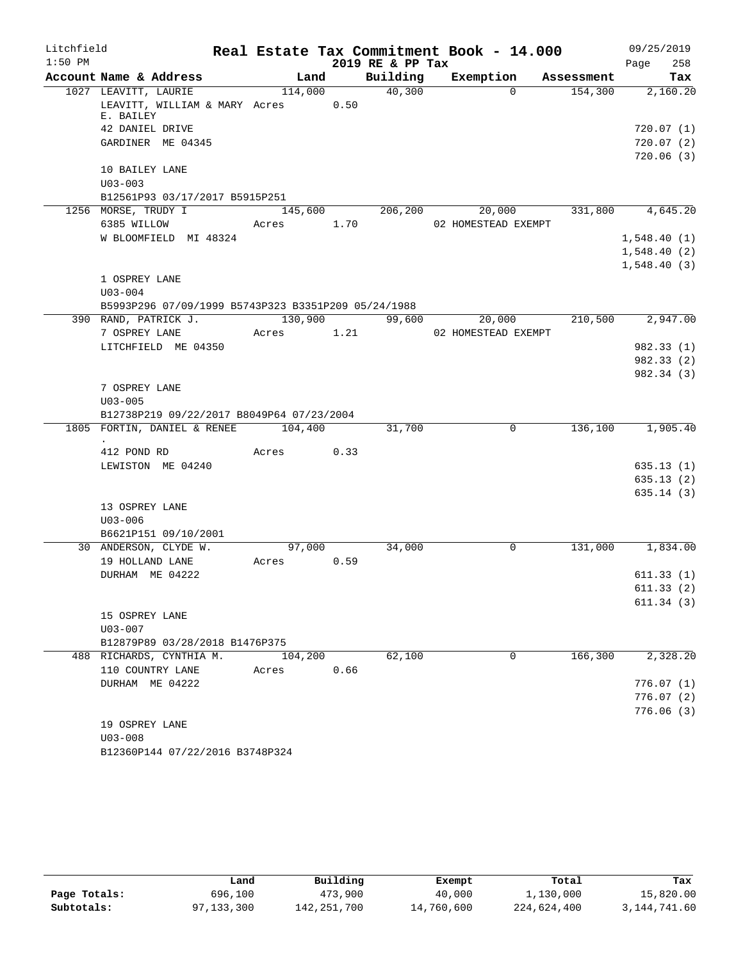| Litchfield |                                                                                  |                      |      |                  | Real Estate Tax Commitment Book - 14.000  |         | 09/25/2019                 |
|------------|----------------------------------------------------------------------------------|----------------------|------|------------------|-------------------------------------------|---------|----------------------------|
| $1:50$ PM  |                                                                                  |                      |      | 2019 RE & PP Tax |                                           |         | 258<br>Page                |
|            | Account Name & Address                                                           |                      |      |                  | Land Building Exemption Assessment        |         | Tax                        |
|            | 1027 LEAVITT, LAURIE<br>LEAVITT, WILLIAM & MARY Acres 0.50<br>E. BAILEY          | 114,000              |      | 40,300           | $\Omega$                                  | 154,300 | 2,160.20                   |
|            | 42 DANIEL DRIVE                                                                  |                      |      |                  |                                           |         | 720.07(1)                  |
|            | GARDINER ME 04345                                                                |                      |      |                  |                                           |         | 720.07(2)                  |
|            |                                                                                  |                      |      |                  |                                           |         | 720.06(3)                  |
|            | 10 BAILEY LANE                                                                   |                      |      |                  |                                           |         |                            |
|            | $U03 - 003$                                                                      |                      |      |                  |                                           |         |                            |
|            | B12561P93 03/17/2017 B5915P251                                                   |                      |      |                  |                                           |         |                            |
|            | 1256 MORSE, TRUDY I                                                              |                      |      |                  | $145,600$ 206,200 20,000 331,800 4,645.20 |         |                            |
|            | 6385 WILLOW Acres 1.70                                                           |                      |      |                  | 02 HOMESTEAD EXEMPT                       |         |                            |
|            | W BLOOMFIELD MI 48324                                                            |                      |      |                  |                                           |         | 1,548.40(1)                |
|            |                                                                                  |                      |      |                  |                                           |         | 1,548.40(2)<br>1,548.40(3) |
|            | 1 OSPREY LANE                                                                    |                      |      |                  |                                           |         |                            |
|            | $U03 - 004$                                                                      |                      |      |                  |                                           |         |                            |
|            | B5993P296 07/09/1999 B5743P323 B3351P209 05/24/1988                              |                      |      |                  |                                           |         |                            |
|            | 390 RAND, PATRICK J.                                                             |                      |      |                  | 130,900 99,600 20,000                     | 210,500 | 2,947.00                   |
|            | 7 OSPREY LANE                                                                    | Acres 1.21           |      |                  | 02 HOMESTEAD EXEMPT                       |         |                            |
|            | LITCHFIELD ME 04350                                                              |                      |      |                  |                                           |         | 982.33 (1)                 |
|            |                                                                                  |                      |      |                  |                                           |         | 982.33 (2)                 |
|            |                                                                                  |                      |      |                  |                                           |         | 982.34 (3)                 |
|            | 7 OSPREY LANE                                                                    |                      |      |                  |                                           |         |                            |
|            | $U03 - 005$                                                                      |                      |      |                  |                                           |         |                            |
|            | B12738P219 09/22/2017 B8049P64 07/23/2004<br>1805 FORTIN, DANIEL & RENEE 104,400 |                      |      |                  | $\Omega$                                  |         |                            |
|            |                                                                                  |                      |      | 31,700           |                                           | 136,100 | 1,905.40                   |
|            | 412 POND RD                                                                      | Acres 0.33           |      |                  |                                           |         |                            |
|            | LEWISTON ME 04240                                                                |                      |      |                  |                                           |         | 635.13(1)                  |
|            |                                                                                  |                      |      |                  |                                           |         | 635.13(2)                  |
|            |                                                                                  |                      |      |                  |                                           |         | 635.14(3)                  |
|            | 13 OSPREY LANE                                                                   |                      |      |                  |                                           |         |                            |
|            | $U03 - 006$                                                                      |                      |      |                  |                                           |         |                            |
|            | B6621P151 09/10/2001<br>30 ANDERSON, CLYDE W.                                    |                      |      |                  | $\mathbf 0$                               |         |                            |
|            | 19 HOLLAND LANE                                                                  | 97,000<br>Acres 0.59 |      | 34,000           |                                           |         | 131,000 1,834.00           |
|            | DURHAM ME 04222                                                                  |                      |      |                  |                                           |         | 611.33(1)                  |
|            |                                                                                  |                      |      |                  |                                           |         | 611.33(2)                  |
|            |                                                                                  |                      |      |                  |                                           |         | 611.34 (3)                 |
|            | 15 OSPREY LANE                                                                   |                      |      |                  |                                           |         |                            |
|            | $U03 - 007$                                                                      |                      |      |                  |                                           |         |                            |
|            | B12879P89 03/28/2018 B1476P375                                                   |                      |      |                  |                                           |         |                            |
|            | 488 RICHARDS, CYNTHIA M.                                                         | 104,200              |      | 62,100           | 0                                         | 166,300 | 2,328.20                   |
|            | 110 COUNTRY LANE                                                                 | Acres                | 0.66 |                  |                                           |         |                            |
|            | DURHAM ME 04222                                                                  |                      |      |                  |                                           |         | 776.07(1)                  |
|            |                                                                                  |                      |      |                  |                                           |         | 776.07(2)                  |
|            | 19 OSPREY LANE                                                                   |                      |      |                  |                                           |         | 776.06(3)                  |
|            | $U03 - 008$                                                                      |                      |      |                  |                                           |         |                            |
|            |                                                                                  |                      |      |                  |                                           |         |                            |

B12360P144 07/22/2016 B3748P324

|              | Land         | Building    | Exempt     | Total       | Tax          |
|--------------|--------------|-------------|------------|-------------|--------------|
| Page Totals: | 696,100      | 473,900     | 40,000     | 1,130,000   | 15,820.00    |
| Subtotals:   | 97, 133, 300 | 142,251,700 | 14,760,600 | 224,624,400 | 3,144,741.60 |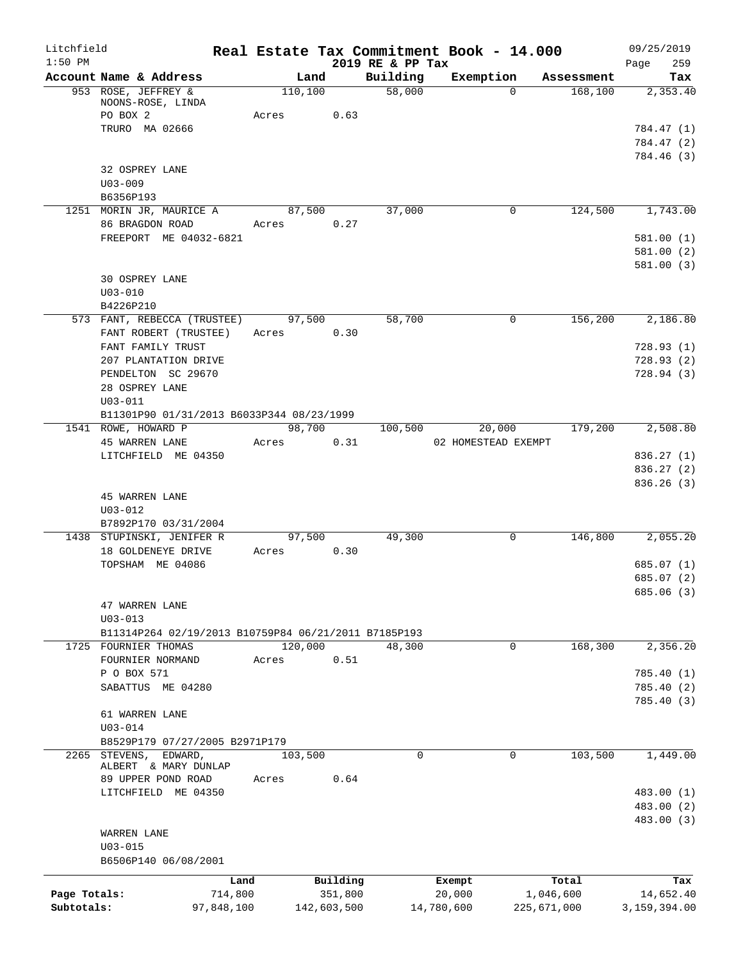| Litchfield<br>$1:50$ PM    |                                                                                                  |                      |                        |                              | Real Estate Tax Commitment Book - 14.000 |                          | 09/25/2019                                         |
|----------------------------|--------------------------------------------------------------------------------------------------|----------------------|------------------------|------------------------------|------------------------------------------|--------------------------|----------------------------------------------------|
|                            | Account Name & Address                                                                           | Land                 |                        | 2019 RE & PP Tax<br>Building | Exemption                                | Assessment               | 259<br>Page<br>Tax                                 |
|                            | 953 ROSE, JEFFREY &<br>NOONS-ROSE, LINDA<br>PO BOX 2                                             | 110, 100<br>Acres    | 0.63                   | 58,000                       | $\Omega$                                 | 168, 100                 | 2,353.40                                           |
|                            | TRURO MA 02666                                                                                   |                      |                        |                              |                                          |                          | 784.47 (1)<br>784.47 (2)<br>784.46 (3)             |
|                            | 32 OSPREY LANE<br>$U03 - 009$<br>B6356P193                                                       |                      |                        |                              |                                          |                          |                                                    |
|                            | 1251 MORIN JR, MAURICE A                                                                         | 87,500               |                        | 37,000                       | 0                                        |                          | 124,500 1,743.00                                   |
|                            | 86 BRAGDON ROAD<br>FREEPORT ME 04032-6821                                                        | Acres 0.27           |                        |                              |                                          |                          | 581.00(1)<br>581.00 (2)<br>581.00(3)               |
|                            | 30 OSPREY LANE<br>$U03 - 010$<br>B4226P210                                                       |                      |                        |                              |                                          |                          |                                                    |
|                            | 573 FANT, REBECCA (TRUSTEE)<br>FANT ROBERT (TRUSTEE)                                             | 97,500<br>Acres 0.30 |                        | 58,700                       | 0                                        | 156,200                  | 2,186.80                                           |
|                            | FANT FAMILY TRUST<br>207 PLANTATION DRIVE<br>PENDELTON SC 29670<br>28 OSPREY LANE<br>$U03 - 011$ |                      |                        |                              |                                          |                          | 728.93(1)<br>728.93(2)<br>728.94(3)                |
|                            | B11301P90 01/31/2013 B6033P344 08/23/1999<br>1541 ROWE, HOWARD P                                 | 98,700               |                        | 100,500                      | 20,000                                   | 179,200                  | 2,508.80                                           |
|                            | 45 WARREN LANE                                                                                   | Acres                | 0.31                   |                              | 02 HOMESTEAD EXEMPT                      |                          |                                                    |
|                            | LITCHFIELD ME 04350                                                                              |                      |                        |                              |                                          |                          | 836.27(1)<br>836.27 (2)<br>836.26(3)               |
|                            | <b>45 WARREN LANE</b><br>$U03 - 012$<br>B7892P170 03/31/2004                                     |                      |                        |                              |                                          |                          |                                                    |
|                            | 1438 STUPINSKI, JENIFER R<br>18 GOLDENEYE DRIVE<br>TOPSHAM ME 04086                              | 97,500<br>Acres 0.30 |                        | 49,300                       | 0                                        | 146,800                  | 2,055.20<br>685.07 (1)<br>685.07 (2)<br>685.06 (3) |
|                            | 47 WARREN LANE<br>$U03 - 013$<br>B11314P264 02/19/2013 B10759P84 06/21/2011 B7185P193            |                      |                        |                              |                                          |                          |                                                    |
|                            | 1725 FOURNIER THOMAS                                                                             | 120,000              |                        | 48,300                       | $\mathbf 0$                              | 168,300                  | 2,356.20                                           |
|                            | FOURNIER NORMAND<br>P O BOX 571                                                                  | Acres                | 0.51                   |                              |                                          |                          | 785.40 (1)                                         |
|                            | SABATTUS ME 04280                                                                                |                      |                        |                              |                                          |                          | 785.40 (2)<br>785.40 (3)                           |
|                            | 61 WARREN LANE<br>$U03 - 014$<br>B8529P179 07/27/2005 B2971P179                                  |                      |                        |                              |                                          |                          |                                                    |
|                            | 2265 STEVENS,<br>EDWARD,<br>ALBERT & MARY DUNLAP<br>89 UPPER POND ROAD<br>LITCHFIELD ME 04350    | 103,500<br>Acres     | 0.64                   | $\mathbf 0$                  | $\mathbf 0$                              | 103,500                  | 1,449.00<br>483.00 (1)<br>483.00 (2)               |
|                            | WARREN LANE<br>$U03 - 015$<br>B6506P140 06/08/2001                                               |                      |                        |                              |                                          |                          | 483.00 (3)                                         |
|                            |                                                                                                  | Land                 | Building               |                              | Exempt                                   | Total                    | Tax                                                |
| Page Totals:<br>Subtotals: | 714,800<br>97,848,100                                                                            |                      | 351,800<br>142,603,500 |                              | 20,000<br>14,780,600                     | 1,046,600<br>225,671,000 | 14,652.40<br>3,159,394.00                          |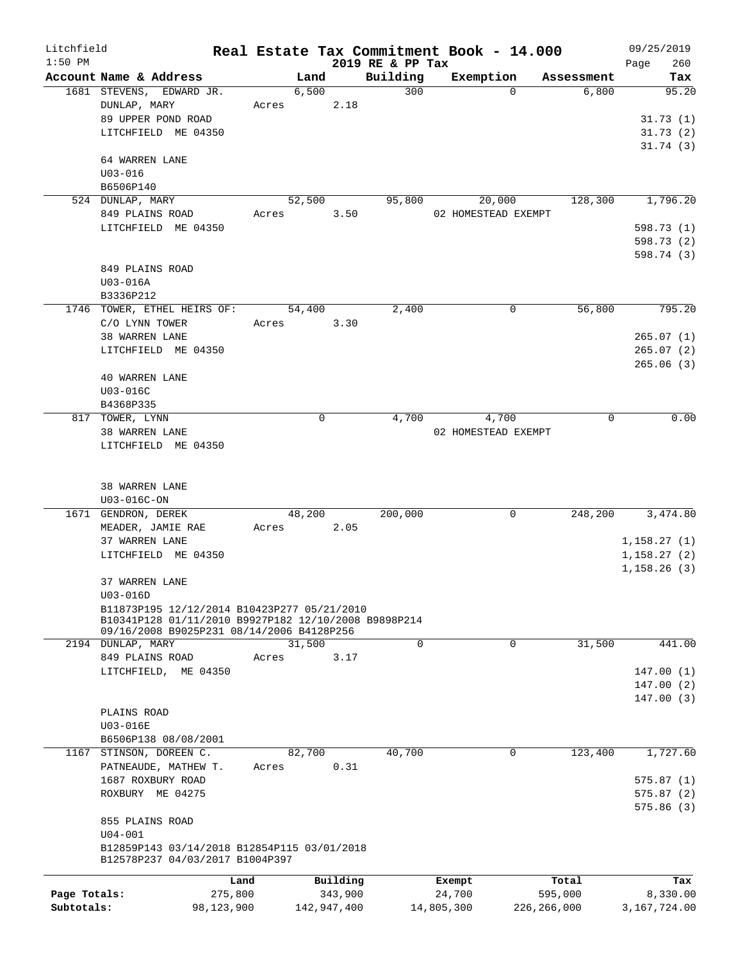| Litchfield   |                                                                                |            |        |               |                  | Real Estate Tax Commitment Book - 14.000 |               | 09/25/2019                 |
|--------------|--------------------------------------------------------------------------------|------------|--------|---------------|------------------|------------------------------------------|---------------|----------------------------|
| $1:50$ PM    |                                                                                |            |        |               | 2019 RE & PP Tax |                                          |               | 260<br>Page                |
|              | Account Name & Address                                                         |            |        | Land          | Building         | Exemption                                | Assessment    | Tax                        |
|              | 1681 STEVENS, EDWARD JR.<br>DUNLAP, MARY                                       |            |        | 6,500<br>2.18 | 300              | $\Omega$                                 | 6,800         | 95.20                      |
|              | 89 UPPER POND ROAD                                                             |            | Acres  |               |                  |                                          |               | 31.73(1)                   |
|              | LITCHFIELD ME 04350                                                            |            |        |               |                  |                                          |               | 31.73(2)                   |
|              |                                                                                |            |        |               |                  |                                          |               | 31.74(3)                   |
|              | 64 WARREN LANE                                                                 |            |        |               |                  |                                          |               |                            |
|              | $U03 - 016$                                                                    |            |        |               |                  |                                          |               |                            |
|              | B6506P140                                                                      |            |        |               |                  |                                          |               |                            |
|              | 524 DUNLAP, MARY                                                               |            | 52,500 |               | 95,800           | 20,000                                   | 128,300       | 1,796.20                   |
|              | 849 PLAINS ROAD                                                                | Acres      |        | 3.50          |                  | 02 HOMESTEAD EXEMPT                      |               |                            |
|              | LITCHFIELD ME 04350                                                            |            |        |               |                  |                                          |               | 598.73 (1)                 |
|              |                                                                                |            |        |               |                  |                                          |               | 598.73 (2)                 |
|              |                                                                                |            |        |               |                  |                                          |               | 598.74 (3)                 |
|              | 849 PLAINS ROAD                                                                |            |        |               |                  |                                          |               |                            |
|              | U03-016A                                                                       |            |        |               |                  |                                          |               |                            |
|              | B3336P212                                                                      |            |        |               |                  |                                          |               |                            |
|              | 1746 TOWER, ETHEL HEIRS OF:                                                    |            | 54,400 |               | 2,400            | 0                                        | 56,800        | 795.20                     |
|              | C/O LYNN TOWER                                                                 | Acres      |        | 3.30          |                  |                                          |               |                            |
|              | 38 WARREN LANE                                                                 |            |        |               |                  |                                          |               | 265.07(1)                  |
|              | LITCHFIELD ME 04350                                                            |            |        |               |                  |                                          |               | 265.07(2)                  |
|              |                                                                                |            |        |               |                  |                                          |               | 265.06(3)                  |
|              | <b>40 WARREN LANE</b>                                                          |            |        |               |                  |                                          |               |                            |
|              | U03-016C                                                                       |            |        |               |                  |                                          |               |                            |
|              | B4368P335                                                                      |            |        |               |                  |                                          |               |                            |
|              | 817 TOWER, LYNN                                                                |            |        | 0             | 4,700            | 4,700                                    | 0             | 0.00                       |
|              | 38 WARREN LANE                                                                 |            |        |               |                  | 02 HOMESTEAD EXEMPT                      |               |                            |
|              | LITCHFIELD ME 04350                                                            |            |        |               |                  |                                          |               |                            |
|              |                                                                                |            |        |               |                  |                                          |               |                            |
|              |                                                                                |            |        |               |                  |                                          |               |                            |
|              | 38 WARREN LANE                                                                 |            |        |               |                  |                                          |               |                            |
|              | U03-016C-ON                                                                    |            |        |               |                  |                                          |               |                            |
|              | 1671 GENDRON, DEREK                                                            |            | 48,200 |               | 200,000          | 0                                        | 248,200       | 3,474.80                   |
|              | MEADER, JAMIE RAE                                                              | Acres      |        | 2.05          |                  |                                          |               |                            |
|              | 37 WARREN LANE<br>LITCHFIELD ME 04350                                          |            |        |               |                  |                                          |               | 1,158.27(1)<br>1,158.27(2) |
|              |                                                                                |            |        |               |                  |                                          |               | 1,158.26(3)                |
|              | 37 WARREN LANE                                                                 |            |        |               |                  |                                          |               |                            |
|              | $U03-016D$                                                                     |            |        |               |                  |                                          |               |                            |
|              | B11873P195 12/12/2014 B10423P277 05/21/2010                                    |            |        |               |                  |                                          |               |                            |
|              | B10341P128 01/11/2010 B9927P182 12/10/2008 B9898P214                           |            |        |               |                  |                                          |               |                            |
|              | 09/16/2008 B9025P231 08/14/2006 B4128P256                                      |            |        |               |                  |                                          |               |                            |
|              | 2194 DUNLAP, MARY                                                              |            | 31,500 |               | $\mathbf 0$      | $\mathbf 0$                              | 31,500        | 441.00                     |
|              | 849 PLAINS ROAD                                                                | Acres      |        | 3.17          |                  |                                          |               |                            |
|              | LITCHFIELD,<br>ME 04350                                                        |            |        |               |                  |                                          |               | 147.00(1)                  |
|              |                                                                                |            |        |               |                  |                                          |               | 147.00 (2)                 |
|              |                                                                                |            |        |               |                  |                                          |               | 147.00 (3)                 |
|              | PLAINS ROAD                                                                    |            |        |               |                  |                                          |               |                            |
|              | U03-016E                                                                       |            |        |               |                  |                                          |               |                            |
|              | B6506P138 08/08/2001                                                           |            |        |               |                  |                                          |               |                            |
|              | 1167 STINSON, DOREEN C.                                                        |            | 82,700 |               | 40,700           | $\mathbf 0$                              | 123,400       | 1,727.60                   |
|              | PATNEAUDE, MATHEW T.                                                           | Acres      |        | 0.31          |                  |                                          |               |                            |
|              | 1687 ROXBURY ROAD                                                              |            |        |               |                  |                                          |               | 575.87(1)                  |
|              | ROXBURY ME 04275                                                               |            |        |               |                  |                                          |               | 575.87(2)                  |
|              |                                                                                |            |        |               |                  |                                          |               | 575.86(3)                  |
|              | 855 PLAINS ROAD                                                                |            |        |               |                  |                                          |               |                            |
|              | $U04 - 001$                                                                    |            |        |               |                  |                                          |               |                            |
|              | B12859P143 03/14/2018 B12854P115 03/01/2018<br>B12578P237 04/03/2017 B1004P397 |            |        |               |                  |                                          |               |                            |
|              |                                                                                |            |        |               |                  |                                          |               |                            |
|              |                                                                                | Land       |        | Building      |                  | Exempt                                   | Total         | Tax                        |
| Page Totals: |                                                                                | 275,800    |        | 343,900       |                  | 24,700                                   | 595,000       | 8,330.00                   |
| Subtotals:   |                                                                                | 98,123,900 |        | 142,947,400   |                  | 14,805,300                               | 226, 266, 000 | 3,167,724.00               |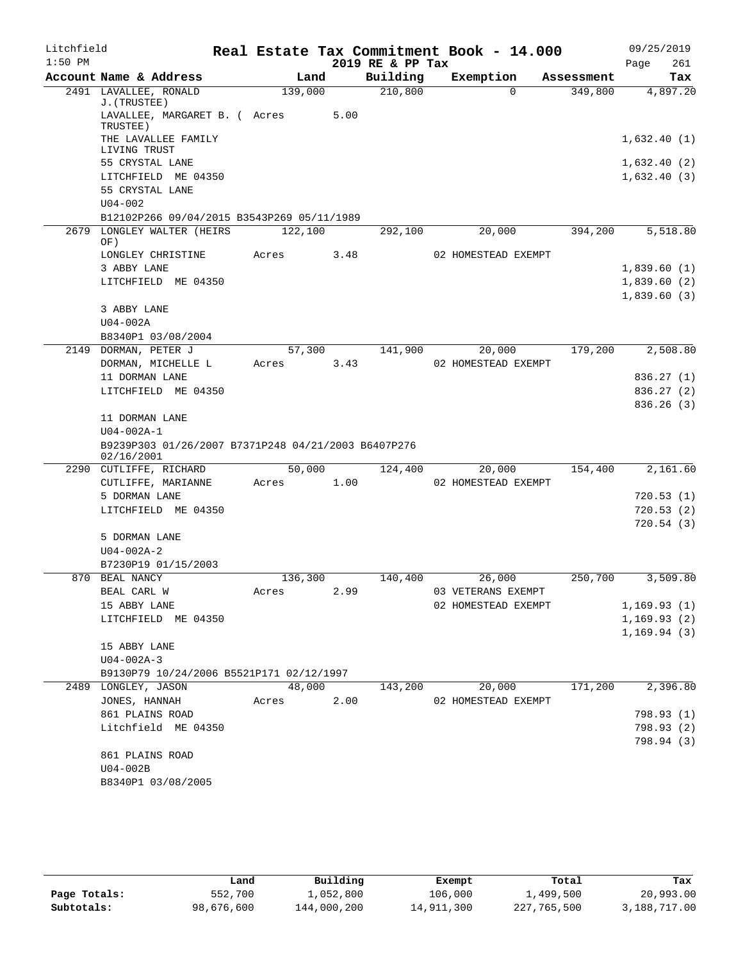| Litchfield |                                                                          |         |      | Real Estate Tax Commitment Book - 14.000 |                     |            |             | 09/25/2019  |
|------------|--------------------------------------------------------------------------|---------|------|------------------------------------------|---------------------|------------|-------------|-------------|
| $1:50$ PM  |                                                                          |         |      | 2019 RE & PP Tax                         |                     |            | Page        | 261         |
|            | Account Name & Address                                                   | Land    |      | Building                                 | Exemption           | Assessment |             | Tax         |
|            | 2491 LAVALLEE, RONALD<br>J. (TRUSTEE)                                    | 139,000 |      | 210,800                                  | $\Omega$            | 349,800    |             | 4,897.20    |
|            | LAVALLEE, MARGARET B. ( Acres<br>TRUSTEE)                                |         | 5.00 |                                          |                     |            |             |             |
|            | THE LAVALLEE FAMILY<br>LIVING TRUST                                      |         |      |                                          |                     |            |             | 1,632.40(1) |
|            | 55 CRYSTAL LANE                                                          |         |      |                                          |                     |            |             | 1,632.40(2) |
|            | LITCHFIELD ME 04350                                                      |         |      |                                          |                     |            | 1,632.40(3) |             |
|            | 55 CRYSTAL LANE                                                          |         |      |                                          |                     |            |             |             |
|            | $U04 - 002$                                                              |         |      |                                          |                     |            |             |             |
|            | B12102P266 09/04/2015 B3543P269 05/11/1989<br>2679 LONGLEY WALTER (HEIRS | 122,100 |      | 292,100                                  | 20,000              | 394,200    |             | 5,518.80    |
|            | OF)                                                                      |         |      |                                          |                     |            |             |             |
|            | LONGLEY CHRISTINE                                                        | Acres   | 3.48 |                                          | 02 HOMESTEAD EXEMPT |            |             |             |
|            | 3 ABBY LANE                                                              |         |      |                                          |                     |            |             | 1,839.60(1) |
|            | LITCHFIELD ME 04350                                                      |         |      |                                          |                     |            | 1,839.60(3) | 1,839.60(2) |
|            | 3 ABBY LANE                                                              |         |      |                                          |                     |            |             |             |
|            | $U04-002A$                                                               |         |      |                                          |                     |            |             |             |
|            | B8340P1 03/08/2004                                                       |         |      |                                          |                     |            |             |             |
|            | 2149 DORMAN, PETER J                                                     | 57,300  |      | 141,900                                  | 20,000              | 179,200    |             | 2,508.80    |
|            | DORMAN, MICHELLE L                                                       | Acres   | 3.43 |                                          | 02 HOMESTEAD EXEMPT |            |             |             |
|            | 11 DORMAN LANE                                                           |         |      |                                          |                     |            |             | 836.27(1)   |
|            | LITCHFIELD ME 04350                                                      |         |      |                                          |                     |            |             | 836.27(2)   |
|            | 11 DORMAN LANE                                                           |         |      |                                          |                     |            |             | 836.26(3)   |
|            | $U04 - 002A - 1$                                                         |         |      |                                          |                     |            |             |             |
|            | B9239P303 01/26/2007 B7371P248 04/21/2003 B6407P276<br>02/16/2001        |         |      |                                          |                     |            |             |             |
|            | 2290 CUTLIFFE, RICHARD                                                   | 50,000  |      | 124,400                                  | 20,000              | 154,400    |             | 2,161.60    |
|            | CUTLIFFE, MARIANNE                                                       | Acres   | 1.00 |                                          | 02 HOMESTEAD EXEMPT |            |             |             |
|            | 5 DORMAN LANE                                                            |         |      |                                          |                     |            |             | 720.53(1)   |
|            | LITCHFIELD ME 04350                                                      |         |      |                                          |                     |            |             | 720.53(2)   |
|            | 5 DORMAN LANE                                                            |         |      |                                          |                     |            |             | 720.54(3)   |
|            | $U04 - 002A - 2$                                                         |         |      |                                          |                     |            |             |             |
|            | B7230P19 01/15/2003                                                      |         |      |                                          |                     |            |             |             |
|            | 870 BEAL NANCY                                                           | 136,300 |      | 140,400                                  | 26,000              | 250,700    |             | 3,509.80    |
|            | BEAL CARL W                                                              | Acres   | 2.99 |                                          | 03 VETERANS EXEMPT  |            |             |             |
|            | 15 ABBY LANE                                                             |         |      |                                          | 02 HOMESTEAD EXEMPT |            |             | 1,169.93(1) |
|            | LITCHFIELD ME 04350                                                      |         |      |                                          |                     |            |             | 1,169.93(2) |
|            | 15 ABBY LANE                                                             |         |      |                                          |                     |            |             | 1,169.94(3) |
|            | $U04 - 002A - 3$                                                         |         |      |                                          |                     |            |             |             |
|            | B9130P79 10/24/2006 B5521P171 02/12/1997                                 |         |      |                                          |                     |            |             |             |
|            | 2489 LONGLEY, JASON                                                      | 48,000  |      | 143,200                                  | 20,000              | 171,200    |             | 2,396.80    |
|            | JONES, HANNAH                                                            | Acres   | 2.00 |                                          | 02 HOMESTEAD EXEMPT |            |             |             |
|            | 861 PLAINS ROAD                                                          |         |      |                                          |                     |            |             | 798.93 (1)  |
|            | Litchfield ME 04350                                                      |         |      |                                          |                     |            |             | 798.93 (2)  |
|            | 861 PLAINS ROAD                                                          |         |      |                                          |                     |            |             | 798.94 (3)  |
|            | $U04-002B$                                                               |         |      |                                          |                     |            |             |             |
|            | B8340P1 03/08/2005                                                       |         |      |                                          |                     |            |             |             |
|            |                                                                          |         |      |                                          |                     |            |             |             |

|              | Land       | Building    | Exempt     | Total       | Tax          |
|--------------|------------|-------------|------------|-------------|--------------|
| Page Totals: | 552,700    | 1,052,800   | 106,000    | 1,499,500   | 20,993.00    |
| Subtotals:   | 98,676,600 | 144,000,200 | 14,911,300 | 227,765,500 | 3,188,717.00 |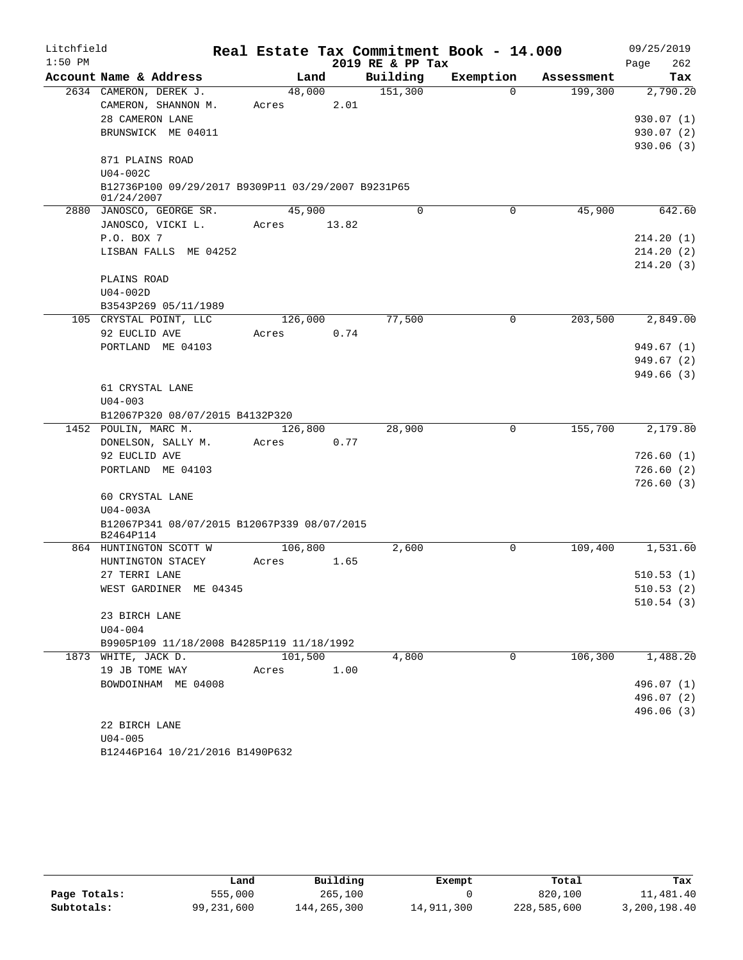| Litchfield |                                                                  |         |       |                  | Real Estate Tax Commitment Book - 14.000 |            | 09/25/2019  |
|------------|------------------------------------------------------------------|---------|-------|------------------|------------------------------------------|------------|-------------|
| $1:50$ PM  |                                                                  |         |       | 2019 RE & PP Tax |                                          |            | 262<br>Page |
|            | Account Name & Address                                           | Land    |       | Building         | Exemption                                | Assessment | Tax         |
|            | 2634 CAMERON, DEREK J.                                           | 48,000  |       | 151,300          | $\Omega$                                 | 199,300    | 2,790.20    |
|            | CAMERON, SHANNON M.                                              | Acres   | 2.01  |                  |                                          |            |             |
|            | 28 CAMERON LANE                                                  |         |       |                  |                                          |            | 930.07(1)   |
|            | BRUNSWICK ME 04011                                               |         |       |                  |                                          |            | 930.07(2)   |
|            |                                                                  |         |       |                  |                                          |            | 930.06(3)   |
|            | 871 PLAINS ROAD                                                  |         |       |                  |                                          |            |             |
|            | $U04-002C$                                                       |         |       |                  |                                          |            |             |
|            | B12736P100 09/29/2017 B9309P11 03/29/2007 B9231P65<br>01/24/2007 |         |       |                  |                                          |            |             |
|            | 2880 JANOSCO, GEORGE SR.                                         | 45,900  |       | $\Omega$         | 0                                        | 45,900     | 642.60      |
|            | JANOSCO, VICKI L.                                                | Acres   | 13.82 |                  |                                          |            |             |
|            | P.O. BOX 7                                                       |         |       |                  |                                          |            | 214.20(1)   |
|            | LISBAN FALLS ME 04252                                            |         |       |                  |                                          |            | 214.20(2)   |
|            |                                                                  |         |       |                  |                                          |            | 214.20(3)   |
|            | PLAINS ROAD                                                      |         |       |                  |                                          |            |             |
|            | $U04-002D$                                                       |         |       |                  |                                          |            |             |
|            | B3543P269 05/11/1989                                             |         |       |                  |                                          |            |             |
|            | 105 CRYSTAL POINT, LLC                                           | 126,000 |       | 77,500           | $\mathbf 0$                              | 203,500    | 2,849.00    |
|            | 92 EUCLID AVE                                                    | Acres   | 0.74  |                  |                                          |            |             |
|            | PORTLAND ME 04103                                                |         |       |                  |                                          |            | 949.67(1)   |
|            |                                                                  |         |       |                  |                                          |            | 949.67(2)   |
|            |                                                                  |         |       |                  |                                          |            | 949.66(3)   |
|            | 61 CRYSTAL LANE                                                  |         |       |                  |                                          |            |             |
|            | $U04 - 003$                                                      |         |       |                  |                                          |            |             |
|            | B12067P320 08/07/2015 B4132P320                                  |         |       |                  |                                          |            |             |
|            | 1452 POULIN, MARC M.                                             | 126,800 |       | 28,900           | $\mathbf 0$                              | 155,700    | 2,179.80    |
|            | DONELSON, SALLY M.                                               | Acres   | 0.77  |                  |                                          |            |             |
|            | 92 EUCLID AVE                                                    |         |       |                  |                                          |            | 726.60(1)   |
|            | PORTLAND ME 04103                                                |         |       |                  |                                          |            | 726.60(2)   |
|            |                                                                  |         |       |                  |                                          |            | 726.60(3)   |
|            | 60 CRYSTAL LANE                                                  |         |       |                  |                                          |            |             |
|            | $U04-003A$<br>B12067P341 08/07/2015 B12067P339 08/07/2015        |         |       |                  |                                          |            |             |
|            | B2464P114                                                        |         |       |                  |                                          |            |             |
|            | 864 HUNTINGTON SCOTT W                                           | 106,800 |       | 2,600            | 0                                        | 109,400    | 1,531.60    |
|            | HUNTINGTON STACEY                                                | Acres   | 1.65  |                  |                                          |            |             |
|            | 27 TERRI LANE                                                    |         |       |                  |                                          |            | 510.53(1)   |
|            | WEST GARDINER ME 04345                                           |         |       |                  |                                          |            | 510.53(2)   |
|            |                                                                  |         |       |                  |                                          |            | 510.54(3)   |
|            | 23 BIRCH LANE                                                    |         |       |                  |                                          |            |             |
|            | $U04 - 004$                                                      |         |       |                  |                                          |            |             |
|            | B9905P109 11/18/2008 B4285P119 11/18/1992                        |         |       |                  |                                          |            |             |
|            | 1873 WHITE, JACK D.                                              | 101,500 |       | 4,800            | $\Omega$                                 | 106,300    | 1,488.20    |
|            | 19 JB TOME WAY                                                   | Acres   | 1.00  |                  |                                          |            |             |
|            | BOWDOINHAM ME 04008                                              |         |       |                  |                                          |            | 496.07 (1)  |
|            |                                                                  |         |       |                  |                                          |            | 496.07 (2)  |
|            |                                                                  |         |       |                  |                                          |            | 496.06 (3)  |
|            | 22 BIRCH LANE                                                    |         |       |                  |                                          |            |             |
|            | $U04 - 005$                                                      |         |       |                  |                                          |            |             |

B12446P164 10/21/2016 B1490P632

|              | Land       | Building    | Exempt     | Total       | Tax          |
|--------------|------------|-------------|------------|-------------|--------------|
| Page Totals: | 555,000    | 265,100     |            | 820,100     | 11,481.40    |
| Subtotals:   | 99,231,600 | 144,265,300 | 14,911,300 | 228,585,600 | 3,200,198.40 |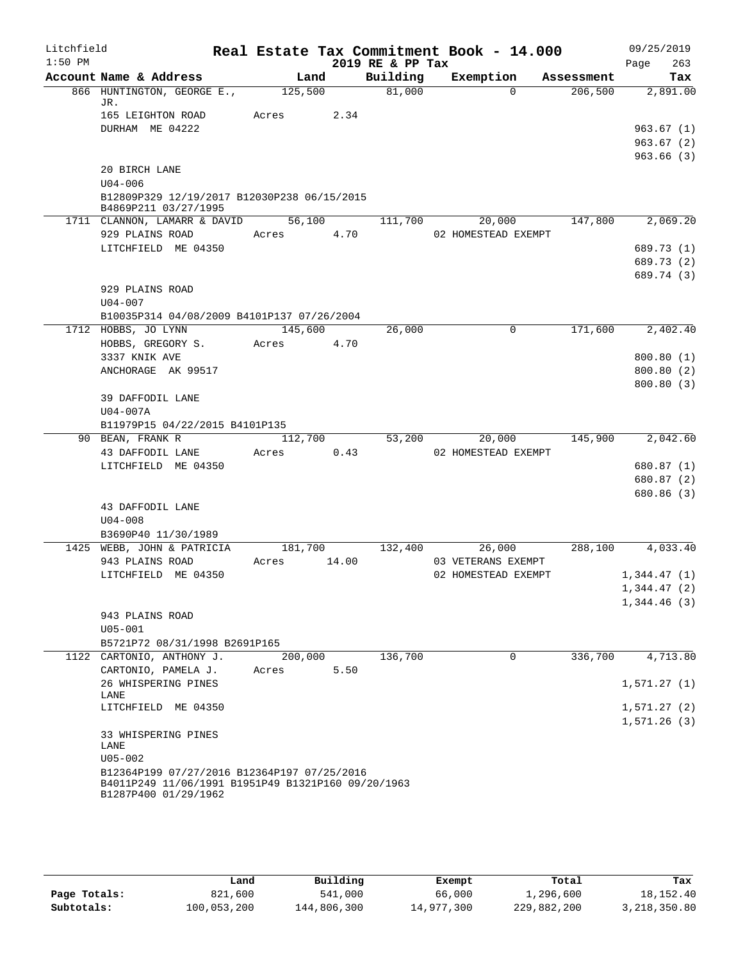| Litchfield |                                                                                                   |            |       |                  | Real Estate Tax Commitment Book - 14.000 |            | 09/25/2019              |
|------------|---------------------------------------------------------------------------------------------------|------------|-------|------------------|------------------------------------------|------------|-------------------------|
| $1:50$ PM  |                                                                                                   |            |       | 2019 RE & PP Tax |                                          |            | 263<br>Page             |
|            | Account Name & Address                                                                            |            | Land  | Building         | Exemption                                | Assessment | Tax                     |
|            | 866 HUNTINGTON, GEORGE E.,<br>JR.                                                                 | 125,500    |       | 81,000           | $\Omega$                                 | 206,500    | 2,891.00                |
|            | 165 LEIGHTON ROAD                                                                                 | Acres      | 2.34  |                  |                                          |            |                         |
|            | DURHAM ME 04222                                                                                   |            |       |                  |                                          |            | 963.67(1)               |
|            |                                                                                                   |            |       |                  |                                          |            | 963.67(2)               |
|            |                                                                                                   |            |       |                  |                                          |            | 963.66(3)               |
|            | 20 BIRCH LANE                                                                                     |            |       |                  |                                          |            |                         |
|            | $U04 - 006$                                                                                       |            |       |                  |                                          |            |                         |
|            | B12809P329 12/19/2017 B12030P238 06/15/2015<br>B4869P211 03/27/1995                               |            |       |                  |                                          |            |                         |
|            | 1711 CLANNON, LAMARR & DAVID 56,100                                                               |            |       | 111,700          | 20,000                                   | 147,800    | 2,069.20                |
|            | 929 PLAINS ROAD                                                                                   | Acres 4.70 |       |                  | 02 HOMESTEAD EXEMPT                      |            |                         |
|            | LITCHFIELD ME 04350                                                                               |            |       |                  |                                          |            | 689.73 (1)              |
|            |                                                                                                   |            |       |                  |                                          |            | 689.73 (2)              |
|            |                                                                                                   |            |       |                  |                                          |            | 689.74 (3)              |
|            | 929 PLAINS ROAD                                                                                   |            |       |                  |                                          |            |                         |
|            | $U04 - 007$                                                                                       |            |       |                  |                                          |            |                         |
|            | B10035P314 04/08/2009 B4101P137 07/26/2004                                                        |            |       |                  |                                          |            |                         |
|            | 1712 HOBBS, JO LYNN                                                                               | 145,600    |       | 26,000           | 0                                        | 171,600    | 2,402.40                |
|            | HOBBS, GREGORY S.<br>3337 KNIK AVE                                                                | Acres      | 4.70  |                  |                                          |            |                         |
|            | ANCHORAGE AK 99517                                                                                |            |       |                  |                                          |            | 800.80(1)<br>800.80 (2) |
|            |                                                                                                   |            |       |                  |                                          |            | 800.80(3)               |
|            | 39 DAFFODIL LANE                                                                                  |            |       |                  |                                          |            |                         |
|            | $U04-007A$                                                                                        |            |       |                  |                                          |            |                         |
|            | B11979P15 04/22/2015 B4101P135                                                                    |            |       |                  |                                          |            |                         |
|            | 90 BEAN, FRANK R                                                                                  | 112,700    |       | 53,200           | 20,000                                   | 145,900    | 2,042.60                |
|            | 43 DAFFODIL LANE                                                                                  | Acres      | 0.43  |                  | 02 HOMESTEAD EXEMPT                      |            |                         |
|            | LITCHFIELD ME 04350                                                                               |            |       |                  |                                          |            | 680.87 (1)              |
|            |                                                                                                   |            |       |                  |                                          |            | 680.87 (2)              |
|            |                                                                                                   |            |       |                  |                                          |            | 680.86 (3)              |
|            | 43 DAFFODIL LANE<br>$U04 - 008$                                                                   |            |       |                  |                                          |            |                         |
|            | B3690P40 11/30/1989                                                                               |            |       |                  |                                          |            |                         |
|            | 1425 WEBB, JOHN & PATRICIA                                                                        | 181,700    |       | 132,400          | 26,000                                   |            | 288,100 4,033.40        |
|            | 943 PLAINS ROAD                                                                                   | Acres      | 14.00 |                  | 03 VETERANS EXEMPT                       |            |                         |
|            | LITCHFIELD ME 04350                                                                               |            |       |                  | 02 HOMESTEAD EXEMPT                      |            | 1,344.47(1)             |
|            |                                                                                                   |            |       |                  |                                          |            | 1,344.47 (2)            |
|            |                                                                                                   |            |       |                  |                                          |            | 1,344.46(3)             |
|            | 943 PLAINS ROAD                                                                                   |            |       |                  |                                          |            |                         |
|            | $U05 - 001$                                                                                       |            |       |                  |                                          |            |                         |
|            | B5721P72 08/31/1998 B2691P165                                                                     |            |       |                  |                                          |            |                         |
|            | 1122 CARTONIO, ANTHONY J.                                                                         | 200,000    |       | 136,700          | $\mathbf 0$                              | 336,700    | 4,713.80                |
|            | CARTONIO, PAMELA J.                                                                               | Acres      | 5.50  |                  |                                          |            |                         |
|            | 26 WHISPERING PINES<br>LANE                                                                       |            |       |                  |                                          |            | 1,571.27(1)             |
|            | LITCHFIELD ME 04350                                                                               |            |       |                  |                                          |            | 1,571.27(2)             |
|            |                                                                                                   |            |       |                  |                                          |            | 1,571.26(3)             |
|            | 33 WHISPERING PINES                                                                               |            |       |                  |                                          |            |                         |
|            | LANE                                                                                              |            |       |                  |                                          |            |                         |
|            | $U05 - 002$                                                                                       |            |       |                  |                                          |            |                         |
|            | B12364P199 07/27/2016 B12364P197 07/25/2016<br>B4011P249 11/06/1991 B1951P49 B1321P160 09/20/1963 |            |       |                  |                                          |            |                         |
|            | B1287P400 01/29/1962                                                                              |            |       |                  |                                          |            |                         |
|            |                                                                                                   |            |       |                  |                                          |            |                         |

|              | Land        | Building    | Exempt     | Total       | Tax          |
|--------------|-------------|-------------|------------|-------------|--------------|
| Page Totals: | 821,600     | 541,000     | 66,000     | 1,296,600   | 18,152.40    |
| Subtotals:   | 100,053,200 | 144,806,300 | 14,977,300 | 229,882,200 | 3,218,350.80 |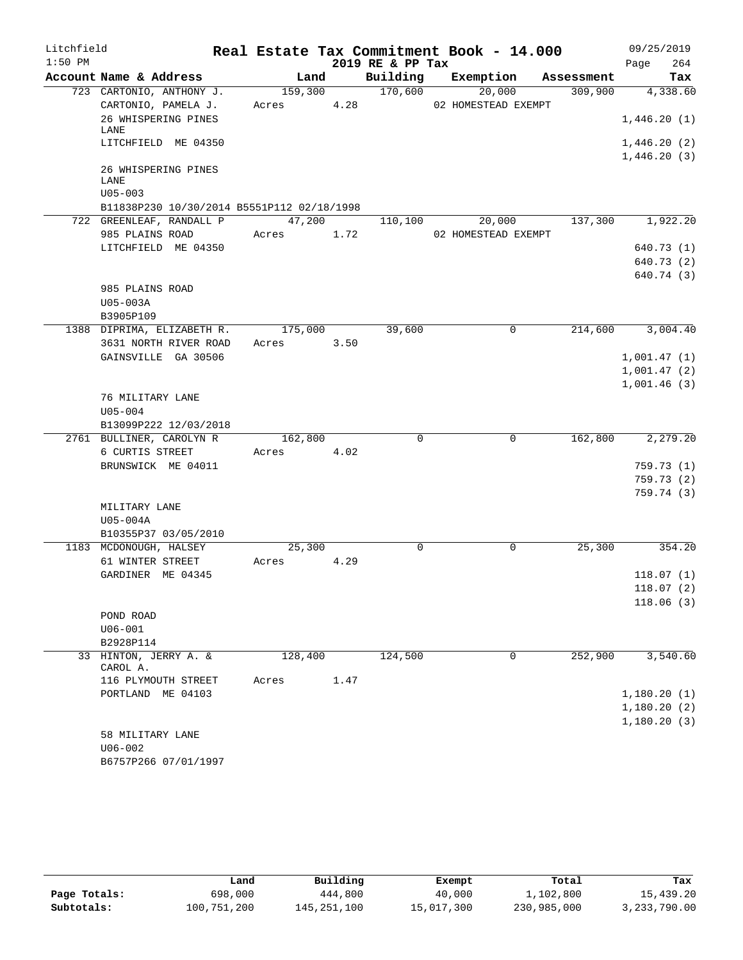| Litchfield |                                            |         |      |                  | Real Estate Tax Commitment Book - 14.000 |            | 09/25/2019  |
|------------|--------------------------------------------|---------|------|------------------|------------------------------------------|------------|-------------|
| $1:50$ PM  |                                            |         |      | 2019 RE & PP Tax |                                          |            | 264<br>Page |
|            | Account Name & Address                     | Land    |      | Building         | Exemption                                | Assessment | Tax         |
|            | 723 CARTONIO, ANTHONY J.                   | 159,300 |      | 170,600          | 20,000                                   | 309,900    | 4,338.60    |
|            | CARTONIO, PAMELA J.                        | Acres   | 4.28 |                  | 02 HOMESTEAD EXEMPT                      |            |             |
|            | 26 WHISPERING PINES<br>LANE                |         |      |                  |                                          |            | 1,446.20(1) |
|            | LITCHFIELD ME 04350                        |         |      |                  |                                          |            | 1,446.20(2) |
|            |                                            |         |      |                  |                                          |            | 1,446.20(3) |
|            | 26 WHISPERING PINES                        |         |      |                  |                                          |            |             |
|            | LANE<br>$U05 - 003$                        |         |      |                  |                                          |            |             |
|            | B11838P230 10/30/2014 B5551P112 02/18/1998 |         |      |                  |                                          |            |             |
|            | 722 GREENLEAF, RANDALL P                   | 47,200  |      | 110,100          | 20,000                                   | 137,300    | 1,922.20    |
|            | 985 PLAINS ROAD                            | Acres   | 1.72 |                  | 02 HOMESTEAD EXEMPT                      |            |             |
|            | LITCHFIELD ME 04350                        |         |      |                  |                                          |            | 640.73(1)   |
|            |                                            |         |      |                  |                                          |            | 640.73 (2)  |
|            |                                            |         |      |                  |                                          |            | 640.74 (3)  |
|            | 985 PLAINS ROAD                            |         |      |                  |                                          |            |             |
|            | U05-003A                                   |         |      |                  |                                          |            |             |
|            | B3905P109                                  |         |      |                  |                                          |            |             |
|            | 1388 DIPRIMA, ELIZABETH R.                 | 175,000 |      | 39,600           | $\mathbf 0$                              | 214,600    | 3,004.40    |
|            | 3631 NORTH RIVER ROAD                      | Acres   | 3.50 |                  |                                          |            |             |
|            | GAINSVILLE GA 30506                        |         |      |                  |                                          |            | 1,001.47(1) |
|            |                                            |         |      |                  |                                          |            | 1,001.47(2) |
|            |                                            |         |      |                  |                                          |            | 1,001.46(3) |
|            | 76 MILITARY LANE                           |         |      |                  |                                          |            |             |
|            | $U05 - 004$<br>B13099P222 12/03/2018       |         |      |                  |                                          |            |             |
|            | 2761 BULLINER, CAROLYN R                   | 162,800 |      | 0                | 0                                        | 162,800    | 2,279.20    |
|            | 6 CURTIS STREET                            | Acres   | 4.02 |                  |                                          |            |             |
|            | BRUNSWICK ME 04011                         |         |      |                  |                                          |            | 759.73(1)   |
|            |                                            |         |      |                  |                                          |            | 759.73(2)   |
|            |                                            |         |      |                  |                                          |            | 759.74(3)   |
|            | MILITARY LANE                              |         |      |                  |                                          |            |             |
|            | U05-004A                                   |         |      |                  |                                          |            |             |
|            | B10355P37 03/05/2010                       |         |      |                  |                                          |            |             |
|            | 1183 MCDONOUGH, HALSEY                     | 25,300  |      | $\mathbf 0$      | 0                                        | 25,300     | 354.20      |
|            | 61 WINTER STREET                           | Acres   | 4.29 |                  |                                          |            |             |
|            | GARDINER ME 04345                          |         |      |                  |                                          |            | 118.07(1)   |
|            |                                            |         |      |                  |                                          |            | 118.07(2)   |
|            |                                            |         |      |                  |                                          |            | 118.06(3)   |
|            | POND ROAD<br>$U06 - 001$                   |         |      |                  |                                          |            |             |
|            | B2928P114                                  |         |      |                  |                                          |            |             |
|            | 33 HINTON, JERRY A. &                      | 128,400 |      | 124,500          | 0                                        | 252,900    | 3,540.60    |
|            | CAROL A.                                   |         |      |                  |                                          |            |             |
|            | 116 PLYMOUTH STREET                        | Acres   | 1.47 |                  |                                          |            |             |
|            | PORTLAND ME 04103                          |         |      |                  |                                          |            | 1,180.20(1) |
|            |                                            |         |      |                  |                                          |            | 1,180.20(2) |
|            |                                            |         |      |                  |                                          |            | 1,180.20(3) |
|            | 58 MILITARY LANE                           |         |      |                  |                                          |            |             |
|            | $U06 - 002$                                |         |      |                  |                                          |            |             |
|            | B6757P266 07/01/1997                       |         |      |                  |                                          |            |             |

|              | Land        | Building    | Exempt     | Total       | Tax          |
|--------------|-------------|-------------|------------|-------------|--------------|
| Page Totals: | 698,000     | 444,800     | 40,000     | 1,102,800   | 15,439.20    |
| Subtotals:   | 100,751,200 | 145,251,100 | 15,017,300 | 230,985,000 | 3,233,790.00 |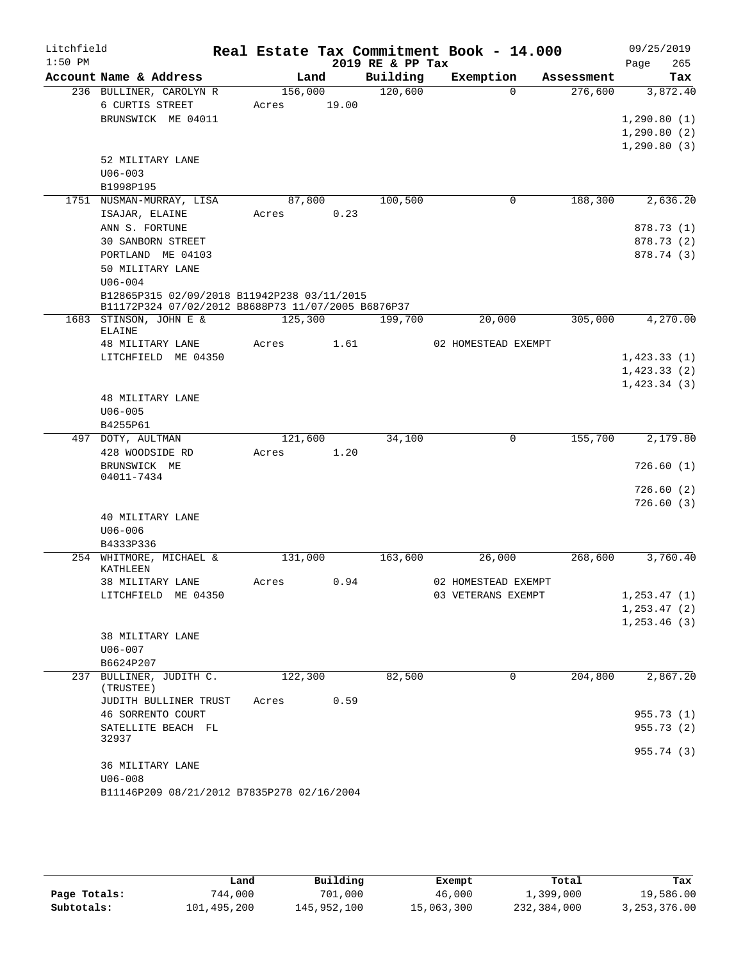| Litchfield |                                                                                                   |         |       |                  | Real Estate Tax Commitment Book - 14.000 |            | 09/25/2019                   |            |
|------------|---------------------------------------------------------------------------------------------------|---------|-------|------------------|------------------------------------------|------------|------------------------------|------------|
| $1:50$ PM  |                                                                                                   |         |       | 2019 RE & PP Tax |                                          |            | Page                         | 265        |
|            | Account Name & Address                                                                            |         | Land  | Building         | Exemption                                | Assessment |                              | Tax        |
|            | 236 BULLINER, CAROLYN R                                                                           | 156,000 |       | 120,600          | $\Omega$                                 | 276,600    |                              | 3,872.40   |
|            | 6 CURTIS STREET                                                                                   | Acres   | 19.00 |                  |                                          |            |                              |            |
|            | BRUNSWICK ME 04011                                                                                |         |       |                  |                                          |            | 1, 290.80(1)                 |            |
|            |                                                                                                   |         |       |                  |                                          |            | 1, 290.80(2)<br>1, 290.80(3) |            |
|            | 52 MILITARY LANE                                                                                  |         |       |                  |                                          |            |                              |            |
|            | $U06 - 003$                                                                                       |         |       |                  |                                          |            |                              |            |
|            | B1998P195                                                                                         |         |       |                  |                                          |            |                              |            |
|            | 1751 NUSMAN-MURRAY, LISA                                                                          | 87,800  |       | 100,500          | 0                                        | 188,300    |                              | 2,636.20   |
|            | ISAJAR, ELAINE                                                                                    | Acres   | 0.23  |                  |                                          |            |                              |            |
|            | ANN S. FORTUNE                                                                                    |         |       |                  |                                          |            |                              | 878.73 (1) |
|            | <b>30 SANBORN STREET</b>                                                                          |         |       |                  |                                          |            |                              | 878.73 (2) |
|            | PORTLAND ME 04103                                                                                 |         |       |                  |                                          |            |                              | 878.74 (3) |
|            | 50 MILITARY LANE                                                                                  |         |       |                  |                                          |            |                              |            |
|            | $U06 - 004$                                                                                       |         |       |                  |                                          |            |                              |            |
|            | B12865P315 02/09/2018 B11942P238 03/11/2015<br>B11172P324 07/02/2012 B8688P73 11/07/2005 B6876P37 |         |       |                  |                                          |            |                              |            |
|            | 1683 STINSON, JOHN E &                                                                            | 125,300 |       | 199,700          | 20,000                                   | 305,000    |                              | 4,270.00   |
|            | ELAINE                                                                                            |         |       |                  |                                          |            |                              |            |
|            | 48 MILITARY LANE                                                                                  | Acres   | 1.61  |                  | 02 HOMESTEAD EXEMPT                      |            |                              |            |
|            | LITCHFIELD ME 04350                                                                               |         |       |                  |                                          |            | 1,423.33(1)                  |            |
|            |                                                                                                   |         |       |                  |                                          |            | 1,423.33(2)                  |            |
|            |                                                                                                   |         |       |                  |                                          |            | 1,423.34(3)                  |            |
|            | 48 MILITARY LANE                                                                                  |         |       |                  |                                          |            |                              |            |
|            | $U06 - 005$<br>B4255P61                                                                           |         |       |                  |                                          |            |                              |            |
|            | 497 DOTY, AULTMAN                                                                                 | 121,600 |       | 34,100           | 0                                        | 155,700    |                              | 2,179.80   |
|            | 428 WOODSIDE RD                                                                                   | Acres   | 1.20  |                  |                                          |            |                              |            |
|            | BRUNSWICK ME                                                                                      |         |       |                  |                                          |            |                              | 726.60(1)  |
|            | 04011-7434                                                                                        |         |       |                  |                                          |            |                              |            |
|            |                                                                                                   |         |       |                  |                                          |            |                              | 726.60(2)  |
|            |                                                                                                   |         |       |                  |                                          |            |                              | 726.60(3)  |
|            | 40 MILITARY LANE                                                                                  |         |       |                  |                                          |            |                              |            |
|            | $U06 - 006$                                                                                       |         |       |                  |                                          |            |                              |            |
|            | B4333P336<br>254 WHITMORE, MICHAEL &                                                              | 131,000 |       | 163,600          | 26,000                                   | 268,600    |                              | 3,760.40   |
|            | KATHLEEN                                                                                          |         |       |                  |                                          |            |                              |            |
|            | 38 MILITARY LANE                                                                                  | Acres   | 0.94  |                  | 02 HOMESTEAD EXEMPT                      |            |                              |            |
|            | LITCHFIELD ME 04350                                                                               |         |       |                  | 03 VETERANS EXEMPT                       |            | 1, 253.47(1)                 |            |
|            |                                                                                                   |         |       |                  |                                          |            | 1, 253.47(2)                 |            |
|            |                                                                                                   |         |       |                  |                                          |            | 1, 253.46(3)                 |            |
|            | 38 MILITARY LANE                                                                                  |         |       |                  |                                          |            |                              |            |
|            | $U06 - 007$                                                                                       |         |       |                  |                                          |            |                              |            |
|            | B6624P207<br>237 BULLINER, JUDITH C.                                                              |         |       |                  |                                          | 204,800    |                              | 2,867.20   |
|            | (TRUSTEE)                                                                                         | 122,300 |       | 82,500           | 0                                        |            |                              |            |
|            | JUDITH BULLINER TRUST                                                                             | Acres   | 0.59  |                  |                                          |            |                              |            |
|            | 46 SORRENTO COURT                                                                                 |         |       |                  |                                          |            |                              | 955.73 (1) |
|            | SATELLITE BEACH FL                                                                                |         |       |                  |                                          |            |                              | 955.73 (2) |
|            | 32937                                                                                             |         |       |                  |                                          |            |                              |            |
|            | 36 MILITARY LANE                                                                                  |         |       |                  |                                          |            |                              | 955.74 (3) |
|            | $U06 - 008$                                                                                       |         |       |                  |                                          |            |                              |            |
|            | B11146P209 08/21/2012 B7835P278 02/16/2004                                                        |         |       |                  |                                          |            |                              |            |
|            |                                                                                                   |         |       |                  |                                          |            |                              |            |

|              | Land        | Building    | Exempt     | Total       | Tax            |
|--------------|-------------|-------------|------------|-------------|----------------|
| Page Totals: | 744,000     | 701,000     | 46,000     | 1,399,000   | 19,586.00      |
| Subtotals:   | 101,495,200 | 145,952,100 | 15,063,300 | 232,384,000 | 3, 253, 376.00 |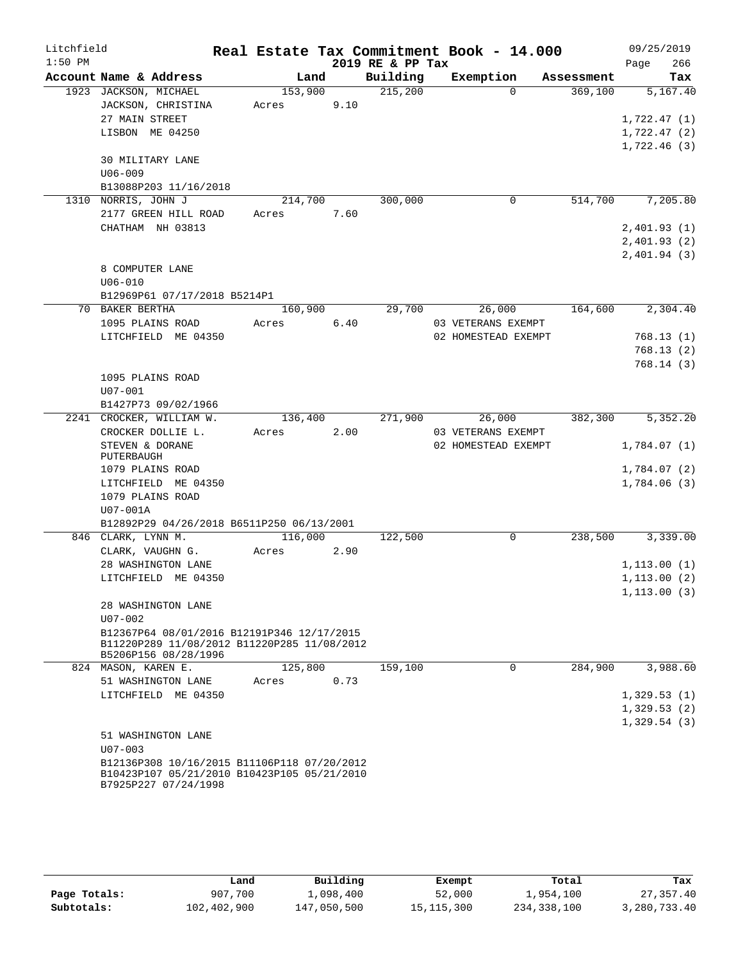| Litchfield |                                                 |         |        |                  | Real Estate Tax Commitment Book - 14.000 |            | 09/25/2019                 |          |
|------------|-------------------------------------------------|---------|--------|------------------|------------------------------------------|------------|----------------------------|----------|
| $1:50$ PM  |                                                 |         |        | 2019 RE & PP Tax |                                          |            | Page                       | 266      |
|            | Account Name & Address                          | Land    |        | Building         | Exemption                                | Assessment |                            | Tax      |
|            | 1923 JACKSON, MICHAEL                           | 153,900 |        | 215,200          | $\Omega$                                 | 369,100    |                            | 5,167.40 |
|            | JACKSON, CHRISTINA                              | Acres   | 9.10   |                  |                                          |            |                            |          |
|            | 27 MAIN STREET                                  |         |        |                  |                                          |            | 1,722.47(1)                |          |
|            | LISBON ME 04250                                 |         |        |                  |                                          |            | 1,722.47(2)                |          |
|            | 30 MILITARY LANE                                |         |        |                  |                                          |            | 1,722.46(3)                |          |
|            | $U06 - 009$                                     |         |        |                  |                                          |            |                            |          |
|            | B13088P203 11/16/2018                           |         |        |                  |                                          |            |                            |          |
|            | 1310 NORRIS, JOHN J                             | 214,700 |        | 300,000          | $\mathbf 0$                              | 514,700    |                            | 7,205.80 |
|            | 2177 GREEN HILL ROAD                            | Acres   | 7.60   |                  |                                          |            |                            |          |
|            | CHATHAM NH 03813                                |         |        |                  |                                          |            | 2,401.93(1)                |          |
|            |                                                 |         |        |                  |                                          |            | 2,401.93(2)                |          |
|            |                                                 |         |        |                  |                                          |            | 2,401.94(3)                |          |
|            | 8 COMPUTER LANE                                 |         |        |                  |                                          |            |                            |          |
|            | $U06 - 010$                                     |         |        |                  |                                          |            |                            |          |
|            | B12969P61 07/17/2018 B5214P1                    |         |        |                  |                                          |            |                            |          |
|            | 70 BAKER BERTHA                                 | 160,900 |        | 29,700           | 26,000                                   | 164,600    |                            | 2,304.40 |
|            | 1095 PLAINS ROAD                                | Acres   | $6.40$ |                  | 03 VETERANS EXEMPT                       |            |                            |          |
|            | LITCHFIELD ME 04350                             |         |        |                  | 02 HOMESTEAD EXEMPT                      |            | 768.13(1)                  |          |
|            |                                                 |         |        |                  |                                          |            | 768.13(2)                  |          |
|            |                                                 |         |        |                  |                                          |            | 768.14(3)                  |          |
|            | 1095 PLAINS ROAD                                |         |        |                  |                                          |            |                            |          |
|            | $U07 - 001$                                     |         |        |                  |                                          |            |                            |          |
|            | B1427P73 09/02/1966<br>2241 CROCKER, WILLIAM W. | 136,400 |        | 271,900          | 26,000                                   | 382,300    |                            | 5,352.20 |
|            | CROCKER DOLLIE L.                               | Acres   | 2.00   |                  | 03 VETERANS EXEMPT                       |            |                            |          |
|            | STEVEN & DORANE                                 |         |        |                  | 02 HOMESTEAD EXEMPT                      |            | 1,784.07(1)                |          |
|            | PUTERBAUGH                                      |         |        |                  |                                          |            |                            |          |
|            | 1079 PLAINS ROAD                                |         |        |                  |                                          |            | 1,784.07(2)                |          |
|            | LITCHFIELD ME 04350                             |         |        |                  |                                          |            | 1,784.06(3)                |          |
|            | 1079 PLAINS ROAD                                |         |        |                  |                                          |            |                            |          |
|            | U07-001A                                        |         |        |                  |                                          |            |                            |          |
|            | B12892P29 04/26/2018 B6511P250 06/13/2001       |         |        |                  |                                          |            |                            |          |
|            | 846 CLARK, LYNN M.                              | 116,000 |        | 122,500          | $\mathbf 0$                              | 238,500    |                            | 3,339.00 |
|            | CLARK, VAUGHN G.                                | Acres   | 2.90   |                  |                                          |            |                            |          |
|            | 28 WASHINGTON LANE                              |         |        |                  |                                          |            | 1, 113.00(1)               |          |
|            | LITCHFIELD ME 04350                             |         |        |                  |                                          |            | 1, 113.00(2)               |          |
|            | 28 WASHINGTON LANE                              |         |        |                  |                                          |            | 1, 113.00(3)               |          |
|            | $U07 - 002$                                     |         |        |                  |                                          |            |                            |          |
|            | B12367P64 08/01/2016 B12191P346 12/17/2015      |         |        |                  |                                          |            |                            |          |
|            | B11220P289 11/08/2012 B11220P285 11/08/2012     |         |        |                  |                                          |            |                            |          |
|            | B5206P156 08/28/1996                            |         |        |                  |                                          |            |                            |          |
|            | 824 MASON, KAREN E.                             | 125,800 |        | 159,100          | 0                                        | 284,900    |                            | 3,988.60 |
|            | 51 WASHINGTON LANE                              | Acres   | 0.73   |                  |                                          |            |                            |          |
|            | LITCHFIELD ME 04350                             |         |        |                  |                                          |            | 1,329.53(1)                |          |
|            |                                                 |         |        |                  |                                          |            | 1,329.53(2)<br>1,329.54(3) |          |
|            | 51 WASHINGTON LANE                              |         |        |                  |                                          |            |                            |          |
|            | $U07 - 003$                                     |         |        |                  |                                          |            |                            |          |
|            | B12136P308 10/16/2015 B11106P118 07/20/2012     |         |        |                  |                                          |            |                            |          |
|            | B10423P107 05/21/2010 B10423P105 05/21/2010     |         |        |                  |                                          |            |                            |          |
|            | B7925P227 07/24/1998                            |         |        |                  |                                          |            |                            |          |

|              | Land        | Building    | Exempt       | Total       | Tax          |
|--------------|-------------|-------------|--------------|-------------|--------------|
| Page Totals: | 907,700     | 1,098,400   | 52,000       | 1,954,100   | 27, 357, 40  |
| Subtotals:   | 102,402,900 | 147,050,500 | 15, 115, 300 | 234,338,100 | 3,280,733.40 |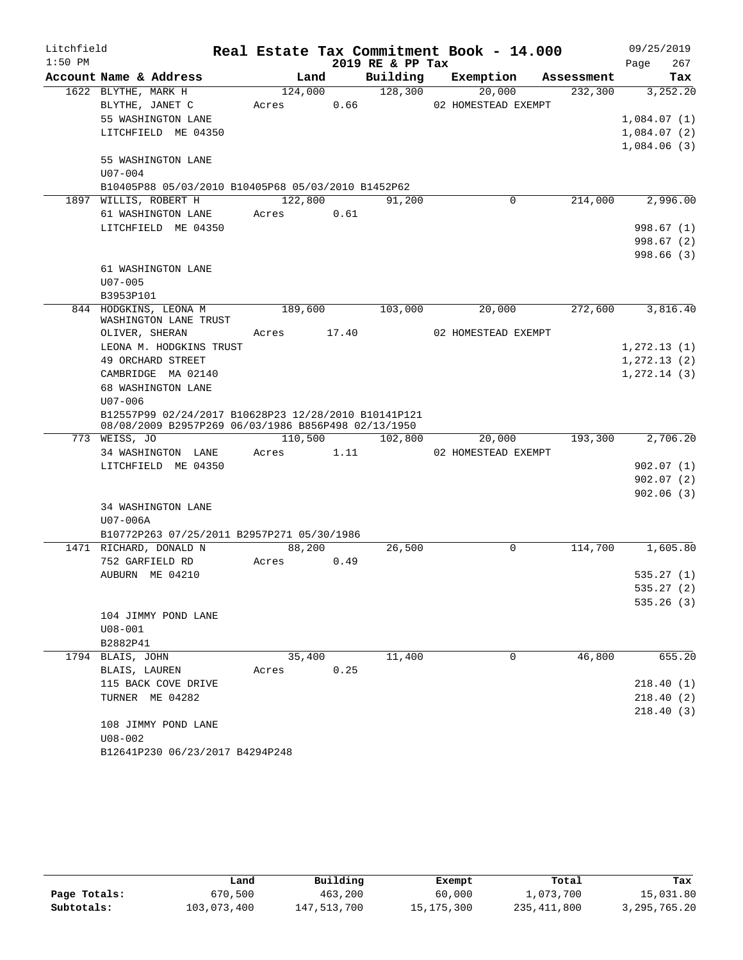| $1:50$ PM<br>2019 RE & PP Tax<br>267<br>Page<br>Building<br>Account Name & Address<br>Exemption<br>Land<br>Assessment<br>Tax<br>1622 BLYTHE, MARK H<br>128,300<br>124,000<br>20,000<br>232,300<br>BLYTHE, JANET C<br>0.66<br>02 HOMESTEAD EXEMPT<br>Acres<br>55 WASHINGTON LANE<br>LITCHFIELD ME 04350<br>55 WASHINGTON LANE<br>$U07 - 004$<br>B10405P88 05/03/2010 B10405P68 05/03/2010 B1452P62<br>122,800<br>214,000<br>1897 WILLIS, ROBERT H<br>91,200<br>0<br>61 WASHINGTON LANE<br>Acres<br>0.61<br>LITCHFIELD ME 04350<br>61 WASHINGTON LANE<br>$U07 - 005$<br>B3953P101<br>844 HODGKINS, LEONA M<br>189,600<br>272,600<br>103,000<br>20,000<br>WASHINGTON LANE TRUST<br>17.40<br>02 HOMESTEAD EXEMPT<br>OLIVER, SHERAN<br>Acres<br>LEONA M. HODGKINS TRUST<br>49 ORCHARD STREET<br>CAMBRIDGE MA 02140<br>68 WASHINGTON LANE<br>$U07 - 006$<br>B12557P99 02/24/2017 B10628P23 12/28/2010 B10141P121<br>08/08/2009 B2957P269 06/03/1986 B856P498 02/13/1950<br>773 WEISS, JO<br>110,500<br>102,800<br>193,300<br>20,000<br>1.11<br>34 WASHINGTON LANE<br>Acres<br>02 HOMESTEAD EXEMPT<br>LITCHFIELD ME 04350<br>34 WASHINGTON LANE<br>U07-006A<br>B10772P263 07/25/2011 B2957P271 05/30/1986<br>88,200<br>26,500<br>0<br>114,700<br>1471 RICHARD, DONALD N<br>752 GARFIELD RD<br>0.49<br>Acres<br>AUBURN ME 04210<br>104 JIMMY POND LANE<br>$U08 - 001$<br>B2882P41<br>11,400<br>46,800<br>1794 BLAIS, JOHN<br>35,400<br>0<br>0.25<br>BLAIS, LAUREN<br>Acres<br>115 BACK COVE DRIVE<br>TURNER ME 04282<br>108 JIMMY POND LANE<br>$U08 - 002$<br>B12641P230 06/23/2017 B4294P248 | Litchfield |  |  | Real Estate Tax Commitment Book - 14.000 | 09/25/2019 |
|---------------------------------------------------------------------------------------------------------------------------------------------------------------------------------------------------------------------------------------------------------------------------------------------------------------------------------------------------------------------------------------------------------------------------------------------------------------------------------------------------------------------------------------------------------------------------------------------------------------------------------------------------------------------------------------------------------------------------------------------------------------------------------------------------------------------------------------------------------------------------------------------------------------------------------------------------------------------------------------------------------------------------------------------------------------------------------------------------------------------------------------------------------------------------------------------------------------------------------------------------------------------------------------------------------------------------------------------------------------------------------------------------------------------------------------------------------------------------------------------------------------------------------------------------------------------------------------|------------|--|--|------------------------------------------|------------|
|                                                                                                                                                                                                                                                                                                                                                                                                                                                                                                                                                                                                                                                                                                                                                                                                                                                                                                                                                                                                                                                                                                                                                                                                                                                                                                                                                                                                                                                                                                                                                                                       |            |  |  |                                          |            |
| 3,252.20<br>1,084.07(1)<br>1,084.07(2)<br>1,084.06(3)<br>2,996.00<br>998.67(1)<br>998.67(2)<br>998.66(3)<br>3,816.40<br>1,272.13(1)<br>1, 272.13(2)<br>1,272.14(3)<br>2,706.20<br>902.07(1)<br>902.07(2)<br>902.06(3)<br>1,605.80<br>535.27(1)<br>535.27(2)<br>535.26(3)<br>655.20<br>218.40(1)<br>218.40(2)<br>218.40(3)                                                                                                                                                                                                                                                                                                                                                                                                                                                                                                                                                                                                                                                                                                                                                                                                                                                                                                                                                                                                                                                                                                                                                                                                                                                             |            |  |  |                                          |            |
|                                                                                                                                                                                                                                                                                                                                                                                                                                                                                                                                                                                                                                                                                                                                                                                                                                                                                                                                                                                                                                                                                                                                                                                                                                                                                                                                                                                                                                                                                                                                                                                       |            |  |  |                                          |            |
|                                                                                                                                                                                                                                                                                                                                                                                                                                                                                                                                                                                                                                                                                                                                                                                                                                                                                                                                                                                                                                                                                                                                                                                                                                                                                                                                                                                                                                                                                                                                                                                       |            |  |  |                                          |            |
|                                                                                                                                                                                                                                                                                                                                                                                                                                                                                                                                                                                                                                                                                                                                                                                                                                                                                                                                                                                                                                                                                                                                                                                                                                                                                                                                                                                                                                                                                                                                                                                       |            |  |  |                                          |            |
|                                                                                                                                                                                                                                                                                                                                                                                                                                                                                                                                                                                                                                                                                                                                                                                                                                                                                                                                                                                                                                                                                                                                                                                                                                                                                                                                                                                                                                                                                                                                                                                       |            |  |  |                                          |            |
|                                                                                                                                                                                                                                                                                                                                                                                                                                                                                                                                                                                                                                                                                                                                                                                                                                                                                                                                                                                                                                                                                                                                                                                                                                                                                                                                                                                                                                                                                                                                                                                       |            |  |  |                                          |            |
|                                                                                                                                                                                                                                                                                                                                                                                                                                                                                                                                                                                                                                                                                                                                                                                                                                                                                                                                                                                                                                                                                                                                                                                                                                                                                                                                                                                                                                                                                                                                                                                       |            |  |  |                                          |            |
|                                                                                                                                                                                                                                                                                                                                                                                                                                                                                                                                                                                                                                                                                                                                                                                                                                                                                                                                                                                                                                                                                                                                                                                                                                                                                                                                                                                                                                                                                                                                                                                       |            |  |  |                                          |            |
|                                                                                                                                                                                                                                                                                                                                                                                                                                                                                                                                                                                                                                                                                                                                                                                                                                                                                                                                                                                                                                                                                                                                                                                                                                                                                                                                                                                                                                                                                                                                                                                       |            |  |  |                                          |            |
|                                                                                                                                                                                                                                                                                                                                                                                                                                                                                                                                                                                                                                                                                                                                                                                                                                                                                                                                                                                                                                                                                                                                                                                                                                                                                                                                                                                                                                                                                                                                                                                       |            |  |  |                                          |            |
|                                                                                                                                                                                                                                                                                                                                                                                                                                                                                                                                                                                                                                                                                                                                                                                                                                                                                                                                                                                                                                                                                                                                                                                                                                                                                                                                                                                                                                                                                                                                                                                       |            |  |  |                                          |            |
|                                                                                                                                                                                                                                                                                                                                                                                                                                                                                                                                                                                                                                                                                                                                                                                                                                                                                                                                                                                                                                                                                                                                                                                                                                                                                                                                                                                                                                                                                                                                                                                       |            |  |  |                                          |            |
|                                                                                                                                                                                                                                                                                                                                                                                                                                                                                                                                                                                                                                                                                                                                                                                                                                                                                                                                                                                                                                                                                                                                                                                                                                                                                                                                                                                                                                                                                                                                                                                       |            |  |  |                                          |            |
|                                                                                                                                                                                                                                                                                                                                                                                                                                                                                                                                                                                                                                                                                                                                                                                                                                                                                                                                                                                                                                                                                                                                                                                                                                                                                                                                                                                                                                                                                                                                                                                       |            |  |  |                                          |            |
|                                                                                                                                                                                                                                                                                                                                                                                                                                                                                                                                                                                                                                                                                                                                                                                                                                                                                                                                                                                                                                                                                                                                                                                                                                                                                                                                                                                                                                                                                                                                                                                       |            |  |  |                                          |            |
|                                                                                                                                                                                                                                                                                                                                                                                                                                                                                                                                                                                                                                                                                                                                                                                                                                                                                                                                                                                                                                                                                                                                                                                                                                                                                                                                                                                                                                                                                                                                                                                       |            |  |  |                                          |            |
|                                                                                                                                                                                                                                                                                                                                                                                                                                                                                                                                                                                                                                                                                                                                                                                                                                                                                                                                                                                                                                                                                                                                                                                                                                                                                                                                                                                                                                                                                                                                                                                       |            |  |  |                                          |            |
|                                                                                                                                                                                                                                                                                                                                                                                                                                                                                                                                                                                                                                                                                                                                                                                                                                                                                                                                                                                                                                                                                                                                                                                                                                                                                                                                                                                                                                                                                                                                                                                       |            |  |  |                                          |            |
|                                                                                                                                                                                                                                                                                                                                                                                                                                                                                                                                                                                                                                                                                                                                                                                                                                                                                                                                                                                                                                                                                                                                                                                                                                                                                                                                                                                                                                                                                                                                                                                       |            |  |  |                                          |            |
|                                                                                                                                                                                                                                                                                                                                                                                                                                                                                                                                                                                                                                                                                                                                                                                                                                                                                                                                                                                                                                                                                                                                                                                                                                                                                                                                                                                                                                                                                                                                                                                       |            |  |  |                                          |            |
|                                                                                                                                                                                                                                                                                                                                                                                                                                                                                                                                                                                                                                                                                                                                                                                                                                                                                                                                                                                                                                                                                                                                                                                                                                                                                                                                                                                                                                                                                                                                                                                       |            |  |  |                                          |            |
|                                                                                                                                                                                                                                                                                                                                                                                                                                                                                                                                                                                                                                                                                                                                                                                                                                                                                                                                                                                                                                                                                                                                                                                                                                                                                                                                                                                                                                                                                                                                                                                       |            |  |  |                                          |            |
|                                                                                                                                                                                                                                                                                                                                                                                                                                                                                                                                                                                                                                                                                                                                                                                                                                                                                                                                                                                                                                                                                                                                                                                                                                                                                                                                                                                                                                                                                                                                                                                       |            |  |  |                                          |            |
|                                                                                                                                                                                                                                                                                                                                                                                                                                                                                                                                                                                                                                                                                                                                                                                                                                                                                                                                                                                                                                                                                                                                                                                                                                                                                                                                                                                                                                                                                                                                                                                       |            |  |  |                                          |            |
|                                                                                                                                                                                                                                                                                                                                                                                                                                                                                                                                                                                                                                                                                                                                                                                                                                                                                                                                                                                                                                                                                                                                                                                                                                                                                                                                                                                                                                                                                                                                                                                       |            |  |  |                                          |            |
|                                                                                                                                                                                                                                                                                                                                                                                                                                                                                                                                                                                                                                                                                                                                                                                                                                                                                                                                                                                                                                                                                                                                                                                                                                                                                                                                                                                                                                                                                                                                                                                       |            |  |  |                                          |            |
|                                                                                                                                                                                                                                                                                                                                                                                                                                                                                                                                                                                                                                                                                                                                                                                                                                                                                                                                                                                                                                                                                                                                                                                                                                                                                                                                                                                                                                                                                                                                                                                       |            |  |  |                                          |            |
|                                                                                                                                                                                                                                                                                                                                                                                                                                                                                                                                                                                                                                                                                                                                                                                                                                                                                                                                                                                                                                                                                                                                                                                                                                                                                                                                                                                                                                                                                                                                                                                       |            |  |  |                                          |            |
|                                                                                                                                                                                                                                                                                                                                                                                                                                                                                                                                                                                                                                                                                                                                                                                                                                                                                                                                                                                                                                                                                                                                                                                                                                                                                                                                                                                                                                                                                                                                                                                       |            |  |  |                                          |            |
|                                                                                                                                                                                                                                                                                                                                                                                                                                                                                                                                                                                                                                                                                                                                                                                                                                                                                                                                                                                                                                                                                                                                                                                                                                                                                                                                                                                                                                                                                                                                                                                       |            |  |  |                                          |            |
|                                                                                                                                                                                                                                                                                                                                                                                                                                                                                                                                                                                                                                                                                                                                                                                                                                                                                                                                                                                                                                                                                                                                                                                                                                                                                                                                                                                                                                                                                                                                                                                       |            |  |  |                                          |            |
|                                                                                                                                                                                                                                                                                                                                                                                                                                                                                                                                                                                                                                                                                                                                                                                                                                                                                                                                                                                                                                                                                                                                                                                                                                                                                                                                                                                                                                                                                                                                                                                       |            |  |  |                                          |            |
|                                                                                                                                                                                                                                                                                                                                                                                                                                                                                                                                                                                                                                                                                                                                                                                                                                                                                                                                                                                                                                                                                                                                                                                                                                                                                                                                                                                                                                                                                                                                                                                       |            |  |  |                                          |            |
|                                                                                                                                                                                                                                                                                                                                                                                                                                                                                                                                                                                                                                                                                                                                                                                                                                                                                                                                                                                                                                                                                                                                                                                                                                                                                                                                                                                                                                                                                                                                                                                       |            |  |  |                                          |            |
|                                                                                                                                                                                                                                                                                                                                                                                                                                                                                                                                                                                                                                                                                                                                                                                                                                                                                                                                                                                                                                                                                                                                                                                                                                                                                                                                                                                                                                                                                                                                                                                       |            |  |  |                                          |            |
|                                                                                                                                                                                                                                                                                                                                                                                                                                                                                                                                                                                                                                                                                                                                                                                                                                                                                                                                                                                                                                                                                                                                                                                                                                                                                                                                                                                                                                                                                                                                                                                       |            |  |  |                                          |            |
|                                                                                                                                                                                                                                                                                                                                                                                                                                                                                                                                                                                                                                                                                                                                                                                                                                                                                                                                                                                                                                                                                                                                                                                                                                                                                                                                                                                                                                                                                                                                                                                       |            |  |  |                                          |            |
|                                                                                                                                                                                                                                                                                                                                                                                                                                                                                                                                                                                                                                                                                                                                                                                                                                                                                                                                                                                                                                                                                                                                                                                                                                                                                                                                                                                                                                                                                                                                                                                       |            |  |  |                                          |            |
|                                                                                                                                                                                                                                                                                                                                                                                                                                                                                                                                                                                                                                                                                                                                                                                                                                                                                                                                                                                                                                                                                                                                                                                                                                                                                                                                                                                                                                                                                                                                                                                       |            |  |  |                                          |            |
|                                                                                                                                                                                                                                                                                                                                                                                                                                                                                                                                                                                                                                                                                                                                                                                                                                                                                                                                                                                                                                                                                                                                                                                                                                                                                                                                                                                                                                                                                                                                                                                       |            |  |  |                                          |            |
|                                                                                                                                                                                                                                                                                                                                                                                                                                                                                                                                                                                                                                                                                                                                                                                                                                                                                                                                                                                                                                                                                                                                                                                                                                                                                                                                                                                                                                                                                                                                                                                       |            |  |  |                                          |            |
|                                                                                                                                                                                                                                                                                                                                                                                                                                                                                                                                                                                                                                                                                                                                                                                                                                                                                                                                                                                                                                                                                                                                                                                                                                                                                                                                                                                                                                                                                                                                                                                       |            |  |  |                                          |            |
|                                                                                                                                                                                                                                                                                                                                                                                                                                                                                                                                                                                                                                                                                                                                                                                                                                                                                                                                                                                                                                                                                                                                                                                                                                                                                                                                                                                                                                                                                                                                                                                       |            |  |  |                                          |            |
|                                                                                                                                                                                                                                                                                                                                                                                                                                                                                                                                                                                                                                                                                                                                                                                                                                                                                                                                                                                                                                                                                                                                                                                                                                                                                                                                                                                                                                                                                                                                                                                       |            |  |  |                                          |            |
|                                                                                                                                                                                                                                                                                                                                                                                                                                                                                                                                                                                                                                                                                                                                                                                                                                                                                                                                                                                                                                                                                                                                                                                                                                                                                                                                                                                                                                                                                                                                                                                       |            |  |  |                                          |            |
|                                                                                                                                                                                                                                                                                                                                                                                                                                                                                                                                                                                                                                                                                                                                                                                                                                                                                                                                                                                                                                                                                                                                                                                                                                                                                                                                                                                                                                                                                                                                                                                       |            |  |  |                                          |            |
|                                                                                                                                                                                                                                                                                                                                                                                                                                                                                                                                                                                                                                                                                                                                                                                                                                                                                                                                                                                                                                                                                                                                                                                                                                                                                                                                                                                                                                                                                                                                                                                       |            |  |  |                                          |            |
|                                                                                                                                                                                                                                                                                                                                                                                                                                                                                                                                                                                                                                                                                                                                                                                                                                                                                                                                                                                                                                                                                                                                                                                                                                                                                                                                                                                                                                                                                                                                                                                       |            |  |  |                                          |            |
|                                                                                                                                                                                                                                                                                                                                                                                                                                                                                                                                                                                                                                                                                                                                                                                                                                                                                                                                                                                                                                                                                                                                                                                                                                                                                                                                                                                                                                                                                                                                                                                       |            |  |  |                                          |            |

|              | Land        | Building    | Exempt       | Total       | Tax             |
|--------------|-------------|-------------|--------------|-------------|-----------------|
| Page Totals: | 670,500     | 463,200     | 60,000       | 1,073,700   | 15,031.80       |
| Subtotals:   | 103,073,400 | 147,513,700 | 15, 175, 300 | 235,411,800 | 3, 295, 765. 20 |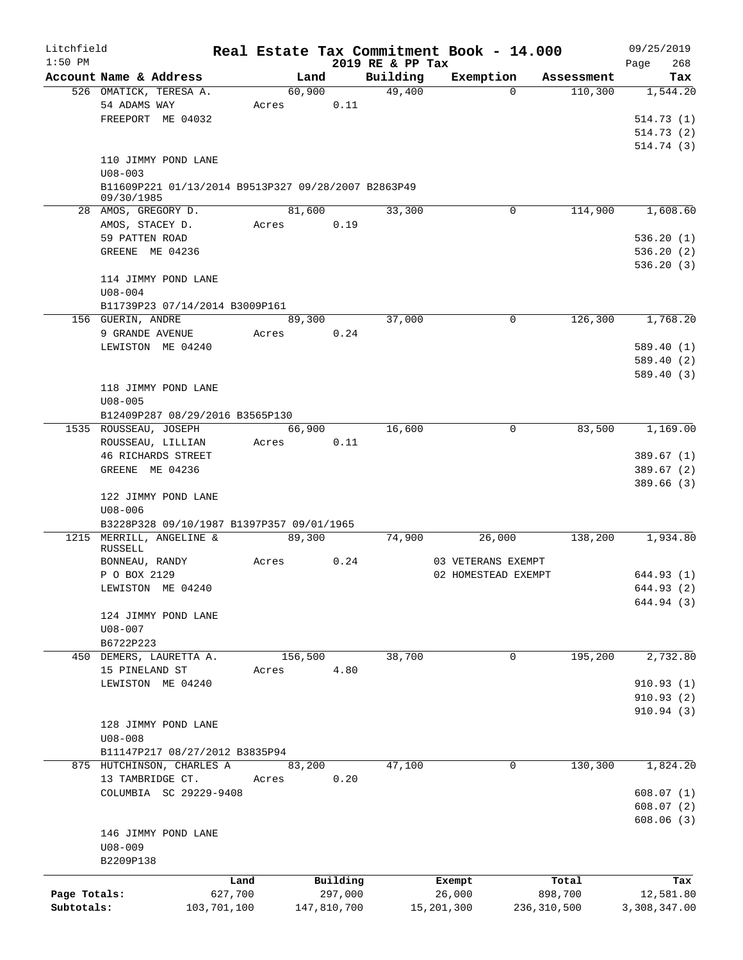| Litchfield   |                                                                   |             |         |             |                              | Real Estate Tax Commitment Book - 14.000 |             | 09/25/2019         |
|--------------|-------------------------------------------------------------------|-------------|---------|-------------|------------------------------|------------------------------------------|-------------|--------------------|
| $1:50$ PM    | Account Name & Address                                            |             | Land    |             | 2019 RE & PP Tax<br>Building | Exemption                                | Assessment  | 268<br>Page<br>Tax |
|              | 526 OMATICK, TERESA A.                                            |             | 60,900  |             | 49,400                       | $\Omega$                                 | 110,300     | 1,544.20           |
|              | 54 ADAMS WAY                                                      |             | Acres   | 0.11        |                              |                                          |             |                    |
|              | FREEPORT ME 04032                                                 |             |         |             |                              |                                          |             | 514.73(1)          |
|              |                                                                   |             |         |             |                              |                                          |             | 514.73(2)          |
|              |                                                                   |             |         |             |                              |                                          |             | 514.74(3)          |
|              | 110 JIMMY POND LANE                                               |             |         |             |                              |                                          |             |                    |
|              | $U08 - 003$                                                       |             |         |             |                              |                                          |             |                    |
|              | B11609P221 01/13/2014 B9513P327 09/28/2007 B2863P49<br>09/30/1985 |             |         |             |                              |                                          |             |                    |
|              | 28 AMOS, GREGORY D.                                               |             | 81,600  |             | 33,300                       | 0                                        | 114,900     | 1,608.60           |
|              | AMOS, STACEY D.                                                   |             | Acres   | 0.19        |                              |                                          |             |                    |
|              | 59 PATTEN ROAD                                                    |             |         |             |                              |                                          |             | 536.20(1)          |
|              | GREENE ME 04236                                                   |             |         |             |                              |                                          |             | 536.20(2)          |
|              |                                                                   |             |         |             |                              |                                          |             | 536.20(3)          |
|              | 114 JIMMY POND LANE                                               |             |         |             |                              |                                          |             |                    |
|              | $U08 - 004$                                                       |             |         |             |                              |                                          |             |                    |
|              | B11739P23 07/14/2014 B3009P161                                    |             |         |             |                              |                                          |             |                    |
|              | 156 GUERIN, ANDRE                                                 |             |         | 89,300      | 37,000                       | 0                                        | 126,300     | 1,768.20           |
|              | 9 GRANDE AVENUE                                                   |             | Acres   | 0.24        |                              |                                          |             |                    |
|              | LEWISTON ME 04240                                                 |             |         |             |                              |                                          |             | 589.40 (1)         |
|              |                                                                   |             |         |             |                              |                                          |             | 589.40 (2)         |
|              |                                                                   |             |         |             |                              |                                          |             | 589.40 (3)         |
|              | 118 JIMMY POND LANE                                               |             |         |             |                              |                                          |             |                    |
|              | $U08 - 005$                                                       |             |         |             |                              |                                          |             |                    |
|              | B12409P287 08/29/2016 B3565P130                                   |             |         |             |                              |                                          |             |                    |
|              | 1535 ROUSSEAU, JOSEPH                                             |             | 66,900  |             | 16,600                       | $\mathbf 0$                              | 83,500      | 1,169.00           |
|              | ROUSSEAU, LILLIAN                                                 |             | Acres   | 0.11        |                              |                                          |             |                    |
|              | <b>46 RICHARDS STREET</b>                                         |             |         |             |                              |                                          |             | 389.67 (1)         |
|              | GREENE ME 04236                                                   |             |         |             |                              |                                          |             | 389.67(2)          |
|              |                                                                   |             |         |             |                              |                                          |             | 389.66(3)          |
|              | 122 JIMMY POND LANE                                               |             |         |             |                              |                                          |             |                    |
|              | $U08 - 006$                                                       |             |         |             |                              |                                          |             |                    |
|              | B3228P328 09/10/1987 B1397P357 09/01/1965                         |             |         |             |                              |                                          |             |                    |
|              | 1215 MERRILL, ANGELINE &                                          |             | 89,300  |             | 74,900                       | 26,000                                   | 138,200     | 1,934.80           |
|              | RUSSELL                                                           |             |         |             |                              |                                          |             |                    |
|              | BONNEAU, RANDY                                                    |             | Acres   | 0.24        |                              | 03 VETERANS EXEMPT                       |             |                    |
|              | P O BOX 2129                                                      |             |         |             |                              | 02 HOMESTEAD EXEMPT                      |             | 644.93 (1)         |
|              | LEWISTON ME 04240                                                 |             |         |             |                              |                                          |             | 644.93 (2)         |
|              |                                                                   |             |         |             |                              |                                          |             | 644.94 (3)         |
|              | 124 JIMMY POND LANE                                               |             |         |             |                              |                                          |             |                    |
|              | $U08 - 007$                                                       |             |         |             |                              |                                          |             |                    |
|              | B6722P223                                                         |             |         |             |                              |                                          |             |                    |
|              | 450 DEMERS, LAURETTA A.                                           |             | 156,500 |             | 38,700                       | 0                                        | 195,200     | 2,732.80           |
|              | 15 PINELAND ST                                                    |             | Acres   | 4.80        |                              |                                          |             |                    |
|              | LEWISTON ME 04240                                                 |             |         |             |                              |                                          |             | 910.93(1)          |
|              |                                                                   |             |         |             |                              |                                          |             | 910.93(2)          |
|              |                                                                   |             |         |             |                              |                                          |             | 910.94(3)          |
|              | 128 JIMMY POND LANE                                               |             |         |             |                              |                                          |             |                    |
|              | $U08 - 008$                                                       |             |         |             |                              |                                          |             |                    |
|              | B11147P217 08/27/2012 B3835P94                                    |             |         |             |                              |                                          |             |                    |
|              | 875 HUTCHINSON, CHARLES A                                         |             | 83,200  |             | 47,100                       | 0                                        | 130,300     | 1,824.20           |
|              | 13 TAMBRIDGE CT.                                                  |             | Acres   | 0.20        |                              |                                          |             |                    |
|              | COLUMBIA SC 29229-9408                                            |             |         |             |                              |                                          |             | 608.07(1)          |
|              |                                                                   |             |         |             |                              |                                          |             | 608.07(2)          |
|              |                                                                   |             |         |             |                              |                                          |             | 608.06(3)          |
|              | 146 JIMMY POND LANE                                               |             |         |             |                              |                                          |             |                    |
|              | $U08 - 009$                                                       |             |         |             |                              |                                          |             |                    |
|              | B2209P138                                                         |             |         |             |                              |                                          |             |                    |
|              |                                                                   | Land        |         | Building    |                              | Exempt                                   | Total       | Tax                |
| Page Totals: |                                                                   | 627,700     |         | 297,000     |                              | 26,000                                   | 898,700     | 12,581.80          |
| Subtotals:   |                                                                   | 103,701,100 |         | 147,810,700 |                              | 15,201,300                               | 236,310,500 | 3,308,347.00       |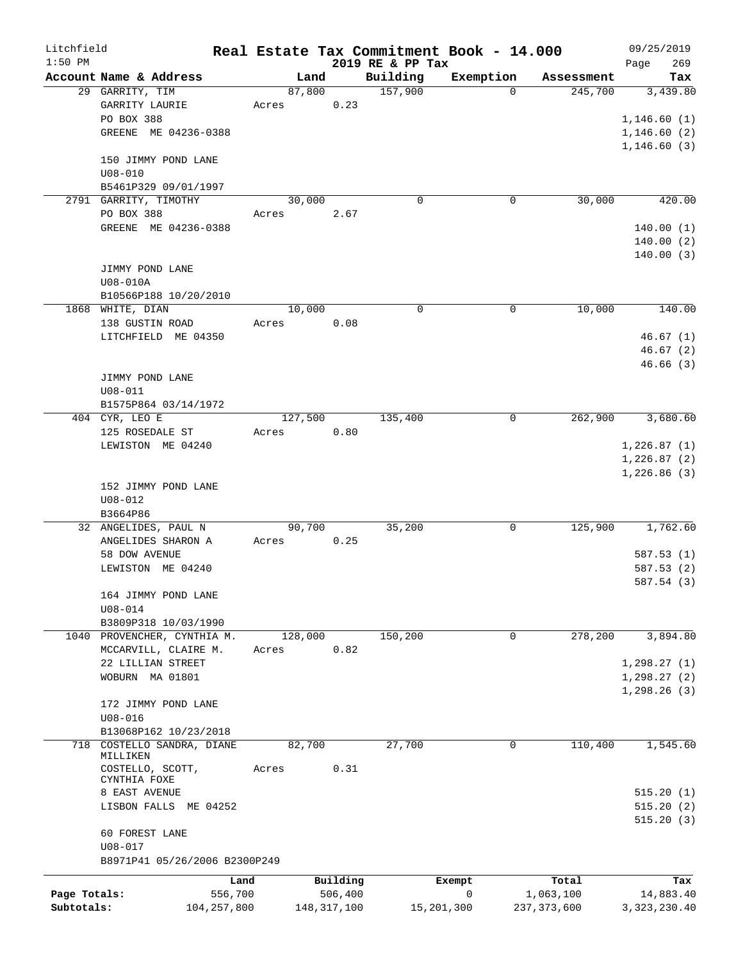| Litchfield   |                                    |         |               |                  | Real Estate Tax Commitment Book - 14.000 |               | 09/25/2019                   |
|--------------|------------------------------------|---------|---------------|------------------|------------------------------------------|---------------|------------------------------|
| $1:50$ PM    |                                    |         |               | 2019 RE & PP Tax |                                          |               | 269<br>Page                  |
|              | Account Name & Address             | Land    |               | Building         | Exemption                                | Assessment    | Tax                          |
|              | 29 GARRITY, TIM                    | 87,800  |               | 157,900          | $\Omega$                                 | 245,700       | 3,439.80                     |
|              | GARRITY LAURIE                     | Acres   | 0.23          |                  |                                          |               |                              |
|              | PO BOX 388                         |         |               |                  |                                          |               | 1,146.60(1)                  |
|              | GREENE<br>ME 04236-0388            |         |               |                  |                                          |               | 1, 146.60(2)                 |
|              |                                    |         |               |                  |                                          |               | 1,146.60(3)                  |
|              | 150 JIMMY POND LANE                |         |               |                  |                                          |               |                              |
|              | $U08 - 010$                        |         |               |                  |                                          |               |                              |
|              | B5461P329 09/01/1997               |         |               |                  |                                          |               |                              |
|              | 2791 GARRITY, TIMOTHY              | 30,000  |               | $\mathbf 0$      | 0                                        | 30,000        | 420.00                       |
|              | PO BOX 388                         | Acres   | 2.67          |                  |                                          |               |                              |
|              | GREENE ME 04236-0388               |         |               |                  |                                          |               | 140.00(1)                    |
|              |                                    |         |               |                  |                                          |               | 140.00(2)                    |
|              |                                    |         |               |                  |                                          |               | 140.00(3)                    |
|              | JIMMY POND LANE                    |         |               |                  |                                          |               |                              |
|              | U08-010A                           |         |               |                  |                                          |               |                              |
|              | B10566P188 10/20/2010              |         |               |                  |                                          |               |                              |
|              | 1868 WHITE, DIAN                   | 10,000  |               | $\mathbf 0$      | 0                                        | 10,000        | 140.00                       |
|              | 138 GUSTIN ROAD                    | Acres   | 0.08          |                  |                                          |               |                              |
|              | LITCHFIELD ME 04350                |         |               |                  |                                          |               | 46.67(1)                     |
|              |                                    |         |               |                  |                                          |               | 46.67(2)                     |
|              |                                    |         |               |                  |                                          |               | 46.66 (3)                    |
|              | JIMMY POND LANE                    |         |               |                  |                                          |               |                              |
|              | $U08 - 011$                        |         |               |                  |                                          |               |                              |
|              | B1575P864 03/14/1972               |         |               |                  |                                          |               |                              |
|              | 404 CYR, LEO E                     | 127,500 |               | 135,400          | 0                                        | 262,900       | 3,680.60                     |
|              | 125 ROSEDALE ST                    | Acres   | 0.80          |                  |                                          |               |                              |
|              | LEWISTON ME 04240                  |         |               |                  |                                          |               | 1,226.87(1)                  |
|              |                                    |         |               |                  |                                          |               | 1,226.87(2)                  |
|              |                                    |         |               |                  |                                          |               | 1,226.86(3)                  |
|              | 152 JIMMY POND LANE                |         |               |                  |                                          |               |                              |
|              | $U08 - 012$                        |         |               |                  |                                          |               |                              |
|              | B3664P86                           |         |               |                  |                                          |               |                              |
|              | 32 ANGELIDES, PAUL N               | 90,700  |               | 35,200           | 0                                        | 125,900       | 1,762.60                     |
|              | ANGELIDES SHARON A                 | Acres   | 0.25          |                  |                                          |               |                              |
|              | 58 DOW AVENUE                      |         |               |                  |                                          |               | 587.53(1)                    |
|              | LEWISTON ME 04240                  |         |               |                  |                                          |               | 587.53 (2)                   |
|              |                                    |         |               |                  |                                          |               | 587.54 (3)                   |
|              | 164 JIMMY POND LANE                |         |               |                  |                                          |               |                              |
|              | $U08 - 014$                        |         |               |                  |                                          |               |                              |
|              | B3809P318 10/03/1990               |         |               |                  |                                          |               |                              |
|              | 1040 PROVENCHER, CYNTHIA M.        | 128,000 |               | 150,200          | $\mathbf 0$                              | 278,200       | 3,894.80                     |
|              | MCCARVILL, CLAIRE M.               | Acres   | 0.82          |                  |                                          |               |                              |
|              | 22 LILLIAN STREET                  |         |               |                  |                                          |               | 1, 298.27(1)                 |
|              | WOBURN MA 01801                    |         |               |                  |                                          |               |                              |
|              |                                    |         |               |                  |                                          |               | 1, 298.27(2)<br>1, 298.26(3) |
|              |                                    |         |               |                  |                                          |               |                              |
|              | 172 JIMMY POND LANE                |         |               |                  |                                          |               |                              |
|              | $U08 - 016$                        |         |               |                  |                                          |               |                              |
|              | B13068P162 10/23/2018              | 82,700  |               |                  |                                          |               |                              |
| 718          | COSTELLO SANDRA, DIANE<br>MILLIKEN |         |               | 27,700           | 0                                        | 110,400       | 1,545.60                     |
|              | COSTELLO, SCOTT,                   | Acres   | 0.31          |                  |                                          |               |                              |
|              | CYNTHIA FOXE                       |         |               |                  |                                          |               |                              |
|              | 8 EAST AVENUE                      |         |               |                  |                                          |               | 515.20(1)                    |
|              | LISBON FALLS ME 04252              |         |               |                  |                                          |               | 515.20(2)                    |
|              |                                    |         |               |                  |                                          |               | 515.20(3)                    |
|              | 60 FOREST LANE                     |         |               |                  |                                          |               |                              |
|              | $U08 - 017$                        |         |               |                  |                                          |               |                              |
|              | B8971P41 05/26/2006 B2300P249      |         |               |                  |                                          |               |                              |
|              |                                    |         |               |                  |                                          |               |                              |
|              |                                    | Land    | Building      |                  | Exempt                                   | Total         | Tax                          |
| Page Totals: | 556,700                            |         | 506,400       |                  | 0                                        | 1,063,100     | 14,883.40                    |
| Subtotals:   | 104, 257, 800                      |         | 148, 317, 100 |                  | 15,201,300                               | 237, 373, 600 | 3, 323, 230.40               |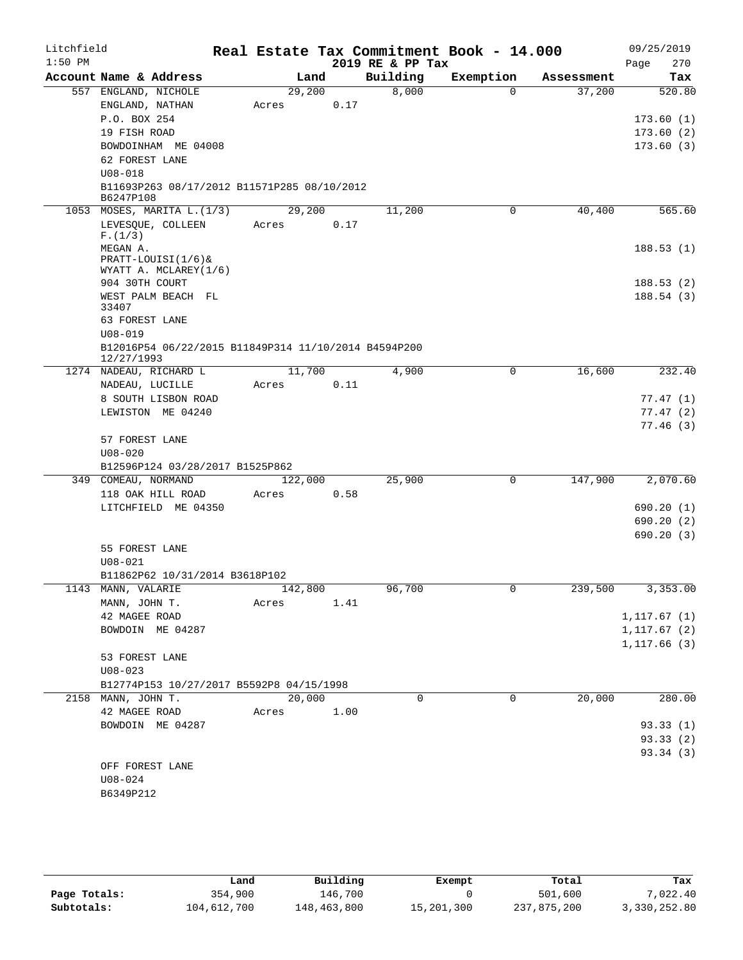| Litchfield |                                                                    |         |      | Real Estate Tax Commitment Book - 14.000 |           |            | 09/25/2019              |
|------------|--------------------------------------------------------------------|---------|------|------------------------------------------|-----------|------------|-------------------------|
| $1:50$ PM  |                                                                    |         |      | 2019 RE & PP Tax                         |           |            | Page<br>270             |
|            | Account Name & Address                                             | Land    |      | Building                                 | Exemption | Assessment | Tax                     |
|            | 557 ENGLAND, NICHOLE                                               | 29,200  |      | 8,000                                    | $\Omega$  | 37,200     | 520.80                  |
|            | $ENGLAND$ , $NATHAN$                                               | Acres   | 0.17 |                                          |           |            |                         |
|            | P.O. BOX 254                                                       |         |      |                                          |           |            | 173.60(1)               |
|            | 19 FISH ROAD                                                       |         |      |                                          |           |            | 173.60(2)               |
|            | BOWDOINHAM ME 04008                                                |         |      |                                          |           |            | 173.60(3)               |
|            | 62 FOREST LANE<br>$U08 - 018$                                      |         |      |                                          |           |            |                         |
|            | B11693P263 08/17/2012 B11571P285 08/10/2012                        |         |      |                                          |           |            |                         |
|            | B6247P108                                                          |         |      |                                          |           |            |                         |
|            | 1053 MOSES, MARITA L. (1/3)                                        | 29,200  |      | 11,200                                   | 0         | 40,400     | 565.60                  |
|            | LEVESQUE, COLLEEN                                                  | Acres   | 0.17 |                                          |           |            |                         |
|            | F.(1/3)                                                            |         |      |                                          |           |            |                         |
|            | MEGAN A.<br>PRATT-LOUISI(1/6)&                                     |         |      |                                          |           |            | 188.53(1)               |
|            | WYATT A. MCLAREY(1/6)                                              |         |      |                                          |           |            |                         |
|            | 904 30TH COURT                                                     |         |      |                                          |           |            | 188.53(2)               |
|            | WEST PALM BEACH FL                                                 |         |      |                                          |           |            | 188.54(3)               |
|            | 33407                                                              |         |      |                                          |           |            |                         |
|            | 63 FOREST LANE                                                     |         |      |                                          |           |            |                         |
|            | $U08 - 019$                                                        |         |      |                                          |           |            |                         |
|            | B12016P54 06/22/2015 B11849P314 11/10/2014 B4594P200<br>12/27/1993 |         |      |                                          |           |            |                         |
|            | 1274 NADEAU, RICHARD L                                             | 11,700  |      | 4,900                                    | 0         | 16,600     | 232.40                  |
|            | NADEAU, LUCILLE                                                    | Acres   | 0.11 |                                          |           |            |                         |
|            | 8 SOUTH LISBON ROAD                                                |         |      |                                          |           |            | 77.47 (1)               |
|            | LEWISTON ME 04240                                                  |         |      |                                          |           |            | 77.47 (2)               |
|            |                                                                    |         |      |                                          |           |            | 77.46(3)                |
|            | 57 FOREST LANE                                                     |         |      |                                          |           |            |                         |
|            | $U08 - 020$                                                        |         |      |                                          |           |            |                         |
|            | B12596P124 03/28/2017 B1525P862                                    |         |      |                                          |           |            |                         |
|            | 349 COMEAU, NORMAND                                                | 122,000 |      | 25,900                                   | 0         | 147,900    | 2,070.60                |
|            | 118 OAK HILL ROAD                                                  | Acres   | 0.58 |                                          |           |            |                         |
|            | LITCHFIELD ME 04350                                                |         |      |                                          |           |            | 690.20 (1)<br>690.20(2) |
|            |                                                                    |         |      |                                          |           |            | 690.20 (3)              |
|            | 55 FOREST LANE                                                     |         |      |                                          |           |            |                         |
|            | $U08 - 021$                                                        |         |      |                                          |           |            |                         |
|            | B11862P62 10/31/2014 B3618P102                                     |         |      |                                          |           |            |                         |
|            | 1143 MANN, VALARIE                                                 | 142,800 |      | 96,700                                   | 0         | 239,500    | 3,353.00                |
|            | MANN, JOHN T.                                                      | Acres   | 1.41 |                                          |           |            |                         |
|            | 42 MAGEE ROAD                                                      |         |      |                                          |           |            | 1, 117.67(1)            |
|            | BOWDOIN ME 04287                                                   |         |      |                                          |           |            | 1, 117.67(2)            |
|            |                                                                    |         |      |                                          |           |            | 1, 117.66(3)            |
|            | 53 FOREST LANE                                                     |         |      |                                          |           |            |                         |
|            | $U08 - 023$                                                        |         |      |                                          |           |            |                         |
|            | B12774P153 10/27/2017 B5592P8 04/15/1998                           |         |      |                                          |           |            |                         |
|            | 2158 MANN, JOHN T.                                                 | 20,000  |      | $\Omega$                                 | $\Omega$  | 20,000     | 280.00                  |
|            | 42 MAGEE ROAD                                                      | Acres   | 1.00 |                                          |           |            |                         |
|            | BOWDOIN ME 04287                                                   |         |      |                                          |           |            | 93.33(1)                |
|            |                                                                    |         |      |                                          |           |            | 93.33(2)<br>93.34 (3)   |
|            | OFF FOREST LANE                                                    |         |      |                                          |           |            |                         |
|            | $U08 - 024$                                                        |         |      |                                          |           |            |                         |
|            | B6349P212                                                          |         |      |                                          |           |            |                         |
|            |                                                                    |         |      |                                          |           |            |                         |

|              | Land        | Building    | Exempt     | Total       | Tax          |
|--------------|-------------|-------------|------------|-------------|--------------|
| Page Totals: | 354,900     | 146,700     |            | 501,600     | 7,022.40     |
| Subtotals:   | 104,612,700 | 148,463,800 | 15,201,300 | 237,875,200 | 3,330,252.80 |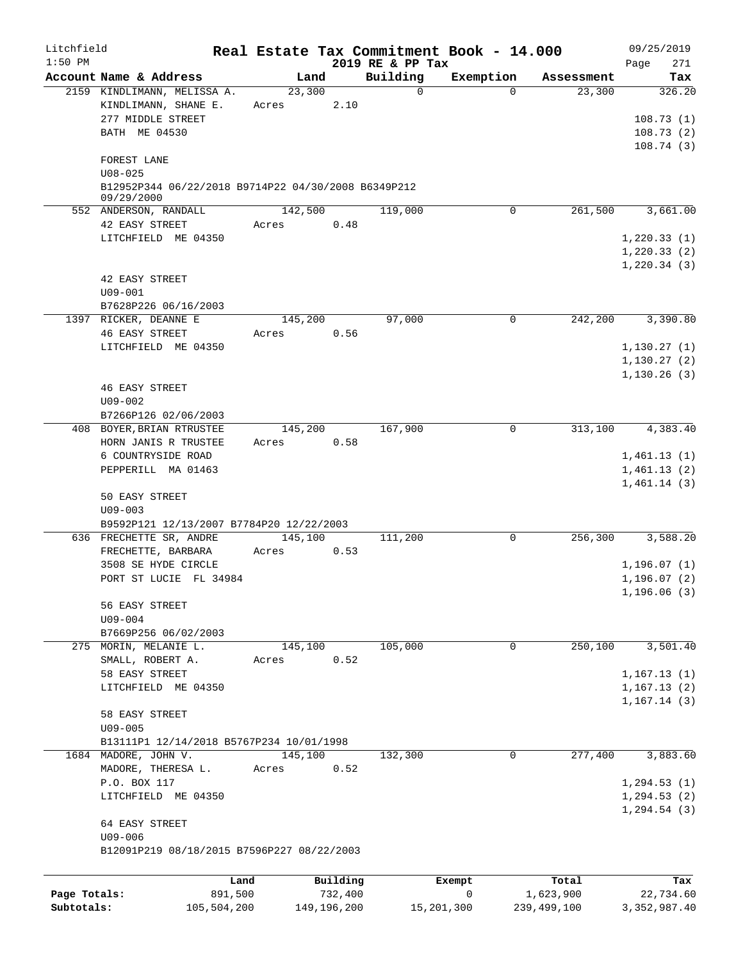| Litchfield<br>$1:50$ PM    |                                                                     |                  |                        | 2019 RE & PP Tax | Real Estate Tax Commitment Book - 14.000 |                          | 09/25/2019<br>271<br>Page                    |
|----------------------------|---------------------------------------------------------------------|------------------|------------------------|------------------|------------------------------------------|--------------------------|----------------------------------------------|
|                            | Account Name & Address                                              | Land             |                        | Building         | Exemption                                | Assessment               | Tax                                          |
|                            | 2159 KINDLIMANN, MELISSA A.<br>KINDLIMANN, SHANE E.                 | 23,300<br>Acres  | 2.10                   | 0                | $\Omega$                                 | 23,300                   | 326.20                                       |
|                            | 277 MIDDLE STREET<br>BATH ME 04530                                  |                  |                        |                  |                                          |                          | 108.73(1)<br>108.73(2)<br>108.74(3)          |
|                            | FOREST LANE<br>$U08 - 025$                                          |                  |                        |                  |                                          |                          |                                              |
|                            | B12952P344 06/22/2018 B9714P22 04/30/2008 B6349P212<br>09/29/2000   |                  |                        |                  |                                          |                          |                                              |
|                            | 552 ANDERSON, RANDALL                                               | 142,500          |                        | 119,000          | $\mathbf 0$                              | 261,500                  | 3,661.00                                     |
|                            | 42 EASY STREET<br>LITCHFIELD ME 04350                               | Acres            | 0.48                   |                  |                                          |                          | 1, 220.33(1)<br>1, 220.33(2)<br>1, 220.34(3) |
|                            | 42 EASY STREET<br>$U09 - 001$                                       |                  |                        |                  |                                          |                          |                                              |
|                            | B7628P226 06/16/2003<br>1397 RICKER, DEANNE E                       | 145,200          |                        | 97,000           | 0                                        | 242,200                  | 3,390.80                                     |
|                            | <b>46 EASY STREET</b>                                               | Acres            | 0.56                   |                  |                                          |                          |                                              |
|                            | LITCHFIELD ME 04350                                                 |                  |                        |                  |                                          |                          | 1, 130.27(1)<br>1, 130.27(2)<br>1,130.26(3)  |
|                            | <b>46 EASY STREET</b>                                               |                  |                        |                  |                                          |                          |                                              |
|                            | $U09 - 002$                                                         |                  |                        |                  |                                          |                          |                                              |
|                            | B7266P126 02/06/2003<br>408 BOYER, BRIAN RTRUSTEE                   | 145,200          |                        | 167,900          | 0                                        | 313,100                  | $\overline{4,383.40}$                        |
|                            | HORN JANIS R TRUSTEE                                                | Acres            | 0.58                   |                  |                                          |                          |                                              |
|                            | 6 COUNTRYSIDE ROAD<br>PEPPERILL MA 01463                            |                  |                        |                  |                                          |                          | 1,461.13(1)<br>1,461.13(2)<br>1,461.14(3)    |
|                            | 50 EASY STREET<br>$U09 - 003$                                       |                  |                        |                  |                                          |                          |                                              |
|                            | B9592P121 12/13/2007 B7784P20 12/22/2003<br>636 FRECHETTE SR, ANDRE | 145,100          |                        | 111,200          | 0                                        | 256,300                  | 3,588.20                                     |
|                            | FRECHETTE, BARBARA                                                  | Acres            | 0.53                   |                  |                                          |                          |                                              |
|                            | 3508 SE HYDE CIRCLE<br>PORT ST LUCIE FL 34984                       |                  |                        |                  |                                          |                          | 1,196.07(1)<br>1, 196.07(2)<br>1, 196.06(3)  |
|                            | 56 EASY STREET<br>U09-004                                           |                  |                        |                  |                                          |                          |                                              |
|                            | B7669P256 06/02/2003                                                |                  |                        |                  |                                          |                          |                                              |
|                            | 275 MORIN, MELANIE L.<br>SMALL, ROBERT A.                           | 145,100<br>Acres | 0.52                   | 105,000          | 0                                        | 250,100                  | 3,501.40                                     |
|                            | 58 EASY STREET<br>LITCHFIELD ME 04350                               |                  |                        |                  |                                          |                          | 1,167.13(1)<br>1, 167.13(2)<br>1,167.14(3)   |
|                            | 58 EASY STREET<br>$U09 - 005$                                       |                  |                        |                  |                                          |                          |                                              |
|                            | B13111P1 12/14/2018 B5767P234 10/01/1998                            |                  |                        |                  | $\mathbf 0$                              | 277,400                  |                                              |
|                            | 1684 MADORE, JOHN V.<br>MADORE, THERESA L.                          | 145,100<br>Acres | 0.52                   | 132,300          |                                          |                          | 3,883.60                                     |
|                            | P.O. BOX 117<br>LITCHFIELD ME 04350                                 |                  |                        |                  |                                          |                          | 1, 294.53(1)<br>1, 294.53(2)<br>1, 294.54(3) |
|                            | 64 EASY STREET<br>$U09 - 006$                                       |                  |                        |                  |                                          |                          |                                              |
|                            | B12091P219 08/18/2015 B7596P227 08/22/2003                          |                  |                        |                  |                                          |                          |                                              |
|                            | Land                                                                |                  | Building               |                  | Exempt                                   | Total                    | Tax                                          |
| Page Totals:<br>Subtotals: | 891,500<br>105,504,200                                              |                  | 732,400<br>149,196,200 |                  | 0<br>15,201,300                          | 1,623,900<br>239,499,100 | 22,734.60<br>3, 352, 987.40                  |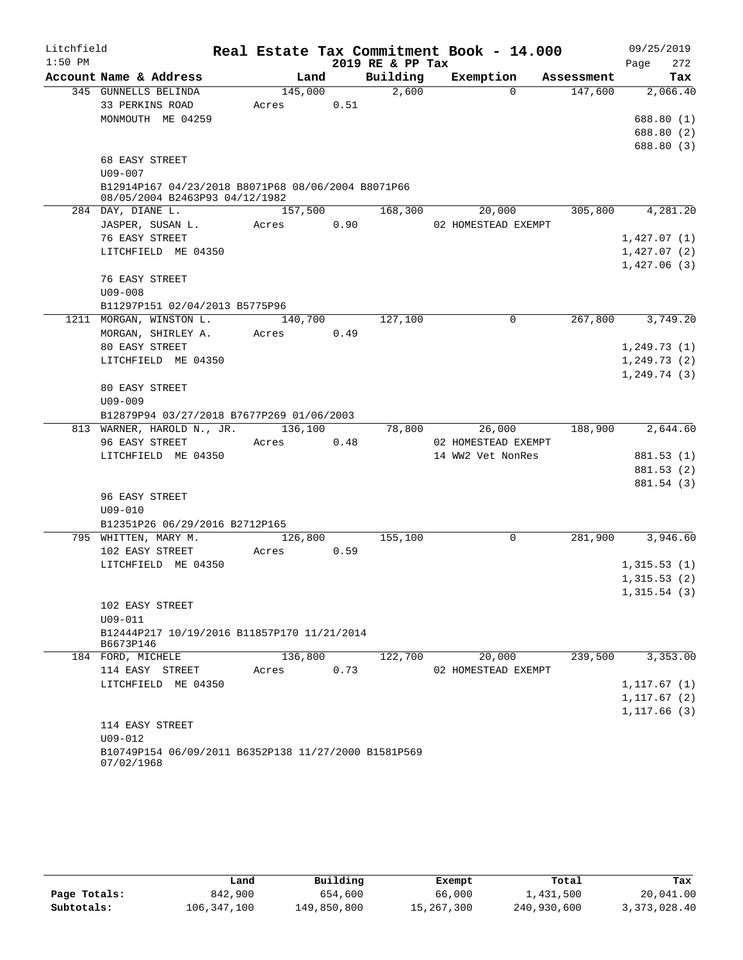| Litchfield |                                                                                      |         |      | Real Estate Tax Commitment Book - 14.000 |                     |             |            | 09/25/2019   |
|------------|--------------------------------------------------------------------------------------|---------|------|------------------------------------------|---------------------|-------------|------------|--------------|
| $1:50$ PM  |                                                                                      |         |      | 2019 RE & PP Tax                         |                     |             |            | 272<br>Page  |
|            | Account Name & Address                                                               | Land    |      | Building                                 |                     | Exemption   | Assessment | Tax          |
|            | 345 GUNNELLS BELINDA                                                                 | 145,000 |      | 2,600                                    |                     | $\Omega$    | 147,600    | 2,066.40     |
|            | 33 PERKINS ROAD                                                                      | Acres   | 0.51 |                                          |                     |             |            |              |
|            | MONMOUTH ME 04259                                                                    |         |      |                                          |                     |             |            | 688.80 (1)   |
|            |                                                                                      |         |      |                                          |                     |             |            | 688.80 (2)   |
|            |                                                                                      |         |      |                                          |                     |             |            | 688.80 (3)   |
|            | 68 EASY STREET                                                                       |         |      |                                          |                     |             |            |              |
|            | $U09 - 007$                                                                          |         |      |                                          |                     |             |            |              |
|            | B12914P167 04/23/2018 B8071P68 08/06/2004 B8071P66<br>08/05/2004 B2463P93 04/12/1982 |         |      |                                          |                     |             |            |              |
|            | 284 DAY, DIANE L.                                                                    | 157,500 |      | 168,300                                  |                     | 20,000      | 305,800    | 4,281.20     |
|            | JASPER, SUSAN L.                                                                     | Acres   | 0.90 |                                          | 02 HOMESTEAD EXEMPT |             |            |              |
|            | 76 EASY STREET                                                                       |         |      |                                          |                     |             |            | 1,427.07(1)  |
|            | LITCHFIELD ME 04350                                                                  |         |      |                                          |                     |             |            | 1,427.07(2)  |
|            |                                                                                      |         |      |                                          |                     |             |            | 1,427.06(3)  |
|            | 76 EASY STREET                                                                       |         |      |                                          |                     |             |            |              |
|            | $U09 - 008$                                                                          |         |      |                                          |                     |             |            |              |
|            | B11297P151 02/04/2013 B5775P96                                                       |         |      |                                          |                     |             |            |              |
|            | 1211 MORGAN, WINSTON L.                                                              | 140,700 |      | 127,100                                  |                     | $\mathbf 0$ | 267,800    | 3,749.20     |
|            | MORGAN, SHIRLEY A.                                                                   | Acres   | 0.49 |                                          |                     |             |            |              |
|            | 80 EASY STREET                                                                       |         |      |                                          |                     |             |            | 1, 249.73(1) |
|            | LITCHFIELD ME 04350                                                                  |         |      |                                          |                     |             |            | 1, 249.73(2) |
|            |                                                                                      |         |      |                                          |                     |             |            | 1,249.74(3)  |
|            | 80 EASY STREET                                                                       |         |      |                                          |                     |             |            |              |
|            | $U09 - 009$                                                                          |         |      |                                          |                     |             |            |              |
|            | B12879P94 03/27/2018 B7677P269 01/06/2003                                            |         |      |                                          |                     |             |            |              |
|            | 813 WARNER, HAROLD N., JR. 136,100                                                   |         |      | 78,800                                   |                     | 26,000      | 188,900    | 2,644.60     |
|            | 96 EASY STREET                                                                       | Acres   | 0.48 |                                          | 02 HOMESTEAD EXEMPT |             |            |              |
|            | LITCHFIELD ME 04350                                                                  |         |      |                                          | 14 WW2 Vet NonRes   |             |            | 881.53 (1)   |
|            |                                                                                      |         |      |                                          |                     |             |            | 881.53 (2)   |
|            |                                                                                      |         |      |                                          |                     |             |            | 881.54 (3)   |
|            | 96 EASY STREET                                                                       |         |      |                                          |                     |             |            |              |
|            | $U09 - 010$                                                                          |         |      |                                          |                     |             |            |              |
|            | B12351P26 06/29/2016 B2712P165                                                       |         |      |                                          |                     |             |            |              |
|            | 795 WHITTEN, MARY M.                                                                 | 126,800 |      | 155,100                                  |                     | $\mathbf 0$ | 281,900    | 3,946.60     |
|            | 102 EASY STREET                                                                      | Acres   | 0.59 |                                          |                     |             |            |              |
|            | LITCHFIELD ME 04350                                                                  |         |      |                                          |                     |             |            | 1,315.53(1)  |
|            |                                                                                      |         |      |                                          |                     |             |            | 1,315.53(2)  |
|            |                                                                                      |         |      |                                          |                     |             |            | 1,315.54(3)  |
|            | 102 EASY STREET<br>$U09 - 011$                                                       |         |      |                                          |                     |             |            |              |
|            | B12444P217 10/19/2016 B11857P170 11/21/2014                                          |         |      |                                          |                     |             |            |              |
|            | B6673P146                                                                            |         |      |                                          |                     |             |            |              |
|            | 184 FORD, MICHELE                                                                    | 136,800 |      | 122,700                                  |                     | 20,000      | 239,500    | 3,353.00     |
|            | 114 EASY STREET                                                                      | Acres   | 0.73 |                                          | 02 HOMESTEAD EXEMPT |             |            |              |
|            | LITCHFIELD ME 04350                                                                  |         |      |                                          |                     |             |            | 1,117.67(1)  |
|            |                                                                                      |         |      |                                          |                     |             |            | 1,117.67(2)  |
|            |                                                                                      |         |      |                                          |                     |             |            | 1,117.66(3)  |
|            | 114 EASY STREET<br>$U09 - 012$                                                       |         |      |                                          |                     |             |            |              |
|            | B10749P154 06/09/2011 B6352P138 11/27/2000 B1581P569                                 |         |      |                                          |                     |             |            |              |
|            | 07/02/1968                                                                           |         |      |                                          |                     |             |            |              |

|              | Land        | Building    | Exempt     | Total       | Tax          |
|--------------|-------------|-------------|------------|-------------|--------------|
| Page Totals: | 842,900     | 654,600     | 66,000     | 1,431,500   | 20,041.00    |
| Subtotals:   | 106,347,100 | 149,850,800 | 15,267,300 | 240,930,600 | 3,373,028.40 |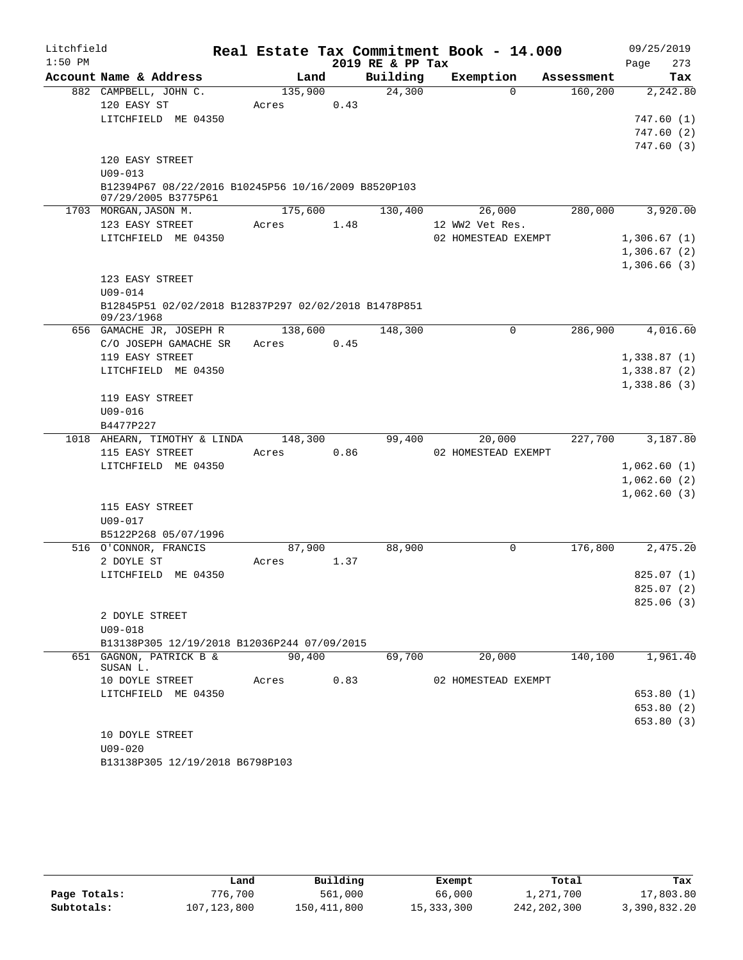| Litchfield |                                                                    |         |      |                  | Real Estate Tax Commitment Book - 14.000 |            | 09/25/2019  |
|------------|--------------------------------------------------------------------|---------|------|------------------|------------------------------------------|------------|-------------|
| $1:50$ PM  |                                                                    |         |      | 2019 RE & PP Tax |                                          |            | Page<br>273 |
|            | Account Name & Address                                             | Land    |      | Building         | Exemption                                | Assessment | Tax         |
|            | 882 CAMPBELL, JOHN C.                                              | 135,900 |      | 24,300           | $\Omega$                                 | 160,200    | 2,242.80    |
|            | 120 EASY ST                                                        | Acres   | 0.43 |                  |                                          |            |             |
|            | LITCHFIELD ME 04350                                                |         |      |                  |                                          |            | 747.60 (1)  |
|            |                                                                    |         |      |                  |                                          |            | 747.60(2)   |
|            |                                                                    |         |      |                  |                                          |            | 747.60 (3)  |
|            | 120 EASY STREET                                                    |         |      |                  |                                          |            |             |
|            | $U09 - 013$<br>B12394P67 08/22/2016 B10245P56 10/16/2009 B8520P103 |         |      |                  |                                          |            |             |
|            | 07/29/2005 B3775P61                                                |         |      |                  |                                          |            |             |
|            | 1703 MORGAN, JASON M.                                              | 175,600 |      | 130,400          | 26,000                                   | 280,000    | 3,920.00    |
|            | 123 EASY STREET                                                    | Acres   | 1.48 |                  | 12 WW2 Vet Res.                          |            |             |
|            | LITCHFIELD ME 04350                                                |         |      |                  | 02 HOMESTEAD EXEMPT                      |            | 1,306.67(1) |
|            |                                                                    |         |      |                  |                                          |            | 1,306.67(2) |
|            |                                                                    |         |      |                  |                                          |            | 1,306.66(3) |
|            | 123 EASY STREET                                                    |         |      |                  |                                          |            |             |
|            | $U09 - 014$                                                        |         |      |                  |                                          |            |             |
|            | B12845P51 02/02/2018 B12837P297 02/02/2018 B1478P851               |         |      |                  |                                          |            |             |
|            | 09/23/1968                                                         |         |      |                  |                                          |            |             |
|            | 656 GAMACHE JR, JOSEPH R                                           | 138,600 |      | 148,300          | $\mathbf 0$                              | 286,900    | 4,016.60    |
|            | C/O JOSEPH GAMACHE SR                                              | Acres   | 0.45 |                  |                                          |            |             |
|            | 119 EASY STREET                                                    |         |      |                  |                                          |            | 1,338.87(1) |
|            | LITCHFIELD ME 04350                                                |         |      |                  |                                          |            | 1,338.87(2) |
|            |                                                                    |         |      |                  |                                          |            | 1,338.86(3) |
|            | 119 EASY STREET<br>$U09 - 016$                                     |         |      |                  |                                          |            |             |
|            | B4477P227                                                          |         |      |                  |                                          |            |             |
|            | 1018 AHEARN, TIMOTHY & LINDA                                       | 148,300 |      | 99,400           | 20,000                                   | 227,700    | 3,187.80    |
|            | 115 EASY STREET                                                    | Acres   | 0.86 |                  | 02 HOMESTEAD EXEMPT                      |            |             |
|            | LITCHFIELD ME 04350                                                |         |      |                  |                                          |            | 1,062.60(1) |
|            |                                                                    |         |      |                  |                                          |            | 1,062.60(2) |
|            |                                                                    |         |      |                  |                                          |            | 1,062.60(3) |
|            | 115 EASY STREET                                                    |         |      |                  |                                          |            |             |
|            | U09-017                                                            |         |      |                  |                                          |            |             |
|            | B5122P268 05/07/1996                                               |         |      |                  |                                          |            |             |
|            | 516 O'CONNOR, FRANCIS                                              | 87,900  |      | 88,900           | 0                                        | 176,800    | 2,475.20    |
|            | 2 DOYLE ST                                                         | Acres   | 1.37 |                  |                                          |            |             |
|            | LITCHFIELD ME 04350                                                |         |      |                  |                                          |            | 825.07 (1)  |
|            |                                                                    |         |      |                  |                                          |            | 825.07 (2)  |
|            |                                                                    |         |      |                  |                                          |            | 825.06(3)   |
|            | 2 DOYLE STREET                                                     |         |      |                  |                                          |            |             |
|            | $U09 - 018$                                                        |         |      |                  |                                          |            |             |
|            | B13138P305 12/19/2018 B12036P244 07/09/2015                        |         |      |                  |                                          |            |             |
|            | 651 GAGNON, PATRICK B &<br>SUSAN L.                                | 90,400  |      | 69,700           | 20,000                                   | 140,100    | 1,961.40    |
|            | 10 DOYLE STREET                                                    | Acres   | 0.83 |                  | 02 HOMESTEAD EXEMPT                      |            |             |
|            | LITCHFIELD ME 04350                                                |         |      |                  |                                          |            | 653.80(1)   |
|            |                                                                    |         |      |                  |                                          |            | 653.80 (2)  |
|            |                                                                    |         |      |                  |                                          |            | 653.80(3)   |
|            | 10 DOYLE STREET                                                    |         |      |                  |                                          |            |             |
|            | $U09 - 020$                                                        |         |      |                  |                                          |            |             |
|            | B13138P305 12/19/2018 B6798P103                                    |         |      |                  |                                          |            |             |

|              | Land        | Building    | Exempt       | Total       | Tax          |
|--------------|-------------|-------------|--------------|-------------|--------------|
| Page Totals: | 776,700     | 561,000     | 66,000       | 1,271,700   | 17,803.80    |
| Subtotals:   | 107,123,800 | 150,411,800 | 15, 333, 300 | 242,202,300 | 3,390,832.20 |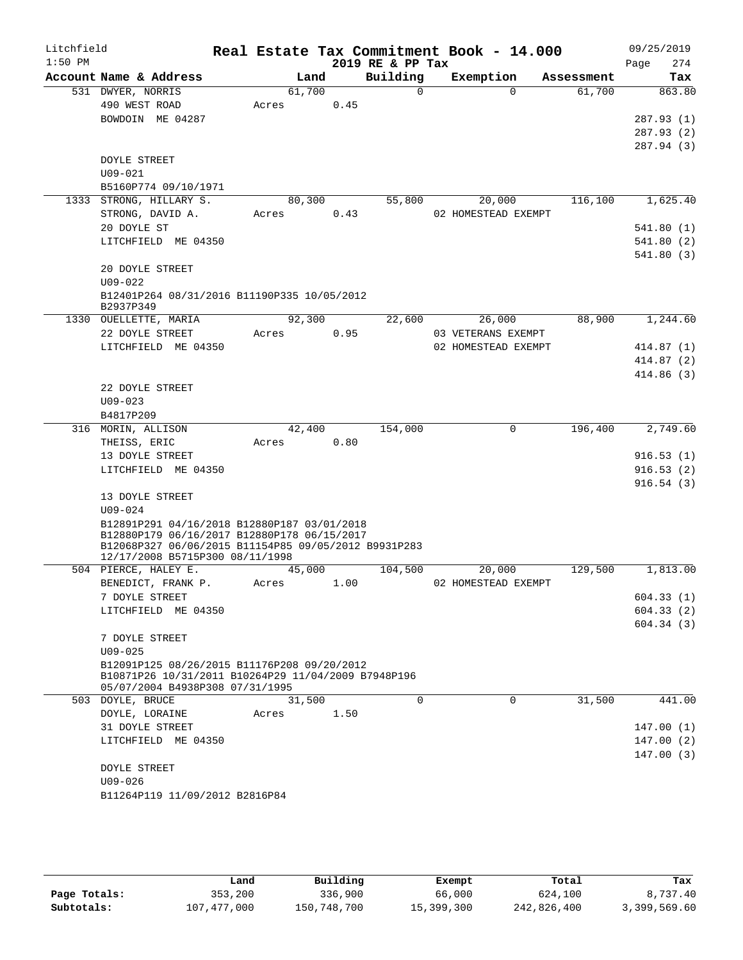| Litchfield<br>$1:50$ PM |                                                                                                                                                                                       |                 |      | 2019 RE & PP Tax | Real Estate Tax Commitment Book - 14.000 |            | 09/25/2019<br>274<br>Page |
|-------------------------|---------------------------------------------------------------------------------------------------------------------------------------------------------------------------------------|-----------------|------|------------------|------------------------------------------|------------|---------------------------|
|                         | Account Name & Address                                                                                                                                                                | Land            |      | Building         | Exemption                                | Assessment | Tax                       |
|                         | 531 DWYER, NORRIS                                                                                                                                                                     | 61,700          |      | $\Omega$         | $\Omega$                                 | 61,700     | 863.80                    |
|                         | 490 WEST ROAD                                                                                                                                                                         | Acres           | 0.45 |                  |                                          |            |                           |
|                         | BOWDOIN ME 04287                                                                                                                                                                      |                 |      |                  |                                          |            | 287.93 (1)                |
|                         |                                                                                                                                                                                       |                 |      |                  |                                          |            | 287.93 (2)                |
|                         |                                                                                                                                                                                       |                 |      |                  |                                          |            | 287.94 (3)                |
|                         | DOYLE STREET                                                                                                                                                                          |                 |      |                  |                                          |            |                           |
|                         | $U09 - 021$                                                                                                                                                                           |                 |      |                  |                                          |            |                           |
|                         | B5160P774 09/10/1971                                                                                                                                                                  |                 |      |                  |                                          |            | 1,625.40                  |
|                         | 1333 STRONG, HILLARY S.<br>STRONG, DAVID A.                                                                                                                                           | 80,300<br>Acres | 0.43 | 55,800           | 20,000<br>02 HOMESTEAD EXEMPT            | 116,100    |                           |
|                         | 20 DOYLE ST                                                                                                                                                                           |                 |      |                  |                                          |            | 541.80 (1)                |
|                         | LITCHFIELD ME 04350                                                                                                                                                                   |                 |      |                  |                                          |            | 541.80(2)                 |
|                         |                                                                                                                                                                                       |                 |      |                  |                                          |            | 541.80(3)                 |
|                         | 20 DOYLE STREET<br>$U09 - 022$                                                                                                                                                        |                 |      |                  |                                          |            |                           |
|                         | B12401P264 08/31/2016 B11190P335 10/05/2012                                                                                                                                           |                 |      |                  |                                          |            |                           |
|                         | B2937P349                                                                                                                                                                             |                 |      |                  |                                          |            |                           |
|                         | 1330 OUELLETTE, MARIA                                                                                                                                                                 | 92,300          |      | 22,600           | 26,000                                   | 88,900     | 1,244.60                  |
|                         | 22 DOYLE STREET                                                                                                                                                                       | Acres           | 0.95 |                  | 03 VETERANS EXEMPT                       |            |                           |
|                         | LITCHFIELD ME 04350                                                                                                                                                                   |                 |      |                  | 02 HOMESTEAD EXEMPT                      |            | 414.87 (1)                |
|                         |                                                                                                                                                                                       |                 |      |                  |                                          |            | 414.87(2)                 |
|                         |                                                                                                                                                                                       |                 |      |                  |                                          |            | 414.86 (3)                |
|                         | 22 DOYLE STREET                                                                                                                                                                       |                 |      |                  |                                          |            |                           |
|                         | $U09 - 023$                                                                                                                                                                           |                 |      |                  |                                          |            |                           |
|                         | B4817P209                                                                                                                                                                             |                 |      |                  | $\mathbf 0$                              |            |                           |
|                         | 316 MORIN, ALLISON<br>THEISS, ERIC                                                                                                                                                    | 42,400<br>Acres | 0.80 | 154,000          |                                          | 196,400    | 2,749.60                  |
|                         | 13 DOYLE STREET                                                                                                                                                                       |                 |      |                  |                                          |            | 916.53(1)                 |
|                         | LITCHFIELD ME 04350                                                                                                                                                                   |                 |      |                  |                                          |            | 916.53(2)                 |
|                         |                                                                                                                                                                                       |                 |      |                  |                                          |            | 916.54(3)                 |
|                         | 13 DOYLE STREET                                                                                                                                                                       |                 |      |                  |                                          |            |                           |
|                         | $U09 - 024$                                                                                                                                                                           |                 |      |                  |                                          |            |                           |
|                         | B12891P291 04/16/2018 B12880P187 03/01/2018<br>B12880P179 06/16/2017 B12880P178 06/15/2017<br>B12068P327 06/06/2015 B11154P85 09/05/2012 B9931P283<br>12/17/2008 B5715P300 08/11/1998 |                 |      |                  |                                          |            |                           |
|                         | 504 PIERCE, HALEY E.                                                                                                                                                                  | 45,000          |      | 104,500          | 20,000                                   | 129,500    | 1,813.00                  |
|                         | BENEDICT, FRANK P.                                                                                                                                                                    | Acres           | 1.00 |                  | 02 HOMESTEAD EXEMPT                      |            |                           |
|                         | 7 DOYLE STREET                                                                                                                                                                        |                 |      |                  |                                          |            | 604.33(1)                 |
|                         | LITCHFIELD ME 04350                                                                                                                                                                   |                 |      |                  |                                          |            | 604.33(2)                 |
|                         |                                                                                                                                                                                       |                 |      |                  |                                          |            | 604.34(3)                 |
|                         | 7 DOYLE STREET                                                                                                                                                                        |                 |      |                  |                                          |            |                           |
|                         | $U09 - 025$<br>B12091P125 08/26/2015 B11176P208 09/20/2012                                                                                                                            |                 |      |                  |                                          |            |                           |
|                         | B10871P26 10/31/2011 B10264P29 11/04/2009 B7948P196<br>05/07/2004 B4938P308 07/31/1995                                                                                                |                 |      |                  |                                          |            |                           |
|                         | 503 DOYLE, BRUCE                                                                                                                                                                      | 31,500          |      | $\Omega$         | $\Omega$                                 | 31,500     | 441.00                    |
|                         | DOYLE, LORAINE                                                                                                                                                                        | Acres           | 1.50 |                  |                                          |            |                           |
|                         | 31 DOYLE STREET                                                                                                                                                                       |                 |      |                  |                                          |            | 147.00(1)                 |
|                         | LITCHFIELD ME 04350                                                                                                                                                                   |                 |      |                  |                                          |            | 147.00(2)                 |
|                         |                                                                                                                                                                                       |                 |      |                  |                                          |            | 147.00(3)                 |
|                         | DOYLE STREET                                                                                                                                                                          |                 |      |                  |                                          |            |                           |
|                         | $U09 - 026$                                                                                                                                                                           |                 |      |                  |                                          |            |                           |
|                         | B11264P119 11/09/2012 B2816P84                                                                                                                                                        |                 |      |                  |                                          |            |                           |

|              | Land        | Building    | Exempt     | Total       | Tax          |
|--------------|-------------|-------------|------------|-------------|--------------|
| Page Totals: | 353,200     | 336,900     | 66,000     | 624,100     | 8,737.40     |
| Subtotals:   | 107,477,000 | 150,748,700 | 15,399,300 | 242,826,400 | 3,399,569.60 |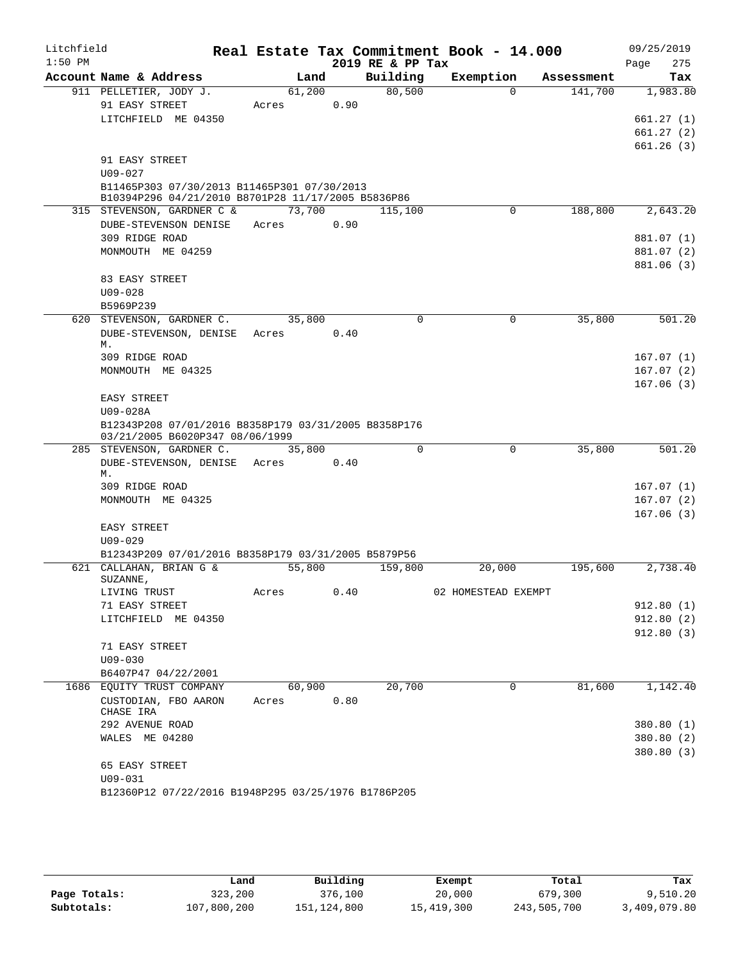| Litchfield |                                                                    |        |      |                  | Real Estate Tax Commitment Book - 14.000 |            | 09/25/2019             |
|------------|--------------------------------------------------------------------|--------|------|------------------|------------------------------------------|------------|------------------------|
| $1:50$ PM  |                                                                    |        |      | 2019 RE & PP Tax |                                          |            | 275<br>Page            |
|            | Account Name & Address                                             | Land   |      | Building         | Exemption                                | Assessment | Tax                    |
|            | 911 PELLETIER, JODY J.<br>91 EASY STREET                           | 61,200 | 0.90 | 80,500           | $\Omega$                                 | 141,700    | 1,983.80               |
|            | LITCHFIELD ME 04350                                                | Acres  |      |                  |                                          |            | 661.27(1)              |
|            |                                                                    |        |      |                  |                                          |            | 661.27(2)              |
|            |                                                                    |        |      |                  |                                          |            | 661.26(3)              |
|            | 91 EASY STREET                                                     |        |      |                  |                                          |            |                        |
|            | $U09 - 027$                                                        |        |      |                  |                                          |            |                        |
|            | B11465P303 07/30/2013 B11465P301 07/30/2013                        |        |      |                  |                                          |            |                        |
|            | B10394P296 04/21/2010 B8701P28 11/17/2005 B5836P86                 |        |      |                  |                                          |            |                        |
|            | 315 STEVENSON, GARDNER C &                                         | 73,700 |      | 115,100          | 0                                        | 188,800    | 2,643.20               |
|            | DUBE-STEVENSON DENISE                                              | Acres  | 0.90 |                  |                                          |            |                        |
|            | 309 RIDGE ROAD                                                     |        |      |                  |                                          |            | 881.07 (1)             |
|            | MONMOUTH ME 04259                                                  |        |      |                  |                                          |            | 881.07 (2)             |
|            | 83 EASY STREET                                                     |        |      |                  |                                          |            | 881.06 (3)             |
|            | $U09 - 028$                                                        |        |      |                  |                                          |            |                        |
|            | B5969P239                                                          |        |      |                  |                                          |            |                        |
|            | 620 STEVENSON, GARDNER C.                                          | 35,800 |      | 0                | $\mathbf 0$                              | 35,800     | 501.20                 |
|            | DUBE-STEVENSON, DENISE Acres                                       |        | 0.40 |                  |                                          |            |                        |
|            | М.                                                                 |        |      |                  |                                          |            |                        |
|            | 309 RIDGE ROAD                                                     |        |      |                  |                                          |            | 167.07(1)              |
|            | MONMOUTH ME 04325                                                  |        |      |                  |                                          |            | 167.07(2)              |
|            |                                                                    |        |      |                  |                                          |            | 167.06(3)              |
|            | EASY STREET                                                        |        |      |                  |                                          |            |                        |
|            | U09-028A<br>B12343P208 07/01/2016 B8358P179 03/31/2005 B8358P176   |        |      |                  |                                          |            |                        |
|            | 03/21/2005 B6020P347 08/06/1999                                    |        |      |                  |                                          |            |                        |
|            | 285 STEVENSON, GARDNER C.                                          | 35,800 |      | $\Omega$         | $\mathbf 0$                              | 35,800     | 501.20                 |
|            | DUBE-STEVENSON, DENISE Acres                                       |        | 0.40 |                  |                                          |            |                        |
|            | М.                                                                 |        |      |                  |                                          |            |                        |
|            | 309 RIDGE ROAD                                                     |        |      |                  |                                          |            | 167.07(1)              |
|            | MONMOUTH ME 04325                                                  |        |      |                  |                                          |            | 167.07(2)<br>167.06(3) |
|            | EASY STREET                                                        |        |      |                  |                                          |            |                        |
|            | $U09 - 029$                                                        |        |      |                  |                                          |            |                        |
|            | B12343P209 07/01/2016 B8358P179 03/31/2005 B5879P56                |        |      |                  |                                          |            |                        |
|            | 621 CALLAHAN, BRIAN G &                                            | 55,800 |      | 159,800          | 20,000                                   | 195,600    | 2,738.40               |
|            | SUZANNE,                                                           |        |      |                  |                                          |            |                        |
|            | LIVING TRUST                                                       | Acres  | 0.40 |                  | 02 HOMESTEAD EXEMPT                      |            |                        |
|            | 71 EASY STREET                                                     |        |      |                  |                                          |            | 912.80(1)              |
|            | LITCHFIELD ME 04350                                                |        |      |                  |                                          |            | 912.80(2)              |
|            | 71 EASY STREET                                                     |        |      |                  |                                          |            | 912.80(3)              |
|            | $U09 - 030$                                                        |        |      |                  |                                          |            |                        |
|            | B6407P47 04/22/2001                                                |        |      |                  |                                          |            |                        |
|            | 1686 EQUITY TRUST COMPANY                                          | 60,900 |      | 20,700           | 0                                        | 81,600     | 1,142.40               |
|            | CUSTODIAN, FBO AARON                                               | Acres  | 0.80 |                  |                                          |            |                        |
|            | CHASE IRA                                                          |        |      |                  |                                          |            |                        |
|            | 292 AVENUE ROAD                                                    |        |      |                  |                                          |            | 380.80 (1)             |
|            | WALES ME 04280                                                     |        |      |                  |                                          |            | 380.80 (2)             |
|            |                                                                    |        |      |                  |                                          |            | 380.80(3)              |
|            | 65 EASY STREET                                                     |        |      |                  |                                          |            |                        |
|            | $U09 - 031$<br>B12360P12 07/22/2016 B1948P295 03/25/1976 B1786P205 |        |      |                  |                                          |            |                        |
|            |                                                                    |        |      |                  |                                          |            |                        |
|            |                                                                    |        |      |                  |                                          |            |                        |

|              | Land        | Building    | Exempt     | Total       | Tax          |
|--------------|-------------|-------------|------------|-------------|--------------|
| Page Totals: | 323,200     | 376,100     | 20,000     | 679,300     | 9.510.20     |
| Subtotals:   | 107,800,200 | 151,124,800 | 15,419,300 | 243,505,700 | 3,409,079.80 |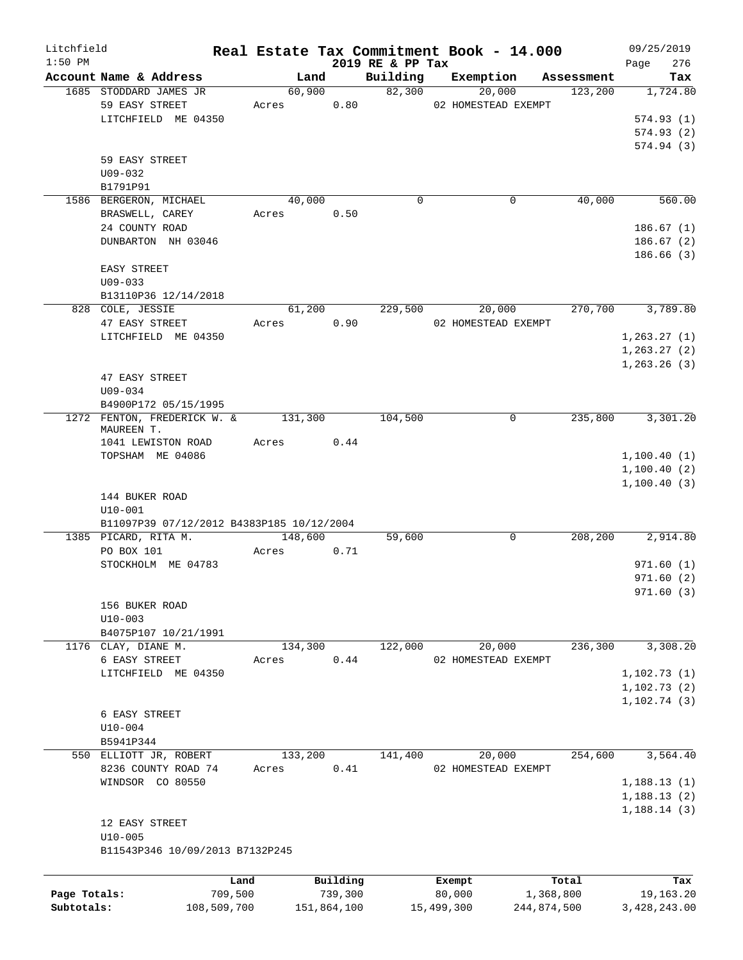| Litchfield   |                                           |         |             |                              | Real Estate Tax Commitment Book - 14.000 |             | 09/25/2019         |
|--------------|-------------------------------------------|---------|-------------|------------------------------|------------------------------------------|-------------|--------------------|
| $1:50$ PM    | Account Name & Address                    | Land    |             | 2019 RE & PP Tax<br>Building | Exemption                                | Assessment  | 276<br>Page<br>Tax |
|              | 1685 STODDARD JAMES JR                    | 60,900  |             | 82,300                       | 20,000                                   | 123,200     | 1,724.80           |
|              | 59 EASY STREET                            | Acres   | 0.80        |                              | 02 HOMESTEAD EXEMPT                      |             |                    |
|              | LITCHFIELD ME 04350                       |         |             |                              |                                          |             | 574.93(1)          |
|              |                                           |         |             |                              |                                          |             | 574.93(2)          |
|              |                                           |         |             |                              |                                          |             | 574.94(3)          |
|              | 59 EASY STREET                            |         |             |                              |                                          |             |                    |
|              | U09-032                                   |         |             |                              |                                          |             |                    |
|              | B1791P91                                  |         |             |                              |                                          |             |                    |
|              | 1586 BERGERON, MICHAEL                    | 40,000  |             | $\mathbf 0$                  | 0                                        | 40,000      | 560.00             |
|              | BRASWELL, CAREY                           | Acres   | 0.50        |                              |                                          |             |                    |
|              | 24 COUNTY ROAD                            |         |             |                              |                                          |             | 186.67(1)          |
|              | DUNBARTON NH 03046                        |         |             |                              |                                          |             | 186.67(2)          |
|              |                                           |         |             |                              |                                          |             | 186.66(3)          |
|              | EASY STREET                               |         |             |                              |                                          |             |                    |
|              | $U09 - 033$                               |         |             |                              |                                          |             |                    |
|              | B13110P36 12/14/2018                      |         |             |                              |                                          |             |                    |
|              | 828 COLE, JESSIE                          | 61,200  |             | 229,500                      | 20,000                                   | 270,700     | 3,789.80           |
|              | 47 EASY STREET                            | Acres   | 0.90        |                              | 02 HOMESTEAD EXEMPT                      |             |                    |
|              | LITCHFIELD ME 04350                       |         |             |                              |                                          |             | 1, 263.27(1)       |
|              |                                           |         |             |                              |                                          |             | 1, 263.27(2)       |
|              |                                           |         |             |                              |                                          |             | 1, 263.26(3)       |
|              | 47 EASY STREET                            |         |             |                              |                                          |             |                    |
|              | $U09 - 034$                               |         |             |                              |                                          |             |                    |
|              | B4900P172 05/15/1995                      |         |             |                              |                                          |             |                    |
|              | 1272 FENTON, FREDERICK W. &               | 131,300 |             | 104,500                      | 0                                        | 235,800     | 3,301.20           |
|              | MAUREEN T.                                |         |             |                              |                                          |             |                    |
|              | 1041 LEWISTON ROAD                        | Acres   | 0.44        |                              |                                          |             |                    |
|              | TOPSHAM ME 04086                          |         |             |                              |                                          |             | 1,100.40(1)        |
|              |                                           |         |             |                              |                                          |             | 1,100.40(2)        |
|              |                                           |         |             |                              |                                          |             | 1,100.40(3)        |
|              | 144 BUKER ROAD                            |         |             |                              |                                          |             |                    |
|              | $U10 - 001$                               |         |             |                              |                                          |             |                    |
|              | B11097P39 07/12/2012 B4383P185 10/12/2004 |         |             |                              |                                          |             |                    |
|              | 1385 PICARD, RITA M.                      | 148,600 |             | 59,600                       | 0                                        | 208,200     | 2,914.80           |
|              | PO BOX 101                                | Acres   | 0.71        |                              |                                          |             |                    |
|              | STOCKHOLM ME 04783                        |         |             |                              |                                          |             | 971.60(1)          |
|              |                                           |         |             |                              |                                          |             | 971.60(2)          |
|              |                                           |         |             |                              |                                          |             | 971.60(3)          |
|              | 156 BUKER ROAD                            |         |             |                              |                                          |             |                    |
|              | $U10 - 003$                               |         |             |                              |                                          |             |                    |
|              | B4075P107 10/21/1991                      |         |             |                              |                                          |             |                    |
|              | 1176 CLAY, DIANE M.                       | 134,300 |             | 122,000                      | 20,000                                   | 236,300     | 3,308.20           |
|              | 6 EASY STREET                             | Acres   | 0.44        |                              | 02 HOMESTEAD EXEMPT                      |             |                    |
|              | LITCHFIELD ME 04350                       |         |             |                              |                                          |             | 1,102.73(1)        |
|              |                                           |         |             |                              |                                          |             | 1, 102.73(2)       |
|              |                                           |         |             |                              |                                          |             | 1,102.74(3)        |
|              | 6 EASY STREET                             |         |             |                              |                                          |             |                    |
|              | $U10 - 004$                               |         |             |                              |                                          |             |                    |
|              | B5941P344                                 |         |             |                              |                                          |             |                    |
|              | 550 ELLIOTT JR, ROBERT                    | 133,200 |             | 141,400                      | 20,000                                   | 254,600     | 3,564.40           |
|              | 8236 COUNTY ROAD 74                       | Acres   | 0.41        |                              | 02 HOMESTEAD EXEMPT                      |             |                    |
|              | WINDSOR CO 80550                          |         |             |                              |                                          |             | 1,188.13(1)        |
|              |                                           |         |             |                              |                                          |             | 1,188.13(2)        |
|              |                                           |         |             |                              |                                          |             | 1,188.14(3)        |
|              | 12 EASY STREET                            |         |             |                              |                                          |             |                    |
|              | $U10 - 005$                               |         |             |                              |                                          |             |                    |
|              | B11543P346 10/09/2013 B7132P245           |         |             |                              |                                          |             |                    |
|              |                                           |         |             |                              |                                          |             |                    |
|              |                                           | Land    | Building    |                              | Exempt                                   | Total       | Tax                |
| Page Totals: |                                           | 709,500 | 739,300     |                              | 80,000                                   | 1,368,800   | 19,163.20          |
| Subtotals:   | 108,509,700                               |         | 151,864,100 |                              | 15,499,300                               | 244,874,500 | 3,428,243.00       |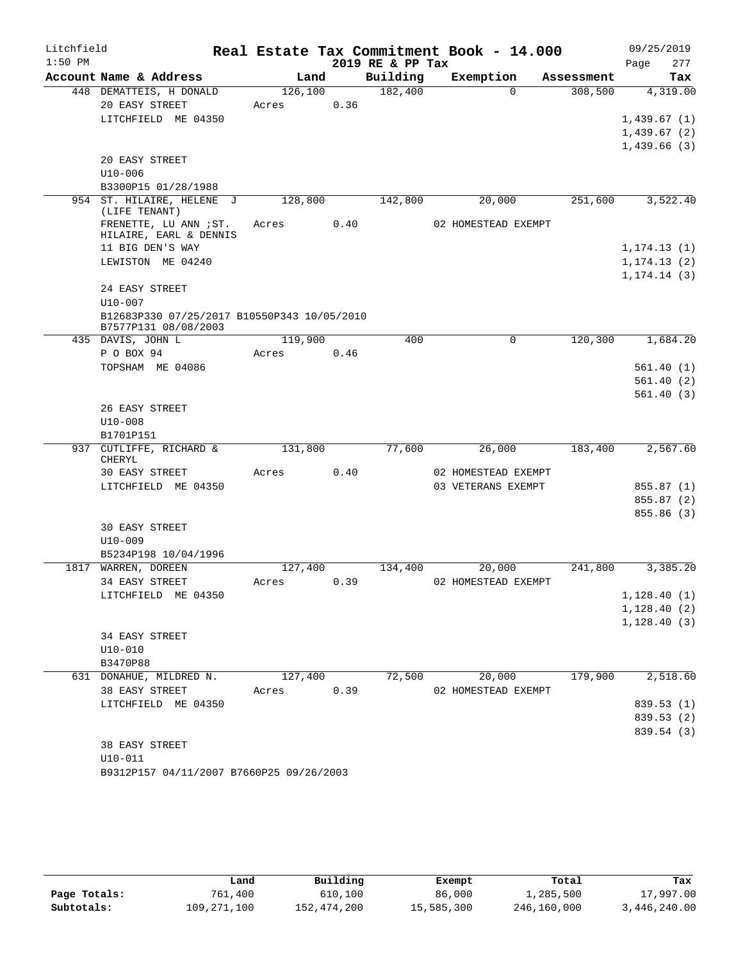| Litchfield |                                                                     |                  |      |                  | Real Estate Tax Commitment Book - 14.000 |            | 09/25/2019               |
|------------|---------------------------------------------------------------------|------------------|------|------------------|------------------------------------------|------------|--------------------------|
| $1:50$ PM  |                                                                     |                  |      | 2019 RE & PP Tax |                                          |            | 277<br>Page              |
|            | Account Name & Address                                              | Land             |      | Building         | Exemption                                | Assessment | Tax                      |
|            | 448 DEMATTEIS, H DONALD<br>20 EASY STREET                           | 126,100<br>Acres | 0.36 | 182,400          | $\Omega$                                 | 308,500    | 4,319.00                 |
|            | LITCHFIELD ME 04350                                                 |                  |      |                  |                                          |            | 1,439.67(1)              |
|            |                                                                     |                  |      |                  |                                          |            | 1,439.67(2)              |
|            |                                                                     |                  |      |                  |                                          |            | 1,439.66(3)              |
|            | 20 EASY STREET                                                      |                  |      |                  |                                          |            |                          |
|            | $U10 - 006$                                                         |                  |      |                  |                                          |            |                          |
|            | B3300P15 01/28/1988<br>954 ST. HILAIRE, HELENE J                    |                  |      |                  |                                          | 251,600    |                          |
|            | (LIFE TENANT)                                                       | 128,800          |      | 142,800          | 20,000                                   |            | 3,522.40                 |
|            | FRENETTE, LU ANN ; ST.<br>HILAIRE, EARL & DENNIS                    | Acres 0.40       |      |                  | 02 HOMESTEAD EXEMPT                      |            |                          |
|            | 11 BIG DEN'S WAY                                                    |                  |      |                  |                                          |            | 1, 174.13(1)             |
|            | LEWISTON ME 04240                                                   |                  |      |                  |                                          |            | 1, 174.13(2)             |
|            |                                                                     |                  |      |                  |                                          |            | 1, 174.14(3)             |
|            | 24 EASY STREET<br>$U10 - 007$                                       |                  |      |                  |                                          |            |                          |
|            | B12683P330 07/25/2017 B10550P343 10/05/2010<br>B7577P131 08/08/2003 |                  |      |                  |                                          |            |                          |
|            | 435 DAVIS, JOHN L                                                   | 119,900          |      | 400              | $\Omega$                                 | 120,300    | 1,684.20                 |
|            | P O BOX 94                                                          | Acres            | 0.46 |                  |                                          |            |                          |
|            | TOPSHAM ME 04086                                                    |                  |      |                  |                                          |            | 561.40(1)                |
|            |                                                                     |                  |      |                  |                                          |            | 561.40(2)                |
|            |                                                                     |                  |      |                  |                                          |            | 561.40(3)                |
|            | 26 EASY STREET                                                      |                  |      |                  |                                          |            |                          |
|            | $U10-008$                                                           |                  |      |                  |                                          |            |                          |
|            | B1701P151<br>937 CUTLIFFE, RICHARD &                                | 131,800          |      | 77,600           | 26,000                                   | 183,400    | 2,567.60                 |
|            | CHERYL                                                              |                  |      |                  |                                          |            |                          |
|            | 30 EASY STREET                                                      | Acres            | 0.40 |                  | 02 HOMESTEAD EXEMPT                      |            |                          |
|            | LITCHFIELD ME 04350                                                 |                  |      |                  | 03 VETERANS EXEMPT                       |            | 855.87 (1)               |
|            |                                                                     |                  |      |                  |                                          |            | 855.87 (2)               |
|            |                                                                     |                  |      |                  |                                          |            | 855.86 (3)               |
|            | <b>30 EASY STREET</b>                                               |                  |      |                  |                                          |            |                          |
|            | $U10 - 009$<br>B5234P198 10/04/1996                                 |                  |      |                  |                                          |            |                          |
|            | 1817 WARREN, DOREEN                                                 | 127,400          |      | 134,400          | 20,000                                   | 241,800    | 3,385.20                 |
|            | 34 EASY STREET                                                      | Acres            | 0.39 |                  | 02 HOMESTEAD EXEMPT                      |            |                          |
|            | LITCHFIELD ME 04350                                                 |                  |      |                  |                                          |            | 1, 128.40(1)             |
|            |                                                                     |                  |      |                  |                                          |            | 1, 128.40(2)             |
|            |                                                                     |                  |      |                  |                                          |            | 1, 128.40(3)             |
|            | 34 EASY STREET                                                      |                  |      |                  |                                          |            |                          |
|            | $U10-010$                                                           |                  |      |                  |                                          |            |                          |
|            | B3470P88                                                            |                  |      |                  |                                          |            |                          |
|            | 631 DONAHUE, MILDRED N.                                             | 127,400          |      | 72,500           | 20,000                                   | 179,900    | 2,518.60                 |
|            | 38 EASY STREET                                                      | Acres            | 0.39 |                  | 02 HOMESTEAD EXEMPT                      |            |                          |
|            | LITCHFIELD ME 04350                                                 |                  |      |                  |                                          |            | 839.53 (1)<br>839.53 (2) |
|            |                                                                     |                  |      |                  |                                          |            | 839.54 (3)               |
|            | 38 EASY STREET                                                      |                  |      |                  |                                          |            |                          |
|            | $U10-011$                                                           |                  |      |                  |                                          |            |                          |
|            | B9312P157 04/11/2007 B7660P25 09/26/2003                            |                  |      |                  |                                          |            |                          |

|              | Land        | Building    | Exempt     | Total       | Tax          |
|--------------|-------------|-------------|------------|-------------|--------------|
| Page Totals: | 761,400     | 610,100     | 86,000     | 1,285,500   | 17,997.00    |
| Subtotals:   | 109,271,100 | 152,474,200 | 15,585,300 | 246,160,000 | 3,446,240.00 |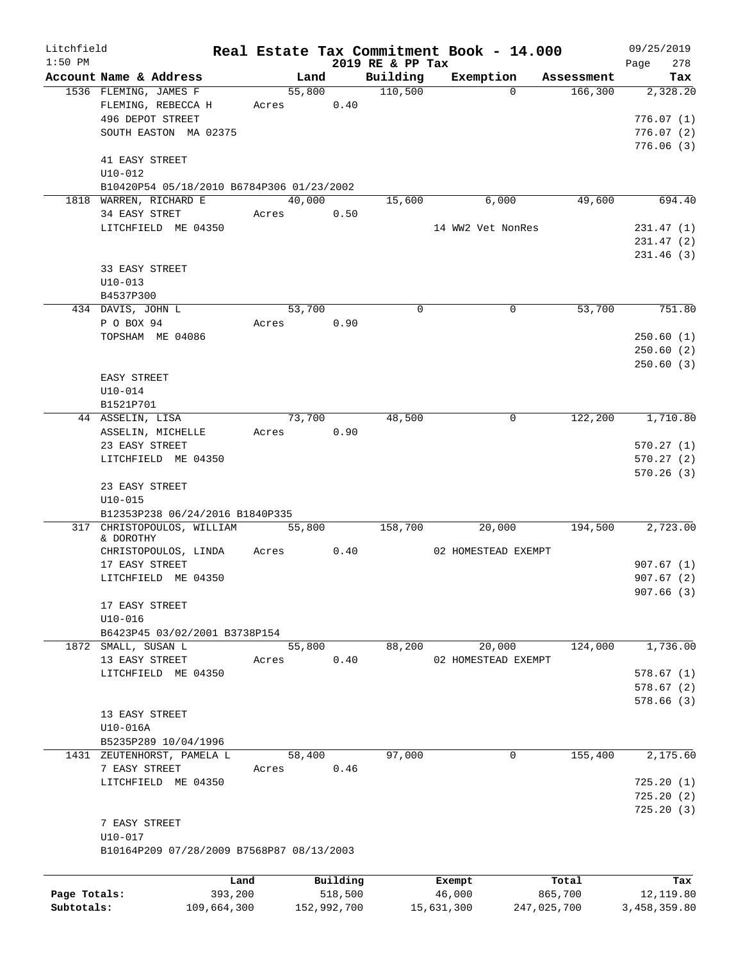| Litchfield<br>$1:50$ PM |                                           |         |        |             | 2019 RE & PP Tax | Real Estate Tax Commitment Book - 14.000 |             | 09/25/2019<br>278<br>Page |
|-------------------------|-------------------------------------------|---------|--------|-------------|------------------|------------------------------------------|-------------|---------------------------|
|                         | Account Name & Address                    |         | Land   |             | Building         | Exemption                                | Assessment  | Tax                       |
|                         | 1536 FLEMING, JAMES F                     |         | 55,800 |             | 110,500          | $\Omega$                                 | 166,300     | 2,328.20                  |
|                         | FLEMING, REBECCA H                        | Acres   |        | 0.40        |                  |                                          |             |                           |
|                         | 496 DEPOT STREET                          |         |        |             |                  |                                          |             | 776.07(1)                 |
|                         | SOUTH EASTON MA 02375                     |         |        |             |                  |                                          |             | 776.07(2)                 |
|                         |                                           |         |        |             |                  |                                          |             | 776.06(3)                 |
|                         | 41 EASY STREET                            |         |        |             |                  |                                          |             |                           |
|                         | $U10 - 012$                               |         |        |             |                  |                                          |             |                           |
|                         | B10420P54 05/18/2010 B6784P306 01/23/2002 |         |        |             |                  |                                          |             |                           |
|                         | 1818 WARREN, RICHARD E                    |         | 40,000 |             | 15,600           | 6,000                                    | 49,600      | 694.40                    |
|                         | 34 EASY STRET                             | Acres   |        | 0.50        |                  |                                          |             |                           |
|                         | LITCHFIELD ME 04350                       |         |        |             |                  | 14 WW2 Vet NonRes                        |             | 231.47(1)                 |
|                         |                                           |         |        |             |                  |                                          |             | 231.47(2)                 |
|                         |                                           |         |        |             |                  |                                          |             | 231.46(3)                 |
|                         |                                           |         |        |             |                  |                                          |             |                           |
|                         | 33 EASY STREET                            |         |        |             |                  |                                          |             |                           |
|                         | $U10 - 013$                               |         |        |             |                  |                                          |             |                           |
|                         | B4537P300                                 |         |        |             |                  |                                          |             |                           |
|                         | 434 DAVIS, JOHN L                         |         | 53,700 |             | $\mathbf 0$      | $\mathbf 0$                              | 53,700      | 751.80                    |
|                         | P O BOX 94                                | Acres   |        | 0.90        |                  |                                          |             |                           |
|                         | TOPSHAM ME 04086                          |         |        |             |                  |                                          |             | 250.60(1)                 |
|                         |                                           |         |        |             |                  |                                          |             | 250.60(2)                 |
|                         |                                           |         |        |             |                  |                                          |             | 250.60(3)                 |
|                         | EASY STREET                               |         |        |             |                  |                                          |             |                           |
|                         | $U10 - 014$                               |         |        |             |                  |                                          |             |                           |
|                         | B1521P701                                 |         |        |             |                  |                                          |             |                           |
|                         | 44 ASSELIN, LISA                          |         | 73,700 |             | 48,500           | $\mathbf 0$                              | 122,200     | 1,710.80                  |
|                         | ASSELIN, MICHELLE                         | Acres   |        | 0.90        |                  |                                          |             |                           |
|                         | 23 EASY STREET                            |         |        |             |                  |                                          |             | 570.27(1)                 |
|                         | LITCHFIELD ME 04350                       |         |        |             |                  |                                          |             | 570.27(2)                 |
|                         |                                           |         |        |             |                  |                                          |             | 570.26(3)                 |
|                         | 23 EASY STREET                            |         |        |             |                  |                                          |             |                           |
|                         | $U10 - 015$                               |         |        |             |                  |                                          |             |                           |
|                         | B12353P238 06/24/2016 B1840P335           |         |        |             |                  |                                          |             |                           |
|                         | 317 CHRISTOPOULOS, WILLIAM                |         | 55,800 |             | 158,700          | 20,000                                   | 194,500     | 2,723.00                  |
|                         | & DOROTHY                                 |         |        |             |                  |                                          |             |                           |
|                         | CHRISTOPOULOS, LINDA                      | Acres   |        | 0.40        |                  | 02 HOMESTEAD EXEMPT                      |             |                           |
|                         | 17 EASY STREET                            |         |        |             |                  |                                          |             | 907.67(1)                 |
|                         | LITCHFIELD ME 04350                       |         |        |             |                  |                                          |             | 907.67(2)                 |
|                         |                                           |         |        |             |                  |                                          |             | 907.66(3)                 |
|                         | 17 EASY STREET                            |         |        |             |                  |                                          |             |                           |
|                         | $U10 - 016$                               |         |        |             |                  |                                          |             |                           |
|                         | B6423P45 03/02/2001 B3738P154             |         |        |             |                  |                                          |             |                           |
|                         | 1872 SMALL, SUSAN L                       |         | 55,800 |             | 88,200           | 20,000                                   | 124,000     | 1,736.00                  |
|                         |                                           |         |        |             |                  | 02 HOMESTEAD EXEMPT                      |             |                           |
|                         | 13 EASY STREET                            | Acres   |        | 0.40        |                  |                                          |             |                           |
|                         | LITCHFIELD ME 04350                       |         |        |             |                  |                                          |             | 578.67(1)                 |
|                         |                                           |         |        |             |                  |                                          |             | 578.67(2)                 |
|                         |                                           |         |        |             |                  |                                          |             | 578.66(3)                 |
|                         | 13 EASY STREET                            |         |        |             |                  |                                          |             |                           |
|                         | $U10-016A$                                |         |        |             |                  |                                          |             |                           |
|                         | B5235P289 10/04/1996                      |         |        |             |                  |                                          |             |                           |
|                         | 1431 ZEUTENHORST, PAMELA L                |         | 58,400 |             | 97,000           | $\mathbf 0$                              | 155,400     | 2,175.60                  |
|                         | 7 EASY STREET                             | Acres   |        | 0.46        |                  |                                          |             |                           |
|                         | LITCHFIELD ME 04350                       |         |        |             |                  |                                          |             | 725.20(1)                 |
|                         |                                           |         |        |             |                  |                                          |             | 725.20(2)                 |
|                         |                                           |         |        |             |                  |                                          |             | 725.20(3)                 |
|                         | 7 EASY STREET                             |         |        |             |                  |                                          |             |                           |
|                         | $U10 - 017$                               |         |        |             |                  |                                          |             |                           |
|                         | B10164P209 07/28/2009 B7568P87 08/13/2003 |         |        |             |                  |                                          |             |                           |
|                         |                                           |         |        |             |                  |                                          |             |                           |
|                         |                                           | Land    |        | Building    |                  | Exempt                                   | Total       | Tax                       |
| Page Totals:            |                                           | 393,200 |        | 518,500     |                  | 46,000                                   | 865,700     | 12,119.80                 |
| Subtotals:              | 109,664,300                               |         |        | 152,992,700 |                  | 15,631,300                               | 247,025,700 | 3,458,359.80              |
|                         |                                           |         |        |             |                  |                                          |             |                           |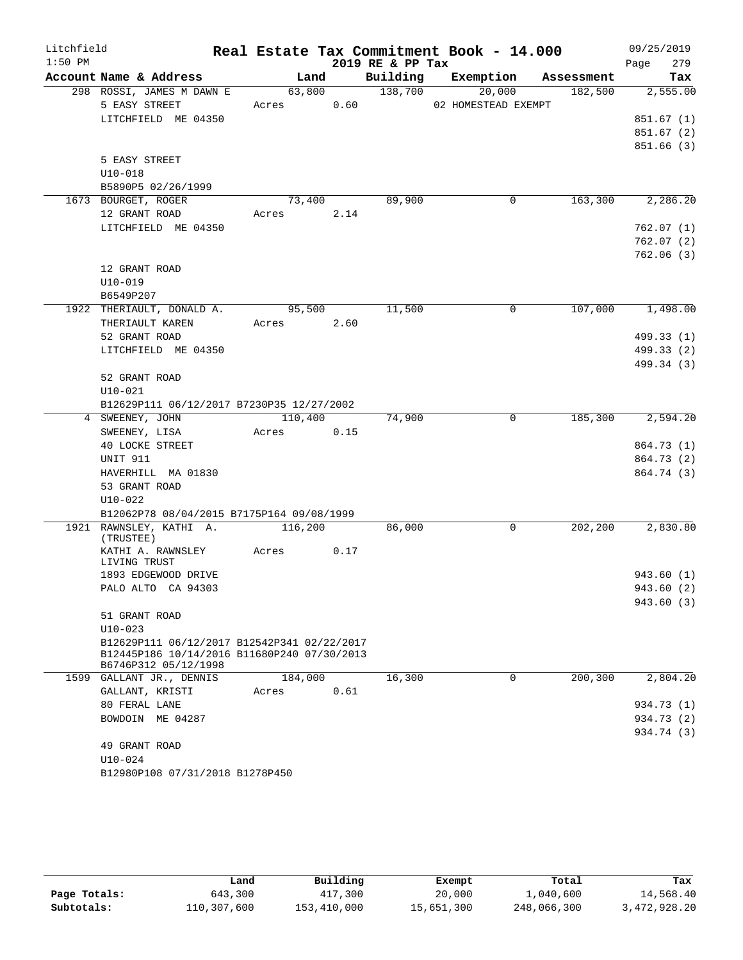| Litchfield |                                                                     |                     |         |      |                  | Real Estate Tax Commitment Book - 14.000 |                     | 09/25/2019             |
|------------|---------------------------------------------------------------------|---------------------|---------|------|------------------|------------------------------------------|---------------------|------------------------|
| $1:50$ PM  |                                                                     |                     |         |      | 2019 RE & PP Tax |                                          |                     | 279<br>Page            |
|            | Account Name & Address                                              |                     | Land    |      |                  | Building Exemption                       | Assessment          | Tax                    |
|            | 298 ROSSI, JAMES M DAWN E                                           |                     | 63,800  |      | 138,700          | 20,000                                   | 182,500             | 2,555.00               |
|            | 5 EASY STREET                                                       | Acres 0.60          |         |      |                  | 02 HOMESTEAD EXEMPT                      |                     |                        |
|            | LITCHFIELD ME 04350                                                 |                     |         |      |                  |                                          |                     | 851.67(1)              |
|            |                                                                     |                     |         |      |                  |                                          |                     | 851.67(2)              |
|            |                                                                     |                     |         |      |                  |                                          |                     | 851.66(3)              |
|            | 5 EASY STREET                                                       |                     |         |      |                  |                                          |                     |                        |
|            | $U10 - 018$                                                         |                     |         |      |                  |                                          |                     |                        |
|            | B5890P5 02/26/1999                                                  |                     |         |      |                  |                                          |                     |                        |
|            | 1673 BOURGET, ROGER                                                 |                     | 73,400  |      | 89,900           |                                          | 163,300<br>0        | 2,286.20               |
|            | 12 GRANT ROAD                                                       | Acres               |         | 2.14 |                  |                                          |                     |                        |
|            | LITCHFIELD ME 04350                                                 |                     |         |      |                  |                                          |                     | 762.07(1)              |
|            |                                                                     |                     |         |      |                  |                                          |                     | 762.07(2)<br>762.06(3) |
|            | 12 GRANT ROAD                                                       |                     |         |      |                  |                                          |                     |                        |
|            | $U10 - 019$                                                         |                     |         |      |                  |                                          |                     |                        |
|            | B6549P207                                                           |                     |         |      |                  |                                          |                     |                        |
|            | 1922 THERIAULT, DONALD A.                                           |                     | 95,500  |      | 11,500           |                                          | 107,000<br>$\Omega$ | 1,498.00               |
|            | THERIAULT KAREN                                                     | Acres 2.60          |         |      |                  |                                          |                     |                        |
|            | 52 GRANT ROAD                                                       |                     |         |      |                  |                                          |                     | 499.33 (1)             |
|            | LITCHFIELD ME 04350                                                 |                     |         |      |                  |                                          |                     | 499.33 (2)             |
|            |                                                                     |                     |         |      |                  |                                          |                     | 499.34 (3)             |
|            | 52 GRANT ROAD                                                       |                     |         |      |                  |                                          |                     |                        |
|            | $U10 - 021$                                                         |                     |         |      |                  |                                          |                     |                        |
|            | B12629P111 06/12/2017 B7230P35 12/27/2002                           |                     |         |      |                  |                                          |                     |                        |
|            | 4 SWEENEY, JOHN                                                     |                     | 110,400 |      | 74,900           |                                          | 185,300<br>0        | 2,594.20               |
|            | SWEENEY, LISA                                                       | Acres               | 0.15    |      |                  |                                          |                     |                        |
|            | 40 LOCKE STREET                                                     |                     |         |      |                  |                                          |                     | 864.73 (1)             |
|            | UNIT 911                                                            |                     |         |      |                  |                                          |                     | 864.73 (2)             |
|            | HAVERHILL MA 01830                                                  |                     |         |      |                  |                                          |                     | 864.74 (3)             |
|            | 53 GRANT ROAD                                                       |                     |         |      |                  |                                          |                     |                        |
|            | $U10 - 022$                                                         |                     |         |      |                  |                                          |                     |                        |
|            | B12062P78 08/04/2015 B7175P164 09/08/1999                           |                     |         |      |                  |                                          |                     |                        |
|            | 1921 RAWNSLEY, KATHI A.                                             | $\frac{116,200}{ }$ |         |      | 86,000           |                                          | 202,200<br>0        | 2,830.80               |
|            | (TRUSTEE)<br>KATHI A. RAWNSLEY                                      | Acres               |         | 0.17 |                  |                                          |                     |                        |
|            | LIVING TRUST                                                        |                     |         |      |                  |                                          |                     |                        |
|            | 1893 EDGEWOOD DRIVE                                                 |                     |         |      |                  |                                          |                     | 943.60 (1)             |
|            | PALO ALTO CA 94303                                                  |                     |         |      |                  |                                          |                     | 943.60 (2)             |
|            |                                                                     |                     |         |      |                  |                                          |                     | 943.60 (3)             |
|            | 51 GRANT ROAD                                                       |                     |         |      |                  |                                          |                     |                        |
|            | $U10 - 023$                                                         |                     |         |      |                  |                                          |                     |                        |
|            | B12629P111 06/12/2017 B12542P341 02/22/2017                         |                     |         |      |                  |                                          |                     |                        |
|            | B12445P186 10/14/2016 B11680P240 07/30/2013<br>B6746P312 05/12/1998 |                     |         |      |                  |                                          |                     |                        |
|            | 1599 GALLANT JR., DENNIS                                            |                     | 184,000 |      | 16,300           |                                          | 200,300<br>0        | 2,804.20               |
|            | GALLANT, KRISTI                                                     | Acres               |         | 0.61 |                  |                                          |                     |                        |
|            | 80 FERAL LANE                                                       |                     |         |      |                  |                                          |                     | 934.73 (1)             |
|            | BOWDOIN ME 04287                                                    |                     |         |      |                  |                                          |                     | 934.73 (2)             |
|            |                                                                     |                     |         |      |                  |                                          |                     | 934.74 (3)             |
|            | 49 GRANT ROAD                                                       |                     |         |      |                  |                                          |                     |                        |
|            | $U10 - 024$                                                         |                     |         |      |                  |                                          |                     |                        |
|            | B12980P108 07/31/2018 B1278P450                                     |                     |         |      |                  |                                          |                     |                        |

|              | Land        | Building    | Exempt     | Total       | Tax          |
|--------------|-------------|-------------|------------|-------------|--------------|
| Page Totals: | 643,300     | 417,300     | 20,000     | 1,040,600   | 14,568.40    |
| Subtotals:   | 110,307,600 | 153,410,000 | 15,651,300 | 248,066,300 | 3,472,928.20 |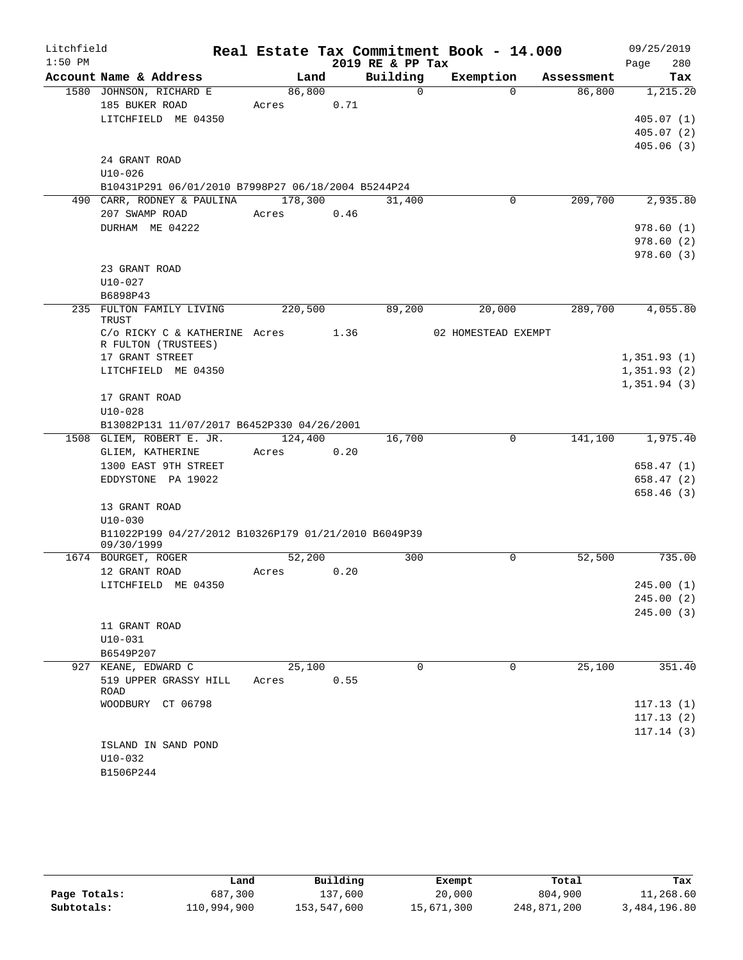| Litchfield |                                                                     |            |      |                  | Real Estate Tax Commitment Book - 14.000 |            | 09/25/2019  |
|------------|---------------------------------------------------------------------|------------|------|------------------|------------------------------------------|------------|-------------|
| $1:50$ PM  |                                                                     |            |      | 2019 RE & PP Tax |                                          |            | 280<br>Page |
|            | Account Name & Address                                              | Land       |      | Building         | Exemption                                | Assessment | Tax         |
|            | 1580 JOHNSON, RICHARD E                                             | 86,800     |      | $\Omega$         | $\Omega$                                 | 86,800     | 1,215.20    |
|            | 185 BUKER ROAD                                                      | Acres      | 0.71 |                  |                                          |            |             |
|            | LITCHFIELD ME 04350                                                 |            |      |                  |                                          |            | 405.07(1)   |
|            |                                                                     |            |      |                  |                                          |            | 405.07(2)   |
|            | 24 GRANT ROAD                                                       |            |      |                  |                                          |            | 405.06(3)   |
|            | $U10-026$                                                           |            |      |                  |                                          |            |             |
|            | B10431P291 06/01/2010 B7998P27 06/18/2004 B5244P24                  |            |      |                  |                                          |            |             |
|            | 490 CARR, RODNEY & PAULINA 178,300                                  |            |      | 31,400           | 0                                        | 209,700    | 2,935.80    |
|            | 207 SWAMP ROAD                                                      | Acres 0.46 |      |                  |                                          |            |             |
|            | DURHAM ME 04222                                                     |            |      |                  |                                          |            | 978.60(1)   |
|            |                                                                     |            |      |                  |                                          |            | 978.60(2)   |
|            |                                                                     |            |      |                  |                                          |            | 978.60(3)   |
|            | 23 GRANT ROAD                                                       |            |      |                  |                                          |            |             |
|            | $U10 - 027$                                                         |            |      |                  |                                          |            |             |
|            | B6898P43                                                            |            |      |                  |                                          |            |             |
|            | 235 FULTON FAMILY LIVING                                            | 220,500    |      | 89,200           | 20,000                                   | 289,700    | 4,055.80    |
|            | TRUST                                                               |            |      |                  |                                          |            |             |
|            | $C/O$ RICKY $C \& KATHERINE$ Acres 1.36<br>R FULTON (TRUSTEES)      |            |      |                  | 02 HOMESTEAD EXEMPT                      |            |             |
|            | 17 GRANT STREET                                                     |            |      |                  |                                          |            | 1,351.93(1) |
|            | LITCHFIELD ME 04350                                                 |            |      |                  |                                          |            | 1,351.93(2) |
|            |                                                                     |            |      |                  |                                          |            | 1,351.94(3) |
|            | 17 GRANT ROAD                                                       |            |      |                  |                                          |            |             |
|            | $U10 - 028$                                                         |            |      |                  |                                          |            |             |
|            | B13082P131 11/07/2017 B6452P330 04/26/2001                          |            |      |                  |                                          |            |             |
|            | 1508 GLIEM, ROBERT E. JR.                                           | 124,400    |      | 16,700           | 0                                        | 141,100    | 1,975.40    |
|            | GLIEM, KATHERINE                                                    | Acres 0.20 |      |                  |                                          |            |             |
|            | 1300 EAST 9TH STREET                                                |            |      |                  |                                          |            | 658.47 (1)  |
|            | EDDYSTONE PA 19022                                                  |            |      |                  |                                          |            | 658.47(2)   |
|            |                                                                     |            |      |                  |                                          |            | 658.46(3)   |
|            | 13 GRANT ROAD                                                       |            |      |                  |                                          |            |             |
|            | $U10 - 030$<br>B11022P199 04/27/2012 B10326P179 01/21/2010 B6049P39 |            |      |                  |                                          |            |             |
|            | 09/30/1999                                                          |            |      |                  |                                          |            |             |
|            | 1674 BOURGET, ROGER                                                 | 52,200     |      | 300              | $\mathbf 0$                              | 52,500     | 735.00      |
|            | 12 GRANT ROAD                                                       | Acres      | 0.20 |                  |                                          |            |             |
|            | LITCHFIELD ME 04350                                                 |            |      |                  |                                          |            | 245.00 (1)  |
|            |                                                                     |            |      |                  |                                          |            | 245.00(2)   |
|            |                                                                     |            |      |                  |                                          |            | 245.00(3)   |
|            | 11 GRANT ROAD                                                       |            |      |                  |                                          |            |             |
|            | $U10 - 031$                                                         |            |      |                  |                                          |            |             |
|            | B6549P207                                                           |            |      |                  |                                          |            |             |
|            | 927 KEANE, EDWARD C                                                 | 25,100     |      | $\Omega$         | $\Omega$                                 | 25,100     | 351.40      |
|            | 519 UPPER GRASSY HILL<br>ROAD                                       | Acres      | 0.55 |                  |                                          |            |             |
|            | WOODBURY CT 06798                                                   |            |      |                  |                                          |            | 117.13(1)   |
|            |                                                                     |            |      |                  |                                          |            | 117.13(2)   |
|            |                                                                     |            |      |                  |                                          |            | 117.14(3)   |
|            | ISLAND IN SAND POND                                                 |            |      |                  |                                          |            |             |
|            | $U10-032$                                                           |            |      |                  |                                          |            |             |
|            | B1506P244                                                           |            |      |                  |                                          |            |             |

|              | Land        | Building    | Exempt     | Total       | Tax          |
|--------------|-------------|-------------|------------|-------------|--------------|
| Page Totals: | 687,300     | 137,600     | 20,000     | 804,900     | 11,268.60    |
| Subtotals:   | 110,994,900 | 153,547,600 | 15,671,300 | 248,871,200 | 3,484,196.80 |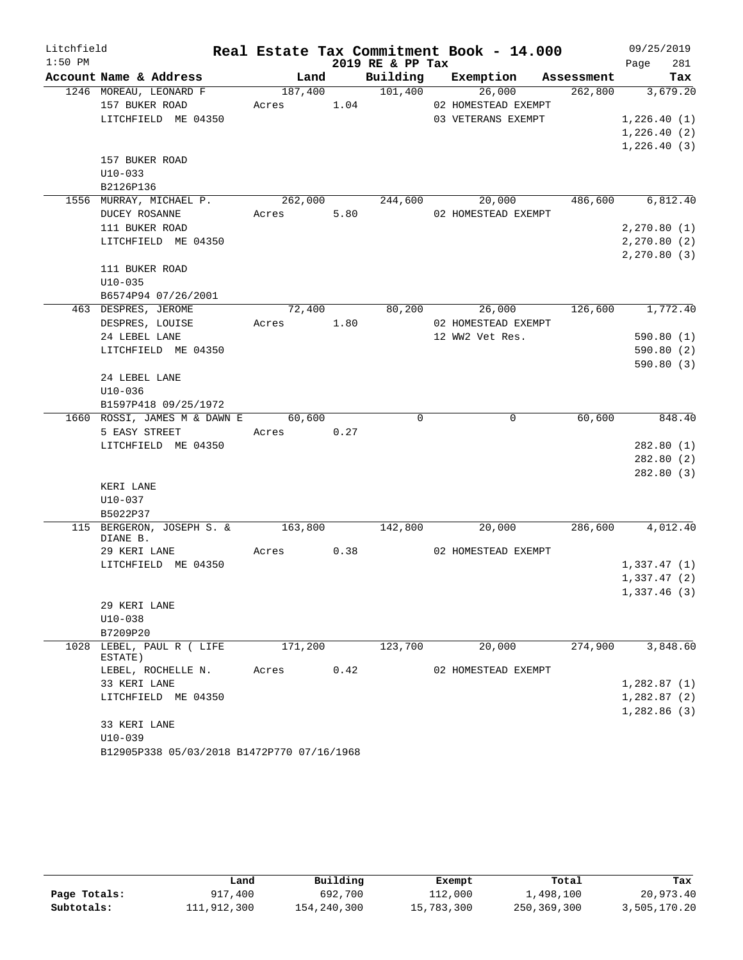| Litchfield |                                                                              |            |      |                  | Real Estate Tax Commitment Book - 14.000                                                                 |         | 09/25/2019       |     |
|------------|------------------------------------------------------------------------------|------------|------|------------------|----------------------------------------------------------------------------------------------------------|---------|------------------|-----|
| $1:50$ PM  |                                                                              |            |      | 2019 RE & PP Tax |                                                                                                          |         | Page             | 281 |
|            | Account Name & Address                                                       |            |      |                  | Land Building Exemption Assessment                                                                       |         |                  | Tax |
|            | 1246 MOREAU, LEONARD F                                                       |            |      |                  | $\overline{187,400}$ $\overline{101,400}$ $\overline{26,000}$ $\overline{262,800}$ $\overline{3,679.20}$ |         |                  |     |
|            | 157 BUKER ROAD Acres 1.04 02 HOMESTEAD EXEMPT                                |            |      |                  |                                                                                                          |         |                  |     |
|            | LITCHFIELD ME 04350                                                          |            |      |                  | 03 VETERANS EXEMPT                                                                                       |         | 1,226.40(1)      |     |
|            |                                                                              |            |      |                  |                                                                                                          |         | 1,226.40(2)      |     |
|            |                                                                              |            |      |                  |                                                                                                          |         | 1,226.40(3)      |     |
|            | 157 BUKER ROAD                                                               |            |      |                  |                                                                                                          |         |                  |     |
|            | $U10-033$                                                                    |            |      |                  |                                                                                                          |         |                  |     |
|            | B2126P136<br>1556 MURRAY, MICHAEL P. 262,000 244,600 20,000 486,600 6,812.40 |            |      |                  |                                                                                                          |         |                  |     |
|            | DUCEY ROSANNE                                                                | Acres 5.80 |      |                  | 02 HOMESTEAD EXEMPT                                                                                      |         |                  |     |
|            | 111 BUKER ROAD                                                               |            |      |                  |                                                                                                          |         | 2, 270.80(1)     |     |
|            | LITCHFIELD ME 04350                                                          |            |      |                  |                                                                                                          |         | 2, 270.80(2)     |     |
|            |                                                                              |            |      |                  |                                                                                                          |         | 2, 270.80(3)     |     |
|            | 111 BUKER ROAD                                                               |            |      |                  |                                                                                                          |         |                  |     |
|            | $U10 - 035$                                                                  |            |      |                  |                                                                                                          |         |                  |     |
|            | B6574P94 07/26/2001                                                          |            |      |                  |                                                                                                          |         |                  |     |
|            | 463 DESPRES, JEROME                                                          |            |      |                  | $72,400$ $80,200$ $26,000$ $126,600$ $1,772.40$                                                          |         |                  |     |
|            | DESPRES, LOUISE                                                              | Acres 1.80 |      |                  | 02 HOMESTEAD EXEMPT                                                                                      |         |                  |     |
|            | 24 LEBEL LANE                                                                |            |      |                  | 12 WW2 Vet Res.                                                                                          |         | 590.80(1)        |     |
|            | LITCHFIELD ME 04350                                                          |            |      |                  |                                                                                                          |         | 590.80(2)        |     |
|            |                                                                              |            |      |                  |                                                                                                          |         | 590.80(3)        |     |
|            | 24 LEBEL LANE                                                                |            |      |                  |                                                                                                          |         |                  |     |
|            | U10-036                                                                      |            |      |                  |                                                                                                          |         |                  |     |
|            | B1597P418 09/25/1972                                                         |            |      |                  |                                                                                                          |         |                  |     |
|            | 1660 ROSSI, JAMES M & DAWN E 60,600                                          |            |      | $\Omega$         | $\overline{0}$                                                                                           | 60,600  | 848.40           |     |
|            | 5 EASY STREET Acres 0.27                                                     |            |      |                  |                                                                                                          |         |                  |     |
|            | LITCHFIELD ME 04350                                                          |            |      |                  |                                                                                                          |         | 282.80(1)        |     |
|            |                                                                              |            |      |                  |                                                                                                          |         | 282.80(2)        |     |
|            |                                                                              |            |      |                  |                                                                                                          |         | 282.80 (3)       |     |
|            | KERI LANE                                                                    |            |      |                  |                                                                                                          |         |                  |     |
|            | U10-037                                                                      |            |      |                  |                                                                                                          |         |                  |     |
|            | B5022P37                                                                     |            |      |                  |                                                                                                          |         |                  |     |
|            | 115 BERGERON, JOSEPH S. & 163,800<br>DIANE B.                                |            |      | 142,800          | 20,000                                                                                                   |         | 286,600 4,012.40 |     |
|            | 29 KERI LANE                                                                 | Acres 0.38 |      |                  | 02 HOMESTEAD EXEMPT                                                                                      |         |                  |     |
|            | LITCHFIELD ME 04350                                                          |            |      |                  |                                                                                                          |         | 1,337.47(1)      |     |
|            |                                                                              |            |      |                  |                                                                                                          |         | 1,337.47(2)      |     |
|            |                                                                              |            |      |                  |                                                                                                          |         | 1,337.46(3)      |     |
|            | 29 KERI LANE                                                                 |            |      |                  |                                                                                                          |         |                  |     |
|            | $U10-038$                                                                    |            |      |                  |                                                                                                          |         |                  |     |
|            | B7209P20                                                                     |            |      |                  |                                                                                                          |         |                  |     |
|            | 1028 LEBEL, PAUL R ( LIFE                                                    | 171,200    |      | 123,700          | 20,000                                                                                                   | 274,900 | 3,848.60         |     |
|            | ESTATE)                                                                      |            |      |                  |                                                                                                          |         |                  |     |
|            | LEBEL, ROCHELLE N.                                                           | Acres      | 0.42 |                  | 02 HOMESTEAD EXEMPT                                                                                      |         |                  |     |
|            | 33 KERI LANE                                                                 |            |      |                  |                                                                                                          |         | 1,282.87(1)      |     |
|            | LITCHFIELD ME 04350                                                          |            |      |                  |                                                                                                          |         | 1,282.87(2)      |     |
|            |                                                                              |            |      |                  |                                                                                                          |         | 1,282.86(3)      |     |
|            | 33 KERI LANE                                                                 |            |      |                  |                                                                                                          |         |                  |     |
|            | $U10-039$<br>B12905P338 05/03/2018 B1472P770 07/16/1968                      |            |      |                  |                                                                                                          |         |                  |     |
|            |                                                                              |            |      |                  |                                                                                                          |         |                  |     |

|              | Land        | Building    | Exempt     | Total       | Tax          |
|--------------|-------------|-------------|------------|-------------|--------------|
| Page Totals: | 917,400     | 692,700     | 112,000    | 1,498,100   | 20,973.40    |
| Subtotals:   | 111,912,300 | 154,240,300 | 15,783,300 | 250,369,300 | 3,505,170.20 |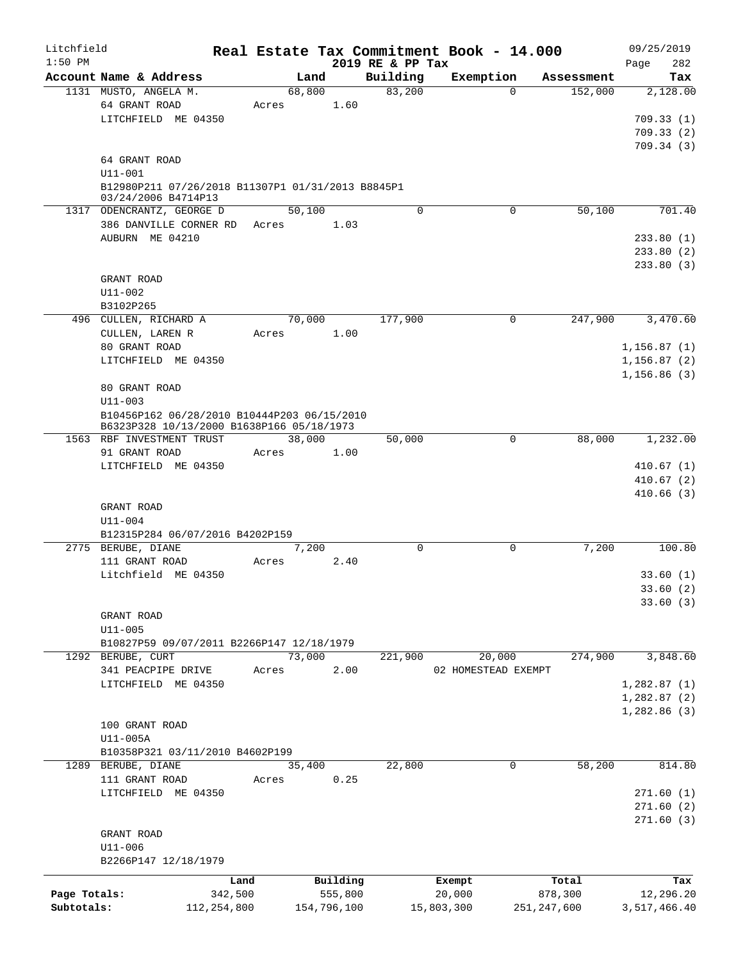| Litchfield   |                                                                                          |               |        |             |                              | Real Estate Tax Commitment Book - 14.000 |               |            | 09/25/2019                  |
|--------------|------------------------------------------------------------------------------------------|---------------|--------|-------------|------------------------------|------------------------------------------|---------------|------------|-----------------------------|
| $1:50$ PM    | Account Name & Address                                                                   |               | Land   |             | 2019 RE & PP Tax<br>Building | Exemption                                |               | Assessment | 282<br>Page<br>Tax          |
|              | 1131 MUSTO, ANGELA M.                                                                    |               | 68,800 |             | 83,200                       |                                          | $\Omega$      | 152,000    | 2,128.00                    |
|              | 64 GRANT ROAD<br>LITCHFIELD ME 04350                                                     | Acres         |        | 1.60        |                              |                                          |               |            | 709.33(1)<br>709.33(2)      |
|              | 64 GRANT ROAD<br>U11-001                                                                 |               |        |             |                              |                                          |               |            | 709.34(3)                   |
|              | B12980P211 07/26/2018 B11307P1 01/31/2013 B8845P1<br>03/24/2006 B4714P13                 |               |        |             |                              |                                          |               |            |                             |
|              | 1317 ODENCRANTZ, GEORGE D                                                                |               | 50,100 |             | $\Omega$                     |                                          | 0             | 50,100     | 701.40                      |
|              | 386 DANVILLE CORNER RD Acres                                                             |               |        | 1.03        |                              |                                          |               |            |                             |
|              | AUBURN ME 04210                                                                          |               |        |             |                              |                                          |               |            | 233.80(1)<br>233.80(2)      |
|              | GRANT ROAD                                                                               |               |        |             |                              |                                          |               |            | 233.80(3)                   |
|              | $U11 - 002$                                                                              |               |        |             |                              |                                          |               |            |                             |
|              | B3102P265                                                                                |               |        |             |                              |                                          |               |            |                             |
|              | 496 CULLEN, RICHARD A<br>CULLEN, LAREN R                                                 | Acres         | 70,000 | 1.00        | 177,900                      |                                          | 0             | 247,900    | 3,470.60                    |
|              | 80 GRANT ROAD<br>LITCHFIELD ME 04350                                                     |               |        |             |                              |                                          |               |            | 1, 156.87(1)<br>1,156.87(2) |
|              |                                                                                          |               |        |             |                              |                                          |               |            | 1, 156.86(3)                |
|              | 80 GRANT ROAD<br>$U11 - 003$                                                             |               |        |             |                              |                                          |               |            |                             |
|              | B10456P162 06/28/2010 B10444P203 06/15/2010<br>B6323P328 10/13/2000 B1638P166 05/18/1973 |               |        |             |                              |                                          |               |            |                             |
|              | 1563 RBF INVESTMENT TRUST                                                                |               | 38,000 |             | 50,000                       |                                          | 0             | 88,000     | 1,232.00                    |
|              | 91 GRANT ROAD<br>LITCHFIELD ME 04350                                                     | Acres         |        | 1.00        |                              |                                          |               |            | 410.67(1)                   |
|              |                                                                                          |               |        |             |                              |                                          |               |            | 410.67(2)                   |
|              |                                                                                          |               |        |             |                              |                                          |               |            | 410.66(3)                   |
|              | GRANT ROAD                                                                               |               |        |             |                              |                                          |               |            |                             |
|              | U11-004                                                                                  |               |        |             |                              |                                          |               |            |                             |
|              | B12315P284 06/07/2016 B4202P159<br>2775 BERUBE, DIANE                                    |               | 7,200  |             | $\mathbf 0$                  |                                          | 0             | 7,200      | 100.80                      |
|              | 111 GRANT ROAD                                                                           | Acres         |        | 2.40        |                              |                                          |               |            |                             |
|              | Litchfield ME 04350                                                                      |               |        |             |                              |                                          |               |            | 33.60(1)                    |
|              |                                                                                          |               |        |             |                              |                                          |               |            | 33.60 (2)                   |
|              |                                                                                          |               |        |             |                              |                                          |               |            | 33.60(3)                    |
|              | GRANT ROAD<br>$U11 - 005$                                                                |               |        |             |                              |                                          |               |            |                             |
|              | B10827P59 09/07/2011 B2266P147 12/18/1979                                                |               |        |             |                              |                                          |               |            |                             |
|              | 1292 BERUBE, CURT                                                                        |               | 73,000 |             | 221,900                      | 20,000                                   |               | 274,900    | 3,848.60                    |
|              | 341 PEACPIPE DRIVE                                                                       | Acres         |        | 2.00        |                              | 02 HOMESTEAD EXEMPT                      |               |            |                             |
|              | LITCHFIELD ME 04350                                                                      |               |        |             |                              |                                          |               |            | 1,282.87(1)                 |
|              |                                                                                          |               |        |             |                              |                                          |               |            | 1,282.87(2)<br>1,282.86(3)  |
|              | 100 GRANT ROAD                                                                           |               |        |             |                              |                                          |               |            |                             |
|              | U11-005A                                                                                 |               |        |             |                              |                                          |               |            |                             |
|              | B10358P321 03/11/2010 B4602P199                                                          |               |        |             |                              |                                          |               |            |                             |
|              | 1289 BERUBE, DIANE                                                                       |               | 35,400 |             | 22,800                       |                                          | 0             | 58,200     | 814.80                      |
|              | 111 GRANT ROAD<br>LITCHFIELD ME 04350                                                    | Acres         |        | 0.25        |                              |                                          |               |            | 271.60(1)                   |
|              |                                                                                          |               |        |             |                              |                                          |               |            | 271.60(2)                   |
|              |                                                                                          |               |        |             |                              |                                          |               |            | 271.60(3)                   |
|              | GRANT ROAD<br>U11-006                                                                    |               |        |             |                              |                                          |               |            |                             |
|              | B2266P147 12/18/1979                                                                     |               |        |             |                              |                                          |               |            |                             |
|              |                                                                                          | Land          |        | Building    |                              | Exempt                                   |               | Total      | Tax                         |
| Page Totals: |                                                                                          | 342,500       |        | 555,800     |                              | 20,000                                   |               | 878,300    | 12,296.20                   |
| Subtotals:   |                                                                                          | 112, 254, 800 |        | 154,796,100 |                              | 15,803,300                               | 251, 247, 600 |            | 3,517,466.40                |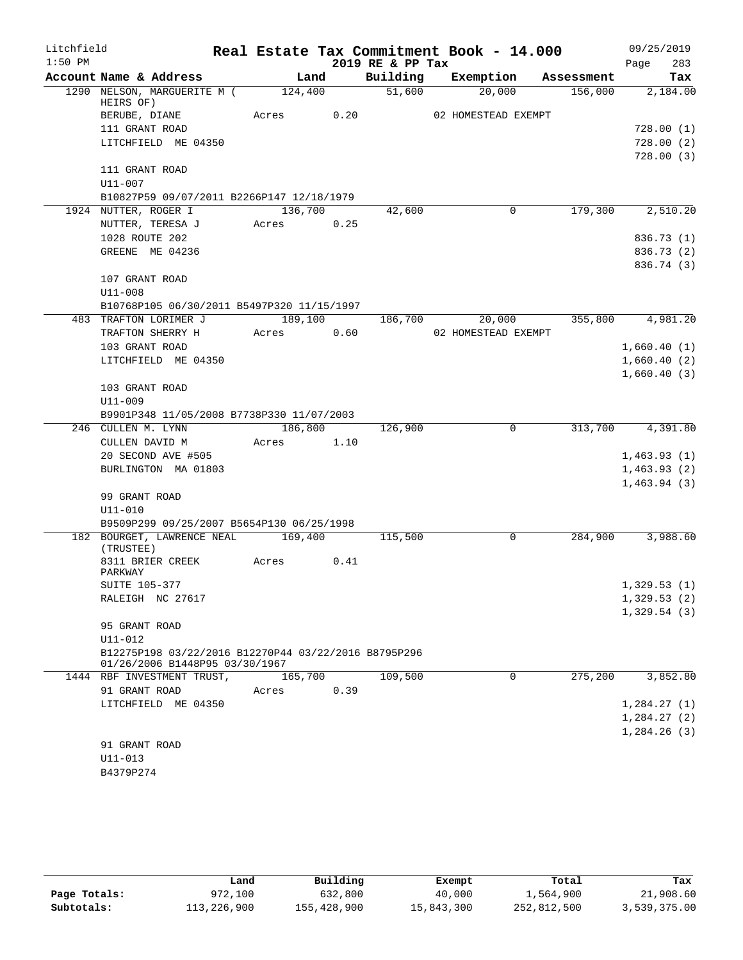| Litchfield |                                                      |            |      |      | Real Estate Tax Commitment Book - 14.000 |                     |                  |                            | 09/25/2019 |
|------------|------------------------------------------------------|------------|------|------|------------------------------------------|---------------------|------------------|----------------------------|------------|
| $1:50$ PM  |                                                      |            |      |      | 2019 RE & PP Tax                         |                     |                  | Page                       | 283        |
|            | Account Name & Address                               |            | Land |      | Building Exemption Assessment            |                     |                  |                            | Tax        |
|            | 1290 NELSON, MARGUERITE M (124,400<br>HEIRS OF)      |            |      |      | 51,600                                   | 20,000              | 156,000 2,184.00 |                            |            |
|            | BERUBE, DIANE                                        | Acres 0.20 |      |      |                                          | 02 HOMESTEAD EXEMPT |                  |                            |            |
|            | 111 GRANT ROAD                                       |            |      |      |                                          |                     |                  |                            | 728.00(1)  |
|            | LITCHFIELD ME 04350                                  |            |      |      |                                          |                     |                  |                            | 728.00(2)  |
|            |                                                      |            |      |      |                                          |                     |                  |                            | 728.00(3)  |
|            | 111 GRANT ROAD                                       |            |      |      |                                          |                     |                  |                            |            |
|            | U11-007                                              |            |      |      |                                          |                     |                  |                            |            |
|            | B10827P59 09/07/2011 B2266P147 12/18/1979            |            |      |      |                                          |                     |                  |                            |            |
|            | 1924 NUTTER, ROGER I                                 | 136,700    |      |      | 42,600                                   | $\overline{0}$      | 179,300 2,510.20 |                            |            |
|            | NUTTER, TERESA J                                     | Acres 0.25 |      |      |                                          |                     |                  |                            |            |
|            | 1028 ROUTE 202                                       |            |      |      |                                          |                     |                  |                            | 836.73 (1) |
|            | GREENE ME 04236                                      |            |      |      |                                          |                     |                  |                            | 836.73 (2) |
|            |                                                      |            |      |      |                                          |                     |                  |                            | 836.74 (3) |
|            | 107 GRANT ROAD                                       |            |      |      |                                          |                     |                  |                            |            |
|            | U11-008                                              |            |      |      |                                          |                     |                  |                            |            |
|            | B10768P105 06/30/2011 B5497P320 11/15/1997           |            |      |      |                                          |                     |                  |                            |            |
|            | 483 TRAFTON LORIMER J                                |            |      |      | 189,100 186,700 20,000                   |                     | 355,800 4,981.20 |                            |            |
|            | TRAFTON SHERRY H                                     | Acres 0.60 |      |      |                                          | 02 HOMESTEAD EXEMPT |                  |                            |            |
|            | 103 GRANT ROAD                                       |            |      |      |                                          |                     |                  | 1,660.40(1)                |            |
|            | LITCHFIELD ME 04350                                  |            |      |      |                                          |                     |                  | 1,660.40(2)                |            |
|            |                                                      |            |      |      |                                          |                     |                  | 1,660.40(3)                |            |
|            | 103 GRANT ROAD                                       |            |      |      |                                          |                     |                  |                            |            |
|            | U11-009                                              |            |      |      |                                          |                     |                  |                            |            |
|            | B9901P348 11/05/2008 B7738P330 11/07/2003            |            |      |      |                                          |                     |                  |                            |            |
|            | 246 CULLEN M. LYNN                                   | 186,800    |      |      | 126,900                                  | $\Omega$            | 313,700 4,391.80 |                            |            |
|            | CULLEN DAVID M                                       | Acres 1.10 |      |      |                                          |                     |                  |                            |            |
|            | 20 SECOND AVE #505<br>BURLINGTON MA 01803            |            |      |      |                                          |                     |                  | 1,463.93(1)                |            |
|            |                                                      |            |      |      |                                          |                     |                  | 1,463.93(2)<br>1,463.94(3) |            |
|            | 99 GRANT ROAD                                        |            |      |      |                                          |                     |                  |                            |            |
|            | U11-010                                              |            |      |      |                                          |                     |                  |                            |            |
|            | B9509P299 09/25/2007 B5654P130 06/25/1998            |            |      |      |                                          |                     |                  |                            |            |
|            | 182 BOURGET, LAWRENCE NEAL 169,400                   |            |      |      | 115,500                                  | $\mathbf 0$         | 284,900 3,988.60 |                            |            |
|            | (TRUSTEE)                                            |            |      |      |                                          |                     |                  |                            |            |
|            | 8311 BRIER CREEK                                     | Acres 0.41 |      |      |                                          |                     |                  |                            |            |
|            | PARKWAY                                              |            |      |      |                                          |                     |                  |                            |            |
|            | SUITE 105-377                                        |            |      |      |                                          |                     |                  | 1,329.53(1)                |            |
|            | RALEIGH NC 27617                                     |            |      |      |                                          |                     |                  | 1,329.53(2)                |            |
|            | 95 GRANT ROAD                                        |            |      |      |                                          |                     |                  | 1,329.54(3)                |            |
|            | U11-012                                              |            |      |      |                                          |                     |                  |                            |            |
|            | B12275P198 03/22/2016 B12270P44 03/22/2016 B8795P296 |            |      |      |                                          |                     |                  |                            |            |
|            | 01/26/2006 B1448P95 03/30/1967                       |            |      |      |                                          |                     |                  |                            |            |
|            | 1444 RBF INVESTMENT TRUST,                           | 165,700    |      |      | 109,500                                  | 0                   | 275,200          |                            | 3,852.80   |
|            | 91 GRANT ROAD                                        | Acres      |      | 0.39 |                                          |                     |                  |                            |            |
|            | LITCHFIELD ME 04350                                  |            |      |      |                                          |                     |                  | 1,284.27(1)                |            |
|            |                                                      |            |      |      |                                          |                     |                  | 1,284.27(2)                |            |
|            |                                                      |            |      |      |                                          |                     |                  | 1,284.26(3)                |            |
|            | 91 GRANT ROAD                                        |            |      |      |                                          |                     |                  |                            |            |
|            | $U11 - 013$                                          |            |      |      |                                          |                     |                  |                            |            |

B4379P274

|              | Land        | Building    | Exempt     | Total       | Tax          |
|--------------|-------------|-------------|------------|-------------|--------------|
| Page Totals: | 972,100     | 632,800     | 40,000     | 1,564,900   | 21,908.60    |
| Subtotals:   | 113,226,900 | 155,428,900 | 15,843,300 | 252,812,500 | 3,539,375.00 |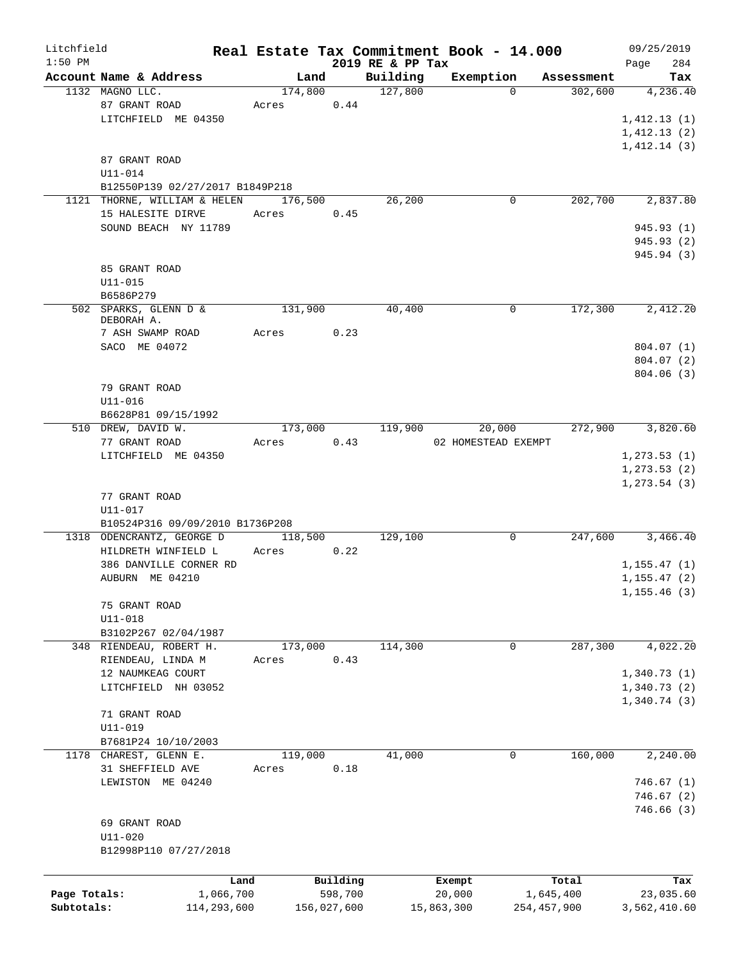| Litchfield   |                                 | Real Estate Tax Commitment Book - 14.000 |             |                              |                     |               |                       | 09/25/2019      |
|--------------|---------------------------------|------------------------------------------|-------------|------------------------------|---------------------|---------------|-----------------------|-----------------|
| $1:50$ PM    | Account Name & Address          | Land                                     |             | 2019 RE & PP Tax<br>Building |                     |               |                       | 284<br>Page     |
|              | 1132 MAGNO LLC.                 | 174,800                                  |             | 127,800                      | Exemption           | $\Omega$      | Assessment<br>302,600 | Tax<br>4,236.40 |
|              | 87 GRANT ROAD                   | Acres                                    | 0.44        |                              |                     |               |                       |                 |
|              | LITCHFIELD ME 04350             |                                          |             |                              |                     |               |                       | 1,412.13(1)     |
|              |                                 |                                          |             |                              |                     |               |                       |                 |
|              |                                 |                                          |             |                              |                     |               |                       | 1,412.13(2)     |
|              |                                 |                                          |             |                              |                     |               |                       | 1,412.14(3)     |
|              | 87 GRANT ROAD                   |                                          |             |                              |                     |               |                       |                 |
|              | U11-014                         |                                          |             |                              |                     |               |                       |                 |
|              | B12550P139 02/27/2017 B1849P218 |                                          |             |                              |                     |               |                       |                 |
|              | 1121 THORNE, WILLIAM & HELEN    | 176,500                                  |             | 26,200                       |                     | 0             | 202,700               | 2,837.80        |
|              | 15 HALESITE DIRVE               | Acres                                    | 0.45        |                              |                     |               |                       |                 |
|              | SOUND BEACH NY 11789            |                                          |             |                              |                     |               |                       | 945.93 (1)      |
|              |                                 |                                          |             |                              |                     |               |                       | 945.93 (2)      |
|              |                                 |                                          |             |                              |                     |               |                       | 945.94 (3)      |
|              | 85 GRANT ROAD                   |                                          |             |                              |                     |               |                       |                 |
|              | $U11 - 015$                     |                                          |             |                              |                     |               |                       |                 |
|              | B6586P279                       |                                          |             |                              |                     |               |                       |                 |
|              | 502 SPARKS, GLENN D &           | 131,900                                  |             | 40,400                       |                     | 0             | 172,300               | 2,412.20        |
|              | DEBORAH A.                      |                                          |             |                              |                     |               |                       |                 |
|              | 7 ASH SWAMP ROAD                | Acres                                    | 0.23        |                              |                     |               |                       |                 |
|              | SACO ME 04072                   |                                          |             |                              |                     |               |                       | 804.07 (1)      |
|              |                                 |                                          |             |                              |                     |               |                       | 804.07 (2)      |
|              |                                 |                                          |             |                              |                     |               |                       | 804.06(3)       |
|              | 79 GRANT ROAD                   |                                          |             |                              |                     |               |                       |                 |
|              | $U11 - 016$                     |                                          |             |                              |                     |               |                       |                 |
|              | B6628P81 09/15/1992             |                                          |             |                              |                     |               |                       |                 |
|              | 510 DREW, DAVID W.              | 173,000                                  |             | 119,900                      | 20,000              |               | 272,900               | 3,820.60        |
|              | 77 GRANT ROAD                   | Acres                                    | 0.43        |                              | 02 HOMESTEAD EXEMPT |               |                       |                 |
|              | LITCHFIELD ME 04350             |                                          |             |                              |                     |               |                       | 1, 273.53(1)    |
|              |                                 |                                          |             |                              |                     |               |                       | 1, 273.53(2)    |
|              |                                 |                                          |             |                              |                     |               |                       | 1, 273.54(3)    |
|              | 77 GRANT ROAD                   |                                          |             |                              |                     |               |                       |                 |
|              | $U11 - 017$                     |                                          |             |                              |                     |               |                       |                 |
|              | B10524P316 09/09/2010 B1736P208 |                                          |             |                              |                     |               |                       |                 |
|              | 1318 ODENCRANTZ, GEORGE D       | 118,500                                  |             | 129,100                      |                     | 0             | 247,600               | 3,466.40        |
|              |                                 |                                          | 0.22        |                              |                     |               |                       |                 |
|              | HILDRETH WINFIELD L             | Acres                                    |             |                              |                     |               |                       |                 |
|              | 386 DANVILLE CORNER RD          |                                          |             |                              |                     |               |                       | 1, 155.47(1)    |
|              | AUBURN ME 04210                 |                                          |             |                              |                     |               |                       | 1, 155.47(2)    |
|              |                                 |                                          |             |                              |                     |               |                       | 1, 155.46(3)    |
|              | 75 GRANT ROAD                   |                                          |             |                              |                     |               |                       |                 |
|              | $U11 - 018$                     |                                          |             |                              |                     |               |                       |                 |
|              | B3102P267 02/04/1987            |                                          |             |                              |                     |               |                       |                 |
|              | 348 RIENDEAU, ROBERT H.         | 173,000                                  |             | 114,300                      |                     | 0             | 287,300               | 4,022.20        |
|              | RIENDEAU, LINDA M               | Acres                                    | 0.43        |                              |                     |               |                       |                 |
|              | 12 NAUMKEAG COURT               |                                          |             |                              |                     |               |                       | 1,340.73(1)     |
|              | LITCHFIELD NH 03052             |                                          |             |                              |                     |               |                       | 1,340.73(2)     |
|              |                                 |                                          |             |                              |                     |               |                       | 1,340.74(3)     |
|              | 71 GRANT ROAD                   |                                          |             |                              |                     |               |                       |                 |
|              | $U11 - 019$                     |                                          |             |                              |                     |               |                       |                 |
|              | B7681P24 10/10/2003             |                                          |             |                              |                     |               |                       |                 |
|              | 1178 CHAREST, GLENN E.          | 119,000                                  |             | 41,000                       |                     | 0             | 160,000               | 2,240.00        |
|              | 31 SHEFFIELD AVE                | Acres                                    | 0.18        |                              |                     |               |                       |                 |
|              | LEWISTON ME 04240               |                                          |             |                              |                     |               |                       | 746.67(1)       |
|              |                                 |                                          |             |                              |                     |               |                       | 746.67(2)       |
|              |                                 |                                          |             |                              |                     |               |                       | 746.66(3)       |
|              |                                 |                                          |             |                              |                     |               |                       |                 |
|              | 69 GRANT ROAD                   |                                          |             |                              |                     |               |                       |                 |
|              | U11-020                         |                                          |             |                              |                     |               |                       |                 |
|              | B12998P110 07/27/2018           |                                          |             |                              |                     |               |                       |                 |
|              |                                 |                                          |             |                              |                     |               |                       |                 |
|              |                                 | Land                                     | Building    |                              | Exempt              |               | Total                 | Tax             |
| Page Totals: | 1,066,700                       |                                          | 598,700     |                              | 20,000              |               | 1,645,400             | 23,035.60       |
| Subtotals:   | 114,293,600                     |                                          | 156,027,600 |                              | 15,863,300          | 254, 457, 900 |                       | 3,562,410.60    |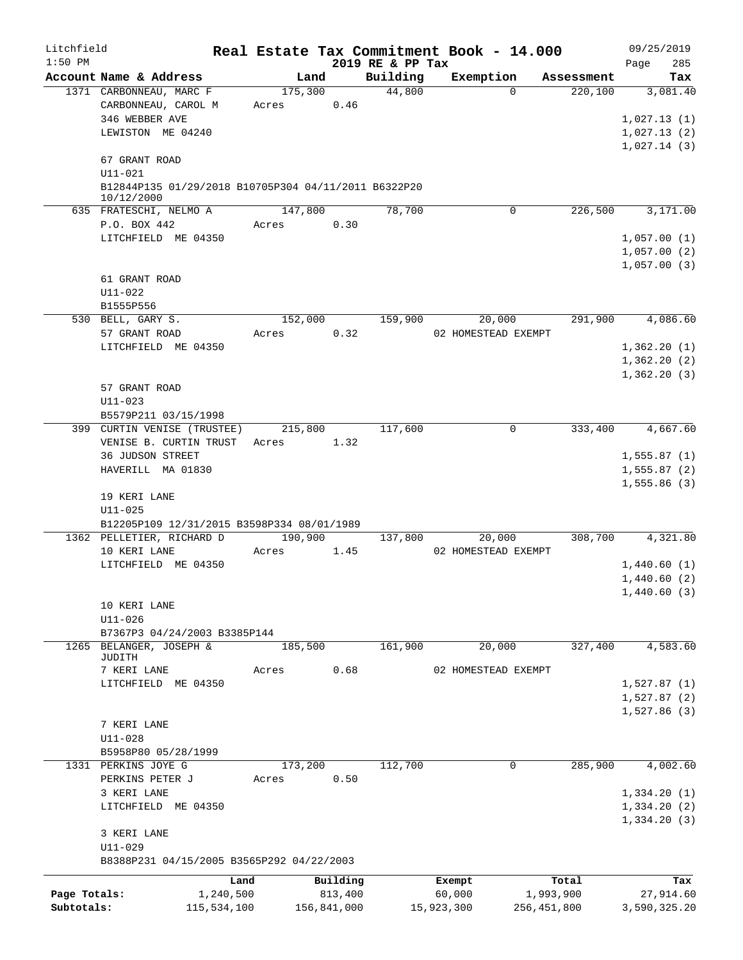| Litchfield   |                                                                    |           |         |             | Real Estate Tax Commitment Book - 14.000 |            |                     |             | 09/25/2019       |
|--------------|--------------------------------------------------------------------|-----------|---------|-------------|------------------------------------------|------------|---------------------|-------------|------------------|
| $1:50$ PM    |                                                                    |           |         |             | 2019 RE & PP Tax                         |            |                     |             | 285<br>Page      |
|              | Account Name & Address                                             |           | Land    |             | Building                                 |            | Exemption           | Assessment  | Tax              |
|              | 1371 CARBONNEAU, MARC F<br>CARBONNEAU, CAROL M                     |           | 175,300 | 0.46        | 44,800                                   |            | $\Omega$            | 220,100     | 3,081.40         |
|              | 346 WEBBER AVE                                                     |           | Acres   |             |                                          |            |                     |             | 1,027.13(1)      |
|              | LEWISTON ME 04240                                                  |           |         |             |                                          |            |                     |             | 1,027.13(2)      |
|              |                                                                    |           |         |             |                                          |            |                     |             | 1,027.14(3)      |
|              | 67 GRANT ROAD<br>U11-021                                           |           |         |             |                                          |            |                     |             |                  |
|              | B12844P135 01/29/2018 B10705P304 04/11/2011 B6322P20<br>10/12/2000 |           |         |             |                                          |            |                     |             |                  |
|              | 635 FRATESCHI, NELMO A                                             |           | 147,800 |             | 78,700                                   |            | $\Omega$            | 226,500     | 3,171.00         |
|              | P.O. BOX 442                                                       |           | Acres   | 0.30        |                                          |            |                     |             |                  |
|              | LITCHFIELD ME 04350                                                |           |         |             |                                          |            |                     |             | 1,057.00(1)      |
|              |                                                                    |           |         |             |                                          |            |                     |             | 1,057.00(2)      |
|              |                                                                    |           |         |             |                                          |            |                     |             | 1,057.00(3)      |
|              | 61 GRANT ROAD                                                      |           |         |             |                                          |            |                     |             |                  |
|              | $U11 - 022$                                                        |           |         |             |                                          |            |                     |             |                  |
|              | B1555P556                                                          |           |         |             |                                          |            |                     |             |                  |
|              | 530 BELL, GARY S.                                                  |           | 152,000 |             | 159,900                                  |            | 20,000              | 291,900     | 4,086.60         |
|              | 57 GRANT ROAD                                                      |           | Acres   | 0.32        |                                          |            | 02 HOMESTEAD EXEMPT |             |                  |
|              | LITCHFIELD ME 04350                                                |           |         |             |                                          |            |                     |             | 1,362.20(1)      |
|              |                                                                    |           |         |             |                                          |            |                     |             | 1,362.20(2)      |
|              |                                                                    |           |         |             |                                          |            |                     |             | 1,362.20(3)      |
|              | 57 GRANT ROAD                                                      |           |         |             |                                          |            |                     |             |                  |
|              | $U11 - 023$                                                        |           |         |             |                                          |            |                     |             |                  |
|              | B5579P211 03/15/1998                                               |           |         |             |                                          |            |                     |             |                  |
|              | 399 CURTIN VENISE (TRUSTEE)                                        |           | 215,800 |             | 117,600                                  |            | 0                   |             | 333,400 4,667.60 |
|              | VENISE B. CURTIN TRUST Acres                                       |           |         | 1.32        |                                          |            |                     |             |                  |
|              | 36 JUDSON STREET                                                   |           |         |             |                                          |            |                     |             | 1,555.87(1)      |
|              | HAVERILL MA 01830                                                  |           |         |             |                                          |            |                     |             | 1,555.87(2)      |
|              |                                                                    |           |         |             |                                          |            |                     |             | 1,555.86(3)      |
|              | 19 KERI LANE                                                       |           |         |             |                                          |            |                     |             |                  |
|              | $U11 - 025$                                                        |           |         |             |                                          |            |                     |             |                  |
|              | B12205P109 12/31/2015 B3598P334 08/01/1989                         |           |         |             |                                          |            |                     |             |                  |
|              | 1362 PELLETIER, RICHARD D                                          |           | 190,900 |             | 137,800                                  |            | 20,000              | 308,700     | 4,321.80         |
|              | 10 KERI LANE                                                       |           | Acres   | 1.45        |                                          |            | 02 HOMESTEAD EXEMPT |             |                  |
|              | LITCHFIELD ME 04350                                                |           |         |             |                                          |            |                     |             | 1,440.60(1)      |
|              |                                                                    |           |         |             |                                          |            |                     |             | 1,440.60(2)      |
|              |                                                                    |           |         |             |                                          |            |                     |             | 1,440.60(3)      |
|              |                                                                    |           |         |             |                                          |            |                     |             |                  |
|              | 10 KERI LANE                                                       |           |         |             |                                          |            |                     |             |                  |
|              | $U11 - 026$<br>B7367P3 04/24/2003 B3385P144                        |           |         |             |                                          |            |                     |             |                  |
|              | 1265 BELANGER, JOSEPH &                                            |           | 185,500 |             | 161,900                                  |            | 20,000              | 327,400     | 4,583.60         |
|              | JUDITH                                                             |           |         |             |                                          |            |                     |             |                  |
|              | 7 KERI LANE                                                        |           | Acres   | 0.68        |                                          |            | 02 HOMESTEAD EXEMPT |             |                  |
|              | LITCHFIELD ME 04350                                                |           |         |             |                                          |            |                     |             | 1,527.87(1)      |
|              |                                                                    |           |         |             |                                          |            |                     |             | 1,527.87(2)      |
|              |                                                                    |           |         |             |                                          |            |                     |             | 1,527.86(3)      |
|              | 7 KERI LANE                                                        |           |         |             |                                          |            |                     |             |                  |
|              | $U11 - 028$                                                        |           |         |             |                                          |            |                     |             |                  |
|              | B5958P80 05/28/1999                                                |           |         |             |                                          |            |                     |             |                  |
|              | 1331 PERKINS JOYE G                                                |           | 173,200 |             | 112,700                                  |            | 0                   | 285,900     | 4,002.60         |
|              | PERKINS PETER J                                                    |           | Acres   | 0.50        |                                          |            |                     |             |                  |
|              |                                                                    |           |         |             |                                          |            |                     |             |                  |
|              | 3 KERI LANE                                                        |           |         |             |                                          |            |                     |             | 1,334.20(1)      |
|              | LITCHFIELD ME 04350                                                |           |         |             |                                          |            |                     |             | 1,334.20(2)      |
|              |                                                                    |           |         |             |                                          |            |                     |             | 1,334.20(3)      |
|              | 3 KERI LANE                                                        |           |         |             |                                          |            |                     |             |                  |
|              | $U11 - 029$                                                        |           |         |             |                                          |            |                     |             |                  |
|              | B8388P231 04/15/2005 B3565P292 04/22/2003                          |           |         |             |                                          |            |                     |             |                  |
|              |                                                                    | Land      |         | Building    |                                          | Exempt     |                     | Total       | Tax              |
| Page Totals: |                                                                    | 1,240,500 |         | 813,400     |                                          | 60,000     |                     | 1,993,900   | 27,914.60        |
| Subtotals:   | 115,534,100                                                        |           |         | 156,841,000 |                                          | 15,923,300 |                     | 256,451,800 | 3,590,325.20     |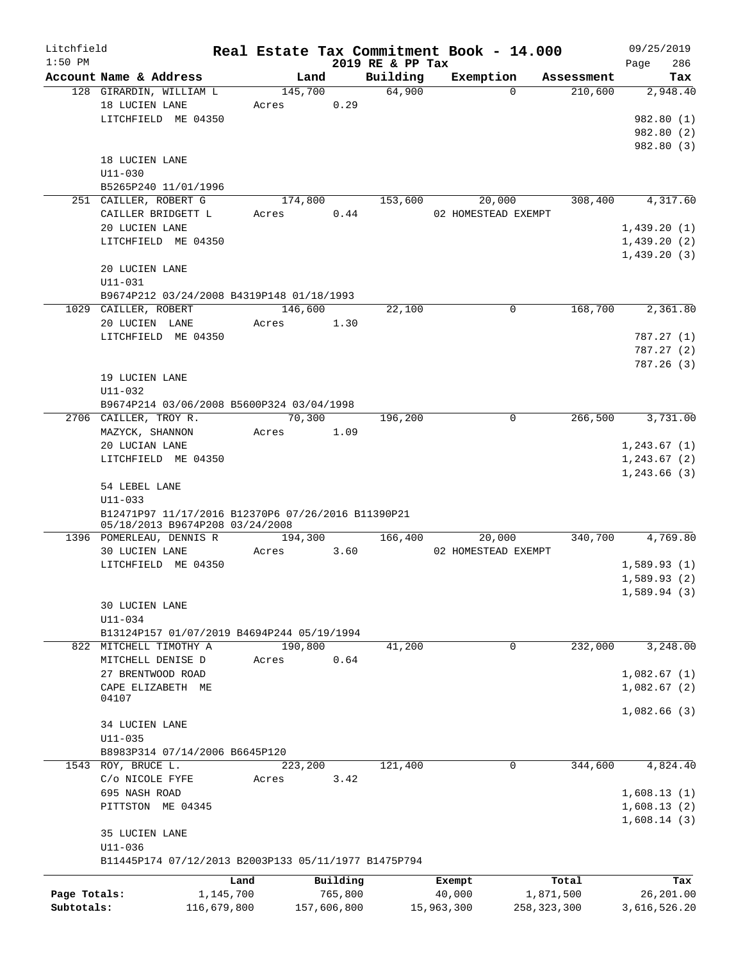| Litchfield<br>$1:50$ PM |                                                      |            |             | 2019 RE & PP Tax | Real Estate Tax Commitment Book - 14.000 |               | 09/25/2019         |
|-------------------------|------------------------------------------------------|------------|-------------|------------------|------------------------------------------|---------------|--------------------|
|                         | Account Name & Address                               | Land       |             | Building         | Exemption                                | Assessment    | 286<br>Page<br>Tax |
|                         | 128 GIRARDIN, WILLIAM L                              | 145,700    |             | 64,900           | $\Omega$                                 | 210,600       | 2,948.40           |
|                         | 18 LUCIEN LANE                                       | Acres      | 0.29        |                  |                                          |               |                    |
|                         | LITCHFIELD ME 04350                                  |            |             |                  |                                          |               | 982.80 (1)         |
|                         |                                                      |            |             |                  |                                          |               | 982.80(2)          |
|                         |                                                      |            |             |                  |                                          |               | 982.80 (3)         |
|                         |                                                      |            |             |                  |                                          |               |                    |
|                         | 18 LUCIEN LANE                                       |            |             |                  |                                          |               |                    |
|                         | $U11 - 030$                                          |            |             |                  |                                          |               |                    |
|                         | B5265P240 11/01/1996                                 |            |             |                  |                                          |               |                    |
|                         | 251 CAILLER, ROBERT G                                | 174,800    |             | 153,600          | 20,000                                   | 308,400       | 4,317.60           |
|                         | CAILLER BRIDGETT L                                   | Acres      | 0.44        |                  | 02 HOMESTEAD EXEMPT                      |               |                    |
|                         | 20 LUCIEN LANE                                       |            |             |                  |                                          |               | 1,439.20(1)        |
|                         | LITCHFIELD ME 04350                                  |            |             |                  |                                          |               | 1,439.20(2)        |
|                         |                                                      |            |             |                  |                                          |               | 1,439.20(3)        |
|                         | 20 LUCIEN LANE                                       |            |             |                  |                                          |               |                    |
|                         | $U11 - 031$                                          |            |             |                  |                                          |               |                    |
|                         | B9674P212 03/24/2008 B4319P148 01/18/1993            |            |             |                  |                                          |               |                    |
|                         | 1029 CAILLER, ROBERT                                 | 146,600    |             | 22,100           | $\mathbf 0$                              | 168,700       | 2,361.80           |
|                         | 20 LUCIEN LANE                                       | Acres      | 1.30        |                  |                                          |               |                    |
|                         | LITCHFIELD ME 04350                                  |            |             |                  |                                          |               | 787.27(1)          |
|                         |                                                      |            |             |                  |                                          |               | 787.27 (2)         |
|                         |                                                      |            |             |                  |                                          |               | 787.26(3)          |
|                         | 19 LUCIEN LANE                                       |            |             |                  |                                          |               |                    |
|                         | U11-032                                              |            |             |                  |                                          |               |                    |
|                         |                                                      |            |             |                  |                                          |               |                    |
|                         | B9674P214 03/06/2008 B5600P324 03/04/1998            |            |             |                  |                                          |               |                    |
|                         | 2706 CAILLER, TROY R.                                | 70,300     |             | 196,200          | $\mathbf 0$                              | 266,500       | 3,731.00           |
|                         | MAZYCK, SHANNON                                      | Acres 1.09 |             |                  |                                          |               |                    |
|                         | 20 LUCIAN LANE                                       |            |             |                  |                                          |               | 1, 243.67(1)       |
|                         | LITCHFIELD ME 04350                                  |            |             |                  |                                          |               | 1,243.67(2)        |
|                         |                                                      |            |             |                  |                                          |               | 1, 243.66(3)       |
|                         | 54 LEBEL LANE                                        |            |             |                  |                                          |               |                    |
|                         | $U11 - 033$                                          |            |             |                  |                                          |               |                    |
|                         | B12471P97 11/17/2016 B12370P6 07/26/2016 B11390P21   |            |             |                  |                                          |               |                    |
|                         | 05/18/2013 B9674P208 03/24/2008                      |            |             |                  |                                          |               |                    |
|                         | 1396 POMERLEAU, DENNIS R                             | 194,300    |             | 166,400          | 20,000                                   | 340,700       | 4,769.80           |
|                         | <b>30 LUCIEN LANE</b>                                | Acres      | 3.60        |                  | 02 HOMESTEAD EXEMPT                      |               |                    |
|                         | LITCHFIELD ME 04350                                  |            |             |                  |                                          |               | 1,589.93(1)        |
|                         |                                                      |            |             |                  |                                          |               | 1,589.93(2)        |
|                         |                                                      |            |             |                  |                                          |               | 1,589.94(3)        |
|                         | 30 LUCIEN LANE                                       |            |             |                  |                                          |               |                    |
|                         | U11-034                                              |            |             |                  |                                          |               |                    |
|                         | B13124P157 01/07/2019 B4694P244 05/19/1994           |            |             |                  |                                          |               |                    |
|                         | 822 MITCHELL TIMOTHY A                               | 190,800    |             | 41,200           | 0                                        | 232,000       | 3,248.00           |
|                         | MITCHELL DENISE D                                    | Acres      | 0.64        |                  |                                          |               |                    |
|                         | 27 BRENTWOOD ROAD                                    |            |             |                  |                                          |               | 1,082.67(1)        |
|                         | CAPE ELIZABETH ME                                    |            |             |                  |                                          |               | 1,082.67(2)        |
|                         | 04107                                                |            |             |                  |                                          |               |                    |
|                         |                                                      |            |             |                  |                                          |               | 1,082.66(3)        |
|                         | 34 LUCIEN LANE                                       |            |             |                  |                                          |               |                    |
|                         | $U11 - 035$                                          |            |             |                  |                                          |               |                    |
|                         |                                                      |            |             |                  |                                          |               |                    |
|                         | B8983P314 07/14/2006 B6645P120                       |            |             |                  |                                          |               |                    |
|                         | 1543 ROY, BRUCE L.                                   | 223,200    |             | 121,400          | 0                                        | 344,600       | 4,824.40           |
|                         | C/O NICOLE FYFE                                      | Acres      | 3.42        |                  |                                          |               |                    |
|                         | 695 NASH ROAD                                        |            |             |                  |                                          |               | 1,608.13(1)        |
|                         | PITTSTON ME 04345                                    |            |             |                  |                                          |               | 1,608.13(2)        |
|                         |                                                      |            |             |                  |                                          |               | 1,608.14(3)        |
|                         | 35 LUCIEN LANE                                       |            |             |                  |                                          |               |                    |
|                         | $U11 - 036$                                          |            |             |                  |                                          |               |                    |
|                         | B11445P174 07/12/2013 B2003P133 05/11/1977 B1475P794 |            |             |                  |                                          |               |                    |
|                         |                                                      | Land       | Building    |                  | Exempt                                   | Total         | Tax                |
| Page Totals:            | 1,145,700                                            |            | 765,800     |                  | 40,000                                   | 1,871,500     | 26,201.00          |
| Subtotals:              |                                                      |            | 157,606,800 |                  |                                          | 258, 323, 300 | 3,616,526.20       |
|                         | 116,679,800                                          |            |             |                  | 15,963,300                               |               |                    |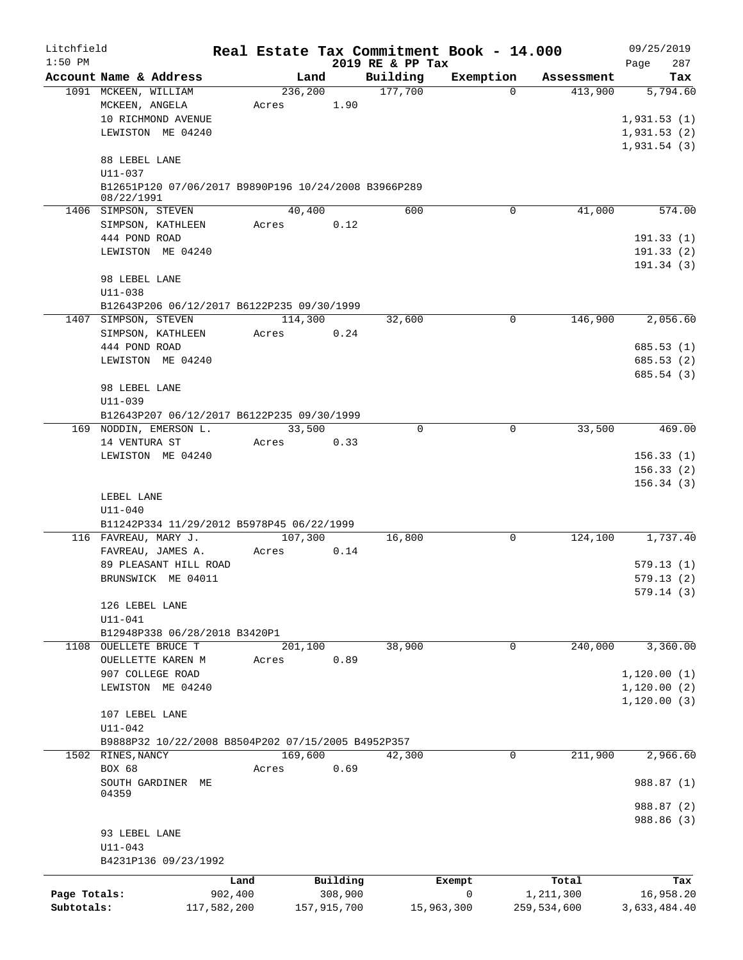| Litchfield   |                        |                                                      |                  |             |                     | Real Estate Tax Commitment Book - 14.000 |                       | 09/25/2019             |
|--------------|------------------------|------------------------------------------------------|------------------|-------------|---------------------|------------------------------------------|-----------------------|------------------------|
| $1:50$ PM    | Account Name & Address |                                                      |                  |             | 2019 RE & PP Tax    | Exemption                                |                       | 287<br>Page            |
|              | 1091 MCKEEN, WILLIAM   |                                                      | Land<br>236,200  |             | Building<br>177,700 | $\Omega$                                 | Assessment<br>413,900 | Tax<br>5,794.60        |
|              | MCKEEN, ANGELA         |                                                      | Acres            | 1.90        |                     |                                          |                       |                        |
|              | 10 RICHMOND AVENUE     |                                                      |                  |             |                     |                                          |                       | 1,931.53(1)            |
|              | LEWISTON ME 04240      |                                                      |                  |             |                     |                                          |                       | 1,931.53(2)            |
|              |                        |                                                      |                  |             |                     |                                          |                       | 1,931.54(3)            |
|              | 88 LEBEL LANE          |                                                      |                  |             |                     |                                          |                       |                        |
|              | $U11 - 037$            |                                                      |                  |             |                     |                                          |                       |                        |
|              | 08/22/1991             | B12651P120 07/06/2017 B9890P196 10/24/2008 B3966P289 |                  |             |                     |                                          |                       |                        |
|              | 1406 SIMPSON, STEVEN   |                                                      | 40,400           |             | 600                 | 0                                        | 41,000                | 574.00                 |
|              | SIMPSON, KATHLEEN      |                                                      | Acres            | 0.12        |                     |                                          |                       |                        |
|              | 444 POND ROAD          |                                                      |                  |             |                     |                                          |                       | 191.33(1)              |
|              | LEWISTON ME 04240      |                                                      |                  |             |                     |                                          |                       | 191.33(2)              |
|              |                        |                                                      |                  |             |                     |                                          |                       | 191.34(3)              |
|              | 98 LEBEL LANE          |                                                      |                  |             |                     |                                          |                       |                        |
|              | $U11 - 038$            |                                                      |                  |             |                     |                                          |                       |                        |
|              | 1407 SIMPSON, STEVEN   | B12643P206 06/12/2017 B6122P235 09/30/1999           | 114,300          |             | 32,600              | 0                                        | 146,900               | 2,056.60               |
|              | SIMPSON, KATHLEEN      |                                                      | Acres            | 0.24        |                     |                                          |                       |                        |
|              | 444 POND ROAD          |                                                      |                  |             |                     |                                          |                       | 685.53(1)              |
|              | LEWISTON ME 04240      |                                                      |                  |             |                     |                                          |                       | 685.53(2)              |
|              |                        |                                                      |                  |             |                     |                                          |                       | 685.54 (3)             |
|              | 98 LEBEL LANE          |                                                      |                  |             |                     |                                          |                       |                        |
|              | U11-039                |                                                      |                  |             |                     |                                          |                       |                        |
|              |                        | B12643P207 06/12/2017 B6122P235 09/30/1999           |                  |             |                     |                                          |                       |                        |
|              | 169 NODDIN, EMERSON L. |                                                      | 33,500           |             | $\Omega$            | $\mathbf 0$                              | 33,500                | 469.00                 |
|              | 14 VENTURA ST          |                                                      | Acres            | 0.33        |                     |                                          |                       |                        |
|              | LEWISTON ME 04240      |                                                      |                  |             |                     |                                          |                       | 156.33(1)              |
|              |                        |                                                      |                  |             |                     |                                          |                       | 156.33(2)<br>156.34(3) |
|              | LEBEL LANE             |                                                      |                  |             |                     |                                          |                       |                        |
|              | $U11 - 040$            |                                                      |                  |             |                     |                                          |                       |                        |
|              |                        | B11242P334 11/29/2012 B5978P45 06/22/1999            |                  |             |                     |                                          |                       |                        |
|              | 116 FAVREAU, MARY J.   |                                                      | 107,300          |             | 16,800              | $\mathbf 0$                              | 124,100               | 1,737.40               |
|              | FAVREAU, JAMES A.      |                                                      | Acres            | 0.14        |                     |                                          |                       |                        |
|              |                        | 89 PLEASANT HILL ROAD                                |                  |             |                     |                                          |                       | 579.13(1)              |
|              | BRUNSWICK ME 04011     |                                                      |                  |             |                     |                                          |                       | 579.13(2)              |
|              |                        |                                                      |                  |             |                     |                                          |                       | 579.14 (3)             |
|              | 126 LEBEL LANE         |                                                      |                  |             |                     |                                          |                       |                        |
|              | $U11 - 041$            | B12948P338 06/28/2018 B3420P1                        |                  |             |                     |                                          |                       |                        |
|              | 1108 OUELLETE BRUCE T  |                                                      | 201,100          |             | 38,900              | 0                                        | 240,000               | 3,360.00               |
|              | OUELLETTE KAREN M      |                                                      | Acres            | 0.89        |                     |                                          |                       |                        |
|              | 907 COLLEGE ROAD       |                                                      |                  |             |                     |                                          |                       | 1, 120.00(1)           |
|              | LEWISTON ME 04240      |                                                      |                  |             |                     |                                          |                       | 1, 120.00(2)           |
|              |                        |                                                      |                  |             |                     |                                          |                       | 1, 120.00(3)           |
|              | 107 LEBEL LANE         |                                                      |                  |             |                     |                                          |                       |                        |
|              | $U11 - 042$            |                                                      |                  |             |                     |                                          |                       |                        |
|              | 1502 RINES, NANCY      | B9888P32 10/22/2008 B8504P202 07/15/2005 B4952P357   |                  |             |                     | 0                                        | 211,900               | 2,966.60               |
|              | <b>BOX 68</b>          |                                                      | 169,600<br>Acres | 0.69        | 42,300              |                                          |                       |                        |
|              | SOUTH GARDINER ME      |                                                      |                  |             |                     |                                          |                       | 988.87 (1)             |
|              | 04359                  |                                                      |                  |             |                     |                                          |                       |                        |
|              |                        |                                                      |                  |             |                     |                                          |                       | 988.87 (2)             |
|              |                        |                                                      |                  |             |                     |                                          |                       | 988.86 (3)             |
|              | 93 LEBEL LANE          |                                                      |                  |             |                     |                                          |                       |                        |
|              | $U11 - 043$            |                                                      |                  |             |                     |                                          |                       |                        |
|              |                        | B4231P136 09/23/1992                                 |                  |             |                     |                                          |                       |                        |
|              |                        | Land                                                 |                  | Building    |                     | Exempt                                   | Total                 | Tax                    |
| Page Totals: |                        | 902,400                                              |                  | 308,900     |                     | 0                                        | 1,211,300             | 16,958.20              |
| Subtotals:   |                        | 117,582,200                                          |                  | 157,915,700 |                     | 15,963,300                               | 259,534,600           | 3,633,484.40           |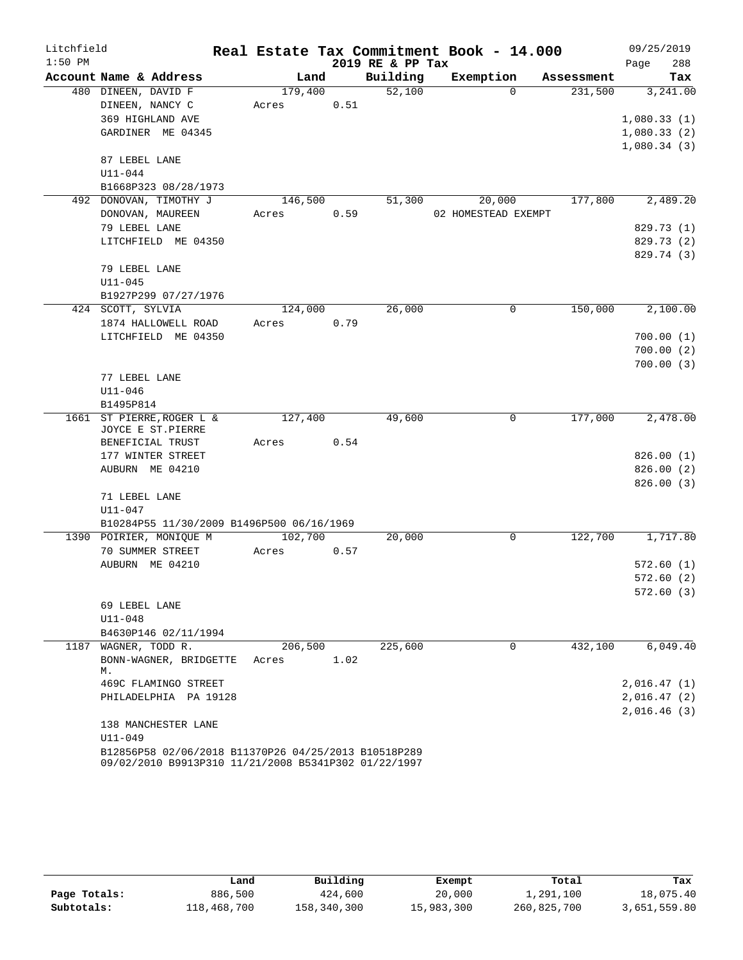| Litchfield |                                                      |         |      | Real Estate Tax Commitment Book - 14.000 |                     |             |            |      | 09/25/2019             |
|------------|------------------------------------------------------|---------|------|------------------------------------------|---------------------|-------------|------------|------|------------------------|
| $1:50$ PM  |                                                      |         |      | 2019 RE & PP Tax                         |                     |             |            | Page | 288                    |
|            | Account Name & Address                               | Land    |      | Building                                 | Exemption           |             | Assessment |      | Tax                    |
|            | 480 DINEEN, DAVID F                                  | 179,400 |      | 52,100                                   |                     | $\Omega$    | 231,500    |      | 3,241.00               |
|            | DINEEN, NANCY C                                      | Acres   | 0.51 |                                          |                     |             |            |      |                        |
|            | 369 HIGHLAND AVE                                     |         |      |                                          |                     |             |            |      | 1,080.33(1)            |
|            | GARDINER ME 04345                                    |         |      |                                          |                     |             |            |      | 1,080.33(2)            |
|            |                                                      |         |      |                                          |                     |             |            |      | 1,080.34(3)            |
|            | 87 LEBEL LANE                                        |         |      |                                          |                     |             |            |      |                        |
|            | $U11 - 044$                                          |         |      |                                          |                     |             |            |      |                        |
|            | B1668P323 08/28/1973                                 |         |      |                                          |                     |             |            |      |                        |
|            | 492 DONOVAN, TIMOTHY J                               | 146,500 |      | 51,300                                   | 20,000              |             | 177,800    |      | 2,489.20               |
|            | DONOVAN, MAUREEN                                     | Acres   | 0.59 |                                          | 02 HOMESTEAD EXEMPT |             |            |      |                        |
|            | 79 LEBEL LANE                                        |         |      |                                          |                     |             |            |      | 829.73 (1)             |
|            | LITCHFIELD ME 04350                                  |         |      |                                          |                     |             |            |      | 829.73 (2)             |
|            |                                                      |         |      |                                          |                     |             |            |      | 829.74 (3)             |
|            | 79 LEBEL LANE                                        |         |      |                                          |                     |             |            |      |                        |
|            | $U11 - 045$                                          |         |      |                                          |                     |             |            |      |                        |
|            | B1927P299 07/27/1976<br>424 SCOTT, SYLVIA            |         |      |                                          |                     |             |            |      |                        |
|            |                                                      | 124,000 |      | 26,000                                   |                     | $\mathbf 0$ | 150,000    |      | 2,100.00               |
|            | 1874 HALLOWELL ROAD                                  | Acres   | 0.79 |                                          |                     |             |            |      |                        |
|            | LITCHFIELD ME 04350                                  |         |      |                                          |                     |             |            |      | 700.00(1)              |
|            |                                                      |         |      |                                          |                     |             |            |      | 700.00(2)<br>700.00(3) |
|            | 77 LEBEL LANE                                        |         |      |                                          |                     |             |            |      |                        |
|            | $U11 - 046$                                          |         |      |                                          |                     |             |            |      |                        |
|            | B1495P814                                            |         |      |                                          |                     |             |            |      |                        |
| 1661       | ST PIERRE, ROGER L &                                 | 127,400 |      | 49,600                                   |                     | 0           | 177,000    |      | 2,478.00               |
|            | JOYCE E ST.PIERRE                                    |         |      |                                          |                     |             |            |      |                        |
|            | BENEFICIAL TRUST                                     | Acres   | 0.54 |                                          |                     |             |            |      |                        |
|            | 177 WINTER STREET                                    |         |      |                                          |                     |             |            |      | 826.00(1)              |
|            | AUBURN ME 04210                                      |         |      |                                          |                     |             |            |      | 826.00(2)              |
|            |                                                      |         |      |                                          |                     |             |            |      | 826.00(3)              |
|            | 71 LEBEL LANE                                        |         |      |                                          |                     |             |            |      |                        |
|            | $U11 - 047$                                          |         |      |                                          |                     |             |            |      |                        |
|            | B10284P55 11/30/2009 B1496P500 06/16/1969            |         |      |                                          |                     |             |            |      |                        |
|            | 1390 POIRIER, MONIQUE M                              | 102,700 |      | 20,000                                   |                     | 0           | 122,700    |      | 1,717.80               |
|            | 70 SUMMER STREET                                     | Acres   | 0.57 |                                          |                     |             |            |      |                        |
|            | AUBURN ME 04210                                      |         |      |                                          |                     |             |            |      | 572.60(1)              |
|            |                                                      |         |      |                                          |                     |             |            |      | 572.60(2)              |
|            |                                                      |         |      |                                          |                     |             |            |      | 572.60(3)              |
|            | 69 LEBEL LANE                                        |         |      |                                          |                     |             |            |      |                        |
|            | U11-048                                              |         |      |                                          |                     |             |            |      |                        |
|            | B4630P146 02/11/1994                                 |         |      |                                          |                     |             |            |      |                        |
|            | 1187 WAGNER, TODD R.                                 | 206,500 |      | 225,600                                  |                     | 0           | 432,100    |      | 6,049.40               |
|            | BONN-WAGNER, BRIDGETTE<br>М.                         | Acres   | 1.02 |                                          |                     |             |            |      |                        |
|            | 469C FLAMINGO STREET                                 |         |      |                                          |                     |             |            |      | 2,016.47(1)            |
|            | PHILADELPHIA PA 19128                                |         |      |                                          |                     |             |            |      | 2,016.47(2)            |
|            |                                                      |         |      |                                          |                     |             |            |      | 2,016.46(3)            |
|            | 138 MANCHESTER LANE                                  |         |      |                                          |                     |             |            |      |                        |
|            | $U11 - 049$                                          |         |      |                                          |                     |             |            |      |                        |
|            | B12856P58 02/06/2018 B11370P26 04/25/2013 B10518P289 |         |      |                                          |                     |             |            |      |                        |

|              | Land        | Building    | Exempt     | Total       | Tax          |
|--------------|-------------|-------------|------------|-------------|--------------|
| Page Totals: | 886,500     | 424,600     | 20,000     | 1,291,100   | 18,075.40    |
| Subtotals:   | 118,468,700 | 158,340,300 | 15,983,300 | 260,825,700 | 3,651,559.80 |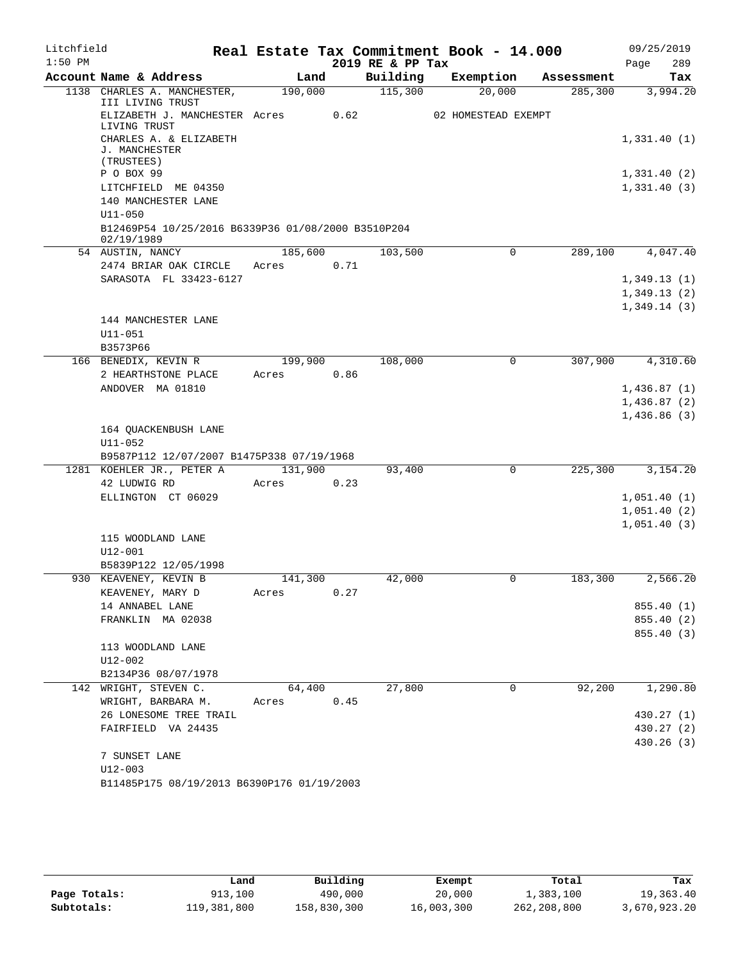| Litchfield |                                                                  |         |      |                  | Real Estate Tax Commitment Book - 14.000 |            | 09/25/2019                 |
|------------|------------------------------------------------------------------|---------|------|------------------|------------------------------------------|------------|----------------------------|
| $1:50$ PM  |                                                                  |         |      | 2019 RE & PP Tax |                                          |            | Page<br>289                |
|            | Account Name & Address                                           | Land    |      | Building         | Exemption                                | Assessment | Tax                        |
| 1138       | CHARLES A. MANCHESTER,<br>III LIVING TRUST                       | 190,000 |      | 115,300          | 20,000                                   | 285,300    | 3,994.20                   |
|            | ELIZABETH J. MANCHESTER Acres<br>LIVING TRUST                    |         | 0.62 |                  | 02 HOMESTEAD EXEMPT                      |            |                            |
|            | CHARLES A. & ELIZABETH<br>J. MANCHESTER                          |         |      |                  |                                          |            | 1,331.40(1)                |
|            | (TRUSTEES)                                                       |         |      |                  |                                          |            |                            |
|            | P O BOX 99                                                       |         |      |                  |                                          |            | 1,331.40(2)                |
|            | LITCHFIELD ME 04350<br>140 MANCHESTER LANE                       |         |      |                  |                                          |            | 1,331.40(3)                |
|            | $U11 - 050$                                                      |         |      |                  |                                          |            |                            |
|            | B12469P54 10/25/2016 B6339P36 01/08/2000 B3510P204<br>02/19/1989 |         |      |                  |                                          |            |                            |
|            | 54 AUSTIN, NANCY                                                 | 185,600 |      | 103,500          | $\Omega$                                 | 289,100    | 4,047.40                   |
|            | 2474 BRIAR OAK CIRCLE                                            | Acres   | 0.71 |                  |                                          |            |                            |
|            | SARASOTA FL 33423-6127                                           |         |      |                  |                                          |            | 1,349.13(1)                |
|            |                                                                  |         |      |                  |                                          |            | 1,349.13(2)                |
|            |                                                                  |         |      |                  |                                          |            | 1,349.14(3)                |
|            | 144 MANCHESTER LANE                                              |         |      |                  |                                          |            |                            |
|            | U11-051<br>B3573P66                                              |         |      |                  |                                          |            |                            |
|            | 166 BENEDIX, KEVIN R                                             | 199,900 |      | 108,000          | 0                                        | 307,900    | 4,310.60                   |
|            | 2 HEARTHSTONE PLACE                                              | Acres   | 0.86 |                  |                                          |            |                            |
|            | ANDOVER MA 01810                                                 |         |      |                  |                                          |            | 1,436.87(1)                |
|            |                                                                  |         |      |                  |                                          |            | 1,436.87(2)                |
|            |                                                                  |         |      |                  |                                          |            | 1,436.86(3)                |
|            | 164 QUACKENBUSH LANE                                             |         |      |                  |                                          |            |                            |
|            | U11-052                                                          |         |      |                  |                                          |            |                            |
|            | B9587P112 12/07/2007 B1475P338 07/19/1968                        |         |      |                  |                                          |            |                            |
|            | 1281 KOEHLER JR., PETER A                                        | 131,900 |      | 93,400           | 0                                        | 225,300    | 3,154.20                   |
|            | 42 LUDWIG RD                                                     | Acres   | 0.23 |                  |                                          |            |                            |
|            | ELLINGTON CT 06029                                               |         |      |                  |                                          |            | 1,051.40(1)<br>1,051.40(2) |
|            |                                                                  |         |      |                  |                                          |            | 1,051.40(3)                |
|            | 115 WOODLAND LANE                                                |         |      |                  |                                          |            |                            |
|            | $U12 - 001$                                                      |         |      |                  |                                          |            |                            |
|            | B5839P122 12/05/1998                                             |         |      |                  |                                          |            |                            |
|            | 930 KEAVENEY, KEVIN B                                            | 141,300 |      | 42,000           | 0                                        | 183,300    | 2,566.20                   |
|            | KEAVENEY, MARY D                                                 | Acres   | 0.27 |                  |                                          |            |                            |
|            | 14 ANNABEL LANE                                                  |         |      |                  |                                          |            | 855.40 (1)                 |
|            | FRANKLIN MA 02038                                                |         |      |                  |                                          |            | 855.40 (2)                 |
|            | 113 WOODLAND LANE                                                |         |      |                  |                                          |            | 855.40(3)                  |
|            | U12-002                                                          |         |      |                  |                                          |            |                            |
|            | B2134P36 08/07/1978                                              |         |      |                  |                                          |            |                            |
|            | 142 WRIGHT, STEVEN C.                                            | 64,400  |      | 27,800           | 0                                        | 92,200     | 1,290.80                   |
|            | WRIGHT, BARBARA M.                                               | Acres   | 0.45 |                  |                                          |            |                            |
|            | 26 LONESOME TREE TRAIL                                           |         |      |                  |                                          |            | 430.27 (1)                 |
|            | FAIRFIELD VA 24435                                               |         |      |                  |                                          |            | 430.27 (2)                 |
|            |                                                                  |         |      |                  |                                          |            | 430.26(3)                  |
|            | 7 SUNSET LANE                                                    |         |      |                  |                                          |            |                            |
|            | $U12 - 003$                                                      |         |      |                  |                                          |            |                            |
|            | B11485P175 08/19/2013 B6390P176 01/19/2003                       |         |      |                  |                                          |            |                            |

|              | Land        | Building    | Exempt     | Total       | Tax          |
|--------------|-------------|-------------|------------|-------------|--------------|
| Page Totals: | 913,100     | 490,000     | 20,000     | 1,383,100   | 19,363.40    |
| Subtotals:   | 119,381,800 | 158,830,300 | 16,003,300 | 262,208,800 | 3,670,923.20 |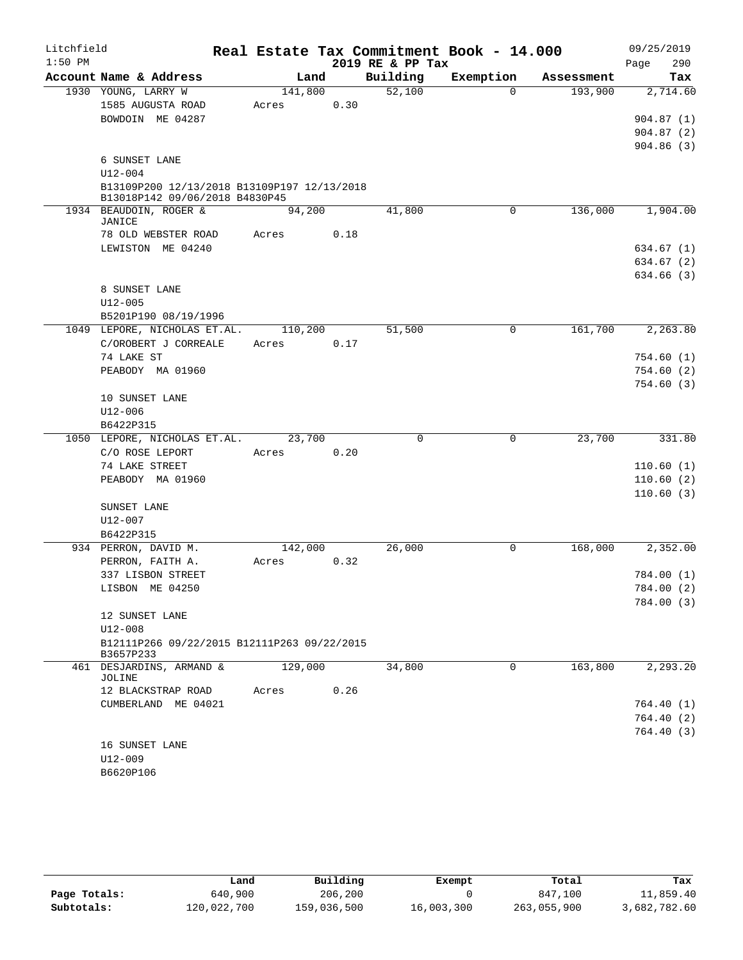| Litchfield |                                                                               |         |      |                  | Real Estate Tax Commitment Book - 14.000 |            | 09/25/2019              |
|------------|-------------------------------------------------------------------------------|---------|------|------------------|------------------------------------------|------------|-------------------------|
| $1:50$ PM  |                                                                               |         |      | 2019 RE & PP Tax |                                          |            | 290<br>Page             |
|            | Account Name & Address                                                        | Land    |      | Building         | Exemption                                | Assessment | Tax                     |
|            | 1930 YOUNG, LARRY W                                                           | 141,800 |      | 52,100           | $\Omega$                                 | 193,900    | 2,714.60                |
|            | 1585 AUGUSTA ROAD                                                             | Acres   | 0.30 |                  |                                          |            |                         |
|            | BOWDOIN ME 04287                                                              |         |      |                  |                                          |            | 904.87(1)               |
|            |                                                                               |         |      |                  |                                          |            | 904.87(2)               |
|            |                                                                               |         |      |                  |                                          |            | 904.86(3)               |
|            | 6 SUNSET LANE                                                                 |         |      |                  |                                          |            |                         |
|            | $U12 - 004$                                                                   |         |      |                  |                                          |            |                         |
|            | B13109P200 12/13/2018 B13109P197 12/13/2018<br>B13018P142 09/06/2018 B4830P45 |         |      |                  |                                          |            |                         |
|            | 1934 BEAUDOIN, ROGER &                                                        | 94,200  |      | 41,800           | $\mathbf 0$                              | 136,000    | 1,904.00                |
|            | JANICE                                                                        |         |      |                  |                                          |            |                         |
|            | 78 OLD WEBSTER ROAD                                                           | Acres   | 0.18 |                  |                                          |            |                         |
|            | LEWISTON ME 04240                                                             |         |      |                  |                                          |            | 634.67 (1)              |
|            |                                                                               |         |      |                  |                                          |            | 634.67(2)               |
|            |                                                                               |         |      |                  |                                          |            | 634.66 (3)              |
|            | 8 SUNSET LANE                                                                 |         |      |                  |                                          |            |                         |
|            | U12-005                                                                       |         |      |                  |                                          |            |                         |
|            | B5201P190 08/19/1996                                                          |         |      |                  |                                          | 161,700    | 2, 263.80               |
|            | 1049 LEPORE, NICHOLAS ET.AL.<br>C/OROBERT J CORREALE                          | 110,200 |      | 51,500           | 0                                        |            |                         |
|            | 74 LAKE ST                                                                    | Acres   | 0.17 |                  |                                          |            |                         |
|            | PEABODY MA 01960                                                              |         |      |                  |                                          |            | 754.60 (1)<br>754.60(2) |
|            |                                                                               |         |      |                  |                                          |            | 754.60(3)               |
|            | 10 SUNSET LANE                                                                |         |      |                  |                                          |            |                         |
|            | $U12 - 006$                                                                   |         |      |                  |                                          |            |                         |
|            | B6422P315                                                                     |         |      |                  |                                          |            |                         |
|            | 1050 LEPORE, NICHOLAS ET.AL.                                                  | 23,700  |      | $\mathbf 0$      | 0                                        | 23,700     | 331.80                  |
|            | C/O ROSE LEPORT                                                               | Acres   | 0.20 |                  |                                          |            |                         |
|            | 74 LAKE STREET                                                                |         |      |                  |                                          |            | 110.60(1)               |
|            | PEABODY MA 01960                                                              |         |      |                  |                                          |            | 110.60(2)               |
|            |                                                                               |         |      |                  |                                          |            | 110.60(3)               |
|            | SUNSET LANE                                                                   |         |      |                  |                                          |            |                         |
|            | U12-007                                                                       |         |      |                  |                                          |            |                         |
|            | B6422P315                                                                     |         |      |                  |                                          |            |                         |
|            | 934 PERRON, DAVID M.                                                          | 142,000 |      | 26,000           | 0                                        | 168,000    | 2,352.00                |
|            | PERRON, FAITH A.                                                              | Acres   | 0.32 |                  |                                          |            |                         |
|            | 337 LISBON STREET                                                             |         |      |                  |                                          |            | 784.00 (1)              |
|            | LISBON ME 04250                                                               |         |      |                  |                                          |            | 784.00 (2)              |
|            |                                                                               |         |      |                  |                                          |            | 784.00 (3)              |
|            | 12 SUNSET LANE                                                                |         |      |                  |                                          |            |                         |
|            | $U12 - 008$                                                                   |         |      |                  |                                          |            |                         |
|            | B12111P266 09/22/2015 B12111P263 09/22/2015<br>B3657P233                      |         |      |                  |                                          |            |                         |
|            | 461 DESJARDINS, ARMAND &                                                      | 129,000 |      | 34,800           | $\mathbf 0$                              | 163,800    | 2,293.20                |
|            | JOLINE                                                                        |         |      |                  |                                          |            |                         |
|            | 12 BLACKSTRAP ROAD                                                            | Acres   | 0.26 |                  |                                          |            |                         |
|            | CUMBERLAND ME 04021                                                           |         |      |                  |                                          |            | 764.40 (1)              |
|            |                                                                               |         |      |                  |                                          |            | 764.40(2)               |
|            |                                                                               |         |      |                  |                                          |            | 764.40(3)               |
|            | 16 SUNSET LANE                                                                |         |      |                  |                                          |            |                         |
|            | U12-009                                                                       |         |      |                  |                                          |            |                         |
|            | B6620P106                                                                     |         |      |                  |                                          |            |                         |

|              | Land        | Building    | Exempt     | Total       | Tax          |
|--------------|-------------|-------------|------------|-------------|--------------|
| Page Totals: | 640,900     | 206,200     |            | 847,100     | 11,859.40    |
| Subtotals:   | 120,022,700 | 159,036,500 | 16,003,300 | 263,055,900 | 3,682,782.60 |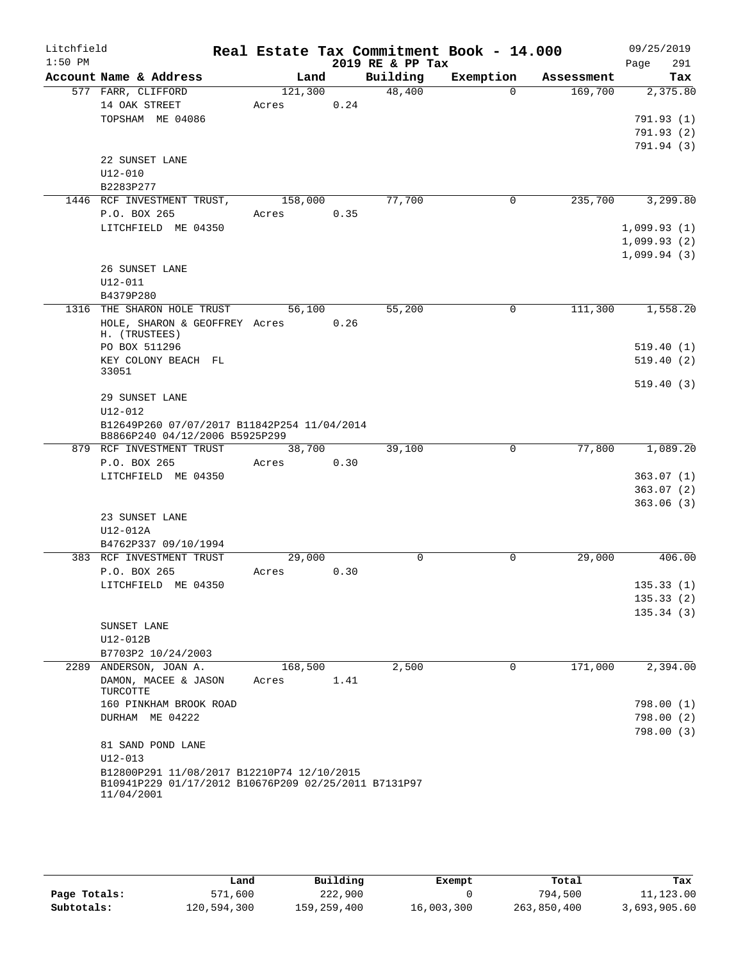| Litchfield<br>$1:50$ PM |                                                                                                                  |            |      | 2019 RE & PP Tax | Real Estate Tax Commitment Book - 14.000 |         | 09/25/2019<br>291<br>Page |
|-------------------------|------------------------------------------------------------------------------------------------------------------|------------|------|------------------|------------------------------------------|---------|---------------------------|
|                         | Account Name & Address                                                                                           | Land       |      | Building         | Exemption Assessment                     |         | Tax                       |
|                         | 577 FARR, CLIFFORD                                                                                               | 121,300    |      | 48,400           | $\Omega$                                 | 169,700 | 2,375.80                  |
|                         | 14 OAK STREET                                                                                                    | Acres 0.24 |      |                  |                                          |         |                           |
|                         | TOPSHAM ME 04086                                                                                                 |            |      |                  |                                          |         | 791.93(1)                 |
|                         |                                                                                                                  |            |      |                  |                                          |         | 791.93(2)                 |
|                         |                                                                                                                  |            |      |                  |                                          |         | 791.94 (3)                |
|                         | 22 SUNSET LANE                                                                                                   |            |      |                  |                                          |         |                           |
|                         | $U12 - 010$                                                                                                      |            |      |                  |                                          |         |                           |
|                         | B2283P277                                                                                                        |            |      |                  |                                          |         |                           |
|                         | 1446 RCF INVESTMENT TRUST,                                                                                       | 158,000    |      | 77,700           | $\mathbf 0$                              | 235,700 | 3,299.80                  |
|                         | P.O. BOX 265                                                                                                     | Acres 0.35 |      |                  |                                          |         |                           |
|                         | LITCHFIELD ME 04350                                                                                              |            |      |                  |                                          |         | 1,099.93(1)               |
|                         |                                                                                                                  |            |      |                  |                                          |         | 1,099.93(2)               |
|                         |                                                                                                                  |            |      |                  |                                          |         | 1,099.94(3)               |
|                         | 26 SUNSET LANE                                                                                                   |            |      |                  |                                          |         |                           |
|                         | $U12 - 011$                                                                                                      |            |      |                  |                                          |         |                           |
|                         | B4379P280<br>1316 THE SHARON HOLE TRUST                                                                          |            |      |                  |                                          |         |                           |
|                         |                                                                                                                  | 56,100     |      | 55,200           | 0                                        | 111,300 | 1,558.20                  |
|                         | HOLE, SHARON & GEOFFREY Acres 0.26<br>H. (TRUSTEES)                                                              |            |      |                  |                                          |         |                           |
|                         | PO BOX 511296                                                                                                    |            |      |                  |                                          |         | 519.40(1)                 |
|                         | KEY COLONY BEACH FL                                                                                              |            |      |                  |                                          |         | 519.40(2)                 |
|                         | 33051                                                                                                            |            |      |                  |                                          |         |                           |
|                         |                                                                                                                  |            |      |                  |                                          |         | 519.40(3)                 |
|                         | 29 SUNSET LANE                                                                                                   |            |      |                  |                                          |         |                           |
|                         | $U12 - 012$                                                                                                      |            |      |                  |                                          |         |                           |
|                         | B12649P260 07/07/2017 B11842P254 11/04/2014                                                                      |            |      |                  |                                          |         |                           |
|                         | B8866P240 04/12/2006 B5925P299                                                                                   | 38,700     |      | 39,100           | $\mathsf{O}$                             |         | 77,800 1,089.20           |
|                         | 879 RCF INVESTMENT TRUST<br>P.O. BOX 265                                                                         | Acres 0.30 |      |                  |                                          |         |                           |
|                         | LITCHFIELD ME 04350                                                                                              |            |      |                  |                                          |         | 363.07(1)                 |
|                         |                                                                                                                  |            |      |                  |                                          |         | 363.07(2)                 |
|                         |                                                                                                                  |            |      |                  |                                          |         | 363.06(3)                 |
|                         | 23 SUNSET LANE                                                                                                   |            |      |                  |                                          |         |                           |
|                         | U12-012A                                                                                                         |            |      |                  |                                          |         |                           |
|                         | B4762P337 09/10/1994                                                                                             |            |      |                  |                                          |         |                           |
|                         | 383 RCF INVESTMENT TRUST                                                                                         | 29,000     |      | 0                | $\mathbf 0$                              | 29,000  | 406.00                    |
|                         | P.O. BOX 265                                                                                                     | Acres      | 0.30 |                  |                                          |         |                           |
|                         | LITCHFIELD ME 04350                                                                                              |            |      |                  |                                          |         | 135.33(1)                 |
|                         |                                                                                                                  |            |      |                  |                                          |         | 135.33(2)                 |
|                         |                                                                                                                  |            |      |                  |                                          |         | 135.34(3)                 |
|                         | SUNSET LANE                                                                                                      |            |      |                  |                                          |         |                           |
|                         | U12-012B                                                                                                         |            |      |                  |                                          |         |                           |
|                         | B7703P2 10/24/2003                                                                                               |            |      |                  |                                          |         |                           |
|                         | 2289 ANDERSON, JOAN A.                                                                                           | 168,500    |      | 2,500            | $\Omega$                                 | 171,000 | 2,394.00                  |
|                         | DAMON, MACEE & JASON<br>TURCOTTE                                                                                 | Acres      | 1.41 |                  |                                          |         |                           |
|                         | 160 PINKHAM BROOK ROAD                                                                                           |            |      |                  |                                          |         | 798.00(1)                 |
|                         | DURHAM ME 04222                                                                                                  |            |      |                  |                                          |         | 798.00(2)                 |
|                         |                                                                                                                  |            |      |                  |                                          |         | 798.00(3)                 |
|                         | 81 SAND POND LANE<br>$U12 - 013$                                                                                 |            |      |                  |                                          |         |                           |
|                         | B12800P291 11/08/2017 B12210P74 12/10/2015<br>B10941P229 01/17/2012 B10676P209 02/25/2011 B7131P97<br>11/04/2001 |            |      |                  |                                          |         |                           |

|              | Land        | Building    | Exempt     | Total       | Tax          |
|--------------|-------------|-------------|------------|-------------|--------------|
| Page Totals: | 571,600     | 222,900     |            | 794,500     | 11,123.00    |
| Subtotals:   | 120,594,300 | 159,259,400 | 16,003,300 | 263,850,400 | 3,693,905.60 |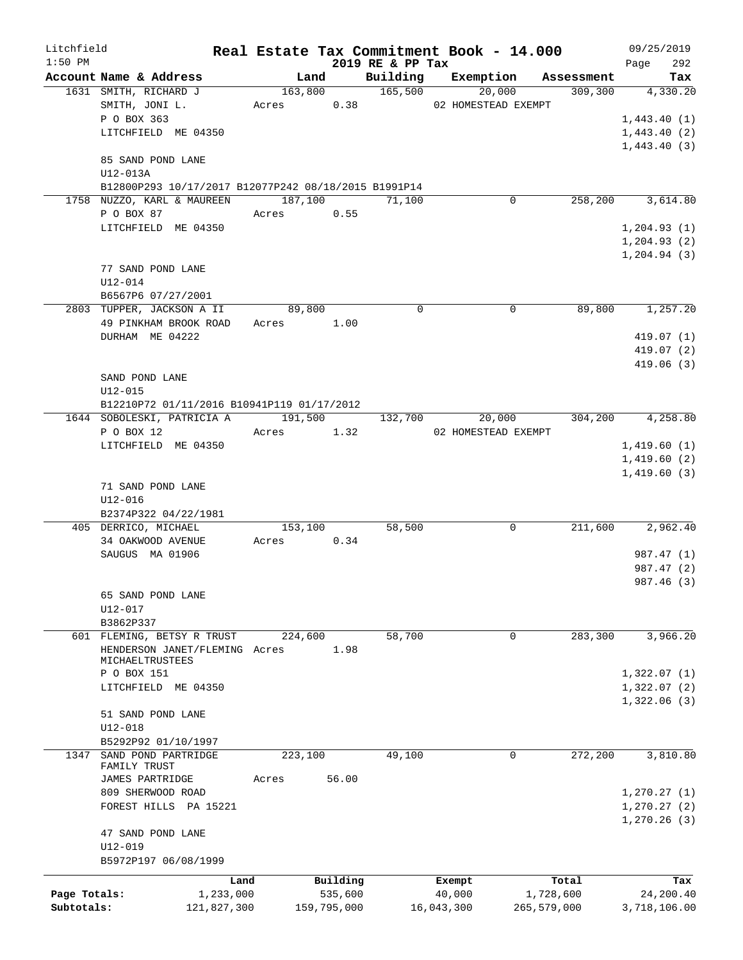| Litchfield   |                                                      |            |             |                  | Real Estate Tax Commitment Book - 14.000 |             |            | 09/25/2019   |
|--------------|------------------------------------------------------|------------|-------------|------------------|------------------------------------------|-------------|------------|--------------|
| $1:50$ PM    |                                                      |            |             | 2019 RE & PP Tax |                                          |             |            | 292<br>Page  |
|              | Account Name & Address                               | Land       |             | Building         | Exemption                                |             | Assessment | Tax          |
|              | 1631 SMITH, RICHARD J                                |            |             | 163,800 165,500  | 20,000                                   |             | 309,300    | 4,330.20     |
|              | SMITH, JONI L.                                       | Acres 0.38 |             |                  | 02 HOMESTEAD EXEMPT                      |             |            |              |
|              | P O BOX 363                                          |            |             |                  |                                          |             |            | 1,443.40(1)  |
|              | LITCHFIELD ME 04350                                  |            |             |                  |                                          |             |            | 1,443.40(2)  |
|              |                                                      |            |             |                  |                                          |             |            | 1,443.40(3)  |
|              | 85 SAND POND LANE                                    |            |             |                  |                                          |             |            |              |
|              | U12-013A                                             |            |             |                  |                                          |             |            |              |
|              | B12800P293 10/17/2017 B12077P242 08/18/2015 B1991P14 |            |             |                  |                                          |             |            |              |
|              | 1758 NUZZO, KARL & MAUREEN                           | 187,100    |             | 71,100           |                                          | 0           | 258,200    | 3,614.80     |
|              | P O BOX 87                                           | Acres      | 0.55        |                  |                                          |             |            |              |
|              | LITCHFIELD ME 04350                                  |            |             |                  |                                          |             |            | 1, 204.93(1) |
|              |                                                      |            |             |                  |                                          |             |            | 1,204.93(2)  |
|              |                                                      |            |             |                  |                                          |             |            | 1,204.94(3)  |
|              | 77 SAND POND LANE                                    |            |             |                  |                                          |             |            |              |
|              | U12-014                                              |            |             |                  |                                          |             |            |              |
|              | B6567P6 07/27/2001                                   |            |             |                  |                                          |             |            |              |
|              |                                                      |            |             |                  |                                          |             |            |              |
|              | 2803 TUPPER, JACKSON A II                            | 89,800     |             | $\mathbf 0$      |                                          | $\mathbf 0$ | 89,800     | 1,257.20     |
|              | 49 PINKHAM BROOK ROAD                                | Acres 1.00 |             |                  |                                          |             |            |              |
|              | DURHAM ME 04222                                      |            |             |                  |                                          |             |            | 419.07 (1)   |
|              |                                                      |            |             |                  |                                          |             |            | 419.07 (2)   |
|              |                                                      |            |             |                  |                                          |             |            | 419.06(3)    |
|              | SAND POND LANE                                       |            |             |                  |                                          |             |            |              |
|              | $U12 - 015$                                          |            |             |                  |                                          |             |            |              |
|              | B12210P72 01/11/2016 B10941P119 01/17/2012           |            |             |                  |                                          |             |            |              |
|              | 1644 SOBOLESKI, PATRICIA A                           | 191,500    |             | 132,700          | 20,000                                   |             | 304,200    | 4,258.80     |
|              | P O BOX 12                                           | Acres      | 1.32        |                  | 02 HOMESTEAD EXEMPT                      |             |            |              |
|              | LITCHFIELD ME 04350                                  |            |             |                  |                                          |             |            | 1,419.60(1)  |
|              |                                                      |            |             |                  |                                          |             |            | 1,419.60(2)  |
|              |                                                      |            |             |                  |                                          |             |            | 1,419.60(3)  |
|              | 71 SAND POND LANE                                    |            |             |                  |                                          |             |            |              |
|              | $U12 - 016$                                          |            |             |                  |                                          |             |            |              |
|              | B2374P322 04/22/1981                                 |            |             |                  |                                          |             |            |              |
|              | 405 DERRICO, MICHAEL                                 | 153,100    |             | 58,500           |                                          | 0           | 211,600    | 2,962.40     |
|              | 34 OAKWOOD AVENUE                                    | Acres 0.34 |             |                  |                                          |             |            |              |
|              | SAUGUS MA 01906                                      |            |             |                  |                                          |             |            |              |
|              |                                                      |            |             |                  |                                          |             |            | 987.47 (1)   |
|              |                                                      |            |             |                  |                                          |             |            | 987.47 (2)   |
|              |                                                      |            |             |                  |                                          |             |            | 987.46 (3)   |
|              | 65 SAND POND LANE                                    |            |             |                  |                                          |             |            |              |
|              | U12-017                                              |            |             |                  |                                          |             |            |              |
|              | B3862P337                                            |            |             |                  |                                          |             |            |              |
|              | 601 FLEMING, BETSY R TRUST                           | 224,600    |             | 58,700           |                                          | 0           | 283,300    | 3,966.20     |
|              | HENDERSON JANET/FLEMING Acres                        |            | 1.98        |                  |                                          |             |            |              |
|              | MICHAELTRUSTEES                                      |            |             |                  |                                          |             |            |              |
|              | P O BOX 151                                          |            |             |                  |                                          |             |            | 1,322.07(1)  |
|              | LITCHFIELD ME 04350                                  |            |             |                  |                                          |             |            | 1,322.07(2)  |
|              |                                                      |            |             |                  |                                          |             |            | 1,322.06(3)  |
|              | 51 SAND POND LANE                                    |            |             |                  |                                          |             |            |              |
|              | $U12 - 018$                                          |            |             |                  |                                          |             |            |              |
|              | B5292P92 01/10/1997                                  |            |             |                  |                                          |             |            |              |
| 1347         | SAND POND PARTRIDGE                                  | 223,100    |             | 49,100           |                                          | 0           | 272,200    | 3,810.80     |
|              | FAMILY TRUST                                         |            |             |                  |                                          |             |            |              |
|              | JAMES PARTRIDGE                                      | Acres      | 56.00       |                  |                                          |             |            |              |
|              | 809 SHERWOOD ROAD                                    |            |             |                  |                                          |             |            | 1,270.27(1)  |
|              | FOREST HILLS PA 15221                                |            |             |                  |                                          |             |            | 1,270.27(2)  |
|              |                                                      |            |             |                  |                                          |             |            |              |
|              |                                                      |            |             |                  |                                          |             |            | 1,270.26(3)  |
|              | 47 SAND POND LANE                                    |            |             |                  |                                          |             |            |              |
|              | U12-019                                              |            |             |                  |                                          |             |            |              |
|              | B5972P197 06/08/1999                                 |            |             |                  |                                          |             |            |              |
|              |                                                      | Land       | Building    |                  | Exempt                                   |             | Total      | Tax          |
| Page Totals: | 1,233,000                                            |            | 535,600     |                  | 40,000                                   | 1,728,600   |            | 24,200.40    |
| Subtotals:   | 121,827,300                                          |            | 159,795,000 |                  | 16,043,300                               | 265,579,000 |            | 3,718,106.00 |
|              |                                                      |            |             |                  |                                          |             |            |              |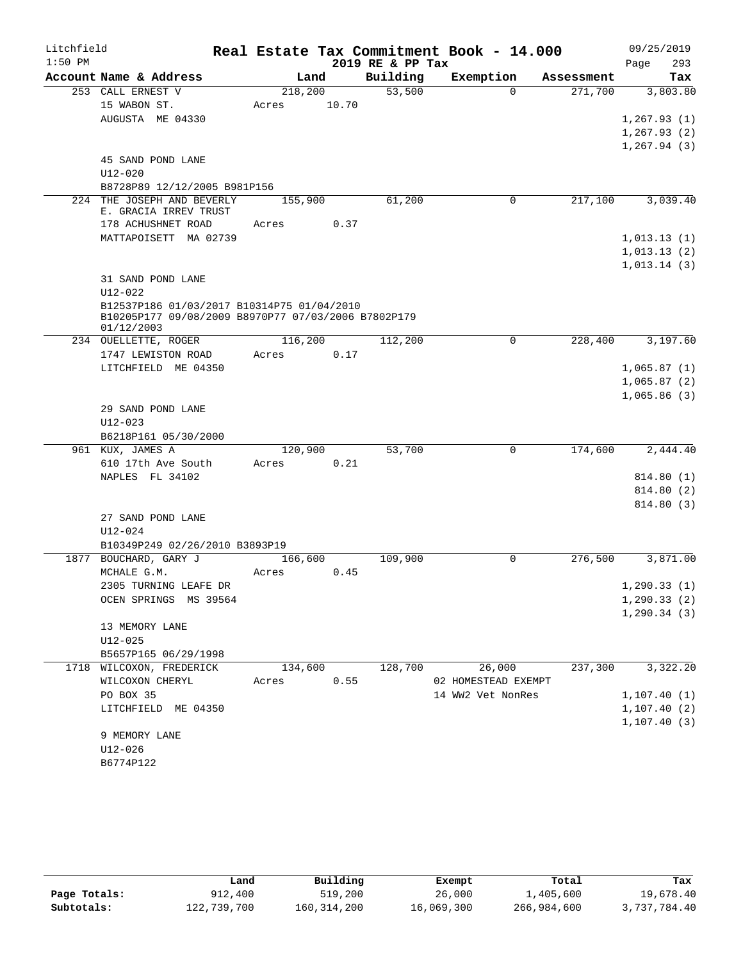| Litchfield |                                                                                                   |         |       |                  | Real Estate Tax Commitment Book - 14.000 |            | 09/25/2019   |
|------------|---------------------------------------------------------------------------------------------------|---------|-------|------------------|------------------------------------------|------------|--------------|
| $1:50$ PM  |                                                                                                   |         |       | 2019 RE & PP Tax |                                          |            | 293<br>Page  |
|            | Account Name & Address                                                                            |         | Land  | Building         | Exemption                                | Assessment | Tax          |
|            | 253 CALL ERNEST V                                                                                 | 218,200 |       | 53,500           | $\Omega$                                 | 271,700    | 3,803.80     |
|            | 15 WABON ST.                                                                                      | Acres   | 10.70 |                  |                                          |            |              |
|            | AUGUSTA ME 04330                                                                                  |         |       |                  |                                          |            | 1,267.93(1)  |
|            |                                                                                                   |         |       |                  |                                          |            | 1, 267.93(2) |
|            | 45 SAND POND LANE                                                                                 |         |       |                  |                                          |            | 1, 267.94(3) |
|            | $U12 - 020$                                                                                       |         |       |                  |                                          |            |              |
|            | B8728P89 12/12/2005 B981P156                                                                      |         |       |                  |                                          |            |              |
|            | 224 THE JOSEPH AND BEVERLY                                                                        | 155,900 |       | 61,200           | 0                                        | 217,100    | 3,039.40     |
|            | E. GRACIA IRREV TRUST                                                                             |         |       |                  |                                          |            |              |
|            | 178 ACHUSHNET ROAD                                                                                | Acres   | 0.37  |                  |                                          |            |              |
|            | MATTAPOISETT MA 02739                                                                             |         |       |                  |                                          |            | 1,013.13(1)  |
|            |                                                                                                   |         |       |                  |                                          |            | 1,013.13(2)  |
|            |                                                                                                   |         |       |                  |                                          |            | 1,013.14(3)  |
|            | 31 SAND POND LANE                                                                                 |         |       |                  |                                          |            |              |
|            | $U12 - 022$                                                                                       |         |       |                  |                                          |            |              |
|            | B12537P186 01/03/2017 B10314P75 01/04/2010<br>B10205P177 09/08/2009 B8970P77 07/03/2006 B7802P179 |         |       |                  |                                          |            |              |
|            | 01/12/2003                                                                                        |         |       |                  |                                          |            |              |
|            | 234 OUELLETTE, ROGER                                                                              | 116,200 |       | 112,200          | 0                                        | 228,400    | 3,197.60     |
|            | 1747 LEWISTON ROAD                                                                                | Acres   | 0.17  |                  |                                          |            |              |
|            | LITCHFIELD ME 04350                                                                               |         |       |                  |                                          |            | 1,065.87(1)  |
|            |                                                                                                   |         |       |                  |                                          |            | 1,065.87(2)  |
|            |                                                                                                   |         |       |                  |                                          |            | 1,065.86(3)  |
|            | 29 SAND POND LANE                                                                                 |         |       |                  |                                          |            |              |
|            | $U12 - 023$                                                                                       |         |       |                  |                                          |            |              |
|            | B6218P161 05/30/2000                                                                              |         |       |                  |                                          |            |              |
|            | 961 KUX, JAMES A                                                                                  | 120,900 |       | 53,700           | 0                                        | 174,600    | 2,444.40     |
|            | 610 17th Ave South                                                                                | Acres   | 0.21  |                  |                                          |            |              |
|            | NAPLES FL 34102                                                                                   |         |       |                  |                                          |            | 814.80 (1)   |
|            |                                                                                                   |         |       |                  |                                          |            | 814.80 (2)   |
|            |                                                                                                   |         |       |                  |                                          |            | 814.80 (3)   |
|            | 27 SAND POND LANE                                                                                 |         |       |                  |                                          |            |              |
|            | $U12 - 024$<br>B10349P249 02/26/2010 B3893P19                                                     |         |       |                  |                                          |            |              |
|            | 1877 BOUCHARD, GARY J                                                                             | 166,600 |       | 109,900          | $\mathbf 0$                              | 276,500    | 3,871.00     |
|            | MCHALE G.M.                                                                                       | Acres   | 0.45  |                  |                                          |            |              |
|            | 2305 TURNING LEAFE DR                                                                             |         |       |                  |                                          |            | 1, 290.33(1) |
|            | OCEN SPRINGS MS 39564                                                                             |         |       |                  |                                          |            | 1, 290.33(2) |
|            |                                                                                                   |         |       |                  |                                          |            | 1, 290.34(3) |
|            | 13 MEMORY LANE                                                                                    |         |       |                  |                                          |            |              |
|            | $U12 - 025$                                                                                       |         |       |                  |                                          |            |              |
|            | B5657P165 06/29/1998                                                                              |         |       |                  |                                          |            |              |
|            | 1718 WILCOXON, FREDERICK                                                                          | 134,600 |       | 128,700          | 26,000                                   | 237,300    | 3,322.20     |
|            | WILCOXON CHERYL                                                                                   | Acres   | 0.55  |                  | 02 HOMESTEAD EXEMPT                      |            |              |
|            | PO BOX 35                                                                                         |         |       |                  | 14 WW2 Vet NonRes                        |            | 1, 107.40(1) |
|            | LITCHFIELD ME 04350                                                                               |         |       |                  |                                          |            | 1, 107.40(2) |
|            |                                                                                                   |         |       |                  |                                          |            | 1, 107.40(3) |
|            | 9 MEMORY LANE                                                                                     |         |       |                  |                                          |            |              |
|            | $U12 - 026$                                                                                       |         |       |                  |                                          |            |              |
|            | B6774P122                                                                                         |         |       |                  |                                          |            |              |
|            |                                                                                                   |         |       |                  |                                          |            |              |

|              | Land        | Building      | Exempt     | Total       | Tax          |
|--------------|-------------|---------------|------------|-------------|--------------|
| Page Totals: | 912,400     | 519,200       | 26,000     | 1,405,600   | 19,678.40    |
| Subtotals:   | 122,739,700 | 160, 314, 200 | 16,069,300 | 266,984,600 | 3,737,784.40 |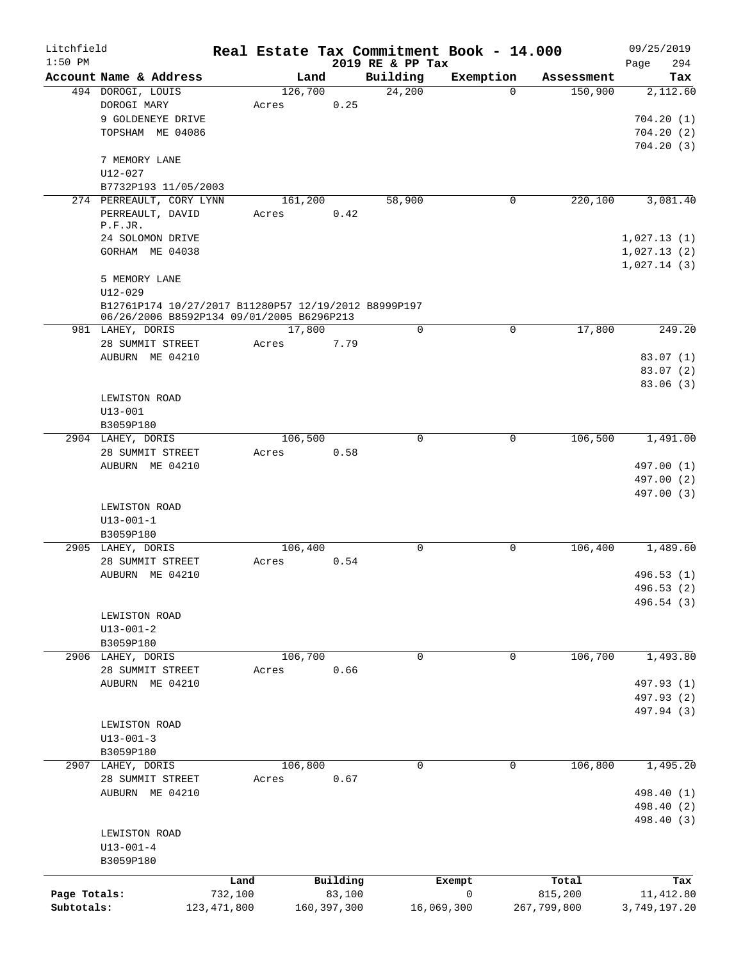| Litchfield                 |                                                                                                   |                          |         |                         |                              | Real Estate Tax Commitment Book - 14.000 |                        | 09/25/2019                 |
|----------------------------|---------------------------------------------------------------------------------------------------|--------------------------|---------|-------------------------|------------------------------|------------------------------------------|------------------------|----------------------------|
| $1:50$ PM                  | Account Name & Address                                                                            |                          | Land    |                         | 2019 RE & PP Tax<br>Building | Exemption                                | Assessment             | 294<br>Page<br>Tax         |
|                            | 494 DOROGI, LOUIS                                                                                 |                          | 126,700 |                         | 24,200                       | $\Omega$                                 | 150,900                | 2,112.60                   |
|                            | DOROGI MARY                                                                                       |                          | Acres   | 0.25                    |                              |                                          |                        |                            |
|                            | 9 GOLDENEYE DRIVE                                                                                 |                          |         |                         |                              |                                          |                        | 704.20(1)                  |
|                            | TOPSHAM ME 04086                                                                                  |                          |         |                         |                              |                                          |                        | 704.20(2)                  |
|                            |                                                                                                   |                          |         |                         |                              |                                          |                        | 704.20(3)                  |
|                            | 7 MEMORY LANE                                                                                     |                          |         |                         |                              |                                          |                        |                            |
|                            | $U12 - 027$                                                                                       |                          |         |                         |                              |                                          |                        |                            |
|                            | B7732P193 11/05/2003                                                                              |                          |         |                         |                              |                                          |                        |                            |
|                            | 274 PERREAULT, CORY LYNN                                                                          |                          | 161,200 |                         | 58,900                       | 0                                        | 220,100                | 3,081.40                   |
|                            | PERREAULT, DAVID<br>P.F.JR.                                                                       |                          | Acres   | 0.42                    |                              |                                          |                        |                            |
|                            | 24 SOLOMON DRIVE                                                                                  |                          |         |                         |                              |                                          |                        | 1,027.13(1)                |
|                            | GORHAM ME 04038                                                                                   |                          |         |                         |                              |                                          |                        | 1,027.13(2)                |
|                            | 5 MEMORY LANE                                                                                     |                          |         |                         |                              |                                          |                        | 1,027.14(3)                |
|                            | $U12 - 029$                                                                                       |                          |         |                         |                              |                                          |                        |                            |
|                            | B12761P174 10/27/2017 B11280P57 12/19/2012 B8999P197<br>06/26/2006 B8592P134 09/01/2005 B6296P213 |                          |         |                         |                              |                                          |                        |                            |
|                            | 981 LAHEY, DORIS                                                                                  |                          | 17,800  |                         | $\Omega$                     | 0                                        | 17,800                 | 249.20                     |
|                            | 28 SUMMIT STREET                                                                                  |                          | Acres   | 7.79                    |                              |                                          |                        |                            |
|                            | AUBURN ME 04210                                                                                   |                          |         |                         |                              |                                          |                        | 83.07(1)                   |
|                            |                                                                                                   |                          |         |                         |                              |                                          |                        | 83.07(2)                   |
|                            | LEWISTON ROAD                                                                                     |                          |         |                         |                              |                                          |                        | 83.06(3)                   |
|                            | $U13 - 001$                                                                                       |                          |         |                         |                              |                                          |                        |                            |
|                            | B3059P180                                                                                         |                          |         |                         |                              |                                          |                        |                            |
|                            | 2904 LAHEY, DORIS                                                                                 |                          | 106,500 |                         | 0                            | 0                                        | 106,500                | 1,491.00                   |
|                            | 28 SUMMIT STREET                                                                                  |                          | Acres   | 0.58                    |                              |                                          |                        |                            |
|                            | AUBURN ME 04210                                                                                   |                          |         |                         |                              |                                          |                        | 497.00 (1)                 |
|                            |                                                                                                   |                          |         |                         |                              |                                          |                        | 497.00 (2)                 |
|                            |                                                                                                   |                          |         |                         |                              |                                          |                        | 497.00 (3)                 |
|                            | LEWISTON ROAD                                                                                     |                          |         |                         |                              |                                          |                        |                            |
|                            | $U13 - 001 - 1$                                                                                   |                          |         |                         |                              |                                          |                        |                            |
|                            | B3059P180                                                                                         |                          |         |                         |                              |                                          |                        |                            |
|                            | 2905 LAHEY, DORIS                                                                                 |                          | 106,400 |                         | 0                            | 0                                        | 106,400                | 1,489.60                   |
|                            | 28 SUMMIT STREET                                                                                  |                          | Acres   | 0.54                    |                              |                                          |                        |                            |
|                            | AUBURN ME 04210                                                                                   |                          |         |                         |                              |                                          |                        | 496.53 (1)                 |
|                            |                                                                                                   |                          |         |                         |                              |                                          |                        | 496.53 (2)<br>496.54 (3)   |
|                            | LEWISTON ROAD                                                                                     |                          |         |                         |                              |                                          |                        |                            |
|                            | $U13 - 001 - 2$                                                                                   |                          |         |                         |                              |                                          |                        |                            |
|                            | B3059P180                                                                                         |                          |         |                         |                              |                                          |                        |                            |
|                            | 2906 LAHEY, DORIS                                                                                 |                          | 106,700 |                         | 0                            | 0                                        | 106,700                | 1,493.80                   |
|                            | 28 SUMMIT STREET                                                                                  |                          | Acres   | 0.66                    |                              |                                          |                        |                            |
|                            | AUBURN ME 04210                                                                                   |                          |         |                         |                              |                                          |                        | 497.93 (1)                 |
|                            |                                                                                                   |                          |         |                         |                              |                                          |                        | 497.93 (2)                 |
|                            |                                                                                                   |                          |         |                         |                              |                                          |                        | 497.94 (3)                 |
|                            | LEWISTON ROAD                                                                                     |                          |         |                         |                              |                                          |                        |                            |
|                            | $U13 - 001 - 3$                                                                                   |                          |         |                         |                              |                                          |                        |                            |
|                            | B3059P180                                                                                         |                          |         |                         |                              |                                          |                        |                            |
|                            | 2907 LAHEY, DORIS                                                                                 |                          | 106,800 |                         | 0                            | $\mathsf{O}$                             | 106,800                | 1,495.20                   |
|                            | 28 SUMMIT STREET                                                                                  |                          | Acres   | 0.67                    |                              |                                          |                        |                            |
|                            | AUBURN ME 04210                                                                                   |                          |         |                         |                              |                                          |                        | 498.40 (1)                 |
|                            |                                                                                                   |                          |         |                         |                              |                                          |                        | 498.40 (2)                 |
|                            |                                                                                                   |                          |         |                         |                              |                                          |                        | 498.40 (3)                 |
|                            | LEWISTON ROAD<br>$U13 - 001 - 4$                                                                  |                          |         |                         |                              |                                          |                        |                            |
|                            | B3059P180                                                                                         |                          |         |                         |                              |                                          |                        |                            |
|                            |                                                                                                   |                          |         |                         |                              |                                          |                        |                            |
|                            |                                                                                                   | Land                     |         | Building                |                              | Exempt<br>0                              | Total                  | Tax                        |
| Page Totals:<br>Subtotals: |                                                                                                   | 732,100<br>123, 471, 800 |         | 83,100<br>160, 397, 300 |                              | 16,069,300                               | 815,200<br>267,799,800 | 11, 412.80<br>3,749,197.20 |
|                            |                                                                                                   |                          |         |                         |                              |                                          |                        |                            |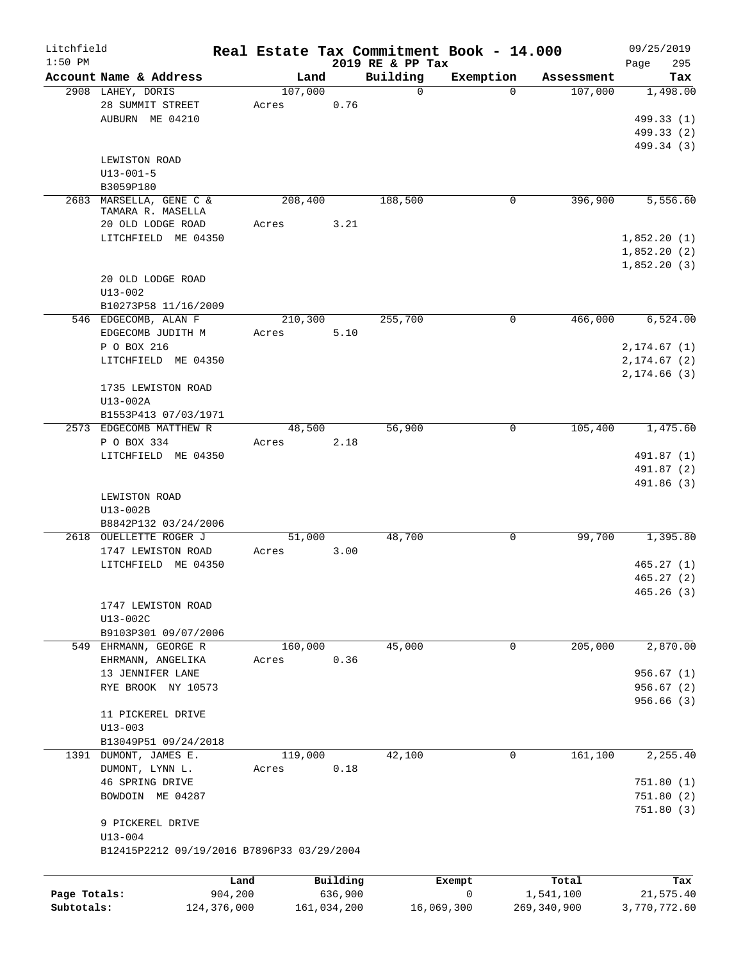| Litchfield   |                                            | Real Estate Tax Commitment Book - 14.000 |             |                         |                       |                       | 09/25/2019      |
|--------------|--------------------------------------------|------------------------------------------|-------------|-------------------------|-----------------------|-----------------------|-----------------|
| $1:50$ PM    | Account Name & Address                     | Land                                     |             | 2019 RE & PP Tax        |                       |                       | 295<br>Page     |
|              | 2908 LAHEY, DORIS                          | 107,000                                  |             | Building<br>$\mathbf 0$ | Exemption<br>$\Omega$ | Assessment<br>107,000 | Tax<br>1,498.00 |
|              | 28 SUMMIT STREET                           | Acres                                    | 0.76        |                         |                       |                       |                 |
|              | AUBURN ME 04210                            |                                          |             |                         |                       |                       | 499.33 (1)      |
|              |                                            |                                          |             |                         |                       |                       | 499.33 (2)      |
|              |                                            |                                          |             |                         |                       |                       | 499.34 (3)      |
|              | LEWISTON ROAD                              |                                          |             |                         |                       |                       |                 |
|              | $U13 - 001 - 5$                            |                                          |             |                         |                       |                       |                 |
|              | B3059P180                                  |                                          |             |                         |                       |                       |                 |
| 2683         | MARSELLA, GENE C &                         | 208,400                                  |             | 188,500                 | 0                     | 396,900               | 5,556.60        |
|              | TAMARA R. MASELLA                          |                                          |             |                         |                       |                       |                 |
|              | 20 OLD LODGE ROAD                          | Acres                                    | 3.21        |                         |                       |                       |                 |
|              | LITCHFIELD ME 04350                        |                                          |             |                         |                       |                       | 1,852.20(1)     |
|              |                                            |                                          |             |                         |                       |                       | 1,852.20(2)     |
|              |                                            |                                          |             |                         |                       |                       | 1,852.20(3)     |
|              | 20 OLD LODGE ROAD                          |                                          |             |                         |                       |                       |                 |
|              | $U13 - 002$                                |                                          |             |                         |                       |                       |                 |
|              | B10273P58 11/16/2009                       |                                          |             |                         |                       |                       |                 |
|              | 546 EDGECOMB, ALAN F                       | 210,300                                  |             | 255,700                 | 0                     | 466,000               | 6,524.00        |
|              | EDGECOMB JUDITH M                          | Acres                                    | 5.10        |                         |                       |                       |                 |
|              | P O BOX 216                                |                                          |             |                         |                       |                       | 2, 174.67(1)    |
|              | LITCHFIELD ME 04350                        |                                          |             |                         |                       |                       | 2, 174.67 (2)   |
|              |                                            |                                          |             |                         |                       |                       | 2, 174.66(3)    |
|              | 1735 LEWISTON ROAD                         |                                          |             |                         |                       |                       |                 |
|              | U13-002A                                   |                                          |             |                         |                       |                       |                 |
|              | B1553P413 07/03/1971                       |                                          |             |                         |                       |                       |                 |
|              | 2573 EDGECOMB MATTHEW R                    | 48,500                                   |             | 56,900                  | 0                     | 105,400               | 1,475.60        |
|              | P O BOX 334                                | Acres                                    | 2.18        |                         |                       |                       |                 |
|              | LITCHFIELD ME 04350                        |                                          |             |                         |                       |                       | 491.87 (1)      |
|              |                                            |                                          |             |                         |                       |                       | 491.87 (2)      |
|              |                                            |                                          |             |                         |                       |                       | 491.86 (3)      |
|              | LEWISTON ROAD                              |                                          |             |                         |                       |                       |                 |
|              | U13-002B                                   |                                          |             |                         |                       |                       |                 |
|              | B8842P132 03/24/2006                       |                                          |             |                         |                       |                       |                 |
|              | 2618 OUELLETTE ROGER J                     | 51,000                                   |             | 48,700                  | 0                     | 99,700                | 1,395.80        |
|              | 1747 LEWISTON ROAD                         | Acres                                    | 3.00        |                         |                       |                       |                 |
|              | LITCHFIELD ME 04350                        |                                          |             |                         |                       |                       | 465.27(1)       |
|              |                                            |                                          |             |                         |                       |                       | 465.27(2)       |
|              |                                            |                                          |             |                         |                       |                       | 465.26(3)       |
|              | 1747 LEWISTON ROAD                         |                                          |             |                         |                       |                       |                 |
|              | U13-002C                                   |                                          |             |                         |                       |                       |                 |
|              | B9103P301 09/07/2006                       |                                          |             |                         |                       |                       |                 |
|              | 549 EHRMANN, GEORGE R                      | 160,000                                  |             | 45,000                  | 0                     | 205,000               | 2,870.00        |
|              | EHRMANN, ANGELIKA                          | Acres                                    | 0.36        |                         |                       |                       |                 |
|              | 13 JENNIFER LANE                           |                                          |             |                         |                       |                       | 956.67(1)       |
|              | RYE BROOK NY 10573                         |                                          |             |                         |                       |                       | 956.67(2)       |
|              |                                            |                                          |             |                         |                       |                       | 956.66(3)       |
|              | 11 PICKEREL DRIVE                          |                                          |             |                         |                       |                       |                 |
|              | $U13 - 003$                                |                                          |             |                         |                       |                       |                 |
|              | B13049P51 09/24/2018                       |                                          |             |                         |                       |                       |                 |
|              | 1391 DUMONT, JAMES E.                      | 119,000                                  |             | 42,100                  | 0                     | 161,100               | 2,255.40        |
|              | DUMONT, LYNN L.                            | Acres                                    | 0.18        |                         |                       |                       |                 |
|              | 46 SPRING DRIVE                            |                                          |             |                         |                       |                       | 751.80(1)       |
|              | BOWDOIN ME 04287                           |                                          |             |                         |                       |                       | 751.80(2)       |
|              |                                            |                                          |             |                         |                       |                       | 751.80 (3)      |
|              | 9 PICKEREL DRIVE                           |                                          |             |                         |                       |                       |                 |
|              | $U13 - 004$                                |                                          |             |                         |                       |                       |                 |
|              | B12415P2212 09/19/2016 B7896P33 03/29/2004 |                                          |             |                         |                       |                       |                 |
|              |                                            |                                          |             |                         |                       |                       |                 |
|              |                                            | Land                                     | Building    |                         | Exempt                | Total                 | Tax             |
| Page Totals: |                                            | 904,200                                  | 636,900     |                         | 0                     | 1,541,100             | 21,575.40       |
| Subtotals:   | 124,376,000                                |                                          | 161,034,200 |                         | 16,069,300            | 269, 340, 900         | 3,770,772.60    |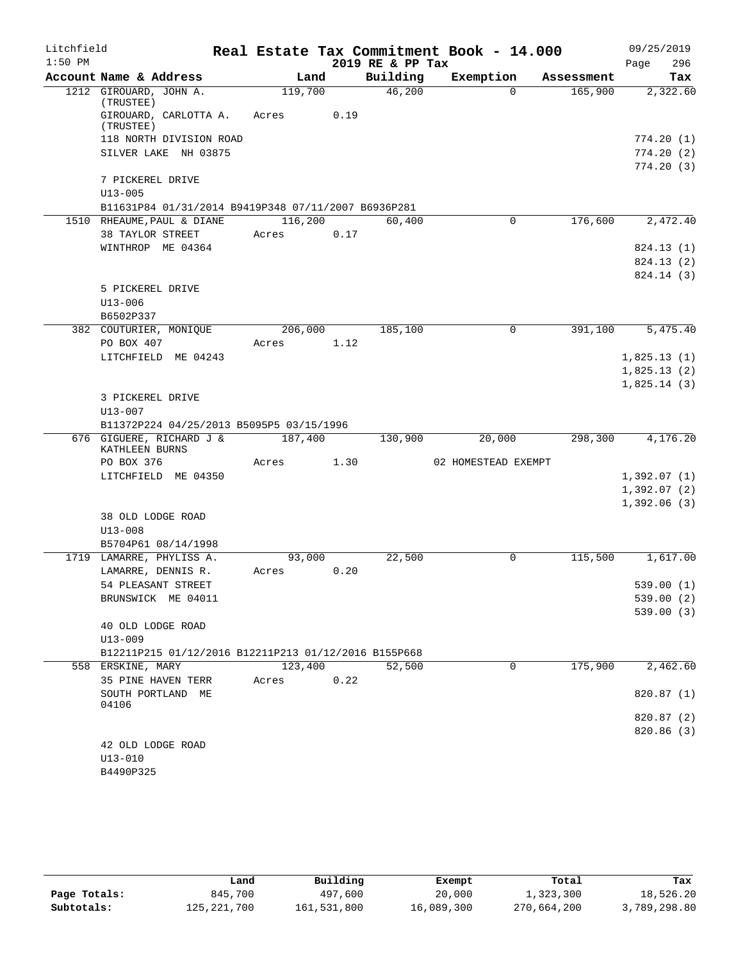| Litchfield |                                                      |                 |      |                  | Real Estate Tax Commitment Book - 14.000 |            | 09/25/2019  |
|------------|------------------------------------------------------|-----------------|------|------------------|------------------------------------------|------------|-------------|
| $1:50$ PM  |                                                      |                 |      | 2019 RE & PP Tax |                                          |            | 296<br>Page |
|            | Account Name & Address                               | Land            |      | Building         | Exemption                                | Assessment | Tax         |
|            | 1212 GIROUARD, JOHN A.                               | 119,700         |      | 46,200           | $\Omega$                                 | 165,900    | 2,322.60    |
|            | (TRUSTEE)<br>GIROUARD, CARLOTTA A.                   | Acres           | 0.19 |                  |                                          |            |             |
|            | (TRUSTEE)<br>118 NORTH DIVISION ROAD                 |                 |      |                  |                                          |            | 774.20(1)   |
|            | SILVER LAKE NH 03875                                 |                 |      |                  |                                          |            | 774.20(2)   |
|            |                                                      |                 |      |                  |                                          |            | 774.20(3)   |
|            | 7 PICKEREL DRIVE                                     |                 |      |                  |                                          |            |             |
|            | $U13 - 005$                                          |                 |      |                  |                                          |            |             |
|            | B11631P84 01/31/2014 B9419P348 07/11/2007 B6936P281  |                 |      |                  |                                          |            |             |
|            | 1510 RHEAUME, PAUL & DIANE                           | 116,200         |      | 60,400           | $\mathbf 0$                              | 176,600    | 2,472.40    |
|            | 38 TAYLOR STREET                                     | Acres           | 0.17 |                  |                                          |            |             |
|            | WINTHROP ME 04364                                    |                 |      |                  |                                          |            | 824.13 (1)  |
|            |                                                      |                 |      |                  |                                          |            | 824.13 (2)  |
|            |                                                      |                 |      |                  |                                          |            | 824.14 (3)  |
|            | 5 PICKEREL DRIVE<br>$U13 - 006$                      |                 |      |                  |                                          |            |             |
|            | B6502P337                                            |                 |      |                  |                                          |            |             |
|            | 382 COUTURIER, MONIOUE                               | 206,000         |      | 185,100          | $\mathbf 0$                              | 391,100    | 5,475.40    |
|            | PO BOX 407                                           | Acres           | 1.12 |                  |                                          |            |             |
|            | LITCHFIELD ME 04243                                  |                 |      |                  |                                          |            | 1,825.13(1) |
|            |                                                      |                 |      |                  |                                          |            | 1,825.13(2) |
|            |                                                      |                 |      |                  |                                          |            | 1,825.14(3) |
|            | 3 PICKEREL DRIVE                                     |                 |      |                  |                                          |            |             |
|            | $U13 - 007$                                          |                 |      |                  |                                          |            |             |
|            | B11372P224 04/25/2013 B5095P5 03/15/1996             |                 |      |                  |                                          |            |             |
|            | 676 GIGUERE, RICHARD J &<br>KATHLEEN BURNS           | 187,400         |      | 130,900          | 20,000                                   | 298,300    | 4,176.20    |
|            | PO BOX 376                                           | Acres           | 1.30 |                  | 02 HOMESTEAD EXEMPT                      |            |             |
|            | LITCHFIELD ME 04350                                  |                 |      |                  |                                          |            | 1,392.07(1) |
|            |                                                      |                 |      |                  |                                          |            | 1,392.07(2) |
|            |                                                      |                 |      |                  |                                          |            | 1,392.06(3) |
|            | 38 OLD LODGE ROAD                                    |                 |      |                  |                                          |            |             |
|            | $U13 - 008$                                          |                 |      |                  |                                          |            |             |
|            | B5704P61 08/14/1998                                  |                 |      |                  |                                          |            |             |
|            | 1719 LAMARRE, PHYLISS A.<br>LAMARRE, DENNIS R.       | 93,000<br>Acres | 0.20 | 22,500           | 0                                        | 115,500    | 1,617.00    |
|            | 54 PLEASANT STREET                                   |                 |      |                  |                                          |            | 539.00 (1)  |
|            | BRUNSWICK ME 04011                                   |                 |      |                  |                                          |            | 539.00 (2)  |
|            |                                                      |                 |      |                  |                                          |            | 539.00(3)   |
|            | 40 OLD LODGE ROAD                                    |                 |      |                  |                                          |            |             |
|            | $U13 - 009$                                          |                 |      |                  |                                          |            |             |
|            | B12211P215 01/12/2016 B12211P213 01/12/2016 B155P668 |                 |      |                  |                                          |            |             |
|            | 558 ERSKINE, MARY                                    | 123,400         |      | 52,500           | $\mathbf 0$                              | 175,900    | 2,462.60    |
|            | 35 PINE HAVEN TERR                                   | Acres           | 0.22 |                  |                                          |            |             |
|            | SOUTH PORTLAND ME<br>04106                           |                 |      |                  |                                          |            | 820.87(1)   |
|            |                                                      |                 |      |                  |                                          |            | 820.87 (2)  |
|            |                                                      |                 |      |                  |                                          |            | 820.86 (3)  |
|            | 42 OLD LODGE ROAD                                    |                 |      |                  |                                          |            |             |
|            | $U13 - 010$                                          |                 |      |                  |                                          |            |             |
|            | B4490P325                                            |                 |      |                  |                                          |            |             |

|              | Land          | Building    | Exempt     | Total       | Tax          |
|--------------|---------------|-------------|------------|-------------|--------------|
| Page Totals: | 845,700       | 497,600     | 20,000     | 1,323,300   | 18,526.20    |
| Subtotals:   | 125, 221, 700 | 161,531,800 | 16,089,300 | 270,664,200 | 3,789,298.80 |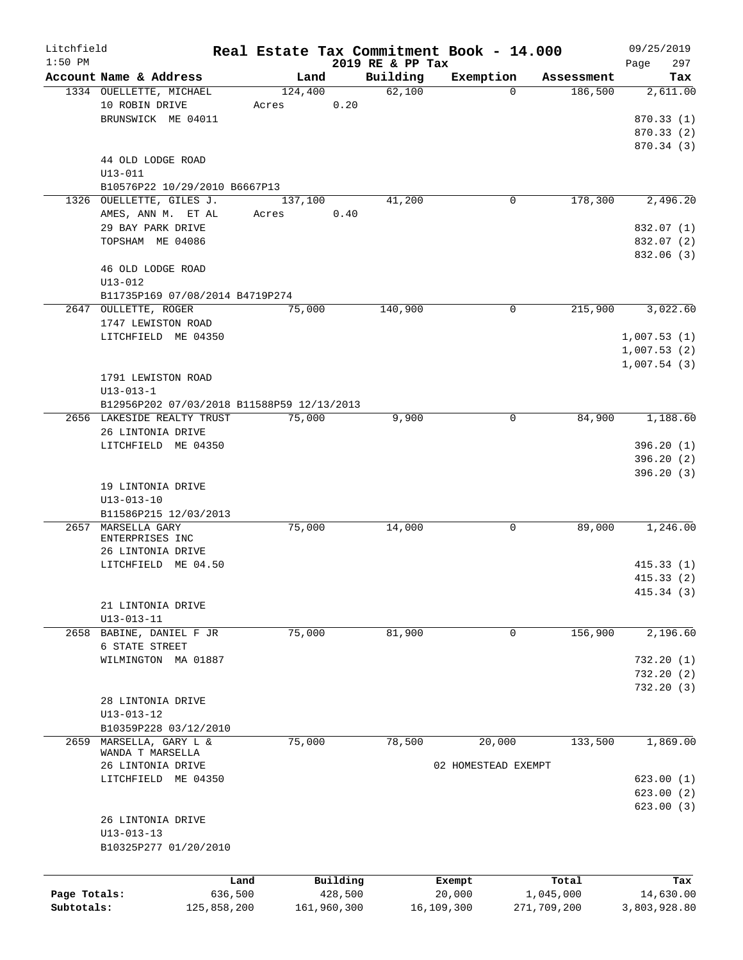| Litchfield   |                                            |                 |             |                    | Real Estate Tax Commitment Book - 14.000 |                       | 09/25/2019      |
|--------------|--------------------------------------------|-----------------|-------------|--------------------|------------------------------------------|-----------------------|-----------------|
| $1:50$ PM    | Account Name & Address                     |                 |             | 2019 RE & PP Tax   |                                          |                       | 297<br>Page     |
|              | 1334 OUELLETTE, MICHAEL                    | Land<br>124,400 |             | Building<br>62,100 | Exemption<br>$\Omega$                    | Assessment<br>186,500 | Tax<br>2,611.00 |
|              | 10 ROBIN DRIVE                             | Acres           | 0.20        |                    |                                          |                       |                 |
|              | BRUNSWICK ME 04011                         |                 |             |                    |                                          |                       | 870.33 (1)      |
|              |                                            |                 |             |                    |                                          |                       | 870.33 (2)      |
|              |                                            |                 |             |                    |                                          |                       | 870.34 (3)      |
|              | 44 OLD LODGE ROAD                          |                 |             |                    |                                          |                       |                 |
|              | $U13 - 011$                                |                 |             |                    |                                          |                       |                 |
|              | B10576P22 10/29/2010 B6667P13              |                 |             |                    |                                          |                       |                 |
|              | 1326 OUELLETTE, GILES J.                   | 137,100         |             | 41,200             | 0                                        | 178,300               | 2,496.20        |
|              | AMES, ANN M. ET AL                         | Acres           | 0.40        |                    |                                          |                       |                 |
|              | 29 BAY PARK DRIVE                          |                 |             |                    |                                          |                       | 832.07 (1)      |
|              | TOPSHAM ME 04086                           |                 |             |                    |                                          |                       | 832.07 (2)      |
|              |                                            |                 |             |                    |                                          |                       | 832.06 (3)      |
|              | 46 OLD LODGE ROAD                          |                 |             |                    |                                          |                       |                 |
|              | $U13 - 012$                                |                 |             |                    |                                          |                       |                 |
|              | B11735P169 07/08/2014 B4719P274            |                 |             |                    |                                          |                       |                 |
|              | 2647 OULLETTE, ROGER                       | 75,000          |             | 140,900            | 0                                        | 215,900               | 3,022.60        |
|              | 1747 LEWISTON ROAD                         |                 |             |                    |                                          |                       |                 |
|              | LITCHFIELD ME 04350                        |                 |             |                    |                                          |                       | 1,007.53(1)     |
|              |                                            |                 |             |                    |                                          |                       | 1,007.53(2)     |
|              |                                            |                 |             |                    |                                          |                       | 1,007.54(3)     |
|              | 1791 LEWISTON ROAD                         |                 |             |                    |                                          |                       |                 |
|              | $U13 - 013 - 1$                            |                 |             |                    |                                          |                       |                 |
|              | B12956P202 07/03/2018 B11588P59 12/13/2013 |                 |             |                    |                                          |                       |                 |
|              | 2656 LAKESIDE REALTY TRUST                 | 75,000          |             | 9,900              | $\mathbf 0$                              | 84,900                | 1,188.60        |
|              | 26 LINTONIA DRIVE                          |                 |             |                    |                                          |                       |                 |
|              | LITCHFIELD ME 04350                        |                 |             |                    |                                          |                       | 396.20(1)       |
|              |                                            |                 |             |                    |                                          |                       | 396.20 (2)      |
|              |                                            |                 |             |                    |                                          |                       | 396.20(3)       |
|              | 19 LINTONIA DRIVE                          |                 |             |                    |                                          |                       |                 |
|              | $U13 - 013 - 10$                           |                 |             |                    |                                          |                       |                 |
|              | B11586P215 12/03/2013                      |                 |             |                    |                                          |                       |                 |
| 2657         | MARSELLA GARY<br>ENTERPRISES INC           | 75,000          |             | 14,000             | 0                                        | 89,000                | 1,246.00        |
|              | 26 LINTONIA DRIVE                          |                 |             |                    |                                          |                       |                 |
|              | LITCHFIELD ME 04.50                        |                 |             |                    |                                          |                       | 415.33(1)       |
|              |                                            |                 |             |                    |                                          |                       | 415.33 (2)      |
|              |                                            |                 |             |                    |                                          |                       | 415.34 (3)      |
|              | 21 LINTONIA DRIVE                          |                 |             |                    |                                          |                       |                 |
|              | $U13 - 013 - 11$                           |                 |             |                    |                                          |                       |                 |
|              | 2658 BABINE, DANIEL F JR                   | 75,000          |             | 81,900             | 0                                        | 156,900               | 2,196.60        |
|              | 6 STATE STREET                             |                 |             |                    |                                          |                       |                 |
|              | WILMINGTON MA 01887                        |                 |             |                    |                                          |                       | 732.20(1)       |
|              |                                            |                 |             |                    |                                          |                       | 732.20(2)       |
|              |                                            |                 |             |                    |                                          |                       | 732.20(3)       |
|              | 28 LINTONIA DRIVE                          |                 |             |                    |                                          |                       |                 |
|              | U13-013-12                                 |                 |             |                    |                                          |                       |                 |
|              | B10359P228 03/12/2010                      |                 |             |                    |                                          |                       |                 |
| 2659         | MARSELLA, GARY L &                         | 75,000          |             | 78,500             | 20,000                                   | 133,500               | 1,869.00        |
|              | WANDA T MARSELLA                           |                 |             |                    |                                          |                       |                 |
|              | 26 LINTONIA DRIVE                          |                 |             |                    | 02 HOMESTEAD EXEMPT                      |                       |                 |
|              | LITCHFIELD ME 04350                        |                 |             |                    |                                          |                       | 623.00(1)       |
|              |                                            |                 |             |                    |                                          |                       | 623.00(2)       |
|              |                                            |                 |             |                    |                                          |                       | 623.00(3)       |
|              | 26 LINTONIA DRIVE                          |                 |             |                    |                                          |                       |                 |
|              | $U13 - 013 - 13$<br>B10325P277 01/20/2010  |                 |             |                    |                                          |                       |                 |
|              |                                            |                 |             |                    |                                          |                       |                 |
|              |                                            |                 |             |                    |                                          |                       |                 |
|              |                                            | Land            | Building    |                    | Exempt                                   | Total                 | Tax             |
| Page Totals: | 636,500                                    |                 | 428,500     |                    | 20,000                                   | 1,045,000             | 14,630.00       |
| Subtotals:   | 125,858,200                                |                 | 161,960,300 |                    | 16,109,300                               | 271,709,200           | 3,803,928.80    |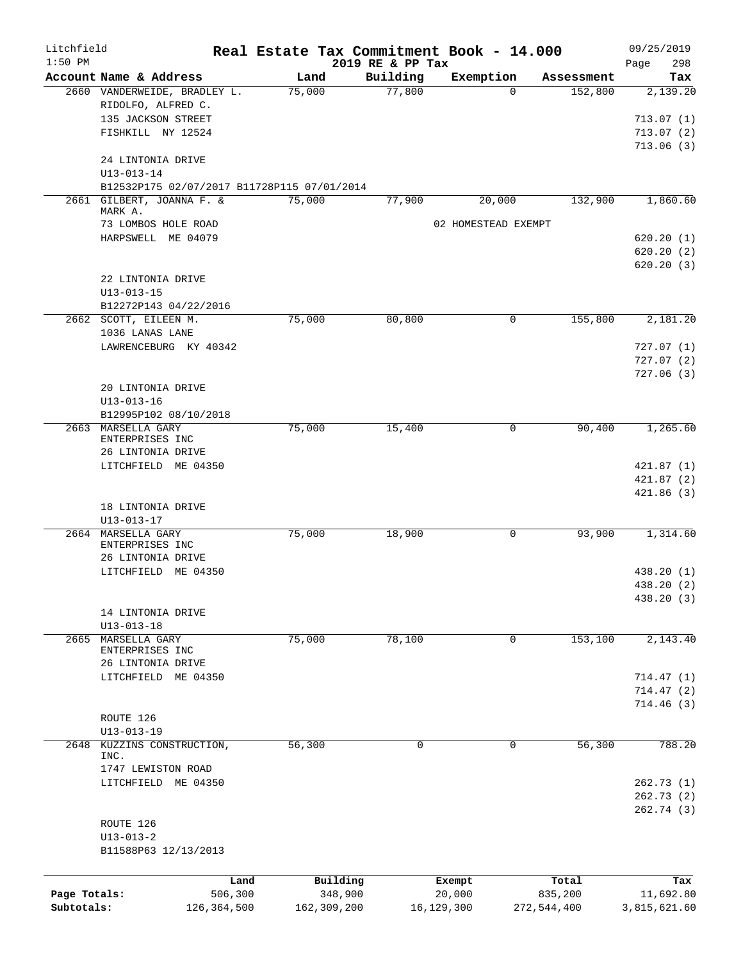| Litchfield<br>$1:50$ PM |                                                                          | Real Estate Tax Commitment Book - 14.000 | 2019 RE & PP Tax |                     |                  | 09/25/2019<br>298<br>Page |
|-------------------------|--------------------------------------------------------------------------|------------------------------------------|------------------|---------------------|------------------|---------------------------|
|                         | Account Name & Address                                                   | Land                                     | Building         | Exemption           | Assessment       | Tax                       |
|                         | 2660 VANDERWEIDE, BRADLEY L.                                             | 75,000                                   | 77,800           | $\Omega$            | 152,800          | 2,139.20                  |
|                         | RIDOLFO, ALFRED C.                                                       |                                          |                  |                     |                  |                           |
|                         | 135 JACKSON STREET                                                       |                                          |                  |                     |                  | 713.07(1)                 |
|                         | FISHKILL NY 12524                                                        |                                          |                  |                     |                  | 713.07(2)                 |
|                         |                                                                          |                                          |                  |                     |                  | 713.06(3)                 |
|                         | 24 LINTONIA DRIVE                                                        |                                          |                  |                     |                  |                           |
|                         | $U13 - 013 - 14$                                                         |                                          |                  |                     |                  |                           |
|                         | B12532P175 02/07/2017 B11728P115 07/01/2014<br>2661 GILBERT, JOANNA F. & | 75,000                                   | 77,900           | 20,000              | 132,900          | 1,860.60                  |
|                         | MARK A.                                                                  |                                          |                  |                     |                  |                           |
|                         | 73 LOMBOS HOLE ROAD                                                      |                                          |                  | 02 HOMESTEAD EXEMPT |                  |                           |
|                         | HARPSWELL ME 04079                                                       |                                          |                  |                     |                  | 620.20(1)                 |
|                         |                                                                          |                                          |                  |                     |                  | 620.20(2)                 |
|                         |                                                                          |                                          |                  |                     |                  | 620.20(3)                 |
|                         | 22 LINTONIA DRIVE                                                        |                                          |                  |                     |                  |                           |
|                         | $U13 - 013 - 15$<br>B12272P143 04/22/2016                                |                                          |                  |                     |                  |                           |
|                         | 2662 SCOTT, EILEEN M.                                                    | 75,000                                   | 80,800           | 0                   | 155,800          | 2,181.20                  |
|                         | 1036 LANAS LANE                                                          |                                          |                  |                     |                  |                           |
|                         | LAWRENCEBURG KY 40342                                                    |                                          |                  |                     |                  | 727.07(1)                 |
|                         |                                                                          |                                          |                  |                     |                  | 727.07(2)                 |
|                         |                                                                          |                                          |                  |                     |                  | 727.06(3)                 |
|                         | 20 LINTONIA DRIVE                                                        |                                          |                  |                     |                  |                           |
|                         | $U13 - 013 - 16$                                                         |                                          |                  |                     |                  |                           |
|                         | B12995P102 08/10/2018                                                    |                                          |                  |                     |                  |                           |
|                         | 2663 MARSELLA GARY                                                       | 75,000                                   | 15,400           | $\mathbf{0}$        | 90,400           | 1,265.60                  |
|                         | ENTERPRISES INC                                                          |                                          |                  |                     |                  |                           |
|                         | 26 LINTONIA DRIVE<br>LITCHFIELD ME 04350                                 |                                          |                  |                     |                  | 421.87(1)                 |
|                         |                                                                          |                                          |                  |                     |                  | 421.87(2)                 |
|                         |                                                                          |                                          |                  |                     |                  | 421.86(3)                 |
|                         | 18 LINTONIA DRIVE                                                        |                                          |                  |                     |                  |                           |
|                         | $U13 - 013 - 17$                                                         |                                          |                  |                     |                  |                           |
| 2664                    | MARSELLA GARY                                                            | 75,000                                   | 18,900           | 0                   | 93,900           | 1,314.60                  |
|                         | ENTERPRISES INC                                                          |                                          |                  |                     |                  |                           |
|                         | 26 LINTONIA DRIVE                                                        |                                          |                  |                     |                  |                           |
|                         | LITCHFIELD ME 04350                                                      |                                          |                  |                     |                  | 438.20 (1)                |
|                         |                                                                          |                                          |                  |                     |                  | 438.20 (2)                |
|                         | 14 LINTONIA DRIVE                                                        |                                          |                  |                     |                  | 438.20 (3)                |
|                         | $U13 - 013 - 18$                                                         |                                          |                  |                     |                  |                           |
| 2665                    | MARSELLA GARY                                                            | 75,000                                   | 78,100           | $\mathbf 0$         | 153,100          | 2,143.40                  |
|                         | ENTERPRISES INC                                                          |                                          |                  |                     |                  |                           |
|                         | 26 LINTONIA DRIVE                                                        |                                          |                  |                     |                  |                           |
|                         | LITCHFIELD ME 04350                                                      |                                          |                  |                     |                  | 714.47(1)                 |
|                         |                                                                          |                                          |                  |                     |                  | 714.47(2)                 |
|                         |                                                                          |                                          |                  |                     |                  | 714.46 (3)                |
|                         | ROUTE 126<br>$U13 - 013 - 19$                                            |                                          |                  |                     |                  |                           |
| 2648                    | KUZZINS CONSTRUCTION,                                                    | 56,300                                   | 0                | 0                   | 56,300           | 788.20                    |
|                         | INC.                                                                     |                                          |                  |                     |                  |                           |
|                         | 1747 LEWISTON ROAD                                                       |                                          |                  |                     |                  |                           |
|                         | LITCHFIELD ME 04350                                                      |                                          |                  |                     |                  | 262.73(1)                 |
|                         |                                                                          |                                          |                  |                     |                  | 262.73 (2)                |
|                         |                                                                          |                                          |                  |                     |                  | 262.74 (3)                |
|                         | ROUTE 126                                                                |                                          |                  |                     |                  |                           |
|                         | $U13 - 013 - 2$                                                          |                                          |                  |                     |                  |                           |
|                         | B11588P63 12/13/2013                                                     |                                          |                  |                     |                  |                           |
|                         |                                                                          |                                          |                  |                     |                  |                           |
| Page Totals:            | Land<br>506,300                                                          | Building<br>348,900                      |                  | Exempt<br>20,000    | Total<br>835,200 | Tax<br>11,692.80          |
| Subtotals:              | 126,364,500                                                              | 162,309,200                              |                  | 16,129,300          | 272,544,400      | 3,815,621.60              |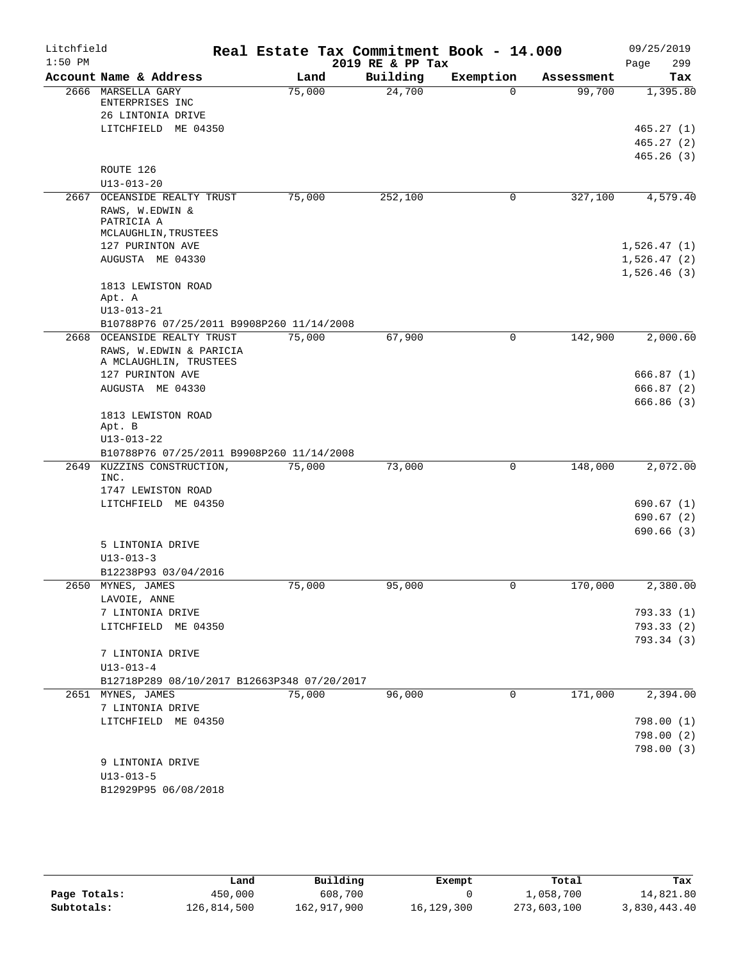| Litchfield<br>$1:50$ PM |                                             | Real Estate Tax Commitment Book - 14.000 | 2019 RE & PP Tax |              |            | 09/25/2019<br>299<br>Page  |
|-------------------------|---------------------------------------------|------------------------------------------|------------------|--------------|------------|----------------------------|
|                         | Account Name & Address                      | Land                                     | Building         | Exemption    | Assessment | Tax                        |
|                         | 2666 MARSELLA GARY                          | 75,000                                   | 24,700           | $\Omega$     | 99,700     | 1,395.80                   |
|                         | ENTERPRISES INC                             |                                          |                  |              |            |                            |
|                         | 26 LINTONIA DRIVE                           |                                          |                  |              |            |                            |
|                         | LITCHFIELD ME 04350                         |                                          |                  |              |            | 465.27(1)<br>465.27(2)     |
|                         |                                             |                                          |                  |              |            | 465.26(3)                  |
|                         | ROUTE 126                                   |                                          |                  |              |            |                            |
|                         | $U13 - 013 - 20$                            |                                          |                  |              |            |                            |
| 2667                    | OCEANSIDE REALTY TRUST                      | 75,000                                   | 252,100          | 0            | 327,100    | 4,579.40                   |
|                         | RAWS, W.EDWIN &                             |                                          |                  |              |            |                            |
|                         | PATRICIA A                                  |                                          |                  |              |            |                            |
|                         | MCLAUGHLIN, TRUSTEES                        |                                          |                  |              |            |                            |
|                         | 127 PURINTON AVE<br>AUGUSTA ME 04330        |                                          |                  |              |            | 1,526.47(1)                |
|                         |                                             |                                          |                  |              |            | 1,526.47(2)<br>1,526.46(3) |
|                         | 1813 LEWISTON ROAD                          |                                          |                  |              |            |                            |
|                         | Apt. A                                      |                                          |                  |              |            |                            |
|                         | $U13 - 013 - 21$                            |                                          |                  |              |            |                            |
|                         | B10788P76 07/25/2011 B9908P260 11/14/2008   |                                          |                  |              |            |                            |
| 2668                    | OCEANSIDE REALTY TRUST                      | 75,000                                   | 67,900           | $\mathbf 0$  | 142,900    | 2,000.60                   |
|                         | RAWS, W.EDWIN & PARICIA                     |                                          |                  |              |            |                            |
|                         | A MCLAUGHLIN, TRUSTEES<br>127 PURINTON AVE  |                                          |                  |              |            | 666.87(1)                  |
|                         | AUGUSTA ME 04330                            |                                          |                  |              |            | 666.87(2)                  |
|                         |                                             |                                          |                  |              |            | 666.86(3)                  |
|                         | 1813 LEWISTON ROAD                          |                                          |                  |              |            |                            |
|                         | Apt. B                                      |                                          |                  |              |            |                            |
|                         | $U13 - 013 - 22$                            |                                          |                  |              |            |                            |
|                         | B10788P76 07/25/2011 B9908P260 11/14/2008   |                                          |                  |              |            |                            |
| 2649                    | KUZZINS CONSTRUCTION,<br>INC.               | 75,000                                   | 73,000           | 0            | 148,000    | 2,072.00                   |
|                         | 1747 LEWISTON ROAD                          |                                          |                  |              |            |                            |
|                         | LITCHFIELD ME 04350                         |                                          |                  |              |            | 690.67 (1)                 |
|                         |                                             |                                          |                  |              |            | 690.67(2)                  |
|                         |                                             |                                          |                  |              |            | 690.66(3)                  |
|                         | 5 LINTONIA DRIVE                            |                                          |                  |              |            |                            |
|                         | $U13 - 013 - 3$                             |                                          |                  |              |            |                            |
|                         | B12238P93 03/04/2016                        |                                          |                  |              |            |                            |
| 2650                    | MYNES, JAMES                                | 75,000                                   | 95,000           | $\Omega$     | 170,000    | 2,380.00                   |
|                         | LAVOIE, ANNE                                |                                          |                  |              |            |                            |
|                         | 7 LINTONIA DRIVE                            |                                          |                  |              |            | 793.33(1)                  |
|                         | LITCHFIELD ME 04350                         |                                          |                  |              |            | 793.33(2)<br>793.34 (3)    |
|                         | 7 LINTONIA DRIVE                            |                                          |                  |              |            |                            |
|                         | $U13 - 013 - 4$                             |                                          |                  |              |            |                            |
|                         | B12718P289 08/10/2017 B12663P348 07/20/2017 |                                          |                  |              |            |                            |
|                         | 2651 MYNES, JAMES                           | 75,000                                   | 96,000           | $\mathbf{0}$ | 171,000    | 2,394.00                   |
|                         | 7 LINTONIA DRIVE                            |                                          |                  |              |            |                            |
|                         | LITCHFIELD ME 04350                         |                                          |                  |              |            | 798.00(1)                  |
|                         |                                             |                                          |                  |              |            | 798.00(2)                  |
|                         |                                             |                                          |                  |              |            | 798.00(3)                  |
|                         | 9 LINTONIA DRIVE                            |                                          |                  |              |            |                            |
|                         | $U13 - 013 - 5$                             |                                          |                  |              |            |                            |
|                         | B12929P95 06/08/2018                        |                                          |                  |              |            |                            |

|              | Land        | Building    | Exempt     | Total       | Tax          |
|--------------|-------------|-------------|------------|-------------|--------------|
| Page Totals: | 450,000     | 608,700     |            | 1,058,700   | 14,821.80    |
| Subtotals:   | 126,814,500 | 162,917,900 | 16,129,300 | 273,603,100 | 3,830,443.40 |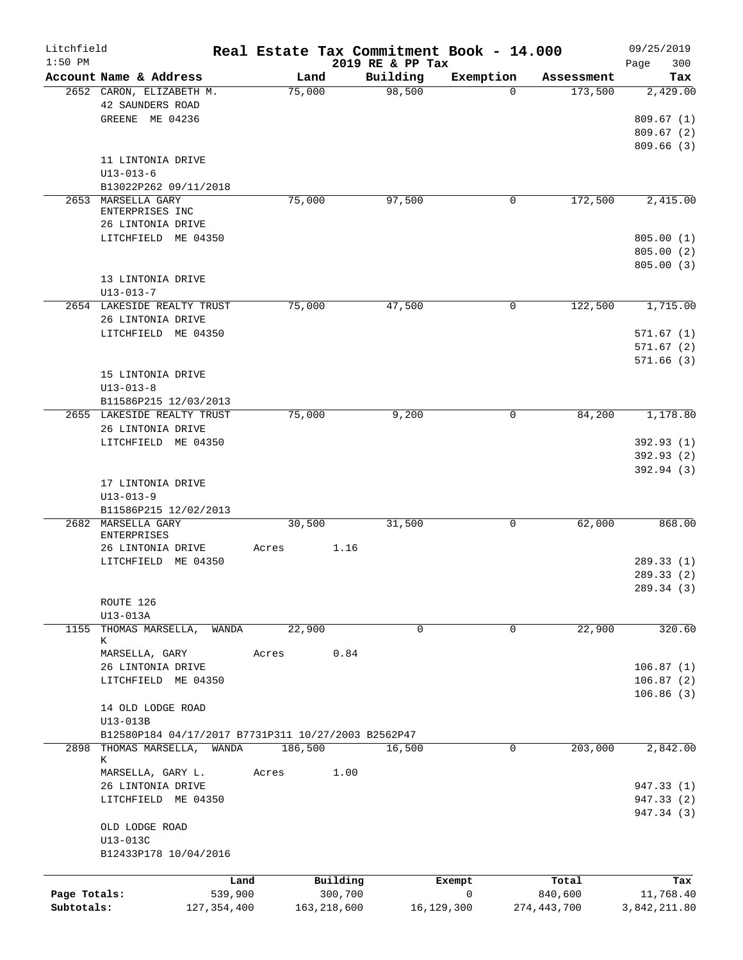| Litchfield<br>$1:50$ PM |                                                     |         |               |          | 2019 RE & PP Tax | Real Estate Tax Commitment Book - 14.000 |             | 09/25/2019         |
|-------------------------|-----------------------------------------------------|---------|---------------|----------|------------------|------------------------------------------|-------------|--------------------|
|                         | Account Name & Address                              |         | Land          |          | Building         | Exemption                                | Assessment  | 300<br>Page<br>Tax |
|                         | 2652 CARON, ELIZABETH M.                            |         | 75,000        |          | 98,500           | $\Omega$                                 | 173,500     | 2,429.00           |
|                         | 42 SAUNDERS ROAD                                    |         |               |          |                  |                                          |             |                    |
|                         | GREENE ME 04236                                     |         |               |          |                  |                                          |             | 809.67(1)          |
|                         |                                                     |         |               |          |                  |                                          |             | 809.67(2)          |
|                         |                                                     |         |               |          |                  |                                          |             | 809.66(3)          |
|                         | 11 LINTONIA DRIVE                                   |         |               |          |                  |                                          |             |                    |
|                         | $U13 - 013 - 6$                                     |         |               |          |                  |                                          |             |                    |
|                         | B13022P262 09/11/2018                               |         |               |          |                  |                                          |             |                    |
|                         | 2653 MARSELLA GARY                                  |         | 75,000        |          | 97,500           | 0                                        | 172,500     | 2,415.00           |
|                         | ENTERPRISES INC                                     |         |               |          |                  |                                          |             |                    |
|                         | 26 LINTONIA DRIVE                                   |         |               |          |                  |                                          |             |                    |
|                         | LITCHFIELD ME 04350                                 |         |               |          |                  |                                          |             | 805.00(1)          |
|                         |                                                     |         |               |          |                  |                                          |             | 805.00(2)          |
|                         |                                                     |         |               |          |                  |                                          |             | 805.00(3)          |
|                         | 13 LINTONIA DRIVE                                   |         |               |          |                  |                                          |             |                    |
|                         | $U13 - 013 - 7$                                     |         |               |          |                  |                                          | 122,500     | 1,715.00           |
|                         | 2654 LAKESIDE REALTY TRUST                          |         | 75,000        |          | 47,500           | 0                                        |             |                    |
|                         | 26 LINTONIA DRIVE<br>LITCHFIELD ME 04350            |         |               |          |                  |                                          |             | 571.67(1)          |
|                         |                                                     |         |               |          |                  |                                          |             | 571.67(2)          |
|                         |                                                     |         |               |          |                  |                                          |             | 571.66(3)          |
|                         | 15 LINTONIA DRIVE                                   |         |               |          |                  |                                          |             |                    |
|                         | $U13 - 013 - 8$                                     |         |               |          |                  |                                          |             |                    |
|                         | B11586P215 12/03/2013                               |         |               |          |                  |                                          |             |                    |
|                         | 2655 LAKESIDE REALTY TRUST                          |         | 75,000        |          | 9,200            | $\mathbf 0$                              | 84,200      | 1,178.80           |
|                         | 26 LINTONIA DRIVE                                   |         |               |          |                  |                                          |             |                    |
|                         | LITCHFIELD ME 04350                                 |         |               |          |                  |                                          |             | 392.93 (1)         |
|                         |                                                     |         |               |          |                  |                                          |             | 392.93 (2)         |
|                         |                                                     |         |               |          |                  |                                          |             | 392.94 (3)         |
|                         | 17 LINTONIA DRIVE                                   |         |               |          |                  |                                          |             |                    |
|                         | $U13 - 013 - 9$                                     |         |               |          |                  |                                          |             |                    |
|                         | B11586P215 12/02/2013                               |         |               |          |                  |                                          |             |                    |
|                         | 2682 MARSELLA GARY                                  |         | 30,500        |          | 31,500           | 0                                        | 62,000      | 868.00             |
|                         | <b>ENTERPRISES</b>                                  |         |               |          |                  |                                          |             |                    |
|                         | 26 LINTONIA DRIVE                                   | Acres   |               | 1.16     |                  |                                          |             |                    |
|                         | LITCHFIELD ME 04350                                 |         |               |          |                  |                                          |             | 289.33 (1)         |
|                         |                                                     |         |               |          |                  |                                          |             | 289.33 (2)         |
|                         |                                                     |         |               |          |                  |                                          |             | 289.34 (3)         |
|                         | ROUTE 126                                           |         |               |          |                  |                                          |             |                    |
|                         | U13-013A                                            |         |               |          |                  |                                          |             |                    |
| 1155                    | THOMAS MARSELLA,<br>К                               | WANDA   | 22,900        |          | $\mathbf 0$      | 0                                        | 22,900      | 320.60             |
|                         | MARSELLA, GARY                                      | Acres   |               | 0.84     |                  |                                          |             |                    |
|                         | 26 LINTONIA DRIVE                                   |         |               |          |                  |                                          |             | 106.87(1)          |
|                         | LITCHFIELD ME 04350                                 |         |               |          |                  |                                          |             | 106.87(2)          |
|                         |                                                     |         |               |          |                  |                                          |             | 106.86(3)          |
|                         | 14 OLD LODGE ROAD                                   |         |               |          |                  |                                          |             |                    |
|                         | U13-013B                                            |         |               |          |                  |                                          |             |                    |
|                         | B12580P184 04/17/2017 B7731P311 10/27/2003 B2562P47 |         |               |          |                  |                                          |             |                    |
| 2898                    | THOMAS MARSELLA, WANDA                              |         | 186,500       |          | 16,500           | 0                                        | 203,000     | 2,842.00           |
|                         | К                                                   |         |               |          |                  |                                          |             |                    |
|                         | MARSELLA, GARY L.                                   | Acres   |               | 1.00     |                  |                                          |             |                    |
|                         | 26 LINTONIA DRIVE                                   |         |               |          |                  |                                          |             | 947.33 (1)         |
|                         | LITCHFIELD ME 04350                                 |         |               |          |                  |                                          |             | 947.33 (2)         |
|                         |                                                     |         |               |          |                  |                                          |             | 947.34 (3)         |
|                         | OLD LODGE ROAD                                      |         |               |          |                  |                                          |             |                    |
|                         | U13-013C                                            |         |               |          |                  |                                          |             |                    |
|                         | B12433P178 10/04/2016                               |         |               |          |                  |                                          |             |                    |
|                         |                                                     |         |               |          |                  |                                          |             |                    |
|                         |                                                     | Land    |               | Building |                  | Exempt                                   | Total       | Tax                |
| Page Totals:            |                                                     | 539,900 |               | 300,700  |                  | 0                                        | 840,600     | 11,768.40          |
| Subtotals:              | 127,354,400                                         |         | 163, 218, 600 |          |                  | 16,129,300                               | 274,443,700 | 3,842,211.80       |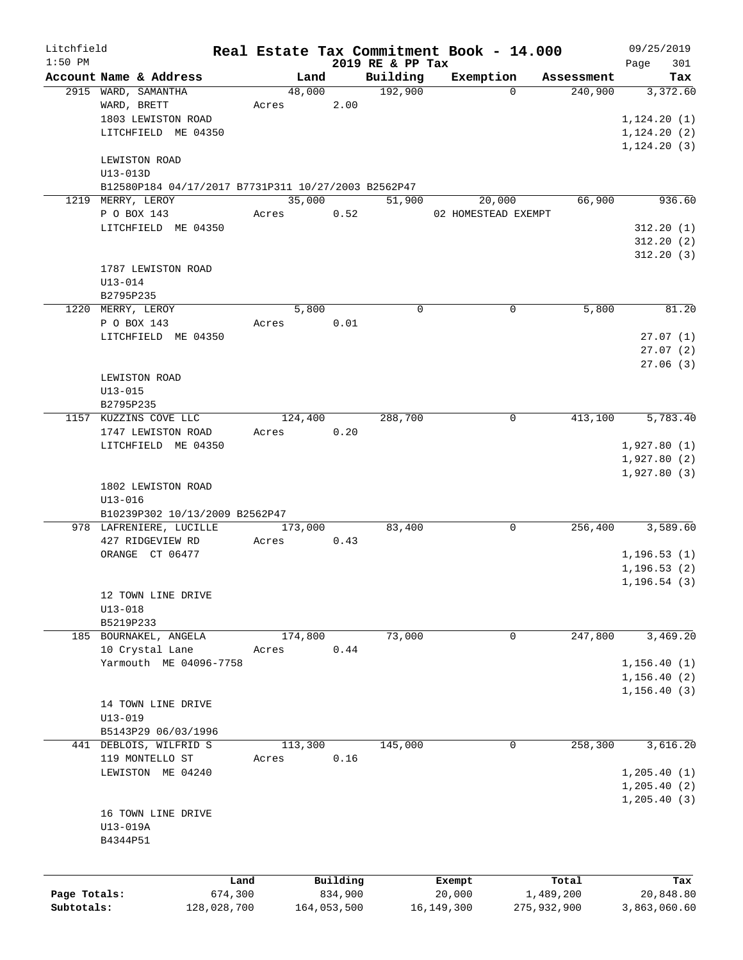| Litchfield   |                                                     |         |         |             |                              | Real Estate Tax Commitment Book - 14.000 |             |            | 09/25/2019      |
|--------------|-----------------------------------------------------|---------|---------|-------------|------------------------------|------------------------------------------|-------------|------------|-----------------|
| $1:50$ PM    | Account Name & Address                              |         | Land    |             | 2019 RE & PP Tax<br>Building | Exemption                                |             | Assessment | 301<br>Page     |
|              | 2915 WARD, SAMANTHA                                 |         | 48,000  |             | 192,900                      |                                          | $\Omega$    | 240,900    | Tax<br>3,372.60 |
|              | WARD, BRETT                                         | Acres   |         | 2.00        |                              |                                          |             |            |                 |
|              | 1803 LEWISTON ROAD                                  |         |         |             |                              |                                          |             |            | 1, 124.20(1)    |
|              | LITCHFIELD ME 04350                                 |         |         |             |                              |                                          |             |            | 1, 124.20(2)    |
|              |                                                     |         |         |             |                              |                                          |             |            | 1, 124.20(3)    |
|              | LEWISTON ROAD                                       |         |         |             |                              |                                          |             |            |                 |
|              | U13-013D                                            |         |         |             |                              |                                          |             |            |                 |
|              | B12580P184 04/17/2017 B7731P311 10/27/2003 B2562P47 |         |         |             |                              |                                          |             |            |                 |
|              | 1219 MERRY, LEROY                                   |         | 35,000  |             | 51,900                       | 20,000                                   |             | 66,900     | 936.60          |
|              | P O BOX 143                                         | Acres   |         | 0.52        |                              | 02 HOMESTEAD EXEMPT                      |             |            |                 |
|              | LITCHFIELD ME 04350                                 |         |         |             |                              |                                          |             |            | 312.20(1)       |
|              |                                                     |         |         |             |                              |                                          |             |            | 312.20(2)       |
|              |                                                     |         |         |             |                              |                                          |             |            | 312.20(3)       |
|              | 1787 LEWISTON ROAD                                  |         |         |             |                              |                                          |             |            |                 |
|              | $U13 - 014$                                         |         |         |             |                              |                                          |             |            |                 |
|              | B2795P235                                           |         |         |             |                              |                                          |             |            |                 |
|              | 1220 MERRY, LEROY                                   |         | 5,800   |             | $\Omega$                     |                                          | 0           | 5,800      | 81.20           |
|              | P O BOX 143                                         | Acres   |         | 0.01        |                              |                                          |             |            |                 |
|              | LITCHFIELD ME 04350                                 |         |         |             |                              |                                          |             |            | 27.07(1)        |
|              |                                                     |         |         |             |                              |                                          |             |            | 27.07(2)        |
|              |                                                     |         |         |             |                              |                                          |             |            | 27.06(3)        |
|              | LEWISTON ROAD                                       |         |         |             |                              |                                          |             |            |                 |
|              | $U13 - 015$                                         |         |         |             |                              |                                          |             |            |                 |
|              | B2795P235                                           |         |         |             |                              |                                          |             |            |                 |
|              | 1157 KUZZINS COVE LLC                               |         | 124,400 |             | 288,700                      |                                          | $\mathbf 0$ | 413,100    | 5,783.40        |
|              | 1747 LEWISTON ROAD                                  | Acres   |         | 0.20        |                              |                                          |             |            |                 |
|              | LITCHFIELD ME 04350                                 |         |         |             |                              |                                          |             |            | 1,927.80(1)     |
|              |                                                     |         |         |             |                              |                                          |             |            | 1,927.80(2)     |
|              | 1802 LEWISTON ROAD                                  |         |         |             |                              |                                          |             |            | 1,927.80(3)     |
|              | $U13 - 016$                                         |         |         |             |                              |                                          |             |            |                 |
|              | B10239P302 10/13/2009 B2562P47                      |         |         |             |                              |                                          |             |            |                 |
|              | 978 LAFRENIERE, LUCILLE                             |         | 173,000 |             | 83,400                       |                                          | 0           | 256,400    | 3,589.60        |
|              | 427 RIDGEVIEW RD                                    | Acres   |         | 0.43        |                              |                                          |             |            |                 |
|              | ORANGE CT 06477                                     |         |         |             |                              |                                          |             |            | 1, 196.53(1)    |
|              |                                                     |         |         |             |                              |                                          |             |            | 1,196.53(2)     |
|              |                                                     |         |         |             |                              |                                          |             |            | 1, 196.54(3)    |
|              | 12 TOWN LINE DRIVE                                  |         |         |             |                              |                                          |             |            |                 |
|              | $U13 - 018$                                         |         |         |             |                              |                                          |             |            |                 |
|              | B5219P233                                           |         |         |             |                              |                                          |             |            |                 |
|              | 185 BOURNAKEL, ANGELA                               |         | 174,800 |             | 73,000                       |                                          | 0           | 247,800    | 3,469.20        |
|              | 10 Crystal Lane                                     | Acres   |         | 0.44        |                              |                                          |             |            |                 |
|              | Yarmouth ME 04096-7758                              |         |         |             |                              |                                          |             |            | 1, 156.40(1)    |
|              |                                                     |         |         |             |                              |                                          |             |            | 1, 156.40(2)    |
|              |                                                     |         |         |             |                              |                                          |             |            | 1,156.40(3)     |
|              | 14 TOWN LINE DRIVE                                  |         |         |             |                              |                                          |             |            |                 |
|              | $U13 - 019$                                         |         |         |             |                              |                                          |             |            |                 |
|              | B5143P29 06/03/1996                                 |         |         |             |                              |                                          |             |            |                 |
|              | 441 DEBLOIS, WILFRID S                              |         | 113,300 |             | 145,000                      |                                          | 0           | 258,300    | 3,616.20        |
|              | 119 MONTELLO ST                                     | Acres   |         | 0.16        |                              |                                          |             |            |                 |
|              | LEWISTON ME 04240                                   |         |         |             |                              |                                          |             |            | 1, 205.40(1)    |
|              |                                                     |         |         |             |                              |                                          |             |            | 1, 205.40(2)    |
|              |                                                     |         |         |             |                              |                                          |             |            | 1, 205.40(3)    |
|              | 16 TOWN LINE DRIVE                                  |         |         |             |                              |                                          |             |            |                 |
|              | U13-019A                                            |         |         |             |                              |                                          |             |            |                 |
|              | B4344P51                                            |         |         |             |                              |                                          |             |            |                 |
|              |                                                     |         |         |             |                              |                                          |             |            |                 |
|              |                                                     | Land    |         | Building    |                              | Exempt                                   |             | Total      | Tax             |
| Page Totals: |                                                     | 674,300 |         | 834,900     |                              | 20,000                                   | 1,489,200   |            | 20,848.80       |
| Subtotals:   | 128,028,700                                         |         |         | 164,053,500 |                              | 16,149,300                               | 275,932,900 |            | 3,863,060.60    |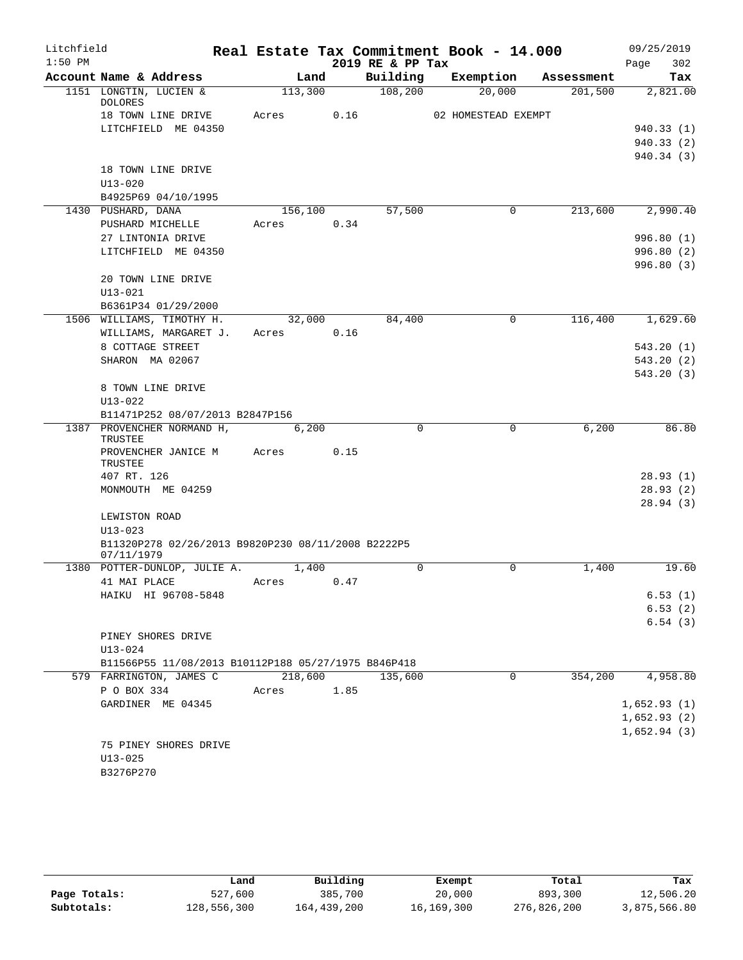| $1:50$ PM<br>2019 RE & PP Tax<br>302<br>Page<br>Account Name & Address<br>Land<br>Building<br>Exemption<br>Assessment<br>108,200<br>1151 LONGTIN, LUCIEN &<br>113,300<br>20,000<br>201,500<br><b>DOLORES</b><br>0.16<br>18 TOWN LINE DRIVE<br>Acres<br>02 HOMESTEAD EXEMPT<br>LITCHFIELD ME 04350<br>18 TOWN LINE DRIVE<br>$U13 - 020$<br>B4925P69 04/10/1995<br>1430 PUSHARD, DANA<br>156,100<br>57,500<br>0<br>213,600<br>PUSHARD MICHELLE<br>0.34<br>Acres<br>27 LINTONIA DRIVE<br>LITCHFIELD ME 04350<br>20 TOWN LINE DRIVE<br>$U13 - 021$<br>B6361P34 01/29/2000<br>0<br>1506 WILLIAMS, TIMOTHY H.<br>32,000<br>84,400<br>116,400<br>WILLIAMS, MARGARET J.<br>0.16<br>Acres<br>8 COTTAGE STREET<br>SHARON MA 02067<br>8 TOWN LINE DRIVE<br>$U13 - 022$<br>B11471P252 08/07/2013 B2847P156<br>1387 PROVENCHER NORMAND H,<br>$\Omega$<br>$\Omega$<br>6,200<br>6,200<br>TRUSTEE<br>0.15<br>PROVENCHER JANICE M<br>Acres<br>TRUSTEE<br>407 RT. 126<br>MONMOUTH ME 04259<br>LEWISTON ROAD<br>$U13 - 023$<br>B11320P278 02/26/2013 B9820P230 08/11/2008 B2222P5<br>07/11/1979<br>$\mathbf 0$<br>1380 POTTER-DUNLOP, JULIE A.<br>1,400<br>0<br>1,400<br>41 MAI PLACE<br>Acres<br>0.47<br>HAIKU HI 96708-5848<br>PINEY SHORES DRIVE<br>$U13 - 024$<br>B11566P55 11/08/2013 B10112P188 05/27/1975 B846P418<br>218,600<br>0<br>354,200<br>579 FARRINGTON, JAMES C<br>135,600<br>P O BOX 334<br>Acres<br>1.85<br>GARDINER ME 04345<br>75 PINEY SHORES DRIVE<br>$U13 - 025$<br>B3276P270 | Litchfield |  |  |  | Real Estate Tax Commitment Book - 14.000 |  | 09/25/2019 |
|-----------------------------------------------------------------------------------------------------------------------------------------------------------------------------------------------------------------------------------------------------------------------------------------------------------------------------------------------------------------------------------------------------------------------------------------------------------------------------------------------------------------------------------------------------------------------------------------------------------------------------------------------------------------------------------------------------------------------------------------------------------------------------------------------------------------------------------------------------------------------------------------------------------------------------------------------------------------------------------------------------------------------------------------------------------------------------------------------------------------------------------------------------------------------------------------------------------------------------------------------------------------------------------------------------------------------------------------------------------------------------------------------------------------------------------------------------------------------------------|------------|--|--|--|------------------------------------------|--|------------|
| Tax<br>2,821.00<br>940.33(1)<br>940.33(2)<br>940.34 (3)<br>2,990.40<br>996.80(1)<br>996.80(2)<br>996.80 (3)<br>1,629.60<br>543.20(1)<br>543.20(2)<br>543.20(3)<br>86.80<br>28.93(1)<br>28.93(2)<br>28.94(3)<br>19.60<br>6.53(1)<br>6.53(2)<br>6.54(3)<br>4,958.80<br>1,652.93(1)<br>1,652.93(2)<br>1,652.94(3)                                                                                                                                                                                                                                                                                                                                                                                                                                                                                                                                                                                                                                                                                                                                                                                                                                                                                                                                                                                                                                                                                                                                                                    |            |  |  |  |                                          |  |            |
|                                                                                                                                                                                                                                                                                                                                                                                                                                                                                                                                                                                                                                                                                                                                                                                                                                                                                                                                                                                                                                                                                                                                                                                                                                                                                                                                                                                                                                                                                   |            |  |  |  |                                          |  |            |
|                                                                                                                                                                                                                                                                                                                                                                                                                                                                                                                                                                                                                                                                                                                                                                                                                                                                                                                                                                                                                                                                                                                                                                                                                                                                                                                                                                                                                                                                                   |            |  |  |  |                                          |  |            |
|                                                                                                                                                                                                                                                                                                                                                                                                                                                                                                                                                                                                                                                                                                                                                                                                                                                                                                                                                                                                                                                                                                                                                                                                                                                                                                                                                                                                                                                                                   |            |  |  |  |                                          |  |            |
|                                                                                                                                                                                                                                                                                                                                                                                                                                                                                                                                                                                                                                                                                                                                                                                                                                                                                                                                                                                                                                                                                                                                                                                                                                                                                                                                                                                                                                                                                   |            |  |  |  |                                          |  |            |
|                                                                                                                                                                                                                                                                                                                                                                                                                                                                                                                                                                                                                                                                                                                                                                                                                                                                                                                                                                                                                                                                                                                                                                                                                                                                                                                                                                                                                                                                                   |            |  |  |  |                                          |  |            |
|                                                                                                                                                                                                                                                                                                                                                                                                                                                                                                                                                                                                                                                                                                                                                                                                                                                                                                                                                                                                                                                                                                                                                                                                                                                                                                                                                                                                                                                                                   |            |  |  |  |                                          |  |            |
|                                                                                                                                                                                                                                                                                                                                                                                                                                                                                                                                                                                                                                                                                                                                                                                                                                                                                                                                                                                                                                                                                                                                                                                                                                                                                                                                                                                                                                                                                   |            |  |  |  |                                          |  |            |
|                                                                                                                                                                                                                                                                                                                                                                                                                                                                                                                                                                                                                                                                                                                                                                                                                                                                                                                                                                                                                                                                                                                                                                                                                                                                                                                                                                                                                                                                                   |            |  |  |  |                                          |  |            |
|                                                                                                                                                                                                                                                                                                                                                                                                                                                                                                                                                                                                                                                                                                                                                                                                                                                                                                                                                                                                                                                                                                                                                                                                                                                                                                                                                                                                                                                                                   |            |  |  |  |                                          |  |            |
|                                                                                                                                                                                                                                                                                                                                                                                                                                                                                                                                                                                                                                                                                                                                                                                                                                                                                                                                                                                                                                                                                                                                                                                                                                                                                                                                                                                                                                                                                   |            |  |  |  |                                          |  |            |
|                                                                                                                                                                                                                                                                                                                                                                                                                                                                                                                                                                                                                                                                                                                                                                                                                                                                                                                                                                                                                                                                                                                                                                                                                                                                                                                                                                                                                                                                                   |            |  |  |  |                                          |  |            |
|                                                                                                                                                                                                                                                                                                                                                                                                                                                                                                                                                                                                                                                                                                                                                                                                                                                                                                                                                                                                                                                                                                                                                                                                                                                                                                                                                                                                                                                                                   |            |  |  |  |                                          |  |            |
|                                                                                                                                                                                                                                                                                                                                                                                                                                                                                                                                                                                                                                                                                                                                                                                                                                                                                                                                                                                                                                                                                                                                                                                                                                                                                                                                                                                                                                                                                   |            |  |  |  |                                          |  |            |
|                                                                                                                                                                                                                                                                                                                                                                                                                                                                                                                                                                                                                                                                                                                                                                                                                                                                                                                                                                                                                                                                                                                                                                                                                                                                                                                                                                                                                                                                                   |            |  |  |  |                                          |  |            |
|                                                                                                                                                                                                                                                                                                                                                                                                                                                                                                                                                                                                                                                                                                                                                                                                                                                                                                                                                                                                                                                                                                                                                                                                                                                                                                                                                                                                                                                                                   |            |  |  |  |                                          |  |            |
|                                                                                                                                                                                                                                                                                                                                                                                                                                                                                                                                                                                                                                                                                                                                                                                                                                                                                                                                                                                                                                                                                                                                                                                                                                                                                                                                                                                                                                                                                   |            |  |  |  |                                          |  |            |
|                                                                                                                                                                                                                                                                                                                                                                                                                                                                                                                                                                                                                                                                                                                                                                                                                                                                                                                                                                                                                                                                                                                                                                                                                                                                                                                                                                                                                                                                                   |            |  |  |  |                                          |  |            |
|                                                                                                                                                                                                                                                                                                                                                                                                                                                                                                                                                                                                                                                                                                                                                                                                                                                                                                                                                                                                                                                                                                                                                                                                                                                                                                                                                                                                                                                                                   |            |  |  |  |                                          |  |            |
|                                                                                                                                                                                                                                                                                                                                                                                                                                                                                                                                                                                                                                                                                                                                                                                                                                                                                                                                                                                                                                                                                                                                                                                                                                                                                                                                                                                                                                                                                   |            |  |  |  |                                          |  |            |
|                                                                                                                                                                                                                                                                                                                                                                                                                                                                                                                                                                                                                                                                                                                                                                                                                                                                                                                                                                                                                                                                                                                                                                                                                                                                                                                                                                                                                                                                                   |            |  |  |  |                                          |  |            |
|                                                                                                                                                                                                                                                                                                                                                                                                                                                                                                                                                                                                                                                                                                                                                                                                                                                                                                                                                                                                                                                                                                                                                                                                                                                                                                                                                                                                                                                                                   |            |  |  |  |                                          |  |            |
|                                                                                                                                                                                                                                                                                                                                                                                                                                                                                                                                                                                                                                                                                                                                                                                                                                                                                                                                                                                                                                                                                                                                                                                                                                                                                                                                                                                                                                                                                   |            |  |  |  |                                          |  |            |
|                                                                                                                                                                                                                                                                                                                                                                                                                                                                                                                                                                                                                                                                                                                                                                                                                                                                                                                                                                                                                                                                                                                                                                                                                                                                                                                                                                                                                                                                                   |            |  |  |  |                                          |  |            |
|                                                                                                                                                                                                                                                                                                                                                                                                                                                                                                                                                                                                                                                                                                                                                                                                                                                                                                                                                                                                                                                                                                                                                                                                                                                                                                                                                                                                                                                                                   |            |  |  |  |                                          |  |            |
|                                                                                                                                                                                                                                                                                                                                                                                                                                                                                                                                                                                                                                                                                                                                                                                                                                                                                                                                                                                                                                                                                                                                                                                                                                                                                                                                                                                                                                                                                   |            |  |  |  |                                          |  |            |
|                                                                                                                                                                                                                                                                                                                                                                                                                                                                                                                                                                                                                                                                                                                                                                                                                                                                                                                                                                                                                                                                                                                                                                                                                                                                                                                                                                                                                                                                                   |            |  |  |  |                                          |  |            |
|                                                                                                                                                                                                                                                                                                                                                                                                                                                                                                                                                                                                                                                                                                                                                                                                                                                                                                                                                                                                                                                                                                                                                                                                                                                                                                                                                                                                                                                                                   |            |  |  |  |                                          |  |            |
|                                                                                                                                                                                                                                                                                                                                                                                                                                                                                                                                                                                                                                                                                                                                                                                                                                                                                                                                                                                                                                                                                                                                                                                                                                                                                                                                                                                                                                                                                   |            |  |  |  |                                          |  |            |
|                                                                                                                                                                                                                                                                                                                                                                                                                                                                                                                                                                                                                                                                                                                                                                                                                                                                                                                                                                                                                                                                                                                                                                                                                                                                                                                                                                                                                                                                                   |            |  |  |  |                                          |  |            |
|                                                                                                                                                                                                                                                                                                                                                                                                                                                                                                                                                                                                                                                                                                                                                                                                                                                                                                                                                                                                                                                                                                                                                                                                                                                                                                                                                                                                                                                                                   |            |  |  |  |                                          |  |            |
|                                                                                                                                                                                                                                                                                                                                                                                                                                                                                                                                                                                                                                                                                                                                                                                                                                                                                                                                                                                                                                                                                                                                                                                                                                                                                                                                                                                                                                                                                   |            |  |  |  |                                          |  |            |
|                                                                                                                                                                                                                                                                                                                                                                                                                                                                                                                                                                                                                                                                                                                                                                                                                                                                                                                                                                                                                                                                                                                                                                                                                                                                                                                                                                                                                                                                                   |            |  |  |  |                                          |  |            |
|                                                                                                                                                                                                                                                                                                                                                                                                                                                                                                                                                                                                                                                                                                                                                                                                                                                                                                                                                                                                                                                                                                                                                                                                                                                                                                                                                                                                                                                                                   |            |  |  |  |                                          |  |            |
|                                                                                                                                                                                                                                                                                                                                                                                                                                                                                                                                                                                                                                                                                                                                                                                                                                                                                                                                                                                                                                                                                                                                                                                                                                                                                                                                                                                                                                                                                   |            |  |  |  |                                          |  |            |
|                                                                                                                                                                                                                                                                                                                                                                                                                                                                                                                                                                                                                                                                                                                                                                                                                                                                                                                                                                                                                                                                                                                                                                                                                                                                                                                                                                                                                                                                                   |            |  |  |  |                                          |  |            |
|                                                                                                                                                                                                                                                                                                                                                                                                                                                                                                                                                                                                                                                                                                                                                                                                                                                                                                                                                                                                                                                                                                                                                                                                                                                                                                                                                                                                                                                                                   |            |  |  |  |                                          |  |            |
|                                                                                                                                                                                                                                                                                                                                                                                                                                                                                                                                                                                                                                                                                                                                                                                                                                                                                                                                                                                                                                                                                                                                                                                                                                                                                                                                                                                                                                                                                   |            |  |  |  |                                          |  |            |
|                                                                                                                                                                                                                                                                                                                                                                                                                                                                                                                                                                                                                                                                                                                                                                                                                                                                                                                                                                                                                                                                                                                                                                                                                                                                                                                                                                                                                                                                                   |            |  |  |  |                                          |  |            |
|                                                                                                                                                                                                                                                                                                                                                                                                                                                                                                                                                                                                                                                                                                                                                                                                                                                                                                                                                                                                                                                                                                                                                                                                                                                                                                                                                                                                                                                                                   |            |  |  |  |                                          |  |            |
|                                                                                                                                                                                                                                                                                                                                                                                                                                                                                                                                                                                                                                                                                                                                                                                                                                                                                                                                                                                                                                                                                                                                                                                                                                                                                                                                                                                                                                                                                   |            |  |  |  |                                          |  |            |
|                                                                                                                                                                                                                                                                                                                                                                                                                                                                                                                                                                                                                                                                                                                                                                                                                                                                                                                                                                                                                                                                                                                                                                                                                                                                                                                                                                                                                                                                                   |            |  |  |  |                                          |  |            |
|                                                                                                                                                                                                                                                                                                                                                                                                                                                                                                                                                                                                                                                                                                                                                                                                                                                                                                                                                                                                                                                                                                                                                                                                                                                                                                                                                                                                                                                                                   |            |  |  |  |                                          |  |            |
|                                                                                                                                                                                                                                                                                                                                                                                                                                                                                                                                                                                                                                                                                                                                                                                                                                                                                                                                                                                                                                                                                                                                                                                                                                                                                                                                                                                                                                                                                   |            |  |  |  |                                          |  |            |
|                                                                                                                                                                                                                                                                                                                                                                                                                                                                                                                                                                                                                                                                                                                                                                                                                                                                                                                                                                                                                                                                                                                                                                                                                                                                                                                                                                                                                                                                                   |            |  |  |  |                                          |  |            |
|                                                                                                                                                                                                                                                                                                                                                                                                                                                                                                                                                                                                                                                                                                                                                                                                                                                                                                                                                                                                                                                                                                                                                                                                                                                                                                                                                                                                                                                                                   |            |  |  |  |                                          |  |            |
|                                                                                                                                                                                                                                                                                                                                                                                                                                                                                                                                                                                                                                                                                                                                                                                                                                                                                                                                                                                                                                                                                                                                                                                                                                                                                                                                                                                                                                                                                   |            |  |  |  |                                          |  |            |
|                                                                                                                                                                                                                                                                                                                                                                                                                                                                                                                                                                                                                                                                                                                                                                                                                                                                                                                                                                                                                                                                                                                                                                                                                                                                                                                                                                                                                                                                                   |            |  |  |  |                                          |  |            |

|              | Land        | Building    | Exempt       | Total       | Tax          |
|--------------|-------------|-------------|--------------|-------------|--------------|
| Page Totals: | 527,600     | 385,700     | 20,000       | 893,300     | 12,506.20    |
| Subtotals:   | 128,556,300 | 164,439,200 | 16, 169, 300 | 276,826,200 | 3,875,566.80 |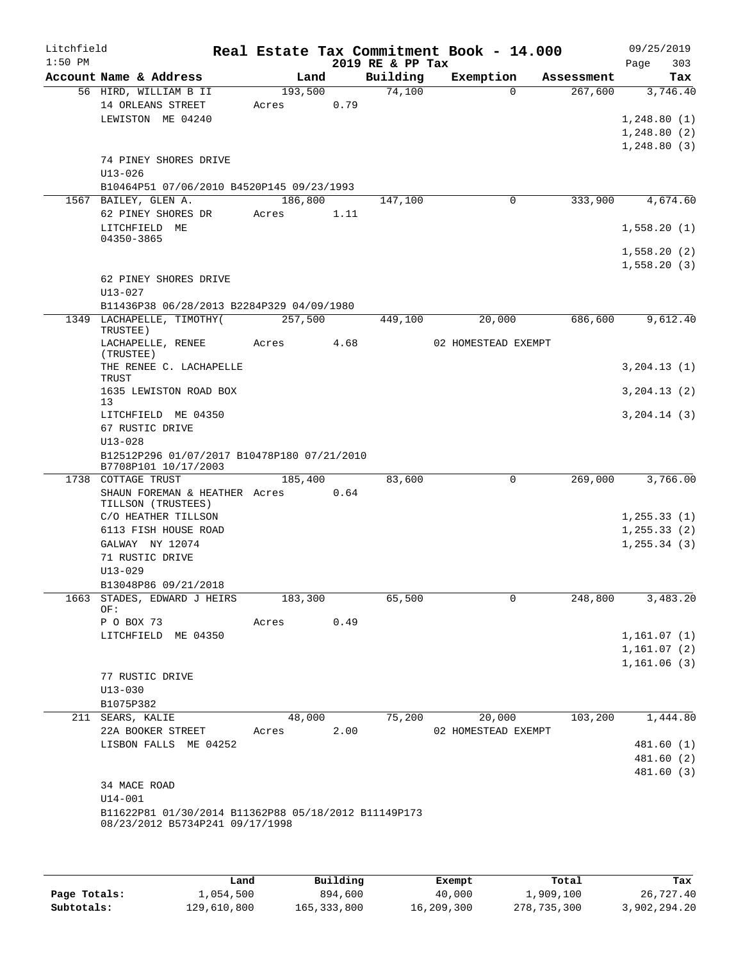| Litchfield<br>$1:50$ PM |                  |                                                                                         |         |      |      | 2019 RE & PP Tax | Real Estate Tax Commitment Book - 14.000 |            | 09/25/2019<br>Page<br>303 |
|-------------------------|------------------|-----------------------------------------------------------------------------------------|---------|------|------|------------------|------------------------------------------|------------|---------------------------|
|                         |                  | Account Name & Address                                                                  |         | Land |      | Building         | Exemption                                | Assessment | Tax                       |
|                         |                  | 56 HIRD, WILLIAM B II                                                                   | 193,500 |      |      | 74,100           | $\Omega$                                 | 267,600    | 3,746.40                  |
|                         |                  | 14 ORLEANS STREET                                                                       | Acres   | 0.79 |      |                  |                                          |            |                           |
|                         |                  | LEWISTON ME 04240                                                                       |         |      |      |                  |                                          |            | 1,248.80(1)               |
|                         |                  |                                                                                         |         |      |      |                  |                                          |            | 1, 248.80(2)              |
|                         |                  |                                                                                         |         |      |      |                  |                                          |            | 1,248.80(3)               |
|                         |                  | 74 PINEY SHORES DRIVE                                                                   |         |      |      |                  |                                          |            |                           |
|                         | $U13 - 026$      | B10464P51 07/06/2010 B4520P145 09/23/1993                                               |         |      |      |                  |                                          |            |                           |
|                         |                  | 1567 BAILEY, GLEN A.                                                                    | 186,800 |      |      | 147,100          | $\mathbf 0$                              | 333,900    | 4,674.60                  |
|                         |                  | 62 PINEY SHORES DR                                                                      | Acres   | 1.11 |      |                  |                                          |            |                           |
|                         |                  | LITCHFIELD ME                                                                           |         |      |      |                  |                                          |            | 1,558.20(1)               |
|                         | 04350-3865       |                                                                                         |         |      |      |                  |                                          |            |                           |
|                         |                  |                                                                                         |         |      |      |                  |                                          |            | 1,558.20(2)               |
|                         |                  |                                                                                         |         |      |      |                  |                                          |            | 1,558.20(3)               |
|                         |                  | 62 PINEY SHORES DRIVE                                                                   |         |      |      |                  |                                          |            |                           |
|                         | $U13 - 027$      | B11436P38 06/28/2013 B2284P329 04/09/1980                                               |         |      |      |                  |                                          |            |                           |
|                         |                  | 1349 LACHAPELLE, TIMOTHY(                                                               | 257,500 |      |      | 449,100          | 20,000                                   | 686,600    | 9,612.40                  |
|                         | TRUSTEE)         |                                                                                         |         |      |      |                  |                                          |            |                           |
|                         |                  | LACHAPELLE, RENEE                                                                       | Acres   | 4.68 |      |                  | 02 HOMESTEAD EXEMPT                      |            |                           |
|                         | (TRUSTEE)        |                                                                                         |         |      |      |                  |                                          |            |                           |
|                         | TRUST            | THE RENEE C. LACHAPELLE                                                                 |         |      |      |                  |                                          |            | 3, 204.13(1)              |
|                         |                  | 1635 LEWISTON ROAD BOX                                                                  |         |      |      |                  |                                          |            | 3, 204.13(2)              |
|                         | 13               |                                                                                         |         |      |      |                  |                                          |            |                           |
|                         |                  | LITCHFIELD ME 04350                                                                     |         |      |      |                  |                                          |            | 3, 204.14 (3)             |
|                         |                  | 67 RUSTIC DRIVE                                                                         |         |      |      |                  |                                          |            |                           |
|                         | $U13 - 028$      |                                                                                         |         |      |      |                  |                                          |            |                           |
|                         |                  | B12512P296 01/07/2017 B10478P180 07/21/2010<br>B7708P101 10/17/2003                     |         |      |      |                  |                                          |            |                           |
|                         |                  | 1738 COTTAGE TRUST                                                                      | 185,400 |      |      | 83,600           | 0                                        | 269,000    | 3,766.00                  |
|                         |                  | SHAUN FOREMAN & HEATHER Acres 0.64                                                      |         |      |      |                  |                                          |            |                           |
|                         |                  | TILLSON (TRUSTEES)                                                                      |         |      |      |                  |                                          |            |                           |
|                         |                  | C/O HEATHER TILLSON                                                                     |         |      |      |                  |                                          |            | 1, 255.33(1)              |
|                         |                  | 6113 FISH HOUSE ROAD<br>GALWAY NY 12074                                                 |         |      |      |                  |                                          |            | 1, 255.33(2)              |
|                         |                  | 71 RUSTIC DRIVE                                                                         |         |      |      |                  |                                          |            | 1, 255.34(3)              |
|                         | $U13 - 029$      |                                                                                         |         |      |      |                  |                                          |            |                           |
|                         |                  | B13048P86 09/21/2018                                                                    |         |      |      |                  |                                          |            |                           |
|                         |                  | 1663 STADES, EDWARD J HEIRS                                                             | 183,300 |      |      | 65,500           | 0                                        | 248,800    | 3,483.20                  |
|                         | OF:              |                                                                                         |         |      |      |                  |                                          |            |                           |
|                         | P O BOX 73       |                                                                                         | Acres   | 0.49 |      |                  |                                          |            |                           |
|                         |                  | LITCHFIELD ME 04350                                                                     |         |      |      |                  |                                          |            | 1,161.07(1)               |
|                         |                  |                                                                                         |         |      |      |                  |                                          |            | 1,161.07(2)               |
|                         |                  | 77 RUSTIC DRIVE                                                                         |         |      |      |                  |                                          |            | 1,161.06(3)               |
|                         | $U13 - 030$      |                                                                                         |         |      |      |                  |                                          |            |                           |
|                         | B1075P382        |                                                                                         |         |      |      |                  |                                          |            |                           |
|                         | 211 SEARS, KALIE |                                                                                         | 48,000  |      |      | 75,200           | 20,000                                   | 103,200    | 1,444.80                  |
|                         |                  | 22A BOOKER STREET                                                                       | Acres   |      | 2.00 |                  | 02 HOMESTEAD EXEMPT                      |            |                           |
|                         |                  | LISBON FALLS ME 04252                                                                   |         |      |      |                  |                                          |            | 481.60 (1)                |
|                         |                  |                                                                                         |         |      |      |                  |                                          |            | 481.60 (2)                |
|                         |                  |                                                                                         |         |      |      |                  |                                          |            | 481.60 (3)                |
|                         |                  | 34 MACE ROAD                                                                            |         |      |      |                  |                                          |            |                           |
|                         | $U14 - 001$      |                                                                                         |         |      |      |                  |                                          |            |                           |
|                         |                  | B11622P81 01/30/2014 B11362P88 05/18/2012 B11149P173<br>08/23/2012 B5734P241 09/17/1998 |         |      |      |                  |                                          |            |                           |
|                         |                  |                                                                                         |         |      |      |                  |                                          |            |                           |
|                         |                  |                                                                                         |         |      |      |                  |                                          |            |                           |
|                         |                  |                                                                                         |         |      |      |                  |                                          |            |                           |

|              | Land        | Building    | Exempt     | Total       | Tax          |
|--------------|-------------|-------------|------------|-------------|--------------|
| Page Totals: | 1,054,500   | 894,600     | 40,000     | 1,909,100   | 26,727.40    |
| Subtotals:   | 129,610,800 | 165,333,800 | 16,209,300 | 278,735,300 | 3,902,294.20 |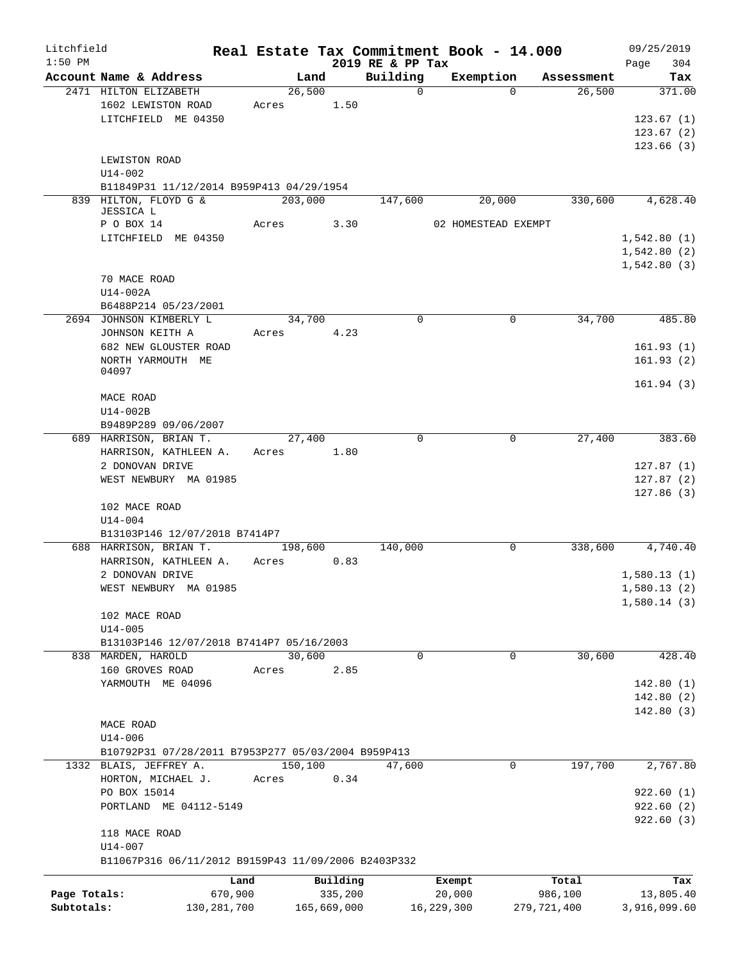| Litchfield   |                                                     |               |         |             |                  | Real Estate Tax Commitment Book - 14.000 |          |             | 09/25/2019                 |          |
|--------------|-----------------------------------------------------|---------------|---------|-------------|------------------|------------------------------------------|----------|-------------|----------------------------|----------|
| $1:50$ PM    |                                                     |               |         |             | 2019 RE & PP Tax |                                          |          |             | Page                       | 304      |
|              | Account Name & Address                              |               | Land    |             | Building         | Exemption                                |          | Assessment  |                            | Tax      |
|              | 2471 HILTON ELIZABETH                               | Acres         | 26,500  |             | $\mathbf 0$      |                                          | $\Omega$ | 26,500      |                            | 371.00   |
|              | 1602 LEWISTON ROAD<br>LITCHFIELD ME 04350           |               |         | 1.50        |                  |                                          |          |             | 123.67(1)                  |          |
|              |                                                     |               |         |             |                  |                                          |          |             | 123.67(2)                  |          |
|              |                                                     |               |         |             |                  |                                          |          |             | 123.66(3)                  |          |
|              | LEWISTON ROAD                                       |               |         |             |                  |                                          |          |             |                            |          |
|              | $U14 - 002$                                         |               |         |             |                  |                                          |          |             |                            |          |
|              | B11849P31 11/12/2014 B959P413 04/29/1954            |               |         |             |                  |                                          |          |             |                            |          |
|              | 839 HILTON, FLOYD G &                               |               | 203,000 |             | 147,600          | 20,000                                   |          | 330,600     |                            | 4,628.40 |
|              | JESSICA L                                           |               |         |             |                  |                                          |          |             |                            |          |
|              | P O BOX 14                                          | Acres         |         | 3.30        |                  | 02 HOMESTEAD EXEMPT                      |          |             |                            |          |
|              | LITCHFIELD ME 04350                                 |               |         |             |                  |                                          |          |             | 1,542.80(1)                |          |
|              |                                                     |               |         |             |                  |                                          |          |             | 1,542.80(2)<br>1,542.80(3) |          |
|              | 70 MACE ROAD                                        |               |         |             |                  |                                          |          |             |                            |          |
|              | U14-002A                                            |               |         |             |                  |                                          |          |             |                            |          |
|              | B6488P214 05/23/2001                                |               |         |             |                  |                                          |          |             |                            |          |
|              | 2694 JOHNSON KIMBERLY L                             |               | 34,700  |             | $\mathbf 0$      |                                          | 0        | 34,700      |                            | 485.80   |
|              | JOHNSON KEITH A                                     | Acres         |         | 4.23        |                  |                                          |          |             |                            |          |
|              | 682 NEW GLOUSTER ROAD                               |               |         |             |                  |                                          |          |             | 161.93(1)                  |          |
|              | NORTH YARMOUTH ME                                   |               |         |             |                  |                                          |          |             | 161.93(2)                  |          |
|              | 04097                                               |               |         |             |                  |                                          |          |             |                            |          |
|              |                                                     |               |         |             |                  |                                          |          |             | 161.94(3)                  |          |
|              | MACE ROAD                                           |               |         |             |                  |                                          |          |             |                            |          |
|              | U14-002B                                            |               |         |             |                  |                                          |          |             |                            |          |
|              | B9489P289 09/06/2007                                |               |         |             |                  |                                          |          |             |                            |          |
|              | 689 HARRISON, BRIAN T.                              |               | 27,400  |             | 0                |                                          | 0        | 27,400      |                            | 383.60   |
|              | HARRISON, KATHLEEN A.<br>2 DONOVAN DRIVE            | Acres         |         | 1.80        |                  |                                          |          |             | 127.87(1)                  |          |
|              | WEST NEWBURY MA 01985                               |               |         |             |                  |                                          |          |             | 127.87(2)                  |          |
|              |                                                     |               |         |             |                  |                                          |          |             | 127.86(3)                  |          |
|              | 102 MACE ROAD                                       |               |         |             |                  |                                          |          |             |                            |          |
|              | $U14 - 004$                                         |               |         |             |                  |                                          |          |             |                            |          |
|              | B13103P146 12/07/2018 B7414P7                       |               |         |             |                  |                                          |          |             |                            |          |
|              | 688 HARRISON, BRIAN T.                              |               | 198,600 |             | 140,000          |                                          | 0        | 338,600     |                            | 4,740.40 |
|              | HARRISON, KATHLEEN A.                               | Acres         |         | 0.83        |                  |                                          |          |             |                            |          |
|              | 2 DONOVAN DRIVE                                     |               |         |             |                  |                                          |          |             | 1,580.13(1)                |          |
|              | WEST NEWBURY MA 01985                               |               |         |             |                  |                                          |          |             | 1,580.13(2)                |          |
|              |                                                     |               |         |             |                  |                                          |          |             | 1,580.14(3)                |          |
|              | 102 MACE ROAD                                       |               |         |             |                  |                                          |          |             |                            |          |
|              | $U14 - 005$                                         |               |         |             |                  |                                          |          |             |                            |          |
|              | B13103P146 12/07/2018 B7414P7 05/16/2003            |               |         |             |                  |                                          |          |             |                            |          |
|              | 838 MARDEN, HAROLD                                  |               | 30,600  |             | $\Omega$         |                                          | 0        | 30,600      |                            | 428.40   |
|              | 160 GROVES ROAD<br>YARMOUTH ME 04096                | Acres         |         | 2.85        |                  |                                          |          |             | 142.80(1)                  |          |
|              |                                                     |               |         |             |                  |                                          |          |             | 142.80(2)                  |          |
|              |                                                     |               |         |             |                  |                                          |          |             | 142.80(3)                  |          |
|              | MACE ROAD                                           |               |         |             |                  |                                          |          |             |                            |          |
|              | $U14 - 006$                                         |               |         |             |                  |                                          |          |             |                            |          |
|              | B10792P31 07/28/2011 B7953P277 05/03/2004 B959P413  |               |         |             |                  |                                          |          |             |                            |          |
|              | 1332 BLAIS, JEFFREY A.                              |               | 150,100 |             | 47,600           |                                          | 0        | 197,700     |                            | 2,767.80 |
|              | HORTON, MICHAEL J.                                  | Acres         |         | 0.34        |                  |                                          |          |             |                            |          |
|              | PO BOX 15014                                        |               |         |             |                  |                                          |          |             | 922.60(1)                  |          |
|              | PORTLAND ME 04112-5149                              |               |         |             |                  |                                          |          |             | 922.60(2)                  |          |
|              |                                                     |               |         |             |                  |                                          |          |             | 922.60(3)                  |          |
|              | 118 MACE ROAD                                       |               |         |             |                  |                                          |          |             |                            |          |
|              | U14-007                                             |               |         |             |                  |                                          |          |             |                            |          |
|              | B11067P316 06/11/2012 B9159P43 11/09/2006 B2403P332 |               |         |             |                  |                                          |          |             |                            |          |
|              |                                                     | Land          |         | Building    |                  | Exempt                                   |          | Total       |                            | Tax      |
| Page Totals: |                                                     | 670,900       |         | 335,200     |                  | 20,000                                   |          | 986,100     | 13,805.40                  |          |
| Subtotals:   |                                                     | 130, 281, 700 |         | 165,669,000 |                  | 16,229,300                               |          | 279,721,400 | 3,916,099.60               |          |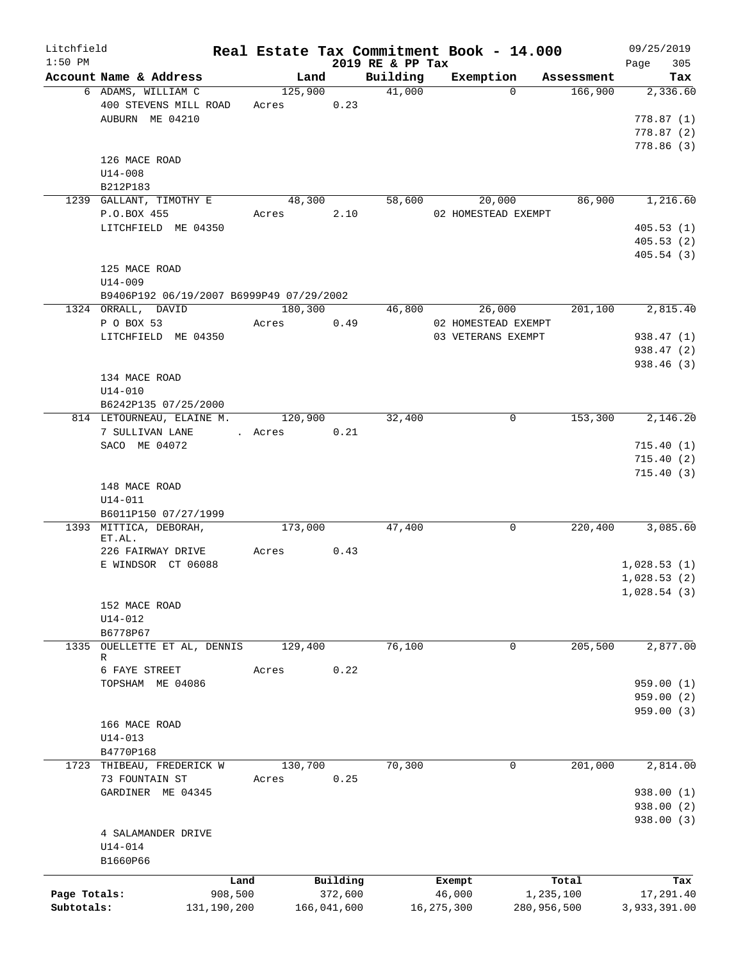| Litchfield   |                                          | Real Estate Tax Commitment Book - 14.000 |             |                              |                     |             |                       | 09/25/2019      |
|--------------|------------------------------------------|------------------------------------------|-------------|------------------------------|---------------------|-------------|-----------------------|-----------------|
| $1:50$ PM    | Account Name & Address                   |                                          |             | 2019 RE & PP Tax<br>Building |                     |             |                       | 305<br>Page     |
|              | 6 ADAMS, WILLIAM C                       | Land<br>125,900                          |             | 41,000                       | Exemption           | $\Omega$    | Assessment<br>166,900 | Tax<br>2,336.60 |
|              | 400 STEVENS MILL ROAD                    | Acres                                    | 0.23        |                              |                     |             |                       |                 |
|              | AUBURN ME 04210                          |                                          |             |                              |                     |             |                       | 778.87(1)       |
|              |                                          |                                          |             |                              |                     |             |                       | 778.87(2)       |
|              |                                          |                                          |             |                              |                     |             |                       | 778.86(3)       |
|              | 126 MACE ROAD                            |                                          |             |                              |                     |             |                       |                 |
|              | $U14 - 008$                              |                                          |             |                              |                     |             |                       |                 |
|              | B212P183                                 |                                          |             |                              |                     |             |                       |                 |
|              | 1239 GALLANT, TIMOTHY E                  | 48,300                                   |             | 58,600                       |                     | 20,000      | 86,900                | 1,216.60        |
|              | P.O.BOX 455                              | Acres                                    | 2.10        |                              | 02 HOMESTEAD EXEMPT |             |                       |                 |
|              | LITCHFIELD ME 04350                      |                                          |             |                              |                     |             |                       | 405.53(1)       |
|              |                                          |                                          |             |                              |                     |             |                       | 405.53(2)       |
|              |                                          |                                          |             |                              |                     |             |                       | 405.54(3)       |
|              | 125 MACE ROAD                            |                                          |             |                              |                     |             |                       |                 |
|              | U14-009                                  |                                          |             |                              |                     |             |                       |                 |
|              | B9406P192 06/19/2007 B6999P49 07/29/2002 |                                          |             |                              |                     |             |                       |                 |
|              | 1324 ORRALL, DAVID                       | 180,300                                  |             | 46,800                       |                     | 26,000      | 201,100               | 2,815.40        |
|              | P O BOX 53                               | Acres                                    | 0.49        |                              | 02 HOMESTEAD EXEMPT |             |                       |                 |
|              | LITCHFIELD ME 04350                      |                                          |             |                              | 03 VETERANS EXEMPT  |             |                       | 938.47(1)       |
|              |                                          |                                          |             |                              |                     |             |                       | 938.47 (2)      |
|              |                                          |                                          |             |                              |                     |             |                       | 938.46 (3)      |
|              | 134 MACE ROAD                            |                                          |             |                              |                     |             |                       |                 |
|              | $U14 - 010$                              |                                          |             |                              |                     |             |                       |                 |
|              | B6242P135 07/25/2000                     |                                          |             |                              |                     |             |                       |                 |
|              | 814 LETOURNEAU, ELAINE M.                | 120,900                                  |             | 32,400                       |                     | $\mathbf 0$ | 153,300               | 2,146.20        |
|              | 7 SULLIVAN LANE                          | . Acres                                  | 0.21        |                              |                     |             |                       |                 |
|              | SACO ME 04072                            |                                          |             |                              |                     |             |                       | 715.40(1)       |
|              |                                          |                                          |             |                              |                     |             |                       | 715.40(2)       |
|              |                                          |                                          |             |                              |                     |             |                       | 715.40(3)       |
|              | 148 MACE ROAD                            |                                          |             |                              |                     |             |                       |                 |
|              | $U14 - 011$                              |                                          |             |                              |                     |             |                       |                 |
|              | B6011P150 07/27/1999                     |                                          |             |                              |                     |             |                       |                 |
|              | 1393 MITTICA, DEBORAH,                   | 173,000                                  |             | 47,400                       |                     | 0           | 220,400               | 3,085.60        |
|              | ET.AL.<br>226 FAIRWAY DRIVE              | Acres                                    | 0.43        |                              |                     |             |                       |                 |
|              | E WINDSOR CT 06088                       |                                          |             |                              |                     |             |                       | 1,028.53(1)     |
|              |                                          |                                          |             |                              |                     |             |                       | 1,028.53(2)     |
|              |                                          |                                          |             |                              |                     |             |                       | 1,028.54(3)     |
|              | 152 MACE ROAD                            |                                          |             |                              |                     |             |                       |                 |
|              | $U14 - 012$                              |                                          |             |                              |                     |             |                       |                 |
|              | B6778P67                                 |                                          |             |                              |                     |             |                       |                 |
| 1335         | OUELLETTE ET AL, DENNIS                  | 129,400                                  |             | 76,100                       |                     | 0           | 205,500               | 2,877.00        |
|              | R                                        |                                          |             |                              |                     |             |                       |                 |
|              | 6 FAYE STREET                            | Acres                                    | 0.22        |                              |                     |             |                       |                 |
|              | TOPSHAM ME 04086                         |                                          |             |                              |                     |             |                       | 959.00(1)       |
|              |                                          |                                          |             |                              |                     |             |                       | 959.00 (2)      |
|              |                                          |                                          |             |                              |                     |             |                       | 959.00(3)       |
|              | 166 MACE ROAD                            |                                          |             |                              |                     |             |                       |                 |
|              | $U14 - 013$                              |                                          |             |                              |                     |             |                       |                 |
|              | B4770P168                                |                                          |             |                              |                     |             |                       |                 |
|              | 1723 THIBEAU, FREDERICK W                | 130,700                                  |             | 70,300                       |                     | 0           | 201,000               | 2,814.00        |
|              | 73 FOUNTAIN ST                           | Acres                                    | 0.25        |                              |                     |             |                       |                 |
|              | GARDINER ME 04345                        |                                          |             |                              |                     |             |                       | 938.00 (1)      |
|              |                                          |                                          |             |                              |                     |             |                       | 938.00 (2)      |
|              |                                          |                                          |             |                              |                     |             |                       | 938.00 (3)      |
|              | 4 SALAMANDER DRIVE                       |                                          |             |                              |                     |             |                       |                 |
|              | $U14 - 014$                              |                                          |             |                              |                     |             |                       |                 |
|              | B1660P66                                 |                                          |             |                              |                     |             |                       |                 |
|              |                                          | Land                                     | Building    |                              | Exempt              |             | Total                 | Tax             |
| Page Totals: | 908,500                                  |                                          | 372,600     |                              | 46,000              | 1,235,100   |                       | 17,291.40       |
| Subtotals:   | 131,190,200                              |                                          | 166,041,600 |                              | 16,275,300          | 280,956,500 |                       | 3,933,391.00    |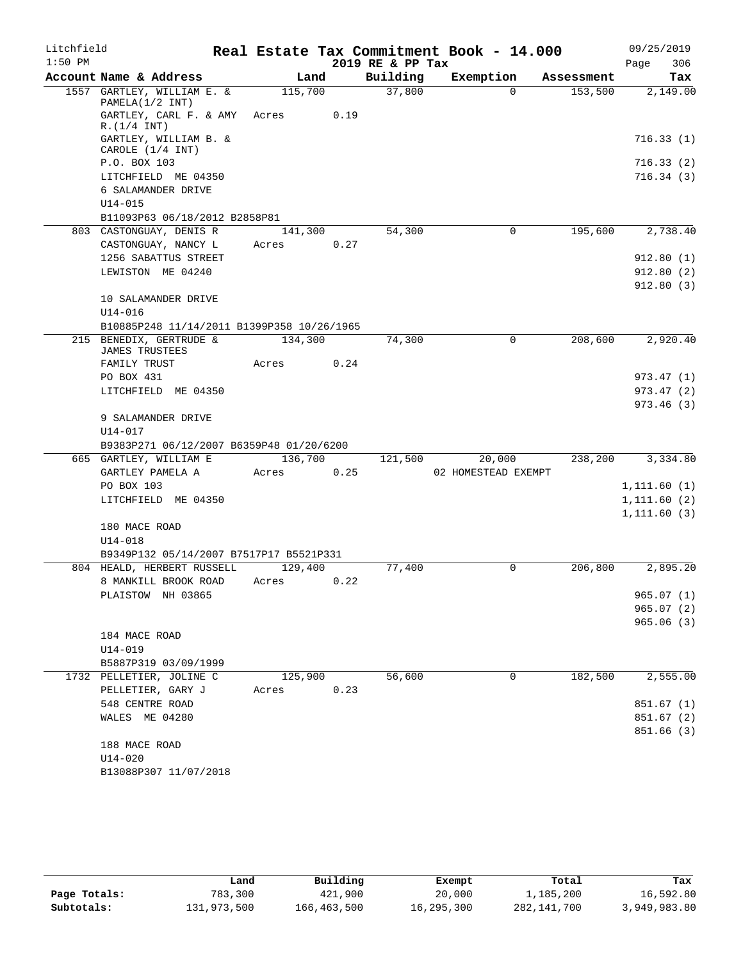| Litchfield |                                                  |         |      |      | Real Estate Tax Commitment Book - 14.000 |                     |            | 09/25/2019                   |            |
|------------|--------------------------------------------------|---------|------|------|------------------------------------------|---------------------|------------|------------------------------|------------|
| $1:50$ PM  |                                                  |         |      |      | 2019 RE & PP Tax                         |                     |            | Page                         | 306        |
|            | Account Name & Address                           |         | Land |      | Building                                 | Exemption           | Assessment |                              | Tax        |
|            | 1557 GARTLEY, WILLIAM E. &<br>PAMELA(1/2 INT)    | 115,700 |      |      | 37,800                                   | $\Omega$            | 153,500    |                              | 2,149.00   |
|            | GARTLEY, CARL F. & AMY<br>R.(1/4 INT)            | Acres   |      | 0.19 |                                          |                     |            |                              |            |
|            | GARTLEY, WILLIAM B. &<br>CAROLE (1/4 INT)        |         |      |      |                                          |                     |            |                              | 716.33(1)  |
|            | P.O. BOX 103                                     |         |      |      |                                          |                     |            |                              | 716.33(2)  |
|            | LITCHFIELD ME 04350                              |         |      |      |                                          |                     |            |                              | 716.34(3)  |
|            | 6 SALAMANDER DRIVE                               |         |      |      |                                          |                     |            |                              |            |
|            | $U14 - 015$                                      |         |      |      |                                          |                     |            |                              |            |
|            | B11093P63 06/18/2012 B2858P81                    |         |      |      |                                          |                     |            |                              |            |
|            | 803 CASTONGUAY, DENIS R                          | 141,300 |      |      | 54,300                                   | $\mathbf 0$         | 195,600    |                              | 2,738.40   |
|            | CASTONGUAY, NANCY L<br>1256 SABATTUS STREET      | Acres   |      | 0.27 |                                          |                     |            |                              | 912.80(1)  |
|            | LEWISTON ME 04240                                |         |      |      |                                          |                     |            |                              | 912.80(2)  |
|            |                                                  |         |      |      |                                          |                     |            |                              | 912.80(3)  |
|            | 10 SALAMANDER DRIVE                              |         |      |      |                                          |                     |            |                              |            |
|            | $U14 - 016$                                      |         |      |      |                                          |                     |            |                              |            |
|            | B10885P248 11/14/2011 B1399P358 10/26/1965       |         |      |      |                                          |                     |            |                              |            |
|            | 215 BENEDIX, GERTRUDE &                          | 134,300 |      |      | 74,300                                   | $\Omega$            | 208,600    |                              | 2,920.40   |
|            | <b>JAMES TRUSTEES</b>                            |         |      |      |                                          |                     |            |                              |            |
|            | FAMILY TRUST<br>PO BOX 431                       | Acres   |      | 0.24 |                                          |                     |            |                              | 973.47(1)  |
|            | LITCHFIELD ME 04350                              |         |      |      |                                          |                     |            |                              | 973.47(2)  |
|            |                                                  |         |      |      |                                          |                     |            |                              | 973.46(3)  |
|            | 9 SALAMANDER DRIVE                               |         |      |      |                                          |                     |            |                              |            |
|            | U14-017                                          |         |      |      |                                          |                     |            |                              |            |
|            | B9383P271 06/12/2007 B6359P48 01/20/6200         |         |      |      |                                          |                     |            |                              |            |
|            | 665 GARTLEY, WILLIAM E                           | 136,700 |      |      | 121,500                                  | 20,000              | 238,200    |                              | 3,334.80   |
|            | GARTLEY PAMELA A                                 | Acres   |      | 0.25 |                                          | 02 HOMESTEAD EXEMPT |            |                              |            |
|            | PO BOX 103                                       |         |      |      |                                          |                     |            | 1, 111.60(1)                 |            |
|            | LITCHFIELD ME 04350                              |         |      |      |                                          |                     |            | 1, 111.60(2)<br>1, 111.60(3) |            |
|            | 180 MACE ROAD                                    |         |      |      |                                          |                     |            |                              |            |
|            | $U14 - 018$                                      |         |      |      |                                          |                     |            |                              |            |
|            | B9349P132 05/14/2007 B7517P17 B5521P331          |         |      |      |                                          |                     |            |                              |            |
|            | 804 HEALD, HERBERT RUSSELL                       | 129,400 |      |      | 77,400                                   | 0                   | 206,800    |                              | 2,895.20   |
|            | 8 MANKILL BROOK ROAD                             | Acres   |      | 0.22 |                                          |                     |            |                              |            |
|            | PLAISTOW NH 03865                                |         |      |      |                                          |                     |            | 965.07(1)                    |            |
|            |                                                  |         |      |      |                                          |                     |            |                              | 965.07(2)  |
|            |                                                  |         |      |      |                                          |                     |            |                              | 965.06(3)  |
|            | 184 MACE ROAD                                    |         |      |      |                                          |                     |            |                              |            |
|            | U14-019                                          |         |      |      |                                          |                     |            |                              |            |
|            | B5887P319 03/09/1999<br>1732 PELLETIER, JOLINE C | 125,900 |      |      | 56,600                                   | 0                   | 182,500    |                              | 2,555.00   |
|            | PELLETIER, GARY J                                | Acres   |      | 0.23 |                                          |                     |            |                              |            |
|            | 548 CENTRE ROAD                                  |         |      |      |                                          |                     |            |                              | 851.67(1)  |
|            | WALES ME 04280                                   |         |      |      |                                          |                     |            |                              | 851.67(2)  |
|            |                                                  |         |      |      |                                          |                     |            |                              | 851.66 (3) |
|            | 188 MACE ROAD                                    |         |      |      |                                          |                     |            |                              |            |
|            | $U14 - 020$                                      |         |      |      |                                          |                     |            |                              |            |
|            | B13088P307 11/07/2018                            |         |      |      |                                          |                     |            |                              |            |

|              | ⊥and        | Building    | Exempt     | Total         | Tax          |
|--------------|-------------|-------------|------------|---------------|--------------|
| Page Totals: | 783,300     | 421,900     | 20,000     | 1,185,200     | 16,592.80    |
| Subtotals:   | 131,973,500 | 166,463,500 | 16,295,300 | 282, 141, 700 | 3,949,983.80 |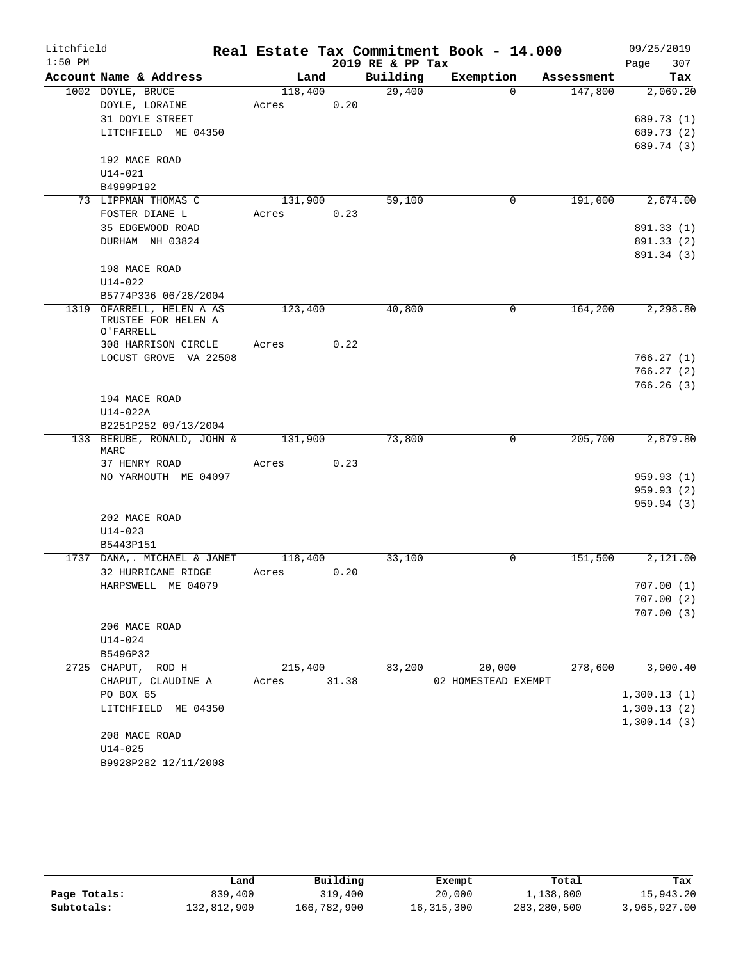| Litchfield |                                                               |             |      |                  | Real Estate Tax Commitment Book - 14.000 |            | 09/25/2019            |
|------------|---------------------------------------------------------------|-------------|------|------------------|------------------------------------------|------------|-----------------------|
| $1:50$ PM  |                                                               |             |      | 2019 RE & PP Tax |                                          |            | 307<br>Page           |
|            | Account Name & Address                                        | Land        |      | Building         | Exemption                                | Assessment | Tax                   |
|            | 1002 DOYLE, BRUCE                                             | 118,400     |      | 29,400           | $\Omega$                                 | 147,800    | 2,069.20              |
|            | DOYLE, LORAINE                                                | Acres       | 0.20 |                  |                                          |            |                       |
|            | 31 DOYLE STREET                                               |             |      |                  |                                          |            | 689.73 (1)            |
|            | LITCHFIELD ME 04350                                           |             |      |                  |                                          |            | 689.73 (2)            |
|            | 192 MACE ROAD                                                 |             |      |                  |                                          |            | 689.74 (3)            |
|            | $U14 - 021$                                                   |             |      |                  |                                          |            |                       |
|            | B4999P192                                                     |             |      |                  |                                          |            |                       |
|            | 73 LIPPMAN THOMAS C                                           | 131,900     |      | 59,100           | 0                                        | 191,000    | 2,674.00              |
|            | FOSTER DIANE L                                                | Acres       | 0.23 |                  |                                          |            |                       |
|            | 35 EDGEWOOD ROAD                                              |             |      |                  |                                          |            | 891.33 (1)            |
|            | DURHAM NH 03824                                               |             |      |                  |                                          |            | 891.33 (2)            |
|            |                                                               |             |      |                  |                                          |            | 891.34 (3)            |
|            | 198 MACE ROAD                                                 |             |      |                  |                                          |            |                       |
|            | $U14 - 022$                                                   |             |      |                  |                                          |            |                       |
|            | B5774P336 06/28/2004                                          |             |      |                  |                                          |            |                       |
|            | 1319 OFARRELL, HELEN A AS<br>TRUSTEE FOR HELEN A<br>O'FARRELL | 123,400     |      | 40,800           | $\Omega$                                 | 164,200    | 2,298.80              |
|            | 308 HARRISON CIRCLE                                           | Acres       | 0.22 |                  |                                          |            |                       |
|            | LOCUST GROVE VA 22508                                         |             |      |                  |                                          |            | 766.27(1)             |
|            |                                                               |             |      |                  |                                          |            | 766.27(2)             |
|            |                                                               |             |      |                  |                                          |            | 766.26(3)             |
|            | 194 MACE ROAD                                                 |             |      |                  |                                          |            |                       |
|            | $U14-022A$                                                    |             |      |                  |                                          |            |                       |
|            | B2251P252 09/13/2004                                          |             |      |                  |                                          |            |                       |
|            | 133 BERUBE, RONALD, JOHN &<br>MARC                            | 131,900     |      | 73,800           | 0                                        | 205,700    | 2,879.80              |
|            | 37 HENRY ROAD                                                 | Acres       | 0.23 |                  |                                          |            |                       |
|            | NO YARMOUTH ME 04097                                          |             |      |                  |                                          |            | 959.93 (1)            |
|            |                                                               |             |      |                  |                                          |            | 959.93 (2)            |
|            |                                                               |             |      |                  |                                          |            | 959.94(3)             |
|            | 202 MACE ROAD                                                 |             |      |                  |                                          |            |                       |
|            | $U14 - 023$                                                   |             |      |                  |                                          |            |                       |
|            | B5443P151                                                     |             |      |                  |                                          |            |                       |
|            | 1737 DANA,. MICHAEL & JANET                                   | 118,400     |      | 33,100           | 0                                        | 151,500    | $\overline{2,121.00}$ |
|            | 32 HURRICANE RIDGE                                            | Acres       | 0.20 |                  |                                          |            |                       |
|            | HARPSWELL ME 04079                                            |             |      |                  |                                          |            | 707.00(1)             |
|            |                                                               |             |      |                  |                                          |            | 707.00(2)             |
|            |                                                               |             |      |                  |                                          |            | 707.00(3)             |
|            | 206 MACE ROAD                                                 |             |      |                  |                                          |            |                       |
|            | $U14 - 024$                                                   |             |      |                  |                                          |            |                       |
|            | B5496P32                                                      |             |      |                  |                                          |            |                       |
|            | 2725 CHAPUT, ROD H                                            | 215,400     |      | 83,200           | 20,000                                   | 278,600    | 3,900.40              |
|            | CHAPUT, CLAUDINE A                                            | Acres 31.38 |      |                  | 02 HOMESTEAD EXEMPT                      |            |                       |
|            | PO BOX 65                                                     |             |      |                  |                                          |            | 1,300.13(1)           |
|            | LITCHFIELD ME 04350                                           |             |      |                  |                                          |            | 1,300.13(2)           |
|            |                                                               |             |      |                  |                                          |            | 1,300.14(3)           |
|            | 208 MACE ROAD                                                 |             |      |                  |                                          |            |                       |
|            | $U14 - 025$                                                   |             |      |                  |                                          |            |                       |
|            | B9928P282 12/11/2008                                          |             |      |                  |                                          |            |                       |

|              | Land        | Building    | Exempt       | Total       | Tax          |
|--------------|-------------|-------------|--------------|-------------|--------------|
| Page Totals: | 839,400     | 319,400     | 20,000       | 1,138,800   | 15,943.20    |
| Subtotals:   | 132,812,900 | 166,782,900 | 16, 315, 300 | 283,280,500 | 3,965,927.00 |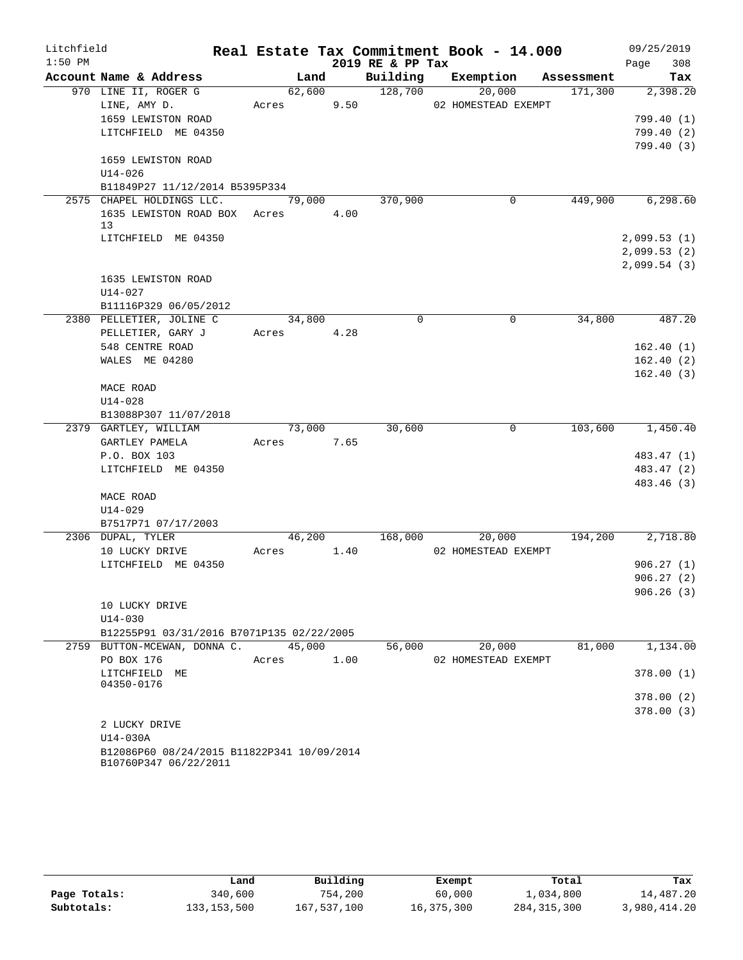| Litchfield |                                            |            |        |      |                      | Real Estate Tax Commitment Book - 14.000 |            | 09/25/2019             |
|------------|--------------------------------------------|------------|--------|------|----------------------|------------------------------------------|------------|------------------------|
| $1:50$ PM  |                                            |            |        |      | 2019 RE & PP Tax     |                                          |            | 308<br>Page            |
|            | Account Name & Address                     |            | Land   |      | Building             | Exemption                                | Assessment | Tax                    |
|            | 970 LINE II, ROGER G                       |            | 62,600 |      | $\overline{128,700}$ | 20,000                                   | 171,300    | 2,398.20               |
|            | LINE, AMY D.                               | Acres      |        | 9.50 |                      | 02 HOMESTEAD EXEMPT                      |            |                        |
|            | 1659 LEWISTON ROAD                         |            |        |      |                      |                                          |            | 799.40(1)              |
|            | LITCHFIELD ME 04350                        |            |        |      |                      |                                          |            | 799.40(2)              |
|            |                                            |            |        |      |                      |                                          |            | 799.40(3)              |
|            | 1659 LEWISTON ROAD                         |            |        |      |                      |                                          |            |                        |
|            | $U14 - 026$                                |            |        |      |                      |                                          |            |                        |
|            | B11849P27 11/12/2014 B5395P334             |            |        |      |                      |                                          |            |                        |
|            | 2575 CHAPEL HOLDINGS LLC.                  |            | 79,000 |      | 370,900              | 0                                        | 449,900    | 6, 298.60              |
|            | 1635 LEWISTON ROAD BOX Acres               |            |        | 4.00 |                      |                                          |            |                        |
|            | 13                                         |            |        |      |                      |                                          |            |                        |
|            | LITCHFIELD ME 04350                        |            |        |      |                      |                                          |            | 2,099.53(1)            |
|            |                                            |            |        |      |                      |                                          |            | 2,099.53(2)            |
|            | 1635 LEWISTON ROAD                         |            |        |      |                      |                                          |            | 2,099.54(3)            |
|            |                                            |            |        |      |                      |                                          |            |                        |
|            | U14-027                                    |            |        |      |                      |                                          |            |                        |
|            | B11116P329 06/05/2012                      |            |        |      | $\mathbf 0$          | 0                                        | 34,800     |                        |
|            | 2380 PELLETIER, JOLINE C                   |            | 34,800 |      |                      |                                          |            | 487.20                 |
|            | PELLETIER, GARY J                          | Acres 4.28 |        |      |                      |                                          |            |                        |
|            | 548 CENTRE ROAD                            |            |        |      |                      |                                          |            | 162.40(1)<br>162.40(2) |
|            | WALES ME 04280                             |            |        |      |                      |                                          |            | 162.40(3)              |
|            | MACE ROAD                                  |            |        |      |                      |                                          |            |                        |
|            | $U14 - 028$                                |            |        |      |                      |                                          |            |                        |
|            | B13088P307 11/07/2018                      |            |        |      |                      |                                          |            |                        |
|            | 2379 GARTLEY, WILLIAM                      |            | 73,000 |      | 30,600               | 0                                        | 103,600    | 1,450.40               |
|            | GARTLEY PAMELA                             | Acres 7.65 |        |      |                      |                                          |            |                        |
|            | P.O. BOX 103                               |            |        |      |                      |                                          |            | 483.47 (1)             |
|            | LITCHFIELD ME 04350                        |            |        |      |                      |                                          |            | 483.47 (2)             |
|            |                                            |            |        |      |                      |                                          |            | 483.46 (3)             |
|            | MACE ROAD                                  |            |        |      |                      |                                          |            |                        |
|            | U14-029                                    |            |        |      |                      |                                          |            |                        |
|            | B7517P71 07/17/2003                        |            |        |      |                      |                                          |            |                        |
|            | 2306 DUPAL, TYLER                          |            | 46,200 |      | 168,000              | 20,000                                   | 194,200    | 2,718.80               |
|            | 10 LUCKY DRIVE                             | Acres      | 1.40   |      |                      | 02 HOMESTEAD EXEMPT                      |            |                        |
|            | LITCHFIELD ME 04350                        |            |        |      |                      |                                          |            | 906.27(1)              |
|            |                                            |            |        |      |                      |                                          |            | 906.27(2)              |
|            |                                            |            |        |      |                      |                                          |            | 906.26(3)              |
|            | 10 LUCKY DRIVE                             |            |        |      |                      |                                          |            |                        |
|            | U14-030                                    |            |        |      |                      |                                          |            |                        |
|            | B12255P91 03/31/2016 B7071P135 02/22/2005  |            |        |      |                      |                                          |            |                        |
|            | 2759 BUTTON-MCEWAN, DONNA C.               |            | 45,000 |      | 56,000               | 20,000                                   | 81,000     | 1,134.00               |
|            | PO BOX 176                                 | Acres      |        | 1.00 |                      | 02 HOMESTEAD EXEMPT                      |            |                        |
|            | LITCHFIELD ME                              |            |        |      |                      |                                          |            | 378.00(1)              |
|            | 04350-0176                                 |            |        |      |                      |                                          |            |                        |
|            |                                            |            |        |      |                      |                                          |            | 378.00(2)              |
|            |                                            |            |        |      |                      |                                          |            | 378.00(3)              |
|            | 2 LUCKY DRIVE                              |            |        |      |                      |                                          |            |                        |
|            | U14-030A                                   |            |        |      |                      |                                          |            |                        |
|            | B12086P60 08/24/2015 B11822P341 10/09/2014 |            |        |      |                      |                                          |            |                        |

|              | Land          | Building    | Exempt     | Total         | Tax          |
|--------------|---------------|-------------|------------|---------------|--------------|
| Page Totals: | 340,600       | 754,200     | 60,000     | 1,034,800     | 14,487.20    |
| Subtotals:   | 133, 153, 500 | 167,537,100 | 16,375,300 | 284, 315, 300 | 3,980,414.20 |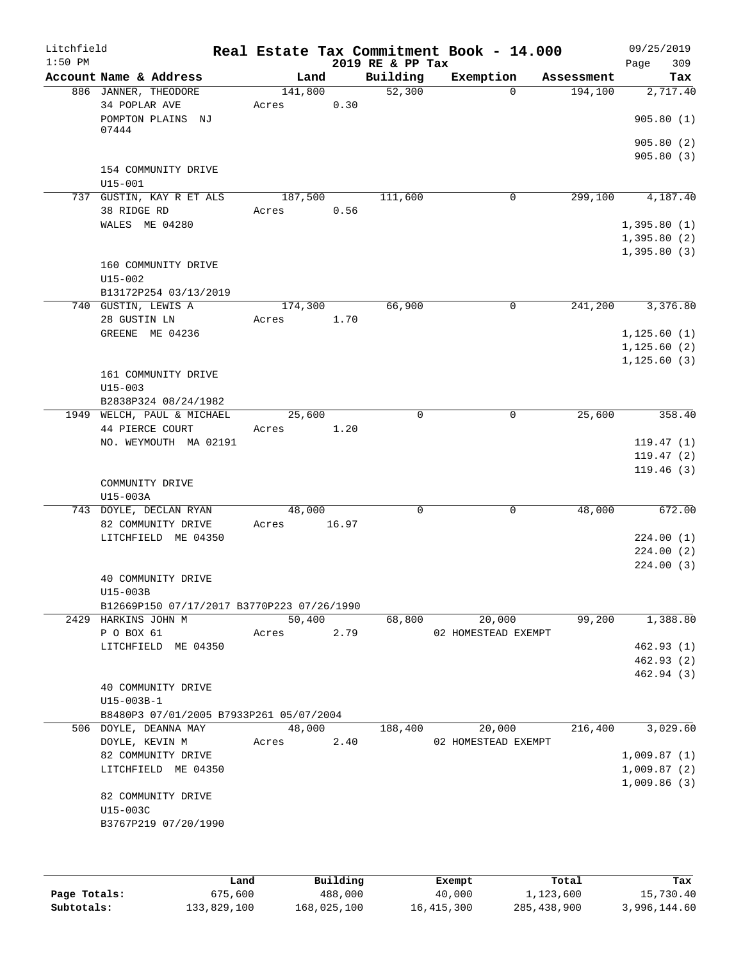| Litchfield<br>$1:50$ PM |                                            |                  |       | 2019 RE & PP Tax | Real Estate Tax Commitment Book - 14.000 |            | 09/25/2019<br>309<br>Page                 |
|-------------------------|--------------------------------------------|------------------|-------|------------------|------------------------------------------|------------|-------------------------------------------|
|                         | Account Name & Address                     | Land             |       | Building         | Exemption                                | Assessment | Tax                                       |
|                         | 886 JANNER, THEODORE                       | 141,800          |       | 52,300           | $\Omega$                                 | 194,100    | 2,717.40                                  |
|                         | 34 POPLAR AVE<br>POMPTON PLAINS NJ         | Acres            | 0.30  |                  |                                          |            | 905.80(1)                                 |
|                         | 07444                                      |                  |       |                  |                                          |            | 905.80(2)                                 |
|                         | 154 COMMUNITY DRIVE<br>$U15 - 001$         |                  |       |                  |                                          |            | 905.80(3)                                 |
|                         | 737 GUSTIN, KAY R ET ALS<br>38 RIDGE RD    | 187,500<br>Acres | 0.56  | 111,600          | $\mathbf 0$                              | 299,100    | 4,187.40                                  |
|                         | WALES ME 04280                             |                  |       |                  |                                          |            | 1,395.80(1)<br>1,395.80(2)<br>1,395.80(3) |
|                         | 160 COMMUNITY DRIVE<br>$U15 - 002$         |                  |       |                  |                                          |            |                                           |
|                         | B13172P254 03/13/2019                      |                  |       |                  |                                          |            |                                           |
|                         | 740 GUSTIN, LEWIS A<br>28 GUSTIN LN        | 174,300<br>Acres | 1.70  | 66,900           | 0                                        | 241,200    | 3,376.80                                  |
|                         | GREENE ME 04236                            |                  |       |                  |                                          |            | 1, 125.60(1)                              |
|                         |                                            |                  |       |                  |                                          |            | 1, 125.60(2)                              |
|                         | 161 COMMUNITY DRIVE<br>$U15 - 003$         |                  |       |                  |                                          |            | 1, 125.60(3)                              |
|                         | B2838P324 08/24/1982                       |                  |       |                  |                                          |            |                                           |
|                         | 1949 WELCH, PAUL & MICHAEL                 | 25,600           |       | 0                | 0                                        | 25,600     | 358.40                                    |
|                         | 44 PIERCE COURT                            | Acres            | 1.20  |                  |                                          |            |                                           |
|                         | NO. WEYMOUTH MA 02191                      |                  |       |                  |                                          |            | 119.47(1)                                 |
|                         |                                            |                  |       |                  |                                          |            | 119.47(2)                                 |
|                         | COMMUNITY DRIVE<br>U15-003A                |                  |       |                  |                                          |            | 119.46(3)                                 |
|                         | 743 DOYLE, DECLAN RYAN                     | 48,000           |       | 0                | 0                                        | 48,000     | 672.00                                    |
|                         | 82 COMMUNITY DRIVE                         | Acres            | 16.97 |                  |                                          |            |                                           |
|                         | LITCHFIELD ME 04350                        |                  |       |                  |                                          |            | 224.00(1)                                 |
|                         |                                            |                  |       |                  |                                          |            | 224.00(2)                                 |
|                         |                                            |                  |       |                  |                                          |            | 224.00(3)                                 |
|                         | 40 COMMUNITY DRIVE                         |                  |       |                  |                                          |            |                                           |
|                         | U15-003B                                   |                  |       |                  |                                          |            |                                           |
|                         | B12669P150 07/17/2017 B3770P223 07/26/1990 |                  |       |                  |                                          |            |                                           |
|                         | 2429 HARKINS JOHN M<br>P O BOX 61          | 50,400<br>Acres  | 2.79  | 68,800           | 20,000<br>02 HOMESTEAD EXEMPT            | 99,200     | 1,388.80                                  |
|                         | LITCHFIELD ME 04350                        |                  |       |                  |                                          |            | 462.93(1)                                 |
|                         |                                            |                  |       |                  |                                          |            | 462.93 (2)                                |
|                         |                                            |                  |       |                  |                                          |            | 462.94 (3)                                |
|                         | 40 COMMUNITY DRIVE                         |                  |       |                  |                                          |            |                                           |
|                         | U15-003B-1                                 |                  |       |                  |                                          |            |                                           |
|                         | B8480P3 07/01/2005 B7933P261 05/07/2004    |                  |       |                  |                                          |            |                                           |
|                         | 506 DOYLE, DEANNA MAY                      | 48,000           |       | 188,400          | 20,000                                   | 216,400    | 3,029.60                                  |
|                         | DOYLE, KEVIN M                             | Acres            | 2.40  |                  | 02 HOMESTEAD EXEMPT                      |            |                                           |
|                         | 82 COMMUNITY DRIVE<br>LITCHFIELD ME 04350  |                  |       |                  |                                          |            | 1,009.87(1)<br>1,009.87(2)                |
|                         |                                            |                  |       |                  |                                          |            | 1,009.86(3)                               |
|                         | 82 COMMUNITY DRIVE<br>U15-003C             |                  |       |                  |                                          |            |                                           |
|                         | B3767P219 07/20/1990                       |                  |       |                  |                                          |            |                                           |
|                         |                                            |                  |       |                  |                                          |            |                                           |

|              | Land        | Building    | Exempt     | Total       | Tax          |
|--------------|-------------|-------------|------------|-------------|--------------|
| Page Totals: | 675,600     | 488,000     | 40,000     | 1,123,600   | 15,730.40    |
| Subtotals:   | 133,829,100 | 168,025,100 | 16,415,300 | 285,438,900 | 3,996,144.60 |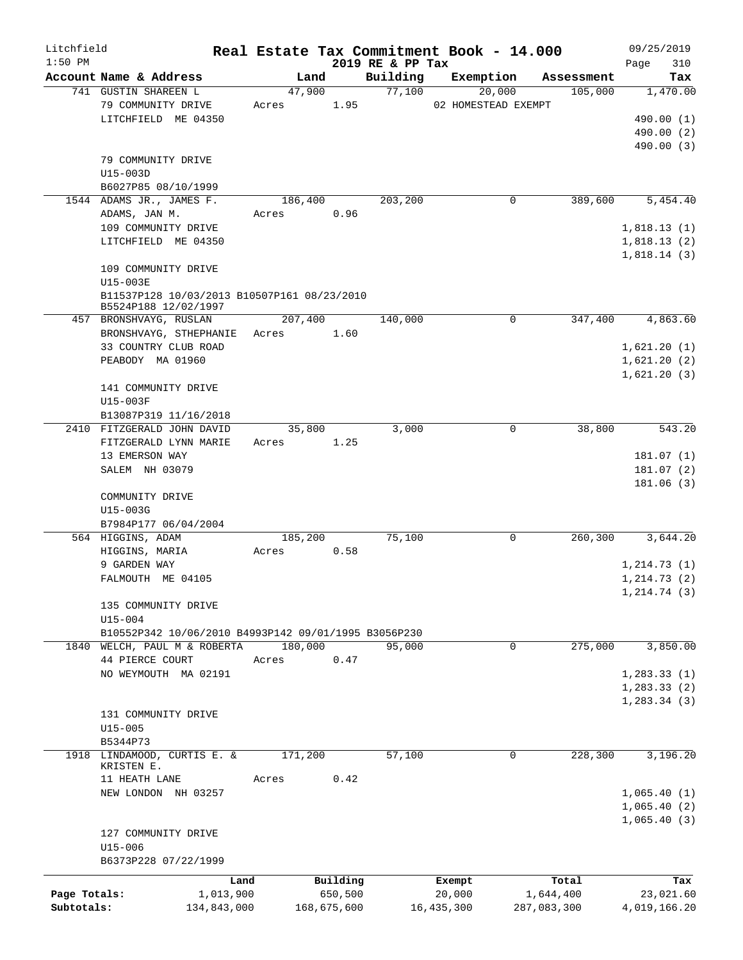| Litchfield   |                                                      |         |             |                              | Real Estate Tax Commitment Book - 14.000 |             | 09/25/2019                   |
|--------------|------------------------------------------------------|---------|-------------|------------------------------|------------------------------------------|-------------|------------------------------|
| $1:50$ PM    | Account Name & Address                               | Land    |             | 2019 RE & PP Tax<br>Building | Exemption                                | Assessment  | 310<br>Page<br>Tax           |
|              | 741 GUSTIN SHAREEN L                                 | 47,900  |             | 77,100                       | 20,000                                   | 105,000     | 1,470.00                     |
|              | 79 COMMUNITY DRIVE                                   | Acres   | 1.95        |                              | 02 HOMESTEAD EXEMPT                      |             |                              |
|              | LITCHFIELD ME 04350                                  |         |             |                              |                                          |             | 490.00 (1)                   |
|              |                                                      |         |             |                              |                                          |             | 490.00 (2)                   |
|              |                                                      |         |             |                              |                                          |             | 490.00 (3)                   |
|              | 79 COMMUNITY DRIVE                                   |         |             |                              |                                          |             |                              |
|              | $U15-003D$                                           |         |             |                              |                                          |             |                              |
|              | B6027P85 08/10/1999                                  |         |             |                              |                                          |             |                              |
|              | 1544 ADAMS JR., JAMES F.                             | 186,400 |             | 203,200                      | 0                                        | 389,600     | 5,454.40                     |
|              | ADAMS, JAN M.                                        | Acres   | 0.96        |                              |                                          |             |                              |
|              | 109 COMMUNITY DRIVE                                  |         |             |                              |                                          |             | 1,818.13(1)                  |
|              | LITCHFIELD ME 04350                                  |         |             |                              |                                          |             | 1,818.13(2)                  |
|              |                                                      |         |             |                              |                                          |             | 1,818.14(3)                  |
|              | 109 COMMUNITY DRIVE                                  |         |             |                              |                                          |             |                              |
|              | U15-003E                                             |         |             |                              |                                          |             |                              |
|              | B11537P128 10/03/2013 B10507P161 08/23/2010          |         |             |                              |                                          |             |                              |
|              | B5524P188 12/02/1997                                 | 207,400 |             |                              | 0                                        | 347,400     | 4,863.60                     |
|              | 457 BRONSHVAYG, RUSLAN                               |         | 1.60        | 140,000                      |                                          |             |                              |
|              | BRONSHVAYG, STHEPHANIE<br>33 COUNTRY CLUB ROAD       | Acres   |             |                              |                                          |             | 1,621.20(1)                  |
|              | PEABODY MA 01960                                     |         |             |                              |                                          |             | 1,621.20(2)                  |
|              |                                                      |         |             |                              |                                          |             | 1,621.20(3)                  |
|              | 141 COMMUNITY DRIVE                                  |         |             |                              |                                          |             |                              |
|              | U15-003F                                             |         |             |                              |                                          |             |                              |
|              | B13087P319 11/16/2018                                |         |             |                              |                                          |             |                              |
|              | 2410 FITZGERALD JOHN DAVID                           | 35,800  |             | 3,000                        | 0                                        | 38,800      | 543.20                       |
|              | FITZGERALD LYNN MARIE                                | Acres   | 1.25        |                              |                                          |             |                              |
|              | 13 EMERSON WAY                                       |         |             |                              |                                          |             | 181.07(1)                    |
|              | SALEM NH 03079                                       |         |             |                              |                                          |             | 181.07(2)                    |
|              |                                                      |         |             |                              |                                          |             | 181.06(3)                    |
|              | COMMUNITY DRIVE                                      |         |             |                              |                                          |             |                              |
|              | U15-003G                                             |         |             |                              |                                          |             |                              |
|              | B7984P177 06/04/2004                                 |         |             |                              |                                          |             |                              |
|              | 564 HIGGINS, ADAM                                    | 185,200 |             | 75,100                       | 0                                        | 260,300     | 3,644.20                     |
|              | HIGGINS, MARIA                                       | Acres   | 0.58        |                              |                                          |             |                              |
|              | 9 GARDEN WAY                                         |         |             |                              |                                          |             | 1, 214.73(1)                 |
|              | FALMOUTH ME 04105                                    |         |             |                              |                                          |             | 1, 214.73(2)                 |
|              |                                                      |         |             |                              |                                          |             | 1, 214.74(3)                 |
|              | 135 COMMUNITY DRIVE                                  |         |             |                              |                                          |             |                              |
|              | $U15 - 004$                                          |         |             |                              |                                          |             |                              |
|              | B10552P342 10/06/2010 B4993P142 09/01/1995 B3056P230 |         |             |                              |                                          |             |                              |
|              | 1840 WELCH, PAUL M & ROBERTA                         | 180,000 |             | 95,000                       | 0                                        | 275,000     | 3,850.00                     |
|              | 44 PIERCE COURT                                      | Acres   | 0.47        |                              |                                          |             |                              |
|              | NO WEYMOUTH MA 02191                                 |         |             |                              |                                          |             | 1, 283.33(1)<br>1, 283.33(2) |
|              |                                                      |         |             |                              |                                          |             |                              |
|              | 131 COMMUNITY DRIVE                                  |         |             |                              |                                          |             | 1,283.34(3)                  |
|              | $U15 - 005$                                          |         |             |                              |                                          |             |                              |
|              | B5344P73                                             |         |             |                              |                                          |             |                              |
|              | 1918 LINDAMOOD, CURTIS E. &                          | 171,200 |             | 57,100                       | 0                                        | 228,300     | 3,196.20                     |
|              | KRISTEN E.                                           |         |             |                              |                                          |             |                              |
|              | 11 HEATH LANE                                        | Acres   | 0.42        |                              |                                          |             |                              |
|              | NEW LONDON NH 03257                                  |         |             |                              |                                          |             | 1,065.40(1)                  |
|              |                                                      |         |             |                              |                                          |             | 1,065.40(2)                  |
|              |                                                      |         |             |                              |                                          |             | 1,065.40(3)                  |
|              | 127 COMMUNITY DRIVE                                  |         |             |                              |                                          |             |                              |
|              | $U15 - 006$                                          |         |             |                              |                                          |             |                              |
|              | B6373P228 07/22/1999                                 |         |             |                              |                                          |             |                              |
|              | Land                                                 |         | Building    |                              | Exempt                                   | Total       | Tax                          |
| Page Totals: | 1,013,900                                            |         | 650,500     |                              | 20,000                                   | 1,644,400   | 23,021.60                    |
| Subtotals:   | 134,843,000                                          |         | 168,675,600 |                              | 16, 435, 300                             | 287,083,300 | 4,019,166.20                 |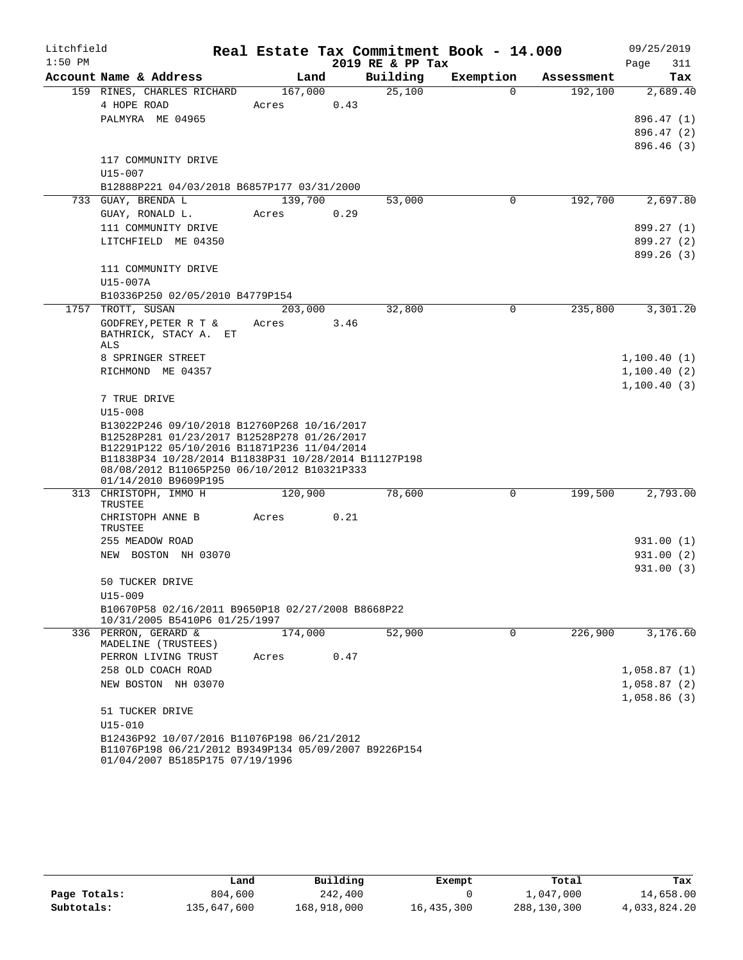| Litchfield |                                                                                                     |         |      |                  | Real Estate Tax Commitment Book - 14.000 |            | 09/25/2019                  |
|------------|-----------------------------------------------------------------------------------------------------|---------|------|------------------|------------------------------------------|------------|-----------------------------|
| $1:50$ PM  |                                                                                                     |         |      | 2019 RE & PP Tax |                                          |            | Page<br>311                 |
|            | Account Name & Address                                                                              | Land    |      | Building         | Exemption                                | Assessment | Tax                         |
|            | 159 RINES, CHARLES RICHARD                                                                          | 167,000 |      | 25,100           | $\Omega$                                 | 192,100    | 2,689.40                    |
|            | 4 HOPE ROAD                                                                                         | Acres   | 0.43 |                  |                                          |            |                             |
|            | PALMYRA ME 04965                                                                                    |         |      |                  |                                          |            | 896.47 (1)                  |
|            |                                                                                                     |         |      |                  |                                          |            | 896.47(2)                   |
|            |                                                                                                     |         |      |                  |                                          |            | 896.46 (3)                  |
|            | 117 COMMUNITY DRIVE<br>U15-007                                                                      |         |      |                  |                                          |            |                             |
|            | B12888P221 04/03/2018 B6857P177 03/31/2000                                                          |         |      |                  |                                          |            |                             |
|            | 733 GUAY, BRENDA L                                                                                  | 139,700 |      | 53,000           | 0                                        | 192,700    | 2,697.80                    |
|            | GUAY, RONALD L.                                                                                     | Acres   | 0.29 |                  |                                          |            |                             |
|            | 111 COMMUNITY DRIVE                                                                                 |         |      |                  |                                          |            | 899.27 (1)                  |
|            | LITCHFIELD ME 04350                                                                                 |         |      |                  |                                          |            | 899.27 (2)                  |
|            |                                                                                                     |         |      |                  |                                          |            | 899.26(3)                   |
|            | 111 COMMUNITY DRIVE                                                                                 |         |      |                  |                                          |            |                             |
|            | U15-007A                                                                                            |         |      |                  |                                          |            |                             |
|            | B10336P250 02/05/2010 B4779P154                                                                     |         |      |                  |                                          |            |                             |
|            | 1757 TROTT, SUSAN                                                                                   | 203,000 |      | 32,800           | 0                                        | 235,800    | 3,301.20                    |
|            | GODFREY, PETER R T &                                                                                | Acres   | 3.46 |                  |                                          |            |                             |
|            | BATHRICK, STACY A. ET                                                                               |         |      |                  |                                          |            |                             |
|            | ALS                                                                                                 |         |      |                  |                                          |            |                             |
|            | 8 SPRINGER STREET<br>RICHMOND ME 04357                                                              |         |      |                  |                                          |            | 1,100.40(1)                 |
|            |                                                                                                     |         |      |                  |                                          |            | 1,100.40(2)<br>1, 100.40(3) |
|            | 7 TRUE DRIVE                                                                                        |         |      |                  |                                          |            |                             |
|            | $U15 - 008$                                                                                         |         |      |                  |                                          |            |                             |
|            | B13022P246 09/10/2018 B12760P268 10/16/2017                                                         |         |      |                  |                                          |            |                             |
|            | B12528P281 01/23/2017 B12528P278 01/26/2017                                                         |         |      |                  |                                          |            |                             |
|            | B12291P122 05/10/2016 B11871P236 11/04/2014                                                         |         |      |                  |                                          |            |                             |
|            | B11838P34 10/28/2014 B11838P31 10/28/2014 B11127P198<br>08/08/2012 B11065P250 06/10/2012 B10321P333 |         |      |                  |                                          |            |                             |
|            | 01/14/2010 B9609P195                                                                                |         |      |                  |                                          |            |                             |
|            | 313 CHRISTOPH, IMMO H                                                                               | 120,900 |      | 78,600           | 0                                        | 199,500    | 2,793.00                    |
|            | TRUSTEE                                                                                             |         |      |                  |                                          |            |                             |
|            | CHRISTOPH ANNE B<br>TRUSTEE                                                                         | Acres   | 0.21 |                  |                                          |            |                             |
|            | 255 MEADOW ROAD                                                                                     |         |      |                  |                                          |            | 931.00(1)                   |
|            | NEW BOSTON NH 03070                                                                                 |         |      |                  |                                          |            | 931.00(2)                   |
|            |                                                                                                     |         |      |                  |                                          |            | 931.00(3)                   |
|            | 50 TUCKER DRIVE                                                                                     |         |      |                  |                                          |            |                             |
|            | $U15 - 009$                                                                                         |         |      |                  |                                          |            |                             |
|            | B10670P58 02/16/2011 B9650P18 02/27/2008 B8668P22                                                   |         |      |                  |                                          |            |                             |
|            | 10/31/2005 B5410P6 01/25/1997                                                                       |         |      |                  |                                          |            |                             |
|            | 336 PERRON, GERARD &<br>MADELINE (TRUSTEES)                                                         | 174,000 |      | 52,900           | 0                                        | 226,900    | 3,176.60                    |
|            | PERRON LIVING TRUST                                                                                 | Acres   | 0.47 |                  |                                          |            |                             |
|            | 258 OLD COACH ROAD                                                                                  |         |      |                  |                                          |            | 1,058.87(1)                 |
|            | NEW BOSTON NH 03070                                                                                 |         |      |                  |                                          |            | 1,058.87(2)                 |
|            |                                                                                                     |         |      |                  |                                          |            | 1,058.86(3)                 |
|            | 51 TUCKER DRIVE                                                                                     |         |      |                  |                                          |            |                             |
|            | $U15 - 010$                                                                                         |         |      |                  |                                          |            |                             |
|            | B12436P92 10/07/2016 B11076P198 06/21/2012                                                          |         |      |                  |                                          |            |                             |
|            | B11076P198 06/21/2012 B9349P134 05/09/2007 B9226P154<br>01/04/2007 B5185P175 07/19/1996             |         |      |                  |                                          |            |                             |

|              | Land        | Building    | Exempt     | Total       | Tax          |
|--------------|-------------|-------------|------------|-------------|--------------|
| Page Totals: | 804,600     | 242,400     |            | 1,047,000   | 14,658.00    |
| Subtotals:   | 135,647,600 | 168,918,000 | 16,435,300 | 288,130,300 | 4,033,824.20 |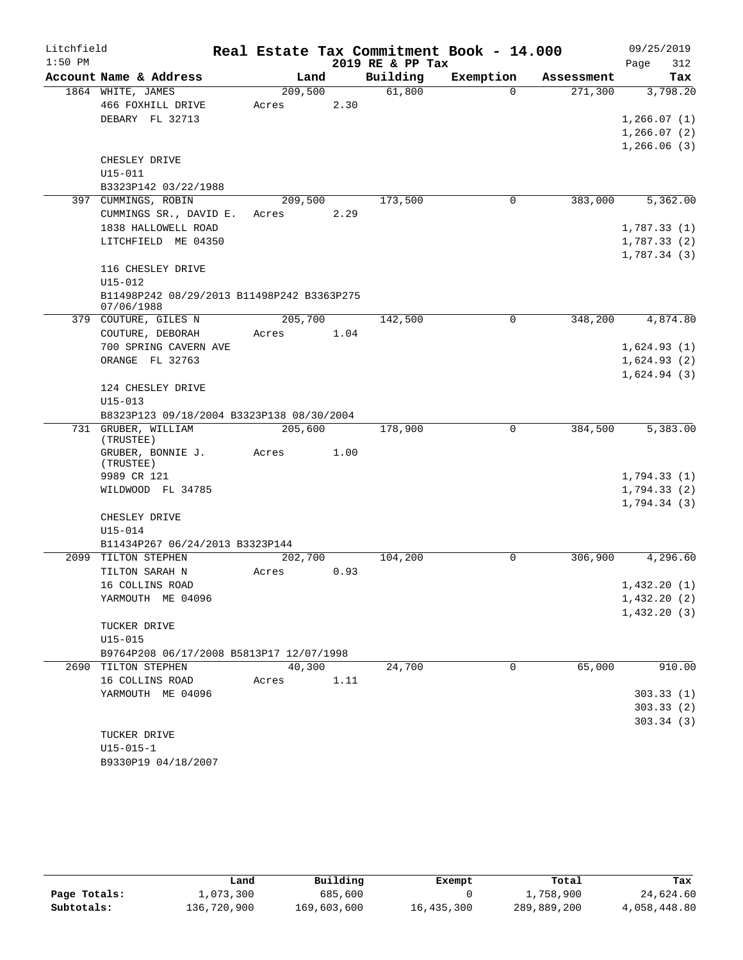| Litchfield |                                            |         |      |                  | Real Estate Tax Commitment Book - 14.000 |            | 09/25/2019                 |
|------------|--------------------------------------------|---------|------|------------------|------------------------------------------|------------|----------------------------|
| $1:50$ PM  |                                            |         |      | 2019 RE & PP Tax |                                          |            | 312<br>Page                |
|            | Account Name & Address                     | Land    |      | Building         | Exemption                                | Assessment | Tax                        |
|            | 1864 WHITE, JAMES                          | 209,500 |      | 61,800           | $\Omega$                                 | 271,300    | 3,798.20                   |
|            | 466 FOXHILL DRIVE                          | Acres   | 2.30 |                  |                                          |            |                            |
|            | DEBARY FL 32713                            |         |      |                  |                                          |            | 1,266.07(1)                |
|            |                                            |         |      |                  |                                          |            | 1, 266.07(2)               |
|            |                                            |         |      |                  |                                          |            | 1,266.06(3)                |
|            | CHESLEY DRIVE<br>U15-011                   |         |      |                  |                                          |            |                            |
|            | B3323P142 03/22/1988                       |         |      |                  |                                          |            |                            |
|            | 397 CUMMINGS, ROBIN                        | 209,500 |      | 173,500          | $\mathbf 0$                              | 383,000    | 5,362.00                   |
|            | CUMMINGS SR., DAVID E.                     | Acres   | 2.29 |                  |                                          |            |                            |
|            | 1838 HALLOWELL ROAD                        |         |      |                  |                                          |            | 1,787.33(1)                |
|            | LITCHFIELD ME 04350                        |         |      |                  |                                          |            | 1,787.33(2)                |
|            |                                            |         |      |                  |                                          |            | 1,787.34(3)                |
|            | 116 CHESLEY DRIVE                          |         |      |                  |                                          |            |                            |
|            | $U15 - 012$                                |         |      |                  |                                          |            |                            |
|            | B11498P242 08/29/2013 B11498P242 B3363P275 |         |      |                  |                                          |            |                            |
|            | 07/06/1988                                 |         |      |                  |                                          |            |                            |
|            | 379 COUTURE, GILES N                       | 205,700 |      | 142,500          | 0                                        | 348,200    | 4,874.80                   |
|            | COUTURE, DEBORAH                           | Acres   | 1.04 |                  |                                          |            |                            |
|            | 700 SPRING CAVERN AVE                      |         |      |                  |                                          |            | 1,624.93(1)                |
|            | ORANGE FL 32763                            |         |      |                  |                                          |            | 1,624.93(2)                |
|            | 124 CHESLEY DRIVE                          |         |      |                  |                                          |            | 1,624.94(3)                |
|            | $U15 - 013$                                |         |      |                  |                                          |            |                            |
|            | B8323P123 09/18/2004 B3323P138 08/30/2004  |         |      |                  |                                          |            |                            |
|            | 731 GRUBER, WILLIAM                        | 205,600 |      | 178,900          | 0                                        | 384,500    | 5,383.00                   |
|            | (TRUSTEE)                                  |         |      |                  |                                          |            |                            |
|            | GRUBER, BONNIE J.                          | Acres   | 1.00 |                  |                                          |            |                            |
|            | (TRUSTEE)                                  |         |      |                  |                                          |            |                            |
|            | 9989 CR 121                                |         |      |                  |                                          |            | 1,794.33(1)                |
|            | WILDWOOD FL 34785                          |         |      |                  |                                          |            | 1,794.33(2)<br>1,794.34(3) |
|            | CHESLEY DRIVE                              |         |      |                  |                                          |            |                            |
|            | U15-014                                    |         |      |                  |                                          |            |                            |
|            | B11434P267 06/24/2013 B3323P144            |         |      |                  |                                          |            |                            |
|            | 2099 TILTON STEPHEN                        | 202,700 |      | 104,200          | 0                                        | 306,900    | 4,296.60                   |
|            | TILTON SARAH N                             | Acres   | 0.93 |                  |                                          |            |                            |
|            | 16 COLLINS ROAD                            |         |      |                  |                                          |            | 1,432.20(1)                |
|            | YARMOUTH ME 04096                          |         |      |                  |                                          |            | 1,432.20(2)                |
|            |                                            |         |      |                  |                                          |            | 1,432.20(3)                |
|            | TUCKER DRIVE                               |         |      |                  |                                          |            |                            |
|            | $U15 - 015$                                |         |      |                  |                                          |            |                            |
|            | B9764P208 06/17/2008 B5813P17 12/07/1998   |         |      |                  |                                          |            |                            |
|            | 2690 TILTON STEPHEN                        | 40,300  |      | 24,700           | $\Omega$                                 | 65,000     | 910.00                     |
|            | 16 COLLINS ROAD                            | Acres   | 1.11 |                  |                                          |            |                            |
|            | YARMOUTH ME 04096                          |         |      |                  |                                          |            | 303.33(1)                  |
|            |                                            |         |      |                  |                                          |            | 303.33(2)                  |
|            |                                            |         |      |                  |                                          |            | 303.34(3)                  |
|            | TUCKER DRIVE                               |         |      |                  |                                          |            |                            |
|            | $U15 - 015 - 1$                            |         |      |                  |                                          |            |                            |
|            | B9330P19 04/18/2007                        |         |      |                  |                                          |            |                            |

|              | Land        | Building    | Exempt     | Total       | Tax          |
|--------------|-------------|-------------|------------|-------------|--------------|
| Page Totals: | 1,073,300   | 685,600     |            | 1,758,900   | 24,624.60    |
| Subtotals:   | 136,720,900 | 169,603,600 | 16,435,300 | 289,889,200 | 4,058,448.80 |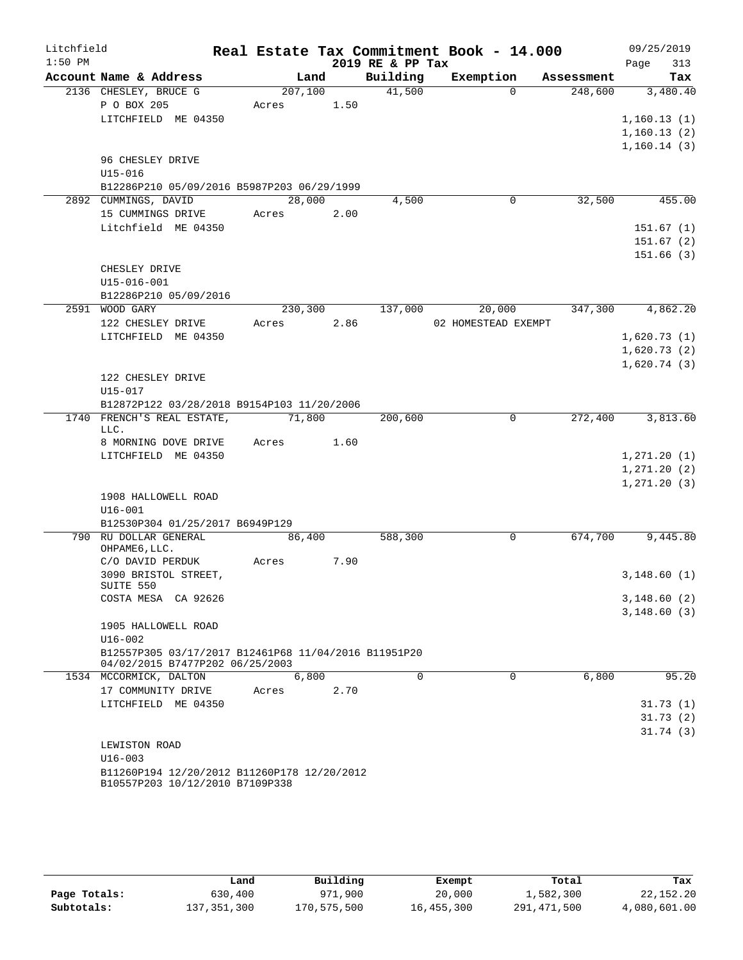| Litchfield |                                                                                         |         |      |                  | Real Estate Tax Commitment Book - 14.000 |            | 09/25/2019   |
|------------|-----------------------------------------------------------------------------------------|---------|------|------------------|------------------------------------------|------------|--------------|
| $1:50$ PM  |                                                                                         |         |      | 2019 RE & PP Tax |                                          |            | Page<br>313  |
|            | Account Name & Address                                                                  | Land    |      | Building         | Exemption                                | Assessment | Tax          |
|            | 2136 CHESLEY, BRUCE G                                                                   | 207,100 |      | 41,500           | $\Omega$                                 | 248,600    | 3,480.40     |
|            | P O BOX 205                                                                             | Acres   | 1.50 |                  |                                          |            |              |
|            | LITCHFIELD ME 04350                                                                     |         |      |                  |                                          |            | 1,160.13(1)  |
|            |                                                                                         |         |      |                  |                                          |            | 1,160.13(2)  |
|            | 96 CHESLEY DRIVE                                                                        |         |      |                  |                                          |            | 1,160.14(3)  |
|            | U15-016                                                                                 |         |      |                  |                                          |            |              |
|            | B12286P210 05/09/2016 B5987P203 06/29/1999                                              |         |      |                  |                                          |            |              |
|            | 2892 CUMMINGS, DAVID                                                                    | 28,000  |      | 4,500            | 0                                        | 32,500     | 455.00       |
|            | 15 CUMMINGS DRIVE                                                                       | Acres   | 2.00 |                  |                                          |            |              |
|            | Litchfield ME 04350                                                                     |         |      |                  |                                          |            | 151.67(1)    |
|            |                                                                                         |         |      |                  |                                          |            | 151.67(2)    |
|            |                                                                                         |         |      |                  |                                          |            | 151.66 (3)   |
|            | CHESLEY DRIVE                                                                           |         |      |                  |                                          |            |              |
|            | $U15 - 016 - 001$                                                                       |         |      |                  |                                          |            |              |
|            | B12286P210 05/09/2016                                                                   |         |      |                  |                                          |            |              |
|            | 2591 WOOD GARY                                                                          | 230,300 |      | 137,000          | 20,000                                   | 347,300    | 4,862.20     |
|            | 122 CHESLEY DRIVE                                                                       | Acres   | 2.86 |                  | 02 HOMESTEAD EXEMPT                      |            |              |
|            | LITCHFIELD ME 04350                                                                     |         |      |                  |                                          |            | 1,620.73(1)  |
|            |                                                                                         |         |      |                  |                                          |            | 1,620.73(2)  |
|            |                                                                                         |         |      |                  |                                          |            | 1,620.74(3)  |
|            | 122 CHESLEY DRIVE                                                                       |         |      |                  |                                          |            |              |
|            | U15-017                                                                                 |         |      |                  |                                          |            |              |
|            | B12872P122 03/28/2018 B9154P103 11/20/2006                                              |         |      |                  |                                          |            |              |
|            | 1740 FRENCH'S REAL ESTATE,<br>LLC.                                                      | 71,800  |      | 200,600          | 0                                        | 272,400    | 3,813.60     |
|            | 8 MORNING DOVE DRIVE                                                                    | Acres   | 1.60 |                  |                                          |            |              |
|            | LITCHFIELD ME 04350                                                                     |         |      |                  |                                          |            | 1, 271.20(1) |
|            |                                                                                         |         |      |                  |                                          |            | 1, 271.20(2) |
|            |                                                                                         |         |      |                  |                                          |            | 1, 271.20(3) |
|            | 1908 HALLOWELL ROAD                                                                     |         |      |                  |                                          |            |              |
|            | $U16 - 001$                                                                             |         |      |                  |                                          |            |              |
|            | B12530P304 01/25/2017 B6949P129                                                         |         |      |                  |                                          |            |              |
|            | 790 RU DOLLAR GENERAL<br>OHPAME6, LLC.                                                  | 86,400  |      | 588,300          | $\mathbf 0$                              | 674,700    | 9,445.80     |
|            | C/O DAVID PERDUK                                                                        | Acres   | 7.90 |                  |                                          |            |              |
|            | 3090 BRISTOL STREET,                                                                    |         |      |                  |                                          |            | 3,148.60(1)  |
|            | SUITE 550                                                                               |         |      |                  |                                          |            |              |
|            | COSTA MESA CA 92626                                                                     |         |      |                  |                                          |            | 3,148.60(2)  |
|            |                                                                                         |         |      |                  |                                          |            | 3,148.60(3)  |
|            | 1905 HALLOWELL ROAD                                                                     |         |      |                  |                                          |            |              |
|            | $U16 - 002$                                                                             |         |      |                  |                                          |            |              |
|            | B12557P305 03/17/2017 B12461P68 11/04/2016 B11951P20<br>04/02/2015 B7477P202 06/25/2003 |         |      |                  |                                          |            |              |
|            | 1534 MCCORMICK, DALTON                                                                  | 6,800   |      | $\mathbf 0$      | 0                                        | 6,800      | 95.20        |
|            | 17 COMMUNITY DRIVE                                                                      | Acres   | 2.70 |                  |                                          |            |              |
|            | LITCHFIELD ME 04350                                                                     |         |      |                  |                                          |            | 31.73(1)     |
|            |                                                                                         |         |      |                  |                                          |            | 31.73(2)     |
|            |                                                                                         |         |      |                  |                                          |            | 31.74(3)     |
|            | LEWISTON ROAD                                                                           |         |      |                  |                                          |            |              |
|            | $U16 - 003$                                                                             |         |      |                  |                                          |            |              |
|            | B11260P194 12/20/2012 B11260P178 12/20/2012                                             |         |      |                  |                                          |            |              |
|            | B10557P203 10/12/2010 B7109P338                                                         |         |      |                  |                                          |            |              |

|              | Land        | Building    | Exempt     | Total       | Tax          |
|--------------|-------------|-------------|------------|-------------|--------------|
| Page Totals: | 630,400     | 971,900     | 20,000     | 1,582,300   | 22,152.20    |
| Subtotals:   | 137,351,300 | 170,575,500 | 16,455,300 | 291,471,500 | 4,080,601.00 |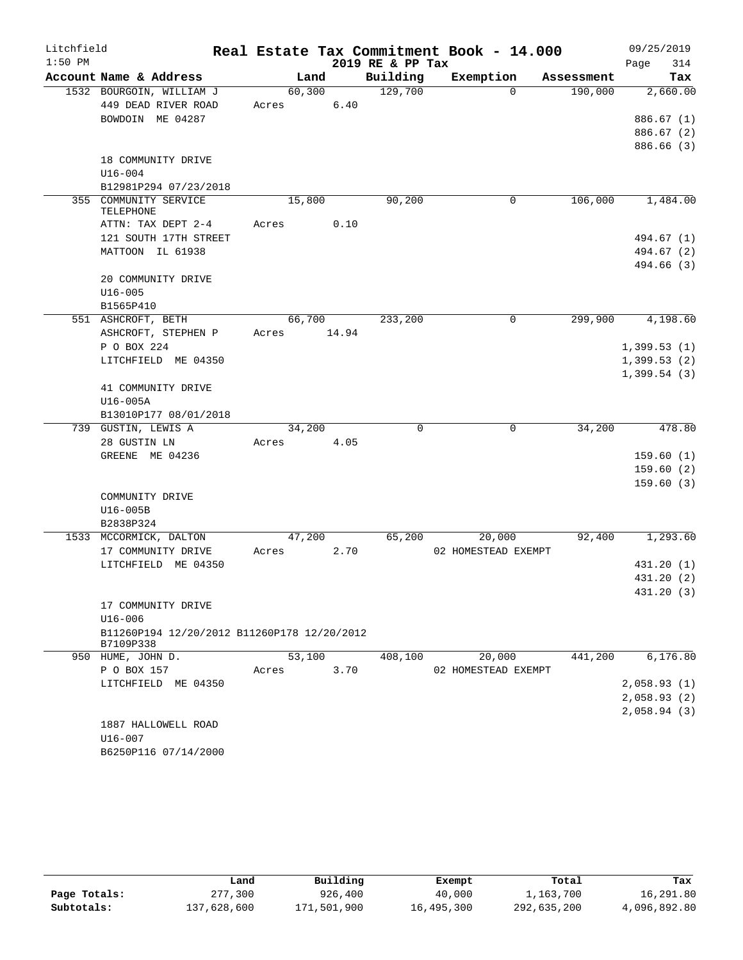| Litchfield |                                             |       |         |       |                  | Real Estate Tax Commitment Book - 14.000 |             |            | 09/25/2019  |            |
|------------|---------------------------------------------|-------|---------|-------|------------------|------------------------------------------|-------------|------------|-------------|------------|
| $1:50$ PM  |                                             |       |         |       | 2019 RE & PP Tax |                                          |             |            | Page        | 314        |
|            | Account Name & Address                      |       | Land    |       | Building         | Exemption                                |             | Assessment |             | Tax        |
|            | 1532 BOURGOIN, WILLIAM J                    |       | 60, 300 |       | 129,700          |                                          | $\Omega$    | 190,000    |             | 2,660.00   |
|            | 449 DEAD RIVER ROAD                         | Acres |         | 6.40  |                  |                                          |             |            |             |            |
|            | BOWDOIN ME 04287                            |       |         |       |                  |                                          |             |            |             | 886.67(1)  |
|            |                                             |       |         |       |                  |                                          |             |            |             | 886.67 (2) |
|            |                                             |       |         |       |                  |                                          |             |            |             | 886.66 (3) |
|            | 18 COMMUNITY DRIVE                          |       |         |       |                  |                                          |             |            |             |            |
|            | $U16 - 004$                                 |       |         |       |                  |                                          |             |            |             |            |
|            | B12981P294 07/23/2018                       |       |         |       |                  |                                          |             |            |             |            |
|            | 355 COMMUNITY SERVICE<br>TELEPHONE          |       | 15,800  |       | 90,200           |                                          | 0           | 106,000    |             | 1,484.00   |
|            | ATTN: TAX DEPT 2-4                          | Acres |         | 0.10  |                  |                                          |             |            |             |            |
|            | 121 SOUTH 17TH STREET                       |       |         |       |                  |                                          |             |            |             | 494.67 (1) |
|            | MATTOON IL 61938                            |       |         |       |                  |                                          |             |            |             | 494.67 (2) |
|            |                                             |       |         |       |                  |                                          |             |            |             | 494.66 (3) |
|            | 20 COMMUNITY DRIVE                          |       |         |       |                  |                                          |             |            |             |            |
|            | $U16 - 005$                                 |       |         |       |                  |                                          |             |            |             |            |
|            | B1565P410                                   |       |         |       |                  |                                          |             |            |             |            |
|            | 551 ASHCROFT, BETH                          |       | 66,700  |       | 233,200          |                                          | 0           | 299,900    |             | 4,198.60   |
|            | ASHCROFT, STEPHEN P                         | Acres |         | 14.94 |                  |                                          |             |            |             |            |
|            | P O BOX 224                                 |       |         |       |                  |                                          |             |            | 1,399.53(1) |            |
|            | LITCHFIELD ME 04350                         |       |         |       |                  |                                          |             |            | 1,399.53(2) |            |
|            |                                             |       |         |       |                  |                                          |             |            | 1,399.54(3) |            |
|            | 41 COMMUNITY DRIVE                          |       |         |       |                  |                                          |             |            |             |            |
|            | U16-005A                                    |       |         |       |                  |                                          |             |            |             |            |
|            | B13010P177 08/01/2018                       |       |         |       |                  |                                          |             |            |             |            |
|            | 739 GUSTIN, LEWIS A                         |       | 34,200  |       | $\mathbf 0$      |                                          | $\mathbf 0$ | 34,200     |             | 478.80     |
|            | 28 GUSTIN LN                                | Acres |         | 4.05  |                  |                                          |             |            |             |            |
|            | GREENE ME 04236                             |       |         |       |                  |                                          |             |            |             | 159.60(1)  |
|            |                                             |       |         |       |                  |                                          |             |            |             | 159.60(2)  |
|            | COMMUNITY DRIVE                             |       |         |       |                  |                                          |             |            |             | 159.60(3)  |
|            | U16-005B                                    |       |         |       |                  |                                          |             |            |             |            |
|            | B2838P324                                   |       |         |       |                  |                                          |             |            |             |            |
|            | 1533 MCCORMICK, DALTON                      |       | 47,200  |       | 65,200           | 20,000                                   |             | 92,400     |             | 1,293.60   |
|            | 17 COMMUNITY DRIVE                          | Acres |         | 2.70  |                  | 02 HOMESTEAD EXEMPT                      |             |            |             |            |
|            | LITCHFIELD ME 04350                         |       |         |       |                  |                                          |             |            |             | 431.20 (1) |
|            |                                             |       |         |       |                  |                                          |             |            |             | 431.20 (2) |
|            |                                             |       |         |       |                  |                                          |             |            |             | 431.20 (3) |
|            | 17 COMMUNITY DRIVE                          |       |         |       |                  |                                          |             |            |             |            |
|            | $U16 - 006$                                 |       |         |       |                  |                                          |             |            |             |            |
|            | B11260P194 12/20/2012 B11260P178 12/20/2012 |       |         |       |                  |                                          |             |            |             |            |
|            | B7109P338                                   |       |         |       |                  |                                          |             |            |             |            |
|            | 950 HUME, JOHN D.                           |       | 53,100  |       | 408,100          | 20,000                                   |             | 441,200    |             | 6,176.80   |
|            | P O BOX 157                                 | Acres |         | 3.70  |                  | 02 HOMESTEAD EXEMPT                      |             |            |             |            |
|            | LITCHFIELD ME 04350                         |       |         |       |                  |                                          |             |            | 2,058.93(1) |            |
|            |                                             |       |         |       |                  |                                          |             |            | 2,058.93(2) |            |
|            |                                             |       |         |       |                  |                                          |             |            | 2,058.94(3) |            |
|            | 1887 HALLOWELL ROAD                         |       |         |       |                  |                                          |             |            |             |            |
|            | $U16 - 007$                                 |       |         |       |                  |                                          |             |            |             |            |
|            | B6250P116 07/14/2000                        |       |         |       |                  |                                          |             |            |             |            |

|              | Land        | Building    | Exempt     | Total       | Tax          |
|--------------|-------------|-------------|------------|-------------|--------------|
| Page Totals: | 277,300     | 926,400     | 40,000     | 1,163,700   | 16,291.80    |
| Subtotals:   | 137,628,600 | 171,501,900 | 16,495,300 | 292,635,200 | 4,096,892.80 |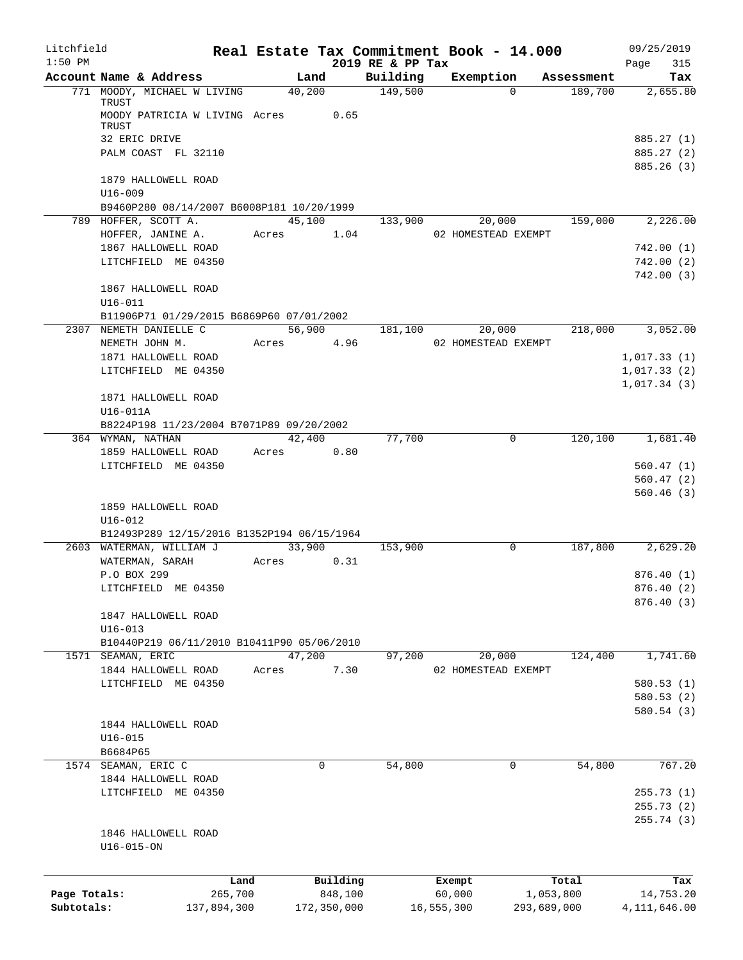| Litchfield<br>$1:50$ PM |                                             |         |                    |          | Real Estate Tax Commitment Book - 14.000 |                     |                     |                | 09/25/2019         |
|-------------------------|---------------------------------------------|---------|--------------------|----------|------------------------------------------|---------------------|---------------------|----------------|--------------------|
|                         | Account Name & Address                      |         | Land               |          | 2019 RE & PP Tax<br>Building             | Exemption           |                     | Assessment     | 315<br>Page<br>Tax |
|                         | 771 MOODY, MICHAEL W LIVING                 |         | $\frac{1}{40,200}$ |          | 149,500                                  |                     | $\Omega$            | 189,700        | 2,655.80           |
|                         | TRUST                                       |         |                    |          |                                          |                     |                     |                |                    |
|                         | MOODY PATRICIA W LIVING Acres 0.65<br>TRUST |         |                    |          |                                          |                     |                     |                |                    |
|                         | 32 ERIC DRIVE                               |         |                    |          |                                          |                     |                     |                | 885.27 (1)         |
|                         | PALM COAST FL 32110                         |         |                    |          |                                          |                     |                     |                | 885.27 (2)         |
|                         |                                             |         |                    |          |                                          |                     |                     |                | 885.26 (3)         |
|                         | 1879 HALLOWELL ROAD                         |         |                    |          |                                          |                     |                     |                |                    |
|                         | $U16 - 009$                                 |         |                    |          |                                          |                     |                     |                |                    |
|                         | B9460P280 08/14/2007 B6008P181 10/20/1999   |         |                    |          |                                          |                     |                     |                |                    |
|                         | 789 HOFFER, SCOTT A.                        |         |                    |          | 45,100 133,900                           |                     |                     | 20,000 159,000 | 2,226.00           |
|                         | HOFFER, JANINE A.                           |         |                    |          | Acres 1.04 02 HOMESTEAD EXEMPT           |                     |                     |                |                    |
|                         | 1867 HALLOWELL ROAD                         |         |                    |          |                                          |                     |                     |                | 742.00(1)          |
|                         | LITCHFIELD ME 04350                         |         |                    |          |                                          |                     |                     |                | 742.00(2)          |
|                         |                                             |         |                    |          |                                          |                     |                     |                | 742.00(3)          |
|                         | 1867 HALLOWELL ROAD                         |         |                    |          |                                          |                     |                     |                |                    |
|                         | $U16 - 011$                                 |         |                    |          |                                          |                     |                     |                |                    |
|                         | B11906P71 01/29/2015 B6869P60 07/01/2002    |         |                    |          |                                          |                     |                     |                |                    |
|                         | 2307 NEMETH DANIELLE C                      |         | 56,900             |          | 181,100                                  |                     | 20,000              | 218,000        | 3,052.00           |
|                         | NEMETH JOHN M.                              |         | Acres 4.96         |          |                                          | 02 HOMESTEAD EXEMPT |                     |                |                    |
|                         | 1871 HALLOWELL ROAD                         |         |                    |          |                                          |                     |                     |                | 1,017.33(1)        |
|                         | LITCHFIELD ME 04350                         |         |                    |          |                                          |                     |                     |                | 1,017.33(2)        |
|                         |                                             |         |                    |          |                                          |                     |                     |                | 1,017.34(3)        |
|                         | 1871 HALLOWELL ROAD                         |         |                    |          |                                          |                     |                     |                |                    |
|                         | U16-011A                                    |         |                    |          |                                          |                     |                     |                |                    |
|                         | B8224P198 11/23/2004 B7071P89 09/20/2002    |         |                    |          |                                          |                     |                     |                |                    |
|                         | 364 WYMAN, NATHAN                           |         |                    | 42,400   | 77,700                                   |                     | $\Omega$            | 120,100        | 1,681.40           |
|                         | 1859 HALLOWELL ROAD                         |         | Acres 0.80         |          |                                          |                     |                     |                |                    |
|                         | LITCHFIELD ME 04350                         |         |                    |          |                                          |                     |                     |                | 560.47(1)          |
|                         |                                             |         |                    |          |                                          |                     |                     |                | 560.47(2)          |
|                         |                                             |         |                    |          |                                          |                     |                     |                | 560.46(3)          |
|                         | 1859 HALLOWELL ROAD                         |         |                    |          |                                          |                     |                     |                |                    |
|                         | $U16 - 012$                                 |         |                    |          |                                          |                     |                     |                |                    |
|                         | B12493P289 12/15/2016 B1352P194 06/15/1964  |         |                    |          |                                          |                     |                     |                |                    |
|                         | 2603 WATERMAN, WILLIAM J                    |         |                    | 33,900   | 153,900                                  |                     | $\mathbf 0$         | 187,800        | 2,629.20           |
|                         | WATERMAN, SARAH                             |         | Acres 0.31         |          |                                          |                     |                     |                |                    |
|                         | P.O BOX 299                                 |         |                    |          |                                          |                     |                     |                | 876.40(1)          |
|                         | LITCHFIELD ME 04350                         |         |                    |          |                                          |                     |                     |                | 876.40 (2)         |
|                         |                                             |         |                    |          |                                          |                     |                     |                | 876.40 (3)         |
|                         | 1847 HALLOWELL ROAD                         |         |                    |          |                                          |                     |                     |                |                    |
|                         | $U16 - 013$                                 |         |                    |          |                                          |                     |                     |                |                    |
|                         | B10440P219 06/11/2010 B10411P90 05/06/2010  |         |                    |          |                                          |                     |                     |                |                    |
|                         | 1571 SEAMAN, ERIC                           |         | 47,200             |          | 97,200                                   |                     | 20,000              | 124,400        | 1,741.60           |
|                         | 1844 HALLOWELL ROAD                         |         | Acres              | 7.30     |                                          |                     | 02 HOMESTEAD EXEMPT |                |                    |
|                         | LITCHFIELD ME 04350                         |         |                    |          |                                          |                     |                     |                | 580.53(1)          |
|                         |                                             |         |                    |          |                                          |                     |                     |                | 580.53(2)          |
|                         |                                             |         |                    |          |                                          |                     |                     |                | 580.54(3)          |
|                         | 1844 HALLOWELL ROAD                         |         |                    |          |                                          |                     |                     |                |                    |
|                         | $U16 - 015$                                 |         |                    |          |                                          |                     |                     |                |                    |
|                         | B6684P65                                    |         |                    |          |                                          |                     |                     |                |                    |
|                         | 1574 SEAMAN, ERIC C                         |         |                    | 0        | 54,800                                   |                     | 0                   | 54,800         | 767.20             |
|                         | 1844 HALLOWELL ROAD                         |         |                    |          |                                          |                     |                     |                |                    |
|                         | LITCHFIELD ME 04350                         |         |                    |          |                                          |                     |                     |                | 255.73(1)          |
|                         |                                             |         |                    |          |                                          |                     |                     |                | 255.73(2)          |
|                         |                                             |         |                    |          |                                          |                     |                     |                | 255.74 (3)         |
|                         | 1846 HALLOWELL ROAD                         |         |                    |          |                                          |                     |                     |                |                    |
|                         | $U16 - 015 - ON$                            |         |                    |          |                                          |                     |                     |                |                    |
|                         |                                             |         |                    |          |                                          |                     |                     |                |                    |
|                         |                                             | Land    |                    | Building |                                          | Exempt              |                     | Total          | Tax                |
| Page Totals:            |                                             | 265,700 |                    | 848,100  |                                          | 60,000              |                     | 1,053,800      | 14,753.20          |

**Subtotals:** 137,894,300 172,350,000 16,555,300 293,689,000 4,111,646.00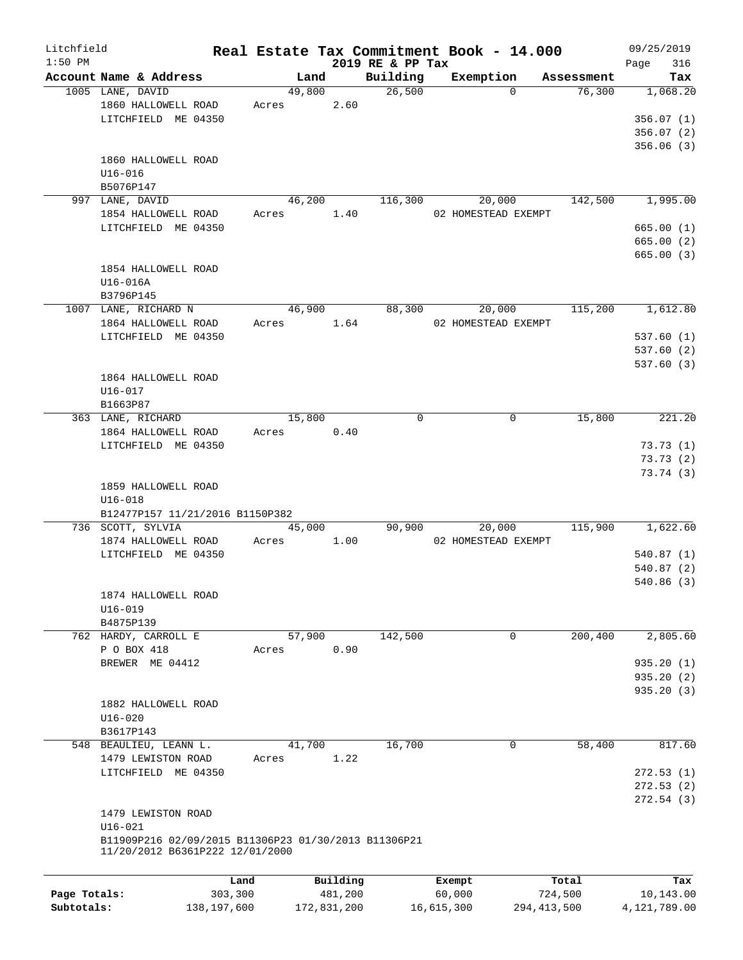| Litchfield   |                                                      |             |       |        |             |                              | Real Estate Tax Commitment Book - 14.000 |               | 09/25/2019         |
|--------------|------------------------------------------------------|-------------|-------|--------|-------------|------------------------------|------------------------------------------|---------------|--------------------|
| $1:50$ PM    | Account Name & Address                               |             |       | Land   |             | 2019 RE & PP Tax<br>Building | Exemption                                | Assessment    | 316<br>Page<br>Tax |
|              | 1005 LANE, DAVID                                     |             |       | 49,800 |             | 26,500                       | $\Omega$                                 | 76,300        | 1,068.20           |
|              | 1860 HALLOWELL ROAD                                  |             | Acres |        | 2.60        |                              |                                          |               |                    |
|              | LITCHFIELD ME 04350                                  |             |       |        |             |                              |                                          |               | 356.07(1)          |
|              |                                                      |             |       |        |             |                              |                                          |               |                    |
|              |                                                      |             |       |        |             |                              |                                          |               | 356.07(2)          |
|              |                                                      |             |       |        |             |                              |                                          |               | 356.06(3)          |
|              | 1860 HALLOWELL ROAD                                  |             |       |        |             |                              |                                          |               |                    |
|              | $U16 - 016$                                          |             |       |        |             |                              |                                          |               |                    |
|              | B5076P147                                            |             |       |        |             |                              |                                          |               |                    |
|              | 997 LANE, DAVID                                      |             |       | 46,200 |             | 116,300                      | 20,000                                   | 142,500       | 1,995.00           |
|              | 1854 HALLOWELL ROAD                                  |             | Acres |        | 1.40        |                              | 02 HOMESTEAD EXEMPT                      |               |                    |
|              | LITCHFIELD ME 04350                                  |             |       |        |             |                              |                                          |               | 665.00(1)          |
|              |                                                      |             |       |        |             |                              |                                          |               | 665.00(2)          |
|              |                                                      |             |       |        |             |                              |                                          |               | 665.00(3)          |
|              | 1854 HALLOWELL ROAD                                  |             |       |        |             |                              |                                          |               |                    |
|              | U16-016A                                             |             |       |        |             |                              |                                          |               |                    |
|              | B3796P145                                            |             |       |        |             |                              |                                          |               |                    |
|              |                                                      |             |       |        |             |                              |                                          |               | 1,612.80           |
|              | 1007 LANE, RICHARD N                                 |             |       | 46,900 |             | 88,300                       | 20,000                                   | 115,200       |                    |
|              | 1864 HALLOWELL ROAD                                  |             | Acres |        | 1.64        |                              | 02 HOMESTEAD EXEMPT                      |               |                    |
|              | LITCHFIELD ME 04350                                  |             |       |        |             |                              |                                          |               | 537.60(1)          |
|              |                                                      |             |       |        |             |                              |                                          |               | 537.60(2)          |
|              |                                                      |             |       |        |             |                              |                                          |               | 537.60(3)          |
|              | 1864 HALLOWELL ROAD                                  |             |       |        |             |                              |                                          |               |                    |
|              | $U16 - 017$                                          |             |       |        |             |                              |                                          |               |                    |
|              | B1663P87                                             |             |       |        |             |                              |                                          |               |                    |
|              | 363 LANE, RICHARD                                    |             |       | 15,800 |             | $\mathbf 0$                  | $\mathbf 0$                              | 15,800        | 221.20             |
|              | 1864 HALLOWELL ROAD                                  |             | Acres |        | 0.40        |                              |                                          |               |                    |
|              |                                                      |             |       |        |             |                              |                                          |               |                    |
|              | LITCHFIELD ME 04350                                  |             |       |        |             |                              |                                          |               | 73.73(1)           |
|              |                                                      |             |       |        |             |                              |                                          |               | 73.73(2)           |
|              |                                                      |             |       |        |             |                              |                                          |               | 73.74(3)           |
|              | 1859 HALLOWELL ROAD                                  |             |       |        |             |                              |                                          |               |                    |
|              | $U16 - 018$                                          |             |       |        |             |                              |                                          |               |                    |
|              | B12477P157 11/21/2016 B1150P382                      |             |       |        |             |                              |                                          |               |                    |
|              | 736 SCOTT, SYLVIA                                    |             |       | 45,000 |             | 90,900                       | 20,000                                   | 115,900       | 1,622.60           |
|              | 1874 HALLOWELL ROAD                                  |             | Acres |        | 1.00        |                              | 02 HOMESTEAD EXEMPT                      |               |                    |
|              | LITCHFIELD ME 04350                                  |             |       |        |             |                              |                                          |               | 540.87(1)          |
|              |                                                      |             |       |        |             |                              |                                          |               | 540.87(2)          |
|              |                                                      |             |       |        |             |                              |                                          |               | 540.86(3)          |
|              | 1874 HALLOWELL ROAD                                  |             |       |        |             |                              |                                          |               |                    |
|              | $U16 - 019$                                          |             |       |        |             |                              |                                          |               |                    |
|              |                                                      |             |       |        |             |                              |                                          |               |                    |
|              | B4875P139                                            |             |       |        |             |                              |                                          |               |                    |
|              | 762 HARDY, CARROLL E                                 |             |       | 57,900 |             | 142,500                      | 0                                        | 200, 400      | 2,805.60           |
|              | P O BOX 418                                          |             | Acres |        | 0.90        |                              |                                          |               |                    |
|              | BREWER ME 04412                                      |             |       |        |             |                              |                                          |               | 935.20(1)          |
|              |                                                      |             |       |        |             |                              |                                          |               | 935.20(2)          |
|              |                                                      |             |       |        |             |                              |                                          |               | 935.20(3)          |
|              | 1882 HALLOWELL ROAD                                  |             |       |        |             |                              |                                          |               |                    |
|              | $U16 - 020$                                          |             |       |        |             |                              |                                          |               |                    |
|              | B3617P143                                            |             |       |        |             |                              |                                          |               |                    |
|              | 548 BEAULIEU, LEANN L.                               |             |       | 41,700 |             | 16,700                       | 0                                        | 58,400        | 817.60             |
|              | 1479 LEWISTON ROAD                                   |             | Acres |        | 1.22        |                              |                                          |               |                    |
|              |                                                      |             |       |        |             |                              |                                          |               |                    |
|              | LITCHFIELD ME 04350                                  |             |       |        |             |                              |                                          |               | 272.53(1)          |
|              |                                                      |             |       |        |             |                              |                                          |               | 272.53(2)          |
|              |                                                      |             |       |        |             |                              |                                          |               | 272.54(3)          |
|              | 1479 LEWISTON ROAD                                   |             |       |        |             |                              |                                          |               |                    |
|              | $U16 - 021$                                          |             |       |        |             |                              |                                          |               |                    |
|              | B11909P216 02/09/2015 B11306P23 01/30/2013 B11306P21 |             |       |        |             |                              |                                          |               |                    |
|              | 11/20/2012 B6361P222 12/01/2000                      |             |       |        |             |                              |                                          |               |                    |
|              |                                                      |             |       |        |             |                              |                                          |               |                    |
|              |                                                      |             | Land  |        | Building    |                              | Exempt                                   | Total         | Tax                |
| Page Totals: |                                                      | 303,300     |       |        | 481,200     |                              | 60,000                                   | 724,500       | 10,143.00          |
| Subtotals:   |                                                      | 138,197,600 |       |        | 172,831,200 |                              | 16,615,300                               | 294, 413, 500 | 4,121,789.00       |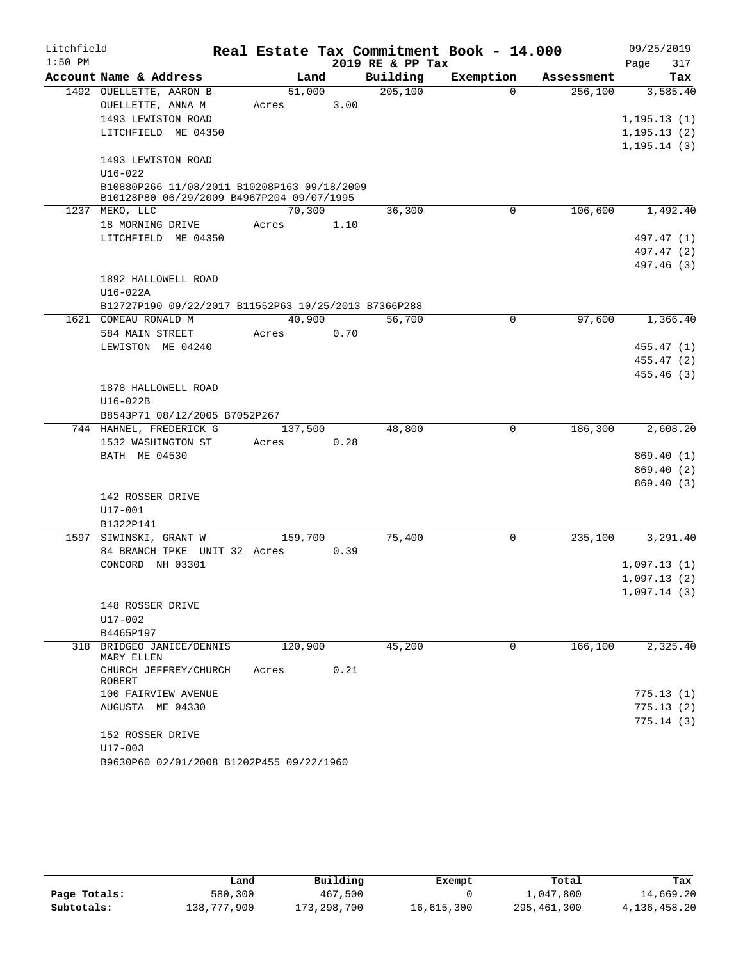| Litchfield |                                                                                          |         |      |                  | Real Estate Tax Commitment Book - 14.000 |            | 09/25/2019   |
|------------|------------------------------------------------------------------------------------------|---------|------|------------------|------------------------------------------|------------|--------------|
| $1:50$ PM  |                                                                                          |         |      | 2019 RE & PP Tax |                                          |            | 317<br>Page  |
|            | Account Name & Address                                                                   | Land    |      | Building         | Exemption                                | Assessment | Tax          |
|            | 1492 OUELLETTE, AARON B                                                                  | 51,000  |      | 205, 100         | $\Omega$                                 | 256,100    | 3,585.40     |
|            | OUELLETTE, ANNA M                                                                        | Acres   | 3.00 |                  |                                          |            |              |
|            | 1493 LEWISTON ROAD                                                                       |         |      |                  |                                          |            | 1, 195.13(1) |
|            | LITCHFIELD ME 04350                                                                      |         |      |                  |                                          |            | 1, 195.13(2) |
|            |                                                                                          |         |      |                  |                                          |            | 1, 195.14(3) |
|            | 1493 LEWISTON ROAD                                                                       |         |      |                  |                                          |            |              |
|            | $U16 - 022$                                                                              |         |      |                  |                                          |            |              |
|            | B10880P266 11/08/2011 B10208P163 09/18/2009<br>B10128P80 06/29/2009 B4967P204 09/07/1995 |         |      |                  |                                          |            |              |
|            | 1237 MEKO, LLC                                                                           | 70,300  |      | 36,300           | $\mathbf 0$                              | 106,600    | 1,492.40     |
|            | 18 MORNING DRIVE                                                                         | Acres   | 1.10 |                  |                                          |            |              |
|            | LITCHFIELD ME 04350                                                                      |         |      |                  |                                          |            | 497.47 (1)   |
|            |                                                                                          |         |      |                  |                                          |            | 497.47 (2)   |
|            |                                                                                          |         |      |                  |                                          |            | 497.46 (3)   |
|            | 1892 HALLOWELL ROAD                                                                      |         |      |                  |                                          |            |              |
|            | $U16-022A$                                                                               |         |      |                  |                                          |            |              |
|            | B12727P190 09/22/2017 B11552P63 10/25/2013 B7366P288                                     |         |      |                  |                                          |            |              |
|            | 1621 COMEAU RONALD M                                                                     | 40,900  |      | 56,700           | $\mathbf 0$                              | 97,600     | 1,366.40     |
|            | 584 MAIN STREET                                                                          | Acres   | 0.70 |                  |                                          |            |              |
|            | LEWISTON ME 04240                                                                        |         |      |                  |                                          |            | 455.47 (1)   |
|            |                                                                                          |         |      |                  |                                          |            | 455.47 (2)   |
|            |                                                                                          |         |      |                  |                                          |            | 455.46 (3)   |
|            | 1878 HALLOWELL ROAD                                                                      |         |      |                  |                                          |            |              |
|            | U16-022B                                                                                 |         |      |                  |                                          |            |              |
|            | B8543P71 08/12/2005 B7052P267                                                            |         |      |                  |                                          |            |              |
|            | 744 HAHNEL, FREDERICK G                                                                  | 137,500 |      | 48,800           | $\overline{0}$                           | 186,300    | 2,608.20     |
|            | 1532 WASHINGTON ST                                                                       | Acres   | 0.28 |                  |                                          |            |              |
|            | BATH ME 04530                                                                            |         |      |                  |                                          |            | 869.40 (1)   |
|            |                                                                                          |         |      |                  |                                          |            | 869.40(2)    |
|            |                                                                                          |         |      |                  |                                          |            | 869.40 (3)   |
|            | 142 ROSSER DRIVE                                                                         |         |      |                  |                                          |            |              |
|            | $U17 - 001$                                                                              |         |      |                  |                                          |            |              |
|            | B1322P141                                                                                |         |      |                  |                                          |            |              |
|            | 1597 SIWINSKI, GRANT W                                                                   | 159,700 |      | 75,400           | 0                                        | 235,100    | 3,291.40     |
|            | 84 BRANCH TPKE UNIT 32 Acres                                                             |         | 0.39 |                  |                                          |            |              |
|            | CONCORD NH 03301                                                                         |         |      |                  |                                          |            | 1,097.13(1)  |
|            |                                                                                          |         |      |                  |                                          |            | 1,097.13(2)  |
|            |                                                                                          |         |      |                  |                                          |            | 1,097.14(3)  |
|            | 148 ROSSER DRIVE                                                                         |         |      |                  |                                          |            |              |
|            | U17-002                                                                                  |         |      |                  |                                          |            |              |
|            | B4465P197                                                                                |         |      |                  | $\mathbf 0$                              |            |              |
|            | 318 BRIDGEO JANICE/DENNIS<br>MARY ELLEN                                                  | 120,900 |      | 45,200           |                                          | 166,100    | 2,325.40     |
|            | CHURCH JEFFREY/CHURCH                                                                    | Acres   | 0.21 |                  |                                          |            |              |
|            | <b>ROBERT</b>                                                                            |         |      |                  |                                          |            |              |
|            | 100 FAIRVIEW AVENUE                                                                      |         |      |                  |                                          |            | 775.13(1)    |
|            | AUGUSTA ME 04330                                                                         |         |      |                  |                                          |            | 775.13(2)    |
|            |                                                                                          |         |      |                  |                                          |            | 775.14(3)    |
|            | 152 ROSSER DRIVE                                                                         |         |      |                  |                                          |            |              |
|            | U17-003                                                                                  |         |      |                  |                                          |            |              |
|            | B9630P60 02/01/2008 B1202P455 09/22/1960                                                 |         |      |                  |                                          |            |              |

|              | Land        | Building    | Exempt     | Total       | Tax          |
|--------------|-------------|-------------|------------|-------------|--------------|
| Page Totals: | 580,300     | 467,500     |            | 1,047,800   | 14,669.20    |
| Subtotals:   | 138,777,900 | 173,298,700 | 16,615,300 | 295,461,300 | 4,136,458.20 |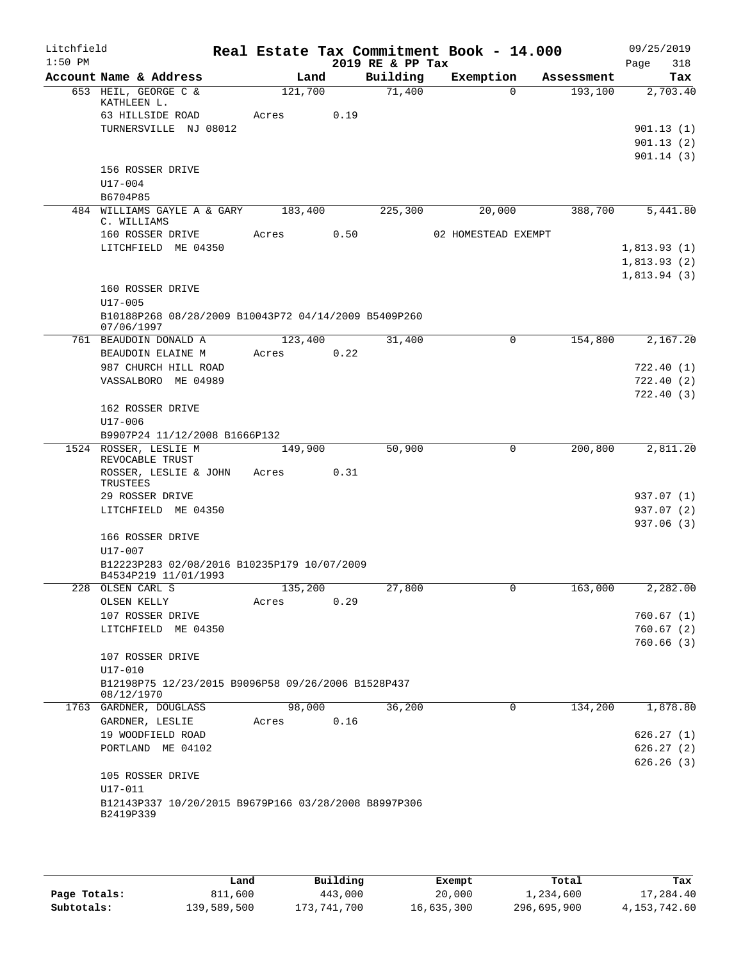| Litchfield<br>$1:50$ PM |                                                                     |         |      | 2019 RE & PP Tax | Real Estate Tax Commitment Book - 14.000 |            | 09/25/2019<br>318<br>Page |
|-------------------------|---------------------------------------------------------------------|---------|------|------------------|------------------------------------------|------------|---------------------------|
|                         | Account Name & Address                                              | Land    |      | Building         | Exemption                                | Assessment | Tax                       |
|                         | 653 HEIL, GEORGE C &                                                | 121,700 |      | 71,400           | $\Omega$                                 | 193,100    | 2,703.40                  |
|                         | KATHLEEN L.                                                         |         | 0.19 |                  |                                          |            |                           |
|                         | 63 HILLSIDE ROAD<br>TURNERSVILLE NJ 08012                           | Acres   |      |                  |                                          |            | 901.13(1)                 |
|                         |                                                                     |         |      |                  |                                          |            | 901.13(2)                 |
|                         |                                                                     |         |      |                  |                                          |            | 901.14(3)                 |
|                         | 156 ROSSER DRIVE                                                    |         |      |                  |                                          |            |                           |
|                         | $U17 - 004$                                                         |         |      |                  |                                          |            |                           |
|                         | B6704P85                                                            |         |      |                  |                                          |            |                           |
|                         | 484 WILLIAMS GAYLE A & GARY 183,400<br>C. WILLIAMS                  |         |      | 225,300          | 20,000                                   | 388,700    | 5,441.80                  |
|                         | 160 ROSSER DRIVE                                                    | Acres   | 0.50 |                  | 02 HOMESTEAD EXEMPT                      |            |                           |
|                         | LITCHFIELD ME 04350                                                 |         |      |                  |                                          |            | 1,813.93(1)               |
|                         |                                                                     |         |      |                  |                                          |            | 1,813.93(2)               |
|                         |                                                                     |         |      |                  |                                          |            | 1,813.94(3)               |
|                         | 160 ROSSER DRIVE                                                    |         |      |                  |                                          |            |                           |
|                         | $U17 - 005$                                                         |         |      |                  |                                          |            |                           |
|                         | B10188P268 08/28/2009 B10043P72 04/14/2009 B5409P260<br>07/06/1997  |         |      |                  |                                          |            |                           |
|                         | 761 BEAUDOIN DONALD A                                               | 123,400 |      | 31,400           | $\Omega$                                 | 154,800    | 2,167.20                  |
|                         | BEAUDOIN ELAINE M                                                   | Acres   | 0.22 |                  |                                          |            |                           |
|                         | 987 CHURCH HILL ROAD                                                |         |      |                  |                                          |            | 722.40(1)                 |
|                         | VASSALBORO ME 04989                                                 |         |      |                  |                                          |            | 722.40(2)                 |
|                         |                                                                     |         |      |                  |                                          |            | 722.40(3)                 |
|                         | 162 ROSSER DRIVE                                                    |         |      |                  |                                          |            |                           |
|                         | U17-006                                                             |         |      |                  |                                          |            |                           |
|                         | B9907P24 11/12/2008 B1666P132                                       |         |      |                  |                                          |            |                           |
|                         | 1524 ROSSER, LESLIE M                                               | 149,900 |      | 50,900           | 0                                        | 200,800    | 2,811.20                  |
|                         | REVOCABLE TRUST                                                     |         |      |                  |                                          |            |                           |
|                         | ROSSER, LESLIE & JOHN<br>TRUSTEES                                   | Acres   | 0.31 |                  |                                          |            |                           |
|                         | 29 ROSSER DRIVE                                                     |         |      |                  |                                          |            | 937.07 (1)                |
|                         | LITCHFIELD ME 04350                                                 |         |      |                  |                                          |            | 937.07 (2)                |
|                         |                                                                     |         |      |                  |                                          |            | 937.06 (3)                |
|                         | 166 ROSSER DRIVE                                                    |         |      |                  |                                          |            |                           |
|                         | U17-007                                                             |         |      |                  |                                          |            |                           |
|                         | B12223P283 02/08/2016 B10235P179 10/07/2009<br>B4534P219 11/01/1993 |         |      |                  |                                          |            |                           |
|                         | 228 OLSEN CARL S                                                    | 135,200 |      | 27,800           | $\mathsf{O}\xspace$                      | 163,000    | 2,282.00                  |
|                         | OLSEN KELLY                                                         | Acres   | 0.29 |                  |                                          |            |                           |
|                         | 107 ROSSER DRIVE                                                    |         |      |                  |                                          |            | 760.67 (1)                |
|                         | LITCHFIELD ME 04350                                                 |         |      |                  |                                          |            | 760.67(2)                 |
|                         |                                                                     |         |      |                  |                                          |            | 760.66(3)                 |
|                         | 107 ROSSER DRIVE                                                    |         |      |                  |                                          |            |                           |
|                         | $U17 - 010$                                                         |         |      |                  |                                          |            |                           |
|                         | B12198P75 12/23/2015 B9096P58 09/26/2006 B1528P437<br>08/12/1970    |         |      |                  |                                          |            |                           |
|                         | 1763 GARDNER, DOUGLASS                                              | 98,000  |      | 36,200           | 0                                        | 134,200    | 1,878.80                  |
|                         | GARDNER, LESLIE                                                     | Acres   | 0.16 |                  |                                          |            |                           |
|                         | 19 WOODFIELD ROAD                                                   |         |      |                  |                                          |            | 626.27(1)                 |
|                         | PORTLAND ME 04102                                                   |         |      |                  |                                          |            | 626.27(2)                 |
|                         |                                                                     |         |      |                  |                                          |            | 626.26(3)                 |
|                         | 105 ROSSER DRIVE                                                    |         |      |                  |                                          |            |                           |
|                         | U17-011                                                             |         |      |                  |                                          |            |                           |
|                         | B12143P337 10/20/2015 B9679P166 03/28/2008 B8997P306                |         |      |                  |                                          |            |                           |
|                         | B2419P339                                                           |         |      |                  |                                          |            |                           |
|                         |                                                                     |         |      |                  |                                          |            |                           |

|              | Land        | Building    | Exempt     | Total       | Tax             |
|--------------|-------------|-------------|------------|-------------|-----------------|
| Page Totals: | 811,600     | 443,000     | 20,000     | 1,234,600   | 17,284.40       |
| Subtotals:   | 139,589,500 | 173,741,700 | 16,635,300 | 296,695,900 | 4, 153, 742, 60 |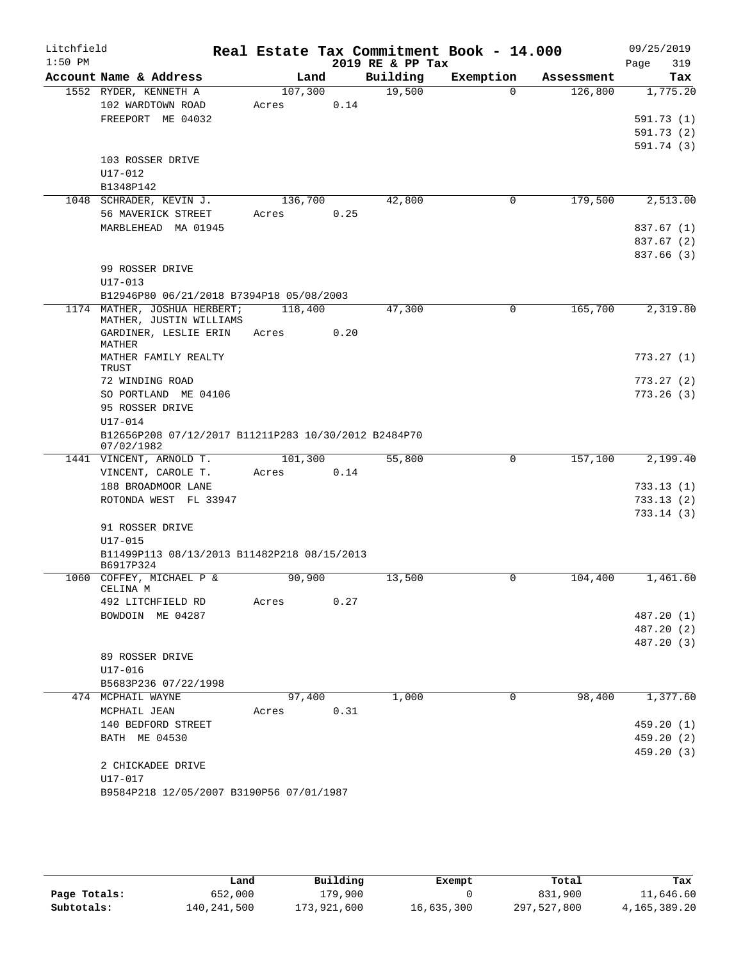| Litchfield |                                                          |                  |      |                  | Real Estate Tax Commitment Book - 14.000 |            | 09/25/2019               |
|------------|----------------------------------------------------------|------------------|------|------------------|------------------------------------------|------------|--------------------------|
| $1:50$ PM  |                                                          |                  |      | 2019 RE & PP Tax |                                          |            | Page<br>319              |
|            | Account Name & Address                                   | Land             |      | Building         | Exemption                                | Assessment | Tax                      |
|            | 1552 RYDER, KENNETH A                                    | 107,300          |      | 19,500           | $\Omega$                                 | 126,800    | 1,775.20                 |
|            | 102 WARDTOWN ROAD                                        | Acres            | 0.14 |                  |                                          |            |                          |
|            | FREEPORT ME 04032                                        |                  |      |                  |                                          |            | 591.73 (1)               |
|            |                                                          |                  |      |                  |                                          |            | 591.73(2)                |
|            |                                                          |                  |      |                  |                                          |            | 591.74 (3)               |
|            | 103 ROSSER DRIVE                                         |                  |      |                  |                                          |            |                          |
|            | U17-012                                                  |                  |      |                  |                                          |            |                          |
|            | B1348P142<br>1048 SCHRADER, KEVIN J.                     |                  |      |                  | 0                                        | 179,500    |                          |
|            | 56 MAVERICK STREET                                       | 136,700<br>Acres | 0.25 | 42,800           |                                          |            | 2,513.00                 |
|            | MARBLEHEAD MA 01945                                      |                  |      |                  |                                          |            | 837.67 (1)               |
|            |                                                          |                  |      |                  |                                          |            | 837.67 (2)               |
|            |                                                          |                  |      |                  |                                          |            | 837.66 (3)               |
|            | 99 ROSSER DRIVE                                          |                  |      |                  |                                          |            |                          |
|            | $U17 - 013$                                              |                  |      |                  |                                          |            |                          |
|            | B12946P80 06/21/2018 B7394P18 05/08/2003                 |                  |      |                  |                                          |            |                          |
|            | 1174 MATHER, JOSHUA HERBERT;                             | 118,400          |      | 47,300           | $\Omega$                                 | 165,700    | 2,319.80                 |
|            | MATHER, JUSTIN WILLIAMS                                  |                  |      |                  |                                          |            |                          |
|            | GARDINER, LESLIE ERIN                                    | Acres            | 0.20 |                  |                                          |            |                          |
|            | MATHER                                                   |                  |      |                  |                                          |            |                          |
|            | MATHER FAMILY REALTY<br>TRUST                            |                  |      |                  |                                          |            | 773.27(1)                |
|            | 72 WINDING ROAD                                          |                  |      |                  |                                          |            | 773.27(2)                |
|            | SO PORTLAND ME 04106                                     |                  |      |                  |                                          |            | 773.26(3)                |
|            | 95 ROSSER DRIVE                                          |                  |      |                  |                                          |            |                          |
|            | U17-014                                                  |                  |      |                  |                                          |            |                          |
|            | B12656P208 07/12/2017 B11211P283 10/30/2012 B2484P70     |                  |      |                  |                                          |            |                          |
|            | 07/02/1982                                               |                  |      |                  |                                          |            |                          |
|            | 1441 VINCENT, ARNOLD T.                                  | 101,300          |      | 55,800           | 0                                        | 157,100    | 2,199.40                 |
|            | VINCENT, CAROLE T.                                       | Acres            | 0.14 |                  |                                          |            |                          |
|            | 188 BROADMOOR LANE                                       |                  |      |                  |                                          |            | 733.13(1)                |
|            | ROTONDA WEST FL 33947                                    |                  |      |                  |                                          |            | 733.13(2)                |
|            |                                                          |                  |      |                  |                                          |            | 733.14(3)                |
|            | 91 ROSSER DRIVE                                          |                  |      |                  |                                          |            |                          |
|            | $U17 - 015$                                              |                  |      |                  |                                          |            |                          |
|            | B11499P113 08/13/2013 B11482P218 08/15/2013<br>B6917P324 |                  |      |                  |                                          |            |                          |
|            | 1060 COFFEY, MICHAEL P &                                 | 90,900           |      | 13,500           | 0                                        | 104,400    | 1,461.60                 |
|            | CELINA M                                                 |                  |      |                  |                                          |            |                          |
|            | 492 LITCHFIELD RD                                        | Acres            | 0.27 |                  |                                          |            |                          |
|            | BOWDOIN ME 04287                                         |                  |      |                  |                                          |            | 487.20 (1)               |
|            |                                                          |                  |      |                  |                                          |            | 487.20 (2)               |
|            |                                                          |                  |      |                  |                                          |            | 487.20 (3)               |
|            | 89 ROSSER DRIVE                                          |                  |      |                  |                                          |            |                          |
|            | U17-016                                                  |                  |      |                  |                                          |            |                          |
|            | B5683P236 07/22/1998                                     |                  |      |                  |                                          |            |                          |
|            | 474 MCPHAIL WAYNE                                        | 97,400           |      | 1,000            | $\mathbf 0$                              | 98,400     | 1,377.60                 |
|            | MCPHAIL JEAN                                             | Acres            | 0.31 |                  |                                          |            |                          |
|            | 140 BEDFORD STREET                                       |                  |      |                  |                                          |            | 459.20 (1)<br>459.20 (2) |
|            | BATH ME 04530                                            |                  |      |                  |                                          |            | 459.20(3)                |
|            | 2 CHICKADEE DRIVE                                        |                  |      |                  |                                          |            |                          |
|            | U17-017                                                  |                  |      |                  |                                          |            |                          |
|            | B9584P218 12/05/2007 B3190P56 07/01/1987                 |                  |      |                  |                                          |            |                          |
|            |                                                          |                  |      |                  |                                          |            |                          |

|              | Land        | Building    | Exempt     | Total       | Tax          |
|--------------|-------------|-------------|------------|-------------|--------------|
| Page Totals: | 652,000     | 179,900     |            | 831,900     | 11,646.60    |
| Subtotals:   | 140,241,500 | 173,921,600 | 16,635,300 | 297,527,800 | 4,165,389.20 |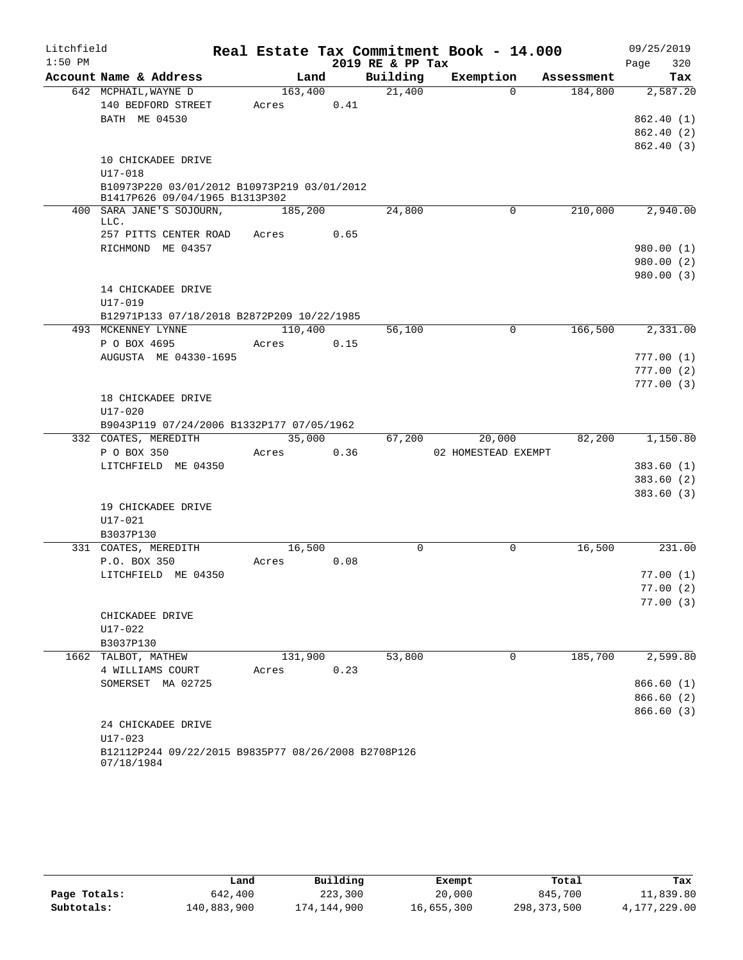| Litchfield |                                                                               |         |      |                     | Real Estate Tax Commitment Book - 14.000 |            | 09/25/2019  |
|------------|-------------------------------------------------------------------------------|---------|------|---------------------|------------------------------------------|------------|-------------|
| $1:50$ PM  |                                                                               |         |      | 2019 RE & PP Tax    |                                          |            | 320<br>Page |
|            | Account Name & Address                                                        | Land    |      | Building            | Exemption                                | Assessment | Tax         |
|            | 642 MCPHAIL, WAYNE D                                                          | 163,400 |      | $\overline{21,400}$ | $\Omega$                                 | 184,800    | 2,587.20    |
|            | 140 BEDFORD STREET                                                            | Acres   | 0.41 |                     |                                          |            |             |
|            | BATH ME 04530                                                                 |         |      |                     |                                          |            | 862.40 (1)  |
|            |                                                                               |         |      |                     |                                          |            | 862.40 (2)  |
|            |                                                                               |         |      |                     |                                          |            | 862.40 (3)  |
|            | 10 CHICKADEE DRIVE                                                            |         |      |                     |                                          |            |             |
|            | $U17 - 018$                                                                   |         |      |                     |                                          |            |             |
|            | B10973P220 03/01/2012 B10973P219 03/01/2012<br>B1417P626 09/04/1965 B1313P302 |         |      |                     |                                          |            |             |
|            | 400 SARA JANE'S SOJOURN,                                                      | 185,200 |      | 24,800              | 0                                        | 210,000    | 2,940.00    |
|            | LLC.                                                                          |         |      |                     |                                          |            |             |
|            | 257 PITTS CENTER ROAD                                                         | Acres   | 0.65 |                     |                                          |            |             |
|            | RICHMOND ME 04357                                                             |         |      |                     |                                          |            | 980.00 (1)  |
|            |                                                                               |         |      |                     |                                          |            | 980.00 (2)  |
|            |                                                                               |         |      |                     |                                          |            | 980.00 (3)  |
|            | 14 CHICKADEE DRIVE                                                            |         |      |                     |                                          |            |             |
|            | $U17 - 019$                                                                   |         |      |                     |                                          |            |             |
|            | B12971P133 07/18/2018 B2872P209 10/22/1985                                    |         |      |                     |                                          |            |             |
|            | 493 MCKENNEY LYNNE                                                            | 110,400 |      | 56,100              | 0                                        | 166,500    | 2,331.00    |
|            | P O BOX 4695                                                                  | Acres   | 0.15 |                     |                                          |            |             |
|            | AUGUSTA ME 04330-1695                                                         |         |      |                     |                                          |            | 777.00(1)   |
|            |                                                                               |         |      |                     |                                          |            | 777.00(2)   |
|            |                                                                               |         |      |                     |                                          |            | 777.00(3)   |
|            | 18 CHICKADEE DRIVE                                                            |         |      |                     |                                          |            |             |
|            | $U17 - 020$                                                                   |         |      |                     |                                          |            |             |
|            | B9043P119 07/24/2006 B1332P177 07/05/1962                                     |         |      |                     |                                          |            |             |
|            | 332 COATES, MEREDITH                                                          | 35,000  |      | 67,200              | 20,000                                   | 82,200     | 1,150.80    |
|            | P O BOX 350<br>LITCHFIELD ME 04350                                            | Acres   | 0.36 |                     | 02 HOMESTEAD EXEMPT                      |            | 383.60(1)   |
|            |                                                                               |         |      |                     |                                          |            | 383.60(2)   |
|            |                                                                               |         |      |                     |                                          |            | 383.60(3)   |
|            | 19 CHICKADEE DRIVE                                                            |         |      |                     |                                          |            |             |
|            | $U17 - 021$                                                                   |         |      |                     |                                          |            |             |
|            | B3037P130                                                                     |         |      |                     |                                          |            |             |
|            | 331 COATES, MEREDITH                                                          | 16,500  |      | 0                   | 0                                        | 16,500     | 231.00      |
|            | P.O. BOX 350                                                                  | Acres   | 0.08 |                     |                                          |            |             |
|            | LITCHFIELD ME 04350                                                           |         |      |                     |                                          |            | 77.00(1)    |
|            |                                                                               |         |      |                     |                                          |            | 77.00(2)    |
|            |                                                                               |         |      |                     |                                          |            | 77.00(3)    |
|            | CHICKADEE DRIVE                                                               |         |      |                     |                                          |            |             |
|            | U17-022                                                                       |         |      |                     |                                          |            |             |
|            | B3037P130                                                                     |         |      |                     |                                          |            |             |
|            | 1662 TALBOT, MATHEW                                                           | 131,900 |      | 53,800              | 0                                        | 185,700    | 2,599.80    |
|            | 4 WILLIAMS COURT                                                              | Acres   | 0.23 |                     |                                          |            |             |
|            | SOMERSET MA 02725                                                             |         |      |                     |                                          |            | 866.60(1)   |
|            |                                                                               |         |      |                     |                                          |            | 866.60 (2)  |
|            |                                                                               |         |      |                     |                                          |            | 866.60(3)   |
|            | 24 CHICKADEE DRIVE                                                            |         |      |                     |                                          |            |             |
|            | $U17 - 023$                                                                   |         |      |                     |                                          |            |             |
|            | B12112P244 09/22/2015 B9835P77 08/26/2008 B2708P126<br>07/18/1984             |         |      |                     |                                          |            |             |

|              | Land        | Building    | Exempt     | Total       | Tax          |
|--------------|-------------|-------------|------------|-------------|--------------|
| Page Totals: | 642,400     | 223,300     | 20,000     | 845,700     | 11,839.80    |
| Subtotals:   | 140,883,900 | 174,144,900 | 16,655,300 | 298,373,500 | 4,177,229.00 |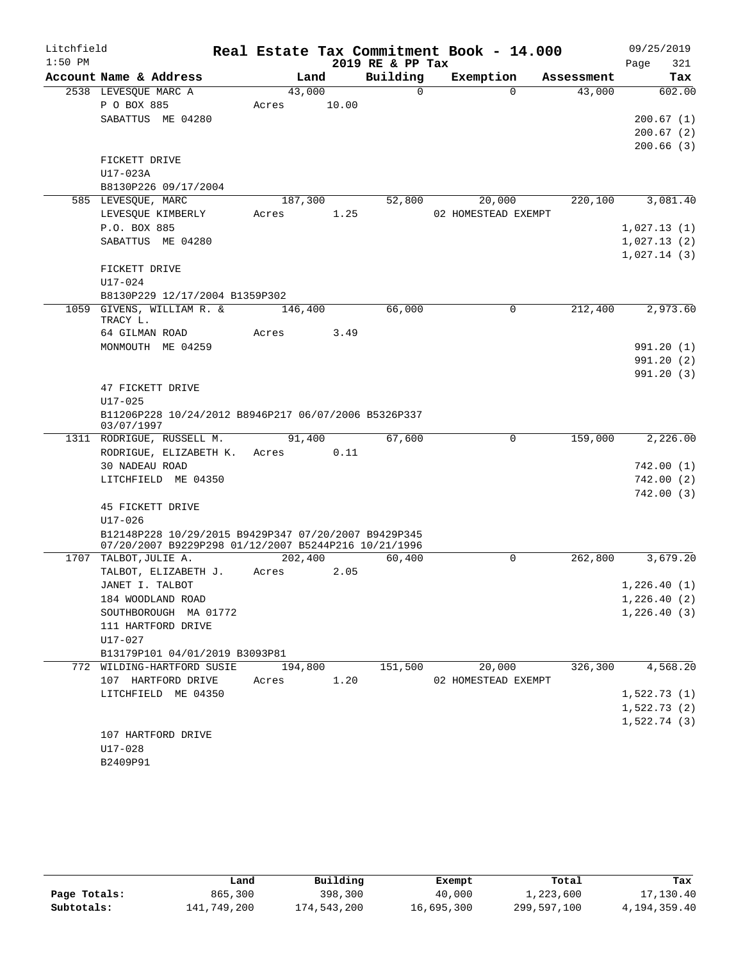| Litchfield |                                                              |         |         |       |                  | Real Estate Tax Commitment Book - 14.000 |          |            |      | 09/25/2019  |
|------------|--------------------------------------------------------------|---------|---------|-------|------------------|------------------------------------------|----------|------------|------|-------------|
| $1:50$ PM  |                                                              |         |         |       | 2019 RE & PP Tax |                                          |          |            | Page | 321         |
|            | Account Name & Address                                       |         | Land    |       | Building         | Exemption                                |          | Assessment |      | Tax         |
|            | 2538 LEVESQUE MARC A                                         |         | 43,000  |       | $\Omega$         |                                          | $\Omega$ | 43,000     |      | 602.00      |
|            | P O BOX 885                                                  | Acres   |         | 10.00 |                  |                                          |          |            |      |             |
|            | SABATTUS ME 04280                                            |         |         |       |                  |                                          |          |            |      | 200.67(1)   |
|            |                                                              |         |         |       |                  |                                          |          |            |      | 200.67(2)   |
|            |                                                              |         |         |       |                  |                                          |          |            |      | 200.66(3)   |
|            | FICKETT DRIVE<br>U17-023A                                    |         |         |       |                  |                                          |          |            |      |             |
|            | B8130P226 09/17/2004                                         |         |         |       |                  |                                          |          |            |      |             |
|            | 585 LEVESQUE, MARC                                           |         | 187,300 |       | 52,800           | 20,000                                   |          | 220,100    |      | 3,081.40    |
|            | LEVESQUE KIMBERLY                                            | Acres   |         | 1.25  |                  | 02 HOMESTEAD EXEMPT                      |          |            |      |             |
|            | P.O. BOX 885                                                 |         |         |       |                  |                                          |          |            |      | 1,027.13(1) |
|            | SABATTUS ME 04280                                            |         |         |       |                  |                                          |          |            |      | 1,027.13(2) |
|            |                                                              |         |         |       |                  |                                          |          |            |      | 1,027.14(3) |
|            | FICKETT DRIVE                                                |         |         |       |                  |                                          |          |            |      |             |
|            | U17-024                                                      |         |         |       |                  |                                          |          |            |      |             |
|            | B8130P229 12/17/2004 B1359P302                               |         |         |       |                  |                                          |          |            |      |             |
|            | 1059 GIVENS, WILLIAM R. &                                    |         | 146,400 |       | 66,000           |                                          | $\Omega$ | 212,400    |      | 2,973.60    |
|            | TRACY L.                                                     | Acres   |         |       |                  |                                          |          |            |      |             |
|            | 64 GILMAN ROAD<br>MONMOUTH ME 04259                          |         |         | 3.49  |                  |                                          |          |            |      | 991.20 (1)  |
|            |                                                              |         |         |       |                  |                                          |          |            |      | 991.20(2)   |
|            |                                                              |         |         |       |                  |                                          |          |            |      | 991.20(3)   |
|            | 47 FICKETT DRIVE                                             |         |         |       |                  |                                          |          |            |      |             |
|            | $U17 - 025$                                                  |         |         |       |                  |                                          |          |            |      |             |
|            | B11206P228 10/24/2012 B8946P217 06/07/2006 B5326P337         |         |         |       |                  |                                          |          |            |      |             |
|            | 03/07/1997                                                   |         |         |       |                  |                                          |          |            |      |             |
|            | 1311 RODRIGUE, RUSSELL M.                                    |         | 91,400  |       | 67,600           |                                          | 0        | 159,000    |      | 2,226.00    |
|            | RODRIGUE, ELIZABETH K.                                       | Acres   |         | 0.11  |                  |                                          |          |            |      |             |
|            | 30 NADEAU ROAD                                               |         |         |       |                  |                                          |          |            |      | 742.00(1)   |
|            | LITCHFIELD ME 04350                                          |         |         |       |                  |                                          |          |            |      | 742.00(2)   |
|            | 45 FICKETT DRIVE                                             |         |         |       |                  |                                          |          |            |      | 742.00(3)   |
|            | $U17 - 026$                                                  |         |         |       |                  |                                          |          |            |      |             |
|            | B12148P228 10/29/2015 B9429P347 07/20/2007 B9429P345         |         |         |       |                  |                                          |          |            |      |             |
|            | 07/20/2007 B9229P298 01/12/2007 B5244P216 10/21/1996         |         |         |       |                  |                                          |          |            |      |             |
|            | 1707 TALBOT, JULIE A.                                        |         | 202,400 |       | 60,400           |                                          | $\Omega$ | 262,800    |      | 3,679.20    |
|            | TALBOT, ELIZABETH J.                                         | Acres   |         | 2.05  |                  |                                          |          |            |      |             |
|            | JANET I. TALBOT                                              |         |         |       |                  |                                          |          |            |      | 1,226.40(1) |
|            | 184 WOODLAND ROAD                                            |         |         |       |                  |                                          |          |            |      | 1,226.40(2) |
|            | SOUTHBOROUGH MA 01772                                        |         |         |       |                  |                                          |          |            |      | 1,226.40(3) |
|            | 111 HARTFORD DRIVE                                           |         |         |       |                  |                                          |          |            |      |             |
|            | $U17 - 027$                                                  |         |         |       |                  |                                          |          |            |      |             |
|            | B13179P101 04/01/2019 B3093P81<br>772 WILDING-HARTFORD SUSIE | 194,800 |         |       | 151,500          | 20,000                                   |          | 326,300    |      | 4,568.20    |
|            | 107 HARTFORD DRIVE                                           | Acres   |         | 1.20  |                  | 02 HOMESTEAD EXEMPT                      |          |            |      |             |
|            | LITCHFIELD ME 04350                                          |         |         |       |                  |                                          |          |            |      | 1,522.73(1) |
|            |                                                              |         |         |       |                  |                                          |          |            |      | 1,522.73(2) |
|            |                                                              |         |         |       |                  |                                          |          |            |      | 1,522.74(3) |
|            | 107 HARTFORD DRIVE                                           |         |         |       |                  |                                          |          |            |      |             |
|            | U17-028                                                      |         |         |       |                  |                                          |          |            |      |             |
|            | B2409P91                                                     |         |         |       |                  |                                          |          |            |      |             |

|              | Land        | Building    | Exempt     | Total       | Tax          |
|--------------|-------------|-------------|------------|-------------|--------------|
| Page Totals: | 865,300     | 398,300     | 40,000     | 1,223,600   | 17,130.40    |
| Subtotals:   | 141,749,200 | 174,543,200 | 16,695,300 | 299,597,100 | 4,194,359.40 |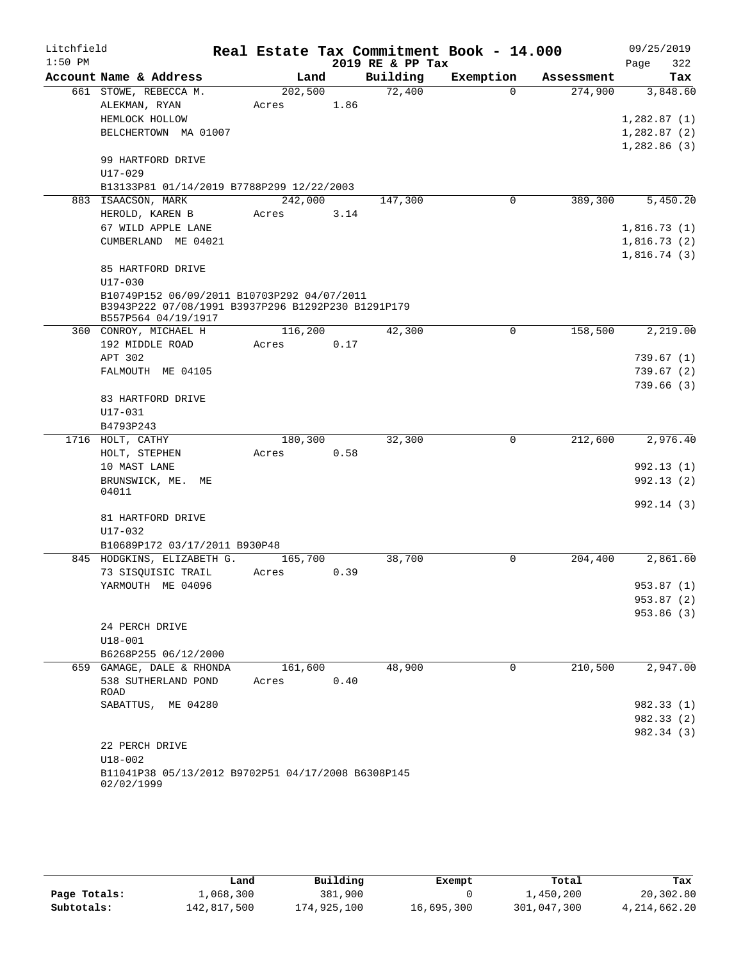| Litchfield |                                                                                                   |         |      |                  | Real Estate Tax Commitment Book - 14.000 |            | 09/25/2019              |
|------------|---------------------------------------------------------------------------------------------------|---------|------|------------------|------------------------------------------|------------|-------------------------|
| $1:50$ PM  |                                                                                                   |         |      | 2019 RE & PP Tax |                                          |            | 322<br>Page             |
|            | Account Name & Address                                                                            | Land    |      | Building         | Exemption                                | Assessment | Tax                     |
|            | 661 STOWE, REBECCA M.                                                                             | 202,500 |      | 72,400           | $\Omega$                                 | 274,900    | 3,848.60                |
|            | ALEKMAN, RYAN                                                                                     | Acres   | 1.86 |                  |                                          |            |                         |
|            | HEMLOCK HOLLOW                                                                                    |         |      |                  |                                          |            | 1,282.87(1)             |
|            | BELCHERTOWN MA 01007                                                                              |         |      |                  |                                          |            | 1,282.87(2)             |
|            |                                                                                                   |         |      |                  |                                          |            | 1,282.86(3)             |
|            | 99 HARTFORD DRIVE                                                                                 |         |      |                  |                                          |            |                         |
|            | U17-029                                                                                           |         |      |                  |                                          |            |                         |
|            | B13133P81 01/14/2019 B7788P299 12/22/2003                                                         |         |      |                  | 0                                        |            |                         |
|            | 883 ISAACSON, MARK                                                                                | 242,000 |      | 147,300          |                                          | 389,300    | 5,450.20                |
|            | HEROLD, KAREN B                                                                                   | Acres   | 3.14 |                  |                                          |            |                         |
|            | 67 WILD APPLE LANE                                                                                |         |      |                  |                                          |            | 1,816.73(1)             |
|            | CUMBERLAND ME 04021                                                                               |         |      |                  |                                          |            | 1,816.73(2)             |
|            |                                                                                                   |         |      |                  |                                          |            | 1,816.74(3)             |
|            | 85 HARTFORD DRIVE                                                                                 |         |      |                  |                                          |            |                         |
|            | U17-030                                                                                           |         |      |                  |                                          |            |                         |
|            | B10749P152 06/09/2011 B10703P292 04/07/2011<br>B3943P222 07/08/1991 B3937P296 B1292P230 B1291P179 |         |      |                  |                                          |            |                         |
|            | B557P564 04/19/1917                                                                               |         |      |                  |                                          |            |                         |
|            | 360 CONROY, MICHAEL H                                                                             | 116,200 |      | 42,300           | 0                                        | 158,500    | 2,219.00                |
|            | 192 MIDDLE ROAD                                                                                   | Acres   | 0.17 |                  |                                          |            |                         |
|            | APT 302                                                                                           |         |      |                  |                                          |            | 739.67(1)               |
|            | FALMOUTH ME 04105                                                                                 |         |      |                  |                                          |            | 739.67(2)               |
|            |                                                                                                   |         |      |                  |                                          |            | 739.66(3)               |
|            | 83 HARTFORD DRIVE                                                                                 |         |      |                  |                                          |            |                         |
|            | $U17 - 031$                                                                                       |         |      |                  |                                          |            |                         |
|            | B4793P243                                                                                         |         |      |                  |                                          |            |                         |
|            | 1716 HOLT, CATHY                                                                                  | 180,300 |      | 32,300           | 0                                        | 212,600    | 2,976.40                |
|            | HOLT, STEPHEN                                                                                     | Acres   | 0.58 |                  |                                          |            |                         |
|            | 10 MAST LANE                                                                                      |         |      |                  |                                          |            | 992.13(1)               |
|            | BRUNSWICK, ME.<br>МE                                                                              |         |      |                  |                                          |            | 992.13(2)               |
|            | 04011                                                                                             |         |      |                  |                                          |            |                         |
|            |                                                                                                   |         |      |                  |                                          |            | 992.14 (3)              |
|            | 81 HARTFORD DRIVE                                                                                 |         |      |                  |                                          |            |                         |
|            | U17-032                                                                                           |         |      |                  |                                          |            |                         |
|            | B10689P172 03/17/2011 B930P48                                                                     |         |      |                  |                                          |            |                         |
|            | 845 HODGKINS, ELIZABETH G.                                                                        | 165,700 |      | 38,700           | $\mathbf 0$                              | 204,400    | 2,861.60                |
|            | 73 SISOUISIC TRAIL                                                                                | Acres   | 0.39 |                  |                                          |            |                         |
|            | YARMOUTH ME 04096                                                                                 |         |      |                  |                                          |            | 953.87 (1)              |
|            |                                                                                                   |         |      |                  |                                          |            | 953.87(2)<br>953.86 (3) |
|            | 24 PERCH DRIVE                                                                                    |         |      |                  |                                          |            |                         |
|            | $U18 - 001$                                                                                       |         |      |                  |                                          |            |                         |
|            | B6268P255 06/12/2000                                                                              |         |      |                  |                                          |            |                         |
|            | 659 GAMAGE, DALE & RHONDA                                                                         | 161,600 |      | 48,900           | $\Omega$                                 | 210,500    | 2,947.00                |
|            | 538 SUTHERLAND POND                                                                               | Acres   | 0.40 |                  |                                          |            |                         |
|            | ROAD                                                                                              |         |      |                  |                                          |            |                         |
|            | SABATTUS, ME 04280                                                                                |         |      |                  |                                          |            | 982.33 (1)              |
|            |                                                                                                   |         |      |                  |                                          |            | 982.33 (2)              |
|            |                                                                                                   |         |      |                  |                                          |            | 982.34 (3)              |
|            | 22 PERCH DRIVE                                                                                    |         |      |                  |                                          |            |                         |
|            | $U18 - 002$                                                                                       |         |      |                  |                                          |            |                         |
|            | B11041P38 05/13/2012 B9702P51 04/17/2008 B6308P145                                                |         |      |                  |                                          |            |                         |
|            | 02/02/1999                                                                                        |         |      |                  |                                          |            |                         |

|              | Land        | Building    | Exempt     | Total       | Tax          |
|--------------|-------------|-------------|------------|-------------|--------------|
| Page Totals: | 1,068,300   | 381,900     |            | 1,450,200   | 20,302.80    |
| Subtotals:   | 142,817,500 | 174,925,100 | 16,695,300 | 301,047,300 | 4,214,662.20 |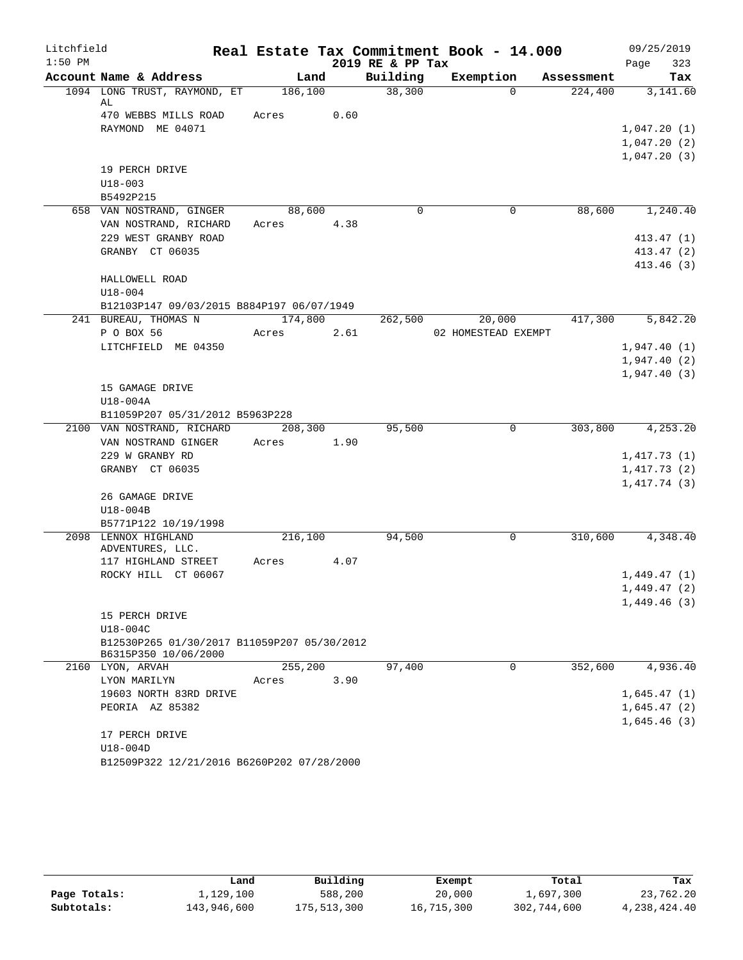| Litchfield |                                             |            |      |                  | Real Estate Tax Commitment Book - 14.000 |            | 09/25/2019       |
|------------|---------------------------------------------|------------|------|------------------|------------------------------------------|------------|------------------|
| $1:50$ PM  |                                             |            |      | 2019 RE & PP Tax |                                          |            | 323<br>Page      |
|            | Account Name & Address                      | Land       |      | Building         | Exemption                                | Assessment | Tax              |
|            | 1094 LONG TRUST, RAYMOND, ET<br>AL          | 186,100    |      | 38,300           | $\Omega$                                 | 224,400    | 3,141.60         |
|            | 470 WEBBS MILLS ROAD                        | Acres      | 0.60 |                  |                                          |            |                  |
|            | RAYMOND ME 04071                            |            |      |                  |                                          |            | 1,047.20(1)      |
|            |                                             |            |      |                  |                                          |            | 1,047.20(2)      |
|            |                                             |            |      |                  |                                          |            | 1,047.20(3)      |
|            | 19 PERCH DRIVE                              |            |      |                  |                                          |            |                  |
|            | $U18 - 003$                                 |            |      |                  |                                          |            |                  |
|            | B5492P215                                   |            |      |                  |                                          |            |                  |
|            | 658 VAN NOSTRAND, GINGER                    | 88,600     |      | $\Omega$         | $\overline{0}$                           |            | 88,600 1,240.40  |
|            | VAN NOSTRAND, RICHARD                       | Acres 4.38 |      |                  |                                          |            |                  |
|            | 229 WEST GRANBY ROAD                        |            |      |                  |                                          |            | 413.47 (1)       |
|            | GRANBY CT 06035                             |            |      |                  |                                          |            | 413.47 (2)       |
|            |                                             |            |      |                  |                                          |            | 413.46(3)        |
|            | HALLOWELL ROAD                              |            |      |                  |                                          |            |                  |
|            | $U18 - 004$                                 |            |      |                  |                                          |            |                  |
|            | B12103P147 09/03/2015 B884P197 06/07/1949   |            |      |                  |                                          |            |                  |
|            | 241 BUREAU, THOMAS N                        | 174,800    | 2.61 |                  | 262,500 20,000<br>02 HOMESTEAD EXEMPT    | 417,300    | 5,842.20         |
|            | P O BOX 56<br>LITCHFIELD ME 04350           | Acres      |      |                  |                                          |            | 1,947.40(1)      |
|            |                                             |            |      |                  |                                          |            | 1,947.40(2)      |
|            |                                             |            |      |                  |                                          |            | 1,947.40(3)      |
|            | 15 GAMAGE DRIVE                             |            |      |                  |                                          |            |                  |
|            | U18-004A                                    |            |      |                  |                                          |            |                  |
|            | B11059P207 05/31/2012 B5963P228             |            |      |                  |                                          |            |                  |
|            | 2100 VAN NOSTRAND, RICHARD 208,300          |            |      | 95,500           | $\Omega$                                 |            | 303,800 4,253.20 |
|            | VAN NOSTRAND GINGER                         | Acres 1.90 |      |                  |                                          |            |                  |
|            | 229 W GRANBY RD                             |            |      |                  |                                          |            | 1,417.73(1)      |
|            | GRANBY CT 06035                             |            |      |                  |                                          |            | 1,417.73(2)      |
|            |                                             |            |      |                  |                                          |            | 1,417.74(3)      |
|            | 26 GAMAGE DRIVE                             |            |      |                  |                                          |            |                  |
|            | U18-004B                                    |            |      |                  |                                          |            |                  |
|            | B5771P122 10/19/1998                        |            |      |                  |                                          |            |                  |
|            | 2098 LENNOX HIGHLAND                        | 216,100    |      | 94,500           | $\mathbf 0$                              | 310,600    | 4,348.40         |
|            | ADVENTURES, LLC.<br>117 HIGHLAND STREET     | Acres 4.07 |      |                  |                                          |            |                  |
|            | ROCKY HILL CT 06067                         |            |      |                  |                                          |            | 1,449.47(1)      |
|            |                                             |            |      |                  |                                          |            | 1,449.47(2)      |
|            |                                             |            |      |                  |                                          |            | 1,449.46(3)      |
|            | 15 PERCH DRIVE                              |            |      |                  |                                          |            |                  |
|            | U18-004C                                    |            |      |                  |                                          |            |                  |
|            | B12530P265 01/30/2017 B11059P207 05/30/2012 |            |      |                  |                                          |            |                  |
|            | B6315P350 10/06/2000                        |            |      |                  |                                          |            |                  |
|            | 2160 LYON, ARVAH                            | 255,200    |      | 97,400           | $\Omega$                                 | 352,600    | 4,936.40         |
|            | LYON MARILYN                                | Acres      | 3.90 |                  |                                          |            |                  |
|            | 19603 NORTH 83RD DRIVE                      |            |      |                  |                                          |            | 1,645.47(1)      |
|            | PEORIA AZ 85382                             |            |      |                  |                                          |            | 1,645.47(2)      |
|            |                                             |            |      |                  |                                          |            | 1,645.46(3)      |
|            | 17 PERCH DRIVE                              |            |      |                  |                                          |            |                  |
|            | U18-004D                                    |            |      |                  |                                          |            |                  |
|            | B12509P322 12/21/2016 B6260P202 07/28/2000  |            |      |                  |                                          |            |                  |

|              | Land        | Building    | Exempt     | Total       | Tax          |
|--------------|-------------|-------------|------------|-------------|--------------|
| Page Totals: | 1,129,100   | 588,200     | 20,000     | 1,697,300   | 23,762.20    |
| Subtotals:   | 143,946,600 | 175,513,300 | 16,715,300 | 302,744,600 | 4,238,424.40 |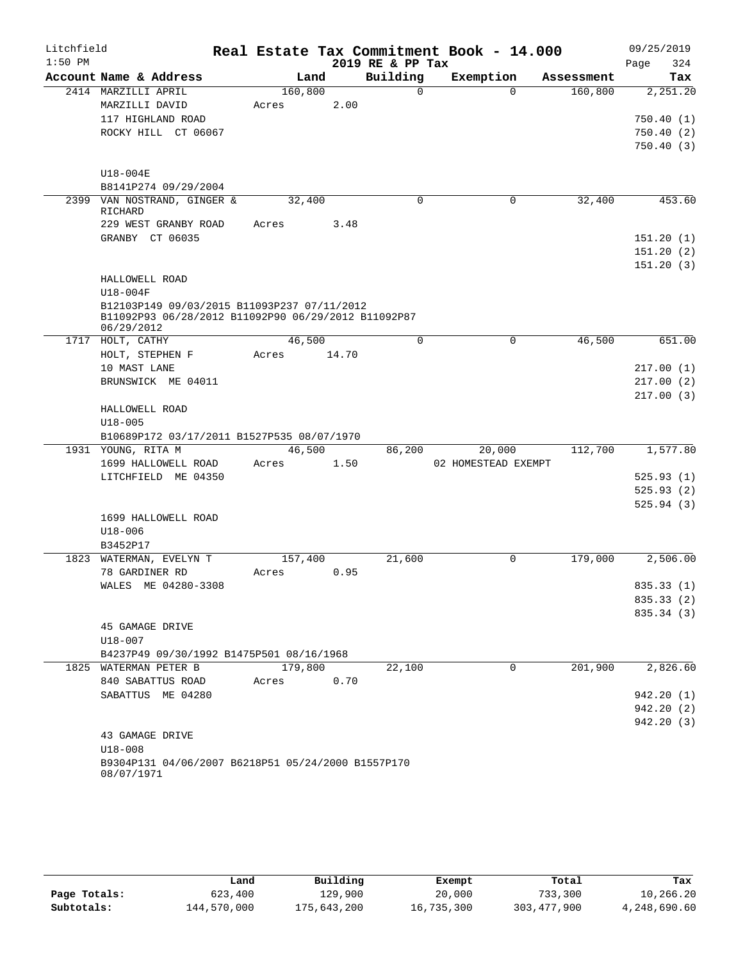| Litchfield |                                                                                                    |       |         |       |                  | Real Estate Tax Commitment Book - 14.000 |            | 09/25/2019  |
|------------|----------------------------------------------------------------------------------------------------|-------|---------|-------|------------------|------------------------------------------|------------|-------------|
| $1:50$ PM  |                                                                                                    |       |         |       | 2019 RE & PP Tax |                                          |            | 324<br>Page |
|            | Account Name & Address                                                                             |       | Land    |       | Building         | Exemption                                | Assessment | Tax         |
|            | 2414 MARZILLI APRIL                                                                                |       | 160,800 |       | $\Omega$         | $\Omega$                                 | 160,800    | 2,251.20    |
|            | MARZILLI DAVID                                                                                     | Acres |         | 2.00  |                  |                                          |            |             |
|            | 117 HIGHLAND ROAD                                                                                  |       |         |       |                  |                                          |            | 750.40(1)   |
|            | ROCKY HILL CT 06067                                                                                |       |         |       |                  |                                          |            | 750.40(2)   |
|            |                                                                                                    |       |         |       |                  |                                          |            | 750.40(3)   |
|            |                                                                                                    |       |         |       |                  |                                          |            |             |
|            | U18-004E                                                                                           |       |         |       |                  |                                          |            |             |
|            | B8141P274 09/29/2004                                                                               |       |         |       |                  |                                          |            |             |
|            | 2399 VAN NOSTRAND, GINGER &                                                                        |       | 32,400  |       | $\mathbf 0$      | 0                                        | 32,400     | 453.60      |
|            | RICHARD                                                                                            |       |         |       |                  |                                          |            |             |
|            | 229 WEST GRANBY ROAD                                                                               | Acres |         | 3.48  |                  |                                          |            |             |
|            | GRANBY CT 06035                                                                                    |       |         |       |                  |                                          |            | 151.20(1)   |
|            |                                                                                                    |       |         |       |                  |                                          |            | 151.20(2)   |
|            |                                                                                                    |       |         |       |                  |                                          |            | 151.20(3)   |
|            | HALLOWELL ROAD                                                                                     |       |         |       |                  |                                          |            |             |
|            | U18-004F                                                                                           |       |         |       |                  |                                          |            |             |
|            | B12103P149 09/03/2015 B11093P237 07/11/2012<br>B11092P93 06/28/2012 B11092P90 06/29/2012 B11092P87 |       |         |       |                  |                                          |            |             |
|            | 06/29/2012                                                                                         |       |         |       |                  |                                          |            |             |
|            | 1717 HOLT, CATHY                                                                                   |       | 46,500  |       | $\Omega$         | $\Omega$                                 | 46,500     | 651.00      |
|            | HOLT, STEPHEN F                                                                                    | Acres |         | 14.70 |                  |                                          |            |             |
|            | 10 MAST LANE                                                                                       |       |         |       |                  |                                          |            | 217.00(1)   |
|            | BRUNSWICK ME 04011                                                                                 |       |         |       |                  |                                          |            | 217.00(2)   |
|            |                                                                                                    |       |         |       |                  |                                          |            | 217.00(3)   |
|            | HALLOWELL ROAD                                                                                     |       |         |       |                  |                                          |            |             |
|            | $U18 - 005$                                                                                        |       |         |       |                  |                                          |            |             |
|            | B10689P172 03/17/2011 B1527P535 08/07/1970                                                         |       |         |       |                  |                                          |            |             |
|            | 1931 YOUNG, RITA M                                                                                 |       | 46,500  |       | 86,200           | 20,000                                   | 112,700    | 1,577.80    |
|            | 1699 HALLOWELL ROAD                                                                                | Acres |         | 1.50  |                  | 02 HOMESTEAD EXEMPT                      |            |             |
|            | LITCHFIELD ME 04350                                                                                |       |         |       |                  |                                          |            | 525.93(1)   |
|            |                                                                                                    |       |         |       |                  |                                          |            | 525.93(2)   |
|            |                                                                                                    |       |         |       |                  |                                          |            | 525.94(3)   |
|            | 1699 HALLOWELL ROAD                                                                                |       |         |       |                  |                                          |            |             |
|            | $U18 - 006$                                                                                        |       |         |       |                  |                                          |            |             |
|            | B3452P17                                                                                           |       |         |       |                  |                                          |            |             |
|            | 1823 WATERMAN, EVELYN T                                                                            |       | 157,400 |       | 21,600           | $\mathbf 0$                              | 179,000    | 2,506.00    |
|            | 78 GARDINER RD                                                                                     | Acres |         | 0.95  |                  |                                          |            |             |
|            | WALES ME 04280-3308                                                                                |       |         |       |                  |                                          |            | 835.33 (1)  |
|            |                                                                                                    |       |         |       |                  |                                          |            | 835.33 (2)  |
|            |                                                                                                    |       |         |       |                  |                                          |            | 835.34 (3)  |
|            | 45 GAMAGE DRIVE                                                                                    |       |         |       |                  |                                          |            |             |
|            | $U18 - 007$                                                                                        |       |         |       |                  |                                          |            |             |
|            | B4237P49 09/30/1992 B1475P501 08/16/1968                                                           |       |         |       |                  |                                          |            |             |
|            | 1825 WATERMAN PETER B                                                                              |       | 179,800 |       | 22,100           | $\mathbf 0$                              | 201,900    | 2,826.60    |
|            | 840 SABATTUS ROAD                                                                                  | Acres |         | 0.70  |                  |                                          |            |             |
|            | SABATTUS ME 04280                                                                                  |       |         |       |                  |                                          |            | 942.20 (1)  |
|            |                                                                                                    |       |         |       |                  |                                          |            | 942.20(2)   |
|            |                                                                                                    |       |         |       |                  |                                          |            | 942.20(3)   |
|            | 43 GAMAGE DRIVE                                                                                    |       |         |       |                  |                                          |            |             |
|            | $U18 - 008$                                                                                        |       |         |       |                  |                                          |            |             |
|            | B9304P131 04/06/2007 B6218P51 05/24/2000 B1557P170<br>08/07/1971                                   |       |         |       |                  |                                          |            |             |

|              | Land        | Building    | Exempt     | Total         | Tax          |
|--------------|-------------|-------------|------------|---------------|--------------|
| Page Totals: | 623,400     | 129,900     | 20,000     | 733,300       | 10,266.20    |
| Subtotals:   | 144,570,000 | 175,643,200 | 16,735,300 | 303, 477, 900 | 4,248,690.60 |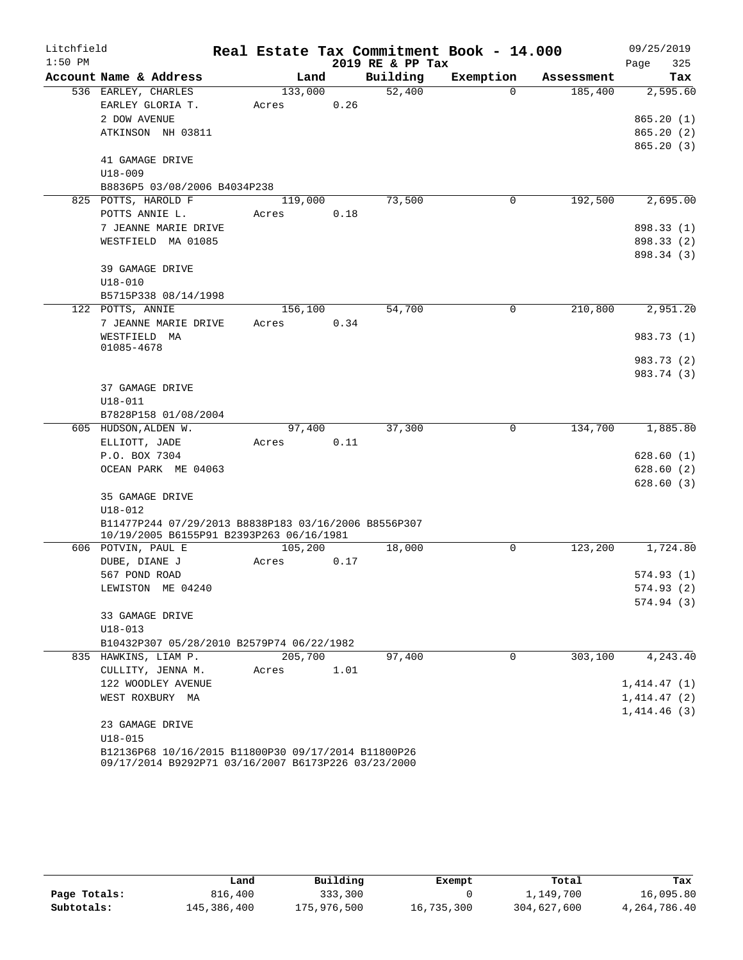| Litchfield |                                                      |         |      |      |                  | Real Estate Tax Commitment Book - 14.000 |            | 09/25/2019  |
|------------|------------------------------------------------------|---------|------|------|------------------|------------------------------------------|------------|-------------|
| $1:50$ PM  |                                                      |         |      |      | 2019 RE & PP Tax |                                          |            | 325<br>Page |
|            | Account Name & Address                               |         | Land |      | Building         | Exemption                                | Assessment | Tax         |
|            | 536 EARLEY, CHARLES                                  | 133,000 |      |      | 52,400           | $\Omega$                                 | 185,400    | 2,595.60    |
|            | EARLEY GLORIA T.                                     | Acres   |      | 0.26 |                  |                                          |            |             |
|            | 2 DOW AVENUE                                         |         |      |      |                  |                                          |            | 865.20(1)   |
|            | ATKINSON NH 03811                                    |         |      |      |                  |                                          |            | 865.20(2)   |
|            |                                                      |         |      |      |                  |                                          |            | 865.20(3)   |
|            | 41 GAMAGE DRIVE                                      |         |      |      |                  |                                          |            |             |
|            | $U18 - 009$                                          |         |      |      |                  |                                          |            |             |
|            | B8836P5 03/08/2006 B4034P238                         |         |      |      |                  |                                          |            |             |
|            | 825 POTTS, HAROLD F                                  | 119,000 |      |      | 73,500           | 0                                        | 192,500    | 2,695.00    |
|            | POTTS ANNIE L.                                       | Acres   |      | 0.18 |                  |                                          |            |             |
|            | 7 JEANNE MARIE DRIVE                                 |         |      |      |                  |                                          |            | 898.33 (1)  |
|            | WESTFIELD MA 01085                                   |         |      |      |                  |                                          |            | 898.33 (2)  |
|            |                                                      |         |      |      |                  |                                          |            | 898.34 (3)  |
|            | 39 GAMAGE DRIVE                                      |         |      |      |                  |                                          |            |             |
|            | $U18 - 010$                                          |         |      |      |                  |                                          |            |             |
|            | B5715P338 08/14/1998                                 |         |      |      |                  |                                          |            |             |
|            | 122 POTTS, ANNIE                                     | 156,100 |      |      | 54,700           | 0                                        | 210,800    | 2,951.20    |
|            | 7 JEANNE MARIE DRIVE                                 | Acres   |      | 0.34 |                  |                                          |            |             |
|            | WESTFIELD MA                                         |         |      |      |                  |                                          |            | 983.73 (1)  |
|            | 01085-4678                                           |         |      |      |                  |                                          |            |             |
|            |                                                      |         |      |      |                  |                                          |            | 983.73 (2)  |
|            |                                                      |         |      |      |                  |                                          |            | 983.74 (3)  |
|            | 37 GAMAGE DRIVE                                      |         |      |      |                  |                                          |            |             |
|            | U18-011                                              |         |      |      |                  |                                          |            |             |
|            | B7828P158 01/08/2004<br>605 HUDSON, ALDEN W.         | 97,400  |      |      | 37,300           | 0                                        | 134,700    | 1,885.80    |
|            | ELLIOTT, JADE                                        | Acres   |      | 0.11 |                  |                                          |            |             |
|            | P.O. BOX 7304                                        |         |      |      |                  |                                          |            | 628.60(1)   |
|            | OCEAN PARK ME 04063                                  |         |      |      |                  |                                          |            | 628.60(2)   |
|            |                                                      |         |      |      |                  |                                          |            | 628.60(3)   |
|            | 35 GAMAGE DRIVE                                      |         |      |      |                  |                                          |            |             |
|            | U18-012                                              |         |      |      |                  |                                          |            |             |
|            | B11477P244 07/29/2013 B8838P183 03/16/2006 B8556P307 |         |      |      |                  |                                          |            |             |
|            | 10/19/2005 B6155P91 B2393P263 06/16/1981             |         |      |      |                  |                                          |            |             |
|            | 606 POTVIN, PAUL E                                   | 105,200 |      |      | 18,000           | 0                                        | 123,200    | 1,724.80    |
|            | DUBE, DIANE J                                        | Acres   |      | 0.17 |                  |                                          |            |             |
|            | 567 POND ROAD                                        |         |      |      |                  |                                          |            | 574.93(1)   |
|            | LEWISTON ME 04240                                    |         |      |      |                  |                                          |            | 574.93(2)   |
|            |                                                      |         |      |      |                  |                                          |            | 574.94(3)   |
|            | 33 GAMAGE DRIVE                                      |         |      |      |                  |                                          |            |             |
|            | $U18 - 013$                                          |         |      |      |                  |                                          |            |             |
|            | B10432P307 05/28/2010 B2579P74 06/22/1982            |         |      |      |                  |                                          |            |             |
|            | 835 HAWKINS, LIAM P.                                 | 205,700 |      |      | 97,400           | 0                                        | 303,100    | 4,243.40    |
|            | CULLITY, JENNA M.                                    | Acres   |      | 1.01 |                  |                                          |            |             |
|            | 122 WOODLEY AVENUE                                   |         |      |      |                  |                                          |            | 1,414.47(1) |
|            | WEST ROXBURY MA                                      |         |      |      |                  |                                          |            | 1,414.47(2) |
|            |                                                      |         |      |      |                  |                                          |            | 1,414.46(3) |
|            | 23 GAMAGE DRIVE                                      |         |      |      |                  |                                          |            |             |
|            | $U18 - 015$                                          |         |      |      |                  |                                          |            |             |
|            | B12136P68 10/16/2015 B11800P30 09/17/2014 B11800P26  |         |      |      |                  |                                          |            |             |
|            | 09/17/2014 B9292P71 03/16/2007 B6173P226 03/23/2000  |         |      |      |                  |                                          |            |             |

|              | Land        | Building    | Exempt     | Total       | Tax          |
|--------------|-------------|-------------|------------|-------------|--------------|
| Page Totals: | 816,400     | 333,300     |            | 1,149,700   | 16,095.80    |
| Subtotals:   | 145,386,400 | 175,976,500 | 16,735,300 | 304,627,600 | 4,264,786.40 |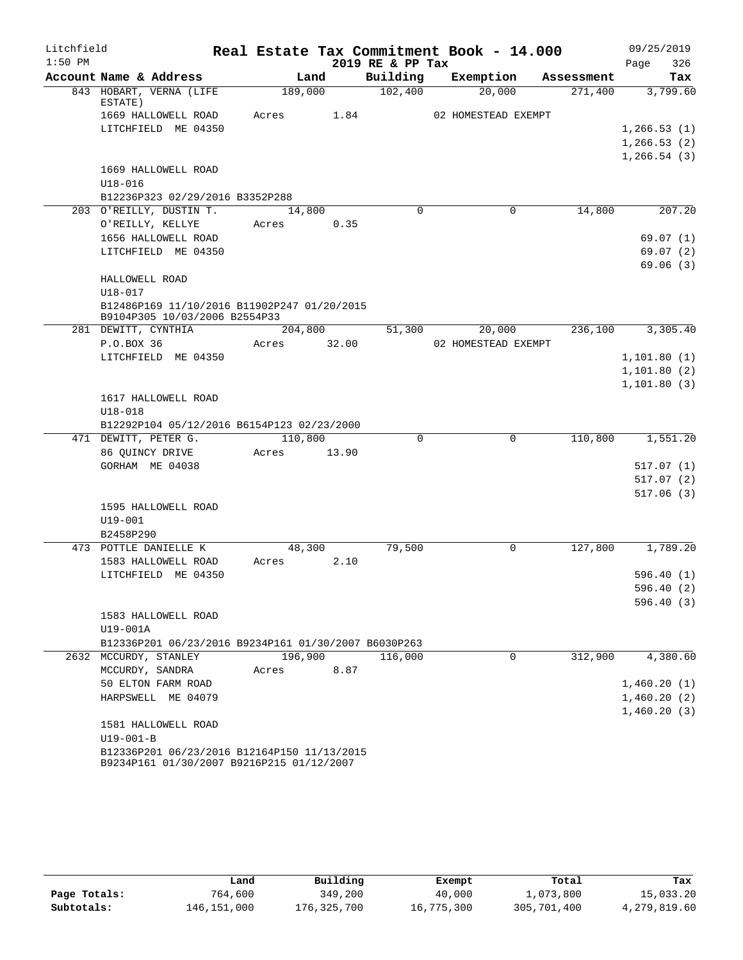| Litchfield |                                                                                          |         |       |                  | Real Estate Tax Commitment Book - 14.000 |            | 09/25/2019   |
|------------|------------------------------------------------------------------------------------------|---------|-------|------------------|------------------------------------------|------------|--------------|
| $1:50$ PM  |                                                                                          |         |       | 2019 RE & PP Tax |                                          |            | 326<br>Page  |
|            | Account Name & Address                                                                   | Land    |       | Building         | Exemption                                | Assessment | Tax          |
|            | 843 HOBART, VERNA (LIFE<br>ESTATE)                                                       | 189,000 |       | 102,400          | 20,000                                   | 271,400    | 3,799.60     |
|            | 1669 HALLOWELL ROAD                                                                      | Acres   | 1.84  |                  | 02 HOMESTEAD EXEMPT                      |            |              |
|            | LITCHFIELD ME 04350                                                                      |         |       |                  |                                          |            | 1, 266.53(1) |
|            |                                                                                          |         |       |                  |                                          |            | 1, 266.53(2) |
|            |                                                                                          |         |       |                  |                                          |            | 1, 266.54(3) |
|            | 1669 HALLOWELL ROAD                                                                      |         |       |                  |                                          |            |              |
|            | $U18 - 016$                                                                              |         |       |                  |                                          |            |              |
|            | B12236P323 02/29/2016 B3352P288                                                          |         |       |                  |                                          |            |              |
|            | 203 O'REILLY, DUSTIN T.                                                                  | 14,800  |       | $\Omega$         | 0                                        | 14,800     | 207.20       |
|            | O'REILLY, KELLYE                                                                         | Acres   | 0.35  |                  |                                          |            |              |
|            | 1656 HALLOWELL ROAD                                                                      |         |       |                  |                                          |            |              |
|            |                                                                                          |         |       |                  |                                          |            | 69.07(1)     |
|            | LITCHFIELD ME 04350                                                                      |         |       |                  |                                          |            | 69.07(2)     |
|            |                                                                                          |         |       |                  |                                          |            | 69.06(3)     |
|            | HALLOWELL ROAD                                                                           |         |       |                  |                                          |            |              |
|            | $U18 - 017$                                                                              |         |       |                  |                                          |            |              |
|            | B12486P169 11/10/2016 B11902P247 01/20/2015<br>B9104P305 10/03/2006 B2554P33             |         |       |                  |                                          |            |              |
|            | 281 DEWITT, CYNTHIA                                                                      | 204,800 |       | 51,300           | 20,000                                   | 236,100    | 3,305.40     |
|            | P.O.BOX 36                                                                               | Acres   | 32.00 |                  | 02 HOMESTEAD EXEMPT                      |            |              |
|            | LITCHFIELD ME 04350                                                                      |         |       |                  |                                          |            | 1, 101.80(1) |
|            |                                                                                          |         |       |                  |                                          |            | 1, 101.80(2) |
|            |                                                                                          |         |       |                  |                                          |            | 1, 101.80(3) |
|            | 1617 HALLOWELL ROAD                                                                      |         |       |                  |                                          |            |              |
|            | $U18 - 018$                                                                              |         |       |                  |                                          |            |              |
|            |                                                                                          |         |       |                  |                                          |            |              |
|            | B12292P104 05/12/2016 B6154P123 02/23/2000<br>471 DEWITT, PETER G.                       | 110,800 |       | $\Omega$         | 0                                        | 110,800    | 1,551.20     |
|            | 86 QUINCY DRIVE                                                                          |         |       |                  |                                          |            |              |
|            |                                                                                          | Acres   | 13.90 |                  |                                          |            |              |
|            | GORHAM ME 04038                                                                          |         |       |                  |                                          |            | 517.07(1)    |
|            |                                                                                          |         |       |                  |                                          |            | 517.07(2)    |
|            |                                                                                          |         |       |                  |                                          |            | 517.06(3)    |
|            | 1595 HALLOWELL ROAD                                                                      |         |       |                  |                                          |            |              |
|            | $U19 - 001$                                                                              |         |       |                  |                                          |            |              |
|            | B2458P290                                                                                |         |       |                  |                                          | 127,800    | 1,789.20     |
|            | 473 POTTLE DANIELLE K                                                                    | 48,300  |       | 79,500           | 0                                        |            |              |
|            | 1583 HALLOWELL ROAD                                                                      | Acres   | 2.10  |                  |                                          |            |              |
|            | LITCHFIELD ME 04350                                                                      |         |       |                  |                                          |            | 596.40(1)    |
|            |                                                                                          |         |       |                  |                                          |            | 596.40 (2)   |
|            |                                                                                          |         |       |                  |                                          |            | 596.40(3)    |
|            | 1583 HALLOWELL ROAD                                                                      |         |       |                  |                                          |            |              |
|            | $U19-001A$                                                                               |         |       |                  |                                          |            |              |
|            | B12336P201 06/23/2016 B9234P161 01/30/2007 B6030P263                                     |         |       |                  |                                          |            |              |
|            | 2632 MCCURDY, STANLEY                                                                    | 196,900 |       | 116,000          | 0                                        | 312,900    | 4,380.60     |
|            | MCCURDY, SANDRA                                                                          | Acres   | 8.87  |                  |                                          |            |              |
|            | 50 ELTON FARM ROAD                                                                       |         |       |                  |                                          |            | 1,460.20(1)  |
|            | HARPSWELL ME 04079                                                                       |         |       |                  |                                          |            | 1,460.20(2)  |
|            |                                                                                          |         |       |                  |                                          |            | 1,460.20(3)  |
|            | 1581 HALLOWELL ROAD                                                                      |         |       |                  |                                          |            |              |
|            | $U19 - 001 - B$                                                                          |         |       |                  |                                          |            |              |
|            | B12336P201 06/23/2016 B12164P150 11/13/2015<br>B9234P161 01/30/2007 B9216P215 01/12/2007 |         |       |                  |                                          |            |              |

|              | Land        | Building    | Exempt     | Total       | Tax          |
|--------------|-------------|-------------|------------|-------------|--------------|
| Page Totals: | 764,600     | 349,200     | 40,000     | 1,073,800   | 15,033.20    |
| Subtotals:   | 146,151,000 | 176,325,700 | 16,775,300 | 305,701,400 | 4,279,819.60 |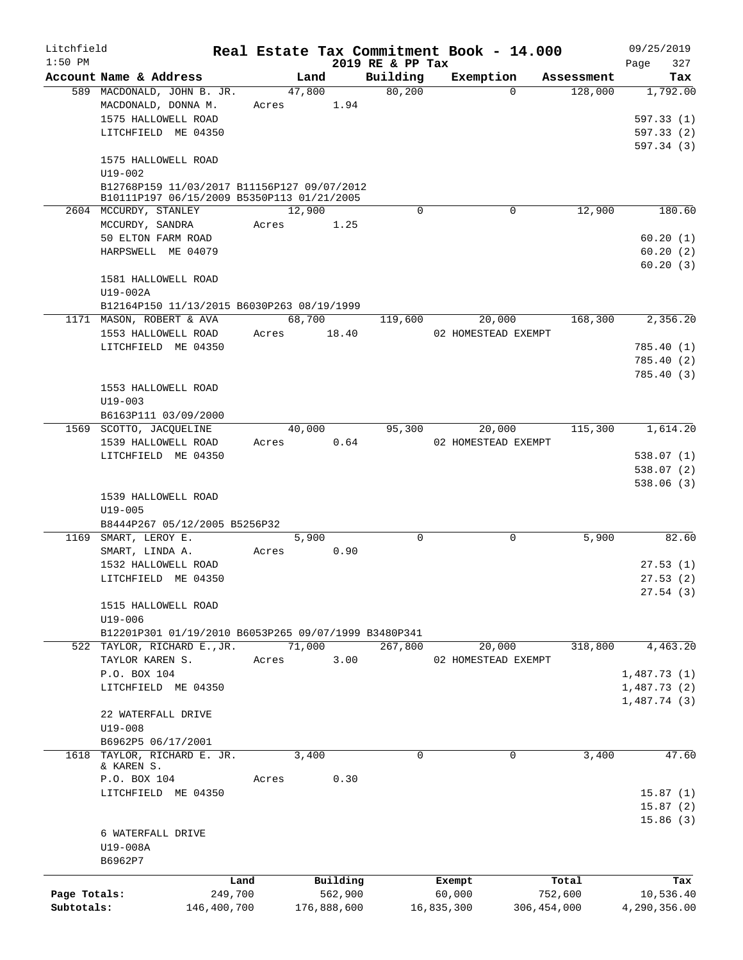| Litchfield                 |                                                                                           |                        |       |                        |                              | Real Estate Tax Commitment Book - 14.000 |                          | 09/25/2019                |
|----------------------------|-------------------------------------------------------------------------------------------|------------------------|-------|------------------------|------------------------------|------------------------------------------|--------------------------|---------------------------|
| $1:50$ PM                  | Account Name & Address                                                                    |                        |       | Land                   | 2019 RE & PP Tax<br>Building | Exemption                                | Assessment               | 327<br>Page<br>Tax        |
|                            | 589 MACDONALD, JOHN B. JR.                                                                |                        |       | 47,800                 | 80,200                       | $\Omega$                                 | 128,000                  | 1,792.00                  |
|                            | MACDONALD, DONNA M.                                                                       |                        | Acres | 1.94                   |                              |                                          |                          |                           |
|                            | 1575 HALLOWELL ROAD                                                                       |                        |       |                        |                              |                                          |                          | 597.33 (1)                |
|                            | LITCHFIELD ME 04350                                                                       |                        |       |                        |                              |                                          |                          | 597.33(2)                 |
|                            |                                                                                           |                        |       |                        |                              |                                          |                          | 597.34 (3)                |
|                            | 1575 HALLOWELL ROAD                                                                       |                        |       |                        |                              |                                          |                          |                           |
|                            | $U19 - 002$                                                                               |                        |       |                        |                              |                                          |                          |                           |
|                            | B12768P159 11/03/2017 B11156P127 09/07/2012<br>B10111P197 06/15/2009 B5350P113 01/21/2005 |                        |       |                        |                              |                                          |                          |                           |
|                            | 2604 MCCURDY, STANLEY                                                                     |                        |       | 12,900                 | $\Omega$                     | $\mathbf 0$                              | 12,900                   | 180.60                    |
|                            | MCCURDY, SANDRA                                                                           |                        | Acres | 1.25                   |                              |                                          |                          |                           |
|                            | 50 ELTON FARM ROAD                                                                        |                        |       |                        |                              |                                          |                          | 60.20(1)                  |
|                            | HARPSWELL ME 04079                                                                        |                        |       |                        |                              |                                          |                          | 60.20(2)                  |
|                            |                                                                                           |                        |       |                        |                              |                                          |                          | 60.20(3)                  |
|                            | 1581 HALLOWELL ROAD                                                                       |                        |       |                        |                              |                                          |                          |                           |
|                            | U19-002A                                                                                  |                        |       |                        |                              |                                          |                          |                           |
|                            | B12164P150 11/13/2015 B6030P263 08/19/1999                                                |                        |       |                        |                              |                                          |                          |                           |
|                            | 1171 MASON, ROBERT & AVA                                                                  |                        |       | 68,700                 | 119,600                      | 20,000                                   | 168,300                  | 2,356.20                  |
|                            | 1553 HALLOWELL ROAD                                                                       |                        | Acres | 18.40                  |                              | 02 HOMESTEAD EXEMPT                      |                          |                           |
|                            | LITCHFIELD ME 04350                                                                       |                        |       |                        |                              |                                          |                          | 785.40(1)                 |
|                            |                                                                                           |                        |       |                        |                              |                                          |                          | 785.40 (2)<br>785.40(3)   |
|                            | 1553 HALLOWELL ROAD                                                                       |                        |       |                        |                              |                                          |                          |                           |
|                            | $U19 - 003$                                                                               |                        |       |                        |                              |                                          |                          |                           |
|                            | B6163P111 03/09/2000                                                                      |                        |       |                        |                              |                                          |                          |                           |
|                            | 1569 SCOTTO, JACQUELINE                                                                   |                        |       | 40,000                 | 95,300                       | 20,000                                   | 115,300                  | 1,614.20                  |
|                            | 1539 HALLOWELL ROAD                                                                       |                        | Acres | 0.64                   |                              | 02 HOMESTEAD EXEMPT                      |                          |                           |
|                            | LITCHFIELD ME 04350                                                                       |                        |       |                        |                              |                                          |                          | 538.07 (1)                |
|                            |                                                                                           |                        |       |                        |                              |                                          |                          | 538.07 (2)                |
|                            |                                                                                           |                        |       |                        |                              |                                          |                          | 538.06(3)                 |
|                            | 1539 HALLOWELL ROAD                                                                       |                        |       |                        |                              |                                          |                          |                           |
|                            | $U19 - 005$                                                                               |                        |       |                        |                              |                                          |                          |                           |
|                            | B8444P267 05/12/2005 B5256P32<br>1169 SMART, LEROY E.                                     |                        |       | 5,900                  | $\Omega$                     | $\mathbf 0$                              | 5,900                    | 82.60                     |
|                            | SMART, LINDA A.                                                                           |                        | Acres | 0.90                   |                              |                                          |                          |                           |
|                            | 1532 HALLOWELL ROAD                                                                       |                        |       |                        |                              |                                          |                          | 27.53(1)                  |
|                            | LITCHFIELD ME 04350                                                                       |                        |       |                        |                              |                                          |                          | 27.53(2)                  |
|                            |                                                                                           |                        |       |                        |                              |                                          |                          | 27.54(3)                  |
|                            | 1515 HALLOWELL ROAD                                                                       |                        |       |                        |                              |                                          |                          |                           |
|                            | U19-006                                                                                   |                        |       |                        |                              |                                          |                          |                           |
|                            | B12201P301 01/19/2010 B6053P265 09/07/1999 B3480P341                                      |                        |       |                        |                              |                                          |                          |                           |
|                            | 522 TAYLOR, RICHARD E., JR.                                                               |                        |       | 71,000                 | 267,800                      | 20,000                                   | 318,800                  | 4,463.20                  |
|                            | TAYLOR KAREN S.                                                                           |                        | Acres | 3.00                   |                              | 02 HOMESTEAD EXEMPT                      |                          |                           |
|                            | P.O. BOX 104                                                                              |                        |       |                        |                              |                                          |                          | 1,487.73(1)               |
|                            | LITCHFIELD ME 04350                                                                       |                        |       |                        |                              |                                          |                          | 1,487.73(2)               |
|                            | 22 WATERFALL DRIVE                                                                        |                        |       |                        |                              |                                          |                          | 1,487.74(3)               |
|                            | $U19 - 008$                                                                               |                        |       |                        |                              |                                          |                          |                           |
|                            | B6962P5 06/17/2001                                                                        |                        |       |                        |                              |                                          |                          |                           |
|                            | 1618 TAYLOR, RICHARD E. JR.                                                               |                        |       | 3,400                  | $\Omega$                     | 0                                        | 3,400                    | 47.60                     |
|                            | & KAREN S.                                                                                |                        |       |                        |                              |                                          |                          |                           |
|                            | P.O. BOX 104                                                                              |                        | Acres | 0.30                   |                              |                                          |                          |                           |
|                            | LITCHFIELD ME 04350                                                                       |                        |       |                        |                              |                                          |                          | 15.87(1)                  |
|                            |                                                                                           |                        |       |                        |                              |                                          |                          | 15.87(2)                  |
|                            |                                                                                           |                        |       |                        |                              |                                          |                          | 15.86(3)                  |
|                            | 6 WATERFALL DRIVE<br>U19-008A                                                             |                        |       |                        |                              |                                          |                          |                           |
|                            | B6962P7                                                                                   |                        |       |                        |                              |                                          |                          |                           |
|                            |                                                                                           |                        |       |                        |                              |                                          |                          |                           |
|                            |                                                                                           | Land                   |       | Building               |                              | Exempt                                   | Total                    | Tax                       |
| Page Totals:<br>Subtotals: |                                                                                           | 249,700<br>146,400,700 |       | 562,900<br>176,888,600 |                              | 60,000<br>16,835,300                     | 752,600<br>306, 454, 000 | 10,536.40<br>4,290,356.00 |
|                            |                                                                                           |                        |       |                        |                              |                                          |                          |                           |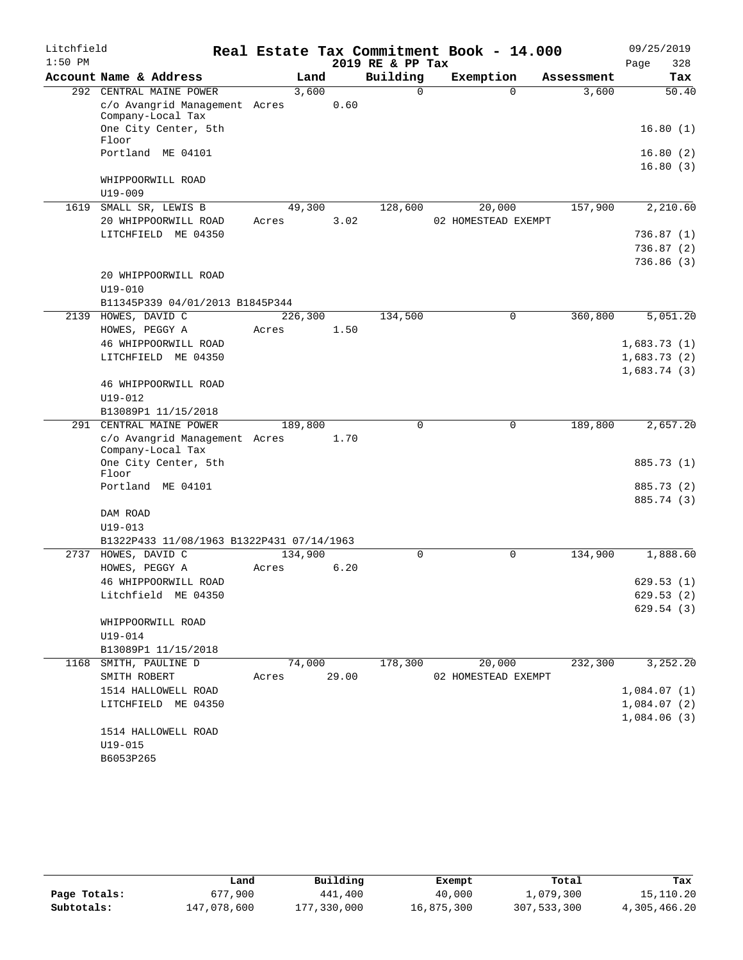| Litchfield |                                                    |         |       | Real Estate Tax Commitment Book - 14.000 |                     |                        | 09/25/2019  |
|------------|----------------------------------------------------|---------|-------|------------------------------------------|---------------------|------------------------|-------------|
| $1:50$ PM  |                                                    |         |       | 2019 RE & PP Tax                         |                     |                        | 328<br>Page |
|            | Account Name & Address                             | Land    |       | Building                                 | Exemption           | Assessment             | Tax         |
|            | 292 CENTRAL MAINE POWER                            | 3,600   |       | $\Omega$                                 |                     | 3,600<br>$\Omega$      | 50.40       |
|            | c/o Avangrid Management Acres<br>Company-Local Tax |         | 0.60  |                                          |                     |                        |             |
|            | One City Center, 5th<br>Floor                      |         |       |                                          |                     |                        | 16.80(1)    |
|            | Portland ME 04101                                  |         |       |                                          |                     |                        | 16.80(2)    |
|            |                                                    |         |       |                                          |                     |                        | 16.80(3)    |
|            | WHIPPOORWILL ROAD<br>$U19 - 009$                   |         |       |                                          |                     |                        |             |
| 1619       | SMALL SR, LEWIS B                                  | 49,300  |       | 128,600                                  | 20,000              | 157,900                | 2,210.60    |
|            | 20 WHIPPOORWILL ROAD                               | Acres   | 3.02  |                                          | 02 HOMESTEAD EXEMPT |                        |             |
|            | LITCHFIELD ME 04350                                |         |       |                                          |                     |                        | 736.87(1)   |
|            |                                                    |         |       |                                          |                     |                        | 736.87(2)   |
|            |                                                    |         |       |                                          |                     |                        | 736.86(3)   |
|            | 20 WHIPPOORWILL ROAD                               |         |       |                                          |                     |                        |             |
|            | $U19 - 010$                                        |         |       |                                          |                     |                        |             |
|            | B11345P339 04/01/2013 B1845P344                    |         |       |                                          |                     |                        |             |
| 2139       | HOWES, DAVID C                                     | 226,300 |       | 134,500                                  |                     | 360,800<br>$\mathbf 0$ | 5,051.20    |
|            | HOWES, PEGGY A                                     | Acres   | 1.50  |                                          |                     |                        |             |
|            | 46 WHIPPOORWILL ROAD                               |         |       |                                          |                     |                        | 1,683.73(1) |
|            | LITCHFIELD ME 04350                                |         |       |                                          |                     |                        | 1,683.73(2) |
|            |                                                    |         |       |                                          |                     |                        | 1,683.74(3) |
|            | 46 WHIPPOORWILL ROAD                               |         |       |                                          |                     |                        |             |
|            | $U19 - 012$<br>B13089P1 11/15/2018                 |         |       |                                          |                     |                        |             |
| 291        | CENTRAL MAINE POWER                                | 189,800 |       | $\Omega$                                 |                     | 0<br>189,800           | 2,657.20    |
|            | c/o Avangrid Management Acres                      |         | 1.70  |                                          |                     |                        |             |
|            | Company-Local Tax                                  |         |       |                                          |                     |                        |             |
|            | One City Center, 5th<br>Floor                      |         |       |                                          |                     |                        | 885.73 (1)  |
|            | Portland ME 04101                                  |         |       |                                          |                     |                        | 885.73 (2)  |
|            |                                                    |         |       |                                          |                     |                        | 885.74 (3)  |
|            | DAM ROAD                                           |         |       |                                          |                     |                        |             |
|            | $U19 - 013$                                        |         |       |                                          |                     |                        |             |
|            | B1322P433 11/08/1963 B1322P431 07/14/1963          |         |       |                                          |                     |                        |             |
| 2737       | HOWES, DAVID C                                     | 134,900 |       | 0                                        |                     | $\mathbf 0$<br>134,900 | 1,888.60    |
|            | HOWES, PEGGY A                                     | Acres   | 6.20  |                                          |                     |                        |             |
|            | 46 WHIPPOORWILL ROAD                               |         |       |                                          |                     |                        | 629.53(1)   |
|            | Litchfield ME 04350                                |         |       |                                          |                     |                        | 629.53(2)   |
|            |                                                    |         |       |                                          |                     |                        | 629.54(3)   |
|            | WHIPPOORWILL ROAD<br>$U19 - 014$                   |         |       |                                          |                     |                        |             |
|            | B13089P1 11/15/2018                                |         |       |                                          |                     |                        |             |
| 1168       | SMITH, PAULINE D                                   | 74,000  |       | 178,300                                  | 20,000              | 232,300                | 3,252.20    |
|            | SMITH ROBERT                                       | Acres   | 29.00 |                                          | 02 HOMESTEAD EXEMPT |                        |             |
|            | 1514 HALLOWELL ROAD                                |         |       |                                          |                     |                        | 1,084.07(1) |
|            | LITCHFIELD ME 04350                                |         |       |                                          |                     |                        | 1,084.07(2) |
|            |                                                    |         |       |                                          |                     |                        | 1,084.06(3) |
|            | 1514 HALLOWELL ROAD                                |         |       |                                          |                     |                        |             |
|            | $U19 - 015$                                        |         |       |                                          |                     |                        |             |
|            | B6053P265                                          |         |       |                                          |                     |                        |             |

|              | Land        | Building    | Exempt     | Total       | Tax          |
|--------------|-------------|-------------|------------|-------------|--------------|
| Page Totals: | 677,900     | 441,400     | 40,000     | 1,079,300   | 15,110.20    |
| Subtotals:   | 147,078,600 | 177,330,000 | 16,875,300 | 307,533,300 | 4,305,466.20 |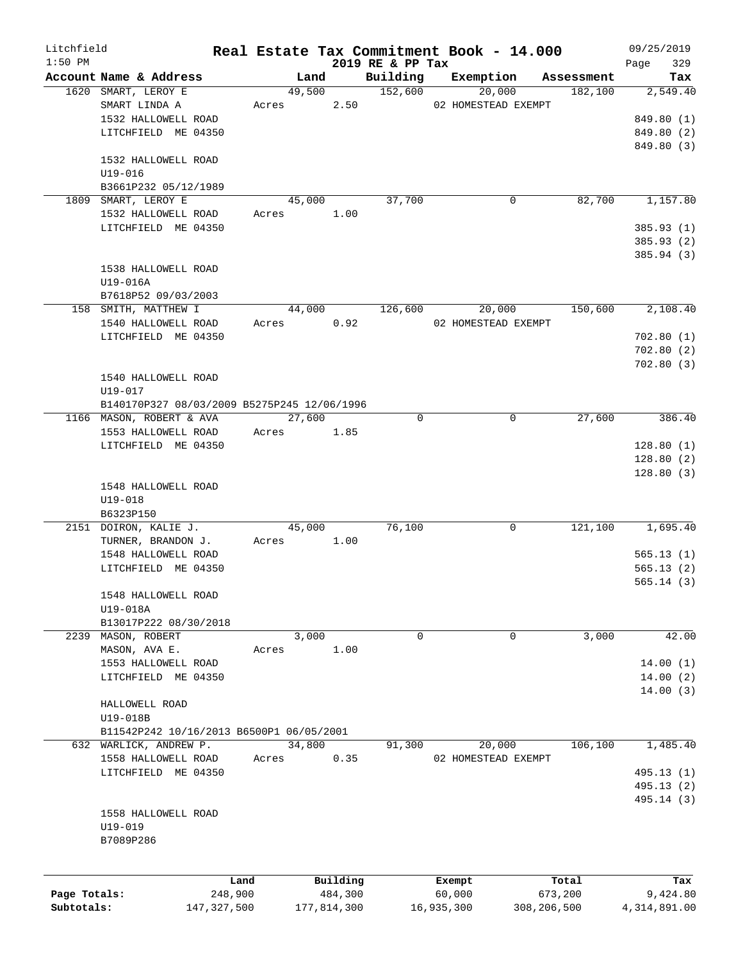| Litchfield   |                                             |               |       |        |             |                              | Real Estate Tax Commitment Book - 14.000 |             |            | 09/25/2019         |
|--------------|---------------------------------------------|---------------|-------|--------|-------------|------------------------------|------------------------------------------|-------------|------------|--------------------|
| $1:50$ PM    | Account Name & Address                      |               |       | Land   |             | 2019 RE & PP Tax<br>Building | Exemption                                |             | Assessment | 329<br>Page<br>Tax |
|              | 1620 SMART, LEROY E                         |               |       | 49,500 |             | 152,600                      | 20,000                                   |             | 182,100    | 2,549.40           |
|              | SMART LINDA A                               |               | Acres |        | 2.50        |                              | 02 HOMESTEAD EXEMPT                      |             |            |                    |
|              | 1532 HALLOWELL ROAD                         |               |       |        |             |                              |                                          |             |            |                    |
|              |                                             |               |       |        |             |                              |                                          |             |            | 849.80 (1)         |
|              | LITCHFIELD ME 04350                         |               |       |        |             |                              |                                          |             |            | 849.80 (2)         |
|              |                                             |               |       |        |             |                              |                                          |             |            | 849.80 (3)         |
|              | 1532 HALLOWELL ROAD                         |               |       |        |             |                              |                                          |             |            |                    |
|              | $U19 - 016$                                 |               |       |        |             |                              |                                          |             |            |                    |
|              | B3661P232 05/12/1989                        |               |       |        |             |                              |                                          |             |            |                    |
|              | 1809 SMART, LEROY E                         |               |       | 45,000 |             | 37,700                       |                                          | 0           | 82,700     | 1,157.80           |
|              | 1532 HALLOWELL ROAD                         |               | Acres |        | 1.00        |                              |                                          |             |            |                    |
|              | LITCHFIELD ME 04350                         |               |       |        |             |                              |                                          |             |            | 385.93 (1)         |
|              |                                             |               |       |        |             |                              |                                          |             |            | 385.93 (2)         |
|              |                                             |               |       |        |             |                              |                                          |             |            | 385.94 (3)         |
|              | 1538 HALLOWELL ROAD                         |               |       |        |             |                              |                                          |             |            |                    |
|              | U19-016A                                    |               |       |        |             |                              |                                          |             |            |                    |
|              | B7618P52 09/03/2003                         |               |       |        |             |                              |                                          |             |            |                    |
|              | 158 SMITH, MATTHEW I                        |               |       | 44,000 |             | 126,600                      | 20,000                                   |             | 150,600    | 2,108.40           |
|              | 1540 HALLOWELL ROAD                         |               | Acres |        | 0.92        |                              | 02 HOMESTEAD EXEMPT                      |             |            |                    |
|              | LITCHFIELD ME 04350                         |               |       |        |             |                              |                                          |             |            | 702.80(1)          |
|              |                                             |               |       |        |             |                              |                                          |             |            | 702.80(2)          |
|              |                                             |               |       |        |             |                              |                                          |             |            |                    |
|              |                                             |               |       |        |             |                              |                                          |             |            | 702.80(3)          |
|              | 1540 HALLOWELL ROAD                         |               |       |        |             |                              |                                          |             |            |                    |
|              | $U19 - 017$                                 |               |       |        |             |                              |                                          |             |            |                    |
|              | B140170P327 08/03/2009 B5275P245 12/06/1996 |               |       |        |             |                              |                                          |             |            |                    |
|              | 1166 MASON, ROBERT & AVA                    |               |       | 27,600 |             | $\Omega$                     |                                          | $\mathbf 0$ | 27,600     | 386.40             |
|              | 1553 HALLOWELL ROAD                         |               | Acres |        | 1.85        |                              |                                          |             |            |                    |
|              | LITCHFIELD ME 04350                         |               |       |        |             |                              |                                          |             |            | 128.80(1)          |
|              |                                             |               |       |        |             |                              |                                          |             |            | 128.80(2)          |
|              |                                             |               |       |        |             |                              |                                          |             |            | 128.80(3)          |
|              | 1548 HALLOWELL ROAD                         |               |       |        |             |                              |                                          |             |            |                    |
|              | $U19 - 018$                                 |               |       |        |             |                              |                                          |             |            |                    |
|              | B6323P150                                   |               |       |        |             |                              |                                          |             |            |                    |
|              | 2151 DOIRON, KALIE J.                       |               |       | 45,000 |             | 76,100                       |                                          | $\mathbf 0$ | 121,100    | 1,695.40           |
|              | TURNER, BRANDON J.                          |               | Acres |        | 1.00        |                              |                                          |             |            |                    |
|              | 1548 HALLOWELL ROAD                         |               |       |        |             |                              |                                          |             |            | 565.13(1)          |
|              | LITCHFIELD ME 04350                         |               |       |        |             |                              |                                          |             |            | 565.13(2)          |
|              |                                             |               |       |        |             |                              |                                          |             |            | 565.14(3)          |
|              | 1548 HALLOWELL ROAD                         |               |       |        |             |                              |                                          |             |            |                    |
|              |                                             |               |       |        |             |                              |                                          |             |            |                    |
|              | U19-018A                                    |               |       |        |             |                              |                                          |             |            |                    |
|              | B13017P222 08/30/2018                       |               |       |        |             |                              |                                          |             |            |                    |
|              | 2239 MASON, ROBERT                          |               |       | 3,000  |             | 0                            |                                          | 0           | 3,000      | 42.00              |
|              | MASON, AVA E.                               |               | Acres |        | 1.00        |                              |                                          |             |            |                    |
|              | 1553 HALLOWELL ROAD                         |               |       |        |             |                              |                                          |             |            | 14.00(1)           |
|              | LITCHFIELD ME 04350                         |               |       |        |             |                              |                                          |             |            | 14.00(2)           |
|              |                                             |               |       |        |             |                              |                                          |             |            | 14.00(3)           |
|              | HALLOWELL ROAD                              |               |       |        |             |                              |                                          |             |            |                    |
|              | U19-018B                                    |               |       |        |             |                              |                                          |             |            |                    |
|              | B11542P242 10/16/2013 B6500P1 06/05/2001    |               |       |        |             |                              |                                          |             |            |                    |
|              | 632 WARLICK, ANDREW P.                      |               |       | 34,800 |             | 91,300                       | 20,000                                   |             | 106,100    | 1,485.40           |
|              | 1558 HALLOWELL ROAD                         |               | Acres |        | 0.35        |                              | 02 HOMESTEAD EXEMPT                      |             |            |                    |
|              | LITCHFIELD ME 04350                         |               |       |        |             |                              |                                          |             |            | 495.13 (1)         |
|              |                                             |               |       |        |             |                              |                                          |             |            | 495.13 (2)         |
|              |                                             |               |       |        |             |                              |                                          |             |            | 495.14 (3)         |
|              | 1558 HALLOWELL ROAD                         |               |       |        |             |                              |                                          |             |            |                    |
|              |                                             |               |       |        |             |                              |                                          |             |            |                    |
|              | U19-019                                     |               |       |        |             |                              |                                          |             |            |                    |
|              | B7089P286                                   |               |       |        |             |                              |                                          |             |            |                    |
|              |                                             |               |       |        |             |                              |                                          |             |            |                    |
|              |                                             |               |       |        |             |                              |                                          |             |            |                    |
|              |                                             | Land          |       |        | Building    |                              | Exempt                                   |             | Total      | Tax                |
| Page Totals: |                                             | 248,900       |       |        | 484,300     |                              | 60,000                                   |             | 673,200    | 9,424.80           |
| Subtotals:   |                                             | 147, 327, 500 |       |        | 177,814,300 |                              | 16,935,300                               | 308,206,500 |            | 4, 314, 891.00     |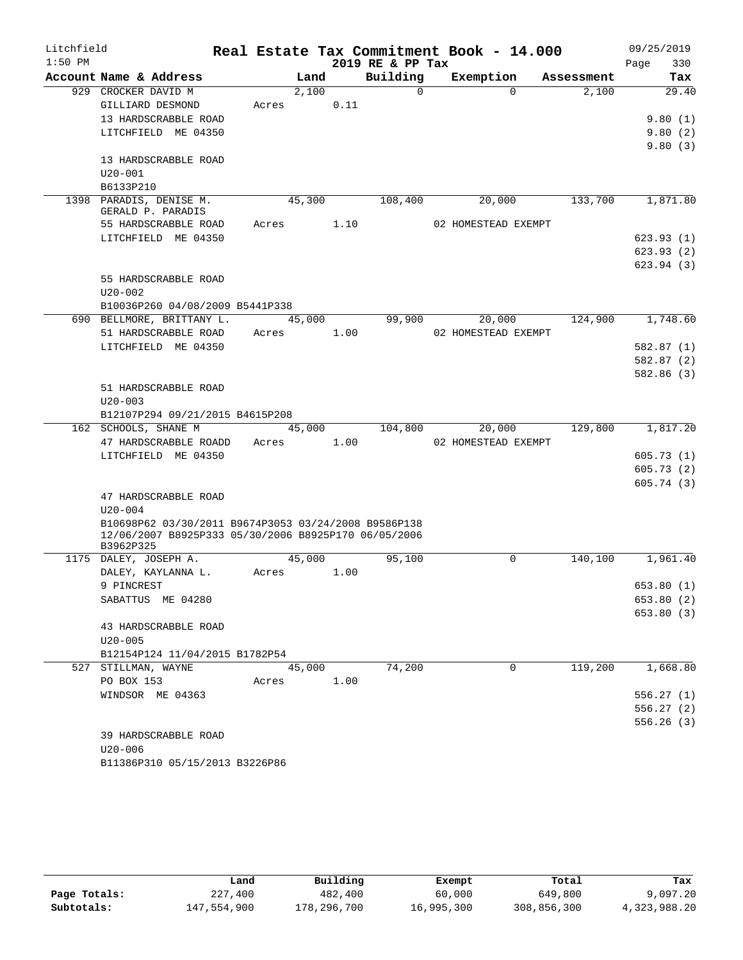| Litchfield |                                                      |       |        |      | Real Estate Tax Commitment Book - 14.000 |                     |          |            | 09/25/2019  |
|------------|------------------------------------------------------|-------|--------|------|------------------------------------------|---------------------|----------|------------|-------------|
| $1:50$ PM  |                                                      |       |        |      | 2019 RE & PP Tax                         |                     |          |            | Page<br>330 |
|            | Account Name & Address                               |       | Land   |      | Building                                 | Exemption           |          | Assessment | Tax         |
|            | 929 CROCKER DAVID M                                  |       | 2,100  |      | $\Omega$                                 |                     | $\Omega$ | 2,100      | 29.40       |
|            | GILLIARD DESMOND                                     | Acres |        | 0.11 |                                          |                     |          |            |             |
|            | 13 HARDSCRABBLE ROAD                                 |       |        |      |                                          |                     |          |            | 9.80(1)     |
|            | LITCHFIELD ME 04350                                  |       |        |      |                                          |                     |          |            | 9.80(2)     |
|            |                                                      |       |        |      |                                          |                     |          |            | 9.80(3)     |
|            | 13 HARDSCRABBLE ROAD                                 |       |        |      |                                          |                     |          |            |             |
|            | $U20 - 001$                                          |       |        |      |                                          |                     |          |            |             |
|            | B6133P210                                            |       |        |      |                                          |                     |          |            |             |
|            | 1398 PARADIS, DENISE M.<br>GERALD P. PARADIS         |       | 45,300 |      | 108,400                                  |                     | 20,000   | 133,700    | 1,871.80    |
|            | 55 HARDSCRABBLE ROAD                                 | Acres |        | 1.10 |                                          | 02 HOMESTEAD EXEMPT |          |            |             |
|            | LITCHFIELD ME 04350                                  |       |        |      |                                          |                     |          |            | 623.93(1)   |
|            |                                                      |       |        |      |                                          |                     |          |            | 623.93(2)   |
|            |                                                      |       |        |      |                                          |                     |          |            | 623.94(3)   |
|            | 55 HARDSCRABBLE ROAD                                 |       |        |      |                                          |                     |          |            |             |
|            | $U20 - 002$                                          |       |        |      |                                          |                     |          |            |             |
|            | B10036P260 04/08/2009 B5441P338                      |       |        |      |                                          |                     |          |            |             |
|            | 690 BELLMORE, BRITTANY L.                            |       | 45,000 |      | 99,900                                   |                     | 20,000   | 124,900    | 1,748.60    |
|            | 51 HARDSCRABBLE ROAD                                 | Acres |        | 1.00 |                                          | 02 HOMESTEAD EXEMPT |          |            |             |
|            | LITCHFIELD ME 04350                                  |       |        |      |                                          |                     |          |            | 582.87(1)   |
|            |                                                      |       |        |      |                                          |                     |          |            | 582.87 (2)  |
|            |                                                      |       |        |      |                                          |                     |          |            | 582.86 (3)  |
|            | 51 HARDSCRABBLE ROAD                                 |       |        |      |                                          |                     |          |            |             |
|            | $U20 - 003$                                          |       |        |      |                                          |                     |          |            |             |
|            | B12107P294 09/21/2015 B4615P208                      |       |        |      |                                          |                     |          |            |             |
|            | 162 SCHOOLS, SHANE M                                 |       | 45,000 |      | 104,800                                  |                     | 20,000   | 129,800    | 1,817.20    |
|            | 47 HARDSCRABBLE ROADD                                | Acres |        | 1.00 |                                          | 02 HOMESTEAD EXEMPT |          |            |             |
|            | LITCHFIELD ME 04350                                  |       |        |      |                                          |                     |          |            | 605.73(1)   |
|            |                                                      |       |        |      |                                          |                     |          |            | 605.73(2)   |
|            |                                                      |       |        |      |                                          |                     |          |            | 605.74(3)   |
|            | 47 HARDSCRABBLE ROAD                                 |       |        |      |                                          |                     |          |            |             |
|            | $U20 - 004$                                          |       |        |      |                                          |                     |          |            |             |
|            | B10698P62 03/30/2011 B9674P3053 03/24/2008 B9586P138 |       |        |      |                                          |                     |          |            |             |
|            | 12/06/2007 B8925P333 05/30/2006 B8925P170 06/05/2006 |       |        |      |                                          |                     |          |            |             |
|            | B3962P325                                            |       |        |      |                                          |                     |          |            |             |
|            | 1175 DALEY, JOSEPH A.                                |       | 45,000 |      | 95,100                                   |                     | 0        | 140,100    | 1,961.40    |
|            | DALEY, KAYLANNA L.                                   | Acres |        | 1.00 |                                          |                     |          |            |             |
|            | 9 PINCREST                                           |       |        |      |                                          |                     |          |            | 653.80 (1)  |
|            | SABATTUS ME 04280                                    |       |        |      |                                          |                     |          |            | 653.80 (2)  |
|            |                                                      |       |        |      |                                          |                     |          |            | 653.80 (3)  |
|            | 43 HARDSCRABBLE ROAD                                 |       |        |      |                                          |                     |          |            |             |
|            | $U20 - 005$                                          |       |        |      |                                          |                     |          |            |             |
|            | B12154P124 11/04/2015 B1782P54                       |       |        |      |                                          |                     |          |            |             |
|            | 527 STILLMAN, WAYNE                                  |       | 45,000 |      | 74,200                                   |                     | 0        | 119,200    | 1,668.80    |
|            | PO BOX 153<br>WINDSOR ME 04363                       | Acres |        | 1.00 |                                          |                     |          |            | 556.27(1)   |
|            |                                                      |       |        |      |                                          |                     |          |            | 556.27(2)   |
|            |                                                      |       |        |      |                                          |                     |          |            | 556.26(3)   |
|            | 39 HARDSCRABBLE ROAD                                 |       |        |      |                                          |                     |          |            |             |
|            | $U20 - 006$                                          |       |        |      |                                          |                     |          |            |             |
|            |                                                      |       |        |      |                                          |                     |          |            |             |

|              | Land        | Building    | Exempt     | Total       | Tax          |
|--------------|-------------|-------------|------------|-------------|--------------|
| Page Totals: | 227,400     | 482,400     | 60,000     | 649,800     | 9,097.20     |
| Subtotals:   | 147,554,900 | 178,296,700 | 16,995,300 | 308,856,300 | 4,323,988.20 |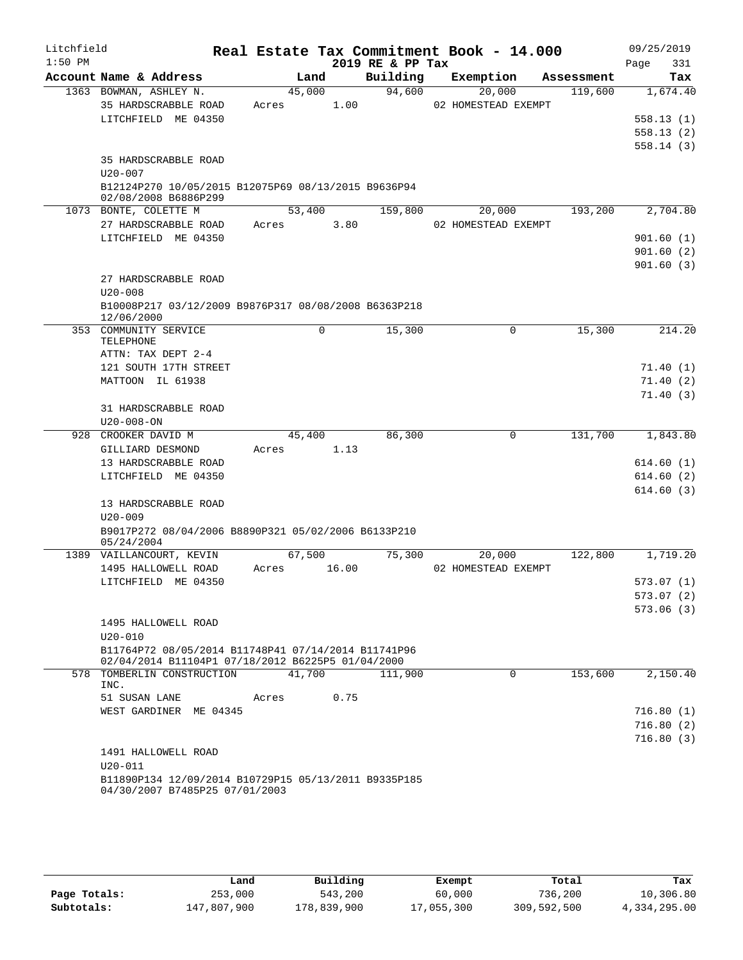| Litchfield |                                                                                                          |       |             |       |                  | Real Estate Tax Commitment Book - 14.000 |            | 09/25/2019             |     |
|------------|----------------------------------------------------------------------------------------------------------|-------|-------------|-------|------------------|------------------------------------------|------------|------------------------|-----|
| $1:50$ PM  |                                                                                                          |       |             |       | 2019 RE & PP Tax |                                          |            | Page                   | 331 |
|            | Account Name & Address                                                                                   |       | Land        |       | Building         | Exemption                                | Assessment | Tax                    |     |
|            | 1363 BOWMAN, ASHLEY N.                                                                                   |       | 45,000      |       | 94,600           | 20,000                                   | 119,600    | 1,674.40               |     |
|            | 35 HARDSCRABBLE ROAD                                                                                     | Acres |             | 1.00  |                  | 02 HOMESTEAD EXEMPT                      |            |                        |     |
|            | LITCHFIELD ME 04350                                                                                      |       |             |       |                  |                                          |            | 558.13(1)              |     |
|            |                                                                                                          |       |             |       |                  |                                          |            | 558.13(2)<br>558.14(3) |     |
|            | 35 HARDSCRABBLE ROAD                                                                                     |       |             |       |                  |                                          |            |                        |     |
|            | $U20 - 007$                                                                                              |       |             |       |                  |                                          |            |                        |     |
|            | B12124P270 10/05/2015 B12075P69 08/13/2015 B9636P94                                                      |       |             |       |                  |                                          |            |                        |     |
|            | 02/08/2008 B6886P299                                                                                     |       |             |       |                  |                                          |            |                        |     |
|            | 1073 BONTE, COLETTE M                                                                                    |       | 53,400      |       | 159,800          | 20,000                                   | 193,200    | 2,704.80               |     |
|            | 27 HARDSCRABBLE ROAD                                                                                     | Acres |             | 3.80  |                  | 02 HOMESTEAD EXEMPT                      |            |                        |     |
|            | LITCHFIELD ME 04350                                                                                      |       |             |       |                  |                                          |            | 901.60(1)              |     |
|            |                                                                                                          |       |             |       |                  |                                          |            | 901.60(2)              |     |
|            |                                                                                                          |       |             |       |                  |                                          |            | 901.60(3)              |     |
|            | 27 HARDSCRABBLE ROAD                                                                                     |       |             |       |                  |                                          |            |                        |     |
|            | $U20 - 008$                                                                                              |       |             |       |                  |                                          |            |                        |     |
|            | B10008P217 03/12/2009 B9876P317 08/08/2008 B6363P218<br>12/06/2000                                       |       |             |       |                  |                                          |            |                        |     |
|            | 353 COMMUNITY SERVICE                                                                                    |       | $\mathbf 0$ |       | 15,300           | 0                                        | 15,300     | 214.20                 |     |
|            | TELEPHONE                                                                                                |       |             |       |                  |                                          |            |                        |     |
|            | ATTN: TAX DEPT 2-4                                                                                       |       |             |       |                  |                                          |            |                        |     |
|            | 121 SOUTH 17TH STREET<br>MATTOON IL 61938                                                                |       |             |       |                  |                                          |            | 71.40(1)<br>71.40(2)   |     |
|            |                                                                                                          |       |             |       |                  |                                          |            | 71.40(3)               |     |
|            | 31 HARDSCRABBLE ROAD                                                                                     |       |             |       |                  |                                          |            |                        |     |
|            | $U20 - 008 - ON$                                                                                         |       |             |       |                  |                                          |            |                        |     |
|            | 928 CROOKER DAVID M                                                                                      |       | 45,400      |       | 86,300           | 0                                        | 131,700    | 1,843.80               |     |
|            | GILLIARD DESMOND                                                                                         | Acres |             | 1.13  |                  |                                          |            |                        |     |
|            | 13 HARDSCRABBLE ROAD                                                                                     |       |             |       |                  |                                          |            | 614.60(1)              |     |
|            | LITCHFIELD ME 04350                                                                                      |       |             |       |                  |                                          |            | 614.60(2)              |     |
|            |                                                                                                          |       |             |       |                  |                                          |            | 614.60(3)              |     |
|            | 13 HARDSCRABBLE ROAD                                                                                     |       |             |       |                  |                                          |            |                        |     |
|            | $U20 - 009$                                                                                              |       |             |       |                  |                                          |            |                        |     |
|            | B9017P272 08/04/2006 B8890P321 05/02/2006 B6133P210<br>05/24/2004                                        |       |             |       |                  |                                          |            |                        |     |
|            | 1389 VAILLANCOURT, KEVIN                                                                                 |       | 67,500      |       | 75,300           | 20,000                                   | 122,800    | 1,719.20               |     |
|            | 1495 HALLOWELL ROAD                                                                                      | Acres |             | 16.00 |                  | 02 HOMESTEAD EXEMPT                      |            |                        |     |
|            | LITCHFIELD ME 04350                                                                                      |       |             |       |                  |                                          |            | 573.07 (1)             |     |
|            |                                                                                                          |       |             |       |                  |                                          |            | 573.07 (2)             |     |
|            |                                                                                                          |       |             |       |                  |                                          |            | 573.06(3)              |     |
|            | 1495 HALLOWELL ROAD                                                                                      |       |             |       |                  |                                          |            |                        |     |
|            | $U20 - 010$                                                                                              |       |             |       |                  |                                          |            |                        |     |
|            | B11764P72 08/05/2014 B11748P41 07/14/2014 B11741P96<br>02/04/2014 B11104P1 07/18/2012 B6225P5 01/04/2000 |       |             |       |                  |                                          |            |                        |     |
|            | 578 TOMBERLIN CONSTRUCTION                                                                               |       | 41,700      |       | 111,900          | 0                                        | 153,600    | 2,150.40               |     |
|            | INC.                                                                                                     |       |             |       |                  |                                          |            |                        |     |
|            | 51 SUSAN LANE                                                                                            | Acres |             | 0.75  |                  |                                          |            |                        |     |
|            | WEST GARDINER ME 04345                                                                                   |       |             |       |                  |                                          |            | 716.80(1)              |     |
|            |                                                                                                          |       |             |       |                  |                                          |            | 716.80(2)              |     |
|            |                                                                                                          |       |             |       |                  |                                          |            | 716.80(3)              |     |
|            | 1491 HALLOWELL ROAD                                                                                      |       |             |       |                  |                                          |            |                        |     |
|            | $U20 - 011$                                                                                              |       |             |       |                  |                                          |            |                        |     |
|            | B11890P134 12/09/2014 B10729P15 05/13/2011 B9335P185                                                     |       |             |       |                  |                                          |            |                        |     |
|            | 04/30/2007 B7485P25 07/01/2003                                                                           |       |             |       |                  |                                          |            |                        |     |

|              | Land        | Building    | Exempt     | Total       | Tax          |
|--------------|-------------|-------------|------------|-------------|--------------|
| Page Totals: | 253,000     | 543,200     | 60,000     | 736,200     | 10,306.80    |
| Subtotals:   | 147,807,900 | 178,839,900 | 17,055,300 | 309,592,500 | 4,334,295.00 |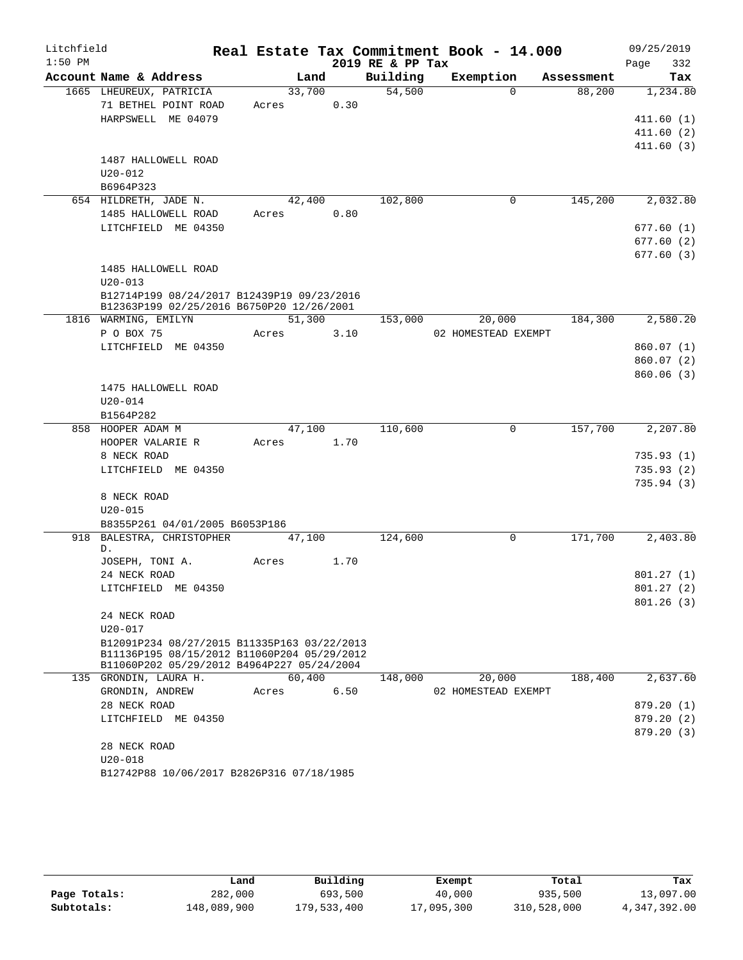| Litchfield<br>$1:50$ PM |                                                                                            |            |        |        | 2019 RE & PP Tax | Real Estate Tax Commitment Book - 14.000 |            | 09/25/2019<br>332<br>Page |
|-------------------------|--------------------------------------------------------------------------------------------|------------|--------|--------|------------------|------------------------------------------|------------|---------------------------|
|                         | Account Name & Address                                                                     |            | Land   |        | Building         | Exemption                                | Assessment | Tax                       |
|                         | 1665 LHEUREUX, PATRICIA                                                                    |            | 33,700 |        | 54,500           | $\Omega$                                 | 88,200     | 1,234.80                  |
|                         | 71 BETHEL POINT ROAD                                                                       | Acres 0.30 |        |        |                  |                                          |            |                           |
|                         | HARPSWELL ME 04079                                                                         |            |        |        |                  |                                          |            | 411.60(1)                 |
|                         |                                                                                            |            |        |        |                  |                                          |            | 411.60(2)                 |
|                         |                                                                                            |            |        |        |                  |                                          |            | 411.60(3)                 |
|                         | 1487 HALLOWELL ROAD                                                                        |            |        |        |                  |                                          |            |                           |
|                         | $U20 - 012$                                                                                |            |        |        |                  |                                          |            |                           |
|                         | B6964P323                                                                                  |            |        |        |                  |                                          |            |                           |
|                         | 654 HILDRETH, JADE N.                                                                      | 42,400     |        |        | 102,800          | 0                                        | 145,200    | 2,032.80                  |
|                         | 1485 HALLOWELL ROAD                                                                        | Acres      |        | 0.80   |                  |                                          |            |                           |
|                         | LITCHFIELD ME 04350                                                                        |            |        |        |                  |                                          |            | 677.60(1)                 |
|                         |                                                                                            |            |        |        |                  |                                          |            | 677.60(2)                 |
|                         |                                                                                            |            |        |        |                  |                                          |            | 677.60(3)                 |
|                         | 1485 HALLOWELL ROAD                                                                        |            |        |        |                  |                                          |            |                           |
|                         | $U20 - 013$                                                                                |            |        |        |                  |                                          |            |                           |
|                         | B12714P199 08/24/2017 B12439P19 09/23/2016                                                 |            |        |        |                  |                                          |            |                           |
|                         | B12363P199 02/25/2016 B6750P20 12/26/2001<br>1816 WARMING, EMILYN                          |            |        | 51,300 | 153,000          | 20,000                                   | 184,300    | 2,580.20                  |
|                         | P O BOX 75                                                                                 | Acres      |        | 3.10   |                  | 02 HOMESTEAD EXEMPT                      |            |                           |
|                         | LITCHFIELD ME 04350                                                                        |            |        |        |                  |                                          |            | 860.07(1)                 |
|                         |                                                                                            |            |        |        |                  |                                          |            | 860.07(2)                 |
|                         |                                                                                            |            |        |        |                  |                                          |            | 860.06(3)                 |
|                         | 1475 HALLOWELL ROAD                                                                        |            |        |        |                  |                                          |            |                           |
|                         | $U20 - 014$                                                                                |            |        |        |                  |                                          |            |                           |
|                         | B1564P282                                                                                  |            |        |        |                  |                                          |            |                           |
|                         | 858 HOOPER ADAM M                                                                          |            | 47,100 |        | 110,600          | $\mathbf 0$                              | 157,700    | 2, 207.80                 |
|                         | HOOPER VALARIE R                                                                           | Acres 1.70 |        |        |                  |                                          |            |                           |
|                         | 8 NECK ROAD                                                                                |            |        |        |                  |                                          |            | 735.93(1)                 |
|                         | LITCHFIELD ME 04350                                                                        |            |        |        |                  |                                          |            | 735.93(2)                 |
|                         |                                                                                            |            |        |        |                  |                                          |            | 735.94(3)                 |
|                         | 8 NECK ROAD                                                                                |            |        |        |                  |                                          |            |                           |
|                         | $U20 - 015$                                                                                |            |        |        |                  |                                          |            |                           |
|                         | B8355P261 04/01/2005 B6053P186                                                             |            |        |        |                  |                                          |            |                           |
|                         | 918 BALESTRA, CHRISTOPHER 47,100                                                           |            |        |        | 124,600          | 0                                        | 171,700    | $\overline{2,}$ 403.80    |
|                         | D.                                                                                         |            |        |        |                  |                                          |            |                           |
|                         | JOSEPH, TONI A.                                                                            | Acres      |        | 1.70   |                  |                                          |            |                           |
|                         | 24 NECK ROAD                                                                               |            |        |        |                  |                                          |            | 801.27(1)                 |
|                         | LITCHFIELD ME 04350                                                                        |            |        |        |                  |                                          |            | 801.27(2)                 |
|                         |                                                                                            |            |        |        |                  |                                          |            | 801.26(3)                 |
|                         | 24 NECK ROAD                                                                               |            |        |        |                  |                                          |            |                           |
|                         | $U20 - 017$                                                                                |            |        |        |                  |                                          |            |                           |
|                         | B12091P234 08/27/2015 B11335P163 03/22/2013<br>B11136P195 08/15/2012 B11060P204 05/29/2012 |            |        |        |                  |                                          |            |                           |
|                         | B11060P202 05/29/2012 B4964P227 05/24/2004                                                 |            |        |        |                  |                                          |            |                           |
|                         | 135 GRONDIN, LAURA H.                                                                      |            | 60,400 |        | 148,000          | 20,000                                   | 188,400    | 2,637.60                  |
|                         | GRONDIN, ANDREW                                                                            | Acres      |        | 6.50   |                  | 02 HOMESTEAD EXEMPT                      |            |                           |
|                         | 28 NECK ROAD                                                                               |            |        |        |                  |                                          |            | 879.20 (1)                |
|                         | LITCHFIELD ME 04350                                                                        |            |        |        |                  |                                          |            | 879.20 (2)                |
|                         |                                                                                            |            |        |        |                  |                                          |            | 879.20 (3)                |
|                         | 28 NECK ROAD                                                                               |            |        |        |                  |                                          |            |                           |
|                         | $U20 - 018$                                                                                |            |        |        |                  |                                          |            |                           |
|                         | B12742P88 10/06/2017 B2826P316 07/18/1985                                                  |            |        |        |                  |                                          |            |                           |

|              | Land        | Building    | Exempt     | Total       | Tax          |
|--------------|-------------|-------------|------------|-------------|--------------|
| Page Totals: | 282,000     | 693,500     | 40,000     | 935,500     | 13,097.00    |
| Subtotals:   | 148,089,900 | 179,533,400 | 17,095,300 | 310,528,000 | 4,347,392.00 |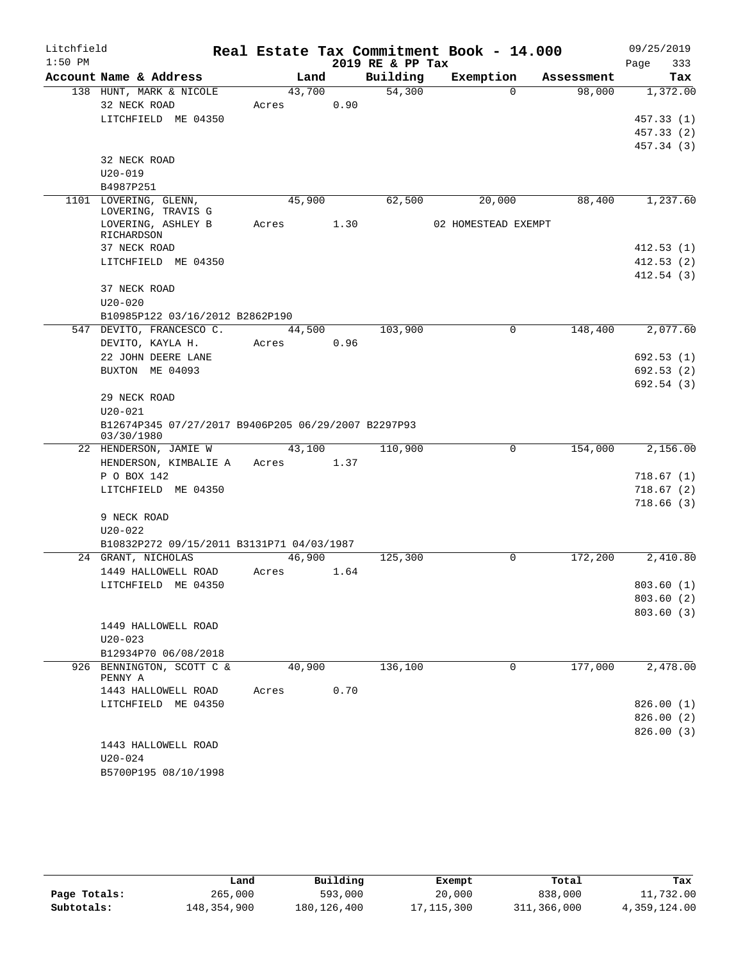| Litchfield |             |                                                     |       |        |      |                  | Real Estate Tax Commitment Book - 14.000 |             |            | 09/25/2019               |          |
|------------|-------------|-----------------------------------------------------|-------|--------|------|------------------|------------------------------------------|-------------|------------|--------------------------|----------|
| $1:50$ PM  |             |                                                     |       |        |      | 2019 RE & PP Tax |                                          |             |            | Page                     | 333      |
|            |             | Account Name & Address                              |       | Land   |      | Building         | Exemption                                |             | Assessment |                          | Tax      |
|            |             | 138 HUNT, MARK & NICOLE                             |       | 43,700 |      | 54,300           |                                          | $\Omega$    | 98,000     |                          | 1,372.00 |
|            |             | 32 NECK ROAD                                        | Acres |        | 0.90 |                  |                                          |             |            |                          |          |
|            |             | LITCHFIELD ME 04350                                 |       |        |      |                  |                                          |             |            | 457.33(1)                |          |
|            |             |                                                     |       |        |      |                  |                                          |             |            | 457.33 (2)<br>457.34 (3) |          |
|            |             | 32 NECK ROAD                                        |       |        |      |                  |                                          |             |            |                          |          |
|            | $U20 - 019$ |                                                     |       |        |      |                  |                                          |             |            |                          |          |
|            | B4987P251   |                                                     |       |        |      |                  |                                          |             |            |                          |          |
|            |             | 1101 LOVERING, GLENN,                               |       | 45,900 |      | 62,500           | 20,000                                   |             | 88,400     |                          | 1,237.60 |
|            |             | LOVERING, TRAVIS G                                  |       |        |      |                  |                                          |             |            |                          |          |
|            |             | LOVERING, ASHLEY B                                  | Acres |        | 1.30 |                  | 02 HOMESTEAD EXEMPT                      |             |            |                          |          |
|            | RICHARDSON  | 37 NECK ROAD                                        |       |        |      |                  |                                          |             |            | 412.53(1)                |          |
|            |             | LITCHFIELD ME 04350                                 |       |        |      |                  |                                          |             |            | 412.53(2)                |          |
|            |             |                                                     |       |        |      |                  |                                          |             |            | 412.54(3)                |          |
|            |             | 37 NECK ROAD                                        |       |        |      |                  |                                          |             |            |                          |          |
|            | $U20 - 020$ |                                                     |       |        |      |                  |                                          |             |            |                          |          |
|            |             | B10985P122 03/16/2012 B2862P190                     |       |        |      |                  |                                          |             |            |                          |          |
|            |             | 547 DEVITO, FRANCESCO C.                            |       | 44,500 |      | 103,900          |                                          | 0           | 148,400    |                          | 2,077.60 |
|            |             | DEVITO, KAYLA H.                                    | Acres |        | 0.96 |                  |                                          |             |            |                          |          |
|            |             | 22 JOHN DEERE LANE                                  |       |        |      |                  |                                          |             |            | 692.53(1)                |          |
|            |             | BUXTON ME 04093                                     |       |        |      |                  |                                          |             |            | 692.53(2)                |          |
|            |             |                                                     |       |        |      |                  |                                          |             |            | 692.54(3)                |          |
|            |             | 29 NECK ROAD                                        |       |        |      |                  |                                          |             |            |                          |          |
|            | $U20 - 021$ |                                                     |       |        |      |                  |                                          |             |            |                          |          |
|            | 03/30/1980  | B12674P345 07/27/2017 B9406P205 06/29/2007 B2297P93 |       |        |      |                  |                                          |             |            |                          |          |
|            |             | 22 HENDERSON, JAMIE W                               |       | 43,100 |      | 110,900          |                                          | 0           | 154,000    |                          | 2,156.00 |
|            |             | HENDERSON, KIMBALIE A                               |       | Acres  | 1.37 |                  |                                          |             |            |                          |          |
|            |             | P O BOX 142                                         |       |        |      |                  |                                          |             |            | 718.67(1)                |          |
|            |             | LITCHFIELD ME 04350                                 |       |        |      |                  |                                          |             |            | 718.67(2)                |          |
|            |             |                                                     |       |        |      |                  |                                          |             |            | 718.66(3)                |          |
|            |             | 9 NECK ROAD                                         |       |        |      |                  |                                          |             |            |                          |          |
|            | U20-022     |                                                     |       |        |      |                  |                                          |             |            |                          |          |
|            |             | B10832P272 09/15/2011 B3131P71 04/03/1987           |       |        |      |                  |                                          |             |            |                          |          |
|            |             | 24 GRANT, NICHOLAS                                  |       | 46,900 |      | 125,300          |                                          | 0           | 172,200    |                          | 2,410.80 |
|            |             | 1449 HALLOWELL ROAD                                 | Acres |        | 1.64 |                  |                                          |             |            |                          |          |
|            |             | LITCHFIELD ME 04350                                 |       |        |      |                  |                                          |             |            | 803.60 (1)               |          |
|            |             |                                                     |       |        |      |                  |                                          |             |            | 803.60(2)<br>803.60(3)   |          |
|            |             | 1449 HALLOWELL ROAD                                 |       |        |      |                  |                                          |             |            |                          |          |
|            | $U20 - 023$ |                                                     |       |        |      |                  |                                          |             |            |                          |          |
|            |             | B12934P70 06/08/2018                                |       |        |      |                  |                                          |             |            |                          |          |
|            |             | 926 BENNINGTON, SCOTT C &                           |       | 40,900 |      | 136,100          |                                          | $\mathbf 0$ | 177,000    |                          | 2,478.00 |
|            | PENNY A     |                                                     |       |        |      |                  |                                          |             |            |                          |          |
|            |             | 1443 HALLOWELL ROAD                                 | Acres |        | 0.70 |                  |                                          |             |            |                          |          |
|            |             | LITCHFIELD ME 04350                                 |       |        |      |                  |                                          |             |            | 826.00(1)                |          |
|            |             |                                                     |       |        |      |                  |                                          |             |            | 826.00(2)                |          |
|            |             |                                                     |       |        |      |                  |                                          |             |            | 826.00 (3)               |          |
|            | U20-024     | 1443 HALLOWELL ROAD                                 |       |        |      |                  |                                          |             |            |                          |          |
|            |             | B5700P195 08/10/1998                                |       |        |      |                  |                                          |             |            |                          |          |
|            |             |                                                     |       |        |      |                  |                                          |             |            |                          |          |

|              | Land        | Building      | Exempt     | Total       | Tax          |
|--------------|-------------|---------------|------------|-------------|--------------|
| Page Totals: | 265,000     | 593,000       | 20,000     | 838,000     | 11,732.00    |
| Subtotals:   | 148,354,900 | 180, 126, 400 | 17,115,300 | 311,366,000 | 4,359,124.00 |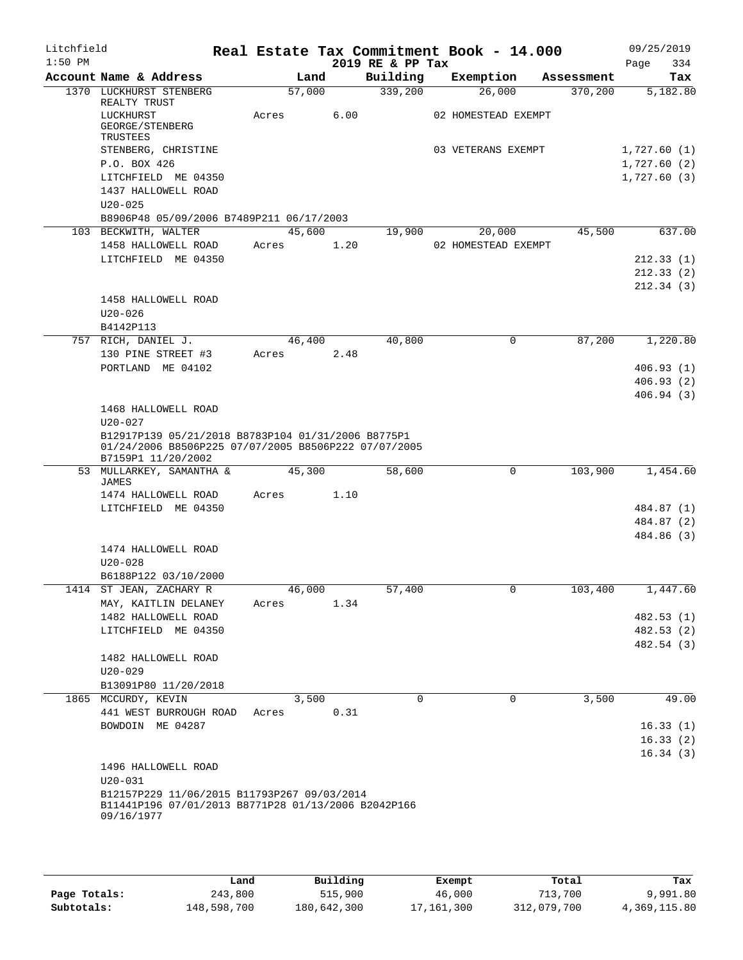| Litchfield<br>$1:50$ PM |                                                                            |       |        |      |                              | Real Estate Tax Commitment Book - 14.000 |             |            | 09/25/2019                 |            |
|-------------------------|----------------------------------------------------------------------------|-------|--------|------|------------------------------|------------------------------------------|-------------|------------|----------------------------|------------|
|                         | Account Name & Address                                                     |       | Land   |      | 2019 RE & PP Tax<br>Building | Exemption                                |             | Assessment | Page                       | 334<br>Tax |
|                         | 1370 LUCKHURST STENBERG                                                    |       | 57,000 |      | 339,200                      | 26,000                                   |             | 370,200    |                            | 5,182.80   |
|                         | REALTY TRUST<br>LUCKHURST<br>GEORGE/STENBERG                               | Acres |        | 6.00 |                              | 02 HOMESTEAD EXEMPT                      |             |            |                            |            |
|                         | TRUSTEES<br>STENBERG, CHRISTINE                                            |       |        |      |                              | 03 VETERANS EXEMPT                       |             |            | 1,727.60(1)                |            |
|                         | P.O. BOX 426<br>LITCHFIELD ME 04350                                        |       |        |      |                              |                                          |             |            | 1,727.60(2)<br>1,727.60(3) |            |
|                         | 1437 HALLOWELL ROAD<br>$U20 - 025$                                         |       |        |      |                              |                                          |             |            |                            |            |
|                         | B8906P48 05/09/2006 B7489P211 06/17/2003                                   |       |        |      |                              |                                          |             |            |                            |            |
|                         | 103 BECKWITH, WALTER                                                       |       | 45,600 |      | 19,900                       | 20,000                                   |             | 45,500     |                            | 637.00     |
|                         | 1458 HALLOWELL ROAD<br>LITCHFIELD ME 04350                                 | Acres |        | 1.20 |                              | 02 HOMESTEAD EXEMPT                      |             |            |                            | 212.33(1)  |
|                         |                                                                            |       |        |      |                              |                                          |             |            |                            | 212.33(2)  |
|                         |                                                                            |       |        |      |                              |                                          |             |            |                            | 212.34(3)  |
|                         | 1458 HALLOWELL ROAD                                                        |       |        |      |                              |                                          |             |            |                            |            |
|                         | $U20 - 026$                                                                |       |        |      |                              |                                          |             |            |                            |            |
|                         | B4142P113<br>757 RICH, DANIEL J.                                           |       | 46,400 |      | 40,800                       |                                          | 0           | 87,200     |                            | 1,220.80   |
|                         | 130 PINE STREET #3                                                         | Acres |        | 2.48 |                              |                                          |             |            |                            |            |
|                         | PORTLAND ME 04102                                                          |       |        |      |                              |                                          |             |            |                            | 406.93(1)  |
|                         |                                                                            |       |        |      |                              |                                          |             |            |                            | 406.93(2)  |
|                         |                                                                            |       |        |      |                              |                                          |             |            |                            | 406.94(3)  |
|                         | 1468 HALLOWELL ROAD                                                        |       |        |      |                              |                                          |             |            |                            |            |
|                         | $U20 - 027$<br>B12917P139 05/21/2018 B8783P104 01/31/2006 B8775P1          |       |        |      |                              |                                          |             |            |                            |            |
|                         | 01/24/2006 B8506P225 07/07/2005 B8506P222 07/07/2005<br>B7159P1 11/20/2002 |       |        |      |                              |                                          |             |            |                            |            |
|                         | 53 MULLARKEY, SAMANTHA &<br>JAMES                                          |       | 45,300 |      | 58,600                       |                                          | $\Omega$    | 103,900    |                            | 1,454.60   |
|                         | 1474 HALLOWELL ROAD                                                        | Acres |        | 1.10 |                              |                                          |             |            |                            |            |
|                         | LITCHFIELD ME 04350                                                        |       |        |      |                              |                                          |             |            |                            | 484.87 (1) |
|                         |                                                                            |       |        |      |                              |                                          |             |            |                            | 484.87 (2) |
|                         |                                                                            |       |        |      |                              |                                          |             |            |                            | 484.86 (3) |
|                         | 1474 HALLOWELL ROAD                                                        |       |        |      |                              |                                          |             |            |                            |            |
|                         | $U20 - 028$<br>B6188P122 03/10/2000                                        |       |        |      |                              |                                          |             |            |                            |            |
|                         | 1414 ST JEAN, ZACHARY R                                                    |       | 46,000 |      | 57,400                       |                                          | 0           | 103,400    |                            | 1,447.60   |
|                         | MAY, KAITLIN DELANEY                                                       | Acres |        | 1.34 |                              |                                          |             |            |                            |            |
|                         | 1482 HALLOWELL ROAD                                                        |       |        |      |                              |                                          |             |            |                            | 482.53 (1) |
|                         | LITCHFIELD ME 04350                                                        |       |        |      |                              |                                          |             |            |                            | 482.53 (2) |
|                         |                                                                            |       |        |      |                              |                                          |             |            |                            | 482.54 (3) |
|                         | 1482 HALLOWELL ROAD<br>$U20 - 029$                                         |       |        |      |                              |                                          |             |            |                            |            |
|                         | B13091P80 11/20/2018                                                       |       |        |      |                              |                                          |             |            |                            |            |
|                         | 1865 MCCURDY, KEVIN                                                        |       | 3,500  |      | $\Omega$                     |                                          | $\mathbf 0$ | 3,500      |                            | 49.00      |
|                         | 441 WEST BURROUGH ROAD                                                     | Acres |        | 0.31 |                              |                                          |             |            |                            |            |
|                         | BOWDOIN ME 04287                                                           |       |        |      |                              |                                          |             |            |                            | 16.33(1)   |
|                         |                                                                            |       |        |      |                              |                                          |             |            |                            | 16.33(2)   |
|                         | 1496 HALLOWELL ROAD                                                        |       |        |      |                              |                                          |             |            |                            | 16.34(3)   |
|                         | $U20 - 031$                                                                |       |        |      |                              |                                          |             |            |                            |            |
|                         | B12157P229 11/06/2015 B11793P267 09/03/2014                                |       |        |      |                              |                                          |             |            |                            |            |
|                         | B11441P196 07/01/2013 B8771P28 01/13/2006 B2042P166<br>09/16/1977          |       |        |      |                              |                                          |             |            |                            |            |
|                         |                                                                            |       |        |      |                              |                                          |             |            |                            |            |
|                         |                                                                            |       |        |      |                              |                                          |             |            |                            |            |

|              | Land        | Building    | Exempt     | Total       | Tax          |
|--------------|-------------|-------------|------------|-------------|--------------|
| Page Totals: | 243,800     | 515,900     | 46,000     | 713,700     | 9,991.80     |
| Subtotals:   | 148,598,700 | 180,642,300 | 17,161,300 | 312,079,700 | 4,369,115.80 |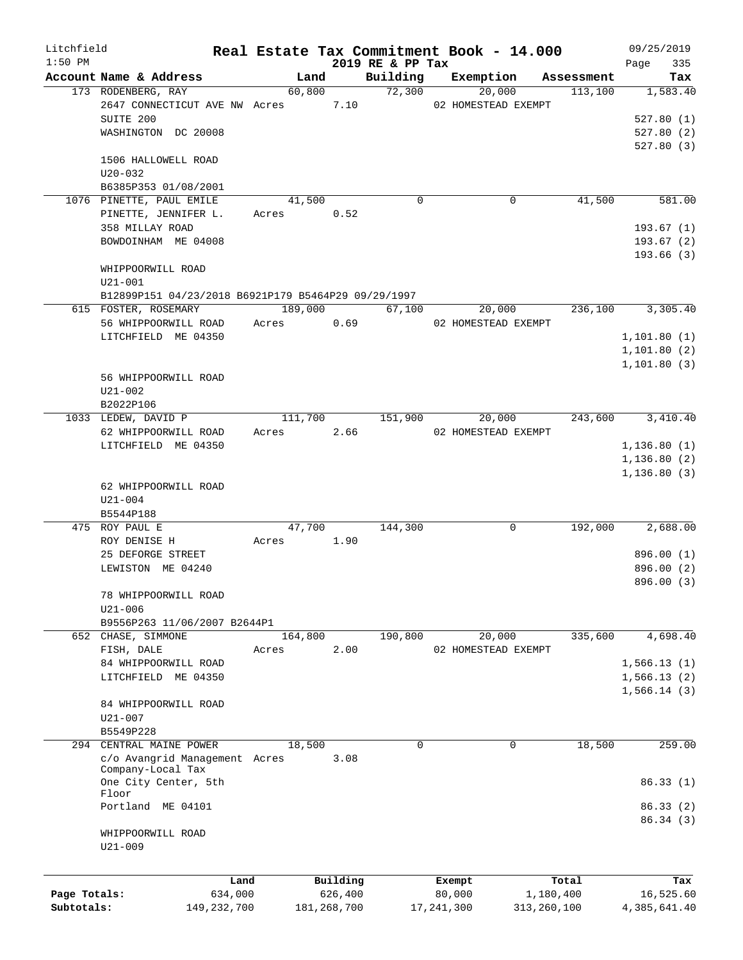| Litchfield   |                                                     |               |         |               |                  | Real Estate Tax Commitment Book - 14.000 |             | 09/25/2019             |
|--------------|-----------------------------------------------------|---------------|---------|---------------|------------------|------------------------------------------|-------------|------------------------|
| $1:50$ PM    |                                                     |               |         |               | 2019 RE & PP Tax |                                          |             | 335<br>Page            |
|              | Account Name & Address                              |               | Land    |               | Building         | Exemption                                | Assessment  | Tax                    |
|              | 173 RODENBERG, RAY                                  |               | 60,800  |               | 72,300           | 20,000                                   | 113,100     | 1,583.40               |
|              | 2647 CONNECTICUT AVE NW Acres                       |               |         | 7.10          |                  | 02 HOMESTEAD EXEMPT                      |             |                        |
|              | SUITE 200                                           |               |         |               |                  |                                          |             | 527.80(1)              |
|              | WASHINGTON DC 20008                                 |               |         |               |                  |                                          |             | 527.80(2)<br>527.80(3) |
|              | 1506 HALLOWELL ROAD                                 |               |         |               |                  |                                          |             |                        |
|              | $U20 - 032$                                         |               |         |               |                  |                                          |             |                        |
|              | B6385P353 01/08/2001                                |               |         |               |                  |                                          |             |                        |
|              | 1076 PINETTE, PAUL EMILE                            |               | 41,500  |               | $\Omega$         | 0                                        | 41,500      | 581.00                 |
|              | PINETTE, JENNIFER L.                                |               | Acres   | 0.52          |                  |                                          |             |                        |
|              | 358 MILLAY ROAD                                     |               |         |               |                  |                                          |             | 193.67(1)              |
|              | BOWDOINHAM ME 04008                                 |               |         |               |                  |                                          |             | 193.67(2)              |
|              |                                                     |               |         |               |                  |                                          |             | 193.66(3)              |
|              | WHIPPOORWILL ROAD                                   |               |         |               |                  |                                          |             |                        |
|              | $U21 - 001$                                         |               |         |               |                  |                                          |             |                        |
|              |                                                     |               |         |               |                  |                                          |             |                        |
|              | B12899P151 04/23/2018 B6921P179 B5464P29 09/29/1997 |               | 189,000 |               | 67,100           | 20,000                                   | 236,100     | 3,305.40               |
|              | 615 FOSTER, ROSEMARY                                |               |         | 0.69          |                  | 02 HOMESTEAD EXEMPT                      |             |                        |
|              | 56 WHIPPOORWILL ROAD                                | Acres         |         |               |                  |                                          |             |                        |
|              | LITCHFIELD ME 04350                                 |               |         |               |                  |                                          |             | 1, 101.80(1)           |
|              |                                                     |               |         |               |                  |                                          |             | 1,101.80(2)            |
|              |                                                     |               |         |               |                  |                                          |             | 1, 101.80(3)           |
|              | 56 WHIPPOORWILL ROAD                                |               |         |               |                  |                                          |             |                        |
|              | $U21 - 002$                                         |               |         |               |                  |                                          |             |                        |
|              | B2022P106                                           |               |         |               |                  |                                          |             |                        |
|              | 1033 LEDEW, DAVID P                                 |               | 111,700 |               | 151,900          | 20,000                                   | 243,600     | 3,410.40               |
|              | 62 WHIPPOORWILL ROAD                                | Acres         |         | 2.66          |                  | 02 HOMESTEAD EXEMPT                      |             |                        |
|              | LITCHFIELD ME 04350                                 |               |         |               |                  |                                          |             | 1, 136.80(1)           |
|              |                                                     |               |         |               |                  |                                          |             | 1,136.80(2)            |
|              |                                                     |               |         |               |                  |                                          |             | 1, 136.80(3)           |
|              | 62 WHIPPOORWILL ROAD                                |               |         |               |                  |                                          |             |                        |
|              | $U21 - 004$                                         |               |         |               |                  |                                          |             |                        |
|              | B5544P188                                           |               |         |               |                  |                                          |             |                        |
|              | 475 ROY PAUL E                                      |               | 47,700  |               | 144,300          | 0                                        | 192,000     | 2,688.00               |
|              | ROY DENISE H                                        | Acres         |         | 1.90          |                  |                                          |             |                        |
|              | 25 DEFORGE STREET                                   |               |         |               |                  |                                          |             | 896.00 (1)             |
|              | LEWISTON ME 04240                                   |               |         |               |                  |                                          |             | 896.00 (2)             |
|              |                                                     |               |         |               |                  |                                          |             | 896.00 (3)             |
|              | 78 WHIPPOORWILL ROAD                                |               |         |               |                  |                                          |             |                        |
|              | $U21 - 006$                                         |               |         |               |                  |                                          |             |                        |
|              | B9556P263 11/06/2007 B2644P1                        |               |         |               |                  |                                          |             |                        |
|              | 652 CHASE, SIMMONE                                  |               | 164,800 |               | 190,800          | 20,000                                   | 335,600     | 4,698.40               |
|              | FISH, DALE                                          | Acres         |         | 2.00          |                  | 02 HOMESTEAD EXEMPT                      |             |                        |
|              | 84 WHIPPOORWILL ROAD                                |               |         |               |                  |                                          |             | 1,566.13(1)            |
|              | LITCHFIELD ME 04350                                 |               |         |               |                  |                                          |             | 1,566.13(2)            |
|              |                                                     |               |         |               |                  |                                          |             | 1,566.14(3)            |
|              | 84 WHIPPOORWILL ROAD                                |               |         |               |                  |                                          |             |                        |
|              | U21-007                                             |               |         |               |                  |                                          |             |                        |
|              | B5549P228                                           |               |         |               |                  |                                          |             |                        |
|              | 294 CENTRAL MAINE POWER                             |               | 18,500  |               | $\mathbf 0$      | 0                                        | 18,500      | 259.00                 |
|              | c/o Avangrid Management Acres                       |               |         | 3.08          |                  |                                          |             |                        |
|              | Company-Local Tax                                   |               |         |               |                  |                                          |             |                        |
|              | One City Center, 5th<br>Floor                       |               |         |               |                  |                                          |             | 86.33 (1)              |
|              | Portland ME 04101                                   |               |         |               |                  |                                          |             | 86.33(2)               |
|              |                                                     |               |         |               |                  |                                          |             | 86.34(3)               |
|              | WHIPPOORWILL ROAD                                   |               |         |               |                  |                                          |             |                        |
|              | $U21 - 009$                                         |               |         |               |                  |                                          |             |                        |
|              |                                                     |               |         |               |                  |                                          |             |                        |
|              |                                                     |               |         |               |                  |                                          |             |                        |
|              |                                                     | Land          |         | Building      |                  | Exempt                                   | Total       | Tax                    |
| Page Totals: |                                                     | 634,000       |         | 626,400       |                  | 80,000                                   | 1,180,400   | 16,525.60              |
| Subtotals:   |                                                     | 149, 232, 700 |         | 181, 268, 700 |                  | 17, 241, 300                             | 313,260,100 | 4,385,641.40           |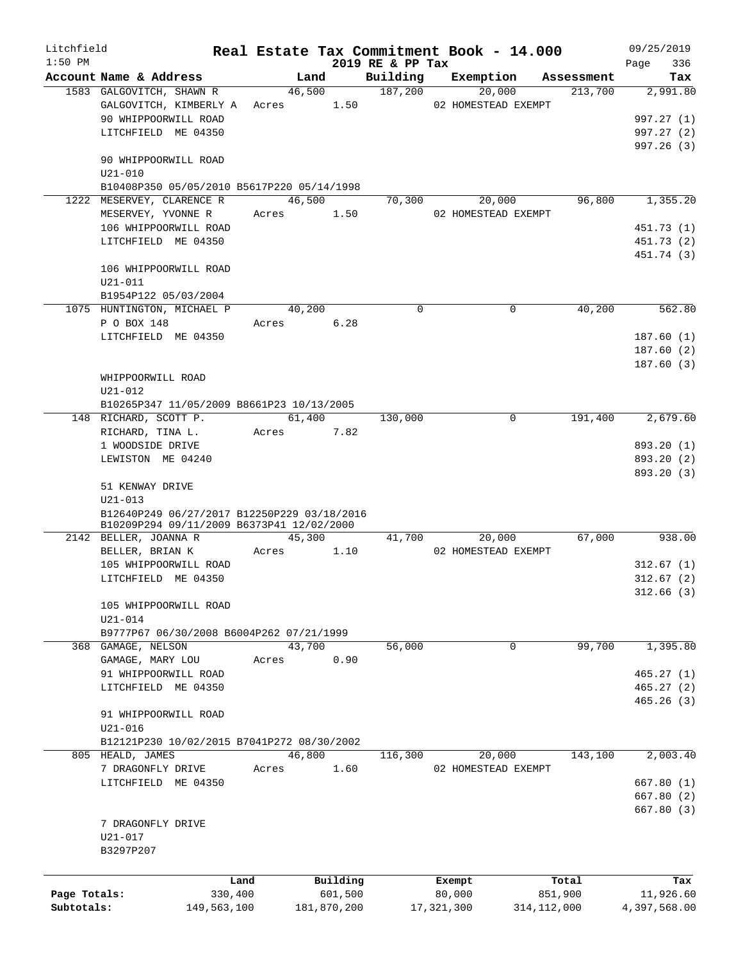| Litchfield   |                                                           |            |             |                  | Real Estate Tax Commitment Book - 14.000 |               | 09/25/2019   |
|--------------|-----------------------------------------------------------|------------|-------------|------------------|------------------------------------------|---------------|--------------|
| $1:50$ PM    |                                                           |            |             | 2019 RE & PP Tax |                                          |               | 336<br>Page  |
|              | Account Name & Address                                    | Land       | 46,500      | Building         | Exemption                                | Assessment    | Tax          |
|              | 1583 GALGOVITCH, SHAWN R                                  |            |             | 187,200          | 20,000                                   | 213,700       | 2,991.80     |
|              | GALGOVITCH, KIMBERLY A Acres 1.50<br>90 WHIPPOORWILL ROAD |            |             |                  | 02 HOMESTEAD EXEMPT                      |               | 997.27 (1)   |
|              |                                                           |            |             |                  |                                          |               | 997.27(2)    |
|              | LITCHFIELD ME 04350                                       |            |             |                  |                                          |               | 997.26(3)    |
|              | 90 WHIPPOORWILL ROAD                                      |            |             |                  |                                          |               |              |
|              | $U21 - 010$                                               |            |             |                  |                                          |               |              |
|              | B10408P350 05/05/2010 B5617P220 05/14/1998                |            |             |                  |                                          |               |              |
|              | 1222 MESERVEY, CLARENCE R                                 | 46,500     |             | 70,300           | 20,000                                   | 96,800        | 1,355.20     |
|              | MESERVEY, YVONNE R                                        | Acres 1.50 |             |                  | 02 HOMESTEAD EXEMPT                      |               |              |
|              | 106 WHIPPOORWILL ROAD                                     |            |             |                  |                                          |               | 451.73 (1)   |
|              | LITCHFIELD ME 04350                                       |            |             |                  |                                          |               | 451.73 (2)   |
|              |                                                           |            |             |                  |                                          |               | 451.74 (3)   |
|              | 106 WHIPPOORWILL ROAD                                     |            |             |                  |                                          |               |              |
|              | $U21 - 011$                                               |            |             |                  |                                          |               |              |
|              | B1954P122 05/03/2004                                      |            |             |                  |                                          |               |              |
|              | 1075 HUNTINGTON, MICHAEL P                                | 40,200     |             | $\Omega$         | $\mathbf 0$                              | 40,200        | 562.80       |
|              | P O BOX 148                                               | Acres      | 6.28        |                  |                                          |               |              |
|              | LITCHFIELD ME 04350                                       |            |             |                  |                                          |               | 187.60(1)    |
|              |                                                           |            |             |                  |                                          |               | 187.60(2)    |
|              |                                                           |            |             |                  |                                          |               | 187.60(3)    |
|              | WHIPPOORWILL ROAD                                         |            |             |                  |                                          |               |              |
|              | $U21 - 012$                                               |            |             |                  |                                          |               |              |
|              | B10265P347 11/05/2009 B8661P23 10/13/2005                 |            |             |                  |                                          |               |              |
|              | 148 RICHARD, SCOTT P.                                     | 61,400     |             | 130,000          | $\mathbf 0$                              | 191,400       | 2,679.60     |
|              | RICHARD, TINA L.                                          | Acres 7.82 |             |                  |                                          |               |              |
|              | 1 WOODSIDE DRIVE                                          |            |             |                  |                                          |               | 893.20 (1)   |
|              | LEWISTON ME 04240                                         |            |             |                  |                                          |               | 893.20 (2)   |
|              |                                                           |            |             |                  |                                          |               | 893.20 (3)   |
|              | 51 KENWAY DRIVE                                           |            |             |                  |                                          |               |              |
|              | $U21 - 013$                                               |            |             |                  |                                          |               |              |
|              | B12640P249 06/27/2017 B12250P229 03/18/2016               |            |             |                  |                                          |               |              |
|              | B10209P294 09/11/2009 B6373P41 12/02/2000                 |            |             |                  |                                          |               |              |
|              | 2142 BELLER, JOANNA R                                     |            | 45,300      | 41,700           | 20,000                                   | 67,000        | 938.00       |
|              | BELLER, BRIAN K                                           | Acres      | 1.10        |                  | 02 HOMESTEAD EXEMPT                      |               |              |
|              | 105 WHIPPOORWILL ROAD                                     |            |             |                  |                                          |               | 312.67(1)    |
|              | LITCHFIELD ME 04350                                       |            |             |                  |                                          |               | 312.67(2)    |
|              |                                                           |            |             |                  |                                          |               | 312.66(3)    |
|              | 105 WHIPPOORWILL ROAD                                     |            |             |                  |                                          |               |              |
|              | U21-014                                                   |            |             |                  |                                          |               |              |
|              | B9777P67 06/30/2008 B6004P262 07/21/1999                  |            |             |                  |                                          |               |              |
|              | 368 GAMAGE, NELSON                                        | 43,700     |             | 56,000           | 0                                        | 99,700        | 1,395.80     |
|              | GAMAGE, MARY LOU                                          | Acres      | 0.90        |                  |                                          |               |              |
|              | 91 WHIPPOORWILL ROAD                                      |            |             |                  |                                          |               | 465.27(1)    |
|              | LITCHFIELD ME 04350                                       |            |             |                  |                                          |               | 465.27(2)    |
|              |                                                           |            |             |                  |                                          |               | 465.26(3)    |
|              | 91 WHIPPOORWILL ROAD                                      |            |             |                  |                                          |               |              |
|              | $U21 - 016$                                               |            |             |                  |                                          |               |              |
|              | B12121P230 10/02/2015 B7041P272 08/30/2002                |            |             |                  |                                          |               |              |
|              | 805 HEALD, JAMES                                          | 46,800     |             | 116,300          | 20,000                                   | 143,100       | 2,003.40     |
|              | 7 DRAGONFLY DRIVE                                         | Acres      | 1.60        |                  | 02 HOMESTEAD EXEMPT                      |               |              |
|              | LITCHFIELD ME 04350                                       |            |             |                  |                                          |               | 667.80(1)    |
|              |                                                           |            |             |                  |                                          |               | 667.80(2)    |
|              |                                                           |            |             |                  |                                          |               | 667.80 (3)   |
|              | 7 DRAGONFLY DRIVE                                         |            |             |                  |                                          |               |              |
|              | U21-017                                                   |            |             |                  |                                          |               |              |
|              | B3297P207                                                 |            |             |                  |                                          |               |              |
|              |                                                           |            |             |                  |                                          |               |              |
|              |                                                           | Land       | Building    |                  | Exempt                                   | Total         | Tax          |
| Page Totals: | 330,400                                                   |            | 601,500     |                  | 80,000                                   | 851,900       | 11,926.60    |
| Subtotals:   | 149,563,100                                               |            | 181,870,200 |                  | 17, 321, 300                             | 314, 112, 000 | 4,397,568.00 |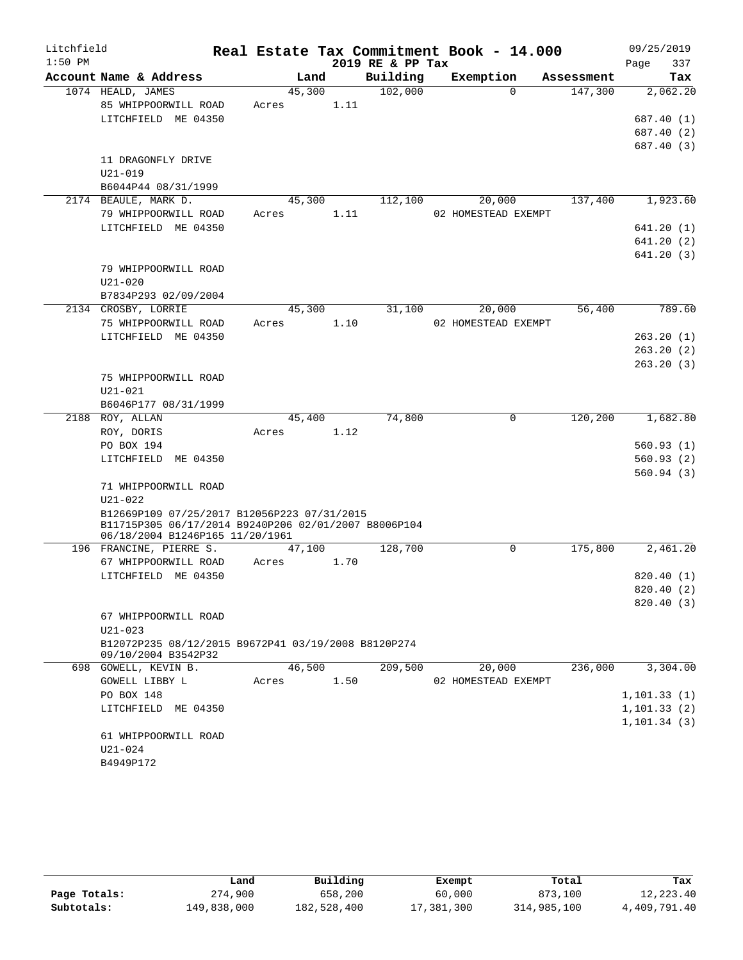| Litchfield |                                                      |       |        |      | Real Estate Tax Commitment Book - 14.000 |                     |             |            | 09/25/2019   |            |
|------------|------------------------------------------------------|-------|--------|------|------------------------------------------|---------------------|-------------|------------|--------------|------------|
| $1:50$ PM  |                                                      |       |        |      | 2019 RE & PP Tax                         |                     |             |            | Page         | 337        |
|            | Account Name & Address                               |       | Land   |      | Building                                 | Exemption           |             | Assessment |              | Tax        |
|            | 1074 HEALD, JAMES                                    |       | 45,300 |      | 102,000                                  |                     | $\Omega$    | 147,300    |              | 2,062.20   |
|            | 85 WHIPPOORWILL ROAD                                 | Acres |        | 1.11 |                                          |                     |             |            |              |            |
|            | LITCHFIELD ME 04350                                  |       |        |      |                                          |                     |             |            |              | 687.40 (1) |
|            |                                                      |       |        |      |                                          |                     |             |            |              | 687.40 (2) |
|            |                                                      |       |        |      |                                          |                     |             |            |              | 687.40 (3) |
|            | 11 DRAGONFLY DRIVE                                   |       |        |      |                                          |                     |             |            |              |            |
|            | $U21 - 019$                                          |       |        |      |                                          |                     |             |            |              |            |
|            | B6044P44 08/31/1999                                  |       |        |      |                                          |                     |             |            |              |            |
|            | 2174 BEAULE, MARK D.                                 |       | 45,300 |      | 112,100                                  | 20,000              |             | 137,400    |              | 1,923.60   |
|            | 79 WHIPPOORWILL ROAD                                 | Acres |        | 1.11 |                                          | 02 HOMESTEAD EXEMPT |             |            |              |            |
|            | LITCHFIELD ME 04350                                  |       |        |      |                                          |                     |             |            |              | 641.20 (1) |
|            |                                                      |       |        |      |                                          |                     |             |            |              | 641.20 (2) |
|            |                                                      |       |        |      |                                          |                     |             |            |              | 641.20(3)  |
|            | 79 WHIPPOORWILL ROAD                                 |       |        |      |                                          |                     |             |            |              |            |
|            | $U21 - 020$                                          |       |        |      |                                          |                     |             |            |              |            |
|            | B7834P293 02/09/2004                                 |       |        |      |                                          |                     |             |            |              |            |
|            | 2134 CROSBY, LORRIE                                  |       | 45,300 |      | 31,100                                   | 20,000              |             | 56,400     |              | 789.60     |
|            | 75 WHIPPOORWILL ROAD                                 | Acres |        | 1.10 |                                          | 02 HOMESTEAD EXEMPT |             |            |              |            |
|            | LITCHFIELD ME 04350                                  |       |        |      |                                          |                     |             |            |              | 263.20(1)  |
|            |                                                      |       |        |      |                                          |                     |             |            |              | 263.20(2)  |
|            | 75 WHIPPOORWILL ROAD                                 |       |        |      |                                          |                     |             |            |              | 263.20(3)  |
|            | $U21 - 021$                                          |       |        |      |                                          |                     |             |            |              |            |
|            | B6046P177 08/31/1999                                 |       |        |      |                                          |                     |             |            |              |            |
| 2188       | ROY, ALLAN                                           |       | 45,400 |      | 74,800                                   |                     | $\mathbf 0$ | 120, 200   |              | 1,682.80   |
|            | ROY, DORIS                                           | Acres |        | 1.12 |                                          |                     |             |            |              |            |
|            | PO BOX 194                                           |       |        |      |                                          |                     |             |            |              | 560.93(1)  |
|            | LITCHFIELD ME 04350                                  |       |        |      |                                          |                     |             |            |              | 560.93(2)  |
|            |                                                      |       |        |      |                                          |                     |             |            |              | 560.94(3)  |
|            | 71 WHIPPOORWILL ROAD                                 |       |        |      |                                          |                     |             |            |              |            |
|            | $U21 - 022$                                          |       |        |      |                                          |                     |             |            |              |            |
|            | B12669P109 07/25/2017 B12056P223 07/31/2015          |       |        |      |                                          |                     |             |            |              |            |
|            | B11715P305 06/17/2014 B9240P206 02/01/2007 B8006P104 |       |        |      |                                          |                     |             |            |              |            |
|            | 06/18/2004 B1246P165 11/20/1961                      |       |        |      |                                          |                     |             |            |              |            |
|            | 196 FRANCINE, PIERRE S.                              |       | 47,100 |      | 128,700                                  |                     | 0           | 175,800    |              | 2,461.20   |
|            | 67 WHIPPOORWILL ROAD                                 | Acres |        | 1.70 |                                          |                     |             |            |              |            |
|            | LITCHFIELD ME 04350                                  |       |        |      |                                          |                     |             |            |              | 820.40(1)  |
|            |                                                      |       |        |      |                                          |                     |             |            |              | 820.40 (2) |
|            | 67 WHIPPOORWILL ROAD                                 |       |        |      |                                          |                     |             |            |              | 820.40(3)  |
|            | $U21 - 023$                                          |       |        |      |                                          |                     |             |            |              |            |
|            | B12072P235 08/12/2015 B9672P41 03/19/2008 B8120P274  |       |        |      |                                          |                     |             |            |              |            |
|            | 09/10/2004 B3542P32                                  |       |        |      |                                          |                     |             |            |              |            |
|            | 698 GOWELL, KEVIN B.                                 |       | 46,500 |      | 209,500                                  | 20,000              |             | 236,000    |              | 3,304.00   |
|            | GOWELL LIBBY L                                       | Acres |        | 1.50 |                                          | 02 HOMESTEAD EXEMPT |             |            |              |            |
|            | PO BOX 148                                           |       |        |      |                                          |                     |             |            | 1, 101.33(1) |            |
|            | LITCHFIELD ME 04350                                  |       |        |      |                                          |                     |             |            | 1, 101.33(2) |            |
|            |                                                      |       |        |      |                                          |                     |             |            | 1, 101.34(3) |            |
|            | 61 WHIPPOORWILL ROAD                                 |       |        |      |                                          |                     |             |            |              |            |
|            | U21-024                                              |       |        |      |                                          |                     |             |            |              |            |
|            | B4949P172                                            |       |        |      |                                          |                     |             |            |              |            |
|            |                                                      |       |        |      |                                          |                     |             |            |              |            |

|              | Land        | Building    | Exempt     | Total       | Tax          |
|--------------|-------------|-------------|------------|-------------|--------------|
| Page Totals: | 274,900     | 658,200     | 60,000     | 873,100     | 12,223.40    |
| Subtotals:   | 149,838,000 | 182,528,400 | 17,381,300 | 314,985,100 | 4,409,791.40 |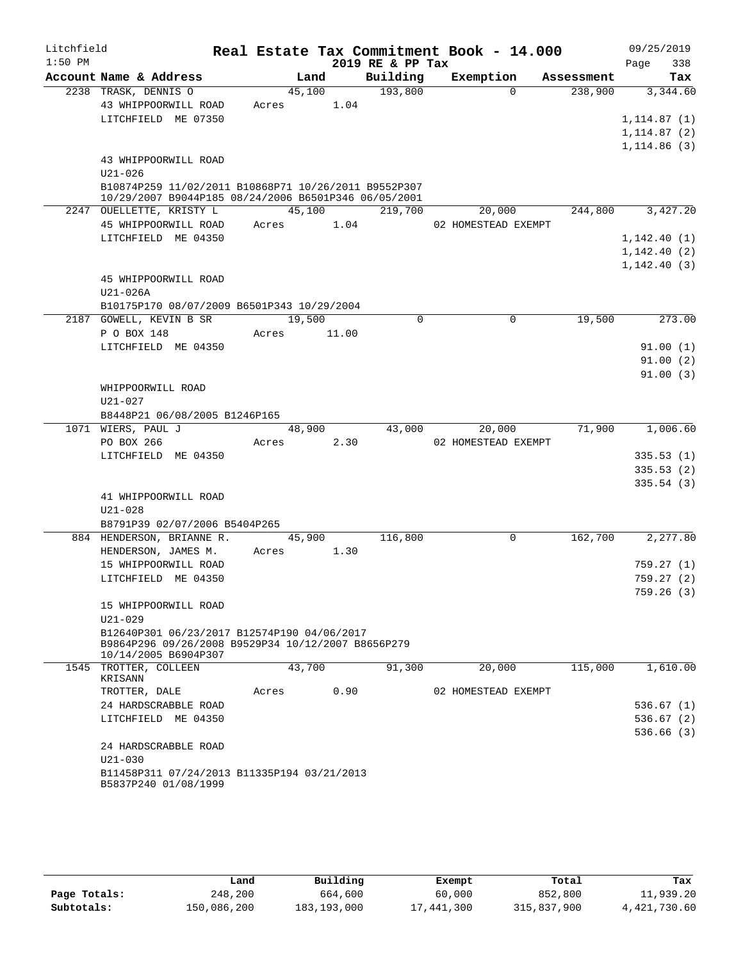| Litchfield |                                                                            |       |        |       |                  | Real Estate Tax Commitment Book - 14.000 |            |      | 09/25/2019                   |
|------------|----------------------------------------------------------------------------|-------|--------|-------|------------------|------------------------------------------|------------|------|------------------------------|
| $1:50$ PM  |                                                                            |       |        |       | 2019 RE & PP Tax |                                          |            | Page | 338                          |
|            | Account Name & Address                                                     |       | Land   |       | Building         | Exemption                                | Assessment |      | Tax                          |
|            | 2238 TRASK, DENNIS O                                                       |       | 45,100 |       | 193,800          | $\Omega$                                 | 238,900    |      | 3,344.60                     |
|            | 43 WHIPPOORWILL ROAD                                                       | Acres |        | 1.04  |                  |                                          |            |      |                              |
|            | LITCHFIELD ME 07350                                                        |       |        |       |                  |                                          |            |      | 1, 114.87(1)                 |
|            |                                                                            |       |        |       |                  |                                          |            |      | 1, 114.87(2)<br>1, 114.86(3) |
|            | 43 WHIPPOORWILL ROAD                                                       |       |        |       |                  |                                          |            |      |                              |
|            | $U21 - 026$                                                                |       |        |       |                  |                                          |            |      |                              |
|            | B10874P259 11/02/2011 B10868P71 10/26/2011 B9552P307                       |       |        |       |                  |                                          |            |      |                              |
|            | 10/29/2007 B9044P185 08/24/2006 B6501P346 06/05/2001                       |       |        |       |                  |                                          |            |      |                              |
|            | 2247 OUELLETTE, KRISTY L                                                   |       | 45,100 |       | 219,700          | 20,000                                   | 244,800    |      | 3,427.20                     |
|            | 45 WHIPPOORWILL ROAD                                                       | Acres |        | 1.04  |                  | 02 HOMESTEAD EXEMPT                      |            |      |                              |
|            | LITCHFIELD ME 04350                                                        |       |        |       |                  |                                          |            |      | 1,142.40(1)                  |
|            |                                                                            |       |        |       |                  |                                          |            |      | 1, 142.40(2)                 |
|            |                                                                            |       |        |       |                  |                                          |            |      | 1,142.40(3)                  |
|            | 45 WHIPPOORWILL ROAD                                                       |       |        |       |                  |                                          |            |      |                              |
|            | U21-026A                                                                   |       |        |       |                  |                                          |            |      |                              |
|            | B10175P170 08/07/2009 B6501P343 10/29/2004                                 |       | 19,500 |       | 0                | 0                                        | 19,500     |      | 273.00                       |
|            | 2187 GOWELL, KEVIN B SR<br>P O BOX 148                                     | Acres |        | 11.00 |                  |                                          |            |      |                              |
|            | LITCHFIELD ME 04350                                                        |       |        |       |                  |                                          |            |      | 91.00(1)                     |
|            |                                                                            |       |        |       |                  |                                          |            |      | 91.00(2)                     |
|            |                                                                            |       |        |       |                  |                                          |            |      | 91.00(3)                     |
|            | WHIPPOORWILL ROAD                                                          |       |        |       |                  |                                          |            |      |                              |
|            | U21-027                                                                    |       |        |       |                  |                                          |            |      |                              |
|            | B8448P21 06/08/2005 B1246P165                                              |       |        |       |                  |                                          |            |      |                              |
|            | 1071 WIERS, PAUL J                                                         |       | 48,900 |       | 43,000           | 20,000                                   | 71,900     |      | 1,006.60                     |
|            | PO BOX 266                                                                 | Acres |        | 2.30  |                  | 02 HOMESTEAD EXEMPT                      |            |      |                              |
|            | LITCHFIELD ME 04350                                                        |       |        |       |                  |                                          |            |      | 335.53(1)                    |
|            |                                                                            |       |        |       |                  |                                          |            |      | 335.53(2)                    |
|            |                                                                            |       |        |       |                  |                                          |            |      | 335.54(3)                    |
|            | 41 WHIPPOORWILL ROAD                                                       |       |        |       |                  |                                          |            |      |                              |
|            | $U21 - 028$<br>B8791P39 02/07/2006 B5404P265                               |       |        |       |                  |                                          |            |      |                              |
|            | 884 HENDERSON, BRIANNE R.                                                  |       | 45,900 |       | 116,800          | $\mathbf 0$                              | 162,700    |      | 2,277.80                     |
|            | HENDERSON, JAMES M.                                                        | Acres |        | 1.30  |                  |                                          |            |      |                              |
|            | 15 WHIPPOORWILL ROAD                                                       |       |        |       |                  |                                          |            |      | 759.27(1)                    |
|            | LITCHFIELD ME 04350                                                        |       |        |       |                  |                                          |            |      | 759.27(2)                    |
|            |                                                                            |       |        |       |                  |                                          |            |      | 759.26(3)                    |
|            | 15 WHIPPOORWILL ROAD                                                       |       |        |       |                  |                                          |            |      |                              |
|            | $U21 - 029$                                                                |       |        |       |                  |                                          |            |      |                              |
|            | B12640P301 06/23/2017 B12574P190 04/06/2017                                |       |        |       |                  |                                          |            |      |                              |
|            | B9864P296 09/26/2008 B9529P34 10/12/2007 B8656P279<br>10/14/2005 B6904P307 |       |        |       |                  |                                          |            |      |                              |
|            | 1545 TROTTER, COLLEEN                                                      |       | 43,700 |       | 91,300           | 20,000                                   | 115,000    |      | 1,610.00                     |
|            | KRISANN                                                                    |       |        |       |                  |                                          |            |      |                              |
|            | TROTTER, DALE                                                              | Acres |        | 0.90  |                  | 02 HOMESTEAD EXEMPT                      |            |      |                              |
|            | 24 HARDSCRABBLE ROAD                                                       |       |        |       |                  |                                          |            |      | 536.67(1)                    |
|            | LITCHFIELD ME 04350                                                        |       |        |       |                  |                                          |            |      | 536.67(2)                    |
|            |                                                                            |       |        |       |                  |                                          |            |      | 536.66(3)                    |
|            | 24 HARDSCRABBLE ROAD                                                       |       |        |       |                  |                                          |            |      |                              |
|            | $U21 - 030$                                                                |       |        |       |                  |                                          |            |      |                              |
|            | B11458P311 07/24/2013 B11335P194 03/21/2013<br>B5837P240 01/08/1999        |       |        |       |                  |                                          |            |      |                              |
|            |                                                                            |       |        |       |                  |                                          |            |      |                              |

|              | Land        | Building      | Exempt     | Total       | Tax          |
|--------------|-------------|---------------|------------|-------------|--------------|
| Page Totals: | 248,200     | 664,600       | 60,000     | 852,800     | 11,939.20    |
| Subtotals:   | 150,086,200 | 183, 193, 000 | 17,441,300 | 315,837,900 | 4,421,730.60 |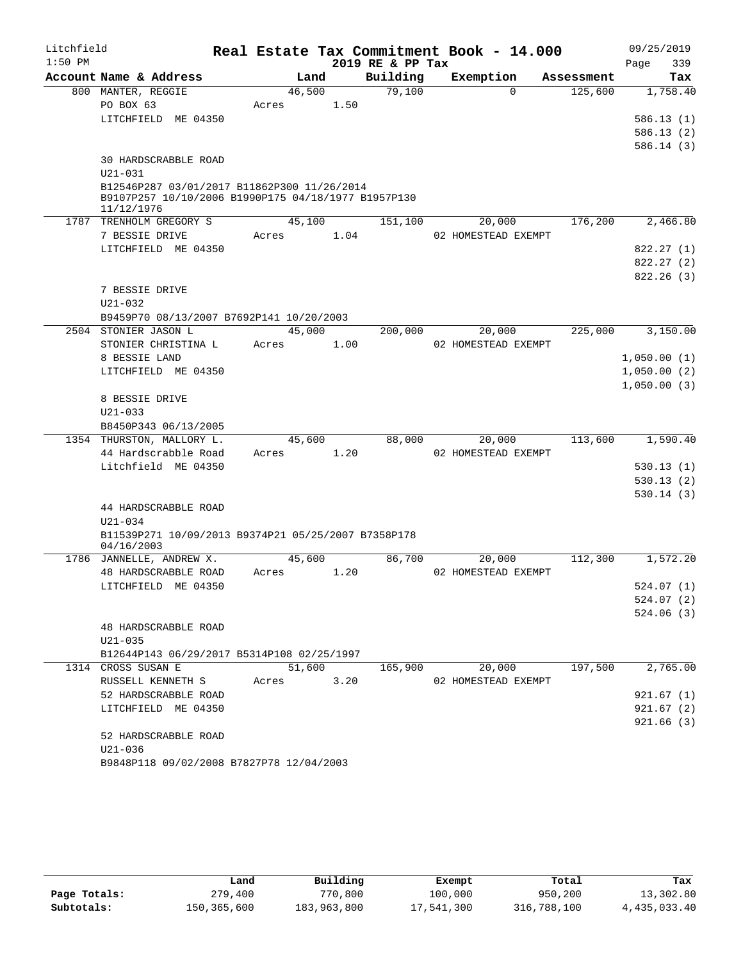| Litchfield |                                                                    |       |        |        | Real Estate Tax Commitment Book - 14.000 |                     |            |      | 09/25/2019  |
|------------|--------------------------------------------------------------------|-------|--------|--------|------------------------------------------|---------------------|------------|------|-------------|
| $1:50$ PM  |                                                                    |       |        |        | 2019 RE & PP Tax                         |                     |            | Page | 339         |
|            | Account Name & Address                                             |       | Land   |        | Building                                 | Exemption           | Assessment |      | Tax         |
|            | 800 MANTER, REGGIE                                                 |       | 46,500 |        | 79,100                                   | $\Omega$            | 125,600    |      | 1,758.40    |
|            | PO BOX 63                                                          | Acres |        | 1.50   |                                          |                     |            |      |             |
|            | LITCHFIELD ME 04350                                                |       |        |        |                                          |                     |            |      | 586.13(1)   |
|            |                                                                    |       |        |        |                                          |                     |            |      | 586.13 (2)  |
|            | 30 HARDSCRABBLE ROAD                                               |       |        |        |                                          |                     |            |      | 586.14 (3)  |
|            | $U21 - 031$                                                        |       |        |        |                                          |                     |            |      |             |
|            | B12546P287 03/01/2017 B11862P300 11/26/2014                        |       |        |        |                                          |                     |            |      |             |
|            | B9107P257 10/10/2006 B1990P175 04/18/1977 B1957P130                |       |        |        |                                          |                     |            |      |             |
|            | 11/12/1976                                                         |       |        |        |                                          |                     |            |      |             |
|            | 1787 TRENHOLM GREGORY S                                            |       | 45,100 |        | 151,100                                  | 20,000              | 176,200    |      | 2,466.80    |
|            | 7 BESSIE DRIVE                                                     | Acres |        | 1.04   |                                          | 02 HOMESTEAD EXEMPT |            |      |             |
|            | LITCHFIELD ME 04350                                                |       |        |        |                                          |                     |            |      | 822.27 (1)  |
|            |                                                                    |       |        |        |                                          |                     |            |      | 822.27(2)   |
|            |                                                                    |       |        |        |                                          |                     |            |      | 822.26(3)   |
|            | 7 BESSIE DRIVE<br>$U21 - 032$                                      |       |        |        |                                          |                     |            |      |             |
|            | B9459P70 08/13/2007 B7692P141 10/20/2003                           |       |        |        |                                          |                     |            |      |             |
| 2504       | STONIER JASON L                                                    |       | 45,000 |        | 200,000                                  | 20,000              | 225,000    |      | 3,150.00    |
|            | STONIER CHRISTINA L                                                | Acres |        | 1.00   |                                          | 02 HOMESTEAD EXEMPT |            |      |             |
|            | 8 BESSIE LAND                                                      |       |        |        |                                          |                     |            |      | 1,050.00(1) |
|            | LITCHFIELD ME 04350                                                |       |        |        |                                          |                     |            |      | 1,050.00(2) |
|            |                                                                    |       |        |        |                                          |                     |            |      | 1,050.00(3) |
|            | 8 BESSIE DRIVE                                                     |       |        |        |                                          |                     |            |      |             |
|            | $U21 - 033$                                                        |       |        |        |                                          |                     |            |      |             |
|            | B8450P343 06/13/2005                                               |       |        |        |                                          |                     |            |      |             |
|            | 1354 THURSTON, MALLORY L.                                          |       | 45,600 |        | 88,000                                   | 20,000              | 113,600    |      | 1,590.40    |
|            | 44 Hardscrabble Road                                               | Acres |        | 1.20   |                                          | 02 HOMESTEAD EXEMPT |            |      |             |
|            | Litchfield ME 04350                                                |       |        |        |                                          |                     |            |      | 530.13(1)   |
|            |                                                                    |       |        |        |                                          |                     |            |      | 530.13(2)   |
|            |                                                                    |       |        |        |                                          |                     |            |      | 530.14(3)   |
|            | 44 HARDSCRABBLE ROAD                                               |       |        |        |                                          |                     |            |      |             |
|            | $U21 - 034$<br>B11539P271 10/09/2013 B9374P21 05/25/2007 B7358P178 |       |        |        |                                          |                     |            |      |             |
|            | 04/16/2003                                                         |       |        |        |                                          |                     |            |      |             |
|            | 1786 JANNELLE, ANDREW X.                                           |       | 45,600 |        | 86,700                                   | 20,000              | 112,300    |      | 1,572.20    |
|            | 48 HARDSCRABBLE ROAD                                               | Acres |        | 1.20   |                                          | 02 HOMESTEAD EXEMPT |            |      |             |
|            | LITCHFIELD ME 04350                                                |       |        |        |                                          |                     |            |      | 524.07 (1)  |
|            |                                                                    |       |        |        |                                          |                     |            |      | 524.07 (2)  |
|            |                                                                    |       |        |        |                                          |                     |            |      | 524.06(3)   |
|            | 48 HARDSCRABBLE ROAD                                               |       |        |        |                                          |                     |            |      |             |
|            | $U21 - 035$                                                        |       |        |        |                                          |                     |            |      |             |
|            | B12644P143 06/29/2017 B5314P108 02/25/1997                         |       |        |        |                                          |                     |            |      |             |
|            | 1314 CROSS SUSAN E                                                 |       |        | 51,600 | 165,900                                  | 20,000              | 197,500    |      | 2,765.00    |
|            | RUSSELL KENNETH S                                                  | Acres |        | 3.20   |                                          | 02 HOMESTEAD EXEMPT |            |      |             |
|            | 52 HARDSCRABBLE ROAD                                               |       |        |        |                                          |                     |            |      | 921.67(1)   |
|            | LITCHFIELD ME 04350                                                |       |        |        |                                          |                     |            |      | 921.67(2)   |
|            | 52 HARDSCRABBLE ROAD                                               |       |        |        |                                          |                     |            |      | 921.66(3)   |
|            | U21-036                                                            |       |        |        |                                          |                     |            |      |             |
|            | B9848P118 09/02/2008 B7827P78 12/04/2003                           |       |        |        |                                          |                     |            |      |             |
|            |                                                                    |       |        |        |                                          |                     |            |      |             |

|              | Land        | Building    | Exempt     | Total       | Tax          |
|--------------|-------------|-------------|------------|-------------|--------------|
| Page Totals: | 279,400     | 770,800     | 100,000    | 950,200     | 13,302.80    |
| Subtotals:   | 150,365,600 | 183,963,800 | 17,541,300 | 316,788,100 | 4,435,033.40 |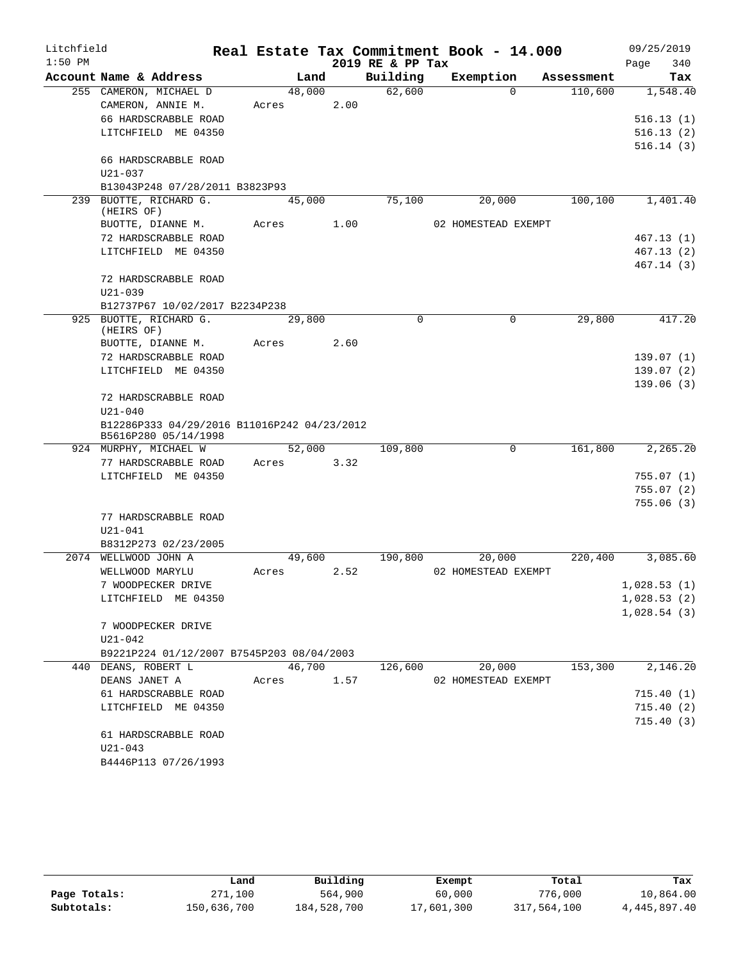| Litchfield |                                             |       |        |        |                  | Real Estate Tax Commitment Book - 14.000 |                     | 09/25/2019  |
|------------|---------------------------------------------|-------|--------|--------|------------------|------------------------------------------|---------------------|-------------|
| $1:50$ PM  |                                             |       |        |        | 2019 RE & PP Tax |                                          |                     | 340<br>Page |
|            | Account Name & Address                      |       | Land   |        | Building         | Exemption                                | Assessment          | Tax         |
|            | 255 CAMERON, MICHAEL D                      |       | 48,000 |        | 62,600           |                                          | 110,600<br>$\Omega$ | 1,548.40    |
|            | CAMERON, ANNIE M.                           | Acres |        | 2.00   |                  |                                          |                     |             |
|            | 66 HARDSCRABBLE ROAD                        |       |        |        |                  |                                          |                     | 516.13(1)   |
|            | LITCHFIELD ME 04350                         |       |        |        |                  |                                          |                     | 516.13(2)   |
|            |                                             |       |        |        |                  |                                          |                     | 516.14(3)   |
|            | 66 HARDSCRABBLE ROAD                        |       |        |        |                  |                                          |                     |             |
|            | $U21 - 037$                                 |       |        |        |                  |                                          |                     |             |
|            | B13043P248 07/28/2011 B3823P93              |       |        |        |                  |                                          |                     |             |
|            | 239 BUOTTE, RICHARD G.                      |       | 45,000 |        | 75,100           | 20,000                                   | 100, 100            | 1,401.40    |
|            | (HEIRS OF)                                  |       |        | 1.00   |                  | 02 HOMESTEAD EXEMPT                      |                     |             |
|            | BUOTTE, DIANNE M.                           | Acres |        |        |                  |                                          |                     |             |
|            | 72 HARDSCRABBLE ROAD<br>LITCHFIELD ME 04350 |       |        |        |                  |                                          |                     | 467.13(1)   |
|            |                                             |       |        |        |                  |                                          |                     | 467.13(2)   |
|            | 72 HARDSCRABBLE ROAD                        |       |        |        |                  |                                          |                     | 467.14 (3)  |
|            | $U21 - 039$                                 |       |        |        |                  |                                          |                     |             |
|            | B12737P67 10/02/2017 B2234P238              |       |        |        |                  |                                          |                     |             |
|            | 925 BUOTTE, RICHARD G.                      |       | 29,800 |        | 0                |                                          | 0<br>29,800         | 417.20      |
|            | (HEIRS OF)                                  |       |        |        |                  |                                          |                     |             |
|            | BUOTTE, DIANNE M.                           | Acres |        | 2.60   |                  |                                          |                     |             |
|            | 72 HARDSCRABBLE ROAD                        |       |        |        |                  |                                          |                     | 139.07(1)   |
|            | LITCHFIELD ME 04350                         |       |        |        |                  |                                          |                     | 139.07(2)   |
|            |                                             |       |        |        |                  |                                          |                     | 139.06(3)   |
|            | 72 HARDSCRABBLE ROAD                        |       |        |        |                  |                                          |                     |             |
|            | $U21 - 040$                                 |       |        |        |                  |                                          |                     |             |
|            | B12286P333 04/29/2016 B11016P242 04/23/2012 |       |        |        |                  |                                          |                     |             |
|            | B5616P280 05/14/1998                        |       |        |        |                  |                                          |                     |             |
|            | 924 MURPHY, MICHAEL W                       |       | 52,000 |        | 109,800          |                                          | 161,800<br>0        | 2,265.20    |
|            | 77 HARDSCRABBLE ROAD                        | Acres |        | 3.32   |                  |                                          |                     |             |
|            | LITCHFIELD ME 04350                         |       |        |        |                  |                                          |                     | 755.07(1)   |
|            |                                             |       |        |        |                  |                                          |                     | 755.07(2)   |
|            |                                             |       |        |        |                  |                                          |                     | 755.06(3)   |
|            | 77 HARDSCRABBLE ROAD                        |       |        |        |                  |                                          |                     |             |
|            | $U21 - 041$                                 |       |        |        |                  |                                          |                     |             |
|            | B8312P273 02/23/2005                        |       |        |        |                  |                                          |                     |             |
|            | 2074 WELLWOOD JOHN A                        |       | 49,600 |        | 190,800          | 20,000                                   | 220,400             | 3,085.60    |
|            | WELLWOOD MARYLU                             | Acres |        | 2.52   |                  | 02 HOMESTEAD EXEMPT                      |                     |             |
|            | 7 WOODPECKER DRIVE                          |       |        |        |                  |                                          |                     | 1,028.53(1) |
|            | LITCHFIELD ME 04350                         |       |        |        |                  |                                          |                     | 1,028.53(2) |
|            |                                             |       |        |        |                  |                                          |                     | 1,028.54(3) |
|            | 7 WOODPECKER DRIVE                          |       |        |        |                  |                                          |                     |             |
|            | U21-042                                     |       |        |        |                  |                                          |                     |             |
|            | B9221P224 01/12/2007 B7545P203 08/04/2003   |       |        |        |                  |                                          |                     |             |
|            | 440 DEANS, ROBERT L                         |       |        | 46,700 | 126,600          | 20,000                                   | 153,300             | 2,146.20    |
|            | DEANS JANET A                               |       | Acres  | 1.57   |                  | 02 HOMESTEAD EXEMPT                      |                     |             |
|            | 61 HARDSCRABBLE ROAD                        |       |        |        |                  |                                          |                     | 715.40(1)   |
|            | LITCHFIELD ME 04350                         |       |        |        |                  |                                          |                     | 715.40(2)   |
|            |                                             |       |        |        |                  |                                          |                     | 715.40(3)   |
|            | 61 HARDSCRABBLE ROAD                        |       |        |        |                  |                                          |                     |             |
|            | $U21 - 043$                                 |       |        |        |                  |                                          |                     |             |
|            | B4446P113 07/26/1993                        |       |        |        |                  |                                          |                     |             |

|              | Land        | Building    | Exempt     | Total       | Tax          |
|--------------|-------------|-------------|------------|-------------|--------------|
| Page Totals: | 271,100     | 564,900     | 60,000     | 776,000     | 10,864.00    |
| Subtotals:   | 150,636,700 | 184,528,700 | 17,601,300 | 317,564,100 | 4,445,897.40 |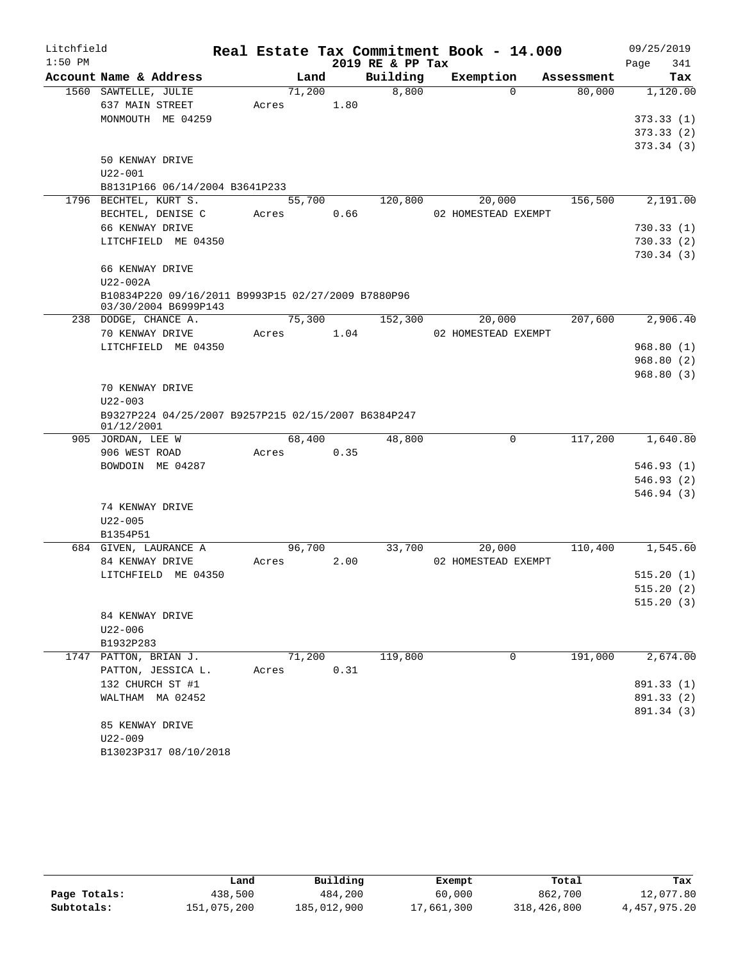| Litchfield |                                                                   |       |        |      |                  | Real Estate Tax Commitment Book - 14.000 |            | 09/25/2019  |
|------------|-------------------------------------------------------------------|-------|--------|------|------------------|------------------------------------------|------------|-------------|
| $1:50$ PM  |                                                                   |       |        |      | 2019 RE & PP Tax |                                          |            | 341<br>Page |
|            | Account Name & Address                                            |       | Land   |      | Building         | Exemption                                | Assessment | Tax         |
|            | 1560 SAWTELLE, JULIE                                              |       | 71,200 |      | 8,800            | $\Omega$                                 | 80,000     | 1,120.00    |
|            | 637 MAIN STREET                                                   | Acres |        | 1.80 |                  |                                          |            |             |
|            | MONMOUTH ME 04259                                                 |       |        |      |                  |                                          |            | 373.33(1)   |
|            |                                                                   |       |        |      |                  |                                          |            | 373.33(2)   |
|            |                                                                   |       |        |      |                  |                                          |            | 373.34(3)   |
|            | 50 KENWAY DRIVE                                                   |       |        |      |                  |                                          |            |             |
|            | U22-001<br>B8131P166 06/14/2004 B3641P233                         |       |        |      |                  |                                          |            |             |
|            | 1796 BECHTEL, KURT S.                                             |       | 55,700 |      | 120,800          | 20,000                                   | 156,500    | 2,191.00    |
|            | BECHTEL, DENISE C                                                 | Acres |        | 0.66 |                  | 02 HOMESTEAD EXEMPT                      |            |             |
|            | 66 KENWAY DRIVE                                                   |       |        |      |                  |                                          |            | 730.33(1)   |
|            | LITCHFIELD ME 04350                                               |       |        |      |                  |                                          |            | 730.33(2)   |
|            |                                                                   |       |        |      |                  |                                          |            | 730.34(3)   |
|            | 66 KENWAY DRIVE                                                   |       |        |      |                  |                                          |            |             |
|            | U22-002A                                                          |       |        |      |                  |                                          |            |             |
|            | B10834P220 09/16/2011 B9993P15 02/27/2009 B7880P96                |       |        |      |                  |                                          |            |             |
|            | 03/30/2004 B6999P143                                              |       |        |      |                  |                                          |            |             |
|            | 238 DODGE, CHANCE A.                                              |       | 75,300 |      | 152,300          | 20,000                                   | 207,600    | 2,906.40    |
|            | 70 KENWAY DRIVE                                                   | Acres |        | 1.04 |                  | 02 HOMESTEAD EXEMPT                      |            |             |
|            | LITCHFIELD ME 04350                                               |       |        |      |                  |                                          |            | 968.80(1)   |
|            |                                                                   |       |        |      |                  |                                          |            | 968.80(2)   |
|            |                                                                   |       |        |      |                  |                                          |            | 968.80(3)   |
|            | 70 KENWAY DRIVE                                                   |       |        |      |                  |                                          |            |             |
|            | $U22 - 003$                                                       |       |        |      |                  |                                          |            |             |
|            | B9327P224 04/25/2007 B9257P215 02/15/2007 B6384P247<br>01/12/2001 |       |        |      |                  |                                          |            |             |
|            | 905 JORDAN, LEE W                                                 |       | 68,400 |      | 48,800           | 0                                        | 117,200    | 1,640.80    |
|            | 906 WEST ROAD                                                     | Acres |        | 0.35 |                  |                                          |            |             |
|            | BOWDOIN ME 04287                                                  |       |        |      |                  |                                          |            | 546.93(1)   |
|            |                                                                   |       |        |      |                  |                                          |            | 546.93(2)   |
|            |                                                                   |       |        |      |                  |                                          |            | 546.94(3)   |
|            | 74 KENWAY DRIVE                                                   |       |        |      |                  |                                          |            |             |
|            | $U22 - 005$                                                       |       |        |      |                  |                                          |            |             |
|            | B1354P51                                                          |       |        |      |                  |                                          |            |             |
|            | 684 GIVEN, LAURANCE A                                             |       | 96,700 |      | 33,700           | 20,000                                   | 110,400    | 1,545.60    |
|            | 84 KENWAY DRIVE                                                   | Acres |        | 2.00 |                  | 02 HOMESTEAD EXEMPT                      |            |             |
|            | LITCHFIELD ME 04350                                               |       |        |      |                  |                                          |            | 515.20(1)   |
|            |                                                                   |       |        |      |                  |                                          |            | 515.20(2)   |
|            | 84 KENWAY DRIVE                                                   |       |        |      |                  |                                          |            | 515.20(3)   |
|            | $U22 - 006$                                                       |       |        |      |                  |                                          |            |             |
|            | B1932P283                                                         |       |        |      |                  |                                          |            |             |
|            | 1747 PATTON, BRIAN J.                                             |       | 71,200 |      | 119,800          | 0                                        | 191,000    | 2,674.00    |
|            | PATTON, JESSICA L.                                                | Acres |        | 0.31 |                  |                                          |            |             |
|            | 132 CHURCH ST #1                                                  |       |        |      |                  |                                          |            | 891.33 (1)  |
|            | WALTHAM MA 02452                                                  |       |        |      |                  |                                          |            | 891.33 (2)  |
|            |                                                                   |       |        |      |                  |                                          |            | 891.34 (3)  |
|            | 85 KENWAY DRIVE                                                   |       |        |      |                  |                                          |            |             |
|            | $U22 - 009$                                                       |       |        |      |                  |                                          |            |             |
|            | B13023P317 08/10/2018                                             |       |        |      |                  |                                          |            |             |

|              | ⊥and        | Building    | Exempt     | Total       | Tax          |
|--------------|-------------|-------------|------------|-------------|--------------|
| Page Totals: | 438,500     | 484,200     | 60,000     | 862,700     | 12,077.80    |
| Subtotals:   | 151,075,200 | 185,012,900 | 17,661,300 | 318,426,800 | 4,457,975.20 |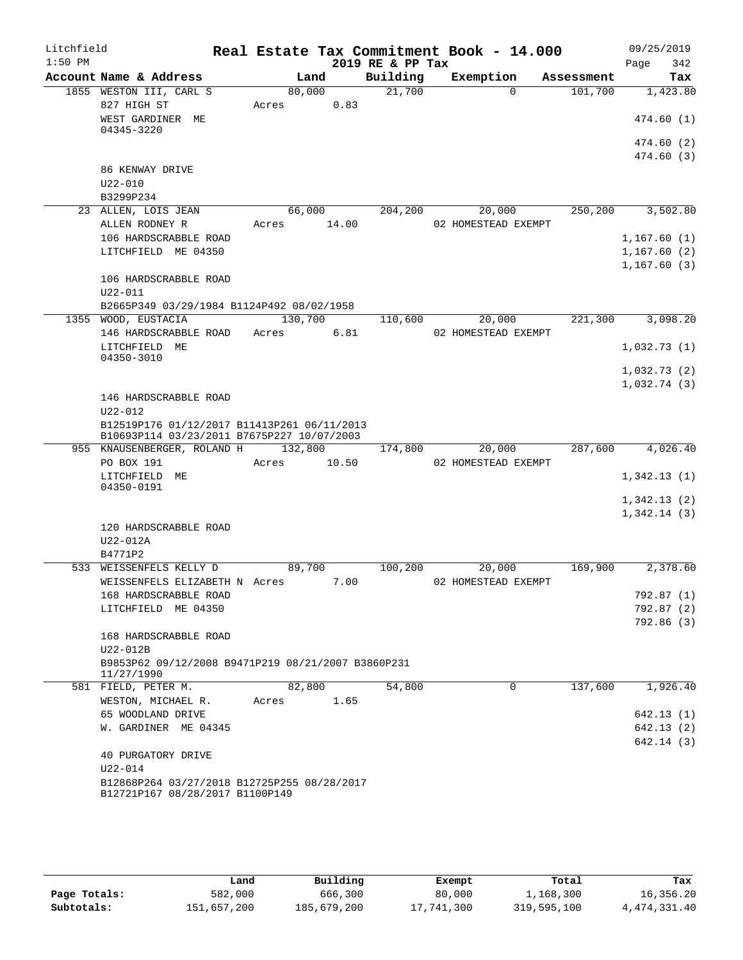| Litchfield |                                                                                           |       |         |       | Real Estate Tax Commitment Book - 14.000 |                               |            | 09/25/2019              |            |
|------------|-------------------------------------------------------------------------------------------|-------|---------|-------|------------------------------------------|-------------------------------|------------|-------------------------|------------|
| $1:50$ PM  |                                                                                           |       |         |       | 2019 RE & PP Tax                         |                               |            | Page                    | 342        |
|            | Account Name & Address                                                                    |       | Land    |       | Building                                 | Exemption                     | Assessment |                         | Tax        |
|            | 1855 WESTON III, CARL S<br>827 HIGH ST                                                    | Acres | 80,000  | 0.83  | 21,700                                   | $\Omega$                      | 101,700    |                         | 1,423.80   |
|            | WEST GARDINER ME<br>04345-3220                                                            |       |         |       |                                          |                               |            | 474.60(1)               |            |
|            |                                                                                           |       |         |       |                                          |                               |            | 474.60 (2)              |            |
|            | 86 KENWAY DRIVE                                                                           |       |         |       |                                          |                               |            | 474.60 (3)              |            |
|            | $U22 - 010$                                                                               |       |         |       |                                          |                               |            |                         |            |
|            | B3299P234                                                                                 |       |         |       |                                          |                               |            |                         |            |
|            | 23 ALLEN, LOIS JEAN                                                                       |       | 66,000  |       | 204,200                                  | 20,000                        | 250,200    |                         | 3,502.80   |
|            | ALLEN RODNEY R                                                                            | Acres |         | 14.00 |                                          | 02 HOMESTEAD EXEMPT           |            |                         |            |
|            | 106 HARDSCRABBLE ROAD                                                                     |       |         |       |                                          |                               |            | 1,167.60(1)             |            |
|            | LITCHFIELD ME 04350                                                                       |       |         |       |                                          |                               |            | 1,167.60(2)             |            |
|            |                                                                                           |       |         |       |                                          |                               |            | 1,167.60(3)             |            |
|            | 106 HARDSCRABBLE ROAD                                                                     |       |         |       |                                          |                               |            |                         |            |
|            | $U22 - 011$                                                                               |       |         |       |                                          |                               |            |                         |            |
|            | B2665P349 03/29/1984 B1124P492 08/02/1958                                                 |       |         |       |                                          |                               |            |                         |            |
|            | 1355 WOOD, EUSTACIA                                                                       |       | 130,700 |       | 110,600                                  | 20,000<br>02 HOMESTEAD EXEMPT | 221,300    |                         | 3,098.20   |
|            | 146 HARDSCRABBLE ROAD<br>LITCHFIELD ME                                                    | Acres |         | 6.81  |                                          |                               |            | 1,032.73(1)             |            |
|            | 04350-3010                                                                                |       |         |       |                                          |                               |            |                         |            |
|            |                                                                                           |       |         |       |                                          |                               |            | 1,032.73(2)             |            |
|            |                                                                                           |       |         |       |                                          |                               |            | 1,032.74(3)             |            |
|            | 146 HARDSCRABBLE ROAD                                                                     |       |         |       |                                          |                               |            |                         |            |
|            | $U22 - 012$                                                                               |       |         |       |                                          |                               |            |                         |            |
|            | B12519P176 01/12/2017 B11413P261 06/11/2013<br>B10693P114 03/23/2011 B7675P227 10/07/2003 |       |         |       |                                          |                               |            |                         |            |
|            | 955 KNAUSENBERGER, ROLAND H                                                               |       | 132,800 |       | 174,800                                  | 20,000                        | 287,600    |                         | 4,026.40   |
|            | PO BOX 191                                                                                | Acres |         | 10.50 |                                          | 02 HOMESTEAD EXEMPT           |            |                         |            |
|            | LITCHFIELD ME                                                                             |       |         |       |                                          |                               |            | 1,342.13(1)             |            |
|            | 04350-0191                                                                                |       |         |       |                                          |                               |            |                         |            |
|            |                                                                                           |       |         |       |                                          |                               |            | 1,342.13(2)             |            |
|            |                                                                                           |       |         |       |                                          |                               |            | 1,342.14(3)             |            |
|            | 120 HARDSCRABBLE ROAD<br>U22-012A                                                         |       |         |       |                                          |                               |            |                         |            |
|            | B4771P2                                                                                   |       |         |       |                                          |                               |            |                         |            |
| 533        | WEISSENFELS KELLY D                                                                       |       | 89,700  |       | 100,200                                  | 20,000                        | 169,900    |                         | 2,378.60   |
|            | WEISSENFELS ELIZABETH N Acres                                                             |       |         | 7.00  |                                          | 02 HOMESTEAD EXEMPT           |            |                         |            |
|            | 168 HARDSCRABBLE ROAD                                                                     |       |         |       |                                          |                               |            | 792.87 (1)              |            |
|            | LITCHFIELD ME 04350                                                                       |       |         |       |                                          |                               |            | 792.87 (2)              |            |
|            |                                                                                           |       |         |       |                                          |                               |            |                         | 792.86 (3) |
|            | 168 HARDSCRABBLE ROAD                                                                     |       |         |       |                                          |                               |            |                         |            |
|            | U22-012B                                                                                  |       |         |       |                                          |                               |            |                         |            |
|            | B9853P62 09/12/2008 B9471P219 08/21/2007 B3860P231<br>11/27/1990                          |       |         |       |                                          |                               |            |                         |            |
|            | 581 FIELD, PETER M.                                                                       |       | 82,800  |       | 54,800                                   | 0                             | 137,600    |                         | 1,926.40   |
|            | WESTON, MICHAEL R.                                                                        | Acres |         | 1.65  |                                          |                               |            |                         |            |
|            | 65 WOODLAND DRIVE<br>W. GARDINER ME 04345                                                 |       |         |       |                                          |                               |            | 642.13(1)<br>642.13 (2) |            |
|            |                                                                                           |       |         |       |                                          |                               |            | 642.14 (3)              |            |
|            | 40 PURGATORY DRIVE                                                                        |       |         |       |                                          |                               |            |                         |            |
|            | U22-014                                                                                   |       |         |       |                                          |                               |            |                         |            |
|            | B12868P264 03/27/2018 B12725P255 08/28/2017                                               |       |         |       |                                          |                               |            |                         |            |
|            | B12721P167 08/28/2017 B1100P149                                                           |       |         |       |                                          |                               |            |                         |            |
|            |                                                                                           |       |         |       |                                          |                               |            |                         |            |

|              | Land        | Building    | Exempt     | Total       | Tax            |
|--------------|-------------|-------------|------------|-------------|----------------|
| Page Totals: | 582,000     | 666,300     | 80,000     | 1,168,300   | 16,356.20      |
| Subtotals:   | 151,657,200 | 185,679,200 | 17,741,300 | 319,595,100 | 4, 474, 331.40 |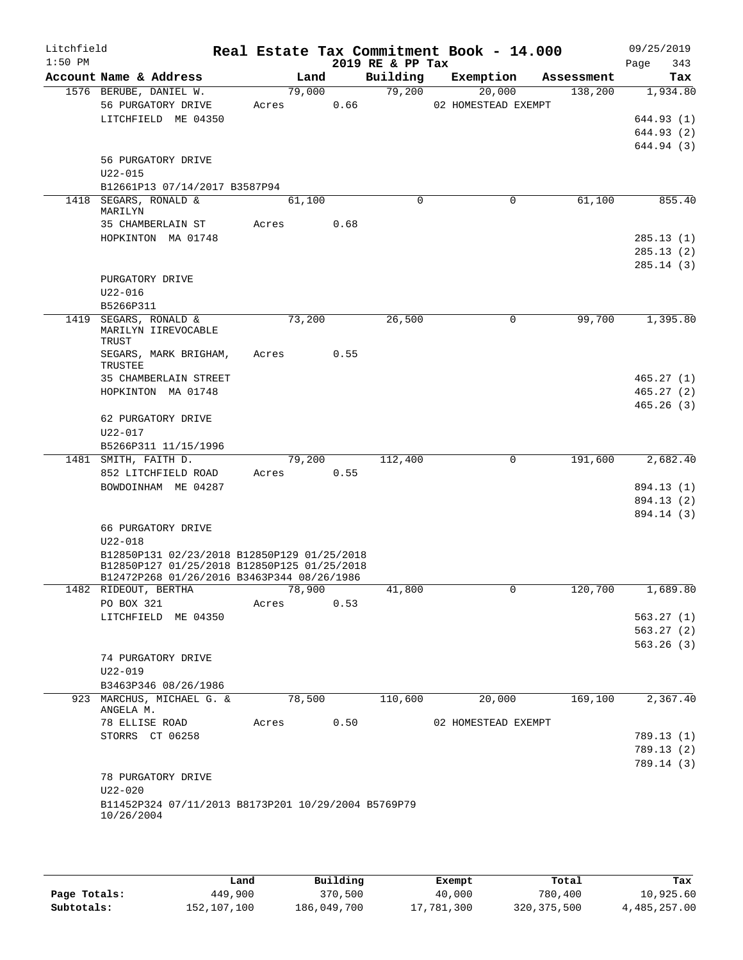| Litchfield<br>$1:50$ PM |                                                                                                                                          |                 |      | 2019 RE & PP Tax | Real Estate Tax Commitment Book - 14.000 |            | 09/25/2019<br>343<br>Page              |
|-------------------------|------------------------------------------------------------------------------------------------------------------------------------------|-----------------|------|------------------|------------------------------------------|------------|----------------------------------------|
|                         | Account Name & Address                                                                                                                   | Land            |      | Building         | Exemption                                | Assessment | Tax                                    |
|                         | 1576 BERUBE, DANIEL W.<br>56 PURGATORY DRIVE<br>LITCHFIELD ME 04350                                                                      | 79,000<br>Acres | 0.66 | 79,200           | 20,000<br>02 HOMESTEAD EXEMPT            | 138,200    | 1,934.80<br>644.93 (1)                 |
|                         | 56 PURGATORY DRIVE<br>$U22 - 015$                                                                                                        |                 |      |                  |                                          |            | 644.93 (2)<br>644.94 (3)               |
|                         | B12661P13 07/14/2017 B3587P94                                                                                                            |                 |      |                  |                                          |            |                                        |
|                         | 1418 SEGARS, RONALD &<br>MARILYN                                                                                                         | 61,100          |      | $\Omega$         | 0                                        | 61,100     | 855.40                                 |
|                         | 35 CHAMBERLAIN ST<br>HOPKINTON MA 01748                                                                                                  | Acres           | 0.68 |                  |                                          |            | 285.13(1)<br>285.13(2)<br>285.14(3)    |
|                         | PURGATORY DRIVE<br>$U22 - 016$                                                                                                           |                 |      |                  |                                          |            |                                        |
|                         | B5266P311                                                                                                                                |                 |      |                  |                                          |            |                                        |
|                         | 1419 SEGARS, RONALD &<br>MARILYN IIREVOCABLE<br>TRUST                                                                                    | 73,200          |      | 26,500           | $\mathbf 0$                              | 99,700     | 1,395.80                               |
|                         | SEGARS, MARK BRIGHAM,<br>TRUSTEE<br>35 CHAMBERLAIN STREET                                                                                | Acres           | 0.55 |                  |                                          |            |                                        |
|                         | HOPKINTON MA 01748                                                                                                                       |                 |      |                  |                                          |            | 465.27(1)<br>465.27(2)<br>465.26(3)    |
|                         | 62 PURGATORY DRIVE<br>$U22 - 017$                                                                                                        |                 |      |                  |                                          |            |                                        |
|                         | B5266P311 11/15/1996<br>1481 SMITH, FAITH D.                                                                                             | 79,200          |      | 112,400          | $\mathbf 0$                              | 191,600    | 2,682.40                               |
|                         | 852 LITCHFIELD ROAD                                                                                                                      | Acres           | 0.55 |                  |                                          |            |                                        |
|                         | BOWDOINHAM ME 04287                                                                                                                      |                 |      |                  |                                          |            | 894.13 (1)<br>894.13 (2)<br>894.14 (3) |
|                         | 66 PURGATORY DRIVE<br>$U22 - 018$                                                                                                        |                 |      |                  |                                          |            |                                        |
|                         | B12850P131 02/23/2018 B12850P129 01/25/2018<br>B12850P127 01/25/2018 B12850P125 01/25/2018<br>B12472P268 01/26/2016 B3463P344 08/26/1986 |                 |      |                  |                                          |            |                                        |
|                         | 1482 RIDEOUT, BERTHA                                                                                                                     | 78,900          |      | 41,800           | $\overline{0}$                           | 120,700    | 1,689.80                               |
|                         | PO BOX 321<br>LITCHFIELD ME 04350                                                                                                        | Acres           | 0.53 |                  |                                          |            | 563.27(1)                              |
|                         |                                                                                                                                          |                 |      |                  |                                          |            | 563.27(2)<br>563.26(3)                 |
|                         | 74 PURGATORY DRIVE<br>$U22 - 019$                                                                                                        |                 |      |                  |                                          |            |                                        |
|                         | B3463P346 08/26/1986<br>923 MARCHUS, MICHAEL G. &                                                                                        | 78,500          |      | 110,600          |                                          | 169,100    | 2,367.40                               |
|                         | ANGELA M.<br>78 ELLISE ROAD                                                                                                              | Acres           | 0.50 |                  | 20,000<br>02 HOMESTEAD EXEMPT            |            |                                        |
|                         | STORRS CT 06258                                                                                                                          |                 |      |                  |                                          |            | 789.13 (1)<br>789.13(2)                |
|                         | 78 PURGATORY DRIVE                                                                                                                       |                 |      |                  |                                          |            | 789.14 (3)                             |
|                         | $U22 - 020$<br>B11452P324 07/11/2013 B8173P201 10/29/2004 B5769P79<br>10/26/2004                                                         |                 |      |                  |                                          |            |                                        |

|              | Land        | Building    | Exempt     | Total         | Tax          |
|--------------|-------------|-------------|------------|---------------|--------------|
| Page Totals: | 449,900     | 370,500     | 40,000     | 780,400       | 10,925.60    |
| Subtotals:   | 152,107,100 | 186,049,700 | 17,781,300 | 320, 375, 500 | 4,485,257.00 |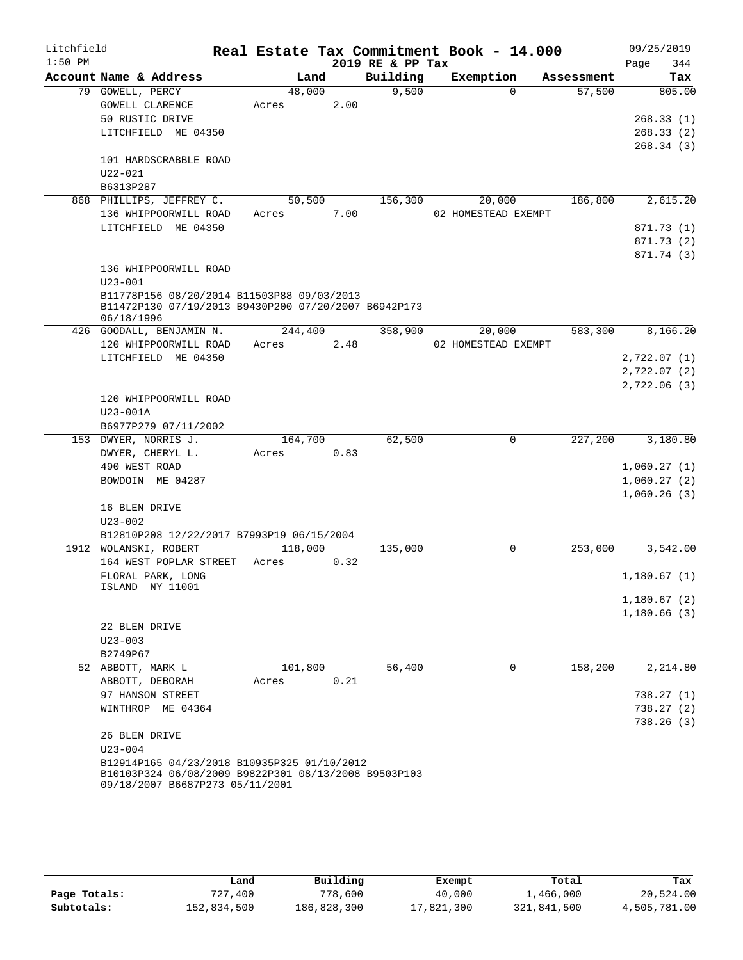| Litchfield |                                                                                                     |         |        |      | Real Estate Tax Commitment Book - 14.000 |                     |             |            | 09/25/2019   |
|------------|-----------------------------------------------------------------------------------------------------|---------|--------|------|------------------------------------------|---------------------|-------------|------------|--------------|
| $1:50$ PM  |                                                                                                     |         |        |      | 2019 RE & PP Tax                         |                     |             |            | Page<br>344  |
|            | Account Name & Address                                                                              |         | Land   |      | Building                                 | Exemption           |             | Assessment | Tax          |
|            | 79 GOWELL, PERCY                                                                                    |         | 48,000 |      | 9,500                                    |                     | $\Omega$    | 57,500     | 805.00       |
|            | GOWELL CLARENCE                                                                                     | Acres   |        | 2.00 |                                          |                     |             |            |              |
|            | 50 RUSTIC DRIVE                                                                                     |         |        |      |                                          |                     |             |            | 268.33(1)    |
|            | LITCHFIELD ME 04350                                                                                 |         |        |      |                                          |                     |             |            | 268.33(2)    |
|            |                                                                                                     |         |        |      |                                          |                     |             |            | 268.34(3)    |
|            | 101 HARDSCRABBLE ROAD                                                                               |         |        |      |                                          |                     |             |            |              |
|            | $U22 - 021$                                                                                         |         |        |      |                                          |                     |             |            |              |
|            | B6313P287                                                                                           |         |        |      |                                          |                     |             |            |              |
|            | 868 PHILLIPS, JEFFREY C.                                                                            |         | 50,500 |      | 156,300                                  |                     | 20,000      | 186,800    | 2,615.20     |
|            | 136 WHIPPOORWILL ROAD                                                                               | Acres   |        | 7.00 |                                          | 02 HOMESTEAD EXEMPT |             |            |              |
|            | LITCHFIELD ME 04350                                                                                 |         |        |      |                                          |                     |             |            | 871.73 (1)   |
|            |                                                                                                     |         |        |      |                                          |                     |             |            | 871.73 (2)   |
|            |                                                                                                     |         |        |      |                                          |                     |             |            | 871.74 (3)   |
|            | 136 WHIPPOORWILL ROAD                                                                               |         |        |      |                                          |                     |             |            |              |
|            | $U23 - 001$                                                                                         |         |        |      |                                          |                     |             |            |              |
|            | B11778P156 08/20/2014 B11503P88 09/03/2013                                                          |         |        |      |                                          |                     |             |            |              |
|            | B11472P130 07/19/2013 B9430P200 07/20/2007 B6942P173                                                |         |        |      |                                          |                     |             |            |              |
|            | 06/18/1996                                                                                          |         |        |      |                                          |                     |             |            |              |
|            | 426 GOODALL, BENJAMIN N.                                                                            | 244,400 |        |      | 358,900                                  |                     | 20,000      | 583,300    | 8,166.20     |
|            | 120 WHIPPOORWILL ROAD                                                                               | Acres   |        | 2.48 |                                          | 02 HOMESTEAD EXEMPT |             |            |              |
|            | LITCHFIELD ME 04350                                                                                 |         |        |      |                                          |                     |             |            | 2,722.07(1)  |
|            |                                                                                                     |         |        |      |                                          |                     |             |            | 2,722.07(2)  |
|            |                                                                                                     |         |        |      |                                          |                     |             |            | 2,722.06 (3) |
|            | 120 WHIPPOORWILL ROAD                                                                               |         |        |      |                                          |                     |             |            |              |
|            | $U23 - 001A$                                                                                        |         |        |      |                                          |                     |             |            |              |
|            | B6977P279 07/11/2002                                                                                |         |        |      |                                          |                     |             |            |              |
|            | 153 DWYER, NORRIS J.                                                                                | 164,700 |        |      | 62,500                                   |                     | 0           | 227,200    | 3,180.80     |
|            | DWYER, CHERYL L.                                                                                    | Acres   |        | 0.83 |                                          |                     |             |            |              |
|            | 490 WEST ROAD                                                                                       |         |        |      |                                          |                     |             |            | 1,060.27(1)  |
|            | BOWDOIN ME 04287                                                                                    |         |        |      |                                          |                     |             |            | 1,060.27(2)  |
|            |                                                                                                     |         |        |      |                                          |                     |             |            | 1,060.26(3)  |
|            | 16 BLEN DRIVE                                                                                       |         |        |      |                                          |                     |             |            |              |
|            | $U23 - 002$                                                                                         |         |        |      |                                          |                     |             |            |              |
|            | B12810P208 12/22/2017 B7993P19 06/15/2004                                                           |         |        |      |                                          |                     |             |            |              |
|            | 1912 WOLANSKI, ROBERT                                                                               | 118,000 |        |      | 135,000                                  |                     | $\mathbf 0$ | 253,000    | 3,542.00     |
|            | 164 WEST POPLAR STREET                                                                              | Acres   |        | 0.32 |                                          |                     |             |            |              |
|            | FLORAL PARK, LONG                                                                                   |         |        |      |                                          |                     |             |            | 1,180.67(1)  |
|            | ISLAND NY 11001                                                                                     |         |        |      |                                          |                     |             |            |              |
|            |                                                                                                     |         |        |      |                                          |                     |             |            | 1,180.67(2)  |
|            |                                                                                                     |         |        |      |                                          |                     |             |            | 1,180.66(3)  |
|            | 22 BLEN DRIVE                                                                                       |         |        |      |                                          |                     |             |            |              |
|            | $U23 - 003$                                                                                         |         |        |      |                                          |                     |             |            |              |
|            | B2749P67                                                                                            | 101,800 |        |      | 56,400                                   |                     | 0           | 158,200    |              |
|            | 52 ABBOTT, MARK L                                                                                   |         |        |      |                                          |                     |             |            | 2,214.80     |
|            | ABBOTT, DEBORAH                                                                                     | Acres   |        | 0.21 |                                          |                     |             |            |              |
|            | 97 HANSON STREET                                                                                    |         |        |      |                                          |                     |             |            | 738.27(1)    |
|            | WINTHROP ME 04364                                                                                   |         |        |      |                                          |                     |             |            | 738.27(2)    |
|            |                                                                                                     |         |        |      |                                          |                     |             |            | 738.26(3)    |
|            | 26 BLEN DRIVE                                                                                       |         |        |      |                                          |                     |             |            |              |
|            | $U23 - 004$                                                                                         |         |        |      |                                          |                     |             |            |              |
|            | B12914P165 04/23/2018 B10935P325 01/10/2012<br>B10103P324 06/08/2009 B9822P301 08/13/2008 B9503P103 |         |        |      |                                          |                     |             |            |              |
|            | 09/18/2007 B6687P273 05/11/2001                                                                     |         |        |      |                                          |                     |             |            |              |
|            |                                                                                                     |         |        |      |                                          |                     |             |            |              |

|              | Land        | Building    | Exempt     | Total       | Tax          |
|--------------|-------------|-------------|------------|-------------|--------------|
| Page Totals: | 727,400     | 778,600     | 40,000     | 1,466,000   | 20,524.00    |
| Subtotals:   | 152,834,500 | 186,828,300 | 17,821,300 | 321,841,500 | 4,505,781.00 |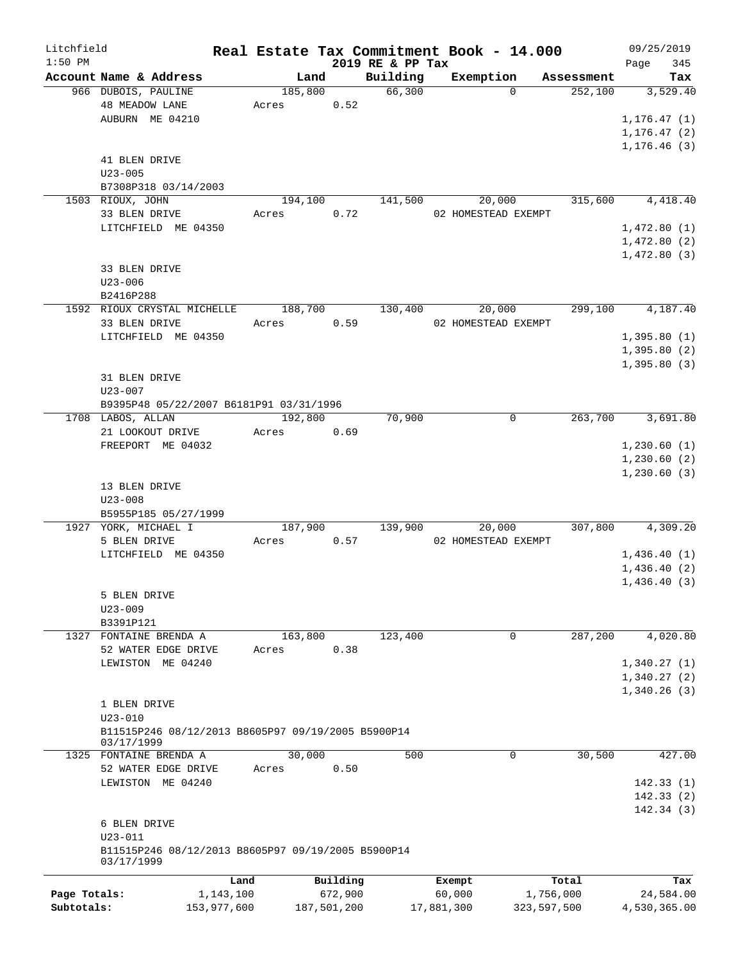| Litchfield   |                                                                  |             |                 |             |                    | Real Estate Tax Commitment Book - 14.000 |                                   | 09/25/2019      |
|--------------|------------------------------------------------------------------|-------------|-----------------|-------------|--------------------|------------------------------------------|-----------------------------------|-----------------|
| $1:50$ PM    | Account Name & Address                                           |             |                 |             | 2019 RE & PP Tax   |                                          |                                   | 345<br>Page     |
|              | 966 DUBOIS, PAULINE                                              |             | Land<br>185,800 |             | Building<br>66,300 | Exemption                                | Assessment<br>252,100<br>$\Omega$ | Tax<br>3,529.40 |
|              | <b>48 MEADOW LANE</b>                                            |             | Acres           | 0.52        |                    |                                          |                                   |                 |
|              | AUBURN ME 04210                                                  |             |                 |             |                    |                                          |                                   | 1, 176.47(1)    |
|              |                                                                  |             |                 |             |                    |                                          |                                   | 1, 176.47(2)    |
|              |                                                                  |             |                 |             |                    |                                          |                                   | 1, 176.46(3)    |
|              | 41 BLEN DRIVE                                                    |             |                 |             |                    |                                          |                                   |                 |
|              | $U23 - 005$                                                      |             |                 |             |                    |                                          |                                   |                 |
|              | B7308P318 03/14/2003                                             |             |                 |             |                    |                                          |                                   |                 |
|              | 1503 RIOUX, JOHN                                                 |             | 194,100         |             | 141,500            | 20,000                                   | 315,600                           | 4,418.40        |
|              | 33 BLEN DRIVE                                                    |             | Acres           | 0.72        |                    | 02 HOMESTEAD EXEMPT                      |                                   |                 |
|              | LITCHFIELD ME 04350                                              |             |                 |             |                    |                                          |                                   | 1,472.80(1)     |
|              |                                                                  |             |                 |             |                    |                                          |                                   | 1,472.80(2)     |
|              |                                                                  |             |                 |             |                    |                                          |                                   |                 |
|              |                                                                  |             |                 |             |                    |                                          |                                   | 1,472.80(3)     |
|              | 33 BLEN DRIVE                                                    |             |                 |             |                    |                                          |                                   |                 |
|              | $U23 - 006$                                                      |             |                 |             |                    |                                          |                                   |                 |
|              | B2416P288                                                        |             |                 |             |                    |                                          |                                   |                 |
|              | 1592 RIOUX CRYSTAL MICHELLE                                      |             | 188,700         |             | 130,400            | 20,000                                   | 299,100                           | 4,187.40        |
|              | 33 BLEN DRIVE                                                    |             | Acres           | 0.59        |                    | 02 HOMESTEAD EXEMPT                      |                                   |                 |
|              | LITCHFIELD ME 04350                                              |             |                 |             |                    |                                          |                                   | 1,395.80(1)     |
|              |                                                                  |             |                 |             |                    |                                          |                                   | 1,395.80(2)     |
|              |                                                                  |             |                 |             |                    |                                          |                                   | 1,395.80(3)     |
|              | 31 BLEN DRIVE                                                    |             |                 |             |                    |                                          |                                   |                 |
|              | $U23 - 007$                                                      |             |                 |             |                    |                                          |                                   |                 |
|              | B9395P48 05/22/2007 B6181P91 03/31/1996                          |             |                 |             |                    |                                          |                                   |                 |
|              | 1708 LABOS, ALLAN                                                |             | 192,800         |             | 70,900             |                                          | 263,700<br>$\mathbf 0$            | 3,691.80        |
|              | 21 LOOKOUT DRIVE                                                 |             | Acres           | 0.69        |                    |                                          |                                   |                 |
|              | FREEPORT ME 04032                                                |             |                 |             |                    |                                          |                                   | 1,230.60(1)     |
|              |                                                                  |             |                 |             |                    |                                          |                                   | 1,230.60(2)     |
|              |                                                                  |             |                 |             |                    |                                          |                                   | 1, 230.60(3)    |
|              | 13 BLEN DRIVE                                                    |             |                 |             |                    |                                          |                                   |                 |
|              | $U23 - 008$                                                      |             |                 |             |                    |                                          |                                   |                 |
|              | B5955P185 05/27/1999                                             |             |                 |             |                    |                                          |                                   |                 |
|              | 1927 YORK, MICHAEL I                                             |             | 187,900         |             | 139,900            | 20,000                                   | 307,800                           | 4,309.20        |
|              | 5 BLEN DRIVE                                                     |             | Acres           | 0.57        |                    | 02 HOMESTEAD EXEMPT                      |                                   |                 |
|              | LITCHFIELD ME 04350                                              |             |                 |             |                    |                                          |                                   | 1,436.40(1)     |
|              |                                                                  |             |                 |             |                    |                                          |                                   | 1,436.40(2)     |
|              |                                                                  |             |                 |             |                    |                                          |                                   | 1,436.40(3)     |
|              | 5 BLEN DRIVE                                                     |             |                 |             |                    |                                          |                                   |                 |
|              | $U23 - 009$                                                      |             |                 |             |                    |                                          |                                   |                 |
|              | B3391P121                                                        |             |                 |             |                    |                                          |                                   |                 |
| 1327         | FONTAINE BRENDA A                                                |             | 163,800         |             | 123,400            |                                          | $\mathbf 0$<br>287,200            | 4,020.80        |
|              | 52 WATER EDGE DRIVE                                              |             | Acres           | 0.38        |                    |                                          |                                   |                 |
|              | LEWISTON ME 04240                                                |             |                 |             |                    |                                          |                                   | 1,340.27(1)     |
|              |                                                                  |             |                 |             |                    |                                          |                                   | 1,340.27(2)     |
|              |                                                                  |             |                 |             |                    |                                          |                                   | 1,340.26(3)     |
|              | 1 BLEN DRIVE                                                     |             |                 |             |                    |                                          |                                   |                 |
|              | $U23 - 010$                                                      |             |                 |             |                    |                                          |                                   |                 |
|              | B11515P246 08/12/2013 B8605P97 09/19/2005 B5900P14               |             |                 |             |                    |                                          |                                   |                 |
|              | 03/17/1999                                                       |             |                 |             |                    |                                          |                                   |                 |
|              | 1325 FONTAINE BRENDA A                                           |             | 30,000          |             | 500                |                                          | 0<br>30,500                       | 427.00          |
|              | 52 WATER EDGE DRIVE                                              |             | Acres           | 0.50        |                    |                                          |                                   |                 |
|              | LEWISTON ME 04240                                                |             |                 |             |                    |                                          |                                   | 142.33(1)       |
|              |                                                                  |             |                 |             |                    |                                          |                                   | 142.33(2)       |
|              |                                                                  |             |                 |             |                    |                                          |                                   | 142.34(3)       |
|              | 6 BLEN DRIVE                                                     |             |                 |             |                    |                                          |                                   |                 |
|              | $U23 - 011$                                                      |             |                 |             |                    |                                          |                                   |                 |
|              |                                                                  |             |                 |             |                    |                                          |                                   |                 |
|              | B11515P246 08/12/2013 B8605P97 09/19/2005 B5900P14<br>03/17/1999 |             |                 |             |                    |                                          |                                   |                 |
|              |                                                                  |             |                 |             |                    |                                          |                                   |                 |
|              |                                                                  | Land        |                 | Building    |                    | Exempt                                   | Total                             | Tax             |
| Page Totals: |                                                                  | 1,143,100   |                 | 672,900     |                    | 60,000                                   | 1,756,000                         | 24,584.00       |
| Subtotals:   |                                                                  | 153,977,600 |                 | 187,501,200 |                    | 17,881,300                               | 323,597,500                       | 4,530,365.00    |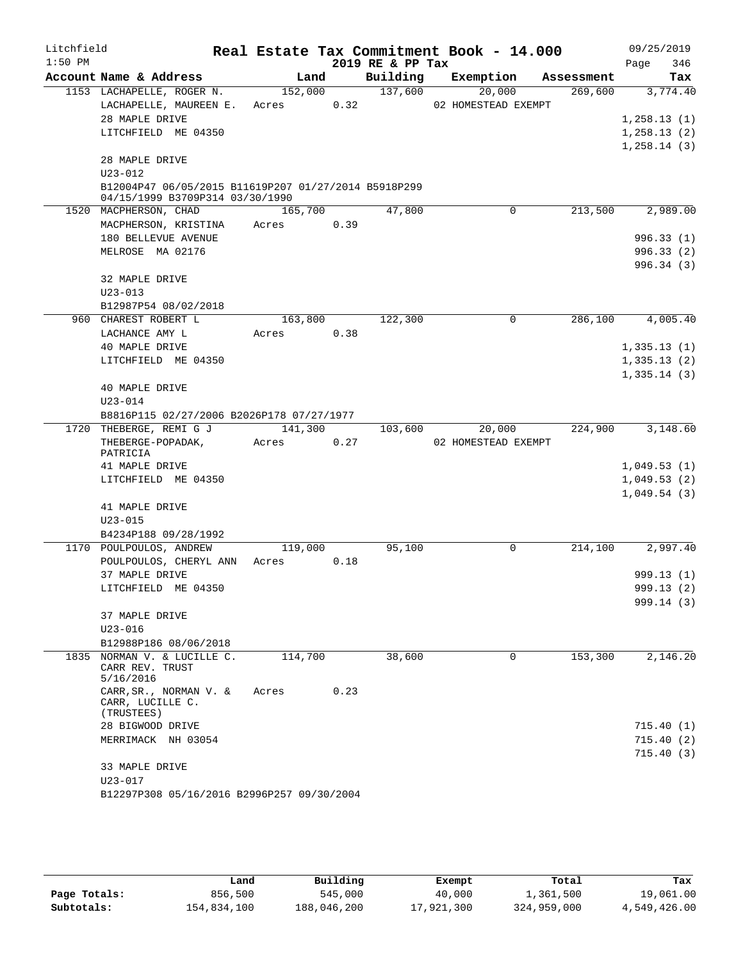| Litchfield |                                                                                         |                      |      |                  | Real Estate Tax Commitment Book - 14.000 |            | 09/25/2019                 |
|------------|-----------------------------------------------------------------------------------------|----------------------|------|------------------|------------------------------------------|------------|----------------------------|
| $1:50$ PM  |                                                                                         |                      |      | 2019 RE & PP Tax |                                          |            | 346<br>Page                |
|            | Account Name & Address                                                                  | Land                 |      |                  | Building Exemption                       | Assessment | Tax                        |
|            | 1153 LACHAPELLE, ROGER N.                                                               |                      |      | 152,000 137,600  | 20,000                                   | 269,600    | 3,774.40                   |
|            | LACHAPELLE, MAUREEN E.                                                                  | Acres 0.32           |      |                  | 02 HOMESTEAD EXEMPT                      |            |                            |
|            | 28 MAPLE DRIVE                                                                          |                      |      |                  |                                          |            | 1,258.13(1)                |
|            | LITCHFIELD ME 04350                                                                     |                      |      |                  |                                          |            | 1, 258.13(2)               |
|            | 28 MAPLE DRIVE                                                                          |                      |      |                  |                                          |            | 1,258.14(3)                |
|            | $U23 - 012$                                                                             |                      |      |                  |                                          |            |                            |
|            | B12004P47 06/05/2015 B11619P207 01/27/2014 B5918P299<br>04/15/1999 B3709P314 03/30/1990 |                      |      |                  |                                          |            |                            |
|            | 1520 MACPHERSON, CHAD                                                                   | 165,700              |      | 47,800           | $\mathbf 0$                              | 213,500    | 2,989.00                   |
|            | MACPHERSON, KRISTINA Acres                                                              |                      | 0.39 |                  |                                          |            |                            |
|            | 180 BELLEVUE AVENUE                                                                     |                      |      |                  |                                          |            | 996.33(1)                  |
|            | MELROSE MA 02176                                                                        |                      |      |                  |                                          |            | 996.33(2)                  |
|            |                                                                                         |                      |      |                  |                                          |            | 996.34(3)                  |
|            | 32 MAPLE DRIVE                                                                          |                      |      |                  |                                          |            |                            |
|            | $U23 - 013$                                                                             |                      |      |                  |                                          |            |                            |
|            | B12987P54 08/02/2018                                                                    |                      |      |                  |                                          |            |                            |
|            | 960 CHAREST ROBERT L                                                                    | 163,800              |      | 122,300          | $\mathbf 0$                              | 286,100    | 4,005.40                   |
|            | LACHANCE AMY L                                                                          | Acres 0.38           |      |                  |                                          |            |                            |
|            | 40 MAPLE DRIVE<br>LITCHFIELD ME 04350                                                   |                      |      |                  |                                          |            | 1,335.13(1)                |
|            |                                                                                         |                      |      |                  |                                          |            | 1,335.13(2)<br>1,335.14(3) |
|            | 40 MAPLE DRIVE                                                                          |                      |      |                  |                                          |            |                            |
|            | $U23 - 014$                                                                             |                      |      |                  |                                          |            |                            |
|            | B8816P115 02/27/2006 B2026P178 07/27/1977                                               |                      |      |                  |                                          |            |                            |
|            | 1720 THEBERGE, REMI G J                                                                 | $\overline{141,300}$ |      | 103,600          | 20,000                                   | 224,900    | 3,148.60                   |
|            | THEBERGE-POPADAK,                                                                       | Acres                | 0.27 |                  | 02 HOMESTEAD EXEMPT                      |            |                            |
|            | PATRICIA                                                                                |                      |      |                  |                                          |            |                            |
|            | 41 MAPLE DRIVE                                                                          |                      |      |                  |                                          |            | 1,049.53(1)                |
|            | LITCHFIELD ME 04350                                                                     |                      |      |                  |                                          |            | 1,049.53(2)                |
|            |                                                                                         |                      |      |                  |                                          |            | 1,049.54(3)                |
|            | 41 MAPLE DRIVE                                                                          |                      |      |                  |                                          |            |                            |
|            | $U23 - 015$<br>B4234P188 09/28/1992                                                     |                      |      |                  |                                          |            |                            |
|            | 1170 POULPOULOS, ANDREW                                                                 | 119,000              |      | 95,100           | $\overline{0}$                           | 214,100    | 2,997.40                   |
|            | POULPOULOS, CHERYL ANN                                                                  | Acres                | 0.18 |                  |                                          |            |                            |
|            | 37 MAPLE DRIVE                                                                          |                      |      |                  |                                          |            | 999.13(1)                  |
|            | LITCHFIELD ME 04350                                                                     |                      |      |                  |                                          |            | 999.13 (2)                 |
|            |                                                                                         |                      |      |                  |                                          |            | 999.14(3)                  |
|            | 37 MAPLE DRIVE                                                                          |                      |      |                  |                                          |            |                            |
|            | $U23 - 016$                                                                             |                      |      |                  |                                          |            |                            |
|            | B12988P186 08/06/2018                                                                   |                      |      |                  |                                          |            |                            |
| 1835       | NORMAN V. & LUCILLE C.                                                                  | 114,700              |      | 38,600           | $\Omega$                                 | 153,300    | 2,146.20                   |
|            | CARR REV. TRUST<br>5/16/2016                                                            |                      |      |                  |                                          |            |                            |
|            | CARR, SR., NORMAN V. &                                                                  | Acres                | 0.23 |                  |                                          |            |                            |
|            | CARR, LUCILLE C.                                                                        |                      |      |                  |                                          |            |                            |
|            | (TRUSTEES)                                                                              |                      |      |                  |                                          |            |                            |
|            | 28 BIGWOOD DRIVE                                                                        |                      |      |                  |                                          |            | 715.40(1)                  |
|            | MERRIMACK NH 03054                                                                      |                      |      |                  |                                          |            | 715.40(2)                  |
|            | 33 MAPLE DRIVE                                                                          |                      |      |                  |                                          |            | 715.40(3)                  |
|            | U23-017                                                                                 |                      |      |                  |                                          |            |                            |
|            | B12297P308 05/16/2016 B2996P257 09/30/2004                                              |                      |      |                  |                                          |            |                            |
|            |                                                                                         |                      |      |                  |                                          |            |                            |

|              | Land        | Building    | Exempt     | Total       | Tax          |
|--------------|-------------|-------------|------------|-------------|--------------|
| Page Totals: | 856,500     | 545,000     | 40,000     | 1,361,500   | 19,061.00    |
| Subtotals:   | 154,834,100 | 188,046,200 | 17,921,300 | 324,959,000 | 4,549,426.00 |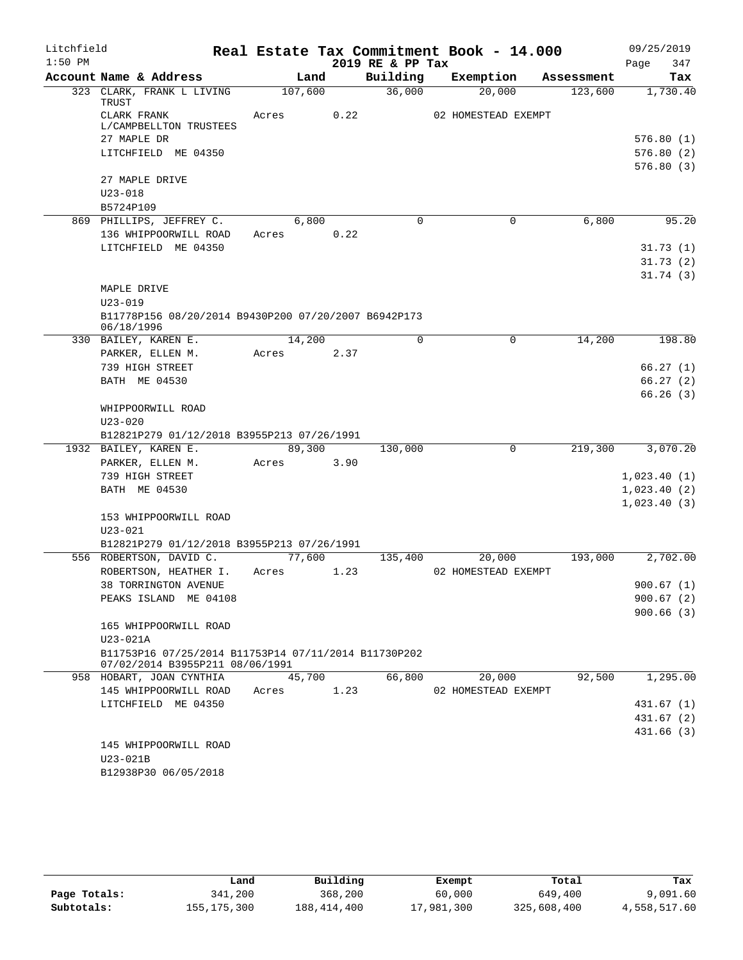| Litchfield |                                                                    |       |         |      | Real Estate Tax Commitment Book - 14.000 |                     |           |            | 09/25/2019  |                        |
|------------|--------------------------------------------------------------------|-------|---------|------|------------------------------------------|---------------------|-----------|------------|-------------|------------------------|
| $1:50$ PM  |                                                                    |       |         |      | 2019 RE & PP Tax                         |                     |           |            | Page        | 347                    |
|            | Account Name & Address                                             |       | Land    |      | Building                                 |                     | Exemption | Assessment |             | Tax                    |
|            | 323 CLARK, FRANK L LIVING<br>TRUST                                 |       | 107,600 |      | 36,000                                   |                     | 20,000    | 123,600    |             | 1,730.40               |
|            | CLARK FRANK                                                        | Acres |         | 0.22 |                                          | 02 HOMESTEAD EXEMPT |           |            |             |                        |
|            | L/CAMPBELLTON TRUSTEES                                             |       |         |      |                                          |                     |           |            |             |                        |
|            | 27 MAPLE DR                                                        |       |         |      |                                          |                     |           |            |             | 576.80(1)              |
|            | LITCHFIELD ME 04350                                                |       |         |      |                                          |                     |           |            |             | 576.80(2)              |
|            |                                                                    |       |         |      |                                          |                     |           |            |             | 576.80(3)              |
|            | 27 MAPLE DRIVE                                                     |       |         |      |                                          |                     |           |            |             |                        |
|            | $U23 - 018$<br>B5724P109                                           |       |         |      |                                          |                     |           |            |             |                        |
|            | 869 PHILLIPS, JEFFREY C.                                           |       | 6,800   |      | $\mathbf 0$                              |                     | 0         | 6,800      |             | 95.20                  |
|            | 136 WHIPPOORWILL ROAD                                              | Acres |         | 0.22 |                                          |                     |           |            |             |                        |
|            | LITCHFIELD ME 04350                                                |       |         |      |                                          |                     |           |            |             | 31.73(1)               |
|            |                                                                    |       |         |      |                                          |                     |           |            |             | 31.73(2)               |
|            |                                                                    |       |         |      |                                          |                     |           |            |             | 31.74(3)               |
|            | MAPLE DRIVE                                                        |       |         |      |                                          |                     |           |            |             |                        |
|            | $U23 - 019$                                                        |       |         |      |                                          |                     |           |            |             |                        |
|            | B11778P156 08/20/2014 B9430P200 07/20/2007 B6942P173<br>06/18/1996 |       |         |      |                                          |                     |           |            |             |                        |
|            | 330 BAILEY, KAREN E.                                               |       | 14,200  |      | $\Omega$                                 |                     | $\Omega$  | 14,200     |             | 198.80                 |
|            | PARKER, ELLEN M.                                                   | Acres |         | 2.37 |                                          |                     |           |            |             |                        |
|            | 739 HIGH STREET                                                    |       |         |      |                                          |                     |           |            |             | 66.27(1)               |
|            | BATH ME 04530                                                      |       |         |      |                                          |                     |           |            |             | 66.27(2)               |
|            |                                                                    |       |         |      |                                          |                     |           |            |             | 66.26(3)               |
|            | WHIPPOORWILL ROAD<br>$U23 - 020$                                   |       |         |      |                                          |                     |           |            |             |                        |
|            | B12821P279 01/12/2018 B3955P213 07/26/1991                         |       |         |      |                                          |                     |           |            |             |                        |
|            | 1932 BAILEY, KAREN E.                                              |       | 89,300  |      | 130,000                                  |                     | 0         | 219,300    |             | 3,070.20               |
|            | PARKER, ELLEN M.                                                   | Acres |         | 3.90 |                                          |                     |           |            |             |                        |
|            | 739 HIGH STREET                                                    |       |         |      |                                          |                     |           |            | 1,023.40(1) |                        |
|            | BATH ME 04530                                                      |       |         |      |                                          |                     |           |            | 1,023.40(2) |                        |
|            |                                                                    |       |         |      |                                          |                     |           |            | 1,023.40(3) |                        |
|            | 153 WHIPPOORWILL ROAD                                              |       |         |      |                                          |                     |           |            |             |                        |
|            | $U23 - 021$                                                        |       |         |      |                                          |                     |           |            |             |                        |
|            | B12821P279 01/12/2018 B3955P213 07/26/1991                         |       |         |      |                                          |                     |           |            |             |                        |
|            | 556 ROBERTSON, DAVID C.                                            |       | 77,600  |      | 135,400                                  |                     | 20,000    | 193,000    |             | 2,702.00               |
|            | ROBERTSON, HEATHER I.                                              | Acres |         | 1.23 |                                          | 02 HOMESTEAD EXEMPT |           |            |             |                        |
|            | 38 TORRINGTON AVENUE                                               |       |         |      |                                          |                     |           |            |             | 900.67(1)              |
|            | PEAKS ISLAND ME 04108                                              |       |         |      |                                          |                     |           |            |             | 900.67(2)<br>900.66(3) |
|            | 165 WHIPPOORWILL ROAD                                              |       |         |      |                                          |                     |           |            |             |                        |
|            | U23-021A                                                           |       |         |      |                                          |                     |           |            |             |                        |
|            | B11753P16 07/25/2014 B11753P14 07/11/2014 B11730P202               |       |         |      |                                          |                     |           |            |             |                        |
|            | 07/02/2014 B3955P211 08/06/1991                                    |       |         |      |                                          |                     |           |            |             |                        |
|            | 958 HOBART, JOAN CYNTHIA                                           |       | 45,700  |      | 66,800                                   |                     | 20,000    | 92,500     |             | 1,295.00               |
|            | 145 WHIPPOORWILL ROAD                                              | Acres |         | 1.23 |                                          | 02 HOMESTEAD EXEMPT |           |            |             |                        |
|            | LITCHFIELD ME 04350                                                |       |         |      |                                          |                     |           |            |             | 431.67(1)              |
|            |                                                                    |       |         |      |                                          |                     |           |            |             | 431.67(2)              |
|            | 145 WHIPPOORWILL ROAD                                              |       |         |      |                                          |                     |           |            |             | 431.66(3)              |
|            | U23-021B                                                           |       |         |      |                                          |                     |           |            |             |                        |
|            | B12938P30 06/05/2018                                               |       |         |      |                                          |                     |           |            |             |                        |
|            |                                                                    |       |         |      |                                          |                     |           |            |             |                        |

|              | Land          | Building      | Exempt     | Total       | Tax          |
|--------------|---------------|---------------|------------|-------------|--------------|
| Page Totals: | 341,200       | 368,200       | 60,000     | 649,400     | 9,091.60     |
| Subtotals:   | 155, 175, 300 | 188, 414, 400 | 17,981,300 | 325,608,400 | 4,558,517.60 |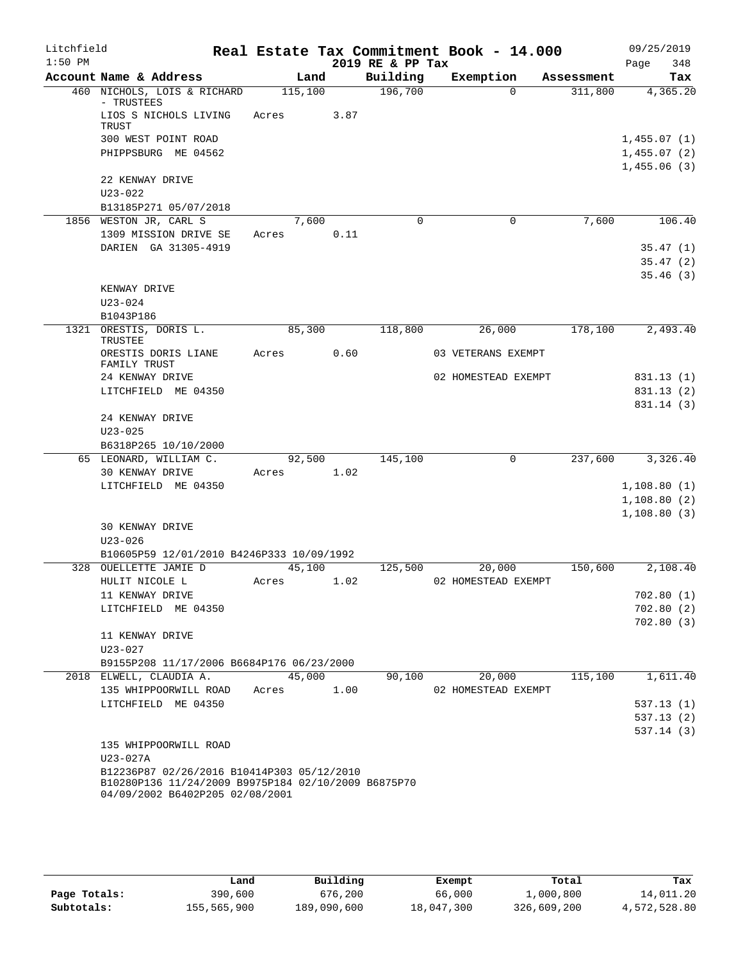| Litchfield |                                                                                                                                      |       |         |      |                  | Real Estate Tax Commitment Book - 14.000 |            | 09/25/2019  |
|------------|--------------------------------------------------------------------------------------------------------------------------------------|-------|---------|------|------------------|------------------------------------------|------------|-------------|
| $1:50$ PM  |                                                                                                                                      |       |         |      | 2019 RE & PP Tax |                                          |            | 348<br>Page |
|            | Account Name & Address                                                                                                               |       | Land    |      | Building         | Exemption                                | Assessment | Tax         |
|            | 460 NICHOLS, LOIS & RICHARD<br>- TRUSTEES                                                                                            |       | 115,100 |      | 196,700          | $\Omega$                                 | 311,800    | 4,365.20    |
|            | LIOS S NICHOLS LIVING<br>TRUST                                                                                                       | Acres |         | 3.87 |                  |                                          |            |             |
|            | 300 WEST POINT ROAD                                                                                                                  |       |         |      |                  |                                          |            | 1,455.07(1) |
|            | PHIPPSBURG ME 04562                                                                                                                  |       |         |      |                  |                                          |            | 1,455.07(2) |
|            |                                                                                                                                      |       |         |      |                  |                                          |            | 1,455.06(3) |
|            | 22 KENWAY DRIVE                                                                                                                      |       |         |      |                  |                                          |            |             |
|            | $U23 - 022$                                                                                                                          |       |         |      |                  |                                          |            |             |
|            | B13185P271 05/07/2018                                                                                                                |       |         |      |                  |                                          |            |             |
|            | 1856 WESTON JR, CARL S                                                                                                               |       | 7,600   | 0.11 | $\mathbf 0$      | $\mathbf 0$                              | 7,600      | 106.40      |
|            | 1309 MISSION DRIVE SE<br>DARIEN GA 31305-4919                                                                                        | Acres |         |      |                  |                                          |            | 35.47(1)    |
|            |                                                                                                                                      |       |         |      |                  |                                          |            | 35.47(2)    |
|            |                                                                                                                                      |       |         |      |                  |                                          |            | 35.46(3)    |
|            | KENWAY DRIVE                                                                                                                         |       |         |      |                  |                                          |            |             |
|            | $U23 - 024$                                                                                                                          |       |         |      |                  |                                          |            |             |
|            | B1043P186                                                                                                                            |       |         |      |                  |                                          |            |             |
| 1321       | ORESTIS, DORIS L.<br>TRUSTEE                                                                                                         |       | 85,300  |      | 118,800          | 26,000                                   | 178,100    | 2,493.40    |
|            | ORESTIS DORIS LIANE<br>FAMILY TRUST                                                                                                  | Acres |         | 0.60 |                  | 03 VETERANS EXEMPT                       |            |             |
|            | 24 KENWAY DRIVE                                                                                                                      |       |         |      |                  | 02 HOMESTEAD EXEMPT                      |            | 831.13 (1)  |
|            | LITCHFIELD ME 04350                                                                                                                  |       |         |      |                  |                                          |            | 831.13(2)   |
|            |                                                                                                                                      |       |         |      |                  |                                          |            | 831.14 (3)  |
|            | 24 KENWAY DRIVE                                                                                                                      |       |         |      |                  |                                          |            |             |
|            | $U23 - 025$<br>B6318P265 10/10/2000                                                                                                  |       |         |      |                  |                                          |            |             |
|            | 65 LEONARD, WILLIAM C.                                                                                                               |       | 92,500  |      | 145,100          | 0                                        | 237,600    | 3,326.40    |
|            | 30 KENWAY DRIVE                                                                                                                      | Acres |         | 1.02 |                  |                                          |            |             |
|            | LITCHFIELD ME 04350                                                                                                                  |       |         |      |                  |                                          |            | 1,108.80(1) |
|            |                                                                                                                                      |       |         |      |                  |                                          |            | 1,108.80(2) |
|            |                                                                                                                                      |       |         |      |                  |                                          |            | 1,108.80(3) |
|            | <b>30 KENWAY DRIVE</b>                                                                                                               |       |         |      |                  |                                          |            |             |
|            | $U23 - 026$                                                                                                                          |       |         |      |                  |                                          |            |             |
|            | B10605P59 12/01/2010 B4246P333 10/09/1992                                                                                            |       |         |      |                  |                                          |            |             |
|            | 328 OUELLETTE JAMIE D<br>HULIT NICOLE L                                                                                              |       | 45,100  |      | 125,500          | 20,000                                   | 150,600    | 2,108.40    |
|            | 11 KENWAY DRIVE                                                                                                                      | Acres |         | 1.02 |                  | 02 HOMESTEAD EXEMPT                      |            | 702.80(1)   |
|            | LITCHFIELD ME 04350                                                                                                                  |       |         |      |                  |                                          |            | 702.80(2)   |
|            |                                                                                                                                      |       |         |      |                  |                                          |            | 702.80(3)   |
|            | 11 KENWAY DRIVE                                                                                                                      |       |         |      |                  |                                          |            |             |
|            | $U23 - 027$                                                                                                                          |       |         |      |                  |                                          |            |             |
|            | B9155P208 11/17/2006 B6684P176 06/23/2000                                                                                            |       |         |      |                  |                                          |            |             |
|            | 2018 ELWELL, CLAUDIA A.                                                                                                              |       | 45,000  |      | 90,100           | 20,000                                   | 115,100    | 1,611.40    |
|            | 135 WHIPPOORWILL ROAD                                                                                                                | Acres |         | 1.00 |                  | 02 HOMESTEAD EXEMPT                      |            |             |
|            | LITCHFIELD ME 04350                                                                                                                  |       |         |      |                  |                                          |            | 537.13(1)   |
|            |                                                                                                                                      |       |         |      |                  |                                          |            | 537.13(2)   |
|            | 135 WHIPPOORWILL ROAD                                                                                                                |       |         |      |                  |                                          |            | 537.14(3)   |
|            | U23-027A                                                                                                                             |       |         |      |                  |                                          |            |             |
|            | B12236P87 02/26/2016 B10414P303 05/12/2010<br>B10280P136 11/24/2009 B9975P184 02/10/2009 B6875P70<br>04/09/2002 B6402P205 02/08/2001 |       |         |      |                  |                                          |            |             |

|              | Land        | Building    | Exempt     | Total       | Tax          |
|--------------|-------------|-------------|------------|-------------|--------------|
| Page Totals: | 390,600     | 676,200     | 66,000     | 1,000,800   | 14,011.20    |
| Subtotals:   | 155,565,900 | 189,090,600 | 18,047,300 | 326,609,200 | 4,572,528.80 |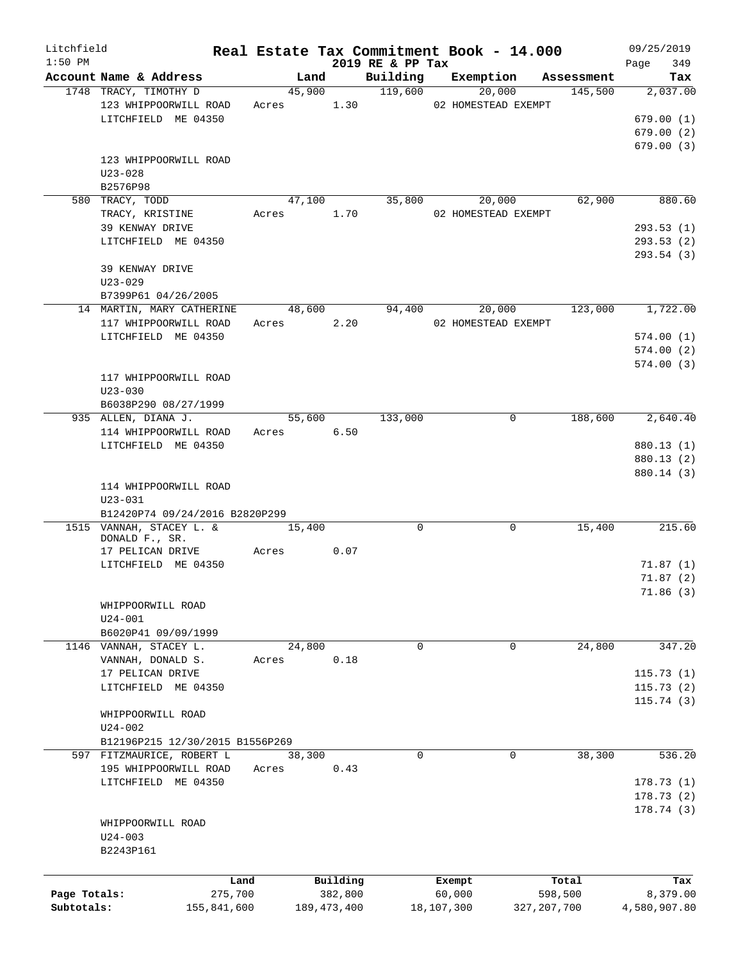| Litchfield                 |                                 |         |            |                          |                              | Real Estate Tax Commitment Book - 14.000 |                          | 09/25/2019               |
|----------------------------|---------------------------------|---------|------------|--------------------------|------------------------------|------------------------------------------|--------------------------|--------------------------|
| $1:50$ PM                  | Account Name & Address          |         | Land       |                          | 2019 RE & PP Tax<br>Building | Exemption                                | Assessment               | 349<br>Page<br>Tax       |
|                            | 1748 TRACY, TIMOTHY D           |         | 45,900     |                          | 119,600                      | 20,000                                   | 145,500                  | 2,037.00                 |
|                            | 123 WHIPPOORWILL ROAD           |         | Acres 1.30 |                          |                              | 02 HOMESTEAD EXEMPT                      |                          |                          |
|                            | LITCHFIELD ME 04350             |         |            |                          |                              |                                          |                          | 679.00(1)                |
|                            |                                 |         |            |                          |                              |                                          |                          | 679.00(2)                |
|                            |                                 |         |            |                          |                              |                                          |                          | 679.00(3)                |
|                            | 123 WHIPPOORWILL ROAD           |         |            |                          |                              |                                          |                          |                          |
|                            | $U23 - 028$                     |         |            |                          |                              |                                          |                          |                          |
|                            | B2576P98                        |         |            |                          |                              |                                          |                          |                          |
|                            | 580 TRACY, TODD                 |         | 47,100     |                          | 35,800                       | 20,000                                   | 62,900                   | 880.60                   |
|                            | TRACY, KRISTINE                 |         | Acres      | 1.70                     |                              | 02 HOMESTEAD EXEMPT                      |                          |                          |
|                            | 39 KENWAY DRIVE                 |         |            |                          |                              |                                          |                          | 293.53(1)                |
|                            | LITCHFIELD ME 04350             |         |            |                          |                              |                                          |                          | 293.53(2)                |
|                            |                                 |         |            |                          |                              |                                          |                          | 293.54 (3)               |
|                            | 39 KENWAY DRIVE                 |         |            |                          |                              |                                          |                          |                          |
|                            | $U23 - 029$                     |         |            |                          |                              |                                          |                          |                          |
|                            | B7399P61 04/26/2005             |         |            |                          |                              |                                          |                          |                          |
|                            | 14 MARTIN, MARY CATHERINE       |         | 48,600     |                          | 94,400                       | 20,000                                   | 123,000                  | 1,722.00                 |
|                            | 117 WHIPPOORWILL ROAD           |         | Acres      | 2.20                     |                              | 02 HOMESTEAD EXEMPT                      |                          |                          |
|                            | LITCHFIELD ME 04350             |         |            |                          |                              |                                          |                          | 574.00(1)                |
|                            |                                 |         |            |                          |                              |                                          |                          | 574.00(2)                |
|                            |                                 |         |            |                          |                              |                                          |                          | 574.00(3)                |
|                            | 117 WHIPPOORWILL ROAD           |         |            |                          |                              |                                          |                          |                          |
|                            | $U23 - 030$                     |         |            |                          |                              |                                          |                          |                          |
|                            | B6038P290 08/27/1999            |         |            |                          |                              |                                          |                          |                          |
|                            | 935 ALLEN, DIANA J.             |         | 55,600     |                          | 133,000                      |                                          | 188,600<br>0             | 2,640.40                 |
|                            | 114 WHIPPOORWILL ROAD           |         | Acres      | 6.50                     |                              |                                          |                          |                          |
|                            | LITCHFIELD ME 04350             |         |            |                          |                              |                                          |                          | 880.13 (1)               |
|                            |                                 |         |            |                          |                              |                                          |                          | 880.13 (2)<br>880.14 (3) |
|                            | 114 WHIPPOORWILL ROAD           |         |            |                          |                              |                                          |                          |                          |
|                            | $U23 - 031$                     |         |            |                          |                              |                                          |                          |                          |
|                            | B12420P74 09/24/2016 B2820P299  |         |            |                          |                              |                                          |                          |                          |
|                            | 1515 VANNAH, STACEY L. &        |         | 15,400     |                          | 0                            |                                          | 0<br>15,400              | 215.60                   |
|                            | DONALD F., SR.                  |         |            |                          |                              |                                          |                          |                          |
|                            | 17 PELICAN DRIVE                | Acres   |            | 0.07                     |                              |                                          |                          |                          |
|                            | LITCHFIELD ME 04350             |         |            |                          |                              |                                          |                          | 71.87(1)                 |
|                            |                                 |         |            |                          |                              |                                          |                          | 71.87(2)                 |
|                            |                                 |         |            |                          |                              |                                          |                          | 71.86(3)                 |
|                            | WHIPPOORWILL ROAD               |         |            |                          |                              |                                          |                          |                          |
|                            | $U24-001$                       |         |            |                          |                              |                                          |                          |                          |
|                            | B6020P41 09/09/1999             |         |            |                          |                              |                                          |                          |                          |
|                            | 1146 VANNAH, STACEY L.          |         | 24,800     |                          | 0                            |                                          | 24,800<br>0              | 347.20                   |
|                            | VANNAH, DONALD S.               | Acres   |            | 0.18                     |                              |                                          |                          |                          |
|                            | 17 PELICAN DRIVE                |         |            |                          |                              |                                          |                          | 115.73(1)                |
|                            | LITCHFIELD ME 04350             |         |            |                          |                              |                                          |                          | 115.73(2)                |
|                            |                                 |         |            |                          |                              |                                          |                          | 115.74(3)                |
|                            | WHIPPOORWILL ROAD               |         |            |                          |                              |                                          |                          |                          |
|                            | $U24 - 002$                     |         |            |                          |                              |                                          |                          |                          |
|                            | B12196P215 12/30/2015 B1556P269 |         |            |                          | $\Omega$                     |                                          |                          |                          |
|                            | 597 FITZMAURICE, ROBERT L       |         | 38,300     |                          |                              |                                          | 38,300<br>0              | 536.20                   |
|                            | 195 WHIPPOORWILL ROAD           | Acres   |            | 0.43                     |                              |                                          |                          |                          |
|                            | LITCHFIELD ME 04350             |         |            |                          |                              |                                          |                          | 178.73(1)                |
|                            |                                 |         |            |                          |                              |                                          |                          | 178.73(2)                |
|                            | WHIPPOORWILL ROAD               |         |            |                          |                              |                                          |                          | 178.74 (3)               |
|                            |                                 |         |            |                          |                              |                                          |                          |                          |
|                            | $U24 - 003$<br>B2243P161        |         |            |                          |                              |                                          |                          |                          |
|                            |                                 |         |            |                          |                              |                                          |                          |                          |
|                            |                                 |         |            |                          |                              |                                          |                          |                          |
|                            |                                 | Land    |            | Building                 |                              | Exempt                                   | Total                    | Tax                      |
| Page Totals:<br>Subtotals: | 155,841,600                     | 275,700 |            | 382,800<br>189, 473, 400 |                              | 60,000<br>18,107,300                     | 598,500<br>327, 207, 700 | 8,379.00<br>4,580,907.80 |
|                            |                                 |         |            |                          |                              |                                          |                          |                          |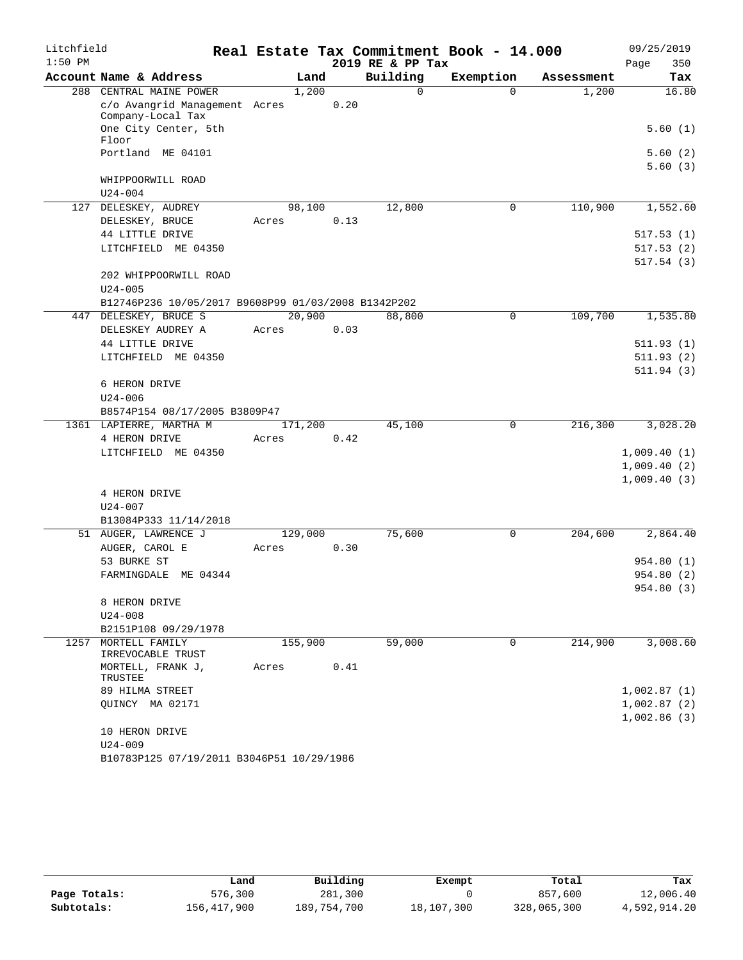| Litchfield |                                                     |       |         |      |                  | Real Estate Tax Commitment Book - 14.000 |            | 09/25/2019                 |
|------------|-----------------------------------------------------|-------|---------|------|------------------|------------------------------------------|------------|----------------------------|
| $1:50$ PM  |                                                     |       |         |      | 2019 RE & PP Tax |                                          |            | 350<br>Page                |
|            | Account Name & Address                              |       | Land    |      | Building         | Exemption                                | Assessment | Tax                        |
|            | 288 CENTRAL MAINE POWER                             |       | 1,200   |      | 0                | $\Omega$                                 | 1,200      | 16.80                      |
|            | c/o Avangrid Management Acres<br>Company-Local Tax  |       |         | 0.20 |                  |                                          |            |                            |
|            | One City Center, 5th<br>Floor                       |       |         |      |                  |                                          |            | 5.60(1)                    |
|            | Portland ME 04101                                   |       |         |      |                  |                                          |            | 5.60(2)<br>5.60(3)         |
|            | WHIPPOORWILL ROAD                                   |       |         |      |                  |                                          |            |                            |
|            | $U24 - 004$                                         |       |         |      |                  |                                          |            |                            |
|            | 127 DELESKEY, AUDREY                                |       | 98,100  |      | 12,800           | 0                                        | 110,900    | 1,552.60                   |
|            | DELESKEY, BRUCE                                     | Acres |         | 0.13 |                  |                                          |            |                            |
|            | 44 LITTLE DRIVE                                     |       |         |      |                  |                                          |            | 517.53(1)                  |
|            | LITCHFIELD ME 04350                                 |       |         |      |                  |                                          |            | 517.53(2)                  |
|            | 202 WHIPPOORWILL ROAD                               |       |         |      |                  |                                          |            | 517.54(3)                  |
|            | $U24 - 005$                                         |       |         |      |                  |                                          |            |                            |
|            | B12746P236 10/05/2017 B9608P99 01/03/2008 B1342P202 |       |         |      |                  |                                          |            |                            |
| 447        | DELESKEY, BRUCE S                                   |       | 20,900  |      | 88,800           | $\mathbf 0$                              | 109,700    | 1,535.80                   |
|            | DELESKEY AUDREY A                                   | Acres |         | 0.03 |                  |                                          |            |                            |
|            | 44 LITTLE DRIVE                                     |       |         |      |                  |                                          |            | 511.93(1)                  |
|            | LITCHFIELD ME 04350                                 |       |         |      |                  |                                          |            | 511.93(2)                  |
|            |                                                     |       |         |      |                  |                                          |            | 511.94(3)                  |
|            | 6 HERON DRIVE                                       |       |         |      |                  |                                          |            |                            |
|            | $U24 - 006$                                         |       |         |      |                  |                                          |            |                            |
|            | B8574P154 08/17/2005 B3809P47                       |       |         |      |                  |                                          |            |                            |
|            | 1361 LAPIERRE, MARTHA M                             |       | 171,200 |      | 45,100           | $\mathbf 0$                              | 216,300    | 3,028.20                   |
|            | 4 HERON DRIVE                                       | Acres |         | 0.42 |                  |                                          |            |                            |
|            | LITCHFIELD ME 04350                                 |       |         |      |                  |                                          |            | 1,009.40(1)                |
|            |                                                     |       |         |      |                  |                                          |            | 1,009.40(2)<br>1,009.40(3) |
|            | 4 HERON DRIVE                                       |       |         |      |                  |                                          |            |                            |
|            | $U24 - 007$                                         |       |         |      |                  |                                          |            |                            |
|            | B13084P333 11/14/2018                               |       |         |      |                  |                                          |            |                            |
|            | 51 AUGER, LAWRENCE J                                |       | 129,000 |      | 75,600           | 0                                        | 204,600    | 2,864.40                   |
|            | AUGER, CAROL E                                      | Acres |         | 0.30 |                  |                                          |            |                            |
|            | 53 BURKE ST                                         |       |         |      |                  |                                          |            | 954.80(1)                  |
|            | FARMINGDALE ME 04344                                |       |         |      |                  |                                          |            | 954.80(2)                  |
|            |                                                     |       |         |      |                  |                                          |            | 954.80 (3)                 |
|            | 8 HERON DRIVE                                       |       |         |      |                  |                                          |            |                            |
|            | $U24 - 008$                                         |       |         |      |                  |                                          |            |                            |
|            | B2151P108 09/29/1978                                |       |         |      |                  |                                          |            |                            |
| 1257       | MORTELL FAMILY<br>IRREVOCABLE TRUST                 |       | 155,900 |      | 59,000           | 0                                        | 214,900    | 3,008.60                   |
|            | MORTELL, FRANK J,<br>TRUSTEE                        | Acres |         | 0.41 |                  |                                          |            |                            |
|            | 89 HILMA STREET                                     |       |         |      |                  |                                          |            | 1,002.87(1)                |
|            | QUINCY MA 02171                                     |       |         |      |                  |                                          |            | 1,002.87(2)                |
|            |                                                     |       |         |      |                  |                                          |            | 1,002.86(3)                |
|            | 10 HERON DRIVE                                      |       |         |      |                  |                                          |            |                            |
|            | $U24 - 009$                                         |       |         |      |                  |                                          |            |                            |
|            | B10783P125 07/19/2011 B3046P51 10/29/1986           |       |         |      |                  |                                          |            |                            |

|              | Land        | Building    | Exempt     | Total       | Tax          |
|--------------|-------------|-------------|------------|-------------|--------------|
| Page Totals: | 576,300     | 281,300     |            | 857,600     | 12,006.40    |
| Subtotals:   | 156,417,900 | 189,754,700 | 18,107,300 | 328,065,300 | 4,592,914.20 |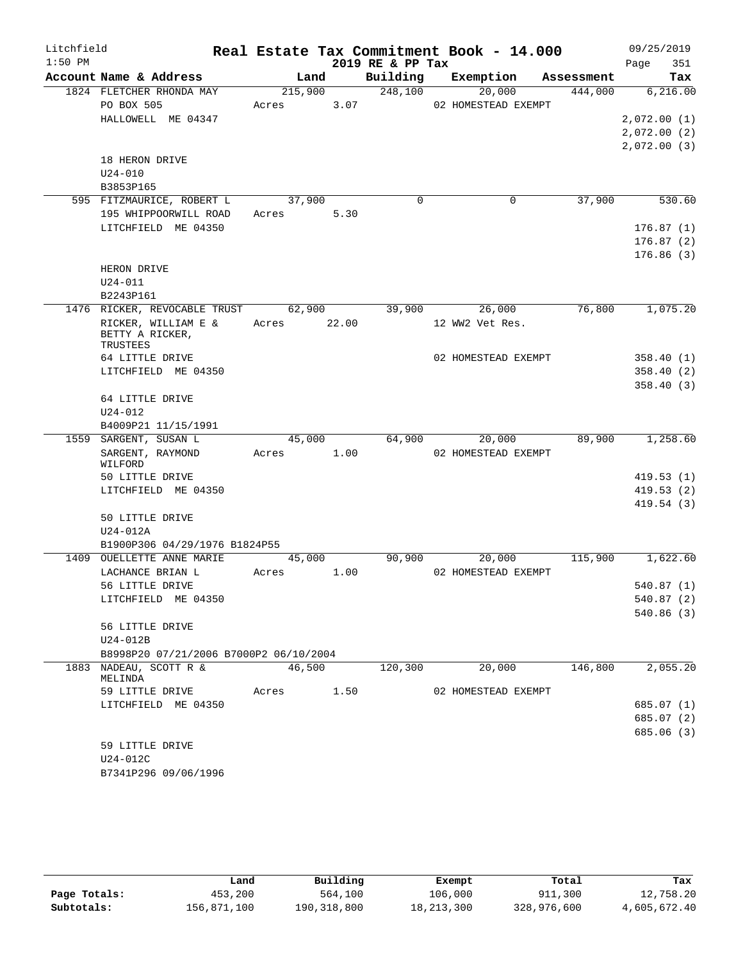| Litchfield |                                        |             |         |                  | Real Estate Tax Commitment Book - 14.000 |         | 09/25/2019              |
|------------|----------------------------------------|-------------|---------|------------------|------------------------------------------|---------|-------------------------|
| $1:50$ PM  |                                        |             |         | 2019 RE & PP Tax |                                          |         | Page<br>351             |
|            | Account Name & Address                 | Land        |         | Building         | Exemption Assessment                     |         | Tax                     |
|            | 1824 FLETCHER RHONDA MAY               |             | 215,900 | 248,100          | 20,000                                   | 444,000 | 6,216.00                |
|            | PO BOX 505                             | Acres 3.07  |         |                  | 02 HOMESTEAD EXEMPT                      |         |                         |
|            | HALLOWELL ME 04347                     |             |         |                  |                                          |         | 2,072.00(1)             |
|            |                                        |             |         |                  |                                          |         | 2,072.00(2)             |
|            | 18 HERON DRIVE                         |             |         |                  |                                          |         | 2,072.00(3)             |
|            | $U24 - 010$                            |             |         |                  |                                          |         |                         |
|            | B3853P165                              |             |         |                  |                                          |         |                         |
|            | 595 FITZMAURICE, ROBERT L              | 37,900      |         | $\Omega$         | $\mathbf 0$                              | 37,900  | 530.60                  |
|            | 195 WHIPPOORWILL ROAD                  | Acres 5.30  |         |                  |                                          |         |                         |
|            | LITCHFIELD ME 04350                    |             |         |                  |                                          |         | 176.87(1)               |
|            |                                        |             |         |                  |                                          |         | 176.87(2)               |
|            |                                        |             |         |                  |                                          |         | 176.86(3)               |
|            | HERON DRIVE                            |             |         |                  |                                          |         |                         |
|            | $U24 - 011$                            |             |         |                  |                                          |         |                         |
|            | B2243P161                              |             |         |                  |                                          |         |                         |
|            | 1476 RICKER, REVOCABLE TRUST 62,900    |             |         | 39,900           | 26,000                                   | 76,800  | 1,075.20                |
|            | RICKER, WILLIAM E &<br>BETTY A RICKER, | Acres 22.00 |         |                  | 12 WW2 Vet Res.                          |         |                         |
|            | TRUSTEES                               |             |         |                  |                                          |         |                         |
|            | 64 LITTLE DRIVE                        |             |         |                  | 02 HOMESTEAD EXEMPT                      |         | 358.40(1)               |
|            | LITCHFIELD ME 04350                    |             |         |                  |                                          |         | 358.40(2)               |
|            |                                        |             |         |                  |                                          |         | 358.40(3)               |
|            | 64 LITTLE DRIVE                        |             |         |                  |                                          |         |                         |
|            | $U24 - 012$                            |             |         |                  |                                          |         |                         |
|            | B4009P21 11/15/1991                    |             |         |                  |                                          |         |                         |
|            | 1559 SARGENT, SUSAN L                  | 45,000      |         | 64,900           | 20,000                                   | 89,900  | 1, 258.60               |
|            | SARGENT, RAYMOND<br>WILFORD            | Acres 1.00  |         |                  | 02 HOMESTEAD EXEMPT                      |         |                         |
|            | 50 LITTLE DRIVE                        |             |         |                  |                                          |         | 419.53(1)               |
|            | LITCHFIELD ME 04350                    |             |         |                  |                                          |         | 419.53(2)               |
|            |                                        |             |         |                  |                                          |         | 419.54(3)               |
|            | 50 LITTLE DRIVE                        |             |         |                  |                                          |         |                         |
|            | U24-012A                               |             |         |                  |                                          |         |                         |
|            | B1900P306 04/29/1976 B1824P55          |             |         |                  |                                          |         |                         |
|            | 1409 OUELLETTE ANNE MARIE              | 45,000      |         | 90,900           | 20,000                                   | 115,900 | 1,622.60                |
|            | LACHANCE BRIAN L                       | Acres       | 1.00    |                  | 02 HOMESTEAD EXEMPT                      |         |                         |
|            | 56 LITTLE DRIVE                        |             |         |                  |                                          |         | 540.87(1)               |
|            | LITCHFIELD ME 04350                    |             |         |                  |                                          |         | 540.87 (2)<br>540.86(3) |
|            | 56 LITTLE DRIVE                        |             |         |                  |                                          |         |                         |
|            | U24-012B                               |             |         |                  |                                          |         |                         |
|            | B8998P20 07/21/2006 B7000P2 06/10/2004 |             |         |                  |                                          |         |                         |
|            | 1883 NADEAU, SCOTT R &                 | 46,500      |         | 120, 300         | 20,000                                   | 146,800 | 2,055.20                |
|            | MELINDA                                |             |         |                  |                                          |         |                         |
|            | 59 LITTLE DRIVE                        | Acres       | 1.50    |                  | 02 HOMESTEAD EXEMPT                      |         |                         |
|            | LITCHFIELD ME 04350                    |             |         |                  |                                          |         | 685.07(1)               |
|            |                                        |             |         |                  |                                          |         | 685.07(2)               |
|            |                                        |             |         |                  |                                          |         | 685.06 (3)              |
|            | 59 LITTLE DRIVE<br>U24-012C            |             |         |                  |                                          |         |                         |
|            | B7341P296 09/06/1996                   |             |         |                  |                                          |         |                         |
|            |                                        |             |         |                  |                                          |         |                         |

|              | úand        | Building    | Exempt       | Total       | Tax          |
|--------------|-------------|-------------|--------------|-------------|--------------|
| Page Totals: | 453,200     | 564,100     | 106,000      | 911,300     | 12,758.20    |
| Subtotals:   | 156,871,100 | 190,318,800 | 18, 213, 300 | 328,976,600 | 4,605,672.40 |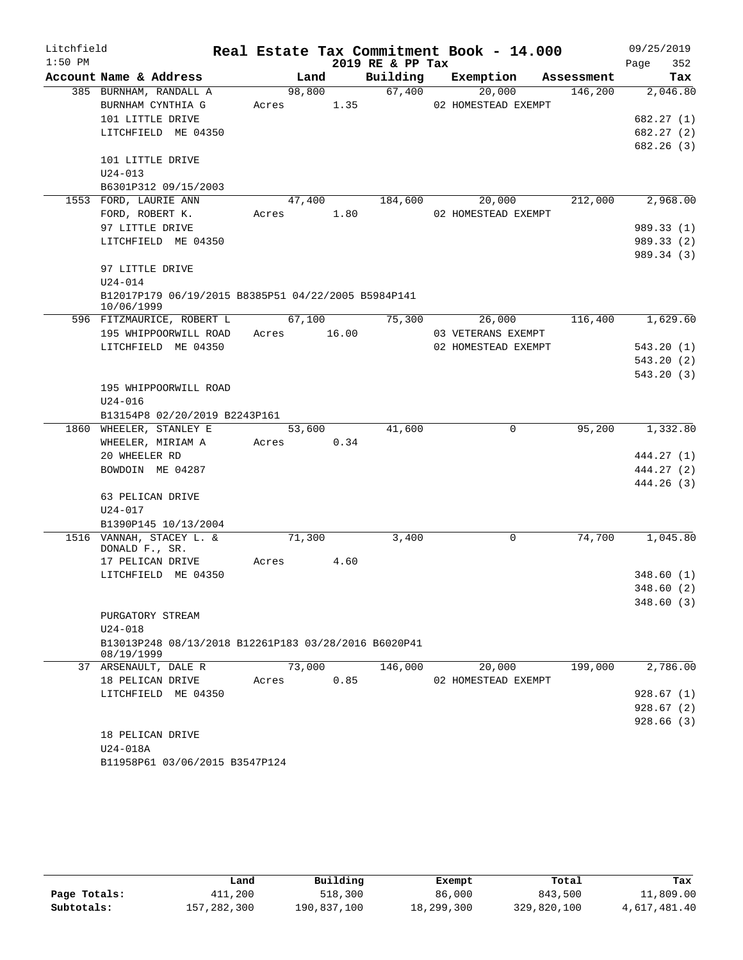| Litchfield |                                                                   |             |        |                  | Real Estate Tax Commitment Book - 14.000 |            | 09/25/2019  |
|------------|-------------------------------------------------------------------|-------------|--------|------------------|------------------------------------------|------------|-------------|
| $1:50$ PM  |                                                                   |             |        | 2019 RE & PP Tax |                                          |            | Page<br>352 |
|            | Account Name & Address                                            |             | Land   | Building         | Exemption                                | Assessment | Tax         |
|            | 385 BURNHAM, RANDALL A                                            |             | 98,800 | 67,400           | 20,000                                   | 146,200    | 2,046.80    |
|            | BURNHAM CYNTHIA G                                                 | Acres 1.35  |        |                  | 02 HOMESTEAD EXEMPT                      |            |             |
|            | 101 LITTLE DRIVE                                                  |             |        |                  |                                          |            | 682.27 (1)  |
|            | LITCHFIELD ME 04350                                               |             |        |                  |                                          |            | 682.27 (2)  |
|            |                                                                   |             |        |                  |                                          |            | 682.26 (3)  |
|            | 101 LITTLE DRIVE                                                  |             |        |                  |                                          |            |             |
|            | $U24 - 013$                                                       |             |        |                  |                                          |            |             |
|            | B6301P312 09/15/2003                                              |             |        |                  |                                          |            |             |
|            | 1553 FORD, LAURIE ANN                                             |             |        | 47,400 184,600   | 20,000                                   | 212,000    | 2,968.00    |
|            | FORD, ROBERT K.                                                   | Acres 1.80  |        |                  | 02 HOMESTEAD EXEMPT                      |            |             |
|            | 97 LITTLE DRIVE                                                   |             |        |                  |                                          |            | 989.33 (1)  |
|            | LITCHFIELD ME 04350                                               |             |        |                  |                                          |            | 989.33 (2)  |
|            |                                                                   |             |        |                  |                                          |            | 989.34 (3)  |
|            | 97 LITTLE DRIVE                                                   |             |        |                  |                                          |            |             |
|            | $U24 - 014$                                                       |             |        |                  |                                          |            |             |
|            | B12017P179 06/19/2015 B8385P51 04/22/2005 B5984P141<br>10/06/1999 |             |        |                  |                                          |            |             |
|            | 596 FITZMAURICE, ROBERT L                                         |             | 67,100 | 75,300           | 26,000                                   | 116,400    | 1,629.60    |
|            | 195 WHIPPOORWILL ROAD                                             | Acres 16.00 |        |                  | 03 VETERANS EXEMPT                       |            |             |
|            | LITCHFIELD ME 04350                                               |             |        |                  | 02 HOMESTEAD EXEMPT                      |            | 543.20(1)   |
|            |                                                                   |             |        |                  |                                          |            | 543.20(2)   |
|            |                                                                   |             |        |                  |                                          |            | 543.20(3)   |
|            | 195 WHIPPOORWILL ROAD                                             |             |        |                  |                                          |            |             |
|            | $U24 - 016$                                                       |             |        |                  |                                          |            |             |
|            | B13154P8 02/20/2019 B2243P161                                     |             |        |                  |                                          |            |             |
|            | 1860 WHEELER, STANLEY E                                           |             | 53,600 | 41,600           | $\Omega$                                 | 95,200     | 1,332.80    |
|            | WHEELER, MIRIAM A                                                 | Acres 0.34  |        |                  |                                          |            |             |
|            | 20 WHEELER RD                                                     |             |        |                  |                                          |            | 444.27 (1)  |
|            | BOWDOIN ME 04287                                                  |             |        |                  |                                          |            | 444.27 (2)  |
|            |                                                                   |             |        |                  |                                          |            | 444.26 (3)  |
|            | 63 PELICAN DRIVE                                                  |             |        |                  |                                          |            |             |
|            | $U24 - 017$                                                       |             |        |                  |                                          |            |             |
|            | B1390P145 10/13/2004                                              |             |        |                  |                                          |            |             |
|            | 1516 VANNAH, STACEY L. &                                          | 71,300      |        | 3,400            | 0                                        | 74,700     | 1,045.80    |
|            | DONALD F., SR.                                                    |             |        |                  |                                          |            |             |
|            | 17 PELICAN DRIVE                                                  | Acres       | 4.60   |                  |                                          |            |             |
|            | LITCHFIELD ME 04350                                               |             |        |                  |                                          |            | 348.60(1)   |
|            |                                                                   |             |        |                  |                                          |            | 348.60(2)   |
|            |                                                                   |             |        |                  |                                          |            | 348.60(3)   |
|            | PURGATORY STREAM<br>$U24 - 018$                                   |             |        |                  |                                          |            |             |
|            | B13013P248 08/13/2018 B12261P183 03/28/2016 B6020P41              |             |        |                  |                                          |            |             |
|            | 08/19/1999                                                        |             |        |                  |                                          |            |             |
|            | 37 ARSENAULT, DALE R                                              |             | 73,000 | 146,000          | 20,000                                   | 199,000    | 2,786.00    |
|            | 18 PELICAN DRIVE                                                  | Acres       | 0.85   |                  | 02 HOMESTEAD EXEMPT                      |            |             |
|            | LITCHFIELD ME 04350                                               |             |        |                  |                                          |            | 928.67(1)   |
|            |                                                                   |             |        |                  |                                          |            | 928.67(2)   |
|            |                                                                   |             |        |                  |                                          |            | 928.66(3)   |
|            | 18 PELICAN DRIVE                                                  |             |        |                  |                                          |            |             |
|            | U24-018A                                                          |             |        |                  |                                          |            |             |
|            | B11958P61 03/06/2015 B3547P124                                    |             |        |                  |                                          |            |             |

|              | Land        | Building    | Exempt     | Total       | Tax          |
|--------------|-------------|-------------|------------|-------------|--------------|
| Page Totals: | 411,200     | 518,300     | 86,000     | 843,500     | 11,809.00    |
| Subtotals:   | 157,282,300 | 190,837,100 | 18,299,300 | 329,820,100 | 4,617,481.40 |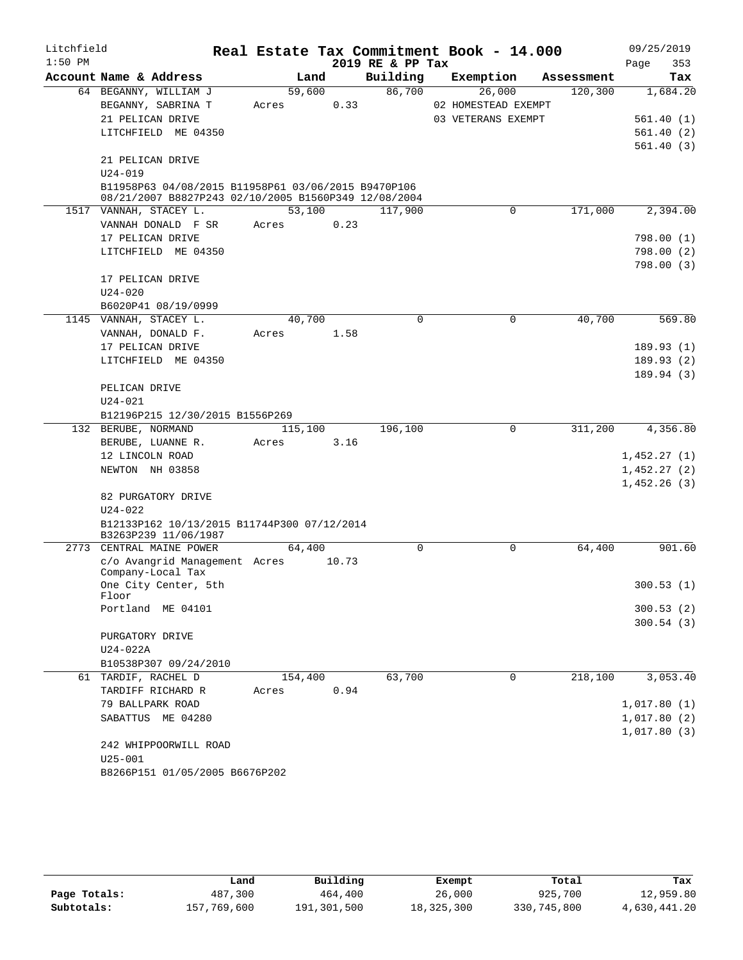| Litchfield |                                                                                                             | Real Estate Tax Commitment Book - 14.000 |       |                  |                     |            | 09/25/2019                 |
|------------|-------------------------------------------------------------------------------------------------------------|------------------------------------------|-------|------------------|---------------------|------------|----------------------------|
| $1:50$ PM  |                                                                                                             |                                          |       | 2019 RE & PP Tax |                     |            | 353<br>Page                |
|            | Account Name & Address                                                                                      | Land                                     |       | Building         | Exemption           | Assessment | Tax                        |
|            | 64 BEGANNY, WILLIAM J                                                                                       | 59,600                                   |       | 86,700           | 26,000              | 120,300    | 1,684.20                   |
|            | BEGANNY, SABRINA T                                                                                          | Acres                                    | 0.33  |                  | 02 HOMESTEAD EXEMPT |            |                            |
|            | 21 PELICAN DRIVE                                                                                            |                                          |       |                  | 03 VETERANS EXEMPT  |            | 561.40(1)                  |
|            | LITCHFIELD ME 04350                                                                                         |                                          |       |                  |                     |            | 561.40(2)                  |
|            |                                                                                                             |                                          |       |                  |                     |            | 561.40(3)                  |
|            | 21 PELICAN DRIVE                                                                                            |                                          |       |                  |                     |            |                            |
|            | $U24 - 019$                                                                                                 |                                          |       |                  |                     |            |                            |
|            | B11958P63 04/08/2015 B11958P61 03/06/2015 B9470P106<br>08/21/2007 B8827P243 02/10/2005 B1560P349 12/08/2004 |                                          |       |                  |                     |            |                            |
|            | 1517 VANNAH, STACEY L.                                                                                      | 53,100                                   |       | 117,900          | 0                   | 171,000    | 2,394.00                   |
|            | VANNAH DONALD F SR                                                                                          | Acres                                    | 0.23  |                  |                     |            |                            |
|            | 17 PELICAN DRIVE                                                                                            |                                          |       |                  |                     |            | 798.00(1)                  |
|            | LITCHFIELD ME 04350                                                                                         |                                          |       |                  |                     |            | 798.00(2)                  |
|            |                                                                                                             |                                          |       |                  |                     |            | 798.00(3)                  |
|            | 17 PELICAN DRIVE                                                                                            |                                          |       |                  |                     |            |                            |
|            | $U24 - 020$                                                                                                 |                                          |       |                  |                     |            |                            |
|            | B6020P41 08/19/0999                                                                                         |                                          |       |                  |                     |            |                            |
|            | 1145 VANNAH, STACEY L.                                                                                      | 40,700                                   |       | $\mathbf 0$      | $\mathbf 0$         | 40,700     | 569.80                     |
|            | VANNAH, DONALD F.                                                                                           | Acres                                    | 1.58  |                  |                     |            |                            |
|            | 17 PELICAN DRIVE                                                                                            |                                          |       |                  |                     |            | 189.93(1)                  |
|            | LITCHFIELD ME 04350                                                                                         |                                          |       |                  |                     |            | 189.93(2)                  |
|            |                                                                                                             |                                          |       |                  |                     |            | 189.94(3)                  |
|            | PELICAN DRIVE                                                                                               |                                          |       |                  |                     |            |                            |
|            | $U24 - 021$                                                                                                 |                                          |       |                  |                     |            |                            |
|            | B12196P215 12/30/2015 B1556P269<br>132 BERUBE, NORMAND                                                      | 115,100                                  |       | 196,100          | $\mathbf 0$         | 311,200    | 4,356.80                   |
|            | BERUBE, LUANNE R.                                                                                           | Acres                                    | 3.16  |                  |                     |            |                            |
|            | 12 LINCOLN ROAD                                                                                             |                                          |       |                  |                     |            | 1,452.27(1)                |
|            | NEWTON NH 03858                                                                                             |                                          |       |                  |                     |            | 1,452.27(2)                |
|            |                                                                                                             |                                          |       |                  |                     |            | 1,452.26(3)                |
|            | 82 PURGATORY DRIVE                                                                                          |                                          |       |                  |                     |            |                            |
|            | $U24 - 022$                                                                                                 |                                          |       |                  |                     |            |                            |
|            | B12133P162 10/13/2015 B11744P300 07/12/2014                                                                 |                                          |       |                  |                     |            |                            |
|            | B3263P239 11/06/1987                                                                                        |                                          |       |                  |                     |            |                            |
|            | 2773 CENTRAL MAINE POWER                                                                                    | 64,400                                   |       | $\mathbf 0$      | 0                   | 64,400     | 901.60                     |
|            | c/o Avangrid Management Acres<br>Company-Local Tax                                                          |                                          | 10.73 |                  |                     |            |                            |
|            | One City Center, 5th                                                                                        |                                          |       |                  |                     |            | 300.53 (1)                 |
|            | Floor                                                                                                       |                                          |       |                  |                     |            |                            |
|            | Portland ME 04101                                                                                           |                                          |       |                  |                     |            | 300.53(2)                  |
|            |                                                                                                             |                                          |       |                  |                     |            | 300.54(3)                  |
|            | PURGATORY DRIVE                                                                                             |                                          |       |                  |                     |            |                            |
|            | U24-022A                                                                                                    |                                          |       |                  |                     |            |                            |
|            | B10538P307 09/24/2010                                                                                       |                                          |       |                  |                     |            |                            |
|            | 61 TARDIF, RACHEL D                                                                                         | 154,400                                  |       | 63,700           | 0                   | 218,100    | 3,053.40                   |
|            | TARDIFF RICHARD R                                                                                           | Acres                                    | 0.94  |                  |                     |            |                            |
|            | 79 BALLPARK ROAD<br>SABATTUS ME 04280                                                                       |                                          |       |                  |                     |            | 1,017.80(1)                |
|            |                                                                                                             |                                          |       |                  |                     |            | 1,017.80(2)<br>1,017.80(3) |
|            | 242 WHIPPOORWILL ROAD                                                                                       |                                          |       |                  |                     |            |                            |
|            | $U25 - 001$                                                                                                 |                                          |       |                  |                     |            |                            |
|            | B8266P151 01/05/2005 B6676P202                                                                              |                                          |       |                  |                     |            |                            |
|            |                                                                                                             |                                          |       |                  |                     |            |                            |

|              | Land        | Building    | Exempt     | Total       | Tax          |
|--------------|-------------|-------------|------------|-------------|--------------|
| Page Totals: | 487,300     | 464,400     | 26,000     | 925,700     | 12,959.80    |
| Subtotals:   | 157,769,600 | 191,301,500 | 18,325,300 | 330,745,800 | 4,630,441.20 |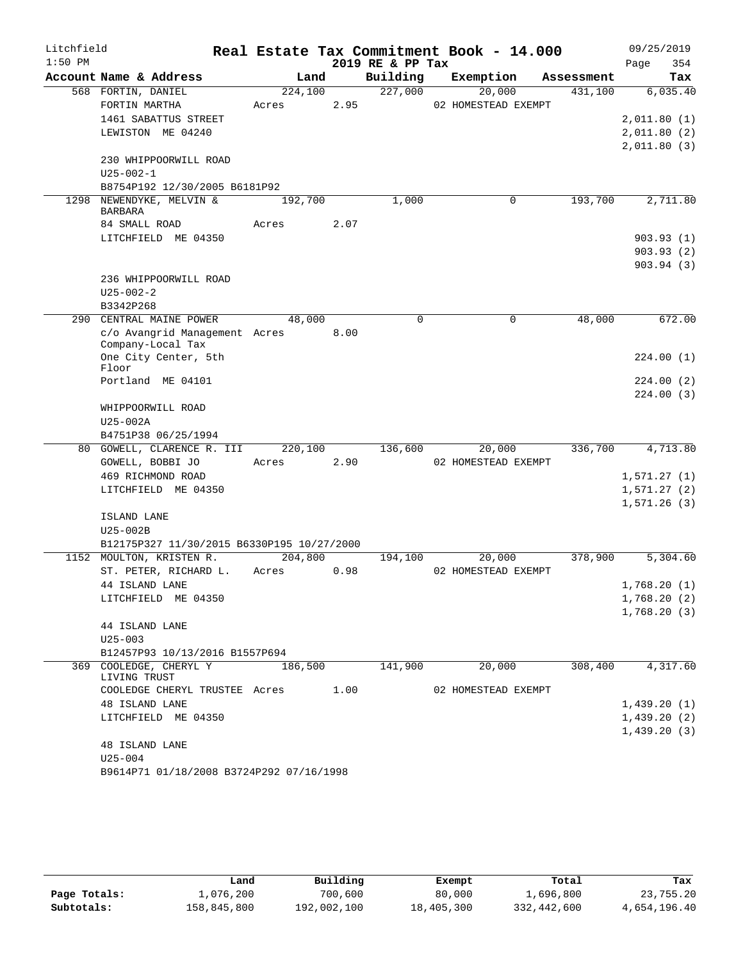| Litchfield |                                                    |         |      |                  | Real Estate Tax Commitment Book - 14.000 |            |      | 09/25/2019                 |
|------------|----------------------------------------------------|---------|------|------------------|------------------------------------------|------------|------|----------------------------|
| $1:50$ PM  |                                                    |         |      | 2019 RE & PP Tax |                                          |            | Page | 354                        |
|            | Account Name & Address                             | Land    |      | Building         | Exemption                                | Assessment |      | Tax                        |
|            | 568 FORTIN, DANIEL                                 | 224,100 |      | 227,000          | 20,000                                   | 431,100    |      | 6,035.40                   |
|            | FORTIN MARTHA                                      | Acres   | 2.95 |                  | 02 HOMESTEAD EXEMPT                      |            |      |                            |
|            | 1461 SABATTUS STREET                               |         |      |                  |                                          |            |      | 2,011.80(1)                |
|            | LEWISTON ME 04240                                  |         |      |                  |                                          |            |      | 2,011.80(2)                |
|            |                                                    |         |      |                  |                                          |            |      | 2,011.80(3)                |
|            | 230 WHIPPOORWILL ROAD                              |         |      |                  |                                          |            |      |                            |
|            | $U25 - 002 - 1$<br>B8754P192 12/30/2005 B6181P92   |         |      |                  |                                          |            |      |                            |
| 1298       | NEWENDYKE, MELVIN &                                | 192,700 |      | 1,000            | $\mathbf 0$                              | 193,700    |      | 2,711.80                   |
|            | <b>BARBARA</b>                                     |         |      |                  |                                          |            |      |                            |
|            | 84 SMALL ROAD                                      | Acres   | 2.07 |                  |                                          |            |      |                            |
|            | LITCHFIELD ME 04350                                |         |      |                  |                                          |            |      | 903.93(1)                  |
|            |                                                    |         |      |                  |                                          |            |      | 903.93(2)                  |
|            |                                                    |         |      |                  |                                          |            |      | 903.94(3)                  |
|            | 236 WHIPPOORWILL ROAD                              |         |      |                  |                                          |            |      |                            |
|            | $U25 - 002 - 2$                                    |         |      |                  |                                          |            |      |                            |
|            | B3342P268                                          |         |      |                  |                                          |            |      |                            |
|            | 290 CENTRAL MAINE POWER                            | 48,000  |      | $\mathbf 0$      | 0                                        | 48,000     |      | 672.00                     |
|            | c/o Avangrid Management Acres<br>Company-Local Tax |         | 8.00 |                  |                                          |            |      |                            |
|            | One City Center, 5th                               |         |      |                  |                                          |            |      | 224.00(1)                  |
|            | Floor                                              |         |      |                  |                                          |            |      |                            |
|            | Portland ME 04101                                  |         |      |                  |                                          |            |      | 224.00(2)                  |
|            |                                                    |         |      |                  |                                          |            |      | 224.00(3)                  |
|            | WHIPPOORWILL ROAD                                  |         |      |                  |                                          |            |      |                            |
|            | U25-002A                                           |         |      |                  |                                          |            |      |                            |
|            | B4751P38 06/25/1994                                |         |      |                  |                                          |            |      |                            |
|            | 80 GOWELL, CLARENCE R. III                         | 220,100 |      | 136,600          | 20,000                                   | 336,700    |      | 4,713.80                   |
|            | GOWELL, BOBBI JO                                   | Acres   | 2.90 |                  | 02 HOMESTEAD EXEMPT                      |            |      |                            |
|            | 469 RICHMOND ROAD                                  |         |      |                  |                                          |            |      | 1,571.27(1)                |
|            | LITCHFIELD ME 04350                                |         |      |                  |                                          |            |      | 1,571.27(2)<br>1,571.26(3) |
|            | ISLAND LANE                                        |         |      |                  |                                          |            |      |                            |
|            | $U25-002B$                                         |         |      |                  |                                          |            |      |                            |
|            | B12175P327 11/30/2015 B6330P195 10/27/2000         |         |      |                  |                                          |            |      |                            |
|            | 1152 MOULTON, KRISTEN R.                           | 204,800 |      | 194,100          | 20,000                                   | 378,900    |      | 5,304.60                   |
|            | ST. PETER, RICHARD L.                              | Acres   | 0.98 |                  | 02 HOMESTEAD EXEMPT                      |            |      |                            |
|            | 44 ISLAND LANE                                     |         |      |                  |                                          |            |      | 1,768.20(1)                |
|            | LITCHFIELD ME 04350                                |         |      |                  |                                          |            |      | 1,768.20(2)                |
|            |                                                    |         |      |                  |                                          |            |      | 1,768.20(3)                |
|            | 44 ISLAND LANE                                     |         |      |                  |                                          |            |      |                            |
|            | $U25 - 003$                                        |         |      |                  |                                          |            |      |                            |
|            | B12457P93 10/13/2016 B1557P694                     |         |      |                  |                                          |            |      |                            |
|            | 369 COOLEDGE, CHERYL Y<br>LIVING TRUST             | 186,500 |      | 141,900          | 20,000                                   | 308,400    |      | 4,317.60                   |
|            | COOLEDGE CHERYL TRUSTEE Acres                      |         | 1.00 |                  | 02 HOMESTEAD EXEMPT                      |            |      |                            |
|            | 48 ISLAND LANE                                     |         |      |                  |                                          |            |      | 1,439.20(1)                |
|            | LITCHFIELD ME 04350                                |         |      |                  |                                          |            |      | 1,439.20(2)                |
|            |                                                    |         |      |                  |                                          |            |      | 1,439.20(3)                |
|            | 48 ISLAND LANE                                     |         |      |                  |                                          |            |      |                            |
|            | $U25 - 004$                                        |         |      |                  |                                          |            |      |                            |
|            | B9614P71 01/18/2008 B3724P292 07/16/1998           |         |      |                  |                                          |            |      |                            |

|              | Land        | Building    | Exempt     | Total       | Tax          |
|--------------|-------------|-------------|------------|-------------|--------------|
| Page Totals: | 1,076,200   | 700,600     | 80,000     | 1,696,800   | 23,755.20    |
| Subtotals:   | 158,845,800 | 192,002,100 | 18,405,300 | 332,442,600 | 4,654,196.40 |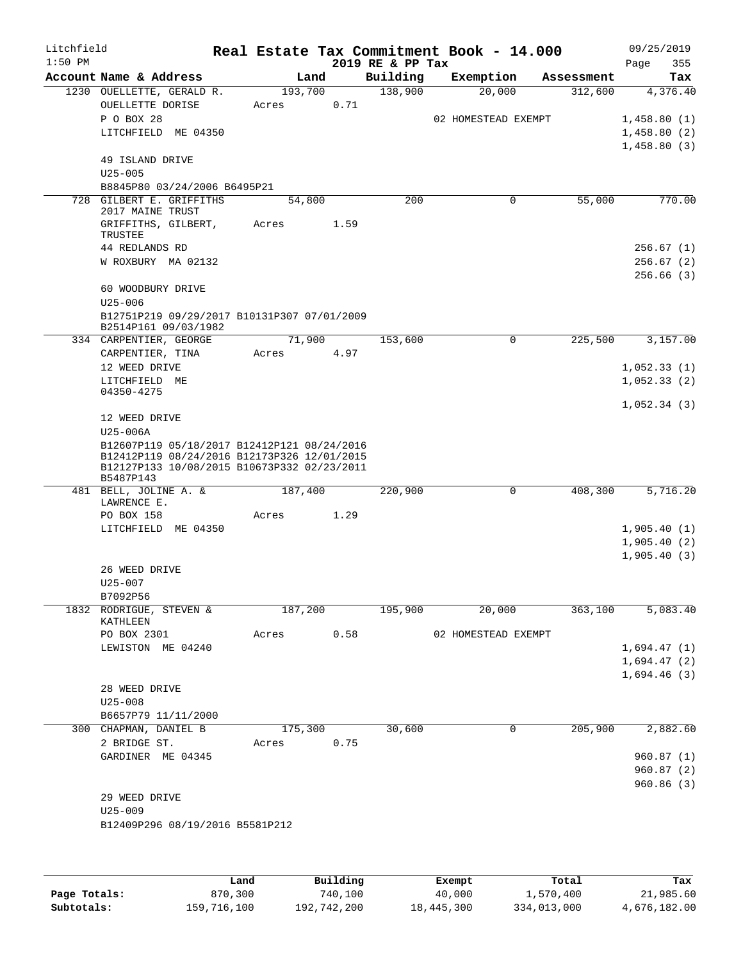| Litchfield<br>$1:50$ PM |                                                                                                                                                        |       |         |      | 2019 RE & PP Tax | Real Estate Tax Commitment Book - 14.000 |             |            | 09/25/2019<br>355<br>Page              |
|-------------------------|--------------------------------------------------------------------------------------------------------------------------------------------------------|-------|---------|------|------------------|------------------------------------------|-------------|------------|----------------------------------------|
|                         | Account Name & Address                                                                                                                                 |       | Land    |      | Building         | Exemption                                |             | Assessment | Tax                                    |
|                         | 1230 OUELLETTE, GERALD R.<br>OUELLETTE DORISE<br>P O BOX 28<br>LITCHFIELD ME 04350                                                                     | Acres | 193,700 | 0.71 | 138,900          | 20,000<br>02 HOMESTEAD EXEMPT            |             | 312,600    | 4,376.40<br>1,458.80(1)<br>1,458.80(2) |
|                         | 49 ISLAND DRIVE<br>$U25 - 005$<br>B8845P80 03/24/2006 B6495P21                                                                                         |       |         |      |                  |                                          |             |            | 1,458.80(3)                            |
|                         | 728 GILBERT E. GRIFFITHS<br>2017 MAINE TRUST                                                                                                           |       | 54,800  |      | 200              |                                          | $\mathbf 0$ | 55,000     | 770.00                                 |
|                         | GRIFFITHS, GILBERT,<br>TRUSTEE<br>44 REDLANDS RD                                                                                                       | Acres |         | 1.59 |                  |                                          |             |            | 256.67(1)                              |
|                         | W ROXBURY MA 02132                                                                                                                                     |       |         |      |                  |                                          |             |            | 256.67(2)<br>256.66(3)                 |
|                         | 60 WOODBURY DRIVE<br>$U25 - 006$                                                                                                                       |       |         |      |                  |                                          |             |            |                                        |
|                         | B12751P219 09/29/2017 B10131P307 07/01/2009<br>B2514P161 09/03/1982                                                                                    |       |         |      |                  |                                          |             |            |                                        |
|                         | 334 CARPENTIER, GEORGE                                                                                                                                 |       | 71,900  |      | 153,600          |                                          | $\Omega$    | 225,500    | 3,157.00                               |
|                         | CARPENTIER, TINA<br>12 WEED DRIVE                                                                                                                      | Acres |         | 4.97 |                  |                                          |             |            | 1,052.33(1)                            |
|                         | LITCHFIELD ME                                                                                                                                          |       |         |      |                  |                                          |             |            | 1,052.33(2)                            |
|                         | 04350-4275                                                                                                                                             |       |         |      |                  |                                          |             |            | 1,052.34(3)                            |
|                         | 12 WEED DRIVE<br>U25-006A                                                                                                                              |       |         |      |                  |                                          |             |            |                                        |
|                         | B12607P119 05/18/2017 B12412P121 08/24/2016<br>B12412P119 08/24/2016 B12173P326 12/01/2015<br>B12127P133 10/08/2015 B10673P332 02/23/2011<br>B5487P143 |       |         |      |                  |                                          |             |            |                                        |
|                         | 481 BELL, JOLINE A. &<br>LAWRENCE E.                                                                                                                   |       | 187,400 |      | 220,900          |                                          | $\mathbf 0$ | 408,300    | 5,716.20                               |
|                         | PO BOX 158                                                                                                                                             | Acres |         | 1.29 |                  |                                          |             |            |                                        |
|                         | LITCHFIELD ME 04350                                                                                                                                    |       |         |      |                  |                                          |             |            | 1,905.40(1)                            |
|                         |                                                                                                                                                        |       |         |      |                  |                                          |             |            | 1,905.40(2)<br>1,905.40(3)             |
|                         | 26 WEED DRIVE                                                                                                                                          |       |         |      |                  |                                          |             |            |                                        |
|                         | U25-007                                                                                                                                                |       |         |      |                  |                                          |             |            |                                        |
|                         | B7092P56                                                                                                                                               |       |         |      |                  | 20,000                                   |             | 363,100    |                                        |
|                         | 1832 RODRIGUE, STEVEN &<br>KATHLEEN<br>PO BOX 2301                                                                                                     | Acres | 187,200 | 0.58 | 195,900          | 02 HOMESTEAD EXEMPT                      |             |            | 5,083.40                               |
|                         | LEWISTON ME 04240                                                                                                                                      |       |         |      |                  |                                          |             |            | 1,694.47(1)                            |
|                         |                                                                                                                                                        |       |         |      |                  |                                          |             |            | 1,694.47(2)                            |
|                         |                                                                                                                                                        |       |         |      |                  |                                          |             |            | 1,694.46(3)                            |
|                         | 28 WEED DRIVE<br>$U25 - 008$                                                                                                                           |       |         |      |                  |                                          |             |            |                                        |
|                         | B6657P79 11/11/2000                                                                                                                                    |       |         |      |                  |                                          |             |            |                                        |
|                         | 300 CHAPMAN, DANIEL B<br>2 BRIDGE ST.                                                                                                                  | Acres | 175,300 | 0.75 | 30,600           |                                          | 0           | 205,900    | 2,882.60                               |
|                         | GARDINER ME 04345                                                                                                                                      |       |         |      |                  |                                          |             |            | 960.87(1)                              |
|                         |                                                                                                                                                        |       |         |      |                  |                                          |             |            | 960.87(2)<br>960.86(3)                 |
|                         | 29 WEED DRIVE                                                                                                                                          |       |         |      |                  |                                          |             |            |                                        |
|                         | $U25 - 009$<br>B12409P296 08/19/2016 B5581P212                                                                                                         |       |         |      |                  |                                          |             |            |                                        |
|                         |                                                                                                                                                        |       |         |      |                  |                                          |             |            |                                        |
|                         |                                                                                                                                                        |       |         |      |                  |                                          |             |            |                                        |

|              | Land        | Building    | Exempt     | Total       | Tax          |
|--------------|-------------|-------------|------------|-------------|--------------|
| Page Totals: | 870,300     | 740,100     | 40,000     | 1,570,400   | 21,985.60    |
| Subtotals:   | 159,716,100 | 192,742,200 | 18,445,300 | 334,013,000 | 4,676,182.00 |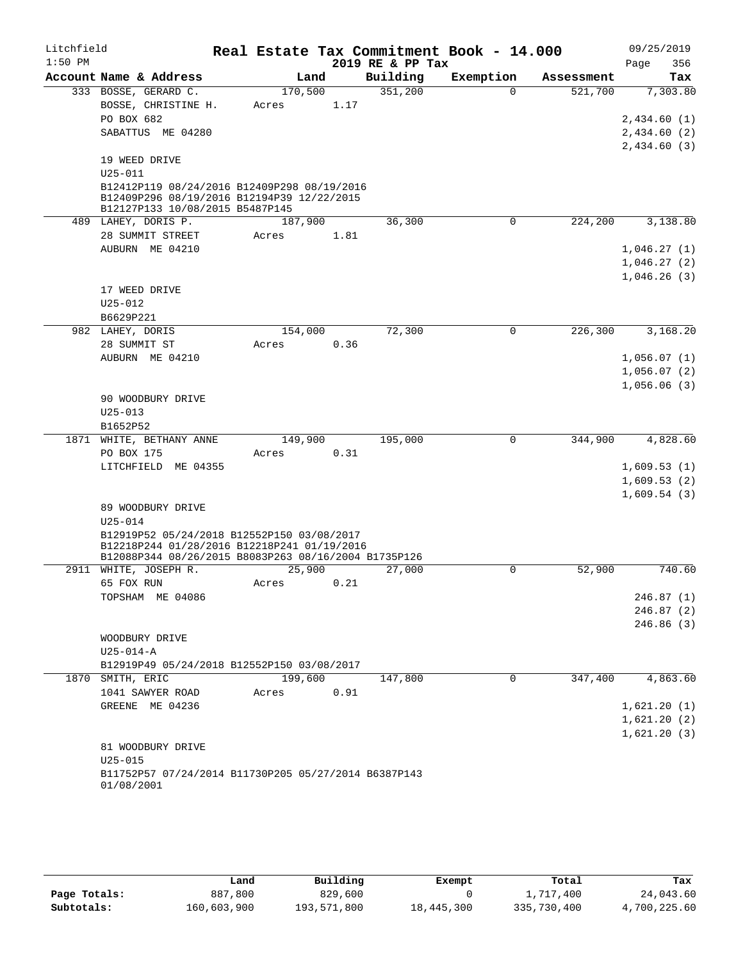| Litchfield |                                                                    |         |      |                  | Real Estate Tax Commitment Book - 14.000 |            | 09/25/2019                 |
|------------|--------------------------------------------------------------------|---------|------|------------------|------------------------------------------|------------|----------------------------|
| $1:50$ PM  |                                                                    |         |      | 2019 RE & PP Tax |                                          |            | 356<br>Page                |
|            | Account Name & Address                                             | Land    |      | Building         | Exemption                                | Assessment | Tax                        |
|            | 333 BOSSE, GERARD C.                                               | 170,500 |      | 351,200          | $\Omega$                                 | 521,700    | 7,303.80                   |
|            | BOSSE, CHRISTINE H.                                                | Acres   | 1.17 |                  |                                          |            |                            |
|            | PO BOX 682                                                         |         |      |                  |                                          |            | 2,434.60(1)                |
|            | SABATTUS ME 04280                                                  |         |      |                  |                                          |            | 2,434.60(2)                |
|            |                                                                    |         |      |                  |                                          |            | 2,434.60(3)                |
|            | 19 WEED DRIVE                                                      |         |      |                  |                                          |            |                            |
|            | $U25 - 011$                                                        |         |      |                  |                                          |            |                            |
|            | B12412P119 08/24/2016 B12409P298 08/19/2016                        |         |      |                  |                                          |            |                            |
|            | B12409P296 08/19/2016 B12194P39 12/22/2015                         |         |      |                  |                                          |            |                            |
|            | B12127P133 10/08/2015 B5487P145<br>489 LAHEY, DORIS P.             | 187,900 |      | 36,300           | $\mathbf 0$                              | 224,200    | 3,138.80                   |
|            | 28 SUMMIT STREET                                                   | Acres   | 1.81 |                  |                                          |            |                            |
|            | AUBURN ME 04210                                                    |         |      |                  |                                          |            |                            |
|            |                                                                    |         |      |                  |                                          |            | 1,046.27(1)                |
|            |                                                                    |         |      |                  |                                          |            | 1,046.27(2)                |
|            | 17 WEED DRIVE                                                      |         |      |                  |                                          |            | 1,046.26(3)                |
|            |                                                                    |         |      |                  |                                          |            |                            |
|            | $U25 - 012$                                                        |         |      |                  |                                          |            |                            |
|            | B6629P221<br>982 LAHEY, DORIS                                      | 154,000 |      | 72,300           | 0                                        | 226,300    | 3,168.20                   |
|            |                                                                    |         |      |                  |                                          |            |                            |
|            | 28 SUMMIT ST<br>AUBURN ME 04210                                    | Acres   | 0.36 |                  |                                          |            |                            |
|            |                                                                    |         |      |                  |                                          |            | 1,056.07(1)                |
|            |                                                                    |         |      |                  |                                          |            | 1,056.07(2)                |
|            |                                                                    |         |      |                  |                                          |            | 1,056.06(3)                |
|            | 90 WOODBURY DRIVE<br>$U25 - 013$                                   |         |      |                  |                                          |            |                            |
|            | B1652P52                                                           |         |      |                  |                                          |            |                            |
|            | 1871 WHITE, BETHANY ANNE                                           | 149,900 |      | 195,000          | 0                                        | 344,900    | 4,828.60                   |
|            |                                                                    |         | 0.31 |                  |                                          |            |                            |
|            | PO BOX 175<br>LITCHFIELD ME 04355                                  | Acres   |      |                  |                                          |            |                            |
|            |                                                                    |         |      |                  |                                          |            | 1,609.53(1)                |
|            |                                                                    |         |      |                  |                                          |            | 1,609.53(2)<br>1,609.54(3) |
|            | 89 WOODBURY DRIVE                                                  |         |      |                  |                                          |            |                            |
|            | $U25 - 014$                                                        |         |      |                  |                                          |            |                            |
|            | B12919P52 05/24/2018 B12552P150 03/08/2017                         |         |      |                  |                                          |            |                            |
|            | B12218P244 01/28/2016 B12218P241 01/19/2016                        |         |      |                  |                                          |            |                            |
|            | B12088P344 08/26/2015 B8083P263 08/16/2004 B1735P126               |         |      |                  |                                          |            |                            |
|            | 2911 WHITE, JOSEPH R.                                              | 25,900  |      | 27,000           | 0                                        | 52,900     | 740.60                     |
|            | 65 FOX RUN                                                         | Acres   | 0.21 |                  |                                          |            |                            |
|            | TOPSHAM ME 04086                                                   |         |      |                  |                                          |            | 246.87(1)                  |
|            |                                                                    |         |      |                  |                                          |            | 246.87(2)                  |
|            |                                                                    |         |      |                  |                                          |            | 246.86 (3)                 |
|            | WOODBURY DRIVE                                                     |         |      |                  |                                          |            |                            |
|            | $U25 - 014 - A$                                                    |         |      |                  |                                          |            |                            |
|            | B12919P49 05/24/2018 B12552P150 03/08/2017                         |         |      |                  |                                          |            |                            |
|            | 1870 SMITH, ERIC                                                   | 199,600 |      | 147,800          | $\mathbf 0$                              | 347,400    | 4,863.60                   |
|            | 1041 SAWYER ROAD                                                   | Acres   | 0.91 |                  |                                          |            |                            |
|            | GREENE ME 04236                                                    |         |      |                  |                                          |            | 1,621.20(1)                |
|            |                                                                    |         |      |                  |                                          |            | 1,621.20(2)                |
|            |                                                                    |         |      |                  |                                          |            | 1,621.20(3)                |
|            | 81 WOODBURY DRIVE                                                  |         |      |                  |                                          |            |                            |
|            | $U25 - 015$                                                        |         |      |                  |                                          |            |                            |
|            | B11752P57 07/24/2014 B11730P205 05/27/2014 B6387P143<br>01/08/2001 |         |      |                  |                                          |            |                            |

|              | Land        | Building    | Exempt     | Total       | Tax          |
|--------------|-------------|-------------|------------|-------------|--------------|
| Page Totals: | 887,800     | 829,600     |            | 1,717,400   | 24,043.60    |
| Subtotals:   | 160,603,900 | 193,571,800 | 18,445,300 | 335,730,400 | 4,700,225.60 |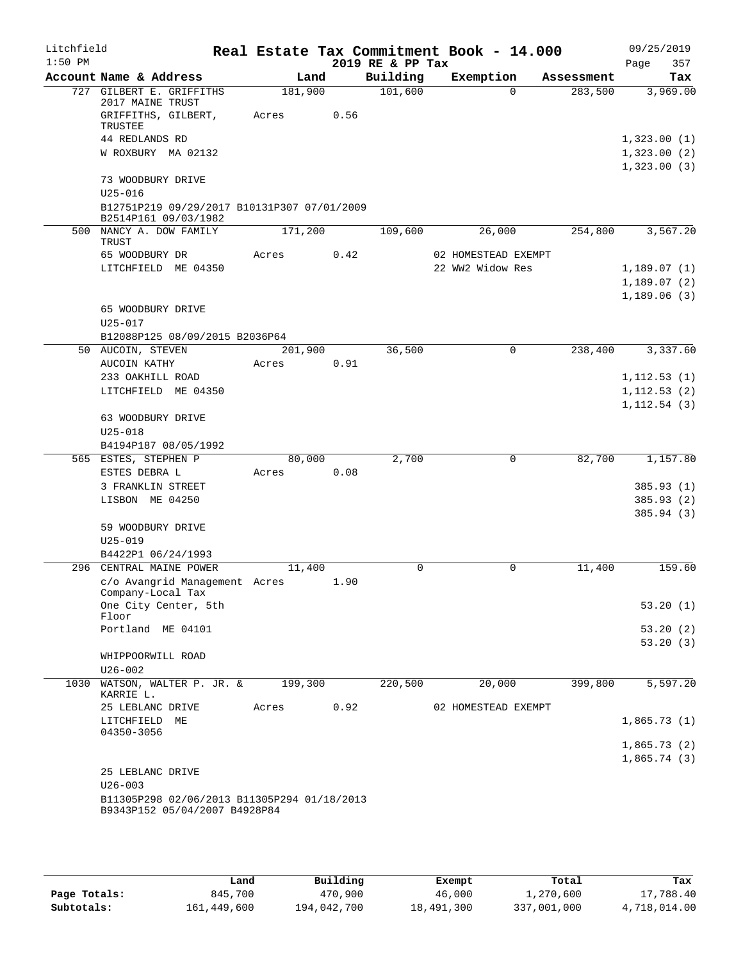| Litchfield<br>$1:50$ PM |                                                                     |         |      | 2019 RE & PP Tax | Real Estate Tax Commitment Book - 14.000 |            | 09/25/2019<br>Page<br>357 |
|-------------------------|---------------------------------------------------------------------|---------|------|------------------|------------------------------------------|------------|---------------------------|
|                         | Account Name & Address                                              |         | Land | Building         | Exemption                                | Assessment | Tax                       |
|                         | 727 GILBERT E. GRIFFITHS<br>2017 MAINE TRUST                        | 181,900 |      | 101,600          | $\Omega$                                 | 283,500    | 3,969.00                  |
|                         | GRIFFITHS, GILBERT,<br>TRUSTEE                                      | Acres   | 0.56 |                  |                                          |            |                           |
|                         | 44 REDLANDS RD                                                      |         |      |                  |                                          |            | 1,323.00(1)               |
|                         | W ROXBURY MA 02132                                                  |         |      |                  |                                          |            | 1,323.00(2)               |
|                         |                                                                     |         |      |                  |                                          |            | 1,323.00(3)               |
|                         | 73 WOODBURY DRIVE                                                   |         |      |                  |                                          |            |                           |
|                         | $U25 - 016$                                                         |         |      |                  |                                          |            |                           |
|                         | B12751P219 09/29/2017 B10131P307 07/01/2009<br>B2514P161 09/03/1982 |         |      |                  |                                          |            |                           |
| 500                     | NANCY A. DOW FAMILY                                                 | 171,200 |      | 109,600          | 26,000                                   | 254,800    | 3,567.20                  |
|                         | TRUST                                                               |         |      |                  |                                          |            |                           |
|                         | 65 WOODBURY DR                                                      | Acres   | 0.42 |                  | 02 HOMESTEAD EXEMPT                      |            |                           |
|                         | LITCHFIELD ME 04350                                                 |         |      |                  | 22 WW2 Widow Res                         |            | 1,189.07(1)               |
|                         |                                                                     |         |      |                  |                                          |            | 1,189.07(2)               |
|                         |                                                                     |         |      |                  |                                          |            | 1,189.06(3)               |
|                         | 65 WOODBURY DRIVE                                                   |         |      |                  |                                          |            |                           |
|                         | $U25 - 017$                                                         |         |      |                  |                                          |            |                           |
|                         | B12088P125 08/09/2015 B2036P64<br>50 AUCOIN, STEVEN                 | 201,900 |      | 36,500           | 0                                        | 238,400    | 3,337.60                  |
|                         | AUCOIN KATHY                                                        | Acres   | 0.91 |                  |                                          |            |                           |
|                         | 233 OAKHILL ROAD                                                    |         |      |                  |                                          |            | 1, 112.53(1)              |
|                         | LITCHFIELD ME 04350                                                 |         |      |                  |                                          |            | 1, 112.53(2)              |
|                         |                                                                     |         |      |                  |                                          |            | 1, 112.54(3)              |
|                         | 63 WOODBURY DRIVE                                                   |         |      |                  |                                          |            |                           |
|                         | $U25 - 018$                                                         |         |      |                  |                                          |            |                           |
|                         | B4194P187 08/05/1992                                                |         |      |                  |                                          |            |                           |
|                         | 565 ESTES, STEPHEN P                                                | 80,000  |      | 2,700            | 0                                        | 82,700     | 1,157.80                  |
|                         | ESTES DEBRA L                                                       | Acres   | 0.08 |                  |                                          |            |                           |
|                         | 3 FRANKLIN STREET                                                   |         |      |                  |                                          |            | 385.93 (1)                |
|                         | LISBON ME 04250                                                     |         |      |                  |                                          |            | 385.93 (2)                |
|                         | 59 WOODBURY DRIVE                                                   |         |      |                  |                                          |            | 385.94(3)                 |
|                         | $U25 - 019$                                                         |         |      |                  |                                          |            |                           |
|                         | B4422P1 06/24/1993                                                  |         |      |                  |                                          |            |                           |
|                         | 296 CENTRAL MAINE POWER                                             | 11,400  |      | 0                | 0                                        | 11,400     | 159.60                    |
|                         | c/o Avangrid Management Acres                                       |         | 1.90 |                  |                                          |            |                           |
|                         | Company-Local Tax                                                   |         |      |                  |                                          |            |                           |
|                         | One City Center, 5th<br>Floor                                       |         |      |                  |                                          |            | 53.20(1)                  |
|                         | Portland ME 04101                                                   |         |      |                  |                                          |            | 53.20(2)                  |
|                         |                                                                     |         |      |                  |                                          |            | 53.20(3)                  |
|                         | WHIPPOORWILL ROAD                                                   |         |      |                  |                                          |            |                           |
|                         | $U26 - 002$                                                         |         |      |                  |                                          |            |                           |
|                         | 1030 WATSON, WALTER P. JR. &                                        | 199,300 |      | 220,500          | 20,000                                   | 399,800    | 5, 597.20                 |
|                         | KARRIE L.                                                           |         |      |                  |                                          |            |                           |
|                         | 25 LEBLANC DRIVE<br>LITCHFIELD ME                                   | Acres   | 0.92 |                  | 02 HOMESTEAD EXEMPT                      |            |                           |
|                         | 04350-3056                                                          |         |      |                  |                                          |            | 1,865.73(1)               |
|                         |                                                                     |         |      |                  |                                          |            | 1,865.73(2)               |
|                         |                                                                     |         |      |                  |                                          |            | 1,865.74(3)               |
|                         | 25 LEBLANC DRIVE                                                    |         |      |                  |                                          |            |                           |
|                         | $U26 - 003$                                                         |         |      |                  |                                          |            |                           |
|                         | B11305P298 02/06/2013 B11305P294 01/18/2013                         |         |      |                  |                                          |            |                           |
|                         | B9343P152 05/04/2007 B4928P84                                       |         |      |                  |                                          |            |                           |
|                         |                                                                     |         |      |                  |                                          |            |                           |

|              | Land        | Building    | Exempt     | Total       | Tax          |
|--------------|-------------|-------------|------------|-------------|--------------|
| Page Totals: | 845,700     | 470,900     | 46,000     | 1,270,600   | 17,788.40    |
| Subtotals:   | 161,449,600 | 194,042,700 | 18,491,300 | 337,001,000 | 4,718,014.00 |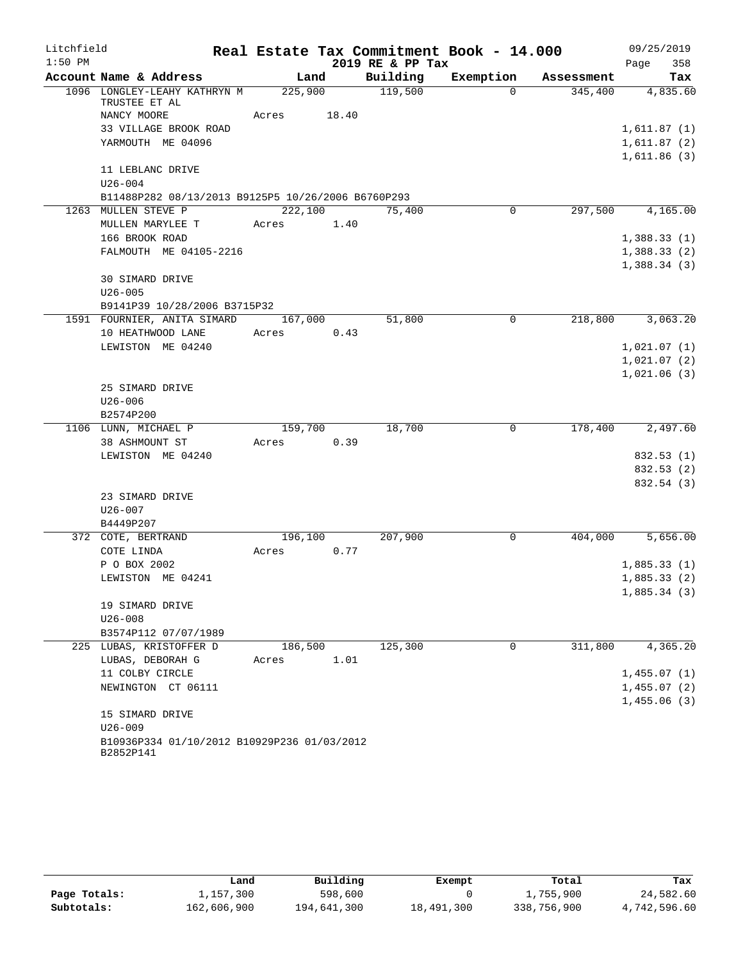| Litchfield |                                                          |         |       |                  | Real Estate Tax Commitment Book - 14.000 |                  | 09/25/2019  |            |
|------------|----------------------------------------------------------|---------|-------|------------------|------------------------------------------|------------------|-------------|------------|
| $1:50$ PM  |                                                          |         |       | 2019 RE & PP Tax |                                          |                  | Page        | 358        |
|            | Account Name & Address                                   | Land    |       | Building         | Exemption                                | Assessment       |             | Tax        |
|            | 1096 LONGLEY-LEAHY KATHRYN M<br>TRUSTEE ET AL            | 225,900 |       | 119,500          | $\Omega$                                 | 345,400          |             | 4,835.60   |
|            | NANCY MOORE                                              | Acres   | 18.40 |                  |                                          |                  |             |            |
|            | 33 VILLAGE BROOK ROAD                                    |         |       |                  |                                          |                  | 1,611.87(1) |            |
|            | YARMOUTH ME 04096                                        |         |       |                  |                                          |                  | 1,611.87(2) |            |
|            |                                                          |         |       |                  |                                          |                  | 1,611.86(3) |            |
|            | 11 LEBLANC DRIVE                                         |         |       |                  |                                          |                  |             |            |
|            | $U26 - 004$                                              |         |       |                  |                                          |                  |             |            |
|            | B11488P282 08/13/2013 B9125P5 10/26/2006 B6760P293       |         |       |                  |                                          |                  |             |            |
|            | 1263 MULLEN STEVE P                                      | 222,100 |       | 75,400           | $\overline{0}$                           | 297,500 4,165.00 |             |            |
|            | MULLEN MARYLEE T                                         | Acres   | 1.40  |                  |                                          |                  |             |            |
|            | 166 BROOK ROAD                                           |         |       |                  |                                          |                  | 1,388.33(1) |            |
|            | FALMOUTH ME 04105-2216                                   |         |       |                  |                                          |                  | 1,388.33(2) |            |
|            | 30 SIMARD DRIVE                                          |         |       |                  |                                          |                  | 1,388.34(3) |            |
|            | $U26 - 005$                                              |         |       |                  |                                          |                  |             |            |
|            | B9141P39 10/28/2006 B3715P32                             |         |       |                  |                                          |                  |             |            |
|            | 1591 FOURNIER, ANITA SIMARD                              | 167,000 |       | 51,800           | 0                                        | 218,800          |             | 3,063.20   |
|            | 10 HEATHWOOD LANE                                        | Acres   | 0.43  |                  |                                          |                  |             |            |
|            | LEWISTON ME 04240                                        |         |       |                  |                                          |                  | 1,021.07(1) |            |
|            |                                                          |         |       |                  |                                          |                  | 1,021.07(2) |            |
|            |                                                          |         |       |                  |                                          |                  | 1,021.06(3) |            |
|            | 25 SIMARD DRIVE                                          |         |       |                  |                                          |                  |             |            |
|            | $U26 - 006$                                              |         |       |                  |                                          |                  |             |            |
|            | B2574P200                                                |         |       |                  |                                          |                  |             |            |
|            | 1106 LUNN, MICHAEL P                                     | 159,700 |       | 18,700           | 0                                        | 178,400          |             | 2,497.60   |
|            | 38 ASHMOUNT ST                                           | Acres   | 0.39  |                  |                                          |                  |             |            |
|            | LEWISTON ME 04240                                        |         |       |                  |                                          |                  |             | 832.53 (1) |
|            |                                                          |         |       |                  |                                          |                  |             | 832.53 (2) |
|            |                                                          |         |       |                  |                                          |                  |             | 832.54 (3) |
|            | 23 SIMARD DRIVE                                          |         |       |                  |                                          |                  |             |            |
|            | $U26 - 007$                                              |         |       |                  |                                          |                  |             |            |
|            | B4449P207                                                |         |       |                  |                                          |                  |             |            |
|            | 372 COTE, BERTRAND                                       | 196,100 |       | 207,900          | 0                                        | 404,000          |             | 5,656.00   |
|            | COTE LINDA                                               | Acres   | 0.77  |                  |                                          |                  |             |            |
|            | P O BOX 2002                                             |         |       |                  |                                          |                  | 1,885.33(1) |            |
|            | LEWISTON ME 04241                                        |         |       |                  |                                          |                  | 1,885.33(2) |            |
|            |                                                          |         |       |                  |                                          |                  | 1,885.34(3) |            |
|            | 19 SIMARD DRIVE                                          |         |       |                  |                                          |                  |             |            |
|            | $U26 - 008$                                              |         |       |                  |                                          |                  |             |            |
|            | B3574P112 07/07/1989<br>225 LUBAS, KRISTOFFER D          | 186,500 |       | 125,300          | $\mathbf 0$                              | 311,800          |             |            |
|            | LUBAS, DEBORAH G                                         | Acres   | 1.01  |                  |                                          |                  |             | 4,365.20   |
|            | 11 COLBY CIRCLE                                          |         |       |                  |                                          |                  | 1,455.07(1) |            |
|            | NEWINGTON CT 06111                                       |         |       |                  |                                          |                  | 1,455.07(2) |            |
|            |                                                          |         |       |                  |                                          |                  | 1,455.06(3) |            |
|            | 15 SIMARD DRIVE                                          |         |       |                  |                                          |                  |             |            |
|            | $U26 - 009$                                              |         |       |                  |                                          |                  |             |            |
|            | B10936P334 01/10/2012 B10929P236 01/03/2012<br>B2852P141 |         |       |                  |                                          |                  |             |            |

|              | Land        | Building    | Exempt     | Total       | Tax          |
|--------------|-------------|-------------|------------|-------------|--------------|
| Page Totals: | 1,157,300   | 598,600     |            | 1,755,900   | 24,582.60    |
| Subtotals:   | 162,606,900 | 194,641,300 | 18,491,300 | 338,756,900 | 4,742,596.60 |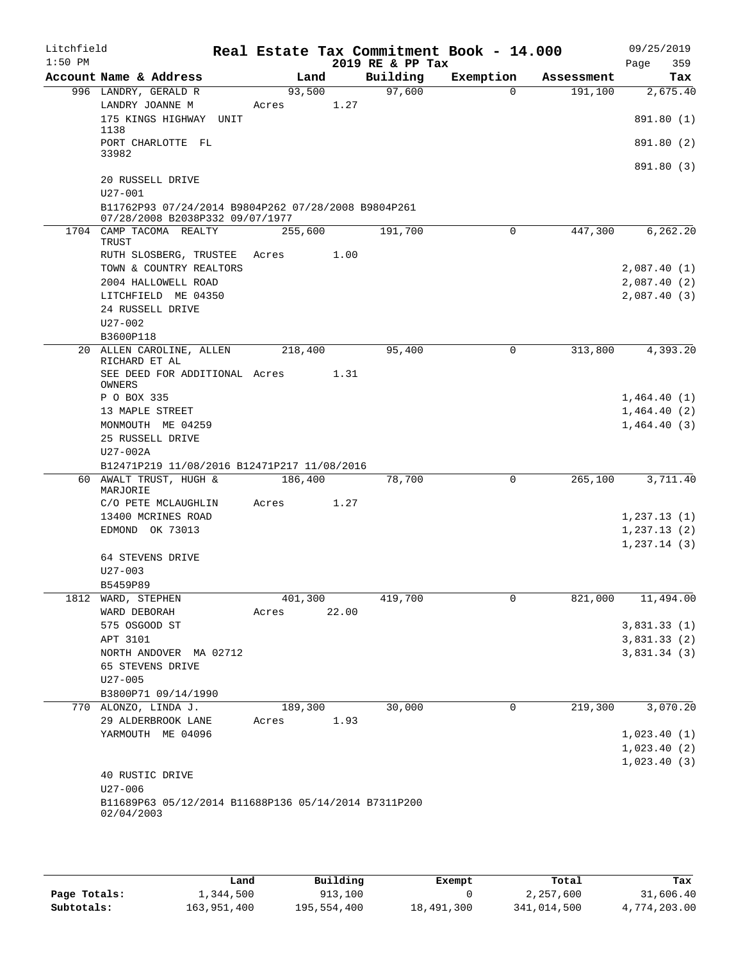| Litchfield<br>$1:50$ PM |                                                                                        |         |       | 2019 RE & PP Tax | Real Estate Tax Commitment Book - 14.000 |            | 09/25/2019<br>Page<br>359 |
|-------------------------|----------------------------------------------------------------------------------------|---------|-------|------------------|------------------------------------------|------------|---------------------------|
|                         | Account Name & Address                                                                 | Land    |       | Building         | Exemption                                | Assessment | Tax                       |
|                         | 996 LANDRY, GERALD R                                                                   | 93,500  |       | 97,600           | $\Omega$                                 | 191,100    | 2,675.40                  |
|                         | LANDRY JOANNE M<br>175 KINGS HIGHWAY UNIT                                              | Acres   | 1.27  |                  |                                          |            | 891.80 (1)                |
|                         | 1138<br>PORT CHARLOTTE FL                                                              |         |       |                  |                                          |            | 891.80 (2)                |
|                         | 33982                                                                                  |         |       |                  |                                          |            | 891.80 (3)                |
|                         | 20 RUSSELL DRIVE<br>$U27 - 001$                                                        |         |       |                  |                                          |            |                           |
|                         | B11762P93 07/24/2014 B9804P262 07/28/2008 B9804P261<br>07/28/2008 B2038P332 09/07/1977 |         |       |                  |                                          |            |                           |
|                         | 1704 CAMP TACOMA REALTY<br>TRUST                                                       | 255,600 |       | 191,700          | 0                                        | 447,300    | 6,262.20                  |
|                         | RUTH SLOSBERG, TRUSTEE                                                                 | Acres   | 1.00  |                  |                                          |            |                           |
|                         | TOWN & COUNTRY REALTORS                                                                |         |       |                  |                                          |            | 2,087.40(1)               |
|                         | 2004 HALLOWELL ROAD                                                                    |         |       |                  |                                          |            | 2,087.40(2)               |
|                         | LITCHFIELD ME 04350                                                                    |         |       |                  |                                          |            | 2,087.40(3)               |
|                         | 24 RUSSELL DRIVE                                                                       |         |       |                  |                                          |            |                           |
|                         | $U27 - 002$                                                                            |         |       |                  |                                          |            |                           |
|                         | B3600P118<br>20 ALLEN CAROLINE, ALLEN                                                  | 218,400 |       | 95,400           | 0                                        | 313,800    | 4,393.20                  |
|                         | RICHARD ET AL                                                                          |         |       |                  |                                          |            |                           |
|                         | SEE DEED FOR ADDITIONAL Acres                                                          |         | 1.31  |                  |                                          |            |                           |
|                         | OWNERS                                                                                 |         |       |                  |                                          |            |                           |
|                         | P O BOX 335                                                                            |         |       |                  |                                          |            | 1,464.40(1)               |
|                         | 13 MAPLE STREET<br>MONMOUTH ME 04259                                                   |         |       |                  |                                          |            | 1,464.40(2)               |
|                         | 25 RUSSELL DRIVE                                                                       |         |       |                  |                                          |            | 1,464.40(3)               |
|                         | U27-002A                                                                               |         |       |                  |                                          |            |                           |
|                         | B12471P219 11/08/2016 B12471P217 11/08/2016                                            |         |       |                  |                                          |            |                           |
|                         | 60 AWALT TRUST, HUGH &                                                                 | 186,400 |       | 78,700           | $\mathsf{O}$                             | 265,100    | 3,711.40                  |
|                         | MARJORIE                                                                               |         |       |                  |                                          |            |                           |
|                         | C/O PETE MCLAUGHLIN                                                                    | Acres   | 1.27  |                  |                                          |            |                           |
|                         | 13400 MCRINES ROAD                                                                     |         |       |                  |                                          |            | 1,237.13(1)               |
|                         | EDMOND OK 73013                                                                        |         |       |                  |                                          |            | 1,237.13(2)               |
|                         | 64 STEVENS DRIVE                                                                       |         |       |                  |                                          |            | 1, 237.14(3)              |
|                         | $U27 - 003$                                                                            |         |       |                  |                                          |            |                           |
|                         | B5459P89                                                                               |         |       |                  |                                          |            |                           |
| 1812                    | WARD, STEPHEN                                                                          | 401,300 |       | 419,700          | 0                                        | 821,000    | 11,494.00                 |
|                         | WARD DEBORAH                                                                           | Acres   | 22.00 |                  |                                          |            |                           |
|                         | 575 OSGOOD ST                                                                          |         |       |                  |                                          |            | 3,831.33(1)               |
|                         | APT 3101                                                                               |         |       |                  |                                          |            | 3,831.33(2)               |
|                         | NORTH ANDOVER MA 02712                                                                 |         |       |                  |                                          |            | 3,831.34(3)               |
|                         | 65 STEVENS DRIVE                                                                       |         |       |                  |                                          |            |                           |
|                         | $U27 - 005$                                                                            |         |       |                  |                                          |            |                           |
|                         | B3800P71 09/14/1990                                                                    |         |       |                  |                                          |            |                           |
|                         | 770 ALONZO, LINDA J.                                                                   | 189,300 | 1.93  | 30,000           | 0                                        | 219,300    | 3,070.20                  |
|                         | 29 ALDERBROOK LANE<br>YARMOUTH ME 04096                                                | Acres   |       |                  |                                          |            | 1,023.40(1)               |
|                         |                                                                                        |         |       |                  |                                          |            | 1,023.40(2)               |
|                         |                                                                                        |         |       |                  |                                          |            | 1,023.40(3)               |
|                         | 40 RUSTIC DRIVE                                                                        |         |       |                  |                                          |            |                           |
|                         | $U27 - 006$                                                                            |         |       |                  |                                          |            |                           |
|                         | B11689P63 05/12/2014 B11688P136 05/14/2014 B7311P200<br>02/04/2003                     |         |       |                  |                                          |            |                           |
|                         |                                                                                        |         |       |                  |                                          |            |                           |

|              | Land        | Building    | Exempt     | Total       | Tax          |
|--------------|-------------|-------------|------------|-------------|--------------|
| Page Totals: | 1,344,500   | 913,100     |            | 2,257,600   | 31,606.40    |
| Subtotals:   | 163,951,400 | 195,554,400 | 18,491,300 | 341,014,500 | 4,774,203.00 |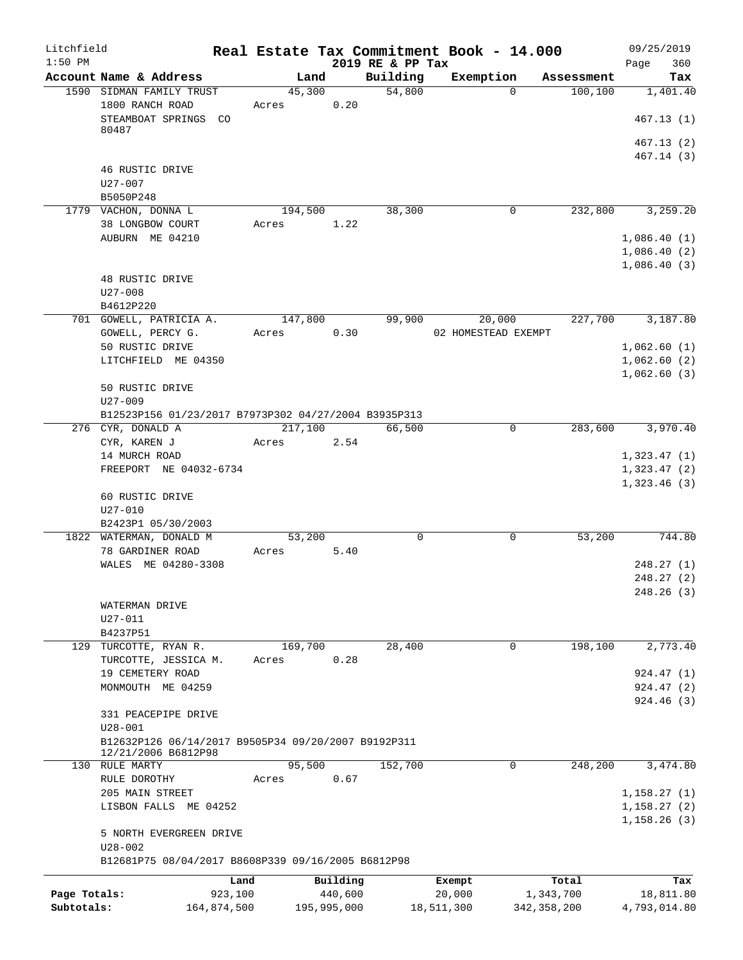| Litchfield<br>$1:50$ PM    |                                                                    |                        |                  |                        | 2019 RE & PP Tax | Real Estate Tax Commitment Book - 14.000 |                            | 09/25/2019<br>360<br>Page                 |
|----------------------------|--------------------------------------------------------------------|------------------------|------------------|------------------------|------------------|------------------------------------------|----------------------------|-------------------------------------------|
|                            | Account Name & Address                                             |                        | Land             |                        | Building         | Exemption                                | Assessment                 | Tax                                       |
|                            | 1590 SIDMAN FAMILY TRUST                                           |                        | 45,300           |                        | 54,800           |                                          | 100, 100<br>$\Omega$       | 1,401.40                                  |
|                            | 1800 RANCH ROAD<br>STEAMBOAT SPRINGS CO<br>80487                   |                        | Acres            | 0.20                   |                  |                                          |                            | 467.13(1)                                 |
|                            |                                                                    |                        |                  |                        |                  |                                          |                            | 467.13 (2)<br>467.14(3)                   |
|                            | 46 RUSTIC DRIVE<br>U27-007                                         |                        |                  |                        |                  |                                          |                            |                                           |
|                            | B5050P248                                                          |                        |                  |                        |                  |                                          |                            |                                           |
|                            | 1779 VACHON, DONNA L<br>38 LONGBOW COURT                           |                        | 194,500<br>Acres | 1.22                   | 38,300           |                                          | $\mathbf 0$<br>232,800     | 3,259.20                                  |
|                            | AUBURN ME 04210                                                    |                        |                  |                        |                  |                                          |                            | 1,086.40(1)<br>1,086.40(2)<br>1,086.40(3) |
|                            | 48 RUSTIC DRIVE<br>$U27 - 008$<br>B4612P220                        |                        |                  |                        |                  |                                          |                            |                                           |
|                            | 701 GOWELL, PATRICIA A.                                            |                        | 147,800          |                        | 99,900           | 20,000                                   | 227,700                    | 3,187.80                                  |
|                            | GOWELL, PERCY G.                                                   |                        | Acres            | 0.30                   |                  | 02 HOMESTEAD EXEMPT                      |                            |                                           |
|                            | 50 RUSTIC DRIVE<br>LITCHFIELD ME 04350                             |                        |                  |                        |                  |                                          |                            | 1,062.60(1)<br>1,062.60(2)<br>1,062.60(3) |
|                            | 50 RUSTIC DRIVE<br>$U27 - 009$                                     |                        |                  |                        |                  |                                          |                            |                                           |
|                            | B12523P156 01/23/2017 B7973P302 04/27/2004 B3935P313               |                        |                  |                        |                  |                                          |                            |                                           |
|                            | 276 CYR, DONALD A                                                  |                        | 217,100          |                        | 66,500           |                                          | 0<br>283,600               | 3,970.40                                  |
|                            | CYR, KAREN J<br>14 MURCH ROAD<br>FREEPORT NE 04032-6734            |                        | Acres            | 2.54                   |                  |                                          |                            | 1,323.47(1)<br>1,323.47(2)                |
|                            | 60 RUSTIC DRIVE<br>$U27 - 010$                                     |                        |                  |                        |                  |                                          |                            | 1,323.46(3)                               |
|                            | B2423P1 05/30/2003<br>1822 WATERMAN, DONALD M                      |                        | 53,200           |                        | $\mathbf 0$      |                                          | 0<br>53,200                | 744.80                                    |
|                            | 78 GARDINER ROAD                                                   |                        | Acres            | 5.40                   |                  |                                          |                            |                                           |
|                            | WALES ME 04280-3308                                                |                        |                  |                        |                  |                                          |                            | 248.27(1)                                 |
|                            |                                                                    |                        |                  |                        |                  |                                          |                            | 248.27(2)<br>248.26 (3)                   |
|                            | WATERMAN DRIVE<br>$U27 - 011$                                      |                        |                  |                        |                  |                                          |                            |                                           |
|                            | B4237P51                                                           |                        |                  |                        |                  |                                          |                            |                                           |
|                            | 129 TURCOTTE, RYAN R.<br>TURCOTTE, JESSICA M.                      |                        | 169,700<br>Acres | 0.28                   | 28,400           |                                          | 198,100<br>0               | 2,773.40                                  |
|                            | 19 CEMETERY ROAD                                                   |                        |                  |                        |                  |                                          |                            | 924.47(1)                                 |
|                            | MONMOUTH ME 04259                                                  |                        |                  |                        |                  |                                          |                            | 924.47(2)<br>924.46(3)                    |
|                            | 331 PEACEPIPE DRIVE                                                |                        |                  |                        |                  |                                          |                            |                                           |
|                            | $U28 - 001$<br>B12632P126 06/14/2017 B9505P34 09/20/2007 B9192P311 |                        |                  |                        |                  |                                          |                            |                                           |
|                            | 12/21/2006 B6812P98<br>130 RULE MARTY                              |                        | 95,500           |                        | 152,700          |                                          | 248,200<br>0               | 3,474.80                                  |
|                            | RULE DOROTHY                                                       |                        | Acres            | 0.67                   |                  |                                          |                            |                                           |
|                            | 205 MAIN STREET                                                    |                        |                  |                        |                  |                                          |                            | 1, 158.27(1)                              |
|                            | LISBON FALLS ME 04252                                              |                        |                  |                        |                  |                                          |                            | 1, 158.27(2)<br>1,158.26(3)               |
|                            | 5 NORTH EVERGREEN DRIVE<br>$U28 - 002$                             |                        |                  |                        |                  |                                          |                            |                                           |
|                            | B12681P75 08/04/2017 B8608P339 09/16/2005 B6812P98                 |                        |                  |                        |                  |                                          |                            |                                           |
|                            |                                                                    | Land                   |                  | Building               |                  | Exempt                                   | Total                      | Tax                                       |
| Page Totals:<br>Subtotals: |                                                                    | 923,100<br>164,874,500 |                  | 440,600<br>195,995,000 |                  | 20,000<br>18,511,300                     | 1,343,700<br>342, 358, 200 | 18,811.80<br>4,793,014.80                 |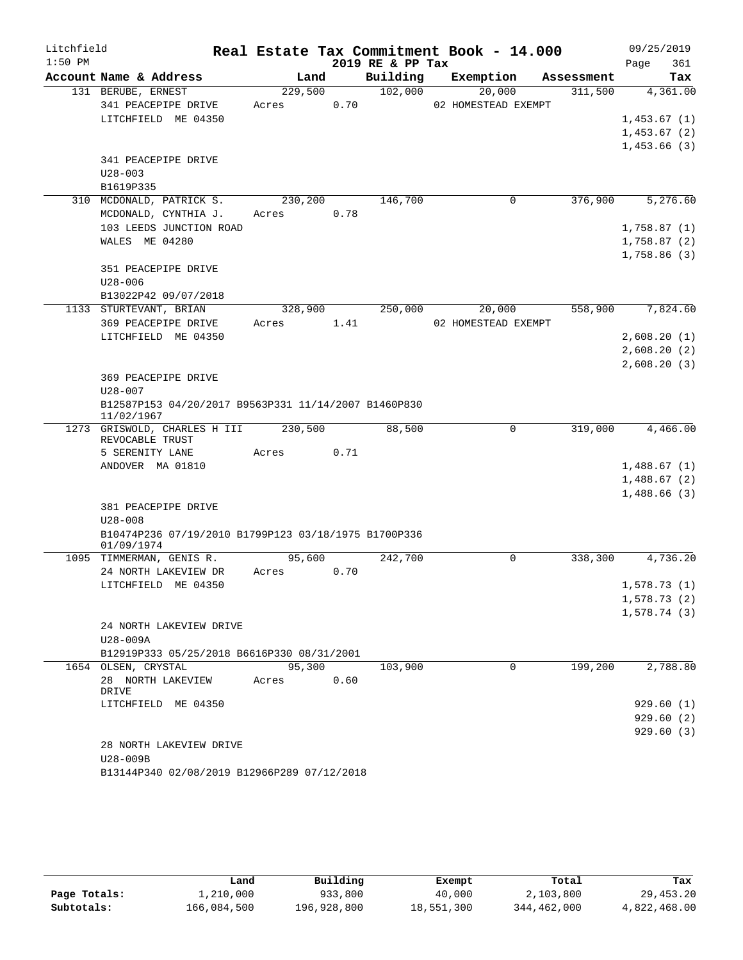| Litchfield |                                                                     |         |         |      |                  | Real Estate Tax Commitment Book - 14.000 |            | 09/25/2019   |          |
|------------|---------------------------------------------------------------------|---------|---------|------|------------------|------------------------------------------|------------|--------------|----------|
| $1:50$ PM  |                                                                     |         |         |      | 2019 RE & PP Tax |                                          |            | Page         | 361      |
|            | Account Name & Address                                              |         | Land    |      | Building         | Exemption                                | Assessment |              | Tax      |
|            | 131 BERUBE, ERNEST                                                  | 229,500 |         |      | 102,000          | 20,000                                   | 311,500    |              | 4,361.00 |
|            | 341 PEACEPIPE DRIVE                                                 | Acres   |         | 0.70 |                  | 02 HOMESTEAD EXEMPT                      |            |              |          |
|            | LITCHFIELD ME 04350                                                 |         |         |      |                  |                                          |            | 1,453.67(1)  |          |
|            |                                                                     |         |         |      |                  |                                          |            | 1,453.67(2)  |          |
|            |                                                                     |         |         |      |                  |                                          |            | 1,453.66 (3) |          |
|            | 341 PEACEPIPE DRIVE<br>$U28 - 003$                                  |         |         |      |                  |                                          |            |              |          |
|            | B1619P335                                                           |         |         |      |                  |                                          |            |              |          |
|            | 310 MCDONALD, PATRICK S.                                            | 230,200 |         |      | 146,700          | $\mathbf 0$                              | 376,900    |              | 5,276.60 |
|            | MCDONALD, CYNTHIA J.                                                | Acres   |         | 0.78 |                  |                                          |            |              |          |
|            | 103 LEEDS JUNCTION ROAD                                             |         |         |      |                  |                                          |            | 1,758.87(1)  |          |
|            | WALES ME 04280                                                      |         |         |      |                  |                                          |            | 1,758.87(2)  |          |
|            |                                                                     |         |         |      |                  |                                          |            | 1,758.86 (3) |          |
|            | 351 PEACEPIPE DRIVE                                                 |         |         |      |                  |                                          |            |              |          |
|            | $U28 - 006$                                                         |         |         |      |                  |                                          |            |              |          |
|            | B13022P42 09/07/2018                                                |         |         |      |                  |                                          |            |              |          |
|            | 1133 STURTEVANT, BRIAN                                              |         | 328,900 |      | 250,000          | 20,000                                   | 558,900    |              | 7,824.60 |
|            | 369 PEACEPIPE DRIVE                                                 | Acres   |         | 1.41 |                  | 02 HOMESTEAD EXEMPT                      |            |              |          |
|            | LITCHFIELD ME 04350                                                 |         |         |      |                  |                                          |            | 2,608.20(1)  |          |
|            |                                                                     |         |         |      |                  |                                          |            | 2,608.20(2)  |          |
|            |                                                                     |         |         |      |                  |                                          |            | 2,608.20(3)  |          |
|            | 369 PEACEPIPE DRIVE                                                 |         |         |      |                  |                                          |            |              |          |
|            | $U28 - 007$                                                         |         |         |      |                  |                                          |            |              |          |
|            | B12587P153 04/20/2017 B9563P331 11/14/2007 B1460P830<br>11/02/1967  |         |         |      |                  |                                          |            |              |          |
|            | 1273 GRISWOLD, CHARLES H III<br>REVOCABLE TRUST                     | 230,500 |         |      | 88,500           | 0                                        | 319,000    |              | 4,466.00 |
|            | 5 SERENITY LANE                                                     | Acres   |         | 0.71 |                  |                                          |            |              |          |
|            | ANDOVER MA 01810                                                    |         |         |      |                  |                                          |            | 1,488.67(1)  |          |
|            |                                                                     |         |         |      |                  |                                          |            | 1,488.67(2)  |          |
|            |                                                                     |         |         |      |                  |                                          |            | 1,488.66(3)  |          |
|            | 381 PEACEPIPE DRIVE                                                 |         |         |      |                  |                                          |            |              |          |
|            | $U28 - 008$<br>B10474P236 07/19/2010 B1799P123 03/18/1975 B1700P336 |         |         |      |                  |                                          |            |              |          |
|            | 01/09/1974                                                          |         |         |      |                  |                                          |            |              |          |
|            | 1095 TIMMERMAN, GENIS R.                                            |         | 95,600  |      | 242,700          | 0                                        | 338,300    |              | 4,736.20 |
|            | 24 NORTH LAKEVIEW DR                                                | Acres   |         | 0.70 |                  |                                          |            |              |          |
|            | LITCHFIELD ME 04350                                                 |         |         |      |                  |                                          |            | 1,578.73(1)  |          |
|            |                                                                     |         |         |      |                  |                                          |            | 1,578.73(2)  |          |
|            |                                                                     |         |         |      |                  |                                          |            | 1,578.74 (3) |          |
|            | 24 NORTH LAKEVIEW DRIVE                                             |         |         |      |                  |                                          |            |              |          |
|            | U28-009A                                                            |         |         |      |                  |                                          |            |              |          |
|            | B12919P333 05/25/2018 B6616P330 08/31/2001                          |         |         |      |                  |                                          |            |              |          |
|            | 1654 OLSEN, CRYSTAL                                                 |         | 95,300  |      | 103,900          | 0                                        | 199,200    |              | 2,788.80 |
|            | 28 NORTH LAKEVIEW<br>DRIVE                                          | Acres   |         | 0.60 |                  |                                          |            |              |          |
|            | LITCHFIELD ME 04350                                                 |         |         |      |                  |                                          |            | 929.60(1)    |          |
|            |                                                                     |         |         |      |                  |                                          |            | 929.60(2)    |          |
|            |                                                                     |         |         |      |                  |                                          |            | 929.60(3)    |          |
|            | 28 NORTH LAKEVIEW DRIVE                                             |         |         |      |                  |                                          |            |              |          |
|            | U28-009B                                                            |         |         |      |                  |                                          |            |              |          |
|            | B13144P340 02/08/2019 B12966P289 07/12/2018                         |         |         |      |                  |                                          |            |              |          |

|              | Land        | Building    | Exempt     | Total       | Tax          |
|--------------|-------------|-------------|------------|-------------|--------------|
| Page Totals: | 1,210,000   | 933,800     | 40,000     | 2,103,800   | 29,453.20    |
| Subtotals:   | 166,084,500 | 196,928,800 | 18,551,300 | 344,462,000 | 4,822,468.00 |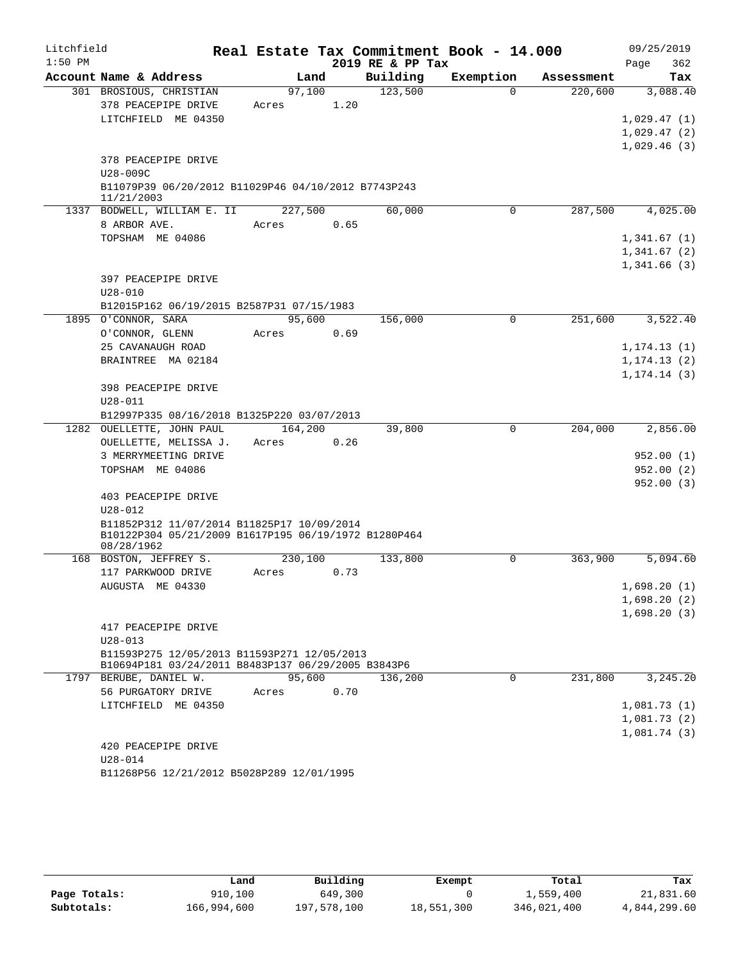| Litchfield |                                                                                                   |         |      |                  | Real Estate Tax Commitment Book - 14.000 |            | 09/25/2019                 |
|------------|---------------------------------------------------------------------------------------------------|---------|------|------------------|------------------------------------------|------------|----------------------------|
| $1:50$ PM  |                                                                                                   |         |      | 2019 RE & PP Tax |                                          |            | Page<br>362                |
|            | Account Name & Address                                                                            | Land    |      | Building         | Exemption                                | Assessment | Tax                        |
|            | 301 BROSIOUS, CHRISTIAN                                                                           | 97,100  |      | 123,500          | $\Omega$                                 | 220,600    | 3,088.40                   |
|            | 378 PEACEPIPE DRIVE                                                                               | Acres   | 1.20 |                  |                                          |            |                            |
|            | LITCHFIELD ME 04350                                                                               |         |      |                  |                                          |            | 1,029.47(1)                |
|            |                                                                                                   |         |      |                  |                                          |            | 1,029.47(2)<br>1,029.46(3) |
|            | 378 PEACEPIPE DRIVE                                                                               |         |      |                  |                                          |            |                            |
|            | U28-009C                                                                                          |         |      |                  |                                          |            |                            |
|            | B11079P39 06/20/2012 B11029P46 04/10/2012 B7743P243                                               |         |      |                  |                                          |            |                            |
|            | 11/21/2003                                                                                        |         |      |                  |                                          |            |                            |
|            | 1337 BODWELL, WILLIAM E. II                                                                       | 227,500 |      | 60,000           | $\Omega$                                 | 287,500    | 4,025.00                   |
|            | 8 ARBOR AVE.                                                                                      | Acres   | 0.65 |                  |                                          |            |                            |
|            | TOPSHAM ME 04086                                                                                  |         |      |                  |                                          |            | 1,341.67(1)                |
|            |                                                                                                   |         |      |                  |                                          |            | 1,341.67(2)                |
|            | 397 PEACEPIPE DRIVE                                                                               |         |      |                  |                                          |            | 1,341.66(3)                |
|            | $U28 - 010$                                                                                       |         |      |                  |                                          |            |                            |
|            | B12015P162 06/19/2015 B2587P31 07/15/1983                                                         |         |      |                  |                                          |            |                            |
|            | 1895 O'CONNOR, SARA                                                                               | 95,600  |      | 156,000          | $\mathbf 0$                              | 251,600    | 3,522.40                   |
|            | O'CONNOR, GLENN                                                                                   | Acres   | 0.69 |                  |                                          |            |                            |
|            | 25 CAVANAUGH ROAD                                                                                 |         |      |                  |                                          |            | 1, 174.13(1)               |
|            | BRAINTREE MA 02184                                                                                |         |      |                  |                                          |            | 1, 174.13(2)               |
|            |                                                                                                   |         |      |                  |                                          |            | 1, 174.14(3)               |
|            | 398 PEACEPIPE DRIVE                                                                               |         |      |                  |                                          |            |                            |
|            | U28-011                                                                                           |         |      |                  |                                          |            |                            |
|            | B12997P335 08/16/2018 B1325P220 03/07/2013                                                        |         |      |                  |                                          |            |                            |
|            | 1282 OUELLETTE, JOHN PAUL<br>OUELLETTE, MELISSA J.                                                | 164,200 | 0.26 | 39,800           | 0                                        | 204,000    | 2,856.00                   |
|            | 3 MERRYMEETING DRIVE                                                                              | Acres   |      |                  |                                          |            | 952.00 (1)                 |
|            | TOPSHAM ME 04086                                                                                  |         |      |                  |                                          |            | 952.00(2)                  |
|            |                                                                                                   |         |      |                  |                                          |            | 952.00(3)                  |
|            | 403 PEACEPIPE DRIVE                                                                               |         |      |                  |                                          |            |                            |
|            | $U28 - 012$                                                                                       |         |      |                  |                                          |            |                            |
|            | B11852P312 11/07/2014 B11825P17 10/09/2014                                                        |         |      |                  |                                          |            |                            |
|            | B10122P304 05/21/2009 B1617P195 06/19/1972 B1280P464<br>08/28/1962                                |         |      |                  |                                          |            |                            |
|            | 168 BOSTON, JEFFREY S.                                                                            | 230,100 |      | 133,800          | 0                                        | 363,900    | 5,094.60                   |
|            | 117 PARKWOOD DRIVE                                                                                | Acres   | 0.73 |                  |                                          |            |                            |
|            | AUGUSTA ME 04330                                                                                  |         |      |                  |                                          |            | 1,698.20(1)                |
|            |                                                                                                   |         |      |                  |                                          |            | 1,698.20(2)                |
|            |                                                                                                   |         |      |                  |                                          |            | 1,698.20(3)                |
|            | 417 PEACEPIPE DRIVE                                                                               |         |      |                  |                                          |            |                            |
|            | $U28 - 013$                                                                                       |         |      |                  |                                          |            |                            |
|            | B11593P275 12/05/2013 B11593P271 12/05/2013<br>B10694P181 03/24/2011 B8483P137 06/29/2005 B3843P6 |         |      |                  |                                          |            |                            |
|            | 1797 BERUBE, DANIEL W.                                                                            | 95,600  |      | 136,200          | 0                                        | 231,800    | 3,245.20                   |
|            | 56 PURGATORY DRIVE                                                                                | Acres   | 0.70 |                  |                                          |            |                            |
|            | LITCHFIELD ME 04350                                                                               |         |      |                  |                                          |            | 1,081.73(1)                |
|            |                                                                                                   |         |      |                  |                                          |            | 1,081.73(2)                |
|            |                                                                                                   |         |      |                  |                                          |            | 1,081.74(3)                |
|            | 420 PEACEPIPE DRIVE                                                                               |         |      |                  |                                          |            |                            |
|            | U28-014                                                                                           |         |      |                  |                                          |            |                            |
|            | B11268P56 12/21/2012 B5028P289 12/01/1995                                                         |         |      |                  |                                          |            |                            |

|              | Land        | Building    | Exempt     | Total       | Tax          |
|--------------|-------------|-------------|------------|-------------|--------------|
| Page Totals: | 910,100     | 649,300     |            | 1,559,400   | 21,831.60    |
| Subtotals:   | 166,994,600 | 197,578,100 | 18,551,300 | 346,021,400 | 4,844,299.60 |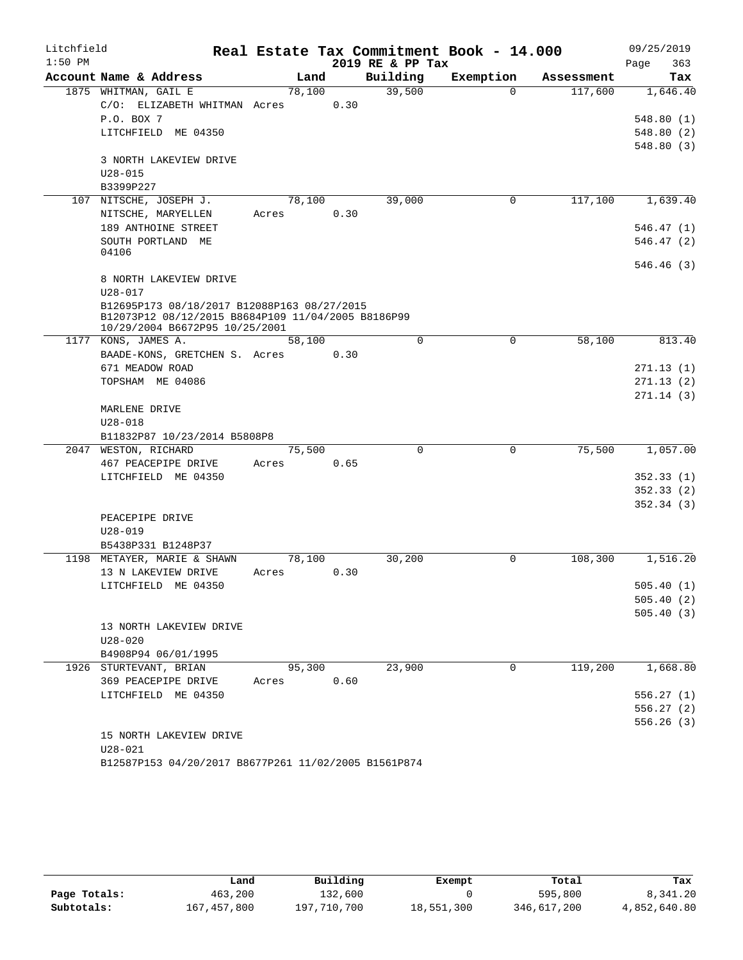| Litchfield |                                                                                      |        |      |                  | Real Estate Tax Commitment Book - 14.000 |            | 09/25/2019  |
|------------|--------------------------------------------------------------------------------------|--------|------|------------------|------------------------------------------|------------|-------------|
| $1:50$ PM  |                                                                                      |        |      | 2019 RE & PP Tax |                                          |            | 363<br>Page |
|            | Account Name & Address                                                               | Land   |      | Building         | Exemption                                | Assessment | Tax         |
|            | 1875 WHITMAN, GAIL E                                                                 | 78,100 |      | 39,500           | $\Omega$                                 | 117,600    | 1,646.40    |
|            | C/O: ELIZABETH WHITMAN Acres                                                         |        | 0.30 |                  |                                          |            |             |
|            | P.O. BOX 7                                                                           |        |      |                  |                                          |            | 548.80(1)   |
|            | LITCHFIELD ME 04350                                                                  |        |      |                  |                                          |            | 548.80(2)   |
|            |                                                                                      |        |      |                  |                                          |            | 548.80(3)   |
|            | 3 NORTH LAKEVIEW DRIVE                                                               |        |      |                  |                                          |            |             |
|            | $U28 - 015$<br>B3399P227                                                             |        |      |                  |                                          |            |             |
|            | 107 NITSCHE, JOSEPH J.                                                               | 78,100 |      | 39,000           | $\mathbf 0$                              | 117,100    | 1,639.40    |
|            | NITSCHE, MARYELLEN                                                                   | Acres  | 0.30 |                  |                                          |            |             |
|            | 189 ANTHOINE STREET                                                                  |        |      |                  |                                          |            | 546.47 (1)  |
|            | SOUTH PORTLAND ME                                                                    |        |      |                  |                                          |            | 546.47(2)   |
|            | 04106                                                                                |        |      |                  |                                          |            |             |
|            |                                                                                      |        |      |                  |                                          |            | 546.46(3)   |
|            | 8 NORTH LAKEVIEW DRIVE                                                               |        |      |                  |                                          |            |             |
|            | $U28 - 017$                                                                          |        |      |                  |                                          |            |             |
|            | B12695P173 08/18/2017 B12088P163 08/27/2015                                          |        |      |                  |                                          |            |             |
|            | B12073P12 08/12/2015 B8684P109 11/04/2005 B8186P99<br>10/29/2004 B6672P95 10/25/2001 |        |      |                  |                                          |            |             |
|            | 1177 KONS, JAMES A.                                                                  | 58,100 |      | $\Omega$         | $\Omega$                                 | 58,100     | 813.40      |
|            | BAADE-KONS, GRETCHEN S. Acres                                                        |        | 0.30 |                  |                                          |            |             |
|            | 671 MEADOW ROAD                                                                      |        |      |                  |                                          |            | 271.13(1)   |
|            | TOPSHAM ME 04086                                                                     |        |      |                  |                                          |            | 271.13(2)   |
|            |                                                                                      |        |      |                  |                                          |            | 271.14(3)   |
|            | MARLENE DRIVE                                                                        |        |      |                  |                                          |            |             |
|            | $U28 - 018$                                                                          |        |      |                  |                                          |            |             |
|            | B11832P87 10/23/2014 B5808P8                                                         |        |      |                  |                                          |            |             |
|            | 2047 WESTON, RICHARD                                                                 | 75,500 |      | $\mathbf 0$      | $\mathbf 0$                              | 75,500     | 1,057.00    |
|            | 467 PEACEPIPE DRIVE                                                                  | Acres  | 0.65 |                  |                                          |            |             |
|            | LITCHFIELD ME 04350                                                                  |        |      |                  |                                          |            | 352.33(1)   |
|            |                                                                                      |        |      |                  |                                          |            | 352.33(2)   |
|            |                                                                                      |        |      |                  |                                          |            | 352.34(3)   |
|            | PEACEPIPE DRIVE                                                                      |        |      |                  |                                          |            |             |
|            | $U28 - 019$                                                                          |        |      |                  |                                          |            |             |
|            | B5438P331 B1248P37                                                                   |        |      |                  |                                          |            |             |
|            | 1198 METAYER, MARIE & SHAWN                                                          | 78,100 |      | 30,200           | $\mathbf 0$                              | 108,300    | 1,516.20    |
|            | 13 N LAKEVIEW DRIVE                                                                  | Acres  | 0.30 |                  |                                          |            |             |
|            | LITCHFIELD ME 04350                                                                  |        |      |                  |                                          |            | 505.40(1)   |
|            |                                                                                      |        |      |                  |                                          |            | 505.40(2)   |
|            |                                                                                      |        |      |                  |                                          |            | 505.40(3)   |
|            | 13 NORTH LAKEVIEW DRIVE                                                              |        |      |                  |                                          |            |             |
|            | $U28 - 020$                                                                          |        |      |                  |                                          |            |             |
|            | B4908P94 06/01/1995<br>1926 STURTEVANT, BRIAN                                        | 95,300 |      | 23,900           | $\mathbf 0$                              | 119,200    | 1,668.80    |
|            | 369 PEACEPIPE DRIVE                                                                  |        | 0.60 |                  |                                          |            |             |
|            | LITCHFIELD ME 04350                                                                  | Acres  |      |                  |                                          |            | 556.27(1)   |
|            |                                                                                      |        |      |                  |                                          |            | 556.27(2)   |
|            |                                                                                      |        |      |                  |                                          |            | 556.26(3)   |
|            | 15 NORTH LAKEVIEW DRIVE                                                              |        |      |                  |                                          |            |             |
|            | $U28 - 021$                                                                          |        |      |                  |                                          |            |             |
|            |                                                                                      |        |      |                  |                                          |            |             |

B12587P153 04/20/2017 B8677P261 11/02/2005 B1561P874

|              | Land        | Building    | Exempt     | Total       | Tax          |
|--------------|-------------|-------------|------------|-------------|--------------|
| Page Totals: | 463,200     | 132,600     |            | 595,800     | 8,341.20     |
| Subtotals:   | 167,457,800 | 197,710,700 | 18,551,300 | 346,617,200 | 4,852,640.80 |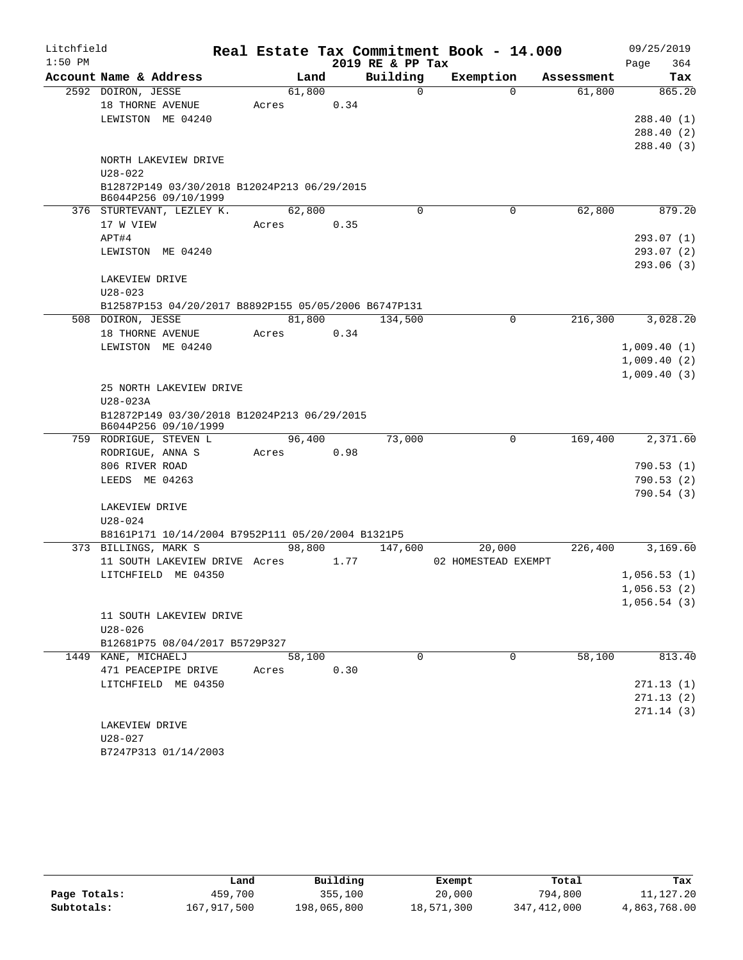| Litchfield |                                                                     |        |      |                  | Real Estate Tax Commitment Book - 14.000 |            | 09/25/2019  |
|------------|---------------------------------------------------------------------|--------|------|------------------|------------------------------------------|------------|-------------|
| $1:50$ PM  |                                                                     |        |      | 2019 RE & PP Tax |                                          |            | 364<br>Page |
|            | Account Name & Address                                              | Land   |      | Building         | Exemption                                | Assessment | Tax         |
|            | 2592 DOIRON, JESSE                                                  | 61,800 |      | $\Omega$         | $\Omega$                                 | 61,800     | 865.20      |
|            | 18 THORNE AVENUE                                                    | Acres  | 0.34 |                  |                                          |            |             |
|            | LEWISTON ME 04240                                                   |        |      |                  |                                          |            | 288.40(1)   |
|            |                                                                     |        |      |                  |                                          |            | 288.40(2)   |
|            |                                                                     |        |      |                  |                                          |            | 288.40(3)   |
|            | NORTH LAKEVIEW DRIVE                                                |        |      |                  |                                          |            |             |
|            | $U28 - 022$<br>B12872P149 03/30/2018 B12024P213 06/29/2015          |        |      |                  |                                          |            |             |
|            | B6044P256 09/10/1999                                                |        |      |                  |                                          |            |             |
|            | 376 STURTEVANT, LEZLEY K.                                           | 62,800 |      | $\Omega$         | 0                                        | 62,800     | 879.20      |
|            | 17 W VIEW                                                           | Acres  | 0.35 |                  |                                          |            |             |
|            | APT#4                                                               |        |      |                  |                                          |            | 293.07(1)   |
|            | LEWISTON ME 04240                                                   |        |      |                  |                                          |            | 293.07(2)   |
|            |                                                                     |        |      |                  |                                          |            | 293.06(3)   |
|            | LAKEVIEW DRIVE                                                      |        |      |                  |                                          |            |             |
|            | $U28 - 023$                                                         |        |      |                  |                                          |            |             |
|            | B12587P153 04/20/2017 B8892P155 05/05/2006 B6747P131                |        |      |                  |                                          |            |             |
|            | 508 DOIRON, JESSE                                                   | 81,800 |      | 134,500          | 0                                        | 216,300    | 3,028.20    |
|            | 18 THORNE AVENUE                                                    | Acres  | 0.34 |                  |                                          |            |             |
|            | LEWISTON ME 04240                                                   |        |      |                  |                                          |            | 1,009.40(1) |
|            |                                                                     |        |      |                  |                                          |            | 1,009.40(2) |
|            |                                                                     |        |      |                  |                                          |            | 1,009.40(3) |
|            | 25 NORTH LAKEVIEW DRIVE                                             |        |      |                  |                                          |            |             |
|            | U28-023A                                                            |        |      |                  |                                          |            |             |
|            | B12872P149 03/30/2018 B12024P213 06/29/2015<br>B6044P256 09/10/1999 |        |      |                  |                                          |            |             |
|            | 759 RODRIGUE, STEVEN L                                              | 96,400 |      | 73,000           | $\Omega$                                 | 169,400    | 2,371.60    |
|            | RODRIGUE, ANNA S                                                    | Acres  | 0.98 |                  |                                          |            |             |
|            | 806 RIVER ROAD                                                      |        |      |                  |                                          |            | 790.53(1)   |
|            | LEEDS ME 04263                                                      |        |      |                  |                                          |            | 790.53(2)   |
|            |                                                                     |        |      |                  |                                          |            | 790.54(3)   |
|            | LAKEVIEW DRIVE                                                      |        |      |                  |                                          |            |             |
|            | $U28 - 024$                                                         |        |      |                  |                                          |            |             |
|            | B8161P171 10/14/2004 B7952P111 05/20/2004 B1321P5                   |        |      |                  |                                          |            |             |
|            | 373 BILLINGS, MARK S                                                | 98,800 |      | 147,600          | 20,000                                   | 226,400    | 3,169.60    |
|            | 11 SOUTH LAKEVIEW DRIVE Acres                                       |        | 1.77 |                  | 02 HOMESTEAD EXEMPT                      |            |             |
|            | LITCHFIELD ME 04350                                                 |        |      |                  |                                          |            | 1,056.53(1) |
|            |                                                                     |        |      |                  |                                          |            | 1,056.53(2) |
|            |                                                                     |        |      |                  |                                          |            | 1,056.54(3) |
|            | 11 SOUTH LAKEVIEW DRIVE                                             |        |      |                  |                                          |            |             |
|            | $U28 - 026$                                                         |        |      |                  |                                          |            |             |
|            | B12681P75 08/04/2017 B5729P327                                      |        |      | 0                | $\Omega$                                 |            |             |
|            | 1449 KANE, MICHAELJ<br>471 PEACEPIPE DRIVE                          | 58,100 | 0.30 |                  |                                          | 58,100     | 813.40      |
|            | LITCHFIELD ME 04350                                                 | Acres  |      |                  |                                          |            | 271.13(1)   |
|            |                                                                     |        |      |                  |                                          |            | 271.13(2)   |
|            |                                                                     |        |      |                  |                                          |            | 271.14(3)   |
|            | LAKEVIEW DRIVE                                                      |        |      |                  |                                          |            |             |
|            | U28-027                                                             |        |      |                  |                                          |            |             |
|            | B7247P313 01/14/2003                                                |        |      |                  |                                          |            |             |
|            |                                                                     |        |      |                  |                                          |            |             |

|              | Land        | Building    | Exempt     | Total         | Tax          |
|--------------|-------------|-------------|------------|---------------|--------------|
| Page Totals: | 459,700     | 355,100     | 20,000     | 794,800       | 11,127.20    |
| Subtotals:   | 167,917,500 | 198,065,800 | 18,571,300 | 347, 412, 000 | 4,863,768.00 |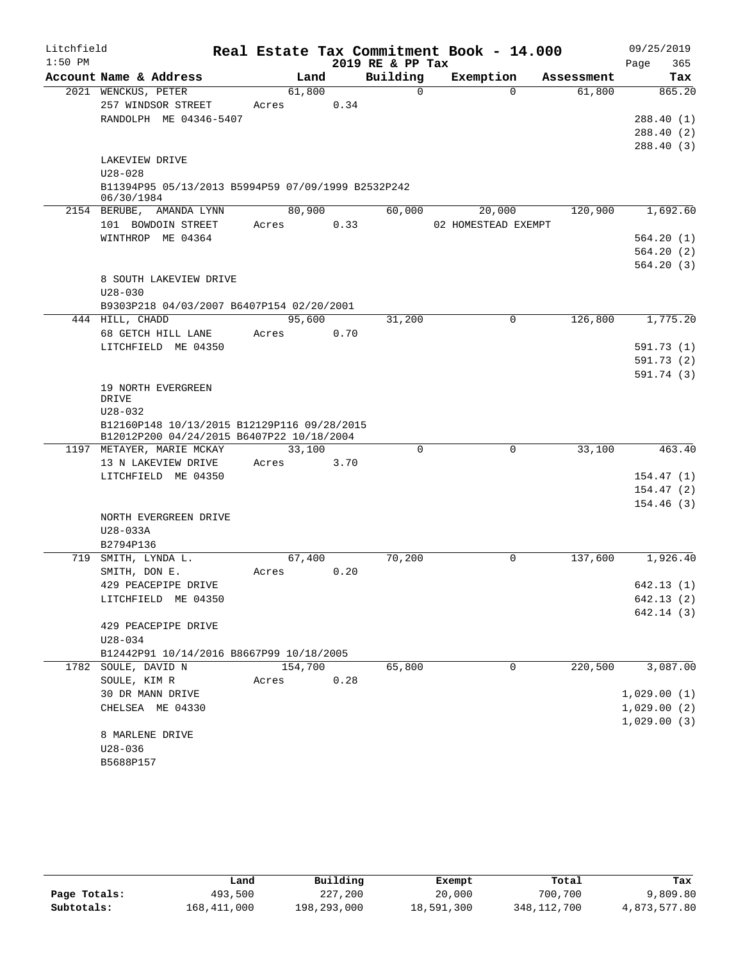| Litchfield |                                                    |       |         |      |                  |          | Real Estate Tax Commitment Book - 14.000 |          |            |      | 09/25/2019                 |
|------------|----------------------------------------------------|-------|---------|------|------------------|----------|------------------------------------------|----------|------------|------|----------------------------|
| $1:50$ PM  |                                                    |       |         |      | 2019 RE & PP Tax |          |                                          |          |            | Page | 365                        |
|            | Account Name & Address                             |       | Land    |      | Building         |          | Exemption                                |          | Assessment |      | Tax                        |
|            | 2021 WENCKUS, PETER                                |       | 61,800  |      |                  | $\Omega$ |                                          | $\Omega$ | 61,800     |      | 865.20                     |
|            | 257 WINDSOR STREET                                 | Acres |         | 0.34 |                  |          |                                          |          |            |      |                            |
|            | RANDOLPH ME 04346-5407                             |       |         |      |                  |          |                                          |          |            |      | 288.40(1)                  |
|            |                                                    |       |         |      |                  |          |                                          |          |            |      | 288.40(2)                  |
|            | LAKEVIEW DRIVE                                     |       |         |      |                  |          |                                          |          |            |      | 288.40(3)                  |
|            | $U28 - 028$                                        |       |         |      |                  |          |                                          |          |            |      |                            |
|            | B11394P95 05/13/2013 B5994P59 07/09/1999 B2532P242 |       |         |      |                  |          |                                          |          |            |      |                            |
|            | 06/30/1984                                         |       |         |      |                  |          |                                          |          |            |      |                            |
|            | 2154 BERUBE, AMANDA LYNN                           |       | 80,900  |      | 60,000           |          | 20,000                                   |          | 120,900    |      | 1,692.60                   |
|            | 101 BOWDOIN STREET                                 | Acres |         | 0.33 |                  |          | 02 HOMESTEAD EXEMPT                      |          |            |      |                            |
|            | WINTHROP ME 04364                                  |       |         |      |                  |          |                                          |          |            |      | 564.20(1)                  |
|            |                                                    |       |         |      |                  |          |                                          |          |            |      | 564.20(2)                  |
|            |                                                    |       |         |      |                  |          |                                          |          |            |      | 564.20(3)                  |
|            | 8 SOUTH LAKEVIEW DRIVE                             |       |         |      |                  |          |                                          |          |            |      |                            |
|            | $U28 - 030$                                        |       |         |      |                  |          |                                          |          |            |      |                            |
|            | B9303P218 04/03/2007 B6407P154 02/20/2001          |       |         |      |                  |          |                                          |          |            |      |                            |
|            | 444 HILL, CHADD                                    |       | 95,600  |      | 31,200           |          |                                          | 0        | 126,800    |      | 1,775.20                   |
|            | 68 GETCH HILL LANE<br>LITCHFIELD ME 04350          | Acres |         | 0.70 |                  |          |                                          |          |            |      | 591.73(1)                  |
|            |                                                    |       |         |      |                  |          |                                          |          |            |      | 591.73(2)                  |
|            |                                                    |       |         |      |                  |          |                                          |          |            |      | 591.74 (3)                 |
|            | 19 NORTH EVERGREEN                                 |       |         |      |                  |          |                                          |          |            |      |                            |
|            | DRIVE                                              |       |         |      |                  |          |                                          |          |            |      |                            |
|            | $U28 - 032$                                        |       |         |      |                  |          |                                          |          |            |      |                            |
|            | B12160P148 10/13/2015 B12129P116 09/28/2015        |       |         |      |                  |          |                                          |          |            |      |                            |
|            | B12012P200 04/24/2015 B6407P22 10/18/2004          |       |         |      |                  | $\Omega$ |                                          |          |            |      |                            |
|            | 1197 METAYER, MARIE MCKAY<br>13 N LAKEVIEW DRIVE   | Acres | 33,100  | 3.70 |                  |          |                                          | 0        | 33,100     |      | 463.40                     |
|            | LITCHFIELD ME 04350                                |       |         |      |                  |          |                                          |          |            |      | 154.47(1)                  |
|            |                                                    |       |         |      |                  |          |                                          |          |            |      | 154.47(2)                  |
|            |                                                    |       |         |      |                  |          |                                          |          |            |      | 154.46(3)                  |
|            | NORTH EVERGREEN DRIVE                              |       |         |      |                  |          |                                          |          |            |      |                            |
|            | U28-033A                                           |       |         |      |                  |          |                                          |          |            |      |                            |
|            | B2794P136                                          |       |         |      |                  |          |                                          |          |            |      |                            |
|            | 719 SMITH, LYNDA L.                                |       | 67,400  |      | 70,200           |          |                                          | $\Omega$ | 137,600    |      | $1,926.\overline{40}$      |
|            | SMITH, DON E.                                      | Acres |         | 0.20 |                  |          |                                          |          |            |      |                            |
|            | 429 PEACEPIPE DRIVE                                |       |         |      |                  |          |                                          |          |            |      | 642.13 (1)                 |
|            | LITCHFIELD ME 04350                                |       |         |      |                  |          |                                          |          |            |      | 642.13 (2)                 |
|            |                                                    |       |         |      |                  |          |                                          |          |            |      | 642.14(3)                  |
|            | 429 PEACEPIPE DRIVE                                |       |         |      |                  |          |                                          |          |            |      |                            |
|            | U28-034                                            |       |         |      |                  |          |                                          |          |            |      |                            |
|            | B12442P91 10/14/2016 B8667P99 10/18/2005           |       |         |      |                  |          |                                          |          |            |      |                            |
|            | 1782 SOULE, DAVID N                                |       | 154,700 |      | 65,800           |          |                                          | $\Omega$ | 220,500    |      | 3,087.00                   |
|            | SOULE, KIM R                                       | Acres |         | 0.28 |                  |          |                                          |          |            |      |                            |
|            | 30 DR MANN DRIVE<br>CHELSEA ME 04330               |       |         |      |                  |          |                                          |          |            |      | 1,029.00(1)                |
|            |                                                    |       |         |      |                  |          |                                          |          |            |      | 1,029.00(2)<br>1,029.00(3) |
|            | 8 MARLENE DRIVE                                    |       |         |      |                  |          |                                          |          |            |      |                            |
|            | $U28 - 036$                                        |       |         |      |                  |          |                                          |          |            |      |                            |
|            | B5688P157                                          |       |         |      |                  |          |                                          |          |            |      |                            |

|              | Land        | Building    | Exempt     | Total       | Tax          |
|--------------|-------------|-------------|------------|-------------|--------------|
| Page Totals: | 493,500     | 227,200     | 20,000     | 700,700     | 9,809.80     |
| Subtotals:   | 168,411,000 | 198,293,000 | 18,591,300 | 348,112,700 | 4,873,577.80 |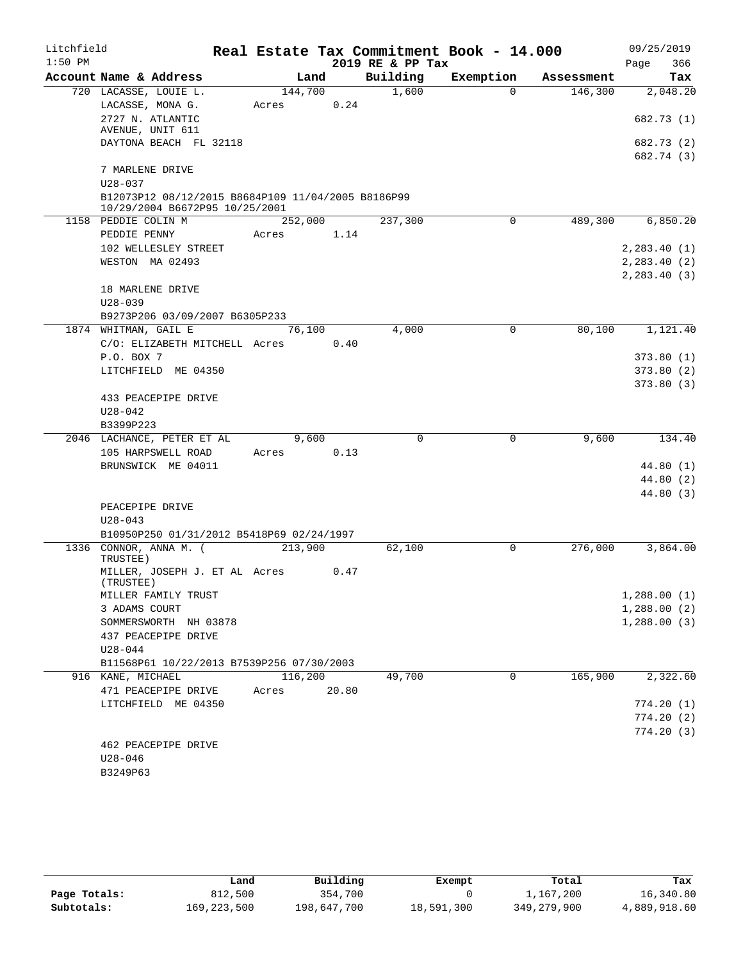| Litchfield |                                                                     |            |         |       |                      | Real Estate Tax Commitment Book - 14.000 |            | 09/25/2019  |
|------------|---------------------------------------------------------------------|------------|---------|-------|----------------------|------------------------------------------|------------|-------------|
| $1:50$ PM  |                                                                     |            |         |       | 2019 RE & PP Tax     |                                          |            | 366<br>Page |
|            | Account Name & Address                                              |            | Land    |       | Building             | Exemption                                | Assessment | Tax         |
|            | 720 LACASSE, LOUIE L.                                               |            | 144,700 |       | 1,600                | $\Omega$                                 | 146,300    | 2,048.20    |
|            | LACASSE, MONA G.                                                    | Acres      | 0.24    |       |                      |                                          |            |             |
|            | 2727 N. ATLANTIC                                                    |            |         |       |                      |                                          |            | 682.73 (1)  |
|            | AVENUE, UNIT 611<br>DAYTONA BEACH FL 32118                          |            |         |       |                      |                                          |            | 682.73 (2)  |
|            |                                                                     |            |         |       |                      |                                          |            | 682.74 (3)  |
|            | 7 MARLENE DRIVE                                                     |            |         |       |                      |                                          |            |             |
|            | $U28 - 037$                                                         |            |         |       |                      |                                          |            |             |
|            | B12073P12 08/12/2015 B8684P109 11/04/2005 B8186P99                  |            |         |       |                      |                                          |            |             |
|            | 10/29/2004 B6672P95 10/25/2001                                      |            |         |       |                      |                                          |            |             |
|            | 1158 PEDDIE COLIN M                                                 |            | 252,000 |       | $\overline{237,300}$ | 0                                        | 489,300    | 6,850.20    |
|            | PEDDIE PENNY                                                        | Acres      | 1.14    |       |                      |                                          |            |             |
|            | 102 WELLESLEY STREET                                                |            |         |       |                      |                                          |            | 2,283.40(1) |
|            | WESTON MA 02493                                                     |            |         |       |                      |                                          |            | 2,283.40(2) |
|            |                                                                     |            |         |       |                      |                                          |            | 2,283.40(3) |
|            | 18 MARLENE DRIVE<br>$U28 - 039$                                     |            |         |       |                      |                                          |            |             |
|            | B9273P206 03/09/2007 B6305P233                                      |            |         |       |                      |                                          |            |             |
|            | 1874 WHITMAN, GAIL E                                                |            | 76,100  |       | 4,000                | 0                                        | 80,100     | 1,121.40    |
|            | C/O: ELIZABETH MITCHELL Acres 0.40                                  |            |         |       |                      |                                          |            |             |
|            | P.O. BOX 7                                                          |            |         |       |                      |                                          |            | 373.80(1)   |
|            | LITCHFIELD ME 04350                                                 |            |         |       |                      |                                          |            | 373.80(2)   |
|            |                                                                     |            |         |       |                      |                                          |            | 373.80(3)   |
|            | 433 PEACEPIPE DRIVE                                                 |            |         |       |                      |                                          |            |             |
|            | $U28 - 042$                                                         |            |         |       |                      |                                          |            |             |
|            | B3399P223                                                           |            |         |       |                      |                                          |            |             |
|            | 2046 LACHANCE, PETER ET AL                                          |            | 9,600   |       | $\mathbf 0$          | 0                                        | 9,600      | 134.40      |
|            | 105 HARPSWELL ROAD                                                  | Acres 0.13 |         |       |                      |                                          |            |             |
|            | BRUNSWICK ME 04011                                                  |            |         |       |                      |                                          |            | 44.80 (1)   |
|            |                                                                     |            |         |       |                      |                                          |            | 44.80(2)    |
|            |                                                                     |            |         |       |                      |                                          |            | 44.80 (3)   |
|            | PEACEPIPE DRIVE                                                     |            |         |       |                      |                                          |            |             |
|            | $U28 - 043$                                                         |            |         |       |                      |                                          |            |             |
|            | B10950P250 01/31/2012 B5418P69 02/24/1997<br>1336 CONNOR, ANNA M. ( |            | 213,900 |       | 62,100               | 0                                        | 276,000    | 3,864.00    |
|            | TRUSTEE)                                                            |            |         |       |                      |                                          |            |             |
|            | MILLER, JOSEPH J. ET AL Acres                                       |            | 0.47    |       |                      |                                          |            |             |
|            | (TRUSTEE)                                                           |            |         |       |                      |                                          |            |             |
|            | MILLER FAMILY TRUST                                                 |            |         |       |                      |                                          |            | 1,288.00(1) |
|            | 3 ADAMS COURT                                                       |            |         |       |                      |                                          |            | 1,288.00(2) |
|            | SOMMERSWORTH NH 03878                                               |            |         |       |                      |                                          |            | 1,288.00(3) |
|            | 437 PEACEPIPE DRIVE                                                 |            |         |       |                      |                                          |            |             |
|            | U28-044                                                             |            |         |       |                      |                                          |            |             |
|            | B11568P61 10/22/2013 B7539P256 07/30/2003                           |            |         |       | 49,700               | 0                                        | 165,900    | 2,322.60    |
|            | 916 KANE, MICHAEL<br>471 PEACEPIPE DRIVE                            | Acres      | 116,200 | 20.80 |                      |                                          |            |             |
|            | LITCHFIELD ME 04350                                                 |            |         |       |                      |                                          |            | 774.20(1)   |
|            |                                                                     |            |         |       |                      |                                          |            | 774.20(2)   |
|            |                                                                     |            |         |       |                      |                                          |            | 774.20(3)   |
|            | 462 PEACEPIPE DRIVE                                                 |            |         |       |                      |                                          |            |             |
|            | $U28 - 046$                                                         |            |         |       |                      |                                          |            |             |
|            | B3249P63                                                            |            |         |       |                      |                                          |            |             |

|              | Land        | Building    | Exempt     | Total         | Tax          |
|--------------|-------------|-------------|------------|---------------|--------------|
| Page Totals: | 812,500     | 354,700     |            | 1,167,200     | 16,340.80    |
| Subtotals:   | 169,223,500 | 198,647,700 | 18,591,300 | 349, 279, 900 | 4,889,918.60 |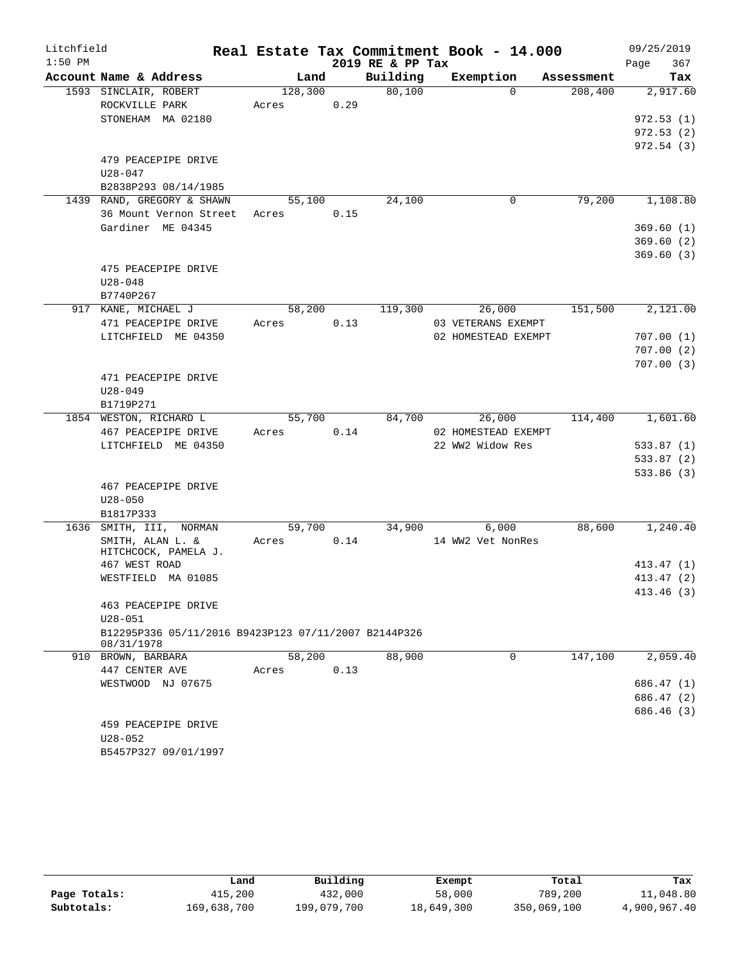| Litchfield |                                                      |                 |      |                  | Real Estate Tax Commitment Book - 14.000 |            | 09/25/2019  |
|------------|------------------------------------------------------|-----------------|------|------------------|------------------------------------------|------------|-------------|
| $1:50$ PM  |                                                      |                 |      | 2019 RE & PP Tax |                                          |            | 367<br>Page |
|            | Account Name & Address                               | Land            |      | Building         | Exemption                                | Assessment | Tax         |
|            | 1593 SINCLAIR, ROBERT                                | 128,300         |      | 80,100           | $\Omega$                                 | 208,400    | 2,917.60    |
|            | ROCKVILLE PARK                                       | Acres           | 0.29 |                  |                                          |            |             |
|            | STONEHAM MA 02180                                    |                 |      |                  |                                          |            | 972.53(1)   |
|            |                                                      |                 |      |                  |                                          |            | 972.53(2)   |
|            |                                                      |                 |      |                  |                                          |            | 972.54(3)   |
|            | 479 PEACEPIPE DRIVE                                  |                 |      |                  |                                          |            |             |
|            | U28-047<br>B2838P293 08/14/1985                      |                 |      |                  |                                          |            |             |
|            | 1439 RAND, GREGORY & SHAWN                           | 55,100          |      | 24,100           | 0                                        | 79,200     | 1,108.80    |
|            | 36 Mount Vernon Street                               | Acres           | 0.15 |                  |                                          |            |             |
|            | Gardiner ME 04345                                    |                 |      |                  |                                          |            | 369.60(1)   |
|            |                                                      |                 |      |                  |                                          |            | 369.60(2)   |
|            |                                                      |                 |      |                  |                                          |            | 369.60(3)   |
|            | 475 PEACEPIPE DRIVE                                  |                 |      |                  |                                          |            |             |
|            | $U28 - 048$                                          |                 |      |                  |                                          |            |             |
|            | B7740P267                                            |                 |      |                  |                                          |            |             |
|            | 917 KANE, MICHAEL J                                  | 58,200          |      | 119,300          | 26,000                                   | 151,500    | 2,121.00    |
|            | 471 PEACEPIPE DRIVE                                  | Acres           | 0.13 |                  | 03 VETERANS EXEMPT                       |            |             |
|            | LITCHFIELD ME 04350                                  |                 |      |                  | 02 HOMESTEAD EXEMPT                      |            | 707.00(1)   |
|            |                                                      |                 |      |                  |                                          |            | 707.00(2)   |
|            |                                                      |                 |      |                  |                                          |            | 707.00(3)   |
|            | 471 PEACEPIPE DRIVE                                  |                 |      |                  |                                          |            |             |
|            | $U28 - 049$                                          |                 |      |                  |                                          |            |             |
|            | B1719P271                                            |                 |      |                  |                                          |            |             |
|            | 1854 WESTON, RICHARD L                               | 55,700          |      | 84,700           | 26,000                                   | 114,400    | 1,601.60    |
|            | 467 PEACEPIPE DRIVE                                  | Acres           | 0.14 |                  | 02 HOMESTEAD EXEMPT                      |            |             |
|            | LITCHFIELD ME 04350                                  |                 |      |                  | 22 WW2 Widow Res                         |            | 533.87(1)   |
|            |                                                      |                 |      |                  |                                          |            | 533.87 (2)  |
|            |                                                      |                 |      |                  |                                          |            | 533.86 (3)  |
|            | 467 PEACEPIPE DRIVE                                  |                 |      |                  |                                          |            |             |
|            | $U28 - 050$                                          |                 |      |                  |                                          |            |             |
| 1636       | B1817P333<br><b>NORMAN</b>                           |                 |      |                  |                                          | 88,600     | 1,240.40    |
|            | SMITH, III,<br>SMITH, ALAN L. &                      | 59,700<br>Acres | 0.14 | 34,900           | 6,000<br>14 WW2 Vet NonRes               |            |             |
|            | HITCHCOCK, PAMELA J.                                 |                 |      |                  |                                          |            |             |
|            | 467 WEST ROAD                                        |                 |      |                  |                                          |            | 413.47 (1)  |
|            | WESTFIELD MA 01085                                   |                 |      |                  |                                          |            | 413.47 (2)  |
|            |                                                      |                 |      |                  |                                          |            | 413.46 (3)  |
|            | 463 PEACEPIPE DRIVE                                  |                 |      |                  |                                          |            |             |
|            | $U28 - 051$                                          |                 |      |                  |                                          |            |             |
|            | B12295P336 05/11/2016 B9423P123 07/11/2007 B2144P326 |                 |      |                  |                                          |            |             |
|            | 08/31/1978                                           |                 |      |                  |                                          |            |             |
|            | 910 BROWN, BARBARA                                   | 58,200          |      | 88,900           | $\Omega$                                 | 147,100    | 2,059.40    |
|            | 447 CENTER AVE                                       | Acres           | 0.13 |                  |                                          |            |             |
|            | WESTWOOD NJ 07675                                    |                 |      |                  |                                          |            | 686.47 (1)  |
|            |                                                      |                 |      |                  |                                          |            | 686.47 (2)  |
|            |                                                      |                 |      |                  |                                          |            | 686.46 (3)  |
|            | 459 PEACEPIPE DRIVE                                  |                 |      |                  |                                          |            |             |
|            | $U28 - 052$                                          |                 |      |                  |                                          |            |             |
|            | B5457P327 09/01/1997                                 |                 |      |                  |                                          |            |             |

|              | Land        | Building    | Exempt     | Total       | Tax          |
|--------------|-------------|-------------|------------|-------------|--------------|
| Page Totals: | 415,200     | 432,000     | 58,000     | 789,200     | 11,048.80    |
| Subtotals:   | 169,638,700 | 199,079,700 | 18,649,300 | 350,069,100 | 4,900,967.40 |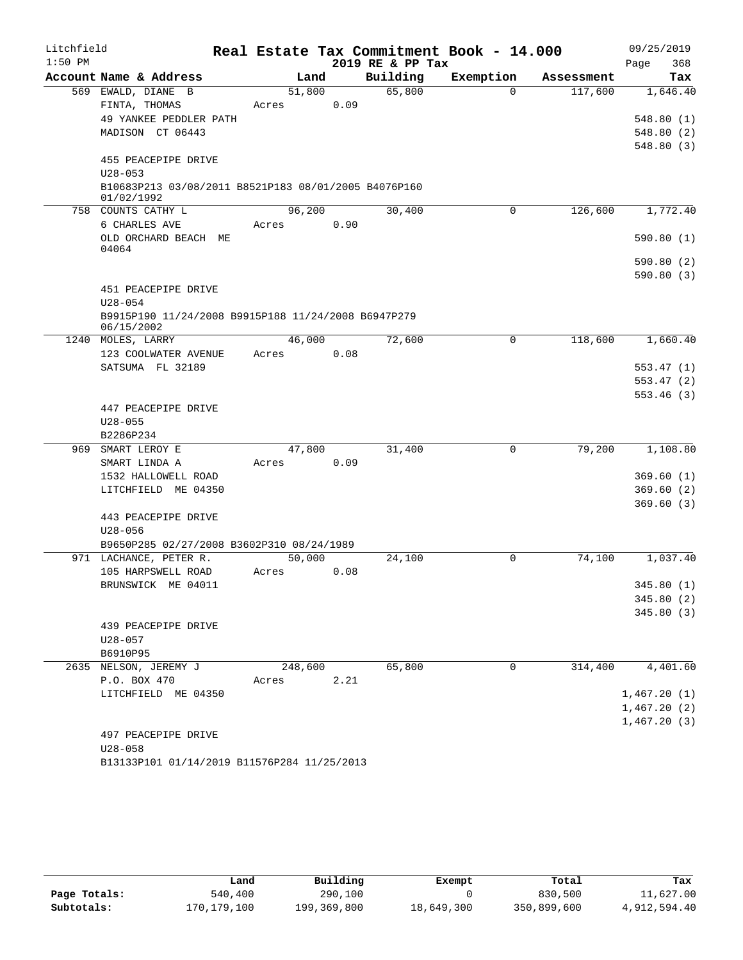| Litchfield |                                                                    |                 |      |                    | Real Estate Tax Commitment Book - 14.000 |                      | 09/25/2019             |
|------------|--------------------------------------------------------------------|-----------------|------|--------------------|------------------------------------------|----------------------|------------------------|
| $1:50$ PM  | Account Name & Address                                             |                 |      | 2019 RE & PP Tax   | Exemption                                |                      | 368<br>Page            |
|            |                                                                    | Land            |      | Building<br>65,800 | $\Omega$                                 | Assessment           | Tax                    |
|            | 569 EWALD, DIANE B<br>FINTA, THOMAS                                | 51,800<br>Acres | 0.09 |                    |                                          | 117,600              | 1,646.40               |
|            | 49 YANKEE PEDDLER PATH                                             |                 |      |                    |                                          |                      | 548.80(1)              |
|            | MADISON CT 06443                                                   |                 |      |                    |                                          |                      | 548.80(2)              |
|            |                                                                    |                 |      |                    |                                          |                      | 548.80(3)              |
|            | 455 PEACEPIPE DRIVE                                                |                 |      |                    |                                          |                      |                        |
|            | $U28 - 053$                                                        |                 |      |                    |                                          |                      |                        |
|            | B10683P213 03/08/2011 B8521P183 08/01/2005 B4076P160<br>01/02/1992 |                 |      |                    |                                          |                      |                        |
|            | 758 COUNTS CATHY L                                                 | 96,200          |      | 30,400             | 0                                        | 126,600              | 1,772.40               |
|            | 6 CHARLES AVE                                                      | Acres           | 0.90 |                    |                                          |                      |                        |
|            | OLD ORCHARD BEACH ME<br>04064                                      |                 |      |                    |                                          |                      | 590.80(1)              |
|            |                                                                    |                 |      |                    |                                          |                      | 590.80(2)              |
|            |                                                                    |                 |      |                    |                                          |                      | 590.80(3)              |
|            | 451 PEACEPIPE DRIVE<br>$U28 - 054$                                 |                 |      |                    |                                          |                      |                        |
|            | B9915P190 11/24/2008 B9915P188 11/24/2008 B6947P279<br>06/15/2002  |                 |      |                    |                                          |                      |                        |
|            | 1240 MOLES, LARRY                                                  | 46,000          |      | 72,600             | $\Omega$                                 | 118,600              | 1,660.40               |
|            | 123 COOLWATER AVENUE                                               | Acres           | 0.08 |                    |                                          |                      |                        |
|            | SATSUMA FL 32189                                                   |                 |      |                    |                                          |                      | 553.47(1)              |
|            |                                                                    |                 |      |                    |                                          |                      | 553.47(2)              |
|            |                                                                    |                 |      |                    |                                          |                      | 553.46(3)              |
|            | 447 PEACEPIPE DRIVE                                                |                 |      |                    |                                          |                      |                        |
|            | $U28 - 055$                                                        |                 |      |                    |                                          |                      |                        |
|            | B2286P234                                                          |                 |      |                    |                                          |                      |                        |
|            | 969 SMART LEROY E                                                  | 47,800          |      | 31,400             | 0                                        | 79,200               | 1,108.80               |
|            | SMART LINDA A                                                      | Acres           | 0.09 |                    |                                          |                      |                        |
|            | 1532 HALLOWELL ROAD                                                |                 |      |                    |                                          |                      | 369.60(1)              |
|            | LITCHFIELD ME 04350                                                |                 |      |                    |                                          |                      | 369.60(2)<br>369.60(3) |
|            | 443 PEACEPIPE DRIVE                                                |                 |      |                    |                                          |                      |                        |
|            | $U28 - 056$                                                        |                 |      |                    |                                          |                      |                        |
|            | B9650P285 02/27/2008 B3602P310 08/24/1989                          |                 |      |                    |                                          |                      |                        |
|            | 971 LACHANCE, PETER R.                                             | 50,000          |      | 24,100             | $\Omega$                                 | 74,100               | 1,037.40               |
|            | 105 HARPSWELL ROAD                                                 | Acres           | 0.08 |                    |                                          |                      |                        |
|            | BRUNSWICK ME 04011                                                 |                 |      |                    |                                          |                      | 345.80 (1)             |
|            |                                                                    |                 |      |                    |                                          |                      | 345.80 (2)             |
|            |                                                                    |                 |      |                    |                                          |                      | 345.80(3)              |
|            | 439 PEACEPIPE DRIVE                                                |                 |      |                    |                                          |                      |                        |
|            | $U28 - 057$                                                        |                 |      |                    |                                          |                      |                        |
|            | B6910P95                                                           |                 |      |                    |                                          |                      |                        |
|            | 2635 NELSON, JEREMY J                                              | 248,600         |      | 65,800             | $\Omega$                                 | $3\overline{14,400}$ | 4,401.60               |
|            | P.O. BOX 470                                                       | Acres           | 2.21 |                    |                                          |                      |                        |
|            | LITCHFIELD ME 04350                                                |                 |      |                    |                                          |                      | 1,467.20(1)            |
|            |                                                                    |                 |      |                    |                                          |                      | 1,467.20(2)            |
|            |                                                                    |                 |      |                    |                                          |                      | 1,467.20(3)            |
|            | 497 PEACEPIPE DRIVE                                                |                 |      |                    |                                          |                      |                        |
|            | $U28 - 058$                                                        |                 |      |                    |                                          |                      |                        |
|            | B13133P101 01/14/2019 B11576P284 11/25/2013                        |                 |      |                    |                                          |                      |                        |

|              | Land        | Building    | Exempt     | Total       | Tax          |
|--------------|-------------|-------------|------------|-------------|--------------|
| Page Totals: | 540,400     | 290,100     |            | 830,500     | 11,627.00    |
| Subtotals:   | 170,179,100 | 199,369,800 | 18,649,300 | 350,899,600 | 4,912,594.40 |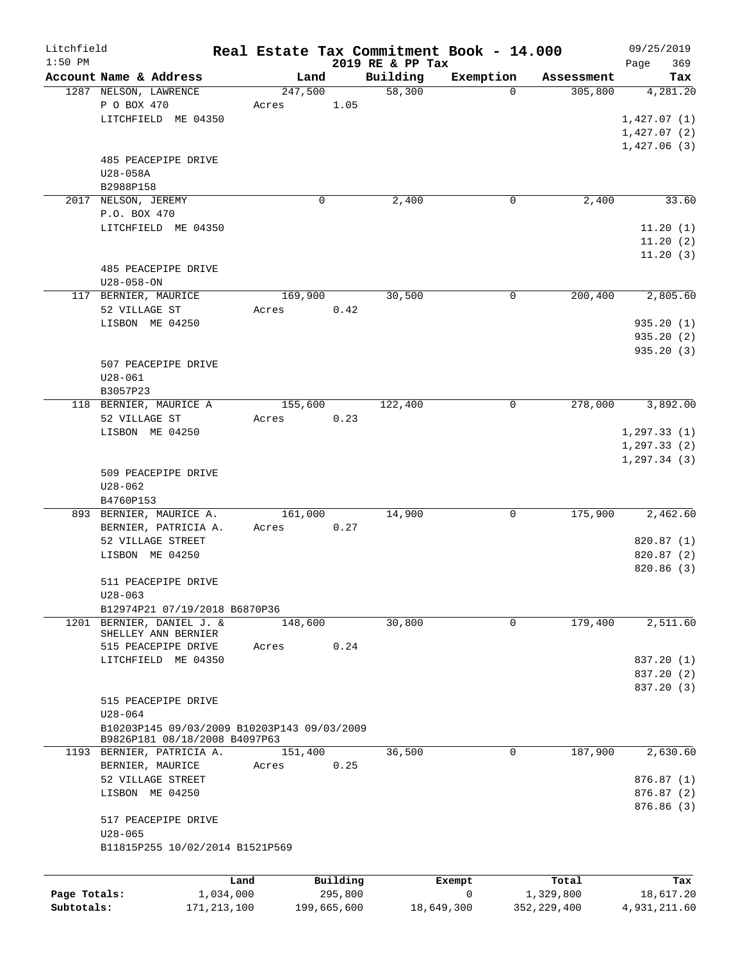| Litchfield   |                                                                              |               |         |             |                              | Real Estate Tax Commitment Book - 14.000 |               | 09/25/2019         |
|--------------|------------------------------------------------------------------------------|---------------|---------|-------------|------------------------------|------------------------------------------|---------------|--------------------|
| $1:50$ PM    | Account Name & Address                                                       |               | Land    |             | 2019 RE & PP Tax<br>Building | Exemption                                | Assessment    | 369<br>Page<br>Tax |
|              | 1287 NELSON, LAWRENCE                                                        |               | 247,500 |             | 58,300                       | $\Omega$                                 | 305,800       | 4,281,20           |
|              | P O BOX 470                                                                  |               | Acres   | 1.05        |                              |                                          |               |                    |
|              | LITCHFIELD ME 04350                                                          |               |         |             |                              |                                          |               | 1,427.07(1)        |
|              |                                                                              |               |         |             |                              |                                          |               | 1,427.07(2)        |
|              |                                                                              |               |         |             |                              |                                          |               | 1,427.06(3)        |
|              | 485 PEACEPIPE DRIVE                                                          |               |         |             |                              |                                          |               |                    |
|              | U28-058A                                                                     |               |         |             |                              |                                          |               |                    |
|              | B2988P158                                                                    |               |         |             |                              |                                          |               |                    |
|              | 2017 NELSON, JEREMY                                                          |               |         | 0           | 2,400                        | 0                                        | 2,400         | 33.60              |
|              | P.O. BOX 470                                                                 |               |         |             |                              |                                          |               |                    |
|              | LITCHFIELD ME 04350                                                          |               |         |             |                              |                                          |               | 11.20(1)           |
|              |                                                                              |               |         |             |                              |                                          |               | 11.20(2)           |
|              |                                                                              |               |         |             |                              |                                          |               | 11.20(3)           |
|              | 485 PEACEPIPE DRIVE                                                          |               |         |             |                              |                                          |               |                    |
|              | $U28 - 058 - ON$                                                             |               |         |             |                              |                                          |               |                    |
|              | 117 BERNIER, MAURICE                                                         |               | 169,900 |             | 30,500                       | $\mathbf 0$                              | 200,400       | 2,805.60           |
|              | 52 VILLAGE ST                                                                |               | Acres   | 0.42        |                              |                                          |               |                    |
|              | LISBON ME 04250                                                              |               |         |             |                              |                                          |               | 935.20(1)          |
|              |                                                                              |               |         |             |                              |                                          |               | 935.20(2)          |
|              |                                                                              |               |         |             |                              |                                          |               | 935.20(3)          |
|              | 507 PEACEPIPE DRIVE                                                          |               |         |             |                              |                                          |               |                    |
|              | $U28 - 061$                                                                  |               |         |             |                              |                                          |               |                    |
|              | B3057P23                                                                     |               |         |             |                              |                                          |               |                    |
|              | 118 BERNIER, MAURICE A                                                       |               | 155,600 |             | 122,400                      | 0                                        | 278,000       | 3,892.00           |
|              | 52 VILLAGE ST                                                                |               | Acres   | 0.23        |                              |                                          |               |                    |
|              | LISBON ME 04250                                                              |               |         |             |                              |                                          |               | 1, 297.33(1)       |
|              |                                                                              |               |         |             |                              |                                          |               | 1, 297.33(2)       |
|              |                                                                              |               |         |             |                              |                                          |               | 1, 297.34(3)       |
|              | 509 PEACEPIPE DRIVE<br>$U28 - 062$                                           |               |         |             |                              |                                          |               |                    |
|              | B4760P153                                                                    |               |         |             |                              |                                          |               |                    |
|              | 893 BERNIER, MAURICE A.                                                      |               | 161,000 |             | 14,900                       | 0                                        | 175,900       | 2,462.60           |
|              | BERNIER, PATRICIA A.                                                         |               | Acres   | 0.27        |                              |                                          |               |                    |
|              | 52 VILLAGE STREET                                                            |               |         |             |                              |                                          |               | 820.87 (1)         |
|              | LISBON ME 04250                                                              |               |         |             |                              |                                          |               | 820.87 (2)         |
|              |                                                                              |               |         |             |                              |                                          |               | 820.86 (3)         |
|              | 511 PEACEPIPE DRIVE                                                          |               |         |             |                              |                                          |               |                    |
|              | $U28 - 063$                                                                  |               |         |             |                              |                                          |               |                    |
|              | B12974P21 07/19/2018 B6870P36                                                |               |         |             |                              |                                          |               |                    |
|              | 1201 BERNIER, DANIEL J. &                                                    |               | 148,600 |             | 30,800                       | $\mathbf 0$                              | 179,400       | 2,511.60           |
|              | SHELLEY ANN BERNIER                                                          |               |         |             |                              |                                          |               |                    |
|              | 515 PEACEPIPE DRIVE                                                          |               | Acres   | 0.24        |                              |                                          |               |                    |
|              | LITCHFIELD ME 04350                                                          |               |         |             |                              |                                          |               | 837.20 (1)         |
|              |                                                                              |               |         |             |                              |                                          |               | 837.20 (2)         |
|              |                                                                              |               |         |             |                              |                                          |               | 837.20 (3)         |
|              | 515 PEACEPIPE DRIVE                                                          |               |         |             |                              |                                          |               |                    |
|              | $U28 - 064$                                                                  |               |         |             |                              |                                          |               |                    |
|              | B10203P145 09/03/2009 B10203P143 09/03/2009<br>B9826P181 08/18/2008 B4097P63 |               |         |             |                              |                                          |               |                    |
|              | 1193 BERNIER, PATRICIA A.                                                    |               | 151,400 |             | 36,500                       | 0                                        | 187,900       | 2,630.60           |
|              | BERNIER, MAURICE                                                             |               | Acres   | 0.25        |                              |                                          |               |                    |
|              | 52 VILLAGE STREET                                                            |               |         |             |                              |                                          |               | 876.87 (1)         |
|              | LISBON ME 04250                                                              |               |         |             |                              |                                          |               | 876.87 (2)         |
|              |                                                                              |               |         |             |                              |                                          |               | 876.86 (3)         |
|              | 517 PEACEPIPE DRIVE                                                          |               |         |             |                              |                                          |               |                    |
|              | $U28 - 065$                                                                  |               |         |             |                              |                                          |               |                    |
|              | B11815P255 10/02/2014 B1521P569                                              |               |         |             |                              |                                          |               |                    |
|              |                                                                              |               |         |             |                              |                                          |               |                    |
|              |                                                                              | Land          |         | Building    |                              | Exempt                                   | Total         | Tax                |
| Page Totals: |                                                                              | 1,034,000     |         | 295,800     |                              | $\mathbf 0$                              | 1,329,800     | 18,617.20          |
| Subtotals:   |                                                                              | 171, 213, 100 |         | 199,665,600 |                              | 18,649,300                               | 352, 229, 400 | 4,931,211.60       |
|              |                                                                              |               |         |             |                              |                                          |               |                    |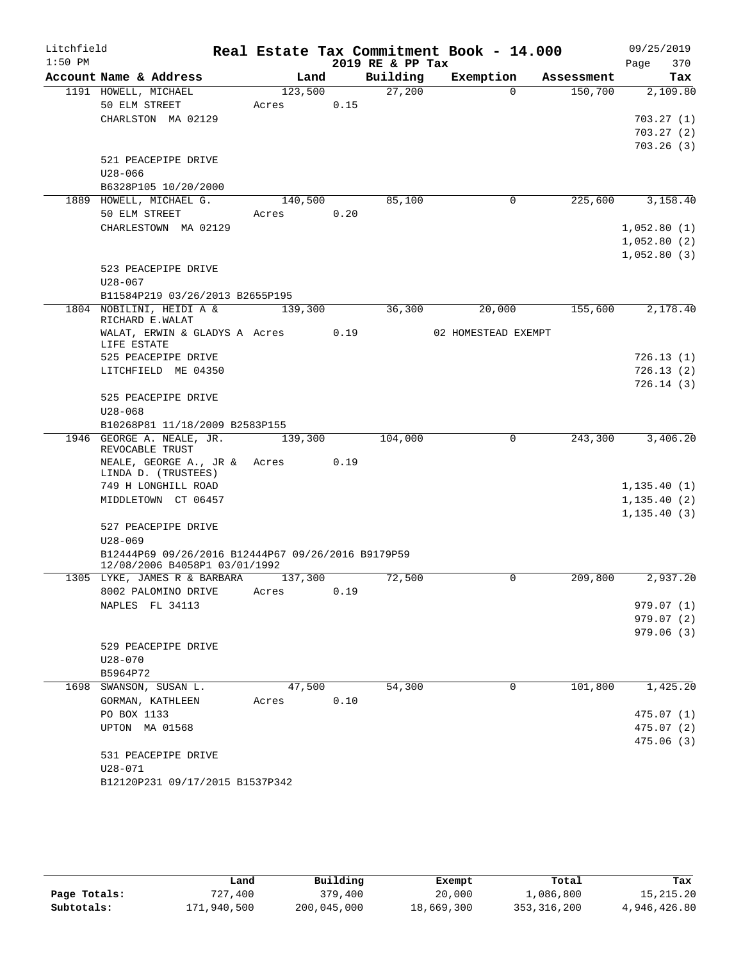| Litchfield |                                                               |         |         |      |                  | Real Estate Tax Commitment Book - 14.000 |          |            |      | 09/25/2019             |
|------------|---------------------------------------------------------------|---------|---------|------|------------------|------------------------------------------|----------|------------|------|------------------------|
| $1:50$ PM  |                                                               |         |         |      | 2019 RE & PP Tax |                                          |          |            | Page | 370                    |
|            | Account Name & Address                                        |         | Land    |      | Building         | Exemption                                |          | Assessment |      | Tax                    |
|            | 1191 HOWELL, MICHAEL                                          |         | 123,500 |      | 27,200           |                                          | $\Omega$ | 150,700    |      | 2,109.80               |
|            | 50 ELM STREET                                                 | Acres   |         | 0.15 |                  |                                          |          |            |      |                        |
|            | CHARLSTON MA 02129                                            |         |         |      |                  |                                          |          |            |      | 703.27(1)<br>703.27(2) |
|            |                                                               |         |         |      |                  |                                          |          |            |      | 703.26(3)              |
|            | 521 PEACEPIPE DRIVE                                           |         |         |      |                  |                                          |          |            |      |                        |
|            | $U28 - 066$                                                   |         |         |      |                  |                                          |          |            |      |                        |
|            | B6328P105 10/20/2000                                          |         |         |      |                  |                                          |          |            |      |                        |
|            | 1889 HOWELL, MICHAEL G.                                       |         | 140,500 |      | 85,100           |                                          | 0        | 225,600    |      | 3,158.40               |
|            | 50 ELM STREET                                                 | Acres   |         | 0.20 |                  |                                          |          |            |      |                        |
|            | CHARLESTOWN MA 02129                                          |         |         |      |                  |                                          |          |            |      | 1,052.80(1)            |
|            |                                                               |         |         |      |                  |                                          |          |            |      | 1,052.80(2)            |
|            |                                                               |         |         |      |                  |                                          |          |            |      | 1,052.80(3)            |
|            | 523 PEACEPIPE DRIVE                                           |         |         |      |                  |                                          |          |            |      |                        |
|            | $U28 - 067$                                                   |         |         |      |                  |                                          |          |            |      |                        |
|            | B11584P219 03/26/2013 B2655P195<br>1804 NOBILINI, HEIDI A &   |         |         |      |                  | 20,000                                   |          | 155,600    |      | 2,178.40               |
|            | RICHARD E.WALAT                                               |         | 139,300 |      | 36,300           |                                          |          |            |      |                        |
|            | WALAT, ERWIN & GLADYS A Acres                                 |         |         | 0.19 |                  | 02 HOMESTEAD EXEMPT                      |          |            |      |                        |
|            | LIFE ESTATE                                                   |         |         |      |                  |                                          |          |            |      |                        |
|            | 525 PEACEPIPE DRIVE                                           |         |         |      |                  |                                          |          |            |      | 726.13(1)              |
|            | LITCHFIELD ME 04350                                           |         |         |      |                  |                                          |          |            |      | 726.13(2)              |
|            | 525 PEACEPIPE DRIVE                                           |         |         |      |                  |                                          |          |            |      | 726.14(3)              |
|            | $U28 - 068$                                                   |         |         |      |                  |                                          |          |            |      |                        |
|            | B10268P81 11/18/2009 B2583P155                                |         |         |      |                  |                                          |          |            |      |                        |
|            | 1946 GEORGE A. NEALE, JR.                                     |         | 139,300 |      | 104,000          |                                          | 0        | 243,300    |      | 3,406.20               |
|            | REVOCABLE TRUST                                               |         |         |      |                  |                                          |          |            |      |                        |
|            | NEALE, GEORGE A., JR &<br>LINDA D. (TRUSTEES)                 | Acres   |         | 0.19 |                  |                                          |          |            |      |                        |
|            | 749 H LONGHILL ROAD                                           |         |         |      |                  |                                          |          |            |      | 1, 135.40(1)           |
|            | MIDDLETOWN CT 06457                                           |         |         |      |                  |                                          |          |            |      | 1, 135.40(2)           |
|            |                                                               |         |         |      |                  |                                          |          |            |      | 1, 135.40(3)           |
|            | 527 PEACEPIPE DRIVE                                           |         |         |      |                  |                                          |          |            |      |                        |
|            | $U28 - 069$                                                   |         |         |      |                  |                                          |          |            |      |                        |
|            | B12444P69 09/26/2016 B12444P67 09/26/2016 B9179P59            |         |         |      |                  |                                          |          |            |      |                        |
|            | 12/08/2006 B4058P1 03/01/1992<br>1305 LYKE, JAMES R & BARBARA | 137,300 |         |      | 72,500           |                                          | 0        | 209,800    |      | 2,937.20               |
|            | 8002 PALOMINO DRIVE                                           | Acres   |         | 0.19 |                  |                                          |          |            |      |                        |
|            | NAPLES FL 34113                                               |         |         |      |                  |                                          |          |            |      | 979.07(1)              |
|            |                                                               |         |         |      |                  |                                          |          |            |      | 979.07(2)              |
|            |                                                               |         |         |      |                  |                                          |          |            |      | 979.06(3)              |
|            | 529 PEACEPIPE DRIVE                                           |         |         |      |                  |                                          |          |            |      |                        |
|            | $U28 - 070$                                                   |         |         |      |                  |                                          |          |            |      |                        |
|            | B5964P72                                                      |         |         |      |                  |                                          |          |            |      |                        |
|            | 1698 SWANSON, SUSAN L.                                        |         | 47,500  |      | 54,300           |                                          | 0        | 101,800    |      | 1,425.20               |
|            | GORMAN, KATHLEEN                                              | Acres   |         | 0.10 |                  |                                          |          |            |      |                        |
|            | PO BOX 1133                                                   |         |         |      |                  |                                          |          |            |      | 475.07 (1)             |
|            | UPTON MA 01568                                                |         |         |      |                  |                                          |          |            |      | 475.07(2)              |
|            | 531 PEACEPIPE DRIVE                                           |         |         |      |                  |                                          |          |            |      | 475.06(3)              |
|            | $U28 - 071$                                                   |         |         |      |                  |                                          |          |            |      |                        |
|            | B12120P231 09/17/2015 B1537P342                               |         |         |      |                  |                                          |          |            |      |                        |

|              | Land        | Building    | Exempt     | Total         | Tax          |
|--------------|-------------|-------------|------------|---------------|--------------|
| Page Totals: | 727,400     | 379,400     | 20,000     | 1,086,800     | 15, 215, 20  |
| Subtotals:   | 171,940,500 | 200,045,000 | 18,669,300 | 353, 316, 200 | 4,946,426.80 |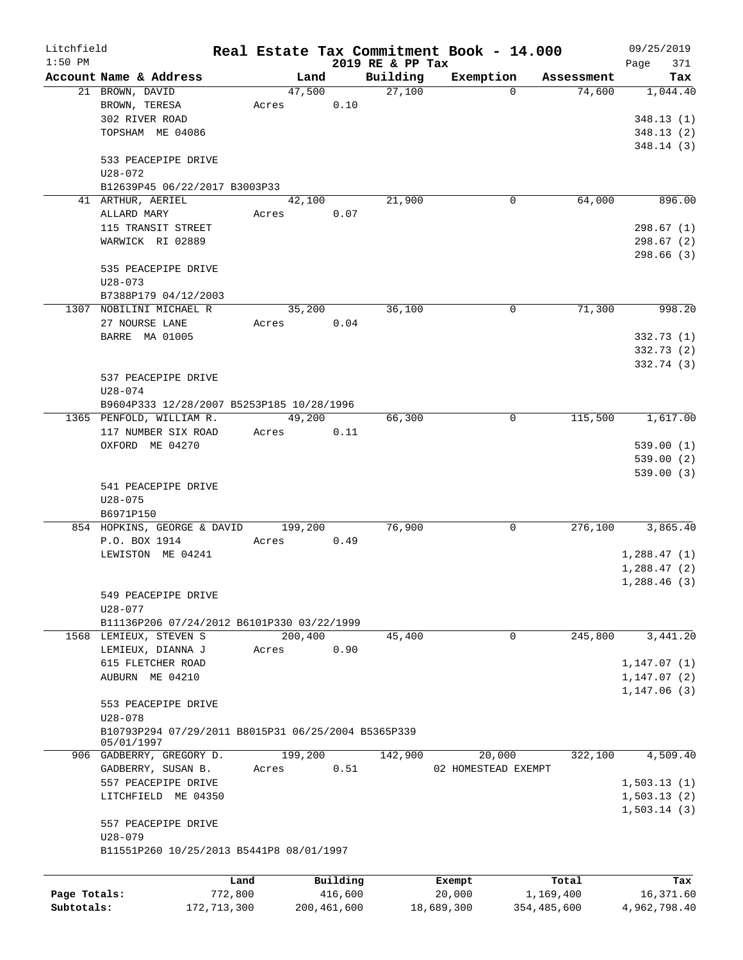| Litchfield   |                                                                   |             |         |             |                              | Real Estate Tax Commitment Book - 14.000 |                    |            | 09/25/2019         |
|--------------|-------------------------------------------------------------------|-------------|---------|-------------|------------------------------|------------------------------------------|--------------------|------------|--------------------|
| $1:50$ PM    | Account Name & Address                                            |             | Land    |             | 2019 RE & PP Tax<br>Building | Exemption                                |                    | Assessment | 371<br>Page<br>Tax |
|              | 21 BROWN, DAVID                                                   |             | 47,500  |             | 27,100                       | $\Omega$                                 |                    | 74,600     | 1,044.40           |
|              | BROWN, TERESA                                                     | Acres       |         | 0.10        |                              |                                          |                    |            |                    |
|              | 302 RIVER ROAD                                                    |             |         |             |                              |                                          |                    |            | 348.13(1)          |
|              |                                                                   |             |         |             |                              |                                          |                    |            |                    |
|              | TOPSHAM ME 04086                                                  |             |         |             |                              |                                          |                    |            | 348.13(2)          |
|              | 533 PEACEPIPE DRIVE                                               |             |         |             |                              |                                          |                    |            | 348.14(3)          |
|              | $U28 - 072$                                                       |             |         |             |                              |                                          |                    |            |                    |
|              | B12639P45 06/22/2017 B3003P33                                     |             |         |             |                              |                                          |                    |            |                    |
|              | 41 ARTHUR, AERIEL                                                 |             | 42,100  |             | 21,900                       | 0                                        |                    | 64,000     | 896.00             |
|              | ALLARD MARY                                                       |             |         | 0.07        |                              |                                          |                    |            |                    |
|              | 115 TRANSIT STREET                                                | Acres       |         |             |                              |                                          |                    |            | 298.67(1)          |
|              |                                                                   |             |         |             |                              |                                          |                    |            |                    |
|              | WARWICK RI 02889                                                  |             |         |             |                              |                                          |                    |            | 298.67 (2)         |
|              |                                                                   |             |         |             |                              |                                          |                    |            | 298.66(3)          |
|              | 535 PEACEPIPE DRIVE                                               |             |         |             |                              |                                          |                    |            |                    |
|              | $U28 - 073$                                                       |             |         |             |                              |                                          |                    |            |                    |
|              | B7388P179 04/12/2003                                              |             |         |             |                              |                                          |                    |            |                    |
|              | 1307 NOBILINI MICHAEL R                                           |             | 35,200  |             | 36,100                       | 0                                        |                    | 71,300     | 998.20             |
|              | 27 NOURSE LANE                                                    | Acres       |         | 0.04        |                              |                                          |                    |            |                    |
|              | BARRE MA 01005                                                    |             |         |             |                              |                                          |                    |            | 332.73(1)          |
|              |                                                                   |             |         |             |                              |                                          |                    |            | 332.73(2)          |
|              |                                                                   |             |         |             |                              |                                          |                    |            | 332.74 (3)         |
|              | 537 PEACEPIPE DRIVE                                               |             |         |             |                              |                                          |                    |            |                    |
|              | U28-074                                                           |             |         |             |                              |                                          |                    |            |                    |
|              | B9604P333 12/28/2007 B5253P185 10/28/1996                         |             |         |             |                              |                                          |                    |            |                    |
|              | 1365 PENFOLD, WILLIAM R.                                          |             | 49,200  |             | 66,300                       | 0                                        |                    | 115,500    | 1,617.00           |
|              | 117 NUMBER SIX ROAD                                               | Acres       |         | 0.11        |                              |                                          |                    |            |                    |
|              | OXFORD ME 04270                                                   |             |         |             |                              |                                          |                    |            | 539.00(1)          |
|              |                                                                   |             |         |             |                              |                                          |                    |            | 539.00(2)          |
|              |                                                                   |             |         |             |                              |                                          |                    |            | 539.00(3)          |
|              | 541 PEACEPIPE DRIVE                                               |             |         |             |                              |                                          |                    |            |                    |
|              | $U28 - 075$                                                       |             |         |             |                              |                                          |                    |            |                    |
|              | B6971P150                                                         |             |         |             |                              |                                          |                    |            |                    |
|              | 854 HOPKINS, GEORGE & DAVID 199,200                               |             |         |             | 76,900                       | 0                                        |                    | 276,100    | 3,865.40           |
|              | P.O. BOX 1914                                                     | Acres       |         | 0.49        |                              |                                          |                    |            |                    |
|              | LEWISTON ME 04241                                                 |             |         |             |                              |                                          |                    |            | 1,288.47(1)        |
|              |                                                                   |             |         |             |                              |                                          |                    |            | 1,288.47(2)        |
|              |                                                                   |             |         |             |                              |                                          |                    |            | 1,288.46(3)        |
|              | 549 PEACEPIPE DRIVE                                               |             |         |             |                              |                                          |                    |            |                    |
|              | $U28 - 077$                                                       |             |         |             |                              |                                          |                    |            |                    |
|              | B11136P206 07/24/2012 B6101P330 03/22/1999                        |             |         |             |                              |                                          |                    |            |                    |
|              | 1568 LEMIEUX, STEVEN S                                            |             | 200,400 |             | 45,400                       | $\mathbf 0$                              |                    | 245,800    | 3,441.20           |
|              | LEMIEUX, DIANNA J                                                 | Acres       |         | 0.90        |                              |                                          |                    |            |                    |
|              | 615 FLETCHER ROAD                                                 |             |         |             |                              |                                          |                    |            | 1, 147.07(1)       |
|              | AUBURN ME 04210                                                   |             |         |             |                              |                                          |                    |            | 1, 147.07(2)       |
|              |                                                                   |             |         |             |                              |                                          |                    |            | 1,147.06(3)        |
|              | 553 PEACEPIPE DRIVE                                               |             |         |             |                              |                                          |                    |            |                    |
|              | $U28 - 078$                                                       |             |         |             |                              |                                          |                    |            |                    |
|              | B10793P294 07/29/2011 B8015P31 06/25/2004 B5365P339<br>05/01/1997 |             |         |             |                              |                                          |                    |            |                    |
|              | 906 GADBERRY, GREGORY D.                                          |             | 199,200 |             | 142,900                      | 20,000                                   |                    | 322,100    | 4,509.40           |
|              | GADBERRY, SUSAN B.                                                | Acres       |         | 0.51        |                              | 02 HOMESTEAD EXEMPT                      |                    |            |                    |
|              | 557 PEACEPIPE DRIVE                                               |             |         |             |                              |                                          |                    |            | 1,503.13(1)        |
|              | LITCHFIELD ME 04350                                               |             |         |             |                              |                                          |                    |            | 1,503.13(2)        |
|              |                                                                   |             |         |             |                              |                                          |                    |            | 1,503.14(3)        |
|              | 557 PEACEPIPE DRIVE                                               |             |         |             |                              |                                          |                    |            |                    |
|              | $U28 - 079$                                                       |             |         |             |                              |                                          |                    |            |                    |
|              | B11551P260 10/25/2013 B5441P8 08/01/1997                          |             |         |             |                              |                                          |                    |            |                    |
|              |                                                                   | Land        |         | Building    |                              |                                          |                    |            | Tax                |
| Page Totals: |                                                                   | 772,800     |         | 416,600     |                              | Exempt<br>20,000                         | Total<br>1,169,400 |            | 16,371.60          |
| Subtotals:   |                                                                   | 172,713,300 |         | 200,461,600 |                              | 18,689,300                               | 354,485,600        |            | 4,962,798.40       |
|              |                                                                   |             |         |             |                              |                                          |                    |            |                    |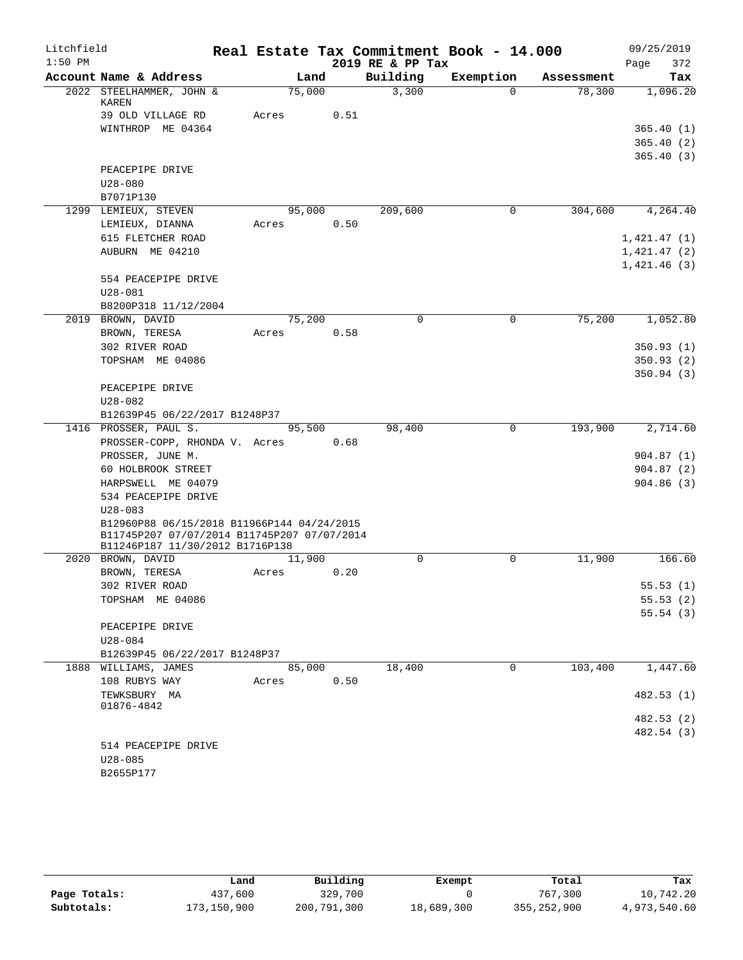| Litchfield |                                                                                |            |      |                  | Real Estate Tax Commitment Book - 14.000 |            | 09/25/2019  |
|------------|--------------------------------------------------------------------------------|------------|------|------------------|------------------------------------------|------------|-------------|
| $1:50$ PM  |                                                                                |            |      | 2019 RE & PP Tax |                                          |            | 372<br>Page |
|            | Account Name & Address                                                         | Land       |      | Building         | Exemption                                | Assessment | Tax         |
|            | 2022 STEELHAMMER, JOHN &<br>KAREN                                              | 75,000     |      | 3,300            | $\Omega$                                 | 78,300     | 1,096.20    |
|            | 39 OLD VILLAGE RD                                                              | Acres      | 0.51 |                  |                                          |            |             |
|            | WINTHROP ME 04364                                                              |            |      |                  |                                          |            | 365.40(1)   |
|            |                                                                                |            |      |                  |                                          |            | 365.40(2)   |
|            |                                                                                |            |      |                  |                                          |            | 365.40(3)   |
|            | PEACEPIPE DRIVE                                                                |            |      |                  |                                          |            |             |
|            | $U28 - 080$                                                                    |            |      |                  |                                          |            |             |
|            | B7071P130                                                                      |            |      |                  |                                          |            |             |
|            | 1299 LEMIEUX, STEVEN                                                           | 95,000     |      | 209,600          | 0                                        | 304,600    | 4,264.40    |
|            | LEMIEUX, DIANNA                                                                | Acres      | 0.50 |                  |                                          |            |             |
|            | 615 FLETCHER ROAD                                                              |            |      |                  |                                          |            | 1,421.47(1) |
|            | AUBURN ME 04210                                                                |            |      |                  |                                          |            | 1,421.47(2) |
|            |                                                                                |            |      |                  |                                          |            | 1,421.46(3) |
|            | 554 PEACEPIPE DRIVE                                                            |            |      |                  |                                          |            |             |
|            | $U28 - 081$                                                                    |            |      |                  |                                          |            |             |
|            | B8200P318 11/12/2004                                                           |            |      |                  |                                          |            |             |
|            | 2019 BROWN, DAVID                                                              | 75,200     |      | $\mathbf 0$      | $\mathbf 0$                              | 75,200     | 1,052.80    |
|            | BROWN, TERESA                                                                  | Acres      | 0.58 |                  |                                          |            |             |
|            | 302 RIVER ROAD                                                                 |            |      |                  |                                          |            | 350.93(1)   |
|            | TOPSHAM ME 04086                                                               |            |      |                  |                                          |            | 350.93(2)   |
|            |                                                                                |            |      |                  |                                          |            | 350.94(3)   |
|            | PEACEPIPE DRIVE                                                                |            |      |                  |                                          |            |             |
|            | $U28 - 082$                                                                    |            |      |                  |                                          |            |             |
|            | B12639P45 06/22/2017 B1248P37                                                  |            |      |                  |                                          |            |             |
|            | 1416 PROSSER, PAUL S.                                                          | 95,500     | 0.68 | 98,400           | 0                                        | 193,900    | 2,714.60    |
|            | PROSSER-COPP, RHONDA V. Acres<br>PROSSER, JUNE M.                              |            |      |                  |                                          |            | 904.87(1)   |
|            | 60 HOLBROOK STREET                                                             |            |      |                  |                                          |            | 904.87(2)   |
|            | HARPSWELL ME 04079                                                             |            |      |                  |                                          |            | 904.86(3)   |
|            | 534 PEACEPIPE DRIVE                                                            |            |      |                  |                                          |            |             |
|            | $U28 - 083$                                                                    |            |      |                  |                                          |            |             |
|            | B12960P88 06/15/2018 B11966P144 04/24/2015                                     |            |      |                  |                                          |            |             |
|            | B11745P207 07/07/2014 B11745P207 07/07/2014<br>B11246P187 11/30/2012 B1716P138 |            |      |                  |                                          |            |             |
|            | 2020 BROWN, DAVID                                                              | 11,900     |      | $\Omega$         | 0                                        | 11,900     | 166.60      |
|            | BROWN, TERESA                                                                  | Acres      | 0.20 |                  |                                          |            |             |
|            | 302 RIVER ROAD                                                                 |            |      |                  |                                          |            | 55.53(1)    |
|            | TOPSHAM ME 04086                                                               |            |      |                  |                                          |            | 55.53(2)    |
|            |                                                                                |            |      |                  |                                          |            | 55.54(3)    |
|            | PEACEPIPE DRIVE                                                                |            |      |                  |                                          |            |             |
|            | U28-084                                                                        |            |      |                  |                                          |            |             |
|            | B12639P45 06/22/2017 B1248P37                                                  |            |      |                  |                                          |            |             |
|            | 1888 WILLIAMS, JAMES                                                           | 85,000     |      | 18,400           | $\Omega$                                 | 103,400    | 1,447.60    |
|            | 108 RUBYS WAY                                                                  | Acres 0.50 |      |                  |                                          |            |             |
|            | TEWKSBURY MA                                                                   |            |      |                  |                                          |            | 482.53 (1)  |
|            | 01876-4842                                                                     |            |      |                  |                                          |            |             |
|            |                                                                                |            |      |                  |                                          |            | 482.53 (2)  |
|            |                                                                                |            |      |                  |                                          |            | 482.54 (3)  |
|            | 514 PEACEPIPE DRIVE                                                            |            |      |                  |                                          |            |             |
|            | $U28 - 085$                                                                    |            |      |                  |                                          |            |             |
|            | B2655P177                                                                      |            |      |                  |                                          |            |             |

|              | Land        | Building    | Exempt     | Total         | Tax          |
|--------------|-------------|-------------|------------|---------------|--------------|
| Page Totals: | 437,600     | 329,700     |            | 767,300       | 10,742.20    |
| Subtotals:   | 173,150,900 | 200,791,300 | 18,689,300 | 355, 252, 900 | 4,973,540.60 |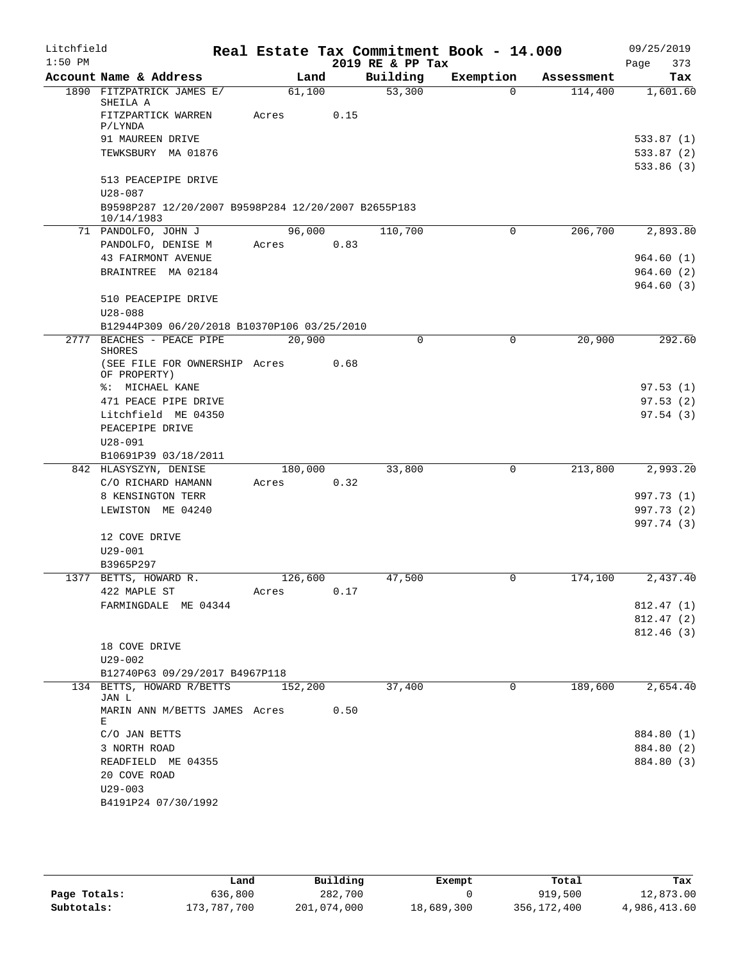| Litchfield |                                                            |         |      |                  | Real Estate Tax Commitment Book - 14.000 |            | 09/25/2019  |
|------------|------------------------------------------------------------|---------|------|------------------|------------------------------------------|------------|-------------|
| $1:50$ PM  |                                                            |         |      | 2019 RE & PP Tax |                                          |            | Page<br>373 |
|            | Account Name & Address                                     | Land    |      | Building         | Exemption                                | Assessment | Tax         |
|            | 1890 FITZPATRICK JAMES E/<br>SHEILA A                      | 61,100  |      | 53,300           | $\Omega$                                 | 114,400    | 1,601.60    |
|            | FITZPARTICK WARREN<br>P/LYNDA                              | Acres   | 0.15 |                  |                                          |            |             |
|            | 91 MAUREEN DRIVE                                           |         |      |                  |                                          |            | 533.87 (1)  |
|            | TEWKSBURY MA 01876                                         |         |      |                  |                                          |            | 533.87 (2)  |
|            |                                                            |         |      |                  |                                          |            | 533.86(3)   |
|            | 513 PEACEPIPE DRIVE<br>$U28 - 087$                         |         |      |                  |                                          |            |             |
|            | B9598P287 12/20/2007 B9598P284 12/20/2007 B2655P183        |         |      |                  |                                          |            |             |
|            | 10/14/1983<br>71 PANDOLFO, JOHN J                          | 96,000  |      | 110,700          | 0                                        | 206,700    | 2,893.80    |
|            | PANDOLFO, DENISE M                                         | Acres   | 0.83 |                  |                                          |            |             |
|            | 43 FAIRMONT AVENUE                                         |         |      |                  |                                          |            | 964.60(1)   |
|            | BRAINTREE MA 02184                                         |         |      |                  |                                          |            | 964.60(2)   |
|            |                                                            |         |      |                  |                                          |            | 964.60(3)   |
|            | 510 PEACEPIPE DRIVE                                        |         |      |                  |                                          |            |             |
|            | $U28 - 088$<br>B12944P309 06/20/2018 B10370P106 03/25/2010 |         |      |                  |                                          |            |             |
|            | 2777 BEACHES - PEACE PIPE                                  | 20,900  |      | $\Omega$         | 0                                        | 20,900     | 292.60      |
|            | <b>SHORES</b>                                              |         |      |                  |                                          |            |             |
|            | (SEE FILE FOR OWNERSHIP Acres<br>OF PROPERTY)              |         | 0.68 |                  |                                          |            |             |
|            | %: MICHAEL KANE                                            |         |      |                  |                                          |            | 97.53(1)    |
|            | 471 PEACE PIPE DRIVE                                       |         |      |                  |                                          |            | 97.53(2)    |
|            | Litchfield ME 04350                                        |         |      |                  |                                          |            | 97.54(3)    |
|            | PEACEPIPE DRIVE                                            |         |      |                  |                                          |            |             |
|            | $U28 - 091$                                                |         |      |                  |                                          |            |             |
|            | B10691P39 03/18/2011                                       |         |      |                  |                                          |            |             |
|            | 842 HLASYSZYN, DENISE                                      | 180,000 |      | 33,800           | $\Omega$                                 | 213,800    | 2,993.20    |
|            | C/O RICHARD HAMANN                                         | Acres   | 0.32 |                  |                                          |            |             |
|            | 8 KENSINGTON TERR                                          |         |      |                  |                                          |            | 997.73 (1)  |
|            | LEWISTON ME 04240                                          |         |      |                  |                                          |            | 997.73 (2)  |
|            | 12 COVE DRIVE                                              |         |      |                  |                                          |            | 997.74 (3)  |
|            | $U29 - 001$                                                |         |      |                  |                                          |            |             |
|            | B3965P297                                                  |         |      |                  |                                          |            |             |
|            | 1377 BETTS, HOWARD R.                                      | 126,600 |      | 47,500           | 0                                        | 174,100    | 2,437.40    |
|            | 422 MAPLE ST                                               | Acres   | 0.17 |                  |                                          |            |             |
|            | FARMINGDALE ME 04344                                       |         |      |                  |                                          |            | 812.47(1)   |
|            |                                                            |         |      |                  |                                          |            | 812.47(2)   |
|            |                                                            |         |      |                  |                                          |            | 812.46(3)   |
|            | 18 COVE DRIVE                                              |         |      |                  |                                          |            |             |
|            | $U29 - 002$                                                |         |      |                  |                                          |            |             |
|            | B12740P63 09/29/2017 B4967P118                             |         |      |                  |                                          |            |             |
|            | 134 BETTS, HOWARD R/BETTS<br>JAN L                         | 152,200 |      | 37,400           | $\Omega$                                 | 189,600    | 2,654.40    |
|            | MARIN ANN M/BETTS JAMES Acres<br>Е                         |         | 0.50 |                  |                                          |            |             |
|            | C/O JAN BETTS                                              |         |      |                  |                                          |            | 884.80 (1)  |
|            | 3 NORTH ROAD                                               |         |      |                  |                                          |            | 884.80 (2)  |
|            | READFIELD ME 04355                                         |         |      |                  |                                          |            | 884.80 (3)  |
|            | 20 COVE ROAD                                               |         |      |                  |                                          |            |             |
|            | $U29 - 003$                                                |         |      |                  |                                          |            |             |
|            | B4191P24 07/30/1992                                        |         |      |                  |                                          |            |             |
|            |                                                            |         |      |                  |                                          |            |             |

|              | Land        | Building    | Exempt     | Total       | Tax          |
|--------------|-------------|-------------|------------|-------------|--------------|
| Page Totals: | 636,800     | 282,700     |            | 919,500     | 12,873.00    |
| Subtotals:   | 173,787,700 | 201,074,000 | 18,689,300 | 356,172,400 | 4,986,413.60 |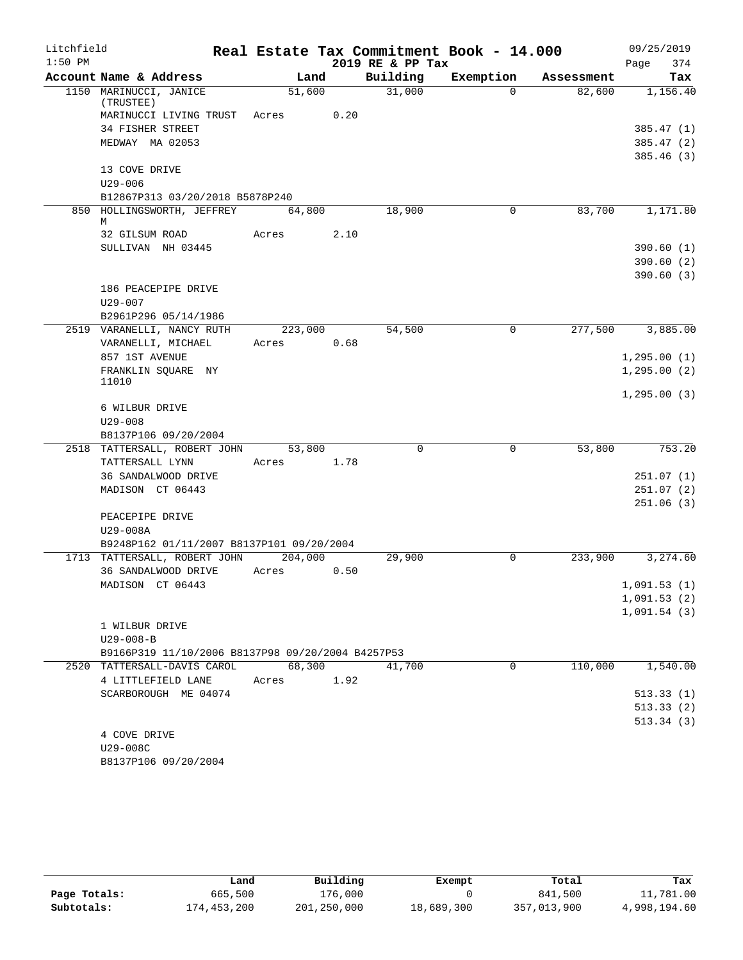| Litchfield |                                                   |            |      |                  | Real Estate Tax Commitment Book - 14.000 |            | 09/25/2019             |
|------------|---------------------------------------------------|------------|------|------------------|------------------------------------------|------------|------------------------|
| $1:50$ PM  |                                                   |            |      | 2019 RE & PP Tax |                                          |            | 374<br>Page            |
|            | Account Name & Address                            | Land       |      | Building         | Exemption                                | Assessment | Tax                    |
|            | 1150 MARINUCCI, JANICE                            | 51,600     |      | 31,000           | $\Omega$                                 | 82,600     | 1,156.40               |
|            | (TRUSTEE)<br>MARINUCCI LIVING TRUST               | Acres      | 0.20 |                  |                                          |            |                        |
|            | 34 FISHER STREET                                  |            |      |                  |                                          |            | 385.47(1)              |
|            | MEDWAY MA 02053                                   |            |      |                  |                                          |            | 385.47 (2)             |
|            |                                                   |            |      |                  |                                          |            | 385.46(3)              |
|            | 13 COVE DRIVE                                     |            |      |                  |                                          |            |                        |
|            | $U29 - 006$                                       |            |      |                  |                                          |            |                        |
|            | B12867P313 03/20/2018 B5878P240                   |            |      |                  |                                          |            |                        |
|            | 850 HOLLINGSWORTH, JEFFREY                        | 64,800     |      | 18,900           | $\mathbf 0$                              | 83,700     | 1,171.80               |
|            | M                                                 |            |      |                  |                                          |            |                        |
|            | 32 GILSUM ROAD                                    | Acres      | 2.10 |                  |                                          |            |                        |
|            | SULLIVAN NH 03445                                 |            |      |                  |                                          |            | 390.60(1)<br>390.60(2) |
|            |                                                   |            |      |                  |                                          |            | 390.60(3)              |
|            | 186 PEACEPIPE DRIVE                               |            |      |                  |                                          |            |                        |
|            | U29-007                                           |            |      |                  |                                          |            |                        |
|            | B2961P296 05/14/1986                              |            |      |                  |                                          |            |                        |
|            | 2519 VARANELLI, NANCY RUTH                        | 223,000    |      | 54,500           | $\mathbf 0$                              | 277,500    | 3,885.00               |
|            | VARANELLI, MICHAEL                                | Acres      | 0.68 |                  |                                          |            |                        |
|            | 857 1ST AVENUE                                    |            |      |                  |                                          |            | 1, 295.00(1)           |
|            | FRANKLIN SQUARE NY                                |            |      |                  |                                          |            | 1, 295.00(2)           |
|            | 11010                                             |            |      |                  |                                          |            |                        |
|            |                                                   |            |      |                  |                                          |            | 1, 295.00(3)           |
|            | 6 WILBUR DRIVE                                    |            |      |                  |                                          |            |                        |
|            | $U29 - 008$<br>B8137P106 09/20/2004               |            |      |                  |                                          |            |                        |
|            | 2518 TATTERSALL, ROBERT JOHN                      | 53,800     |      | $\Omega$         | 0                                        | 53,800     | 753.20                 |
|            | TATTERSALL LYNN                                   | Acres      | 1.78 |                  |                                          |            |                        |
|            | 36 SANDALWOOD DRIVE                               |            |      |                  |                                          |            | 251.07(1)              |
|            | MADISON CT 06443                                  |            |      |                  |                                          |            | 251.07(2)              |
|            |                                                   |            |      |                  |                                          |            | 251.06(3)              |
|            | PEACEPIPE DRIVE                                   |            |      |                  |                                          |            |                        |
|            | U29-008A                                          |            |      |                  |                                          |            |                        |
|            | B9248P162 01/11/2007 B8137P101 09/20/2004         |            |      |                  |                                          |            |                        |
|            | 1713 TATTERSALL, ROBERT JOHN                      | 204,000    |      | 29,900           | $\Omega$                                 | 233,900    | 3,274.60               |
|            | 36 SANDALWOOD DRIVE                               | Acres      | 0.50 |                  |                                          |            |                        |
|            | MADISON CT 06443                                  |            |      |                  |                                          |            | 1,091.53(1)            |
|            |                                                   |            |      |                  |                                          |            | 1,091.53(2)            |
|            |                                                   |            |      |                  |                                          |            | 1,091.54(3)            |
|            | 1 WILBUR DRIVE<br>$U29 - 008 - B$                 |            |      |                  |                                          |            |                        |
|            | B9166P319 11/10/2006 B8137P98 09/20/2004 B4257P53 |            |      |                  |                                          |            |                        |
|            | 2520 TATTERSALL-DAVIS CAROL 68,300                |            |      | 41,700           | 0                                        | 110,000    | 1,540.00               |
|            | 4 LITTLEFIELD LANE                                | Acres 1.92 |      |                  |                                          |            |                        |
|            | SCARBOROUGH ME 04074                              |            |      |                  |                                          |            | 513.33(1)              |
|            |                                                   |            |      |                  |                                          |            | 513.33(2)              |
|            |                                                   |            |      |                  |                                          |            | 513.34(3)              |
|            | 4 COVE DRIVE                                      |            |      |                  |                                          |            |                        |
|            | U29-008C                                          |            |      |                  |                                          |            |                        |
|            | B8137P106 09/20/2004                              |            |      |                  |                                          |            |                        |

|              | Land        | Building    | Exempt     | Total       | Tax          |
|--------------|-------------|-------------|------------|-------------|--------------|
| Page Totals: | 665,500     | 176,000     |            | 841,500     | 11,781.00    |
| Subtotals:   | 174,453,200 | 201,250,000 | 18,689,300 | 357,013,900 | 4,998,194.60 |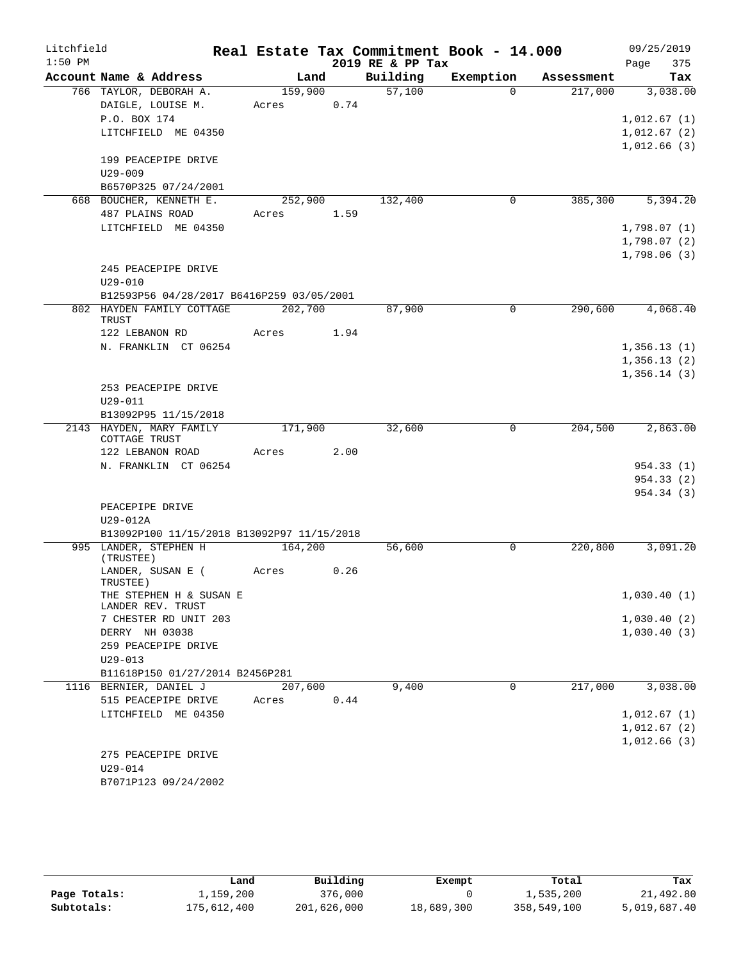| Litchfield |                                            |         |      |                  | Real Estate Tax Commitment Book - 14.000 |            | 09/25/2019  |
|------------|--------------------------------------------|---------|------|------------------|------------------------------------------|------------|-------------|
| $1:50$ PM  |                                            |         |      | 2019 RE & PP Tax |                                          |            | Page<br>375 |
|            | Account Name & Address                     | Land    |      | Building         | Exemption                                | Assessment | Tax         |
|            | 766 TAYLOR, DEBORAH A.                     | 159,900 |      | 57,100           | $\Omega$                                 | 217,000    | 3,038.00    |
|            | DAIGLE, LOUISE M.                          | Acres   | 0.74 |                  |                                          |            |             |
|            | P.O. BOX 174                               |         |      |                  |                                          |            | 1,012.67(1) |
|            | LITCHFIELD ME 04350                        |         |      |                  |                                          |            | 1,012.67(2) |
|            |                                            |         |      |                  |                                          |            | 1,012.66(3) |
|            | 199 PEACEPIPE DRIVE                        |         |      |                  |                                          |            |             |
|            | $U29 - 009$                                |         |      |                  |                                          |            |             |
|            | B6570P325 07/24/2001                       |         |      |                  |                                          |            |             |
|            | 668 BOUCHER, KENNETH E.                    | 252,900 |      | 132,400          | 0                                        | 385,300    | 5,394.20    |
|            | 487 PLAINS ROAD                            | Acres   | 1.59 |                  |                                          |            |             |
|            | LITCHFIELD ME 04350                        |         |      |                  |                                          |            | 1,798.07(1) |
|            |                                            |         |      |                  |                                          |            | 1,798.07(2) |
|            |                                            |         |      |                  |                                          |            | 1,798.06(3) |
|            | 245 PEACEPIPE DRIVE                        |         |      |                  |                                          |            |             |
|            | $U29 - 010$                                |         |      |                  |                                          |            |             |
|            | B12593P56 04/28/2017 B6416P259 03/05/2001  |         |      |                  |                                          |            |             |
|            | 802 HAYDEN FAMILY COTTAGE<br><b>TRUST</b>  | 202,700 |      | 87,900           | $\Omega$                                 | 290,600    | 4,068.40    |
|            | 122 LEBANON RD                             | Acres   | 1.94 |                  |                                          |            |             |
|            | N. FRANKLIN CT 06254                       |         |      |                  |                                          |            | 1,356.13(1) |
|            |                                            |         |      |                  |                                          |            | 1,356.13(2) |
|            |                                            |         |      |                  |                                          |            | 1,356.14(3) |
|            | 253 PEACEPIPE DRIVE                        |         |      |                  |                                          |            |             |
|            | $U29 - 011$                                |         |      |                  |                                          |            |             |
|            | B13092P95 11/15/2018                       |         |      |                  |                                          |            |             |
|            | 2143 HAYDEN, MARY FAMILY<br>COTTAGE TRUST  | 171,900 |      | 32,600           | $\mathbf 0$                              | 204,500    | 2,863.00    |
|            | 122 LEBANON ROAD                           | Acres   | 2.00 |                  |                                          |            |             |
|            | N. FRANKLIN CT 06254                       |         |      |                  |                                          |            | 954.33(1)   |
|            |                                            |         |      |                  |                                          |            | 954.33(2)   |
|            |                                            |         |      |                  |                                          |            | 954.34 (3)  |
|            | PEACEPIPE DRIVE                            |         |      |                  |                                          |            |             |
|            | U29-012A                                   |         |      |                  |                                          |            |             |
|            | B13092P100 11/15/2018 B13092P97 11/15/2018 |         |      |                  |                                          |            |             |
|            | 995 LANDER, STEPHEN H                      | 164,200 |      | 56,600           | 0                                        | 220,800    | 3,091.20    |
|            | (TRUSTEE)<br>LANDER, SUSAN E (             | Acres   | 0.26 |                  |                                          |            |             |
|            | TRUSTEE)                                   |         |      |                  |                                          |            |             |
|            | THE STEPHEN H & SUSAN E                    |         |      |                  |                                          |            | 1,030.40(1) |
|            | LANDER REV. TRUST                          |         |      |                  |                                          |            |             |
|            | 7 CHESTER RD UNIT 203                      |         |      |                  |                                          |            | 1,030.40(2) |
|            | DERRY NH 03038                             |         |      |                  |                                          |            | 1,030.40(3) |
|            | 259 PEACEPIPE DRIVE                        |         |      |                  |                                          |            |             |
|            | $U29 - 013$                                |         |      |                  |                                          |            |             |
|            | B11618P150 01/27/2014 B2456P281            |         |      |                  |                                          |            |             |
|            | 1116 BERNIER, DANIEL J                     | 207,600 |      | 9,400            | 0                                        | 217,000    | 3,038.00    |
|            | 515 PEACEPIPE DRIVE                        | Acres   | 0.44 |                  |                                          |            |             |
|            | LITCHFIELD ME 04350                        |         |      |                  |                                          |            | 1,012.67(1) |
|            |                                            |         |      |                  |                                          |            | 1,012.67(2) |
|            |                                            |         |      |                  |                                          |            | 1,012.66(3) |
|            | 275 PEACEPIPE DRIVE                        |         |      |                  |                                          |            |             |
|            | $U29 - 014$                                |         |      |                  |                                          |            |             |
|            | B7071P123 09/24/2002                       |         |      |                  |                                          |            |             |

|              | Land        | Building    | Exempt     | Total       | Tax          |
|--------------|-------------|-------------|------------|-------------|--------------|
| Page Totals: | 1,159,200   | 376,000     |            | 1,535,200   | 21,492.80    |
| Subtotals:   | 175,612,400 | 201,626,000 | 18,689,300 | 358,549,100 | 5,019,687.40 |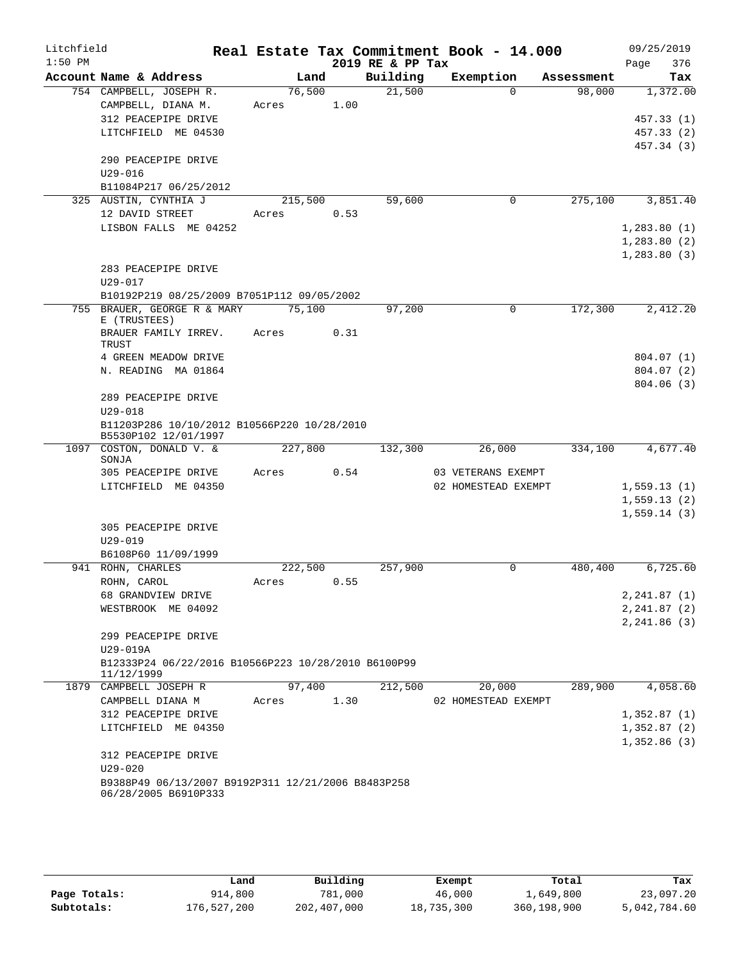| Litchfield |                                                                            |         |      |                              | Real Estate Tax Commitment Book - 14.000 |                      | 09/25/2019         |
|------------|----------------------------------------------------------------------------|---------|------|------------------------------|------------------------------------------|----------------------|--------------------|
| $1:50$ PM  | Account Name & Address                                                     | Land    |      | 2019 RE & PP Tax<br>Building | Exemption                                | Assessment           | 376<br>Page<br>Tax |
|            | 754 CAMPBELL, JOSEPH R.                                                    | 76,500  |      | 21,500                       | $\Omega$                                 | 98,000               | 1,372.00           |
|            | CAMPBELL, DIANA M.                                                         | Acres   | 1.00 |                              |                                          |                      |                    |
|            | 312 PEACEPIPE DRIVE                                                        |         |      |                              |                                          |                      | 457.33(1)          |
|            | LITCHFIELD ME 04530                                                        |         |      |                              |                                          |                      | 457.33(2)          |
|            |                                                                            |         |      |                              |                                          |                      | 457.34 (3)         |
|            | 290 PEACEPIPE DRIVE                                                        |         |      |                              |                                          |                      |                    |
|            | $U29 - 016$                                                                |         |      |                              |                                          |                      |                    |
|            | B11084P217 06/25/2012<br>325 AUSTIN, CYNTHIA J                             | 215,500 |      | 59,600                       | 0                                        | 275,100              | 3,851.40           |
|            | 12 DAVID STREET                                                            | Acres   | 0.53 |                              |                                          |                      |                    |
|            | LISBON FALLS ME 04252                                                      |         |      |                              |                                          |                      | 1,283.80(1)        |
|            |                                                                            |         |      |                              |                                          |                      | 1,283.80(2)        |
|            |                                                                            |         |      |                              |                                          |                      | 1, 283.80(3)       |
|            | 283 PEACEPIPE DRIVE                                                        |         |      |                              |                                          |                      |                    |
|            | $U29 - 017$                                                                |         |      |                              |                                          |                      |                    |
|            | B10192P219 08/25/2009 B7051P112 09/05/2002                                 |         |      |                              |                                          |                      |                    |
| 755        | BRAUER, GEORGE R & MARY<br>E (TRUSTEES)                                    | 75,100  |      | 97,200                       | $\Omega$                                 | $1\overline{72,300}$ | 2,412.20           |
|            | BRAUER FAMILY IRREV.<br>TRUST                                              | Acres   | 0.31 |                              |                                          |                      |                    |
|            | 4 GREEN MEADOW DRIVE                                                       |         |      |                              |                                          |                      | 804.07(1)          |
|            | N. READING MA 01864                                                        |         |      |                              |                                          |                      | 804.07 (2)         |
|            |                                                                            |         |      |                              |                                          |                      | 804.06(3)          |
|            | 289 PEACEPIPE DRIVE<br>$U29 - 018$                                         |         |      |                              |                                          |                      |                    |
|            | B11203P286 10/10/2012 B10566P220 10/28/2010<br>B5530P102 12/01/1997        |         |      |                              |                                          |                      |                    |
|            | 1097 COSTON, DONALD V. &<br>SONJA                                          | 227,800 |      | 132,300                      | 26,000                                   | 334,100              | 4,677.40           |
|            | 305 PEACEPIPE DRIVE                                                        | Acres   | 0.54 |                              | 03 VETERANS EXEMPT                       |                      |                    |
|            | LITCHFIELD ME 04350                                                        |         |      |                              | 02 HOMESTEAD EXEMPT                      |                      | 1,559.13(1)        |
|            |                                                                            |         |      |                              |                                          |                      | 1,559.13(2)        |
|            |                                                                            |         |      |                              |                                          |                      | 1,559.14(3)        |
|            | 305 PEACEPIPE DRIVE                                                        |         |      |                              |                                          |                      |                    |
|            | $U29 - 019$<br>B6108P60 11/09/1999                                         |         |      |                              |                                          |                      |                    |
|            | 941 ROHN, CHARLES                                                          | 222,500 |      | 257,900                      | 0                                        | 480,400              | 6,725.60           |
|            | ROHN, CAROL                                                                | Acres   | 0.55 |                              |                                          |                      |                    |
|            | 68 GRANDVIEW DRIVE                                                         |         |      |                              |                                          |                      | 2, 241.87(1)       |
|            | WESTBROOK ME 04092                                                         |         |      |                              |                                          |                      | 2, 241.87 (2)      |
|            |                                                                            |         |      |                              |                                          |                      | 2, 241.86(3)       |
|            | 299 PEACEPIPE DRIVE                                                        |         |      |                              |                                          |                      |                    |
|            | U29-019A                                                                   |         |      |                              |                                          |                      |                    |
|            | B12333P24 06/22/2016 B10566P223 10/28/2010 B6100P99                        |         |      |                              |                                          |                      |                    |
|            | 11/12/1999<br>1879 CAMPBELL JOSEPH R                                       | 97,400  |      | 212,500                      | 20,000                                   | 289,900              | 4,058.60           |
|            | CAMPBELL DIANA M                                                           | Acres   | 1.30 |                              | 02 HOMESTEAD EXEMPT                      |                      |                    |
|            | 312 PEACEPIPE DRIVE                                                        |         |      |                              |                                          |                      | 1,352.87(1)        |
|            | LITCHFIELD ME 04350                                                        |         |      |                              |                                          |                      | 1,352.87(2)        |
|            |                                                                            |         |      |                              |                                          |                      | 1,352.86(3)        |
|            | 312 PEACEPIPE DRIVE                                                        |         |      |                              |                                          |                      |                    |
|            | $U29 - 020$                                                                |         |      |                              |                                          |                      |                    |
|            | B9388P49 06/13/2007 B9192P311 12/21/2006 B8483P258<br>06/28/2005 B6910P333 |         |      |                              |                                          |                      |                    |
|            |                                                                            |         |      |                              |                                          |                      |                    |

|              | Land        | Building    | Exempt     | Total       | Tax          |
|--------------|-------------|-------------|------------|-------------|--------------|
| Page Totals: | 914,800     | 781,000     | 46,000     | 1,649,800   | 23,097.20    |
| Subtotals:   | 176,527,200 | 202,407,000 | 18,735,300 | 360,198,900 | 5,042,784.60 |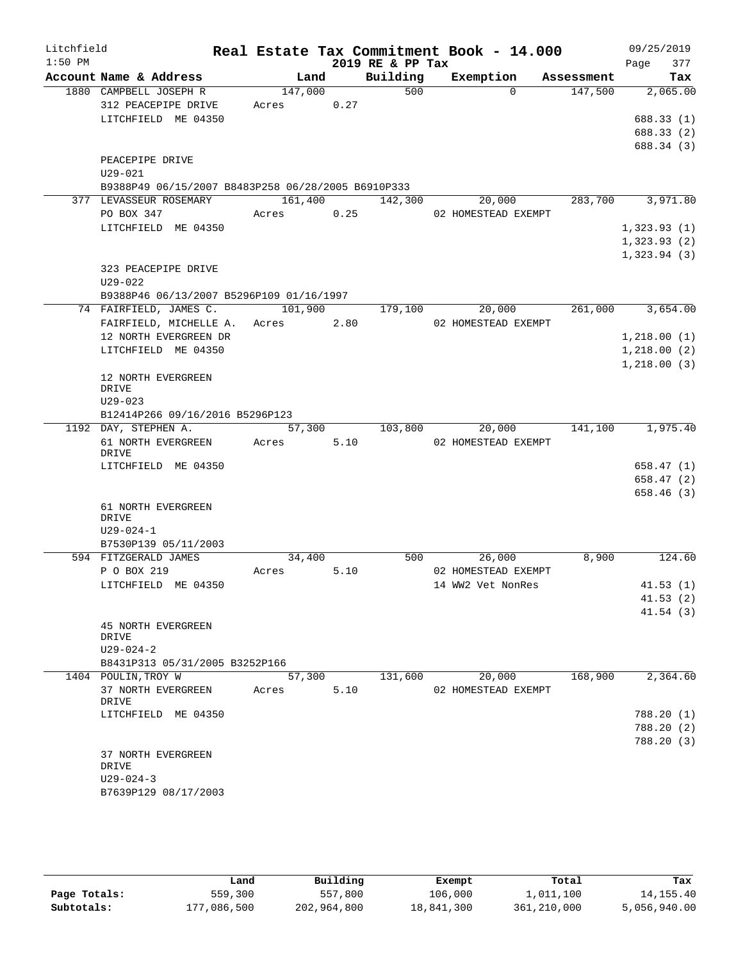| Litchfield |                                                                    |            |         |                  | Real Estate Tax Commitment Book - 14.000 |            | 09/25/2019           |
|------------|--------------------------------------------------------------------|------------|---------|------------------|------------------------------------------|------------|----------------------|
| $1:50$ PM  |                                                                    |            |         | 2019 RE & PP Tax |                                          |            | 377<br>Page          |
|            | Account Name & Address                                             | Land       |         | Building         | Exemption                                | Assessment | Tax                  |
|            | 1880 CAMPBELL JOSEPH R                                             | 147,000    |         | 500              | $\Omega$                                 | 147,500    | 2,065.00             |
|            | 312 PEACEPIPE DRIVE                                                | Acres 0.27 |         |                  |                                          |            |                      |
|            | LITCHFIELD ME 04350                                                |            |         |                  |                                          |            | 688.33(1)            |
|            |                                                                    |            |         |                  |                                          |            | 688.33 (2)           |
|            |                                                                    |            |         |                  |                                          |            | 688.34 (3)           |
|            | PEACEPIPE DRIVE                                                    |            |         |                  |                                          |            |                      |
|            | U29-021                                                            |            |         |                  |                                          |            |                      |
|            | B9388P49 06/15/2007 B8483P258 06/28/2005 B6910P333                 |            |         |                  |                                          |            |                      |
|            | 377 LEVASSEUR ROSEMARY                                             |            |         | 161,400 142,300  | 20,000                                   | 283,700    | 3,971.80             |
|            | PO BOX 347                                                         | Acres      | 0.25    |                  | 02 HOMESTEAD EXEMPT                      |            |                      |
|            | LITCHFIELD ME 04350                                                |            |         |                  |                                          |            | 1,323.93(1)          |
|            |                                                                    |            |         |                  |                                          |            | 1,323.93(2)          |
|            |                                                                    |            |         |                  |                                          |            | 1,323.94(3)          |
|            | 323 PEACEPIPE DRIVE                                                |            |         |                  |                                          |            |                      |
|            | $U29 - 022$                                                        |            |         |                  |                                          |            |                      |
|            | B9388P46 06/13/2007 B5296P109 01/16/1997<br>74 FAIRFIELD, JAMES C. |            |         |                  |                                          |            |                      |
|            |                                                                    |            | 101,900 | 179,100          | 20,000                                   | 261,000    | 3,654.00             |
|            | FAIRFIELD, MICHELLE A. Acres 2.80                                  |            |         |                  | 02 HOMESTEAD EXEMPT                      |            |                      |
|            | 12 NORTH EVERGREEN DR                                              |            |         |                  |                                          |            | 1,218.00(1)          |
|            | LITCHFIELD ME 04350                                                |            |         |                  |                                          |            | 1,218.00(2)          |
|            |                                                                    |            |         |                  |                                          |            | 1, 218.00(3)         |
|            | 12 NORTH EVERGREEN<br>DRIVE                                        |            |         |                  |                                          |            |                      |
|            | $U29 - 023$                                                        |            |         |                  |                                          |            |                      |
|            | B12414P266 09/16/2016 B5296P123                                    |            |         |                  |                                          |            |                      |
|            | 1192 DAY, STEPHEN A.                                               | 57,300     |         | 103,800          | 20,000                                   | 141,100    | 1,975.40             |
|            | 61 NORTH EVERGREEN Acres                                           |            | 5.10    |                  | 02 HOMESTEAD EXEMPT                      |            |                      |
|            | DRIVE                                                              |            |         |                  |                                          |            |                      |
|            | LITCHFIELD ME 04350                                                |            |         |                  |                                          |            | 658.47(1)            |
|            |                                                                    |            |         |                  |                                          |            | 658.47(2)            |
|            |                                                                    |            |         |                  |                                          |            | 658.46(3)            |
|            | 61 NORTH EVERGREEN                                                 |            |         |                  |                                          |            |                      |
|            | DRIVE                                                              |            |         |                  |                                          |            |                      |
|            | $U29 - 024 - 1$                                                    |            |         |                  |                                          |            |                      |
|            | B7530P139 05/11/2003<br>594 FITZGERALD JAMES                       | 34,400     |         | 500              |                                          | 8,900      | 124.60               |
|            | P O BOX 219                                                        | Acres      | 5.10    |                  | 26,000<br>02 HOMESTEAD EXEMPT            |            |                      |
|            | LITCHFIELD ME 04350                                                |            |         |                  | 14 WW2 Vet NonRes                        |            |                      |
|            |                                                                    |            |         |                  |                                          |            | 41.53(1)             |
|            |                                                                    |            |         |                  |                                          |            | 41.53(2)<br>41.54(3) |
|            | 45 NORTH EVERGREEN                                                 |            |         |                  |                                          |            |                      |
|            | DRIVE                                                              |            |         |                  |                                          |            |                      |
|            | $U29 - 024 - 2$                                                    |            |         |                  |                                          |            |                      |
|            | B8431P313 05/31/2005 B3252P166                                     |            |         |                  |                                          |            |                      |
|            | 1404 POULIN, TROY W                                                | 57,300     |         | 131,600          | 20,000                                   | 168,900    | 2,364.60             |
|            | 37 NORTH EVERGREEN                                                 | Acres      | 5.10    |                  | 02 HOMESTEAD EXEMPT                      |            |                      |
|            | DRIVE                                                              |            |         |                  |                                          |            |                      |
|            | LITCHFIELD ME 04350                                                |            |         |                  |                                          |            | 788.20 (1)           |
|            |                                                                    |            |         |                  |                                          |            | 788.20 (2)           |
|            |                                                                    |            |         |                  |                                          |            | 788.20(3)            |
|            | 37 NORTH EVERGREEN                                                 |            |         |                  |                                          |            |                      |
|            | DRIVE                                                              |            |         |                  |                                          |            |                      |
|            | $U29 - 024 - 3$                                                    |            |         |                  |                                          |            |                      |
|            | B7639P129 08/17/2003                                               |            |         |                  |                                          |            |                      |
|            |                                                                    |            |         |                  |                                          |            |                      |

|              | Land        | Building    | Exempt     | Total       | Tax          |
|--------------|-------------|-------------|------------|-------------|--------------|
| Page Totals: | 559,300     | 557,800     | 106,000    | 1,011,100   | 14,155.40    |
| Subtotals:   | 177,086,500 | 202,964,800 | 18,841,300 | 361,210,000 | 5,056,940.00 |